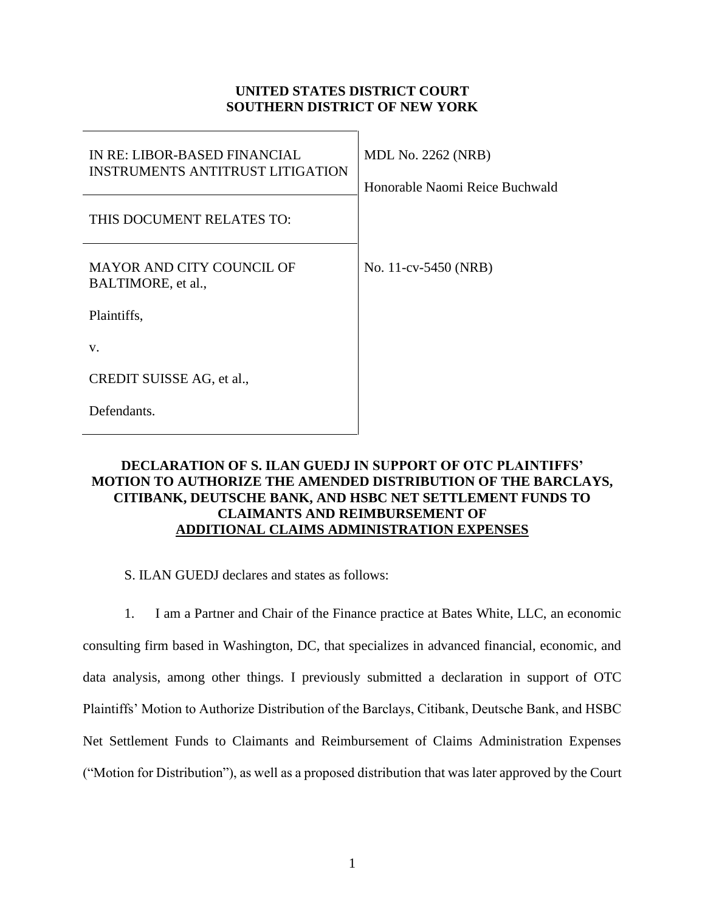## **UNITED STATES DISTRICT COURT SOUTHERN DISTRICT OF NEW YORK**

| IN RE: LIBOR-BASED FINANCIAL<br><b>INSTRUMENTS ANTITRUST LITIGATION</b> | <b>MDL No. 2262 (NRB)</b><br>Honorable Naomi Reice Buchwald |
|-------------------------------------------------------------------------|-------------------------------------------------------------|
| THIS DOCUMENT RELATES TO:                                               |                                                             |
| <b>MAYOR AND CITY COUNCIL OF</b><br>BALTIMORE, et al.,                  | No. 11-cv-5450 (NRB)                                        |
| Plaintiffs,                                                             |                                                             |
| V.                                                                      |                                                             |
| CREDIT SUISSE AG, et al.,                                               |                                                             |
| Defendants.                                                             |                                                             |

## **DECLARATION OF S. ILAN GUEDJ IN SUPPORT OF OTC PLAINTIFFS' MOTION TO AUTHORIZE THE AMENDED DISTRIBUTION OF THE BARCLAYS, CITIBANK, DEUTSCHE BANK, AND HSBC NET SETTLEMENT FUNDS TO CLAIMANTS AND REIMBURSEMENT OF ADDITIONAL CLAIMS ADMINISTRATION EXPENSES**

S. ILAN GUEDJ declares and states as follows:

1. I am a Partner and Chair of the Finance practice at Bates White, LLC, an economic consulting firm based in Washington, DC, that specializes in advanced financial, economic, and data analysis, among other things. I previously submitted a declaration in support of OTC Plaintiffs' Motion to Authorize Distribution of the Barclays, Citibank, Deutsche Bank, and HSBC Net Settlement Funds to Claimants and Reimbursement of Claims Administration Expenses ("Motion for Distribution"), as well as a proposed distribution that was later approved by the Court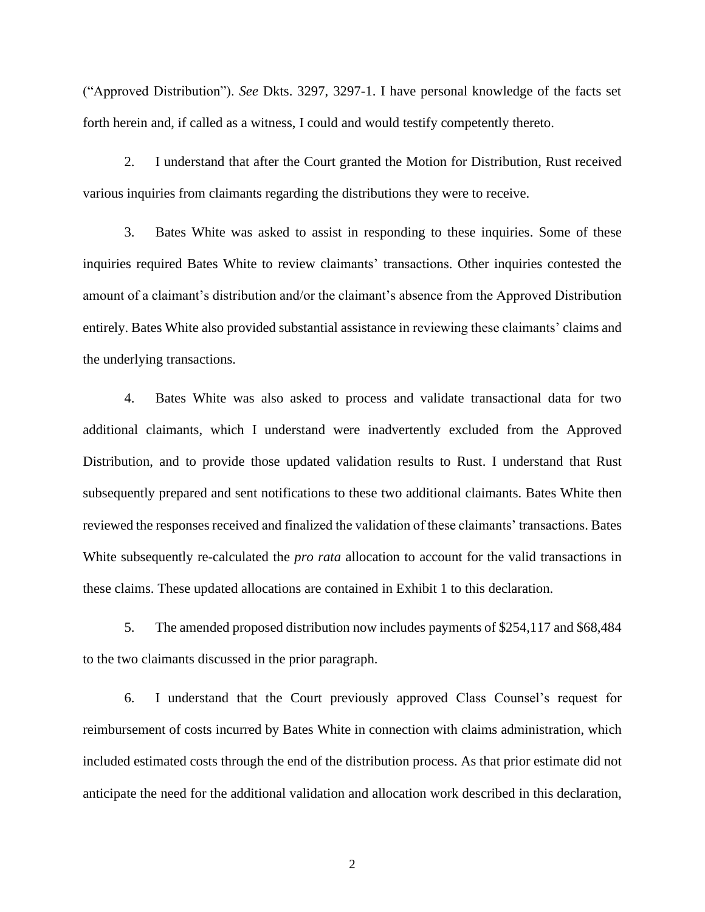("Approved Distribution"). *See* Dkts. 3297, 3297-1. I have personal knowledge of the facts set forth herein and, if called as a witness, I could and would testify competently thereto.

2. I understand that after the Court granted the Motion for Distribution, Rust received various inquiries from claimants regarding the distributions they were to receive.

3. Bates White was asked to assist in responding to these inquiries. Some of these inquiries required Bates White to review claimants' transactions. Other inquiries contested the amount of a claimant's distribution and/or the claimant's absence from the Approved Distribution entirely. Bates White also provided substantial assistance in reviewing these claimants' claims and the underlying transactions.

4. Bates White was also asked to process and validate transactional data for two additional claimants, which I understand were inadvertently excluded from the Approved Distribution, and to provide those updated validation results to Rust. I understand that Rust subsequently prepared and sent notifications to these two additional claimants. Bates White then reviewed the responses received and finalized the validation of these claimants' transactions. Bates White subsequently re-calculated the *pro rata* allocation to account for the valid transactions in these claims. These updated allocations are contained in Exhibit 1 to this declaration.

5. The amended proposed distribution now includes payments of \$254,117 and \$68,484 to the two claimants discussed in the prior paragraph.

6. I understand that the Court previously approved Class Counsel's request for reimbursement of costs incurred by Bates White in connection with claims administration, which included estimated costs through the end of the distribution process. As that prior estimate did not anticipate the need for the additional validation and allocation work described in this declaration,

2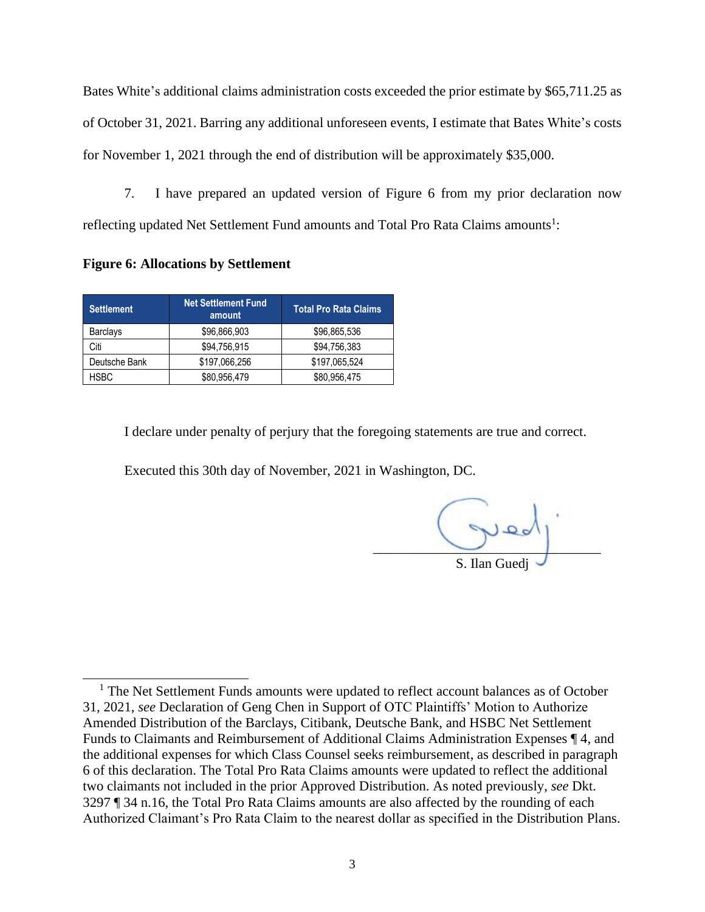Bates White's additional claims administration costs exceeded the prior estimate by \$65,711.25 as of October 31, 2021. Barring any additional unforeseen events, I estimate that Bates White's costs for November 1, 2021 through the end of distribution will be approximately \$35,000.

7. I have prepared an updated version of Figure 6 from my prior declaration now reflecting updated Net Settlement Fund amounts and Total Pro Rata Claims amounts<sup>1</sup>:

**Figure 6: Allocations by Settlement**

| <b>Settlement</b> | <b>Net Settlement Fund</b><br>amount | <b>Total Pro Rata Claims</b> |  |  |  |
|-------------------|--------------------------------------|------------------------------|--|--|--|
| <b>Barclays</b>   | \$96,866,903                         | \$96,865,536                 |  |  |  |
| Citi              | \$94,756,915                         | \$94,756,383                 |  |  |  |
| Deutsche Bank     | \$197,066,256                        | \$197,065,524                |  |  |  |
| <b>HSBC</b>       | \$80,956,479                         | \$80,956,475                 |  |  |  |

I declare under penalty of perjury that the foregoing statements are true and correct.

Executed this 30th day of November, 2021 in Washington, DC.

 $\overline{\phantom{a}}$ S. Ilan Guedj

<sup>&</sup>lt;sup>1</sup> The Net Settlement Funds amounts were updated to reflect account balances as of October 31, 2021, *see* Declaration of Geng Chen in Support of OTC Plaintiffs' Motion to Authorize Amended Distribution of the Barclays, Citibank, Deutsche Bank, and HSBC Net Settlement Funds to Claimants and Reimbursement of Additional Claims Administration Expenses ¶ 4, and the additional expenses for which Class Counsel seeks reimbursement, as described in paragraph 6 of this declaration. The Total Pro Rata Claims amounts were updated to reflect the additional two claimants not included in the prior Approved Distribution. As noted previously, *see* Dkt. 3297 ¶ 34 n.16, the Total Pro Rata Claims amounts are also affected by the rounding of each Authorized Claimant's Pro Rata Claim to the nearest dollar as specified in the Distribution Plans.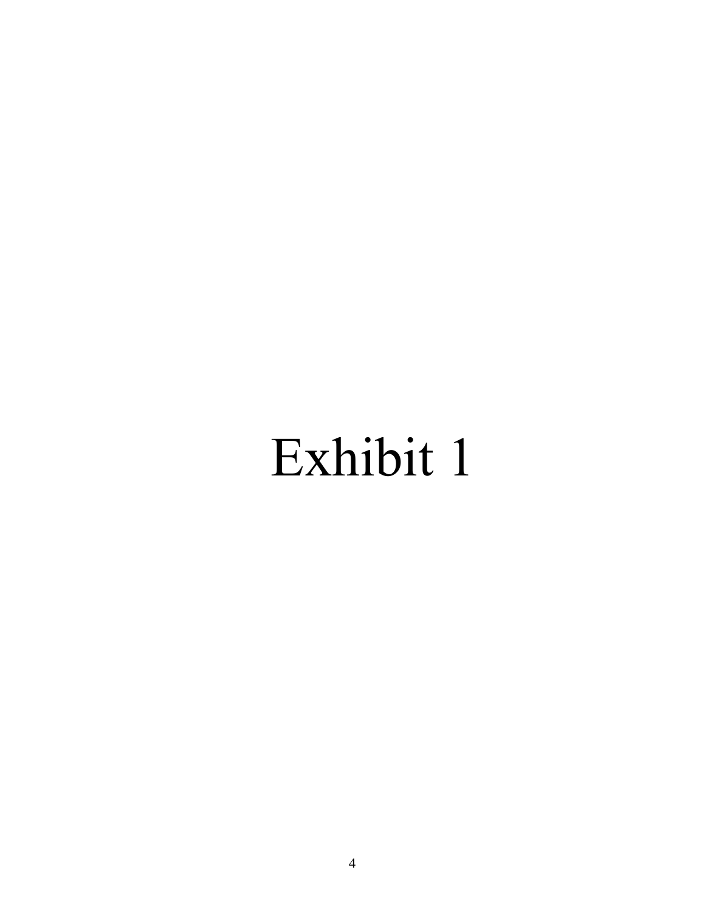## Exhibit 1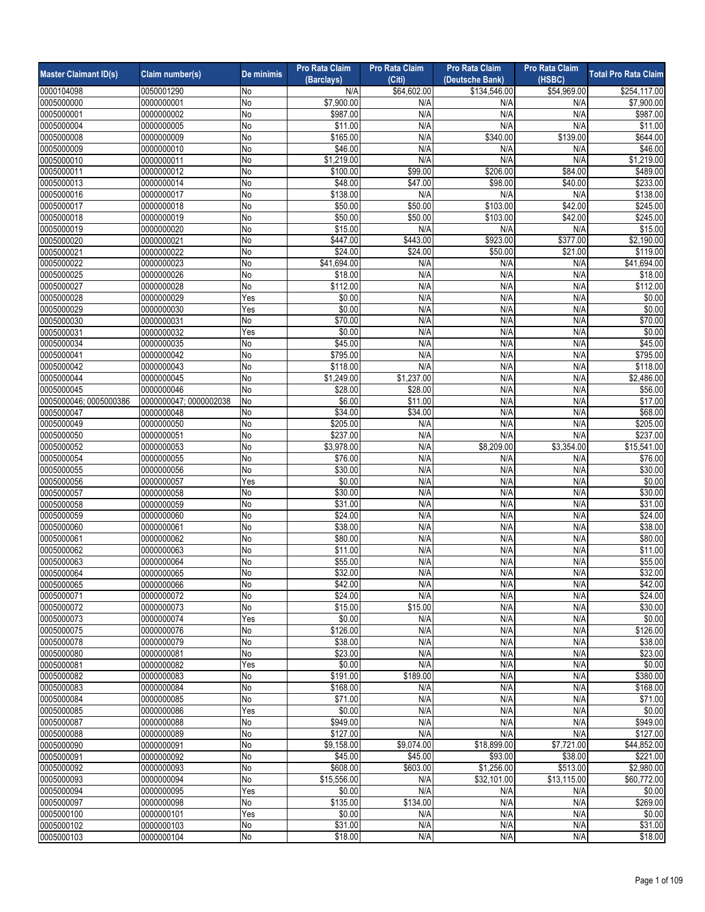| <b>Master Claimant ID(s)</b>         | Claim number(s)                      | De minimis | Pro Rata Claim          | <b>Pro Rata Claim</b> | Pro Rata Claim  | <b>Pro Rata Claim</b> | Total Pro Rata Claim |
|--------------------------------------|--------------------------------------|------------|-------------------------|-----------------------|-----------------|-----------------------|----------------------|
|                                      |                                      |            | (Barclays)              | (Citi)                | (Deutsche Bank) | (HSBC)                |                      |
| 0000104098                           | 0050001290                           | No         | N/A                     | \$64,602.00           | \$134,546.00    | \$54,969.00           | \$254,117.00         |
| 0005000000                           | 0000000001                           | No         | \$7,900.00              | N/A                   | N/A             | N/A                   | \$7,900.00           |
| 0005000001<br>0005000004             | 0000000002<br>0000000005             | No<br>No   | \$987.00<br>\$11.00     | N/A<br>N/A            | N/A<br>N/A      | N/A<br>N/A            | \$987.00<br>\$11.00  |
| 0005000008                           | 0000000009                           | No         | \$165.00                | N/A                   | \$340.00        | \$139.00              | \$644.00             |
| 0005000009                           | 0000000010                           | No         | \$46.00                 | N/A                   | N/A             | N/A                   | \$46.00              |
| 0005000010                           | 0000000011                           | No         | \$1,219.00              | N/A                   | N/A             | N/A                   | \$1,219.00           |
| 0005000011                           | 0000000012                           | No         | \$100.00                | \$99.00               | \$206.00        | \$84.00               | \$489.00             |
| 0005000013                           | 0000000014                           | No         | \$48.00                 | \$47.00               | \$98.00         | \$40.00               | \$233.00             |
| 0005000016                           | 0000000017                           | No         | \$138.00                | N/A                   | N/A             | N/A                   | \$138.00             |
| 0005000017                           | 0000000018                           | No         | \$50.00                 | \$50.00               | \$103.00        | \$42.00               | \$245.00             |
| 0005000018                           | 0000000019                           | No         | \$50.00                 | \$50.00               | \$103.00        | \$42.00               | \$245.00             |
| 0005000019                           | 0000000020                           | No         | \$15.00                 | N/A                   | N/A             | N/A                   | \$15.00              |
| 0005000020                           | 0000000021                           | No         | \$447.00                | \$443.00              | \$923.00        | \$377.00              | \$2,190.00           |
| 0005000021                           | 0000000022                           | No         | \$24.00                 | \$24.00               | \$50.00         | \$21.00               | \$119.00             |
| 0005000022                           | 0000000023                           | No         | $\overline{$41,694.00}$ | N/A                   | N/A             | N/A                   | \$41,694.00          |
| 0005000025                           | 0000000026                           | No         | \$18.00                 | N/A                   | N/A             | N/A                   | \$18.00              |
| 0005000027                           | 0000000028                           | No         | \$112.00                | N/A                   | N/A             | N/A                   | \$112.00             |
| 0005000028                           | 0000000029                           | Yes        | \$0.00                  | N/A                   | N/A             | N/A                   | \$0.00               |
| 0005000029                           | 0000000030                           | Yes        | \$0.00                  | N/A                   | N/A             | N/A                   | \$0.00               |
| 0005000030                           | 0000000031                           | No         | \$70.00                 | N/A                   | N/A             | N/A                   | \$70.00              |
| 0005000031                           | 0000000032                           | Yes        | \$0.00                  | N/A                   | N/A             | N/A                   | \$0.00               |
| 0005000034                           | 0000000035                           | No         | \$45.00                 | N/A                   | N/A             | N/A                   | \$45.00              |
| 0005000041                           | 0000000042                           | No         | \$795.00                | N/A                   | N/A             | N/A                   | \$795.00             |
| 0005000042                           | 0000000043                           | No         | \$118.00                | N/A                   | N/A             | N/A                   | \$118.00             |
| 0005000044                           | 0000000045<br>0000000046             | No         | \$1,249.00              | \$1,237.00            | N/A             | N/A                   | \$2,486.00           |
| 0005000045                           |                                      | No         | \$28.00<br>\$6.00       | \$28.00<br>\$11.00    | N/A<br>N/A      | N/A<br>N/A            | \$56.00<br>\$17.00   |
| 0005000046; 0005000386<br>0005000047 | 0000000047; 0000002038<br>0000000048 | No<br>No   | \$34.00                 | \$34.00               | N/A             | N/A                   | \$68.00              |
| 0005000049                           | 0000000050                           | No         | \$205.00                | N/A                   | N/A             | N/A                   | \$205.00             |
| 0005000050                           | 0000000051                           | No         | \$237.00                | N/A                   | N/A             | N/A                   | \$237.00             |
| 0005000052                           | 0000000053                           | No         | \$3,978.00              | N/A                   | \$8,209.00      | \$3,354.00            | \$15,541.00          |
| 0005000054                           | 0000000055                           | No         | \$76.00                 | N/A                   | N/A             | N/A                   | \$76.00              |
| 0005000055                           | 0000000056                           | No         | \$30.00                 | N/A                   | N/A             | N/A                   | \$30.00              |
| 0005000056                           | 0000000057                           | Yes        | \$0.00                  | N/A                   | N/A             | N/A                   | \$0.00               |
| 0005000057                           | 0000000058                           | No         | \$30.00                 | N/A                   | N/A             | N/A                   | \$30.00              |
| 0005000058                           | 0000000059                           | No         | \$31.00                 | N/A                   | N/A             | N/A                   | \$31.00              |
| 0005000059                           | 0000000060                           | No         | \$24.00                 | N/A                   | N/A             | N/A                   | \$24.00              |
| 0005000060                           | 0000000061                           | No         | \$38.00                 | N/A                   | N/A             | N/A                   | \$38.00              |
| 0005000061                           | 0000000062                           | No         | \$80.00                 | N/A                   | N/A             | N/A                   | \$80.00              |
| 0005000062                           | 0000000063                           | No         | \$11.00                 | N/A                   | N/A             | N/A                   | \$11.00              |
| 0005000063                           | 0000000064                           | No         | \$55.00                 | N/A                   | N/A             | N/A                   | \$55.00              |
| 0005000064                           | 0000000065                           | No         | \$32.00                 | N/A                   | N/A             | N/A                   | \$32.00              |
| 0005000065                           | 0000000066                           | No         | \$42.00                 | N/A                   | N/A             | N/A                   | \$42.00              |
| 0005000071                           | 0000000072                           | No         | \$24.00                 | N/A                   | N/A             | N/A                   | \$24.00              |
| 0005000072                           | 0000000073                           | No         | \$15.00                 | \$15.00               | N/A             | N/A                   | \$30.00              |
| 0005000073                           | 0000000074                           | Yes        | \$0.00                  | N/A                   | N/A             | N/A                   | \$0.00               |
| 0005000075                           | 0000000076                           | No         | \$126.00                | N/A                   | N/A             | N/A                   | \$126.00             |
| 0005000078                           | 0000000079                           | No         | \$38.00                 | N/A                   | N/A             | N/A                   | \$38.00              |
| 0005000080                           | 0000000081                           | No         | \$23.00                 | N/A                   | N/A             | N/A                   | \$23.00              |
| 0005000081                           | 0000000082                           | Yes        | \$0.00                  | N/A<br>\$189.00       | N/A             | N/A                   | \$0.00               |
| 0005000082<br>0005000083             | 0000000083<br>0000000084             | No<br>No   | \$191.00<br>\$168.00    | N/A                   | N/A<br>N/A      | N/A<br>N/A            | \$380.00<br>\$168.00 |
| 0005000084                           | 0000000085                           | No         | \$71.00                 | N/A                   | N/A             | N/A                   | \$71.00              |
| 0005000085                           | 0000000086                           | Yes        | \$0.00                  | N/A                   | N/A             | N/A                   | \$0.00               |
| 0005000087                           | 0000000088                           | No         | \$949.00                | N/A                   | N/A             | N/A                   | \$949.00             |
| 0005000088                           | 0000000089                           | No         | \$127.00                | N/A                   | N/A             | N/A                   | \$127.00             |
| 0005000090                           | 0000000091                           | No         | \$9,158.00              | \$9,074.00            | \$18,899.00     | \$7,721.00            | \$44,852.00          |
| 0005000091                           | 0000000092                           | No         | \$45.00                 | \$45.00               | \$93.00         | \$38.00               | \$221.00             |
| 0005000092                           | 0000000093                           | No         | \$608.00                | \$603.00              | \$1,256.00      | \$513.00              | \$2,980.00           |
| 0005000093                           | 0000000094                           | No         | \$15,556.00             | N/A                   | \$32,101.00     | \$13,115.00           | \$60,772.00          |
| 0005000094                           | 0000000095                           | Yes        | \$0.00                  | N/A                   | N/A             | N/A                   | \$0.00               |
| 0005000097                           | 0000000098                           | No         | \$135.00                | \$134.00              | N/A             | N/A                   | \$269.00             |
| 0005000100                           | 0000000101                           | Yes        | \$0.00                  | N/A                   | N/A             | N/A                   | \$0.00               |
| 0005000102                           | 0000000103                           | No         | \$31.00                 | N/A                   | N/A             | N/A                   | \$31.00              |
| 0005000103                           | 0000000104                           | No         | \$18.00                 | N/A                   | N/A             | N/A                   | \$18.00              |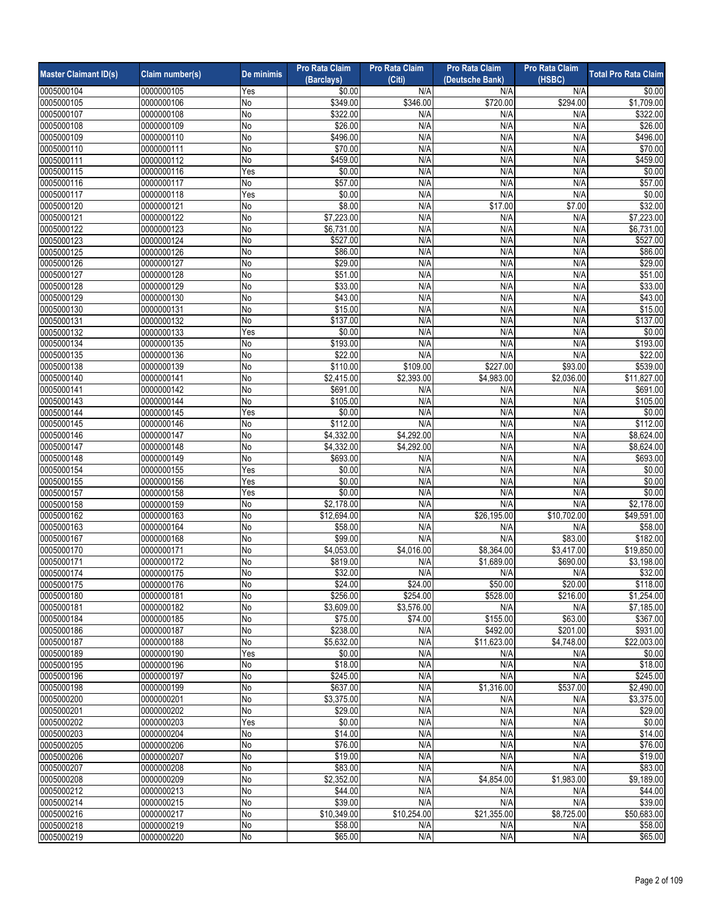| <b>Master Claimant ID(s)</b> | Claim number(s) | De minimis | <b>Pro Rata Claim</b><br>(Barclays) | <b>Pro Rata Claim</b><br>(Citi) | Pro Rata Claim<br>(Deutsche Bank) | <b>Pro Rata Claim</b><br>(HSBC) | <b>Total Pro Rata Claim</b> |
|------------------------------|-----------------|------------|-------------------------------------|---------------------------------|-----------------------------------|---------------------------------|-----------------------------|
| 0005000104                   | 0000000105      | Yes        | \$0.00                              | N/A                             | N/A                               | N/A                             | \$0.00                      |
| 0005000105                   | 0000000106      | No         | \$349.00                            | \$346.00                        | \$720.00                          | \$294.00                        | \$1,709.00                  |
| 0005000107                   | 0000000108      | No         | \$322.00                            | N/A                             | N/A                               | N/A                             | \$322.00                    |
| 0005000108                   | 0000000109      | No         | \$26.00                             | N/A                             | N/A                               | N/A                             | \$26.00                     |
| 0005000109                   | 0000000110      | No         | \$496.00                            | N/A                             | N/A                               | N/A                             | \$496.00                    |
| 0005000110                   | 0000000111      | No         | \$70.00                             | N/A                             | N/A                               | N/A                             | \$70.00                     |
| 0005000111                   | 0000000112      | No         | \$459.00                            | N/A                             | N/A                               | N/A                             | \$459.00                    |
| 0005000115                   | 0000000116      | Yes        | \$0.00                              | N/A                             | N/A                               | N/A                             | \$0.00                      |
| 0005000116                   | 0000000117      | No         | \$57.00                             | N/A                             | N/A                               | N/A                             | \$57.00                     |
| 0005000117                   | 0000000118      | Yes        | \$0.00                              | N/A                             | N/A                               | N/A                             | \$0.00                      |
| 0005000120                   | 0000000121      | No         | \$8.00                              | N/A                             | \$17.00                           | \$7.00                          | \$32.00                     |
| 0005000121                   | 0000000122      | No         | \$7,223.00                          | N/A                             | N/A                               | N/A                             | \$7,223.00                  |
| 0005000122                   | 0000000123      | No         | $\overline{$6,731.00}$              | N/A                             | N/A                               | N/A                             | \$6,731.00                  |
| 0005000123                   | 0000000124      | No         | \$527.00                            | N/A                             | N/A                               | N/A                             | \$527.00                    |
| 0005000125                   | 0000000126      | No         | \$86.00                             | N/A                             | N/A                               | N/A                             | \$86.00                     |
| 0005000126                   | 0000000127      | No         | \$29.00                             | N/A                             | N/A                               | N/A                             | \$29.00                     |
| 0005000127                   | 0000000128      | No         | \$51.00                             | N/A                             | N/A                               | N/A                             | \$51.00                     |
| 0005000128                   | 0000000129      | No         | \$33.00                             | N/A                             | N/A                               | N/A                             | \$33.00                     |
| 0005000129                   | 0000000130      | No         | \$43.00                             | N/A                             | N/A                               | N/A                             | \$43.00                     |
| 0005000130                   | 0000000131      | No         | \$15.00                             | N/A                             | N/A                               | N/A                             | \$15.00                     |
| 0005000131                   | 0000000132      | No         | \$137.00                            | N/A                             | N/A                               | N/A                             | \$137.00                    |
| 0005000132                   | 0000000133      | Yes        | \$0.00                              | N/A                             | N/A                               | N/A                             | \$0.00                      |
| 0005000134                   | 0000000135      | No         | \$193.00                            | N/A                             | N/A                               | N/A                             | \$193.00                    |
| 0005000135                   | 0000000136      | No         | \$22.00                             | N/A                             | N/A                               | N/A                             | \$22.00                     |
| 0005000138                   | 0000000139      | No         | \$110.00                            | \$109.00                        | \$227.00                          | \$93.00                         | \$539.00                    |
| 0005000140                   | 0000000141      | No         | \$2,415.00                          | \$2,393.00                      | \$4,983.00                        | \$2,036.00                      | \$11,827.00                 |
| 0005000141                   | 0000000142      | No         | \$691.00                            | N/A                             | N/A                               | N/A                             | \$691.00                    |
| 0005000143                   | 0000000144      | No         | \$105.00                            | N/A                             | N/A                               | N/A                             | \$105.00                    |
| 0005000144                   | 0000000145      | Yes        | \$0.00                              | N/A                             | N/A                               | N/A                             | \$0.00                      |
| 0005000145                   | 0000000146      | No         | \$112.00                            | N/A                             | N/A                               | N/A                             | \$112.00                    |
| 0005000146                   | 0000000147      | No         | \$4,332.00                          | \$4,292.00                      | N/A                               | N/A                             | \$8,624.00                  |
| 0005000147                   | 0000000148      | No         | \$4,332.00                          | \$4,292.00                      | N/A                               | N/A                             | \$8,624.00                  |
| 0005000148                   | 0000000149      | No         | \$693.00                            | N/A                             | N/A                               | N/A                             | \$693.00                    |
| 0005000154                   | 0000000155      | Yes        | \$0.00                              | N/A                             | N/A                               | N/A                             | \$0.00                      |
| 0005000155                   | 0000000156      | Yes        | \$0.00                              | N/A                             | N/A                               | N/A                             | \$0.00                      |
| 0005000157                   | 0000000158      | Yes        | \$0.00                              | N/A                             | N/A                               | N/A                             | \$0.00                      |
| 0005000158                   | 0000000159      | No         | \$2,178.00                          | N/A                             | N/A                               | N/A                             | \$2,178.00                  |
| 0005000162                   | 0000000163      | No         | \$12,694.00                         | N/A                             | \$26,195.00                       | \$10,702.00                     | \$49,591.00                 |
| 0005000163                   | 0000000164      | No         | \$58.00                             | N/A                             | N/A                               | N/A                             | \$58.00                     |
| 0005000167                   | 0000000168      | No         | \$99.00                             | N/A                             | N/A                               | \$83.00                         | \$182.00                    |
| 0005000170                   | 0000000171      | No         | \$4,053.00                          | \$4,016.00                      | \$8,364.00                        | \$3,417.00                      | \$19,850.00                 |
| 0005000171                   | 0000000172      | No         | \$819.00                            | N/A                             | \$1.689.00                        | \$690.00                        | \$3,198.00                  |
| 0005000174                   | 0000000175      | No         | \$32.00                             | N/A                             | N/A                               | N/A                             | \$32.00                     |
| 0005000175                   | 0000000176      | No         | \$24.00                             | \$24.00                         | \$50.00                           | \$20.00                         | \$118.00                    |
| 0005000180                   | 0000000181      | <b>No</b>  | \$256.00                            | \$254.00                        | \$528.00                          | \$216.00                        | \$1,254.00                  |
| 0005000181                   | 0000000182      | No         | \$3,609.00                          | \$3,576.00                      | N/A                               | N/A                             | \$7,185.00                  |
| 0005000184                   | 0000000185      | No         | \$75.00                             | \$74.00                         | \$155.00                          | \$63.00                         | \$367.00                    |
| 0005000186                   | 0000000187      | No         | \$238.00                            | N/A                             | \$492.00                          | \$201.00                        | \$931.00                    |
| 0005000187                   | 0000000188      | No         | \$5,632.00                          | N/A                             | \$11,623.00                       | \$4,748.00                      | \$22,003.00                 |
| 0005000189                   | 0000000190      | Yes        | \$0.00                              | N/A                             | N/A                               | N/A                             | \$0.00                      |
| 0005000195                   | 0000000196      | No         | \$18.00                             | N/A                             | N/A                               | N/A                             | \$18.00                     |
| 0005000196                   | 0000000197      | No         | \$245.00                            | N/A                             | N/A                               | N/A                             | \$245.00                    |
| 0005000198                   | 0000000199      | No         | \$637.00                            | N/A                             | \$1,316.00                        | \$537.00                        | \$2,490.00                  |
| 0005000200                   | 0000000201      | No         | \$3,375.00                          | N/A                             | N/A                               | N/A                             | \$3,375.00                  |
| 0005000201                   | 0000000202      | No         | \$29.00                             | N/A                             | N/A                               | N/A                             | \$29.00                     |
| 0005000202                   | 0000000203      | Yes        | \$0.00                              | N/A                             | N/A                               | N/A                             | \$0.00                      |
| 0005000203                   | 0000000204      | No         | \$14.00                             | N/A                             | N/A                               | N/A                             | \$14.00                     |
| 0005000205                   | 0000000206      | No         | \$76.00                             | N/A                             | N/A                               | N/A                             | \$76.00                     |
| 0005000206                   | 0000000207      | No         | \$19.00                             | N/A                             | N/A                               | N/A                             | \$19.00                     |
| 0005000207                   | 0000000208      | No         | \$83.00                             | N/A                             | N/A                               | N/A                             | \$83.00                     |
| 0005000208                   | 0000000209      | No         | \$2,352.00                          | N/A                             | \$4,854.00                        | \$1,983.00                      | \$9,189.00                  |
| 0005000212                   | 0000000213      | No         | \$44.00                             | N/A                             | N/A                               | N/A                             | \$44.00                     |
| 0005000214                   | 0000000215      | No         | \$39.00                             | N/A                             | N/A                               | N/A                             | \$39.00                     |
| 0005000216                   | 0000000217      | No         | \$10,349.00                         | \$10,254.00                     | \$21,355.00                       | \$8,725.00                      | \$50,683.00                 |
| 0005000218                   | 0000000219      | No         | \$58.00                             | N/A                             | N/A                               | N/A                             | \$58.00                     |
| 0005000219                   | 0000000220      | No         | \$65.00                             | N/A                             | N/A                               | N/A                             | \$65.00                     |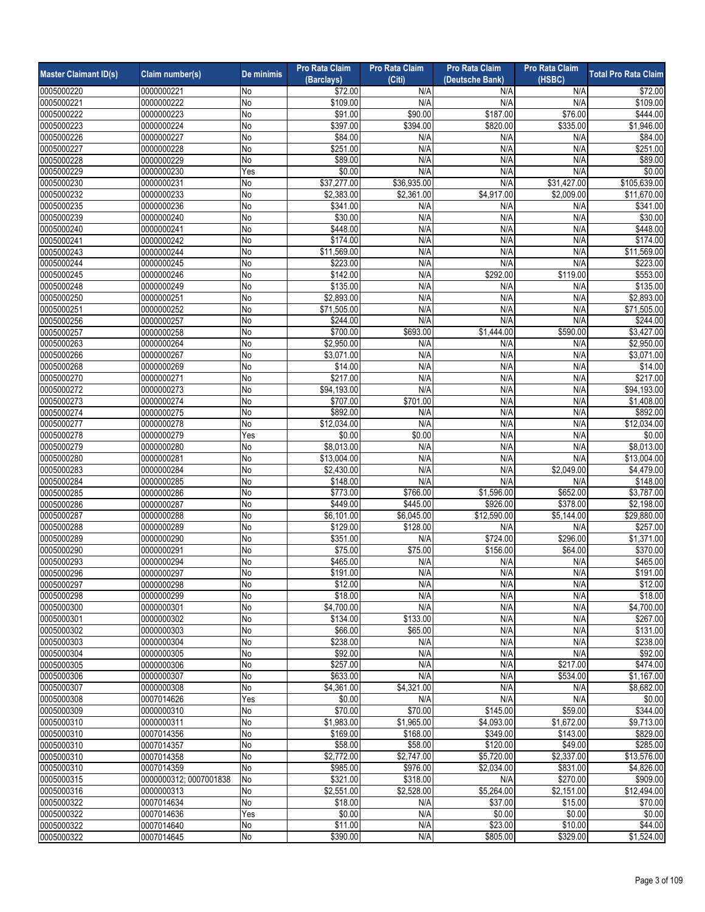| <b>Master Claimant ID(s)</b> | Claim number(s)        | De minimis | <b>Pro Rata Claim</b><br>(Barclays) | <b>Pro Rata Claim</b><br>(Citi) | Pro Rata Claim<br>(Deutsche Bank) | <b>Pro Rata Claim</b><br>(HSBC) | Total Pro Rata Claim |
|------------------------------|------------------------|------------|-------------------------------------|---------------------------------|-----------------------------------|---------------------------------|----------------------|
| 0005000220                   | 0000000221             | No         | \$72.00                             | N/A                             | N/A                               | N/A                             | \$72.00              |
| 0005000221                   | 0000000222             | No         | \$109.00                            | N/A                             | N/A                               | N/A                             | \$109.00             |
| 0005000222                   | 0000000223             | No         | \$91.00                             | \$90.00                         | \$187.00                          | \$76.00                         | \$444.00             |
| 0005000223                   | 0000000224             | No         | \$397.00                            | \$394.00                        | \$820.00                          | \$335.00                        | \$1,946.00           |
| 0005000226                   | 0000000227             | No         | \$84.00                             | N/A                             | N/A                               | N/A                             | \$84.00              |
| 0005000227                   | 0000000228             | <b>No</b>  | \$251.00                            | N/A                             | N/A                               | N/A                             | \$251.00             |
| 0005000228                   | 0000000229             | No         | \$89.00                             | N/A                             | N/A                               | N/A                             | \$89.00              |
| 0005000229                   | 0000000230             | Yes        | \$0.00                              | N/A                             | N/A                               | N/A                             | \$0.00               |
| 0005000230                   | 0000000231             | No         | \$37,277.00                         | \$36,935.00                     | N/A                               | \$31,427.00                     | \$105,639.00         |
| 0005000232                   | 0000000233             | <b>No</b>  | \$2,383.00                          | \$2,361.00                      | \$4,917.00                        | \$2,009.00                      | \$11,670.00          |
| 0005000235                   | 0000000236             | <b>No</b>  | \$341.00                            | N/A                             | N/A                               | N/A                             | \$341.00             |
| 0005000239                   | 0000000240             | No         | \$30.00                             | N/A                             | N/A                               | N/A                             | \$30.00              |
| 0005000240                   | 0000000241             | <b>No</b>  | \$448.00                            | N/A                             | N/A                               | N/A                             | \$448.00             |
| 0005000241                   | 0000000242             | <b>No</b>  | \$174.00                            | N/A                             | N/A                               | N/A                             | \$174.00             |
| 0005000243                   | 0000000244             | No         | \$11,569.00                         | N/A                             | N/A                               | N/A                             | \$11,569.00          |
| 0005000244                   | 0000000245             | No         | \$223.00                            | N/A                             | N/A                               | N/A                             | \$223.00             |
| 0005000245                   | 0000000246             | No         | \$142.00                            | N/A                             | \$292.00                          | \$119.00                        | \$553.00             |
| 0005000248                   | 0000000249             | No         | \$135.00                            | N/A                             | N/A                               | N/A                             | \$135.00             |
|                              |                        | No         |                                     | N/A                             | N/A                               | N/A                             | \$2,893.00           |
| 0005000250                   | 0000000251             |            | \$2,893.00                          |                                 |                                   |                                 |                      |
| 0005000251                   | 0000000252             | No         | \$71,505.00                         | N/A                             | N/A                               | N/A                             | \$71,505.00          |
| 0005000256                   | 0000000257             | No         | \$244.00                            | N/A                             | N/A                               | N/A                             | \$244.00             |
| 0005000257                   | 0000000258             | No         | \$700.00                            | \$693.00                        | \$1,444.00                        | \$590.00                        | \$3,427.00           |
| 0005000263                   | 0000000264             | No         | \$2,950.00                          | N/A                             | N/A                               | N/A                             | \$2,950.00           |
| 0005000266                   | 0000000267             | <b>No</b>  | \$3,071.00                          | N/A                             | N/A                               | N/A                             | \$3,071.00           |
| 0005000268                   | 0000000269             | <b>No</b>  | \$14.00                             | N/A                             | N/A                               | N/A                             | \$14.00              |
| 0005000270                   | 0000000271             | No         | \$217.00                            | N/A                             | N/A                               | N/A                             | \$217.00             |
| 0005000272                   | 0000000273             | <b>No</b>  | \$94,193.00                         | N/A                             | N/A                               | N/A                             | \$94,193.00          |
| 0005000273                   | 0000000274             | No         | \$707.00                            | \$701.00                        | N/A                               | N/A                             | \$1,408.00           |
| 0005000274                   | 0000000275             | No         | \$892.00                            | N/A                             | N/A                               | N/A                             | \$892.00             |
| 0005000277                   | 0000000278             | No         | \$12,034.00                         | N/A                             | N/A                               | N/A                             | \$12,034.00          |
| 0005000278                   | 0000000279             | Yes        | \$0.00                              | \$0.00                          | N/A                               | N/A                             | \$0.00               |
| 0005000279                   | 0000000280             | No         | \$8,013.00                          | N/A                             | N/A                               | N/A                             | \$8,013.00           |
| 0005000280                   | 0000000281             | <b>No</b>  | \$13,004.00                         | N/A                             | N/A                               | N/A                             | \$13,004.00          |
| 0005000283                   | 0000000284             | No         | \$2,430.00                          | N/A                             | N/A                               | \$2,049.00                      | \$4,479.00           |
| 0005000284                   | 0000000285             | <b>No</b>  | \$148.00                            | N/A                             | N/A                               | N/A                             | \$148.00             |
| 0005000285                   | 0000000286             | <b>No</b>  | \$773.00                            | \$766.00                        | $\overline{$1,596.00}$            | \$652.00                        | \$3,787.00           |
| 0005000286                   | 0000000287             | No         | \$449.00                            | \$445.00                        | \$926.00                          | \$378.00                        | \$2,198.00           |
| 0005000287                   | 0000000288             | <b>No</b>  | \$6,101.00                          | \$6,045.00                      | \$12,590.00                       | \$5,144.00                      | \$29,880.00          |
| 0005000288                   | 0000000289             | No         | \$129.00                            | \$128.00                        | N/A                               | N/A                             | \$257.00             |
| 0005000289                   | 0000000290             | No         | \$351.00                            | N/A                             | \$724.00                          | \$296.00                        | \$1,371.00           |
| 0005000290                   | 0000000291             | No         | \$75.00                             | \$75.00                         | \$156.00                          | \$64.00                         | \$370.00             |
| 0005000293                   | 0000000294             | No         | \$465.00                            | N/A                             | N/A                               | N/A                             | \$465.00             |
| 0005000296                   | 0000000297             | No         | \$191.00                            | N/A                             | N/A                               | N/A                             | \$191.00             |
| 0005000297                   | 0000000298             | No         | \$12.00                             | N/A                             | N/A                               | N/A                             | \$12.00              |
| 0005000298                   | 0000000299             | No         | \$18.00                             | N/A                             | N/A                               | N/A                             | \$18.00              |
| 0005000300                   | 0000000301             | No         | \$4,700.00                          | N/A                             | N/A                               | N/A                             | \$4,700.00           |
| 0005000301                   | 0000000302             | <b>No</b>  | \$134.00                            | \$133.00                        | N/A                               | N/A                             | \$267.00             |
| 0005000302                   | 0000000303             | No         | \$66.00                             | \$65.00                         | N/A                               | N/A                             | \$131.00             |
| 0005000303                   | 0000000304             | <b>No</b>  | \$238.00                            | N/A                             | N/A                               | N/A                             | \$238.00             |
| 0005000304                   | 0000000305             | No         | \$92.00                             | N/A                             | N/A                               | N/A                             | \$92.00              |
| 0005000305                   | 0000000306             | No         | \$257.00                            | N/A                             | N/A                               | \$217.00                        | \$474.00             |
| 0005000306                   | 0000000307             | No         | \$633.00                            | N/A                             | N/A                               | \$534.00                        | \$1,167.00           |
| 0005000307                   | 0000000308             | No         | \$4,361.00                          | \$4,321.00                      | N/A                               | N/A                             | \$8.682.00           |
| 0005000308                   | 0007014626             | Yes        | \$0.00                              | N/A                             | N/A                               | N/A                             | \$0.00               |
| 0005000309                   | 0000000310             | No         | \$70.00                             | \$70.00                         | \$145.00                          | \$59.00                         | \$344.00             |
| 0005000310                   | 0000000311             | No         | \$1,983.00                          | \$1,965.00                      | \$4,093.00                        |                                 | \$9,713.00           |
|                              |                        |            |                                     |                                 |                                   | \$1,672.00                      |                      |
| 0005000310                   | 0007014356             | No         | \$169.00                            | \$168.00                        | \$349.00                          | \$143.00                        | \$829.00             |
| 0005000310                   | 0007014357             | No         | \$58.00                             | \$58.00                         | \$120.00                          | \$49.00                         | \$285.00             |
| 0005000310                   | 0007014358             | <b>No</b>  | \$2,772.00                          | \$2,747.00                      | \$5,720.00                        | \$2,337.00                      | \$13,576.00          |
| 0005000310                   | 0007014359             | <b>No</b>  | \$985.00                            | \$976.00                        | \$2,034.00                        | \$831.00                        | \$4,826.00           |
| 0005000315                   | 0000000312; 0007001838 | No         | \$321.00                            | \$318.00                        | N/A                               | \$270.00                        | \$909.00             |
| 0005000316                   | 0000000313             | No         | \$2,551.00                          | \$2,528.00                      | \$5,264.00                        | \$2,151.00                      | \$12,494.00          |
| 0005000322                   | 0007014634             | <b>No</b>  | \$18.00                             | N/A                             | \$37.00                           | \$15.00                         | \$70.00              |
| 0005000322                   | 0007014636             | Yes        | \$0.00                              | N/A                             | \$0.00                            | \$0.00                          | \$0.00               |
| 0005000322                   | 0007014640             | No         | \$11.00                             | N/A                             | \$23.00                           | \$10.00                         | \$44.00              |
| 0005000322                   | 0007014645             | No         | \$390.00                            | N/A                             | \$805.00                          | \$329.00                        | \$1,524.00           |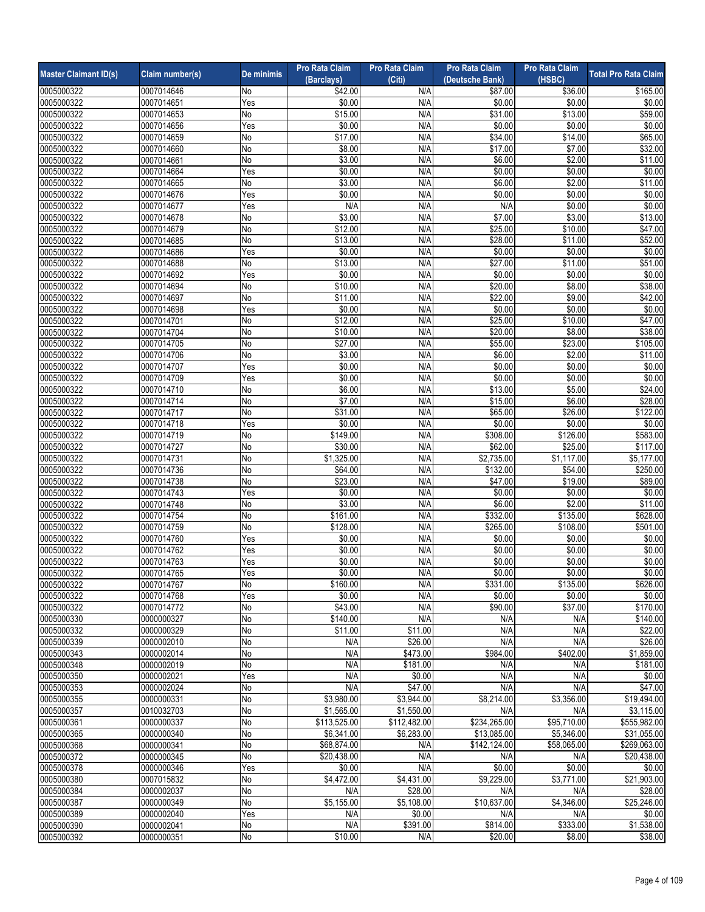| 0005000322<br>0007014646<br>No<br>\$42.00<br>N/A<br>\$87.00<br>\$36.00<br>\$165.00<br>\$0.00<br>N/A<br>\$0.00<br>\$0.00<br>0005000322<br>0007014651<br>Yes<br>\$0.00<br>\$59.00<br>\$31.00<br>\$13.00<br>0005000322<br>\$15.00<br>N/A<br>0007014653<br>No<br>\$0.00<br>0005000322<br>0007014656<br>Yes<br>\$0.00<br>N/A<br>\$0.00<br>\$0.00<br>\$17.00<br>\$34.00<br>\$14.00<br>\$65.00<br>N/A<br>0005000322<br>0007014659<br>No<br>\$8.00<br>\$17.00<br>\$7.00<br>\$32.00<br>0005000322<br>0007014660<br>No<br>N/A<br>No<br>\$6.00<br>\$2.00<br>0005000322<br>0007014661<br>\$3.00<br>N/A<br>\$11.00<br>\$0.00<br>N/A<br>\$0.00<br>\$0.00<br>0005000322<br>0007014664<br>Yes<br>\$3.00<br>\$6.00<br>\$2.00<br>0005000322<br>0007014665<br>No<br>N/A<br>\$0.00<br>\$0.00<br>\$0.00<br>0005000322<br>0007014676<br>Yes<br>N/A<br>N/A<br>N/A<br>N/A<br>\$0.00<br>0005000322<br>0007014677<br>Yes<br>\$7.00<br>\$3.00<br>\$3.00<br>0005000322<br>N/A<br>0007014678<br>No<br>0005000322<br>0007014679<br>No<br>\$12.00<br>\$25.00<br>\$10.00<br>N/A<br>\$28.00<br>0005000322<br>0007014685<br>No<br>\$13.00<br>N/A<br>\$11.00<br>\$0.00<br>\$0.00<br>\$0.00<br>0005000322<br>0007014686<br>N/A<br>Yes<br>\$27.00<br>0005000322<br>0007014688<br>\$13.00<br>N/A<br>\$11.00<br>No<br>\$0.00<br>\$0.00<br>\$0.00<br>0005000322<br>0007014692<br>Yes<br>N/A<br>0005000322<br>0007014694<br>\$10.00<br>\$20.00<br>\$8.00<br>No<br>N/A<br>\$22.00<br>\$9.00<br>No<br>\$11.00<br>N/A<br>0005000322<br>0007014697<br>\$0.00<br>\$0.00<br>\$0.00<br>0005000322<br>0007014698<br>N/A<br>Yes<br>\$12.00<br>\$25.00<br>0005000322<br>N/A<br>\$10.00<br>0007014701<br>No<br>\$8.00<br>0005000322<br>0007014704<br>No<br>\$10.00<br>N/A<br>\$20.00<br>\$55.00<br>\$23.00<br>0005000322<br>0007014705<br>No<br>\$27.00<br>N/A<br>0005000322<br>\$3.00<br>\$6.00<br>\$2.00<br>0007014706<br>No<br>N/A<br>0005000322<br>\$0.00<br>\$0.00<br>0007014707<br>\$0.00<br>N/A<br>Yes<br>\$0.00<br>N/A<br>\$0.00<br>\$0.00<br>0005000322<br>0007014709<br>Yes<br>\$13.00<br>0005000322<br>0007014710<br>No<br>\$6.00<br>N/A<br>\$5.00<br>\$6.00<br>0005000322<br>\$7.00<br>N/A<br>\$15.00<br>0007014714<br>No<br>0005000322<br>No<br>\$65.00<br>\$26.00<br>0007014717<br>\$31.00<br>N/A<br>\$0.00<br>\$0.00<br>N/A<br>\$0.00<br>0005000322<br>0007014718<br>Yes<br>\$126.00<br>0005000322<br>0007014719<br>\$149.00<br>N/A<br>\$308.00<br>No<br><b>No</b><br>\$62.00<br>\$25.00<br>0005000322<br>0007014727<br>\$30.00<br>N/A<br>0005000322<br>$\overline{$1,325.00}$<br>$\sqrt{$1,117.00}$<br>0007014731<br>No<br>N/A<br>\$2,735.00<br>\$132.00<br>\$54.00<br>0005000322<br>0007014736<br>No<br>\$64.00<br>N/A<br>\$23.00<br>\$47.00<br>\$19.00<br>No<br>N/A<br>0005000322<br>0007014738<br>\$0.00<br>0005000322<br>0007014743<br>Yes<br>\$0.00<br>N/A<br>\$0.00<br>\$3.00<br>\$6.00<br>\$2.00<br>N/A<br>0005000322<br>0007014748<br>No<br>\$332.00<br>\$135.00<br>0005000322<br>No<br>\$161.00<br>N/A<br>0007014754<br>0005000322<br>\$128.00<br>\$265.00<br>\$108.00<br>0007014759<br>No<br>N/A<br>\$0.00<br>N/A<br>\$0.00<br>\$0.00<br>0005000322<br>0007014760<br>Yes<br>\$0.00<br>\$0.00<br>\$0.00<br>0005000322<br>0007014762<br>N/A<br>Yes<br>0005000322<br>\$0.00<br>N/A<br>\$0.00<br>\$0.00<br>0007014763<br>Yes<br>\$0.00<br>N/A<br>\$0.00<br>\$0.00<br>0005000322<br>0007014765<br>Yes<br>\$160.00<br>\$331.00<br>0007014767<br>No<br>N/A<br>\$135.00<br>0005000322<br>0005000322<br>0007014768<br>Yes<br>\$0.00<br>N/A<br>\$0.00<br>\$0.00<br>\$43.00<br>N/A<br>\$37.00<br>0005000322<br>0007014772<br>\$90.00<br>No<br>0005000330<br>0000000327<br>No<br>\$140.00<br>N/A<br>N/A<br>N/A<br>0005000332<br>0000000329<br>No<br>\$11.00<br>\$11.00<br>N/A<br>N/A<br>\$26.00<br>0005000339<br>No<br>N/A<br>N/A<br>N/A<br>0000002010<br>0005000343<br>\$473.00<br>\$402.00<br>0000002014<br>No<br>N/A<br>\$984.00<br>No<br>0005000348<br>0000002019<br>N/A<br>\$181.00<br>N/A<br>N/A<br>N/A<br>N/A<br>0005000350<br>N/A<br>\$0.00<br>0000002021<br>Yes<br>\$47.00<br>N/A<br>N/A<br>N/A<br>0005000353<br>0000002024<br>No<br>0005000355<br>No<br>\$3,944.00<br>\$3,356.00<br>0000000331<br>\$3,980.00<br>\$8,214.00<br>\$1,550.00<br>\$1,565.00<br>N/A<br>N/A<br>0005000357<br>0010032703<br>No<br>0005000361<br>0000000337<br>No<br>\$113,525.00<br>\$112,482.00<br>\$234,265.00<br>\$95,710.00<br>No<br>0005000365<br>0000000340<br>\$6,283.00<br>\$5,346.00<br>\$6,341.00<br>\$13,085.00<br>0005000368<br>0000000341<br>No<br>\$68,874.00<br>N/A<br>\$142,124.00<br>\$58,065.00<br>0005000372<br>0000000345<br>No<br>\$20,438.00<br>N/A<br>N/A<br>N/A<br>\$0.00<br>0005000378<br>0000000346<br>Yes<br>\$0.00<br>N/A<br>\$0.00<br>0005000380<br>0007015832<br>No<br>\$4,472.00<br>\$4,431.00<br>\$9,229.00<br>\$3,771.00<br>\$28.00<br>0005000384<br>0000002037<br>No<br>N/A<br>N/A<br>N/A<br>No<br>\$10,637.00<br>\$4,346.00<br>0005000387<br>0000000349<br>\$5,155.00<br>\$5,108.00<br>\$0.00<br>N/A<br>0005000389<br>0000002040<br>Yes<br>N/A<br>N/A<br>0005000390<br>0000002041<br>N/A<br>\$391.00<br>\$814.00<br>\$333.00<br>No<br>No<br>\$10.00<br>N/A<br>0005000392<br>0000000351<br>\$20.00<br>\$8.00 | <b>Master Claimant ID(s)</b> | Claim number(s) | De minimis | <b>Pro Rata Claim</b><br>(Barclays) | <b>Pro Rata Claim</b><br>(Citi) | Pro Rata Claim<br>(Deutsche Bank) | <b>Pro Rata Claim</b><br>(HSBC) | <b>Total Pro Rata Claim</b> |
|--------------------------------------------------------------------------------------------------------------------------------------------------------------------------------------------------------------------------------------------------------------------------------------------------------------------------------------------------------------------------------------------------------------------------------------------------------------------------------------------------------------------------------------------------------------------------------------------------------------------------------------------------------------------------------------------------------------------------------------------------------------------------------------------------------------------------------------------------------------------------------------------------------------------------------------------------------------------------------------------------------------------------------------------------------------------------------------------------------------------------------------------------------------------------------------------------------------------------------------------------------------------------------------------------------------------------------------------------------------------------------------------------------------------------------------------------------------------------------------------------------------------------------------------------------------------------------------------------------------------------------------------------------------------------------------------------------------------------------------------------------------------------------------------------------------------------------------------------------------------------------------------------------------------------------------------------------------------------------------------------------------------------------------------------------------------------------------------------------------------------------------------------------------------------------------------------------------------------------------------------------------------------------------------------------------------------------------------------------------------------------------------------------------------------------------------------------------------------------------------------------------------------------------------------------------------------------------------------------------------------------------------------------------------------------------------------------------------------------------------------------------------------------------------------------------------------------------------------------------------------------------------------------------------------------------------------------------------------------------------------------------------------------------------------------------------------------------------------------------------------------------------------------------------------------------------------------------------------------------------------------------------------------------------------------------------------------------------------------------------------------------------------------------------------------------------------------------------------------------------------------------------------------------------------------------------------------------------------------------------------------------------------------------------------------------------------------------------------------------------------------------------------------------------------------------------------------------------------------------------------------------------------------------------------------------------------------------------------------------------------------------------------------------------------------------------------------------------------------------------------------------------------------------------------------------------------------------------------------------------------------------------------------------------------------------------------------------------------------------------------------------------------------------------------------------------------------------------------------------------------------------------------------------------------------------------------------------------------------------------------------------------------------------------------------------------------------------------------------------------------------------------------------------------------------------------------------------------------------------------------------------------------------------------------------------------------------------------------------------------------------------------------------------------------------------------------------------------------------------------------------------------------------------------------------------------|------------------------------|-----------------|------------|-------------------------------------|---------------------------------|-----------------------------------|---------------------------------|-----------------------------|
|                                                                                                                                                                                                                                                                                                                                                                                                                                                                                                                                                                                                                                                                                                                                                                                                                                                                                                                                                                                                                                                                                                                                                                                                                                                                                                                                                                                                                                                                                                                                                                                                                                                                                                                                                                                                                                                                                                                                                                                                                                                                                                                                                                                                                                                                                                                                                                                                                                                                                                                                                                                                                                                                                                                                                                                                                                                                                                                                                                                                                                                                                                                                                                                                                                                                                                                                                                                                                                                                                                                                                                                                                                                                                                                                                                                                                                                                                                                                                                                                                                                                                                                                                                                                                                                                                                                                                                                                                                                                                                                                                                                                                                                                                                                                                                                                                                                                                                                                                                                                                                                                                                                                                                                            |                              |                 |            |                                     |                                 |                                   |                                 |                             |
|                                                                                                                                                                                                                                                                                                                                                                                                                                                                                                                                                                                                                                                                                                                                                                                                                                                                                                                                                                                                                                                                                                                                                                                                                                                                                                                                                                                                                                                                                                                                                                                                                                                                                                                                                                                                                                                                                                                                                                                                                                                                                                                                                                                                                                                                                                                                                                                                                                                                                                                                                                                                                                                                                                                                                                                                                                                                                                                                                                                                                                                                                                                                                                                                                                                                                                                                                                                                                                                                                                                                                                                                                                                                                                                                                                                                                                                                                                                                                                                                                                                                                                                                                                                                                                                                                                                                                                                                                                                                                                                                                                                                                                                                                                                                                                                                                                                                                                                                                                                                                                                                                                                                                                                            |                              |                 |            |                                     |                                 |                                   |                                 |                             |
|                                                                                                                                                                                                                                                                                                                                                                                                                                                                                                                                                                                                                                                                                                                                                                                                                                                                                                                                                                                                                                                                                                                                                                                                                                                                                                                                                                                                                                                                                                                                                                                                                                                                                                                                                                                                                                                                                                                                                                                                                                                                                                                                                                                                                                                                                                                                                                                                                                                                                                                                                                                                                                                                                                                                                                                                                                                                                                                                                                                                                                                                                                                                                                                                                                                                                                                                                                                                                                                                                                                                                                                                                                                                                                                                                                                                                                                                                                                                                                                                                                                                                                                                                                                                                                                                                                                                                                                                                                                                                                                                                                                                                                                                                                                                                                                                                                                                                                                                                                                                                                                                                                                                                                                            |                              |                 |            |                                     |                                 |                                   |                                 |                             |
|                                                                                                                                                                                                                                                                                                                                                                                                                                                                                                                                                                                                                                                                                                                                                                                                                                                                                                                                                                                                                                                                                                                                                                                                                                                                                                                                                                                                                                                                                                                                                                                                                                                                                                                                                                                                                                                                                                                                                                                                                                                                                                                                                                                                                                                                                                                                                                                                                                                                                                                                                                                                                                                                                                                                                                                                                                                                                                                                                                                                                                                                                                                                                                                                                                                                                                                                                                                                                                                                                                                                                                                                                                                                                                                                                                                                                                                                                                                                                                                                                                                                                                                                                                                                                                                                                                                                                                                                                                                                                                                                                                                                                                                                                                                                                                                                                                                                                                                                                                                                                                                                                                                                                                                            |                              |                 |            |                                     |                                 |                                   |                                 |                             |
|                                                                                                                                                                                                                                                                                                                                                                                                                                                                                                                                                                                                                                                                                                                                                                                                                                                                                                                                                                                                                                                                                                                                                                                                                                                                                                                                                                                                                                                                                                                                                                                                                                                                                                                                                                                                                                                                                                                                                                                                                                                                                                                                                                                                                                                                                                                                                                                                                                                                                                                                                                                                                                                                                                                                                                                                                                                                                                                                                                                                                                                                                                                                                                                                                                                                                                                                                                                                                                                                                                                                                                                                                                                                                                                                                                                                                                                                                                                                                                                                                                                                                                                                                                                                                                                                                                                                                                                                                                                                                                                                                                                                                                                                                                                                                                                                                                                                                                                                                                                                                                                                                                                                                                                            |                              |                 |            |                                     |                                 |                                   |                                 |                             |
|                                                                                                                                                                                                                                                                                                                                                                                                                                                                                                                                                                                                                                                                                                                                                                                                                                                                                                                                                                                                                                                                                                                                                                                                                                                                                                                                                                                                                                                                                                                                                                                                                                                                                                                                                                                                                                                                                                                                                                                                                                                                                                                                                                                                                                                                                                                                                                                                                                                                                                                                                                                                                                                                                                                                                                                                                                                                                                                                                                                                                                                                                                                                                                                                                                                                                                                                                                                                                                                                                                                                                                                                                                                                                                                                                                                                                                                                                                                                                                                                                                                                                                                                                                                                                                                                                                                                                                                                                                                                                                                                                                                                                                                                                                                                                                                                                                                                                                                                                                                                                                                                                                                                                                                            |                              |                 |            |                                     |                                 |                                   |                                 |                             |
| \$0.00<br>\$11.00<br>\$0.00<br>\$0.00<br>\$13.00<br>\$47.00<br>\$52.00<br>\$0.00<br>\$51.00<br>\$0.00<br>\$38.00<br>\$42.00<br>\$0.00<br>\$47.00<br>\$38.00<br>\$105.00<br>\$11.00<br>\$0.00<br>\$0.00<br>\$24.00<br>\$28.00<br>\$122.00<br>\$0.00<br>\$583.00<br>\$117.00<br>\$5,177.00<br>\$250.00<br>\$89.00<br>\$0.00<br>\$11.00<br>\$628.00<br>\$501.00<br>\$0.00<br>\$0.00<br>\$0.00<br>\$0.00<br>\$626.00<br>\$0.00<br>\$170.00<br>\$140.00<br>\$22.00<br>\$26.00<br>\$1.859.00<br>\$181.00<br>\$0.00<br>\$47.00<br>\$19,494.00<br>\$3,115.00<br>\$555,982.00<br>\$31,055.00<br>\$269,063.00<br>\$20,438.00<br>\$0.00<br>\$21,903.00<br>\$28.00<br>\$25,246.00<br>\$0.00<br>\$1,538.00<br>\$38.00                                                                                                                                                                                                                                                                                                                                                                                                                                                                                                                                                                                                                                                                                                                                                                                                                                                                                                                                                                                                                                                                                                                                                                                                                                                                                                                                                                                                                                                                                                                                                                                                                                                                                                                                                                                                                                                                                                                                                                                                                                                                                                                                                                                                                                                                                                                                                                                                                                                                                                                                                                                                                                                                                                                                                                                                                                                                                                                                                                                                                                                                                                                                                                                                                                                                                                                                                                                                                                                                                                                                                                                                                                                                                                                                                                                                                                                                                                                                                                                                                                                                                                                                                                                                                                                                                                                                                                                                                                                                                   |                              |                 |            |                                     |                                 |                                   |                                 |                             |
|                                                                                                                                                                                                                                                                                                                                                                                                                                                                                                                                                                                                                                                                                                                                                                                                                                                                                                                                                                                                                                                                                                                                                                                                                                                                                                                                                                                                                                                                                                                                                                                                                                                                                                                                                                                                                                                                                                                                                                                                                                                                                                                                                                                                                                                                                                                                                                                                                                                                                                                                                                                                                                                                                                                                                                                                                                                                                                                                                                                                                                                                                                                                                                                                                                                                                                                                                                                                                                                                                                                                                                                                                                                                                                                                                                                                                                                                                                                                                                                                                                                                                                                                                                                                                                                                                                                                                                                                                                                                                                                                                                                                                                                                                                                                                                                                                                                                                                                                                                                                                                                                                                                                                                                            |                              |                 |            |                                     |                                 |                                   |                                 |                             |
|                                                                                                                                                                                                                                                                                                                                                                                                                                                                                                                                                                                                                                                                                                                                                                                                                                                                                                                                                                                                                                                                                                                                                                                                                                                                                                                                                                                                                                                                                                                                                                                                                                                                                                                                                                                                                                                                                                                                                                                                                                                                                                                                                                                                                                                                                                                                                                                                                                                                                                                                                                                                                                                                                                                                                                                                                                                                                                                                                                                                                                                                                                                                                                                                                                                                                                                                                                                                                                                                                                                                                                                                                                                                                                                                                                                                                                                                                                                                                                                                                                                                                                                                                                                                                                                                                                                                                                                                                                                                                                                                                                                                                                                                                                                                                                                                                                                                                                                                                                                                                                                                                                                                                                                            |                              |                 |            |                                     |                                 |                                   |                                 |                             |
|                                                                                                                                                                                                                                                                                                                                                                                                                                                                                                                                                                                                                                                                                                                                                                                                                                                                                                                                                                                                                                                                                                                                                                                                                                                                                                                                                                                                                                                                                                                                                                                                                                                                                                                                                                                                                                                                                                                                                                                                                                                                                                                                                                                                                                                                                                                                                                                                                                                                                                                                                                                                                                                                                                                                                                                                                                                                                                                                                                                                                                                                                                                                                                                                                                                                                                                                                                                                                                                                                                                                                                                                                                                                                                                                                                                                                                                                                                                                                                                                                                                                                                                                                                                                                                                                                                                                                                                                                                                                                                                                                                                                                                                                                                                                                                                                                                                                                                                                                                                                                                                                                                                                                                                            |                              |                 |            |                                     |                                 |                                   |                                 |                             |
|                                                                                                                                                                                                                                                                                                                                                                                                                                                                                                                                                                                                                                                                                                                                                                                                                                                                                                                                                                                                                                                                                                                                                                                                                                                                                                                                                                                                                                                                                                                                                                                                                                                                                                                                                                                                                                                                                                                                                                                                                                                                                                                                                                                                                                                                                                                                                                                                                                                                                                                                                                                                                                                                                                                                                                                                                                                                                                                                                                                                                                                                                                                                                                                                                                                                                                                                                                                                                                                                                                                                                                                                                                                                                                                                                                                                                                                                                                                                                                                                                                                                                                                                                                                                                                                                                                                                                                                                                                                                                                                                                                                                                                                                                                                                                                                                                                                                                                                                                                                                                                                                                                                                                                                            |                              |                 |            |                                     |                                 |                                   |                                 |                             |
|                                                                                                                                                                                                                                                                                                                                                                                                                                                                                                                                                                                                                                                                                                                                                                                                                                                                                                                                                                                                                                                                                                                                                                                                                                                                                                                                                                                                                                                                                                                                                                                                                                                                                                                                                                                                                                                                                                                                                                                                                                                                                                                                                                                                                                                                                                                                                                                                                                                                                                                                                                                                                                                                                                                                                                                                                                                                                                                                                                                                                                                                                                                                                                                                                                                                                                                                                                                                                                                                                                                                                                                                                                                                                                                                                                                                                                                                                                                                                                                                                                                                                                                                                                                                                                                                                                                                                                                                                                                                                                                                                                                                                                                                                                                                                                                                                                                                                                                                                                                                                                                                                                                                                                                            |                              |                 |            |                                     |                                 |                                   |                                 |                             |
|                                                                                                                                                                                                                                                                                                                                                                                                                                                                                                                                                                                                                                                                                                                                                                                                                                                                                                                                                                                                                                                                                                                                                                                                                                                                                                                                                                                                                                                                                                                                                                                                                                                                                                                                                                                                                                                                                                                                                                                                                                                                                                                                                                                                                                                                                                                                                                                                                                                                                                                                                                                                                                                                                                                                                                                                                                                                                                                                                                                                                                                                                                                                                                                                                                                                                                                                                                                                                                                                                                                                                                                                                                                                                                                                                                                                                                                                                                                                                                                                                                                                                                                                                                                                                                                                                                                                                                                                                                                                                                                                                                                                                                                                                                                                                                                                                                                                                                                                                                                                                                                                                                                                                                                            |                              |                 |            |                                     |                                 |                                   |                                 |                             |
|                                                                                                                                                                                                                                                                                                                                                                                                                                                                                                                                                                                                                                                                                                                                                                                                                                                                                                                                                                                                                                                                                                                                                                                                                                                                                                                                                                                                                                                                                                                                                                                                                                                                                                                                                                                                                                                                                                                                                                                                                                                                                                                                                                                                                                                                                                                                                                                                                                                                                                                                                                                                                                                                                                                                                                                                                                                                                                                                                                                                                                                                                                                                                                                                                                                                                                                                                                                                                                                                                                                                                                                                                                                                                                                                                                                                                                                                                                                                                                                                                                                                                                                                                                                                                                                                                                                                                                                                                                                                                                                                                                                                                                                                                                                                                                                                                                                                                                                                                                                                                                                                                                                                                                                            |                              |                 |            |                                     |                                 |                                   |                                 |                             |
|                                                                                                                                                                                                                                                                                                                                                                                                                                                                                                                                                                                                                                                                                                                                                                                                                                                                                                                                                                                                                                                                                                                                                                                                                                                                                                                                                                                                                                                                                                                                                                                                                                                                                                                                                                                                                                                                                                                                                                                                                                                                                                                                                                                                                                                                                                                                                                                                                                                                                                                                                                                                                                                                                                                                                                                                                                                                                                                                                                                                                                                                                                                                                                                                                                                                                                                                                                                                                                                                                                                                                                                                                                                                                                                                                                                                                                                                                                                                                                                                                                                                                                                                                                                                                                                                                                                                                                                                                                                                                                                                                                                                                                                                                                                                                                                                                                                                                                                                                                                                                                                                                                                                                                                            |                              |                 |            |                                     |                                 |                                   |                                 |                             |
|                                                                                                                                                                                                                                                                                                                                                                                                                                                                                                                                                                                                                                                                                                                                                                                                                                                                                                                                                                                                                                                                                                                                                                                                                                                                                                                                                                                                                                                                                                                                                                                                                                                                                                                                                                                                                                                                                                                                                                                                                                                                                                                                                                                                                                                                                                                                                                                                                                                                                                                                                                                                                                                                                                                                                                                                                                                                                                                                                                                                                                                                                                                                                                                                                                                                                                                                                                                                                                                                                                                                                                                                                                                                                                                                                                                                                                                                                                                                                                                                                                                                                                                                                                                                                                                                                                                                                                                                                                                                                                                                                                                                                                                                                                                                                                                                                                                                                                                                                                                                                                                                                                                                                                                            |                              |                 |            |                                     |                                 |                                   |                                 |                             |
|                                                                                                                                                                                                                                                                                                                                                                                                                                                                                                                                                                                                                                                                                                                                                                                                                                                                                                                                                                                                                                                                                                                                                                                                                                                                                                                                                                                                                                                                                                                                                                                                                                                                                                                                                                                                                                                                                                                                                                                                                                                                                                                                                                                                                                                                                                                                                                                                                                                                                                                                                                                                                                                                                                                                                                                                                                                                                                                                                                                                                                                                                                                                                                                                                                                                                                                                                                                                                                                                                                                                                                                                                                                                                                                                                                                                                                                                                                                                                                                                                                                                                                                                                                                                                                                                                                                                                                                                                                                                                                                                                                                                                                                                                                                                                                                                                                                                                                                                                                                                                                                                                                                                                                                            |                              |                 |            |                                     |                                 |                                   |                                 |                             |
|                                                                                                                                                                                                                                                                                                                                                                                                                                                                                                                                                                                                                                                                                                                                                                                                                                                                                                                                                                                                                                                                                                                                                                                                                                                                                                                                                                                                                                                                                                                                                                                                                                                                                                                                                                                                                                                                                                                                                                                                                                                                                                                                                                                                                                                                                                                                                                                                                                                                                                                                                                                                                                                                                                                                                                                                                                                                                                                                                                                                                                                                                                                                                                                                                                                                                                                                                                                                                                                                                                                                                                                                                                                                                                                                                                                                                                                                                                                                                                                                                                                                                                                                                                                                                                                                                                                                                                                                                                                                                                                                                                                                                                                                                                                                                                                                                                                                                                                                                                                                                                                                                                                                                                                            |                              |                 |            |                                     |                                 |                                   |                                 |                             |
|                                                                                                                                                                                                                                                                                                                                                                                                                                                                                                                                                                                                                                                                                                                                                                                                                                                                                                                                                                                                                                                                                                                                                                                                                                                                                                                                                                                                                                                                                                                                                                                                                                                                                                                                                                                                                                                                                                                                                                                                                                                                                                                                                                                                                                                                                                                                                                                                                                                                                                                                                                                                                                                                                                                                                                                                                                                                                                                                                                                                                                                                                                                                                                                                                                                                                                                                                                                                                                                                                                                                                                                                                                                                                                                                                                                                                                                                                                                                                                                                                                                                                                                                                                                                                                                                                                                                                                                                                                                                                                                                                                                                                                                                                                                                                                                                                                                                                                                                                                                                                                                                                                                                                                                            |                              |                 |            |                                     |                                 |                                   |                                 |                             |
|                                                                                                                                                                                                                                                                                                                                                                                                                                                                                                                                                                                                                                                                                                                                                                                                                                                                                                                                                                                                                                                                                                                                                                                                                                                                                                                                                                                                                                                                                                                                                                                                                                                                                                                                                                                                                                                                                                                                                                                                                                                                                                                                                                                                                                                                                                                                                                                                                                                                                                                                                                                                                                                                                                                                                                                                                                                                                                                                                                                                                                                                                                                                                                                                                                                                                                                                                                                                                                                                                                                                                                                                                                                                                                                                                                                                                                                                                                                                                                                                                                                                                                                                                                                                                                                                                                                                                                                                                                                                                                                                                                                                                                                                                                                                                                                                                                                                                                                                                                                                                                                                                                                                                                                            |                              |                 |            |                                     |                                 |                                   |                                 |                             |
|                                                                                                                                                                                                                                                                                                                                                                                                                                                                                                                                                                                                                                                                                                                                                                                                                                                                                                                                                                                                                                                                                                                                                                                                                                                                                                                                                                                                                                                                                                                                                                                                                                                                                                                                                                                                                                                                                                                                                                                                                                                                                                                                                                                                                                                                                                                                                                                                                                                                                                                                                                                                                                                                                                                                                                                                                                                                                                                                                                                                                                                                                                                                                                                                                                                                                                                                                                                                                                                                                                                                                                                                                                                                                                                                                                                                                                                                                                                                                                                                                                                                                                                                                                                                                                                                                                                                                                                                                                                                                                                                                                                                                                                                                                                                                                                                                                                                                                                                                                                                                                                                                                                                                                                            |                              |                 |            |                                     |                                 |                                   |                                 |                             |
|                                                                                                                                                                                                                                                                                                                                                                                                                                                                                                                                                                                                                                                                                                                                                                                                                                                                                                                                                                                                                                                                                                                                                                                                                                                                                                                                                                                                                                                                                                                                                                                                                                                                                                                                                                                                                                                                                                                                                                                                                                                                                                                                                                                                                                                                                                                                                                                                                                                                                                                                                                                                                                                                                                                                                                                                                                                                                                                                                                                                                                                                                                                                                                                                                                                                                                                                                                                                                                                                                                                                                                                                                                                                                                                                                                                                                                                                                                                                                                                                                                                                                                                                                                                                                                                                                                                                                                                                                                                                                                                                                                                                                                                                                                                                                                                                                                                                                                                                                                                                                                                                                                                                                                                            |                              |                 |            |                                     |                                 |                                   |                                 |                             |
|                                                                                                                                                                                                                                                                                                                                                                                                                                                                                                                                                                                                                                                                                                                                                                                                                                                                                                                                                                                                                                                                                                                                                                                                                                                                                                                                                                                                                                                                                                                                                                                                                                                                                                                                                                                                                                                                                                                                                                                                                                                                                                                                                                                                                                                                                                                                                                                                                                                                                                                                                                                                                                                                                                                                                                                                                                                                                                                                                                                                                                                                                                                                                                                                                                                                                                                                                                                                                                                                                                                                                                                                                                                                                                                                                                                                                                                                                                                                                                                                                                                                                                                                                                                                                                                                                                                                                                                                                                                                                                                                                                                                                                                                                                                                                                                                                                                                                                                                                                                                                                                                                                                                                                                            |                              |                 |            |                                     |                                 |                                   |                                 |                             |
|                                                                                                                                                                                                                                                                                                                                                                                                                                                                                                                                                                                                                                                                                                                                                                                                                                                                                                                                                                                                                                                                                                                                                                                                                                                                                                                                                                                                                                                                                                                                                                                                                                                                                                                                                                                                                                                                                                                                                                                                                                                                                                                                                                                                                                                                                                                                                                                                                                                                                                                                                                                                                                                                                                                                                                                                                                                                                                                                                                                                                                                                                                                                                                                                                                                                                                                                                                                                                                                                                                                                                                                                                                                                                                                                                                                                                                                                                                                                                                                                                                                                                                                                                                                                                                                                                                                                                                                                                                                                                                                                                                                                                                                                                                                                                                                                                                                                                                                                                                                                                                                                                                                                                                                            |                              |                 |            |                                     |                                 |                                   |                                 |                             |
|                                                                                                                                                                                                                                                                                                                                                                                                                                                                                                                                                                                                                                                                                                                                                                                                                                                                                                                                                                                                                                                                                                                                                                                                                                                                                                                                                                                                                                                                                                                                                                                                                                                                                                                                                                                                                                                                                                                                                                                                                                                                                                                                                                                                                                                                                                                                                                                                                                                                                                                                                                                                                                                                                                                                                                                                                                                                                                                                                                                                                                                                                                                                                                                                                                                                                                                                                                                                                                                                                                                                                                                                                                                                                                                                                                                                                                                                                                                                                                                                                                                                                                                                                                                                                                                                                                                                                                                                                                                                                                                                                                                                                                                                                                                                                                                                                                                                                                                                                                                                                                                                                                                                                                                            |                              |                 |            |                                     |                                 |                                   |                                 |                             |
|                                                                                                                                                                                                                                                                                                                                                                                                                                                                                                                                                                                                                                                                                                                                                                                                                                                                                                                                                                                                                                                                                                                                                                                                                                                                                                                                                                                                                                                                                                                                                                                                                                                                                                                                                                                                                                                                                                                                                                                                                                                                                                                                                                                                                                                                                                                                                                                                                                                                                                                                                                                                                                                                                                                                                                                                                                                                                                                                                                                                                                                                                                                                                                                                                                                                                                                                                                                                                                                                                                                                                                                                                                                                                                                                                                                                                                                                                                                                                                                                                                                                                                                                                                                                                                                                                                                                                                                                                                                                                                                                                                                                                                                                                                                                                                                                                                                                                                                                                                                                                                                                                                                                                                                            |                              |                 |            |                                     |                                 |                                   |                                 |                             |
|                                                                                                                                                                                                                                                                                                                                                                                                                                                                                                                                                                                                                                                                                                                                                                                                                                                                                                                                                                                                                                                                                                                                                                                                                                                                                                                                                                                                                                                                                                                                                                                                                                                                                                                                                                                                                                                                                                                                                                                                                                                                                                                                                                                                                                                                                                                                                                                                                                                                                                                                                                                                                                                                                                                                                                                                                                                                                                                                                                                                                                                                                                                                                                                                                                                                                                                                                                                                                                                                                                                                                                                                                                                                                                                                                                                                                                                                                                                                                                                                                                                                                                                                                                                                                                                                                                                                                                                                                                                                                                                                                                                                                                                                                                                                                                                                                                                                                                                                                                                                                                                                                                                                                                                            |                              |                 |            |                                     |                                 |                                   |                                 |                             |
|                                                                                                                                                                                                                                                                                                                                                                                                                                                                                                                                                                                                                                                                                                                                                                                                                                                                                                                                                                                                                                                                                                                                                                                                                                                                                                                                                                                                                                                                                                                                                                                                                                                                                                                                                                                                                                                                                                                                                                                                                                                                                                                                                                                                                                                                                                                                                                                                                                                                                                                                                                                                                                                                                                                                                                                                                                                                                                                                                                                                                                                                                                                                                                                                                                                                                                                                                                                                                                                                                                                                                                                                                                                                                                                                                                                                                                                                                                                                                                                                                                                                                                                                                                                                                                                                                                                                                                                                                                                                                                                                                                                                                                                                                                                                                                                                                                                                                                                                                                                                                                                                                                                                                                                            |                              |                 |            |                                     |                                 |                                   |                                 |                             |
|                                                                                                                                                                                                                                                                                                                                                                                                                                                                                                                                                                                                                                                                                                                                                                                                                                                                                                                                                                                                                                                                                                                                                                                                                                                                                                                                                                                                                                                                                                                                                                                                                                                                                                                                                                                                                                                                                                                                                                                                                                                                                                                                                                                                                                                                                                                                                                                                                                                                                                                                                                                                                                                                                                                                                                                                                                                                                                                                                                                                                                                                                                                                                                                                                                                                                                                                                                                                                                                                                                                                                                                                                                                                                                                                                                                                                                                                                                                                                                                                                                                                                                                                                                                                                                                                                                                                                                                                                                                                                                                                                                                                                                                                                                                                                                                                                                                                                                                                                                                                                                                                                                                                                                                            |                              |                 |            |                                     |                                 |                                   |                                 |                             |
|                                                                                                                                                                                                                                                                                                                                                                                                                                                                                                                                                                                                                                                                                                                                                                                                                                                                                                                                                                                                                                                                                                                                                                                                                                                                                                                                                                                                                                                                                                                                                                                                                                                                                                                                                                                                                                                                                                                                                                                                                                                                                                                                                                                                                                                                                                                                                                                                                                                                                                                                                                                                                                                                                                                                                                                                                                                                                                                                                                                                                                                                                                                                                                                                                                                                                                                                                                                                                                                                                                                                                                                                                                                                                                                                                                                                                                                                                                                                                                                                                                                                                                                                                                                                                                                                                                                                                                                                                                                                                                                                                                                                                                                                                                                                                                                                                                                                                                                                                                                                                                                                                                                                                                                            |                              |                 |            |                                     |                                 |                                   |                                 |                             |
|                                                                                                                                                                                                                                                                                                                                                                                                                                                                                                                                                                                                                                                                                                                                                                                                                                                                                                                                                                                                                                                                                                                                                                                                                                                                                                                                                                                                                                                                                                                                                                                                                                                                                                                                                                                                                                                                                                                                                                                                                                                                                                                                                                                                                                                                                                                                                                                                                                                                                                                                                                                                                                                                                                                                                                                                                                                                                                                                                                                                                                                                                                                                                                                                                                                                                                                                                                                                                                                                                                                                                                                                                                                                                                                                                                                                                                                                                                                                                                                                                                                                                                                                                                                                                                                                                                                                                                                                                                                                                                                                                                                                                                                                                                                                                                                                                                                                                                                                                                                                                                                                                                                                                                                            |                              |                 |            |                                     |                                 |                                   |                                 |                             |
|                                                                                                                                                                                                                                                                                                                                                                                                                                                                                                                                                                                                                                                                                                                                                                                                                                                                                                                                                                                                                                                                                                                                                                                                                                                                                                                                                                                                                                                                                                                                                                                                                                                                                                                                                                                                                                                                                                                                                                                                                                                                                                                                                                                                                                                                                                                                                                                                                                                                                                                                                                                                                                                                                                                                                                                                                                                                                                                                                                                                                                                                                                                                                                                                                                                                                                                                                                                                                                                                                                                                                                                                                                                                                                                                                                                                                                                                                                                                                                                                                                                                                                                                                                                                                                                                                                                                                                                                                                                                                                                                                                                                                                                                                                                                                                                                                                                                                                                                                                                                                                                                                                                                                                                            |                              |                 |            |                                     |                                 |                                   |                                 |                             |
|                                                                                                                                                                                                                                                                                                                                                                                                                                                                                                                                                                                                                                                                                                                                                                                                                                                                                                                                                                                                                                                                                                                                                                                                                                                                                                                                                                                                                                                                                                                                                                                                                                                                                                                                                                                                                                                                                                                                                                                                                                                                                                                                                                                                                                                                                                                                                                                                                                                                                                                                                                                                                                                                                                                                                                                                                                                                                                                                                                                                                                                                                                                                                                                                                                                                                                                                                                                                                                                                                                                                                                                                                                                                                                                                                                                                                                                                                                                                                                                                                                                                                                                                                                                                                                                                                                                                                                                                                                                                                                                                                                                                                                                                                                                                                                                                                                                                                                                                                                                                                                                                                                                                                                                            |                              |                 |            |                                     |                                 |                                   |                                 |                             |
|                                                                                                                                                                                                                                                                                                                                                                                                                                                                                                                                                                                                                                                                                                                                                                                                                                                                                                                                                                                                                                                                                                                                                                                                                                                                                                                                                                                                                                                                                                                                                                                                                                                                                                                                                                                                                                                                                                                                                                                                                                                                                                                                                                                                                                                                                                                                                                                                                                                                                                                                                                                                                                                                                                                                                                                                                                                                                                                                                                                                                                                                                                                                                                                                                                                                                                                                                                                                                                                                                                                                                                                                                                                                                                                                                                                                                                                                                                                                                                                                                                                                                                                                                                                                                                                                                                                                                                                                                                                                                                                                                                                                                                                                                                                                                                                                                                                                                                                                                                                                                                                                                                                                                                                            |                              |                 |            |                                     |                                 |                                   |                                 |                             |
|                                                                                                                                                                                                                                                                                                                                                                                                                                                                                                                                                                                                                                                                                                                                                                                                                                                                                                                                                                                                                                                                                                                                                                                                                                                                                                                                                                                                                                                                                                                                                                                                                                                                                                                                                                                                                                                                                                                                                                                                                                                                                                                                                                                                                                                                                                                                                                                                                                                                                                                                                                                                                                                                                                                                                                                                                                                                                                                                                                                                                                                                                                                                                                                                                                                                                                                                                                                                                                                                                                                                                                                                                                                                                                                                                                                                                                                                                                                                                                                                                                                                                                                                                                                                                                                                                                                                                                                                                                                                                                                                                                                                                                                                                                                                                                                                                                                                                                                                                                                                                                                                                                                                                                                            |                              |                 |            |                                     |                                 |                                   |                                 |                             |
|                                                                                                                                                                                                                                                                                                                                                                                                                                                                                                                                                                                                                                                                                                                                                                                                                                                                                                                                                                                                                                                                                                                                                                                                                                                                                                                                                                                                                                                                                                                                                                                                                                                                                                                                                                                                                                                                                                                                                                                                                                                                                                                                                                                                                                                                                                                                                                                                                                                                                                                                                                                                                                                                                                                                                                                                                                                                                                                                                                                                                                                                                                                                                                                                                                                                                                                                                                                                                                                                                                                                                                                                                                                                                                                                                                                                                                                                                                                                                                                                                                                                                                                                                                                                                                                                                                                                                                                                                                                                                                                                                                                                                                                                                                                                                                                                                                                                                                                                                                                                                                                                                                                                                                                            |                              |                 |            |                                     |                                 |                                   |                                 |                             |
|                                                                                                                                                                                                                                                                                                                                                                                                                                                                                                                                                                                                                                                                                                                                                                                                                                                                                                                                                                                                                                                                                                                                                                                                                                                                                                                                                                                                                                                                                                                                                                                                                                                                                                                                                                                                                                                                                                                                                                                                                                                                                                                                                                                                                                                                                                                                                                                                                                                                                                                                                                                                                                                                                                                                                                                                                                                                                                                                                                                                                                                                                                                                                                                                                                                                                                                                                                                                                                                                                                                                                                                                                                                                                                                                                                                                                                                                                                                                                                                                                                                                                                                                                                                                                                                                                                                                                                                                                                                                                                                                                                                                                                                                                                                                                                                                                                                                                                                                                                                                                                                                                                                                                                                            |                              |                 |            |                                     |                                 |                                   |                                 |                             |
|                                                                                                                                                                                                                                                                                                                                                                                                                                                                                                                                                                                                                                                                                                                                                                                                                                                                                                                                                                                                                                                                                                                                                                                                                                                                                                                                                                                                                                                                                                                                                                                                                                                                                                                                                                                                                                                                                                                                                                                                                                                                                                                                                                                                                                                                                                                                                                                                                                                                                                                                                                                                                                                                                                                                                                                                                                                                                                                                                                                                                                                                                                                                                                                                                                                                                                                                                                                                                                                                                                                                                                                                                                                                                                                                                                                                                                                                                                                                                                                                                                                                                                                                                                                                                                                                                                                                                                                                                                                                                                                                                                                                                                                                                                                                                                                                                                                                                                                                                                                                                                                                                                                                                                                            |                              |                 |            |                                     |                                 |                                   |                                 |                             |
|                                                                                                                                                                                                                                                                                                                                                                                                                                                                                                                                                                                                                                                                                                                                                                                                                                                                                                                                                                                                                                                                                                                                                                                                                                                                                                                                                                                                                                                                                                                                                                                                                                                                                                                                                                                                                                                                                                                                                                                                                                                                                                                                                                                                                                                                                                                                                                                                                                                                                                                                                                                                                                                                                                                                                                                                                                                                                                                                                                                                                                                                                                                                                                                                                                                                                                                                                                                                                                                                                                                                                                                                                                                                                                                                                                                                                                                                                                                                                                                                                                                                                                                                                                                                                                                                                                                                                                                                                                                                                                                                                                                                                                                                                                                                                                                                                                                                                                                                                                                                                                                                                                                                                                                            |                              |                 |            |                                     |                                 |                                   |                                 |                             |
|                                                                                                                                                                                                                                                                                                                                                                                                                                                                                                                                                                                                                                                                                                                                                                                                                                                                                                                                                                                                                                                                                                                                                                                                                                                                                                                                                                                                                                                                                                                                                                                                                                                                                                                                                                                                                                                                                                                                                                                                                                                                                                                                                                                                                                                                                                                                                                                                                                                                                                                                                                                                                                                                                                                                                                                                                                                                                                                                                                                                                                                                                                                                                                                                                                                                                                                                                                                                                                                                                                                                                                                                                                                                                                                                                                                                                                                                                                                                                                                                                                                                                                                                                                                                                                                                                                                                                                                                                                                                                                                                                                                                                                                                                                                                                                                                                                                                                                                                                                                                                                                                                                                                                                                            |                              |                 |            |                                     |                                 |                                   |                                 |                             |
|                                                                                                                                                                                                                                                                                                                                                                                                                                                                                                                                                                                                                                                                                                                                                                                                                                                                                                                                                                                                                                                                                                                                                                                                                                                                                                                                                                                                                                                                                                                                                                                                                                                                                                                                                                                                                                                                                                                                                                                                                                                                                                                                                                                                                                                                                                                                                                                                                                                                                                                                                                                                                                                                                                                                                                                                                                                                                                                                                                                                                                                                                                                                                                                                                                                                                                                                                                                                                                                                                                                                                                                                                                                                                                                                                                                                                                                                                                                                                                                                                                                                                                                                                                                                                                                                                                                                                                                                                                                                                                                                                                                                                                                                                                                                                                                                                                                                                                                                                                                                                                                                                                                                                                                            |                              |                 |            |                                     |                                 |                                   |                                 |                             |
|                                                                                                                                                                                                                                                                                                                                                                                                                                                                                                                                                                                                                                                                                                                                                                                                                                                                                                                                                                                                                                                                                                                                                                                                                                                                                                                                                                                                                                                                                                                                                                                                                                                                                                                                                                                                                                                                                                                                                                                                                                                                                                                                                                                                                                                                                                                                                                                                                                                                                                                                                                                                                                                                                                                                                                                                                                                                                                                                                                                                                                                                                                                                                                                                                                                                                                                                                                                                                                                                                                                                                                                                                                                                                                                                                                                                                                                                                                                                                                                                                                                                                                                                                                                                                                                                                                                                                                                                                                                                                                                                                                                                                                                                                                                                                                                                                                                                                                                                                                                                                                                                                                                                                                                            |                              |                 |            |                                     |                                 |                                   |                                 |                             |
|                                                                                                                                                                                                                                                                                                                                                                                                                                                                                                                                                                                                                                                                                                                                                                                                                                                                                                                                                                                                                                                                                                                                                                                                                                                                                                                                                                                                                                                                                                                                                                                                                                                                                                                                                                                                                                                                                                                                                                                                                                                                                                                                                                                                                                                                                                                                                                                                                                                                                                                                                                                                                                                                                                                                                                                                                                                                                                                                                                                                                                                                                                                                                                                                                                                                                                                                                                                                                                                                                                                                                                                                                                                                                                                                                                                                                                                                                                                                                                                                                                                                                                                                                                                                                                                                                                                                                                                                                                                                                                                                                                                                                                                                                                                                                                                                                                                                                                                                                                                                                                                                                                                                                                                            |                              |                 |            |                                     |                                 |                                   |                                 |                             |
|                                                                                                                                                                                                                                                                                                                                                                                                                                                                                                                                                                                                                                                                                                                                                                                                                                                                                                                                                                                                                                                                                                                                                                                                                                                                                                                                                                                                                                                                                                                                                                                                                                                                                                                                                                                                                                                                                                                                                                                                                                                                                                                                                                                                                                                                                                                                                                                                                                                                                                                                                                                                                                                                                                                                                                                                                                                                                                                                                                                                                                                                                                                                                                                                                                                                                                                                                                                                                                                                                                                                                                                                                                                                                                                                                                                                                                                                                                                                                                                                                                                                                                                                                                                                                                                                                                                                                                                                                                                                                                                                                                                                                                                                                                                                                                                                                                                                                                                                                                                                                                                                                                                                                                                            |                              |                 |            |                                     |                                 |                                   |                                 |                             |
|                                                                                                                                                                                                                                                                                                                                                                                                                                                                                                                                                                                                                                                                                                                                                                                                                                                                                                                                                                                                                                                                                                                                                                                                                                                                                                                                                                                                                                                                                                                                                                                                                                                                                                                                                                                                                                                                                                                                                                                                                                                                                                                                                                                                                                                                                                                                                                                                                                                                                                                                                                                                                                                                                                                                                                                                                                                                                                                                                                                                                                                                                                                                                                                                                                                                                                                                                                                                                                                                                                                                                                                                                                                                                                                                                                                                                                                                                                                                                                                                                                                                                                                                                                                                                                                                                                                                                                                                                                                                                                                                                                                                                                                                                                                                                                                                                                                                                                                                                                                                                                                                                                                                                                                            |                              |                 |            |                                     |                                 |                                   |                                 |                             |
|                                                                                                                                                                                                                                                                                                                                                                                                                                                                                                                                                                                                                                                                                                                                                                                                                                                                                                                                                                                                                                                                                                                                                                                                                                                                                                                                                                                                                                                                                                                                                                                                                                                                                                                                                                                                                                                                                                                                                                                                                                                                                                                                                                                                                                                                                                                                                                                                                                                                                                                                                                                                                                                                                                                                                                                                                                                                                                                                                                                                                                                                                                                                                                                                                                                                                                                                                                                                                                                                                                                                                                                                                                                                                                                                                                                                                                                                                                                                                                                                                                                                                                                                                                                                                                                                                                                                                                                                                                                                                                                                                                                                                                                                                                                                                                                                                                                                                                                                                                                                                                                                                                                                                                                            |                              |                 |            |                                     |                                 |                                   |                                 |                             |
|                                                                                                                                                                                                                                                                                                                                                                                                                                                                                                                                                                                                                                                                                                                                                                                                                                                                                                                                                                                                                                                                                                                                                                                                                                                                                                                                                                                                                                                                                                                                                                                                                                                                                                                                                                                                                                                                                                                                                                                                                                                                                                                                                                                                                                                                                                                                                                                                                                                                                                                                                                                                                                                                                                                                                                                                                                                                                                                                                                                                                                                                                                                                                                                                                                                                                                                                                                                                                                                                                                                                                                                                                                                                                                                                                                                                                                                                                                                                                                                                                                                                                                                                                                                                                                                                                                                                                                                                                                                                                                                                                                                                                                                                                                                                                                                                                                                                                                                                                                                                                                                                                                                                                                                            |                              |                 |            |                                     |                                 |                                   |                                 |                             |
|                                                                                                                                                                                                                                                                                                                                                                                                                                                                                                                                                                                                                                                                                                                                                                                                                                                                                                                                                                                                                                                                                                                                                                                                                                                                                                                                                                                                                                                                                                                                                                                                                                                                                                                                                                                                                                                                                                                                                                                                                                                                                                                                                                                                                                                                                                                                                                                                                                                                                                                                                                                                                                                                                                                                                                                                                                                                                                                                                                                                                                                                                                                                                                                                                                                                                                                                                                                                                                                                                                                                                                                                                                                                                                                                                                                                                                                                                                                                                                                                                                                                                                                                                                                                                                                                                                                                                                                                                                                                                                                                                                                                                                                                                                                                                                                                                                                                                                                                                                                                                                                                                                                                                                                            |                              |                 |            |                                     |                                 |                                   |                                 |                             |
|                                                                                                                                                                                                                                                                                                                                                                                                                                                                                                                                                                                                                                                                                                                                                                                                                                                                                                                                                                                                                                                                                                                                                                                                                                                                                                                                                                                                                                                                                                                                                                                                                                                                                                                                                                                                                                                                                                                                                                                                                                                                                                                                                                                                                                                                                                                                                                                                                                                                                                                                                                                                                                                                                                                                                                                                                                                                                                                                                                                                                                                                                                                                                                                                                                                                                                                                                                                                                                                                                                                                                                                                                                                                                                                                                                                                                                                                                                                                                                                                                                                                                                                                                                                                                                                                                                                                                                                                                                                                                                                                                                                                                                                                                                                                                                                                                                                                                                                                                                                                                                                                                                                                                                                            |                              |                 |            |                                     |                                 |                                   |                                 |                             |
|                                                                                                                                                                                                                                                                                                                                                                                                                                                                                                                                                                                                                                                                                                                                                                                                                                                                                                                                                                                                                                                                                                                                                                                                                                                                                                                                                                                                                                                                                                                                                                                                                                                                                                                                                                                                                                                                                                                                                                                                                                                                                                                                                                                                                                                                                                                                                                                                                                                                                                                                                                                                                                                                                                                                                                                                                                                                                                                                                                                                                                                                                                                                                                                                                                                                                                                                                                                                                                                                                                                                                                                                                                                                                                                                                                                                                                                                                                                                                                                                                                                                                                                                                                                                                                                                                                                                                                                                                                                                                                                                                                                                                                                                                                                                                                                                                                                                                                                                                                                                                                                                                                                                                                                            |                              |                 |            |                                     |                                 |                                   |                                 |                             |
|                                                                                                                                                                                                                                                                                                                                                                                                                                                                                                                                                                                                                                                                                                                                                                                                                                                                                                                                                                                                                                                                                                                                                                                                                                                                                                                                                                                                                                                                                                                                                                                                                                                                                                                                                                                                                                                                                                                                                                                                                                                                                                                                                                                                                                                                                                                                                                                                                                                                                                                                                                                                                                                                                                                                                                                                                                                                                                                                                                                                                                                                                                                                                                                                                                                                                                                                                                                                                                                                                                                                                                                                                                                                                                                                                                                                                                                                                                                                                                                                                                                                                                                                                                                                                                                                                                                                                                                                                                                                                                                                                                                                                                                                                                                                                                                                                                                                                                                                                                                                                                                                                                                                                                                            |                              |                 |            |                                     |                                 |                                   |                                 |                             |
|                                                                                                                                                                                                                                                                                                                                                                                                                                                                                                                                                                                                                                                                                                                                                                                                                                                                                                                                                                                                                                                                                                                                                                                                                                                                                                                                                                                                                                                                                                                                                                                                                                                                                                                                                                                                                                                                                                                                                                                                                                                                                                                                                                                                                                                                                                                                                                                                                                                                                                                                                                                                                                                                                                                                                                                                                                                                                                                                                                                                                                                                                                                                                                                                                                                                                                                                                                                                                                                                                                                                                                                                                                                                                                                                                                                                                                                                                                                                                                                                                                                                                                                                                                                                                                                                                                                                                                                                                                                                                                                                                                                                                                                                                                                                                                                                                                                                                                                                                                                                                                                                                                                                                                                            |                              |                 |            |                                     |                                 |                                   |                                 |                             |
|                                                                                                                                                                                                                                                                                                                                                                                                                                                                                                                                                                                                                                                                                                                                                                                                                                                                                                                                                                                                                                                                                                                                                                                                                                                                                                                                                                                                                                                                                                                                                                                                                                                                                                                                                                                                                                                                                                                                                                                                                                                                                                                                                                                                                                                                                                                                                                                                                                                                                                                                                                                                                                                                                                                                                                                                                                                                                                                                                                                                                                                                                                                                                                                                                                                                                                                                                                                                                                                                                                                                                                                                                                                                                                                                                                                                                                                                                                                                                                                                                                                                                                                                                                                                                                                                                                                                                                                                                                                                                                                                                                                                                                                                                                                                                                                                                                                                                                                                                                                                                                                                                                                                                                                            |                              |                 |            |                                     |                                 |                                   |                                 |                             |
|                                                                                                                                                                                                                                                                                                                                                                                                                                                                                                                                                                                                                                                                                                                                                                                                                                                                                                                                                                                                                                                                                                                                                                                                                                                                                                                                                                                                                                                                                                                                                                                                                                                                                                                                                                                                                                                                                                                                                                                                                                                                                                                                                                                                                                                                                                                                                                                                                                                                                                                                                                                                                                                                                                                                                                                                                                                                                                                                                                                                                                                                                                                                                                                                                                                                                                                                                                                                                                                                                                                                                                                                                                                                                                                                                                                                                                                                                                                                                                                                                                                                                                                                                                                                                                                                                                                                                                                                                                                                                                                                                                                                                                                                                                                                                                                                                                                                                                                                                                                                                                                                                                                                                                                            |                              |                 |            |                                     |                                 |                                   |                                 |                             |
|                                                                                                                                                                                                                                                                                                                                                                                                                                                                                                                                                                                                                                                                                                                                                                                                                                                                                                                                                                                                                                                                                                                                                                                                                                                                                                                                                                                                                                                                                                                                                                                                                                                                                                                                                                                                                                                                                                                                                                                                                                                                                                                                                                                                                                                                                                                                                                                                                                                                                                                                                                                                                                                                                                                                                                                                                                                                                                                                                                                                                                                                                                                                                                                                                                                                                                                                                                                                                                                                                                                                                                                                                                                                                                                                                                                                                                                                                                                                                                                                                                                                                                                                                                                                                                                                                                                                                                                                                                                                                                                                                                                                                                                                                                                                                                                                                                                                                                                                                                                                                                                                                                                                                                                            |                              |                 |            |                                     |                                 |                                   |                                 |                             |
|                                                                                                                                                                                                                                                                                                                                                                                                                                                                                                                                                                                                                                                                                                                                                                                                                                                                                                                                                                                                                                                                                                                                                                                                                                                                                                                                                                                                                                                                                                                                                                                                                                                                                                                                                                                                                                                                                                                                                                                                                                                                                                                                                                                                                                                                                                                                                                                                                                                                                                                                                                                                                                                                                                                                                                                                                                                                                                                                                                                                                                                                                                                                                                                                                                                                                                                                                                                                                                                                                                                                                                                                                                                                                                                                                                                                                                                                                                                                                                                                                                                                                                                                                                                                                                                                                                                                                                                                                                                                                                                                                                                                                                                                                                                                                                                                                                                                                                                                                                                                                                                                                                                                                                                            |                              |                 |            |                                     |                                 |                                   |                                 |                             |
|                                                                                                                                                                                                                                                                                                                                                                                                                                                                                                                                                                                                                                                                                                                                                                                                                                                                                                                                                                                                                                                                                                                                                                                                                                                                                                                                                                                                                                                                                                                                                                                                                                                                                                                                                                                                                                                                                                                                                                                                                                                                                                                                                                                                                                                                                                                                                                                                                                                                                                                                                                                                                                                                                                                                                                                                                                                                                                                                                                                                                                                                                                                                                                                                                                                                                                                                                                                                                                                                                                                                                                                                                                                                                                                                                                                                                                                                                                                                                                                                                                                                                                                                                                                                                                                                                                                                                                                                                                                                                                                                                                                                                                                                                                                                                                                                                                                                                                                                                                                                                                                                                                                                                                                            |                              |                 |            |                                     |                                 |                                   |                                 |                             |
|                                                                                                                                                                                                                                                                                                                                                                                                                                                                                                                                                                                                                                                                                                                                                                                                                                                                                                                                                                                                                                                                                                                                                                                                                                                                                                                                                                                                                                                                                                                                                                                                                                                                                                                                                                                                                                                                                                                                                                                                                                                                                                                                                                                                                                                                                                                                                                                                                                                                                                                                                                                                                                                                                                                                                                                                                                                                                                                                                                                                                                                                                                                                                                                                                                                                                                                                                                                                                                                                                                                                                                                                                                                                                                                                                                                                                                                                                                                                                                                                                                                                                                                                                                                                                                                                                                                                                                                                                                                                                                                                                                                                                                                                                                                                                                                                                                                                                                                                                                                                                                                                                                                                                                                            |                              |                 |            |                                     |                                 |                                   |                                 |                             |
|                                                                                                                                                                                                                                                                                                                                                                                                                                                                                                                                                                                                                                                                                                                                                                                                                                                                                                                                                                                                                                                                                                                                                                                                                                                                                                                                                                                                                                                                                                                                                                                                                                                                                                                                                                                                                                                                                                                                                                                                                                                                                                                                                                                                                                                                                                                                                                                                                                                                                                                                                                                                                                                                                                                                                                                                                                                                                                                                                                                                                                                                                                                                                                                                                                                                                                                                                                                                                                                                                                                                                                                                                                                                                                                                                                                                                                                                                                                                                                                                                                                                                                                                                                                                                                                                                                                                                                                                                                                                                                                                                                                                                                                                                                                                                                                                                                                                                                                                                                                                                                                                                                                                                                                            |                              |                 |            |                                     |                                 |                                   |                                 |                             |
|                                                                                                                                                                                                                                                                                                                                                                                                                                                                                                                                                                                                                                                                                                                                                                                                                                                                                                                                                                                                                                                                                                                                                                                                                                                                                                                                                                                                                                                                                                                                                                                                                                                                                                                                                                                                                                                                                                                                                                                                                                                                                                                                                                                                                                                                                                                                                                                                                                                                                                                                                                                                                                                                                                                                                                                                                                                                                                                                                                                                                                                                                                                                                                                                                                                                                                                                                                                                                                                                                                                                                                                                                                                                                                                                                                                                                                                                                                                                                                                                                                                                                                                                                                                                                                                                                                                                                                                                                                                                                                                                                                                                                                                                                                                                                                                                                                                                                                                                                                                                                                                                                                                                                                                            |                              |                 |            |                                     |                                 |                                   |                                 |                             |
|                                                                                                                                                                                                                                                                                                                                                                                                                                                                                                                                                                                                                                                                                                                                                                                                                                                                                                                                                                                                                                                                                                                                                                                                                                                                                                                                                                                                                                                                                                                                                                                                                                                                                                                                                                                                                                                                                                                                                                                                                                                                                                                                                                                                                                                                                                                                                                                                                                                                                                                                                                                                                                                                                                                                                                                                                                                                                                                                                                                                                                                                                                                                                                                                                                                                                                                                                                                                                                                                                                                                                                                                                                                                                                                                                                                                                                                                                                                                                                                                                                                                                                                                                                                                                                                                                                                                                                                                                                                                                                                                                                                                                                                                                                                                                                                                                                                                                                                                                                                                                                                                                                                                                                                            |                              |                 |            |                                     |                                 |                                   |                                 |                             |
|                                                                                                                                                                                                                                                                                                                                                                                                                                                                                                                                                                                                                                                                                                                                                                                                                                                                                                                                                                                                                                                                                                                                                                                                                                                                                                                                                                                                                                                                                                                                                                                                                                                                                                                                                                                                                                                                                                                                                                                                                                                                                                                                                                                                                                                                                                                                                                                                                                                                                                                                                                                                                                                                                                                                                                                                                                                                                                                                                                                                                                                                                                                                                                                                                                                                                                                                                                                                                                                                                                                                                                                                                                                                                                                                                                                                                                                                                                                                                                                                                                                                                                                                                                                                                                                                                                                                                                                                                                                                                                                                                                                                                                                                                                                                                                                                                                                                                                                                                                                                                                                                                                                                                                                            |                              |                 |            |                                     |                                 |                                   |                                 |                             |
|                                                                                                                                                                                                                                                                                                                                                                                                                                                                                                                                                                                                                                                                                                                                                                                                                                                                                                                                                                                                                                                                                                                                                                                                                                                                                                                                                                                                                                                                                                                                                                                                                                                                                                                                                                                                                                                                                                                                                                                                                                                                                                                                                                                                                                                                                                                                                                                                                                                                                                                                                                                                                                                                                                                                                                                                                                                                                                                                                                                                                                                                                                                                                                                                                                                                                                                                                                                                                                                                                                                                                                                                                                                                                                                                                                                                                                                                                                                                                                                                                                                                                                                                                                                                                                                                                                                                                                                                                                                                                                                                                                                                                                                                                                                                                                                                                                                                                                                                                                                                                                                                                                                                                                                            |                              |                 |            |                                     |                                 |                                   |                                 |                             |
|                                                                                                                                                                                                                                                                                                                                                                                                                                                                                                                                                                                                                                                                                                                                                                                                                                                                                                                                                                                                                                                                                                                                                                                                                                                                                                                                                                                                                                                                                                                                                                                                                                                                                                                                                                                                                                                                                                                                                                                                                                                                                                                                                                                                                                                                                                                                                                                                                                                                                                                                                                                                                                                                                                                                                                                                                                                                                                                                                                                                                                                                                                                                                                                                                                                                                                                                                                                                                                                                                                                                                                                                                                                                                                                                                                                                                                                                                                                                                                                                                                                                                                                                                                                                                                                                                                                                                                                                                                                                                                                                                                                                                                                                                                                                                                                                                                                                                                                                                                                                                                                                                                                                                                                            |                              |                 |            |                                     |                                 |                                   |                                 |                             |
|                                                                                                                                                                                                                                                                                                                                                                                                                                                                                                                                                                                                                                                                                                                                                                                                                                                                                                                                                                                                                                                                                                                                                                                                                                                                                                                                                                                                                                                                                                                                                                                                                                                                                                                                                                                                                                                                                                                                                                                                                                                                                                                                                                                                                                                                                                                                                                                                                                                                                                                                                                                                                                                                                                                                                                                                                                                                                                                                                                                                                                                                                                                                                                                                                                                                                                                                                                                                                                                                                                                                                                                                                                                                                                                                                                                                                                                                                                                                                                                                                                                                                                                                                                                                                                                                                                                                                                                                                                                                                                                                                                                                                                                                                                                                                                                                                                                                                                                                                                                                                                                                                                                                                                                            |                              |                 |            |                                     |                                 |                                   |                                 |                             |
|                                                                                                                                                                                                                                                                                                                                                                                                                                                                                                                                                                                                                                                                                                                                                                                                                                                                                                                                                                                                                                                                                                                                                                                                                                                                                                                                                                                                                                                                                                                                                                                                                                                                                                                                                                                                                                                                                                                                                                                                                                                                                                                                                                                                                                                                                                                                                                                                                                                                                                                                                                                                                                                                                                                                                                                                                                                                                                                                                                                                                                                                                                                                                                                                                                                                                                                                                                                                                                                                                                                                                                                                                                                                                                                                                                                                                                                                                                                                                                                                                                                                                                                                                                                                                                                                                                                                                                                                                                                                                                                                                                                                                                                                                                                                                                                                                                                                                                                                                                                                                                                                                                                                                                                            |                              |                 |            |                                     |                                 |                                   |                                 |                             |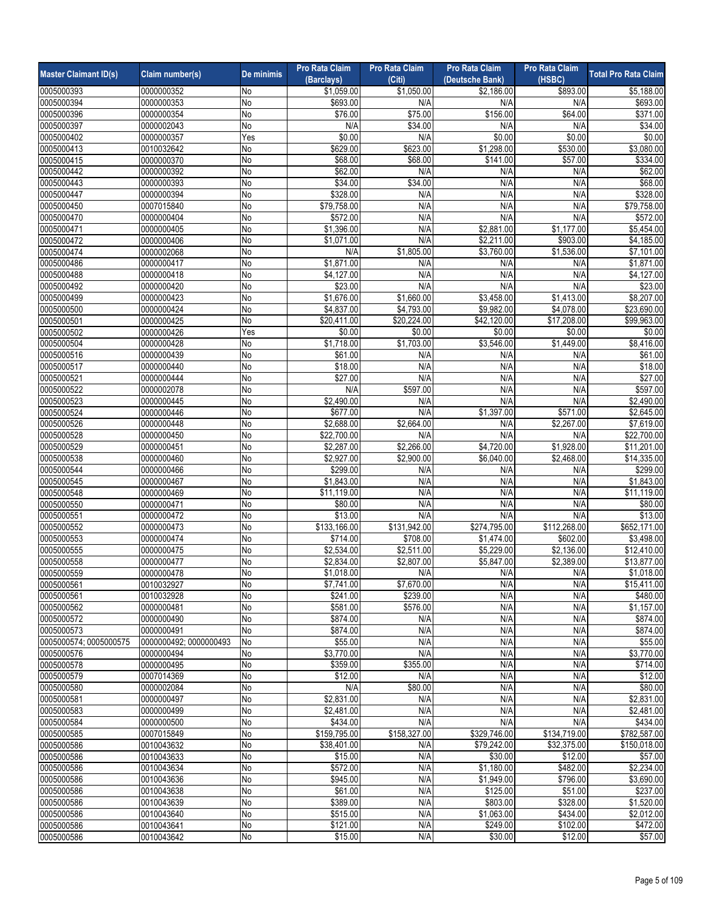| <b>Master Claimant ID(s)</b> | Claim number(s)        | De minimis | Pro Rata Claim         | <b>Pro Rata Claim</b> | Pro Rata Claim  | <b>Pro Rata Claim</b>  | <b>Total Pro Rata Claim</b> |
|------------------------------|------------------------|------------|------------------------|-----------------------|-----------------|------------------------|-----------------------------|
|                              |                        |            | (Barclays)             | (Citi)                | (Deutsche Bank) | (HSBC)                 |                             |
| 0005000393                   | 0000000352             | No         | \$1,059.00             | \$1,050.00            | \$2,186.00      | \$893.00               | \$5,188.00                  |
| 0005000394                   | 0000000353             | <b>No</b>  | \$693.00               | N/A                   | N/A             | N/A                    | \$693.00                    |
| 0005000396                   | 0000000354             | No         | \$76.00                | \$75.00               | \$156.00        | \$64.00                | \$371.00                    |
| 0005000397                   | 0000002043             | No         | N/A                    | \$34.00               | N/A             | N/A                    | \$34.00                     |
| 0005000402                   | 0000000357             | Yes        | \$0.00                 | N/A                   | \$0.00          | \$0.00                 | \$0.00                      |
| 0005000413                   | 0010032642             | <b>No</b>  | \$629.00               | \$623.00              | \$1,298.00      | \$530.00               | \$3,080.00                  |
| 0005000415                   | 0000000370             | No         | \$68.00                | \$68.00               | \$141.00        | \$57.00                | \$334.00                    |
| 0005000442                   | 0000000392             | <b>No</b>  | \$62.00                | N/A                   | N/A             | N/A                    | \$62.00                     |
| 0005000443                   | 0000000393             | No         | \$34.00                | \$34.00               | N/A             | N/A                    | \$68.00                     |
| 0005000447                   | 0000000394             | <b>No</b>  | \$328.00               | N/A                   | N/A             | N/A                    | \$328.00                    |
| 0005000450                   | 0007015840             | <b>No</b>  | \$79,758.00            | N/A                   | N/A             | N/A                    | \$79,758.00                 |
| 0005000470                   | 0000000404             | No         | \$572.00               | N/A                   | N/A             | N/A                    | \$572.00                    |
| 0005000471                   | 0000000405             | <b>No</b>  | \$1,396.00             | N/A                   | \$2,881.00      | $\overline{$1,177.00}$ | \$5,454.00                  |
| 0005000472                   | 0000000406             | <b>No</b>  | \$1,071.00             | N/A                   | \$2,211.00      | \$903.00               | \$4,185.00                  |
| 0005000474                   | 0000002068             | No         | N/A                    | \$1,805.00            | \$3,760.00      | \$1,536.00             | \$7,101.00                  |
| 0005000486                   | 0000000417             | No         | \$1,871.00             | N/A                   | N/A             | N/A                    | \$1,871.00                  |
| 0005000488                   | 0000000418             | No         | \$4,127.00             | N/A                   | N/A             | N/A                    | \$4,127.00                  |
| 0005000492                   | 0000000420             | <b>No</b>  | \$23.00                | N/A                   | N/A             | N/A                    | \$23.00                     |
| 0005000499                   | 0000000423             | <b>No</b>  | $\overline{$1,676.00}$ | \$1,660.00            | \$3,458.00      | \$1,413.00             | \$8,207.00                  |
| 0005000500                   | 0000000424             | No         | \$4,837.00             | \$4,793.00            | \$9,982.00      | \$4,078.00             | \$23,690.00                 |
| 0005000501                   | 0000000425             | No         | \$20,411.00            | \$20,224.00           | \$42,120.00     | \$17,208.00            | \$99,963.00                 |
| 0005000502                   | 0000000426             | Yes        | \$0.00                 | \$0.00                | \$0.00          | \$0.00                 | \$0.00                      |
| 0005000504                   | 0000000428             | No         | \$1,718.00             | \$1,703.00            | \$3,546.00      | $\overline{$1,449.00}$ | \$8,416.00                  |
| 0005000516                   | 0000000439             | <b>No</b>  | \$61.00                | N/A                   | N/A             | N/A                    | \$61.00                     |
| 0005000517                   | 0000000440             | <b>No</b>  | \$18.00                | N/A                   | N/A             | N/A                    | \$18.00                     |
| 0005000521                   | 0000000444             | No         | \$27.00                | N/A                   | N/A             | N/A                    | \$27.00                     |
| 0005000522                   | 0000002078             | <b>No</b>  | N/A                    | \$597.00              | N/A             | N/A                    | \$597.00                    |
| 0005000523                   | 0000000445             | No         | \$2,490.00             | N/A                   | N/A             | N/A                    | \$2,490.00                  |
| 0005000524                   | 0000000446             | No         | \$677.00               | N/A                   | \$1,397.00      | \$571.00               | \$2,645.00                  |
| 0005000526                   | 0000000448             | No         | \$2,688.00             | \$2,664.00            | N/A             | \$2,267.00             | \$7,619.00                  |
| 0005000528                   | 0000000450             | No         | \$22,700.00            | N/A                   | N/A             | N/A                    | \$22,700.00                 |
| 0005000529                   | 0000000451             | No         | \$2,287.00             | \$2,266.00            | \$4,720.00      | \$1,928.00             | \$11,201.00                 |
| 0005000538                   | 0000000460             | <b>No</b>  | \$2,927.00             | \$2,900.00            | \$6,040.00      | \$2,468.00             | \$14,335.00                 |
| 0005000544                   | 0000000466             | No         | \$299.00               | N/A                   | N/A             | N/A                    | \$299.00                    |
| 0005000545                   | 0000000467             | <b>No</b>  | \$1,843.00             | N/A                   | N/A             | N/A                    | \$1,843.00                  |
| 0005000548                   | 0000000469             | No         | \$11,119.00            | N/A                   | N/A             | N/A                    | \$11,119.00                 |
| 0005000550                   | 0000000471             | No         | \$80.00                | N/A                   | N/A             | N/A                    | \$80.00                     |
| 0005000551                   | 0000000472             | No         | \$13.00                | N/A                   | N/A             | N/A                    | \$13.00                     |
| 0005000552                   | 0000000473             | No         | \$133,166.00           | \$131,942.00          | \$274,795.00    | \$112,268.00           | \$652,171.00                |
| 0005000553                   | 0000000474             | No         | \$714.00               | \$708.00              | \$1,474.00      | \$602.00               | \$3,498.00                  |
| 0005000555                   | 0000000475             | No         | \$2,534.00             | \$2,511.00            | \$5,229.00      | $\overline{$2,136.00}$ | \$12,410.00                 |
| 0005000558                   | 0000000477             | No         | \$2.834.00             | \$2,807.00            | \$5,847.00      | \$2,389.00             | \$13,877.00                 |
| 0005000559                   | 0000000478             | No         | \$1,018.00             | N/A                   | N/A             | N/A                    | \$1.018.00                  |
| 0005000561                   | 0010032927             | No         | \$7,741.00             | \$7,670.00            | N/A             | N/A                    | \$15,411.00                 |
| 0005000561                   | 0010032928             | No         | \$241.00               | \$239.00              | N/A             | N/A                    | \$480.00                    |
| 0005000562                   | 0000000481             | <b>No</b>  | \$581.00               | \$576.00              | N/A             | N/A                    | \$1,157.00                  |
| 0005000572                   | 0000000490             | <b>No</b>  | \$874.00               | N/A                   | N/A             | N/A                    | \$874.00                    |
| 0005000573                   | 0000000491             | <b>No</b>  | \$874.00               | N/A                   | N/A             | N/A                    | \$874.00                    |
| 0005000574; 0005000575       | 0000000492; 0000000493 | No         | \$55.00                | N/A                   | N/A             | N/A                    | \$55.00                     |
| 0005000576                   | 0000000494             | <b>No</b>  | \$3,770.00             | N/A                   | N/A             | N/A                    | \$3,770.00                  |
| 0005000578                   | 0000000495             | No         | \$359.00               | \$355.00              | N/A             | N/A                    | \$714.00                    |
| 0005000579                   | 0007014369             | <b>No</b>  | \$12.00                | N/A                   | N/A             | N/A                    | \$12.00                     |
| 0005000580                   | 0000002084             | <b>No</b>  | N/A                    | \$80.00               | N/A             | N/A                    | \$80.00                     |
| 0005000581                   | 0000000497             | No         | \$2.831.00             | N/A                   | N/A             | N/A                    | \$2,831.00                  |
| 0005000583                   | 0000000499             | <b>No</b>  | \$2,481.00             | N/A                   | N/A             | N/A                    | \$2,481.00                  |
| 0005000584                   | 0000000500             | <b>No</b>  | \$434.00               | N/A                   | N/A             | N/A                    | \$434.00                    |
| 0005000585                   | 0007015849             | No         | \$159,795.00           | \$158,327.00          | \$329,746.00    | \$134,719.00           | \$782,587.00                |
| 0005000586                   | 0010043632             | <b>No</b>  | \$38,401.00            | N/A                   | \$79,242.00     | \$32,375.00            | \$150,018.00                |
| 0005000586                   | 0010043633             | <b>No</b>  | \$15.00                | N/A                   | \$30.00         | \$12.00                | \$57.00                     |
| 0005000586                   | 0010043634             | No         | \$572.00               | N/A                   | \$1,180.00      | \$482.00               | \$2,234.00                  |
| 0005000586                   | 0010043636             | <b>No</b>  | \$945.00               | N/A                   | \$1,949.00      | \$796.00               | \$3,690.00                  |
| 0005000586                   | 0010043638             | <b>No</b>  | \$61.00                | N/A                   | \$125.00        | \$51.00                | \$237.00                    |
| 0005000586                   | 0010043639             | No         | \$389.00               | N/A                   | \$803.00        | \$328.00               | \$1,520.00                  |
| 0005000586                   | 0010043640             | <b>No</b>  | \$515.00               | N/A                   | \$1,063.00      | \$434.00               | \$2,012.00                  |
| 0005000586                   | 0010043641             | <b>No</b>  | \$121.00               | N/A                   | \$249.00        | \$102.00               | \$472.00                    |
| 0005000586                   | 0010043642             | <b>No</b>  | \$15.00                | N/A                   | \$30.00         | \$12.00                | \$57.00                     |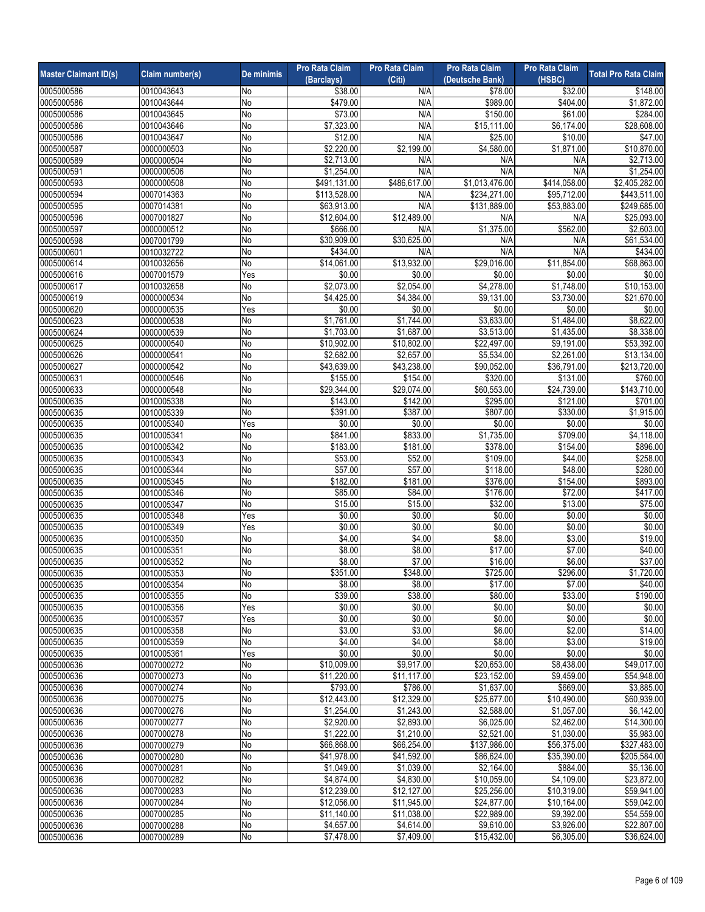| <b>Master Claimant ID(s)</b> |                 | De minimis | <b>Pro Rata Claim</b> | <b>Pro Rata Claim</b> | Pro Rata Claim     | <b>Pro Rata Claim</b> | <b>Total Pro Rata Claim</b> |
|------------------------------|-----------------|------------|-----------------------|-----------------------|--------------------|-----------------------|-----------------------------|
|                              | Claim number(s) |            | (Barclays)            | (Citi)                | (Deutsche Bank)    | (HSBC)                |                             |
| 0005000586                   | 0010043643      | No         | \$38.00               | N/A                   | \$78.00            | \$32.00               | \$148.00                    |
| 0005000586                   | 0010043644      | No         | \$479.00              | N/A                   | \$989.00           | \$404.00              | \$1,872.00                  |
| 0005000586                   | 0010043645      | No         | \$73.00               | N/A                   | \$150.00           | \$61.00               | \$284.00                    |
| 0005000586                   | 0010043646      | No         | \$7,323.00            | N/A                   | \$15,111.00        | \$6,174.00            | \$28,608.00                 |
| 0005000586                   | 0010043647      | No         | \$12.00               | N/A                   | \$25.00            | \$10.00               | \$47.00                     |
| 0005000587                   | 0000000503      | No         | \$2,220.00            | \$2,199.00            | \$4,580.00         | \$1,871.00            | \$10,870.00                 |
| 0005000589                   | 0000000504      | No         | \$2,713.00            | N/A                   | N/A                | N/A                   | \$2,713.00                  |
| 0005000591                   | 0000000506      | No         | \$1,254.00            | N/A                   | N/A                | N/A                   | \$1,254.00                  |
| 0005000593                   | 0000000508      | No         | \$491,131.00          | \$486,617.00          | \$1,013,476.00     | \$414,058.00          | \$2,405,282.00              |
| 0005000594                   | 0007014363      | No         | \$113,528.00          | N/A                   | \$234,271.00       | \$95,712.00           | \$443,511.00                |
| 0005000595                   | 0007014381      | No         | \$63,913.00           | N/A                   | \$131,889.00       | \$53,883.00           | \$249,685.00                |
| 0005000596                   | 0007001827      | No         | \$12,604.00           | \$12,489.00           | N/A                | N/A                   | \$25,093.00                 |
| 0005000597                   | 0000000512      | No         | \$666.00              | N/A                   | \$1,375.00         | \$562.00              | \$2,603.00                  |
| 0005000598                   | 0007001799      | No         | \$30,909.00           | \$30,625.00           | N/A                | N/A                   | \$61,534.00                 |
| 0005000601                   | 0010032722      | No         | \$434.00              | N/A                   | N/A                | N/A                   | \$434.00                    |
| 0005000614                   | 0010032656      | No         | \$14,061.00           | \$13,932.00           | \$29,016.00        | \$11,854.00           | \$68,863.00                 |
| 0005000616                   | 0007001579      | Yes        | \$0.00                | \$0.00                | \$0.00             | \$0.00                | \$0.00                      |
| 0005000617                   | 0010032658      | No         | \$2,073.00            | \$2,054.00            | \$4,278.00         | \$1,748.00            | \$10,153.00                 |
| 0005000619                   | 0000000534      | No         | \$4,425.00            | \$4,384.00            | \$9,131.00         | \$3,730.00            | \$21,670.00                 |
| 0005000620                   | 0000000535      | Yes        | \$0.00                | \$0.00                | \$0.00             | \$0.00                | \$0.00                      |
| 0005000623                   | 0000000538      | No         | \$1,761.00            | \$1,744.00            | \$3,633.00         | \$1,484.00            | \$8,622.00                  |
| 0005000624                   | 0000000539      | No         | \$1,703.00            | \$1,687.00            | \$3,513.00         | \$1,435.00            | \$8,338.00                  |
| 0005000625                   | 0000000540      | No         | \$10,902.00           | \$10,802.00           | \$22,497.00        | \$9,191.00            | \$53,392.00                 |
| 0005000626                   | 0000000541      | No         | \$2,682.00            | \$2,657.00            | \$5,534.00         | \$2,261.00            | \$13,134.00                 |
| 0005000627                   | 0000000542      | No         | \$43,639.00           | \$43,238.00           | \$90,052.00        | \$36,791.00           | \$213,720.00                |
| 0005000631                   | 0000000546      | No         | \$155.00              | \$154.00              | \$320.00           | \$131.00              | \$760.00                    |
| 0005000633                   | 0000000548      | No         | \$29,344.00           | \$29,074.00           | \$60,553.00        | \$24,739.00           | \$143,710.00                |
| 0005000635                   | 0010005338      | No         | \$143.00              | \$142.00              | \$295.00           | \$121.00              | \$701.00                    |
| 0005000635                   | 0010005339      | No         | \$391.00              | \$387.00              | \$807.00           | \$330.00              | \$1,915.00                  |
| 0005000635                   | 0010005340      | Yes        | \$0.00                | \$0.00                | \$0.00             | \$0.00                | \$0.00                      |
| 0005000635                   | 0010005341      | No         | \$841.00              | \$833.00              | \$1,735.00         | \$709.00              | \$4,118.00                  |
| 0005000635                   | 0010005342      | No         | \$183.00              | \$181.00              | \$378.00           | \$154.00              | \$896.00                    |
| 0005000635                   | 0010005343      | No         | \$53.00               | \$52.00               | \$109.00           | \$44.00               | \$258.00                    |
| 0005000635                   | 0010005344      | No         | \$57.00               | \$57.00               | \$118.00           | \$48.00               | \$280.00                    |
| 0005000635                   | 0010005345      | <b>No</b>  | \$182.00              | \$181.00              | \$376.00           | \$154.00              | \$893.00                    |
| 0005000635                   | 0010005346      | No         | \$85.00               | \$84.00               | \$176.00           | \$72.00               | \$417.00                    |
| 0005000635                   | 0010005347      | No         | \$15.00               | \$15.00               | \$32.00            | \$13.00               | \$75.00                     |
| 0005000635                   | 0010005348      | Yes        | \$0.00                | \$0.00                | \$0.00             | \$0.00                | \$0.00                      |
| 0005000635                   | 0010005349      | Yes        | \$0.00                | \$0.00                | \$0.00             | \$0.00                | \$0.00                      |
| 0005000635                   | 0010005350      | No         | \$4.00                | \$4.00                | \$8.00             | \$3.00                | \$19.00                     |
| 0005000635                   | 0010005351      | No         | \$8.00                | \$8.00                | \$17.00            | \$7.00                | \$40.00                     |
| 0005000635                   | 0010005352      | No         | \$8.00                | \$7.00                | \$16.00            | \$6.00                | \$37.00                     |
| 0005000635                   | 0010005353      | No         | \$351.00              | \$348.00              | \$725.00           | \$296.00              | \$1,720.00                  |
| 0005000635                   | 0010005354      | No         | \$8.00                | \$8.00                | \$17.00            | \$7.00                | \$40.00                     |
| 0005000635                   | 0010005355      | <b>No</b>  | \$39.00               | \$38.00               | \$80.00            | \$33.00               | \$190.00                    |
| 0005000635                   | 0010005356      | Yes        | \$0.00                | \$0.00                | \$0.00             | \$0.00                | \$0.00                      |
| 0005000635                   | 0010005357      | Yes        | \$0.00                | \$0.00                | \$0.00             | \$0.00                | \$0.00                      |
| 0005000635                   | 0010005358      | <b>No</b>  | \$3.00                | \$3.00                | \$6.00             | \$2.00                | \$14.00                     |
| 0005000635                   | 0010005359      | <b>No</b>  | \$4.00                | \$4.00                | \$8.00             | \$3.00                | \$19.00                     |
| 0005000635                   | 0010005361      | Yes        | \$0.00                | \$0.00                | \$0.00             | \$0.00                | \$0.00                      |
| 0005000636                   | 0007000272      | No         | \$10,009.00           | \$9,917.00            | \$20,653.00        | \$8,438.00            | \$49.017.00                 |
| 0005000636                   | 0007000273      | No         | \$11,220.00           | \$11,117.00           | \$23,152.00        | \$9,459.00            | \$54,948.00                 |
| 0005000636                   | 0007000274      | No         | \$793.00              | \$786.00              | \$1,637.00         | \$669.00              | \$3,885.00                  |
| 0005000636                   | 0007000275      | No         | \$12,443.00           | \$12,329.00           | \$25,677.00        | \$10,490.00           | \$60,939.00                 |
| 0005000636                   | 0007000276      | No         | \$1,254.00            | \$1,243.00            | \$2,588.00         | \$1,057.00            | \$6,142.00                  |
| 0005000636                   | 0007000277      | No         | \$2,920.00            | \$2,893.00            | \$6,025.00         | \$2,462.00            | \$14,300.00                 |
| 0005000636                   | 0007000278      | No         | \$1,222.00            | \$1,210.00            | \$2,521.00         | \$1,030.00            | \$5,983.00                  |
| 0005000636                   | 0007000279      | No         | \$66,868.00           | \$66,254.00           | \$137,986.00       | \$56,375.00           | \$327,483.00                |
| 0005000636                   | 0007000280      | No         | \$41,978.00           | \$41,592.00           | \$86,624.00        | \$35,390.00           | \$205,584.00                |
| 0005000636                   | 0007000281      | No         | \$1,049.00            | \$1,039.00            | $\sqrt{$2,164.00}$ | \$884.00              | \$5,136.00                  |
| 0005000636                   | 0007000282      | No         | \$4,874.00            | \$4,830.00            | \$10,059.00        | \$4,109.00            | \$23,872.00                 |
| 0005000636                   | 0007000283      | <b>No</b>  | \$12,239.00           | \$12,127.00           | \$25,256.00        | \$10,319.00           | \$59,941.00                 |
| 0005000636                   | 0007000284      | No         | \$12,056.00           | \$11,945.00           | \$24,877.00        | \$10,164.00           | \$59,042.00                 |
| 0005000636                   | 0007000285      | No         | \$11,140.00           | \$11,038.00           | \$22,989.00        | \$9,392.00            | \$54,559.00                 |
| 0005000636                   | 0007000288      | <b>No</b>  | \$4,657.00            | \$4,614.00            | \$9,610.00         | \$3,926.00            | \$22,807.00                 |
| 0005000636                   | 0007000289      | <b>No</b>  | \$7,478.00            | \$7,409.00            | \$15,432.00        | \$6,305.00            | \$36,624.00                 |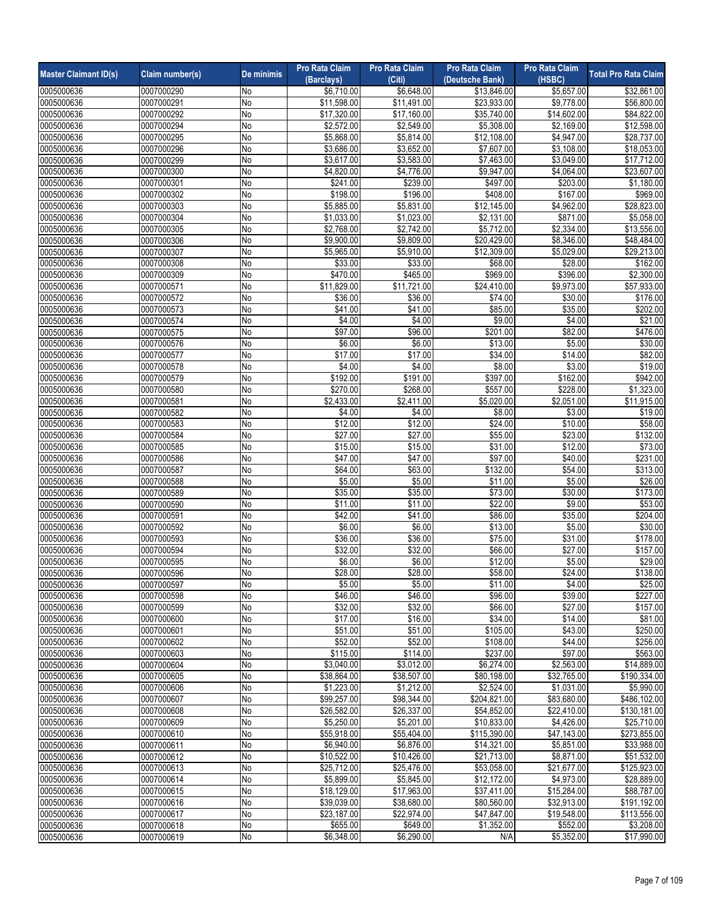| <b>Master Claimant ID(s)</b> | Claim number(s) | De minimis      | Pro Rata Claim | <b>Pro Rata Claim</b> | Pro Rata Claim  | <b>Pro Rata Claim</b> | <b>Total Pro Rata Claim</b> |
|------------------------------|-----------------|-----------------|----------------|-----------------------|-----------------|-----------------------|-----------------------------|
|                              |                 |                 | (Barclays)     | (Citi)                | (Deutsche Bank) | (HSBC)                |                             |
| 0005000636                   | 0007000290      | No              | \$6,710.00     | \$6,648.00            | \$13,846.00     | \$5,657.00            | \$32,861.00                 |
| 0005000636                   | 0007000291      | No              | \$11,598.00    | \$11,491.00           | \$23,933.00     | \$9,778.00            | \$56,800.00                 |
| 0005000636                   | 0007000292      | No              | \$17,320.00    | \$17,160.00           | \$35,740.00     | \$14,602.00           | \$84,822.00                 |
| 0005000636                   | 0007000294      | No              | \$2,572.00     | \$2,549.00            | \$5,308.00      | \$2,169.00            | \$12,598.00                 |
| 0005000636                   | 0007000295      | No              | \$5,868.00     | \$5,814.00            | \$12,108.00     | \$4,947.00            | \$28,737.00                 |
| 0005000636                   | 0007000296      | No              | \$3,686.00     | \$3,652.00            | \$7,607.00      | \$3,108.00            | \$18,053.00                 |
| 0005000636                   | 0007000299      | No              | \$3,617.00     | \$3,583.00            | \$7,463.00      | \$3,049.00            | \$17,712.00                 |
| 0005000636                   | 0007000300      | No              | \$4,820.00     | \$4,776.00            | \$9,947.00      | \$4,064.00            | \$23,607.00                 |
| 0005000636                   | 0007000301      | No              | \$241.00       | \$239.00              | \$497.00        | \$203.00              | \$1,180.00                  |
| 0005000636                   | 0007000302      | No              | \$198.00       | \$196.00              | \$408.00        | \$167.00              | \$969.00                    |
| 0005000636                   | 0007000303      | No              | \$5,885.00     | \$5,831.00            | \$12,145.00     | \$4,962.00            | \$28,823.00                 |
| 0005000636                   | 0007000304      | No              | \$1,033.00     | \$1,023.00            | \$2,131.00      | \$871.00              | \$5,058.00                  |
| 0005000636                   | 0007000305      | No              | \$2,768.00     | \$2,742.00            | \$5,712.00      | \$2,334.00            | \$13,556.00                 |
| 0005000636                   | 0007000306      | No              | \$9,900.00     | \$9,809.00            | \$20,429.00     | \$8,346.00            | \$48,484.00                 |
| 0005000636                   | 0007000307      | No              | \$5,965.00     | \$5,910.00            | \$12,309.00     | \$5,029.00            | \$29,213.00                 |
| 0005000636                   | 0007000308      | No              | \$33.00        | \$33.00               | \$68.00         | \$28.00               | \$162.00                    |
| 0005000636                   | 0007000309      | No              | \$470.00       | \$465.00              | \$969.00        | \$396.00              | \$2,300.00                  |
| 0005000636                   | 0007000571      | No              | \$11,829.00    | \$11,721.00           | \$24,410.00     | \$9,973.00            | \$57,933.00                 |
| 0005000636                   | 0007000572      | No              | \$36.00        | \$36.00               | \$74.00         | \$30.00               | \$176.00                    |
| 0005000636                   | 0007000573      | No              | \$41.00        | \$41.00               | \$85.00         | \$35.00               | \$202.00                    |
| 0005000636                   | 0007000574      | No              | \$4.00         | \$4.00                | \$9.00          | \$4.00                | \$21.00                     |
| 0005000636                   | 0007000575      | No              | \$97.00        | \$96.00               | \$201.00        | \$82.00               | \$476.00                    |
| 0005000636                   | 0007000576      | No              | \$6.00         | \$6.00                | \$13.00         | \$5.00                | \$30.00                     |
| 0005000636                   | 0007000577      | No              | \$17.00        | \$17.00               | \$34.00         | \$14.00               | \$82.00                     |
| 0005000636                   | 0007000578      | No              | \$4.00         | \$4.00                | \$8.00          | \$3.00                | \$19.00                     |
| 0005000636                   | 0007000579      | No              | \$192.00       | \$191.00              | \$397.00        | \$162.00              | \$942.00                    |
| 0005000636                   | 0007000580      | No              | \$270.00       | \$268.00              | \$557.00        | \$228.00              | \$1,323.00                  |
|                              | 0007000581      | No              | \$2,433.00     | \$2,411.00            | \$5,020.00      | \$2,051.00            | \$11,915.00                 |
| 0005000636<br>0005000636     | 0007000582      | No              | \$4.00         | \$4.00                | \$8.00          | \$3.00                | \$19.00                     |
|                              |                 | No              | \$12.00        | \$12.00               | \$24.00         | \$10.00               | \$58.00                     |
| 0005000636                   | 0007000583      |                 |                |                       |                 |                       |                             |
| 0005000636                   | 0007000584      | No              | \$27.00        | \$27.00               | \$55.00         | \$23.00               | \$132.00                    |
| 0005000636                   | 0007000585      | No              | \$15.00        | \$15.00               | \$31.00         | \$12.00               | \$73.00                     |
| 0005000636                   | 0007000586      | No              | \$47.00        | \$47.00               | \$97.00         | \$40.00               | \$231.00                    |
| 0005000636                   | 0007000587      | No<br><b>No</b> | \$64.00        | \$63.00               | \$132.00        | \$54.00               | \$313.00                    |
| 0005000636                   | 0007000588      |                 | \$5.00         | \$5.00                | \$11.00         | \$5.00                | \$26.00                     |
| 0005000636                   | 0007000589      | No              | \$35.00        | \$35.00               | \$73.00         | \$30.00               | \$173.00                    |
| 0005000636                   | 0007000590      | No              | \$11.00        | \$11.00               | \$22.00         | \$9.00                | \$53.00                     |
| 0005000636                   | 0007000591      | No              | \$42.00        | \$41.00               | \$86.00         | \$35.00               | \$204.00                    |
| 0005000636                   | 0007000592      | No              | \$6.00         | \$6.00                | \$13.00         | \$5.00                | \$30.00                     |
| 0005000636                   | 0007000593      | No              | \$36.00        | \$36.00               | \$75.00         | \$31.00               | \$178.00                    |
| 0005000636                   | 0007000594      | No              | \$32.00        | \$32.00               | \$66.00         | \$27.00               | \$157.00                    |
| 0005000636                   | 0007000595      | No              | \$6.00         | \$6.00                | \$12.00         | \$5.00                | \$29.00                     |
| 0005000636                   | 0007000596      | No              | \$28.00        | \$28.00               | \$58.00         | \$24.00               | \$138.00                    |
| 0005000636                   | 0007000597      | No              | \$5.00         | \$5.00                | \$11.00         | \$4.00                | \$25.00                     |
| 0005000636                   | 0007000598      | <b>No</b>       | \$46.00        | \$46.00               | \$96.00         | \$39.00               | \$227.00                    |
| 0005000636                   | 0007000599      | <b>No</b>       | \$32.00        | \$32.00               | \$66.00         | \$27.00               | \$157.00                    |
| 0005000636                   | 0007000600      | No              | \$17.00        | \$16.00               | \$34.00         | \$14.00               | \$81.00                     |
| 0005000636                   | 0007000601      | <b>No</b>       | \$51.00        | \$51.00               | \$105.00        | \$43.00               | \$250.00                    |
| 0005000636                   | 0007000602      | <b>No</b>       | \$52.00        | \$52.00               | \$108.00        | \$44.00               | \$256.00                    |
| 0005000636                   | 0007000603      | No              | \$115.00       | \$114.00              | \$237.00        | \$97.00               | \$563.00                    |
| 0005000636                   | 0007000604      | No              | \$3,040.00     | \$3,012.00            | \$6,274.00      | \$2,563.00            | \$14,889.00                 |
| 0005000636                   | 0007000605      | <b>No</b>       | \$38,864.00    | \$38,507.00           | \$80,198.00     | \$32,765.00           | \$190,334.00                |
| 0005000636                   | 0007000606      | No              | \$1,223.00     | \$1.212.00            | \$2,524.00      | \$1,031.00            | \$5,990.00                  |
| 0005000636                   | 0007000607      | No              | \$99,257.00    | \$98,344.00           | \$204,821.00    | \$83,680.00           | \$486,102.00                |
| 0005000636                   | 0007000608      | No              | \$26,582.00    | \$26,337.00           | \$54,852.00     | \$22,410.00           | \$130,181.00                |
| 0005000636                   | 0007000609      | No              | \$5,250.00     | \$5,201.00            | \$10,833.00     | \$4,426.00            | \$25,710.00                 |
| 0005000636                   | 0007000610      | No              | \$55,918.00    | \$55,404.00           | \$115,390.00    | \$47,143.00           | \$273,855.00                |
| 0005000636                   | 0007000611      | No              | \$6,940.00     | \$6,876.00            | \$14,321.00     | \$5,851.00            | \$33,988.00                 |
| 0005000636                   | 0007000612      | No              | \$10,522.00    | \$10,426.00           | \$21,713.00     | \$8,871.00            | \$51,532.00                 |
| 0005000636                   | 0007000613      | No              | \$25,712.00    | \$25,476.00           | \$53,058.00     | \$21,677.00           | \$125,923.00                |
| 0005000636                   | 0007000614      | No              | \$5,899.00     | \$5,845.00            | \$12,172.00     | \$4,973.00            | \$28,889.00                 |
| 0005000636                   | 0007000615      | <b>No</b>       | \$18,129.00    | \$17,963.00           | \$37,411.00     | \$15,284.00           | \$88,787.00                 |
| 0005000636                   | 0007000616      | No              | \$39,039.00    | \$38,680.00           | \$80,560.00     | \$32,913.00           | \$191,192.00                |
| 0005000636                   | 0007000617      | No              | \$23,187.00    | \$22,974.00           | \$47,847.00     | \$19,548.00           | \$113,556.00                |
| 0005000636                   | 0007000618      | <b>No</b>       | \$655.00       | \$649.00              | \$1,352.00      | \$552.00              | \$3,208.00                  |
| 0005000636                   | 0007000619      | <b>No</b>       | \$6,348.00     | \$6,290.00            | N/A             | \$5,352.00            | \$17,990.00                 |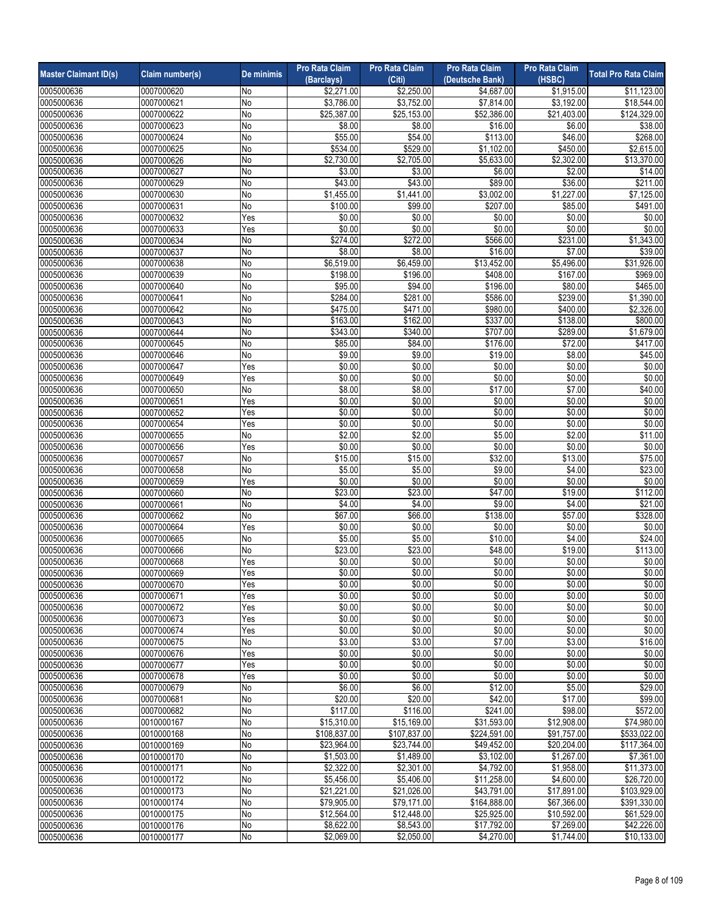| <b>Master Claimant ID(s)</b> | Claim number(s) | De minimis | Pro Rata Claim | Pro Rata Claim | Pro Rata Claim  | <b>Pro Rata Claim</b> | <b>Total Pro Rata Claim</b> |
|------------------------------|-----------------|------------|----------------|----------------|-----------------|-----------------------|-----------------------------|
|                              |                 |            | (Barclays)     | (Citi)         | (Deutsche Bank) | (HSBC)                |                             |
| 0005000636                   | 0007000620      | No         | \$2,271.00     | \$2,250.00     | \$4,687.00      | \$1,915.00            | \$11,123.00                 |
| 0005000636                   | 0007000621      | No         | \$3,786.00     | \$3,752.00     | \$7.814.00      | \$3,192.00            | \$18,544.00                 |
| 0005000636                   | 0007000622      | No         | \$25,387.00    | \$25,153.00    | \$52,386.00     | \$21,403.00           | \$124,329.00                |
| 0005000636                   | 0007000623      | No         | \$8.00         | \$8.00         | \$16.00         | \$6.00                | \$38.00                     |
| 0005000636                   | 0007000624      | No         | \$55.00        | \$54.00        | \$113.00        | \$46.00               | \$268.00                    |
| 0005000636                   | 0007000625      | No         | \$534.00       | \$529.00       | \$1,102.00      | \$450.00              | \$2,615.00                  |
| 0005000636                   | 0007000626      | No         | \$2,730.00     | \$2,705.00     | \$5,633.00      | \$2,302.00            | \$13,370.00                 |
| 0005000636                   | 0007000627      | No         | \$3.00         | \$3.00         | \$6.00          | \$2.00                | \$14.00                     |
| 0005000636                   | 0007000629      | No         | \$43.00        | \$43.00        | \$89.00         | \$36.00               | \$211.00                    |
| 0005000636                   | 0007000630      | No         | \$1,455.00     | \$1,441.00     | \$3,002.00      | \$1,227.00            | \$7,125.00                  |
| 0005000636                   | 0007000631      | No         | \$100.00       | \$99.00        | \$207.00        | \$85.00               | \$491.00                    |
| 0005000636                   | 0007000632      | Yes        | \$0.00         | \$0.00         | \$0.00          | \$0.00                | \$0.00                      |
| 0005000636                   | 0007000633      | Yes        | \$0.00         | \$0.00         | \$0.00          | \$0.00                | \$0.00                      |
| 0005000636                   | 0007000634      | No         | \$274.00       | \$272.00       | \$566.00        | \$231.00              | \$1,343.00                  |
| 0005000636                   | 0007000637      | No         | \$8.00         | \$8.00         | \$16.00         | \$7.00                | \$39.00                     |
|                              |                 |            |                |                |                 |                       |                             |
| 0005000636                   | 0007000638      | No         | \$6,519.00     | \$6,459.00     | \$13,452.00     | \$5,496.00            | \$31,926.00                 |
| 0005000636                   | 0007000639      | No         | \$198.00       | \$196.00       | \$408.00        | \$167.00              | \$969.00                    |
| 0005000636                   | 0007000640      | No         | \$95.00        | \$94.00        | \$196.00        | \$80.00               | \$465.00                    |
| 0005000636                   | 0007000641      | No         | \$284.00       | \$281.00       | \$586.00        | \$239.00              | \$1,390.00                  |
| 0005000636                   | 0007000642      | No         | \$475.00       | \$471.00       | \$980.00        | \$400.00              | \$2,326.00                  |
| 0005000636                   | 0007000643      | No         | \$163.00       | \$162.00       | \$337.00        | \$138.00              | \$800.00                    |
| 0005000636                   | 0007000644      | No         | \$343.00       | \$340.00       | \$707.00        | \$289.00              | \$1,679.00                  |
| 0005000636                   | 0007000645      | No         | \$85.00        | \$84.00        | \$176.00        | \$72.00               | \$417.00                    |
| 0005000636                   | 0007000646      | No         | \$9.00         | \$9.00         | \$19.00         | \$8.00                | \$45.00                     |
| 0005000636                   | 0007000647      | Yes        | \$0.00         | \$0.00         | \$0.00          | \$0.00                | \$0.00                      |
| 0005000636                   | 0007000649      | Yes        | \$0.00         | \$0.00         | \$0.00          | \$0.00                | \$0.00                      |
| 0005000636                   | 0007000650      | No         | \$8.00         | \$8.00         | \$17.00         | \$7.00                | \$40.00                     |
| 0005000636                   | 0007000651      | Yes        | \$0.00         | \$0.00         | \$0.00          | \$0.00                | \$0.00                      |
| 0005000636                   | 0007000652      | Yes        | \$0.00         | \$0.00         | \$0.00          | \$0.00                | \$0.00                      |
| 0005000636                   | 0007000654      | Yes        | \$0.00         | \$0.00         | \$0.00          | \$0.00                | \$0.00                      |
| 0005000636                   | 0007000655      | No         | \$2.00         | \$2.00         | \$5.00          | \$2.00                | \$11.00                     |
| 0005000636                   | 0007000656      | Yes        | \$0.00         | \$0.00         | \$0.00          | \$0.00                | \$0.00                      |
| 0005000636                   | 0007000657      | No         | \$15.00        | \$15.00        | \$32.00         | \$13.00               | \$75.00                     |
| 0005000636                   | 0007000658      | No         | \$5.00         | \$5.00         | \$9.00          | \$4.00                | \$23.00                     |
| 0005000636                   | 0007000659      | Yes        | \$0.00         | \$0.00         | \$0.00          | \$0.00                | \$0.00                      |
| 0005000636                   | 0007000660      | <b>No</b>  | \$23.00        | \$23.00        | \$47.00         | \$19.00               | \$112.00                    |
|                              | 0007000661      | No         | \$4.00         | \$4.00         | \$9.00          | \$4.00                | \$21.00                     |
| 0005000636<br>0005000636     | 0007000662      | No         | \$67.00        | \$66.00        | \$138.00        | \$57.00               | \$328.00                    |
|                              |                 |            | \$0.00         |                | \$0.00          | \$0.00                |                             |
| 0005000636                   | 0007000664      | Yes        |                | \$0.00         |                 |                       | \$0.00                      |
| 0005000636                   | 0007000665      | No         | \$5.00         | \$5.00         | \$10.00         | \$4.00                | \$24.00                     |
| 0005000636                   | 0007000666      | <b>No</b>  | \$23.00        | \$23.00        | \$48.00         | \$19.00               | \$113.00                    |
| 0005000636                   | 0007000668      | Yes        | \$0.00         | \$0.00         | \$0.00          | \$0.00                | \$0.00                      |
| 0005000636                   | 0007000669      | Yes        | \$0.00         | \$0.00         | \$0.00          | \$0.00                | \$0.00                      |
| 0005000636                   | 0007000670      | Yes        | \$0.00         | \$0.00         | \$0.00          | \$0.00                | \$0.00                      |
| 0005000636                   | 0007000671      | Yes        | \$0.00         | \$0.00         | \$0.00          | \$0.00                | \$0.00                      |
| 0005000636                   | 0007000672      | Yes        | \$0.00         | \$0.00         | \$0.00          | \$0.00                | \$0.00                      |
| 0005000636                   | 0007000673      | Yes        | \$0.00         | \$0.00         | \$0.00          | \$0.00                | \$0.00                      |
| 0005000636                   | 0007000674      | Yes        | \$0.00         | \$0.00         | \$0.00          | \$0.00                | \$0.00                      |
| 0005000636                   | 0007000675      | No         | \$3.00         | \$3.00         | \$7.00          | \$3.00                | \$16.00                     |
| 0005000636                   | 0007000676      | Yes        | \$0.00         | \$0.00         | \$0.00          | \$0.00                | \$0.00                      |
| 0005000636                   | 0007000677      | Yes        | \$0.00         | \$0.00         | \$0.00          | \$0.00                | \$0.00                      |
| 0005000636                   | 0007000678      | Yes        | \$0.00         | \$0.00         | \$0.00          | \$0.00                | \$0.00                      |
| 0005000636                   | 0007000679      | No         | \$6.00         | \$6.00         | \$12.00         | \$5.00                | \$29.00                     |
| 0005000636                   | 0007000681      | No         | \$20.00        | \$20.00        | \$42.00         | \$17.00               | \$99.00                     |
| 0005000636                   | 0007000682      | No         | \$117.00       | \$116.00       | \$241.00        | \$98.00               | \$572.00                    |
| 0005000636                   | 0010000167      | No         | \$15,310.00    | \$15,169.00    | \$31,593.00     | \$12,908.00           | \$74,980.00                 |
| 0005000636                   | 0010000168      | No         | \$108,837.00   | \$107,837.00   | \$224,591.00    | \$91,757.00           | \$533,022.00                |
| 0005000636                   | 0010000169      | No         | \$23,964.00    | \$23,744.00    | \$49,452.00     | \$20,204.00           | \$117,364.00                |
| 0005000636                   | 0010000170      | No         | \$1,503.00     | \$1,489.00     | \$3,102.00      | \$1,267.00            | \$7,361.00                  |
| 0005000636                   | 0010000171      | No         | \$2,322.00     | \$2,301.00     | \$4,792.00      | \$1,958.00            | \$11,373.00                 |
| 0005000636                   | 0010000172      | No         | \$5,456.00     | \$5,406.00     | \$11,258.00     | \$4,600.00            | \$26,720.00                 |
| 0005000636                   | 0010000173      | <b>No</b>  | \$21,221.00    | \$21,026.00    | \$43,791.00     | \$17,891.00           | \$103,929.00                |
| 0005000636                   | 0010000174      | <b>No</b>  | \$79,905.00    | \$79,171.00    | \$164,888.00    | \$67,366.00           | \$391,330.00                |
| 0005000636                   | 0010000175      | No         | \$12,564.00    | \$12,448.00    | \$25,925.00     | \$10,592.00           | \$61,529.00                 |
| 0005000636                   | 0010000176      | <b>No</b>  | \$8,622.00     |                | \$17,792.00     | \$7,269.00            | \$42,226.00                 |
|                              |                 |            |                | \$8,543.00     |                 |                       |                             |
| 0005000636                   | 0010000177      | <b>No</b>  | \$2,069.00     | \$2,050.00     | \$4,270.00      | \$1,744.00            | \$10,133.00                 |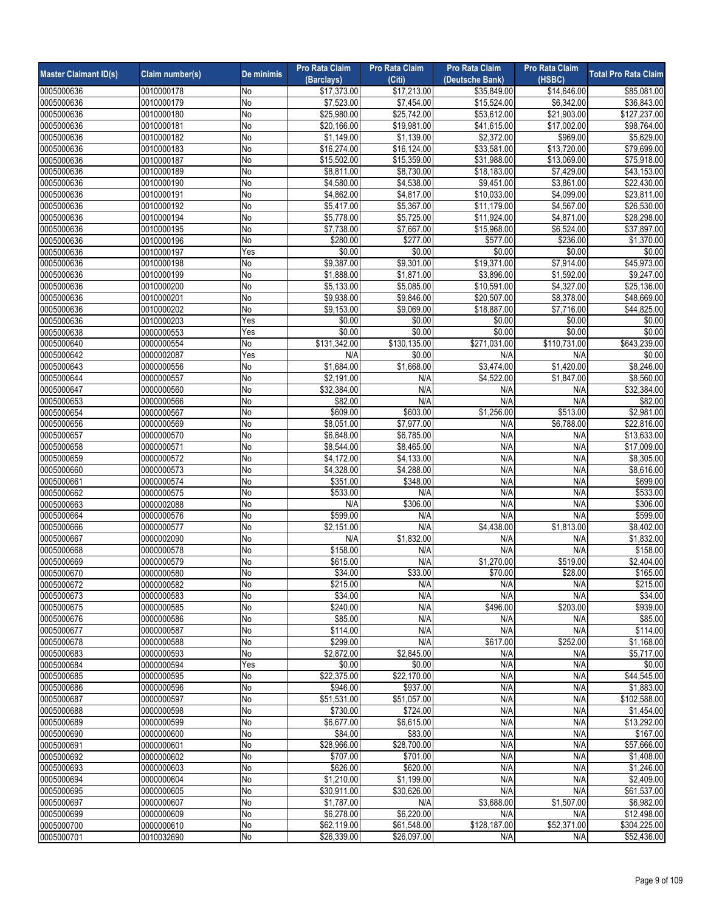| <b>Master Claimant ID(s)</b> | Claim number(s) | De minimis | Pro Rata Claim | <b>Pro Rata Claim</b> | Pro Rata Claim  | <b>Pro Rata Claim</b> | Total Pro Rata Claim |
|------------------------------|-----------------|------------|----------------|-----------------------|-----------------|-----------------------|----------------------|
|                              |                 |            | (Barclays)     | (Citi)                | (Deutsche Bank) | (HSBC)                |                      |
| 0005000636                   | 0010000178      | No         | \$17,373.00    | \$17,213.00           | \$35,849.00     | \$14,646.00           | \$85,081.00          |
| 0005000636                   | 0010000179      | No         | \$7,523.00     | \$7,454.00            | \$15,524.00     | \$6,342.00            | \$36,843.00          |
| 0005000636                   | 0010000180      | No         | \$25,980.00    | \$25,742.00           | \$53,612.00     | \$21,903.00           | \$127,237.00         |
| 0005000636                   | 0010000181      | No         | \$20,166.00    | \$19,981.00           | \$41,615.00     | \$17,002.00           | \$98,764.00          |
| 0005000636                   | 0010000182      | No         | \$1,149.00     | \$1,139.00            | \$2,372.00      | \$969.00              | \$5,629.00           |
| 0005000636                   | 0010000183      | No         | \$16,274.00    | \$16,124.00           | \$33,581.00     | \$13,720.00           | \$79,699.00          |
| 0005000636                   | 0010000187      | No         | \$15,502.00    | \$15,359.00           | \$31,988.00     | \$13,069.00           | \$75,918.00          |
| 0005000636                   | 0010000189      | No         | \$8,811.00     | \$8,730.00            | \$18,183.00     | \$7,429.00            | \$43,153.00          |
| 0005000636                   | 0010000190      | No         | \$4,580.00     | \$4,538.00            | \$9,451.00      | \$3,861.00            | \$22,430.00          |
| 0005000636                   | 0010000191      | No         | \$4,862.00     | \$4,817.00            | \$10,033.00     | \$4,099.00            | \$23,811.00          |
| 0005000636                   | 0010000192      | No         | \$5,417.00     | \$5,367.00            | \$11,179.00     | \$4,567.00            | \$26,530.00          |
| 0005000636                   | 0010000194      | No         | \$5,778.00     | \$5,725.00            | \$11,924.00     | \$4,871.00            | \$28,298.00          |
| 0005000636                   | 0010000195      | No         | \$7,738.00     | \$7,667.00            | \$15,968.00     | \$6,524.00            | \$37,897.00          |
| 0005000636                   | 0010000196      | No         | \$280.00       | \$277.00              | \$577.00        | \$236.00              | \$1,370.00           |
| 0005000636                   | 0010000197      | Yes        | \$0.00         | \$0.00                | \$0.00          | \$0.00                | \$0.00               |
| 0005000636                   | 0010000198      | No         | \$9,387.00     | \$9,301.00            | \$19,371.00     | \$7,914.00            | \$45,973.00          |
| 0005000636                   | 0010000199      | No         | \$1,888.00     | \$1,871.00            | \$3,896.00      | \$1,592.00            | \$9,247.00           |
| 0005000636                   | 0010000200      | No         | \$5,133.00     | \$5,085.00            | \$10,591.00     | \$4,327.00            | \$25,136.00          |
| 0005000636                   | 0010000201      | No         | \$9,938.00     | \$9,846.00            | \$20,507.00     | \$8,378.00            | \$48,669.00          |
| 0005000636                   | 0010000202      | No         | \$9,153.00     | \$9,069.00            | \$18,887.00     | \$7,716.00            | \$44,825.00          |
| 0005000636                   | 0010000203      | Yes        | \$0.00         | \$0.00                | \$0.00          | \$0.00                | \$0.00               |
| 0005000638                   | 0000000553      | Yes        | \$0.00         | \$0.00                | \$0.00          | \$0.00                | \$0.00               |
| 0005000640                   | 0000000554      | No         | \$131,342.00   | \$130,135.00          | \$271,031.00    | \$110,731.00          | \$643,239.00         |
| 0005000642                   | 0000002087      | Yes        | N/A            | \$0.00                | N/A             | N/A                   | \$0.00               |
| 0005000643                   | 0000000556      | No         | \$1,684.00     | \$1,668.00            | \$3,474.00      | \$1.420.00            | \$8,246.00           |
| 0005000644                   | 0000000557      | No         | \$2,191.00     | N/A                   | \$4,522.00      | \$1,847.00            | \$8,560.00           |
| 0005000647                   | 0000000560      | No         | \$32,384.00    | N/A                   | N/A             | N/A                   | \$32,384.00          |
| 0005000653                   | 0000000566      | No         | \$82.00        | N/A                   | N/A             | N/A                   | \$82.00              |
| 0005000654                   | 0000000567      | No         | \$609.00       | \$603.00              | \$1,256.00      | \$513.00              | \$2,981.00           |
| 0005000656                   | 0000000569      | No         | \$8,051.00     | \$7,977.00            | N/A             | \$6,788.00            | \$22,816.00          |
| 0005000657                   | 0000000570      | No         | \$6,848.00     | \$6,785.00            | N/A             | N/A                   | \$13,633.00          |
| 0005000658                   | 0000000571      | No         | \$8,544.00     | \$8,465.00            | N/A             | N/A                   | \$17,009.00          |
| 0005000659                   | 0000000572      | No         | \$4,172.00     | \$4,133.00            | N/A             | N/A                   | \$8,305.00           |
| 0005000660                   | 0000000573      | No         | \$4,328.00     | \$4,288.00            | N/A             | N/A                   | \$8,616.00           |
| 0005000661                   | 0000000574      | No         | \$351.00       | \$348.00              | N/A             | N/A                   | \$699.00             |
| 0005000662                   | 0000000575      | No         | \$533.00       | N/A                   | N/A             | N/A                   | \$533.00             |
| 0005000663                   | 0000002088      | No         | N/A            | \$306.00              | N/A             | N/A                   | \$306.00             |
| 0005000664                   | 0000000576      | No         | \$599.00       | N/A                   | N/A             | N/A                   | \$599.00             |
| 0005000666                   | 0000000577      | No         | \$2,151.00     | N/A                   | \$4,438.00      | \$1,813.00            | \$8,402.00           |
| 0005000667                   | 0000002090      | No         | N/A            | \$1,832.00            | N/A             | N/A                   | \$1,832.00           |
| 0005000668                   | 0000000578      | No         | \$158.00       | N/A                   | N/A             | N/A                   | \$158.00             |
| 0005000669                   | 0000000579      | No         | \$615.00       | N/A                   | \$1,270.00      | \$519.00              | \$2,404.00           |
| 0005000670                   | 0000000580      | No         | \$34.00        | \$33.00               | \$70.00         | \$28.00               | \$165.00             |
| 0005000672                   | 0000000582      | No         | \$215.00       | N/A                   | N/A             | N/A                   | \$215.00             |
| 0005000673                   | 0000000583      | No         | \$34.00        | N/A                   | N/A             | N/A                   | \$34.00              |
| 0005000675                   | 0000000585      | No         | \$240.00       | N/A                   | \$496.00        | \$203.00              | \$939.00             |
| 0005000676                   | 0000000586      | No         | \$85.00        | N/A                   | N/A             | N/A                   | \$85.00              |
| 0005000677                   | 0000000587      | No         | \$114.00       | N/A                   | N/A             | N/A                   | \$114.00             |
| 0005000678                   | 0000000588      | <b>No</b>  | \$299.00       | N/A                   | \$617.00        | \$252.00              | \$1,168.00           |
| 0005000683                   | 0000000593      | No         | \$2,872.00     | \$2,845.00            | N/A             | N/A                   | \$5,717.00           |
| 0005000684                   | 0000000594      | Yes        | \$0.00         | \$0.00                | N/A             | N/A                   | \$0.00               |
| 0005000685                   | 0000000595      | <b>No</b>  | \$22,375.00    | \$22,170.00           | N/A             | N/A                   | \$44.545.00          |
| 0005000686                   | 0000000596      | No         | \$946.00       | \$937.00              | N/A             | N/A                   | \$1.883.00           |
| 0005000687                   | 0000000597      | No         | \$51.531.00    | \$51,057.00           | N/A             | N/A                   | \$102.588.00         |
| 0005000688                   | 0000000598      | No         | \$730.00       | \$724.00              | N/A             | N/A                   | \$1,454.00           |
| 0005000689                   | 0000000599      | No         | \$6,677.00     | \$6,615.00            | N/A             | N/A                   | \$13.292.00          |
| 0005000690                   | 0000000600      | No         | \$84.00        | \$83.00               | N/A             | N/A                   | \$167.00             |
| 0005000691                   | 0000000601      | <b>No</b>  | \$28,966.00    | \$28,700.00           | N/A             | N/A                   | \$57,666.00          |
| 0005000692                   | 0000000602      | No         | \$707.00       | \$701.00              | N/A             | N/A                   | \$1,408.00           |
| 0005000693                   | 0000000603      | No         | \$626.00       | \$620.00              | N/A             | N/A                   | \$1,246.00           |
| 0005000694                   | 0000000604      | No         | \$1,210.00     | \$1,199.00            | N/A             | N/A                   | \$2,409.00           |
| 0005000695                   | 0000000605      | <b>No</b>  | \$30,911.00    | \$30,626.00           | N/A             | N/A                   | \$61,537.00          |
| 0005000697                   | 0000000607      | No         | \$1,787.00     | N/A                   | \$3,688.00      | \$1,507.00            | \$6,982.00           |
| 0005000699                   | 0000000609      | No         | \$6,278.00     | \$6,220.00            | N/A             | N/A                   | \$12,498.00          |
| 0005000700                   | 0000000610      | <b>No</b>  | \$62,119.00    | \$61,548.00           | \$128,187.00    | \$52,371.00           | \$304,225.00         |
| 0005000701                   | 0010032690      | <b>No</b>  | \$26,339.00    | \$26,097.00           | N/A             | N/A                   | \$52,436.00          |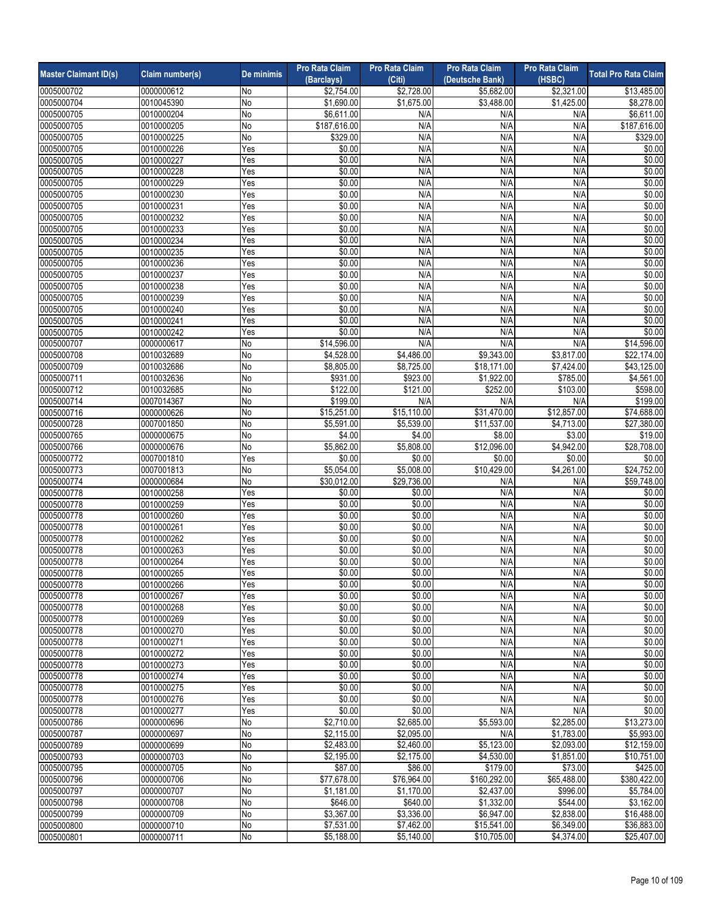| <b>Master Claimant ID(s)</b> | Claim number(s) | De minimis | Pro Rata Claim | <b>Pro Rata Claim</b> | Pro Rata Claim  | <b>Pro Rata Claim</b>  | Total Pro Rata Claim |
|------------------------------|-----------------|------------|----------------|-----------------------|-----------------|------------------------|----------------------|
|                              |                 |            | (Barclays)     | (Citi)                | (Deutsche Bank) | (HSBC)                 |                      |
| 0005000702                   | 0000000612      | No         | \$2,754.00     | \$2,728.00            | \$5,682.00      | \$2,321.00             | \$13,485.00          |
| 0005000704                   | 0010045390      | No         | \$1,690.00     | \$1,675.00            | \$3,488.00      | $\overline{$1,425.00}$ | \$8,278.00           |
| 0005000705                   | 0010000204      | No         | \$6,611.00     | N/A                   | N/A             | N/A                    | \$6,611.00           |
| 0005000705                   | 0010000205      | No         | \$187,616.00   | N/A                   | N/A             | N/A                    | \$187,616.00         |
| 0005000705                   | 0010000225      | No         | \$329.00       | N/A                   | N/A             | N/A                    | \$329.00             |
| 0005000705                   | 0010000226      | Yes        | \$0.00         | N/A                   | N/A             | N/A                    | \$0.00               |
| 0005000705                   | 0010000227      | Yes        | \$0.00         | N/A                   | N/A             | N/A                    | \$0.00               |
| 0005000705                   | 0010000228      | Yes        | \$0.00         | N/A                   | N/A             | N/A                    | \$0.00               |
| 0005000705                   | 0010000229      | Yes        | \$0.00         | N/A                   | N/A             | N/A                    | \$0.00               |
| 0005000705                   | 0010000230      | Yes        | \$0.00         | N/A                   | N/A             | N/A                    | \$0.00               |
| 0005000705                   | 0010000231      | Yes        | \$0.00         | N/A                   | N/A             | N/A                    | \$0.00               |
| 0005000705                   | 0010000232      | Yes        | \$0.00         | N/A                   | N/A             | N/A                    | \$0.00               |
| 0005000705                   | 0010000233      | Yes        | \$0.00         | N/A                   | N/A             | N/A                    | \$0.00               |
| 0005000705                   | 0010000234      | Yes        | \$0.00         | N/A                   | N/A             | N/A                    | \$0.00               |
| 0005000705                   | 0010000235      | Yes        | \$0.00         | N/A                   | N/A             | N/A                    | \$0.00               |
| 0005000705                   | 0010000236      | Yes        | \$0.00         | N/A                   | N/A             | N/A                    | \$0.00               |
| 0005000705                   | 0010000237      | Yes        | \$0.00         | N/A                   | N/A             | N/A                    | \$0.00               |
| 0005000705                   | 0010000238      | Yes        | \$0.00         | N/A                   | N/A             | N/A                    | \$0.00               |
| 0005000705                   | 0010000239      | Yes        | \$0.00         | N/A                   | N/A             | N/A                    | \$0.00               |
| 0005000705                   | 0010000240      | Yes        | \$0.00         | N/A                   | N/A             | N/A                    | \$0.00               |
| 0005000705                   | 0010000241      | Yes        | \$0.00         | N/A                   | N/A             | N/A                    | \$0.00               |
| 0005000705                   | 0010000242      | Yes        | \$0.00         | N/A                   | N/A             | N/A                    | \$0.00               |
| 0005000707                   | 0000000617      | No         | \$14,596.00    | N/A                   | N/A             | N/A                    | \$14,596.00          |
| 0005000708                   | 0010032689      | No         | \$4,528.00     | \$4,486.00            | \$9,343.00      | \$3,817.00             | \$22,174.00          |
| 0005000709                   | 0010032686      | No         | \$8,805.00     | \$8,725.00            | \$18,171.00     | \$7,424.00             | \$43,125.00          |
| 0005000711                   | 0010032636      | No         | \$931.00       | \$923.00              | \$1,922.00      | \$785.00               | \$4,561.00           |
| 0005000712                   | 0010032685      | No         | \$122.00       | \$121.00              | \$252.00        | \$103.00               | \$598.00             |
| 0005000714                   | 0007014367      | No         | \$199.00       | N/A                   | N/A             | N/A                    | \$199.00             |
| 0005000716                   | 0000000626      | No         | \$15,251.00    | \$15,110.00           | \$31,470.00     | \$12,857.00            | \$74,688.00          |
| 0005000728                   | 0007001850      | No         | \$5,591.00     | \$5,539.00            | \$11,537.00     | \$4,713.00             | \$27,380.00          |
| 0005000765                   | 0000000675      | No         | \$4.00         | \$4.00                | \$8.00          | \$3.00                 | \$19.00              |
| 0005000766                   | 0000000676      | No         | \$5,862.00     | \$5,808.00            | \$12,096.00     | \$4,942.00             | \$28,708.00          |
| 0005000772                   | 0007001810      | Yes        | \$0.00         | \$0.00                | \$0.00          | \$0.00                 | \$0.00               |
| 0005000773                   | 0007001813      | No         | \$5,054.00     | \$5,008.00            | \$10,429.00     | $\overline{$4,261.00}$ | \$24,752.00          |
| 0005000774                   | 0000000684      | No         | \$30,012.00    | \$29,736.00           | N/A             | N/A                    | \$59,748.00          |
| 0005000778                   | 0010000258      | Yes        | \$0.00         | \$0.00                | N/A             | N/A                    | \$0.00               |
| 0005000778                   | 0010000259      | Yes        | \$0.00         | \$0.00                | N/A             | N/A                    | \$0.00               |
| 0005000778                   | 0010000260      | Yes        | \$0.00         | \$0.00                | N/A             | N/A                    | \$0.00               |
| 0005000778                   | 0010000261      | Yes        | \$0.00         | \$0.00                | N/A             | N/A                    | \$0.00               |
| 0005000778                   | 0010000262      | Yes        | \$0.00         | \$0.00                | N/A             | N/A                    | \$0.00               |
| 0005000778                   | 0010000263      | Yes        | \$0.00         | \$0.00                | N/A             | N/A                    | \$0.00               |
| 0005000778                   | 0010000264      | Yes        | \$0.00         | \$0.00                | N/A             | N/A                    | \$0.00               |
| 0005000778                   | 0010000265      | Yes        | \$0.00         | \$0.00                | N/A             | N/A                    | \$0.00               |
| 0005000778                   | 0010000266      | Yes        | \$0.00         | \$0.00                | N/A             | N/A                    | \$0.00               |
| 0005000778                   | 0010000267      | Yes        | \$0.00         | \$0.00                | N/A             | N/A                    | \$0.00               |
| 0005000778                   | 0010000268      | Yes        | \$0.00         | \$0.00                | N/A             | N/A                    | \$0.00               |
| 0005000778                   | 0010000269      | Yes        | \$0.00         | \$0.00                | N/A             | N/A                    | \$0.00               |
| 0005000778                   | 0010000270      | Yes        | \$0.00         | \$0.00                | N/A             | N/A                    | \$0.00               |
| 0005000778                   | 0010000271      | Yes        | \$0.00         | \$0.00                | N/A             | N/A                    | \$0.00               |
| 0005000778                   | 0010000272      | Yes        | \$0.00         | \$0.00                | N/A             | N/A                    | \$0.00               |
| 0005000778                   | 0010000273      | Yes        | \$0.00         | \$0.00                | N/A             | N/A                    | \$0.00               |
| 0005000778                   | 0010000274      | Yes        | \$0.00         | \$0.00                | N/A             | N/A                    | \$0.00               |
| 0005000778                   | 0010000275      | Yes        | \$0.00         | \$0.00                | N/A             | N/A                    | \$0.00               |
| 0005000778                   | 0010000276      | Yes        | \$0.00         | \$0.00                | N/A             | N/A                    | \$0.00               |
| 0005000778                   | 0010000277      | Yes        | \$0.00         | \$0.00                | N/A             | N/A                    | \$0.00               |
| 0005000786                   | 0000000696      | <b>No</b>  | \$2,710.00     | \$2,685.00            | \$5,593.00      | \$2,285.00             | \$13,273.00          |
| 0005000787                   | 0000000697      | No         | \$2,115.00     | \$2,095.00            | N/A             | \$1,783.00             | \$5,993.00           |
| 0005000789                   | 0000000699      | <b>No</b>  | \$2,483.00     | \$2,460.00            | \$5,123.00      | \$2,093.00             | \$12,159.00          |
| 0005000793                   | 0000000703      | No         | \$2,195.00     | \$2,175.00            | \$4,530.00      | \$1,851.00             | \$10,751.00          |
| 0005000795                   | 0000000705      | No         | \$87.00        | \$86.00               | \$179.00        | \$73.00                | \$425.00             |
| 0005000796                   | 0000000706      | No         | \$77,678.00    | \$76,964.00           | \$160,292.00    | \$65,488.00            | \$380,422.00         |
| 0005000797                   | 0000000707      | No         | \$1,181.00     | \$1,170.00            | \$2,437.00      | \$996.00               | \$5,784.00           |
| 0005000798                   | 0000000708      | No         | \$646.00       | \$640.00              | \$1,332.00      | \$544.00               | \$3,162.00           |
| 0005000799                   | 0000000709      | No         | \$3,367.00     | \$3,336.00            | \$6,947.00      | \$2,838.00             | \$16,488.00          |
| 0005000800                   | 0000000710      | <b>No</b>  | \$7,531.00     | \$7,462.00            | \$15,541.00     | \$6,349.00             | \$36,883.00          |
| 0005000801                   | 0000000711      | <b>No</b>  | \$5,188.00     | \$5,140.00            | \$10,705.00     | \$4,374.00             | \$25,407.00          |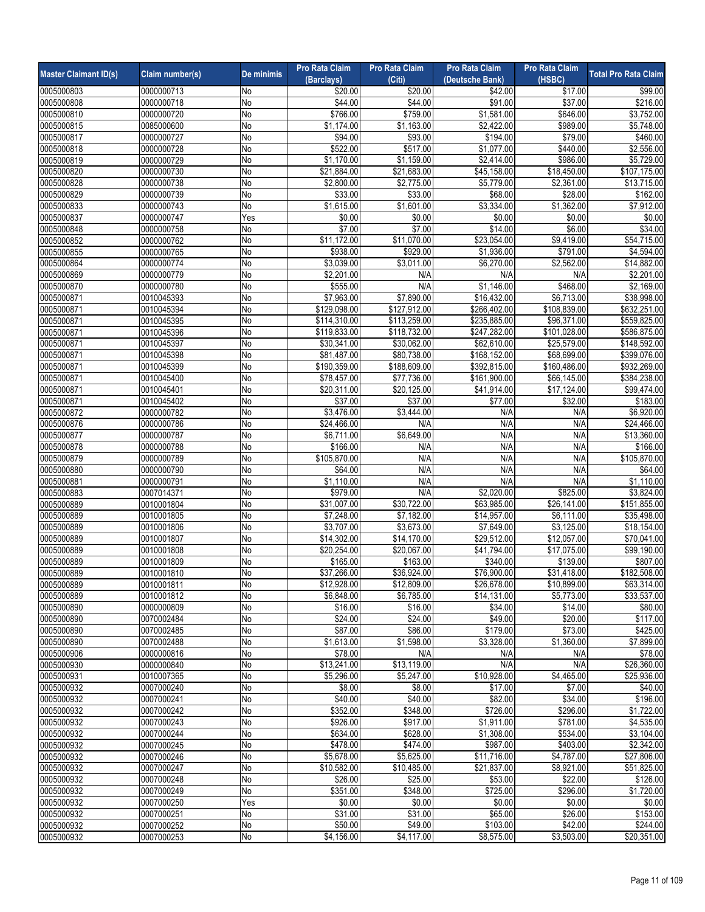| <b>Master Claimant ID(s)</b> | Claim number(s) | De minimis | <b>Pro Rata Claim</b>  | <b>Pro Rata Claim</b> | Pro Rata Claim             | <b>Pro Rata Claim</b> | Total Pro Rata Claim |
|------------------------------|-----------------|------------|------------------------|-----------------------|----------------------------|-----------------------|----------------------|
| 0005000803                   | 0000000713      | No         | (Barclays)<br>\$20.00  | (Citi)<br>\$20.00     | (Deutsche Bank)<br>\$42.00 | (HSBC)<br>\$17.00     | \$99.00              |
| 0005000808                   | 0000000718      | No         | \$44.00                | \$44.00               | \$91.00                    | \$37.00               | \$216.00             |
| 0005000810                   | 0000000720      | No         | \$766.00               | \$759.00              | \$1,581.00                 | \$646.00              | \$3,752.00           |
| 0005000815                   | 0085000600      | No         | \$1,174.00             | \$1,163.00            | \$2,422.00                 | \$989.00              | \$5,748.00           |
| 0005000817                   | 0000000727      | No         | \$94.00                | \$93.00               | \$194.00                   | \$79.00               | \$460.00             |
| 0005000818                   | 0000000728      | No         | \$522.00               | \$517.00              | \$1,077.00                 | \$440.00              | \$2,556.00           |
| 0005000819                   | 0000000729      | No         | \$1,170.00             | \$1,159.00            | \$2,414.00                 | \$986.00              | \$5,729.00           |
| 0005000820                   | 0000000730      | No         | \$21,884.00            | \$21,683.00           | \$45,158.00                | \$18,450.00           | \$107,175.00         |
| 0005000828                   | 0000000738      | No         | \$2,800.00             | \$2,775.00            | \$5,779.00                 | \$2,361.00            | \$13,715.00          |
| 0005000829                   | 0000000739      | No         | \$33.00                | \$33.00               | \$68.00                    | \$28.00               | \$162.00             |
| 0005000833                   | 0000000743      | No         | $\overline{$1,615.00}$ | \$1,601.00            | \$3,334.00                 | \$1,362.00            | \$7,912.00           |
| 0005000837                   | 0000000747      | Yes        | \$0.00                 | \$0.00                | \$0.00                     | \$0.00                | \$0.00               |
| 0005000848                   | 0000000758      | No         | \$7.00                 | \$7.00                | \$14.00                    | \$6.00                | \$34.00              |
| 0005000852                   | 0000000762      | No         | \$11,172.00            | \$11,070.00           | \$23,054.00                | \$9,419.00            | \$54,715.00          |
| 0005000855                   | 0000000765      | No         | \$938.00               | \$929.00              | \$1,936.00                 | \$791.00              | \$4,594.00           |
| 0005000864                   | 0000000774      | No         | \$3,039.00             | \$3,011.00            | \$6,270.00                 | \$2,562.00            | \$14,882.00          |
| 0005000869                   | 0000000779      | No         | \$2,201.00             | N/A                   | N/A                        | N/A                   | \$2,201.00           |
| 0005000870                   | 0000000780      | No         | \$555.00               | N/A                   | \$1,146.00                 | \$468.00              | \$2,169.00           |
| 0005000871                   | 0010045393      | No         | \$7,963.00             | \$7,890.00            | \$16,432.00                | \$6,713.00            | \$38,998.00          |
| 0005000871                   | 0010045394      | No         | \$129,098.00           | \$127,912.00          | \$266,402.00               | \$108,839.00          | \$632,251.00         |
| 0005000871                   | 0010045395      | No         | \$114,310.00           | \$113,259.00          | \$235,885.00               | \$96,371.00           | \$559,825.00         |
| 0005000871                   | 0010045396      | No         | \$119,833.00           | \$118,732.00          | \$247,282.00               | \$101,028.00          | \$586,875.00         |
| 0005000871                   | 0010045397      | No         | \$30,341.00            | \$30,062.00           | \$62,610.00                | \$25,579.00           | \$148,592.00         |
| 0005000871                   | 0010045398      | No         | \$81,487.00            | \$80,738.00           | \$168,152.00               | \$68,699.00           | \$399,076.00         |
| 0005000871                   | 0010045399      | No         | \$190,359.00           | \$188,609.00          | \$392,815.00               | \$160,486.00          | \$932,269.00         |
| 0005000871                   | 0010045400      | No         | \$78.457.00            | \$77,736.00           | \$161,900.00               | \$66,145.00           | \$384,238.00         |
| 0005000871                   | 0010045401      | No         | \$20,311.00            | \$20,125.00           | \$41,914.00                | \$17,124.00           | \$99,474.00          |
| 0005000871                   | 0010045402      | No         | \$37.00                | \$37.00               | \$77.00                    | \$32.00               | \$183.00             |
| 0005000872                   | 0000000782      | <b>No</b>  | \$3,476.00             | \$3,444.00            | N/A                        | N/A                   | \$6,920.00           |
| 0005000876                   | 0000000786      | No         | \$24,466.00            | N/A                   | N/A                        | N/A                   | \$24,466.00          |
| 0005000877                   | 0000000787      | No         | \$6,711.00             | \$6,649.00            | N/A                        | N/A                   | \$13,360.00          |
| 0005000878                   | 0000000788      | No         | \$166.00               | N/A                   | N/A                        | N/A                   | \$166.00             |
| 0005000879                   | 0000000789      | No         | \$105,870.00           | N/A                   | N/A                        | N/A                   | \$105,870.00         |
| 0005000880                   | 0000000790      | No         | \$64.00                | N/A                   | N/A                        | N/A                   | \$64.00              |
| 0005000881                   | 0000000791      | No         | \$1,110.00             | N/A                   | N/A                        | N/A                   | \$1,110.00           |
| 0005000883                   | 0007014371      | No         | \$979.00               | N/A                   | \$2,020.00                 | \$825.00              | \$3,824.00           |
| 0005000889                   | 0010001804      | No         | \$31,007.00            | \$30,722.00           | \$63,985.00                | \$26,141.00           | \$151,855.00         |
| 0005000889                   | 0010001805      | No         | \$7,248.00             | \$7,182.00            | \$14.957.00                | \$6.111.00            | \$35,498.00          |
| 0005000889                   | 0010001806      | No         | \$3.707.00             | \$3,673.00            | \$7,649.00                 | \$3,125.00            | \$18,154.00          |
| 0005000889                   | 0010001807      | No         | \$14,302.00            | \$14,170.00           | \$29,512.00                | \$12,057.00           | \$70,041.00          |
| 0005000889                   | 0010001808      | No         | \$20,254.00            | \$20,067.00           | \$41,794.00                | \$17,075.00           | \$99,190.00          |
| 0005000889                   | 0010001809      | No         | \$165.00               | \$163.00              | \$340.00                   | \$139.00              | \$807.00             |
| 0005000889                   | 0010001810      | No         | \$37,266.00            | \$36,924.00           | \$76,900.00                | \$31,418.00           | \$182,508.00         |
| 0005000889                   | 0010001811      | No         | \$12,928.00            | \$12,809.00           | \$26,678.00                | \$10,899.00           | \$63,314.00          |
| 0005000889                   | 0010001812      | No         | \$6,848.00             | \$6,785.00            | \$14,131.00                | \$5,773.00            | \$33,537.00          |
| 0005000890                   | 0000000809      | No         | \$16.00                | \$16.00               | \$34.00                    | \$14.00               | \$80.00              |
| 0005000890                   | 0070002484      | No         | \$24.00                | \$24.00               | \$49.00                    | \$20.00               | \$117.00             |
| 0005000890                   | 0070002485      | No         | \$87.00                | \$86.00               | \$179.00                   | \$73.00               | \$425.00             |
| 0005000890                   | 0070002488      | No         | \$1,613.00             | \$1,598.00            | \$3,328.00                 | \$1,360.00            | \$7,899.00           |
| 0005000906                   | 0000000816      | No         | \$78.00                | N/A                   | N/A                        | N/A                   | \$78.00              |
| 0005000930                   | 0000000840      | No         | \$13,241.00            | \$13,119.00           | N/A                        | N/A                   | \$26,360.00          |
| 0005000931                   | 0010007365      | No         | \$5,296.00             | \$5,247.00            | \$10,928.00                | \$4,465.00            | \$25,936.00          |
| 0005000932                   | 0007000240      | No         | \$8.00                 | \$8.00                | \$17.00                    | \$7.00                | \$40.00              |
| 0005000932                   | 0007000241      | No         | \$40.00                | \$40.00               | \$82.00                    | \$34.00               | \$196.00             |
| 0005000932                   | 0007000242      | No         | \$352.00               | \$348.00              | \$726.00                   | \$296.00              | \$1,722.00           |
| 0005000932                   | 0007000243      | No         | \$926.00               | \$917.00              | \$1,911.00                 | \$781.00              | \$4,535.00           |
| 0005000932                   | 0007000244      | No         | \$634.00               | \$628.00              | \$1,308.00                 | \$534.00              | \$3,104.00           |
| 0005000932                   | 0007000245      | No         | \$478.00               | \$474.00              | \$987.00                   | \$403.00              | \$2,342.00           |
| 0005000932                   | 0007000246      | No         | \$5,678.00             | \$5,625.00            | \$11,716.00                | \$4,787.00            | \$27,806.00          |
| 0005000932                   | 0007000247      | No         | \$10,582.00            | \$10,485.00           | \$21,837.00                | \$8,921.00            | \$51,825.00          |
| 0005000932                   | 0007000248      | No         | \$26.00                | \$25.00               | \$53.00                    | \$22.00               | \$126.00             |
| 0005000932                   | 0007000249      | No         | \$351.00               | \$348.00              | \$725.00                   | \$296.00              | \$1,720.00           |
| 0005000932                   | 0007000250      | Yes        | \$0.00                 | \$0.00                | \$0.00                     | \$0.00                | \$0.00               |
| 0005000932                   | 0007000251      | No         | \$31.00                | \$31.00               | \$65.00                    | \$26.00               | \$153.00             |
| 0005000932                   | 0007000252      | No         | \$50.00                | \$49.00               | \$103.00                   | \$42.00               | \$244.00             |
| 0005000932                   | 0007000253      | No         | \$4,156.00             | \$4,117.00            | \$8,575.00                 | \$3,503.00            | \$20,351.00          |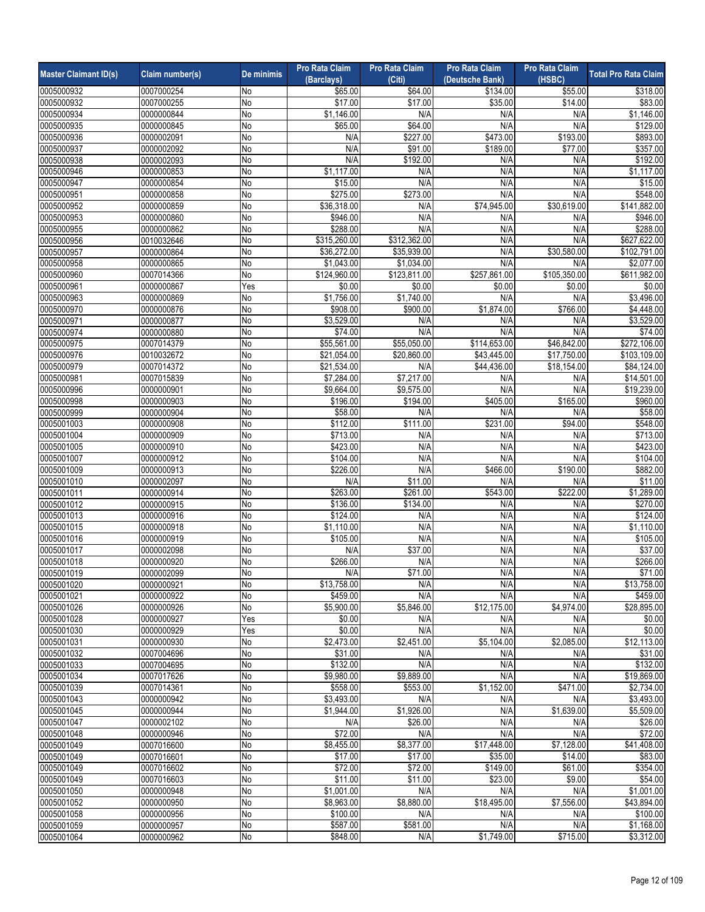| <b>Master Claimant ID(s)</b> | Claim number(s)          | De minimis       | Pro Rata Claim         | Pro Rata Claim        | Pro Rata Claim      | <b>Pro Rata Claim</b> | Total Pro Rata Claim    |
|------------------------------|--------------------------|------------------|------------------------|-----------------------|---------------------|-----------------------|-------------------------|
|                              |                          |                  | (Barclays)             | (Citi)                | (Deutsche Bank)     | (HSBC)                |                         |
| 0005000932                   | 0007000254               | No               | \$65.00                | \$64.00               | \$134.00            | \$55.00               | \$318.00                |
| 0005000932                   | 0007000255               | No               | \$17.00                | \$17.00               | \$35.00             | \$14.00               | \$83.00                 |
| 0005000934                   | 0000000844               | No               | \$1,146.00             | N/A                   | N/A                 | N/A                   | \$1,146.00              |
| 0005000935                   | 0000000845               | No               | \$65.00                | \$64.00               | N/A                 | N/A                   | \$129.00                |
| 0005000936                   | 0000002091               | No               | N/A                    | \$227.00              | \$473.00            | \$193.00              | \$893.00                |
| 0005000937                   | 0000002092               | No               | N/A                    | \$91.00               | \$189.00            | \$77.00               | \$357.00                |
| 0005000938                   | 0000002093               | No               | N/A                    | \$192.00              | N/A                 | N/A                   | \$192.00                |
| 0005000946                   | 0000000853               | No               | \$1,117.00             | N/A                   | N/A                 | N/A                   | \$1,117.00              |
| 0005000947                   | 0000000854               | No               | \$15.00                | N/A                   | N/A                 | N/A                   | \$15.00                 |
| 0005000951                   | 0000000858               | No               | \$275.00               | \$273.00              | N/A                 | N/A                   | \$548.00                |
| 0005000952                   | 0000000859               | No               | \$36,318.00            | N/A                   | \$74,945.00         | \$30,619.00           | \$141,882.00            |
| 0005000953                   | 0000000860               | No               | \$946.00               | N/A                   | N/A                 | N/A                   | \$946.00                |
| 0005000955                   | 0000000862               | No               | \$288.00               | N/A                   | N/A                 | N/A                   | \$288.00                |
| 0005000956                   | 0010032646               | No               | \$315,260.00           | \$312,362.00          | N/A                 | N/A                   | \$627,622.00            |
| 0005000957                   | 0000000864               | No               | \$36,272.00            | \$35,939.00           | N/A                 | \$30,580.00           | \$102,791.00            |
| 0005000958                   | 0000000865               | No               | \$1,043.00             | \$1,034.00            | N/A                 | N/A                   | \$2,077.00              |
| 0005000960                   | 0007014366               | No               | \$124,960.00           | \$123,811.00          | \$257,861.00        | \$105,350.00          | \$611,982.00            |
| 0005000961                   | 0000000867               | Yes              | \$0.00                 | \$0.00                | \$0.00              | \$0.00                | \$0.00                  |
| 0005000963                   | 0000000869               | No               | \$1,756.00             | \$1,740.00            | N/A                 | N/A                   | \$3,496.00              |
| 0005000970                   | 0000000876               | No               | \$908.00               | \$900.00              | \$1,874.00          | \$766.00              | \$4,448.00              |
| 0005000971                   | 0000000877               | No               | \$3,529.00             | N/A                   | N/A                 | N/A                   | \$3,529.00              |
| 0005000974                   | 0000000880               | No               | \$74.00                | N/A                   | N/A                 | N/A                   | \$74.00                 |
| 0005000975                   | 0007014379<br>0010032672 | No               | \$55,561.00            | \$55,050.00           | \$114,653.00        | \$46,842.00           | \$272,106.00            |
| 0005000976                   |                          | No               | \$21,054.00            | \$20,860.00           | \$43,445.00         | \$17,750.00           | \$103,109.00            |
| 0005000979                   | 0007014372               | No               | \$21,534.00            | N/A<br>\$7,217.00     | \$44,436.00         | \$18,154.00           | \$84,124.00             |
| 0005000981                   | 0007015839<br>0000000901 | No               | \$7,284.00             |                       | N/A                 | N/A                   | \$14,501.00             |
| 0005000996                   |                          | No               | \$9,664.00             | \$9,575.00            | N/A                 | N/A                   | \$19,239.00             |
| 0005000998                   | 0000000903               | No               | \$196.00               | \$194.00<br>N/A       | \$405.00<br>N/A     | \$165.00              | \$960.00                |
| 0005000999                   | 0000000904               | No               | \$58.00                |                       |                     | N/A                   | \$58.00                 |
| 0005001003                   | 0000000908               | No               | \$112.00               | \$111.00              | \$231.00            | \$94.00               | \$548.00                |
| 0005001004                   | 0000000909               | No               | \$713.00               | N/A                   | N/A                 | N/A                   | \$713.00                |
| 0005001005                   | 0000000910               | No               | \$423.00               | N/A                   | N/A                 | N/A                   | \$423.00                |
| 0005001007                   | 0000000912               | No               | \$104.00               | N/A                   | N/A                 | N/A                   | \$104.00                |
| 0005001009                   | 0000000913               | No               | \$226.00               | N/A                   | \$466.00            | \$190.00              | \$882.00                |
| 0005001010                   | 0000002097               | No               | N/A                    | \$11.00               | N/A                 | N/A<br>\$222.00       | \$11.00                 |
| 0005001011                   | 0000000914               | No               | \$263.00<br>\$136.00   | \$261.00<br>\$134.00  | \$543.00<br>N/A     |                       | \$1,289.00              |
| 0005001012                   | 0000000915               | No               |                        |                       |                     | N/A                   | \$270.00                |
| 0005001013                   | 0000000916               | No               | \$124.00               | N/A                   | N/A                 | N/A                   | \$124.00                |
| 0005001015                   | 0000000918               | No               | \$1,110.00             | N/A                   | N/A                 | N/A                   | \$1,110.00              |
| 0005001016                   | 0000000919<br>0000002098 | No               | \$105.00               | N/A                   | N/A                 | N/A                   | \$105.00                |
| 0005001017<br>0005001018     |                          | No<br>No         | N/A<br>\$266.00        | \$37.00               | N/A                 | N/A                   | \$37.00<br>\$266.00     |
|                              | 0000000920<br>0000002099 |                  |                        | N/A                   | N/A                 | N/A                   |                         |
| 0005001019                   |                          | No               | N/A                    | \$71.00               | N/A                 | N/A                   | \$71.00                 |
| 0005001020                   | 0000000921               | No               | \$13,758.00            | N/A                   | N/A                 | N/A                   | \$13,758.00             |
| 0005001021                   | 0000000922               | No               | \$459.00<br>\$5,900.00 | N/A<br>\$5,846.00     | N/A                 | N/A                   | \$459.00<br>\$28,895.00 |
| 0005001026<br>0005001028     | 0000000926<br>0000000927 | No               | \$0.00                 | N/A                   | \$12,175.00<br>N/A  | \$4,974.00            | \$0.00                  |
|                              |                          | Yes              |                        |                       |                     | N/A                   |                         |
| 0005001030<br>0005001031     | 0000000929<br>0000000930 | Yes<br><b>No</b> | \$0.00<br>\$2,473.00   | N/A<br>\$2,451.00     | N/A<br>\$5,104.00   | N/A<br>\$2,085.00     | \$0.00<br>\$12,113.00   |
| 0005001032                   |                          |                  |                        |                       |                     |                       |                         |
|                              | 0007004696               | <b>No</b><br>No  | \$31.00<br>\$132.00    | N/A<br>N/A            | N/A<br>N/A          | N/A                   | \$31.00<br>\$132.00     |
| 0005001033<br>0005001034     | 0007004695<br>0007017626 | <b>No</b>        | \$9,980.00             | \$9.889.00            | N/A                 | N/A<br>N/A            | \$19,869.00             |
|                              |                          |                  | \$558.00               | \$553.00              |                     | \$471.00              | \$2,734.00              |
| 0005001039                   | 0007014361               | No               |                        |                       | \$1,152.00          |                       |                         |
| 0005001043                   | 0000000942               | No<br><b>No</b>  | \$3.493.00             | N/A                   | N/A<br>N/A          | N/A<br>\$1,639.00     | \$3,493.00              |
| 0005001045<br>0005001047     | 0000000944<br>0000002102 | <b>No</b>        | \$1,944.00             | \$1,926.00<br>\$26.00 |                     |                       | \$5,509.00<br>\$26.00   |
|                              |                          |                  | N/A                    |                       | N/A                 | N/A                   |                         |
| 0005001048                   | 0000000946               | No               | \$72.00                | N/A                   | N/A                 | N/A                   | \$72.00                 |
| 0005001049                   | 0007016600               | <b>No</b>        | \$8,455.00             | \$8,377.00            | \$17,448.00         | \$7,128.00            | \$41,408.00             |
| 0005001049                   | 0007016601               | No<br>No         | \$17.00                | \$17.00               | \$35.00             | \$14.00               | \$83.00                 |
| 0005001049<br>0005001049     | 0007016602<br>0007016603 | <b>No</b>        | \$72.00<br>\$11.00     | \$72.00<br>\$11.00    | \$149.00<br>\$23.00 | \$61.00<br>\$9.00     | \$354.00<br>\$54.00     |
|                              |                          | No               |                        | N/A                   | N/A                 |                       | \$1,001.00              |
| 0005001050                   | 0000000948               |                  | \$1,001.00             |                       |                     | N/A                   |                         |
| 0005001052                   | 0000000950               | No<br><b>No</b>  | \$8,963.00<br>\$100.00 | \$8,880.00            | \$18,495.00<br>N/A  | \$7,556.00            | \$43,894.00<br>\$100.00 |
| 0005001058<br>0005001059     | 0000000956<br>0000000957 |                  | \$587.00               | N/A<br>\$581.00       | N/A                 | N/A                   | \$1,168.00              |
|                              |                          | No               |                        |                       |                     | N/A                   |                         |
| 0005001064                   | 0000000962               | No               | \$848.00               | N/A                   | \$1,749.00          | \$715.00              | \$3,312.00              |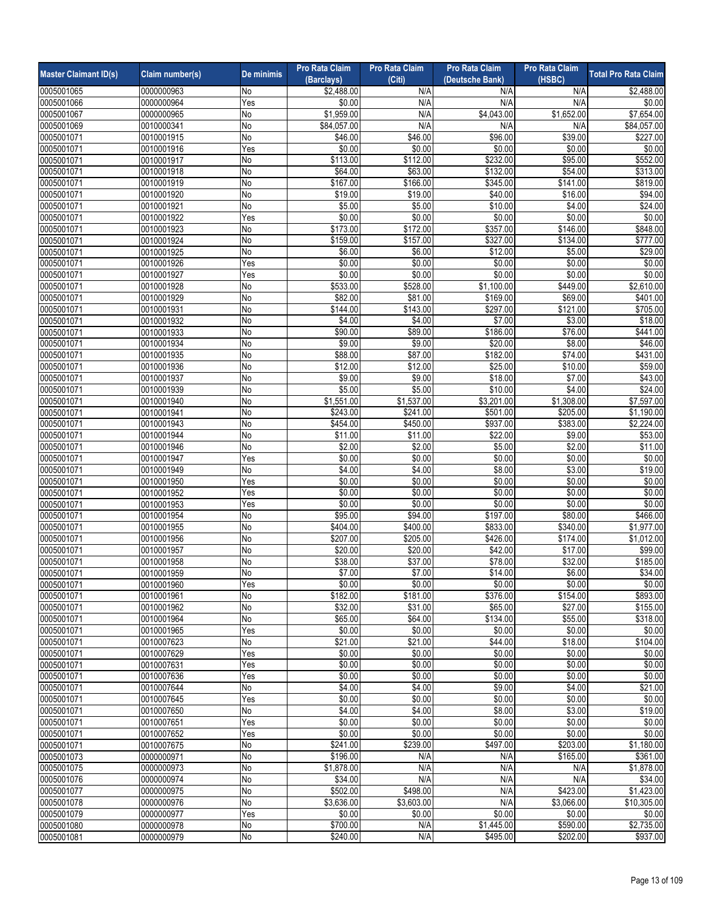| <b>Master Claimant ID(s)</b> | Claim number(s)          | De minimis       | Pro Rata Claim   | <b>Pro Rata Claim</b> | Pro Rata Claim     | <b>Pro Rata Claim</b> | <b>Total Pro Rata Claim</b> |
|------------------------------|--------------------------|------------------|------------------|-----------------------|--------------------|-----------------------|-----------------------------|
|                              |                          |                  | (Barclays)       | (Citi)                | (Deutsche Bank)    | (HSBC)                |                             |
| 0005001065                   | 0000000963               | <b>No</b>        | \$2,488.00       | N/A                   | N/A                | N/A                   | \$2,488.00                  |
| 0005001066                   | 0000000964               | Yes              | \$0.00           | N/A                   | N/A                | N/A                   | \$0.00                      |
| 0005001067                   | 0000000965               | No               | \$1,959.00       | N/A                   | \$4,043.00         | \$1,652.00            | \$7,654.00                  |
| 0005001069                   | 0010000341               | No               | \$84.057.00      | N/A                   | N/A                | N/A                   | \$84,057.00                 |
| 0005001071                   | 0010001915               | No               | \$46.00          | \$46.00               | \$96.00            | \$39.00               | \$227.00                    |
| 0005001071                   | 0010001916               | Yes              | \$0.00           | \$0.00                | \$0.00             | \$0.00                | \$0.00                      |
| 0005001071                   | 0010001917               | No               | \$113.00         | \$112.00              | \$232.00           | \$95.00               | \$552.00                    |
| 0005001071                   | 0010001918               | No               | \$64.00          | \$63.00               | \$132.00           | \$54.00               | \$313.00                    |
| 0005001071                   | 0010001919               | No               | \$167.00         | \$166.00              | \$345.00           | \$141.00              | \$819.00                    |
| 0005001071                   | 0010001920               | No               | \$19.00          | \$19.00               | \$40.00            | \$16.00               | \$94.00                     |
| 0005001071                   | 0010001921               | No               | \$5.00           | \$5.00                | \$10.00            | \$4.00                | \$24.00                     |
| 0005001071                   | 0010001922               | Yes              | \$0.00           | \$0.00                | \$0.00             | \$0.00                | \$0.00                      |
| 0005001071                   | 0010001923               | No               | \$173.00         | \$172.00              | \$357.00           | \$146.00              | \$848.00                    |
| 0005001071                   | 0010001924               | No               | \$159.00         | \$157.00              | \$327.00           | \$134.00              | \$777.00                    |
| 0005001071                   | 0010001925               | No               | \$6.00           | \$6.00                | \$12.00            | \$5.00                | \$29.00                     |
| 0005001071                   | 0010001926               | Yes              | \$0.00           | \$0.00                | \$0.00             | \$0.00                | \$0.00                      |
| 0005001071                   | 0010001927               | Yes              | \$0.00           | \$0.00                | \$0.00             | \$0.00                | \$0.00                      |
| 0005001071                   | 0010001928               | No               | \$533.00         | \$528.00              | \$1,100.00         | \$449.00              | \$2,610.00                  |
| 0005001071                   | 0010001929               | No               | \$82.00          | \$81.00               | \$169.00           | \$69.00               | \$401.00                    |
| 0005001071                   | 0010001931               | No               | \$144.00         | \$143.00              | \$297.00           | \$121.00              | \$705.00                    |
| 0005001071                   | 0010001932               | No               | \$4.00           | \$4.00                | \$7.00             | \$3.00                | \$18.00                     |
| 0005001071                   | 0010001933               | No               | \$90.00          | \$89.00               | \$186.00           | \$76.00               | \$441.00                    |
| 0005001071                   | 0010001934               | No               | \$9.00           | \$9.00                | \$20.00            | \$8.00                | \$46.00                     |
| 0005001071                   | 0010001935               | No               | \$88.00          | \$87.00               | \$182.00           | \$74.00               | \$431.00                    |
| 0005001071                   | 0010001936               | No               | \$12.00          | \$12.00               | \$25.00            | \$10.00               | \$59.00                     |
| 0005001071                   | 0010001937               | No               | \$9.00           | \$9.00                | \$18.00            | \$7.00                | \$43.00                     |
| 0005001071                   | 0010001939               | No               | \$5.00           | \$5.00                | \$10.00            | \$4.00                | \$24.00                     |
| 0005001071                   | 0010001940               | No               | \$1,551.00       | \$1,537.00            | \$3,201.00         | \$1,308.00            | \$7,597.00                  |
| 0005001071                   | 0010001941               | No               | \$243.00         | \$241.00              | \$501.00           | \$205.00              | \$1,190.00                  |
| 0005001071                   | 0010001943               | No               | \$454.00         | \$450.00              | \$937.00           | \$383.00              | \$2,224.00                  |
| 0005001071                   | 0010001944               | No               | \$11.00          | \$11.00               | \$22.00            | \$9.00                | \$53.00                     |
| 0005001071                   | 0010001946               | No               | \$2.00<br>\$0.00 | \$2.00<br>\$0.00      | \$5.00<br>\$0.00   | \$2.00<br>\$0.00      | \$11.00<br>\$0.00           |
| 0005001071                   | 0010001947               | Yes              |                  | \$4.00                | \$8.00             | \$3.00                | \$19.00                     |
| 0005001071<br>0005001071     | 0010001949<br>0010001950 | No<br>Yes        | \$4.00<br>\$0.00 | \$0.00                | \$0.00             | \$0.00                | \$0.00                      |
|                              |                          | Yes              | \$0.00           | \$0.00                | \$0.00             | \$0.00                | \$0.00                      |
| 0005001071                   | 0010001952               |                  | \$0.00           | \$0.00                | \$0.00             | \$0.00                | \$0.00                      |
| 0005001071<br>0005001071     | 0010001953<br>0010001954 | Yes<br>No        | \$95.00          | \$94.00               | \$197.00           | \$80.00               | \$466.00                    |
| 0005001071                   | 0010001955               | No               | \$404.00         | \$400.00              | \$833.00           | \$340.00              | \$1,977.00                  |
| 0005001071                   | 0010001956               | No               | \$207.00         | \$205.00              | \$426.00           | \$174.00              | \$1,012.00                  |
| 0005001071                   | 0010001957               | No               | \$20.00          | \$20.00               | \$42.00            | \$17.00               | \$99.00                     |
| 0005001071                   | 0010001958               | No               | \$38.00          | \$37.00               | \$78.00            | \$32.00               | \$185.00                    |
| 0005001071                   | 0010001959               | No               | \$7.00           | \$7.00                | \$14.00            | \$6.00                | \$34.00                     |
|                              |                          | Yes              | \$0.00           | \$0.00                | \$0.00             | \$0.00                | \$0.00                      |
| 0005001071<br>0005001071     | 0010001960<br>0010001961 | <b>No</b>        | \$182.00         | \$181.00              | \$376.00           | \$154.00              | \$893.00                    |
| 0005001071                   | 0010001962               | No               | \$32.00          | \$31.00               | \$65.00            | \$27.00               | \$155.00                    |
| 0005001071                   | 0010001964               | <b>No</b>        | \$65.00          | \$64.00               | \$134.00           | \$55.00               | \$318.00                    |
| 0005001071                   | 0010001965               |                  | \$0.00           | \$0.00                | \$0.00             | \$0.00                | \$0.00                      |
| 0005001071                   | 0010007623               | Yes<br>No        | \$21.00          | \$21.00               | \$44.00            | \$18.00               | \$104.00                    |
| 0005001071                   | 0010007629               | Yes              | \$0.00           | \$0.00                | \$0.00             | \$0.00                | \$0.00                      |
| 0005001071                   | 0010007631               | Yes              | \$0.00           | \$0.00                | \$0.00             | \$0.00                | \$0.00                      |
| 0005001071                   | 0010007636               | Yes              | \$0.00           | \$0.00                | \$0.00             | \$0.00                | \$0.00                      |
| 0005001071                   | 0010007644               | No               | \$4.00           | \$4.00                | \$9.00             | \$4.00                | \$21.00                     |
| 0005001071                   | 0010007645               | Yes              | \$0.00           | \$0.00                | \$0.00             | \$0.00                | \$0.00                      |
| 0005001071                   | 0010007650               | No               | \$4.00           | \$4.00                | \$8.00             | \$3.00                | \$19.00                     |
| 0005001071                   | 0010007651               | Yes              | \$0.00           | \$0.00                | \$0.00             | \$0.00                | \$0.00                      |
| 0005001071                   | 0010007652               |                  | \$0.00           | \$0.00                |                    | \$0.00                | \$0.00                      |
| 0005001071                   | 0010007675               | Yes<br>No        | \$241.00         | \$239.00              | \$0.00<br>\$497.00 | \$203.00              | \$1,180.00                  |
| 0005001073                   | 0000000971               | <b>No</b>        | \$196.00         | N/A                   | N/A                | \$165.00              | \$361.00                    |
| 0005001075                   | 0000000973               | No               | \$1,878.00       | N/A                   | N/A                | N/A                   | \$1,878.00                  |
| 0005001076                   | 0000000974               | No               | \$34.00          | N/A                   | N/A                | N/A                   | \$34.00                     |
| 0005001077                   | 0000000975               | <b>No</b>        | \$502.00         | \$498.00              | N/A                | \$423.00              | \$1,423.00                  |
| 0005001078                   | 0000000976               | No               | \$3,636.00       | \$3,603.00            | N/A                | \$3.066.00            | \$10,305.00                 |
| 0005001079                   | 0000000977               | $\overline{Yes}$ | \$0.00           | \$0.00                | \$0.00             | \$0.00                | \$0.00                      |
| 0005001080                   | 0000000978               | No               | \$700.00         | N/A                   | \$1,445.00         | \$590.00              | \$2,735.00                  |
| 0005001081                   | 0000000979               | <b>No</b>        | \$240.00         | N/A                   | \$495.00           | \$202.00              | \$937.00                    |
|                              |                          |                  |                  |                       |                    |                       |                             |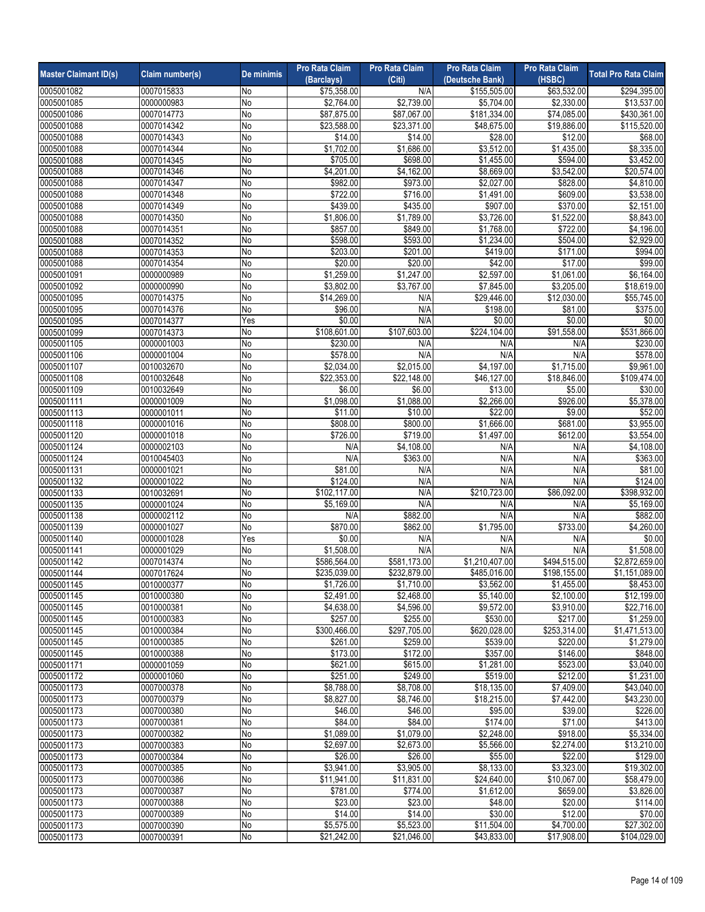| <b>Master Claimant ID(s)</b> | Claim number(s) | De minimis | Pro Rata Claim         | <b>Pro Rata Claim</b> | Pro Rata Claim  | <b>Pro Rata Claim</b>  | <b>Total Pro Rata Claim</b> |
|------------------------------|-----------------|------------|------------------------|-----------------------|-----------------|------------------------|-----------------------------|
|                              |                 |            | (Barclays)             | (Citi)                | (Deutsche Bank) | (HSBC)                 |                             |
| 0005001082                   | 0007015833      | No         | \$75,358.00            | N/A                   | \$155,505.00    | \$63,532.00            | \$294,395.00                |
| 0005001085                   | 0000000983      | <b>No</b>  | \$2,764.00             | \$2,739.00            | \$5,704.00      | \$2,330.00             | \$13,537.00                 |
| 0005001086                   | 0007014773      | No         | \$87,875.00            | \$87,067.00           | \$181,334.00    | \$74,085.00            | \$430,361.00                |
| 0005001088                   | 0007014342      | No         | \$23,588.00            | \$23,371.00           | \$48,675.00     | \$19,886.00            | \$115,520.00                |
| 0005001088                   | 0007014343      | No         | \$14.00                | \$14.00               | \$28.00         | \$12.00                | \$68.00                     |
| 0005001088                   | 0007014344      | No         | \$1,702.00             | \$1,686.00            | \$3,512.00      | \$1,435.00             | \$8,335.00                  |
| 0005001088                   | 0007014345      | No         | \$705.00               | \$698.00              | \$1,455.00      | \$594.00               | \$3,452.00                  |
| 0005001088                   | 0007014346      | No         | \$4,201.00             | \$4,162.00            | \$8,669.00      | \$3,542.00             | \$20,574.00                 |
| 0005001088                   | 0007014347      | No         | \$982.00               | \$973.00              | \$2,027.00      | \$828.00               | \$4,810.00                  |
| 0005001088                   | 0007014348      | No         | \$722.00               | \$716.00              | \$1,491.00      | \$609.00               | \$3,538.00                  |
| 0005001088                   | 0007014349      | No         | \$439.00               | \$435.00              | \$907.00        | \$370.00               | \$2,151.00                  |
| 0005001088                   | 0007014350      | No         | \$1,806.00             | \$1,789.00            | \$3,726.00      | \$1,522.00             | \$8,843.00                  |
| 0005001088                   | 0007014351      | No         | \$857.00               | \$849.00              | \$1,768.00      | \$722.00               | \$4,196.00                  |
| 0005001088                   | 0007014352      | No         | \$598.00               | \$593.00              | \$1,234.00      | \$504.00               | \$2,929.00                  |
| 0005001088                   | 0007014353      | No         | \$203.00               | \$201.00              | \$419.00        | \$171.00               | \$994.00                    |
| 0005001088                   | 0007014354      | No         | \$20.00                | \$20.00               | \$42.00         | \$17.00                | \$99.00                     |
| 0005001091                   | 0000000989      | No         | $\overline{$1,259.00}$ | \$1,247.00            | \$2,597.00      | $\overline{$1,061.00}$ | \$6,164.00                  |
| 0005001092                   | 0000000990      | No         | \$3,802.00             | \$3,767.00            | \$7,845.00      | \$3,205.00             | \$18,619.00                 |
| 0005001095                   | 0007014375      | No         | \$14,269.00            | N/A                   | \$29,446.00     | \$12,030.00            | \$55,745.00                 |
| 0005001095                   | 0007014376      | No         | \$96.00                | N/A                   | \$198.00        | \$81.00                | \$375.00                    |
| 0005001095                   | 0007014377      | Yes        | \$0.00                 | N/A                   | \$0.00          | \$0.00                 | \$0.00                      |
| 0005001099                   | 0007014373      | No         | \$108,601.00           | \$107,603.00          | \$224,104.00    | \$91,558.00            | \$531,866.00                |
| 0005001105                   | 0000001003      | No         | \$230.00               | N/A                   | N/A             | N/A                    | \$230.00                    |
| 0005001106                   | 0000001004      | No         | \$578.00               | N/A                   | N/A             | N/A                    | \$578.00                    |
| 0005001107                   | 0010032670      | No         | \$2.034.00             | \$2,015.00            | \$4,197.00      | \$1,715.00             | \$9,961.00                  |
| 0005001108                   | 0010032648      | No         | \$22,353.00            | \$22,148.00           | \$46,127.00     | \$18,846.00            | \$109,474.00                |
| 0005001109                   | 0010032649      | No         | \$6.00                 | \$6.00                | \$13.00         | \$5.00                 | \$30.00                     |
| 0005001111                   | 0000001009      | No         | \$1,098.00             | \$1,088.00            | \$2,266.00      | \$926.00               | \$5,378.00                  |
| 0005001113                   | 0000001011      | No         | \$11.00                | \$10.00               | \$22.00         | \$9.00                 | \$52.00                     |
| 0005001118                   | 0000001016      | No         | \$808.00               | \$800.00              | \$1,666.00      | \$681.00               | \$3,955.00                  |
| 0005001120                   | 0000001018      | No         | \$726.00               | \$719.00              | \$1,497.00      | \$612.00               | \$3,554.00                  |
| 0005001124                   | 0000002103      | No         | N/A                    | \$4,108.00            | N/A             | N/A                    | \$4,108.00                  |
| 0005001124                   | 0010045403      | No         | N/A                    | \$363.00              | N/A             | N/A                    | \$363.00                    |
| 0005001131                   | 0000001021      | No         | \$81.00                | N/A                   | N/A             | N/A                    | \$81.00                     |
| 0005001132                   | 0000001022      | No         | \$124.00               | N/A                   | N/A             | N/A                    | \$124.00                    |
| 0005001133                   | 0010032691      | No         | \$102,117.00           | N/A                   | \$210,723.00    | \$86,092.00            | \$398,932.00                |
| 0005001135                   | 0000001024      | No         | \$5,169.00             | N/A                   | N/A             | N/A                    | \$5,169.00                  |
| 0005001138                   | 0000002112      | No         | N/A                    | \$882.00              | N/A             | N/A                    | \$882.00                    |
| 0005001139                   | 0000001027      | No         | \$870.00               | \$862.00              | \$1,795.00      | \$733.00               | \$4,260.00                  |
| 0005001140                   | 0000001028      | Yes        | \$0.00                 | N/A                   | N/A             | N/A                    | \$0.00                      |
| 0005001141                   | 0000001029      | No         | \$1,508.00             | N/A                   | N/A             | N/A                    | \$1,508.00                  |
| 0005001142                   | 0007014374      | No         | \$586,564.00           | \$581,173.00          | \$1,210,407.00  | \$494,515.00           | \$2,872,659.00              |
| 0005001144                   | 0007017624      | No         | \$235,039.00           | \$232,879.00          | \$485,016.00    | \$198,155.00           | \$1,151,089.00              |
| 0005001145                   | 0010000377      | No         | \$1,726.00             | \$1,710.00            | \$3,562.00      | \$1,455.00             | \$8,453.00                  |
| 0005001145                   | 0010000380      | No         | \$2,491.00             | \$2,468.00            | \$5,140.00      | \$2,100.00             | \$12,199.00                 |
| 0005001145                   | 0010000381      | No         | \$4,638.00             | \$4,596.00            | \$9,572.00      | \$3,910.00             | \$22,716.00                 |
| 0005001145                   | 0010000383      | No         | \$257.00               | \$255.00              | \$530.00        | \$217.00               | \$1,259.00                  |
| 0005001145                   | 0010000384      | No         | \$300.466.00           | \$297,705.00          | \$620,028.00    | \$253,314.00           | \$1,471,513.00              |
| 0005001145                   | 0010000385      | No         | \$261.00               | \$259.00              | \$539.00        | \$220.00               | \$1,279.00                  |
| 0005001145                   | 0010000388      | No         | \$173.00               | \$172.00              | \$357.00        | \$146.00               | \$848.00                    |
| 0005001171                   | 0000001059      | No         | \$621.00               | \$615.00              | \$1,281.00      | \$523.00               | \$3,040.00                  |
| 0005001172                   | 0000001060      | No         | \$251.00               | \$249.00              | \$519.00        | \$212.00               | \$1,231.00                  |
| 0005001173                   | 0007000378      | No         | \$8,788.00             | \$8,708.00            | \$18,135.00     | \$7.409.00             | \$43,040.00                 |
| 0005001173                   | 0007000379      | No         | \$8,827.00             | \$8,746.00            | \$18,215.00     | \$7,442.00             | \$43,230.00                 |
| 0005001173                   | 0007000380      | No         | \$46.00                | \$46.00               | \$95.00         | \$39.00                | \$226.00                    |
| 0005001173                   | 0007000381      | No         | \$84.00                | \$84.00               | \$174.00        | \$71.00                | \$413.00                    |
| 0005001173                   | 0007000382      | No         | \$1,089.00             | \$1,079.00            | \$2,248.00      | \$918.00               | \$5,334.00                  |
| 0005001173                   | 0007000383      | No         | \$2,697.00             | \$2,673.00            | \$5,566.00      | \$2,274.00             | \$13,210.00                 |
| 0005001173                   | 0007000384      | No         | \$26.00                | \$26.00               | \$55.00         | \$22.00                | \$129.00                    |
| 0005001173                   | 0007000385      | No         | \$3,941.00             | \$3,905.00            | \$8,133.00      | \$3,323.00             | \$19,302.00                 |
| 0005001173                   | 0007000386      | No         | \$11,941.00            | \$11,831.00           | \$24,640.00     | \$10,067.00            | \$58,479.00                 |
| 0005001173                   | 0007000387      | <b>No</b>  | \$781.00               | \$774.00              | \$1,612.00      | \$659.00               | \$3,826.00                  |
| 0005001173                   | 0007000388      | No         | \$23.00                | \$23.00               | \$48.00         | \$20.00                | \$114.00                    |
| 0005001173                   | 0007000389      | No         | \$14.00                | \$14.00               | \$30.00         | \$12.00                | \$70.00                     |
| 0005001173                   | 0007000390      | <b>No</b>  | \$5,575.00             | \$5,523.00            | \$11,504.00     | \$4,700.00             | \$27,302.00                 |
| 0005001173                   | 0007000391      | <b>No</b>  | \$21,242.00            | \$21,046.00           | \$43,833.00     | \$17,908.00            | \$104,029.00                |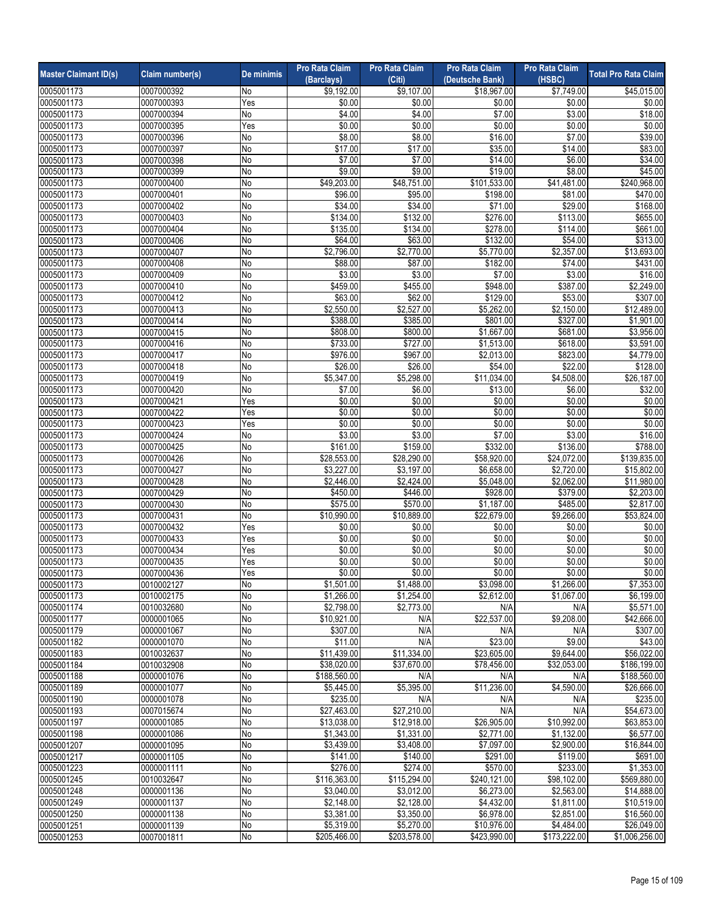| <b>Master Claimant ID(s)</b> | Claim number(s)          | De minimis             | <b>Pro Rata Claim</b>      | <b>Pro Rata Claim</b>      | Pro Rata Claim             | <b>Pro Rata Claim</b>     | <b>Total Pro Rata Claim</b> |
|------------------------------|--------------------------|------------------------|----------------------------|----------------------------|----------------------------|---------------------------|-----------------------------|
|                              |                          |                        | (Barclays)                 | (Citi)                     | (Deutsche Bank)            | (HSBC)                    |                             |
| 0005001173                   | 0007000392               | No                     | \$9,192.00                 | \$9,107.00                 | \$18,967.00                | \$7,749.00                | \$45,015.00                 |
| 0005001173                   | 0007000393               | Yes                    | \$0.00                     | \$0.00                     | \$0.00                     | \$0.00                    | \$0.00                      |
| 0005001173                   | 0007000394               | No                     | \$4.00                     | \$4.00                     | \$7.00                     | \$3.00                    | \$18.00                     |
| 0005001173                   | 0007000395               | Yes                    | \$0.00                     | \$0.00                     | \$0.00                     | \$0.00                    | \$0.00                      |
| 0005001173                   | 0007000396               | No                     | \$8.00                     | \$8.00                     | \$16.00                    | \$7.00                    | \$39.00                     |
| 0005001173                   | 0007000397               | No                     | \$17.00                    | \$17.00                    | \$35.00                    | \$14.00                   | \$83.00                     |
| 0005001173                   | 0007000398               | No                     | \$7.00                     | \$7.00                     | \$14.00                    | \$6.00                    | \$34.00                     |
| 0005001173                   | 0007000399               | No                     | \$9.00                     | \$9.00                     | \$19.00                    | \$8.00                    | \$45.00                     |
| 0005001173                   | 0007000400               | No                     | \$49,203.00                | \$48,751.00                | \$101,533.00               | \$41,481.00               | \$240,968.00                |
| 0005001173                   | 0007000401               | No                     | \$96.00                    | \$95.00                    | \$198.00                   | \$81.00                   | \$470.00                    |
| 0005001173                   | 0007000402               | No                     | \$34.00                    | \$34.00                    | \$71.00                    | \$29.00                   | \$168.00                    |
| 0005001173                   | 0007000403               | No                     | \$134.00                   | \$132.00                   | \$276.00                   | \$113.00                  | \$655.00                    |
| 0005001173                   | 0007000404               | No                     | \$135.00                   | \$134.00                   | \$278.00                   | $\sqrt{$114.00}$          | \$661.00                    |
| 0005001173                   | 0007000406               | No                     | \$64.00                    | \$63.00                    | \$132.00                   | \$54.00                   | \$313.00                    |
| 0005001173                   | 0007000407               | No                     | $\overline{$2,796.00}$     | \$2,770.00                 | \$5,770.00                 | \$2,357.00                | \$13,693.00                 |
| 0005001173                   | 0007000408               | No                     | \$88.00                    | \$87.00                    | \$182.00                   | \$74.00                   | \$431.00<br>\$16.00         |
| 0005001173<br>0005001173     | 0007000409               | No<br>No               | \$3.00<br>\$459.00         | \$3.00<br>\$455.00         | \$7.00<br>\$948.00         | \$3.00<br>\$387.00        | \$2,249.00                  |
|                              | 0007000410               | No                     | \$63.00                    | \$62.00                    | \$129.00                   | \$53.00                   | \$307.00                    |
| 0005001173<br>0005001173     | 0007000412<br>0007000413 | No                     | \$2,550.00                 | \$2,527.00                 | \$5,262.00                 | $\overline{$2,150.00}$    | \$12,489.00                 |
| 0005001173                   | 0007000414               | No                     | \$388.00                   | \$385.00                   | \$801.00                   | \$327.00                  | \$1,901.00                  |
| 0005001173                   | 0007000415               | No                     | \$808.00                   | \$800.00                   | \$1,667.00                 | \$681.00                  | \$3,956.00                  |
| 0005001173                   | 0007000416               | No                     | \$733.00                   | \$727.00                   | \$1,513.00                 | \$618.00                  | \$3,591.00                  |
| 0005001173                   | 0007000417               | No                     | \$976.00                   | \$967.00                   | \$2,013.00                 | \$823.00                  | \$4,779.00                  |
| 0005001173                   | 0007000418               | No                     | \$26.00                    | \$26.00                    | \$54.00                    | \$22.00                   | \$128.00                    |
| 0005001173                   | 0007000419               | No                     | \$5,347.00                 | \$5,298.00                 | \$11,034.00                | \$4,508.00                | \$26,187.00                 |
| 0005001173                   | 0007000420               | <b>No</b>              | \$7.00                     | \$6.00                     | \$13.00                    | \$6.00                    | \$32.00                     |
| 0005001173                   | 0007000421               | Yes                    | \$0.00                     | \$0.00                     | \$0.00                     | \$0.00                    | \$0.00                      |
| 0005001173                   | 0007000422               | Yes                    | \$0.00                     | \$0.00                     | \$0.00                     | \$0.00                    | \$0.00                      |
| 0005001173                   | 0007000423               | Yes                    | \$0.00                     | \$0.00                     | \$0.00                     | \$0.00                    | \$0.00                      |
| 0005001173                   | 0007000424               | No                     | \$3.00                     | \$3.00                     | \$7.00                     | \$3.00                    | \$16.00                     |
| 0005001173                   | 0007000425               | No                     | \$161.00                   | \$159.00                   | \$332.00                   | \$136.00                  | \$788.00                    |
| 0005001173                   | 0007000426               | No                     | \$28,553.00                | \$28,290.00                | \$58,920.00                | \$24,072.00               | \$139,835.00                |
| 0005001173                   | 0007000427               | No                     | \$3,227.00                 | \$3,197.00                 | \$6,658.00                 | \$2,720.00                | \$15,802.00                 |
| 0005001173                   | 0007000428               | No                     | \$2,446.00                 | \$2,424.00                 | \$5,048.00                 | \$2,062.00                | \$11,980.00                 |
| 0005001173                   | 0007000429               | No                     | \$450.00                   | \$446.00                   | \$928.00                   | \$379.00                  | \$2,203.00                  |
| 0005001173                   | 0007000430               | No                     | \$575.00                   | \$570.00                   | \$1,187.00                 | \$485.00                  | \$2,817.00                  |
| 0005001173                   | 0007000431               | No                     | \$10,990.00                | \$10,889.00                | \$22,679.00                | \$9,266.00                | \$53,824.00                 |
| 0005001173                   | 0007000432               | Yes                    | \$0.00                     | \$0.00                     | \$0.00                     | \$0.00                    | \$0.00                      |
| 0005001173                   | 0007000433               | Yes                    | \$0.00                     | \$0.00                     | \$0.00                     | \$0.00                    | \$0.00                      |
| 0005001173                   | 0007000434               | Yes                    | \$0.00                     | \$0.00                     | \$0.00                     | \$0.00                    | \$0.00                      |
| 0005001173                   | 0007000435               | Yes                    | \$0.00                     | \$0.00                     | \$0.00                     | \$0.00                    | \$0.00                      |
| 0005001173                   | 0007000436               | Yes                    | \$0.00                     | \$0.00                     | \$0.00                     | \$0.00                    | \$0.00                      |
| 0005001173                   | 0010002127               | No                     | \$1,501.00                 | \$1,488.00                 | \$3,098.00                 | \$1,266.00                | \$7,353.00                  |
| 0005001173                   | 0010002175               | No                     | \$1,266.00                 | \$1,254.00                 | \$2,612.00                 | \$1,067.00                | \$6,199.00                  |
| 0005001174                   | 0010032680               | No                     | \$2,798.00                 | \$2,773.00                 | N/A                        | N/A                       | \$5,571.00                  |
| 0005001177                   | 0000001065               | <b>No</b>              | \$10,921.00                | N/A                        | \$22,537.00                | \$9,208.00                | \$42,666.00                 |
| 0005001179                   | 0000001067               | No                     | \$307.00                   | N/A                        | N/A                        | N/A                       | \$307.00                    |
| 0005001182                   | 0000001070               | No                     | \$11.00                    | N/A                        | \$23.00                    | \$9.00                    | \$43.00                     |
| 0005001183                   | 0010032637               | No                     | \$11,439.00                | \$11,334.00                | \$23,605.00                | \$9,644.00                | \$56,022.00                 |
| 0005001184                   | 0010032908               | <b>No</b>              | \$38,020.00                | \$37,670.00                | \$78,456.00                | \$32,053.00               | \$186.199.00                |
| 0005001188                   | 0000001076               | No                     | \$188,560.00               | N/A                        | N/A                        | N/A                       | \$188,560.00                |
| 0005001189                   | 0000001077               | <b>No</b>              | \$5,445.00                 | \$5,395.00                 | \$11,236.00                | \$4,590.00                | \$26,666.00                 |
| 0005001190                   | 0000001078               | No                     | \$235.00                   | N/A                        | N/A                        | N/A                       | \$235.00                    |
| 0005001193                   | 0007015674               | No                     | \$27,463.00                | \$27,210.00                | N/A                        | N/A                       | \$54,673.00                 |
| 0005001197                   | 0000001085               | <b>No</b>              | \$13,038.00                | \$12,918.00                | \$26,905.00                | \$10,992.00               | \$63,853.00                 |
| 0005001198                   | 0000001086               | No                     | \$1,343.00                 | \$1,331.00                 | \$2,771.00                 | \$1,132.00                | \$6,577.00                  |
| 0005001207                   | 0000001095               | <b>No</b>              | \$3,439.00                 | \$3,408.00                 | \$7,097.00                 | \$2,900.00                | \$16,844.00                 |
| 0005001217                   | 0000001105               | <b>No</b>              | \$141.00                   | \$140.00                   | \$291.00                   | \$119.00                  | \$691.00                    |
| 0005001223                   | 0000001111               | No                     | \$276.00                   | \$274.00                   | \$570.00                   | \$233.00                  | \$1,353.00                  |
| 0005001245                   | 0010032647               | <b>No</b><br><b>No</b> | \$116,363.00<br>\$3,040.00 | \$115,294.00<br>\$3,012.00 | \$240,121.00<br>\$6,273.00 | \$98,102.00<br>\$2,563.00 | \$569,880.00<br>\$14,888.00 |
| 0005001248                   | 0000001136               | No                     |                            | \$2,128.00                 | \$4,432.00                 |                           | \$10,519.00                 |
| 0005001249<br>0005001250     | 0000001137<br>0000001138 | <b>No</b>              | \$2,148.00<br>\$3,381.00   | \$3,350.00                 | \$6,978.00                 | \$1,811.00<br>\$2,851.00  | \$16,560.00                 |
| 0005001251                   | 0000001139               | <b>No</b>              | \$5,319.00                 | \$5,270.00                 | \$10,976.00                | \$4,484.00                | \$26,049.00                 |
| 0005001253                   | 0007001811               | <b>No</b>              | \$205,466.00               | \$203,578.00               | \$423,990.00               | \$173,222.00              | $\overline{$1,006,256.00}$  |
|                              |                          |                        |                            |                            |                            |                           |                             |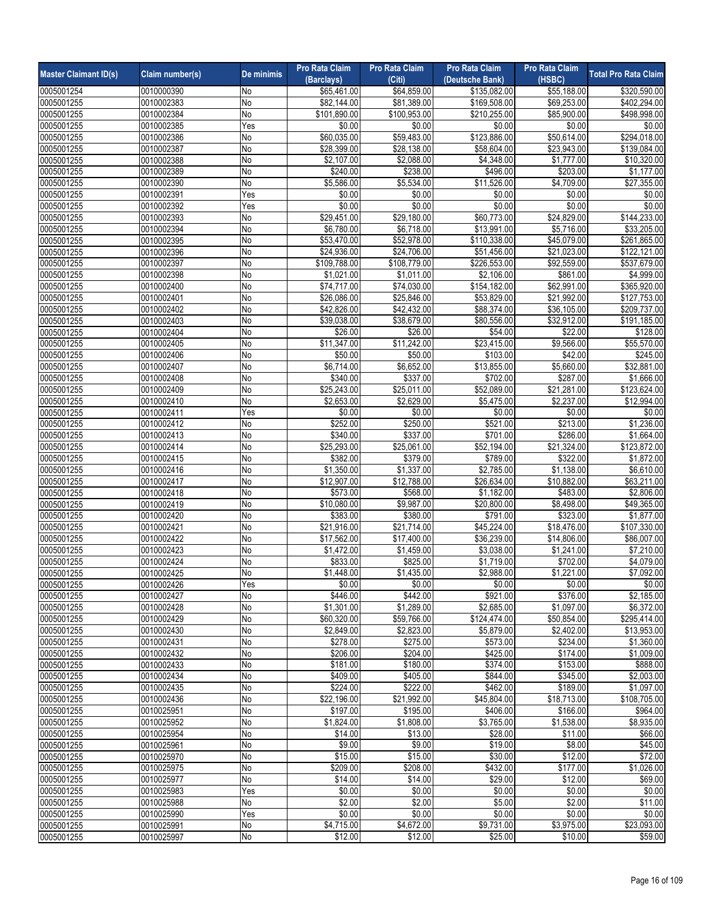| <b>Master Claimant ID(s)</b> | Claim number(s) | De minimis | <b>Pro Rata Claim</b>  | <b>Pro Rata Claim</b> | <b>Pro Rata Claim</b>  | <b>Pro Rata Claim</b> | <b>Total Pro Rata Claim</b> |
|------------------------------|-----------------|------------|------------------------|-----------------------|------------------------|-----------------------|-----------------------------|
|                              |                 |            | (Barclays)             | (Citi)                | (Deutsche Bank)        | (HSBC)                |                             |
| 0005001254                   | 0010000390      | No         | \$65,461.00            | \$64,859.00           | \$135,082.00           | \$55,188.00           | \$320,590.00                |
| 0005001255                   | 0010002383      | No         | \$82,144.00            | \$81,389.00           | \$169,508.00           | \$69,253.00           | \$402,294.00                |
| 0005001255                   | 0010002384      | No         | \$101,890.00           | \$100,953.00          | \$210,255.00           | \$85,900.00           | \$498,998.00                |
| 0005001255                   | 0010002385      | Yes        | \$0.00                 | \$0.00                | \$0.00                 | \$0.00                | \$0.00                      |
| 0005001255                   | 0010002386      | No         | \$60,035.00            | \$59,483.00           | \$123,886.00           | \$50,614.00           | \$294,018.00                |
| 0005001255                   | 0010002387      | No         | \$28,399.00            | \$28,138.00           | \$58,604.00            | \$23,943.00           | \$139,084.00                |
| 0005001255                   | 0010002388      | No         | \$2,107.00             | \$2,088.00            | \$4,348.00             | \$1,777.00            | \$10,320.00                 |
| 0005001255                   | 0010002389      | No         | \$240.00               | \$238.00              | \$496.00               | \$203.00              | \$1,177.00                  |
| 0005001255                   | 0010002390      | No         | \$5,586.00             | \$5,534.00            | \$11,526.00            | \$4,709.00            | \$27,355.00                 |
| 0005001255                   | 0010002391      | Yes        | \$0.00                 | \$0.00                | \$0.00                 | \$0.00                | \$0.00                      |
| 0005001255                   | 0010002392      | Yes        | \$0.00                 | \$0.00                | \$0.00                 | \$0.00                | \$0.00                      |
| 0005001255                   | 0010002393      | No         | \$29,451.00            | \$29,180.00           | \$60,773.00            | \$24,829.00           | \$144,233.00                |
| 0005001255                   | 0010002394      | No         | \$6,780.00             | \$6.718.00            | \$13,991.00            | \$5,716.00            | \$33,205.00                 |
| 0005001255                   | 0010002395      | No         | \$53,470.00            | \$52,978.00           | \$110,338.00           | \$45,079.00           | \$261,865.00                |
| 0005001255                   | 0010002396      | No         | \$24,936.00            | \$24,706.00           | \$51,456.00            | \$21,023.00           | \$122,121.00                |
| 0005001255                   | 0010002397      | No         | \$109,788.00           | \$108,779.00          | \$226,553.00           | \$92,559.00           | \$537,679.00                |
| 0005001255                   | 0010002398      | No         | \$1,021.00             | \$1,011.00            | \$2,106.00             | \$861.00              | \$4,999.00                  |
| 0005001255                   | 0010002400      | No         | \$74,717.00            | \$74,030.00           | \$154,182.00           | \$62,991.00           | \$365,920.00                |
| 0005001255                   | 0010002401      | No         | \$26,086.00            | \$25,846.00           | \$53,829.00            | \$21,992.00           | \$127,753.00                |
| 0005001255                   |                 |            | \$42,826.00            |                       |                        |                       |                             |
|                              | 0010002402      | No         | \$39.038.00            | \$42,432.00           | \$88,374.00            | \$36,105.00           | \$209,737.00                |
| 0005001255                   | 0010002403      | No         |                        | \$38,679.00           | \$80,556.00            | \$32,912.00           | \$191,185.00                |
| 0005001255                   | 0010002404      | No         | \$26.00                | \$26.00               | \$54.00                | \$22.00               | \$128.00                    |
| 0005001255                   | 0010002405      | No         | \$11,347.00            | \$11,242.00           | \$23,415.00            | \$9,566.00            | \$55,570.00                 |
| 0005001255                   | 0010002406      | No         | \$50.00                | \$50.00               | \$103.00               | \$42.00               | \$245.00                    |
| 0005001255                   | 0010002407      | No         | $\overline{$6,714.00}$ | \$6,652.00            | \$13,855.00            | \$5,660.00            | \$32,881.00                 |
| 0005001255                   | 0010002408      | No         | \$340.00               | \$337.00              | \$702.00               | \$287.00              | \$1,666.00                  |
| 0005001255                   | 0010002409      | No         | \$25,243.00            | \$25,011.00           | \$52,089.00            | \$21,281.00           | \$123,624.00                |
| 0005001255                   | 0010002410      | No         | \$2,653.00             | \$2,629.00            | \$5,475.00             | \$2,237.00            | \$12,994.00                 |
| 0005001255                   | 0010002411      | Yes        | \$0.00                 | \$0.00                | \$0.00                 | \$0.00                | \$0.00                      |
| 0005001255                   | 0010002412      | No         | \$252.00               | \$250.00              | \$521.00               | \$213.00              | \$1,236.00                  |
| 0005001255                   | 0010002413      | No         | \$340.00               | \$337.00              | \$701.00               | \$286.00              | \$1,664.00                  |
| 0005001255                   | 0010002414      | No         | \$25,293.00            | \$25,061.00           | \$52,194.00            | \$21,324.00           | \$123,872.00                |
| 0005001255                   | 0010002415      | No         | \$382.00               | \$379.00              | \$789.00               | \$322.00              | \$1,872.00                  |
| 0005001255                   | 0010002416      | No         | \$1,350.00             | \$1,337.00            | \$2,785.00             | \$1,138.00            | \$6,610.00                  |
| 0005001255                   | 0010002417      | <b>No</b>  | \$12,907.00            | \$12,788.00           | \$26,634.00            | \$10,882.00           | \$63,211.00                 |
| 0005001255                   | 0010002418      | No         | \$573.00               | \$568.00              | \$1,182.00             | \$483.00              | \$2,806.00                  |
| 0005001255                   | 0010002419      | No         | \$10,080.00            | \$9,987.00            | \$20,800.00            | \$8,498.00            | \$49,365.00                 |
| 0005001255                   | 0010002420      | No         | \$383.00               | \$380.00              | \$791.00               | \$323.00              | \$1,877.00                  |
| 0005001255                   | 0010002421      | No         | \$21,916.00            | \$21,714.00           | \$45,224.00            | \$18,476.00           | \$107,330.00                |
| 0005001255                   | 0010002422      | No         | \$17,562.00            | \$17,400.00           | \$36,239.00            | \$14,806.00           | \$86,007.00                 |
| 0005001255                   | 0010002423      | No         | \$1,472.00             | \$1,459.00            | \$3,038.00             | \$1.241.00            | \$7,210.00                  |
| 0005001255                   | 0010002424      | No         | \$833.00               | \$825.00              | \$1,719.00             | \$702.00              | \$4,079.00                  |
| 0005001255                   | 0010002425      | No         | \$1,448.00             | \$1,435.00            | \$2,988.00             | \$1,221.00            | \$7,092.00                  |
| 0005001255                   | 0010002426      | Yes        | \$0.00                 | \$0.00                | \$0.00                 | \$0.00                | \$0.00                      |
| 0005001255                   | 0010002427      | <b>No</b>  | \$446.00               | \$442.00              | \$921.00               | \$376.00              | \$2,185.00                  |
| 0005001255                   | 0010002428      | No         | \$1.301.00             | \$1,289.00            | \$2.685.00             | \$1,097.00            | \$6,372.00                  |
| 0005001255                   | 0010002429      | <b>No</b>  | \$60,320.00            | \$59.766.00           | \$124,474.00           | \$50,854.00           | \$295,414.00                |
| 0005001255                   | 0010002430      | <b>No</b>  | \$2.849.00             | \$2,823.00            |                        | \$2,402.00            | \$13,953.00                 |
| 0005001255                   | 0010002431      | <b>No</b>  | \$278.00               | \$275.00              | \$5,879.00<br>\$573.00 | \$234.00              | \$1.360.00                  |
|                              |                 |            |                        |                       |                        |                       |                             |
| 0005001255                   | 0010002432      | No         | \$206.00               | \$204.00              | \$425.00               | \$174.00              | \$1,009.00                  |
| 0005001255                   | 0010002433      | <b>No</b>  | \$181.00               | \$180.00              | \$374.00               | \$153.00              | \$888.00                    |
| 0005001255                   | 0010002434      | No         | \$409.00               | \$405.00              | \$844.00               | \$345.00              | \$2,003.00                  |
| 0005001255                   | 0010002435      | No         | \$224.00               | \$222.00              | \$462.00               | \$189.00              | \$1,097.00                  |
| 0005001255                   | 0010002436      | No         | \$22.196.00            | \$21,992.00           | \$45,804.00            | \$18.713.00           | \$108,705.00                |
| 0005001255                   | 0010025951      | No         | \$197.00               | \$195.00              | \$406.00               | \$166.00              | \$964.00                    |
| 0005001255                   | 0010025952      | No         | \$1,824.00             | \$1,808.00            | \$3,765.00             | \$1,538.00            | \$8,935.00                  |
| 0005001255                   | 0010025954      | No         | \$14.00                | \$13.00               | \$28.00                | \$11.00               | \$66.00                     |
| 0005001255                   | 0010025961      | No         | \$9.00                 | \$9.00                | \$19.00                | \$8.00                | \$45.00                     |
| 0005001255                   | 0010025970      | <b>No</b>  | \$15.00                | \$15.00               | \$30.00                | \$12.00               | \$72.00                     |
| 0005001255                   | 0010025975      | No         | \$209.00               | \$208.00              | \$432.00               | \$177.00              | \$1,026.00                  |
| 0005001255                   | 0010025977      | <b>No</b>  | \$14.00                | \$14.00               | \$29.00                | \$12.00               | \$69.00                     |
| 0005001255                   | 0010025983      | Yes        | \$0.00                 | \$0.00                | \$0.00                 | \$0.00                | \$0.00                      |
| 0005001255                   | 0010025988      | No         | \$2.00                 | \$2.00                | \$5.00                 | \$2.00                | \$11.00                     |
| 0005001255                   | 0010025990      | Yes        | \$0.00                 | \$0.00                | \$0.00                 | \$0.00                | \$0.00                      |
| 0005001255                   | 0010025991      | No         | \$4,715.00             | \$4,672.00            | \$9,731.00             | \$3,975.00            | \$23,093.00                 |
| 0005001255                   | 0010025997      | <b>No</b>  | \$12.00                | \$12.00               | \$25.00                | \$10.00               | \$59.00                     |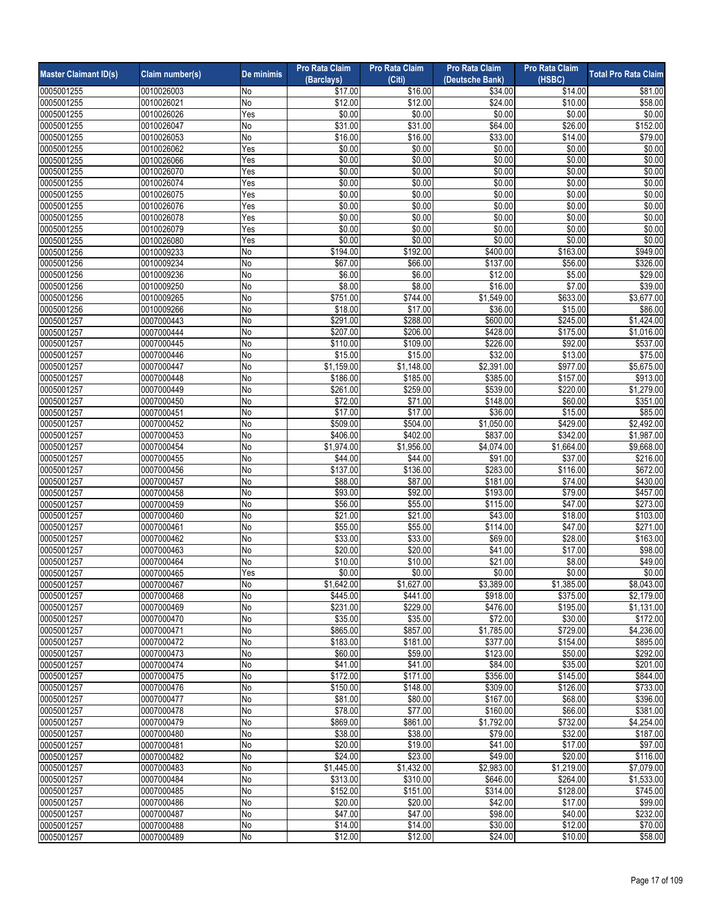| <b>Master Claimant ID(s)</b> | Claim number(s) | De minimis | <b>Pro Rata Claim</b> | <b>Pro Rata Claim</b> | Pro Rata Claim  | <b>Pro Rata Claim</b> | Total Pro Rata Claim |
|------------------------------|-----------------|------------|-----------------------|-----------------------|-----------------|-----------------------|----------------------|
|                              |                 |            | (Barclays)            | (Citi)                | (Deutsche Bank) | (HSBC)                |                      |
| 0005001255                   | 0010026003      | No         | \$17.00               | \$16.00               | \$34.00         | \$14.00               | \$81.00              |
| 0005001255                   | 0010026021      | No         | \$12.00               | \$12.00               | \$24.00         | \$10.00               | \$58.00              |
| 0005001255                   | 0010026026      | Yes        | \$0.00                | \$0.00                | \$0.00          | \$0.00                | \$0.00               |
| 0005001255                   | 0010026047      | No         | \$31.00               | \$31.00               | \$64.00         | \$26.00               | \$152.00             |
| 0005001255                   | 0010026053      | No         | \$16.00               | \$16.00               | \$33.00         | \$14.00               | \$79.00              |
| 0005001255                   | 0010026062      | Yes        | \$0.00                | \$0.00                | \$0.00          | \$0.00                | \$0.00               |
| 0005001255                   | 0010026066      | Yes        | \$0.00                | \$0.00                | \$0.00          | \$0.00                | \$0.00               |
| 0005001255                   | 0010026070      | Yes        | \$0.00                | \$0.00                | \$0.00          | \$0.00                | \$0.00               |
| 0005001255                   | 0010026074      | Yes        | \$0.00                | \$0.00                | \$0.00          | \$0.00                | \$0.00               |
| 0005001255                   | 0010026075      | Yes        | \$0.00                | \$0.00                | \$0.00          | \$0.00                | \$0.00               |
| 0005001255                   | 0010026076      | Yes        | \$0.00                | \$0.00                | \$0.00          | \$0.00                | \$0.00               |
| 0005001255                   | 0010026078      | Yes        | \$0.00                | \$0.00                | \$0.00          | \$0.00                | \$0.00               |
| 0005001255                   | 0010026079      | Yes        | \$0.00                | \$0.00                | \$0.00          | \$0.00                | \$0.00               |
| 0005001255                   | 0010026080      | Yes        | \$0.00                | \$0.00                | \$0.00          | \$0.00                | \$0.00               |
| 0005001256                   | 0010009233      | No         | \$194.00              | \$192.00              | \$400.00        | \$163.00              | \$949.00             |
| 0005001256                   | 0010009234      | No         | \$67.00               | \$66.00               | \$137.00        | \$56.00               | \$326.00             |
| 0005001256                   | 0010009236      | No         | \$6.00                | \$6.00                | \$12.00         | \$5.00                | \$29.00              |
| 0005001256                   | 0010009250      | No         | \$8.00                | \$8.00                | \$16.00         | \$7.00                | \$39.00              |
| 0005001256                   | 0010009265      | No         | \$751.00              | \$744.00              | \$1,549.00      | \$633.00              | \$3,677.00           |
| 0005001256                   | 0010009266      | No         | \$18.00               | \$17.00               | \$36.00         | \$15.00               | \$86.00              |
| 0005001257                   | 0007000443      | No         | \$291.00              | \$288.00              | \$600.00        | \$245.00              | \$1,424.00           |
| 0005001257                   | 0007000444      | No         | \$207.00              | \$206.00              | \$428.00        | \$175.00              | \$1,016.00           |
| 0005001257                   | 0007000445      | No         | \$110.00              | \$109.00              | \$226.00        | \$92.00               | \$537.00             |
| 0005001257                   | 0007000446      | No         | \$15.00               | \$15.00               | \$32.00         | \$13.00               | \$75.00              |
| 0005001257                   | 0007000447      | No         | \$1,159.00            | \$1,148.00            | \$2,391.00      | \$977.00              | \$5,675.00           |
| 0005001257                   | 0007000448      | No         | \$186.00              | \$185.00              | \$385.00        | \$157.00              | \$913.00             |
| 0005001257                   | 0007000449      | No         | \$261.00              | \$259.00              | \$539.00        | \$220.00              | \$1,279.00           |
| 0005001257                   | 0007000450      | No         | \$72.00               | \$71.00               | \$148.00        | \$60.00               | \$351.00             |
| 0005001257                   | 0007000451      | No         | \$17.00               | \$17.00               | \$36.00         | \$15.00               | \$85.00              |
| 0005001257                   | 0007000452      | No         | \$509.00              | \$504.00              | \$1,050.00      | \$429.00              | \$2,492.00           |
| 0005001257                   | 0007000453      | No         | \$406.00              | \$402.00              | \$837.00        | \$342.00              | \$1,987.00           |
| 0005001257                   | 0007000454      | No         | \$1,974.00            | \$1,956.00            | \$4,074.00      | \$1,664.00            | \$9,668.00           |
| 0005001257                   | 0007000455      | No         | \$44.00               | \$44.00               | \$91.00         | \$37.00               | \$216.00             |
| 0005001257                   | 0007000456      | No         | \$137.00              | \$136.00              | \$283.00        | \$116.00              | \$672.00             |
| 0005001257                   | 0007000457      | No         | \$88.00               | \$87.00               | \$181.00        | \$74.00               | \$430.00             |
| 0005001257                   | 0007000458      | No         | \$93.00               | \$92.00               | \$193.00        | \$79.00               | \$457.00             |
| 0005001257                   | 0007000459      | No         | \$56.00               | \$55.00               | \$115.00        | \$47.00               | \$273.00             |
| 0005001257                   | 0007000460      | No         | \$21.00               | \$21.00               | \$43.00         | \$18.00               | \$103.00             |
| 0005001257                   | 0007000461      | No         | \$55.00               | \$55.00               | \$114.00        | \$47.00               | \$271.00             |
| 0005001257                   | 0007000462      | No         | \$33.00               | \$33.00               | \$69.00         | \$28.00               | \$163.00             |
| 0005001257                   | 0007000463      | No         | \$20.00               | \$20.00               | \$41.00         | \$17.00               | \$98.00              |
| 0005001257                   | 0007000464      | No         | \$10.00               | \$10.00               | \$21.00         | \$8.00                | \$49.00              |
| 0005001257                   | 0007000465      | Yes        | \$0.00                | \$0.00                | \$0.00          | \$0.00                | \$0.00               |
| 0005001257                   | 0007000467      | No         | \$1,642.00            | \$1,627.00            | \$3,389.00      | \$1,385.00            | \$8,043.00           |
| 0005001257                   | 0007000468      | No         | \$445.00              | \$441.00              | \$918.00        | \$375.00              | \$2,179.00           |
| 0005001257                   | 0007000469      | No         | \$231.00              | \$229.00              | \$476.00        | \$195.00              | \$1,131.00           |
| 0005001257                   | 0007000470      | No         | \$35.00               | \$35.00               | \$72.00         | \$30.00               | \$172.00             |
| 0005001257                   | 0007000471      | No         | \$865.00              | \$857.00              | \$1,785.00      | \$729.00              | \$4,236.00           |
| 0005001257                   | 0007000472      | No         | \$183.00              | \$181.00              | \$377.00        | \$154.00              | \$895.00             |
| 0005001257                   | 0007000473      | No         | \$60.00               | \$59.00               | \$123.00        | \$50.00               | \$292.00             |
| 0005001257                   | 0007000474      | No         | \$41.00               | \$41.00               | \$84.00         | \$35.00               | \$201.00             |
| 0005001257                   | 0007000475      | No         | \$172.00              | \$171.00              | \$356.00        | \$145.00              | \$844.00             |
| 0005001257                   | 0007000476      | <b>No</b>  | \$150.00              | \$148.00              | \$309.00        | \$126.00              | \$733.00             |
| 0005001257                   | 0007000477      | No         | \$81.00               | \$80.00               | \$167.00        | \$68.00               | \$396.00             |
| 0005001257                   | 0007000478      | No         | \$78.00               | \$77.00               | \$160.00        | \$66.00               | \$381.00             |
| 0005001257                   | 0007000479      | No         | \$869.00              | \$861.00              | \$1,792.00      | \$732.00              | \$4,254.00           |
| 0005001257                   | 0007000480      | <b>No</b>  | \$38.00               | \$38.00               | \$79.00         | \$32.00               | \$187.00             |
| 0005001257                   | 0007000481      | <b>No</b>  | \$20.00               | \$19.00               | \$41.00         | \$17.00               | \$97.00              |
| 0005001257                   | 0007000482      | <b>No</b>  | \$24.00               | \$23.00               | \$49.00         | \$20.00               | \$116.00             |
| 0005001257                   | 0007000483      | No         | \$1,445.00            | \$1,432.00            | \$2,983.00      | \$1,219.00            | \$7,079.00           |
| 0005001257                   | 0007000484      | No         | \$313.00              | \$310.00              | \$646.00        | \$264.00              | \$1,533.00           |
| 0005001257                   | 0007000485      | <b>No</b>  | \$152.00              | \$151.00              | \$314.00        | \$128.00              | \$745.00             |
| 0005001257                   | 0007000486      | No         | \$20.00               | \$20.00               | \$42.00         | \$17.00               | \$99.00              |
| 0005001257                   | 0007000487      | <b>No</b>  | \$47.00               | \$47.00               | \$98.00         | \$40.00               | \$232.00             |
| 0005001257                   | 0007000488      | <b>No</b>  | \$14.00               | \$14.00               | \$30.00         | \$12.00               | \$70.00              |
| 0005001257                   | 0007000489      | <b>No</b>  | \$12.00               | \$12.00               | \$24.00         | \$10.00               | \$58.00              |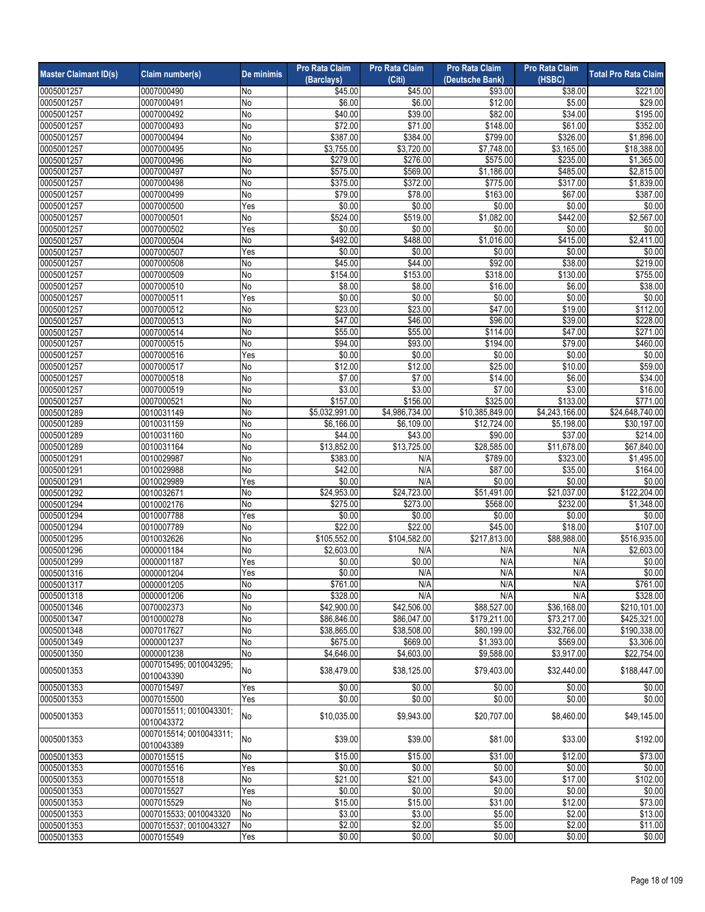| <b>Master Claimant ID(s)</b> | Claim number(s)         | De minimis | <b>Pro Rata Claim</b> | <b>Pro Rata Claim</b> | Pro Rata Claim  | <b>Pro Rata Claim</b> | Total Pro Rata Claim |
|------------------------------|-------------------------|------------|-----------------------|-----------------------|-----------------|-----------------------|----------------------|
|                              |                         |            | (Barclays)            | (Citi)                | (Deutsche Bank) | (HSBC)                |                      |
| 0005001257                   | 0007000490              | No         | \$45.00               | \$45.00               | \$93.00         | \$38.00               | \$221.00             |
| 0005001257                   | 0007000491              | No         | \$6.00                | \$6.00                | \$12.00         | \$5.00                | \$29.00              |
| 0005001257                   | 0007000492              | No         | \$40.00               | \$39.00               | \$82.00         | \$34.00               | \$195.00             |
| 0005001257                   | 0007000493              | No         | \$72.00               | \$71.00               | \$148.00        | \$61.00               | \$352.00             |
| 0005001257                   | 0007000494              | No         | \$387.00              | \$384.00              | \$799.00        | \$326.00              | \$1,896.00           |
| 0005001257                   | 0007000495              | No         | \$3,755.00            | \$3,720.00            | \$7,748.00      | \$3,165.00            | \$18,388.00          |
| 0005001257                   | 0007000496              | No         | \$279.00              | \$276.00              | \$575.00        | \$235.00              | \$1,365.00           |
| 0005001257                   | 0007000497              | No         | \$575.00              | \$569.00              | \$1,186.00      | \$485.00              | \$2,815.00           |
| 0005001257                   | 0007000498              | No         | \$375.00              | \$372.00              | \$775.00        | \$317.00              | \$1,839.00           |
| 0005001257                   | 0007000499              | No         | \$79.00               | \$78.00               | \$163.00        | \$67.00               | \$387.00             |
| 0005001257                   | 0007000500              | Yes        | \$0.00                | \$0.00                | \$0.00          | \$0.00                | \$0.00               |
| 0005001257                   | 0007000501              | No         | \$524.00              | \$519.00              | \$1,082.00      | \$442.00              | \$2,567.00           |
| 0005001257                   | 0007000502              | Yes        | \$0.00                | \$0.00                | \$0.00          | \$0.00                | \$0.00               |
| 0005001257                   | 0007000504              | No         | \$492.00              | \$488.00              | \$1,016.00      | \$415.00              | \$2,411.00           |
| 0005001257                   | 0007000507              | Yes        | \$0.00                | \$0.00                | \$0.00          | \$0.00                | \$0.00               |
| 0005001257                   | 0007000508              | No         | \$45.00               | \$44.00               | \$92.00         | \$38.00               | \$219.00             |
| 0005001257                   | 0007000509              | No         | \$154.00              | \$153.00              | \$318.00        | \$130.00              | \$755.00             |
| 0005001257                   | 0007000510              | No         | \$8.00                | \$8.00                | \$16.00         | \$6.00                | \$38.00              |
| 0005001257                   | 0007000511              | Yes        | \$0.00                | \$0.00                | \$0.00          | \$0.00                | \$0.00               |
| 0005001257                   | 0007000512              | No         | \$23.00               | \$23.00               | \$47.00         | \$19.00               | \$112.00             |
| 0005001257                   | 0007000513              | No         | \$47.00               | \$46.00               | \$96.00         | \$39.00               | \$228.00             |
| 0005001257                   | 0007000514              | No         | \$55.00               | \$55.00               | \$114.00        | \$47.00               | \$271.00             |
| 0005001257                   | 0007000515              | No         | \$94.00               | \$93.00               | \$194.00        | \$79.00               | \$460.00             |
| 0005001257                   | 0007000516              | Yes        | \$0.00                | \$0.00                | \$0.00          | \$0.00                | \$0.00               |
| 0005001257                   | 0007000517              | No         | \$12.00               | \$12.00               | \$25.00         | \$10.00               | \$59.00              |
| 0005001257                   | 0007000518              | No         | \$7.00                | \$7.00                | \$14.00         | \$6.00                | \$34.00              |
| 0005001257                   | 0007000519              | No         | \$3.00                | \$3.00                | \$7.00          | \$3.00                | \$16.00              |
| 0005001257                   | 0007000521              | No         | \$157.00              | \$156.00              | \$325.00        | \$133.00              | \$771.00             |
| 0005001289                   | 0010031149              | No         | \$5,032,991.00        | \$4,986,734.00        | \$10,385,849.00 | \$4,243,166.00        | \$24,648,740.00      |
| 0005001289                   | 0010031159              | No         | \$6,166.00            | \$6,109.00            | \$12,724.00     | \$5,198.00            | \$30,197.00          |
| 0005001289                   | 0010031160              | No         | \$44.00               | \$43.00               | \$90.00         | \$37.00               | \$214.00             |
| 0005001289                   | 0010031164              | No         | \$13,852.00           | \$13,725.00           | \$28,585.00     | \$11,678.00           | \$67,840.00          |
| 0005001291                   | 0010029987              | No         | \$383.00              | N/A                   | \$789.00        | \$323.00              | \$1,495.00           |
| 0005001291                   | 0010029988              | No         | \$42.00               | N/A                   | \$87.00         | \$35.00               | \$164.00             |
| 0005001291                   | 0010029989              | Yes        | \$0.00                | N/A                   | \$0.00          | \$0.00                | \$0.00               |
| 0005001292                   | 0010032671              | No         | \$24,953.00           | \$24,723.00           | \$51,491.00     | \$21,037.00           | \$122,204.00         |
| 0005001294                   | 0010002176              | No         | \$275.00              | \$273.00              | \$568.00        | \$232.00              | \$1,348.00           |
| 0005001294                   | 0010007788              | Yes        | \$0.00                | \$0.00                | \$0.00          | \$0.00                | \$0.00               |
| 0005001294                   | 0010007789              | No         | \$22.00               | \$22.00               | \$45.00         | \$18.00               | \$107.00             |
| 0005001295                   | 0010032626              | No         | \$105,552.00          | \$104,582.00          | \$217,813.00    | \$88,988.00           | \$516,935.00         |
| 0005001296                   | 0000001184              | No         | \$2,603.00            | N/A                   | N/A             | N/A                   | \$2,603.00           |
| 0005001299                   | 0000001187              | Yes        | \$0.00                | \$0.00                | N/A             | N/A                   | \$0.00               |
| 0005001316                   | 0000001204              | Yes        | \$0.00                | N/A                   | N/A             | N/A                   | \$0.00               |
| 0005001317                   | 0000001205              | No         | \$761.00              | N/A                   | N/A             | N/A                   | \$761.00             |
| 0005001318                   | 0000001206              | No         | \$328.00              | N/A                   | N/A             | N/A                   | \$328.00             |
| 0005001346                   | 0070002373              | No         | \$42,900.00           | \$42,506.00           | \$88,527.00     | \$36,168.00           | \$210,101.00         |
| 0005001347                   | 0010000278              | No         | \$86,846.00           | \$86,047.00           | \$179,211.00    | \$73,217.00           | \$425,321.00         |
| 0005001348                   | 0007017627              | No         | \$38,865.00           | \$38,508.00           | \$80,199.00     | \$32,766.00           | \$190,338.00         |
| 0005001349                   | 0000001237              | No         | \$675.00              | \$669.00              | \$1,393.00      | \$569.00              | \$3,306.00           |
| 0005001350                   | 0000001238              | No         | \$4,646.00            | \$4,603.00            | \$9,588.00      | \$3,917.00            | \$22,754.00          |
| 0005001353                   | 0007015495; 0010043295; | <b>No</b>  | \$38,479.00           | \$38,125.00           | \$79,403.00     | \$32,440.00           | \$188,447.00         |
|                              | 0010043390              |            |                       |                       |                 |                       |                      |
| 0005001353                   | 0007015497              | Yes        | \$0.00                | \$0.00                | \$0.00          | \$0.00                | \$0.00               |
| 0005001353                   | 0007015500              | Yes        | \$0.00                | \$0.00                | \$0.00          | \$0.00                | \$0.00               |
| 0005001353                   | 0007015511; 0010043301; | No         | \$10,035.00           | \$9,943.00            | \$20,707.00     | \$8,460.00            | \$49,145.00          |
|                              | 0010043372              |            |                       |                       |                 |                       |                      |
| 0005001353                   | 0007015514; 0010043311; | No         | \$39.00               | \$39.00               | \$81.00         | \$33.00               | \$192.00             |
|                              | 0010043389              |            |                       |                       |                 |                       |                      |
| 0005001353                   | 0007015515              | <b>No</b>  | \$15.00               | \$15.00               | \$31.00         | \$12.00               | \$73.00              |
| 0005001353                   | 0007015516              | Yes        | \$0.00                | \$0.00                | \$0.00          | \$0.00                | \$0.00               |
| 0005001353                   | 0007015518              | No         | \$21.00               | \$21.00               | \$43.00         | \$17.00               | \$102.00             |
| 0005001353                   | 0007015527              | Yes        | \$0.00                | \$0.00                | \$0.00          | \$0.00                | \$0.00               |
| 0005001353                   | 0007015529              | No         | \$15.00               | \$15.00               | \$31.00         | \$12.00               | \$73.00              |
| 0005001353                   | 0007015533; 0010043320  | <b>No</b>  | \$3.00                | \$3.00                | \$5.00          | \$2.00                | \$13.00              |
| 0005001353                   | 0007015537; 0010043327  | No         | \$2.00                | \$2.00                | \$5.00          | \$2.00                | \$11.00              |
| 0005001353                   | 0007015549              | Yes        | \$0.00                | \$0.00                | \$0.00          | \$0.00                | \$0.00               |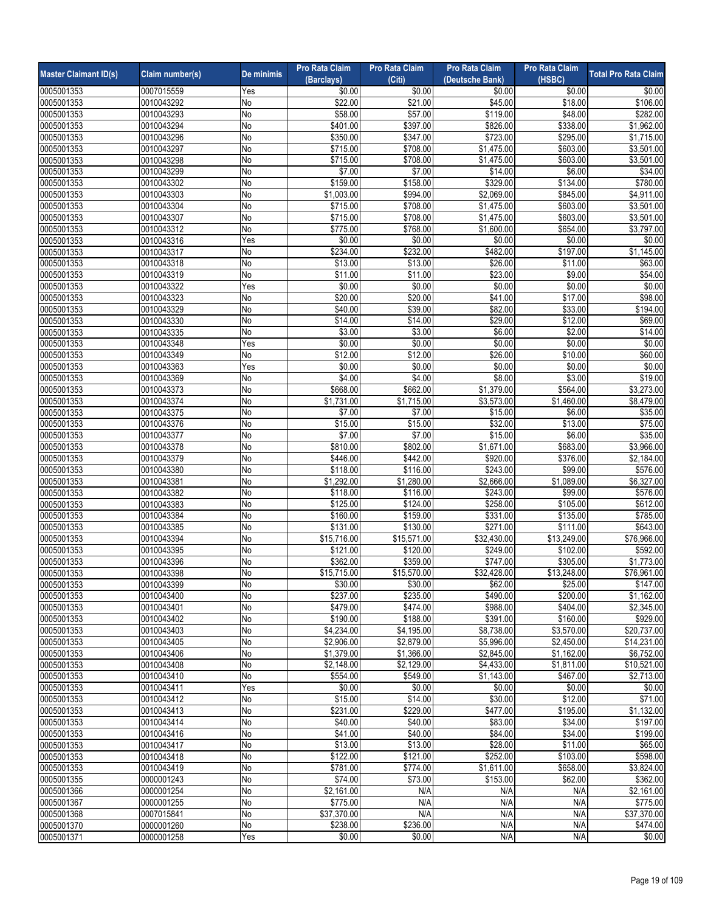| <b>Master Claimant ID(s)</b> | Claim number(s)          | De minimis      | <b>Pro Rata Claim</b>  | <b>Pro Rata Claim</b> | <b>Pro Rata Claim</b> | <b>Pro Rata Claim</b> | <b>Total Pro Rata Claim</b> |
|------------------------------|--------------------------|-----------------|------------------------|-----------------------|-----------------------|-----------------------|-----------------------------|
|                              |                          |                 | (Barclays)             | (Citi)                | (Deutsche Bank)       | (HSBC)                |                             |
| 0005001353                   | 0007015559               | Yes             | \$0.00                 | \$0.00                | \$0.00                | \$0.00                | \$0.00<br>\$106.00          |
| 0005001353<br>0005001353     | 0010043292<br>0010043293 | <b>No</b><br>No | \$22.00<br>\$58.00     | \$21.00<br>\$57.00    | \$45.00<br>\$119.00   | \$18.00<br>\$48.00    | \$282.00                    |
| 0005001353                   | 0010043294               | No              | \$401.00               | \$397.00              | \$826.00              | \$338.00              | \$1,962.00                  |
| 0005001353                   | 0010043296               | No              | \$350.00               | \$347.00              | \$723.00              | \$295.00              | \$1,715.00                  |
| 0005001353                   | 0010043297               | No              | \$715.00               | \$708.00              | \$1,475.00            | \$603.00              | \$3,501.00                  |
| 0005001353                   | 0010043298               | No              | \$715.00               | \$708.00              | \$1,475.00            | \$603.00              | \$3,501.00                  |
| 0005001353                   | 0010043299               | No              | \$7.00                 | \$7.00                | \$14.00               | \$6.00                | \$34.00                     |
| 0005001353                   | 0010043302               | No              | \$159.00               | \$158.00              | \$329.00              | \$134.00              | \$780.00                    |
| 0005001353                   | 0010043303               | No              | $\overline{$1,003.00}$ | \$994.00              | \$2,069.00            | \$845.00              | \$4,911.00                  |
| 0005001353                   | 0010043304               | No              | \$715.00               | \$708.00              | \$1,475.00            | \$603.00              | \$3,501.00                  |
| 0005001353                   | 0010043307               | No              | \$715.00               | \$708.00              | \$1,475.00            | \$603.00              | \$3,501.00                  |
| 0005001353                   | 0010043312               | No              | \$775.00               | \$768.00              | \$1,600.00            | \$654.00              | \$3,797.00                  |
| 0005001353                   | 0010043316               | Yes             | \$0.00                 | \$0.00                | \$0.00                | \$0.00                | \$0.00                      |
| 0005001353                   | 0010043317               | No              | \$234.00               | \$232.00              | \$482.00              | \$197.00              | \$1,145.00                  |
| 0005001353                   | 0010043318               | No              | \$13.00                | \$13.00               | \$26.00               | \$11.00               | \$63.00                     |
| 0005001353                   | 0010043319               | No              | \$11.00                | \$11.00               | \$23.00               | \$9.00                | \$54.00                     |
| 0005001353                   | 0010043322               | Yes             | \$0.00                 | \$0.00                | \$0.00                | \$0.00                | \$0.00                      |
| 0005001353                   | 0010043323               | No              | \$20.00                | \$20.00               | \$41.00               | \$17.00               | \$98.00                     |
| 0005001353                   | 0010043329               | No              | \$40.00                | \$39.00               | \$82.00               | \$33.00               | \$194.00                    |
| 0005001353                   | 0010043330               | No              | \$14.00                | \$14.00               | \$29.00               | \$12.00               | \$69.00                     |
| 0005001353                   | 0010043335               | No              | \$3.00                 | \$3.00                | \$6.00                | \$2.00                | \$14.00                     |
| 0005001353                   | 0010043348               | Yes             | \$0.00                 | \$0.00                | \$0.00                | \$0.00                | \$0.00                      |
| 0005001353                   | 0010043349               | <b>No</b>       | \$12.00                | \$12.00               | \$26.00               | \$10.00               | \$60.00                     |
| 0005001353                   | 0010043363               | Yes             | \$0.00                 | \$0.00                | \$0.00                | \$0.00                | \$0.00                      |
| 0005001353                   | 0010043369               | No              | \$4.00                 | \$4.00                | \$8.00                | \$3.00                | \$19.00                     |
| 0005001353                   | 0010043373               | No              | \$668.00               | \$662.00              | \$1,379.00            | \$564.00              | \$3,273.00                  |
| 0005001353                   | 0010043374               | No              | \$1,731.00             | \$1,715.00            | \$3,573.00            | \$1,460.00            | \$8,479.00                  |
| 0005001353                   | 0010043375               | No              | \$7.00                 | \$7.00                | \$15.00               | \$6.00                | \$35.00                     |
| 0005001353                   | 0010043376               | No              | \$15.00                | \$15.00               | \$32.00               | \$13.00               | \$75.00                     |
| 0005001353                   | 0010043377               | No              | \$7.00                 | \$7.00                | \$15.00               | \$6.00                | \$35.00                     |
| 0005001353                   | 0010043378               | No              | \$810.00               | \$802.00              | \$1,671.00            | \$683.00              | \$3,966.00                  |
| 0005001353                   | 0010043379               | No              | \$446.00               | \$442.00              | \$920.00              | \$376.00              | \$2,184.00                  |
| 0005001353                   | 0010043380               | No              | \$118.00               | \$116.00              | \$243.00              | \$99.00               | \$576.00                    |
| 0005001353                   | 0010043381               | No              | \$1,292.00             | \$1,280.00            | \$2,666.00            | \$1,089.00            | \$6,327.00                  |
| 0005001353                   | 0010043382               | No              | \$118.00               | \$116.00              | \$243.00              | \$99.00               | \$576.00                    |
| 0005001353                   | 0010043383               | No              | \$125.00               | \$124.00              | \$258.00              | \$105.00              | \$612.00                    |
| 0005001353                   | 0010043384               | No              | \$160.00               | \$159.00              | \$331.00              | \$135.00              | \$785.00                    |
| 0005001353                   | 0010043385               | No              | \$131.00               | \$130.00              | \$271.00              | \$111.00              | \$643.00                    |
| 0005001353                   | 0010043394               | No              | \$15,716.00            | \$15,571.00           | \$32,430.00           | \$13,249.00           | \$76,966.00                 |
| 0005001353                   | 0010043395               | No              | \$121.00               | \$120.00              | \$249.00              | \$102.00              | \$592.00                    |
| 0005001353                   | 0010043396               | No              | \$362.00               | \$359.00              | \$747.00              | \$305.00              | \$1,773.00                  |
| 0005001353                   | 0010043398               | No              | \$15,715.00            | \$15,570.00           | \$32,428.00           | \$13,248.00           | \$76,961.00                 |
| 0005001353                   | 0010043399               | No              | \$30.00                | \$30.00               | \$62.00               | \$25.00               | \$147.00                    |
| 0005001353                   | 0010043400               | No              | \$237.00               | \$235.00              | \$490.00              | \$200.00              | \$1,162.00                  |
| 0005001353                   | 0010043401               | <b>No</b>       | \$479.00               | \$474.00              | \$988.00              | \$404.00              | \$2,345.00                  |
| 0005001353                   | 0010043402               | <b>No</b>       | \$190.00               | \$188.00              | \$391.00              | \$160.00              | \$929.00                    |
| 0005001353                   | 0010043403               | No              | \$4,234.00             | \$4,195.00            | \$8,738.00            | \$3,570.00            | \$20.737.00                 |
| 0005001353                   | 0010043405               | <b>No</b>       | \$2.906.00             | \$2,879.00            | \$5,996.00            | \$2,450.00            | \$14,231.00                 |
| 0005001353                   | 0010043406               | No              | \$1,379.00             | \$1,366.00            | \$2,845.00            | \$1,162.00            | \$6,752.00                  |
| 0005001353                   | 0010043408               | No              | \$2,148.00             | \$2,129.00            | \$4,433.00            | \$1.811.00            | \$10,521.00                 |
| 0005001353                   | 0010043410               | <b>No</b>       | \$554.00               | \$549.00              | \$1,143.00            | \$467.00              | \$2,713.00                  |
| 0005001353                   | 0010043411               | Yes             | \$0.00                 | \$0.00                | \$0.00                | \$0.00                | \$0.00                      |
| 0005001353                   | 0010043412               | No              | \$15.00                | \$14.00               | \$30.00               | \$12.00               | \$71.00                     |
| 0005001353                   | 0010043413               | <b>No</b>       | \$231.00               | \$229.00              | \$477.00              | \$195.00              | \$1,132.00                  |
| 0005001353                   | 0010043414               | <b>No</b>       | \$40.00                | \$40.00               | \$83.00               | \$34.00               | \$197.00                    |
| 0005001353                   | 0010043416               | <b>No</b>       | \$41.00                | \$40.00               | \$84.00               | \$34.00               | \$199.00                    |
| 0005001353                   | 0010043417               | <b>No</b>       | \$13.00                | \$13.00               | \$28.00               | \$11.00               | \$65.00                     |
| 0005001353                   | 0010043418               | <b>No</b>       | \$122.00               | \$121.00              | \$252.00              | \$103.00              | \$598.00                    |
| 0005001353                   | 0010043419               | No              | \$781.00               | \$774.00              | \$1,611.00            | \$658.00              | \$3,824.00                  |
| 0005001355                   | 0000001243               | <b>No</b>       | \$74.00                | \$73.00               | \$153.00              | \$62.00               | \$362.00                    |
| 0005001366                   | 0000001254               | <b>No</b>       | \$2,161.00             | N/A                   | N/A                   | N/A                   | \$2,161.00                  |
| 0005001367                   | 0000001255               | No              | \$775.00               | N/A                   | N/A                   | N/A                   | \$775.00                    |
| 0005001368                   | 0007015841               | <b>No</b>       | \$37,370.00            | N/A                   | N/A                   | N/A                   | \$37,370.00                 |
| 0005001370                   | 0000001260               | <b>No</b>       | \$238.00               | \$236.00              | N/A                   | N/A                   | \$474.00                    |
| 0005001371                   | 0000001258               | Yes             | \$0.00                 | \$0.00                | N/A                   | N/A                   | \$0.00                      |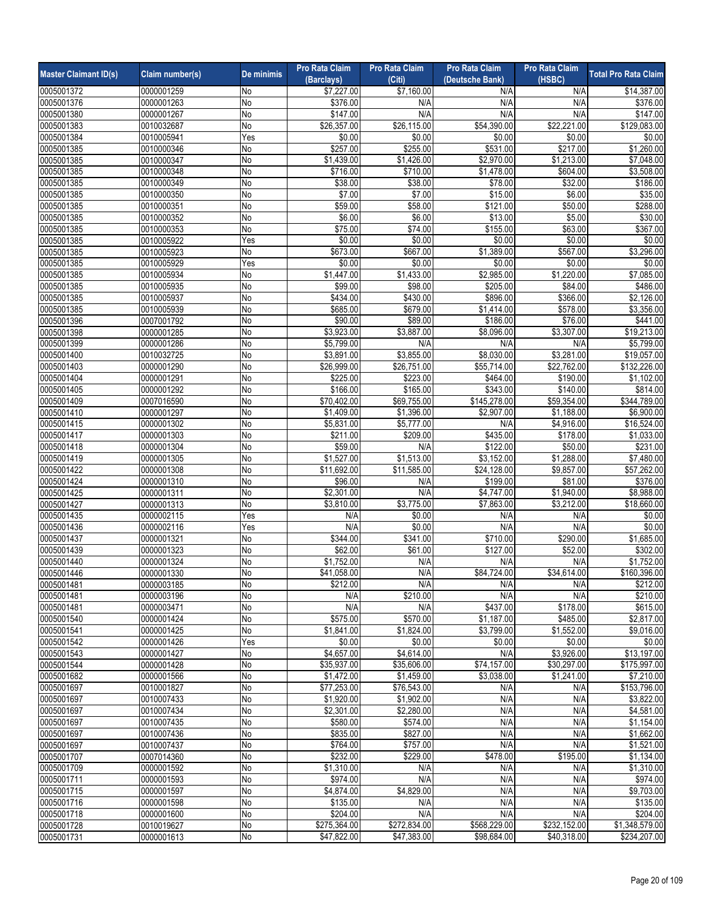| 0005001372<br>0000001259<br>No<br>\$7,227.00<br>\$7,160.00<br>N/A<br>\$14,387.00<br>N/A<br>0005001376<br>0000001263<br>No<br>\$376.00<br>N/A<br>N/A<br>N/A<br>\$376.00<br>\$147.00<br>N/A<br>\$147.00<br>No<br>N/A<br>N/A<br>0005001380<br>0000001267<br>\$26,115.00<br>0005001383<br>0010032687<br>No<br>$\overline{$26,357.00}$<br>\$54,390.00<br>\$22,221.00<br>\$129,083.00<br>\$0.00<br>\$0.00<br>\$0.00<br>\$0.00<br>\$0.00<br>0005001384<br>0010005941<br>Yes<br>\$257.00<br>\$255.00<br>\$531.00<br>\$217.00<br>\$1,260.00<br>0005001385<br>0010000346<br>No<br>\$2,970.00<br>0005001385<br>0010000347<br>No<br>\$1,439.00<br>\$1,426.00<br>\$1,213.00<br>\$7,048.00<br>\$710.00<br>\$3,508.00<br>0005001385<br>0010000348<br>No<br>\$716.00<br>\$1,478.00<br>\$604.00<br>\$38.00<br>\$32.00<br>\$186.00<br>0005001385<br>0010000349<br>No<br>\$38.00<br>\$78.00<br>\$7.00<br>\$7.00<br>\$15.00<br>\$6.00<br>\$35.00<br>0005001385<br>No<br>0010000350<br>\$59.00<br>\$58.00<br>\$121.00<br>\$50.00<br>\$288.00<br>0005001385<br>0010000351<br>No<br>\$6.00<br>\$13.00<br>\$5.00<br>\$30.00<br>No<br>\$6.00<br>0005001385<br>0010000352<br>0005001385<br>No<br>\$75.00<br>\$74.00<br>\$155.00<br>\$63.00<br>\$367.00<br>0010000353<br>\$0.00<br>\$0.00<br>\$0.00<br>\$0.00<br>\$0.00<br>0005001385<br>0010005922<br>Yes<br>\$673.00<br>\$667.00<br>\$1,389.00<br>\$567.00<br>\$3,296.00<br>0005001385<br>0010005923<br>No<br>\$0.00<br>0005001385<br>0010005929<br>\$0.00<br>\$0.00<br>\$0.00<br>\$0.00<br>Yes<br>\$1,433.00<br>\$2,985.00<br>\$1,220.00<br>\$7,085.00<br>0005001385<br>0010005934<br>No<br>\$1,447.00<br>0005001385<br>\$99.00<br>\$98.00<br>\$205.00<br>\$84.00<br>\$486.00<br>0010005935<br>No<br>\$366.00<br>\$2,126.00<br>No<br>\$434.00<br>\$430.00<br>\$896.00<br>0005001385<br>0010005937<br>\$3,356.00<br>\$679.00<br>0005001385<br>0010005939<br>No<br>\$685.00<br>\$1,414.00<br>\$578.00<br>\$89.00<br>\$76.00<br>\$441.00<br>\$90.00<br>\$186.00<br>0005001396<br>0007001792<br>No<br>\$3,923.00<br>\$3,887.00<br>\$19,213.00<br>0005001398<br>0000001285<br>No<br>\$8,096.00<br>\$3,307.00<br>\$5,799.00<br>0005001399<br>0000001286<br>No<br>\$5,799.00<br>N/A<br>N/A<br>N/A<br>\$3,855.00<br>\$8,030.00<br>\$3,281.00<br>\$19,057.00<br>0005001400<br>0010032725<br>No<br>\$3,891.00<br>0005001403<br>\$26,999.00<br>\$26,751.00<br>\$22,762.00<br>\$132,226.00<br>0000001290<br>No<br>\$55,714.00<br>\$223.00<br>\$190.00<br>\$1,102.00<br>No<br>\$225.00<br>\$464.00<br>0005001404<br>0000001291<br>\$165.00<br>\$140.00<br>\$814.00<br>0005001405<br>0000001292<br>No<br>\$166.00<br>\$343.00<br>\$69,755.00<br>\$59,354.00<br>\$344,789.00<br>0005001409<br>\$70,402.00<br>\$145,278.00<br>0007016590<br>No<br>\$1,409.00<br>\$1,396.00<br>\$1,188.00<br>\$6,900.00<br>0005001410<br>0000001297<br>No<br>\$2,907.00<br>\$16,524.00<br>No<br>\$5,831.00<br>\$5,777.00<br>N/A<br>\$4,916.00<br>0005001415<br>0000001302<br>\$435.00<br>\$1,033.00<br>0005001417<br>0000001303<br>\$211.00<br>\$209.00<br>\$178.00<br>No<br>N/A<br>\$122.00<br>\$50.00<br>\$231.00<br>0005001418<br>0000001304<br>No<br>\$59.00<br>\$1,513.00<br>\$1,288.00<br>\$7,480.00<br>0005001419<br>0000001305<br>No<br>\$1,527.00<br>\$3,152.00<br>\$9,857.00<br>\$57,262.00<br>0005001422<br>0000001308<br>No<br>\$11,692.00<br>\$11,585.00<br>\$24,128.00<br>\$376.00<br>No<br>\$96.00<br>N/A<br>\$199.00<br>\$81.00<br>0005001424<br>0000001310<br>\$8,988.00<br>0005001425<br>0000001311<br>No<br>\$2,301.00<br>N/A<br>\$4,747.00<br>\$1,940.00<br>\$3,775.00<br>\$18,660.00<br>\$3,810.00<br>\$7,863.00<br>\$3,212.00<br>0005001427<br>0000001313<br>No<br>0005001435<br>Yes<br>N/A<br>\$0.00<br>N/A<br>\$0.00<br>0000002115<br>N/A<br>\$0.00<br>N/A<br>\$0.00<br>N/A<br>N/A<br>0005001436<br>0000002116<br>Yes<br>\$290.00<br>\$1,685.00<br>0005001437<br>0000001321<br>\$344.00<br>\$341.00<br>\$710.00<br>No<br>\$61.00<br>\$52.00<br>\$302.00<br>0005001439<br>0000001323<br>No<br>\$62.00<br>\$127.00<br>0005001440<br>No<br>\$1,752.00<br>\$1,752.00<br>0000001324<br>N/A<br>N/A<br>N/A<br>\$41,058.00<br>N/A<br>\$160,396.00<br>0005001446<br>0000001330<br>\$84,724.00<br>\$34,614.00<br>No<br>0000003185<br>No<br>\$212.00<br>N/A<br>N/A<br>N/A<br>\$212.00<br>0005001481<br>No<br>0005001481<br>0000003196<br>\$210.00<br>N/A<br>N/A<br>\$210.00<br>N/A<br>\$178.00<br>\$615.00<br>N/A<br>N/A<br>\$437.00<br>0005001481<br>0000003471<br>No<br>0000001424<br>\$570.00<br>\$485.00<br>0005001540<br><b>No</b><br>\$575.00<br>\$1,187.00<br>\$2,817.00<br>0005001541<br>0000001425<br>No<br>\$3,799.00<br>\$1,552.00<br>\$9.016.00<br>\$1,841.00<br>\$1,824.00<br>0005001542<br>0000001426<br>Yes<br>\$0.00<br>\$0.00<br>\$0.00<br>\$0.00<br>\$0.00<br>0005001543<br>0000001427<br>\$4,657.00<br>\$4,614.00<br>N/A<br>\$3,926.00<br>\$13,197.00<br>No<br>No<br>\$35,606.00<br>\$74,157.00<br>\$175.997.00<br>0005001544<br>0000001428<br>\$35,937.00<br>\$30,297.00<br>\$3,038.00<br>0005001682<br>0000001566<br>No<br>\$1,472.00<br>\$1,459.00<br>\$1,241.00<br>\$7.210.00<br>\$77,253.00<br>0005001697<br>0010001827<br>No<br>\$76,543.00<br>N/A<br>\$153,796.00<br>N/A<br>0005001697<br>0010007433<br>No<br>\$1,920.00<br>\$1.902.00<br>N/A<br>\$3,822.00<br>N/A<br>No<br>\$2,301.00<br>\$2,280.00<br>N/A<br>N/A<br>\$4,581.00<br>0005001697<br>0010007434<br>N/A<br>0005001697<br>0010007435<br>No<br>\$580.00<br>\$574.00<br>N/A<br>\$1,154.00<br>0005001697<br>0010007436<br>No<br>\$835.00<br>\$827.00<br>N/A<br>\$1,662.00<br>N/A<br>N/A<br>0005001697<br>0010007437<br><b>No</b><br>\$764.00<br>\$757.00<br>N/A<br>\$1,521.00<br>\$232.00<br>0005001707<br>0007014360<br>No<br>\$229.00<br>\$478.00<br>\$195.00<br>\$1,134.00<br>No<br>0005001709<br>\$1,310.00<br>N/A<br>N/A<br>N/A<br>\$1,310.00<br>0000001592<br>\$974.00<br>N/A<br>\$974.00<br>0005001711<br>0000001593<br>No<br>N/A<br>N/A<br>\$4,829.00<br>\$9,703.00<br><b>No</b><br>\$4,874.00<br>N/A<br>0005001715<br>0000001597<br>N/A<br>No<br>N/A<br>\$135.00<br>0005001716<br>0000001598<br>\$135.00<br>N/A<br>N/A<br>No<br>\$204.00<br>N/A<br>N/A<br>N/A<br>\$204.00<br>0005001718<br>0000001600<br>\$232,152.00<br>\$1,348,579.00<br>0005001728<br>0010019627<br><b>No</b><br>\$275,364.00<br>\$272,834.00<br>\$568,229.00<br>0005001731<br><b>No</b><br>\$234,207.00<br>0000001613<br>\$47,822.00<br>\$47,383.00<br>\$98,684.00<br>\$40,318.00 | <b>Master Claimant ID(s)</b> | Claim number(s) | De minimis | <b>Pro Rata Claim</b> | <b>Pro Rata Claim</b> | Pro Rata Claim  | Pro Rata Claim | Total Pro Rata Claim |
|------------------------------------------------------------------------------------------------------------------------------------------------------------------------------------------------------------------------------------------------------------------------------------------------------------------------------------------------------------------------------------------------------------------------------------------------------------------------------------------------------------------------------------------------------------------------------------------------------------------------------------------------------------------------------------------------------------------------------------------------------------------------------------------------------------------------------------------------------------------------------------------------------------------------------------------------------------------------------------------------------------------------------------------------------------------------------------------------------------------------------------------------------------------------------------------------------------------------------------------------------------------------------------------------------------------------------------------------------------------------------------------------------------------------------------------------------------------------------------------------------------------------------------------------------------------------------------------------------------------------------------------------------------------------------------------------------------------------------------------------------------------------------------------------------------------------------------------------------------------------------------------------------------------------------------------------------------------------------------------------------------------------------------------------------------------------------------------------------------------------------------------------------------------------------------------------------------------------------------------------------------------------------------------------------------------------------------------------------------------------------------------------------------------------------------------------------------------------------------------------------------------------------------------------------------------------------------------------------------------------------------------------------------------------------------------------------------------------------------------------------------------------------------------------------------------------------------------------------------------------------------------------------------------------------------------------------------------------------------------------------------------------------------------------------------------------------------------------------------------------------------------------------------------------------------------------------------------------------------------------------------------------------------------------------------------------------------------------------------------------------------------------------------------------------------------------------------------------------------------------------------------------------------------------------------------------------------------------------------------------------------------------------------------------------------------------------------------------------------------------------------------------------------------------------------------------------------------------------------------------------------------------------------------------------------------------------------------------------------------------------------------------------------------------------------------------------------------------------------------------------------------------------------------------------------------------------------------------------------------------------------------------------------------------------------------------------------------------------------------------------------------------------------------------------------------------------------------------------------------------------------------------------------------------------------------------------------------------------------------------------------------------------------------------------------------------------------------------------------------------------------------------------------------------------------------------------------------------------------------------------------------------------------------------------------------------------------------------------------------------------------------------------------------------------------------------------------------------------------------------------------------------------------------------------------------------------------------------------------------------------------------------------------------------------------------------------------------------------------------------------------------------------------------------------------------------------------------------------------------------------------------------------------------------------------------------------------------------------------------------------------------------------------------------------------------------------------------------------------------------------------------------------------------------------------------------------------------------------------------------------------------------------------------------------------------------------------------------------------------------------------------------------------------------------------------------------------------------------------------------------------------------------------------------------------------------------------------------------------------------------------------------------------------------------------------------------------------------------------------------------------------------------------------------------------------------------|------------------------------|-----------------|------------|-----------------------|-----------------------|-----------------|----------------|----------------------|
|                                                                                                                                                                                                                                                                                                                                                                                                                                                                                                                                                                                                                                                                                                                                                                                                                                                                                                                                                                                                                                                                                                                                                                                                                                                                                                                                                                                                                                                                                                                                                                                                                                                                                                                                                                                                                                                                                                                                                                                                                                                                                                                                                                                                                                                                                                                                                                                                                                                                                                                                                                                                                                                                                                                                                                                                                                                                                                                                                                                                                                                                                                                                                                                                                                                                                                                                                                                                                                                                                                                                                                                                                                                                                                                                                                                                                                                                                                                                                                                                                                                                                                                                                                                                                                                                                                                                                                                                                                                                                                                                                                                                                                                                                                                                                                                                                                                                                                                                                                                                                                                                                                                                                                                                                                                                                                                                                                                                                                                                                                                                                                                                                                                                                                                                                                                                                                                                                                                                                                                                                                                                                                                                                                                                                                                                                                                                                                                                                                                      |                              |                 |            | (Barclays)            | (Citi)                | (Deutsche Bank) | (HSBC)         |                      |
|                                                                                                                                                                                                                                                                                                                                                                                                                                                                                                                                                                                                                                                                                                                                                                                                                                                                                                                                                                                                                                                                                                                                                                                                                                                                                                                                                                                                                                                                                                                                                                                                                                                                                                                                                                                                                                                                                                                                                                                                                                                                                                                                                                                                                                                                                                                                                                                                                                                                                                                                                                                                                                                                                                                                                                                                                                                                                                                                                                                                                                                                                                                                                                                                                                                                                                                                                                                                                                                                                                                                                                                                                                                                                                                                                                                                                                                                                                                                                                                                                                                                                                                                                                                                                                                                                                                                                                                                                                                                                                                                                                                                                                                                                                                                                                                                                                                                                                                                                                                                                                                                                                                                                                                                                                                                                                                                                                                                                                                                                                                                                                                                                                                                                                                                                                                                                                                                                                                                                                                                                                                                                                                                                                                                                                                                                                                                                                                                                                                      |                              |                 |            |                       |                       |                 |                |                      |
|                                                                                                                                                                                                                                                                                                                                                                                                                                                                                                                                                                                                                                                                                                                                                                                                                                                                                                                                                                                                                                                                                                                                                                                                                                                                                                                                                                                                                                                                                                                                                                                                                                                                                                                                                                                                                                                                                                                                                                                                                                                                                                                                                                                                                                                                                                                                                                                                                                                                                                                                                                                                                                                                                                                                                                                                                                                                                                                                                                                                                                                                                                                                                                                                                                                                                                                                                                                                                                                                                                                                                                                                                                                                                                                                                                                                                                                                                                                                                                                                                                                                                                                                                                                                                                                                                                                                                                                                                                                                                                                                                                                                                                                                                                                                                                                                                                                                                                                                                                                                                                                                                                                                                                                                                                                                                                                                                                                                                                                                                                                                                                                                                                                                                                                                                                                                                                                                                                                                                                                                                                                                                                                                                                                                                                                                                                                                                                                                                                                      |                              |                 |            |                       |                       |                 |                |                      |
|                                                                                                                                                                                                                                                                                                                                                                                                                                                                                                                                                                                                                                                                                                                                                                                                                                                                                                                                                                                                                                                                                                                                                                                                                                                                                                                                                                                                                                                                                                                                                                                                                                                                                                                                                                                                                                                                                                                                                                                                                                                                                                                                                                                                                                                                                                                                                                                                                                                                                                                                                                                                                                                                                                                                                                                                                                                                                                                                                                                                                                                                                                                                                                                                                                                                                                                                                                                                                                                                                                                                                                                                                                                                                                                                                                                                                                                                                                                                                                                                                                                                                                                                                                                                                                                                                                                                                                                                                                                                                                                                                                                                                                                                                                                                                                                                                                                                                                                                                                                                                                                                                                                                                                                                                                                                                                                                                                                                                                                                                                                                                                                                                                                                                                                                                                                                                                                                                                                                                                                                                                                                                                                                                                                                                                                                                                                                                                                                                                                      |                              |                 |            |                       |                       |                 |                |                      |
|                                                                                                                                                                                                                                                                                                                                                                                                                                                                                                                                                                                                                                                                                                                                                                                                                                                                                                                                                                                                                                                                                                                                                                                                                                                                                                                                                                                                                                                                                                                                                                                                                                                                                                                                                                                                                                                                                                                                                                                                                                                                                                                                                                                                                                                                                                                                                                                                                                                                                                                                                                                                                                                                                                                                                                                                                                                                                                                                                                                                                                                                                                                                                                                                                                                                                                                                                                                                                                                                                                                                                                                                                                                                                                                                                                                                                                                                                                                                                                                                                                                                                                                                                                                                                                                                                                                                                                                                                                                                                                                                                                                                                                                                                                                                                                                                                                                                                                                                                                                                                                                                                                                                                                                                                                                                                                                                                                                                                                                                                                                                                                                                                                                                                                                                                                                                                                                                                                                                                                                                                                                                                                                                                                                                                                                                                                                                                                                                                                                      |                              |                 |            |                       |                       |                 |                |                      |
|                                                                                                                                                                                                                                                                                                                                                                                                                                                                                                                                                                                                                                                                                                                                                                                                                                                                                                                                                                                                                                                                                                                                                                                                                                                                                                                                                                                                                                                                                                                                                                                                                                                                                                                                                                                                                                                                                                                                                                                                                                                                                                                                                                                                                                                                                                                                                                                                                                                                                                                                                                                                                                                                                                                                                                                                                                                                                                                                                                                                                                                                                                                                                                                                                                                                                                                                                                                                                                                                                                                                                                                                                                                                                                                                                                                                                                                                                                                                                                                                                                                                                                                                                                                                                                                                                                                                                                                                                                                                                                                                                                                                                                                                                                                                                                                                                                                                                                                                                                                                                                                                                                                                                                                                                                                                                                                                                                                                                                                                                                                                                                                                                                                                                                                                                                                                                                                                                                                                                                                                                                                                                                                                                                                                                                                                                                                                                                                                                                                      |                              |                 |            |                       |                       |                 |                |                      |
|                                                                                                                                                                                                                                                                                                                                                                                                                                                                                                                                                                                                                                                                                                                                                                                                                                                                                                                                                                                                                                                                                                                                                                                                                                                                                                                                                                                                                                                                                                                                                                                                                                                                                                                                                                                                                                                                                                                                                                                                                                                                                                                                                                                                                                                                                                                                                                                                                                                                                                                                                                                                                                                                                                                                                                                                                                                                                                                                                                                                                                                                                                                                                                                                                                                                                                                                                                                                                                                                                                                                                                                                                                                                                                                                                                                                                                                                                                                                                                                                                                                                                                                                                                                                                                                                                                                                                                                                                                                                                                                                                                                                                                                                                                                                                                                                                                                                                                                                                                                                                                                                                                                                                                                                                                                                                                                                                                                                                                                                                                                                                                                                                                                                                                                                                                                                                                                                                                                                                                                                                                                                                                                                                                                                                                                                                                                                                                                                                                                      |                              |                 |            |                       |                       |                 |                |                      |
|                                                                                                                                                                                                                                                                                                                                                                                                                                                                                                                                                                                                                                                                                                                                                                                                                                                                                                                                                                                                                                                                                                                                                                                                                                                                                                                                                                                                                                                                                                                                                                                                                                                                                                                                                                                                                                                                                                                                                                                                                                                                                                                                                                                                                                                                                                                                                                                                                                                                                                                                                                                                                                                                                                                                                                                                                                                                                                                                                                                                                                                                                                                                                                                                                                                                                                                                                                                                                                                                                                                                                                                                                                                                                                                                                                                                                                                                                                                                                                                                                                                                                                                                                                                                                                                                                                                                                                                                                                                                                                                                                                                                                                                                                                                                                                                                                                                                                                                                                                                                                                                                                                                                                                                                                                                                                                                                                                                                                                                                                                                                                                                                                                                                                                                                                                                                                                                                                                                                                                                                                                                                                                                                                                                                                                                                                                                                                                                                                                                      |                              |                 |            |                       |                       |                 |                |                      |
|                                                                                                                                                                                                                                                                                                                                                                                                                                                                                                                                                                                                                                                                                                                                                                                                                                                                                                                                                                                                                                                                                                                                                                                                                                                                                                                                                                                                                                                                                                                                                                                                                                                                                                                                                                                                                                                                                                                                                                                                                                                                                                                                                                                                                                                                                                                                                                                                                                                                                                                                                                                                                                                                                                                                                                                                                                                                                                                                                                                                                                                                                                                                                                                                                                                                                                                                                                                                                                                                                                                                                                                                                                                                                                                                                                                                                                                                                                                                                                                                                                                                                                                                                                                                                                                                                                                                                                                                                                                                                                                                                                                                                                                                                                                                                                                                                                                                                                                                                                                                                                                                                                                                                                                                                                                                                                                                                                                                                                                                                                                                                                                                                                                                                                                                                                                                                                                                                                                                                                                                                                                                                                                                                                                                                                                                                                                                                                                                                                                      |                              |                 |            |                       |                       |                 |                |                      |
|                                                                                                                                                                                                                                                                                                                                                                                                                                                                                                                                                                                                                                                                                                                                                                                                                                                                                                                                                                                                                                                                                                                                                                                                                                                                                                                                                                                                                                                                                                                                                                                                                                                                                                                                                                                                                                                                                                                                                                                                                                                                                                                                                                                                                                                                                                                                                                                                                                                                                                                                                                                                                                                                                                                                                                                                                                                                                                                                                                                                                                                                                                                                                                                                                                                                                                                                                                                                                                                                                                                                                                                                                                                                                                                                                                                                                                                                                                                                                                                                                                                                                                                                                                                                                                                                                                                                                                                                                                                                                                                                                                                                                                                                                                                                                                                                                                                                                                                                                                                                                                                                                                                                                                                                                                                                                                                                                                                                                                                                                                                                                                                                                                                                                                                                                                                                                                                                                                                                                                                                                                                                                                                                                                                                                                                                                                                                                                                                                                                      |                              |                 |            |                       |                       |                 |                |                      |
|                                                                                                                                                                                                                                                                                                                                                                                                                                                                                                                                                                                                                                                                                                                                                                                                                                                                                                                                                                                                                                                                                                                                                                                                                                                                                                                                                                                                                                                                                                                                                                                                                                                                                                                                                                                                                                                                                                                                                                                                                                                                                                                                                                                                                                                                                                                                                                                                                                                                                                                                                                                                                                                                                                                                                                                                                                                                                                                                                                                                                                                                                                                                                                                                                                                                                                                                                                                                                                                                                                                                                                                                                                                                                                                                                                                                                                                                                                                                                                                                                                                                                                                                                                                                                                                                                                                                                                                                                                                                                                                                                                                                                                                                                                                                                                                                                                                                                                                                                                                                                                                                                                                                                                                                                                                                                                                                                                                                                                                                                                                                                                                                                                                                                                                                                                                                                                                                                                                                                                                                                                                                                                                                                                                                                                                                                                                                                                                                                                                      |                              |                 |            |                       |                       |                 |                |                      |
|                                                                                                                                                                                                                                                                                                                                                                                                                                                                                                                                                                                                                                                                                                                                                                                                                                                                                                                                                                                                                                                                                                                                                                                                                                                                                                                                                                                                                                                                                                                                                                                                                                                                                                                                                                                                                                                                                                                                                                                                                                                                                                                                                                                                                                                                                                                                                                                                                                                                                                                                                                                                                                                                                                                                                                                                                                                                                                                                                                                                                                                                                                                                                                                                                                                                                                                                                                                                                                                                                                                                                                                                                                                                                                                                                                                                                                                                                                                                                                                                                                                                                                                                                                                                                                                                                                                                                                                                                                                                                                                                                                                                                                                                                                                                                                                                                                                                                                                                                                                                                                                                                                                                                                                                                                                                                                                                                                                                                                                                                                                                                                                                                                                                                                                                                                                                                                                                                                                                                                                                                                                                                                                                                                                                                                                                                                                                                                                                                                                      |                              |                 |            |                       |                       |                 |                |                      |
|                                                                                                                                                                                                                                                                                                                                                                                                                                                                                                                                                                                                                                                                                                                                                                                                                                                                                                                                                                                                                                                                                                                                                                                                                                                                                                                                                                                                                                                                                                                                                                                                                                                                                                                                                                                                                                                                                                                                                                                                                                                                                                                                                                                                                                                                                                                                                                                                                                                                                                                                                                                                                                                                                                                                                                                                                                                                                                                                                                                                                                                                                                                                                                                                                                                                                                                                                                                                                                                                                                                                                                                                                                                                                                                                                                                                                                                                                                                                                                                                                                                                                                                                                                                                                                                                                                                                                                                                                                                                                                                                                                                                                                                                                                                                                                                                                                                                                                                                                                                                                                                                                                                                                                                                                                                                                                                                                                                                                                                                                                                                                                                                                                                                                                                                                                                                                                                                                                                                                                                                                                                                                                                                                                                                                                                                                                                                                                                                                                                      |                              |                 |            |                       |                       |                 |                |                      |
|                                                                                                                                                                                                                                                                                                                                                                                                                                                                                                                                                                                                                                                                                                                                                                                                                                                                                                                                                                                                                                                                                                                                                                                                                                                                                                                                                                                                                                                                                                                                                                                                                                                                                                                                                                                                                                                                                                                                                                                                                                                                                                                                                                                                                                                                                                                                                                                                                                                                                                                                                                                                                                                                                                                                                                                                                                                                                                                                                                                                                                                                                                                                                                                                                                                                                                                                                                                                                                                                                                                                                                                                                                                                                                                                                                                                                                                                                                                                                                                                                                                                                                                                                                                                                                                                                                                                                                                                                                                                                                                                                                                                                                                                                                                                                                                                                                                                                                                                                                                                                                                                                                                                                                                                                                                                                                                                                                                                                                                                                                                                                                                                                                                                                                                                                                                                                                                                                                                                                                                                                                                                                                                                                                                                                                                                                                                                                                                                                                                      |                              |                 |            |                       |                       |                 |                |                      |
|                                                                                                                                                                                                                                                                                                                                                                                                                                                                                                                                                                                                                                                                                                                                                                                                                                                                                                                                                                                                                                                                                                                                                                                                                                                                                                                                                                                                                                                                                                                                                                                                                                                                                                                                                                                                                                                                                                                                                                                                                                                                                                                                                                                                                                                                                                                                                                                                                                                                                                                                                                                                                                                                                                                                                                                                                                                                                                                                                                                                                                                                                                                                                                                                                                                                                                                                                                                                                                                                                                                                                                                                                                                                                                                                                                                                                                                                                                                                                                                                                                                                                                                                                                                                                                                                                                                                                                                                                                                                                                                                                                                                                                                                                                                                                                                                                                                                                                                                                                                                                                                                                                                                                                                                                                                                                                                                                                                                                                                                                                                                                                                                                                                                                                                                                                                                                                                                                                                                                                                                                                                                                                                                                                                                                                                                                                                                                                                                                                                      |                              |                 |            |                       |                       |                 |                |                      |
|                                                                                                                                                                                                                                                                                                                                                                                                                                                                                                                                                                                                                                                                                                                                                                                                                                                                                                                                                                                                                                                                                                                                                                                                                                                                                                                                                                                                                                                                                                                                                                                                                                                                                                                                                                                                                                                                                                                                                                                                                                                                                                                                                                                                                                                                                                                                                                                                                                                                                                                                                                                                                                                                                                                                                                                                                                                                                                                                                                                                                                                                                                                                                                                                                                                                                                                                                                                                                                                                                                                                                                                                                                                                                                                                                                                                                                                                                                                                                                                                                                                                                                                                                                                                                                                                                                                                                                                                                                                                                                                                                                                                                                                                                                                                                                                                                                                                                                                                                                                                                                                                                                                                                                                                                                                                                                                                                                                                                                                                                                                                                                                                                                                                                                                                                                                                                                                                                                                                                                                                                                                                                                                                                                                                                                                                                                                                                                                                                                                      |                              |                 |            |                       |                       |                 |                |                      |
|                                                                                                                                                                                                                                                                                                                                                                                                                                                                                                                                                                                                                                                                                                                                                                                                                                                                                                                                                                                                                                                                                                                                                                                                                                                                                                                                                                                                                                                                                                                                                                                                                                                                                                                                                                                                                                                                                                                                                                                                                                                                                                                                                                                                                                                                                                                                                                                                                                                                                                                                                                                                                                                                                                                                                                                                                                                                                                                                                                                                                                                                                                                                                                                                                                                                                                                                                                                                                                                                                                                                                                                                                                                                                                                                                                                                                                                                                                                                                                                                                                                                                                                                                                                                                                                                                                                                                                                                                                                                                                                                                                                                                                                                                                                                                                                                                                                                                                                                                                                                                                                                                                                                                                                                                                                                                                                                                                                                                                                                                                                                                                                                                                                                                                                                                                                                                                                                                                                                                                                                                                                                                                                                                                                                                                                                                                                                                                                                                                                      |                              |                 |            |                       |                       |                 |                |                      |
|                                                                                                                                                                                                                                                                                                                                                                                                                                                                                                                                                                                                                                                                                                                                                                                                                                                                                                                                                                                                                                                                                                                                                                                                                                                                                                                                                                                                                                                                                                                                                                                                                                                                                                                                                                                                                                                                                                                                                                                                                                                                                                                                                                                                                                                                                                                                                                                                                                                                                                                                                                                                                                                                                                                                                                                                                                                                                                                                                                                                                                                                                                                                                                                                                                                                                                                                                                                                                                                                                                                                                                                                                                                                                                                                                                                                                                                                                                                                                                                                                                                                                                                                                                                                                                                                                                                                                                                                                                                                                                                                                                                                                                                                                                                                                                                                                                                                                                                                                                                                                                                                                                                                                                                                                                                                                                                                                                                                                                                                                                                                                                                                                                                                                                                                                                                                                                                                                                                                                                                                                                                                                                                                                                                                                                                                                                                                                                                                                                                      |                              |                 |            |                       |                       |                 |                |                      |
|                                                                                                                                                                                                                                                                                                                                                                                                                                                                                                                                                                                                                                                                                                                                                                                                                                                                                                                                                                                                                                                                                                                                                                                                                                                                                                                                                                                                                                                                                                                                                                                                                                                                                                                                                                                                                                                                                                                                                                                                                                                                                                                                                                                                                                                                                                                                                                                                                                                                                                                                                                                                                                                                                                                                                                                                                                                                                                                                                                                                                                                                                                                                                                                                                                                                                                                                                                                                                                                                                                                                                                                                                                                                                                                                                                                                                                                                                                                                                                                                                                                                                                                                                                                                                                                                                                                                                                                                                                                                                                                                                                                                                                                                                                                                                                                                                                                                                                                                                                                                                                                                                                                                                                                                                                                                                                                                                                                                                                                                                                                                                                                                                                                                                                                                                                                                                                                                                                                                                                                                                                                                                                                                                                                                                                                                                                                                                                                                                                                      |                              |                 |            |                       |                       |                 |                |                      |
|                                                                                                                                                                                                                                                                                                                                                                                                                                                                                                                                                                                                                                                                                                                                                                                                                                                                                                                                                                                                                                                                                                                                                                                                                                                                                                                                                                                                                                                                                                                                                                                                                                                                                                                                                                                                                                                                                                                                                                                                                                                                                                                                                                                                                                                                                                                                                                                                                                                                                                                                                                                                                                                                                                                                                                                                                                                                                                                                                                                                                                                                                                                                                                                                                                                                                                                                                                                                                                                                                                                                                                                                                                                                                                                                                                                                                                                                                                                                                                                                                                                                                                                                                                                                                                                                                                                                                                                                                                                                                                                                                                                                                                                                                                                                                                                                                                                                                                                                                                                                                                                                                                                                                                                                                                                                                                                                                                                                                                                                                                                                                                                                                                                                                                                                                                                                                                                                                                                                                                                                                                                                                                                                                                                                                                                                                                                                                                                                                                                      |                              |                 |            |                       |                       |                 |                |                      |
|                                                                                                                                                                                                                                                                                                                                                                                                                                                                                                                                                                                                                                                                                                                                                                                                                                                                                                                                                                                                                                                                                                                                                                                                                                                                                                                                                                                                                                                                                                                                                                                                                                                                                                                                                                                                                                                                                                                                                                                                                                                                                                                                                                                                                                                                                                                                                                                                                                                                                                                                                                                                                                                                                                                                                                                                                                                                                                                                                                                                                                                                                                                                                                                                                                                                                                                                                                                                                                                                                                                                                                                                                                                                                                                                                                                                                                                                                                                                                                                                                                                                                                                                                                                                                                                                                                                                                                                                                                                                                                                                                                                                                                                                                                                                                                                                                                                                                                                                                                                                                                                                                                                                                                                                                                                                                                                                                                                                                                                                                                                                                                                                                                                                                                                                                                                                                                                                                                                                                                                                                                                                                                                                                                                                                                                                                                                                                                                                                                                      |                              |                 |            |                       |                       |                 |                |                      |
|                                                                                                                                                                                                                                                                                                                                                                                                                                                                                                                                                                                                                                                                                                                                                                                                                                                                                                                                                                                                                                                                                                                                                                                                                                                                                                                                                                                                                                                                                                                                                                                                                                                                                                                                                                                                                                                                                                                                                                                                                                                                                                                                                                                                                                                                                                                                                                                                                                                                                                                                                                                                                                                                                                                                                                                                                                                                                                                                                                                                                                                                                                                                                                                                                                                                                                                                                                                                                                                                                                                                                                                                                                                                                                                                                                                                                                                                                                                                                                                                                                                                                                                                                                                                                                                                                                                                                                                                                                                                                                                                                                                                                                                                                                                                                                                                                                                                                                                                                                                                                                                                                                                                                                                                                                                                                                                                                                                                                                                                                                                                                                                                                                                                                                                                                                                                                                                                                                                                                                                                                                                                                                                                                                                                                                                                                                                                                                                                                                                      |                              |                 |            |                       |                       |                 |                |                      |
|                                                                                                                                                                                                                                                                                                                                                                                                                                                                                                                                                                                                                                                                                                                                                                                                                                                                                                                                                                                                                                                                                                                                                                                                                                                                                                                                                                                                                                                                                                                                                                                                                                                                                                                                                                                                                                                                                                                                                                                                                                                                                                                                                                                                                                                                                                                                                                                                                                                                                                                                                                                                                                                                                                                                                                                                                                                                                                                                                                                                                                                                                                                                                                                                                                                                                                                                                                                                                                                                                                                                                                                                                                                                                                                                                                                                                                                                                                                                                                                                                                                                                                                                                                                                                                                                                                                                                                                                                                                                                                                                                                                                                                                                                                                                                                                                                                                                                                                                                                                                                                                                                                                                                                                                                                                                                                                                                                                                                                                                                                                                                                                                                                                                                                                                                                                                                                                                                                                                                                                                                                                                                                                                                                                                                                                                                                                                                                                                                                                      |                              |                 |            |                       |                       |                 |                |                      |
|                                                                                                                                                                                                                                                                                                                                                                                                                                                                                                                                                                                                                                                                                                                                                                                                                                                                                                                                                                                                                                                                                                                                                                                                                                                                                                                                                                                                                                                                                                                                                                                                                                                                                                                                                                                                                                                                                                                                                                                                                                                                                                                                                                                                                                                                                                                                                                                                                                                                                                                                                                                                                                                                                                                                                                                                                                                                                                                                                                                                                                                                                                                                                                                                                                                                                                                                                                                                                                                                                                                                                                                                                                                                                                                                                                                                                                                                                                                                                                                                                                                                                                                                                                                                                                                                                                                                                                                                                                                                                                                                                                                                                                                                                                                                                                                                                                                                                                                                                                                                                                                                                                                                                                                                                                                                                                                                                                                                                                                                                                                                                                                                                                                                                                                                                                                                                                                                                                                                                                                                                                                                                                                                                                                                                                                                                                                                                                                                                                                      |                              |                 |            |                       |                       |                 |                |                      |
|                                                                                                                                                                                                                                                                                                                                                                                                                                                                                                                                                                                                                                                                                                                                                                                                                                                                                                                                                                                                                                                                                                                                                                                                                                                                                                                                                                                                                                                                                                                                                                                                                                                                                                                                                                                                                                                                                                                                                                                                                                                                                                                                                                                                                                                                                                                                                                                                                                                                                                                                                                                                                                                                                                                                                                                                                                                                                                                                                                                                                                                                                                                                                                                                                                                                                                                                                                                                                                                                                                                                                                                                                                                                                                                                                                                                                                                                                                                                                                                                                                                                                                                                                                                                                                                                                                                                                                                                                                                                                                                                                                                                                                                                                                                                                                                                                                                                                                                                                                                                                                                                                                                                                                                                                                                                                                                                                                                                                                                                                                                                                                                                                                                                                                                                                                                                                                                                                                                                                                                                                                                                                                                                                                                                                                                                                                                                                                                                                                                      |                              |                 |            |                       |                       |                 |                |                      |
|                                                                                                                                                                                                                                                                                                                                                                                                                                                                                                                                                                                                                                                                                                                                                                                                                                                                                                                                                                                                                                                                                                                                                                                                                                                                                                                                                                                                                                                                                                                                                                                                                                                                                                                                                                                                                                                                                                                                                                                                                                                                                                                                                                                                                                                                                                                                                                                                                                                                                                                                                                                                                                                                                                                                                                                                                                                                                                                                                                                                                                                                                                                                                                                                                                                                                                                                                                                                                                                                                                                                                                                                                                                                                                                                                                                                                                                                                                                                                                                                                                                                                                                                                                                                                                                                                                                                                                                                                                                                                                                                                                                                                                                                                                                                                                                                                                                                                                                                                                                                                                                                                                                                                                                                                                                                                                                                                                                                                                                                                                                                                                                                                                                                                                                                                                                                                                                                                                                                                                                                                                                                                                                                                                                                                                                                                                                                                                                                                                                      |                              |                 |            |                       |                       |                 |                |                      |
|                                                                                                                                                                                                                                                                                                                                                                                                                                                                                                                                                                                                                                                                                                                                                                                                                                                                                                                                                                                                                                                                                                                                                                                                                                                                                                                                                                                                                                                                                                                                                                                                                                                                                                                                                                                                                                                                                                                                                                                                                                                                                                                                                                                                                                                                                                                                                                                                                                                                                                                                                                                                                                                                                                                                                                                                                                                                                                                                                                                                                                                                                                                                                                                                                                                                                                                                                                                                                                                                                                                                                                                                                                                                                                                                                                                                                                                                                                                                                                                                                                                                                                                                                                                                                                                                                                                                                                                                                                                                                                                                                                                                                                                                                                                                                                                                                                                                                                                                                                                                                                                                                                                                                                                                                                                                                                                                                                                                                                                                                                                                                                                                                                                                                                                                                                                                                                                                                                                                                                                                                                                                                                                                                                                                                                                                                                                                                                                                                                                      |                              |                 |            |                       |                       |                 |                |                      |
|                                                                                                                                                                                                                                                                                                                                                                                                                                                                                                                                                                                                                                                                                                                                                                                                                                                                                                                                                                                                                                                                                                                                                                                                                                                                                                                                                                                                                                                                                                                                                                                                                                                                                                                                                                                                                                                                                                                                                                                                                                                                                                                                                                                                                                                                                                                                                                                                                                                                                                                                                                                                                                                                                                                                                                                                                                                                                                                                                                                                                                                                                                                                                                                                                                                                                                                                                                                                                                                                                                                                                                                                                                                                                                                                                                                                                                                                                                                                                                                                                                                                                                                                                                                                                                                                                                                                                                                                                                                                                                                                                                                                                                                                                                                                                                                                                                                                                                                                                                                                                                                                                                                                                                                                                                                                                                                                                                                                                                                                                                                                                                                                                                                                                                                                                                                                                                                                                                                                                                                                                                                                                                                                                                                                                                                                                                                                                                                                                                                      |                              |                 |            |                       |                       |                 |                |                      |
|                                                                                                                                                                                                                                                                                                                                                                                                                                                                                                                                                                                                                                                                                                                                                                                                                                                                                                                                                                                                                                                                                                                                                                                                                                                                                                                                                                                                                                                                                                                                                                                                                                                                                                                                                                                                                                                                                                                                                                                                                                                                                                                                                                                                                                                                                                                                                                                                                                                                                                                                                                                                                                                                                                                                                                                                                                                                                                                                                                                                                                                                                                                                                                                                                                                                                                                                                                                                                                                                                                                                                                                                                                                                                                                                                                                                                                                                                                                                                                                                                                                                                                                                                                                                                                                                                                                                                                                                                                                                                                                                                                                                                                                                                                                                                                                                                                                                                                                                                                                                                                                                                                                                                                                                                                                                                                                                                                                                                                                                                                                                                                                                                                                                                                                                                                                                                                                                                                                                                                                                                                                                                                                                                                                                                                                                                                                                                                                                                                                      |                              |                 |            |                       |                       |                 |                |                      |
|                                                                                                                                                                                                                                                                                                                                                                                                                                                                                                                                                                                                                                                                                                                                                                                                                                                                                                                                                                                                                                                                                                                                                                                                                                                                                                                                                                                                                                                                                                                                                                                                                                                                                                                                                                                                                                                                                                                                                                                                                                                                                                                                                                                                                                                                                                                                                                                                                                                                                                                                                                                                                                                                                                                                                                                                                                                                                                                                                                                                                                                                                                                                                                                                                                                                                                                                                                                                                                                                                                                                                                                                                                                                                                                                                                                                                                                                                                                                                                                                                                                                                                                                                                                                                                                                                                                                                                                                                                                                                                                                                                                                                                                                                                                                                                                                                                                                                                                                                                                                                                                                                                                                                                                                                                                                                                                                                                                                                                                                                                                                                                                                                                                                                                                                                                                                                                                                                                                                                                                                                                                                                                                                                                                                                                                                                                                                                                                                                                                      |                              |                 |            |                       |                       |                 |                |                      |
|                                                                                                                                                                                                                                                                                                                                                                                                                                                                                                                                                                                                                                                                                                                                                                                                                                                                                                                                                                                                                                                                                                                                                                                                                                                                                                                                                                                                                                                                                                                                                                                                                                                                                                                                                                                                                                                                                                                                                                                                                                                                                                                                                                                                                                                                                                                                                                                                                                                                                                                                                                                                                                                                                                                                                                                                                                                                                                                                                                                                                                                                                                                                                                                                                                                                                                                                                                                                                                                                                                                                                                                                                                                                                                                                                                                                                                                                                                                                                                                                                                                                                                                                                                                                                                                                                                                                                                                                                                                                                                                                                                                                                                                                                                                                                                                                                                                                                                                                                                                                                                                                                                                                                                                                                                                                                                                                                                                                                                                                                                                                                                                                                                                                                                                                                                                                                                                                                                                                                                                                                                                                                                                                                                                                                                                                                                                                                                                                                                                      |                              |                 |            |                       |                       |                 |                |                      |
|                                                                                                                                                                                                                                                                                                                                                                                                                                                                                                                                                                                                                                                                                                                                                                                                                                                                                                                                                                                                                                                                                                                                                                                                                                                                                                                                                                                                                                                                                                                                                                                                                                                                                                                                                                                                                                                                                                                                                                                                                                                                                                                                                                                                                                                                                                                                                                                                                                                                                                                                                                                                                                                                                                                                                                                                                                                                                                                                                                                                                                                                                                                                                                                                                                                                                                                                                                                                                                                                                                                                                                                                                                                                                                                                                                                                                                                                                                                                                                                                                                                                                                                                                                                                                                                                                                                                                                                                                                                                                                                                                                                                                                                                                                                                                                                                                                                                                                                                                                                                                                                                                                                                                                                                                                                                                                                                                                                                                                                                                                                                                                                                                                                                                                                                                                                                                                                                                                                                                                                                                                                                                                                                                                                                                                                                                                                                                                                                                                                      |                              |                 |            |                       |                       |                 |                |                      |
|                                                                                                                                                                                                                                                                                                                                                                                                                                                                                                                                                                                                                                                                                                                                                                                                                                                                                                                                                                                                                                                                                                                                                                                                                                                                                                                                                                                                                                                                                                                                                                                                                                                                                                                                                                                                                                                                                                                                                                                                                                                                                                                                                                                                                                                                                                                                                                                                                                                                                                                                                                                                                                                                                                                                                                                                                                                                                                                                                                                                                                                                                                                                                                                                                                                                                                                                                                                                                                                                                                                                                                                                                                                                                                                                                                                                                                                                                                                                                                                                                                                                                                                                                                                                                                                                                                                                                                                                                                                                                                                                                                                                                                                                                                                                                                                                                                                                                                                                                                                                                                                                                                                                                                                                                                                                                                                                                                                                                                                                                                                                                                                                                                                                                                                                                                                                                                                                                                                                                                                                                                                                                                                                                                                                                                                                                                                                                                                                                                                      |                              |                 |            |                       |                       |                 |                |                      |
|                                                                                                                                                                                                                                                                                                                                                                                                                                                                                                                                                                                                                                                                                                                                                                                                                                                                                                                                                                                                                                                                                                                                                                                                                                                                                                                                                                                                                                                                                                                                                                                                                                                                                                                                                                                                                                                                                                                                                                                                                                                                                                                                                                                                                                                                                                                                                                                                                                                                                                                                                                                                                                                                                                                                                                                                                                                                                                                                                                                                                                                                                                                                                                                                                                                                                                                                                                                                                                                                                                                                                                                                                                                                                                                                                                                                                                                                                                                                                                                                                                                                                                                                                                                                                                                                                                                                                                                                                                                                                                                                                                                                                                                                                                                                                                                                                                                                                                                                                                                                                                                                                                                                                                                                                                                                                                                                                                                                                                                                                                                                                                                                                                                                                                                                                                                                                                                                                                                                                                                                                                                                                                                                                                                                                                                                                                                                                                                                                                                      |                              |                 |            |                       |                       |                 |                |                      |
|                                                                                                                                                                                                                                                                                                                                                                                                                                                                                                                                                                                                                                                                                                                                                                                                                                                                                                                                                                                                                                                                                                                                                                                                                                                                                                                                                                                                                                                                                                                                                                                                                                                                                                                                                                                                                                                                                                                                                                                                                                                                                                                                                                                                                                                                                                                                                                                                                                                                                                                                                                                                                                                                                                                                                                                                                                                                                                                                                                                                                                                                                                                                                                                                                                                                                                                                                                                                                                                                                                                                                                                                                                                                                                                                                                                                                                                                                                                                                                                                                                                                                                                                                                                                                                                                                                                                                                                                                                                                                                                                                                                                                                                                                                                                                                                                                                                                                                                                                                                                                                                                                                                                                                                                                                                                                                                                                                                                                                                                                                                                                                                                                                                                                                                                                                                                                                                                                                                                                                                                                                                                                                                                                                                                                                                                                                                                                                                                                                                      |                              |                 |            |                       |                       |                 |                |                      |
|                                                                                                                                                                                                                                                                                                                                                                                                                                                                                                                                                                                                                                                                                                                                                                                                                                                                                                                                                                                                                                                                                                                                                                                                                                                                                                                                                                                                                                                                                                                                                                                                                                                                                                                                                                                                                                                                                                                                                                                                                                                                                                                                                                                                                                                                                                                                                                                                                                                                                                                                                                                                                                                                                                                                                                                                                                                                                                                                                                                                                                                                                                                                                                                                                                                                                                                                                                                                                                                                                                                                                                                                                                                                                                                                                                                                                                                                                                                                                                                                                                                                                                                                                                                                                                                                                                                                                                                                                                                                                                                                                                                                                                                                                                                                                                                                                                                                                                                                                                                                                                                                                                                                                                                                                                                                                                                                                                                                                                                                                                                                                                                                                                                                                                                                                                                                                                                                                                                                                                                                                                                                                                                                                                                                                                                                                                                                                                                                                                                      |                              |                 |            |                       |                       |                 |                |                      |
|                                                                                                                                                                                                                                                                                                                                                                                                                                                                                                                                                                                                                                                                                                                                                                                                                                                                                                                                                                                                                                                                                                                                                                                                                                                                                                                                                                                                                                                                                                                                                                                                                                                                                                                                                                                                                                                                                                                                                                                                                                                                                                                                                                                                                                                                                                                                                                                                                                                                                                                                                                                                                                                                                                                                                                                                                                                                                                                                                                                                                                                                                                                                                                                                                                                                                                                                                                                                                                                                                                                                                                                                                                                                                                                                                                                                                                                                                                                                                                                                                                                                                                                                                                                                                                                                                                                                                                                                                                                                                                                                                                                                                                                                                                                                                                                                                                                                                                                                                                                                                                                                                                                                                                                                                                                                                                                                                                                                                                                                                                                                                                                                                                                                                                                                                                                                                                                                                                                                                                                                                                                                                                                                                                                                                                                                                                                                                                                                                                                      |                              |                 |            |                       |                       |                 |                |                      |
|                                                                                                                                                                                                                                                                                                                                                                                                                                                                                                                                                                                                                                                                                                                                                                                                                                                                                                                                                                                                                                                                                                                                                                                                                                                                                                                                                                                                                                                                                                                                                                                                                                                                                                                                                                                                                                                                                                                                                                                                                                                                                                                                                                                                                                                                                                                                                                                                                                                                                                                                                                                                                                                                                                                                                                                                                                                                                                                                                                                                                                                                                                                                                                                                                                                                                                                                                                                                                                                                                                                                                                                                                                                                                                                                                                                                                                                                                                                                                                                                                                                                                                                                                                                                                                                                                                                                                                                                                                                                                                                                                                                                                                                                                                                                                                                                                                                                                                                                                                                                                                                                                                                                                                                                                                                                                                                                                                                                                                                                                                                                                                                                                                                                                                                                                                                                                                                                                                                                                                                                                                                                                                                                                                                                                                                                                                                                                                                                                                                      |                              |                 |            |                       |                       |                 |                |                      |
|                                                                                                                                                                                                                                                                                                                                                                                                                                                                                                                                                                                                                                                                                                                                                                                                                                                                                                                                                                                                                                                                                                                                                                                                                                                                                                                                                                                                                                                                                                                                                                                                                                                                                                                                                                                                                                                                                                                                                                                                                                                                                                                                                                                                                                                                                                                                                                                                                                                                                                                                                                                                                                                                                                                                                                                                                                                                                                                                                                                                                                                                                                                                                                                                                                                                                                                                                                                                                                                                                                                                                                                                                                                                                                                                                                                                                                                                                                                                                                                                                                                                                                                                                                                                                                                                                                                                                                                                                                                                                                                                                                                                                                                                                                                                                                                                                                                                                                                                                                                                                                                                                                                                                                                                                                                                                                                                                                                                                                                                                                                                                                                                                                                                                                                                                                                                                                                                                                                                                                                                                                                                                                                                                                                                                                                                                                                                                                                                                                                      |                              |                 |            |                       |                       |                 |                |                      |
|                                                                                                                                                                                                                                                                                                                                                                                                                                                                                                                                                                                                                                                                                                                                                                                                                                                                                                                                                                                                                                                                                                                                                                                                                                                                                                                                                                                                                                                                                                                                                                                                                                                                                                                                                                                                                                                                                                                                                                                                                                                                                                                                                                                                                                                                                                                                                                                                                                                                                                                                                                                                                                                                                                                                                                                                                                                                                                                                                                                                                                                                                                                                                                                                                                                                                                                                                                                                                                                                                                                                                                                                                                                                                                                                                                                                                                                                                                                                                                                                                                                                                                                                                                                                                                                                                                                                                                                                                                                                                                                                                                                                                                                                                                                                                                                                                                                                                                                                                                                                                                                                                                                                                                                                                                                                                                                                                                                                                                                                                                                                                                                                                                                                                                                                                                                                                                                                                                                                                                                                                                                                                                                                                                                                                                                                                                                                                                                                                                                      |                              |                 |            |                       |                       |                 |                |                      |
|                                                                                                                                                                                                                                                                                                                                                                                                                                                                                                                                                                                                                                                                                                                                                                                                                                                                                                                                                                                                                                                                                                                                                                                                                                                                                                                                                                                                                                                                                                                                                                                                                                                                                                                                                                                                                                                                                                                                                                                                                                                                                                                                                                                                                                                                                                                                                                                                                                                                                                                                                                                                                                                                                                                                                                                                                                                                                                                                                                                                                                                                                                                                                                                                                                                                                                                                                                                                                                                                                                                                                                                                                                                                                                                                                                                                                                                                                                                                                                                                                                                                                                                                                                                                                                                                                                                                                                                                                                                                                                                                                                                                                                                                                                                                                                                                                                                                                                                                                                                                                                                                                                                                                                                                                                                                                                                                                                                                                                                                                                                                                                                                                                                                                                                                                                                                                                                                                                                                                                                                                                                                                                                                                                                                                                                                                                                                                                                                                                                      |                              |                 |            |                       |                       |                 |                |                      |
|                                                                                                                                                                                                                                                                                                                                                                                                                                                                                                                                                                                                                                                                                                                                                                                                                                                                                                                                                                                                                                                                                                                                                                                                                                                                                                                                                                                                                                                                                                                                                                                                                                                                                                                                                                                                                                                                                                                                                                                                                                                                                                                                                                                                                                                                                                                                                                                                                                                                                                                                                                                                                                                                                                                                                                                                                                                                                                                                                                                                                                                                                                                                                                                                                                                                                                                                                                                                                                                                                                                                                                                                                                                                                                                                                                                                                                                                                                                                                                                                                                                                                                                                                                                                                                                                                                                                                                                                                                                                                                                                                                                                                                                                                                                                                                                                                                                                                                                                                                                                                                                                                                                                                                                                                                                                                                                                                                                                                                                                                                                                                                                                                                                                                                                                                                                                                                                                                                                                                                                                                                                                                                                                                                                                                                                                                                                                                                                                                                                      |                              |                 |            |                       |                       |                 |                |                      |
|                                                                                                                                                                                                                                                                                                                                                                                                                                                                                                                                                                                                                                                                                                                                                                                                                                                                                                                                                                                                                                                                                                                                                                                                                                                                                                                                                                                                                                                                                                                                                                                                                                                                                                                                                                                                                                                                                                                                                                                                                                                                                                                                                                                                                                                                                                                                                                                                                                                                                                                                                                                                                                                                                                                                                                                                                                                                                                                                                                                                                                                                                                                                                                                                                                                                                                                                                                                                                                                                                                                                                                                                                                                                                                                                                                                                                                                                                                                                                                                                                                                                                                                                                                                                                                                                                                                                                                                                                                                                                                                                                                                                                                                                                                                                                                                                                                                                                                                                                                                                                                                                                                                                                                                                                                                                                                                                                                                                                                                                                                                                                                                                                                                                                                                                                                                                                                                                                                                                                                                                                                                                                                                                                                                                                                                                                                                                                                                                                                                      |                              |                 |            |                       |                       |                 |                |                      |
|                                                                                                                                                                                                                                                                                                                                                                                                                                                                                                                                                                                                                                                                                                                                                                                                                                                                                                                                                                                                                                                                                                                                                                                                                                                                                                                                                                                                                                                                                                                                                                                                                                                                                                                                                                                                                                                                                                                                                                                                                                                                                                                                                                                                                                                                                                                                                                                                                                                                                                                                                                                                                                                                                                                                                                                                                                                                                                                                                                                                                                                                                                                                                                                                                                                                                                                                                                                                                                                                                                                                                                                                                                                                                                                                                                                                                                                                                                                                                                                                                                                                                                                                                                                                                                                                                                                                                                                                                                                                                                                                                                                                                                                                                                                                                                                                                                                                                                                                                                                                                                                                                                                                                                                                                                                                                                                                                                                                                                                                                                                                                                                                                                                                                                                                                                                                                                                                                                                                                                                                                                                                                                                                                                                                                                                                                                                                                                                                                                                      |                              |                 |            |                       |                       |                 |                |                      |
|                                                                                                                                                                                                                                                                                                                                                                                                                                                                                                                                                                                                                                                                                                                                                                                                                                                                                                                                                                                                                                                                                                                                                                                                                                                                                                                                                                                                                                                                                                                                                                                                                                                                                                                                                                                                                                                                                                                                                                                                                                                                                                                                                                                                                                                                                                                                                                                                                                                                                                                                                                                                                                                                                                                                                                                                                                                                                                                                                                                                                                                                                                                                                                                                                                                                                                                                                                                                                                                                                                                                                                                                                                                                                                                                                                                                                                                                                                                                                                                                                                                                                                                                                                                                                                                                                                                                                                                                                                                                                                                                                                                                                                                                                                                                                                                                                                                                                                                                                                                                                                                                                                                                                                                                                                                                                                                                                                                                                                                                                                                                                                                                                                                                                                                                                                                                                                                                                                                                                                                                                                                                                                                                                                                                                                                                                                                                                                                                                                                      |                              |                 |            |                       |                       |                 |                |                      |
|                                                                                                                                                                                                                                                                                                                                                                                                                                                                                                                                                                                                                                                                                                                                                                                                                                                                                                                                                                                                                                                                                                                                                                                                                                                                                                                                                                                                                                                                                                                                                                                                                                                                                                                                                                                                                                                                                                                                                                                                                                                                                                                                                                                                                                                                                                                                                                                                                                                                                                                                                                                                                                                                                                                                                                                                                                                                                                                                                                                                                                                                                                                                                                                                                                                                                                                                                                                                                                                                                                                                                                                                                                                                                                                                                                                                                                                                                                                                                                                                                                                                                                                                                                                                                                                                                                                                                                                                                                                                                                                                                                                                                                                                                                                                                                                                                                                                                                                                                                                                                                                                                                                                                                                                                                                                                                                                                                                                                                                                                                                                                                                                                                                                                                                                                                                                                                                                                                                                                                                                                                                                                                                                                                                                                                                                                                                                                                                                                                                      |                              |                 |            |                       |                       |                 |                |                      |
|                                                                                                                                                                                                                                                                                                                                                                                                                                                                                                                                                                                                                                                                                                                                                                                                                                                                                                                                                                                                                                                                                                                                                                                                                                                                                                                                                                                                                                                                                                                                                                                                                                                                                                                                                                                                                                                                                                                                                                                                                                                                                                                                                                                                                                                                                                                                                                                                                                                                                                                                                                                                                                                                                                                                                                                                                                                                                                                                                                                                                                                                                                                                                                                                                                                                                                                                                                                                                                                                                                                                                                                                                                                                                                                                                                                                                                                                                                                                                                                                                                                                                                                                                                                                                                                                                                                                                                                                                                                                                                                                                                                                                                                                                                                                                                                                                                                                                                                                                                                                                                                                                                                                                                                                                                                                                                                                                                                                                                                                                                                                                                                                                                                                                                                                                                                                                                                                                                                                                                                                                                                                                                                                                                                                                                                                                                                                                                                                                                                      |                              |                 |            |                       |                       |                 |                |                      |
|                                                                                                                                                                                                                                                                                                                                                                                                                                                                                                                                                                                                                                                                                                                                                                                                                                                                                                                                                                                                                                                                                                                                                                                                                                                                                                                                                                                                                                                                                                                                                                                                                                                                                                                                                                                                                                                                                                                                                                                                                                                                                                                                                                                                                                                                                                                                                                                                                                                                                                                                                                                                                                                                                                                                                                                                                                                                                                                                                                                                                                                                                                                                                                                                                                                                                                                                                                                                                                                                                                                                                                                                                                                                                                                                                                                                                                                                                                                                                                                                                                                                                                                                                                                                                                                                                                                                                                                                                                                                                                                                                                                                                                                                                                                                                                                                                                                                                                                                                                                                                                                                                                                                                                                                                                                                                                                                                                                                                                                                                                                                                                                                                                                                                                                                                                                                                                                                                                                                                                                                                                                                                                                                                                                                                                                                                                                                                                                                                                                      |                              |                 |            |                       |                       |                 |                |                      |
|                                                                                                                                                                                                                                                                                                                                                                                                                                                                                                                                                                                                                                                                                                                                                                                                                                                                                                                                                                                                                                                                                                                                                                                                                                                                                                                                                                                                                                                                                                                                                                                                                                                                                                                                                                                                                                                                                                                                                                                                                                                                                                                                                                                                                                                                                                                                                                                                                                                                                                                                                                                                                                                                                                                                                                                                                                                                                                                                                                                                                                                                                                                                                                                                                                                                                                                                                                                                                                                                                                                                                                                                                                                                                                                                                                                                                                                                                                                                                                                                                                                                                                                                                                                                                                                                                                                                                                                                                                                                                                                                                                                                                                                                                                                                                                                                                                                                                                                                                                                                                                                                                                                                                                                                                                                                                                                                                                                                                                                                                                                                                                                                                                                                                                                                                                                                                                                                                                                                                                                                                                                                                                                                                                                                                                                                                                                                                                                                                                                      |                              |                 |            |                       |                       |                 |                |                      |
|                                                                                                                                                                                                                                                                                                                                                                                                                                                                                                                                                                                                                                                                                                                                                                                                                                                                                                                                                                                                                                                                                                                                                                                                                                                                                                                                                                                                                                                                                                                                                                                                                                                                                                                                                                                                                                                                                                                                                                                                                                                                                                                                                                                                                                                                                                                                                                                                                                                                                                                                                                                                                                                                                                                                                                                                                                                                                                                                                                                                                                                                                                                                                                                                                                                                                                                                                                                                                                                                                                                                                                                                                                                                                                                                                                                                                                                                                                                                                                                                                                                                                                                                                                                                                                                                                                                                                                                                                                                                                                                                                                                                                                                                                                                                                                                                                                                                                                                                                                                                                                                                                                                                                                                                                                                                                                                                                                                                                                                                                                                                                                                                                                                                                                                                                                                                                                                                                                                                                                                                                                                                                                                                                                                                                                                                                                                                                                                                                                                      |                              |                 |            |                       |                       |                 |                |                      |
|                                                                                                                                                                                                                                                                                                                                                                                                                                                                                                                                                                                                                                                                                                                                                                                                                                                                                                                                                                                                                                                                                                                                                                                                                                                                                                                                                                                                                                                                                                                                                                                                                                                                                                                                                                                                                                                                                                                                                                                                                                                                                                                                                                                                                                                                                                                                                                                                                                                                                                                                                                                                                                                                                                                                                                                                                                                                                                                                                                                                                                                                                                                                                                                                                                                                                                                                                                                                                                                                                                                                                                                                                                                                                                                                                                                                                                                                                                                                                                                                                                                                                                                                                                                                                                                                                                                                                                                                                                                                                                                                                                                                                                                                                                                                                                                                                                                                                                                                                                                                                                                                                                                                                                                                                                                                                                                                                                                                                                                                                                                                                                                                                                                                                                                                                                                                                                                                                                                                                                                                                                                                                                                                                                                                                                                                                                                                                                                                                                                      |                              |                 |            |                       |                       |                 |                |                      |
|                                                                                                                                                                                                                                                                                                                                                                                                                                                                                                                                                                                                                                                                                                                                                                                                                                                                                                                                                                                                                                                                                                                                                                                                                                                                                                                                                                                                                                                                                                                                                                                                                                                                                                                                                                                                                                                                                                                                                                                                                                                                                                                                                                                                                                                                                                                                                                                                                                                                                                                                                                                                                                                                                                                                                                                                                                                                                                                                                                                                                                                                                                                                                                                                                                                                                                                                                                                                                                                                                                                                                                                                                                                                                                                                                                                                                                                                                                                                                                                                                                                                                                                                                                                                                                                                                                                                                                                                                                                                                                                                                                                                                                                                                                                                                                                                                                                                                                                                                                                                                                                                                                                                                                                                                                                                                                                                                                                                                                                                                                                                                                                                                                                                                                                                                                                                                                                                                                                                                                                                                                                                                                                                                                                                                                                                                                                                                                                                                                                      |                              |                 |            |                       |                       |                 |                |                      |
|                                                                                                                                                                                                                                                                                                                                                                                                                                                                                                                                                                                                                                                                                                                                                                                                                                                                                                                                                                                                                                                                                                                                                                                                                                                                                                                                                                                                                                                                                                                                                                                                                                                                                                                                                                                                                                                                                                                                                                                                                                                                                                                                                                                                                                                                                                                                                                                                                                                                                                                                                                                                                                                                                                                                                                                                                                                                                                                                                                                                                                                                                                                                                                                                                                                                                                                                                                                                                                                                                                                                                                                                                                                                                                                                                                                                                                                                                                                                                                                                                                                                                                                                                                                                                                                                                                                                                                                                                                                                                                                                                                                                                                                                                                                                                                                                                                                                                                                                                                                                                                                                                                                                                                                                                                                                                                                                                                                                                                                                                                                                                                                                                                                                                                                                                                                                                                                                                                                                                                                                                                                                                                                                                                                                                                                                                                                                                                                                                                                      |                              |                 |            |                       |                       |                 |                |                      |
|                                                                                                                                                                                                                                                                                                                                                                                                                                                                                                                                                                                                                                                                                                                                                                                                                                                                                                                                                                                                                                                                                                                                                                                                                                                                                                                                                                                                                                                                                                                                                                                                                                                                                                                                                                                                                                                                                                                                                                                                                                                                                                                                                                                                                                                                                                                                                                                                                                                                                                                                                                                                                                                                                                                                                                                                                                                                                                                                                                                                                                                                                                                                                                                                                                                                                                                                                                                                                                                                                                                                                                                                                                                                                                                                                                                                                                                                                                                                                                                                                                                                                                                                                                                                                                                                                                                                                                                                                                                                                                                                                                                                                                                                                                                                                                                                                                                                                                                                                                                                                                                                                                                                                                                                                                                                                                                                                                                                                                                                                                                                                                                                                                                                                                                                                                                                                                                                                                                                                                                                                                                                                                                                                                                                                                                                                                                                                                                                                                                      |                              |                 |            |                       |                       |                 |                |                      |
|                                                                                                                                                                                                                                                                                                                                                                                                                                                                                                                                                                                                                                                                                                                                                                                                                                                                                                                                                                                                                                                                                                                                                                                                                                                                                                                                                                                                                                                                                                                                                                                                                                                                                                                                                                                                                                                                                                                                                                                                                                                                                                                                                                                                                                                                                                                                                                                                                                                                                                                                                                                                                                                                                                                                                                                                                                                                                                                                                                                                                                                                                                                                                                                                                                                                                                                                                                                                                                                                                                                                                                                                                                                                                                                                                                                                                                                                                                                                                                                                                                                                                                                                                                                                                                                                                                                                                                                                                                                                                                                                                                                                                                                                                                                                                                                                                                                                                                                                                                                                                                                                                                                                                                                                                                                                                                                                                                                                                                                                                                                                                                                                                                                                                                                                                                                                                                                                                                                                                                                                                                                                                                                                                                                                                                                                                                                                                                                                                                                      |                              |                 |            |                       |                       |                 |                |                      |
|                                                                                                                                                                                                                                                                                                                                                                                                                                                                                                                                                                                                                                                                                                                                                                                                                                                                                                                                                                                                                                                                                                                                                                                                                                                                                                                                                                                                                                                                                                                                                                                                                                                                                                                                                                                                                                                                                                                                                                                                                                                                                                                                                                                                                                                                                                                                                                                                                                                                                                                                                                                                                                                                                                                                                                                                                                                                                                                                                                                                                                                                                                                                                                                                                                                                                                                                                                                                                                                                                                                                                                                                                                                                                                                                                                                                                                                                                                                                                                                                                                                                                                                                                                                                                                                                                                                                                                                                                                                                                                                                                                                                                                                                                                                                                                                                                                                                                                                                                                                                                                                                                                                                                                                                                                                                                                                                                                                                                                                                                                                                                                                                                                                                                                                                                                                                                                                                                                                                                                                                                                                                                                                                                                                                                                                                                                                                                                                                                                                      |                              |                 |            |                       |                       |                 |                |                      |
|                                                                                                                                                                                                                                                                                                                                                                                                                                                                                                                                                                                                                                                                                                                                                                                                                                                                                                                                                                                                                                                                                                                                                                                                                                                                                                                                                                                                                                                                                                                                                                                                                                                                                                                                                                                                                                                                                                                                                                                                                                                                                                                                                                                                                                                                                                                                                                                                                                                                                                                                                                                                                                                                                                                                                                                                                                                                                                                                                                                                                                                                                                                                                                                                                                                                                                                                                                                                                                                                                                                                                                                                                                                                                                                                                                                                                                                                                                                                                                                                                                                                                                                                                                                                                                                                                                                                                                                                                                                                                                                                                                                                                                                                                                                                                                                                                                                                                                                                                                                                                                                                                                                                                                                                                                                                                                                                                                                                                                                                                                                                                                                                                                                                                                                                                                                                                                                                                                                                                                                                                                                                                                                                                                                                                                                                                                                                                                                                                                                      |                              |                 |            |                       |                       |                 |                |                      |
|                                                                                                                                                                                                                                                                                                                                                                                                                                                                                                                                                                                                                                                                                                                                                                                                                                                                                                                                                                                                                                                                                                                                                                                                                                                                                                                                                                                                                                                                                                                                                                                                                                                                                                                                                                                                                                                                                                                                                                                                                                                                                                                                                                                                                                                                                                                                                                                                                                                                                                                                                                                                                                                                                                                                                                                                                                                                                                                                                                                                                                                                                                                                                                                                                                                                                                                                                                                                                                                                                                                                                                                                                                                                                                                                                                                                                                                                                                                                                                                                                                                                                                                                                                                                                                                                                                                                                                                                                                                                                                                                                                                                                                                                                                                                                                                                                                                                                                                                                                                                                                                                                                                                                                                                                                                                                                                                                                                                                                                                                                                                                                                                                                                                                                                                                                                                                                                                                                                                                                                                                                                                                                                                                                                                                                                                                                                                                                                                                                                      |                              |                 |            |                       |                       |                 |                |                      |
|                                                                                                                                                                                                                                                                                                                                                                                                                                                                                                                                                                                                                                                                                                                                                                                                                                                                                                                                                                                                                                                                                                                                                                                                                                                                                                                                                                                                                                                                                                                                                                                                                                                                                                                                                                                                                                                                                                                                                                                                                                                                                                                                                                                                                                                                                                                                                                                                                                                                                                                                                                                                                                                                                                                                                                                                                                                                                                                                                                                                                                                                                                                                                                                                                                                                                                                                                                                                                                                                                                                                                                                                                                                                                                                                                                                                                                                                                                                                                                                                                                                                                                                                                                                                                                                                                                                                                                                                                                                                                                                                                                                                                                                                                                                                                                                                                                                                                                                                                                                                                                                                                                                                                                                                                                                                                                                                                                                                                                                                                                                                                                                                                                                                                                                                                                                                                                                                                                                                                                                                                                                                                                                                                                                                                                                                                                                                                                                                                                                      |                              |                 |            |                       |                       |                 |                |                      |
|                                                                                                                                                                                                                                                                                                                                                                                                                                                                                                                                                                                                                                                                                                                                                                                                                                                                                                                                                                                                                                                                                                                                                                                                                                                                                                                                                                                                                                                                                                                                                                                                                                                                                                                                                                                                                                                                                                                                                                                                                                                                                                                                                                                                                                                                                                                                                                                                                                                                                                                                                                                                                                                                                                                                                                                                                                                                                                                                                                                                                                                                                                                                                                                                                                                                                                                                                                                                                                                                                                                                                                                                                                                                                                                                                                                                                                                                                                                                                                                                                                                                                                                                                                                                                                                                                                                                                                                                                                                                                                                                                                                                                                                                                                                                                                                                                                                                                                                                                                                                                                                                                                                                                                                                                                                                                                                                                                                                                                                                                                                                                                                                                                                                                                                                                                                                                                                                                                                                                                                                                                                                                                                                                                                                                                                                                                                                                                                                                                                      |                              |                 |            |                       |                       |                 |                |                      |
|                                                                                                                                                                                                                                                                                                                                                                                                                                                                                                                                                                                                                                                                                                                                                                                                                                                                                                                                                                                                                                                                                                                                                                                                                                                                                                                                                                                                                                                                                                                                                                                                                                                                                                                                                                                                                                                                                                                                                                                                                                                                                                                                                                                                                                                                                                                                                                                                                                                                                                                                                                                                                                                                                                                                                                                                                                                                                                                                                                                                                                                                                                                                                                                                                                                                                                                                                                                                                                                                                                                                                                                                                                                                                                                                                                                                                                                                                                                                                                                                                                                                                                                                                                                                                                                                                                                                                                                                                                                                                                                                                                                                                                                                                                                                                                                                                                                                                                                                                                                                                                                                                                                                                                                                                                                                                                                                                                                                                                                                                                                                                                                                                                                                                                                                                                                                                                                                                                                                                                                                                                                                                                                                                                                                                                                                                                                                                                                                                                                      |                              |                 |            |                       |                       |                 |                |                      |
|                                                                                                                                                                                                                                                                                                                                                                                                                                                                                                                                                                                                                                                                                                                                                                                                                                                                                                                                                                                                                                                                                                                                                                                                                                                                                                                                                                                                                                                                                                                                                                                                                                                                                                                                                                                                                                                                                                                                                                                                                                                                                                                                                                                                                                                                                                                                                                                                                                                                                                                                                                                                                                                                                                                                                                                                                                                                                                                                                                                                                                                                                                                                                                                                                                                                                                                                                                                                                                                                                                                                                                                                                                                                                                                                                                                                                                                                                                                                                                                                                                                                                                                                                                                                                                                                                                                                                                                                                                                                                                                                                                                                                                                                                                                                                                                                                                                                                                                                                                                                                                                                                                                                                                                                                                                                                                                                                                                                                                                                                                                                                                                                                                                                                                                                                                                                                                                                                                                                                                                                                                                                                                                                                                                                                                                                                                                                                                                                                                                      |                              |                 |            |                       |                       |                 |                |                      |
|                                                                                                                                                                                                                                                                                                                                                                                                                                                                                                                                                                                                                                                                                                                                                                                                                                                                                                                                                                                                                                                                                                                                                                                                                                                                                                                                                                                                                                                                                                                                                                                                                                                                                                                                                                                                                                                                                                                                                                                                                                                                                                                                                                                                                                                                                                                                                                                                                                                                                                                                                                                                                                                                                                                                                                                                                                                                                                                                                                                                                                                                                                                                                                                                                                                                                                                                                                                                                                                                                                                                                                                                                                                                                                                                                                                                                                                                                                                                                                                                                                                                                                                                                                                                                                                                                                                                                                                                                                                                                                                                                                                                                                                                                                                                                                                                                                                                                                                                                                                                                                                                                                                                                                                                                                                                                                                                                                                                                                                                                                                                                                                                                                                                                                                                                                                                                                                                                                                                                                                                                                                                                                                                                                                                                                                                                                                                                                                                                                                      |                              |                 |            |                       |                       |                 |                |                      |
|                                                                                                                                                                                                                                                                                                                                                                                                                                                                                                                                                                                                                                                                                                                                                                                                                                                                                                                                                                                                                                                                                                                                                                                                                                                                                                                                                                                                                                                                                                                                                                                                                                                                                                                                                                                                                                                                                                                                                                                                                                                                                                                                                                                                                                                                                                                                                                                                                                                                                                                                                                                                                                                                                                                                                                                                                                                                                                                                                                                                                                                                                                                                                                                                                                                                                                                                                                                                                                                                                                                                                                                                                                                                                                                                                                                                                                                                                                                                                                                                                                                                                                                                                                                                                                                                                                                                                                                                                                                                                                                                                                                                                                                                                                                                                                                                                                                                                                                                                                                                                                                                                                                                                                                                                                                                                                                                                                                                                                                                                                                                                                                                                                                                                                                                                                                                                                                                                                                                                                                                                                                                                                                                                                                                                                                                                                                                                                                                                                                      |                              |                 |            |                       |                       |                 |                |                      |
|                                                                                                                                                                                                                                                                                                                                                                                                                                                                                                                                                                                                                                                                                                                                                                                                                                                                                                                                                                                                                                                                                                                                                                                                                                                                                                                                                                                                                                                                                                                                                                                                                                                                                                                                                                                                                                                                                                                                                                                                                                                                                                                                                                                                                                                                                                                                                                                                                                                                                                                                                                                                                                                                                                                                                                                                                                                                                                                                                                                                                                                                                                                                                                                                                                                                                                                                                                                                                                                                                                                                                                                                                                                                                                                                                                                                                                                                                                                                                                                                                                                                                                                                                                                                                                                                                                                                                                                                                                                                                                                                                                                                                                                                                                                                                                                                                                                                                                                                                                                                                                                                                                                                                                                                                                                                                                                                                                                                                                                                                                                                                                                                                                                                                                                                                                                                                                                                                                                                                                                                                                                                                                                                                                                                                                                                                                                                                                                                                                                      |                              |                 |            |                       |                       |                 |                |                      |
|                                                                                                                                                                                                                                                                                                                                                                                                                                                                                                                                                                                                                                                                                                                                                                                                                                                                                                                                                                                                                                                                                                                                                                                                                                                                                                                                                                                                                                                                                                                                                                                                                                                                                                                                                                                                                                                                                                                                                                                                                                                                                                                                                                                                                                                                                                                                                                                                                                                                                                                                                                                                                                                                                                                                                                                                                                                                                                                                                                                                                                                                                                                                                                                                                                                                                                                                                                                                                                                                                                                                                                                                                                                                                                                                                                                                                                                                                                                                                                                                                                                                                                                                                                                                                                                                                                                                                                                                                                                                                                                                                                                                                                                                                                                                                                                                                                                                                                                                                                                                                                                                                                                                                                                                                                                                                                                                                                                                                                                                                                                                                                                                                                                                                                                                                                                                                                                                                                                                                                                                                                                                                                                                                                                                                                                                                                                                                                                                                                                      |                              |                 |            |                       |                       |                 |                |                      |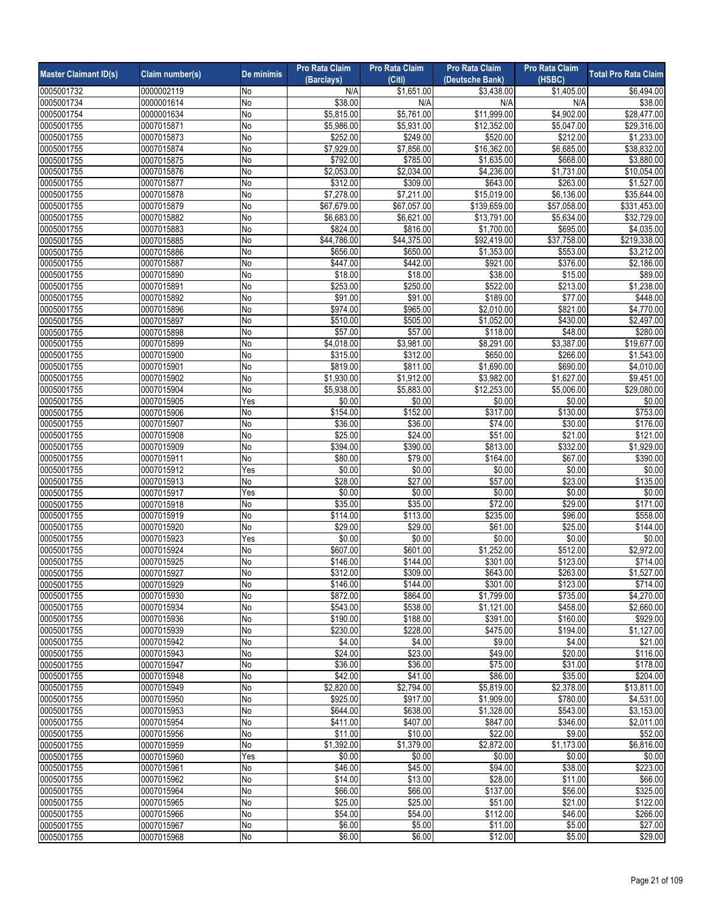| <b>Master Claimant ID(s)</b> | Claim number(s) | De minimis | <b>Pro Rata Claim</b> | <b>Pro Rata Claim</b> | Pro Rata Claim  | Pro Rata Claim | <b>Total Pro Rata Claim</b> |
|------------------------------|-----------------|------------|-----------------------|-----------------------|-----------------|----------------|-----------------------------|
|                              |                 |            | (Barclays)            | (Citi)                | (Deutsche Bank) | (HSBC)         |                             |
| 0005001732                   | 0000002119      | No         | N/A                   | \$1,651.00            | \$3,438.00      | \$1,405.00     | \$6,494.00                  |
| 0005001734                   | 0000001614      | No         | \$38.00               | N/A                   | N/A             | N/A            | \$38.00                     |
| 0005001754                   | 0000001634      | No         | \$5,815.00            | \$5,761.00            | \$11,999.00     | \$4,902.00     | \$28,477.00                 |
| 0005001755                   | 0007015871      | No         | \$5,986.00            | \$5,931.00            | \$12,352.00     | \$5,047.00     | \$29,316.00                 |
| 0005001755                   | 0007015873      | No         | \$252.00              | \$249.00              | \$520.00        | \$212.00       | \$1,233.00                  |
| 0005001755                   | 0007015874      | No         | \$7,929.00            | \$7,856.00            | \$16,362.00     | \$6,685.00     | \$38,832.00                 |
| 0005001755                   | 0007015875      | No         | \$792.00              | \$785.00              | \$1,635.00      | \$668.00       | \$3,880.00                  |
| 0005001755                   | 0007015876      | No         | \$2,053.00            | \$2,034.00            | \$4,236.00      | \$1,731.00     | \$10,054.00                 |
| 0005001755                   | 0007015877      | No         | \$312.00              | \$309.00              | \$643.00        | \$263.00       | \$1,527.00                  |
| 0005001755                   | 0007015878      | No         | \$7,278.00            | \$7,211.00            | \$15,019.00     | \$6,136.00     | \$35,644.00                 |
| 0005001755                   | 0007015879      | No         | \$67,679.00           | \$67,057.00           | \$139,659.00    | \$57,058.00    | \$331,453.00                |
| 0005001755                   | 0007015882      | No         | \$6,683.00            | \$6,621.00            | \$13,791.00     | \$5,634.00     | \$32,729.00                 |
| 0005001755                   | 0007015883      | No         | \$824.00              | \$816.00              | \$1,700.00      | \$695.00       | \$4,035.00                  |
| 0005001755                   | 0007015885      | No         | \$44,786.00           | \$44,375.00           | \$92,419.00     | \$37,758.00    | \$219,338.00                |
| 0005001755                   | 0007015886      | No         | \$656.00              | \$650.00              | \$1,353.00      | \$553.00       | \$3,212.00                  |
| 0005001755                   | 0007015887      | No         | \$447.00              | \$442.00              | \$921.00        | \$376.00       | \$2,186.00                  |
| 0005001755                   | 0007015890      | No         | \$18.00               | \$18.00               | \$38.00         | \$15.00        | \$89.00                     |
| 0005001755                   | 0007015891      | No         | \$253.00              | \$250.00              | \$522.00        | \$213.00       | \$1,238.00                  |
| 0005001755                   | 0007015892      | No         | \$91.00               | \$91.00               | \$189.00        | \$77.00        | \$448.00                    |
| 0005001755                   | 0007015896      | No         | \$974.00              | \$965.00              | \$2,010.00      | \$821.00       | \$4,770.00                  |
| 0005001755                   | 0007015897      | No         | \$510.00              | \$505.00              | \$1,052.00      | \$430.00       | \$2,497.00                  |
| 0005001755                   | 0007015898      | No         | \$57.00               | \$57.00               | \$118.00        | \$48.00        | \$280.00                    |
| 0005001755                   | 0007015899      | No         | \$4,018.00            | \$3,981.00            | \$8,291.00      | \$3,387.00     | \$19,677.00                 |
| 0005001755                   | 0007015900      | No         | \$315.00              | \$312.00              | \$650.00        | \$266.00       | \$1,543.00                  |
| 0005001755                   | 0007015901      | No         | \$819.00              | \$811.00              | \$1,690.00      | \$690.00       | \$4,010.00                  |
| 0005001755                   | 0007015902      | No         | \$1,930.00            | \$1,912.00            | \$3,982.00      | \$1,627.00     | \$9,451.00                  |
| 0005001755                   | 0007015904      | <b>No</b>  | \$5,938.00            | \$5,883.00            | \$12,253.00     | \$5,006.00     | \$29,080.00                 |
| 0005001755                   | 0007015905      | Yes        | \$0.00                | \$0.00                | \$0.00          | \$0.00         | \$0.00                      |
| 0005001755                   | 0007015906      | No         | \$154.00              | \$152.00              | \$317.00        | \$130.00       | \$753.00                    |
| 0005001755                   | 0007015907      | No         | \$36.00               | \$36.00               | \$74.00         | \$30.00        | \$176.00                    |
| 0005001755                   | 0007015908      | No         | \$25.00               | \$24.00               | \$51.00         | \$21.00        | \$121.00                    |
| 0005001755                   | 0007015909      | No         | \$394.00              | \$390.00              | \$813.00        | \$332.00       | \$1,929.00                  |
| 0005001755                   | 0007015911      | No         | \$80.00               | \$79.00               | \$164.00        | \$67.00        | \$390.00                    |
| 0005001755                   | 0007015912      | Yes        | \$0.00                | \$0.00                | \$0.00          | \$0.00         | \$0.00                      |
| 0005001755                   | 0007015913      | No         | \$28.00               | \$27.00               | \$57.00         | \$23.00        | \$135.00                    |
| 0005001755                   | 0007015917      | Yes        | \$0.00                | \$0.00                | \$0.00          | \$0.00         | \$0.00                      |
| 0005001755                   | 0007015918      | No         | \$35.00               | \$35.00               | \$72.00         | \$29.00        | \$171.00                    |
| 0005001755                   | 0007015919      | No         | \$114.00              | \$113.00              | \$235.00        | \$96.00        | \$558.00                    |
| 0005001755                   | 0007015920      | No         | \$29.00               | \$29.00               | \$61.00         | \$25.00        | \$144.00                    |
| 0005001755                   | 0007015923      | Yes        | \$0.00                | \$0.00                | \$0.00          | \$0.00         | \$0.00                      |
| 0005001755                   | 0007015924      | No         | \$607.00              | \$601.00              | \$1,252.00      | \$512.00       | \$2,972.00                  |
| 0005001755                   | 0007015925      | No         | \$146.00              | \$144.00              | \$301.00        | \$123.00       | \$714.00                    |
| 0005001755                   | 0007015927      | No         | \$312.00              | \$309.00              | \$643.00        | \$263.00       | \$1,527.00                  |
| 0005001755                   | 0007015929      | No         | \$146.00              | \$144.00              | \$301.00        | \$123.00       | \$714.00                    |
| 0005001755                   | 0007015930      | No         | \$872.00              | \$864.00              | \$1,799.00      | \$735.00       | \$4,270.00                  |
| 0005001755                   | 0007015934      | <b>No</b>  | \$543.00              | \$538.00              | \$1,121.00      | \$458.00       | \$2,660.00                  |
| 0005001755                   | 0007015936      | <b>No</b>  | \$190.00              | \$188.00              | \$391.00        | \$160.00       | \$929.00                    |
| 0005001755                   | 0007015939      | No         | \$230.00              | \$228.00              | \$475.00        | \$194.00       | \$1,127.00                  |
| 0005001755                   | 0007015942      | No         | \$4.00                | \$4.00                | \$9.00          | \$4.00         | \$21.00                     |
| 0005001755                   | 0007015943      | No         | \$24.00               | \$23.00               | \$49.00         | \$20.00        | \$116.00                    |
| 0005001755                   | 0007015947      | No         | \$36.00               | \$36.00               | \$75.00         | \$31.00        | \$178.00                    |
| 0005001755                   | 0007015948      | No         | \$42.00               | \$41.00               | \$86.00         | \$35.00        | \$204.00                    |
| 0005001755                   | 0007015949      | <b>No</b>  | \$2,820.00            | \$2,794.00            | \$5,819.00      | \$2,378.00     | \$13,811.00                 |
| 0005001755                   | 0007015950      | No         | \$925.00              | \$917.00              | \$1,909.00      | \$780.00       | \$4,531.00                  |
| 0005001755                   | 0007015953      | No         | \$644.00              | \$638.00              | \$1,328.00      | \$543.00       | \$3,153.00                  |
| 0005001755                   | 0007015954      | No         | \$411.00              | \$407.00              | \$847.00        | \$346.00       | \$2,011.00                  |
| 0005001755                   | 0007015956      | <b>No</b>  | \$11.00               | \$10.00               | \$22.00         | \$9.00         | \$52.00                     |
| 0005001755                   | 0007015959      | <b>No</b>  | \$1,392.00            | \$1,379.00            | \$2,872.00      | \$1,173.00     | \$6,816.00                  |
| 0005001755                   | 0007015960      | Yes        | \$0.00                | \$0.00                | \$0.00          | \$0.00         | \$0.00                      |
| 0005001755                   | 0007015961      | <b>No</b>  | \$46.00               | \$45.00               | \$94.00         | \$38.00        | \$223.00                    |
| 0005001755                   | 0007015962      | <b>No</b>  | \$14.00               | \$13.00               | \$28.00         | \$11.00        | \$66.00                     |
| 0005001755                   | 0007015964      | <b>No</b>  | \$66.00               | \$66.00               | \$137.00        | \$56.00        | \$325.00                    |
| 0005001755                   | 0007015965      | No         | \$25.00               | \$25.00               | \$51.00         | \$21.00        | $\sqrt{$122.00}$            |
| 0005001755                   | 0007015966      | <b>No</b>  | \$54.00               | \$54.00               | \$112.00        | \$46.00        | \$266.00                    |
| 0005001755                   | 0007015967      | <b>No</b>  | \$6.00                | \$5.00                | \$11.00         | \$5.00         | \$27.00                     |
| 0005001755                   | 0007015968      | <b>No</b>  | \$6.00                | \$6.00                | \$12.00         | \$5.00         | \$29.00                     |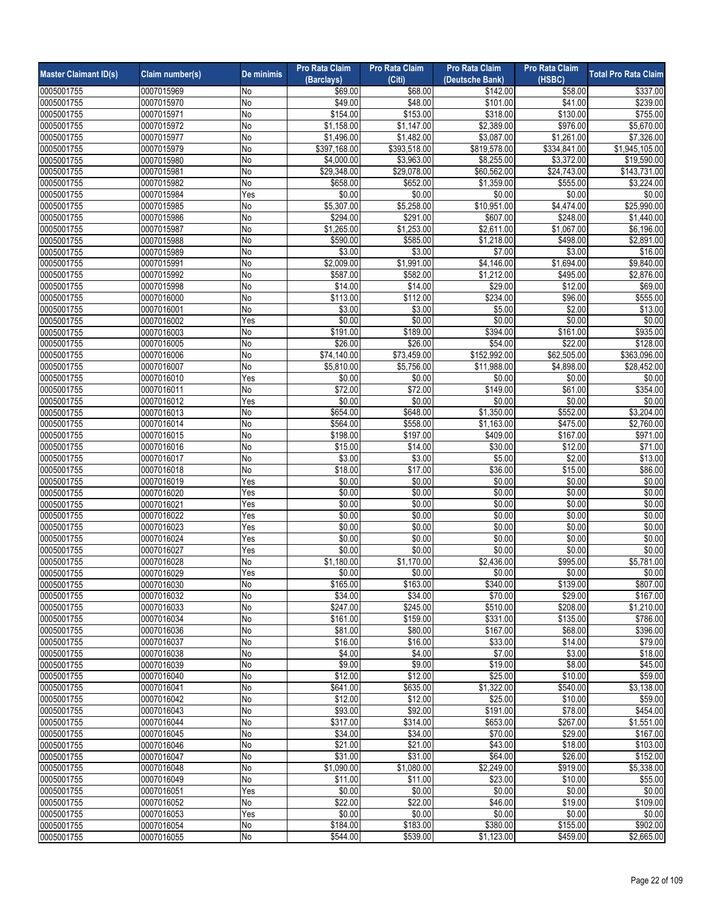| <b>Master Claimant ID(s)</b> | Claim number(s)          | De minimis | Pro Rata Claim      | <b>Pro Rata Claim</b> | Pro Rata Claim         | Pro Rata Claim      | <b>Total Pro Rata Claim</b> |
|------------------------------|--------------------------|------------|---------------------|-----------------------|------------------------|---------------------|-----------------------------|
|                              |                          |            | (Barclays)          | (Citi)                | (Deutsche Bank)        | (HSBC)              |                             |
| 0005001755                   | 0007015969               | No         | \$69.00             | \$68.00               | \$142.00               | \$58.00             | \$337.00                    |
| 0005001755                   | 0007015970               | No         | \$49.00             | \$48.00               | \$101.00               | \$41.00             | \$239.00                    |
| 0005001755                   | 0007015971               | No         | \$154.00            | \$153.00              | \$318.00               | \$130.00            | \$755.00                    |
| 0005001755                   | 0007015972               | No         | \$1,158.00          | \$1,147.00            | \$2,389.00             | \$976.00            | \$5,670.00                  |
| 0005001755                   | 0007015977               | No         | \$1,496.00          | \$1,482.00            | \$3,087.00             | \$1,261.00          | \$7,326.00                  |
| 0005001755                   | 0007015979               | No         | \$397,168.00        | \$393,518.00          | \$819,578.00           | \$334,841.00        | \$1,945,105.00              |
| 0005001755                   | 0007015980               | <b>No</b>  | \$4,000.00          | \$3,963.00            | \$8,255.00             | \$3,372.00          | \$19,590.00                 |
| 0005001755                   | 0007015981               | No         | \$29,348.00         | \$29,078.00           | \$60,562.00            | \$24,743.00         | \$143,731.00                |
| 0005001755                   | 0007015982               | No         | \$658.00            | \$652.00              | \$1,359.00             | \$555.00            | \$3,224.00                  |
| 0005001755                   | 0007015984               | Yes        | \$0.00              | \$0.00                | \$0.00                 | \$0.00              | \$0.00                      |
| 0005001755                   | 0007015985               | No         | \$5,307.00          | \$5,258.00            | \$10,951.00            | \$4,474.00          | \$25,990.00                 |
| 0005001755                   | 0007015986               | No         | \$294.00            | \$291.00              | \$607.00               | \$248.00            | \$1,440.00                  |
| 0005001755                   | 0007015987               | No         | \$1,265.00          | \$1,253.00            | \$2,611.00             | \$1,067.00          | \$6,196.00                  |
| 0005001755                   | 0007015988               | No         | \$590.00            | \$585.00              | \$1,218.00             | \$498.00            | \$2,891.00                  |
| 0005001755                   | 0007015989               | No         | \$3.00              | \$3.00                | \$7.00                 | \$3.00              | \$16.00                     |
| 0005001755                   | 0007015991               | No         | $\sqrt{$2,009.00}$  | \$1,991.00            | \$4,146.00             | \$1,694.00          | \$9,840.00                  |
| 0005001755<br>0005001755     | 0007015992<br>0007015998 | No<br>No   | \$587.00<br>\$14.00 | \$582.00<br>\$14.00   | \$1,212.00<br>\$29.00  | \$495.00<br>\$12.00 | \$2,876.00<br>\$69.00       |
|                              |                          | No         |                     | \$112.00              | \$234.00               | \$96.00             |                             |
| 0005001755<br>0005001755     | 0007016000<br>0007016001 | No         | \$113.00            | \$3.00                | \$5.00                 | \$2.00              | \$555.00<br>\$13.00         |
|                              | 0007016002               | Yes        | \$3.00<br>\$0.00    | \$0.00                | \$0.00                 | \$0.00              | \$0.00                      |
| 0005001755<br>0005001755     | 0007016003               | No         | \$191.00            | \$189.00              | \$394.00               | \$161.00            | \$935.00                    |
| 0005001755                   | 0007016005               | No         | \$26.00             | \$26.00               | \$54.00                | \$22.00             | \$128.00                    |
| 0005001755                   | 0007016006               | No         | \$74,140.00         | \$73,459.00           | \$152,992.00           | \$62,505.00         | \$363,096.00                |
| 0005001755                   | 0007016007               | No         | \$5,810.00          | \$5,756.00            | \$11,988.00            | \$4,898.00          | \$28,452.00                 |
| 0005001755                   | 0007016010               | Yes        | \$0.00              | \$0.00                | \$0.00                 | \$0.00              | \$0.00                      |
| 0005001755                   | 0007016011               | No         | \$72.00             | \$72.00               | \$149.00               | \$61.00             | \$354.00                    |
| 0005001755                   | 0007016012               | Yes        | \$0.00              | \$0.00                | \$0.00                 | \$0.00              | \$0.00                      |
| 0005001755                   | 0007016013               | No         | \$654.00            | \$648.00              | \$1,350.00             | \$552.00            | \$3,204.00                  |
| 0005001755                   | 0007016014               | No         | \$564.00            | \$558.00              | \$1,163.00             | \$475.00            | \$2,760.00                  |
| 0005001755                   | 0007016015               | No         | \$198.00            | \$197.00              | \$409.00               | \$167.00            | \$971.00                    |
| 0005001755                   | 0007016016               | <b>No</b>  | \$15.00             | \$14.00               | \$30.00                | \$12.00             | \$71.00                     |
| 0005001755                   | 0007016017               | No         | \$3.00              | \$3.00                | \$5.00                 | \$2.00              | \$13.00                     |
| 0005001755                   | 0007016018               | No         | \$18.00             | \$17.00               | \$36.00                | \$15.00             | \$86.00                     |
| 0005001755                   | 0007016019               | Yes        | \$0.00              | \$0.00                | \$0.00                 | \$0.00              | \$0.00                      |
| 0005001755                   | 0007016020               | Yes        | \$0.00              | \$0.00                | \$0.00                 | \$0.00              | \$0.00                      |
| 0005001755                   | 0007016021               | Yes        | \$0.00              | \$0.00                | \$0.00                 | \$0.00              | \$0.00                      |
| 0005001755                   | 0007016022               | Yes        | \$0.00              | \$0.00                | \$0.00                 | \$0.00              | \$0.00                      |
| 0005001755                   | 0007016023               | Yes        | \$0.00              | \$0.00                | \$0.00                 | \$0.00              | \$0.00                      |
| 0005001755                   | 0007016024               | Yes        | \$0.00              | \$0.00                | \$0.00                 | \$0.00              | \$0.00                      |
| 0005001755                   | 0007016027               | Yes        | \$0.00              | \$0.00                | \$0.00                 | \$0.00              | \$0.00                      |
| 0005001755                   | 0007016028               | No         | \$1,180.00          | \$1,170.00            | \$2,436.00             | \$995.00            | \$5,781.00                  |
| 0005001755                   | 0007016029               | Yes        | \$0.00              | \$0.00                | \$0.00                 | \$0.00              | \$0.00                      |
| 0005001755                   | 0007016030               | No         | \$165.00            | \$163.00              | \$340.00               | \$139.00            | \$807.00                    |
| 0005001755                   | 0007016032               | No         | \$34.00             | \$34.00               | \$70.00                | \$29.00             | \$167.00                    |
| 0005001755                   | 0007016033               | No         | \$247.00            | \$245.00              | \$510.00               | \$208.00            | \$1,210.00                  |
| 0005001755                   | 0007016034               | No         | \$161.00            | \$159.00              | \$331.00               | \$135.00            | \$786.00                    |
| 0005001755                   | 0007016036               | No         | \$81.00             | \$80.00               | \$167.00               | \$68.00             | \$396.00                    |
| 0005001755                   | 0007016037               | No         | \$16.00             | \$16.00               | \$33.00                | \$14.00             | \$79.00                     |
| 0005001755                   | 0007016038               | No         | \$4.00              | \$4.00                | \$7.00                 | \$3.00              | \$18.00                     |
| 0005001755                   | 0007016039               | No         | \$9.00              | \$9.00                | \$19.00                | \$8.00              | \$45.00                     |
| 0005001755                   | 0007016040               | No         | \$12.00             | \$12.00               | \$25.00                | \$10.00             | \$59.00                     |
| 0005001755                   | 0007016041               | No         | \$641.00            | \$635.00              | \$1,322.00             | \$540.00            | \$3,138.00                  |
| 0005001755                   | 0007016042               | No         | \$12.00             | \$12.00               | \$25.00                | \$10.00             | \$59.00                     |
| 0005001755                   | 0007016043               | No         | \$93.00             | \$92.00               | \$191.00               | \$78.00             | \$454.00                    |
| 0005001755                   | 0007016044               | No         | \$317.00            | \$314.00              | \$653.00               | \$267.00            | \$1,551.00                  |
| 0005001755                   | 0007016045               | No         | \$34.00             | \$34.00               | \$70.00                | \$29.00             | \$167.00                    |
| 0005001755                   | 0007016046               | No         | \$21.00             | \$21.00               | \$43.00                | \$18.00             | \$103.00                    |
| 0005001755                   | 0007016047               | No         | \$31.00             | \$31.00               | \$64.00                | \$26.00             | \$152.00                    |
| 0005001755                   | 0007016048               | No         | \$1,090.00          | \$1,080.00            | $\overline{$2,249.00}$ | \$919.00            | \$5,338.00                  |
| 0005001755                   | 0007016049               | No         | \$11.00             | \$11.00               | \$23.00                | \$10.00             | \$55.00                     |
| 0005001755                   | 0007016051<br>0007016052 | Yes        | \$0.00<br>\$22.00   | \$0.00<br>\$22.00     | \$0.00<br>\$46.00      | \$0.00<br>\$19.00   | \$0.00<br>\$109.00          |
| 0005001755<br>0005001755     | 0007016053               | No<br>Yes  | \$0.00              | \$0.00                | \$0.00                 | \$0.00              | \$0.00                      |
| 0005001755                   | 0007016054               | No         | \$184.00            | \$183.00              | \$380.00               | \$155.00            | \$902.00                    |
| 0005001755                   | 0007016055               | No         | \$544.00            | \$539.00              | \$1,123.00             | \$459.00            | \$2,665.00                  |
|                              |                          |            |                     |                       |                        |                     |                             |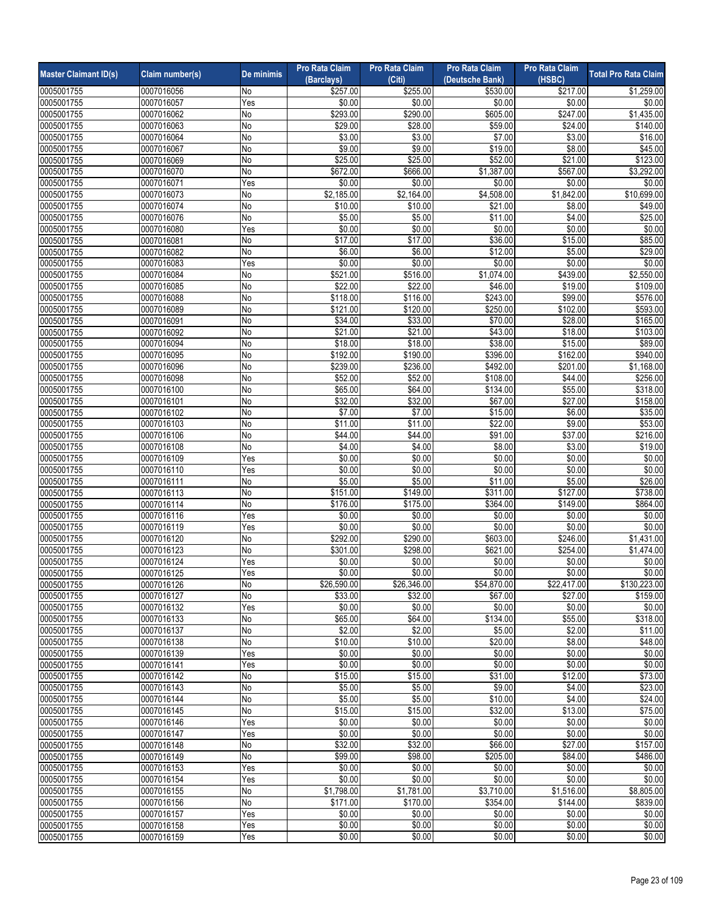| <b>Master Claimant ID(s)</b> | Claim number(s)          | De minimis | <b>Pro Rata Claim</b> | Pro Rata Claim | Pro Rata Claim  | Pro Rata Claim | <b>Total Pro Rata Claim</b> |
|------------------------------|--------------------------|------------|-----------------------|----------------|-----------------|----------------|-----------------------------|
|                              |                          |            | (Barclays)            | (Citi)         | (Deutsche Bank) | (HSBC)         |                             |
| 0005001755                   | 0007016056               | No         | \$257.00              | \$255.00       | \$530.00        | \$217.00       | \$1,259.00                  |
| 0005001755                   | 0007016057               | Yes        | \$0.00                | \$0.00         | \$0.00          | \$0.00         | \$0.00                      |
| 0005001755                   | 0007016062               | No         | \$293.00              | \$290.00       | \$605.00        | \$247.00       | \$1,435.00                  |
| 0005001755                   | 0007016063               | No         | \$29.00               | \$28.00        | \$59.00         | \$24.00        | \$140.00                    |
| 0005001755                   | 0007016064               | No         | \$3.00                | \$3.00         | \$7.00          | \$3.00         | \$16.00                     |
| 0005001755                   | 0007016067               | <b>No</b>  | \$9.00                | \$9.00         | \$19.00         | \$8.00         | \$45.00                     |
| 0005001755                   | 0007016069               | No         | \$25.00               | \$25.00        | \$52.00         | \$21.00        | \$123.00                    |
| 0005001755                   | 0007016070               | No         | \$672.00              | \$666.00       | \$1,387.00      | \$567.00       | \$3,292.00                  |
| 0005001755                   | 0007016071               | Yes        | \$0.00                | \$0.00         | \$0.00          | \$0.00         | \$0.00                      |
| 0005001755                   | 0007016073               | No         | \$2,185.00            | \$2,164.00     | \$4,508.00      | \$1,842.00     | \$10,699.00                 |
| 0005001755                   | 0007016074               | <b>No</b>  | \$10.00               | \$10.00        | \$21.00         | \$8.00         | \$49.00                     |
| 0005001755                   | 0007016076               | No         | \$5.00                | \$5.00         | \$11.00         | \$4.00         | \$25.00                     |
| 0005001755                   | 0007016080               | Yes        | \$0.00                | \$0.00         | \$0.00          | \$0.00         | \$0.00                      |
| 0005001755                   | 0007016081               | No         | \$17.00               | \$17.00        | \$36.00         | \$15.00        | \$85.00                     |
| 0005001755                   | 0007016082               | No         | \$6.00                | \$6.00         | \$12.00         | \$5.00         | \$29.00                     |
| 0005001755                   | 0007016083               | Yes        | \$0.00                | \$0.00         | \$0.00          | \$0.00         | \$0.00                      |
| 0005001755                   | 0007016084               | No         | \$521.00              | \$516.00       | \$1,074.00      | \$439.00       | \$2,550.00                  |
| 0005001755                   | 0007016085               | <b>No</b>  | \$22.00               | \$22.00        | \$46.00         | \$19.00        | \$109.00                    |
| 0005001755                   | 0007016088               | <b>No</b>  | \$118.00              | \$116.00       | \$243.00        | \$99.00        | \$576.00                    |
| 0005001755                   | 0007016089               | No         | \$121.00              | \$120.00       | \$250.00        | \$102.00       | \$593.00                    |
| 0005001755                   | 0007016091               | No         | \$34.00               | \$33.00        | \$70.00         | \$28.00        | \$165.00                    |
| 0005001755                   | 0007016092               | <b>No</b>  | \$21.00               | \$21.00        | \$43.00         | \$18.00        | \$103.00                    |
| 0005001755                   | 0007016094               | No         | \$18.00               | \$18.00        | \$38.00         | \$15.00        | \$89.00                     |
| 0005001755                   | 0007016095               | <b>No</b>  | \$192.00              | \$190.00       | \$396.00        | \$162.00       | \$940.00                    |
| 0005001755                   | 0007016096               | <b>No</b>  | \$239.00              | \$236.00       | \$492.00        | \$201.00       | \$1,168.00                  |
| 0005001755                   | 0007016098               | No         | \$52.00               | \$52.00        | \$108.00        | \$44.00        | \$256.00                    |
| 0005001755                   | 0007016100               | <b>No</b>  | \$65.00               | \$64.00        | \$134.00        | \$55.00        | \$318.00                    |
| 0005001755                   | 0007016101               | No         | \$32.00               | \$32.00        | \$67.00         | \$27.00        | \$158.00                    |
| 0005001755                   | 0007016102               | No         | \$7.00                | \$7.00         | \$15.00         | \$6.00         | \$35.00                     |
| 0005001755                   | 0007016103               | No         | \$11.00               | \$11.00        | \$22.00         | \$9.00         | \$53.00                     |
| 0005001755                   | 0007016106               | <b>No</b>  | \$44.00               | \$44.00        | \$91.00         | \$37.00        | \$216.00                    |
| 0005001755                   | 0007016108               | No         | \$4.00                | \$4.00         | \$8.00          | \$3.00         | \$19.00                     |
| 0005001755                   | 0007016109               | Yes        | \$0.00                | \$0.00         | \$0.00          | \$0.00         | \$0.00                      |
| 0005001755                   | 0007016110               | Yes        | \$0.00                | \$0.00         | \$0.00          | \$0.00         | \$0.00                      |
| 0005001755                   | 0007016111               | <b>No</b>  | \$5.00                | \$5.00         | \$11.00         | \$5.00         | \$26.00                     |
| 0005001755                   | 0007016113               | <b>No</b>  | \$151.00              | \$149.00       | \$311.00        | \$127.00       | \$738.00                    |
| 0005001755                   | 0007016114               | No         | \$176.00              | \$175.00       | \$364.00        | \$149.00       | \$864.00                    |
| 0005001755                   | 0007016116               | Yes        | \$0.00                | \$0.00         | \$0.00          | \$0.00         | \$0.00                      |
| 0005001755                   | 0007016119               | Yes        | \$0.00                | \$0.00         | \$0.00          | \$0.00         | \$0.00                      |
| 0005001755                   | 0007016120               | No         | \$292.00              | \$290.00       | \$603.00        | \$246.00       | \$1,431.00                  |
| 0005001755                   | 0007016123               | No         | \$301.00              | \$298.00       | \$621.00        | \$254.00       | \$1,474.00                  |
| 0005001755                   | 0007016124               | Yes        | \$0.00                | \$0.00         | \$0.00          | \$0.00         | \$0.00                      |
| 0005001755                   | 0007016125               | Yes        | \$0.00                | \$0.00         | \$0.00          | \$0.00         | \$0.00                      |
| 0005001755                   | 0007016126               | No         | \$26,590.00           | \$26,346.00    | \$54,870.00     | \$22,417.00    | \$130,223.00                |
| 0005001755                   | 0007016127               | <b>No</b>  | \$33.00               | \$32.00        | \$67.00         | \$27.00        | \$159.00                    |
| 0005001755                   | 0007016132               | Yes        | \$0.00                | \$0.00         | \$0.00          | \$0.00         | \$0.00                      |
| 0005001755                   | 0007016133               | <b>No</b>  | \$65.00               | \$64.00        | \$134.00        | \$55.00        | \$318.00                    |
| 0005001755                   | 0007016137<br>0007016138 | No         | \$2.00                | \$2.00         | \$5.00          | \$2.00         | \$11.00                     |
| 0005001755                   |                          | <b>No</b>  | \$10.00               | \$10.00        | \$20.00         | \$8.00         | \$48.00                     |
| 0005001755                   | 0007016139               | Yes        | \$0.00                | \$0.00         | \$0.00          | \$0.00         | \$0.00                      |
| 0005001755                   | 0007016141               | Yes        | \$0.00                | \$0.00         | \$0.00          | \$0.00         | \$0.00                      |
| 0005001755                   | 0007016142               | <b>No</b>  | \$15.00               | \$15.00        | \$31.00         | \$12.00        | \$73.00                     |
| 0005001755                   | 0007016143               | <b>No</b>  | \$5.00                | \$5.00         | \$9.00          | \$4.00         | \$23.00                     |
| 0005001755                   | 0007016144               | No         | \$5.00                | \$5.00         | \$10.00         | \$4.00         | \$24.00                     |
| 0005001755                   | 0007016145               | No         | \$15.00               | \$15.00        | \$32.00         | \$13.00        | \$75.00                     |
| 0005001755                   | 0007016146               | Yes        | \$0.00                | \$0.00         | \$0.00          | \$0.00         | \$0.00                      |
| 0005001755                   | 0007016147               | Yes        | \$0.00                | \$0.00         | \$0.00          | \$0.00         | \$0.00                      |
| 0005001755                   | 0007016148               | <b>No</b>  | \$32.00               | \$32.00        | \$66.00         | \$27.00        | \$157.00                    |
| 0005001755                   | 0007016149               | <b>No</b>  | \$99.00               | \$98.00        | \$205.00        | \$84.00        | \$486.00                    |
| 0005001755                   | 0007016153               | Yes        | \$0.00                | \$0.00         | \$0.00          | \$0.00         | \$0.00                      |
| 0005001755                   | 0007016154               | Yes        | \$0.00                | \$0.00         | \$0.00          | \$0.00         | \$0.00                      |
| 0005001755                   | 0007016155               | No         | \$1,798.00            | \$1,781.00     | \$3,710.00      | \$1,516.00     | \$8,805.00                  |
| 0005001755                   | 0007016156               | <b>No</b>  | \$171.00              | \$170.00       | \$354.00        | \$144.00       | \$839.00                    |
| 0005001755                   | 0007016157               | Yes        | \$0.00                | \$0.00         | \$0.00          | \$0.00         | \$0.00                      |
| 0005001755                   | 0007016158               | Yes        | \$0.00                | \$0.00         | \$0.00          | \$0.00         | \$0.00                      |
| 0005001755                   | 0007016159               | Yes        | \$0.00                | \$0.00         | \$0.00          | \$0.00         | \$0.00                      |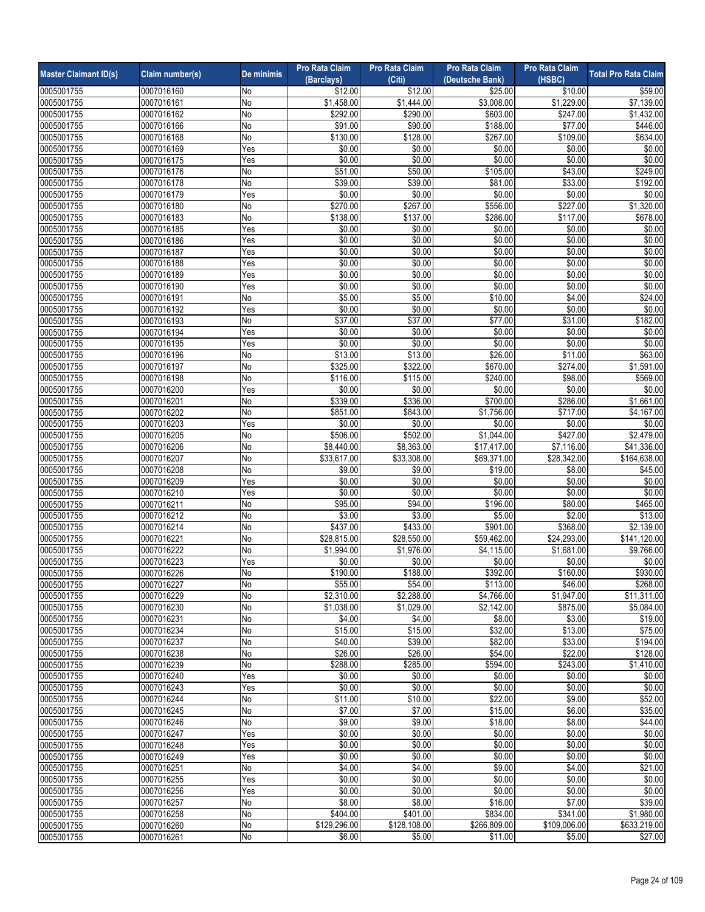| <b>Master Claimant ID(s)</b> | Claim number(s) | De minimis | <b>Pro Rata Claim</b><br>(Barclays) | <b>Pro Rata Claim</b><br>(Citi) | Pro Rata Claim<br>(Deutsche Bank) | Pro Rata Claim<br>(HSBC) | <b>Total Pro Rata Claim</b> |
|------------------------------|-----------------|------------|-------------------------------------|---------------------------------|-----------------------------------|--------------------------|-----------------------------|
| 0005001755                   | 0007016160      | No         | \$12.00                             | \$12.00                         | \$25.00                           | \$10.00                  | \$59.00                     |
| 0005001755                   | 0007016161      | No         | $\overline{$1,458.00}$              | \$1,444.00                      | \$3,008.00                        | \$1,229.00               | \$7,139.00                  |
| 0005001755                   | 0007016162      | No         | \$292.00                            | \$290.00                        | \$603.00                          | \$247.00                 | \$1,432.00                  |
| 0005001755                   | 0007016166      | No         | \$91.00                             | \$90.00                         | \$188.00                          | \$77.00                  | \$446.00                    |
| 0005001755                   | 0007016168      | No         | \$130.00                            | \$128.00                        | \$267.00                          | \$109.00                 | \$634.00                    |
| 0005001755                   | 0007016169      | Yes        | \$0.00                              | \$0.00                          | \$0.00                            | \$0.00                   | \$0.00                      |
| 0005001755                   | 0007016175      | Yes        | \$0.00                              | \$0.00                          | \$0.00                            | \$0.00                   | \$0.00                      |
| 0005001755                   | 0007016176      | No         | \$51.00                             | \$50.00                         | \$105.00                          | \$43.00                  | \$249.00                    |
| 0005001755                   | 0007016178      | No         | \$39.00                             | \$39.00                         | \$81.00                           | \$33.00                  | \$192.00                    |
| 0005001755                   | 0007016179      | Yes        | \$0.00                              | \$0.00                          | \$0.00                            | \$0.00                   | \$0.00                      |
| 0005001755                   | 0007016180      | No         | \$270.00                            | \$267.00                        | \$556.00                          | \$227.00                 | \$1,320.00                  |
| 0005001755                   | 0007016183      | No         | \$138.00                            | \$137.00                        | \$286.00                          | \$117.00                 | \$678.00                    |
| 0005001755                   | 0007016185      | Yes        | \$0.00                              | \$0.00                          | \$0.00                            | \$0.00                   | \$0.00                      |
| 0005001755                   | 0007016186      | Yes        | \$0.00                              | \$0.00                          | \$0.00                            | \$0.00                   | \$0.00                      |
| 0005001755                   | 0007016187      | Yes        | \$0.00                              | \$0.00                          | \$0.00                            | \$0.00                   | \$0.00                      |
|                              | 0007016188      |            | \$0.00                              | \$0.00                          | \$0.00                            | \$0.00                   | \$0.00                      |
| 0005001755<br>0005001755     | 0007016189      | Yes        | \$0.00                              | \$0.00                          | \$0.00                            | \$0.00                   | \$0.00                      |
|                              | 0007016190      | Yes        |                                     |                                 |                                   |                          |                             |
| 0005001755                   |                 | Yes        | \$0.00                              | \$0.00                          | \$0.00                            | \$0.00                   | \$0.00                      |
| 0005001755                   | 0007016191      | No         | \$5.00                              | \$5.00                          | \$10.00                           | \$4.00                   | \$24.00                     |
| 0005001755                   | 0007016192      | Yes        | \$0.00                              | \$0.00                          | \$0.00                            | \$0.00                   | \$0.00                      |
| 0005001755                   | 0007016193      | No         | \$37.00                             | \$37.00                         | \$77.00                           | \$31.00                  | \$182.00                    |
| 0005001755                   | 0007016194      | Yes        | \$0.00                              | \$0.00                          | \$0.00                            | \$0.00                   | \$0.00                      |
| 0005001755                   | 0007016195      | Yes        | \$0.00                              | \$0.00                          | \$0.00                            | \$0.00                   | \$0.00                      |
| 0005001755                   | 0007016196      | No         | \$13.00                             | \$13.00                         | \$26.00                           | \$11.00                  | \$63.00                     |
| 0005001755                   | 0007016197      | No         | \$325.00                            | \$322.00                        | \$670.00                          | \$274.00                 | \$1,591.00                  |
| 0005001755                   | 0007016198      | No         | \$116.00                            | \$115.00                        | \$240.00                          | \$98.00                  | \$569.00                    |
| 0005001755                   | 0007016200      | Yes        | \$0.00                              | \$0.00                          | \$0.00                            | \$0.00                   | \$0.00                      |
| 0005001755                   | 0007016201      | No         | \$339.00                            | \$336.00                        | \$700.00                          | \$286.00                 | \$1,661.00                  |
| 0005001755                   | 0007016202      | <b>No</b>  | \$851.00                            | \$843.00                        | \$1,756.00                        | \$717.00                 | \$4,167.00                  |
| 0005001755                   | 0007016203      | Yes        | \$0.00                              | \$0.00                          | \$0.00                            | \$0.00                   | \$0.00                      |
| 0005001755                   | 0007016205      | No         | \$506.00                            | \$502.00                        | \$1,044.00                        | \$427.00                 | \$2,479.00                  |
| 0005001755                   | 0007016206      | <b>No</b>  | \$8,440.00                          | \$8,363.00                      | \$17,417.00                       | \$7,116.00               | \$41,336.00                 |
| 0005001755                   | 0007016207      | No         | \$33,617.00                         | \$33,308.00                     | \$69,371.00                       | \$28,342.00              | \$164,638.00                |
| 0005001755                   | 0007016208      | No         | \$9.00                              | \$9.00                          | \$19.00                           | \$8.00                   | \$45.00                     |
| 0005001755                   | 0007016209      | Yes        | \$0.00                              | \$0.00                          | \$0.00                            | \$0.00                   | \$0.00                      |
| 0005001755                   | 0007016210      | Yes        | \$0.00                              | \$0.00                          | \$0.00                            | \$0.00                   | \$0.00                      |
| 0005001755                   | 0007016211      | No         | \$95.00                             | \$94.00                         | \$196.00                          | \$80.00                  | \$465.00                    |
| 0005001755                   | 0007016212      | No         | \$3.00                              | \$3.00                          | \$5.00                            | \$2.00                   | \$13.00                     |
| 0005001755                   | 0007016214      | No         | \$437.00                            | \$433.00                        | \$901.00                          | \$368.00                 | \$2,139.00                  |
| 0005001755                   | 0007016221      | No         | \$28,815.00                         | \$28,550.00                     | \$59,462.00                       | \$24,293.00              | \$141,120.00                |
| 0005001755                   | 0007016222      | No         | \$1,994.00                          | \$1,976.00                      | \$4,115.00                        | \$1,681.00               | \$9,766.00                  |
| 0005001755                   | 0007016223      | Yes        | \$0.00                              | \$0.00                          | \$0.00                            | \$0.00                   | \$0.00                      |
| 0005001755                   | 0007016226      | No         | \$190.00                            | \$188.00                        | \$392.00                          | \$160.00                 | \$930.00                    |
| 0005001755                   | 0007016227      | No         | \$55.00                             | \$54.00                         | \$113.00                          | \$46.00                  | \$268.00                    |
| 0005001755                   | 0007016229      | No         | \$2,310.00                          | \$2,288.00                      | \$4,766.00                        | \$1,947.00               | \$11,311.00                 |
| 0005001755                   | 0007016230      | No         | \$1,038.00                          | \$1,029.00                      | \$2,142.00                        | \$875.00                 | \$5,084.00                  |
|                              | 0007016231      | No         | \$4.00                              | \$4.00                          | \$8.00                            | \$3.00                   | \$19.00                     |
| 0005001755<br>0005001755     | 0007016234      | No         | \$15.00                             |                                 |                                   |                          |                             |
|                              |                 |            |                                     | \$15.00                         | \$32.00                           | \$13.00                  | \$75.00                     |
| 0005001755                   | 0007016237      | No         | \$40.00                             | \$39.00                         | \$82.00                           | \$33.00                  | \$194.00                    |
| 0005001755                   | 0007016238      | No         | \$26.00                             | \$26.00                         | \$54.00                           | \$22.00                  | \$128.00                    |
| 0005001755                   | 0007016239      | No         | \$288.00                            | \$285.00                        | \$594.00                          | \$243.00                 | \$1,410.00                  |
| 0005001755                   | 0007016240      | Yes        | \$0.00                              | \$0.00                          | \$0.00                            | \$0.00                   | \$0.00                      |
| 0005001755                   | 0007016243      | Yes        | \$0.00                              | \$0.00                          | \$0.00                            | \$0.00                   | \$0.00                      |
| 0005001755                   | 0007016244      | No         | \$11.00                             | \$10.00                         | \$22.00                           | \$9.00                   | \$52.00                     |
| 0005001755                   | 0007016245      | No         | \$7.00                              | \$7.00                          | \$15.00                           | \$6.00                   | \$35.00                     |
| 0005001755                   | 0007016246      | No         | \$9.00                              | \$9.00                          | \$18.00                           | \$8.00                   | \$44.00                     |
| 0005001755                   | 0007016247      | Yes        | \$0.00                              | \$0.00                          | \$0.00                            | \$0.00                   | \$0.00                      |
| 0005001755                   | 0007016248      | Yes        | \$0.00                              | \$0.00                          | \$0.00                            | \$0.00                   | \$0.00                      |
| 0005001755                   | 0007016249      | Yes        | \$0.00                              | \$0.00                          | \$0.00                            | \$0.00                   | \$0.00                      |
| 0005001755                   | 0007016251      | No         | \$4.00                              | \$4.00                          | \$9.00                            | \$4.00                   | \$21.00                     |
| 0005001755                   | 0007016255      | Yes        | \$0.00                              | \$0.00                          | \$0.00                            | \$0.00                   | \$0.00                      |
| 0005001755                   | 0007016256      | Yes        | \$0.00                              | \$0.00                          | \$0.00                            | \$0.00                   | \$0.00                      |
| 0005001755                   | 0007016257      | No         | \$8.00                              | \$8.00                          | \$16.00                           | \$7.00                   | \$39.00                     |
| 0005001755                   | 0007016258      | No         | \$404.00                            | \$401.00                        | \$834.00                          | \$341.00                 | \$1,980.00                  |
| 0005001755                   | 0007016260      | No         | \$129,296.00                        | \$128,108.00                    | \$266,809.00                      | \$109,006.00             | \$633,219.00                |
| 0005001755                   | 0007016261      | No         | \$6.00                              | $\overline{$}5.00$              | \$11.00                           | \$5.00                   | \$27.00                     |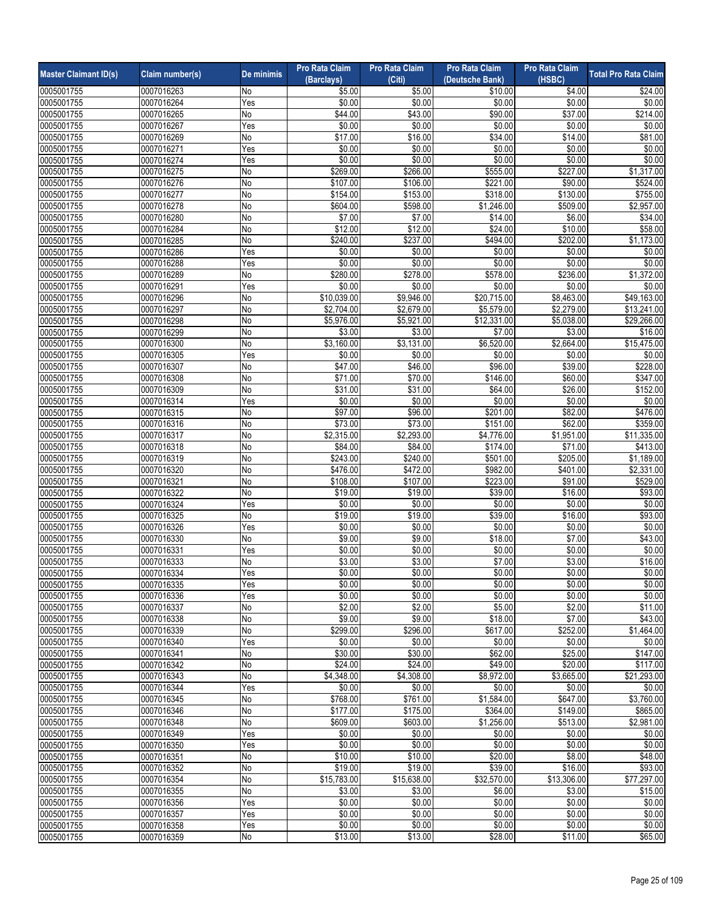| 0005001755<br>0007016263<br>No<br>\$5.00<br>\$5.00<br>\$10.00<br>\$4.00<br>\$24.00<br>\$0.00<br>\$0.00<br>\$0.00<br>\$0.00<br>0005001755<br>0007016264<br>Yes<br>\$0.00<br>\$44.00<br>\$43.00<br>\$90.00<br>\$37.00<br>0005001755<br>0007016265<br>No<br>\$0.00<br>\$0.00<br>0005001755<br>\$0.00<br>\$0.00<br>0007016267<br>Yes<br>\$34.00<br>\$17.00<br>\$16.00<br>\$14.00<br>0005001755<br>0007016269<br>No<br>\$0.00<br>\$0.00<br>\$0.00<br>\$0.00<br>0005001755<br>0007016271<br>Yes<br>\$0.00<br>\$0.00<br>0005001755<br>0007016274<br>\$0.00<br>\$0.00<br>Yes<br>\$269.00<br>\$266.00<br>\$555.00<br>\$227.00<br>\$1,317.00<br>0005001755<br>0007016275<br>No<br>\$107.00<br>\$90.00<br>\$524.00<br>0005001755<br>0007016276<br>No<br>\$106.00<br>\$221.00<br>\$153.00<br>\$318.00<br>\$130.00<br>\$755.00<br>0005001755<br>No<br>\$154.00<br>0007016277<br>\$598.00<br>\$1,246.00<br>\$509.00<br>\$2,957.00<br>0005001755<br>0007016278<br><b>No</b><br>\$604.00<br>\$7.00<br>\$7.00<br>\$14.00<br>\$6.00<br>No<br>0005001755<br>0007016280<br>\$12.00<br>0005001755<br><b>No</b><br>\$12.00<br>\$24.00<br>\$10.00<br>0007016284<br>\$494.00<br>No<br>\$240.00<br>\$237.00<br>\$202.00<br>\$1,173.00<br>0005001755<br>0007016285<br>\$0.00<br>\$0.00<br>\$0.00<br>\$0.00<br>0005001755<br>0007016286<br>Yes<br>\$0.00<br>\$0.00<br>0005001755<br>0007016288<br>\$0.00<br>\$0.00<br>Yes<br>\$278.00<br>\$578.00<br>\$1,372.00<br>0005001755<br>0007016289<br>No<br>\$280.00<br>\$236.00<br>0005001755<br>\$0.00<br>\$0.00<br>\$0.00<br>\$0.00<br>0007016291<br>Yes<br>\$10,039.00<br>\$9,946.00<br>\$20,715.00<br>\$49,163.00<br>No<br>\$8,463.00<br>0005001755<br>0007016296<br>\$2,679.00<br>\$5,579.00<br>\$13,241.00<br>0005001755<br>0007016297<br>No<br>\$2,704.00<br>\$2,279.00<br>\$5,976.00<br>\$5,921.00<br>\$5,038.00<br>\$12,331.00<br>0005001755<br>0007016298<br>No<br>\$3.00<br>\$3.00<br>\$7.00<br>\$3.00<br>0005001755<br>0007016299<br>No<br>\$3,160.00<br>\$3,131.00<br>\$6,520.00<br>\$2,664.00<br>\$15,475.00<br>0005001755<br>0007016300<br>No<br>\$0.00<br>\$0.00<br>0005001755<br>0007016305<br>\$0.00<br>\$0.00<br>\$0.00<br>Yes<br>\$47.00<br>\$46.00<br>\$96.00<br>\$39.00<br>\$228.00<br>0005001755<br>0007016307<br>No<br>\$70.00<br>\$146.00<br>\$60.00<br>No<br>\$71.00<br>0005001755<br>0007016308<br>\$31.00<br>\$26.00<br>\$152.00<br>0005001755<br>0007016309<br><b>No</b><br>\$31.00<br>\$64.00<br>\$0.00<br>\$0.00<br>\$0.00<br>\$0.00<br>0005001755<br>0007016314<br>Yes<br>\$96.00<br>0007016315<br>\$201.00<br>\$82.00<br>0005001755<br>\$97.00<br>No<br>\$359.00<br>No<br>\$73.00<br>\$73.00<br>\$151.00<br>\$62.00<br>0005001755<br>0007016316<br>\$2,315.00<br>\$2,293.00<br>\$11,335.00<br>0005001755<br>0007016317<br>\$4,776.00<br>\$1,951.00<br>No<br>\$84.00<br>0005001755<br>0007016318<br>No<br>\$84.00<br>\$174.00<br>\$71.00<br>0005001755<br>0007016319<br><b>No</b><br>\$243.00<br>\$240.00<br>\$501.00<br>\$205.00<br>\$472.00<br>0005001755<br>0007016320<br>No<br>\$476.00<br>\$982.00<br>\$401.00<br>\$91.00<br><b>No</b><br>\$108.00<br>\$107.00<br>\$223.00<br>0005001755<br>0007016321<br>\$39.00<br>\$93.00<br>0005001755<br>0007016322<br><b>No</b><br>\$19.00<br>\$19.00<br>\$16.00<br>\$0.00<br>\$0.00<br>\$0.00<br>\$0.00<br>0005001755<br>0007016324<br>Yes<br>\$19.00<br>\$19.00<br>\$39.00<br>\$16.00<br>0005001755<br>0007016325<br>No<br>\$0.00<br>\$0.00<br>\$0.00<br>\$0.00<br>\$0.00<br>0005001755<br>0007016326<br>Yes<br>\$9.00<br>\$9.00<br>0005001755<br>0007016330<br>\$18.00<br>\$7.00<br>No<br>\$0.00<br>\$0.00<br>\$0.00<br>\$0.00<br>0005001755<br>0007016331<br>Yes<br>0005001755<br>No<br>\$3.00<br>\$3.00<br>\$7.00<br>\$3.00<br>0007016333<br>\$0.00<br>\$0.00<br>\$0.00<br>\$0.00<br>0005001755<br>0007016334<br>Yes<br>\$0.00<br>\$0.00<br>\$0.00<br>\$0.00<br>0005001755<br>0007016335<br>Yes<br>0007016336<br>\$0.00<br>\$0.00<br>\$0.00<br>\$0.00<br>0005001755<br>Yes<br>\$2.00<br>\$2.00<br>\$5.00<br>\$2.00<br>0005001755<br>0007016337<br>No<br>\$9.00<br>0005001755<br>0007016338<br><b>No</b><br>\$9.00<br>\$18.00<br>\$7.00<br>0005001755<br>0007016339<br>No<br>\$299.00<br>\$296.00<br>\$617.00<br>\$252.00<br>0005001755<br>0007016340<br>\$0.00<br>\$0.00<br>\$0.00<br>\$0.00<br>Yes<br>0007016341<br>\$30.00<br>\$30.00<br>\$62.00<br>\$25.00<br>0005001755<br><b>No</b><br>No<br>\$24.00<br>\$49.00<br>0005001755<br>0007016342<br>\$24.00<br>\$20.00<br>\$4,348.00<br>\$4,308.00<br>\$8,972.00<br>0007016343<br><b>No</b><br>\$3,665.00<br>0005001755<br>0007016344<br>\$0.00<br>\$0.00<br>\$0.00<br>\$0.00<br>0005001755<br>Yes<br>0005001755<br>\$768.00<br>\$761.00<br>\$1,584.00<br>\$647.00<br>0007016345<br>No<br>\$149.00<br>No<br>\$177.00<br>\$175.00<br>\$364.00<br>0005001755<br>0007016346<br>0005001755<br>0007016348<br>No<br>\$609.00<br>\$603.00<br>\$1,256.00<br>\$513.00<br>0005001755<br>0007016349<br>\$0.00<br>\$0.00<br>\$0.00<br>\$0.00<br>Yes<br>0005001755<br>0007016350<br>\$0.00<br>\$0.00<br>\$0.00<br>\$0.00<br>Yes<br>0005001755<br>0007016351<br>\$10.00<br>\$10.00<br>\$20.00<br>\$8.00<br>No<br>\$19.00<br>\$39.00<br>0005001755<br>0007016352<br>No<br>\$19.00<br>\$16.00<br>\$15,638.00<br>\$32,570.00<br>0005001755<br>0007016354<br>No<br>\$15,783.00<br>\$13,306.00<br>No<br>\$3.00<br>\$3.00<br>\$6.00<br>\$3.00<br>0005001755<br>0007016355<br>\$0.00<br>\$0.00<br>\$0.00<br>\$0.00<br>0005001755<br>0007016356<br>Yes<br>\$0.00<br>\$0.00<br>\$0.00<br>\$0.00<br>0005001755<br>0007016357<br>Yes<br>0005001755<br>0007016358<br>\$0.00<br>\$0.00<br>\$0.00<br>\$0.00<br>Yes<br>\$28.00<br>\$11.00<br>0005001755<br>0007016359<br>No<br>\$13.00<br>\$13.00 | <b>Master Claimant ID(s)</b> | Claim number(s) | De minimis | <b>Pro Rata Claim</b> | <b>Pro Rata Claim</b> | Pro Rata Claim  | <b>Pro Rata Claim</b> | Total Pro Rata Claim |
|---------------------------------------------------------------------------------------------------------------------------------------------------------------------------------------------------------------------------------------------------------------------------------------------------------------------------------------------------------------------------------------------------------------------------------------------------------------------------------------------------------------------------------------------------------------------------------------------------------------------------------------------------------------------------------------------------------------------------------------------------------------------------------------------------------------------------------------------------------------------------------------------------------------------------------------------------------------------------------------------------------------------------------------------------------------------------------------------------------------------------------------------------------------------------------------------------------------------------------------------------------------------------------------------------------------------------------------------------------------------------------------------------------------------------------------------------------------------------------------------------------------------------------------------------------------------------------------------------------------------------------------------------------------------------------------------------------------------------------------------------------------------------------------------------------------------------------------------------------------------------------------------------------------------------------------------------------------------------------------------------------------------------------------------------------------------------------------------------------------------------------------------------------------------------------------------------------------------------------------------------------------------------------------------------------------------------------------------------------------------------------------------------------------------------------------------------------------------------------------------------------------------------------------------------------------------------------------------------------------------------------------------------------------------------------------------------------------------------------------------------------------------------------------------------------------------------------------------------------------------------------------------------------------------------------------------------------------------------------------------------------------------------------------------------------------------------------------------------------------------------------------------------------------------------------------------------------------------------------------------------------------------------------------------------------------------------------------------------------------------------------------------------------------------------------------------------------------------------------------------------------------------------------------------------------------------------------------------------------------------------------------------------------------------------------------------------------------------------------------------------------------------------------------------------------------------------------------------------------------------------------------------------------------------------------------------------------------------------------------------------------------------------------------------------------------------------------------------------------------------------------------------------------------------------------------------------------------------------------------------------------------------------------------------------------------------------------------------------------------------------------------------------------------------------------------------------------------------------------------------------------------------------------------------------------------------------------------------------------------------------------------------------------------------------------------------------------------------------------------------------------------------------------------------------------------------------------------------------------------------------------------------------------------------------------------------------------------------------------------------------------------------------------------------------------------------------------------------------------------------------------------------------------------------------------------------------------------------------------------------------------------------------------------------------------------------------------------------------------------------------------------------------------------------------------------------------------------------------------------------------------------------------------------------------------------------------------------------------------------------------------------------------------------------------------------------------------------------|------------------------------|-----------------|------------|-----------------------|-----------------------|-----------------|-----------------------|----------------------|
| \$214.00<br>\$0.00<br>\$81.00<br>\$0.00<br>\$0.00<br>\$34.00<br>\$58.00<br>\$0.00<br>\$0.00<br>\$0.00<br>\$29,266.00<br>\$16.00<br>\$347.00<br>\$0.00<br>\$476.00<br>\$413.00<br>\$1,189.00<br>\$2,331.00<br>\$529.00<br>\$0.00<br>\$93.00<br>\$43.00<br>\$0.00<br>\$16.00<br>\$0.00<br>\$0.00<br>\$0.00<br>\$11.00<br>\$43.00<br>\$1,464.00<br>\$0.00<br>\$147.00<br>\$117.00<br>\$21,293.00<br>\$0.00<br>\$3,760.00<br>\$865.00<br>\$2,981.00<br>\$0.00<br>\$0.00<br>\$48.00<br>\$93.00<br>\$77,297.00<br>\$15.00<br>\$0.00                                                                                                                                                                                                                                                                                                                                                                                                                                                                                                                                                                                                                                                                                                                                                                                                                                                                                                                                                                                                                                                                                                                                                                                                                                                                                                                                                                                                                                                                                                                                                                                                                                                                                                                                                                                                                                                                                                                                                                                                                                                                                                                                                                                                                                                                                                                                                                                                                                                                                                                                                                                                                                                                                                                                                                                                                                                                                                                                                                                                                                                                                                                                                                                                                                                                                                                                                                                                                                                                                                                                                                                                                                                                                                                                                                                                                                                                                                                                                                                                                                                                                                                                                                                                                                                                                                                                                                                                                                                                                                                                                                                                                                                                                                                                                                                                                                                                                                                                                                                                                                                                                                                                                                                       |                              |                 |            | (Barclays)            | (Citi)                | (Deutsche Bank) | (HSBC)                |                      |
|                                                                                                                                                                                                                                                                                                                                                                                                                                                                                                                                                                                                                                                                                                                                                                                                                                                                                                                                                                                                                                                                                                                                                                                                                                                                                                                                                                                                                                                                                                                                                                                                                                                                                                                                                                                                                                                                                                                                                                                                                                                                                                                                                                                                                                                                                                                                                                                                                                                                                                                                                                                                                                                                                                                                                                                                                                                                                                                                                                                                                                                                                                                                                                                                                                                                                                                                                                                                                                                                                                                                                                                                                                                                                                                                                                                                                                                                                                                                                                                                                                                                                                                                                                                                                                                                                                                                                                                                                                                                                                                                                                                                                                                                                                                                                                                                                                                                                                                                                                                                                                                                                                                                                                                                                                                                                                                                                                                                                                                                                                                                                                                                                                                                                                                     |                              |                 |            |                       |                       |                 |                       |                      |
|                                                                                                                                                                                                                                                                                                                                                                                                                                                                                                                                                                                                                                                                                                                                                                                                                                                                                                                                                                                                                                                                                                                                                                                                                                                                                                                                                                                                                                                                                                                                                                                                                                                                                                                                                                                                                                                                                                                                                                                                                                                                                                                                                                                                                                                                                                                                                                                                                                                                                                                                                                                                                                                                                                                                                                                                                                                                                                                                                                                                                                                                                                                                                                                                                                                                                                                                                                                                                                                                                                                                                                                                                                                                                                                                                                                                                                                                                                                                                                                                                                                                                                                                                                                                                                                                                                                                                                                                                                                                                                                                                                                                                                                                                                                                                                                                                                                                                                                                                                                                                                                                                                                                                                                                                                                                                                                                                                                                                                                                                                                                                                                                                                                                                                                     |                              |                 |            |                       |                       |                 |                       |                      |
|                                                                                                                                                                                                                                                                                                                                                                                                                                                                                                                                                                                                                                                                                                                                                                                                                                                                                                                                                                                                                                                                                                                                                                                                                                                                                                                                                                                                                                                                                                                                                                                                                                                                                                                                                                                                                                                                                                                                                                                                                                                                                                                                                                                                                                                                                                                                                                                                                                                                                                                                                                                                                                                                                                                                                                                                                                                                                                                                                                                                                                                                                                                                                                                                                                                                                                                                                                                                                                                                                                                                                                                                                                                                                                                                                                                                                                                                                                                                                                                                                                                                                                                                                                                                                                                                                                                                                                                                                                                                                                                                                                                                                                                                                                                                                                                                                                                                                                                                                                                                                                                                                                                                                                                                                                                                                                                                                                                                                                                                                                                                                                                                                                                                                                                     |                              |                 |            |                       |                       |                 |                       |                      |
|                                                                                                                                                                                                                                                                                                                                                                                                                                                                                                                                                                                                                                                                                                                                                                                                                                                                                                                                                                                                                                                                                                                                                                                                                                                                                                                                                                                                                                                                                                                                                                                                                                                                                                                                                                                                                                                                                                                                                                                                                                                                                                                                                                                                                                                                                                                                                                                                                                                                                                                                                                                                                                                                                                                                                                                                                                                                                                                                                                                                                                                                                                                                                                                                                                                                                                                                                                                                                                                                                                                                                                                                                                                                                                                                                                                                                                                                                                                                                                                                                                                                                                                                                                                                                                                                                                                                                                                                                                                                                                                                                                                                                                                                                                                                                                                                                                                                                                                                                                                                                                                                                                                                                                                                                                                                                                                                                                                                                                                                                                                                                                                                                                                                                                                     |                              |                 |            |                       |                       |                 |                       |                      |
|                                                                                                                                                                                                                                                                                                                                                                                                                                                                                                                                                                                                                                                                                                                                                                                                                                                                                                                                                                                                                                                                                                                                                                                                                                                                                                                                                                                                                                                                                                                                                                                                                                                                                                                                                                                                                                                                                                                                                                                                                                                                                                                                                                                                                                                                                                                                                                                                                                                                                                                                                                                                                                                                                                                                                                                                                                                                                                                                                                                                                                                                                                                                                                                                                                                                                                                                                                                                                                                                                                                                                                                                                                                                                                                                                                                                                                                                                                                                                                                                                                                                                                                                                                                                                                                                                                                                                                                                                                                                                                                                                                                                                                                                                                                                                                                                                                                                                                                                                                                                                                                                                                                                                                                                                                                                                                                                                                                                                                                                                                                                                                                                                                                                                                                     |                              |                 |            |                       |                       |                 |                       |                      |
|                                                                                                                                                                                                                                                                                                                                                                                                                                                                                                                                                                                                                                                                                                                                                                                                                                                                                                                                                                                                                                                                                                                                                                                                                                                                                                                                                                                                                                                                                                                                                                                                                                                                                                                                                                                                                                                                                                                                                                                                                                                                                                                                                                                                                                                                                                                                                                                                                                                                                                                                                                                                                                                                                                                                                                                                                                                                                                                                                                                                                                                                                                                                                                                                                                                                                                                                                                                                                                                                                                                                                                                                                                                                                                                                                                                                                                                                                                                                                                                                                                                                                                                                                                                                                                                                                                                                                                                                                                                                                                                                                                                                                                                                                                                                                                                                                                                                                                                                                                                                                                                                                                                                                                                                                                                                                                                                                                                                                                                                                                                                                                                                                                                                                                                     |                              |                 |            |                       |                       |                 |                       |                      |
|                                                                                                                                                                                                                                                                                                                                                                                                                                                                                                                                                                                                                                                                                                                                                                                                                                                                                                                                                                                                                                                                                                                                                                                                                                                                                                                                                                                                                                                                                                                                                                                                                                                                                                                                                                                                                                                                                                                                                                                                                                                                                                                                                                                                                                                                                                                                                                                                                                                                                                                                                                                                                                                                                                                                                                                                                                                                                                                                                                                                                                                                                                                                                                                                                                                                                                                                                                                                                                                                                                                                                                                                                                                                                                                                                                                                                                                                                                                                                                                                                                                                                                                                                                                                                                                                                                                                                                                                                                                                                                                                                                                                                                                                                                                                                                                                                                                                                                                                                                                                                                                                                                                                                                                                                                                                                                                                                                                                                                                                                                                                                                                                                                                                                                                     |                              |                 |            |                       |                       |                 |                       |                      |
|                                                                                                                                                                                                                                                                                                                                                                                                                                                                                                                                                                                                                                                                                                                                                                                                                                                                                                                                                                                                                                                                                                                                                                                                                                                                                                                                                                                                                                                                                                                                                                                                                                                                                                                                                                                                                                                                                                                                                                                                                                                                                                                                                                                                                                                                                                                                                                                                                                                                                                                                                                                                                                                                                                                                                                                                                                                                                                                                                                                                                                                                                                                                                                                                                                                                                                                                                                                                                                                                                                                                                                                                                                                                                                                                                                                                                                                                                                                                                                                                                                                                                                                                                                                                                                                                                                                                                                                                                                                                                                                                                                                                                                                                                                                                                                                                                                                                                                                                                                                                                                                                                                                                                                                                                                                                                                                                                                                                                                                                                                                                                                                                                                                                                                                     |                              |                 |            |                       |                       |                 |                       |                      |
|                                                                                                                                                                                                                                                                                                                                                                                                                                                                                                                                                                                                                                                                                                                                                                                                                                                                                                                                                                                                                                                                                                                                                                                                                                                                                                                                                                                                                                                                                                                                                                                                                                                                                                                                                                                                                                                                                                                                                                                                                                                                                                                                                                                                                                                                                                                                                                                                                                                                                                                                                                                                                                                                                                                                                                                                                                                                                                                                                                                                                                                                                                                                                                                                                                                                                                                                                                                                                                                                                                                                                                                                                                                                                                                                                                                                                                                                                                                                                                                                                                                                                                                                                                                                                                                                                                                                                                                                                                                                                                                                                                                                                                                                                                                                                                                                                                                                                                                                                                                                                                                                                                                                                                                                                                                                                                                                                                                                                                                                                                                                                                                                                                                                                                                     |                              |                 |            |                       |                       |                 |                       |                      |
|                                                                                                                                                                                                                                                                                                                                                                                                                                                                                                                                                                                                                                                                                                                                                                                                                                                                                                                                                                                                                                                                                                                                                                                                                                                                                                                                                                                                                                                                                                                                                                                                                                                                                                                                                                                                                                                                                                                                                                                                                                                                                                                                                                                                                                                                                                                                                                                                                                                                                                                                                                                                                                                                                                                                                                                                                                                                                                                                                                                                                                                                                                                                                                                                                                                                                                                                                                                                                                                                                                                                                                                                                                                                                                                                                                                                                                                                                                                                                                                                                                                                                                                                                                                                                                                                                                                                                                                                                                                                                                                                                                                                                                                                                                                                                                                                                                                                                                                                                                                                                                                                                                                                                                                                                                                                                                                                                                                                                                                                                                                                                                                                                                                                                                                     |                              |                 |            |                       |                       |                 |                       |                      |
|                                                                                                                                                                                                                                                                                                                                                                                                                                                                                                                                                                                                                                                                                                                                                                                                                                                                                                                                                                                                                                                                                                                                                                                                                                                                                                                                                                                                                                                                                                                                                                                                                                                                                                                                                                                                                                                                                                                                                                                                                                                                                                                                                                                                                                                                                                                                                                                                                                                                                                                                                                                                                                                                                                                                                                                                                                                                                                                                                                                                                                                                                                                                                                                                                                                                                                                                                                                                                                                                                                                                                                                                                                                                                                                                                                                                                                                                                                                                                                                                                                                                                                                                                                                                                                                                                                                                                                                                                                                                                                                                                                                                                                                                                                                                                                                                                                                                                                                                                                                                                                                                                                                                                                                                                                                                                                                                                                                                                                                                                                                                                                                                                                                                                                                     |                              |                 |            |                       |                       |                 |                       |                      |
|                                                                                                                                                                                                                                                                                                                                                                                                                                                                                                                                                                                                                                                                                                                                                                                                                                                                                                                                                                                                                                                                                                                                                                                                                                                                                                                                                                                                                                                                                                                                                                                                                                                                                                                                                                                                                                                                                                                                                                                                                                                                                                                                                                                                                                                                                                                                                                                                                                                                                                                                                                                                                                                                                                                                                                                                                                                                                                                                                                                                                                                                                                                                                                                                                                                                                                                                                                                                                                                                                                                                                                                                                                                                                                                                                                                                                                                                                                                                                                                                                                                                                                                                                                                                                                                                                                                                                                                                                                                                                                                                                                                                                                                                                                                                                                                                                                                                                                                                                                                                                                                                                                                                                                                                                                                                                                                                                                                                                                                                                                                                                                                                                                                                                                                     |                              |                 |            |                       |                       |                 |                       |                      |
|                                                                                                                                                                                                                                                                                                                                                                                                                                                                                                                                                                                                                                                                                                                                                                                                                                                                                                                                                                                                                                                                                                                                                                                                                                                                                                                                                                                                                                                                                                                                                                                                                                                                                                                                                                                                                                                                                                                                                                                                                                                                                                                                                                                                                                                                                                                                                                                                                                                                                                                                                                                                                                                                                                                                                                                                                                                                                                                                                                                                                                                                                                                                                                                                                                                                                                                                                                                                                                                                                                                                                                                                                                                                                                                                                                                                                                                                                                                                                                                                                                                                                                                                                                                                                                                                                                                                                                                                                                                                                                                                                                                                                                                                                                                                                                                                                                                                                                                                                                                                                                                                                                                                                                                                                                                                                                                                                                                                                                                                                                                                                                                                                                                                                                                     |                              |                 |            |                       |                       |                 |                       |                      |
|                                                                                                                                                                                                                                                                                                                                                                                                                                                                                                                                                                                                                                                                                                                                                                                                                                                                                                                                                                                                                                                                                                                                                                                                                                                                                                                                                                                                                                                                                                                                                                                                                                                                                                                                                                                                                                                                                                                                                                                                                                                                                                                                                                                                                                                                                                                                                                                                                                                                                                                                                                                                                                                                                                                                                                                                                                                                                                                                                                                                                                                                                                                                                                                                                                                                                                                                                                                                                                                                                                                                                                                                                                                                                                                                                                                                                                                                                                                                                                                                                                                                                                                                                                                                                                                                                                                                                                                                                                                                                                                                                                                                                                                                                                                                                                                                                                                                                                                                                                                                                                                                                                                                                                                                                                                                                                                                                                                                                                                                                                                                                                                                                                                                                                                     |                              |                 |            |                       |                       |                 |                       |                      |
|                                                                                                                                                                                                                                                                                                                                                                                                                                                                                                                                                                                                                                                                                                                                                                                                                                                                                                                                                                                                                                                                                                                                                                                                                                                                                                                                                                                                                                                                                                                                                                                                                                                                                                                                                                                                                                                                                                                                                                                                                                                                                                                                                                                                                                                                                                                                                                                                                                                                                                                                                                                                                                                                                                                                                                                                                                                                                                                                                                                                                                                                                                                                                                                                                                                                                                                                                                                                                                                                                                                                                                                                                                                                                                                                                                                                                                                                                                                                                                                                                                                                                                                                                                                                                                                                                                                                                                                                                                                                                                                                                                                                                                                                                                                                                                                                                                                                                                                                                                                                                                                                                                                                                                                                                                                                                                                                                                                                                                                                                                                                                                                                                                                                                                                     |                              |                 |            |                       |                       |                 |                       |                      |
|                                                                                                                                                                                                                                                                                                                                                                                                                                                                                                                                                                                                                                                                                                                                                                                                                                                                                                                                                                                                                                                                                                                                                                                                                                                                                                                                                                                                                                                                                                                                                                                                                                                                                                                                                                                                                                                                                                                                                                                                                                                                                                                                                                                                                                                                                                                                                                                                                                                                                                                                                                                                                                                                                                                                                                                                                                                                                                                                                                                                                                                                                                                                                                                                                                                                                                                                                                                                                                                                                                                                                                                                                                                                                                                                                                                                                                                                                                                                                                                                                                                                                                                                                                                                                                                                                                                                                                                                                                                                                                                                                                                                                                                                                                                                                                                                                                                                                                                                                                                                                                                                                                                                                                                                                                                                                                                                                                                                                                                                                                                                                                                                                                                                                                                     |                              |                 |            |                       |                       |                 |                       |                      |
|                                                                                                                                                                                                                                                                                                                                                                                                                                                                                                                                                                                                                                                                                                                                                                                                                                                                                                                                                                                                                                                                                                                                                                                                                                                                                                                                                                                                                                                                                                                                                                                                                                                                                                                                                                                                                                                                                                                                                                                                                                                                                                                                                                                                                                                                                                                                                                                                                                                                                                                                                                                                                                                                                                                                                                                                                                                                                                                                                                                                                                                                                                                                                                                                                                                                                                                                                                                                                                                                                                                                                                                                                                                                                                                                                                                                                                                                                                                                                                                                                                                                                                                                                                                                                                                                                                                                                                                                                                                                                                                                                                                                                                                                                                                                                                                                                                                                                                                                                                                                                                                                                                                                                                                                                                                                                                                                                                                                                                                                                                                                                                                                                                                                                                                     |                              |                 |            |                       |                       |                 |                       |                      |
|                                                                                                                                                                                                                                                                                                                                                                                                                                                                                                                                                                                                                                                                                                                                                                                                                                                                                                                                                                                                                                                                                                                                                                                                                                                                                                                                                                                                                                                                                                                                                                                                                                                                                                                                                                                                                                                                                                                                                                                                                                                                                                                                                                                                                                                                                                                                                                                                                                                                                                                                                                                                                                                                                                                                                                                                                                                                                                                                                                                                                                                                                                                                                                                                                                                                                                                                                                                                                                                                                                                                                                                                                                                                                                                                                                                                                                                                                                                                                                                                                                                                                                                                                                                                                                                                                                                                                                                                                                                                                                                                                                                                                                                                                                                                                                                                                                                                                                                                                                                                                                                                                                                                                                                                                                                                                                                                                                                                                                                                                                                                                                                                                                                                                                                     |                              |                 |            |                       |                       |                 |                       |                      |
|                                                                                                                                                                                                                                                                                                                                                                                                                                                                                                                                                                                                                                                                                                                                                                                                                                                                                                                                                                                                                                                                                                                                                                                                                                                                                                                                                                                                                                                                                                                                                                                                                                                                                                                                                                                                                                                                                                                                                                                                                                                                                                                                                                                                                                                                                                                                                                                                                                                                                                                                                                                                                                                                                                                                                                                                                                                                                                                                                                                                                                                                                                                                                                                                                                                                                                                                                                                                                                                                                                                                                                                                                                                                                                                                                                                                                                                                                                                                                                                                                                                                                                                                                                                                                                                                                                                                                                                                                                                                                                                                                                                                                                                                                                                                                                                                                                                                                                                                                                                                                                                                                                                                                                                                                                                                                                                                                                                                                                                                                                                                                                                                                                                                                                                     |                              |                 |            |                       |                       |                 |                       |                      |
|                                                                                                                                                                                                                                                                                                                                                                                                                                                                                                                                                                                                                                                                                                                                                                                                                                                                                                                                                                                                                                                                                                                                                                                                                                                                                                                                                                                                                                                                                                                                                                                                                                                                                                                                                                                                                                                                                                                                                                                                                                                                                                                                                                                                                                                                                                                                                                                                                                                                                                                                                                                                                                                                                                                                                                                                                                                                                                                                                                                                                                                                                                                                                                                                                                                                                                                                                                                                                                                                                                                                                                                                                                                                                                                                                                                                                                                                                                                                                                                                                                                                                                                                                                                                                                                                                                                                                                                                                                                                                                                                                                                                                                                                                                                                                                                                                                                                                                                                                                                                                                                                                                                                                                                                                                                                                                                                                                                                                                                                                                                                                                                                                                                                                                                     |                              |                 |            |                       |                       |                 |                       |                      |
|                                                                                                                                                                                                                                                                                                                                                                                                                                                                                                                                                                                                                                                                                                                                                                                                                                                                                                                                                                                                                                                                                                                                                                                                                                                                                                                                                                                                                                                                                                                                                                                                                                                                                                                                                                                                                                                                                                                                                                                                                                                                                                                                                                                                                                                                                                                                                                                                                                                                                                                                                                                                                                                                                                                                                                                                                                                                                                                                                                                                                                                                                                                                                                                                                                                                                                                                                                                                                                                                                                                                                                                                                                                                                                                                                                                                                                                                                                                                                                                                                                                                                                                                                                                                                                                                                                                                                                                                                                                                                                                                                                                                                                                                                                                                                                                                                                                                                                                                                                                                                                                                                                                                                                                                                                                                                                                                                                                                                                                                                                                                                                                                                                                                                                                     |                              |                 |            |                       |                       |                 |                       |                      |
|                                                                                                                                                                                                                                                                                                                                                                                                                                                                                                                                                                                                                                                                                                                                                                                                                                                                                                                                                                                                                                                                                                                                                                                                                                                                                                                                                                                                                                                                                                                                                                                                                                                                                                                                                                                                                                                                                                                                                                                                                                                                                                                                                                                                                                                                                                                                                                                                                                                                                                                                                                                                                                                                                                                                                                                                                                                                                                                                                                                                                                                                                                                                                                                                                                                                                                                                                                                                                                                                                                                                                                                                                                                                                                                                                                                                                                                                                                                                                                                                                                                                                                                                                                                                                                                                                                                                                                                                                                                                                                                                                                                                                                                                                                                                                                                                                                                                                                                                                                                                                                                                                                                                                                                                                                                                                                                                                                                                                                                                                                                                                                                                                                                                                                                     |                              |                 |            |                       |                       |                 |                       |                      |
|                                                                                                                                                                                                                                                                                                                                                                                                                                                                                                                                                                                                                                                                                                                                                                                                                                                                                                                                                                                                                                                                                                                                                                                                                                                                                                                                                                                                                                                                                                                                                                                                                                                                                                                                                                                                                                                                                                                                                                                                                                                                                                                                                                                                                                                                                                                                                                                                                                                                                                                                                                                                                                                                                                                                                                                                                                                                                                                                                                                                                                                                                                                                                                                                                                                                                                                                                                                                                                                                                                                                                                                                                                                                                                                                                                                                                                                                                                                                                                                                                                                                                                                                                                                                                                                                                                                                                                                                                                                                                                                                                                                                                                                                                                                                                                                                                                                                                                                                                                                                                                                                                                                                                                                                                                                                                                                                                                                                                                                                                                                                                                                                                                                                                                                     |                              |                 |            |                       |                       |                 |                       |                      |
|                                                                                                                                                                                                                                                                                                                                                                                                                                                                                                                                                                                                                                                                                                                                                                                                                                                                                                                                                                                                                                                                                                                                                                                                                                                                                                                                                                                                                                                                                                                                                                                                                                                                                                                                                                                                                                                                                                                                                                                                                                                                                                                                                                                                                                                                                                                                                                                                                                                                                                                                                                                                                                                                                                                                                                                                                                                                                                                                                                                                                                                                                                                                                                                                                                                                                                                                                                                                                                                                                                                                                                                                                                                                                                                                                                                                                                                                                                                                                                                                                                                                                                                                                                                                                                                                                                                                                                                                                                                                                                                                                                                                                                                                                                                                                                                                                                                                                                                                                                                                                                                                                                                                                                                                                                                                                                                                                                                                                                                                                                                                                                                                                                                                                                                     |                              |                 |            |                       |                       |                 |                       |                      |
|                                                                                                                                                                                                                                                                                                                                                                                                                                                                                                                                                                                                                                                                                                                                                                                                                                                                                                                                                                                                                                                                                                                                                                                                                                                                                                                                                                                                                                                                                                                                                                                                                                                                                                                                                                                                                                                                                                                                                                                                                                                                                                                                                                                                                                                                                                                                                                                                                                                                                                                                                                                                                                                                                                                                                                                                                                                                                                                                                                                                                                                                                                                                                                                                                                                                                                                                                                                                                                                                                                                                                                                                                                                                                                                                                                                                                                                                                                                                                                                                                                                                                                                                                                                                                                                                                                                                                                                                                                                                                                                                                                                                                                                                                                                                                                                                                                                                                                                                                                                                                                                                                                                                                                                                                                                                                                                                                                                                                                                                                                                                                                                                                                                                                                                     |                              |                 |            |                       |                       |                 |                       |                      |
|                                                                                                                                                                                                                                                                                                                                                                                                                                                                                                                                                                                                                                                                                                                                                                                                                                                                                                                                                                                                                                                                                                                                                                                                                                                                                                                                                                                                                                                                                                                                                                                                                                                                                                                                                                                                                                                                                                                                                                                                                                                                                                                                                                                                                                                                                                                                                                                                                                                                                                                                                                                                                                                                                                                                                                                                                                                                                                                                                                                                                                                                                                                                                                                                                                                                                                                                                                                                                                                                                                                                                                                                                                                                                                                                                                                                                                                                                                                                                                                                                                                                                                                                                                                                                                                                                                                                                                                                                                                                                                                                                                                                                                                                                                                                                                                                                                                                                                                                                                                                                                                                                                                                                                                                                                                                                                                                                                                                                                                                                                                                                                                                                                                                                                                     |                              |                 |            |                       |                       |                 |                       |                      |
|                                                                                                                                                                                                                                                                                                                                                                                                                                                                                                                                                                                                                                                                                                                                                                                                                                                                                                                                                                                                                                                                                                                                                                                                                                                                                                                                                                                                                                                                                                                                                                                                                                                                                                                                                                                                                                                                                                                                                                                                                                                                                                                                                                                                                                                                                                                                                                                                                                                                                                                                                                                                                                                                                                                                                                                                                                                                                                                                                                                                                                                                                                                                                                                                                                                                                                                                                                                                                                                                                                                                                                                                                                                                                                                                                                                                                                                                                                                                                                                                                                                                                                                                                                                                                                                                                                                                                                                                                                                                                                                                                                                                                                                                                                                                                                                                                                                                                                                                                                                                                                                                                                                                                                                                                                                                                                                                                                                                                                                                                                                                                                                                                                                                                                                     |                              |                 |            |                       |                       |                 |                       |                      |
|                                                                                                                                                                                                                                                                                                                                                                                                                                                                                                                                                                                                                                                                                                                                                                                                                                                                                                                                                                                                                                                                                                                                                                                                                                                                                                                                                                                                                                                                                                                                                                                                                                                                                                                                                                                                                                                                                                                                                                                                                                                                                                                                                                                                                                                                                                                                                                                                                                                                                                                                                                                                                                                                                                                                                                                                                                                                                                                                                                                                                                                                                                                                                                                                                                                                                                                                                                                                                                                                                                                                                                                                                                                                                                                                                                                                                                                                                                                                                                                                                                                                                                                                                                                                                                                                                                                                                                                                                                                                                                                                                                                                                                                                                                                                                                                                                                                                                                                                                                                                                                                                                                                                                                                                                                                                                                                                                                                                                                                                                                                                                                                                                                                                                                                     |                              |                 |            |                       |                       |                 |                       |                      |
|                                                                                                                                                                                                                                                                                                                                                                                                                                                                                                                                                                                                                                                                                                                                                                                                                                                                                                                                                                                                                                                                                                                                                                                                                                                                                                                                                                                                                                                                                                                                                                                                                                                                                                                                                                                                                                                                                                                                                                                                                                                                                                                                                                                                                                                                                                                                                                                                                                                                                                                                                                                                                                                                                                                                                                                                                                                                                                                                                                                                                                                                                                                                                                                                                                                                                                                                                                                                                                                                                                                                                                                                                                                                                                                                                                                                                                                                                                                                                                                                                                                                                                                                                                                                                                                                                                                                                                                                                                                                                                                                                                                                                                                                                                                                                                                                                                                                                                                                                                                                                                                                                                                                                                                                                                                                                                                                                                                                                                                                                                                                                                                                                                                                                                                     |                              |                 |            |                       |                       |                 |                       |                      |
|                                                                                                                                                                                                                                                                                                                                                                                                                                                                                                                                                                                                                                                                                                                                                                                                                                                                                                                                                                                                                                                                                                                                                                                                                                                                                                                                                                                                                                                                                                                                                                                                                                                                                                                                                                                                                                                                                                                                                                                                                                                                                                                                                                                                                                                                                                                                                                                                                                                                                                                                                                                                                                                                                                                                                                                                                                                                                                                                                                                                                                                                                                                                                                                                                                                                                                                                                                                                                                                                                                                                                                                                                                                                                                                                                                                                                                                                                                                                                                                                                                                                                                                                                                                                                                                                                                                                                                                                                                                                                                                                                                                                                                                                                                                                                                                                                                                                                                                                                                                                                                                                                                                                                                                                                                                                                                                                                                                                                                                                                                                                                                                                                                                                                                                     |                              |                 |            |                       |                       |                 |                       |                      |
|                                                                                                                                                                                                                                                                                                                                                                                                                                                                                                                                                                                                                                                                                                                                                                                                                                                                                                                                                                                                                                                                                                                                                                                                                                                                                                                                                                                                                                                                                                                                                                                                                                                                                                                                                                                                                                                                                                                                                                                                                                                                                                                                                                                                                                                                                                                                                                                                                                                                                                                                                                                                                                                                                                                                                                                                                                                                                                                                                                                                                                                                                                                                                                                                                                                                                                                                                                                                                                                                                                                                                                                                                                                                                                                                                                                                                                                                                                                                                                                                                                                                                                                                                                                                                                                                                                                                                                                                                                                                                                                                                                                                                                                                                                                                                                                                                                                                                                                                                                                                                                                                                                                                                                                                                                                                                                                                                                                                                                                                                                                                                                                                                                                                                                                     |                              |                 |            |                       |                       |                 |                       |                      |
|                                                                                                                                                                                                                                                                                                                                                                                                                                                                                                                                                                                                                                                                                                                                                                                                                                                                                                                                                                                                                                                                                                                                                                                                                                                                                                                                                                                                                                                                                                                                                                                                                                                                                                                                                                                                                                                                                                                                                                                                                                                                                                                                                                                                                                                                                                                                                                                                                                                                                                                                                                                                                                                                                                                                                                                                                                                                                                                                                                                                                                                                                                                                                                                                                                                                                                                                                                                                                                                                                                                                                                                                                                                                                                                                                                                                                                                                                                                                                                                                                                                                                                                                                                                                                                                                                                                                                                                                                                                                                                                                                                                                                                                                                                                                                                                                                                                                                                                                                                                                                                                                                                                                                                                                                                                                                                                                                                                                                                                                                                                                                                                                                                                                                                                     |                              |                 |            |                       |                       |                 |                       |                      |
|                                                                                                                                                                                                                                                                                                                                                                                                                                                                                                                                                                                                                                                                                                                                                                                                                                                                                                                                                                                                                                                                                                                                                                                                                                                                                                                                                                                                                                                                                                                                                                                                                                                                                                                                                                                                                                                                                                                                                                                                                                                                                                                                                                                                                                                                                                                                                                                                                                                                                                                                                                                                                                                                                                                                                                                                                                                                                                                                                                                                                                                                                                                                                                                                                                                                                                                                                                                                                                                                                                                                                                                                                                                                                                                                                                                                                                                                                                                                                                                                                                                                                                                                                                                                                                                                                                                                                                                                                                                                                                                                                                                                                                                                                                                                                                                                                                                                                                                                                                                                                                                                                                                                                                                                                                                                                                                                                                                                                                                                                                                                                                                                                                                                                                                     |                              |                 |            |                       |                       |                 |                       |                      |
|                                                                                                                                                                                                                                                                                                                                                                                                                                                                                                                                                                                                                                                                                                                                                                                                                                                                                                                                                                                                                                                                                                                                                                                                                                                                                                                                                                                                                                                                                                                                                                                                                                                                                                                                                                                                                                                                                                                                                                                                                                                                                                                                                                                                                                                                                                                                                                                                                                                                                                                                                                                                                                                                                                                                                                                                                                                                                                                                                                                                                                                                                                                                                                                                                                                                                                                                                                                                                                                                                                                                                                                                                                                                                                                                                                                                                                                                                                                                                                                                                                                                                                                                                                                                                                                                                                                                                                                                                                                                                                                                                                                                                                                                                                                                                                                                                                                                                                                                                                                                                                                                                                                                                                                                                                                                                                                                                                                                                                                                                                                                                                                                                                                                                                                     |                              |                 |            |                       |                       |                 |                       |                      |
|                                                                                                                                                                                                                                                                                                                                                                                                                                                                                                                                                                                                                                                                                                                                                                                                                                                                                                                                                                                                                                                                                                                                                                                                                                                                                                                                                                                                                                                                                                                                                                                                                                                                                                                                                                                                                                                                                                                                                                                                                                                                                                                                                                                                                                                                                                                                                                                                                                                                                                                                                                                                                                                                                                                                                                                                                                                                                                                                                                                                                                                                                                                                                                                                                                                                                                                                                                                                                                                                                                                                                                                                                                                                                                                                                                                                                                                                                                                                                                                                                                                                                                                                                                                                                                                                                                                                                                                                                                                                                                                                                                                                                                                                                                                                                                                                                                                                                                                                                                                                                                                                                                                                                                                                                                                                                                                                                                                                                                                                                                                                                                                                                                                                                                                     |                              |                 |            |                       |                       |                 |                       |                      |
|                                                                                                                                                                                                                                                                                                                                                                                                                                                                                                                                                                                                                                                                                                                                                                                                                                                                                                                                                                                                                                                                                                                                                                                                                                                                                                                                                                                                                                                                                                                                                                                                                                                                                                                                                                                                                                                                                                                                                                                                                                                                                                                                                                                                                                                                                                                                                                                                                                                                                                                                                                                                                                                                                                                                                                                                                                                                                                                                                                                                                                                                                                                                                                                                                                                                                                                                                                                                                                                                                                                                                                                                                                                                                                                                                                                                                                                                                                                                                                                                                                                                                                                                                                                                                                                                                                                                                                                                                                                                                                                                                                                                                                                                                                                                                                                                                                                                                                                                                                                                                                                                                                                                                                                                                                                                                                                                                                                                                                                                                                                                                                                                                                                                                                                     |                              |                 |            |                       |                       |                 |                       |                      |
|                                                                                                                                                                                                                                                                                                                                                                                                                                                                                                                                                                                                                                                                                                                                                                                                                                                                                                                                                                                                                                                                                                                                                                                                                                                                                                                                                                                                                                                                                                                                                                                                                                                                                                                                                                                                                                                                                                                                                                                                                                                                                                                                                                                                                                                                                                                                                                                                                                                                                                                                                                                                                                                                                                                                                                                                                                                                                                                                                                                                                                                                                                                                                                                                                                                                                                                                                                                                                                                                                                                                                                                                                                                                                                                                                                                                                                                                                                                                                                                                                                                                                                                                                                                                                                                                                                                                                                                                                                                                                                                                                                                                                                                                                                                                                                                                                                                                                                                                                                                                                                                                                                                                                                                                                                                                                                                                                                                                                                                                                                                                                                                                                                                                                                                     |                              |                 |            |                       |                       |                 |                       |                      |
|                                                                                                                                                                                                                                                                                                                                                                                                                                                                                                                                                                                                                                                                                                                                                                                                                                                                                                                                                                                                                                                                                                                                                                                                                                                                                                                                                                                                                                                                                                                                                                                                                                                                                                                                                                                                                                                                                                                                                                                                                                                                                                                                                                                                                                                                                                                                                                                                                                                                                                                                                                                                                                                                                                                                                                                                                                                                                                                                                                                                                                                                                                                                                                                                                                                                                                                                                                                                                                                                                                                                                                                                                                                                                                                                                                                                                                                                                                                                                                                                                                                                                                                                                                                                                                                                                                                                                                                                                                                                                                                                                                                                                                                                                                                                                                                                                                                                                                                                                                                                                                                                                                                                                                                                                                                                                                                                                                                                                                                                                                                                                                                                                                                                                                                     |                              |                 |            |                       |                       |                 |                       |                      |
|                                                                                                                                                                                                                                                                                                                                                                                                                                                                                                                                                                                                                                                                                                                                                                                                                                                                                                                                                                                                                                                                                                                                                                                                                                                                                                                                                                                                                                                                                                                                                                                                                                                                                                                                                                                                                                                                                                                                                                                                                                                                                                                                                                                                                                                                                                                                                                                                                                                                                                                                                                                                                                                                                                                                                                                                                                                                                                                                                                                                                                                                                                                                                                                                                                                                                                                                                                                                                                                                                                                                                                                                                                                                                                                                                                                                                                                                                                                                                                                                                                                                                                                                                                                                                                                                                                                                                                                                                                                                                                                                                                                                                                                                                                                                                                                                                                                                                                                                                                                                                                                                                                                                                                                                                                                                                                                                                                                                                                                                                                                                                                                                                                                                                                                     |                              |                 |            |                       |                       |                 |                       |                      |
|                                                                                                                                                                                                                                                                                                                                                                                                                                                                                                                                                                                                                                                                                                                                                                                                                                                                                                                                                                                                                                                                                                                                                                                                                                                                                                                                                                                                                                                                                                                                                                                                                                                                                                                                                                                                                                                                                                                                                                                                                                                                                                                                                                                                                                                                                                                                                                                                                                                                                                                                                                                                                                                                                                                                                                                                                                                                                                                                                                                                                                                                                                                                                                                                                                                                                                                                                                                                                                                                                                                                                                                                                                                                                                                                                                                                                                                                                                                                                                                                                                                                                                                                                                                                                                                                                                                                                                                                                                                                                                                                                                                                                                                                                                                                                                                                                                                                                                                                                                                                                                                                                                                                                                                                                                                                                                                                                                                                                                                                                                                                                                                                                                                                                                                     |                              |                 |            |                       |                       |                 |                       |                      |
|                                                                                                                                                                                                                                                                                                                                                                                                                                                                                                                                                                                                                                                                                                                                                                                                                                                                                                                                                                                                                                                                                                                                                                                                                                                                                                                                                                                                                                                                                                                                                                                                                                                                                                                                                                                                                                                                                                                                                                                                                                                                                                                                                                                                                                                                                                                                                                                                                                                                                                                                                                                                                                                                                                                                                                                                                                                                                                                                                                                                                                                                                                                                                                                                                                                                                                                                                                                                                                                                                                                                                                                                                                                                                                                                                                                                                                                                                                                                                                                                                                                                                                                                                                                                                                                                                                                                                                                                                                                                                                                                                                                                                                                                                                                                                                                                                                                                                                                                                                                                                                                                                                                                                                                                                                                                                                                                                                                                                                                                                                                                                                                                                                                                                                                     |                              |                 |            |                       |                       |                 |                       |                      |
|                                                                                                                                                                                                                                                                                                                                                                                                                                                                                                                                                                                                                                                                                                                                                                                                                                                                                                                                                                                                                                                                                                                                                                                                                                                                                                                                                                                                                                                                                                                                                                                                                                                                                                                                                                                                                                                                                                                                                                                                                                                                                                                                                                                                                                                                                                                                                                                                                                                                                                                                                                                                                                                                                                                                                                                                                                                                                                                                                                                                                                                                                                                                                                                                                                                                                                                                                                                                                                                                                                                                                                                                                                                                                                                                                                                                                                                                                                                                                                                                                                                                                                                                                                                                                                                                                                                                                                                                                                                                                                                                                                                                                                                                                                                                                                                                                                                                                                                                                                                                                                                                                                                                                                                                                                                                                                                                                                                                                                                                                                                                                                                                                                                                                                                     |                              |                 |            |                       |                       |                 |                       |                      |
|                                                                                                                                                                                                                                                                                                                                                                                                                                                                                                                                                                                                                                                                                                                                                                                                                                                                                                                                                                                                                                                                                                                                                                                                                                                                                                                                                                                                                                                                                                                                                                                                                                                                                                                                                                                                                                                                                                                                                                                                                                                                                                                                                                                                                                                                                                                                                                                                                                                                                                                                                                                                                                                                                                                                                                                                                                                                                                                                                                                                                                                                                                                                                                                                                                                                                                                                                                                                                                                                                                                                                                                                                                                                                                                                                                                                                                                                                                                                                                                                                                                                                                                                                                                                                                                                                                                                                                                                                                                                                                                                                                                                                                                                                                                                                                                                                                                                                                                                                                                                                                                                                                                                                                                                                                                                                                                                                                                                                                                                                                                                                                                                                                                                                                                     |                              |                 |            |                       |                       |                 |                       |                      |
|                                                                                                                                                                                                                                                                                                                                                                                                                                                                                                                                                                                                                                                                                                                                                                                                                                                                                                                                                                                                                                                                                                                                                                                                                                                                                                                                                                                                                                                                                                                                                                                                                                                                                                                                                                                                                                                                                                                                                                                                                                                                                                                                                                                                                                                                                                                                                                                                                                                                                                                                                                                                                                                                                                                                                                                                                                                                                                                                                                                                                                                                                                                                                                                                                                                                                                                                                                                                                                                                                                                                                                                                                                                                                                                                                                                                                                                                                                                                                                                                                                                                                                                                                                                                                                                                                                                                                                                                                                                                                                                                                                                                                                                                                                                                                                                                                                                                                                                                                                                                                                                                                                                                                                                                                                                                                                                                                                                                                                                                                                                                                                                                                                                                                                                     |                              |                 |            |                       |                       |                 |                       |                      |
|                                                                                                                                                                                                                                                                                                                                                                                                                                                                                                                                                                                                                                                                                                                                                                                                                                                                                                                                                                                                                                                                                                                                                                                                                                                                                                                                                                                                                                                                                                                                                                                                                                                                                                                                                                                                                                                                                                                                                                                                                                                                                                                                                                                                                                                                                                                                                                                                                                                                                                                                                                                                                                                                                                                                                                                                                                                                                                                                                                                                                                                                                                                                                                                                                                                                                                                                                                                                                                                                                                                                                                                                                                                                                                                                                                                                                                                                                                                                                                                                                                                                                                                                                                                                                                                                                                                                                                                                                                                                                                                                                                                                                                                                                                                                                                                                                                                                                                                                                                                                                                                                                                                                                                                                                                                                                                                                                                                                                                                                                                                                                                                                                                                                                                                     |                              |                 |            |                       |                       |                 |                       |                      |
|                                                                                                                                                                                                                                                                                                                                                                                                                                                                                                                                                                                                                                                                                                                                                                                                                                                                                                                                                                                                                                                                                                                                                                                                                                                                                                                                                                                                                                                                                                                                                                                                                                                                                                                                                                                                                                                                                                                                                                                                                                                                                                                                                                                                                                                                                                                                                                                                                                                                                                                                                                                                                                                                                                                                                                                                                                                                                                                                                                                                                                                                                                                                                                                                                                                                                                                                                                                                                                                                                                                                                                                                                                                                                                                                                                                                                                                                                                                                                                                                                                                                                                                                                                                                                                                                                                                                                                                                                                                                                                                                                                                                                                                                                                                                                                                                                                                                                                                                                                                                                                                                                                                                                                                                                                                                                                                                                                                                                                                                                                                                                                                                                                                                                                                     |                              |                 |            |                       |                       |                 |                       |                      |
|                                                                                                                                                                                                                                                                                                                                                                                                                                                                                                                                                                                                                                                                                                                                                                                                                                                                                                                                                                                                                                                                                                                                                                                                                                                                                                                                                                                                                                                                                                                                                                                                                                                                                                                                                                                                                                                                                                                                                                                                                                                                                                                                                                                                                                                                                                                                                                                                                                                                                                                                                                                                                                                                                                                                                                                                                                                                                                                                                                                                                                                                                                                                                                                                                                                                                                                                                                                                                                                                                                                                                                                                                                                                                                                                                                                                                                                                                                                                                                                                                                                                                                                                                                                                                                                                                                                                                                                                                                                                                                                                                                                                                                                                                                                                                                                                                                                                                                                                                                                                                                                                                                                                                                                                                                                                                                                                                                                                                                                                                                                                                                                                                                                                                                                     |                              |                 |            |                       |                       |                 |                       |                      |
|                                                                                                                                                                                                                                                                                                                                                                                                                                                                                                                                                                                                                                                                                                                                                                                                                                                                                                                                                                                                                                                                                                                                                                                                                                                                                                                                                                                                                                                                                                                                                                                                                                                                                                                                                                                                                                                                                                                                                                                                                                                                                                                                                                                                                                                                                                                                                                                                                                                                                                                                                                                                                                                                                                                                                                                                                                                                                                                                                                                                                                                                                                                                                                                                                                                                                                                                                                                                                                                                                                                                                                                                                                                                                                                                                                                                                                                                                                                                                                                                                                                                                                                                                                                                                                                                                                                                                                                                                                                                                                                                                                                                                                                                                                                                                                                                                                                                                                                                                                                                                                                                                                                                                                                                                                                                                                                                                                                                                                                                                                                                                                                                                                                                                                                     |                              |                 |            |                       |                       |                 |                       |                      |
|                                                                                                                                                                                                                                                                                                                                                                                                                                                                                                                                                                                                                                                                                                                                                                                                                                                                                                                                                                                                                                                                                                                                                                                                                                                                                                                                                                                                                                                                                                                                                                                                                                                                                                                                                                                                                                                                                                                                                                                                                                                                                                                                                                                                                                                                                                                                                                                                                                                                                                                                                                                                                                                                                                                                                                                                                                                                                                                                                                                                                                                                                                                                                                                                                                                                                                                                                                                                                                                                                                                                                                                                                                                                                                                                                                                                                                                                                                                                                                                                                                                                                                                                                                                                                                                                                                                                                                                                                                                                                                                                                                                                                                                                                                                                                                                                                                                                                                                                                                                                                                                                                                                                                                                                                                                                                                                                                                                                                                                                                                                                                                                                                                                                                                                     |                              |                 |            |                       |                       |                 |                       |                      |
|                                                                                                                                                                                                                                                                                                                                                                                                                                                                                                                                                                                                                                                                                                                                                                                                                                                                                                                                                                                                                                                                                                                                                                                                                                                                                                                                                                                                                                                                                                                                                                                                                                                                                                                                                                                                                                                                                                                                                                                                                                                                                                                                                                                                                                                                                                                                                                                                                                                                                                                                                                                                                                                                                                                                                                                                                                                                                                                                                                                                                                                                                                                                                                                                                                                                                                                                                                                                                                                                                                                                                                                                                                                                                                                                                                                                                                                                                                                                                                                                                                                                                                                                                                                                                                                                                                                                                                                                                                                                                                                                                                                                                                                                                                                                                                                                                                                                                                                                                                                                                                                                                                                                                                                                                                                                                                                                                                                                                                                                                                                                                                                                                                                                                                                     |                              |                 |            |                       |                       |                 |                       |                      |
|                                                                                                                                                                                                                                                                                                                                                                                                                                                                                                                                                                                                                                                                                                                                                                                                                                                                                                                                                                                                                                                                                                                                                                                                                                                                                                                                                                                                                                                                                                                                                                                                                                                                                                                                                                                                                                                                                                                                                                                                                                                                                                                                                                                                                                                                                                                                                                                                                                                                                                                                                                                                                                                                                                                                                                                                                                                                                                                                                                                                                                                                                                                                                                                                                                                                                                                                                                                                                                                                                                                                                                                                                                                                                                                                                                                                                                                                                                                                                                                                                                                                                                                                                                                                                                                                                                                                                                                                                                                                                                                                                                                                                                                                                                                                                                                                                                                                                                                                                                                                                                                                                                                                                                                                                                                                                                                                                                                                                                                                                                                                                                                                                                                                                                                     |                              |                 |            |                       |                       |                 |                       |                      |
|                                                                                                                                                                                                                                                                                                                                                                                                                                                                                                                                                                                                                                                                                                                                                                                                                                                                                                                                                                                                                                                                                                                                                                                                                                                                                                                                                                                                                                                                                                                                                                                                                                                                                                                                                                                                                                                                                                                                                                                                                                                                                                                                                                                                                                                                                                                                                                                                                                                                                                                                                                                                                                                                                                                                                                                                                                                                                                                                                                                                                                                                                                                                                                                                                                                                                                                                                                                                                                                                                                                                                                                                                                                                                                                                                                                                                                                                                                                                                                                                                                                                                                                                                                                                                                                                                                                                                                                                                                                                                                                                                                                                                                                                                                                                                                                                                                                                                                                                                                                                                                                                                                                                                                                                                                                                                                                                                                                                                                                                                                                                                                                                                                                                                                                     |                              |                 |            |                       |                       |                 |                       |                      |
|                                                                                                                                                                                                                                                                                                                                                                                                                                                                                                                                                                                                                                                                                                                                                                                                                                                                                                                                                                                                                                                                                                                                                                                                                                                                                                                                                                                                                                                                                                                                                                                                                                                                                                                                                                                                                                                                                                                                                                                                                                                                                                                                                                                                                                                                                                                                                                                                                                                                                                                                                                                                                                                                                                                                                                                                                                                                                                                                                                                                                                                                                                                                                                                                                                                                                                                                                                                                                                                                                                                                                                                                                                                                                                                                                                                                                                                                                                                                                                                                                                                                                                                                                                                                                                                                                                                                                                                                                                                                                                                                                                                                                                                                                                                                                                                                                                                                                                                                                                                                                                                                                                                                                                                                                                                                                                                                                                                                                                                                                                                                                                                                                                                                                                                     |                              |                 |            |                       |                       |                 |                       |                      |
|                                                                                                                                                                                                                                                                                                                                                                                                                                                                                                                                                                                                                                                                                                                                                                                                                                                                                                                                                                                                                                                                                                                                                                                                                                                                                                                                                                                                                                                                                                                                                                                                                                                                                                                                                                                                                                                                                                                                                                                                                                                                                                                                                                                                                                                                                                                                                                                                                                                                                                                                                                                                                                                                                                                                                                                                                                                                                                                                                                                                                                                                                                                                                                                                                                                                                                                                                                                                                                                                                                                                                                                                                                                                                                                                                                                                                                                                                                                                                                                                                                                                                                                                                                                                                                                                                                                                                                                                                                                                                                                                                                                                                                                                                                                                                                                                                                                                                                                                                                                                                                                                                                                                                                                                                                                                                                                                                                                                                                                                                                                                                                                                                                                                                                                     |                              |                 |            |                       |                       |                 |                       |                      |
|                                                                                                                                                                                                                                                                                                                                                                                                                                                                                                                                                                                                                                                                                                                                                                                                                                                                                                                                                                                                                                                                                                                                                                                                                                                                                                                                                                                                                                                                                                                                                                                                                                                                                                                                                                                                                                                                                                                                                                                                                                                                                                                                                                                                                                                                                                                                                                                                                                                                                                                                                                                                                                                                                                                                                                                                                                                                                                                                                                                                                                                                                                                                                                                                                                                                                                                                                                                                                                                                                                                                                                                                                                                                                                                                                                                                                                                                                                                                                                                                                                                                                                                                                                                                                                                                                                                                                                                                                                                                                                                                                                                                                                                                                                                                                                                                                                                                                                                                                                                                                                                                                                                                                                                                                                                                                                                                                                                                                                                                                                                                                                                                                                                                                                                     |                              |                 |            |                       |                       |                 |                       |                      |
|                                                                                                                                                                                                                                                                                                                                                                                                                                                                                                                                                                                                                                                                                                                                                                                                                                                                                                                                                                                                                                                                                                                                                                                                                                                                                                                                                                                                                                                                                                                                                                                                                                                                                                                                                                                                                                                                                                                                                                                                                                                                                                                                                                                                                                                                                                                                                                                                                                                                                                                                                                                                                                                                                                                                                                                                                                                                                                                                                                                                                                                                                                                                                                                                                                                                                                                                                                                                                                                                                                                                                                                                                                                                                                                                                                                                                                                                                                                                                                                                                                                                                                                                                                                                                                                                                                                                                                                                                                                                                                                                                                                                                                                                                                                                                                                                                                                                                                                                                                                                                                                                                                                                                                                                                                                                                                                                                                                                                                                                                                                                                                                                                                                                                                                     |                              |                 |            |                       |                       |                 |                       |                      |
|                                                                                                                                                                                                                                                                                                                                                                                                                                                                                                                                                                                                                                                                                                                                                                                                                                                                                                                                                                                                                                                                                                                                                                                                                                                                                                                                                                                                                                                                                                                                                                                                                                                                                                                                                                                                                                                                                                                                                                                                                                                                                                                                                                                                                                                                                                                                                                                                                                                                                                                                                                                                                                                                                                                                                                                                                                                                                                                                                                                                                                                                                                                                                                                                                                                                                                                                                                                                                                                                                                                                                                                                                                                                                                                                                                                                                                                                                                                                                                                                                                                                                                                                                                                                                                                                                                                                                                                                                                                                                                                                                                                                                                                                                                                                                                                                                                                                                                                                                                                                                                                                                                                                                                                                                                                                                                                                                                                                                                                                                                                                                                                                                                                                                                                     |                              |                 |            |                       |                       |                 |                       |                      |
|                                                                                                                                                                                                                                                                                                                                                                                                                                                                                                                                                                                                                                                                                                                                                                                                                                                                                                                                                                                                                                                                                                                                                                                                                                                                                                                                                                                                                                                                                                                                                                                                                                                                                                                                                                                                                                                                                                                                                                                                                                                                                                                                                                                                                                                                                                                                                                                                                                                                                                                                                                                                                                                                                                                                                                                                                                                                                                                                                                                                                                                                                                                                                                                                                                                                                                                                                                                                                                                                                                                                                                                                                                                                                                                                                                                                                                                                                                                                                                                                                                                                                                                                                                                                                                                                                                                                                                                                                                                                                                                                                                                                                                                                                                                                                                                                                                                                                                                                                                                                                                                                                                                                                                                                                                                                                                                                                                                                                                                                                                                                                                                                                                                                                                                     |                              |                 |            |                       |                       |                 |                       |                      |
|                                                                                                                                                                                                                                                                                                                                                                                                                                                                                                                                                                                                                                                                                                                                                                                                                                                                                                                                                                                                                                                                                                                                                                                                                                                                                                                                                                                                                                                                                                                                                                                                                                                                                                                                                                                                                                                                                                                                                                                                                                                                                                                                                                                                                                                                                                                                                                                                                                                                                                                                                                                                                                                                                                                                                                                                                                                                                                                                                                                                                                                                                                                                                                                                                                                                                                                                                                                                                                                                                                                                                                                                                                                                                                                                                                                                                                                                                                                                                                                                                                                                                                                                                                                                                                                                                                                                                                                                                                                                                                                                                                                                                                                                                                                                                                                                                                                                                                                                                                                                                                                                                                                                                                                                                                                                                                                                                                                                                                                                                                                                                                                                                                                                                                                     |                              |                 |            |                       |                       |                 |                       |                      |
|                                                                                                                                                                                                                                                                                                                                                                                                                                                                                                                                                                                                                                                                                                                                                                                                                                                                                                                                                                                                                                                                                                                                                                                                                                                                                                                                                                                                                                                                                                                                                                                                                                                                                                                                                                                                                                                                                                                                                                                                                                                                                                                                                                                                                                                                                                                                                                                                                                                                                                                                                                                                                                                                                                                                                                                                                                                                                                                                                                                                                                                                                                                                                                                                                                                                                                                                                                                                                                                                                                                                                                                                                                                                                                                                                                                                                                                                                                                                                                                                                                                                                                                                                                                                                                                                                                                                                                                                                                                                                                                                                                                                                                                                                                                                                                                                                                                                                                                                                                                                                                                                                                                                                                                                                                                                                                                                                                                                                                                                                                                                                                                                                                                                                                                     |                              |                 |            |                       |                       |                 |                       |                      |
|                                                                                                                                                                                                                                                                                                                                                                                                                                                                                                                                                                                                                                                                                                                                                                                                                                                                                                                                                                                                                                                                                                                                                                                                                                                                                                                                                                                                                                                                                                                                                                                                                                                                                                                                                                                                                                                                                                                                                                                                                                                                                                                                                                                                                                                                                                                                                                                                                                                                                                                                                                                                                                                                                                                                                                                                                                                                                                                                                                                                                                                                                                                                                                                                                                                                                                                                                                                                                                                                                                                                                                                                                                                                                                                                                                                                                                                                                                                                                                                                                                                                                                                                                                                                                                                                                                                                                                                                                                                                                                                                                                                                                                                                                                                                                                                                                                                                                                                                                                                                                                                                                                                                                                                                                                                                                                                                                                                                                                                                                                                                                                                                                                                                                                                     |                              |                 |            |                       |                       |                 |                       |                      |
| \$0.00<br>\$0.00<br>\$65.00                                                                                                                                                                                                                                                                                                                                                                                                                                                                                                                                                                                                                                                                                                                                                                                                                                                                                                                                                                                                                                                                                                                                                                                                                                                                                                                                                                                                                                                                                                                                                                                                                                                                                                                                                                                                                                                                                                                                                                                                                                                                                                                                                                                                                                                                                                                                                                                                                                                                                                                                                                                                                                                                                                                                                                                                                                                                                                                                                                                                                                                                                                                                                                                                                                                                                                                                                                                                                                                                                                                                                                                                                                                                                                                                                                                                                                                                                                                                                                                                                                                                                                                                                                                                                                                                                                                                                                                                                                                                                                                                                                                                                                                                                                                                                                                                                                                                                                                                                                                                                                                                                                                                                                                                                                                                                                                                                                                                                                                                                                                                                                                                                                                                                         |                              |                 |            |                       |                       |                 |                       |                      |
|                                                                                                                                                                                                                                                                                                                                                                                                                                                                                                                                                                                                                                                                                                                                                                                                                                                                                                                                                                                                                                                                                                                                                                                                                                                                                                                                                                                                                                                                                                                                                                                                                                                                                                                                                                                                                                                                                                                                                                                                                                                                                                                                                                                                                                                                                                                                                                                                                                                                                                                                                                                                                                                                                                                                                                                                                                                                                                                                                                                                                                                                                                                                                                                                                                                                                                                                                                                                                                                                                                                                                                                                                                                                                                                                                                                                                                                                                                                                                                                                                                                                                                                                                                                                                                                                                                                                                                                                                                                                                                                                                                                                                                                                                                                                                                                                                                                                                                                                                                                                                                                                                                                                                                                                                                                                                                                                                                                                                                                                                                                                                                                                                                                                                                                     |                              |                 |            |                       |                       |                 |                       |                      |
|                                                                                                                                                                                                                                                                                                                                                                                                                                                                                                                                                                                                                                                                                                                                                                                                                                                                                                                                                                                                                                                                                                                                                                                                                                                                                                                                                                                                                                                                                                                                                                                                                                                                                                                                                                                                                                                                                                                                                                                                                                                                                                                                                                                                                                                                                                                                                                                                                                                                                                                                                                                                                                                                                                                                                                                                                                                                                                                                                                                                                                                                                                                                                                                                                                                                                                                                                                                                                                                                                                                                                                                                                                                                                                                                                                                                                                                                                                                                                                                                                                                                                                                                                                                                                                                                                                                                                                                                                                                                                                                                                                                                                                                                                                                                                                                                                                                                                                                                                                                                                                                                                                                                                                                                                                                                                                                                                                                                                                                                                                                                                                                                                                                                                                                     |                              |                 |            |                       |                       |                 |                       |                      |
|                                                                                                                                                                                                                                                                                                                                                                                                                                                                                                                                                                                                                                                                                                                                                                                                                                                                                                                                                                                                                                                                                                                                                                                                                                                                                                                                                                                                                                                                                                                                                                                                                                                                                                                                                                                                                                                                                                                                                                                                                                                                                                                                                                                                                                                                                                                                                                                                                                                                                                                                                                                                                                                                                                                                                                                                                                                                                                                                                                                                                                                                                                                                                                                                                                                                                                                                                                                                                                                                                                                                                                                                                                                                                                                                                                                                                                                                                                                                                                                                                                                                                                                                                                                                                                                                                                                                                                                                                                                                                                                                                                                                                                                                                                                                                                                                                                                                                                                                                                                                                                                                                                                                                                                                                                                                                                                                                                                                                                                                                                                                                                                                                                                                                                                     |                              |                 |            |                       |                       |                 |                       |                      |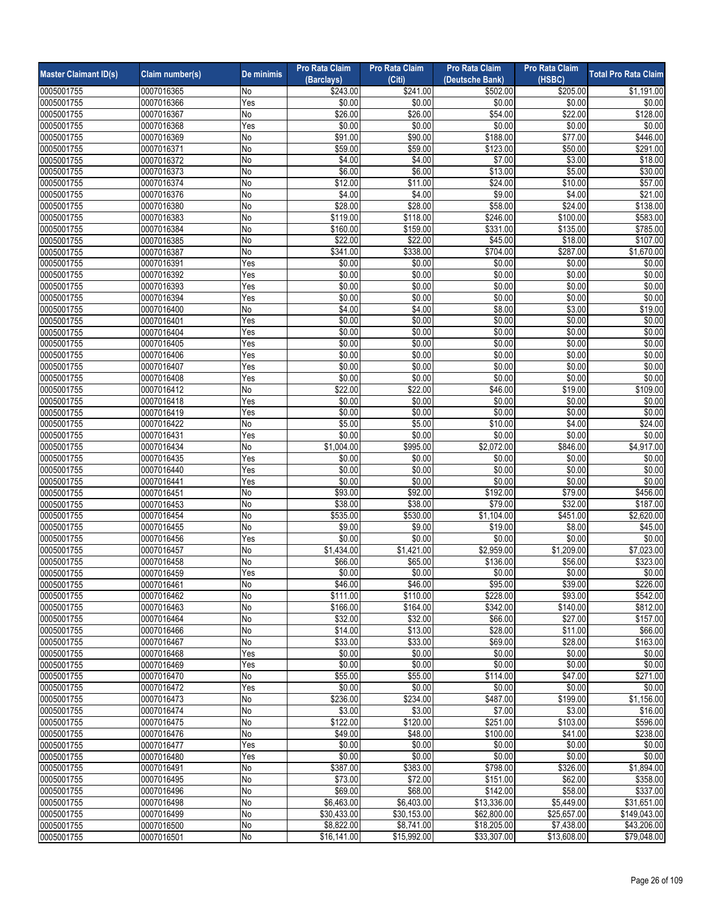| <b>Master Claimant ID(s)</b> | Claim number(s) | De minimis | <b>Pro Rata Claim</b> | Pro Rata Claim | Pro Rata Claim  | Pro Rata Claim | <b>Total Pro Rata Claim</b> |
|------------------------------|-----------------|------------|-----------------------|----------------|-----------------|----------------|-----------------------------|
|                              |                 |            | (Barclays)            | (Citi)         | (Deutsche Bank) | (HSBC)         |                             |
| 0005001755                   | 0007016365      | No         | \$243.00              | \$241.00       | \$502.00        | \$205.00       | \$1,191.00                  |
| 0005001755                   | 0007016366      | Yes        | \$0.00                | \$0.00         | \$0.00          | \$0.00         | \$0.00                      |
| 0005001755                   | 0007016367      | No         | \$26.00               | \$26.00        | \$54.00         | \$22.00        | \$128.00                    |
| 0005001755                   | 0007016368      | Yes        | \$0.00                | \$0.00         | \$0.00          | \$0.00         | \$0.00                      |
| 0005001755                   | 0007016369      | No         | \$91.00               | \$90.00        | \$188.00        | \$77.00        | \$446.00                    |
| 0005001755                   | 0007016371      | <b>No</b>  | \$59.00               | \$59.00        | \$123.00        | \$50.00        | \$291.00                    |
| 0005001755                   | 0007016372      | No         | \$4.00                | \$4.00         | \$7.00          | \$3.00         | \$18.00                     |
| 0005001755                   | 0007016373      | <b>No</b>  | \$6.00                | \$6.00         | \$13.00         | \$5.00         | \$30.00                     |
| 0005001755                   | 0007016374      | <b>No</b>  | \$12.00               | \$11.00        | \$24.00         | \$10.00        | \$57.00                     |
| 0005001755                   | 0007016376      | <b>No</b>  | \$4.00                | \$4.00         | \$9.00          | \$4.00         | \$21.00                     |
| 0005001755                   | 0007016380      | <b>No</b>  | \$28.00               | \$28.00        | \$58.00         | \$24.00        | \$138.00                    |
| 0005001755                   | 0007016383      | No         | \$119.00              | \$118.00       | \$246.00        | \$100.00       | \$583.00                    |
| 0005001755                   | 0007016384      | <b>No</b>  | \$160.00              | \$159.00       | \$331.00        | \$135.00       | \$785.00                    |
| 0005001755                   | 0007016385      | <b>No</b>  | \$22.00               | \$22.00        | \$45.00         | \$18.00        | \$107.00                    |
| 0005001755                   | 0007016387      | No         | \$341.00              | \$338.00       | \$704.00        | \$287.00       | \$1,670.00                  |
| 0005001755                   | 0007016391      | Yes        | \$0.00                | \$0.00         | \$0.00          | \$0.00         | \$0.00                      |
| 0005001755                   | 0007016392      | Yes        | \$0.00                | \$0.00         | \$0.00          | \$0.00         | \$0.00                      |
| 0005001755                   | 0007016393      | Yes        | \$0.00                | \$0.00         | \$0.00          | \$0.00         | \$0.00                      |
| 0005001755                   | 0007016394      | Yes        | \$0.00                | \$0.00         | \$0.00          | \$0.00         | \$0.00                      |
| 0005001755                   | 0007016400      | No         | \$4.00                | \$4.00         | \$8.00          | \$3.00         | \$19.00                     |
| 0005001755                   | 0007016401      | Yes        | \$0.00                | \$0.00         | \$0.00          | \$0.00         | \$0.00                      |
| 0005001755                   | 0007016404      | Yes        | \$0.00                | \$0.00         | \$0.00          | \$0.00         | \$0.00                      |
| 0005001755                   | 0007016405      | Yes        | \$0.00                | \$0.00         | \$0.00          | \$0.00         | \$0.00                      |
| 0005001755                   | 0007016406      | Yes        | \$0.00                | \$0.00         | \$0.00          | \$0.00         | \$0.00                      |
| 0005001755                   | 0007016407      | Yes        | \$0.00                | \$0.00         | \$0.00          | \$0.00         | \$0.00                      |
| 0005001755                   | 0007016408      | Yes        | \$0.00                | \$0.00         | \$0.00          | \$0.00         | \$0.00                      |
| 0005001755                   | 0007016412      | No         | \$22.00               | \$22.00        | \$46.00         | \$19.00        | \$109.00                    |
| 0005001755                   | 0007016418      | Yes        | \$0.00                | \$0.00         | \$0.00          | \$0.00         | \$0.00                      |
| 0005001755                   | 0007016419      | Yes        | \$0.00                | \$0.00         | \$0.00          | \$0.00         | \$0.00                      |
| 0005001755                   | 0007016422      | No         | \$5.00                | \$5.00         | \$10.00         | \$4.00         | \$24.00                     |
| 0005001755                   | 0007016431      | Yes        | \$0.00                | \$0.00         | \$0.00          | \$0.00         | \$0.00                      |
| 0005001755                   | 0007016434      | No         | \$1,004.00            | \$995.00       | \$2,072.00      | \$846.00       | \$4,917.00                  |
| 0005001755                   | 0007016435      | Yes        | \$0.00                | \$0.00         | \$0.00          | \$0.00         | \$0.00                      |
| 0005001755                   | 0007016440      | Yes        | \$0.00                | \$0.00         | \$0.00          | \$0.00         | \$0.00                      |
| 0005001755                   | 0007016441      | Yes        | \$0.00                | \$0.00         | \$0.00          | \$0.00         | \$0.00                      |
| 0005001755                   | 0007016451      | No         | \$93.00               | \$92.00        | \$192.00        | \$79.00        | \$456.00                    |
| 0005001755                   | 0007016453      | No         | \$38.00               | \$38.00        | \$79.00         | \$32.00        | \$187.00                    |
| 0005001755                   | 0007016454      | No         | \$535.00              | \$530.00       | \$1,104.00      | \$451.00       | \$2,620.00                  |
| 0005001755                   | 0007016455      | No         | \$9.00                | \$9.00         | \$19.00         | \$8.00         | \$45.00                     |
| 0005001755                   | 0007016456      | Yes        | \$0.00                | \$0.00         | \$0.00          | \$0.00         | \$0.00                      |
| 0005001755                   | 0007016457      | No         | \$1,434.00            | \$1,421.00     | \$2,959.00      | \$1,209.00     | \$7,023.00                  |
| 0005001755                   | 0007016458      | No         | \$66.00               | \$65.00        | \$136.00        | \$56.00        | \$323.00                    |
| 0005001755                   | 0007016459      | Yes        | \$0.00                | \$0.00         | \$0.00          | \$0.00         | \$0.00                      |
| 0005001755                   | 0007016461      | No         | \$46.00               | \$46.00        | \$95.00         | \$39.00        | \$226.00                    |
| 0005001755                   | 0007016462      | No         | \$111.00              | \$110.00       | \$228.00        | \$93.00        | \$542.00                    |
| 0005001755                   | 0007016463      | No         | \$166.00              | \$164.00       | \$342.00        | \$140.00       | \$812.00                    |
| 0005001755                   | 0007016464      | No         | \$32.00               | \$32.00        | \$66.00         | \$27.00        | \$157.00                    |
| 0005001755                   | 0007016466      | No         | \$14.00               | \$13.00        | \$28.00         | \$11.00        | \$66.00                     |
| 0005001755                   | 0007016467      | No         | \$33.00               | \$33.00        | \$69.00         | \$28.00        | \$163.00                    |
| 0005001755                   | 0007016468      | Yes        | \$0.00                | \$0.00         | \$0.00          | \$0.00         | \$0.00                      |
| 0005001755                   | 0007016469      | Yes        | \$0.00                | \$0.00         | \$0.00          | \$0.00         | \$0.00                      |
| 0005001755                   | 0007016470      | No         | \$55.00               | \$55.00        | \$114.00        | \$47.00        | \$271.00                    |
| 0005001755                   | 0007016472      | Yes        | \$0.00                | \$0.00         | \$0.00          | \$0.00         | \$0.00                      |
| 0005001755                   | 0007016473      | No         | \$236.00              | \$234.00       | \$487.00        | \$199.00       | \$1,156.00                  |
| 0005001755                   | 0007016474      | No         | \$3.00                | \$3.00         | \$7.00          | \$3.00         | \$16.00                     |
| 0005001755                   | 0007016475      | No         | \$122.00              | \$120.00       | \$251.00        | \$103.00       | \$596.00                    |
| 0005001755                   | 0007016476      | No         | \$49.00               | \$48.00        | \$100.00        | \$41.00        | \$238.00                    |
| 0005001755                   | 0007016477      | Yes        | \$0.00                | \$0.00         | \$0.00          | \$0.00         | \$0.00                      |
| 0005001755                   | 0007016480      | Yes        | \$0.00                | \$0.00         | \$0.00          | \$0.00         | \$0.00                      |
| 0005001755                   | 0007016491      | No         | \$387.00              | \$383.00       | \$798.00        | \$326.00       | \$1,894.00                  |
| 0005001755                   | 0007016495      | No         | \$73.00               | \$72.00        | \$151.00        | \$62.00        | \$358.00                    |
| 0005001755                   | 0007016496      | No         | \$69.00               | \$68.00        | \$142.00        | \$58.00        | \$337.00                    |
| 0005001755                   | 0007016498      | No         | \$6,463.00            | \$6,403.00     | \$13,336.00     | \$5,449.00     | \$31,651.00                 |
| 0005001755                   | 0007016499      | No         | \$30,433.00           | \$30,153.00    | \$62,800.00     | \$25,657.00    | \$149,043.00                |
| 0005001755                   | 0007016500      | No         | \$8,822.00            | \$8,741.00     | \$18,205.00     | \$7,438.00     | \$43,206.00                 |
| 0005001755                   | 0007016501      | No         | \$16,141.00           | \$15,992.00    | \$33,307.00     | \$13,608.00    | \$79,048.00                 |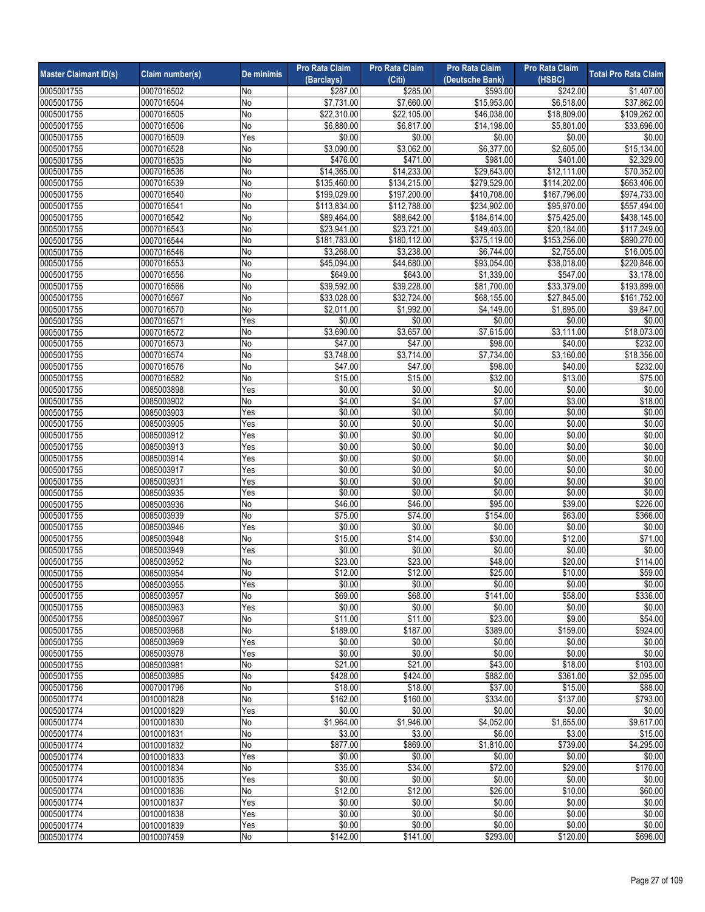| <b>Master Claimant ID(s)</b> | Claim number(s) | De minimis | <b>Pro Rata Claim</b> | <b>Pro Rata Claim</b> | Pro Rata Claim     | Pro Rata Claim          | Total Pro Rata Claim |
|------------------------------|-----------------|------------|-----------------------|-----------------------|--------------------|-------------------------|----------------------|
|                              |                 |            | (Barclays)            | (Citi)                | (Deutsche Bank)    | (HSBC)                  |                      |
| 0005001755                   | 0007016502      | No         | \$287.00              | \$285.00              | \$593.00           | \$242.00                | \$1,407.00           |
| 0005001755                   | 0007016504      | No         | \$7,731.00            | \$7,660.00            | \$15,953.00        | \$6,518.00              | \$37,862.00          |
| 0005001755                   | 0007016505      | No         | \$22,310.00           | \$22,105.00           | \$46,038.00        | \$18,809.00             | \$109,262.00         |
| 0005001755                   | 0007016506      | No         | \$6,880.00            | \$6,817.00            | \$14,198.00        | \$5,801.00              | \$33,696.00          |
| 0005001755                   | 0007016509      | Yes        | \$0.00                | \$0.00                | \$0.00             | \$0.00                  | \$0.00               |
| 0005001755                   | 0007016528      | No         | \$3,090.00            | \$3,062.00            | \$6,377.00         | \$2,605.00              | \$15,134.00          |
| 0005001755                   | 0007016535      | No         | \$476.00              | \$471.00              | \$981.00           | \$401.00                | \$2,329.00           |
| 0005001755                   | 0007016536      | No         | \$14,365.00           | \$14,233.00           | \$29,643.00        | \$12,111.00             | \$70,352.00          |
| 0005001755                   | 0007016539      | No         | \$135,460.00          | \$134,215.00          | \$279,529.00       | \$114,202.00            | \$663,406.00         |
| 0005001755                   | 0007016540      | No         | \$199,029.00          | \$197,200.00          | \$410,708.00       | \$167,796.00            | \$974,733.00         |
| 0005001755                   | 0007016541      | No         | \$113,834.00          | \$112,788.00          | \$234,902.00       | \$95,970.00             | \$557,494.00         |
| 0005001755                   | 0007016542      | No         | \$89,464.00           | \$88,642.00           | \$184,614.00       | \$75,425.00             | \$438,145.00         |
| 0005001755                   | 0007016543      | No         | \$23,941.00           | \$23,721.00           | \$49,403.00        | \$20,184.00             | \$117,249.00         |
| 0005001755                   | 0007016544      | No         | \$181,783.00          | \$180,112.00          | \$375,119.00       | \$153,256.00            | \$890,270.00         |
| 0005001755                   | 0007016546      | No         | \$3,268.00            | \$3,238.00            | \$6,744.00         | \$2,755.00              | \$16,005.00          |
| 0005001755                   | 0007016553      | No         | \$45,094.00           | \$44,680.00           | \$93,054.00        | \$38,018.00             | \$220,846.00         |
| 0005001755                   | 0007016556      | No         | \$649.00              | \$643.00              | \$1,339.00         | \$547.00                | \$3,178.00           |
| 0005001755                   | 0007016566      | No         | \$39,592.00           | \$39,228.00           | \$81,700.00        | \$33,379.00             | \$193,899.00         |
| 0005001755                   | 0007016567      | No         | \$33,028.00           | \$32,724.00           | \$68,155.00        | \$27,845.00             | \$161,752.00         |
| 0005001755                   | 0007016570      | No         | \$2.011.00            | \$1,992.00            | \$4,149.00         | \$1,695.00              | \$9,847.00           |
| 0005001755                   | 0007016571      | Yes        | \$0.00                | \$0.00                | \$0.00             | \$0.00                  | \$0.00               |
| 0005001755                   | 0007016572      | No         | \$3,690.00            | \$3,657.00            | \$7,615.00         | $\overline{\$3,111.00}$ | \$18,073.00          |
| 0005001755                   | 0007016573      | No         | \$47.00               | \$47.00               | \$98.00            | \$40.00                 | \$232.00             |
| 0005001755                   | 0007016574      | No         | \$3,748.00            | \$3,714.00            | $\sqrt{$7,734.00}$ | \$3,160.00              | \$18,356.00          |
| 0005001755                   | 0007016576      | No         | \$47.00               | \$47.00               | \$98.00            | \$40.00                 | \$232.00             |
| 0005001755                   | 0007016582      | <b>No</b>  | \$15.00               | \$15.00               | \$32.00            | \$13.00                 | \$75.00              |
| 0005001755                   | 0085003898      | Yes        | \$0.00                | \$0.00                | \$0.00             | \$0.00                  | \$0.00               |
| 0005001755                   | 0085003902      | No         | \$4.00                | \$4.00                | \$7.00             | \$3.00                  | \$18.00              |
| 0005001755                   | 0085003903      | Yes        | \$0.00                | \$0.00                | \$0.00             | \$0.00                  | \$0.00               |
| 0005001755                   | 0085003905      | Yes        | \$0.00                | \$0.00                | \$0.00             | \$0.00                  | \$0.00               |
| 0005001755                   | 0085003912      | Yes        | \$0.00                | \$0.00                | \$0.00             | \$0.00                  | \$0.00               |
| 0005001755                   | 0085003913      | Yes        | \$0.00                | \$0.00                | \$0.00             | \$0.00                  | \$0.00               |
| 0005001755                   | 0085003914      | Yes        | \$0.00                | \$0.00                | \$0.00             | \$0.00                  | \$0.00               |
| 0005001755                   | 0085003917      | Yes        | \$0.00                | \$0.00                | \$0.00             | \$0.00                  | \$0.00               |
| 0005001755                   | 0085003931      | Yes        | \$0.00                | \$0.00                | \$0.00             | \$0.00                  | \$0.00               |
| 0005001755                   | 0085003935      | Yes        | \$0.00                | \$0.00                | \$0.00             | \$0.00                  | \$0.00               |
| 0005001755                   | 0085003936      | No         | \$46.00               | \$46.00               | \$95.00            | \$39.00                 | \$226.00             |
| 0005001755                   | 0085003939      | No         | \$75.00               | \$74.00               | \$154.00           | \$63.00                 | \$366.00             |
| 0005001755                   | 0085003946      | Yes        | \$0.00                | \$0.00                | \$0.00             | \$0.00                  | \$0.00               |
| 0005001755                   | 0085003948      | No         | \$15.00               | \$14.00               | \$30.00            | \$12.00                 | \$71.00              |
| 0005001755                   | 0085003949      | Yes        | \$0.00                | \$0.00                | \$0.00             | \$0.00                  | \$0.00               |
| 0005001755                   | 0085003952      | No         | \$23.00               | \$23.00               | \$48.00            | \$20.00                 | \$114.00             |
| 0005001755                   | 0085003954      | No         | \$12.00               | \$12.00               | \$25.00            | \$10.00                 | \$59.00              |
| 0005001755                   | 0085003955      | Yes        | \$0.00                | \$0.00                | \$0.00             | \$0.00                  | \$0.00               |
| 0005001755                   | 0085003957      | No         | \$69.00               | \$68.00               | \$141.00           | \$58.00                 | \$336.00             |
| 0005001755                   | 0085003963      | Yes        | \$0.00                | \$0.00                | \$0.00             | \$0.00                  | \$0.00               |
| 0005001755                   | 0085003967      | No         | \$11.00               | \$11.00               | \$23.00            | \$9.00                  | \$54.00              |
| 0005001755                   | 0085003968      | No         | \$189.00              | \$187.00              | \$389.00           | \$159.00                | \$924.00             |
| 0005001755                   | 0085003969      | Yes        | \$0.00                | \$0.00                | \$0.00             | \$0.00                  | \$0.00               |
| 0005001755                   | 0085003978      | Yes        | \$0.00                | \$0.00                | \$0.00             | \$0.00                  | \$0.00               |
| 0005001755                   | 0085003981      | No         | \$21.00               | \$21.00               | \$43.00            | \$18.00                 | \$103.00             |
| 0005001755                   | 0085003985      | No         | \$428.00              | \$424.00              | \$882.00           | \$361.00                | \$2,095.00           |
| 0005001756                   | 0007001796      | No         | \$18.00               | \$18.00               | \$37.00            | \$15.00                 | \$88.00              |
| 0005001774                   | 0010001828      | No         | \$162.00              | \$160.00              | \$334.00           | \$137.00                | \$793.00             |
| 0005001774                   | 0010001829      | Yes        | \$0.00                | \$0.00                | \$0.00             | \$0.00                  | \$0.00               |
| 0005001774                   | 0010001830      | No         | \$1,964.00            | \$1,946.00            | \$4,052.00         | \$1,655.00              | \$9,617.00           |
| 0005001774                   | 0010001831      | No         | \$3.00                | \$3.00                | \$6.00             | \$3.00                  | \$15.00              |
| 0005001774                   | 0010001832      | No         | \$877.00              | \$869.00              | \$1,810.00         | \$739.00                | \$4,295.00           |
| 0005001774                   | 0010001833      | Yes        | \$0.00                | \$0.00                | \$0.00             | \$0.00                  | \$0.00               |
| 0005001774                   | 0010001834      | No         | \$35.00               | \$34.00               | \$72.00            | \$29.00                 | \$170.00             |
| 0005001774                   | 0010001835      | Yes        | \$0.00                | \$0.00                | \$0.00             | \$0.00                  | \$0.00               |
| 0005001774                   | 0010001836      | No         | \$12.00               | \$12.00               | \$26.00            | \$10.00                 | \$60.00              |
| 0005001774                   | 0010001837      | Yes        | \$0.00                | \$0.00                | \$0.00             | \$0.00                  | \$0.00               |
| 0005001774                   | 0010001838      | Yes        | \$0.00                | \$0.00                | \$0.00             | \$0.00                  | \$0.00               |
| 0005001774                   | 0010001839      | Yes        | \$0.00                | \$0.00                | \$0.00             | \$0.00                  | \$0.00               |
| 0005001774                   | 0010007459      | No         | \$142.00              | \$141.00              | \$293.00           | \$120.00                | \$696.00             |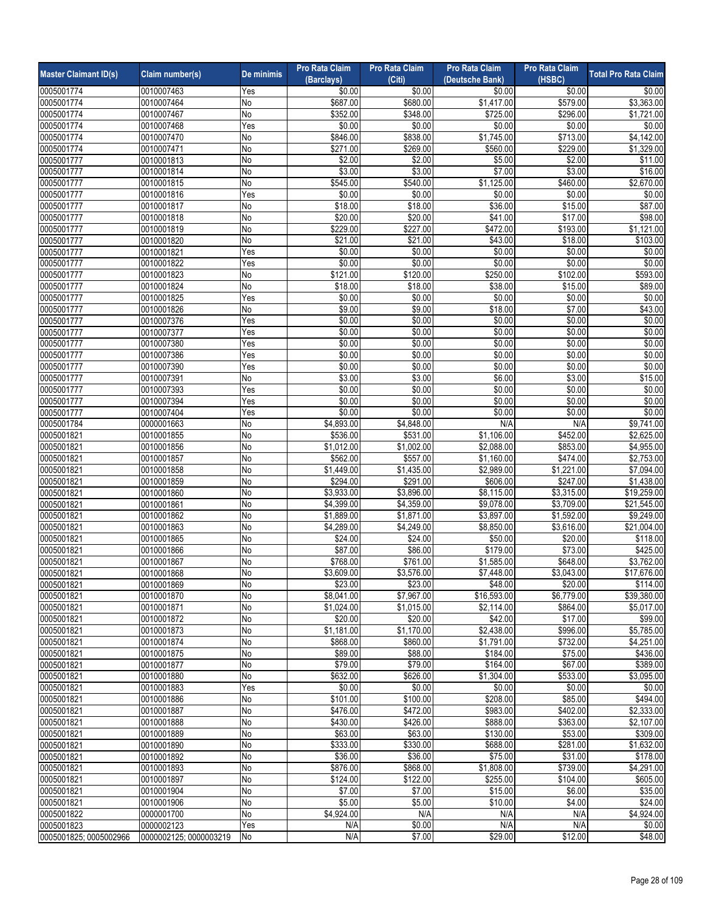| <b>Master Claimant ID(s)</b> | Claim number(s)        | De minimis | <b>Pro Rata Claim</b><br>(Barclays) | <b>Pro Rata Claim</b><br>(Citi) | Pro Rata Claim<br>(Deutsche Bank) | <b>Pro Rata Claim</b><br>(HSBC) | <b>Total Pro Rata Claim</b> |
|------------------------------|------------------------|------------|-------------------------------------|---------------------------------|-----------------------------------|---------------------------------|-----------------------------|
| 0005001774                   | 0010007463             | Yes        | \$0.00                              | \$0.00                          | \$0.00                            | \$0.00                          | \$0.00                      |
| 0005001774                   | 0010007464             | No         | \$687.00                            | \$680.00                        | \$1,417.00                        | \$579.00                        | \$3,363.00                  |
| 0005001774                   | 0010007467             | No         | \$352.00                            | \$348.00                        | \$725.00                          | \$296.00                        | \$1,721.00                  |
| 0005001774                   | 0010007468             | Yes        | \$0.00                              | \$0.00                          | \$0.00                            | \$0.00                          | \$0.00                      |
| 0005001774                   | 0010007470             | No         | \$846.00                            | \$838.00                        | \$1,745.00                        | \$713.00                        | \$4,142.00                  |
| 0005001774                   | 0010007471             | No         | \$271.00                            | \$269.00                        | \$560.00                          | \$229.00                        | \$1,329.00                  |
| 0005001777                   | 0010001813             | No         | \$2.00                              | \$2.00                          | \$5.00                            | \$2.00                          | \$11.00                     |
| 0005001777                   | 0010001814             | No         | \$3.00                              | \$3.00                          | \$7.00                            | \$3.00                          | \$16.00                     |
| 0005001777                   | 0010001815             | No         | \$545.00                            | \$540.00                        | \$1,125.00                        | \$460.00                        | \$2,670.00                  |
| 0005001777                   | 0010001816             | Yes        | \$0.00                              | \$0.00                          | \$0.00                            | \$0.00                          | \$0.00                      |
| 0005001777                   | 0010001817             | No         | \$18.00                             | \$18.00                         | \$36.00                           | \$15.00                         | \$87.00                     |
| 0005001777                   | 0010001818             | No         | \$20.00                             | \$20.00                         | \$41.00                           | \$17.00                         | \$98.00                     |
| 0005001777                   | 0010001819             | No         | \$229.00                            | \$227.00                        | \$472.00                          | \$193.00                        | \$1,121.00                  |
| 0005001777                   | 0010001820             | No         | \$21.00                             | \$21.00                         | \$43.00                           | \$18.00                         | \$103.00                    |
| 0005001777                   | 0010001821             | Yes        | \$0.00                              | \$0.00                          | \$0.00                            | \$0.00                          | \$0.00                      |
| 0005001777                   | 0010001822             | Yes        | \$0.00                              | \$0.00                          | \$0.00                            | \$0.00                          | \$0.00                      |
| 0005001777                   | 0010001823             | No         | \$121.00                            | \$120.00                        | \$250.00                          | \$102.00                        | \$593.00                    |
| 0005001777                   | 0010001824             | No         | \$18.00                             | \$18.00                         | \$38.00                           | \$15.00                         | \$89.00                     |
| 0005001777                   | 0010001825             | Yes        | \$0.00                              | \$0.00                          | \$0.00                            | \$0.00                          | \$0.00                      |
| 0005001777                   | 0010001826             | No         | \$9.00                              | \$9.00                          | \$18.00                           | \$7.00                          | \$43.00                     |
| 0005001777                   | 0010007376             | Yes        | \$0.00                              | \$0.00                          | \$0.00                            | \$0.00                          | \$0.00                      |
| 0005001777                   | 0010007377             | Yes        | \$0.00                              | \$0.00                          | \$0.00                            | \$0.00                          | \$0.00                      |
| 0005001777                   | 0010007380             | Yes        | \$0.00                              | \$0.00                          | \$0.00                            | \$0.00                          | \$0.00                      |
| 0005001777                   | 0010007386             | Yes        | \$0.00                              | \$0.00                          | \$0.00                            | \$0.00                          | \$0.00                      |
| 0005001777                   | 0010007390             | Yes        | \$0.00                              | \$0.00                          | \$0.00                            | \$0.00                          | \$0.00                      |
| 0005001777                   | 0010007391             | No         | \$3.00                              | \$3.00                          | \$6.00                            | \$3.00                          | \$15.00                     |
| 0005001777                   | 0010007393             | Yes        | \$0.00                              | \$0.00                          | \$0.00                            | \$0.00                          | \$0.00                      |
| 0005001777                   | 0010007394             | Yes        | \$0.00                              | \$0.00                          | \$0.00                            | \$0.00                          | \$0.00                      |
| 0005001777                   | 0010007404             | Yes        | \$0.00                              | \$0.00                          | \$0.00                            | \$0.00                          | \$0.00                      |
| 0005001784                   | 0000001663             | No         | \$4,893.00                          | \$4,848.00                      | N/A                               | N/A                             | \$9,741.00                  |
| 0005001821                   | 0010001855             | No         | \$536.00                            | \$531.00                        | \$1,106.00                        | \$452.00                        | \$2,625.00                  |
| 0005001821                   | 0010001856             | No         | \$1,012.00                          | \$1,002.00                      | \$2,088.00                        | \$853.00                        | \$4,955.00                  |
| 0005001821                   | 0010001857             | No         | \$562.00                            | \$557.00                        | \$1,160.00                        | \$474.00                        | \$2,753.00                  |
| 0005001821                   | 0010001858             | No         | \$1,449.00                          | \$1,435.00                      | \$2,989.00                        | \$1,221.00                      | \$7,094.00                  |
| 0005001821                   | 0010001859             | No         | \$294.00                            | \$291.00                        | \$606.00                          | \$247.00                        | \$1,438.00                  |
| 0005001821                   | 0010001860             | No         | \$3,933.00                          | \$3,896.00                      | \$8,115.00                        | \$3,315.00                      | \$19,259.00                 |
| 0005001821                   | 0010001861             | No         | \$4,399.00                          | \$4,359.00                      | \$9,078.00                        | \$3,709.00                      | \$21,545.00                 |
| 0005001821                   | 0010001862             | No         | \$1,889.00                          | \$1,871.00                      | \$3,897.00                        | \$1,592.00                      | \$9,249.00                  |
| 0005001821                   | 0010001863             | No         | \$4,289.00                          | \$4,249.00                      | \$8,850.00                        | \$3,616.00                      | \$21,004.00                 |
| 0005001821                   | 0010001865             | No         | \$24.00                             | \$24.00                         | \$50.00                           | \$20.00                         | \$118.00                    |
| 0005001821                   | 0010001866             | No         | \$87.00                             | \$86.00                         | \$179.00                          | \$73.00                         | \$425.00                    |
| 0005001821                   | 0010001867             | No         | \$768.00                            | \$761.00                        | \$1,585.00                        | \$648.00                        | \$3,762.00                  |
| 0005001821                   | 0010001868             | No         | \$3,609.00                          | \$3,576.00                      | \$7,448.00                        | \$3,043.00                      | \$17,676.00                 |
| 0005001821                   | 0010001869             | No         | \$23.00                             | \$23.00                         | \$48.00                           | \$20.00                         | \$114.00                    |
| 0005001821                   | 0010001870             | No         | \$8,041.00                          | \$7,967.00                      | \$16,593.00                       | \$6,779.00                      | \$39,380.00                 |
| 0005001821                   | 0010001871             | No         | \$1.024.00                          | \$1,015.00                      | \$2.114.00                        | \$864.00                        | \$5,017.00                  |
| 0005001821                   | 0010001872             | No         | \$20.00                             | \$20.00                         | \$42.00                           | \$17.00                         | \$99.00                     |
| 0005001821                   | 0010001873             | No         | \$1,181.00                          | \$1,170.00                      | \$2,438.00                        | \$996.00                        | \$5,785.00                  |
| 0005001821                   | 0010001874             | No         | \$868.00                            | \$860.00                        | \$1,791.00                        | \$732.00                        | $\overline{$4,251.00}$      |
| 0005001821                   | 0010001875             | No         | \$89.00                             | \$88.00                         | \$184.00                          | \$75.00                         | \$436.00                    |
| 0005001821                   | 0010001877             | No         | \$79.00                             | \$79.00                         | \$164.00                          | \$67.00                         | \$389.00                    |
| 0005001821                   | 0010001880             | No         | \$632.00                            | \$626.00                        | \$1,304.00                        | \$533.00                        | \$3,095.00                  |
| 0005001821                   | 0010001883             | Yes        | \$0.00                              | \$0.00                          | \$0.00                            | \$0.00                          | \$0.00                      |
| 0005001821                   | 0010001886             | No         | \$101.00                            | \$100.00                        | \$208.00                          | \$85.00                         | \$494.00                    |
| 0005001821                   | 0010001887             | No         | \$476.00                            | \$472.00                        | \$983.00                          | \$402.00                        | \$2,333.00                  |
| 0005001821                   | 0010001888             | No         | \$430.00                            | \$426.00                        | \$888.00                          | \$363.00                        | \$2,107.00                  |
| 0005001821                   | 0010001889             | No         | \$63.00                             | \$63.00                         | \$130.00                          | \$53.00                         | \$309.00                    |
| 0005001821                   | 0010001890             | No         | \$333.00                            | \$330.00                        | \$688.00                          | \$281.00                        | \$1,632.00                  |
| 0005001821                   | 0010001892             | No         | \$36.00                             | \$36.00                         | \$75.00                           | \$31.00                         | \$178.00                    |
| 0005001821                   | 0010001893             | No         | \$876.00                            | \$868.00                        | \$1,808.00                        | \$739.00                        | \$4,291.00                  |
| 0005001821                   | 0010001897             | No         | \$124.00                            | \$122.00                        | \$255.00                          | \$104.00                        | \$605.00                    |
| 0005001821                   | 0010001904             | No         | \$7.00                              | \$7.00                          | \$15.00                           | \$6.00                          | \$35.00                     |
| 0005001821                   | 0010001906             | No         | \$5.00                              | \$5.00                          | \$10.00                           | \$4.00                          | \$24.00                     |
| 0005001822                   | 0000001700             | No         | \$4,924.00                          | N/A                             | N/A                               | N/A                             | \$4,924.00                  |
| 0005001823                   | 0000002123             | Yes        | N/A                                 | \$0.00                          | N/A                               | N/A                             | \$0.00                      |
| 0005001825; 0005002966       | 0000002125; 0000003219 | No         | N/A                                 | \$7.00                          | \$29.00                           | \$12.00                         | \$48.00                     |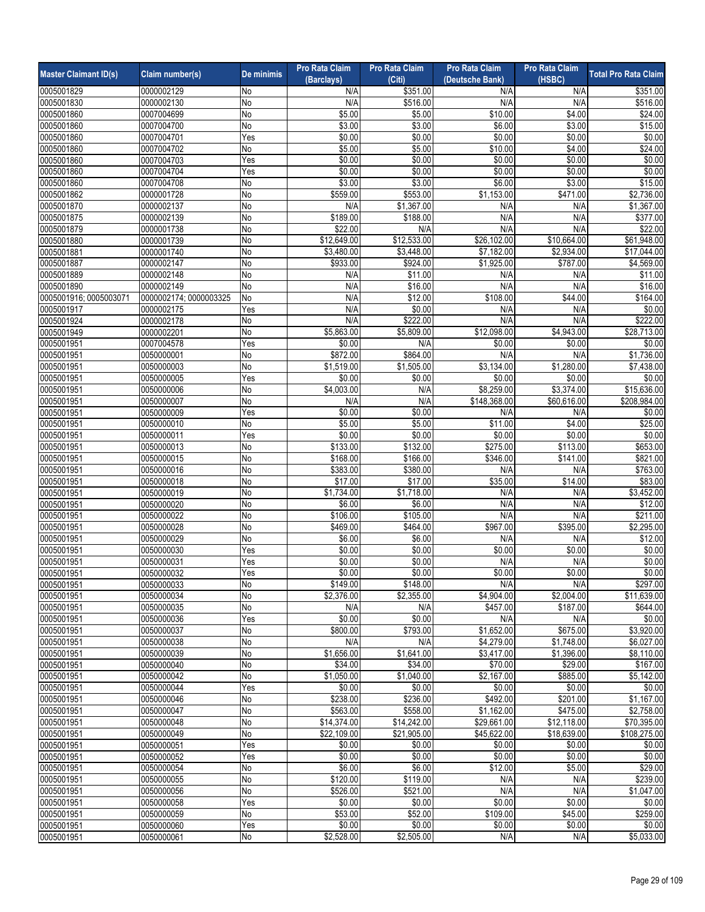| <b>Master Claimant ID(s)</b> | Claim number(s)          | De minimis | Pro Rata Claim<br>(Barclays) | Pro Rata Claim<br>(C <sub>it</sub> ) | <b>Pro Rata Claim</b><br>(Deutsche Bank) | Pro Rata Claim<br>(HSBC) | <b>Total Pro Rata Claim</b> |
|------------------------------|--------------------------|------------|------------------------------|--------------------------------------|------------------------------------------|--------------------------|-----------------------------|
| 0005001829                   | 0000002129               | No         | N/A                          | \$351.00                             | N/A                                      | N/A                      | \$351.00                    |
| 0005001830                   | 0000002130               | No         | N/A                          | \$516.00                             | N/A                                      | N/A                      | \$516.00                    |
| 0005001860                   | 0007004699               | No         | \$5.00                       | \$5.00                               | \$10.00                                  | \$4.00                   | \$24.00                     |
| 0005001860                   | 0007004700               | No         | \$3.00                       | \$3.00                               | \$6.00                                   | \$3.00                   | \$15.00                     |
| 0005001860                   | 0007004701               | Yes        | \$0.00                       | \$0.00                               | \$0.00                                   | \$0.00                   | \$0.00                      |
| 0005001860                   | 0007004702               | No         | \$5.00                       | \$5.00                               | \$10.00                                  | \$4.00                   | \$24.00                     |
| 0005001860                   | 0007004703               | Yes        | \$0.00                       | \$0.00                               | \$0.00                                   | \$0.00                   | \$0.00                      |
| 0005001860                   | 0007004704               | Yes        | \$0.00                       | \$0.00                               | \$0.00                                   | \$0.00                   | \$0.00                      |
| 0005001860                   | 0007004708               | No         | \$3.00                       | \$3.00                               | \$6.00                                   | \$3.00                   | \$15.00                     |
| 0005001862                   | 0000001728               | No         | \$559.00                     | \$553.00                             | \$1,153.00                               | \$471.00                 | \$2,736.00                  |
| 0005001870                   | 0000002137               | No         | N/A                          | \$1,367.00                           | N/A                                      | N/A                      | \$1,367.00                  |
| 0005001875                   | 0000002139               | No         | \$189.00                     | \$188.00                             | N/A                                      | N/A                      | \$377.00                    |
| 0005001879                   | 0000001738               | No         | \$22.00                      | N/A                                  | N/A                                      | N/A                      | \$22.00                     |
| 0005001880                   | 0000001739               | No         | \$12,649.00                  | \$12,533.00                          | \$26,102.00                              | \$10,664.00              | \$61,948.00                 |
| 0005001881                   | 0000001740               | No         | \$3,480.00                   | \$3,448.00                           | \$7,182.00                               | \$2,934.00               | \$17,044.00                 |
| 0005001887                   | 0000002147               | No         | \$933.00                     | \$924.00                             | \$1,925.00                               | \$787.00                 | \$4,569.00                  |
| 0005001889                   | 0000002148               | <b>No</b>  | N/A                          | \$11.00                              | N/A                                      | N/A                      | \$11.00                     |
| 0005001890                   | 0000002149               | No         | N/A                          | \$16.00                              | N/A                                      | N/A                      | \$16.00                     |
| 0005001916; 0005003071       | 0000002174; 0000003325   | No         | N/A                          | \$12.00                              | \$108.00                                 | \$44.00                  | \$164.00                    |
| 0005001917                   | 0000002175               | Yes        | N/A                          | \$0.00                               | N/A                                      | N/A                      | \$0.00                      |
| 0005001924                   | 0000002178               | No         | N/A                          | \$222.00                             | N/A                                      | N/A                      | \$222.00                    |
| 0005001949                   | 0000002201               | No         | \$5,863.00                   | \$5,809.00                           | \$12,098.00                              | \$4,943.00               | \$28,713.00                 |
| 0005001951                   | 0007004578               | Yes        | \$0.00                       | N/A                                  | \$0.00                                   | \$0.00                   | \$0.00                      |
| 0005001951                   | 0050000001               | No         | \$872.00                     | \$864.00                             | N/A                                      | N/A                      | \$1,736.00                  |
| 0005001951                   | 0050000003               | No         | \$1,519.00                   | \$1,505.00                           | \$3,134.00                               | \$1,280.00               | \$7,438.00                  |
| 0005001951                   | 0050000005               | Yes        | \$0.00                       | \$0.00                               | \$0.00                                   | \$0.00                   | \$0.00                      |
| 0005001951                   | 0050000006               | No         | \$4,003.00                   | N/A                                  | \$8,259.00                               | \$3,374.00               | \$15,636.00                 |
| 0005001951                   | 0050000007               | No         | N/A                          | N/A                                  | \$148,368.00                             | \$60,616.00              | \$208,984.00                |
| 0005001951                   | 0050000009               | Yes        | \$0.00                       | \$0.00                               | N/A                                      | N/A                      | \$0.00                      |
| 0005001951                   | 0050000010               | No         | \$5.00                       | \$5.00                               | \$11.00                                  | \$4.00                   | \$25.00                     |
| 0005001951                   | 0050000011               | Yes        | \$0.00                       | \$0.00                               | \$0.00                                   | \$0.00                   | \$0.00                      |
| 0005001951                   | 0050000013               | No         | \$133.00                     | \$132.00                             | \$275.00                                 | \$113.00                 | \$653.00                    |
| 0005001951                   | 0050000015               | No         | \$168.00                     | \$166.00                             | \$346.00                                 | \$141.00                 | \$821.00                    |
| 0005001951                   | 0050000016               | No         | \$383.00                     | \$380.00                             | N/A                                      | N/A                      | \$763.00                    |
| 0005001951                   | 0050000018               | No         | \$17.00                      | \$17.00                              | \$35.00                                  | \$14.00                  | \$83.00                     |
| 0005001951                   | 0050000019               | No         | \$1,734.00                   | \$1,718.00                           | N/A                                      | N/A                      | \$3,452.00                  |
| 0005001951<br>0005001951     | 0050000020               | No         | \$6.00                       | \$6.00                               | N/A                                      | N/A                      | \$12.00                     |
|                              | 0050000022<br>0050000028 | No         | \$106.00<br>\$469.00         | \$105.00<br>\$464.00                 | N/A<br>\$967.00                          | N/A<br>\$395.00          | \$211.00                    |
| 0005001951                   | 0050000029               | No<br>No   | \$6.00                       | \$6.00                               | N/A                                      | N/A                      | \$2,295.00                  |
| 0005001951<br>0005001951     | 0050000030               | Yes        | \$0.00                       | \$0.00                               | \$0.00                                   | \$0.00                   | \$12.00<br>\$0.00           |
| 0005001951                   | 0050000031               | Yes        | \$0.00                       | \$0.00                               | N/A                                      | N/A                      | \$0.00                      |
| 0005001951                   | 0050000032               | Yes        | \$0.00                       | \$0.00                               | \$0.00                                   | \$0.00                   | \$0.00                      |
| 0005001951                   | 0050000033               | No         | \$149.00                     | \$148.00                             | N/AI                                     | N/A                      | \$297.00                    |
| 0005001951                   | 0050000034               | <b>No</b>  | \$2,376.00                   | \$2,355.00                           | \$4,904.00                               | \$2,004.00               | \$11,639.00                 |
| 0005001951                   | 0050000035               | No         | N/A                          | N/A                                  | \$457.00                                 | \$187.00                 | \$644.00                    |
| 0005001951                   | 0050000036               | Yes        | \$0.00                       | \$0.00                               | N/A                                      | N/A                      | \$0.00                      |
| 0005001951                   | 0050000037               | No         | \$800.00                     | \$793.00                             | \$1,652.00                               | \$675.00                 | \$3,920.00                  |
| 0005001951                   | 0050000038               | No         | N/A                          | N/A                                  | \$4,279.00                               | \$1,748.00               | \$6.027.00                  |
| 0005001951                   | 0050000039               | No         | \$1,656.00                   | \$1,641.00                           | \$3.417.00                               | \$1,396.00               | \$8.110.00                  |
| 0005001951                   | 0050000040               | No         | \$34.00                      | \$34.00                              | \$70.00                                  | \$29.00                  | \$167.00                    |
| 0005001951                   | 0050000042               | No         | \$1,050.00                   | \$1.040.00                           | \$2,167.00                               | \$885.00                 | \$5,142.00                  |
| 0005001951                   | 0050000044               | Yes        | \$0.00                       | \$0.00                               | \$0.00                                   | \$0.00                   | \$0.00                      |
| 0005001951                   | 0050000046               | No         | \$238.00                     | \$236.00                             | \$492.00                                 | \$201.00                 | \$1,167.00                  |
| 0005001951                   | 0050000047               | No         | \$563.00                     | \$558.00                             | \$1,162.00                               | \$475.00                 | \$2,758.00                  |
| 0005001951                   | 0050000048               | No         | \$14,374.00                  | \$14,242.00                          | \$29,661.00                              | \$12.118.00              | \$70.395.00                 |
| 0005001951                   | 0050000049               | No         | \$22,109.00                  | \$21,905.00                          | \$45,622.00                              | \$18,639.00              | \$108,275.00                |
| 0005001951                   | 0050000051               | Yes        | \$0.00                       | \$0.00                               | \$0.00                                   | \$0.00                   | \$0.00                      |
| 0005001951                   | 0050000052               | Yes        | \$0.00                       | \$0.00                               | \$0.00                                   | \$0.00                   | \$0.00                      |
| 0005001951                   | 0050000054               | No         | \$6.00                       | \$6.00                               | \$12.00                                  | \$5.00                   | \$29.00                     |
| 0005001951                   | 0050000055               | No         | \$120.00                     | \$119.00                             | N/A                                      | N/A                      | \$239.00                    |
| 0005001951                   | 0050000056               | No         | \$526.00                     | \$521.00                             | N/A                                      | N/A                      | \$1,047.00                  |
| 0005001951                   | 0050000058               | Yes        | \$0.00                       | \$0.00                               | \$0.00                                   | \$0.00                   | \$0.00                      |
| 0005001951                   | 0050000059               | No         | \$53.00                      | \$52.00                              | \$109.00                                 | \$45.00                  | \$259.00                    |
| 0005001951                   | 0050000060               | Yes        | \$0.00                       | \$0.00                               | \$0.00                                   | \$0.00                   | \$0.00                      |
| 0005001951                   | 0050000061               | No         | \$2,528.00                   | \$2,505.00                           | N/A                                      | N/A                      | \$5,033.00                  |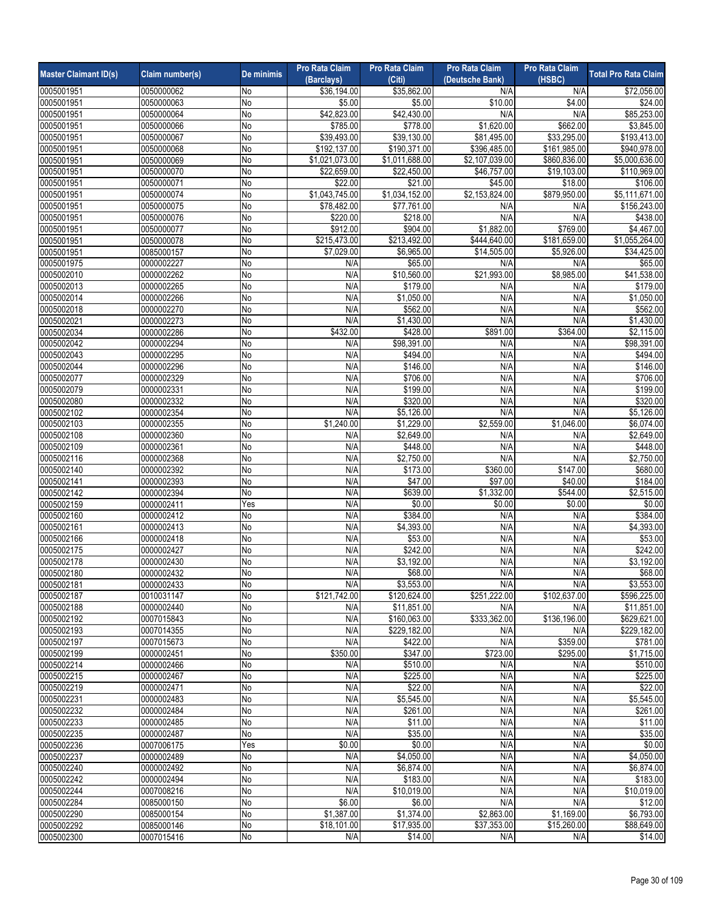| <b>Master Claimant ID(s)</b> | Claim number(s)          | De minimis | Pro Rata Claim             | <b>Pro Rata Claim</b>    | Pro Rata Claim             | <b>Pro Rata Claim</b>    | Total Pro Rata Claim         |
|------------------------------|--------------------------|------------|----------------------------|--------------------------|----------------------------|--------------------------|------------------------------|
|                              |                          |            | (Barclays)                 | (Citi)                   | (Deutsche Bank)            | (HSBC)                   |                              |
| 0005001951                   | 0050000062               | No         | \$36,194.00                | \$35,862.00              | N/A                        | N/A                      | \$72,056.00                  |
| 0005001951                   | 0050000063               | No         | \$5.00                     | \$5.00                   | \$10.00                    | \$4.00                   | \$24.00                      |
| 0005001951                   | 0050000064               | No         | \$42,823.00                | \$42,430.00              | N/A                        | N/A                      | \$85,253.00                  |
| 0005001951                   | 0050000066               | No         | \$785.00                   | \$778.00                 | \$1,620.00                 | \$662.00                 | \$3,845.00                   |
| 0005001951                   | 0050000067               | No         | \$39,493.00                | \$39,130.00              | \$81,495.00                | \$33,295.00              | \$193,413.00                 |
| 0005001951                   | 0050000068               | No         | \$192,137.00               | \$190,371.00             | \$396,485.00               | \$161,985.00             | \$940,978.00                 |
| 0005001951                   | 0050000069               | No         | \$1,021,073.00             | \$1,011,688.00           | \$2,107,039.00             | \$860,836.00             | \$5,000,636.00               |
| 0005001951                   | 0050000070               | No         | \$22,659.00<br>\$22.00     | \$22,450.00              | \$46,757.00                | \$19,103.00              | \$110,969.00                 |
| 0005001951                   | 0050000071               | No         |                            | \$21.00                  | \$45.00                    | \$18.00                  | \$106.00                     |
| 0005001951                   | 0050000074               | No         | \$1,043,745.00             | \$1,034,152.00           | \$2,153,824.00             | \$879,950.00             | \$5,111,671.00               |
| 0005001951                   | 0050000075               | No         | \$78,482.00<br>\$220.00    | \$77,761.00              | N/A<br>N/A                 | N/A                      | \$156,243.00                 |
| 0005001951                   | 0050000076               | No         |                            | \$218.00                 |                            | N/A                      | \$438.00                     |
| 0005001951                   | 0050000077               | No<br>No   | \$912.00                   | \$904.00<br>\$213,492.00 | \$1,882.00<br>\$444,640.00 | \$769.00<br>\$181,659.00 | \$4,467.00<br>\$1,055,264.00 |
| 0005001951<br>0005001951     | 0050000078<br>0085000157 | No         | \$215,473.00<br>\$7,029.00 | \$6,965.00               | \$14,505.00                | \$5,926.00               | \$34,425.00                  |
|                              |                          |            |                            |                          |                            |                          |                              |
| 0005001975<br>0005002010     | 0000002227<br>0000002262 | No<br>No   | N/A<br>N/A                 | \$65.00<br>\$10,560.00   | N/A<br>\$21,993.00         | N/A<br>\$8,985.00        | \$65.00<br>\$41,538.00       |
| 0005002013                   | 0000002265               | No         | N/A                        | \$179.00                 | N/A                        |                          | \$179.00                     |
|                              |                          | No         | N/A                        | \$1,050.00               | N/A                        | N/A<br>N/A               | \$1,050.00                   |
| 0005002014<br>0005002018     | 0000002266<br>0000002270 | No         | N/A                        | \$562.00                 | N/A                        | N/A                      | \$562.00                     |
| 0005002021                   | 0000002273               | No         | N/A                        | \$1,430.00               | N/A                        | N/A                      | \$1,430.00                   |
|                              |                          | No         | \$432.00                   | \$428.00                 |                            |                          | \$2,115.00                   |
| 0005002034<br>0005002042     | 0000002286<br>0000002294 | No         | N/A                        | \$98,391.00              | \$891.00<br>N/A            | \$364.00<br>N/A          | \$98,391.00                  |
| 0005002043                   | 0000002295               | No         | N/A                        | \$494.00                 | N/A                        | N/A                      | \$494.00                     |
| 0005002044                   | 0000002296               | No         | N/A                        | \$146.00                 | N/A                        | N/A                      | \$146.00                     |
| 0005002077                   | 0000002329               | No         | N/A                        | \$706.00                 | N/A                        | N/A                      | \$706.00                     |
| 0005002079                   | 0000002331               | No         | N/A                        | \$199.00                 | N/A                        | N/A                      | \$199.00                     |
| 0005002080                   |                          | No         | N/A                        | \$320.00                 | N/A                        | N/A                      | \$320.00                     |
| 0005002102                   | 0000002332<br>0000002354 | No         | N/A                        | \$5,126.00               | N/A                        | N/A                      | \$5,126.00                   |
| 0005002103                   | 0000002355               | No         | \$1,240.00                 | \$1,229.00               | \$2,559.00                 | \$1,046.00               | \$6,074.00                   |
| 0005002108                   | 0000002360               | No         | N/A                        | \$2,649.00               | N/A                        | N/A                      | \$2,649.00                   |
| 0005002109                   | 0000002361               | No         | N/A                        | \$448.00                 | N/A                        | N/A                      | \$448.00                     |
| 0005002116                   | 0000002368               | No         | N/A                        | \$2,750.00               | N/A                        | N/A                      | \$2,750.00                   |
| 0005002140                   | 0000002392               | No         | N/A                        | \$173.00                 | \$360.00                   | \$147.00                 | \$680.00                     |
| 0005002141                   | 0000002393               | No         | N/A                        | \$47.00                  | \$97.00                    | \$40.00                  | \$184.00                     |
| 0005002142                   | 0000002394               | No         | N/A                        | \$639.00                 | \$1,332.00                 | \$544.00                 | \$2,515.00                   |
| 0005002159                   | 0000002411               | Yes        | N/A                        | \$0.00                   | \$0.00                     | \$0.00                   | \$0.00                       |
| 0005002160                   | 0000002412               | No         | N/A                        | \$384.00                 | N/A                        | N/A                      | \$384.00                     |
| 0005002161                   | 0000002413               | No         | N/A                        | \$4,393.00               | N/A                        | N/A                      | \$4,393.00                   |
| 0005002166                   | 0000002418               | No         | N/A                        | \$53.00                  | N/A                        | N/A                      | \$53.00                      |
| 0005002175                   | 0000002427               | No         | N/A                        | \$242.00                 | N/A                        | N/A                      | \$242.00                     |
| 0005002178                   | 0000002430               | No         | N/A                        | \$3,192.00               | N/A                        | N/A                      | \$3,192.00                   |
| 0005002180                   | 0000002432               | No         | N/A                        | \$68.00                  | N/A                        | N/A                      | \$68.00                      |
| 0005002181                   | 0000002433               | No         | N/A                        | \$3,553.00               | N/A                        | N/A                      | \$3,553.00                   |
| 0005002187                   | 0010031147               | No         | \$121,742.00               | \$120,624.00             | \$251,222.00               | \$102.637.00             | \$596.225.00                 |
| 0005002188                   | 0000002440               | No         | N/A                        | \$11,851.00              | N/A                        | N/A                      | \$11,851.00                  |
| 0005002192                   | 0007015843               | No         | N/A                        | \$160,063.00             | \$333,362.00               | \$136,196.00             | \$629,621.00                 |
| 0005002193                   | 0007014355               | No         | N/A                        | \$229,182.00             | N/A                        | N/A                      | \$229,182.00                 |
| 0005002197                   | 0007015673               | No         | N/A                        | \$422.00                 | N/A                        | \$359.00                 | \$781.00                     |
| 0005002199                   | 0000002451               | No         | \$350.00                   | \$347.00                 | \$723.00                   | \$295.00                 | \$1,715.00                   |
| 0005002214                   | 0000002466               | No         | N/A                        | \$510.00                 | N/A                        | N/A                      | \$510.00                     |
| 0005002215                   | 0000002467               | No         | N/A                        | \$225.00                 | N/A                        | N/A                      | \$225.00                     |
| 0005002219                   | 0000002471               | No         | N/A                        | \$22.00                  | N/A                        | N/A                      | \$22.00                      |
| 0005002231                   | 0000002483               | No         | N/A                        | \$5,545.00               | N/A                        | N/A                      | \$5,545.00                   |
| 0005002232                   | 0000002484               | No         | N/A                        | \$261.00                 | N/A                        | N/A                      | \$261.00                     |
| 0005002233                   | 0000002485               | No         | N/A                        | \$11.00                  | N/A                        | N/A                      | \$11.00                      |
| 0005002235                   | 0000002487               | No         | N/A                        | \$35.00                  | N/A                        | N/A                      | \$35.00                      |
| 0005002236                   | 0007006175               | Yes        | \$0.00                     | \$0.00                   | N/A                        | N/A                      | \$0.00                       |
| 0005002237                   | 0000002489               | No         | N/A                        | \$4,050.00               | N/A                        | N/A                      | \$4,050.00                   |
| 0005002240                   | 0000002492               | No         | N/A                        | \$6,874.00               | N/A                        | N/A                      | \$6,874.00                   |
| 0005002242                   | 0000002494               | No         | N/A                        | \$183.00                 | N/A                        | N/A                      | \$183.00                     |
| 0005002244                   | 0007008216               | No         | N/A                        | \$10,019.00              | N/A                        | N/A                      | \$10,019.00                  |
| 0005002284                   | 0085000150               | No         | \$6.00                     | \$6.00                   | N/A                        | N/A                      | \$12.00                      |
| 0005002290                   | 0085000154               | No         | \$1,387.00                 | \$1,374.00               | \$2,863.00                 | \$1,169.00               | \$6,793.00                   |
| 0005002292                   | 0085000146               | No         | \$18,101.00                | \$17,935.00              | \$37,353.00                | \$15,260.00              | \$88,649.00                  |
| 0005002300                   | 0007015416               | No         | N/A                        | \$14.00                  | N/A                        | N/A                      | \$14.00                      |
|                              |                          |            |                            |                          |                            |                          |                              |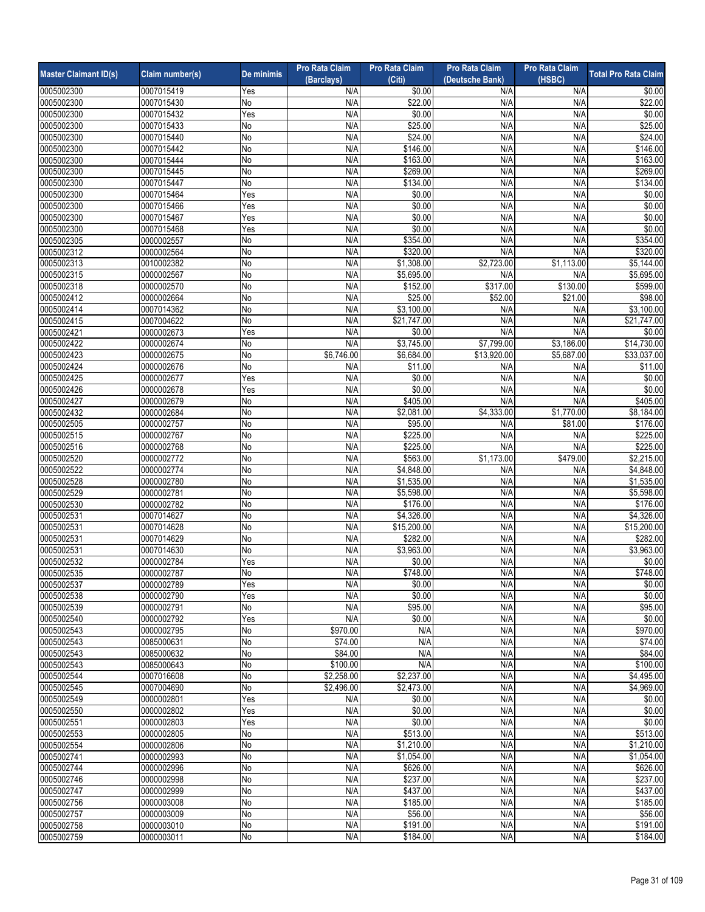| <b>Master Claimant ID(s)</b> | Claim number(s) | De minimis | <b>Pro Rata Claim</b><br>(Barclays) | Pro Rata Claim<br>(Citi) | Pro Rata Claim<br>(Deutsche Bank) | <b>Pro Rata Claim</b><br>(HSBC) | <b>Total Pro Rata Claim</b> |
|------------------------------|-----------------|------------|-------------------------------------|--------------------------|-----------------------------------|---------------------------------|-----------------------------|
| 0005002300                   | 0007015419      | Yes        | N/A                                 | \$0.00                   | N/A                               | N/A                             | \$0.00                      |
| 0005002300                   | 0007015430      | No         | N/A                                 | \$22.00                  | N/A                               | N/A                             | \$22.00                     |
| 0005002300                   | 0007015432      | Yes        | N/A                                 | \$0.00                   | N/A                               | N/A                             | \$0.00                      |
| 0005002300                   | 0007015433      | No         | N/A                                 | \$25.00                  | N/A                               | N/A                             | \$25.00                     |
| 0005002300                   | 0007015440      | No         | N/A                                 | \$24.00                  | N/A                               | N/A                             | \$24.00                     |
| 0005002300                   | 0007015442      | No         | N/A                                 | \$146.00                 | N/A                               | N/A                             | \$146.00                    |
| 0005002300                   | 0007015444      | No         | N/A                                 | \$163.00                 | N/A                               | N/A                             | \$163.00                    |
| 0005002300                   | 0007015445      | No         | N/A                                 | \$269.00                 | N/A                               | N/A                             | \$269.00                    |
| 0005002300                   | 0007015447      | No         | N/A                                 | \$134.00                 | N/A                               | N/A                             | \$134.00                    |
| 0005002300                   | 0007015464      | Yes        | N/A                                 | \$0.00                   | N/A                               | N/A                             | \$0.00                      |
| 0005002300                   | 0007015466      | Yes        | N/A                                 | \$0.00                   | N/A                               | N/A                             | \$0.00                      |
| 0005002300                   | 0007015467      | Yes        | N/A                                 | \$0.00                   | N/A                               | N/A                             | \$0.00                      |
| 0005002300                   | 0007015468      | Yes        | N/A                                 | \$0.00                   | N/A                               | N/A                             | \$0.00                      |
| 0005002305                   | 0000002557      | No         | N/A                                 | \$354.00                 | N/A                               | N/A                             | \$354.00                    |
| 0005002312                   | 0000002564      | No         | N/A                                 | \$320.00                 | N/A                               | N/A                             | \$320.00                    |
| 0005002313                   | 0010002382      | No         | N/A                                 | \$1,308.00               | \$2,723.00                        | \$1,113.00                      | \$5,144.00                  |
| 0005002315                   | 0000002567      | No         | N/A                                 | \$5,695.00               | N/A                               | N/A                             | \$5,695.00                  |
| 0005002318                   | 0000002570      | No         | N/A                                 | \$152.00                 | \$317.00                          | \$130.00                        | \$599.00                    |
| 0005002412                   | 0000002664      | No         | N/A                                 | \$25.00                  | \$52.00                           | \$21.00                         | \$98.00                     |
| 0005002414                   | 0007014362      | No         | N/A                                 | \$3,100.00               | N/A                               | N/A                             | \$3,100.00                  |
| 0005002415                   | 0007004622      | No         | N/A                                 | \$21,747.00              | N/A                               | N/A                             | \$21,747.00                 |
| 0005002421                   | 0000002673      | Yes        | N/A                                 | \$0.00                   | N/A                               | N/A                             | \$0.00                      |
| 0005002422                   | 0000002674      | No         | N/A                                 | \$3,745.00               | \$7,799.00                        | \$3,186.00                      | \$14,730.00                 |
| 0005002423                   | 0000002675      | No         | \$6,746.00                          | \$6,684.00               | \$13,920.00                       | \$5,687.00                      | \$33,037.00                 |
| 0005002424                   | 0000002676      | No         | N/A                                 | \$11.00                  | N/A                               | N/A                             | \$11.00                     |
| 0005002425                   | 0000002677      | Yes        | N/A                                 | \$0.00                   | N/A                               | N/A                             | \$0.00                      |
| 0005002426                   |                 |            | N/A                                 | \$0.00                   | N/A                               | N/A                             | \$0.00                      |
|                              | 0000002678      | Yes        | N/A                                 |                          | N/A                               | N/A                             | \$405.00                    |
| 0005002427                   | 0000002679      | No         |                                     | \$405.00                 |                                   |                                 |                             |
| 0005002432                   | 0000002684      | No         | N/A                                 | \$2,081.00               | \$4,333.00                        | \$1,770.00                      | \$8,184.00                  |
| 0005002505                   | 0000002757      | No         | N/A                                 | \$95.00                  | N/A                               | \$81.00                         | \$176.00                    |
| 0005002515                   | 0000002767      | No         | N/A                                 | \$225.00                 | N/A                               | N/A                             | \$225.00                    |
| 0005002516                   | 0000002768      | No         | N/A                                 | \$225.00                 | N/A                               | N/A                             | \$225.00                    |
| 0005002520                   | 0000002772      | No         | N/A                                 | \$563.00                 | \$1,173.00                        | \$479.00                        | \$2,215.00                  |
| 0005002522                   | 0000002774      | No         | N/A                                 | \$4,848.00               | N/A                               | N/A                             | \$4,848.00                  |
| 0005002528                   | 0000002780      | No         | N/A                                 | \$1,535.00               | N/A                               | N/A                             | \$1,535.00                  |
| 0005002529                   | 0000002781      | No         | N/A                                 | \$5,598.00               | N/A                               | N/A                             | \$5,598.00                  |
| 0005002530                   | 0000002782      | No         | N/A                                 | \$176.00                 | N/A                               | N/A                             | \$176.00                    |
| 0005002531                   | 0007014627      | No         | N/A                                 | \$4,326.00               | N/A                               | N/A                             | \$4,326.00                  |
| 0005002531                   | 0007014628      | No         | N/A                                 | \$15,200.00              | N/A                               | N/A                             | \$15,200.00                 |
| 0005002531                   | 0007014629      | No         | N/A                                 | \$282.00                 | N/A                               | N/A                             | \$282.00                    |
| 0005002531                   | 0007014630      | No         | N/A                                 | \$3,963.00               | N/A                               | N/A                             | \$3,963.00                  |
| 0005002532                   | 0000002784      | Yes        | N/A                                 | \$0.00                   | N/A                               | N/A                             | \$0.00                      |
| 0005002535                   | 0000002787      | No         | N/A                                 | \$748.00                 | N/A                               | N/A                             | \$748.00                    |
| 0005002537                   | 0000002789      | Yes        | N/A                                 | \$0.00                   | N/A                               | N/A                             | \$0.00                      |
| 0005002538                   | 0000002790      | Yes        | N/A                                 | \$0.00                   | N/A                               | N/A                             | \$0.00                      |
| 0005002539                   | 0000002791      | No         | N/A                                 | \$95.00                  | N/A                               | N/A                             | \$95.00                     |
| 0005002540                   | 0000002792      | Yes        | N/A                                 | \$0.00                   | N/A                               | N/A                             | \$0.00                      |
| 0005002543                   | 0000002795      | No         | \$970.00                            | N/A                      | N/A                               | N/A                             | \$970.00                    |
| 0005002543                   | 0085000631      | No         | \$74.00                             | N/A                      | N/A                               | N/A                             | \$74.00                     |
| 0005002543                   | 0085000632      | No         | \$84.00                             | N/A                      | N/A                               | N/A                             | \$84.00                     |
| 0005002543                   | 0085000643      | No         | \$100.00                            | N/A                      | N/A                               | N/A                             | \$100.00                    |
| 0005002544                   | 0007016608      | No         | \$2,258.00                          | \$2,237.00               | N/A                               | N/A                             | \$4,495.00                  |
| 0005002545                   | 0007004690      | No         | \$2.496.00                          | \$2,473.00               | N/A                               | N/A                             | \$4,969.00                  |
| 0005002549                   | 0000002801      | Yes        | N/A                                 | \$0.00                   | N/A                               | N/A                             | \$0.00                      |
| 0005002550                   | 0000002802      | Yes        | N/A                                 | \$0.00                   | N/A                               | N/A                             | \$0.00                      |
| 0005002551                   | 0000002803      | Yes        | N/A                                 | \$0.00                   | N/A                               | N/A                             | \$0.00                      |
| 0005002553                   | 0000002805      | No         | N/A                                 | \$513.00                 | N/A                               | N/A                             | \$513.00                    |
| 0005002554                   | 0000002806      | No         | N/A                                 | \$1,210.00               | N/A                               | N/A                             | \$1,210.00                  |
| 0005002741                   | 0000002993      | No         | N/A                                 | \$1,054.00               | N/A                               | N/A                             | \$1,054.00                  |
| 0005002744                   | 0000002996      | No         | N/A                                 | \$626.00                 | N/A                               | N/A                             | \$626.00                    |
| 0005002746                   | 0000002998      | No         | N/A                                 | \$237.00                 | N/A                               | N/A                             | \$237.00                    |
| 0005002747                   | 0000002999      | No         | N/A                                 | \$437.00                 | N/A                               | N/A                             | \$437.00                    |
| 0005002756                   | 0000003008      | No         | N/A                                 | \$185.00                 | N/A                               | N/A                             | \$185.00                    |
| 0005002757                   | 0000003009      | No         | N/A                                 | \$56.00                  | N/A                               | N/A                             | \$56.00                     |
| 0005002758                   | 0000003010      | No         | N/A                                 | \$191.00                 | N/A                               | N/A                             | \$191.00                    |
| 0005002759                   | 0000003011      | No         | N/A                                 | \$184.00                 | N/A                               | N/A                             | \$184.00                    |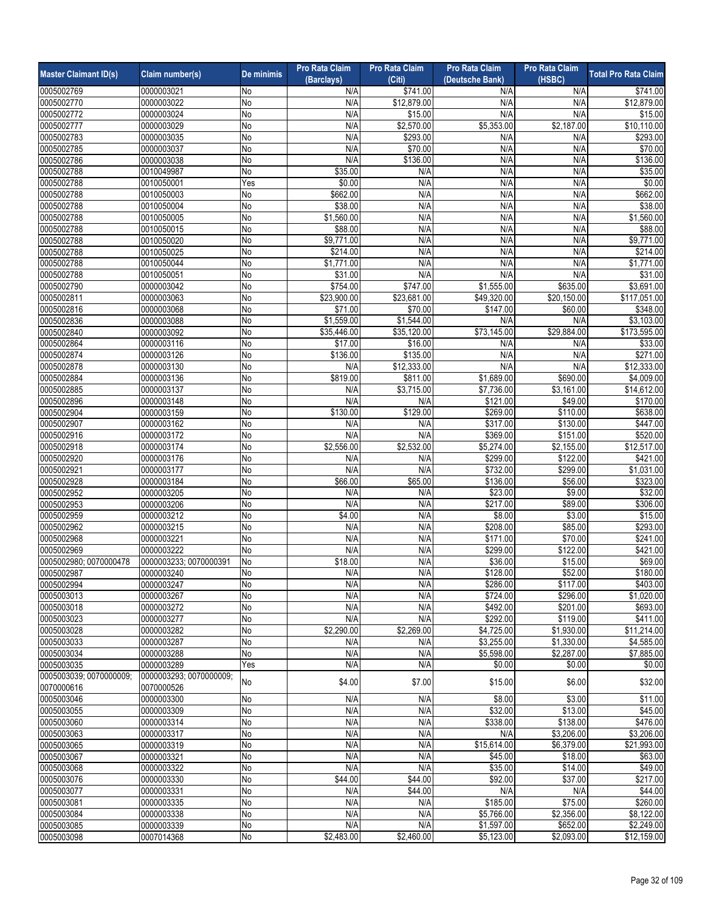| <b>Master Claimant ID(s)</b> | Claim number(s)         | De minimis | <b>Pro Rata Claim</b><br>(Barclays) | <b>Pro Rata Claim</b><br>(Citi) | Pro Rata Claim<br>(Deutsche Bank) | <b>Pro Rata Claim</b><br>(HSBC) | <b>Total Pro Rata Claim</b> |
|------------------------------|-------------------------|------------|-------------------------------------|---------------------------------|-----------------------------------|---------------------------------|-----------------------------|
| 0005002769                   | 0000003021              | No         | N/A                                 | \$741.00                        | N/A                               | N/A                             | \$741.00                    |
| 0005002770                   | 0000003022              | No         | N/A                                 | \$12,879.00                     | N/A                               | N/A                             | \$12,879.00                 |
| 0005002772                   | 0000003024              | No         | N/A                                 | \$15.00                         | N/A                               | N/A                             | \$15.00                     |
| 0005002777                   | 0000003029              | No         | N/A                                 | \$2,570.00                      | \$5,353.00                        | \$2,187.00                      | \$10,110.00                 |
| 0005002783                   | 0000003035              | No         | N/A                                 | \$293.00                        | N/A                               | N/A                             | \$293.00                    |
| 0005002785                   | 0000003037              | No         | N/A                                 | \$70.00                         | N/A                               | N/A                             | \$70.00                     |
| 0005002786                   | 0000003038              | No         | N/A                                 | \$136.00                        | N/A                               | N/A                             | \$136.00                    |
| 0005002788                   | 0010049987              | No         | \$35.00                             | N/A                             | N/A                               | N/A                             | \$35.00                     |
| 0005002788                   | 0010050001              | Yes        | \$0.00                              | N/A                             | N/A                               | N/A                             | \$0.00                      |
| 0005002788                   | 0010050003              | No         | \$662.00                            | N/A                             | N/A                               | N/A                             | \$662.00                    |
| 0005002788                   | 0010050004              | No         | \$38.00                             | N/A                             | N/A                               | N/A                             | \$38.00                     |
| 0005002788                   | 0010050005              | No         | \$1,560.00                          | N/A                             | N/A                               | N/A                             | \$1,560.00                  |
| 0005002788                   | 0010050015              | No         | \$88.00                             | N/A                             | N/A                               | N/A                             | \$88.00                     |
| 0005002788                   | 0010050020              | No         | \$9,771.00                          | N/A                             | N/A                               | N/A                             | \$9,771.00                  |
| 0005002788                   | 0010050025              | No         | \$214.00                            | N/A                             | N/A                               | N/A                             | \$214.00                    |
| 0005002788                   | 0010050044              | No         | \$1,771.00                          | N/A                             | N/A                               | N/A                             | \$1,771.00                  |
| 0005002788                   | 0010050051              | No         | \$31.00                             | N/A                             | N/A                               | N/A                             | \$31.00                     |
| 0005002790                   | 0000003042              | No         | \$754.00                            | \$747.00                        | \$1,555.00                        | \$635.00                        | \$3,691.00                  |
|                              |                         |            | \$23,900.00                         |                                 |                                   |                                 |                             |
| 0005002811                   | 0000003063              | No         |                                     | \$23,681.00                     | \$49,320.00                       | \$20,150.00                     | \$117,051.00                |
| 0005002816                   | 0000003068              | No         | \$71.00                             | \$70.00                         | \$147.00                          | \$60.00                         | \$348.00                    |
| 0005002836                   | 0000003088              | No         | \$1,559.00                          | \$1,544.00                      | N/A                               | N/A                             | \$3,103.00                  |
| 0005002840                   | 0000003092              | No         | \$35,446.00                         | \$35,120.00                     | \$73,145.00                       | \$29,884.00                     | \$173,595.00                |
| 0005002864                   | 0000003116              | No         | \$17.00                             | \$16.00                         | N/A                               | N/A                             | \$33.00                     |
| 0005002874                   | 0000003126              | <b>No</b>  | \$136.00                            | \$135.00                        | N/A                               | N/A                             | \$271.00                    |
| 0005002878                   | 0000003130              | <b>No</b>  | N/A                                 | \$12,333.00                     | N/A                               | N/A                             | \$12,333.00                 |
| 0005002884                   | 0000003136              | No         | \$819.00                            | \$811.00                        | \$1,689.00                        | \$690.00                        | \$4,009.00                  |
| 0005002885                   | 0000003137              | <b>No</b>  | N/A                                 | \$3,715.00                      | \$7,736.00                        | \$3,161.00                      | \$14,612.00                 |
| 0005002896                   | 0000003148              | No         | N/A                                 | N/A                             | \$121.00                          | \$49.00                         | \$170.00                    |
| 0005002904                   | 0000003159              | No         | \$130.00                            | \$129.00                        | \$269.00                          | \$110.00                        | \$638.00                    |
| 0005002907                   | 0000003162              | No         | N/A                                 | N/A                             | \$317.00                          | \$130.00                        | \$447.00                    |
| 0005002916                   | 0000003172              | No         | N/A                                 | N/A                             | \$369.00                          | \$151.00                        | \$520.00                    |
| 0005002918                   | 0000003174              | No         | \$2,556.00                          | \$2,532.00                      | \$5,274.00                        | \$2,155.00                      | \$12,517.00                 |
| 0005002920                   | 0000003176              | <b>No</b>  | N/A                                 | N/A                             | \$299.00                          | \$122.00                        | \$421.00                    |
| 0005002921                   | 0000003177              | No         | N/A                                 | N/A                             | \$732.00                          | \$299.00                        | \$1,031.00                  |
| 0005002928                   | 0000003184              | <b>No</b>  | \$66.00                             | \$65.00                         | \$136.00                          | \$56.00                         | \$323.00                    |
| 0005002952                   | 0000003205              | <b>No</b>  | N/A                                 | N/A                             | \$23.00                           | \$9.00                          | \$32.00                     |
| 0005002953                   | 0000003206              | No         | N/A                                 | N/A                             | \$217.00                          | \$89.00                         | \$306.00                    |
| 0005002959                   | 0000003212              | <b>No</b>  | \$4.00                              | N/A                             | \$8.00                            | \$3.00                          | \$15.00                     |
| 0005002962                   | 0000003215              | No         | N/A                                 | N/A                             | \$208.00                          | \$85.00                         | \$293.00                    |
| 0005002968                   | 0000003221              | No         | N/A                                 | N/A                             | \$171.00                          | \$70.00                         | $\sqrt{$241.00}$            |
| 0005002969                   | 0000003222              | No         | N/A                                 | N/A                             | \$299.00                          | \$122.00                        | \$421.00                    |
| 0005002980: 0070000478       | 0000003233; 0070000391  | No         | \$18.00                             | N/A                             | \$36.00                           | \$15.00                         | \$69.00                     |
| 0005002987                   | 0000003240              | No         | N/A                                 | N/A                             | \$128.00                          | \$52.00                         | \$180.00                    |
| 0005002994                   | 0000003247              | No         | N/A                                 | N/A                             | \$286.00                          | \$117.00                        | \$403.00                    |
| 0005003013                   | 0000003267              | No         | N/A                                 | N/A                             | \$724.00                          | \$296.00                        | \$1,020.00                  |
| 0005003018                   | 0000003272              | No         | N/A                                 | N/A                             | \$492.00                          | \$201.00                        | \$693.00                    |
| 0005003023                   | 0000003277              | No         | N/A                                 | N/A                             | \$292.00                          | \$119.00                        | \$411.00                    |
| 0005003028                   | 0000003282              | No         | \$2,290.00                          | \$2,269.00                      | \$4,725.00                        | \$1,930.00                      | \$11,214.00                 |
| 0005003033                   | 0000003287              | No         | N/A                                 | N/A                             | \$3,255.00                        | \$1,330.00                      | \$4,585.00                  |
| 0005003034                   | 0000003288              | No         | N/A                                 | N/A                             | \$5,598.00                        | \$2,287.00                      | \$7,885.00                  |
| 0005003035                   | 0000003289              | Yes        | N/A                                 | N/A                             | \$0.00                            | \$0.00                          | \$0.00                      |
| 0005003039; 0070000009;      | 0000003293; 0070000009; |            |                                     |                                 |                                   |                                 |                             |
| 0070000616                   | 0070000526              | No         | \$4.00                              | \$7.00                          | \$15.00                           | \$6.00                          | \$32.00                     |
| 0005003046                   | 0000003300              | No         | N/A                                 | N/A                             | \$8.00                            | \$3.00                          | \$11.00                     |
| 0005003055                   | 0000003309              | No         | N/A                                 | N/A                             | \$32.00                           | \$13.00                         | \$45.00                     |
| 0005003060                   | 0000003314              | No         |                                     | N/A                             | \$338.00                          | \$138.00                        | \$476.00                    |
|                              |                         |            | N/A                                 |                                 |                                   |                                 |                             |
| 0005003063                   | 0000003317              | No         | N/A                                 | N/A                             | N/A                               | \$3,206.00                      | \$3,206.00                  |
| 0005003065                   | 0000003319              | No         | N/A                                 | N/A                             | \$15,614.00                       | \$6,379.00                      | \$21,993.00                 |
| 0005003067                   | 0000003321              | No         | N/A                                 | N/A                             | \$45.00                           | \$18.00                         | \$63.00                     |
| 0005003068                   | 0000003322              | <b>No</b>  | N/A                                 | N/A                             | \$35.00                           | \$14.00                         | \$49.00                     |
| 0005003076                   | 0000003330              | No         | \$44.00                             | \$44.00                         | \$92.00                           | \$37.00                         | \$217.00                    |
| 0005003077                   | 0000003331              | No         | N/A                                 | \$44.00                         | N/A                               | N/A                             | \$44.00                     |
| 0005003081                   | 0000003335              | <b>No</b>  | N/A                                 | N/A                             | \$185.00                          | \$75.00                         | \$260.00                    |
| 0005003084                   | 0000003338              | No         | N/A                                 | N/A                             | \$5,766.00                        | \$2,356.00                      | \$8,122.00                  |
| 0005003085                   | 0000003339              | No         | N/A                                 | N/A                             | \$1,597.00                        | \$652.00                        | \$2,249.00                  |
| 0005003098                   | 0007014368              | No         | \$2,483.00                          | \$2,460.00                      | \$5,123.00                        | \$2,093.00                      | \$12,159.00                 |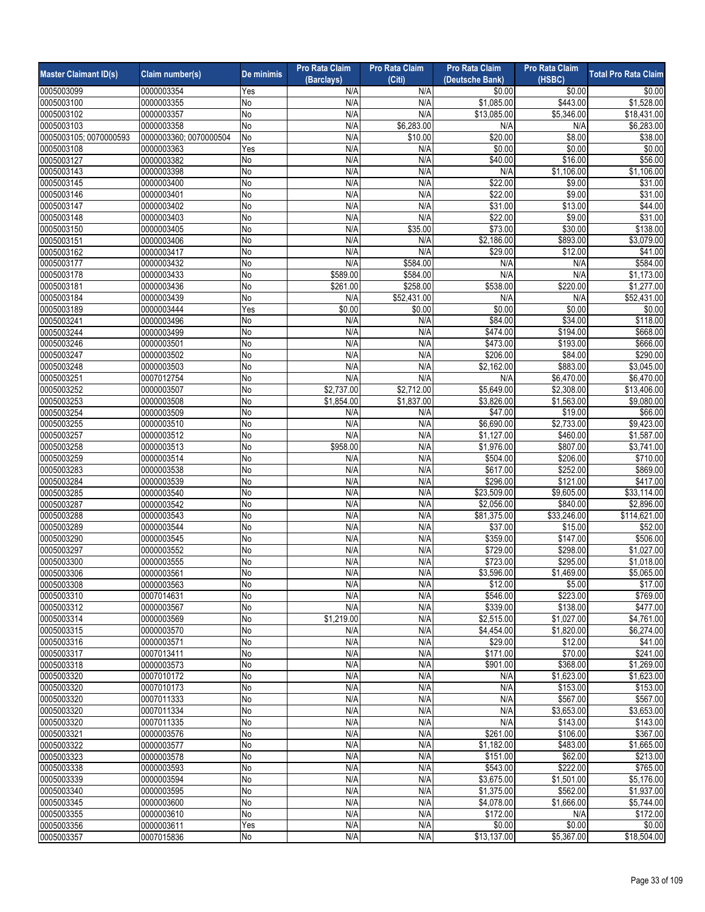| <b>Master Claimant ID(s)</b> | Claim number(s)        | De minimis | <b>Pro Rata Claim</b><br>(Barclays) | <b>Pro Rata Claim</b><br>(Citi) | Pro Rata Claim<br>(Deutsche Bank) | Pro Rata Claim<br>(HSBC) | <b>Total Pro Rata Claim</b> |
|------------------------------|------------------------|------------|-------------------------------------|---------------------------------|-----------------------------------|--------------------------|-----------------------------|
| 0005003099                   | 0000003354             | Yes        | N/A                                 | N/A                             | \$0.00                            | \$0.00                   | \$0.00                      |
| 0005003100                   | 0000003355             | No         | N/A                                 | N/A                             | \$1,085.00                        | \$443.00                 | \$1,528.00                  |
| 0005003102                   | 0000003357             | No         | N/A                                 | N/A                             | \$13,085.00                       | \$5,346.00               | \$18,431.00                 |
| 0005003103                   | 0000003358             | No         | N/A                                 | \$6,283.00                      | N/A                               | N/A                      | \$6,283.00                  |
| 0005003105; 0070000593       | 0000003360; 0070000504 | No         | N/A                                 | \$10.00                         | \$20.00                           | \$8.00                   | \$38.00                     |
| 0005003108                   | 0000003363             | Yes        | N/A                                 | N/A                             | \$0.00                            | \$0.00                   | \$0.00                      |
| 0005003127                   | 0000003382             | No         | N/A                                 | N/A                             | \$40.00                           | \$16.00                  | \$56.00                     |
| 0005003143                   | 0000003398             | No         | N/A                                 | N/A                             | N/A                               | \$1,106.00               | \$1,106.00                  |
| 0005003145                   | 0000003400             | No         | N/A                                 | N/A                             | \$22.00                           | \$9.00                   | \$31.00                     |
| 0005003146                   | 0000003401             | No         | N/A                                 | N/A                             | \$22.00                           | \$9.00                   | \$31.00                     |
| 0005003147                   | 0000003402             | No         | N/A                                 | N/A                             | \$31.00                           | \$13.00                  | \$44.00                     |
| 0005003148                   | 0000003403             | No         | N/A                                 | N/A                             | \$22.00                           | \$9.00                   | \$31.00                     |
| 0005003150                   | 0000003405             | No         | N/A                                 | \$35.00                         | \$73.00                           | \$30.00                  | \$138.00                    |
| 0005003151                   | 0000003406             | No         | N/A                                 | N/A                             | \$2,186.00                        | \$893.00                 | \$3,079.00                  |
| 0005003162                   | 0000003417             | No         | N/A                                 | N/A                             | \$29.00                           | \$12.00                  | \$41.00                     |
| 0005003177                   | 0000003432             | No         | N/A                                 | \$584.00                        | N/A                               | N/A                      | \$584.00                    |
| 0005003178                   | 0000003433             | No         | \$589.00                            | \$584.00                        | N/A                               | N/A                      | \$1,173.00                  |
| 0005003181                   | 0000003436             | No         | \$261.00                            | \$258.00                        | \$538.00                          | \$220.00                 | \$1,277.00                  |
| 0005003184                   | 0000003439             | No         | N/A                                 | \$52,431.00                     | N/A                               | N/A                      | \$52,431.00                 |
| 0005003189                   | 0000003444             | Yes        | \$0.00                              | \$0.00                          | \$0.00                            | \$0.00                   | \$0.00                      |
| 0005003241                   | 0000003496             | No         | N/A                                 | N/A                             | \$84.00                           | \$34.00                  | \$118.00                    |
| 0005003244                   | 0000003499             | No         | N/A                                 | N/A                             | \$474.00                          | \$194.00                 | \$668.00                    |
| 0005003246                   | 0000003501             | No         | N/A                                 | N/A                             | \$473.00                          | \$193.00                 | \$666.00                    |
| 0005003247                   | 0000003502             | No         | N/A                                 | N/A                             | \$206.00                          | \$84.00                  | \$290.00                    |
| 0005003248                   | 0000003503             | No         | N/A                                 | N/A                             | \$2,162.00                        | \$883.00                 | \$3,045.00                  |
| 0005003251                   | 0007012754             | No         | N/A                                 | N/A                             | N/A                               | \$6,470.00               | \$6,470.00                  |
| 0005003252                   | 0000003507             | No         | \$2,737.00                          | \$2,712.00                      | \$5,649.00                        | \$2,308.00               | \$13,406.00                 |
| 0005003253                   | 0000003508             | No         | \$1,854.00                          | \$1,837.00                      | \$3,826.00                        | \$1,563.00               | \$9,080.00                  |
| 0005003254                   | 0000003509             | No         | N/A                                 | N/A                             | \$47.00                           | \$19.00                  | \$66.00                     |
| 0005003255                   | 0000003510             | No         | N/A                                 | N/A                             | \$6,690.00                        | \$2,733.00               | \$9,423.00                  |
| 0005003257                   | 0000003512             | No         | N/A                                 | N/A                             | \$1,127.00                        | \$460.00                 | \$1,587.00                  |
| 0005003258                   | 0000003513             | No         | \$958.00                            | N/A                             | \$1,976.00                        | \$807.00                 | \$3,741.00                  |
| 0005003259                   | 0000003514             | No         | N/A                                 | N/A                             | \$504.00                          | \$206.00                 | \$710.00                    |
| 0005003283                   | 0000003538             | No         | N/A                                 | N/A                             | \$617.00                          | \$252.00                 | \$869.00                    |
| 0005003284                   | 0000003539             | No         | N/A                                 | N/A                             | \$296.00                          | \$121.00                 | \$417.00                    |
| 0005003285                   | 0000003540             | No         | N/A                                 | N/A                             | \$23,509.00                       | \$9,605.00               | \$33,114.00                 |
| 0005003287                   | 0000003542             | No         | N/A                                 | N/A                             | \$2,056.00                        | \$840.00                 | \$2,896.00                  |
| 0005003288                   | 0000003543             | No         | N/A                                 | N/A                             | \$81,375.00                       | \$33,246.00              | \$114,621.00                |
| 0005003289                   | 0000003544             | No         | N/A                                 | N/A                             | \$37.00                           | \$15.00                  | \$52.00                     |
| 0005003290                   | 0000003545             | No         | N/A                                 | N/A                             | \$359.00                          | \$147.00                 | \$506.00                    |
| 0005003297                   | 0000003552             | No         | N/A                                 | N/A                             | \$729.00                          | \$298.00                 | \$1,027.00                  |
| 0005003300                   | 0000003555             | No         | N/A                                 | N/A                             | \$723.00                          | \$295.00                 | \$1,018.00                  |
| 0005003306                   | 0000003561             | No         | N/A                                 | N/A                             | \$3,596.00                        | \$1,469.00               | \$5,065.00                  |
| 0005003308                   | 0000003563             | No         | N/A                                 | N/A                             | \$12.00                           | \$5.00                   | \$17.00                     |
| 0005003310                   | 0007014631             | No         | N/A                                 | N/A                             | \$546.00                          | \$223.00                 | \$769.00                    |
| 0005003312                   | 0000003567             | No         | N/A                                 | N/A                             | \$339.00                          | \$138.00                 | \$477.00                    |
| 0005003314                   | 0000003569             | No         | \$1,219.00                          | N/A                             | \$2,515.00                        | \$1,027.00               | \$4,761.00                  |
| 0005003315                   | 0000003570             | No         | N/A                                 | N/A                             | \$4,454.00                        | \$1,820.00               | \$6.274.00                  |
| 0005003316                   | 0000003571             | <b>No</b>  | N/A                                 | N/A                             | \$29.00                           | \$12.00                  | \$41.00                     |
| 0005003317                   | 0007013411             | No         | N/A                                 | N/A                             | \$171.00                          | \$70.00                  | \$241.00                    |
| 0005003318                   | 0000003573             | No         | N/A                                 | N/A                             | \$901.00                          | \$368.00                 | \$1,269.00                  |
| 0005003320                   | 0007010172             | No         | N/A                                 | N/A                             | N/A                               | \$1,623.00               | \$1,623.00                  |
| 0005003320                   | 0007010173             | No         | N/A                                 | N/A                             | N/A                               | \$153.00                 | \$153.00                    |
| 0005003320                   | 0007011333             | No         | N/A                                 | N/A                             | N/A                               | \$567.00                 | \$567.00                    |
| 0005003320                   | 0007011334             | No         | N/A                                 | N/A                             | N/A                               | \$3,653.00               | \$3,653.00                  |
| 0005003320                   | 0007011335             | No         | N/A                                 | N/A                             | N/A                               | \$143.00                 | \$143.00                    |
| 0005003321                   | 0000003576             | No         | N/A                                 | N/A                             | \$261.00                          | \$106.00                 | \$367.00                    |
| 0005003322                   | 0000003577             | <b>No</b>  | N/A                                 | N/A                             | \$1,182.00                        | \$483.00                 | \$1,665.00                  |
| 0005003323                   | 0000003578             | No         | N/A                                 | N/A                             | \$151.00                          | \$62.00                  | \$213.00                    |
| 0005003338                   | 0000003593             | No         | N/A                                 | N/A                             | \$543.00                          | \$222.00                 | \$765.00                    |
| 0005003339                   | 0000003594             | <b>No</b>  | N/A                                 | N/A                             | \$3,675.00                        | \$1,501.00               | \$5,176.00                  |
| 0005003340                   | 0000003595             | <b>No</b>  | N/A                                 | N/A                             | \$1,375.00                        | \$562.00                 | \$1,937.00                  |
| 0005003345                   | 0000003600             | No         | N/A                                 | N/A                             | \$4,078.00                        | \$1,666.00               | \$5,744.00                  |
| 0005003355                   | 0000003610             | <b>No</b>  | N/A                                 | N/A                             | \$172.00                          | N/A                      | \$172.00                    |
| 0005003356                   | 0000003611             | Yes        | N/A                                 | N/A                             | \$0.00                            | \$0.00                   | \$0.00                      |
| 0005003357                   | 0007015836             | No         | N/A                                 | N/A                             | \$13,137.00                       | \$5,367.00               | \$18,504.00                 |
|                              |                        |            |                                     |                                 |                                   |                          |                             |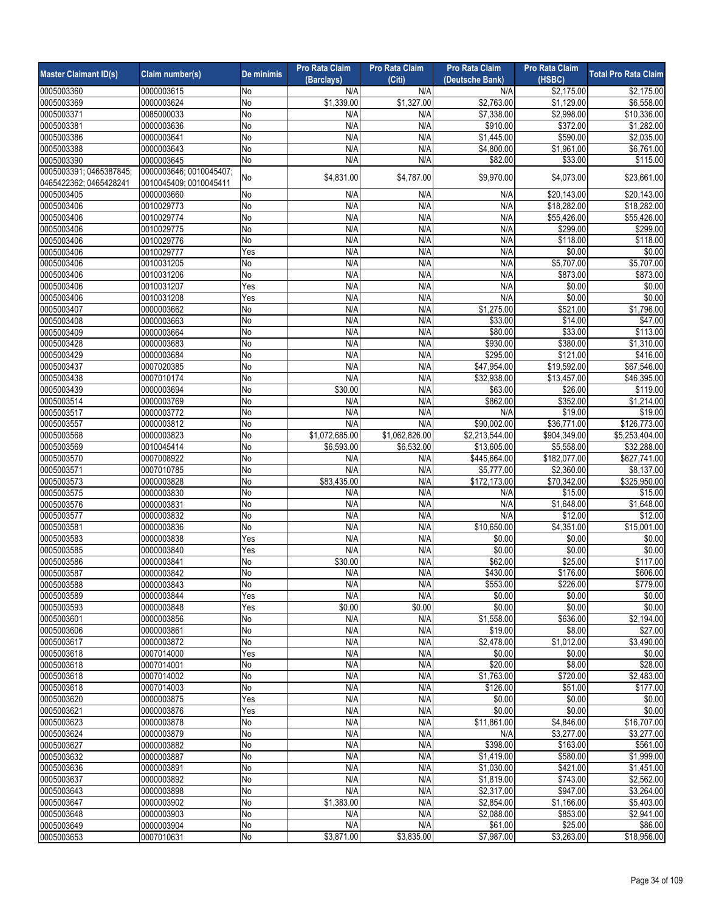| <b>Master Claimant ID(s)</b> | Claim number(s)         | De minimis | <b>Pro Rata Claim</b><br>(Barclays) | <b>Pro Rata Claim</b><br>(Citi) | Pro Rata Claim<br>(Deutsche Bank) | Pro Rata Claim<br>(HSBC) | <b>Total Pro Rata Claim</b> |
|------------------------------|-------------------------|------------|-------------------------------------|---------------------------------|-----------------------------------|--------------------------|-----------------------------|
| 0005003360                   | 0000003615              | No         | N/A                                 | N/A                             | N/A                               | \$2,175.00               | \$2,175.00                  |
| 0005003369                   | 0000003624              | No         | \$1,339.00                          | \$1,327.00                      | \$2,763.00                        | \$1,129.00               | \$6,558.00                  |
| 0005003371                   | 0085000033              | No         | N/A                                 | N/A                             | \$7,338.00                        | \$2,998.00               | \$10,336.00                 |
| 0005003381                   | 0000003636              | No         | N/A                                 | N/A                             | \$910.00                          | \$372.00                 | \$1,282.00                  |
| 0005003386                   | 0000003641              | No         | N/A                                 | N/A                             | \$1,445.00                        | \$590.00                 | \$2,035.00                  |
| 0005003388                   | 0000003643              | No         | N/A                                 | N/A                             | \$4,800.00                        | \$1,961.00               | \$6,761.00                  |
| 0005003390                   | 0000003645              | No         | N/A                                 | N/A                             | \$82.00                           | \$33.00                  | \$115.00                    |
| 0005003391; 0465387845;      | 0000003646; 0010045407; |            |                                     |                                 |                                   |                          |                             |
| 0465422362; 0465428241       | 0010045409: 0010045411  | No         | \$4,831.00                          | \$4,787.00                      | \$9,970.00                        | \$4,073.00               | \$23,661.00                 |
| 0005003405                   | 0000003660              | No         | N/A                                 | N/A                             | N/A                               | \$20,143.00              | \$20,143.00                 |
| 0005003406                   | 0010029773              | No         | N/A                                 | N/A                             | N/A                               | \$18,282.00              | \$18,282.00                 |
| 0005003406                   | 0010029774              | No         | N/A                                 | N/A                             | N/A                               | \$55,426.00              | \$55,426.00                 |
| 0005003406                   | 0010029775              | No         | N/A                                 | N/A                             | N/A                               | \$299.00                 | \$299.00                    |
| 0005003406                   | 0010029776              | No         | N/A                                 | N/A                             | N/A                               | \$118.00                 | \$118.00                    |
| 0005003406                   | 0010029777              | Yes        | N/A                                 | N/A                             | N/A                               | \$0.00                   | \$0.00                      |
| 0005003406                   | 0010031205              | No         | N/A                                 | N/A                             | N/A                               | \$5,707.00               | \$5,707.00                  |
| 0005003406                   | 0010031206              | No         | N/A                                 | N/A                             | N/A                               | \$873.00                 | \$873.00                    |
| 0005003406                   | 0010031207              | Yes        | N/A                                 | N/A                             | N/A                               | \$0.00                   | \$0.00                      |
| 0005003406                   | 0010031208              | Yes        | N/A                                 | N/A                             | N/A                               | \$0.00                   | \$0.00                      |
| 0005003407                   | 0000003662              | No         | N/A                                 | N/A                             | \$1,275.00                        | \$521.00                 | \$1,796.00                  |
| 0005003408                   | 0000003663              | No         | N/A                                 | N/A                             | \$33.00                           | \$14.00                  | \$47.00                     |
| 0005003409                   | 0000003664              | No         | N/A                                 | N/A                             | \$80.00                           | \$33.00                  | \$113.00                    |
| 0005003428                   | 0000003683              | No         | N/A                                 | N/A                             | \$930.00                          | \$380.00                 | \$1,310.00                  |
| 0005003429                   | 0000003684              | No         | N/A                                 | N/A                             | \$295.00                          | \$121.00                 | \$416.00                    |
| 0005003437                   | 0007020385              | No         | N/A                                 | N/A                             | \$47,954.00                       | \$19,592.00              | \$67,546.00                 |
| 0005003438                   | 0007010174              | No         | N/A                                 | N/A                             | \$32,938.00                       | \$13,457.00              | \$46,395.00                 |
| 0005003439                   | 0000003694              | No         | \$30.00                             | N/A                             | \$63.00                           | \$26.00                  | \$119.00                    |
| 0005003514                   | 0000003769              | No         | N/A                                 | N/A                             | \$862.00                          | \$352.00                 | \$1,214.00                  |
| 0005003517                   | 0000003772              | No         | N/A                                 | N/A                             | N/A                               | \$19.00                  | \$19.00                     |
| 0005003557                   | 0000003812              | No         | N/A                                 | N/A                             | \$90,002.00                       | \$36,771.00              | \$126,773.00                |
| 0005003568                   | 0000003823              | No         | \$1,072,685.00                      | \$1,062,826.00                  | \$2,213,544.00                    | \$904,349.00             | \$5,253,404.00              |
| 0005003569                   | 0010045414              | No         | \$6,593.00                          | \$6,532.00                      | \$13,605.00                       | \$5,558.00               | \$32,288.00                 |
| 0005003570                   | 0007008922              | No         | N/A                                 | N/A                             | \$445,664.00                      | \$182,077.00             | \$627,741.00                |
| 0005003571                   | 0007010785              | No         | N/A                                 | N/A                             | \$5,777.00                        | \$2,360.00               | \$8,137.00                  |
| 0005003573                   | 0000003828              | No         | \$83,435.00                         | N/A                             | \$172,173.00                      | \$70,342.00              | \$325,950.00                |
| 0005003575                   | 0000003830              | No         | N/A                                 | N/A                             | N/A                               | \$15.00                  | \$15.00                     |
| 0005003576                   | 0000003831              | No         | N/A                                 | N/A                             | N/A                               | \$1,648.00               | \$1,648.00                  |
| 0005003577                   | 0000003832              | No         | N/A                                 | N/A                             | N/A                               | \$12.00                  | \$12.00                     |
| 0005003581                   | 0000003836              | No         | N/A                                 | N/A                             | \$10,650.00                       | \$4.351.00               | \$15,001.00                 |
| 0005003583                   | 0000003838              | Yes        | N/A                                 | N/A                             | \$0.00                            | \$0.00                   | \$0.00                      |
| 0005003585                   | 0000003840              | Yes        | N/A                                 | N/A                             | \$0.00                            | \$0.00                   | \$0.00                      |
| 0005003586                   | 0000003841              | No         | \$30.00                             | N/A                             | \$62.00                           | \$25.00                  | \$117.00                    |
| 0005003587                   | 0000003842              | No         | N/A                                 | N/A                             | \$430.00                          | \$176.00                 | \$606.00                    |
| 0005003588                   | 0000003843              | No         | N/A                                 | N/A                             | \$553.00                          | \$226.00                 | \$779.00                    |
| 0005003589                   | 0000003844              | Yes        | N/A                                 | N/A                             | \$0.00                            | \$0.00                   | \$0.00                      |
| 0005003593                   | 0000003848              | Yes        | \$0.00                              | \$0.00                          | \$0.00                            | \$0.00                   | \$0.00                      |
| 0005003601                   | 0000003856              | No         | N/A                                 | N/A                             | \$1,558.00                        | \$636.00                 | \$2,194.00                  |
| 0005003606                   | 0000003861              | No         | N/A                                 | N/A                             | \$19.00                           | \$8.00                   | \$27.00                     |
| 0005003617                   | 0000003872              | No         | N/A                                 | N/A                             | \$2,478.00                        | \$1,012.00               | \$3,490.00                  |
| 0005003618                   | 0007014000              | Yes        | N/A                                 | N/A                             | \$0.00                            | \$0.00                   | \$0.00                      |
| 0005003618                   | 0007014001              | No         | N/A                                 | N/A                             | \$20.00                           | \$8.00                   | \$28.00                     |
| 0005003618                   | 0007014002              | No         | N/A                                 | N/A                             | \$1,763.00                        | \$720.00                 | \$2,483.00                  |
| 0005003618                   | 0007014003              | No         | N/A                                 | N/A                             | \$126.00                          | \$51.00                  | \$177.00                    |
| 0005003620                   | 0000003875              | Yes        | N/A                                 | N/A                             | \$0.00                            | \$0.00                   | \$0.00                      |
| 0005003621                   | 0000003876              | Yes        | N/A                                 | N/A                             | \$0.00                            | \$0.00                   | \$0.00                      |
| 0005003623                   | 0000003878              | No         | N/A                                 | N/A                             | \$11,861.00                       | \$4,846.00               | \$16,707.00                 |
| 0005003624                   | 0000003879              | No         | N/A                                 | N/A                             | N/A                               | \$3,277.00               | \$3,277.00                  |
| 0005003627                   | 0000003882              | No         | N/A                                 | N/A                             | \$398.00                          | \$163.00                 | \$561.00                    |
| 0005003632                   | 0000003887              | No         | N/A                                 | N/A                             | \$1,419.00                        | \$580.00                 | \$1,999.00                  |
| 0005003636                   | 0000003891              | No         | N/A                                 | N/A                             | \$1,030.00                        | \$421.00                 | \$1,451.00                  |
| 0005003637                   | 0000003892              | No         | N/A                                 | N/A                             | \$1,819.00                        | \$743.00                 | \$2,562.00                  |
| 0005003643                   | 0000003898              | No         | N/A                                 | N/A                             | \$2,317.00                        | \$947.00                 | \$3,264.00                  |
| 0005003647                   | 0000003902              | No         | \$1,383.00                          | N/A                             | \$2,854.00                        | \$1,166.00               | \$5,403.00                  |
| 0005003648                   | 0000003903              | No         | N/A                                 | N/A                             | \$2,088.00                        | \$853.00                 | \$2,941.00                  |
| 0005003649                   | 0000003904              | No         | N/A                                 | N/A                             | \$61.00                           | \$25.00                  | \$86.00                     |
| 0005003653                   | 0007010631              | No         | \$3,871.00                          | \$3,835.00                      | \$7,987.00                        | \$3,263.00               | \$18,956.00                 |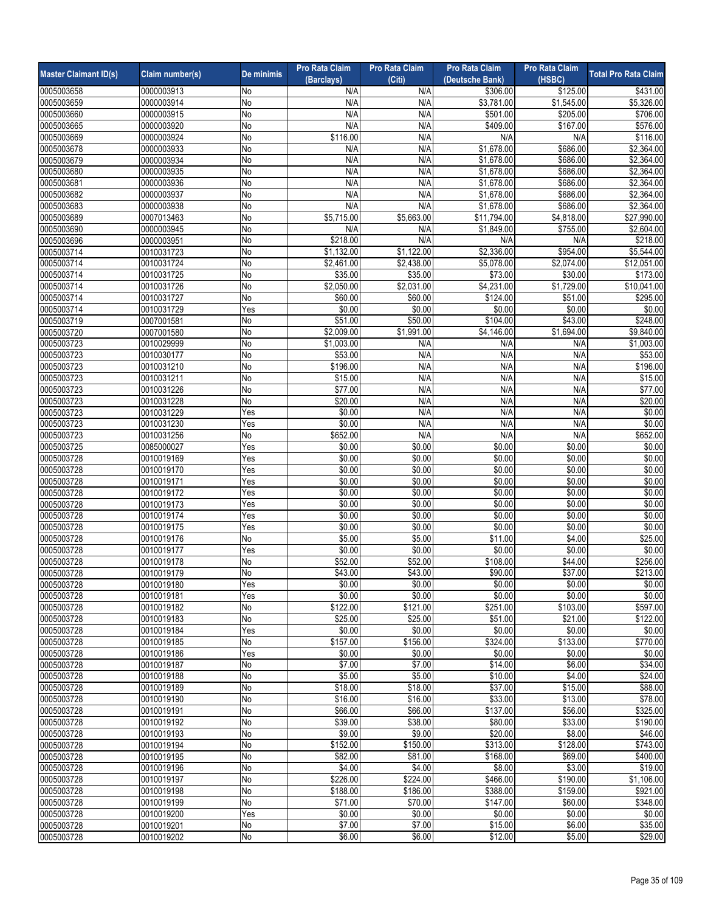| <b>Master Claimant ID(s)</b> | Claim number(s)          | De minimis | <b>Pro Rata Claim</b><br>(Barclays) | <b>Pro Rata Claim</b><br>(Citi) | Pro Rata Claim<br>(Deutsche Bank) | Pro Rata Claim<br>(HSBC) | Total Pro Rata Claim    |
|------------------------------|--------------------------|------------|-------------------------------------|---------------------------------|-----------------------------------|--------------------------|-------------------------|
| 0005003658                   | 0000003913               | No         | N/A                                 | N/A                             | \$306.00                          | \$125.00                 | \$431.00                |
| 0005003659                   | 0000003914               | No         | N/A                                 | N/A                             | \$3,781.00                        | \$1,545.00               | \$5,326.00              |
| 0005003660                   | 0000003915               | No         | N/A                                 | N/A                             | \$501.00                          | \$205.00                 | \$706.00                |
| 0005003665                   | 0000003920               | No         | N/A                                 | N/A                             | \$409.00                          | \$167.00                 | \$576.00                |
| 0005003669                   | 0000003924               | No         | \$116.00                            | N/A                             | N/A                               | N/A                      | \$116.00                |
| 0005003678                   | 0000003933               | No         | N/A                                 | N/A                             | \$1,678.00                        | \$686.00                 | \$2,364.00              |
| 0005003679                   | 0000003934               | No         | N/A                                 | N/A                             | \$1,678.00                        | \$686.00                 | \$2,364.00              |
| 0005003680                   | 0000003935               | No         | N/A                                 | N/A                             | \$1,678.00                        | \$686.00                 | \$2,364.00              |
| 0005003681                   | 0000003936               | No         | N/A                                 | N/A                             | \$1,678.00                        | \$686.00                 | \$2,364.00              |
| 0005003682                   | 0000003937               | No         | N/A                                 | N/A                             | $\overline{$1,678.00}$            | \$686.00                 | \$2,364.00              |
| 0005003683                   | 0000003938               | No         | N/A                                 | N/A                             | \$1,678.00                        | \$686.00                 | \$2,364.00              |
| 0005003689                   | 0007013463               | No         | \$5,715.00                          | \$5,663.00                      | \$11,794.00                       | \$4,818.00               | \$27,990.00             |
| 0005003690                   | 0000003945               | No         | N/A                                 | N/A                             | \$1,849.00                        | \$755.00                 | \$2,604.00              |
| 0005003696                   | 0000003951               | No         | \$218.00                            | N/A                             | N/A                               | N/A                      | \$218.00                |
| 0005003714                   | 0010031723               | No         | \$1,132.00                          | \$1,122.00                      | \$2,336.00                        | \$954.00                 | \$5,544.00              |
|                              |                          | No         |                                     |                                 |                                   |                          |                         |
| 0005003714<br>0005003714     | 0010031724<br>0010031725 | No         | \$2,461.00<br>\$35.00               | \$2,438.00<br>\$35.00           | \$5,078.00                        | \$2,074.00               | \$12,051.00<br>\$173.00 |
|                              | 0010031726               |            |                                     |                                 | \$73.00                           | \$30.00                  |                         |
| 0005003714                   |                          | No         | \$2,050.00                          | \$2,031.00                      | \$4,231.00                        | \$1,729.00               | \$10,041.00             |
| 0005003714                   | 0010031727               | No         | \$60.00                             | \$60.00                         | \$124.00                          | \$51.00                  | \$295.00                |
| 0005003714                   | 0010031729               | Yes        | \$0.00                              | \$0.00                          | \$0.00                            | \$0.00                   | \$0.00                  |
| 0005003719                   | 0007001581               | No         | \$51.00                             | \$50.00                         | \$104.00                          | \$43.00                  | \$248.00                |
| 0005003720                   | 0007001580               | No         | \$2,009.00                          | \$1,991.00                      | \$4,146.00                        | \$1,694.00               | \$9,840.00              |
| 0005003723                   | 0010029999               | No         | \$1.003.00                          | N/A                             | N/A                               | N/A                      | \$1,003.00              |
| 0005003723                   | 0010030177               | No         | \$53.00                             | N/A                             | N/A                               | N/A                      | \$53.00                 |
| 0005003723                   | 0010031210               | No         | \$196.00                            | N/A                             | N/A                               | N/A                      | \$196.00                |
| 0005003723                   | 0010031211               | No         | \$15.00                             | N/A                             | N/A                               | N/A                      | \$15.00                 |
| 0005003723                   | 0010031226               | No         | \$77.00                             | N/A                             | N/A                               | N/A                      | \$77.00                 |
| 0005003723                   | 0010031228               | No         | \$20.00                             | N/A                             | N/A                               | N/A                      | \$20.00                 |
| 0005003723                   | 0010031229               | Yes        | \$0.00                              | N/A                             | N/A                               | N/A                      | \$0.00                  |
| 0005003723                   | 0010031230               | Yes        | \$0.00                              | N/A                             | N/A                               | N/A                      | \$0.00                  |
| 0005003723                   | 0010031256               | No         | \$652.00                            | N/A                             | N/A                               | N/A                      | \$652.00                |
| 0005003725                   | 0085000027               | Yes        | \$0.00                              | \$0.00                          | \$0.00                            | \$0.00                   | \$0.00                  |
| 0005003728                   | 0010019169               | Yes        | \$0.00                              | \$0.00                          | \$0.00                            | \$0.00                   | \$0.00                  |
| 0005003728                   | 0010019170               | Yes        | \$0.00                              | \$0.00                          | \$0.00                            | \$0.00                   | \$0.00                  |
| 0005003728                   | 0010019171               | Yes        | \$0.00                              | \$0.00                          | \$0.00                            | \$0.00                   | \$0.00                  |
| 0005003728                   | 0010019172               | Yes        | \$0.00                              | \$0.00                          | \$0.00                            | \$0.00                   | \$0.00                  |
| 0005003728                   | 0010019173               | Yes        | \$0.00                              | \$0.00                          | \$0.00                            | \$0.00                   | \$0.00                  |
| 0005003728                   | 0010019174               | Yes        | \$0.00                              | \$0.00                          | \$0.00                            | \$0.00                   | \$0.00                  |
| 0005003728                   | 0010019175               | Yes        | \$0.00                              | \$0.00                          | \$0.00                            | \$0.00                   | \$0.00                  |
| 0005003728                   | 0010019176               | No         | \$5.00                              | \$5.00                          | \$11.00                           | \$4.00                   | \$25.00                 |
| 0005003728                   | 0010019177               | Yes        | \$0.00                              | \$0.00                          | \$0.00                            | \$0.00                   | \$0.00                  |
| 0005003728                   | 0010019178               | No         | \$52.00                             | \$52.00                         | \$108.00                          | \$44.00                  | \$256.00                |
| 0005003728                   | 0010019179               | No         | \$43.00                             | \$43.00                         | \$90.00                           | \$37.00                  | \$213.00                |
| 0005003728                   | 0010019180               | Yes        | \$0.00                              | \$0.00                          | \$0.00                            | \$0.00                   | \$0.00                  |
| 0005003728                   | 0010019181               | Yes        | \$0.00                              | \$0.00                          | \$0.00                            | \$0.00                   | \$0.00                  |
| 0005003728                   | 0010019182               | No         | \$122.00                            | \$121.00                        | \$251.00                          | \$103.00                 | \$597.00                |
| 0005003728                   | 0010019183               | No         | \$25.00                             | \$25.00                         | \$51.00                           | \$21.00                  | \$122.00                |
| 0005003728                   | 0010019184               | Yes        | \$0.00                              | \$0.00                          | \$0.00                            | \$0.00                   | \$0.00                  |
| 0005003728                   | 0010019185               | No         | \$157.00                            | \$156.00                        | \$324.00                          | \$133.00                 | \$770.00                |
| 0005003728                   | 0010019186               | Yes        | \$0.00                              | \$0.00                          | \$0.00                            | \$0.00                   | \$0.00                  |
| 0005003728                   | 0010019187               | No         | \$7.00                              | \$7.00                          | \$14.00                           | \$6.00                   | \$34.00                 |
| 0005003728                   | 0010019188               |            | \$5.00                              | \$5.00                          | \$10.00                           | \$4.00                   | \$24.00                 |
|                              |                          | No<br>No   | \$18.00                             | \$18.00                         |                                   | \$15.00                  | \$88.00                 |
| 0005003728                   | 0010019189               |            |                                     |                                 | \$37.00                           |                          |                         |
| 0005003728                   | 0010019190               | No         | \$16.00                             | \$16.00                         | \$33.00                           | \$13.00                  | \$78.00                 |
| 0005003728                   | 0010019191               | No         | \$66.00                             | \$66.00                         | \$137.00                          | \$56.00                  | \$325.00                |
| 0005003728                   | 0010019192               | No         | \$39.00                             | \$38.00                         | \$80.00                           | \$33.00                  | \$190.00                |
| 0005003728                   | 0010019193               | No         | \$9.00                              | \$9.00                          | \$20.00                           | \$8.00                   | \$46.00                 |
| 0005003728                   | 0010019194               | No         | \$152.00                            | \$150.00                        | \$313.00                          | \$128.00                 | \$743.00                |
| 0005003728                   | 0010019195               | No         | \$82.00                             | \$81.00                         | \$168.00                          | \$69.00                  | \$400.00                |
| 0005003728                   | 0010019196               | No         | \$4.00                              | \$4.00                          | \$8.00                            | \$3.00                   | \$19.00                 |
| 0005003728                   | 0010019197               | No         | \$226.00                            | \$224.00                        | \$466.00                          | \$190.00                 | \$1,106.00              |
| 0005003728                   | 0010019198               | No         | \$188.00                            | \$186.00                        | \$388.00                          | \$159.00                 | \$921.00                |
| 0005003728                   | 0010019199               | No         | \$71.00                             | \$70.00                         | \$147.00                          | \$60.00                  | \$348.00                |
| 0005003728                   | 0010019200               | Yes        | \$0.00                              | \$0.00                          | \$0.00                            | \$0.00                   | \$0.00                  |
| 0005003728                   | 0010019201               | No         | \$7.00                              | \$7.00                          | \$15.00                           | \$6.00                   | \$35.00                 |
| 0005003728                   | 0010019202               | No         | \$6.00                              | \$6.00                          | \$12.00                           | \$5.00                   | \$29.00                 |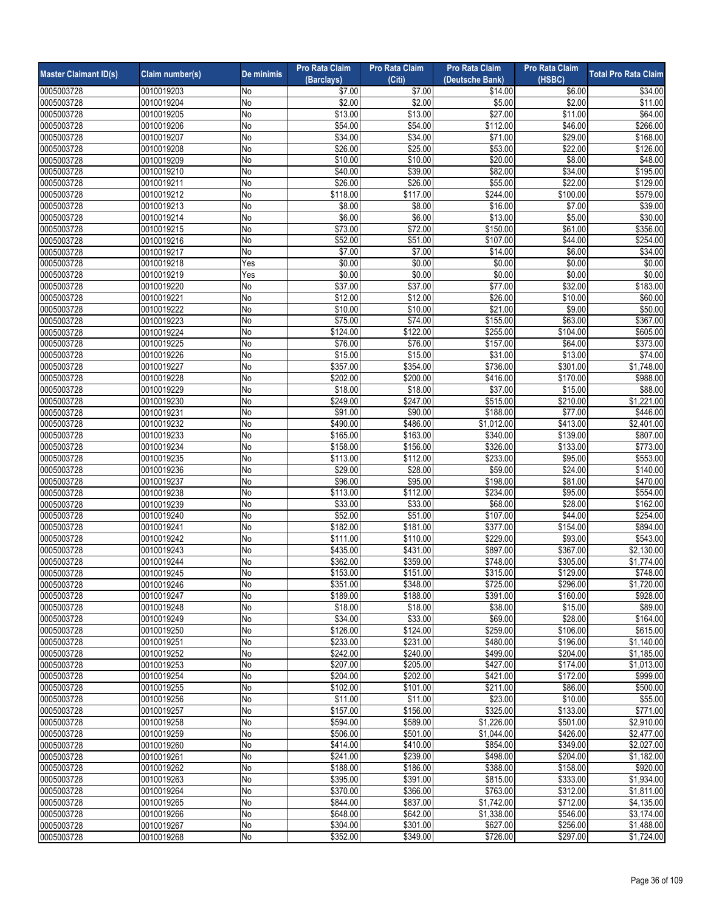| <b>Master Claimant ID(s)</b> | Claim number(s) | De minimis | <b>Pro Rata Claim</b> | <b>Pro Rata Claim</b> | Pro Rata Claim      | <b>Pro Rata Claim</b> | Total Pro Rata Claim |
|------------------------------|-----------------|------------|-----------------------|-----------------------|---------------------|-----------------------|----------------------|
|                              |                 |            | (Barclays)            | (Citi)                | (Deutsche Bank)     | (HSBC)                |                      |
| 0005003728                   | 0010019203      | No         | \$7.00                | \$7.00                | \$14.00             | \$6.00                | \$34.00              |
| 0005003728                   | 0010019204      | No         | \$2.00                | \$2.00                | \$5.00              | \$2.00                | \$11.00              |
| 0005003728                   | 0010019205      | No         | \$13.00               | \$13.00               | \$27.00             | \$11.00               | \$64.00              |
| 0005003728                   | 0010019206      | No         | \$54.00               | \$54.00               | \$112.00<br>\$71.00 | \$46.00               | \$266.00             |
| 0005003728                   | 0010019207      | No         | \$34.00               | \$34.00               |                     | \$29.00               | \$168.00             |
| 0005003728                   | 0010019208      | No         | \$26.00               | \$25.00               | \$53.00             | \$22.00               | \$126.00             |
| 0005003728                   | 0010019209      | No         | \$10.00               | \$10.00               | \$20.00             | \$8.00                | \$48.00              |
| 0005003728                   | 0010019210      | No         | \$40.00               | \$39.00               | \$82.00             | \$34.00               | \$195.00             |
| 0005003728                   | 0010019211      | No         | \$26.00               | \$26.00<br>\$117.00   | \$55.00             | \$22.00               | \$129.00             |
| 0005003728                   | 0010019212      | No         | \$118.00              |                       | \$244.00            | \$100.00              | \$579.00             |
| 0005003728                   | 0010019213      | No         | \$8.00                | \$8.00                | \$16.00             | \$7.00                | \$39.00              |
| 0005003728                   | 0010019214      | No         | \$6.00                | \$6.00                | \$13.00             | \$5.00                | \$30.00              |
| 0005003728                   | 0010019215      | <b>No</b>  | \$73.00               | \$72.00               | \$150.00            | \$61.00               | \$356.00             |
| 0005003728                   | 0010019216      | <b>No</b>  | \$52.00               | \$51.00               | \$107.00            | \$44.00               | \$254.00             |
| 0005003728                   | 0010019217      | No         | \$7.00                | \$7.00                | \$14.00             | \$6.00                | \$34.00              |
| 0005003728                   | 0010019218      | Yes        | \$0.00                | \$0.00                | \$0.00              | \$0.00                | \$0.00               |
| 0005003728                   | 0010019219      | Yes        | \$0.00                | \$0.00                | \$0.00              | \$0.00                | \$0.00               |
| 0005003728                   | 0010019220      | <b>No</b>  | \$37.00               | \$37.00               | \$77.00             | \$32.00               | \$183.00             |
| 0005003728                   | 0010019221      | No         | \$12.00               | \$12.00               | \$26.00             | \$10.00               | \$60.00              |
| 0005003728                   | 0010019222      | No         | \$10.00               | \$10.00               | \$21.00             | \$9.00                | \$50.00              |
| 0005003728                   | 0010019223      | No         | \$75.00               | \$74.00               | \$155.00            | \$63.00               | \$367.00             |
| 0005003728                   | 0010019224      | No         | \$124.00              | \$122.00              | \$255.00            | \$104.00              | \$605.00             |
| 0005003728                   | 0010019225      | No         | \$76.00               | \$76.00               | \$157.00            | \$64.00               | \$373.00             |
| 0005003728                   | 0010019226      | <b>No</b>  | \$15.00               | \$15.00               | \$31.00             | \$13.00               | \$74.00              |
| 0005003728                   | 0010019227      | <b>No</b>  | \$357.00              | \$354.00              | \$736.00            | \$301.00              | \$1,748.00           |
| 0005003728                   | 0010019228      | No         | \$202.00              | \$200.00              | \$416.00            | \$170.00              | \$988.00             |
| 0005003728                   | 0010019229      | <b>No</b>  | \$18.00               | \$18.00               | \$37.00             | \$15.00               | \$88.00              |
| 0005003728                   | 0010019230      | No         | \$249.00              | \$247.00              | \$515.00            | \$210.00              | \$1,221.00           |
| 0005003728                   | 0010019231      | No         | \$91.00               | \$90.00               | \$188.00            | \$77.00               | \$446.00             |
| 0005003728                   | 0010019232      | No         | \$490.00              | \$486.00              | \$1,012.00          | \$413.00              | \$2,401.00           |
| 0005003728                   | 0010019233      | No         | \$165.00              | \$163.00              | \$340.00            | \$139.00              | \$807.00             |
| 0005003728                   | 0010019234      | No         | \$158.00              | \$156.00              | \$326.00            | \$133.00              | \$773.00             |
| 0005003728                   | 0010019235      | <b>No</b>  | \$113.00              | \$112.00              | \$233.00            | \$95.00               | \$553.00             |
| 0005003728                   | 0010019236      | No         | \$29.00               | \$28.00               | \$59.00             | \$24.00               | \$140.00             |
| 0005003728                   | 0010019237      | <b>No</b>  | \$96.00               | \$95.00               | \$198.00            | \$81.00               | \$470.00             |
| 0005003728                   | 0010019238      | <b>No</b>  | \$113.00              | \$112.00              | \$234.00            | \$95.00               | \$554.00             |
| 0005003728                   | 0010019239      | No         | \$33.00               | \$33.00               | \$68.00             | \$28.00               | \$162.00             |
| 0005003728                   | 0010019240      | <b>No</b>  | \$52.00               | \$51.00               | \$107.00            | \$44.00               | \$254.00             |
| 0005003728                   | 0010019241      | No         | \$182.00              | \$181.00              | \$377.00            | \$154.00              | \$894.00             |
| 0005003728                   | 0010019242      | No         | \$111.00              | \$110.00              | \$229.00            | \$93.00               | \$543.00             |
| 0005003728                   | 0010019243      | No         | \$435.00              | \$431.00              | \$897.00            | \$367.00              | \$2,130.00           |
| 0005003728                   | 0010019244      | No         | \$362.00              | \$359.00              | \$748.00            | \$305.00              | \$1,774.00           |
| 0005003728                   | 0010019245      | No         | \$153.00              | \$151.00              | \$315.00            | \$129.00              | \$748.00             |
| 0005003728                   | 0010019246      | No         | \$351.00              | \$348.00              | \$725.00            | \$296.00              | \$1,720.00           |
| 0005003728                   | 0010019247      | No         | \$189.00              | \$188.00<br>\$18.00   | \$391.00            | \$160.00              | \$928.00             |
| 0005003728                   | 0010019248      | No         | \$18.00               |                       | \$38.00             | \$15.00               | \$89.00              |
| 0005003728                   | 0010019249      | No         | \$34.00               | \$33.00               | \$69.00             | \$28.00               | \$164.00             |
| 0005003728<br>0005003728     | 0010019250      | No         | \$126.00<br>\$233.00  | \$124.00              | \$259.00            | \$106.00              | \$615.00             |
|                              | 0010019251      | No         |                       | \$231.00              | \$480.00            | \$196.00              | \$1,140.00           |
| 0005003728                   | 0010019252      | No         | \$242.00              | \$240.00              | \$499.00            | \$204.00              | \$1,185.00           |
| 0005003728                   | 0010019253      | No         | \$207.00              | \$205.00              | \$427.00            | \$174.00              | \$1,013.00           |
| 0005003728                   | 0010019254      | No         | \$204.00              | \$202.00              | \$421.00            | \$172.00              | \$999.00             |
| 0005003728                   | 0010019255      | <b>No</b>  | \$102.00              | \$101.00              | \$211.00            | \$86.00               | \$500.00             |
| 0005003728                   | 0010019256      | No         | \$11.00               | \$11.00               | \$23.00             | \$10.00               | \$55.00              |
| 0005003728                   | 0010019257      | No         | \$157.00              | \$156.00              | \$325.00            | \$133.00              | \$771.00             |
| 0005003728                   | 0010019258      | No         | \$594.00              | \$589.00              | \$1,226.00          | \$501.00              | \$2,910.00           |
| 0005003728                   | 0010019259      | <b>No</b>  | \$506.00              | \$501.00              | \$1,044.00          | \$426.00              | \$2,477.00           |
| 0005003728                   | 0010019260      | No         | \$414.00              | \$410.00              | \$854.00            | \$349.00              | \$2,027.00           |
| 0005003728                   | 0010019261      | No         | \$241.00              | \$239.00              | \$498.00            | \$204.00              | \$1,182.00           |
| 0005003728                   | 0010019262      | <b>No</b>  | \$188.00              | \$186.00              | \$388.00            | \$158.00              | \$920.00             |
| 0005003728                   | 0010019263      | No         | \$395.00              | \$391.00              | \$815.00            | \$333.00              | \$1,934.00           |
| 0005003728                   | 0010019264      | No         | \$370.00              | \$366.00              | \$763.00            | \$312.00              | \$1,811.00           |
| 0005003728                   | 0010019265      | <b>No</b>  | \$844.00              | \$837.00              | \$1,742.00          | \$712.00              | \$4,135.00           |
| 0005003728                   | 0010019266      | <b>No</b>  | \$648.00              | \$642.00              | \$1,338.00          | \$546.00              | \$3,174.00           |
| 0005003728                   | 0010019267      | No         | \$304.00              | \$301.00              | \$627.00            | \$256.00              | \$1,488.00           |
| 0005003728                   | 0010019268      | No         | \$352.00              | \$349.00              | \$726.00            | \$297.00              | \$1,724.00           |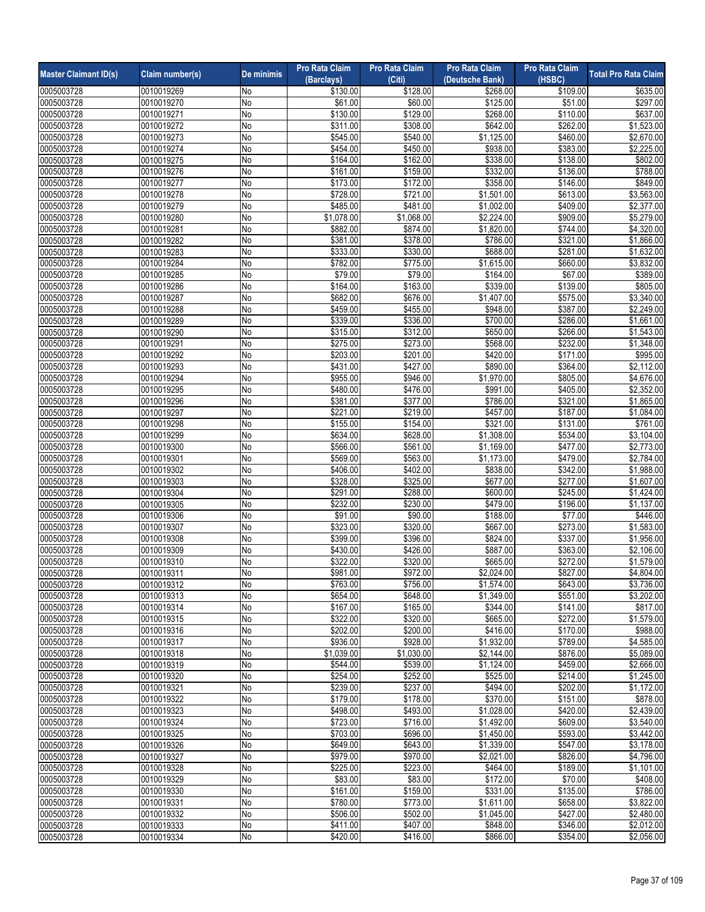| <b>Master Claimant ID(s)</b> | Claim number(s)          | De minimis | <b>Pro Rata Claim</b> | <b>Pro Rata Claim</b> | Pro Rata Claim         | <b>Pro Rata Claim</b> | Total Pro Rata Claim   |
|------------------------------|--------------------------|------------|-----------------------|-----------------------|------------------------|-----------------------|------------------------|
|                              |                          |            | (Barclays)            | (Citi)                | (Deutsche Bank)        | (HSBC)                |                        |
| 0005003728                   | 0010019269               | No         | \$130.00              | \$128.00              | \$268.00               | \$109.00              | \$635.00               |
| 0005003728                   | 0010019270               | <b>No</b>  | \$61.00               | \$60.00               | \$125.00               | \$51.00               | \$297.00               |
| 0005003728                   | 0010019271               | No         | \$130.00              | \$129.00              | \$268.00               | \$110.00              | \$637.00               |
| 0005003728                   | 0010019272               | No         | \$311.00              | \$308.00              | \$642.00               | \$262.00              | \$1,523.00             |
| 0005003728                   | 0010019273               | No         | \$545.00              | \$540.00              | \$1,125.00             | \$460.00              | \$2,670.00             |
| 0005003728                   | 0010019274               | <b>No</b>  | \$454.00              | \$450.00              | \$938.00               | \$383.00              | \$2,225.00             |
| 0005003728                   | 0010019275               | No         | \$164.00              | \$162.00              | \$338.00               | \$138.00              | \$802.00               |
| 0005003728                   | 0010019276               | <b>No</b>  | \$161.00              | \$159.00              | \$332.00               | \$136.00              | \$788.00               |
| 0005003728                   | 0010019277               | No         | \$173.00              | \$172.00              | \$358.00               | \$146.00              | \$849.00               |
| 0005003728                   | 0010019278               | <b>No</b>  | \$728.00              | \$721.00              | \$1,501.00             | \$613.00              | \$3,563.00             |
| 0005003728                   | 0010019279               | No         | \$485.00              | \$481.00              | \$1,002.00             | \$409.00              | \$2,377.00             |
| 0005003728                   | 0010019280               | No         | \$1,078.00            | \$1,068.00            | \$2,224.00             | \$909.00              | \$5,279.00             |
| 0005003728                   | 0010019281               | <b>No</b>  | \$882.00              | \$874.00              | \$1,820.00             | \$744.00              | \$4,320.00             |
| 0005003728                   | 0010019282               | <b>No</b>  | \$381.00              | \$378.00              | \$786.00               | \$321.00              | \$1,866.00             |
| 0005003728                   | 0010019283               | No         | \$333.00              | \$330.00              | \$688.00               | \$281.00              | \$1,632.00             |
| 0005003728                   | 0010019284               | No         | \$782.00              | \$775.00              | \$1,615.00             | \$660.00              | \$3,832.00             |
| 0005003728<br>0005003728     | 0010019285               | No<br>No   | \$79.00<br>\$164.00   | \$79.00<br>\$163.00   | \$164.00<br>\$339.00   | \$67.00<br>\$139.00   | \$389.00<br>\$805.00   |
|                              | 0010019286               | <b>No</b>  | \$682.00              | \$676.00              |                        | \$575.00              | \$3,340.00             |
| 0005003728<br>0005003728     | 0010019287<br>0010019288 | No         | \$459.00              | \$455.00              | \$1,407.00<br>\$948.00 | \$387.00              | \$2,249.00             |
| 0005003728                   | 0010019289               | <b>No</b>  | \$339.00              | \$336.00              | \$700.00               | \$286.00              | \$1,661.00             |
| 0005003728                   | 0010019290               | No         | \$315.00              | \$312.00              | \$650.00               | \$266.00              | \$1,543.00             |
| 0005003728                   | 0010019291               | No         | \$275.00              | \$273.00              | \$568.00               | \$232.00              | \$1,348.00             |
| 0005003728                   | 0010019292               | No         | \$203.00              | \$201.00              | \$420.00               | \$171.00              | \$995.00               |
| 0005003728                   | 0010019293               | No         | \$431.00              | \$427.00              | \$890.00               | \$364.00              | \$2,112.00             |
| 0005003728                   | 0010019294               | No         | \$955.00              | \$946.00              | \$1,970.00             | \$805.00              | \$4,676.00             |
| 0005003728                   | 0010019295               | No         | \$480.00              | \$476.00              | \$991.00               | \$405.00              | \$2,352.00             |
| 0005003728                   | 0010019296               | No         | \$381.00              | \$377.00              | \$786.00               | \$321.00              | \$1,865.00             |
| 0005003728                   | 0010019297               | No         | \$221.00              | \$219.00              | \$457.00               | \$187.00              | \$1,084.00             |
| 0005003728                   | 0010019298               | No         | \$155.00              | \$154.00              | \$321.00               | \$131.00              | \$761.00               |
| 0005003728                   | 0010019299               | No         | \$634.00              | \$628.00              | \$1,308.00             | \$534.00              | \$3,104.00             |
| 0005003728                   | 0010019300               | No         | \$566.00              | \$561.00              | \$1,169.00             | \$477.00              | \$2,773.00             |
| 0005003728                   | 0010019301               | No         | \$569.00              | \$563.00              | \$1,173.00             | \$479.00              | \$2,784.00             |
| 0005003728                   | 0010019302               | No         | \$406.00              | \$402.00              | \$838.00               | \$342.00              | \$1,988.00             |
| 0005003728                   | 0010019303               | No         | \$328.00              | \$325.00              | \$677.00               | \$277.00              | \$1,607.00             |
| 0005003728                   | 0010019304               | No         | \$291.00              | \$288.00              | \$600.00               | \$245.00              | \$1,424.00             |
| 0005003728                   | 0010019305               | No         | \$232.00              | \$230.00              | \$479.00               | \$196.00              | \$1,137.00             |
| 0005003728                   | 0010019306               | No         | \$91.00               | \$90.00               | \$188.00               | \$77.00               | \$446.00               |
| 0005003728                   | 0010019307               | No         | \$323.00              | \$320.00              | \$667.00               | \$273.00              | \$1,583.00             |
| 0005003728                   | 0010019308               | No         | \$399.00              | \$396.00              | \$824.00               | \$337.00              | \$1,956.00             |
| 0005003728                   | 0010019309               | No         | \$430.00              | \$426.00              | \$887.00               | \$363.00              | \$2,106.00             |
| 0005003728                   | 0010019310               | No         | \$322.00              | \$320.00              | \$665.00               | \$272.00              | \$1,579.00             |
| 0005003728                   | 0010019311               | No         | \$981.00              | \$972.00              | \$2,024.00             | \$827.00              | \$4,804.00             |
| 0005003728                   | 0010019312               | No         | \$763.00              | \$756.00              | \$1,574.00             | \$643.00              | \$3,736.00             |
| 0005003728                   | 0010019313               | No         | \$654.00              | \$648.00              | \$1,349.00             | \$551.00              | \$3,202.00             |
| 0005003728                   | 0010019314               | No         | \$167.00              | \$165.00              | \$344.00               | \$141.00              | \$817.00               |
| 0005003728                   | 0010019315               | No         | \$322.00              | \$320.00              | \$665.00               | \$272.00              | \$1,579.00             |
| 0005003728                   | 0010019316               | No         | \$202.00              | \$200.00              | \$416.00               | \$170.00              | \$988.00               |
| 0005003728                   | 0010019317               | No         | \$936.00              | \$928.00              | \$1,932.00             | \$789.00              | \$4,585.00             |
| 0005003728                   | 0010019318               | No         | \$1,039.00            | \$1,030.00            | \$2,144.00             | \$876.00              | \$5,089.00             |
| 0005003728                   | 0010019319               | <b>No</b>  | \$544.00              | \$539.00              | \$1,124.00             | \$459.00              | \$2,666.00             |
| 0005003728                   | 0010019320               | No         | \$254.00              | \$252.00              | \$525.00               | \$214.00              | \$1,245.00             |
| 0005003728                   | 0010019321               | <b>No</b>  | \$239.00              | \$237.00              | \$494.00               | \$202.00              | \$1,172.00             |
| 0005003728                   | 0010019322               | No         | \$179.00              | \$178.00              | \$370.00               | \$151.00              | \$878.00               |
| 0005003728                   | 0010019323               | No         | \$498.00              | \$493.00              | \$1,028.00             | \$420.00              | \$2,439.00             |
| 0005003728                   | 0010019324               | No         | \$723.00              | \$716.00              | \$1,492.00             | \$609.00              | \$3,540.00             |
| 0005003728                   | 0010019325               | No         | \$703.00              | \$696.00              | \$1,450.00             | \$593.00              | \$3,442.00             |
| 0005003728                   | 0010019326               | <b>No</b>  | \$649.00              | \$643.00              | \$1,339.00             | \$547.00              | \$3,178.00             |
| 0005003728                   | 0010019327               | <b>No</b>  | \$979.00              | \$970.00              | \$2,021.00             | \$826.00              | \$4,796.00             |
| 0005003728                   | 0010019328               | No         | \$225.00              | \$223.00              | \$464.00               | \$189.00              | $\overline{$1,101.00}$ |
| 0005003728                   | 0010019329               | No         | \$83.00               | \$83.00               | \$172.00               | \$70.00               | \$408.00               |
| 0005003728                   | 0010019330               | <b>No</b>  | \$161.00              | \$159.00              | \$331.00               | \$135.00              | \$786.00               |
| 0005003728                   | 0010019331               | No         | \$780.00              | \$773.00              | \$1,611.00             | \$658.00              | \$3,822.00             |
| 0005003728                   | 0010019332               | No         | \$506.00              | \$502.00              | \$1,045.00             | \$427.00              | \$2,480.00             |
| 0005003728                   | 0010019333               | <b>No</b>  | \$411.00              | \$407.00              | \$848.00               | \$346.00              | \$2,012.00             |
| 0005003728                   | 0010019334               | <b>No</b>  | \$420.00              | \$416.00              | \$866.00               | \$354.00              | \$2,056.00             |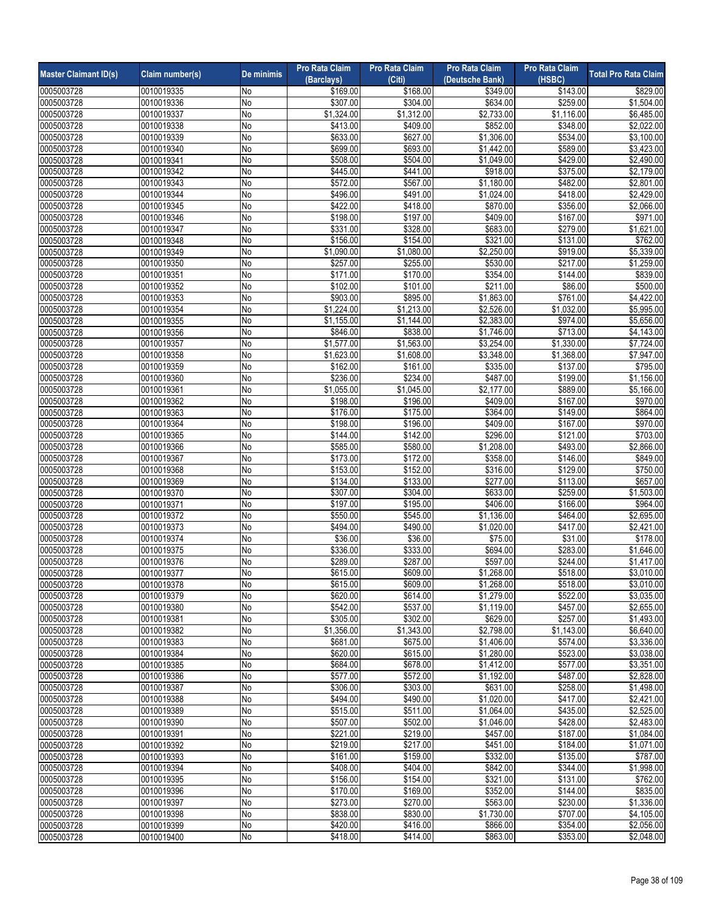| <b>Master Claimant ID(s)</b> | Claim number(s) | De minimis | <b>Pro Rata Claim</b> | <b>Pro Rata Claim</b> | Pro Rata Claim  | <b>Pro Rata Claim</b> | Total Pro Rata Claim |
|------------------------------|-----------------|------------|-----------------------|-----------------------|-----------------|-----------------------|----------------------|
|                              |                 |            | (Barclays)            | (Citi)                | (Deutsche Bank) | (HSBC)                |                      |
| 0005003728                   | 0010019335      | No         | \$169.00              | \$168.00              | \$349.00        | \$143.00              | \$829.00             |
| 0005003728                   | 0010019336      | No         | \$307.00              | \$304.00              | \$634.00        | \$259.00              | \$1,504.00           |
| 0005003728                   | 0010019337      | No         | \$1,324.00            | \$1,312.00            | \$2,733.00      | \$1,116.00            | \$6,485.00           |
| 0005003728                   | 0010019338      | No         | \$413.00              | \$409.00              | \$852.00        | \$348.00              | \$2,022.00           |
| 0005003728                   | 0010019339      | No         | \$633.00              | \$627.00              | \$1,306.00      | \$534.00              | \$3,100.00           |
| 0005003728                   | 0010019340      | No         | \$699.00              | \$693.00              | \$1,442.00      | \$589.00              | \$3,423.00           |
| 0005003728                   | 0010019341      | No         | \$508.00              | \$504.00              | \$1,049.00      | \$429.00              | \$2,490.00           |
| 0005003728                   | 0010019342      | No         | \$445.00              | \$441.00              | \$918.00        | \$375.00              | \$2,179.00           |
| 0005003728                   | 0010019343      | No         | \$572.00              | \$567.00              | \$1,180.00      | \$482.00              | \$2,801.00           |
| 0005003728                   | 0010019344      | No         | \$496.00              | \$491.00              | \$1,024.00      | \$418.00              | \$2,429.00           |
| 0005003728                   | 0010019345      | No         | \$422.00              | \$418.00              | \$870.00        | \$356.00              | \$2,066.00           |
| 0005003728                   | 0010019346      | No         | \$198.00              | \$197.00              | \$409.00        | \$167.00              | \$971.00             |
|                              |                 |            |                       |                       |                 |                       |                      |
| 0005003728                   | 0010019347      | No         | \$331.00              | \$328.00              | \$683.00        | \$279.00              | \$1,621.00           |
| 0005003728                   | 0010019348      | No         | \$156.00              | \$154.00              | \$321.00        | \$131.00              | \$762.00             |
| 0005003728                   | 0010019349      | No         | \$1,090.00            | \$1,080.00            | \$2,250.00      | \$919.00              | \$5,339.00           |
| 0005003728                   | 0010019350      | No         | \$257.00              | \$255.00              | \$530.00        | \$217.00              | \$1,259.00           |
| 0005003728                   | 0010019351      | No         | \$171.00              | \$170.00              | \$354.00        | \$144.00              | \$839.00             |
| 0005003728                   | 0010019352      | No         | \$102.00              | \$101.00              | \$211.00        | \$86.00               | \$500.00             |
| 0005003728                   | 0010019353      | No         | \$903.00              | \$895.00              | \$1,863.00      | \$761.00              | \$4,422.00           |
| 0005003728                   | 0010019354      | No         | \$1,224.00            | \$1,213.00            | \$2,526.00      | \$1,032.00            | \$5,995.00           |
| 0005003728                   | 0010019355      | No         | \$1,155.00            | \$1,144.00            | \$2,383.00      | \$974.00              | \$5,656.00           |
| 0005003728                   | 0010019356      | No         | \$846.00              | \$838.00              | \$1,746.00      | \$713.00              | \$4,143.00           |
| 0005003728                   | 0010019357      | No         | \$1,577.00            | \$1,563.00            | \$3,254.00      | \$1,330.00            | \$7,724.00           |
| 0005003728                   | 0010019358      | No         | \$1,623.00            | \$1,608.00            | \$3,348.00      | \$1,368.00            | \$7,947.00           |
| 0005003728                   | 0010019359      | No         | \$162.00              | \$161.00              | \$335.00        | \$137.00              | \$795.00             |
| 0005003728                   | 0010019360      | No         | \$236.00              | \$234.00              | \$487.00        | \$199.00              | \$1,156.00           |
| 0005003728                   | 0010019361      | No         | \$1,055.00            | \$1,045.00            | \$2,177.00      | \$889.00              | \$5,166.00           |
| 0005003728                   | 0010019362      | No         | \$198.00              | \$196.00              | \$409.00        | \$167.00              | \$970.00             |
| 0005003728                   | 0010019363      | No         | \$176.00              | \$175.00              | \$364.00        | \$149.00              | \$864.00             |
| 0005003728                   | 0010019364      | No         | \$198.00              | \$196.00              | \$409.00        | \$167.00              | \$970.00             |
| 0005003728                   | 0010019365      | No         | \$144.00              | \$142.00              | \$296.00        | \$121.00              | \$703.00             |
| 0005003728                   | 0010019366      | No         | \$585.00              | \$580.00              | \$1,208.00      | \$493.00              | \$2,866.00           |
| 0005003728                   | 0010019367      | No         | \$173.00              | \$172.00              | \$358.00        | \$146.00              | \$849.00             |
|                              |                 |            |                       |                       |                 |                       |                      |
| 0005003728                   | 0010019368      | No         | \$153.00              | \$152.00              | \$316.00        | \$129.00              | \$750.00             |
| 0005003728                   | 0010019369      | No         | \$134.00              | \$133.00              | \$277.00        | \$113.00              | \$657.00             |
| 0005003728                   | 0010019370      | No         | \$307.00              | \$304.00              | \$633.00        | \$259.00              | \$1,503.00           |
| 0005003728                   | 0010019371      | No         | \$197.00              | \$195.00              | \$406.00        | \$166.00              | \$964.00             |
| 0005003728                   | 0010019372      | No         | \$550.00              | \$545.00              | \$1,136.00      | \$464.00              | \$2,695.00           |
| 0005003728                   | 0010019373      | No         | \$494.00              | \$490.00              | \$1,020.00      | \$417.00              | \$2,421.00           |
| 0005003728                   | 0010019374      | No         | \$36.00               | \$36.00               | \$75.00         | \$31.00               | \$178.00             |
| 0005003728                   | 0010019375      | No         | \$336.00              | \$333.00              | \$694.00        | \$283.00              | \$1,646.00           |
| 0005003728                   | 0010019376      | No         | \$289.00              | \$287.00              | \$597.00        | \$244.00              | \$1,417.00           |
| 0005003728                   | 0010019377      | No         | \$615.00              | \$609.00              | \$1,268.00      | \$518.00              | \$3.010.00           |
| 0005003728                   | 0010019378      | No         | \$615.00              | \$609.00              | \$1,268.00      | \$518.00              | \$3,010.00           |
| 0005003728                   | 0010019379      | No         | \$620.00              | \$614.00              | \$1,279.00      | \$522.00              | \$3,035.00           |
| 0005003728                   | 0010019380      | No         | \$542.00              | \$537.00              | \$1,119.00      | \$457.00              | \$2,655.00           |
| 0005003728                   | 0010019381      | No         | \$305.00              | \$302.00              | \$629.00        | \$257.00              | \$1,493.00           |
| 0005003728                   | 0010019382      | No         | \$1,356.00            | \$1,343.00            | \$2,798.00      | \$1,143.00            | \$6,640.00           |
| 0005003728                   | 0010019383      | No         | \$681.00              | \$675.00              | \$1,406.00      | \$574.00              | \$3,336.00           |
| 0005003728                   | 0010019384      | No         | \$620.00              | \$615.00              | \$1,280.00      | \$523.00              | \$3,038.00           |
| 0005003728                   | 0010019385      | No         | \$684.00              | \$678.00              | \$1,412.00      | \$577.00              | \$3.351.00           |
| 0005003728                   | 0010019386      | No         | \$577.00              | \$572.00              | \$1,192.00      | \$487.00              | \$2,828.00           |
| 0005003728                   | 0010019387      | <b>No</b>  | \$306.00              | \$303.00              | \$631.00        | \$258.00              | \$1,498.00           |
| 0005003728                   | 0010019388      | No         | \$494.00              | \$490.00              | \$1,020.00      | \$417.00              | \$2,421.00           |
| 0005003728                   | 0010019389      | No         | \$515.00              | \$511.00              | \$1,064.00      | \$435.00              | \$2,525.00           |
| 0005003728                   | 0010019390      | No         | \$507.00              | \$502.00              | \$1,046.00      | \$428.00              | \$2,483.00           |
|                              |                 |            |                       |                       |                 |                       |                      |
| 0005003728                   | 0010019391      | No         | \$221.00              | \$219.00              | \$457.00        | \$187.00              | \$1,084.00           |
| 0005003728                   | 0010019392      | <b>No</b>  | \$219.00              | \$217.00              | \$451.00        | \$184.00              | \$1,071.00           |
| 0005003728                   | 0010019393      | <b>No</b>  | \$161.00              | \$159.00              | \$332.00        | \$135.00              | \$787.00             |
| 0005003728                   | 0010019394      | No         | \$408.00              | \$404.00              | \$842.00        | \$344.00              | \$1,998.00           |
| 0005003728                   | 0010019395      | No         | \$156.00              | \$154.00              | \$321.00        | \$131.00              | \$762.00             |
| 0005003728                   | 0010019396      | <b>No</b>  | \$170.00              | \$169.00              | \$352.00        | \$144.00              | \$835.00             |
| 0005003728                   | 0010019397      | No         | \$273.00              | \$270.00              | \$563.00        | \$230.00              | \$1,336.00           |
| 0005003728                   | 0010019398      | No         | \$838.00              | \$830.00              | \$1,730.00      | \$707.00              | \$4,105.00           |
| 0005003728                   | 0010019399      | <b>No</b>  | \$420.00              | \$416.00              | \$866.00        | \$354.00              | \$2,056.00           |
| 0005003728                   | 0010019400      | <b>No</b>  | \$418.00              | \$414.00              | \$863.00        | \$353.00              | \$2,048.00           |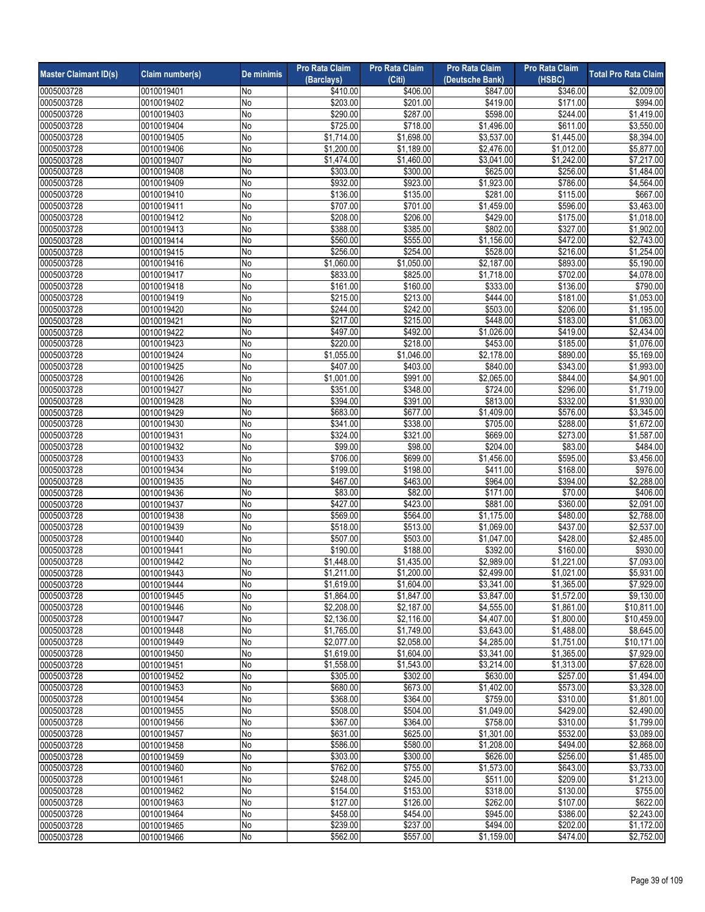| <b>Master Claimant ID(s)</b> | Claim number(s) | De minimis | <b>Pro Rata Claim</b>  | <b>Pro Rata Claim</b> | Pro Rata Claim  | <b>Pro Rata Claim</b> | Total Pro Rata Claim |
|------------------------------|-----------------|------------|------------------------|-----------------------|-----------------|-----------------------|----------------------|
|                              |                 |            | (Barclays)             | (Citi)                | (Deutsche Bank) | (HSBC)                |                      |
| 0005003728                   | 0010019401      | No         | \$410.00               | \$406.00              | \$847.00        | \$346.00              | \$2,009.00           |
| 0005003728                   | 0010019402      | No         | \$203.00               | \$201.00              | \$419.00        | \$171.00              | \$994.00             |
| 0005003728                   | 0010019403      | No         | \$290.00               | \$287.00              | \$598.00        | \$244.00              | \$1,419.00           |
| 0005003728                   | 0010019404      | No         | \$725.00               | \$718.00              | \$1,496.00      | \$611.00              | \$3,550.00           |
| 0005003728                   | 0010019405      | No         | \$1,714.00             | \$1,698.00            | \$3,537.00      | \$1,445.00            | \$8,394.00           |
| 0005003728                   | 0010019406      | No         | \$1,200.00             | \$1,189.00            | \$2,476.00      | \$1,012.00            | \$5,877.00           |
| 0005003728                   | 0010019407      | No         | \$1,474.00             | \$1,460.00            | \$3,041.00      | \$1,242.00            | \$7,217.00           |
| 0005003728                   | 0010019408      | No         | \$303.00               | \$300.00              | \$625.00        | \$256.00              | \$1,484.00           |
| 0005003728                   | 0010019409      | No         | \$932.00               | \$923.00              | \$1,923.00      | \$786.00              | \$4,564.00           |
| 0005003728                   | 0010019410      | No         | \$136.00               | \$135.00              | \$281.00        | \$115.00              | \$667.00             |
| 0005003728                   | 0010019411      | No         | \$707.00               | \$701.00              | \$1,459.00      | \$596.00              | \$3,463.00           |
| 0005003728                   | 0010019412      | No         | \$208.00               | \$206.00              | \$429.00        | \$175.00              | \$1,018.00           |
| 0005003728                   | 0010019413      | No         | \$388.00               | \$385.00              | \$802.00        | \$327.00              | \$1,902.00           |
| 0005003728                   | 0010019414      | No         | \$560.00               | \$555.00              | \$1,156.00      | \$472.00              | \$2,743.00           |
| 0005003728                   | 0010019415      | No         | \$256.00               | \$254.00              | \$528.00        | \$216.00              | \$1,254.00           |
| 0005003728                   | 0010019416      | No         | $\overline{$1,060.00}$ | \$1,050.00            | \$2,187.00      | \$893.00              | \$5,190.00           |
| 0005003728                   | 0010019417      | No         | \$833.00               | \$825.00              | \$1,718.00      | \$702.00              | \$4,078.00           |
| 0005003728                   | 0010019418      | No         | \$161.00               | \$160.00              | \$333.00        | \$136.00              | \$790.00             |
| 0005003728                   | 0010019419      | No         | \$215.00               | \$213.00              | \$444.00        | \$181.00              | \$1,053.00           |
| 0005003728                   | 0010019420      | No         | \$244.00               | \$242.00              | \$503.00        | \$206.00              | \$1,195.00           |
| 0005003728                   | 0010019421      | No         | \$217.00               | \$215.00              | \$448.00        | \$183.00              | \$1,063.00           |
| 0005003728                   | 0010019422      | No         | \$497.00               | \$492.00              | \$1,026.00      | \$419.00              | \$2,434.00           |
| 0005003728                   | 0010019423      | No         | \$220.00               | \$218.00              | \$453.00        | \$185.00              | \$1,076.00           |
| 0005003728                   | 0010019424      | No         | \$1,055.00             | \$1,046.00            | \$2,178.00      | \$890.00              | \$5,169.00           |
| 0005003728                   | 0010019425      | No         | \$407.00               | \$403.00              | \$840.00        | \$343.00              | \$1,993.00           |
| 0005003728                   | 0010019426      | No         | \$1,001.00             | \$991.00              | \$2,065.00      | \$844.00              | \$4,901.00           |
| 0005003728                   | 0010019427      | No         | \$351.00               | \$348.00              | \$724.00        | \$296.00              | \$1,719.00           |
| 0005003728                   | 0010019428      | No         | \$394.00               | \$391.00              | \$813.00        | \$332.00              | \$1,930.00           |
| 0005003728                   | 0010019429      | No         | \$683.00               | \$677.00              | \$1,409.00      | \$576.00              | \$3,345.00           |
| 0005003728                   | 0010019430      | No         | \$341.00               | \$338.00              | \$705.00        | \$288.00              | \$1,672.00           |
| 0005003728                   | 0010019431      | No         | \$324.00               | \$321.00              | \$669.00        | \$273.00              | \$1,587.00           |
| 0005003728                   | 0010019432      | No         | \$99.00                | \$98.00               | \$204.00        | \$83.00               | \$484.00             |
| 0005003728                   | 0010019433      | No         | \$706.00               | \$699.00              | \$1,456.00      | \$595.00              | \$3,456.00           |
| 0005003728                   | 0010019434      | No         | \$199.00               | \$198.00              | \$411.00        | \$168.00              | \$976.00             |
| 0005003728                   | 0010019435      | No         | \$467.00               | \$463.00              | \$964.00        | \$394.00              | \$2,288.00           |
| 0005003728                   | 0010019436      | No         | \$83.00                | \$82.00               | \$171.00        | \$70.00               | \$406.00             |
| 0005003728                   | 0010019437      | No         | \$427.00               | \$423.00              | \$881.00        | \$360.00              | \$2,091.00           |
| 0005003728                   | 0010019438      | No         | \$569.00               | \$564.00              | \$1,175.00      | \$480.00              | \$2,788.00           |
| 0005003728                   | 0010019439      | No         | \$518.00               | \$513.00              | \$1,069.00      | \$437.00              | \$2,537.00           |
| 0005003728                   | 0010019440      | No         | \$507.00               | \$503.00              | \$1,047.00      | \$428.00              | \$2,485.00           |
| 0005003728                   | 0010019441      | No         | \$190.00               | \$188.00              | \$392.00        | \$160.00              | \$930.00             |
| 0005003728                   | 0010019442      | No         | \$1,448.00             | \$1,435.00            | \$2,989.00      | \$1,221.00            | \$7,093.00           |
| 0005003728                   | 0010019443      | No         | \$1,211.00             | \$1,200.00            | \$2,499.00      | \$1.021.00            | \$5,931.00           |
| 0005003728                   | 0010019444      | No         | \$1,619.00             | \$1,604.00            | \$3,341.00      | \$1,365.00            | \$7,929.00           |
| 0005003728                   | 0010019445      | No         | \$1,864.00             | \$1,847.00            | \$3,847.00      | \$1,572.00            | \$9,130.00           |
| 0005003728                   | 0010019446      | No         | \$2,208.00             | \$2,187.00            | \$4,555.00      | \$1,861.00            | \$10,811.00          |
| 0005003728                   | 0010019447      | No         | \$2,136.00             | \$2,116.00            | \$4,407.00      | \$1,800.00            | \$10,459.00          |
| 0005003728                   | 0010019448      | No         | \$1,765.00             | \$1,749.00            | \$3,643.00      | \$1,488.00            | \$8,645.00           |
| 0005003728                   | 0010019449      | No         | \$2,077.00             | \$2,058.00            | \$4,285.00      | \$1,751.00            | \$10,171.00          |
| 0005003728                   | 0010019450      | No         | \$1,619.00             | \$1,604.00            | \$3,341.00      | \$1,365.00            | \$7,929.00           |
| 0005003728                   | 0010019451      | <b>No</b>  | \$1.558.00             | \$1,543.00            | \$3,214.00      | \$1,313.00            | \$7,628.00           |
| 0005003728                   | 0010019452      | No         | \$305.00               | \$302.00              | \$630.00        | \$257.00              | \$1,494.00           |
| 0005003728                   | 0010019453      | <b>No</b>  | \$680.00               | \$673.00              | \$1,402.00      | \$573.00              | \$3,328.00           |
| 0005003728                   | 0010019454      | No         | \$368.00               | \$364.00              | \$759.00        | \$310.00              | \$1,801.00           |
| 0005003728                   | 0010019455      | No         | \$508.00               | \$504.00              | \$1,049.00      | \$429.00              | \$2,490.00           |
| 0005003728                   | 0010019456      | No         | \$367.00               | \$364.00              | \$758.00        | \$310.00              | \$1,799.00           |
| 0005003728                   | 0010019457      | No         | \$631.00               | \$625.00              | \$1,301.00      | \$532.00              | \$3,089.00           |
| 0005003728                   | 0010019458      | <b>No</b>  | \$586.00               | \$580.00              | \$1,208.00      | \$494.00              | \$2,868.00           |
| 0005003728                   | 0010019459      | <b>No</b>  | \$303.00               | \$300.00              | \$626.00        | \$256.00              | \$1,485.00           |
| 0005003728                   | 0010019460      | No         | \$762.00               | \$755.00              | \$1,573.00      | \$643.00              | \$3,733.00           |
| 0005003728                   | 0010019461      | No         | \$248.00               | \$245.00              | \$511.00        | \$209.00              | \$1,213.00           |
| 0005003728                   | 0010019462      | <b>No</b>  | \$154.00               | \$153.00              | \$318.00        | \$130.00              | \$755.00             |
| 0005003728                   | 0010019463      | No         | \$127.00               | \$126.00              | \$262.00        | \$107.00              | \$622.00             |
| 0005003728                   | 0010019464      | No         | \$458.00               | \$454.00              | \$945.00        | \$386.00              | \$2,243.00           |
| 0005003728                   | 0010019465      | <b>No</b>  | \$239.00               | \$237.00              | \$494.00        | \$202.00              | \$1,172.00           |
| 0005003728                   | 0010019466      | <b>No</b>  | \$562.00               | \$557.00              | \$1,159.00      | \$474.00              | \$2,752.00           |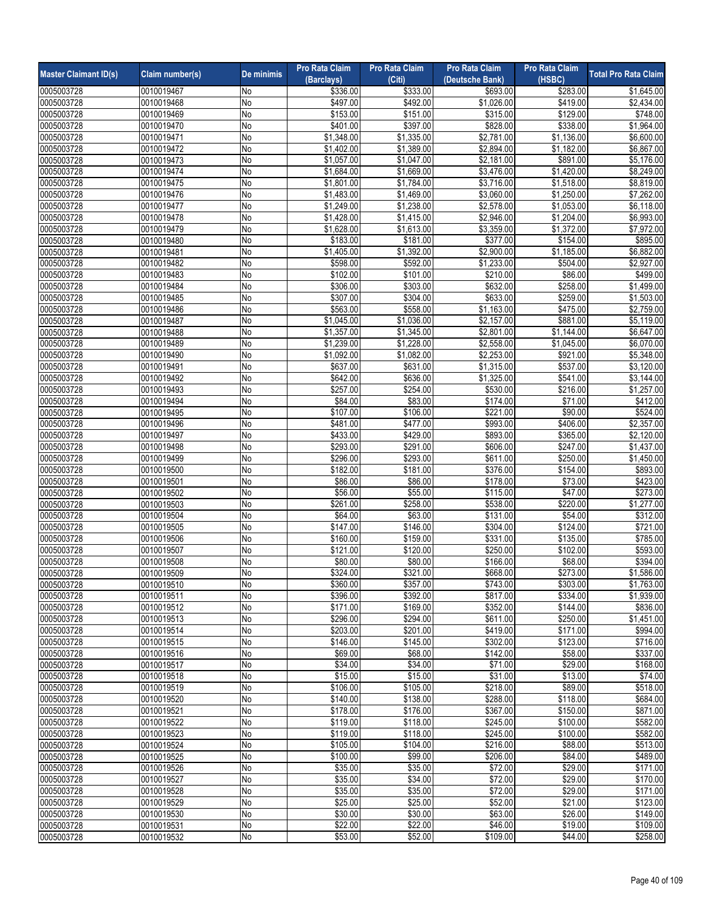| <b>Master Claimant ID(s)</b> | Claim number(s)          | De minimis | <b>Pro Rata Claim</b> | <b>Pro Rata Claim</b> | Pro Rata Claim           | <b>Pro Rata Claim</b> | Total Pro Rata Claim   |
|------------------------------|--------------------------|------------|-----------------------|-----------------------|--------------------------|-----------------------|------------------------|
|                              |                          |            | (Barclays)            | (Citi)                | (Deutsche Bank)          | (HSBC)                |                        |
| 0005003728                   | 0010019467               | No         | \$336.00              | \$333.00              | \$693.00                 | \$283.00              | \$1,645.00             |
| 0005003728                   | 0010019468               | No         | \$497.00              | \$492.00              | \$1,026.00               | \$419.00              | \$2,434.00             |
| 0005003728                   | 0010019469               | No         | \$153.00              | \$151.00              | \$315.00                 | \$129.00              | \$748.00               |
| 0005003728                   | 0010019470               | No         | \$401.00              | \$397.00              | \$828.00                 | \$338.00              | \$1,964.00             |
| 0005003728                   | 0010019471               | No         | \$1,348.00            | \$1,335.00            | \$2,781.00               | \$1,136.00            | \$6,600.00             |
| 0005003728                   | 0010019472               | No         | \$1,402.00            | \$1,389.00            | \$2,894.00               | \$1,182.00            | \$6,867.00             |
| 0005003728                   | 0010019473               | No         | \$1,057.00            | \$1,047.00            | \$2,181.00               | \$891.00              | \$5,176.00             |
| 0005003728                   | 0010019474               | No         | \$1,684.00            | \$1,669.00            | \$3,476.00               | \$1,420.00            | \$8,249.00             |
| 0005003728                   | 0010019475               | No         | \$1,801.00            | \$1,784.00            | \$3,716.00               | \$1.518.00            | \$8,819.00             |
| 0005003728                   | 0010019476               | No         | \$1,483.00            | \$1,469.00            | \$3,060.00               | \$1,250.00            | \$7,262.00             |
| 0005003728                   | 0010019477               | No         | \$1,249.00            | \$1,238.00            | \$2,578.00               | \$1,053.00            | \$6,118.00             |
| 0005003728                   | 0010019478               | No         | \$1,428.00            | \$1,415.00            | \$2,946.00               | \$1,204.00            | \$6,993.00             |
| 0005003728                   | 0010019479               | No         | \$1,628.00            | \$1,613.00            | \$3,359.00               | \$1,372.00            | \$7,972.00             |
| 0005003728                   | 0010019480               | No         | \$183.00              | \$181.00              | \$377.00                 | \$154.00              | \$895.00               |
| 0005003728                   | 0010019481               | No         | \$1,405.00            | \$1,392.00            | \$2,900.00               | \$1,185.00            | \$6,882.00             |
| 0005003728                   | 0010019482               | No         | \$598.00              | \$592.00              | \$1,233.00               | \$504.00              | \$2,927.00             |
| 0005003728<br>0005003728     | 0010019483               | No         | \$102.00              | \$101.00              | \$210.00                 | \$86.00               | \$499.00<br>\$1,499.00 |
|                              | 0010019484               | No<br>No   | \$306.00<br>\$307.00  | \$303.00<br>\$304.00  | \$632.00                 | \$258.00<br>\$259.00  | \$1,503.00             |
| 0005003728<br>0005003728     | 0010019485<br>0010019486 | No         | \$563.00              | \$558.00              | \$633.00                 | \$475.00              | \$2,759.00             |
| 0005003728                   | 0010019487               | No         | \$1,045.00            | \$1,036.00            | \$1,163.00<br>\$2,157.00 | \$881.00              | \$5,119.00             |
| 0005003728                   | 0010019488               | No         | \$1,357.00            | \$1,345.00            | \$2,801.00               | \$1,144.00            | \$6,647.00             |
| 0005003728                   | 0010019489               | No         | \$1,239.00            | \$1,228.00            | \$2,558.00               | \$1,045.00            | \$6,070.00             |
| 0005003728                   | 0010019490               | No         | \$1,092.00            | \$1,082.00            | \$2,253.00               | \$921.00              | \$5,348.00             |
| 0005003728                   | 0010019491               | No         | \$637.00              | \$631.00              | \$1,315.00               | \$537.00              | \$3,120.00             |
| 0005003728                   | 0010019492               | No         | \$642.00              | \$636.00              | \$1,325.00               | \$541.00              | \$3,144.00             |
| 0005003728                   | 0010019493               | No         | \$257.00              | \$254.00              | \$530.00                 | \$216.00              | \$1,257.00             |
| 0005003728                   | 0010019494               | No         | \$84.00               | \$83.00               | \$174.00                 | \$71.00               | \$412.00               |
| 0005003728                   | 0010019495               | No         | \$107.00              | \$106.00              | \$221.00                 | \$90.00               | \$524.00               |
| 0005003728                   | 0010019496               | No         | \$481.00              | \$477.00              | \$993.00                 | \$406.00              | \$2,357.00             |
| 0005003728                   | 0010019497               | No         | \$433.00              | \$429.00              | \$893.00                 | \$365.00              | \$2,120.00             |
| 0005003728                   | 0010019498               | No         | \$293.00              | \$291.00              | \$606.00                 | \$247.00              | \$1,437.00             |
| 0005003728                   | 0010019499               | No         | \$296.00              | \$293.00              | \$611.00                 | \$250.00              | \$1,450.00             |
| 0005003728                   | 0010019500               | No         | \$182.00              | \$181.00              | \$376.00                 | \$154.00              | \$893.00               |
| 0005003728                   | 0010019501               | No         | \$86.00               | \$86.00               | \$178.00                 | \$73.00               | \$423.00               |
| 0005003728                   | 0010019502               | No         | \$56.00               | \$55.00               | \$115.00                 | \$47.00               | \$273.00               |
| 0005003728                   | 0010019503               | No         | \$261.00              | \$258.00              | \$538.00                 | \$220.00              | \$1,277.00             |
| 0005003728                   | 0010019504               | No         | \$64.00               | \$63.00               | \$131.00                 | \$54.00               | \$312.00               |
| 0005003728                   | 0010019505               | No         | \$147.00              | \$146.00              | \$304.00                 | \$124.00              | \$721.00               |
| 0005003728                   | 0010019506               | No         | \$160.00              | \$159.00              | \$331.00                 | \$135.00              | \$785.00               |
| 0005003728                   | 0010019507               | No         | \$121.00              | \$120.00              | \$250.00                 | \$102.00              | \$593.00               |
| 0005003728                   | 0010019508               | No         | \$80.00               | \$80.00               | \$166.00                 | \$68.00               | \$394.00               |
| 0005003728                   | 0010019509               | No         | \$324.00              | \$321.00              | \$668.00                 | \$273.00              | \$1,586.00             |
| 0005003728                   | 0010019510               | No         | \$360.00              | \$357.00              | \$743.00                 | \$303.00              | \$1,763.00             |
| 0005003728                   | 0010019511               | No         | \$396.00              | \$392.00              | \$817.00                 | \$334.00              | \$1,939.00             |
| 0005003728                   | 0010019512               | No         | \$171.00              | \$169.00              | \$352.00                 | \$144.00              | \$836.00               |
| 0005003728                   | 0010019513               | No         | \$296.00              | \$294.00              | \$611.00                 | \$250.00              | \$1,451.00             |
| 0005003728                   | 0010019514               | No         | \$203.00              | \$201.00              | \$419.00                 | \$171.00              | \$994.00               |
| 0005003728                   | 0010019515               | No         | \$146.00              | \$145.00              | \$302.00                 | \$123.00              | \$716.00               |
| 0005003728                   | 0010019516               | No         | \$69.00               | \$68.00               | \$142.00                 | \$58.00               | \$337.00               |
| 0005003728                   | 0010019517               | <b>No</b>  | \$34.00               | \$34.00               | \$71.00                  | \$29.00               | \$168.00               |
| 0005003728                   | 0010019518               | No         | \$15.00               | \$15.00               | \$31.00                  | \$13.00               | \$74.00                |
| 0005003728                   | 0010019519               | <b>No</b>  | \$106.00              | \$105.00              | \$218.00                 | \$89.00               | \$518.00               |
| 0005003728                   | 0010019520               | No         | \$140.00              | \$138.00              | \$288.00                 | \$118.00              | \$684.00               |
| 0005003728                   | 0010019521               | No         | \$178.00              | \$176.00              | \$367.00                 | \$150.00              | \$871.00               |
| 0005003728                   | 0010019522               | No         | \$119.00              | \$118.00              | \$245.00                 | \$100.00              | \$582.00               |
| 0005003728                   | 0010019523               | No         | \$119.00              | \$118.00              | \$245.00                 | \$100.00              | \$582.00               |
| 0005003728                   | 0010019524               | <b>No</b>  | \$105.00              | \$104.00              | \$216.00                 | \$88.00               | \$513.00               |
| 0005003728                   | 0010019525               | <b>No</b>  | \$100.00              | \$99.00               | \$206.00                 | \$84.00               | \$489.00               |
| 0005003728                   | 0010019526               | <b>No</b>  | \$35.00               | \$35.00               | \$72.00                  | \$29.00               | \$171.00               |
| 0005003728                   | 0010019527               | No         | \$35.00               | \$34.00               | \$72.00                  | \$29.00               | \$170.00               |
| 0005003728                   | 0010019528               | No         | \$35.00               | \$35.00               | \$72.00                  | \$29.00               | \$171.00               |
| 0005003728                   | 0010019529               | <b>No</b>  | \$25.00               | \$25.00               | \$52.00                  | \$21.00               | \$123.00               |
| 0005003728                   | 0010019530               | <b>No</b>  | \$30.00               | \$30.00               | \$63.00                  | \$26.00               | \$149.00               |
| 0005003728                   | 0010019531               | <b>No</b>  | \$22.00               | \$22.00               | \$46.00                  | \$19.00               | \$109.00               |
| 0005003728                   | 0010019532               | <b>No</b>  | \$53.00               | \$52.00               | \$109.00                 | \$44.00               | \$258.00               |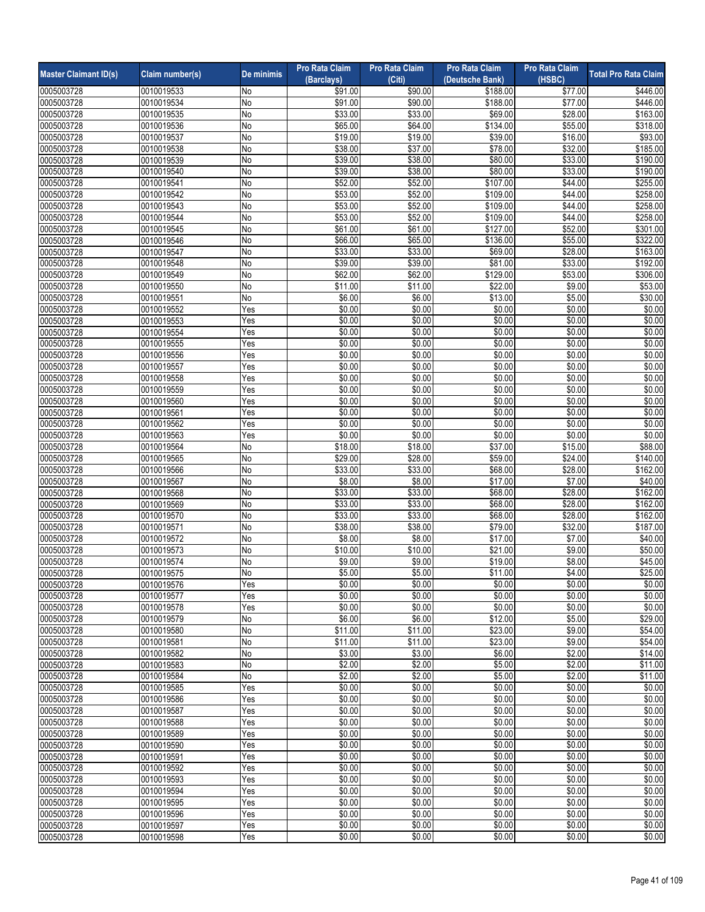| <b>Master Claimant ID(s)</b> | Claim number(s) | De minimis | <b>Pro Rata Claim</b> | <b>Pro Rata Claim</b> | Pro Rata Claim  | <b>Pro Rata Claim</b> | <b>Total Pro Rata Claim</b> |
|------------------------------|-----------------|------------|-----------------------|-----------------------|-----------------|-----------------------|-----------------------------|
|                              |                 |            | (Barclays)            | (Citi)                | (Deutsche Bank) | (HSBC)                |                             |
| 0005003728                   | 0010019533      | No         | \$91.00               | \$90.00               | \$188.00        | \$77.00               | \$446.00                    |
| 0005003728                   | 0010019534      | No         | \$91.00               | \$90.00               | \$188.00        | \$77.00               | \$446.00                    |
| 0005003728                   | 0010019535      | <b>No</b>  | \$33.00               | \$33.00               | \$69.00         | \$28.00               | \$163.00                    |
| 0005003728                   | 0010019536      | No         | \$65.00               | \$64.00               | \$134.00        | \$55.00               | \$318.00                    |
| 0005003728                   | 0010019537      | No         | \$19.00               | \$19.00               | \$39.00         | \$16.00               | \$93.00                     |
| 0005003728                   | 0010019538      | No         | \$38.00               | \$37.00               | \$78.00         | \$32.00               | \$185.00                    |
| 0005003728                   | 0010019539      | No         | \$39.00               | \$38.00               | \$80.00         | \$33.00               | \$190.00                    |
| 0005003728                   | 0010019540      | No         | \$39.00               | \$38.00               | \$80.00         | \$33.00               | \$190.00                    |
| 0005003728                   | 0010019541      | No         | \$52.00               | \$52.00               | \$107.00        | \$44.00               | \$255.00                    |
| 0005003728                   | 0010019542      | <b>No</b>  | \$53.00               | \$52.00               | \$109.00        | \$44.00               | \$258.00                    |
| 0005003728                   | 0010019543      | No         | \$53.00               | \$52.00               | \$109.00        | \$44.00               | \$258.00                    |
| 0005003728                   | 0010019544      | No         | \$53.00               | \$52.00               | \$109.00        | \$44.00               | \$258.00                    |
| 0005003728                   | 0010019545      | <b>No</b>  | \$61.00               | \$61.00               | \$127.00        | \$52.00               | \$301.00                    |
| 0005003728                   | 0010019546      | No         | \$66.00               | \$65.00               | \$136.00        | \$55.00               | \$322.00                    |
| 0005003728                   | 0010019547      | No         | \$33.00               | \$33.00               | \$69.00         | \$28.00               | \$163.00                    |
|                              |                 | No         |                       | \$39.00               |                 | \$33.00               |                             |
| 0005003728                   | 0010019548      |            | \$39.00               |                       | \$81.00         |                       | \$192.00                    |
| 0005003728                   | 0010019549      | No         | \$62.00               | \$62.00               | \$129.00        | \$53.00               | \$306.00                    |
| 0005003728                   | 0010019550      | No         | \$11.00               | \$11.00               | \$22.00         | \$9.00                | \$53.00                     |
| 0005003728                   | 0010019551      | No         | \$6.00                | \$6.00                | \$13.00         | \$5.00                | \$30.00                     |
| 0005003728                   | 0010019552      | Yes        | \$0.00                | \$0.00                | \$0.00          | \$0.00                | \$0.00                      |
| 0005003728                   | 0010019553      | Yes        | \$0.00                | \$0.00                | \$0.00          | \$0.00                | \$0.00                      |
| 0005003728                   | 0010019554      | Yes        | \$0.00                | \$0.00                | \$0.00          | \$0.00                | \$0.00                      |
| 0005003728                   | 0010019555      | Yes        | \$0.00                | \$0.00                | \$0.00          | \$0.00                | \$0.00                      |
| 0005003728                   | 0010019556      | Yes        | \$0.00                | \$0.00                | \$0.00          | \$0.00                | \$0.00                      |
| 0005003728                   | 0010019557      | Yes        | \$0.00                | \$0.00                | \$0.00          | \$0.00                | \$0.00                      |
| 0005003728                   | 0010019558      | Yes        | \$0.00                | \$0.00                | \$0.00          | \$0.00                | \$0.00                      |
| 0005003728                   | 0010019559      | Yes        | \$0.00                | \$0.00                | \$0.00          | \$0.00                | \$0.00                      |
| 0005003728                   | 0010019560      | Yes        | \$0.00                | \$0.00                | \$0.00          | \$0.00                | \$0.00                      |
| 0005003728                   | 0010019561      | Yes        | \$0.00                | \$0.00                | \$0.00          | \$0.00                | \$0.00                      |
| 0005003728                   | 0010019562      | Yes        | \$0.00                | \$0.00                | \$0.00          | \$0.00                | \$0.00                      |
| 0005003728                   | 0010019563      | Yes        | \$0.00                | \$0.00                | \$0.00          | \$0.00                | \$0.00                      |
| 0005003728                   | 0010019564      | No         | \$18.00               | \$18.00               | \$37.00         | \$15.00               | \$88.00                     |
| 0005003728                   | 0010019565      | No         | \$29.00               | \$28.00               | \$59.00         | \$24.00               | \$140.00                    |
| 0005003728                   | 0010019566      | No         | \$33.00               | \$33.00               | \$68.00         | \$28.00               | \$162.00                    |
| 0005003728                   | 0010019567      | <b>No</b>  | \$8.00                | \$8.00                | \$17.00         | \$7.00                | \$40.00                     |
| 0005003728                   | 0010019568      | <b>No</b>  | \$33.00               | \$33.00               | \$68.00         | \$28.00               | \$162.00                    |
| 0005003728                   | 0010019569      | No         | \$33.00               | \$33.00               | \$68.00         | \$28.00               | \$162.00                    |
| 0005003728                   | 0010019570      | No         | \$33.00               | \$33.00               | \$68.00         | \$28.00               | \$162.00                    |
|                              |                 |            |                       |                       |                 |                       |                             |
| 0005003728                   | 0010019571      | No         | \$38.00               | \$38.00<br>\$8.00     | \$79.00         | \$32.00               | \$187.00                    |
| 0005003728                   | 0010019572      | No         | \$8.00                |                       | \$17.00         | \$7.00                | \$40.00                     |
| 0005003728                   | 0010019573      | No         | \$10.00               | \$10.00               | \$21.00         | \$9.00                | \$50.00                     |
| 0005003728                   | 0010019574      | No         | \$9.00                | \$9.00                | \$19.00         | \$8.00                | \$45.00                     |
| 0005003728                   | 0010019575      | No         | \$5.00                | \$5.00                | \$11.00         | \$4.00                | \$25.00                     |
| 0005003728                   | 0010019576      | Yes        | \$0.00                | \$0.00                | \$0.00          | \$0.00                | \$0.00                      |
| 0005003728                   | 0010019577      | Yes        | \$0.00                | \$0.00                | \$0.00          | \$0.00                | \$0.00                      |
| 0005003728                   | 0010019578      | Yes        | \$0.00                | \$0.00                | \$0.00          | \$0.00                | \$0.00                      |
| 0005003728                   | 0010019579      | No         | \$6.00                | \$6.00                | \$12.00         | \$5.00                | \$29.00                     |
| 0005003728                   | 0010019580      | No         | \$11.00               | \$11.00               | \$23.00         | \$9.00                | \$54.00                     |
| 0005003728                   | 0010019581      | No         | \$11.00               | \$11.00               | \$23.00         | \$9.00                | \$54.00                     |
| 0005003728                   | 0010019582      | No         | \$3.00                | \$3.00                | \$6.00          | \$2.00                | \$14.00                     |
| 0005003728                   | 0010019583      | No         | \$2.00                | \$2.00                | \$5.00          | \$2.00                | \$11.00                     |
| 0005003728                   | 0010019584      | No         | \$2.00                | \$2.00                | \$5.00          | \$2.00                | \$11.00                     |
| 0005003728                   | 0010019585      | Yes        | \$0.00                | \$0.00                | \$0.00          | \$0.00                | \$0.00                      |
| 0005003728                   | 0010019586      | Yes        | \$0.00                | \$0.00                | \$0.00          | \$0.00                | \$0.00                      |
| 0005003728                   | 0010019587      | Yes        | \$0.00                | \$0.00                | \$0.00          | \$0.00                | \$0.00                      |
| 0005003728                   | 0010019588      | Yes        | \$0.00                | \$0.00                | \$0.00          | \$0.00                | \$0.00                      |
| 0005003728                   | 0010019589      | Yes        | \$0.00                | \$0.00                | \$0.00          | \$0.00                | \$0.00                      |
| 0005003728                   | 0010019590      | Yes        | \$0.00                | \$0.00                | \$0.00          | \$0.00                | \$0.00                      |
| 0005003728                   | 0010019591      | Yes        | \$0.00                | \$0.00                | \$0.00          | \$0.00                | \$0.00                      |
| 0005003728                   | 0010019592      | Yes        | \$0.00                | \$0.00                | \$0.00          | \$0.00                | \$0.00                      |
| 0005003728                   | 0010019593      | Yes        | \$0.00                | \$0.00                | \$0.00          | \$0.00                | \$0.00                      |
| 0005003728                   | 0010019594      | Yes        | \$0.00                | \$0.00                | \$0.00          | \$0.00                | \$0.00                      |
| 0005003728                   | 0010019595      |            | \$0.00                | \$0.00                | \$0.00          | \$0.00                | \$0.00                      |
| 0005003728                   |                 | Yes<br>Yes | \$0.00                | \$0.00                | \$0.00          | \$0.00                | \$0.00                      |
|                              | 0010019596      |            |                       |                       |                 |                       | \$0.00                      |
| 0005003728                   | 0010019597      | Yes        | \$0.00                | \$0.00                | \$0.00          | \$0.00                |                             |
| 0005003728                   | 0010019598      | Yes        | \$0.00                | \$0.00                | \$0.00          | \$0.00                | \$0.00                      |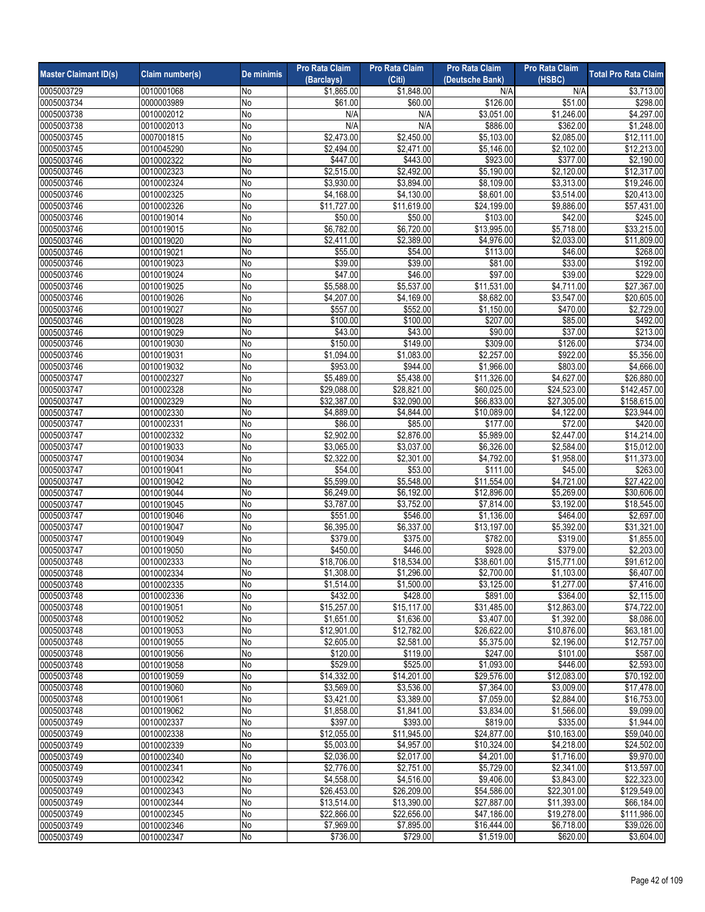| <b>Master Claimant ID(s)</b> | Claim number(s)          | De minimis             | <b>Pro Rata Claim</b><br>(Barclays) | <b>Pro Rata Claim</b><br>(Citi) | Pro Rata Claim<br>(Deutsche Bank) | Pro Rata Claim<br>(HSBC)   | <b>Total Pro Rata Claim</b> |
|------------------------------|--------------------------|------------------------|-------------------------------------|---------------------------------|-----------------------------------|----------------------------|-----------------------------|
| 0005003729                   | 0010001068               | No                     | \$1,865.00                          | \$1,848.00                      | N/A                               | N/A                        | \$3,713.00                  |
| 0005003734                   | 0000003989               | <b>No</b>              | \$61.00                             | \$60.00                         | \$126.00                          | \$51.00                    | \$298.00                    |
| 0005003738                   | 0010002012               | No                     | N/A                                 | N/A                             | \$3,051.00                        | \$1,246.00                 | \$4,297.00                  |
| 0005003738                   | 0010002013               | No                     | N/A                                 | N/A                             | \$886.00                          | \$362.00                   | \$1,248.00                  |
| 0005003745                   | 0007001815               | No                     | \$2,473.00                          | \$2,450.00                      | \$5,103.00                        | \$2,085.00                 | \$12,111.00                 |
| 0005003745                   | 0010045290               | No                     | \$2,494.00                          | \$2,471.00                      | \$5,146.00                        | \$2,102.00                 | \$12,213.00                 |
| 0005003746                   | 0010002322               | No                     | \$447.00                            | \$443.00                        | \$923.00                          | \$377.00                   | \$2,190.00                  |
| 0005003746                   | 0010002323               | No                     | \$2,515.00                          | \$2,492.00                      | \$5,190.00                        | $\sqrt{$2,120.00}$         | \$12,317.00                 |
| 0005003746                   | 0010002324               | No                     | \$3,930.00                          | \$3,894.00                      | \$8,109.00                        | \$3,313.00                 | \$19,246.00                 |
| 0005003746                   | 0010002325               | No                     | \$4,168.00                          | \$4,130.00                      | \$8,601.00                        | \$3,514.00                 | \$20,413.00                 |
| 0005003746                   | 0010002326               | No                     | \$11,727.00                         | \$11,619.00                     | \$24,199.00                       | \$9,886.00                 | \$57,431.00                 |
| 0005003746                   | 0010019014               | No                     | \$50.00                             | \$50.00                         | \$103.00                          | \$42.00                    | \$245.00                    |
| 0005003746                   | 0010019015               | No                     | \$6,782.00                          | \$6,720.00                      | \$13,995.00                       | \$5,718.00                 | \$33,215.00                 |
| 0005003746                   | 0010019020               | No                     | \$2,411.00                          | \$2,389.00                      | \$4,976.00                        | \$2,033.00                 | \$11,809.00                 |
| 0005003746                   | 0010019021               | No                     | \$55.00                             | \$54.00                         | \$113.00                          | \$46.00                    | \$268.00                    |
| 0005003746                   | 0010019023               | No                     | \$39.00                             | \$39.00                         | \$81.00                           | \$33.00                    | \$192.00                    |
| 0005003746                   | 0010019024               | No                     | \$47.00                             | \$46.00                         | \$97.00                           | \$39.00                    | \$229.00                    |
| 0005003746                   | 0010019025               | No                     | \$5,588.00                          | \$5,537.00                      | \$11,531.00                       | \$4,711.00                 | \$27,367.00                 |
| 0005003746                   | 0010019026               | No                     | \$4,207.00                          | \$4,169.00                      | \$8.682.00                        | \$3,547.00                 | \$20,605.00                 |
| 0005003746                   | 0010019027               | No                     | \$557.00                            | \$552.00                        | \$1,150.00                        | \$470.00                   | \$2,729.00                  |
| 0005003746                   | 0010019028               | No                     | \$100.00                            | \$100.00                        | \$207.00                          | \$85.00                    | \$492.00                    |
| 0005003746                   | 0010019029               | No                     | \$43.00                             | \$43.00                         | \$90.00                           | \$37.00                    | \$213.00                    |
| 0005003746                   | 0010019030               | <b>No</b>              | \$150.00                            | \$149.00                        | \$309.00                          | \$126.00                   | \$734.00                    |
| 0005003746                   | 0010019031               | No                     | \$1,094.00                          | \$1,083.00                      | \$2,257.00                        | \$922.00                   | \$5,356.00                  |
| 0005003746                   | 0010019032               | No                     | \$953.00                            | \$944.00                        | \$1,966.00                        | \$803.00                   | \$4,666.00                  |
| 0005003747                   | 0010002327               | No                     | \$5,489.00                          | \$5,438.00                      | \$11,326.00                       | \$4,627.00                 | \$26,880.00                 |
| 0005003747                   | 0010002328               | No                     | \$29,088.00                         | \$28,821.00                     | \$60,025.00                       | \$24,523.00                | \$142,457.00                |
| 0005003747                   | 0010002329               | No                     | \$32,387.00                         | \$32,090.00                     | \$66,833.00                       | \$27,305.00                | \$158,615.00                |
| 0005003747                   | 0010002330               | No                     | \$4,889.00                          | \$4,844.00                      | \$10,089.00                       | \$4,122.00                 | \$23,944.00                 |
| 0005003747                   | 0010002331               | No                     | \$86.00                             | \$85.00                         | \$177.00                          | \$72.00                    | \$420.00                    |
| 0005003747                   | 0010002332               | No                     | \$2,902.00                          | \$2,876.00                      | \$5,989.00                        | \$2,447.00                 | \$14,214.00                 |
| 0005003747                   | 0010019033               | No                     | \$3,065.00                          | \$3,037.00                      | \$6,326.00                        | \$2,584.00                 | \$15,012.00                 |
| 0005003747                   | 0010019034               | No                     | \$2,322.00                          | \$2,301.00                      | \$4,792.00                        | \$1,958.00                 | \$11,373.00                 |
| 0005003747                   | 0010019041               | No                     | \$54.00                             | \$53.00                         | \$111.00                          | \$45.00                    | \$263.00                    |
| 0005003747                   | 0010019042               | No                     | \$5,599.00                          | \$5,548.00                      | \$11,554.00                       | \$4,721.00                 | \$27,422.00                 |
| 0005003747                   | 0010019044               | No                     | \$6,249.00                          | \$6,192.00                      | \$12,896.00                       | \$5,269.00                 | \$30,606.00                 |
| 0005003747                   | 0010019045               | No                     | \$3,787.00                          | \$3,752.00                      | \$7,814.00                        | \$3,192.00                 | \$18,545.00                 |
| 0005003747                   | 0010019046               | No                     | \$551.00                            | \$546.00                        | \$1,136.00                        | \$464.00                   | \$2,697.00                  |
| 0005003747                   | 0010019047               | No                     | \$6,395.00                          | \$6,337.00                      | \$13,197.00                       | \$5,392.00                 | \$31,321.00                 |
| 0005003747                   | 0010019049               | No                     | \$379.00                            | \$375.00                        | \$782.00                          | \$319.00                   | \$1,855.00                  |
| 0005003747                   | 0010019050               | No                     | \$450.00                            | \$446.00                        | \$928.00                          | \$379.00                   | \$2,203.00                  |
| 0005003748                   | 0010002333               | No                     | \$18,706.00                         | \$18,534.00                     | \$38,601.00                       | \$15,771.00                | \$91,612.00                 |
| 0005003748                   | 0010002334               | <b>No</b>              | \$1,308.00                          | \$1,296.00                      | \$2,700.00                        | \$1,103.00                 | \$6.407.00                  |
| 0005003748                   | 0010002335               | No                     | \$1,514.00                          | \$1,500.00                      | \$3,125.00                        | \$1,277.00                 | \$7,416.00                  |
| 0005003748                   | 0010002336               | <b>No</b>              | \$432.00                            | \$428.00                        | \$891.00                          | \$364.00                   | \$2.115.00                  |
| 0005003748                   | 0010019051               | <b>No</b>              | \$15,257.00                         | \$15,117.00                     | \$31,485.00                       | \$12,863.00                | \$74,722.00                 |
| 0005003748                   | 0010019052               | <b>No</b>              | \$1,651.00                          | \$1,636.00                      | \$3,407.00                        | \$1,392.00                 | \$8,086.00                  |
| 0005003748                   | 0010019053               | <b>No</b>              | \$12,901.00                         | \$12,782.00                     | \$26,622.00                       | \$10,876.00                | \$63,181.00                 |
| 0005003748                   | 0010019055               | <b>No</b>              | \$2,605.00                          | \$2,581.00                      | \$5,375.00                        | \$2,196.00                 | \$12,757.00                 |
| 0005003748                   | 0010019056               | No                     | \$120.00                            | \$119.00                        | \$247.00                          | \$101.00                   | \$587.00                    |
| 0005003748                   | 0010019058               | <b>No</b>              | \$529.00                            | \$525.00                        | \$1,093.00                        | \$446.00                   | \$2,593.00                  |
| 0005003748                   | 0010019059               | <b>No</b>              | \$14,332.00                         | \$14,201.00                     | \$29,576.00                       | \$12,083.00                | \$70,192.00                 |
| 0005003748                   | 0010019060               | <b>No</b>              | \$3,569.00                          | \$3,536.00                      | \$7.364.00                        | \$3,009.00                 | \$17,478.00                 |
| 0005003748                   | 0010019061               | <b>No</b>              | \$3,421.00                          | \$3,389.00                      | \$7.059.00                        | \$2,884.00                 | \$16,753.00                 |
| 0005003748                   | 0010019062               | <b>No</b>              | \$1,858.00                          | \$1,841.00                      | \$3,834.00                        | \$1,566.00                 | \$9,099.00                  |
| 0005003749                   | 0010002337               | No                     | \$397.00                            | \$393.00                        | \$819.00                          | \$335.00                   | \$1,944.00                  |
| 0005003749                   | 0010002338               | <b>No</b>              | \$12,055.00                         | \$11,945.00                     | \$24,877.00                       | \$10,163.00                | \$59,040.00                 |
| 0005003749                   | 0010002339               | No                     | \$5,003.00                          | \$4,957.00                      | \$10,324.00                       | \$4,218.00                 | \$24,502.00                 |
| 0005003749                   | 0010002340               | <b>No</b>              | \$2,036.00                          | \$2,017.00                      | \$4,201.00                        | \$1,716.00                 | \$9,970.00                  |
| 0005003749                   | 0010002341               | <b>No</b>              | \$2,776.00                          | \$2,751.00                      | \$5,729.00                        | \$2,341.00                 | \$13,597.00                 |
| 0005003749                   | 0010002342               | No                     | \$4,558.00                          | \$4,516.00                      | \$9,406.00                        | \$3,843.00                 | \$22,323.00                 |
| 0005003749<br>0005003749     | 0010002343<br>0010002344 | <b>No</b><br><b>No</b> | \$26,453.00                         | \$26,209.00<br>\$13,390.00      | \$54,586.00                       | \$22,301.00                | \$129,549.00<br>\$66,184.00 |
| 0005003749                   | 0010002345               | No                     | \$13,514.00<br>\$22,866.00          | \$22,656.00                     | \$27,887.00<br>\$47,186.00        | \$11,393.00<br>\$19,278.00 | \$111,986.00                |
| 0005003749                   | 0010002346               |                        | \$7,969.00                          | \$7,895.00                      |                                   | \$6,718.00                 | \$39,026.00                 |
|                              |                          | No                     |                                     |                                 | \$16,444.00                       |                            |                             |
| 0005003749                   | 0010002347               | <b>No</b>              | \$736.00                            | \$729.00                        | \$1,519.00                        | \$620.00                   | \$3,604.00                  |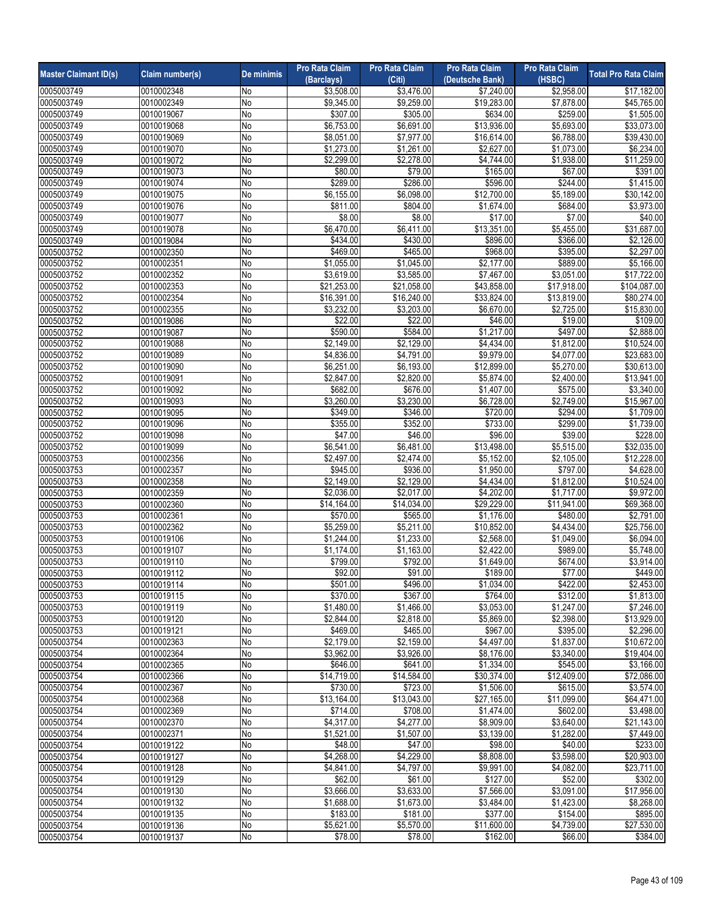| <b>Master Claimant ID(s)</b> |                 |            | <b>Pro Rata Claim</b> | <b>Pro Rata Claim</b> | Pro Rata Claim  | <b>Pro Rata Claim</b> | <b>Total Pro Rata Claim</b> |
|------------------------------|-----------------|------------|-----------------------|-----------------------|-----------------|-----------------------|-----------------------------|
|                              | Claim number(s) | De minimis | (Barclays)            | (Citi)                | (Deutsche Bank) | (HSBC)                |                             |
| 0005003749                   | 0010002348      | No         | \$3,508.00            | \$3,476.00            | \$7,240.00      | \$2,958.00            | \$17,182.00                 |
| 0005003749                   | 0010002349      | No         | \$9,345.00            | \$9,259.00            | \$19,283.00     | \$7,878.00            | \$45,765.00                 |
| 0005003749                   | 0010019067      | No         | \$307.00              | \$305.00              | \$634.00        | \$259.00              | \$1,505.00                  |
| 0005003749                   | 0010019068      | No         | \$6,753.00            | \$6,691.00            | \$13,936.00     | \$5,693.00            | \$33,073.00                 |
| 0005003749                   | 0010019069      | No         | \$8,051.00            | \$7,977.00            | \$16,614.00     | \$6,788.00            | \$39,430.00                 |
| 0005003749                   | 0010019070      | No         | \$1,273.00            | \$1,261.00            | \$2,627.00      | \$1,073.00            | \$6,234.00                  |
| 0005003749                   | 0010019072      | No         | \$2,299.00            | \$2,278.00            | \$4,744.00      | \$1,938.00            | \$11,259.00                 |
| 0005003749                   | 0010019073      | No         | \$80.00               | \$79.00               | \$165.00        | \$67.00               | \$391.00                    |
| 0005003749                   | 0010019074      | No         | \$289.00              | \$286.00              | \$596.00        | \$244.00              | \$1,415.00                  |
| 0005003749                   | 0010019075      | No         | \$6,155.00            | \$6.098.00            | \$12,700.00     | \$5,189.00            | \$30,142.00                 |
| 0005003749                   | 0010019076      | No         | \$811.00              |                       | \$1,674.00      | \$684.00              | \$3,973.00                  |
|                              |                 |            |                       | \$804.00              |                 |                       |                             |
| 0005003749                   | 0010019077      | No         | \$8.00                | \$8.00                | \$17.00         | \$7.00                | \$40.00                     |
| 0005003749                   | 0010019078      | No         | \$6,470.00            | \$6,411.00            | \$13,351.00     | \$5,455.00            | \$31,687.00                 |
| 0005003749                   | 0010019084      | No         | \$434.00              | \$430.00              | \$896.00        | \$366.00              | \$2,126.00                  |
| 0005003752                   | 0010002350      | No         | \$469.00              | \$465.00              | \$968.00        | \$395.00              | \$2,297.00                  |
| 0005003752                   | 0010002351      | No         | \$1,055.00            | \$1,045.00            | \$2,177.00      | \$889.00              | \$5,166.00                  |
| 0005003752                   | 0010002352      | No         | \$3,619.00            | \$3,585.00            | \$7,467.00      | 3,051.00              | \$17,722.00                 |
| 0005003752                   | 0010002353      | No         | \$21,253.00           | \$21,058.00           | \$43,858.00     | \$17,918.00           | \$104,087.00                |
| 0005003752                   | 0010002354      | No         | \$16,391.00           | \$16,240.00           | \$33,824.00     | \$13,819.00           | \$80,274.00                 |
| 0005003752                   | 0010002355      | No         | \$3,232.00            | \$3,203.00            | \$6,670.00      | \$2,725.00            | \$15,830.00                 |
| 0005003752                   | 0010019086      | No         | \$22.00               | \$22.00               | \$46.00         | \$19.00               | \$109.00                    |
| 0005003752                   | 0010019087      | No         | \$590.00              | \$584.00              | \$1,217.00      | \$497.00              | \$2,888.00                  |
| 0005003752                   | 0010019088      | No         | \$2,149.00            | \$2,129.00            | \$4,434.00      | \$1,812.00            | \$10,524.00                 |
| 0005003752                   | 0010019089      | No         | \$4,836.00            | \$4,791.00            | \$9,979.00      | \$4,077.00            | \$23,683.00                 |
| 0005003752                   | 0010019090      | No         | \$6,251.00            | \$6,193.00            | \$12,899.00     | \$5,270.00            | \$30,613.00                 |
| 0005003752                   | 0010019091      | No         | \$2.847.00            | \$2,820.00            | \$5,874.00      | \$2,400.00            | \$13,941.00                 |
| 0005003752                   | 0010019092      | No         | \$682.00              | \$676.00              | \$1,407.00      | \$575.00              | \$3,340.00                  |
|                              |                 |            |                       |                       |                 |                       |                             |
| 0005003752                   | 0010019093      | No         | \$3,260.00            | \$3,230.00            | \$6,728.00      | \$2,749.00            | \$15,967.00                 |
| 0005003752                   | 0010019095      | No         | \$349.00              | \$346.00              | \$720.00        | \$294.00              | \$1,709.00                  |
| 0005003752                   | 0010019096      | No         | \$355.00              | \$352.00              | \$733.00        | \$299.00              | \$1,739.00                  |
| 0005003752                   | 0010019098      | No         | \$47.00               | \$46.00               | \$96.00         | \$39.00               | \$228.00                    |
| 0005003752                   | 0010019099      | No         | \$6,541.00            | \$6,481.00            | \$13,498.00     | \$5,515.00            | \$32,035.00                 |
| 0005003753                   | 0010002356      | No         | \$2,497.00            | \$2,474.00            | \$5,152.00      | \$2,105.00            | \$12,228.00                 |
| 0005003753                   | 0010002357      | No         | \$945.00              | \$936.00              | \$1,950.00      | \$797.00              | \$4,628.00                  |
| 0005003753                   | 0010002358      | <b>No</b>  | \$2,149.00            | \$2,129.00            | \$4,434.00      | \$1,812.00            | \$10,524.00                 |
| 0005003753                   | 0010002359      | No         | \$2,036.00            | \$2,017.00            | \$4,202.00      | \$1,717.00            | \$9,972.00                  |
| 0005003753                   | 0010002360      | No         | \$14,164.00           | \$14,034.00           | \$29,229.00     | \$11,941.00           | \$69,368.00                 |
| 0005003753                   | 0010002361      | No         | \$570.00              | \$565.00              | \$1,176.00      | \$480.00              | \$2,791.00                  |
| 0005003753                   | 0010002362      | No         | \$5,259.00            | \$5,211.00            | \$10,852.00     | \$4,434.00            | \$25,756.00                 |
| 0005003753                   | 0010019106      | No         | \$1,244.00            | \$1,233.00            | \$2,568.00      | \$1,049.00            | \$6,094.00                  |
| 0005003753                   | 0010019107      | No         | \$1,174.00            | \$1,163.00            | \$2,422.00      | \$989.00              | \$5,748.00                  |
| 0005003753                   | 0010019110      | No         | \$799.00              | \$792.00              | \$1,649.00      | \$674.00              | \$3,914.00                  |
| 0005003753                   | 0010019112      | No         | \$92.00               | \$91.00               | \$189.00        | \$77.00               | \$449.00                    |
|                              |                 |            |                       |                       | \$1.034.00      | \$422.00              |                             |
| 0005003753                   | 0010019114      | No         | \$501.00              | \$496.00              |                 |                       | \$2,453.00                  |
| 0005003753                   | 0010019115      | <b>No</b>  | \$370.00              | \$367.00              | \$764.00        | \$312.00              | \$1,813.00                  |
| 0005003753                   | 0010019119      | No         | \$1,480.00            | \$1,466.00            | \$3,053.00      | \$1,247.00            | \$7.246.00                  |
| 0005003753                   | 0010019120      | No         | \$2,844.00            | \$2,818.00            | \$5,869.00      | \$2.398.00            | \$13,929.00                 |
| 0005003753                   | 0010019121      | <b>No</b>  | \$469.00              | \$465.00              | \$967.00        | \$395.00              | \$2,296.00                  |
| 0005003754                   | 0010002363      | <b>No</b>  | \$2,179.00            | \$2,159.00            | \$4,497.00      | \$1,837.00            | \$10,672.00                 |
| 0005003754                   | 0010002364      | No         | \$3,962.00            | \$3,926.00            | \$8,176.00      | \$3.340.00            | \$19,404.00                 |
| 0005003754                   | 0010002365      | No         | \$646.00              | \$641.00              | \$1,334.00      | \$545.00              | \$3.166.00                  |
| 0005003754                   | 0010002366      | No         | \$14,719.00           | \$14,584.00           | \$30,374.00     | \$12,409.00           | \$72,086.00                 |
| 0005003754                   | 0010002367      | No         | \$730.00              | \$723.00              | \$1,506.00      | \$615.00              | \$3.574.00                  |
| 0005003754                   | 0010002368      | No         | \$13,164.00           | \$13,043.00           | \$27,165.00     | \$11,099.00           | \$64,471.00                 |
| 0005003754                   | 0010002369      | <b>No</b>  | \$714.00              | \$708.00              | \$1,474.00      | \$602.00              | \$3,498.00                  |
| 0005003754                   | 0010002370      | No         | \$4,317.00            | \$4,277.00            | \$8,909.00      | \$3,640.00            | \$21,143.00                 |
| 0005003754                   | 0010002371      | No         | \$1,521.00            | \$1,507.00            | \$3,139.00      | \$1,282.00            | \$7,449.00                  |
| 0005003754                   | 0010019122      | No         | \$48.00               | \$47.00               | \$98.00         | \$40.00               | \$233.00                    |
| 0005003754                   | 0010019127      | <b>No</b>  | \$4,268.00            | \$4,229.00            | \$8,808.00      | \$3,598.00            | \$20,903.00                 |
|                              |                 | No         |                       |                       | \$9,991.00      |                       | \$23,711.00                 |
| 0005003754                   | 0010019128      |            | \$4,841.00            | \$4,797.00            |                 | \$4,082.00            |                             |
| 0005003754                   | 0010019129      | No         | \$62.00               | \$61.00               | \$127.00        | \$52.00               | \$302.00                    |
| 0005003754                   | 0010019130      | <b>No</b>  | \$3,666.00            | \$3,633.00            | \$7,566.00      | \$3,091.00            | \$17,956.00                 |
| 0005003754                   | 0010019132      | No         | \$1,688.00            | \$1,673.00            | \$3,484.00      | \$1,423.00            | \$8,268.00                  |
| 0005003754                   | 0010019135      | <b>No</b>  | \$183.00              | \$181.00              | \$377.00        | \$154.00              | \$895.00                    |
| 0005003754                   | 0010019136      | <b>No</b>  | \$5,621.00            | \$5,570.00            | \$11,600.00     | \$4,739.00            | \$27,530.00                 |
| 0005003754                   | 0010019137      | <b>No</b>  | \$78.00               | \$78.00               | \$162.00        | \$66.00               | \$384.00                    |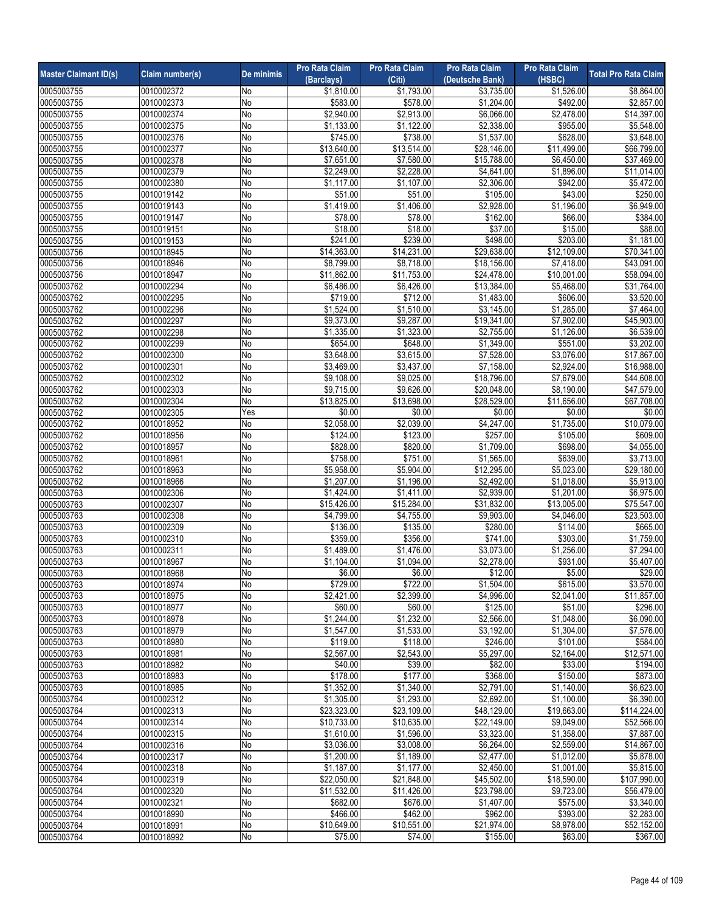| <b>Master Claimant ID(s)</b> | Claim number(s) | De minimis | <b>Pro Rata Claim</b> | <b>Pro Rata Claim</b> | Pro Rata Claim  | <b>Pro Rata Claim</b> | Total Pro Rata Claim |
|------------------------------|-----------------|------------|-----------------------|-----------------------|-----------------|-----------------------|----------------------|
|                              |                 |            | (Barclays)            | (Citi)                | (Deutsche Bank) | (HSBC)                |                      |
| 0005003755                   | 0010002372      | No         | \$1,810.00            | \$1,793.00            | \$3,735.00      | \$1,526.00            | \$8,864.00           |
| 0005003755                   | 0010002373      | No         | \$583.00              | \$578.00              | \$1,204.00      | \$492.00              | \$2,857.00           |
| 0005003755                   | 0010002374      | No         | \$2,940.00            | \$2,913.00            | \$6,066.00      | \$2,478.00            | \$14,397.00          |
| 0005003755                   | 0010002375      | No         | \$1,133.00            | \$1,122.00            | \$2,338.00      | \$955.00              | \$5,548.00           |
| 0005003755                   | 0010002376      | No         | \$745.00              | \$738.00              | \$1,537.00      | \$628.00              | \$3,648.00           |
| 0005003755                   | 0010002377      | No         | \$13,640.00           | \$13,514.00           | \$28,146.00     | \$11,499.00           | \$66,799.00          |
| 0005003755                   | 0010002378      | No         | \$7,651.00            | \$7,580.00            | \$15,788.00     | \$6,450.00            | \$37,469.00          |
| 0005003755                   | 0010002379      | No         | \$2,249.00            | \$2,228.00            | \$4,641.00      | \$1,896.00            | \$11,014.00          |
| 0005003755                   | 0010002380      | No         | \$1,117.00            | \$1,107.00            | \$2,306.00      | \$942.00              | \$5,472.00           |
| 0005003755                   | 0010019142      | No         | \$51.00               | \$51.00               | \$105.00        | \$43.00               | \$250.00             |
| 0005003755                   | 0010019143      | No         | \$1,419.00            | \$1,406.00            | \$2,928.00      | \$1,196.00            | \$6,949.00           |
| 0005003755                   | 0010019147      | No         | \$78.00               | \$78.00               | \$162.00        | \$66.00               | \$384.00             |
| 0005003755                   | 0010019151      | No         | \$18.00               | \$18.00               | \$37.00         | \$15.00               | \$88.00              |
| 0005003755                   | 0010019153      | No         | \$241.00              | \$239.00              | \$498.00        | \$203.00              | \$1,181.00           |
|                              |                 |            |                       |                       | \$29,638.00     |                       |                      |
| 0005003756                   | 0010018945      | No         | \$14,363.00           | \$14,231.00           |                 | \$12,109.00           | \$70,341.00          |
| 0005003756                   | 0010018946      | No         | \$8,799.00            | \$8,718.00            | \$18,156.00     | \$7,418.00            | \$43,091.00          |
| 0005003756                   | 0010018947      | No         | \$11,862.00           | \$11,753.00           | \$24,478.00     | \$10,001.00           | \$58,094.00          |
| 0005003762                   | 0010002294      | No         | \$6,486.00            | \$6,426.00            | \$13,384.00     | \$5,468.00            | \$31,764.00          |
| 0005003762                   | 0010002295      | No         | \$719.00              | \$712.00              | \$1,483.00      | \$606.00              | \$3,520.00           |
| 0005003762                   | 0010002296      | No         | \$1,524.00            | \$1,510.00            | \$3,145.00      | \$1,285.00            | \$7,464.00           |
| 0005003762                   | 0010002297      | No         | \$9,373.00            | \$9,287.00            | \$19,341.00     | \$7,902.00            | \$45,903.00          |
| 0005003762                   | 0010002298      | No         | \$1,335.00            | \$1,323.00            | \$2,755.00      | \$1,126.00            | \$6,539.00           |
| 0005003762                   | 0010002299      | No         | \$654.00              | \$648.00              | \$1,349.00      | \$551.00              | \$3,202.00           |
| 0005003762                   | 0010002300      | No         | \$3,648.00            | \$3,615.00            | \$7,528.00      | \$3,076.00            | \$17,867.00          |
| 0005003762                   | 0010002301      | No         | \$3,469.00            | \$3,437.00            | \$7,158.00      | \$2,924.00            | \$16,988.00          |
| 0005003762                   | 0010002302      | No         | \$9,108.00            | \$9,025.00            | \$18,796.00     | \$7,679.00            | \$44,608.00          |
| 0005003762                   | 0010002303      | No         | \$9,715.00            | \$9,626.00            | \$20,048.00     | \$8,190.00            | \$47,579.00          |
| 0005003762                   | 0010002304      | No         | \$13,825.00           | \$13,698.00           | \$28,529.00     | \$11,656.00           | \$67,708.00          |
| 0005003762                   | 0010002305      | Yes        | \$0.00                | \$0.00                | \$0.00          | \$0.00                | \$0.00               |
| 0005003762                   | 0010018952      | No         | \$2,058.00            | \$2,039.00            | \$4,247.00      | \$1,735.00            | \$10,079.00          |
| 0005003762                   | 0010018956      | No         | \$124.00              | \$123.00              | \$257.00        | \$105.00              | \$609.00             |
| 0005003762                   | 0010018957      | No         | \$828.00              | \$820.00              | \$1,709.00      | \$698.00              | \$4,055.00           |
| 0005003762                   | 0010018961      | No         | \$758.00              | \$751.00              | \$1,565.00      | \$639.00              | \$3,713.00           |
| 0005003762                   | 0010018963      | No         | \$5,958.00            | \$5,904.00            | \$12,295.00     | \$5,023.00            | \$29,180.00          |
| 0005003762                   | 0010018966      | No         | \$1,207.00            | \$1,196.00            | \$2,492.00      | \$1,018.00            | \$5,913.00           |
| 0005003763                   | 0010002306      | No         | \$1,424.00            | \$1,411.00            | \$2,939.00      | \$1,201.00            | \$6,975.00           |
| 0005003763                   | 0010002307      | No         | \$15,426.00           | \$15,284.00           | \$31,832.00     | \$13,005.00           | \$75,547.00          |
| 0005003763                   | 0010002308      | No         | \$4,799.00            | \$4,755.00            | \$9,903.00      | \$4,046.00            | \$23,503.00          |
|                              |                 |            |                       |                       |                 |                       |                      |
| 0005003763                   | 0010002309      | No         | \$136.00              | \$135.00              | \$280.00        | \$114.00              | \$665.00             |
| 0005003763                   | 0010002310      | No         | \$359.00              | \$356.00              | \$741.00        | \$303.00              | \$1,759.00           |
| 0005003763                   | 0010002311      | No         | \$1,489.00            | \$1,476.00            | \$3,073.00      | \$1,256.00            | \$7,294.00           |
| 0005003763                   | 0010018967      | No         | \$1,104.00            | \$1,094.00            | \$2,278.00      | \$931.00              | \$5,407.00           |
| 0005003763                   | 0010018968      | No         | \$6.00                | \$6.00                | \$12.00         | \$5.00                | \$29.00              |
| 0005003763                   | 0010018974      | No         | \$729.00              | \$722.00              | \$1,504.00      | \$615.00              | \$3,570.00           |
| 0005003763                   | 0010018975      | No         | \$2,421.00            | \$2,399.00            | \$4,996.00      | \$2,041.00            | \$11,857.00          |
| 0005003763                   | 0010018977      | No         | \$60.00               | \$60.00               | \$125.00        | \$51.00               | \$296.00             |
| 0005003763                   | 0010018978      | No         | \$1,244.00            | \$1,232.00            | \$2,566.00      | \$1,048.00            | \$6,090.00           |
| 0005003763                   | 0010018979      | No         | \$1,547.00            | \$1,533.00            | \$3.192.00      | \$1,304.00            | \$7.576.00           |
| 0005003763                   | 0010018980      | No         | \$119.00              | \$118.00              | \$246.00        | \$101.00              | \$584.00             |
| 0005003763                   | 0010018981      | No         | \$2,567.00            | \$2,543.00            | \$5,297.00      | \$2,164.00            | \$12,571.00          |
| 0005003763                   | 0010018982      | No         | \$40.00               | \$39.00               | \$82.00         | \$33.00               | \$194.00             |
| 0005003763                   | 0010018983      | No         | \$178.00              | \$177.00              | \$368.00        | \$150.00              | \$873.00             |
| 0005003763                   | 0010018985      | <b>No</b>  | \$1,352.00            | \$1,340.00            | \$2,791.00      | \$1,140.00            | \$6,623.00           |
| 0005003764                   | 0010002312      | No         | \$1,305.00            | \$1,293.00            | \$2,692.00      | \$1.100.00            | \$6,390.00           |
| 0005003764                   | 0010002313      | No         | \$23,323.00           | \$23,109.00           | \$48,129.00     | \$19,663.00           | \$114,224.00         |
| 0005003764                   | 0010002314      | No         | \$10,733.00           | \$10,635.00           | \$22,149.00     | \$9,049.00            | \$52,566.00          |
| 0005003764                   | 0010002315      | <b>No</b>  | \$1,610.00            | \$1,596.00            | \$3,323.00      | \$1,358.00            | \$7,887.00           |
| 0005003764                   | 0010002316      | <b>No</b>  | \$3,036.00            | \$3,008.00            | \$6,264.00      | \$2,559.00            | \$14,867.00          |
| 0005003764                   | 0010002317      | <b>No</b>  | \$1,200.00            | \$1,189.00            | \$2,477.00      | \$1,012.00            | \$5,878.00           |
| 0005003764                   | 0010002318      | No         | \$1,187.00            | \$1,177.00            | \$2,450.00      | \$1,001.00            | \$5,815.00           |
| 0005003764                   | 0010002319      | No         | \$22,050.00           | \$21,848.00           | \$45,502.00     | \$18,590.00           | \$107,990.00         |
| 0005003764                   | 0010002320      | <b>No</b>  | \$11,532.00           | \$11,426.00           | \$23,798.00     | \$9,723.00            | \$56,479.00          |
| 0005003764                   | 0010002321      | No         | \$682.00              | \$676.00              | \$1,407.00      | \$575.00              | \$3,340.00           |
| 0005003764                   | 0010018990      | <b>No</b>  | \$466.00              | \$462.00              | \$962.00        | \$393.00              | \$2,283.00           |
| 0005003764                   | 0010018991      | <b>No</b>  | \$10,649.00           | \$10,551.00           | \$21,974.00     | \$8,978.00            | \$52,152.00          |
|                              |                 |            |                       |                       |                 |                       |                      |
| 0005003764                   | 0010018992      | <b>No</b>  | \$75.00               | \$74.00               | \$155.00        | \$63.00               | \$367.00             |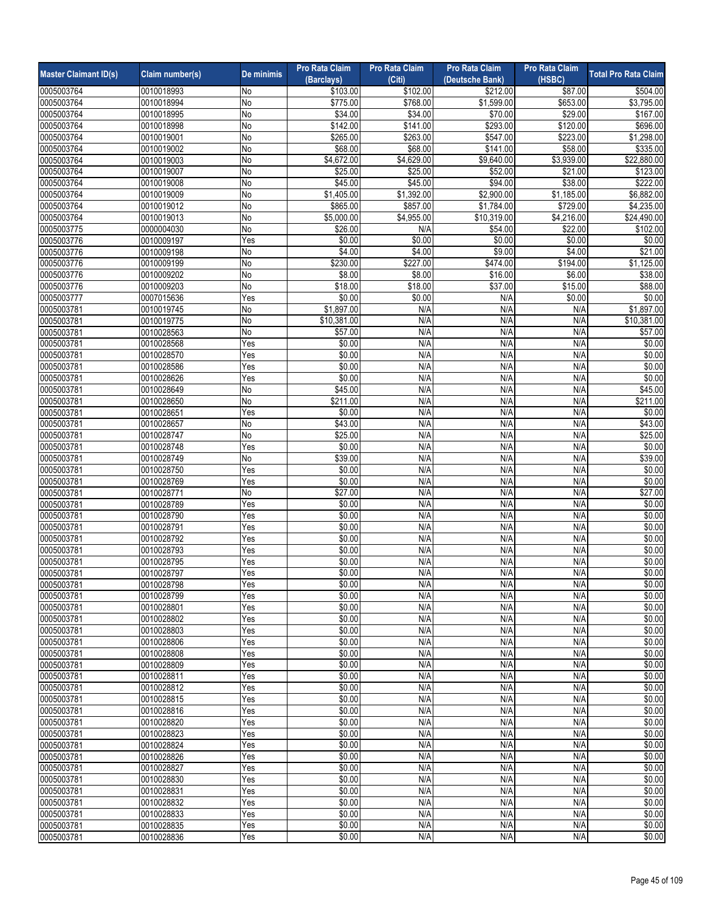| <b>Master Claimant ID(s)</b> | Claim number(s)          | De minimis        | <b>Pro Rata Claim</b>             | <b>Pro Rata Claim</b>  | Pro Rata Claim           | Pro Rata Claim         | Total Pro Rata Claim     |
|------------------------------|--------------------------|-------------------|-----------------------------------|------------------------|--------------------------|------------------------|--------------------------|
|                              |                          |                   | (Barclays)                        | (Citi)                 | (Deutsche Bank)          | (HSBC)                 |                          |
| 0005003764                   | 0010018993               | No                | \$103.00                          | \$102.00               | \$212.00                 | \$87.00                | \$504.00                 |
| 0005003764                   | 0010018994               | No                | \$775.00                          | \$768.00               | \$1,599.00               | \$653.00               | \$3,795.00               |
| 0005003764                   | 0010018995               | No                | \$34.00                           | \$34.00                | \$70.00                  | \$29.00                | \$167.00                 |
| 0005003764                   | 0010018998               | No                | \$142.00                          | \$141.00               | \$293.00                 | \$120.00               | \$696.00                 |
| 0005003764                   | 0010019001               | No                | \$265.00                          | \$263.00               | \$547.00                 | \$223.00               | \$1,298.00               |
| 0005003764                   | 0010019002               | No                | \$68.00                           | \$68.00                | \$141.00                 | \$58.00                | \$335.00                 |
| 0005003764                   | 0010019003               | No                | \$4,672.00                        | \$4,629.00             | \$9,640.00               | \$3,939.00             | \$22,880.00              |
| 0005003764                   | 0010019007               | No                | \$25.00                           | \$25.00<br>\$45.00     | \$52.00                  | \$21.00                | \$123.00<br>\$222.00     |
| 0005003764                   | 0010019008               | No<br>No          | \$45.00<br>$\overline{$1,405.00}$ |                        | \$94.00                  | \$38.00                |                          |
| 0005003764<br>0005003764     | 0010019009<br>0010019012 | No                | \$865.00                          | \$1,392.00<br>\$857.00 | \$2,900.00<br>\$1,784.00 | \$1,185.00<br>\$729.00 | \$6,882.00<br>\$4,235.00 |
| 0005003764                   | 0010019013               | No                | \$5,000.00                        | \$4,955.00             | \$10,319.00              | \$4,216.00             | \$24,490.00              |
| 0005003775                   | 0000004030               | No                | \$26.00                           | N/A                    | \$54.00                  | \$22.00                | \$102.00                 |
| 0005003776                   | 0010009197               | Yes               | \$0.00                            | \$0.00                 | \$0.00                   | \$0.00                 | \$0.00                   |
| 0005003776                   | 0010009198               | No                | \$4.00                            | \$4.00                 | \$9.00                   | \$4.00                 | \$21.00                  |
| 0005003776                   | 0010009199               | No                | \$230.00                          | \$227.00               | \$474.00                 | \$194.00               | \$1,125.00               |
| 0005003776                   | 0010009202               | No                | \$8.00                            | \$8.00                 | \$16.00                  | \$6.00                 | \$38.00                  |
| 0005003776                   | 0010009203               | No                | \$18.00                           | \$18.00                | \$37.00                  | \$15.00                | \$88.00                  |
| 0005003777                   | 0007015636               | Yes               | \$0.00                            | \$0.00                 | N/A                      | \$0.00                 | \$0.00                   |
| 0005003781                   | 0010019745               | No                | \$1,897.00                        | N/A                    | N/A                      | N/A                    | \$1,897.00               |
| 0005003781                   | 0010019775               | No                | \$10,381.00                       | N/A                    | N/A                      | N/A                    | \$10,381.00              |
| 0005003781                   | 0010028563               | No                | \$57.00                           | N/A                    | N/A                      | N/A                    | \$57.00                  |
| 0005003781                   | 0010028568               | Yes               | \$0.00                            | N/A                    | N/A                      | N/A                    | \$0.00                   |
| 0005003781                   | 0010028570               | Yes               | \$0.00                            | N/A                    | N/A                      | N/A                    | \$0.00                   |
| 0005003781                   | 0010028586               | Yes               | \$0.00                            | N/A                    | N/A                      | N/A                    | \$0.00                   |
| 0005003781                   | 0010028626               | Yes               | \$0.00                            | N/A                    | N/A                      | N/A                    | \$0.00                   |
| 0005003781                   | 0010028649               | No                | \$45.00                           | N/A                    | N/A                      | N/A                    | \$45.00                  |
| 0005003781                   | 0010028650               | No                | \$211.00                          | N/A                    | N/A                      | N/A                    | \$211.00                 |
| 0005003781                   | 0010028651               | Yes               | \$0.00                            | N/A                    | N/A                      | N/A                    | \$0.00                   |
| 0005003781                   | 0010028657               | No                | \$43.00                           | N/A                    | N/A                      | N/A                    | \$43.00                  |
| 0005003781                   | 0010028747               | No                | \$25.00                           | N/A                    | N/A                      | N/A                    | \$25.00                  |
| 0005003781                   | 0010028748               | Yes               | \$0.00                            | N/A                    | N/A                      | N/A                    | \$0.00                   |
| 0005003781                   | 0010028749               | No                | \$39.00                           | N/A                    | N/A                      | N/A                    | \$39.00                  |
| 0005003781                   | 0010028750               | Yes               | \$0.00                            | N/A                    | N/A                      | N/A                    | \$0.00                   |
| 0005003781                   | 0010028769               | Yes               | \$0.00                            | N/A                    | N/A                      | N/A                    | \$0.00                   |
| 0005003781                   | 0010028771               | No                | \$27.00                           | N/A                    | N/A                      | N/A                    | \$27.00                  |
| 0005003781                   | 0010028789               | Yes               | \$0.00                            | N/A                    | N/A                      | N/A                    | \$0.00                   |
| 0005003781                   | 0010028790               | Yes               | \$0.00                            | N/A                    | N/A                      | N/A                    | \$0.00                   |
| 0005003781                   | 0010028791               | Yes               | \$0.00                            | N/A                    | N/A                      | N/A                    | \$0.00                   |
| 0005003781                   | 0010028792               | Yes               | \$0.00                            | N/A                    | N/A                      | N/A                    | \$0.00                   |
| 0005003781                   | 0010028793               | Yes               | \$0.00                            | N/A                    | N/A                      | N/A                    | \$0.00                   |
| 0005003781                   | 0010028795               | Yes               | \$0.00                            | N/A                    | N/A                      | N/A                    | \$0.00                   |
| 0005003781                   | 0010028797               | Yes               | \$0.00                            | N/A                    | N/A                      | N/A                    | \$0.00                   |
| 0005003781                   | 0010028798               | Yes               | \$0.00                            | N/A                    | N/A                      | N/A                    | \$0.00                   |
| 0005003781                   | 0010028799               | Yes               | \$0.00                            | N/A                    | N/A                      | N/A                    | \$0.00                   |
| 0005003781                   | 0010028801               | Yes               | \$0.00                            | N/A                    | N/A                      | N/A                    | \$0.00                   |
| 0005003781                   | 0010028802               | Yes               | \$0.00                            | N/A                    | N/A                      | N/A                    | \$0.00                   |
| 0005003781                   | 0010028803               | Yes               | \$0.00                            | N/A                    | N/A                      | N/A                    | \$0.00                   |
| 0005003781                   | 0010028806               | $\overline{Y}$ es | \$0.00                            | N/A                    | N/A                      | N/A                    | \$0.00                   |
| 0005003781                   | 0010028808               | Yes               | \$0.00                            | N/A                    | N/A                      | N/A                    | \$0.00                   |
| 0005003781                   | 0010028809               | Yes               | \$0.00                            | N/A                    | N/A                      | N/A                    | \$0.00                   |
| 0005003781                   | 0010028811               | Yes               | \$0.00                            | N/A                    | N/A                      | N/A                    | \$0.00                   |
| 0005003781                   | 0010028812               | Yes               | \$0.00                            | N/A                    | N/A                      | N/A                    | \$0.00                   |
| 0005003781                   | 0010028815               | Yes               | \$0.00                            | N/A                    | N/A                      | N/A                    | \$0.00                   |
| 0005003781                   | 0010028816               | Yes               | \$0.00                            | N/A                    | N/A                      | N/A                    | \$0.00                   |
| 0005003781                   | 0010028820               | Yes               | \$0.00                            | N/A                    | N/A                      | N/A                    | \$0.00                   |
| 0005003781                   | 0010028823               | Yes               | \$0.00                            | N/A                    | N/A                      | N/A                    | \$0.00                   |
| 0005003781                   | 0010028824               | Yes               | \$0.00                            | N/A                    | N/A                      | N/A                    | \$0.00                   |
| 0005003781                   | 0010028826               | Yes               | \$0.00                            | N/A                    | N/A                      | N/A                    | \$0.00                   |
| 0005003781                   | 0010028827               | Yes               | \$0.00                            | N/A                    | N/A                      | N/A                    | \$0.00                   |
| 0005003781                   | 0010028830               | Yes               | \$0.00                            | N/A                    | N/A                      | N/A                    | \$0.00                   |
| 0005003781                   | 0010028831               | Yes               | \$0.00                            | N/A                    | N/A                      | N/A                    | \$0.00                   |
| 0005003781                   | 0010028832               | Yes               | \$0.00                            | N/A                    | N/A                      | N/A                    | \$0.00                   |
| 0005003781                   | 0010028833               | Yes               | \$0.00                            | N/A                    | N/A                      | N/A                    | \$0.00                   |
| 0005003781                   | 0010028835               | Yes               | \$0.00                            | N/A                    | N/A                      | N/A                    | \$0.00                   |
| 0005003781                   | 0010028836               | Yes               | \$0.00                            | N/A                    | N/A                      | N/A                    | \$0.00                   |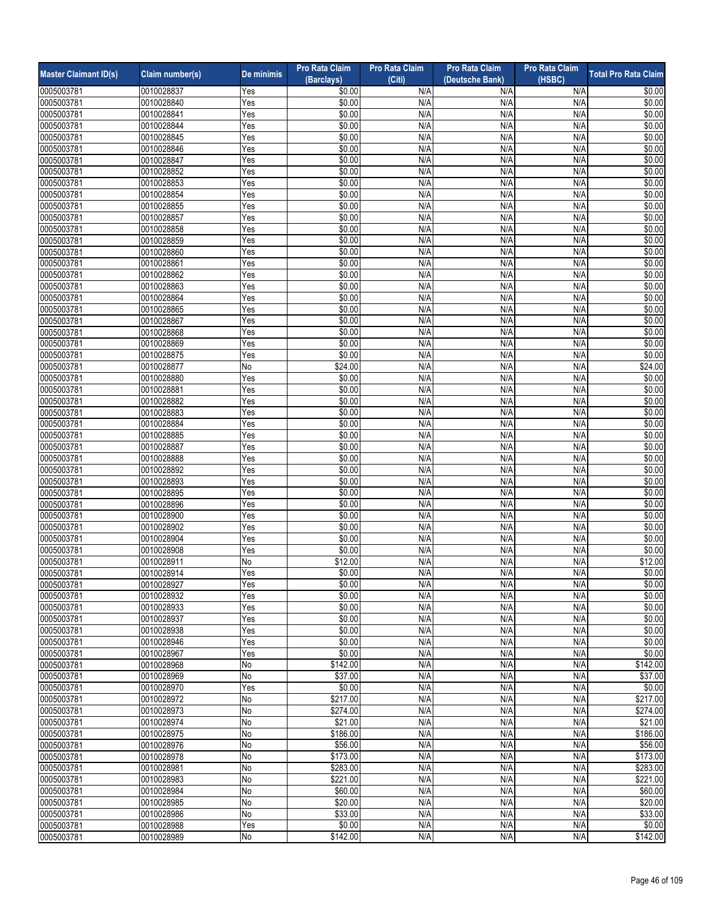| <b>Master Claimant ID(s)</b> | Claim number(s) | De minimis | Pro Rata Claim<br>(Barclays) | Pro Rata Claim<br>(Citi) | <b>Pro Rata Claim</b><br>(Deutsche Bank) | <b>Pro Rata Claim</b><br>(HSBC) | <b>Total Pro Rata Claim</b> |
|------------------------------|-----------------|------------|------------------------------|--------------------------|------------------------------------------|---------------------------------|-----------------------------|
| 0005003781                   | 0010028837      | Yes        | \$0.00                       | N/A                      | N/A                                      | N/A                             | \$0.00                      |
| 0005003781                   | 0010028840      | Yes        | \$0.00                       | N/A                      | N/A                                      | N/A                             | \$0.00                      |
| 0005003781                   | 0010028841      | Yes        | \$0.00                       | N/A                      | N/A                                      | N/A                             | \$0.00                      |
| 0005003781                   | 0010028844      | Yes        | \$0.00                       | N/A                      | N/A                                      | N/A                             | \$0.00                      |
| 0005003781                   | 0010028845      | Yes        | \$0.00                       | N/A                      | N/A                                      | N/A                             | \$0.00                      |
| 0005003781                   | 0010028846      | Yes        | \$0.00                       | N/A                      | N/A                                      | N/A                             | \$0.00                      |
| 0005003781                   | 0010028847      | Yes        | \$0.00                       | N/A                      | N/A                                      | N/A                             | \$0.00                      |
| 0005003781                   | 0010028852      | Yes        | \$0.00                       | N/A                      | N/A                                      | N/A                             | \$0.00                      |
| 0005003781                   | 0010028853      | Yes        | \$0.00                       | N/A                      | N/A                                      | N/A                             | \$0.00                      |
| 0005003781                   | 0010028854      | Yes        | \$0.00                       | N/A                      | N/A                                      | N/A                             | \$0.00                      |
| 0005003781                   | 0010028855      | Yes        | \$0.00                       | N/A                      | N/A                                      | N/A                             | \$0.00                      |
| 0005003781                   | 0010028857      | Yes        | \$0.00                       | N/A                      | N/A                                      | N/A                             | \$0.00                      |
| 0005003781                   | 0010028858      | Yes        | \$0.00                       | N/A                      | N/A                                      | N/A                             | \$0.00                      |
| 0005003781                   | 0010028859      | Yes        | \$0.00                       | N/A                      | N/A                                      | N/A                             | \$0.00                      |
| 0005003781                   | 0010028860      | Yes        | \$0.00                       | N/A                      | N/A                                      | N/A                             | \$0.00                      |
| 0005003781                   | 0010028861      | Yes        | \$0.00                       | N/A                      | N/A                                      | N/A                             | \$0.00                      |
| 0005003781                   | 0010028862      | Yes        | \$0.00                       | N/A                      | N/A                                      | N/A                             | \$0.00                      |
| 0005003781                   | 0010028863      | Yes        | \$0.00                       | N/A                      | N/A                                      | N/A                             | \$0.00                      |
| 0005003781                   | 0010028864      | Yes        | \$0.00                       | N/A                      | N/A                                      | N/A                             | \$0.00                      |
| 0005003781                   | 0010028865      | Yes        | \$0.00                       | N/A                      | N/A                                      | N/A                             | \$0.00                      |
| 0005003781                   | 0010028867      | Yes        | \$0.00                       | N/A                      | N/A                                      | N/A                             | \$0.00                      |
| 0005003781                   | 0010028868      | Yes        | \$0.00                       | N/A                      | N/A                                      | N/A                             | \$0.00                      |
| 0005003781                   | 0010028869      | Yes        | \$0.00                       | N/A                      | N/A                                      | N/A                             | \$0.00                      |
| 0005003781                   | 0010028875      | Yes        | \$0.00                       | N/A                      | N/A                                      | N/A                             | \$0.00                      |
| 0005003781                   | 0010028877      | No         | \$24.00                      | N/A                      | N/A                                      | N/A                             | \$24.00                     |
| 0005003781                   | 0010028880      | Yes        | \$0.00                       | N/A                      | N/A                                      | N/A                             | \$0.00                      |
| 0005003781                   | 0010028881      | Yes        | \$0.00                       | N/A                      | N/A                                      | N/A                             | \$0.00                      |
| 0005003781                   | 0010028882      | Yes        | \$0.00                       | N/A                      | N/A                                      | N/A                             | \$0.00                      |
| 0005003781                   | 0010028883      | Yes        | \$0.00                       | N/A                      | N/A                                      | N/A                             | \$0.00                      |
| 0005003781                   | 0010028884      | Yes        | \$0.00                       | N/A                      | N/A                                      | N/A                             | \$0.00                      |
| 0005003781                   | 0010028885      | Yes        | \$0.00                       | N/A                      | N/A                                      | N/A                             | \$0.00                      |
| 0005003781                   | 0010028887      | Yes        | \$0.00                       | N/A                      | N/A                                      | N/A                             | \$0.00                      |
| 0005003781                   | 0010028888      | Yes        | \$0.00                       | N/A                      | N/A                                      | N/A                             | \$0.00                      |
| 0005003781                   | 0010028892      | Yes        | \$0.00                       | N/A                      | N/A                                      | N/A                             | \$0.00                      |
| 0005003781                   | 0010028893      | Yes        | \$0.00                       | N/A                      | N/A                                      | N/A                             | \$0.00                      |
| 0005003781                   | 0010028895      | Yes        | \$0.00                       | N/A                      | N/A                                      | N/A                             | \$0.00                      |
| 0005003781                   | 0010028896      | Yes        | \$0.00                       | N/A                      | N/A                                      | N/A                             | \$0.00                      |
| 0005003781                   | 0010028900      | Yes        | \$0.00                       | N/A                      | N/A                                      | N/A                             | \$0.00                      |
| 0005003781                   | 0010028902      | Yes        | \$0.00                       | N/A                      | N/A                                      | N/A                             | \$0.00                      |
| 0005003781                   | 0010028904      | Yes        | \$0.00                       | N/A                      | N/A                                      | N/A                             | \$0.00                      |
| 0005003781                   | 0010028908      | Yes        | \$0.00                       | N/A                      | N/A                                      | N/A                             | \$0.00                      |
| 0005003781                   | 0010028911      | No         | \$12.00                      | N/A                      | N/A                                      | N/A                             | \$12.00                     |
| 0005003781                   | 0010028914      | Yes        | \$0.00                       | N/A                      | N/A                                      | N/A                             | \$0.00                      |
| 0005003781                   | 0010028927      | Yes        | \$0.00                       | N/A                      | N/A                                      | N/A                             | \$0.00                      |
| 0005003781                   | 0010028932      | Yes        | \$0.00                       | N/A                      | N/A                                      | N/A                             | \$0.00                      |
| 0005003781                   | 0010028933      | Yes        | \$0.00                       | N/A                      | N/A                                      | N/A                             | \$0.00                      |
| 0005003781                   | 0010028937      | Yes        | \$0.00                       | N/A                      | N/A                                      | N/A                             | \$0.00                      |
| 0005003781                   | 0010028938      | Yes        | \$0.00                       | N/A                      | N/A                                      | N/A                             | \$0.00                      |
| 0005003781                   | 0010028946      | Yes        | \$0.00                       | N/A                      | N/A                                      | N/A                             | \$0.00                      |
| 0005003781                   | 0010028967      | Yes        | \$0.00                       | N/A                      | N/A                                      | N/A                             | \$0.00                      |
| 0005003781                   | 0010028968      | No         | \$142.00                     | N/A                      | N/A                                      | N/A                             | \$142.00                    |
| 0005003781                   | 0010028969      | No         | \$37.00                      | N/A                      | N/A                                      | N/A                             | \$37.00                     |
| 0005003781                   | 0010028970      | Yes        | \$0.00                       | N/A                      | N/A                                      | N/A                             | \$0.00                      |
| 0005003781                   | 0010028972      | No         | \$217.00                     | N/A                      | N/A                                      | N/A                             | \$217.00                    |
| 0005003781                   | 0010028973      | No         | \$274.00                     | N/A                      | N/A                                      | N/A                             | \$274.00                    |
| 0005003781                   | 0010028974      | No         | \$21.00                      | N/A                      | N/A                                      | N/A                             | \$21.00                     |
| 0005003781                   | 0010028975      | No         | \$186.00                     | N/A                      | N/A                                      | N/A                             | \$186.00                    |
| 0005003781                   | 0010028976      | No         | \$56.00                      | N/A                      | N/A                                      | N/A                             | \$56.00                     |
| 0005003781                   | 0010028978      | No         | \$173.00                     | N/A                      | N/A                                      | N/A                             | \$173.00                    |
| 0005003781                   | 0010028981      | No         | \$283.00                     | N/A                      | N/A                                      | N/A                             | \$283.00                    |
| 0005003781                   | 0010028983      | No         | \$221.00                     | N/A                      | N/A                                      | N/A                             | \$221.00                    |
| 0005003781                   | 0010028984      | No         | \$60.00                      | N/A                      | N/A                                      | N/A                             | \$60.00                     |
| 0005003781                   | 0010028985      | No         | \$20.00                      | N/A                      | N/A                                      | N/A                             | \$20.00                     |
| 0005003781                   | 0010028986      | No         | \$33.00                      | N/A                      | N/A                                      | N/A                             | \$33.00                     |
| 0005003781                   | 0010028988      | Yes        | \$0.00                       | N/A                      | N/A                                      | N/A                             | \$0.00                      |
| 0005003781                   | 0010028989      | No         | \$142.00                     | N/A                      | N/A                                      | N/A                             | \$142.00                    |
|                              |                 |            |                              |                          |                                          |                                 |                             |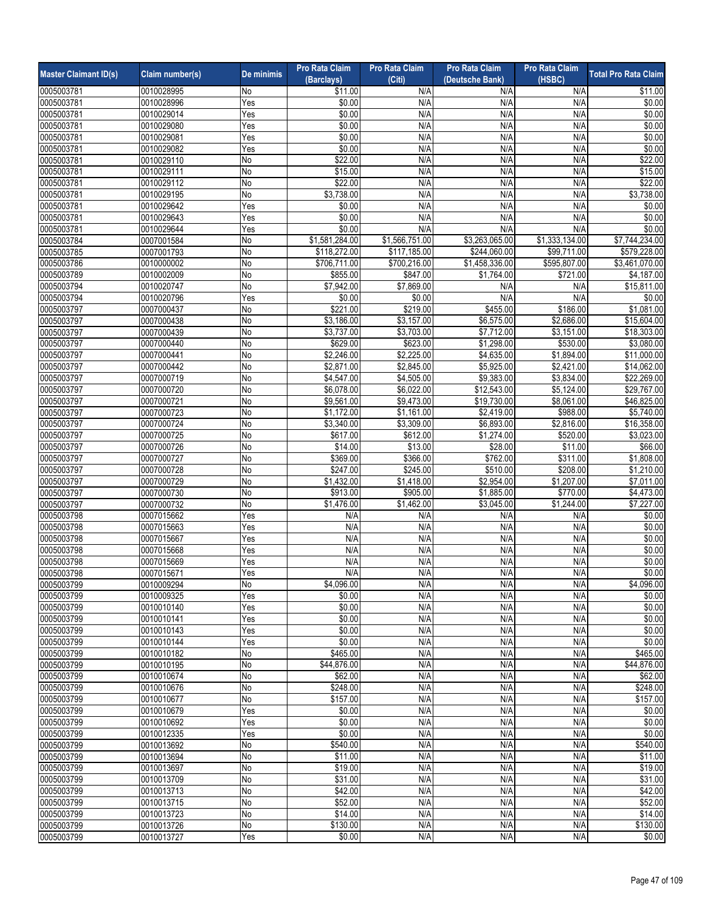| <b>Master Claimant ID(s)</b> | Claim number(s)          | De minimis | <b>Pro Rata Claim</b>    | <b>Pro Rata Claim</b> | Pro Rata Claim         | <b>Pro Rata Claim</b> | Total Pro Rata Claim |
|------------------------------|--------------------------|------------|--------------------------|-----------------------|------------------------|-----------------------|----------------------|
|                              |                          |            | (Barclays)               | (Citi)                | (Deutsche Bank)        | (HSBC)                |                      |
| 0005003781                   | 0010028995               | No         | \$11.00                  | N/A                   | N/A                    | N/A                   | \$11.00              |
| 0005003781                   | 0010028996               | Yes        | \$0.00<br>\$0.00         | N/A                   | N/A                    | N/A                   | \$0.00               |
| 0005003781<br>0005003781     | 0010029014<br>0010029080 | Yes        | \$0.00                   | N/A<br>N/A            | N/A<br>N/A             | N/A<br>N/A            | \$0.00<br>\$0.00     |
|                              | 0010029081               | Yes<br>Yes | \$0.00                   | N/A                   | N/A                    | N/A                   | \$0.00               |
| 0005003781<br>0005003781     | 0010029082               | Yes        | \$0.00                   | N/A                   | N/A                    | N/A                   | \$0.00               |
| 0005003781                   | 0010029110               | No         | \$22.00                  | N/A                   | N/A                    | N/A                   | \$22.00              |
| 0005003781                   | 0010029111               | No         | \$15.00                  | N/A                   | N/A                    | N/A                   | \$15.00              |
| 0005003781                   | 0010029112               | No         | \$22.00                  | N/A                   | N/A                    | N/A                   | \$22.00              |
| 0005003781                   | 0010029195               | No         | $\overline{$3,738.00}$   | N/A                   | N/A                    | N/A                   | \$3,738.00           |
| 0005003781                   | 0010029642               | Yes        | \$0.00                   | N/A                   | N/A                    | N/A                   | \$0.00               |
| 0005003781                   | 0010029643               | Yes        | \$0.00                   | N/A                   | N/A                    | N/A                   | \$0.00               |
| 0005003781                   | 0010029644               | Yes        | \$0.00                   | N/A                   | N/A                    | N/A                   | \$0.00               |
| 0005003784                   | 0007001584               | No         | \$1,581,284.00           | \$1,566,751.00        | \$3,263,065.00         | \$1,333,134.00        | \$7,744,234.00       |
| 0005003785                   | 0007001793               | No         | \$118,272.00             | \$117,185.00          | \$244,060.00           | \$99,711.00           | \$579,228.00         |
| 0005003786                   | 0010000002               | No         | $\overline{$706,711.00}$ | \$700,216.00          | \$1,458,336.00         | \$595,807.00          | \$3,461,070.00       |
| 0005003789                   | 0010002009               | No         | \$855.00                 | \$847.00              | \$1,764.00             | \$721.00              | \$4,187.00           |
| 0005003794                   | 0010020747               | No         | \$7,942.00               | \$7,869.00            | N/A                    | N/A                   | \$15,811.00          |
| 0005003794                   | 0010020796               | Yes        | \$0.00                   | \$0.00                | N/A                    | N/A                   | \$0.00               |
| 0005003797                   | 0007000437               | No         | \$221.00                 | \$219.00              | \$455.00               | \$186.00              | \$1,081.00           |
| 0005003797                   | 0007000438               | No         | \$3,186.00               | \$3,157.00            | \$6,575.00             | \$2,686.00            | \$15,604.00          |
| 0005003797                   | 0007000439               | No         | \$3,737.00               | \$3,703.00            | \$7,712.00             | \$3,151.00            | \$18,303.00          |
| 0005003797                   | 0007000440               | No         | \$629.00                 | \$623.00              | \$1,298.00             | \$530.00              | \$3,080.00           |
| 0005003797                   | 0007000441               | No         | \$2,246.00               | \$2,225.00            | \$4,635.00             | \$1,894.00            | \$11,000.00          |
| 0005003797                   | 0007000442               | No         | \$2,871.00               | \$2,845.00            | \$5,925.00             | \$2,421.00            | \$14,062.00          |
| 0005003797                   | 0007000719               | No         | \$4,547.00               | \$4,505.00            | \$9,383.00             | \$3,834.00            | \$22,269.00          |
| 0005003797                   | 0007000720               | No         | \$6,078.00               | \$6,022.00            | \$12,543.00            | \$5,124.00            | \$29,767.00          |
| 0005003797                   | 0007000721               | No         | \$9,561.00               | \$9,473.00            | \$19,730.00            | \$8,061.00            | \$46,825.00          |
| 0005003797                   | 0007000723               | No         | \$1,172.00               | \$1,161.00            | \$2,419.00             | \$988.00              | \$5,740.00           |
| 0005003797                   | 0007000724               | No         | \$3,340.00               | \$3,309.00            | \$6,893.00             | \$2,816.00            | \$16,358.00          |
| 0005003797                   | 0007000725               | No         | \$617.00                 | \$612.00              | \$1,274.00             | \$520.00              | \$3,023.00           |
| 0005003797                   | 0007000726               | No         | \$14.00                  | \$13.00               | \$28.00                | \$11.00               | \$66.00              |
| 0005003797                   | 0007000727               | No         | \$369.00                 | \$366.00              | \$762.00               | \$311.00              | \$1,808.00           |
| 0005003797                   | 0007000728               | No         | \$247.00                 | \$245.00              | \$510.00               | \$208.00              | \$1,210.00           |
| 0005003797                   | 0007000729               | No         | \$1,432.00               | \$1,418.00            | $\overline{$2,954.00}$ | \$1,207.00            | \$7,011.00           |
| 0005003797                   | 0007000730               | No         | \$913.00                 | \$905.00              | \$1,885.00             | \$770.00              | \$4,473.00           |
| 0005003797                   | 0007000732               | No         | \$1,476.00               | \$1,462.00            | \$3,045.00             | \$1,244.00            | \$7,227.00           |
| 0005003798                   | 0007015662               | Yes        | N/A                      | N/A                   | N/A                    | N/A                   | \$0.00               |
| 0005003798                   | 0007015663               | Yes        | N/A                      | N/A                   | N/A                    | N/A                   | \$0.00               |
| 0005003798                   | 0007015667               | Yes        | N/A                      | N/A                   | N/A                    | N/A                   | \$0.00               |
| 0005003798                   | 0007015668               | Yes        | N/A                      | N/A                   | N/A                    | N/A                   | \$0.00               |
| 0005003798                   | 0007015669               | Yes        | N/A                      | N/A                   | N/A                    | N/A                   | \$0.00               |
| 0005003798                   | 0007015671               | Yes        | N/A                      | N/A                   | N/A                    | N/A                   | \$0.00               |
| 0005003799                   | 0010009294               | No         | \$4,096.00               | N/A                   | N/A                    | N/A                   | \$4,096.00           |
| 0005003799                   | 0010009325               | Yes        | \$0.00                   | N/A                   | N/A                    | N/A                   | \$0.00               |
| 0005003799                   | 0010010140               | Yes        | \$0.00                   | N/A                   | N/A                    | N/A                   | \$0.00               |
| 0005003799                   | 0010010141               | Yes        | \$0.00                   | N/A                   | N/A                    | N/A                   | \$0.00               |
| 0005003799                   | 0010010143               | Yes        | \$0.00                   | N/A                   | N/A                    | N/A                   | \$0.00               |
| 0005003799                   | 0010010144               | Yes        | \$0.00                   | N/A                   | N/A                    | N/A                   | \$0.00               |
| 0005003799                   | 0010010182               | <b>No</b>  | \$465.00                 | N/A                   | N/A                    | N/A                   | \$465.00             |
| 0005003799                   | 0010010195               | No         | \$44,876.00              | N/A                   | N/A                    | N/A                   | \$44,876.00          |
| 0005003799                   | 0010010674               | No         | \$62.00                  | N/A                   | N/A                    | N/A                   | \$62.00              |
| 0005003799                   | 0010010676               | <b>No</b>  | \$248.00                 | N/A                   | N/A                    | N/A                   | \$248.00             |
| 0005003799                   | 0010010677               | No         | \$157.00                 | N/A                   | N/A                    | N/A                   | \$157.00             |
| 0005003799                   | 0010010679               | Yes        | \$0.00                   | N/A                   | N/A                    | N/A                   | \$0.00               |
| 0005003799                   | 0010010692               | Yes        | \$0.00                   | N/A                   | N/A                    | N/A                   | \$0.00               |
| 0005003799                   | 0010012335               | Yes        | \$0.00                   | N/A                   | N/A                    | N/A                   | \$0.00               |
| 0005003799                   | 0010013692               | <b>No</b>  | \$540.00                 | N/A                   | N/A                    | N/A                   | \$540.00             |
| 0005003799                   | 0010013694               | <b>No</b>  | \$11.00                  | N/A                   | N/A                    | N/A                   | \$11.00              |
| 0005003799                   | 0010013697               | No         | \$19.00                  | N/A                   | N/A                    | N/A                   | \$19.00              |
| 0005003799                   | 0010013709               | No         | \$31.00                  | N/A                   | N/A                    | N/A                   | \$31.00              |
| 0005003799                   | 0010013713               | <b>No</b>  | \$42.00                  | N/A                   | N/A                    | N/A                   | \$42.00              |
| 0005003799                   | 0010013715               | No         | \$52.00                  | N/A                   | N/A                    | N/A                   | \$52.00              |
| 0005003799                   | 0010013723               | No         | \$14.00                  | N/A                   | N/A                    | N/A                   | \$14.00              |
| 0005003799                   | 0010013726               | <b>No</b>  | \$130.00                 | N/A                   | N/A                    | N/A                   | \$130.00             |
| 0005003799                   | 0010013727               | Yes        | \$0.00                   | N/A                   | N/A                    | N/A                   | \$0.00               |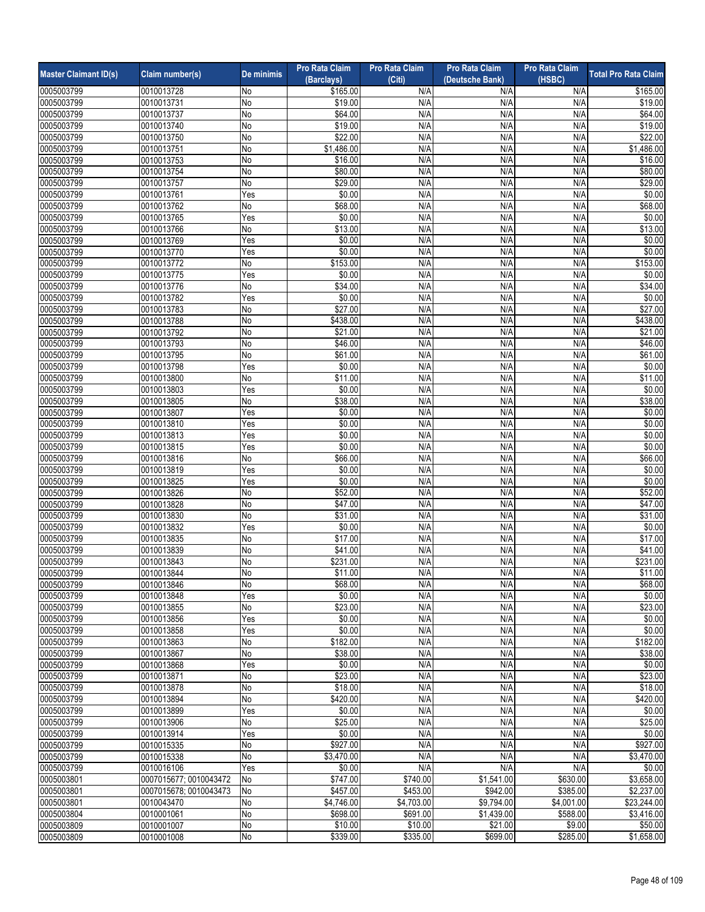| <b>Master Claimant ID(s)</b> | Claim number(s)        | De minimis | <b>Pro Rata Claim</b><br>(Barclays) | Pro Rata Claim<br>(C <sub>it</sub> ) | Pro Rata Claim<br>(Deutsche Bank) | <b>Pro Rata Claim</b><br>(HSBC) | <b>Total Pro Rata Claim</b> |
|------------------------------|------------------------|------------|-------------------------------------|--------------------------------------|-----------------------------------|---------------------------------|-----------------------------|
| 0005003799                   | 0010013728             | No         | \$165.00                            | N/A                                  | N/A                               | N/A                             | \$165.00                    |
| 0005003799                   | 0010013731             | No         | \$19.00                             | N/A                                  | N/A                               | N/A                             | \$19.00                     |
| 0005003799                   | 0010013737             | No         | \$64.00                             | N/A                                  | N/A                               | N/A                             | \$64.00                     |
| 0005003799                   | 0010013740             | No         | \$19.00                             | N/A                                  | N/A                               | N/A                             | \$19.00                     |
| 0005003799                   | 0010013750             | No         | \$22.00                             | N/A                                  | N/A                               | N/A                             | \$22.00                     |
| 0005003799                   | 0010013751             | No         | \$1,486.00                          | N/A                                  | N/A                               | N/A                             | \$1,486.00                  |
| 0005003799                   | 0010013753             | No         | \$16.00                             | N/A                                  | N/A                               | N/A                             | \$16.00                     |
| 0005003799                   | 0010013754             | No         | \$80.00                             | N/A                                  | N/A                               | N/A                             | \$80.00                     |
| 0005003799                   | 0010013757             | No         | \$29.00                             | N/A                                  | N/A                               | N/A                             | \$29.00                     |
| 0005003799                   | 0010013761             | Yes        | \$0.00                              | N/A                                  | N/A                               | N/A                             | \$0.00                      |
| 0005003799                   | 0010013762             | No         | \$68.00                             | N/A                                  | N/A                               | N/A                             | \$68.00                     |
| 0005003799                   | 0010013765             | Yes        | \$0.00                              | N/A                                  | N/A                               | N/A                             | \$0.00                      |
| 0005003799                   | 0010013766             | No         | \$13.00                             | N/A                                  | N/A                               | N/A                             | \$13.00                     |
| 0005003799                   | 0010013769             | Yes        | \$0.00                              | N/A                                  | N/A                               | N/A                             | \$0.00                      |
| 0005003799                   | 0010013770             | Yes        | \$0.00                              | N/A                                  | N/A                               | N/A                             | \$0.00                      |
| 0005003799                   | 0010013772             | No         | \$153.00                            | N/A                                  | N/A                               | N/A                             | \$153.00                    |
| 0005003799                   | 0010013775             | Yes        | \$0.00                              | N/A                                  | N/A                               | N/A                             | \$0.00                      |
| 0005003799                   | 0010013776             | No         | \$34.00                             | N/A                                  | N/A                               | N/A                             | \$34.00                     |
| 0005003799                   | 0010013782             | Yes        | \$0.00                              | N/A                                  | N/A                               | N/A                             | \$0.00                      |
| 0005003799                   | 0010013783             | No         | \$27.00                             | N/A                                  | N/A                               | N/A                             | \$27.00                     |
| 0005003799                   | 0010013788             | No         | \$438.00                            | N/A                                  | N/A                               | N/A                             | \$438.00                    |
| 0005003799                   | 0010013792             | No         | \$21.00                             | N/A                                  | N/A                               | N/A                             | \$21.00                     |
|                              | 0010013793             | <b>No</b>  |                                     | N/A                                  |                                   |                                 |                             |
| 0005003799<br>0005003799     |                        |            | \$46.00<br>\$61.00                  |                                      | N/A                               | N/A                             | \$46.00                     |
|                              | 0010013795             | No         |                                     | N/A                                  | N/A                               | N/A                             | \$61.00                     |
| 0005003799                   | 0010013798             | Yes        | \$0.00                              | N/A                                  | N/A                               | N/A                             | \$0.00                      |
| 0005003799                   | 0010013800             | No         | \$11.00                             | N/A                                  | N/A                               | N/A                             | \$11.00                     |
| 0005003799                   | 0010013803             | Yes        | \$0.00                              | N/A                                  | N/A                               | N/A                             | \$0.00                      |
| 0005003799                   | 0010013805             | No         | \$38.00                             | N/A                                  | N/A                               | N/A                             | \$38.00                     |
| 0005003799                   | 0010013807             | Yes        | \$0.00                              | N/A                                  | N/A                               | N/A                             | \$0.00                      |
| 0005003799                   | 0010013810             | Yes        | \$0.00                              | N/A                                  | N/A                               | N/A                             | \$0.00                      |
| 0005003799                   | 0010013813             | Yes        | \$0.00                              | N/A                                  | N/A                               | N/A                             | \$0.00                      |
| 0005003799                   | 0010013815             | Yes        | \$0.00                              | N/A                                  | N/A                               | N/A                             | \$0.00                      |
| 0005003799                   | 0010013816             | No         | \$66.00                             | N/A                                  | N/A                               | N/A                             | \$66.00                     |
| 0005003799                   | 0010013819             | Yes        | \$0.00                              | N/A                                  | N/A                               | N/A                             | \$0.00                      |
| 0005003799                   | 0010013825             | Yes        | \$0.00                              | N/A                                  | N/A                               | N/A                             | \$0.00                      |
| 0005003799                   | 0010013826             | No         | \$52.00                             | N/A                                  | N/A                               | N/A                             | \$52.00                     |
| 0005003799                   | 0010013828             | No         | \$47.00                             | N/A                                  | N/A                               | N/A                             | \$47.00                     |
| 0005003799                   | 0010013830             | No         | \$31.00                             | N/A                                  | N/A                               | N/A                             | \$31.00                     |
| 0005003799                   | 0010013832             | Yes        | \$0.00                              | N/A                                  | N/A                               | N/A                             | \$0.00                      |
| 0005003799                   | 0010013835             | No         | \$17.00                             | N/A                                  | N/A                               | N/A                             | \$17.00                     |
| 0005003799                   | 0010013839             | No         | \$41.00                             | N/A                                  | N/A                               | N/A                             | \$41.00                     |
| 0005003799                   | 0010013843             | No         | \$231.00                            | N/A                                  | N/A                               | N/A                             | \$231.00                    |
| 0005003799                   | 0010013844             | No         | \$11.00                             | N/A                                  | N/A                               | N/A                             | \$11.00                     |
| 0005003799                   | 0010013846             | No         | \$68.00                             | N/A                                  | N/A                               | N/A                             | \$68.00                     |
| 0005003799                   | 0010013848             | Yes        | \$0.00                              | N/A                                  | N/A                               | N/A                             | \$0.00                      |
| 0005003799                   | 0010013855             | No         | \$23.00                             | N/A                                  | N/A                               | N/A                             | \$23.00                     |
| 0005003799                   | 0010013856             | Yes        | \$0.00                              | N/A                                  | N/A                               | N/A                             | \$0.00                      |
| 0005003799                   | 0010013858             | Yes        | \$0.00                              | N/A                                  | N/A                               | N/A                             | \$0.00                      |
| 0005003799                   | 0010013863             | No         | \$182.00                            | N/A                                  | N/A                               | N/A                             | \$182.00                    |
| 0005003799                   | 0010013867             | No         | \$38.00                             | N/A                                  | N/A                               | N/A                             | \$38.00                     |
| 0005003799                   | 0010013868             | Yes        | \$0.00                              | N/A                                  | N/A                               | N/A                             | \$0.00                      |
| 0005003799                   | 0010013871             | No         | \$23.00                             | N/A                                  | N/A                               | N/A                             | \$23.00                     |
| 0005003799                   | 0010013878             | No         | \$18.00                             | N/A                                  | N/A                               | N/A                             | \$18.00                     |
| 0005003799                   | 0010013894             | No         | \$420.00                            | N/A                                  | N/A                               | N/A                             | \$420.00                    |
| 0005003799                   | 0010013899             | Yes        | \$0.00                              | N/A                                  | N/A                               | N/A                             | \$0.00                      |
| 0005003799                   | 0010013906             | No         | \$25.00                             | N/A                                  | N/A                               | N/A                             | \$25.00                     |
| 0005003799                   | 0010013914             | Yes        | \$0.00                              | N/A                                  | N/A                               | N/A                             | \$0.00                      |
| 0005003799                   | 0010015335             | No         | \$927.00                            | N/A                                  | N/A                               | N/A                             | \$927.00                    |
| 0005003799                   | 0010015338             | No         | \$3,470.00                          | N/A                                  | N/A                               | N/A                             | \$3,470.00                  |
| 0005003799                   | 0010016106             | Yes        | \$0.00                              | N/A                                  | N/A                               | N/A                             | \$0.00                      |
| 0005003801                   | 0007015677; 0010043472 | No         | \$747.00                            | \$740.00                             | \$1,541.00                        | \$630.00                        | \$3,658.00                  |
| 0005003801                   | 0007015678; 0010043473 | No         | \$457.00                            | \$453.00                             | \$942.00                          | \$385.00                        | \$2,237.00                  |
| 0005003801                   | 0010043470             | No         | \$4,746.00                          | \$4,703.00                           | \$9,794.00                        | \$4,001.00                      | \$23,244.00                 |
| 0005003804                   | 0010001061             | No         | \$698.00                            | \$691.00                             | \$1,439.00                        | \$588.00                        | \$3,416.00                  |
| 0005003809                   | 0010001007             | No         | \$10.00                             | \$10.00                              | \$21.00                           | \$9.00                          | \$50.00                     |
|                              |                        |            |                                     |                                      |                                   |                                 |                             |
| 0005003809                   | 0010001008             | No         | \$339.00                            | \$335.00                             | \$699.00                          | \$285.00                        | \$1,658.00                  |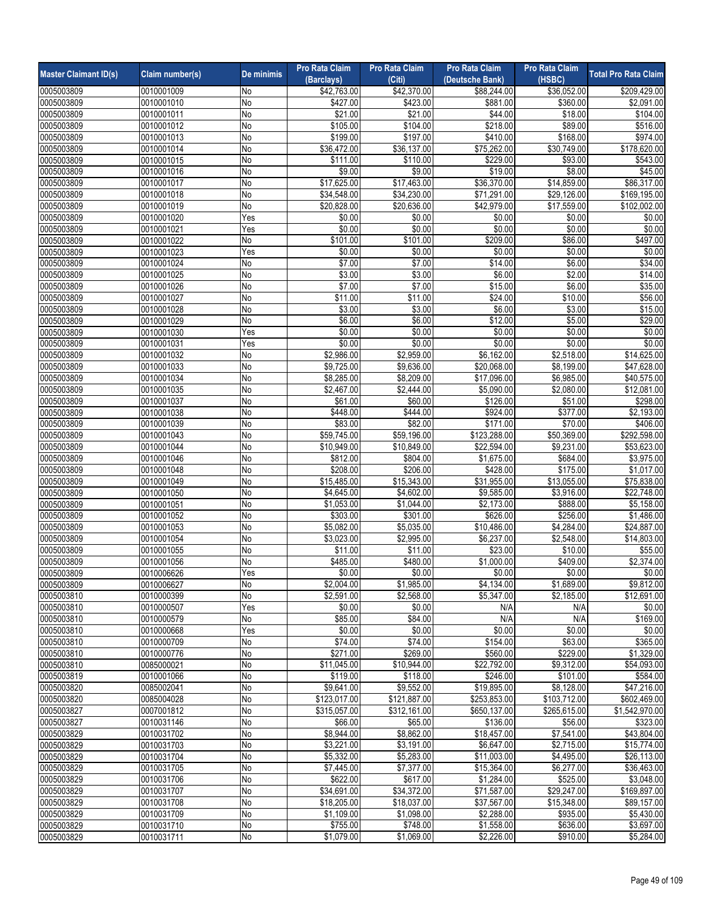| <b>Master Claimant ID(s)</b> | Claim number(s) | De minimis | <b>Pro Rata Claim</b> | <b>Pro Rata Claim</b> | <b>Pro Rata Claim</b> | <b>Pro Rata Claim</b> | <b>Total Pro Rata Claim</b> |
|------------------------------|-----------------|------------|-----------------------|-----------------------|-----------------------|-----------------------|-----------------------------|
|                              |                 |            | (Barclays)            | (Citi)                | (Deutsche Bank)       | (HSBC)                |                             |
| 0005003809                   | 0010001009      | No         | \$42,763.00           | \$42,370.00           | \$88,244.00           | \$36,052.00           | \$209,429.00                |
| 0005003809                   | 0010001010      | No         | \$427.00              | \$423.00              | \$881.00              | \$360.00              | \$2,091.00                  |
| 0005003809                   | 0010001011      | No         | \$21.00               | \$21.00               | \$44.00               | \$18.00               | \$104.00                    |
| 0005003809                   | 0010001012      | No         | \$105.00              | \$104.00              | \$218.00              | \$89.00               | \$516.00                    |
| 0005003809                   | 0010001013      | No         | \$199.00              | \$197.00              | \$410.00              | \$168.00              | \$974.00                    |
| 0005003809                   | 0010001014      | No         | \$36,472.00           | \$36,137.00           | \$75,262.00           | \$30,749.00           | \$178,620.00                |
| 0005003809                   | 0010001015      | <b>No</b>  | \$111.00              | \$110.00              | \$229.00              | \$93.00               | \$543.00                    |
| 0005003809                   | 0010001016      | No         | \$9.00                | \$9.00                | \$19.00               | \$8.00                | \$45.00                     |
| 0005003809                   | 0010001017      | No         | \$17,625.00           | \$17,463.00           | \$36,370.00           | \$14,859.00           | \$86,317.00                 |
| 0005003809                   | 0010001018      | No         | \$34,548.00           | \$34,230.00           | \$71,291.00           | \$29,126.00           | \$169,195.00                |
| 0005003809                   | 0010001019      | No         | \$20,828.00           | \$20,636.00           | \$42,979.00           | \$17,559.00           | \$102,002.00                |
| 0005003809                   | 0010001020      | Yes        | \$0.00                | \$0.00                | \$0.00                | \$0.00                | \$0.00                      |
| 0005003809                   | 0010001021      | Yes        | \$0.00                | \$0.00                | \$0.00                | \$0.00                | \$0.00                      |
| 0005003809                   | 0010001022      | No         | \$101.00              | \$101.00              | \$209.00              | \$86.00               | \$497.00                    |
| 0005003809                   | 0010001023      | Yes        | \$0.00                | \$0.00                | \$0.00                | \$0.00                | \$0.00                      |
| 0005003809                   | 0010001024      | No         | \$7.00                | \$7.00                | \$14.00               | \$6.00                | \$34.00                     |
| 0005003809                   | 0010001025      | No         | \$3.00                | \$3.00                | \$6.00                | \$2.00                | \$14.00                     |
| 0005003809                   | 0010001026      | <b>No</b>  | \$7.00                | \$7.00                | \$15.00               | \$6.00                | \$35.00                     |
| 0005003809                   | 0010001027      | No         | \$11.00               | \$11.00               | \$24.00               | \$10.00               | \$56.00                     |
| 0005003809                   | 0010001028      | No         | \$3.00                | \$3.00                | \$6.00                | \$3.00                | \$15.00                     |
| 0005003809                   | 0010001029      | No         | \$6.00                | \$6.00                | \$12.00               | \$5.00                | \$29.00                     |
| 0005003809                   | 0010001030      | Yes        | \$0.00                | \$0.00                | \$0.00                | \$0.00                | \$0.00                      |
| 0005003809                   | 0010001031      | Yes        | \$0.00                | \$0.00                | \$0.00                | \$0.00                | \$0.00                      |
| 0005003809                   | 0010001032      | No         | \$2,986.00            | \$2,959.00            | \$6,162.00            | \$2,518.00            | \$14,625.00                 |
| 0005003809                   | 0010001033      | No         | \$9,725.00            | \$9,636.00            | \$20,068.00           | \$8,199.00            | \$47,628.00                 |
| 0005003809                   | 0010001034      | <b>No</b>  | \$8,285.00            | \$8,209.00            | \$17,096.00           | \$6,985.00            | \$40,575.00                 |
| 0005003809                   | 0010001035      | No         | \$2,467.00            | \$2,444.00            | \$5,090.00            | \$2,080.00            | \$12,081.00                 |
| 0005003809                   | 0010001037      | No         | \$61.00               | \$60.00               | \$126.00              | \$51.00               | \$298.00                    |
| 0005003809                   | 0010001038      | <b>No</b>  | \$448.00              | \$444.00              | \$924.00              | \$377.00              | \$2,193.00                  |
| 0005003809                   | 0010001039      | No         | \$83.00               | \$82.00               | \$171.00              | \$70.00               | \$406.00                    |
| 0005003809                   | 0010001043      | No         | \$59,745.00           | \$59,196.00           | \$123,288.00          | \$50,369.00           | \$292,598.00                |
| 0005003809                   | 0010001044      | <b>No</b>  | \$10,949.00           | \$10,849.00           | \$22,594.00           | \$9,231.00            | \$53,623.00                 |
| 0005003809                   | 0010001046      | No         | \$812.00              | \$804.00              | \$1,675.00            | \$684.00              | \$3,975.00                  |
| 0005003809                   | 0010001048      | No         | \$208.00              | \$206.00              | \$428.00              | \$175.00              | \$1,017.00                  |
| 0005003809                   | 0010001049      | No         | \$15,485.00           | \$15,343.00           | \$31,955.00           | \$13,055.00           | \$75,838.00                 |
| 0005003809                   | 0010001050      | No         | \$4,645.00            | \$4,602.00            | \$9,585.00            | \$3,916.00            | \$22,748.00                 |
| 0005003809                   | 0010001051      | No         | \$1,053.00            | \$1,044.00            | \$2,173.00            | \$888.00              | \$5,158.00                  |
| 0005003809                   | 0010001052      | No         | \$303.00              | \$301.00              | \$626.00              | \$256.00              | \$1,486.00                  |
| 0005003809                   | 0010001053      | No         | \$5,082.00            | \$5,035.00            | \$10,486.00           | \$4,284.00            | \$24,887.00                 |
| 0005003809                   | 0010001054      | No         | \$3,023.00            | \$2,995.00            | \$6.237.00            | \$2,548.00            | \$14,803.00                 |
| 0005003809                   | 0010001055      | No         | \$11.00               | \$11.00               | \$23.00               | \$10.00               | \$55.00                     |
| 0005003809                   | 0010001056      | No         | \$485.00              | \$480.00              | \$1,000.00            | \$409.00              | \$2,374.00                  |
| 0005003809                   | 0010006626      | Yes        | \$0.00                | \$0.00                | \$0.00                | \$0.00                | \$0.00                      |
| 0005003809                   | 0010006627      | No         | \$2,004.00            | \$1,985.00            | \$4,134.00            | \$1,689.00            | \$9,812.00                  |
| 0005003810                   | 0010000399      | No         | \$2,591.00            | \$2,568.00            | \$5.347.00            | \$2.185.00            | \$12,691.00                 |
| 0005003810                   | 0010000507      | Yes        | \$0.00                | \$0.00                | N/A                   | N/A                   | \$0.00                      |
| 0005003810                   | 0010000579      | No         | \$85.00               | \$84.00               | N/A                   | N/A                   | \$169.00                    |
| 0005003810                   | 0010000668      | Yes        | \$0.00                | \$0.00                | \$0.00                | \$0.00                | \$0.00                      |
| 0005003810                   | 0010000709      | No         | \$74.00               | \$74.00               | \$154.00              | \$63.00               | \$365.00                    |
| 0005003810                   | 0010000776      | No         | \$271.00              | \$269.00              | \$560.00              | \$229.00              | \$1,329.00                  |
| 0005003810                   | 0085000021      | No         | \$11,045.00           | \$10,944.00           | \$22,792.00           | \$9.312.00            | \$54,093.00                 |
| 0005003819                   | 0010001066      | No         | \$119.00              | \$118.00              | \$246.00              | \$101.00              | \$584.00                    |
| 0005003820                   | 0085002041      | No         | \$9,641.00            | \$9,552.00            | \$19,895.00           | \$8,128.00            | \$47,216.00                 |
| 0005003820                   | 0085004028      | No         | \$123,017.00          | \$121,887.00          | \$253,853.00          | \$103,712.00          | \$602,469.00                |
| 0005003827                   | 0007001812      | No         | \$315,057.00          | \$312,161.00          | \$650,137.00          | \$265,615.00          | \$1,542,970.00              |
| 0005003827                   | 0010031146      | No         | \$66.00               | \$65.00               | \$136.00              | \$56.00               | \$323.00                    |
| 0005003829                   | 0010031702      | No         | \$8,944.00            | \$8,862.00            | \$18,457.00           | \$7,541.00            | \$43,804.00                 |
| 0005003829                   | 0010031703      | No         | \$3,221.00            | \$3,191.00            | \$6,647.00            | \$2,715.00            | \$15,774.00                 |
| 0005003829                   | 0010031704      | No         | \$5,332.00            | \$5,283.00            | \$11,003.00           | \$4,495.00            | \$26,113.00                 |
| 0005003829                   | 0010031705      | No         | \$7,445.00            | \$7,377.00            | \$15,364.00           | \$6,277.00            | \$36,463.00                 |
| 0005003829                   | 0010031706      | No         | \$622.00              | \$617.00              | \$1,284.00            | \$525.00              | \$3,048.00                  |
| 0005003829                   | 0010031707      | No         | \$34,691.00           | \$34,372.00           | \$71,587.00           | \$29,247.00           | \$169,897.00                |
| 0005003829                   | 0010031708      | No         | \$18,205.00           | \$18,037.00           | \$37,567.00           | \$15,348.00           | \$89,157.00                 |
| 0005003829                   | 0010031709      | No         | \$1,109.00            | \$1,098.00            | \$2,288.00            | \$935.00              | \$5,430.00                  |
| 0005003829                   | 0010031710      | No         | \$755.00              | \$748.00              | \$1,558.00            | \$636.00              | \$3,697.00                  |
| 0005003829                   | 0010031711      | No         | \$1,079.00            | \$1,069.00            | \$2,226.00            | \$910.00              | \$5,284.00                  |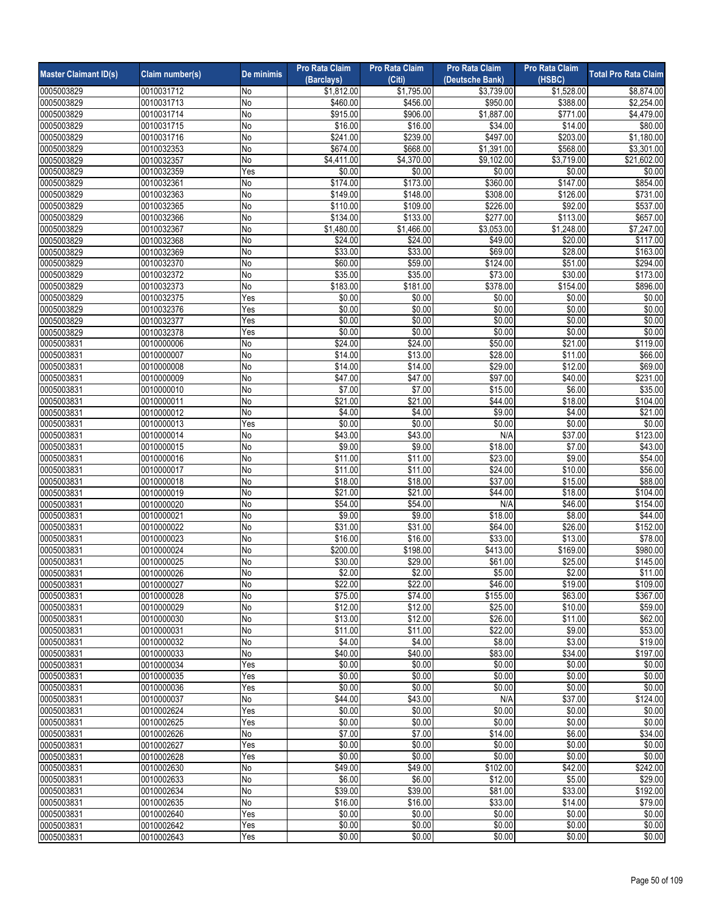| <b>Master Claimant ID(s)</b> | Claim number(s) | De minimis | <b>Pro Rata Claim</b>  | <b>Pro Rata Claim</b> | Pro Rata Claim  | <b>Pro Rata Claim</b> | <b>Total Pro Rata Claim</b> |
|------------------------------|-----------------|------------|------------------------|-----------------------|-----------------|-----------------------|-----------------------------|
|                              |                 |            | (Barclays)             | (Citi)                | (Deutsche Bank) | (HSBC)                |                             |
| 0005003829                   | 0010031712      | No         | \$1,812.00             | \$1,795.00            | \$3,739.00      | \$1,528.00            | \$8,874.00                  |
| 0005003829                   | 0010031713      | No         | \$460.00               | \$456.00              | \$950.00        | \$388.00              | \$2,254.00                  |
| 0005003829                   | 0010031714      | No         | \$915.00               | \$906.00              | \$1,887.00      | \$771.00              | \$4,479.00                  |
| 0005003829                   | 0010031715      | No         | \$16.00                | \$16.00               | \$34.00         | \$14.00               | \$80.00                     |
| 0005003829                   | 0010031716      | No         | \$241.00               | \$239.00              | \$497.00        | \$203.00              | \$1,180.00                  |
| 0005003829                   | 0010032353      | No         | \$674.00               | \$668.00              | \$1,391.00      | \$568.00              | \$3,301.00                  |
| 0005003829                   | 0010032357      | No         | \$4,411.00             | \$4,370.00            | \$9,102.00      | \$3,719.00            | \$21,602.00                 |
| 0005003829                   | 0010032359      | Yes        | \$0.00                 | \$0.00                | \$0.00          | \$0.00                | \$0.00                      |
| 0005003829                   | 0010032361      | No         | \$174.00               | \$173.00              | \$360.00        | \$147.00              | \$854.00                    |
| 0005003829                   | 0010032363      | No         | \$149.00               | \$148.00              | \$308.00        | \$126.00              | \$731.00                    |
| 0005003829                   | 0010032365      | No         | \$110.00               | \$109.00              | \$226.00        | \$92.00               | \$537.00                    |
| 0005003829                   | 0010032366      | No         | \$134.00               | \$133.00              | \$277.00        | \$113.00              | \$657.00                    |
| 0005003829                   | 0010032367      | No         | $\overline{$1,480.00}$ | \$1,466.00            | \$3,053.00      | \$1,248.00            | \$7,247.00                  |
| 0005003829                   | 0010032368      | No         | \$24.00                | \$24.00               | \$49.00         | \$20.00               | \$117.00                    |
| 0005003829                   | 0010032369      | No         | \$33.00                | \$33.00               | \$69.00         | \$28.00               | \$163.00                    |
| 0005003829                   | 0010032370      | No         | \$60.00                | \$59.00               | \$124.00        | \$51.00               | \$294.00                    |
| 0005003829                   | 0010032372      | No         | \$35.00                | \$35.00               | \$73.00         | \$30.00               | \$173.00                    |
| 0005003829                   | 0010032373      | No         | \$183.00               | \$181.00              | \$378.00        | \$154.00              | \$896.00                    |
| 0005003829                   | 0010032375      | Yes        | \$0.00                 | \$0.00                | \$0.00          | \$0.00                | \$0.00                      |
| 0005003829                   | 0010032376      | Yes        | \$0.00                 | \$0.00                | \$0.00          | \$0.00                | \$0.00                      |
| 0005003829                   | 0010032377      | Yes        | \$0.00                 | \$0.00                | \$0.00          | \$0.00                | \$0.00                      |
| 0005003829                   |                 |            | \$0.00                 | \$0.00                | \$0.00          | \$0.00                | \$0.00                      |
|                              | 0010032378      | Yes        |                        |                       |                 |                       |                             |
| 0005003831                   | 0010000006      | No         | \$24.00                | \$24.00               | \$50.00         | \$21.00               | \$119.00<br>\$66.00         |
| 0005003831                   | 0010000007      | No         | \$14.00                | \$13.00               | \$28.00         | \$11.00               |                             |
| 0005003831                   | 0010000008      | No         | \$14.00                | \$14.00               | \$29.00         | \$12.00               | \$69.00                     |
| 0005003831                   | 0010000009      | <b>No</b>  | \$47.00                | \$47.00               | \$97.00         | \$40.00               | \$231.00                    |
| 0005003831                   | 0010000010      | No         | \$7.00                 | \$7.00                | \$15.00         | \$6.00                | \$35.00                     |
| 0005003831                   | 0010000011      | No         | \$21.00                | \$21.00               | \$44.00         | \$18.00               | \$104.00                    |
| 0005003831                   | 0010000012      | <b>No</b>  | \$4.00                 | \$4.00                | \$9.00          | \$4.00                | \$21.00                     |
| 0005003831                   | 0010000013      | Yes        | \$0.00                 | \$0.00                | \$0.00          | \$0.00                | \$0.00                      |
| 0005003831                   | 0010000014      | No         | \$43.00                | \$43.00               | N/A             | \$37.00               | \$123.00                    |
| 0005003831                   | 0010000015      | <b>No</b>  | \$9.00                 | \$9.00                | \$18.00         | \$7.00                | \$43.00                     |
| 0005003831                   | 0010000016      | No         | \$11.00                | \$11.00               | \$23.00         | \$9.00                | \$54.00                     |
| 0005003831                   | 0010000017      | No         | \$11.00                | \$11.00               | \$24.00         | \$10.00               | \$56.00                     |
| 0005003831                   | 0010000018      | No         | \$18.00                | \$18.00               | \$37.00         | \$15.00               | \$88.00                     |
| 0005003831                   | 0010000019      | No         | \$21.00                | \$21.00               | \$44.00         | \$18.00               | \$104.00                    |
| 0005003831                   | 0010000020      | No         | \$54.00                | \$54.00               | N/A             | \$46.00               | \$154.00                    |
| 0005003831                   | 0010000021      | No         | \$9.00                 | \$9.00                | \$18.00         | \$8.00                | \$44.00                     |
| 0005003831                   | 0010000022      | No         | \$31.00                | \$31.00               | \$64.00         | \$26.00               | \$152.00                    |
| 0005003831                   | 0010000023      | No         | \$16.00                | \$16.00               | \$33.00         | \$13.00               | \$78.00                     |
| 0005003831                   | 0010000024      | No         | \$200.00               | \$198.00              | \$413.00        | \$169.00              | \$980.00                    |
| 0005003831                   | 0010000025      | No         | \$30.00                | \$29.00               | \$61.00         | \$25.00               | \$145.00                    |
| 0005003831                   | 0010000026      | No         | \$2.00                 | \$2.00                | \$5.00          | \$2.00                | \$11.00                     |
| 0005003831                   | 0010000027      | No         | \$22.00                | \$22.00               | \$46.00         | \$19.00               | \$109.00                    |
| 0005003831                   | 0010000028      | No         | \$75.00                | \$74.00               | \$155.00        | \$63.00               | \$367.00                    |
| 0005003831                   | 0010000029      | No         | \$12.00                | \$12.00               | \$25.00         | \$10.00               | \$59.00                     |
| 0005003831                   | 0010000030      | No         | \$13.00                | \$12.00               | \$26.00         | \$11.00               | \$62.00                     |
| 0005003831                   | 0010000031      | No         | \$11.00                | \$11.00               | \$22.00         | \$9.00                | \$53.00                     |
| 0005003831                   | 0010000032      | No         | \$4.00                 | \$4.00                | \$8.00          | \$3.00                | \$19.00                     |
| 0005003831                   | 0010000033      | No         | \$40.00                | \$40.00               | \$83.00         | \$34.00               | \$197.00                    |
| 0005003831                   | 0010000034      | Yes        | \$0.00                 | \$0.00                | \$0.00          | \$0.00                | \$0.00                      |
| 0005003831                   | 0010000035      | Yes        | \$0.00                 | \$0.00                | \$0.00          | \$0.00                | \$0.00                      |
| 0005003831                   | 0010000036      |            | \$0.00                 | \$0.00                | \$0.00          | \$0.00                | \$0.00                      |
|                              |                 | Yes        |                        |                       |                 |                       |                             |
| 0005003831                   | 0010000037      | No         | \$44.00                | \$43.00               | N/A             | \$37.00               | \$124.00                    |
| 0005003831                   | 0010002624      | Yes        | \$0.00                 | \$0.00                | \$0.00          | \$0.00                | \$0.00                      |
| 0005003831                   | 0010002625      | Yes        | \$0.00                 | \$0.00                | \$0.00          | \$0.00                | \$0.00                      |
| 0005003831                   | 0010002626      | No         | \$7.00                 | \$7.00                | \$14.00         | \$6.00                | \$34.00                     |
| 0005003831                   | 0010002627      | Yes        | \$0.00                 | \$0.00                | \$0.00          | \$0.00                | \$0.00                      |
| 0005003831                   | 0010002628      | Yes        | \$0.00                 | \$0.00                | \$0.00          | \$0.00                | \$0.00                      |
| 0005003831                   | 0010002630      | No         | \$49.00                | \$49.00               | \$102.00        | \$42.00               | \$242.00                    |
| 0005003831                   | 0010002633      | No         | \$6.00                 | \$6.00                | \$12.00         | \$5.00                | \$29.00                     |
| 0005003831                   | 0010002634      | No         | \$39.00                | \$39.00               | \$81.00         | \$33.00               | \$192.00                    |
| 0005003831                   | 0010002635      | No         | \$16.00                | \$16.00               | \$33.00         | \$14.00               | \$79.00                     |
| 0005003831                   | 0010002640      | Yes        | \$0.00                 | \$0.00                | \$0.00          | \$0.00                | \$0.00                      |
| 0005003831                   | 0010002642      | Yes        | \$0.00                 | \$0.00                | \$0.00          | \$0.00                | \$0.00                      |
| 0005003831                   | 0010002643      | Yes        | \$0.00                 | \$0.00                | \$0.00          | \$0.00                | \$0.00                      |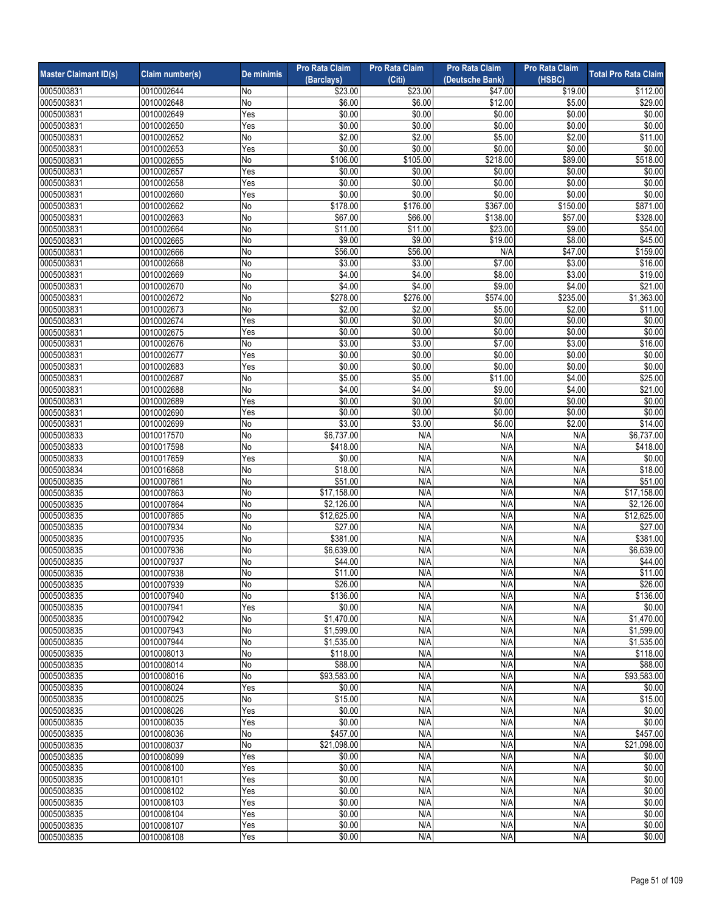| <b>Master Claimant ID(s)</b> | Claim number(s) | De minimis | <b>Pro Rata Claim</b><br>(Barclays) | Pro Rata Claim<br>(C <sub>it</sub> ) | <b>Pro Rata Claim</b><br>(Deutsche Bank) | <b>Pro Rata Claim</b><br>(HSBC) | <b>Total Pro Rata Claim</b> |
|------------------------------|-----------------|------------|-------------------------------------|--------------------------------------|------------------------------------------|---------------------------------|-----------------------------|
| 0005003831                   | 0010002644      | No         | \$23.00                             | \$23.00                              | \$47.00                                  | \$19.00                         | \$112.00                    |
| 0005003831                   | 0010002648      | No         | \$6.00                              | \$6.00                               | \$12.00                                  | \$5.00                          | \$29.00                     |
| 0005003831                   | 0010002649      | Yes        | \$0.00                              | \$0.00                               | \$0.00                                   | \$0.00                          | \$0.00                      |
| 0005003831                   | 0010002650      | Yes        | \$0.00                              | \$0.00                               | \$0.00                                   | \$0.00                          | \$0.00                      |
| 0005003831                   | 0010002652      | No         | \$2.00                              | \$2.00                               | \$5.00                                   | \$2.00                          | \$11.00                     |
| 0005003831                   | 0010002653      | Yes        | \$0.00                              | \$0.00                               | \$0.00                                   | \$0.00                          | \$0.00                      |
| 0005003831                   | 0010002655      | No         | \$106.00                            | \$105.00                             | \$218.00                                 | \$89.00                         | \$518.00                    |
| 0005003831                   | 0010002657      | Yes        | \$0.00                              | \$0.00                               | \$0.00                                   | \$0.00                          | \$0.00                      |
| 0005003831                   | 0010002658      | Yes        | \$0.00                              | \$0.00                               | \$0.00                                   | \$0.00                          | \$0.00                      |
| 0005003831                   | 0010002660      | Yes        | \$0.00                              | \$0.00                               | \$0.00                                   | \$0.00                          | \$0.00                      |
| 0005003831                   | 0010002662      | No         | \$178.00                            | \$176.00                             | \$367.00                                 | \$150.00                        | \$871.00                    |
| 0005003831                   | 0010002663      | No         | \$67.00                             | \$66.00                              | \$138.00                                 | \$57.00                         | \$328.00                    |
| 0005003831                   | 0010002664      | No         | \$11.00                             | \$11.00                              | \$23.00                                  | \$9.00                          | \$54.00                     |
| 0005003831                   | 0010002665      | No         | \$9.00                              | \$9.00                               | \$19.00                                  | \$8.00                          | \$45.00                     |
| 0005003831                   | 0010002666      | No         | \$56.00                             | \$56.00                              | N/A                                      | \$47.00                         | \$159.00                    |
| 0005003831                   | 0010002668      | No         | \$3.00                              | \$3.00                               | \$7.00                                   | \$3.00                          | \$16.00                     |
| 0005003831                   | 0010002669      | No         | \$4.00                              | \$4.00                               | \$8.00                                   | \$3.00                          | \$19.00                     |
| 0005003831                   | 0010002670      | No         | \$4.00                              | \$4.00                               | \$9.00                                   | \$4.00                          | \$21.00                     |
| 0005003831                   | 0010002672      | No         | \$278.00                            | \$276.00                             | \$574.00                                 | \$235.00                        | \$1,363.00                  |
| 0005003831                   | 0010002673      | No         | \$2.00                              | \$2.00                               | \$5.00                                   | \$2.00                          | \$11.00                     |
| 0005003831                   | 0010002674      | Yes        | \$0.00                              | \$0.00                               | \$0.00                                   | \$0.00                          | \$0.00                      |
| 0005003831                   | 0010002675      | Yes        | \$0.00                              | \$0.00                               | \$0.00                                   | \$0.00                          | \$0.00                      |
| 0005003831                   | 0010002676      | No         | \$3.00                              | \$3.00                               | \$7.00                                   | \$3.00                          | \$16.00                     |
| 0005003831                   | 0010002677      | Yes        | \$0.00                              | \$0.00                               | \$0.00                                   | \$0.00                          | \$0.00                      |
| 0005003831                   | 0010002683      | Yes        | \$0.00                              | \$0.00                               | \$0.00                                   | \$0.00                          | \$0.00                      |
| 0005003831                   | 0010002687      | No         | \$5.00                              | \$5.00                               | \$11.00                                  | \$4.00                          | \$25.00                     |
| 0005003831                   | 0010002688      | No         | \$4.00                              | \$4.00                               | \$9.00                                   | \$4.00                          | \$21.00                     |
| 0005003831                   | 0010002689      | Yes        | \$0.00                              | \$0.00                               | \$0.00                                   | \$0.00                          | \$0.00                      |
| 0005003831                   | 0010002690      | Yes        | \$0.00                              | \$0.00                               | \$0.00                                   | \$0.00                          | \$0.00                      |
| 0005003831                   | 0010002699      | No         | \$3.00                              | \$3.00                               | \$6.00                                   | \$2.00                          | \$14.00                     |
| 0005003833                   | 0010017570      | No         | \$6,737.00                          | N/A                                  | N/A                                      | N/A                             | \$6,737.00                  |
| 0005003833                   | 0010017598      | No         | \$418.00                            | N/A                                  | N/A                                      | N/A                             | \$418.00                    |
| 0005003833                   | 0010017659      | Yes        | \$0.00                              | N/A                                  | N/A                                      | N/A                             | \$0.00                      |
| 0005003834                   | 0010016868      | No         | \$18.00                             | N/A                                  | N/A                                      | N/A                             | \$18.00                     |
| 0005003835                   | 0010007861      | <b>No</b>  | \$51.00                             | N/A                                  | N/A                                      | N/A                             | \$51.00                     |
| 0005003835                   | 0010007863      | No         | \$17,158.00                         | N/A                                  | N/A                                      | N/A                             | \$17,158.00                 |
| 0005003835                   | 0010007864      | No         | \$2,126.00                          | N/A                                  | N/A                                      | N/A                             | \$2,126.00                  |
| 0005003835                   | 0010007865      | No         | \$12,625.00                         | N/A                                  | N/A                                      | N/A                             | \$12,625.00                 |
| 0005003835                   | 0010007934      | No         | \$27.00                             | N/A                                  | N/A                                      | N/A                             | \$27.00                     |
| 0005003835                   | 0010007935      | No         | \$381.00                            | N/A                                  | N/A                                      | N/A                             | \$381.00                    |
| 0005003835                   | 0010007936      | No         | \$6,639.00                          | N/A                                  | N/A                                      | N/A                             | \$6,639.00                  |
| 0005003835                   | 0010007937      | No         | \$44.00                             | N/A                                  | N/A                                      | N/A                             | \$44.00                     |
| 0005003835                   | 0010007938      | No         | \$11.00                             | N/A                                  | N/A                                      | N/A                             | \$11.00                     |
| 0005003835                   | 0010007939      | No         | \$26.00                             | N/A                                  | N/A                                      | N/A                             | \$26.00                     |
| 0005003835                   | 0010007940      | <b>No</b>  | \$136.00                            | N/A                                  | N/A                                      | N/A                             | \$136.00                    |
| 0005003835                   | 0010007941      | Yes        | \$0.00                              | N/A                                  | N/A                                      | N/A                             | \$0.00                      |
| 0005003835                   | 0010007942      | <b>No</b>  | \$1,470.00                          | N/A                                  | N/A                                      | N/A                             | \$1,470.00                  |
| 0005003835                   | 0010007943      | No         | \$1,599.00                          | N/A                                  | N/A                                      | N/A                             | \$1,599.00                  |
| 0005003835                   | 0010007944      | No         | \$1,535.00                          | N/A                                  | N/A                                      | N/A                             | \$1,535.00                  |
| 0005003835                   | 0010008013      | No         | \$118.00                            | N/A                                  | N/A                                      | N/A                             | \$118.00                    |
| 0005003835                   | 0010008014      | No         | \$88.00                             | N/A                                  | N/A                                      | N/A                             | \$88.00                     |
| 0005003835                   | 0010008016      | No         | \$93,583.00                         | N/A                                  | N/A                                      | N/A                             | \$93,583.00                 |
| 0005003835                   | 0010008024      | Yes        | \$0.00                              | N/A                                  | N/A                                      | N/A                             | \$0.00                      |
| 0005003835                   | 0010008025      | No         | \$15.00                             | N/A                                  | N/A                                      | N/A                             | \$15.00                     |
| 0005003835                   | 0010008026      | Yes        | \$0.00                              | N/A                                  | N/A                                      | N/A                             | \$0.00                      |
| 0005003835                   | 0010008035      | Yes        | \$0.00                              | N/A                                  | N/A                                      | N/A                             | \$0.00                      |
| 0005003835                   | 0010008036      | No         | \$457.00                            | N/A                                  | N/A                                      | N/A                             | \$457.00                    |
| 0005003835                   | 0010008037      | No         | \$21,098.00                         | N/A                                  | N/A                                      | N/A                             | \$21,098.00                 |
| 0005003835                   | 0010008099      | Yes        | \$0.00                              | N/A                                  | N/A                                      | N/A                             | \$0.00                      |
| 0005003835                   | 0010008100      | Yes        | \$0.00                              | N/A                                  | N/A                                      | N/A                             | \$0.00                      |
| 0005003835                   | 0010008101      | Yes        | \$0.00                              | N/A                                  | N/A                                      | N/A                             | \$0.00                      |
| 0005003835                   | 0010008102      | Yes        | \$0.00                              | N/A                                  | N/A                                      | N/A                             | \$0.00                      |
| 0005003835                   | 0010008103      | Yes        | \$0.00                              | N/A                                  | N/A                                      | N/A                             | \$0.00                      |
| 0005003835                   | 0010008104      | Yes        | \$0.00                              | N/A                                  | N/A                                      | N/A                             | \$0.00                      |
| 0005003835                   | 0010008107      | Yes        | \$0.00                              | N/A                                  | N/A                                      | N/A                             | \$0.00                      |
| 0005003835                   | 0010008108      | Yes        | \$0.00                              | N/A                                  | N/A                                      | N/A                             | \$0.00                      |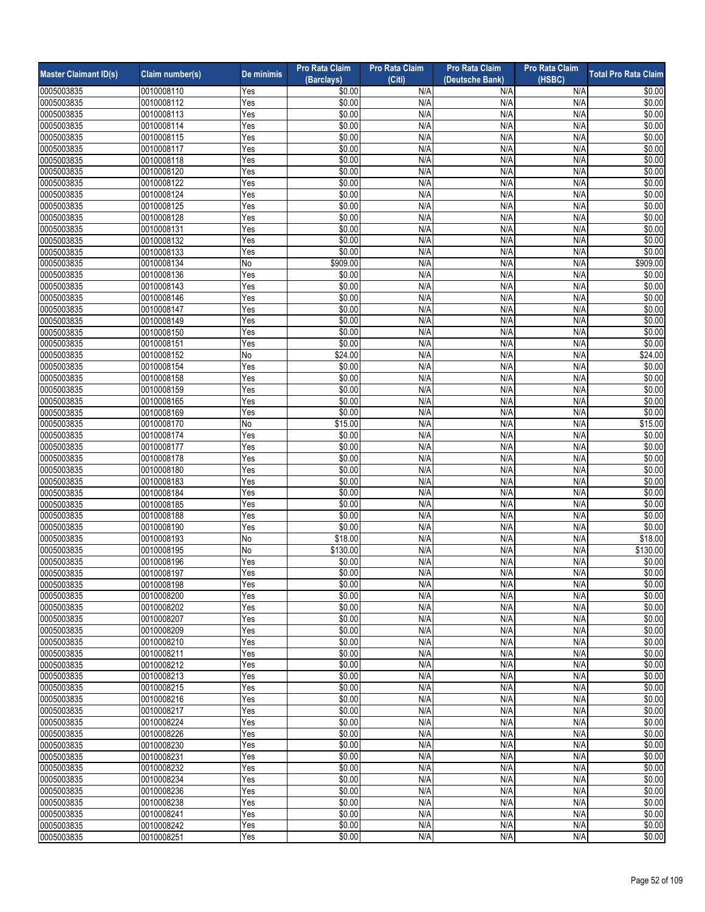| <b>Master Claimant ID(s)</b> | Claim number(s) | De minimis | Pro Rata Claim<br>(Barclays) | Pro Rata Claim<br>(Citi) | <b>Pro Rata Claim</b><br>(Deutsche Bank) | <b>Pro Rata Claim</b><br>(HSBC) | <b>Total Pro Rata Claim</b> |
|------------------------------|-----------------|------------|------------------------------|--------------------------|------------------------------------------|---------------------------------|-----------------------------|
| 0005003835                   | 0010008110      | Yes        | \$0.00                       | N/A                      | N/A                                      | N/A                             | \$0.00                      |
| 0005003835                   | 0010008112      | Yes        | \$0.00                       | N/A                      | N/A                                      | N/A                             | \$0.00                      |
| 0005003835                   | 0010008113      | Yes        | \$0.00                       | N/A                      | N/A                                      | N/A                             | \$0.00                      |
| 0005003835                   | 0010008114      | Yes        | \$0.00                       | N/A                      | N/A                                      | N/A                             | \$0.00                      |
| 0005003835                   | 0010008115      | Yes        | \$0.00                       | N/A                      | N/A                                      | N/A                             | \$0.00                      |
| 0005003835                   | 0010008117      | Yes        | \$0.00                       | N/A                      | N/A                                      | N/A                             | \$0.00                      |
| 0005003835                   | 0010008118      | Yes        | \$0.00                       | N/A                      | N/A                                      | N/A                             | \$0.00                      |
| 0005003835                   | 0010008120      | Yes        | \$0.00                       | N/A                      | N/A                                      | N/A                             | \$0.00                      |
| 0005003835                   | 0010008122      | Yes        | \$0.00                       | N/A                      | N/A                                      | N/A                             | \$0.00                      |
| 0005003835                   | 0010008124      | Yes        | \$0.00                       | N/A                      | N/A                                      | N/A                             | \$0.00                      |
| 0005003835                   | 0010008125      | Yes        | \$0.00                       | N/A                      | N/A                                      | N/A                             | \$0.00                      |
| 0005003835                   | 0010008128      | Yes        | \$0.00                       | N/A                      | N/A                                      | N/A                             | \$0.00                      |
| 0005003835                   | 0010008131      | Yes        | \$0.00                       | N/A                      | N/A                                      | N/A                             | \$0.00                      |
| 0005003835                   | 0010008132      | Yes        | \$0.00                       | N/A                      | N/A                                      | N/A                             | \$0.00                      |
| 0005003835                   | 0010008133      | Yes        | \$0.00                       | N/A                      | N/A                                      | N/A                             | \$0.00                      |
| 0005003835                   | 0010008134      | No         | \$909.00                     | N/A                      | N/A                                      | N/A                             | \$909.00                    |
| 0005003835                   | 0010008136      | Yes        | \$0.00                       | N/A                      | N/A                                      | N/A                             | \$0.00                      |
| 0005003835                   | 0010008143      | Yes        | \$0.00                       | N/A                      | N/A                                      | N/A                             | \$0.00                      |
| 0005003835                   | 0010008146      | Yes        | \$0.00                       | N/A                      | N/A                                      | N/A                             | \$0.00                      |
| 0005003835                   | 0010008147      | Yes        | \$0.00                       | N/A                      | N/A                                      | N/A                             | \$0.00                      |
|                              |                 |            | \$0.00                       | N/A                      |                                          | N/A                             | \$0.00                      |
| 0005003835                   | 0010008149      | Yes        |                              |                          | N/A                                      |                                 | \$0.00                      |
| 0005003835                   | 0010008150      | Yes        | \$0.00                       | N/A                      | N/A                                      | N/A                             |                             |
| 0005003835                   | 0010008151      | Yes        | \$0.00                       | N/A                      | N/A                                      | N/A                             | \$0.00                      |
| 0005003835                   | 0010008152      | No         | \$24.00                      | N/A                      | N/A                                      | N/A                             | \$24.00                     |
| 0005003835                   | 0010008154      | Yes        | \$0.00                       | N/A                      | N/A                                      | N/A                             | \$0.00                      |
| 0005003835                   | 0010008158      | Yes        | \$0.00                       | N/A                      | N/A                                      | N/A                             | \$0.00                      |
| 0005003835                   | 0010008159      | Yes        | \$0.00                       | N/A                      | N/A                                      | N/A                             | \$0.00                      |
| 0005003835                   | 0010008165      | Yes        | \$0.00                       | N/A                      | N/A                                      | N/A                             | \$0.00                      |
| 0005003835                   | 0010008169      | Yes        | \$0.00                       | N/A                      | N/A                                      | N/A                             | \$0.00                      |
| 0005003835                   | 0010008170      | No         | \$15.00                      | N/A                      | N/A                                      | N/A                             | \$15.00                     |
| 0005003835                   | 0010008174      | Yes        | \$0.00                       | N/A                      | N/A                                      | N/A                             | \$0.00                      |
| 0005003835                   | 0010008177      | Yes        | \$0.00                       | N/A                      | N/A                                      | N/A                             | \$0.00                      |
| 0005003835                   | 0010008178      | Yes        | \$0.00                       | N/A                      | N/A                                      | N/A                             | \$0.00                      |
| 0005003835                   | 0010008180      | Yes        | \$0.00                       | N/A                      | N/A                                      | N/A                             | \$0.00                      |
| 0005003835                   | 0010008183      | Yes        | \$0.00                       | N/A                      | N/A                                      | N/A                             | \$0.00                      |
| 0005003835                   | 0010008184      | Yes        | \$0.00                       | N/A                      | N/A                                      | N/A                             | \$0.00                      |
| 0005003835                   | 0010008185      | Yes        | \$0.00                       | N/A                      | N/A                                      | N/A                             | \$0.00                      |
| 0005003835                   | 0010008188      | Yes        | \$0.00                       | N/A                      | N/A                                      | N/A                             | \$0.00                      |
| 0005003835                   | 0010008190      | Yes        | \$0.00                       | N/A                      | N/A                                      | N/A                             | \$0.00                      |
| 0005003835                   | 0010008193      | No         | \$18.00                      | N/A                      | N/A                                      | N/A                             | \$18.00                     |
| 0005003835                   | 0010008195      | No         | \$130.00                     | N/A                      | N/A                                      | N/A                             | \$130.00                    |
| 0005003835                   | 0010008196      | Yes        | \$0.00                       | N/A                      | N/A                                      | N/A                             | \$0.00                      |
| 0005003835                   | 0010008197      | Yes        | \$0.00                       | N/A                      | N/A                                      | N/A                             | \$0.00                      |
| 0005003835                   | 0010008198      | Yes        | \$0.00                       | N/A                      | N/A                                      | N/A                             | \$0.00                      |
| 0005003835                   | 0010008200      | Yes        | \$0.00                       | N/A                      | N/A                                      | N/A                             | \$0.00                      |
| 0005003835                   | 0010008202      | Yes        | \$0.00                       | N/A                      | N/A                                      | N/A                             | \$0.00                      |
| 0005003835                   | 0010008207      | Yes        | \$0.00                       | N/A                      | N/A                                      | N/A                             | \$0.00                      |
| 0005003835                   | 0010008209      | Yes        | \$0.00                       | N/A                      | N/A                                      | N/A                             | \$0.00                      |
| 0005003835                   | 0010008210      | Yes        | \$0.00                       | N/A                      | N/A                                      | N/A                             | \$0.00                      |
| 0005003835                   | 0010008211      | Yes        | \$0.00                       | N/A                      | N/A                                      | N/A                             | \$0.00                      |
| 0005003835                   | 0010008212      | Yes        | \$0.00                       | N/A                      | N/A                                      | N/A                             | \$0.00                      |
| 0005003835                   | 0010008213      | Yes        | \$0.00                       | N/A                      | N/A                                      | N/A                             | \$0.00                      |
| 0005003835                   | 0010008215      | Yes        | \$0.00                       | N/A                      | N/A                                      | N/A                             | \$0.00                      |
| 0005003835                   | 0010008216      | Yes        | \$0.00                       | N/A                      | N/A                                      | N/A                             | \$0.00                      |
| 0005003835                   | 0010008217      | Yes        | \$0.00                       | N/A                      | N/A                                      | N/A                             | \$0.00                      |
| 0005003835                   | 0010008224      | Yes        | \$0.00                       | N/A                      | N/A                                      | N/A                             | \$0.00                      |
| 0005003835                   | 0010008226      | Yes        | \$0.00                       | N/A                      | N/A                                      | N/A                             | \$0.00                      |
| 0005003835                   | 0010008230      | Yes        | \$0.00                       | N/A                      | N/A                                      | N/A                             | \$0.00                      |
| 0005003835                   | 0010008231      | Yes        | \$0.00                       | N/A                      | N/A                                      | N/A                             | \$0.00                      |
| 0005003835                   | 0010008232      | Yes        | \$0.00                       | N/A                      | N/A                                      | N/A                             | \$0.00                      |
| 0005003835                   | 0010008234      | Yes        | \$0.00                       | N/A                      | N/A                                      | N/A                             | \$0.00                      |
| 0005003835                   | 0010008236      | Yes        | \$0.00                       | N/A                      | N/A                                      | N/A                             | \$0.00                      |
| 0005003835                   | 0010008238      | Yes        | \$0.00                       | N/A                      | N/A                                      | N/A                             | \$0.00                      |
| 0005003835                   | 0010008241      | Yes        | \$0.00                       | N/A                      | N/A                                      | N/A                             | \$0.00                      |
| 0005003835                   | 0010008242      | Yes        | \$0.00                       | N/A                      | N/A                                      | N/A                             | \$0.00                      |
| 0005003835                   | 0010008251      | Yes        | \$0.00                       | N/A                      | N/A                                      | N/A                             | \$0.00                      |
|                              |                 |            |                              |                          |                                          |                                 |                             |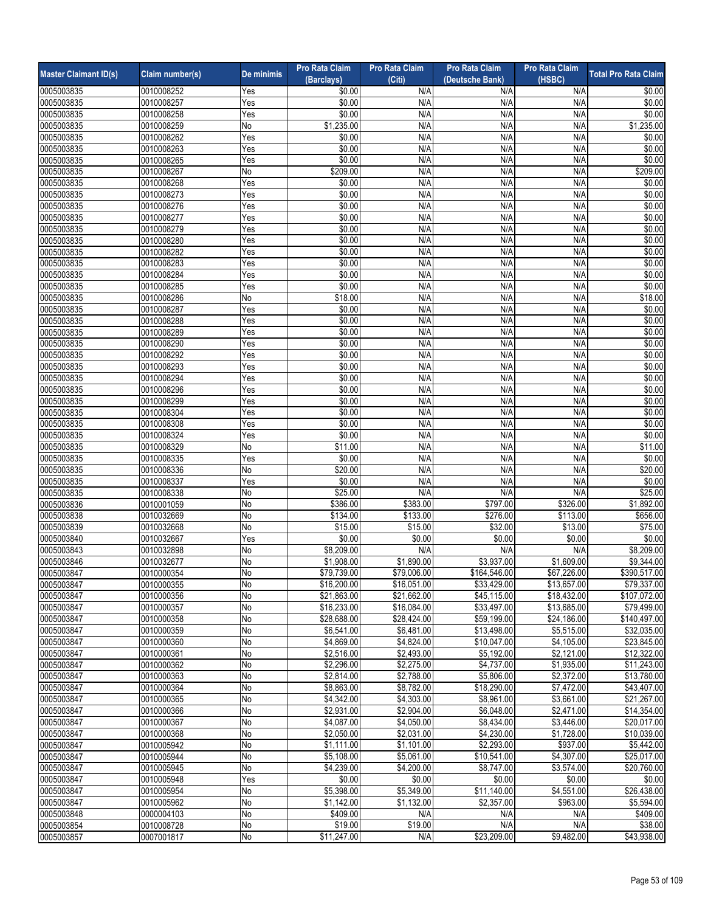| <b>Master Claimant ID(s)</b> | Claim number(s)          | De minimis | <b>Pro Rata Claim</b><br>(Barclays) | Pro Rata Claim<br>(Citi) | Pro Rata Claim<br>(Deutsche Bank) | Pro Rata Claim<br>(HSBC) | <b>Total Pro Rata Claim</b> |
|------------------------------|--------------------------|------------|-------------------------------------|--------------------------|-----------------------------------|--------------------------|-----------------------------|
| 0005003835                   | 0010008252               | Yes        | \$0.00                              | N/A                      | N/A                               | N/A                      | \$0.00                      |
| 0005003835                   | 0010008257               | Yes        | \$0.00                              | N/A                      | N/A                               | N/A                      | \$0.00                      |
| 0005003835                   | 0010008258               | Yes        | \$0.00                              | N/A                      | N/A                               | N/A                      | \$0.00                      |
| 0005003835                   | 0010008259               | No         | $\overline{$1,235.00}$              | N/A                      | N/A                               | N/A                      | \$1,235.00                  |
| 0005003835                   | 0010008262               | Yes        | \$0.00                              | N/A                      | N/A                               | N/A                      | \$0.00                      |
| 0005003835                   | 0010008263               | Yes        | \$0.00                              | N/A                      | N/A                               | N/A                      | \$0.00                      |
| 0005003835                   | 0010008265               | Yes        | \$0.00                              | N/A                      | N/A                               | N/A                      | \$0.00                      |
| 0005003835                   | 0010008267               | No         | \$209.00                            | N/A                      | N/A                               | N/A                      | \$209.00                    |
| 0005003835                   | 0010008268               | Yes        | \$0.00                              | N/A                      | N/A                               | N/A                      | \$0.00                      |
| 0005003835                   | 0010008273               | Yes        | \$0.00                              | N/A                      | N/A                               | N/A                      | \$0.00                      |
| 0005003835                   | 0010008276               | Yes        | \$0.00                              | N/A                      | N/A                               | N/A                      | \$0.00                      |
| 0005003835                   | 0010008277               | Yes        | \$0.00                              | N/A                      | N/A                               | N/A                      | \$0.00                      |
| 0005003835                   | 0010008279               | Yes        | \$0.00                              | N/A                      | N/A                               | N/A                      | \$0.00                      |
| 0005003835                   | 0010008280               | Yes        | \$0.00                              | N/A                      | N/A                               | N/A                      | \$0.00                      |
| 0005003835                   | 0010008282               | Yes        | \$0.00                              | N/A                      | N/A                               | N/A                      | \$0.00                      |
| 0005003835                   | 0010008283               | Yes        | \$0.00                              | N/A                      | N/A                               | N/A                      | \$0.00                      |
| 0005003835                   | 0010008284               | Yes        | \$0.00                              | N/A                      | N/A                               | N/A                      | \$0.00                      |
| 0005003835                   | 0010008285               | Yes        | \$0.00                              | N/A                      | N/A                               | N/A                      | \$0.00                      |
| 0005003835                   | 0010008286               | No         | \$18.00                             | N/A                      | N/A                               | N/A                      | \$18.00                     |
| 0005003835                   | 0010008287               | Yes        | \$0.00                              | N/A                      | N/A                               | N/A                      | \$0.00                      |
| 0005003835                   | 0010008288               | Yes        | \$0.00                              | N/A                      | N/A                               | N/A                      | \$0.00                      |
| 0005003835                   | 0010008289               | Yes        | \$0.00                              | N/A                      | N/A                               | N/A                      | \$0.00                      |
| 0005003835                   | 0010008290               | Yes        | \$0.00                              | N/A                      | N/A                               | N/A                      | \$0.00                      |
| 0005003835                   | 0010008292               | Yes        | \$0.00                              | N/A                      | N/A                               | N/A                      | \$0.00                      |
| 0005003835                   | 0010008293               | Yes        | \$0.00                              | N/A                      | N/A                               | N/A                      | \$0.00                      |
| 0005003835                   | 0010008294               | Yes        | \$0.00                              | N/A                      | N/A                               | N/A                      | \$0.00                      |
| 0005003835                   | 0010008296               | Yes        | \$0.00                              | N/A                      | N/A                               | N/A                      | \$0.00                      |
| 0005003835                   | 0010008299               | Yes        | \$0.00                              | N/A                      | N/A                               | N/A                      | \$0.00                      |
| 0005003835<br>0005003835     | 0010008304               | Yes        | \$0.00<br>\$0.00                    | N/A<br>N/A               | N/A<br>N/A                        | N/A<br>N/A               | \$0.00<br>\$0.00            |
|                              | 0010008308               | Yes        | \$0.00                              | N/A                      | N/A                               | N/A                      | \$0.00                      |
| 0005003835<br>0005003835     | 0010008324<br>0010008329 | Yes<br>No  | \$11.00                             | N/A                      | N/A                               | N/A                      | \$11.00                     |
| 0005003835                   | 0010008335               | Yes        | \$0.00                              | N/A                      | N/A                               | N/A                      | \$0.00                      |
| 0005003835                   | 0010008336               | No         | \$20.00                             | N/A                      | N/A                               | N/A                      | \$20.00                     |
| 0005003835                   | 0010008337               | Yes        | \$0.00                              | N/A                      | N/A                               | N/A                      | \$0.00                      |
| 0005003835                   | 0010008338               | No         | \$25.00                             | N/A                      | N/A                               | N/A                      | \$25.00                     |
| 0005003836                   | 0010001059               | No         | \$386.00                            | \$383.00                 | \$797.00                          | \$326.00                 | \$1,892.00                  |
| 0005003838                   | 0010032669               | No         | \$134.00                            | \$133.00                 | \$276.00                          | \$113.00                 | \$656.00                    |
| 0005003839                   | 0010032668               | No         | \$15.00                             | \$15.00                  | \$32.00                           | \$13.00                  | \$75.00                     |
| 0005003840                   | 0010032667               | Yes        | \$0.00                              | \$0.00                   | \$0.00                            | \$0.00                   | \$0.00                      |
| 0005003843                   | 0010032898               | No         | \$8,209.00                          | N/A                      | N/A                               | N/A                      | \$8,209.00                  |
| 0005003846                   | 0010032677               | No         | \$1,908.00                          | \$1,890.00               | \$3,937.00                        | \$1,609.00               | \$9,344.00                  |
| 0005003847                   | 0010000354               | No         | \$79,739.00                         | \$79,006.00              | \$164,546.00                      | \$67,226.00              | \$390,517.00                |
| 0005003847                   | 0010000355               | No         | \$16,200.00                         | \$16,051.00              | \$33,429.00                       | \$13,657.00              | \$79,337.00                 |
| 0005003847                   | 0010000356               | No         | \$21,863.00                         | \$21.662.00              | \$45,115.00                       | \$18,432.00              | \$107,072.00                |
| 0005003847                   | 0010000357               | No         | \$16,233.00                         | \$16,084.00              | \$33,497.00                       | \$13,685.00              | \$79,499.00                 |
| 0005003847                   | 0010000358               | No         | \$28,688.00                         | \$28,424.00              | \$59,199.00                       | \$24.186.00              | \$140,497.00                |
| 0005003847                   | 0010000359               | No         | \$6,541.00                          | \$6,481.00               | \$13,498.00                       | \$5,515.00               | \$32,035.00                 |
| 0005003847                   | 0010000360               | No         | \$4,869.00                          | \$4,824.00               | \$10,047.00                       | \$4,105.00               | \$23,845.00                 |
| 0005003847                   | 0010000361               | No         | \$2,516.00                          | \$2,493.00               | \$5,192.00                        | \$2,121.00               | \$12,322.00                 |
| 0005003847                   | 0010000362               | No         | \$2.296.00                          | \$2,275.00               | \$4,737.00                        | \$1,935.00               | \$11,243.00                 |
| 0005003847                   | 0010000363               | No         | \$2,814.00                          | \$2,788.00               | \$5,806.00                        | \$2,372.00               | \$13,780.00                 |
| 0005003847                   | 0010000364               | No         | \$8,863.00                          | \$8,782.00               | \$18,290.00                       | \$7,472.00               | \$43,407.00                 |
| 0005003847                   | 0010000365               | No         | \$4,342.00                          | \$4,303.00               | \$8,961.00                        | \$3,661.00               | \$21,267.00                 |
| 0005003847                   | 0010000366               | No         | \$2,931.00                          | \$2,904.00               | \$6,048.00                        | \$2,471.00               | \$14,354.00                 |
| 0005003847                   | 0010000367               | No         | \$4,087.00                          | \$4,050.00               | \$8,434.00                        | \$3.446.00               | \$20,017.00                 |
| 0005003847                   | 0010000368               | No         | \$2,050.00                          | \$2,031.00               | \$4,230.00                        | \$1,728.00               | \$10,039.00                 |
| 0005003847                   | 0010005942               | No         | \$1,111.00                          | \$1,101.00               | \$2,293.00                        | \$937.00                 | \$5,442.00                  |
| 0005003847                   | 0010005944               | No         | \$5,108.00                          | \$5,061.00               | \$10,541.00                       | \$4,307.00               | \$25,017.00                 |
| 0005003847                   | 0010005945               | No         | \$4,239.00                          | \$4,200.00               | \$8,747.00                        | \$3,574.00               | \$20,760.00                 |
| 0005003847                   | 0010005948               | Yes        | \$0.00                              | \$0.00                   | \$0.00                            | \$0.00                   | \$0.00                      |
| 0005003847                   | 0010005954               | No         | \$5,398.00                          | \$5,349.00               | \$11,140.00                       | \$4,551.00               | \$26,438.00                 |
| 0005003847                   | 0010005962               | No         | \$1,142.00                          | \$1,132.00               | \$2,357.00                        | \$963.00                 | \$5,594.00                  |
| 0005003848<br>0005003854     | 0000004103<br>0010008728 | No<br>No   | \$409.00<br>\$19.00                 | N/A<br>\$19.00           | N/A<br>N/A                        | N/A<br>N/A               | \$409.00<br>\$38.00         |
|                              |                          |            |                                     |                          |                                   |                          |                             |
| 0005003857                   | 0007001817               | No         | \$11,247.00                         | N/A                      | \$23,209.00                       | \$9,482.00               | \$43,938.00                 |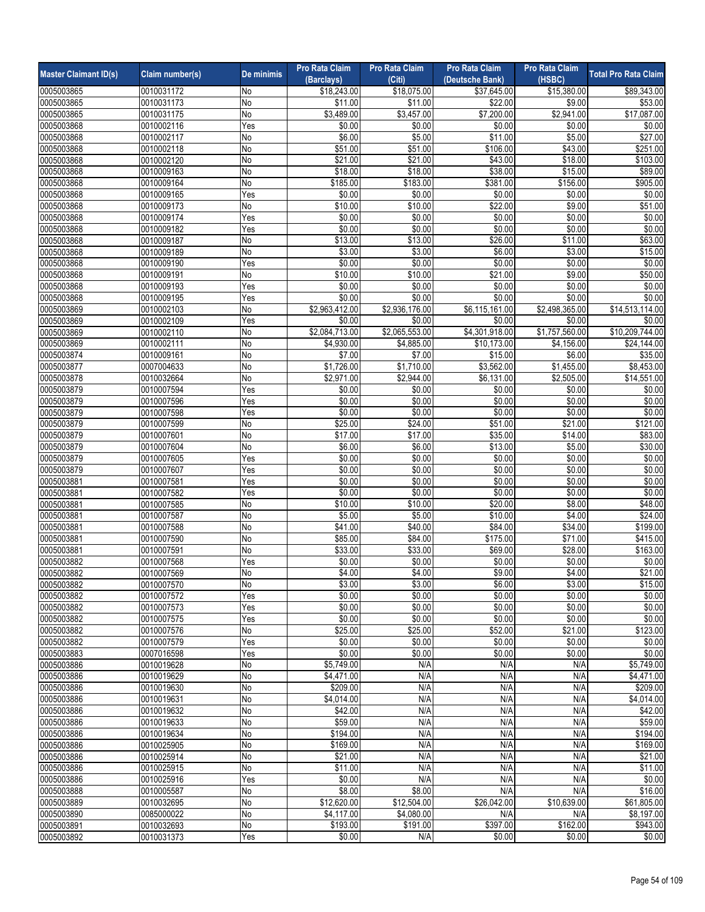|                              | <b>Claim number(s)</b> |            | <b>Pro Rata Claim</b>   | <b>Pro Rata Claim</b> | <b>Pro Rata Claim</b>   | <b>Pro Rata Claim</b> |                             |
|------------------------------|------------------------|------------|-------------------------|-----------------------|-------------------------|-----------------------|-----------------------------|
| <b>Master Claimant ID(s)</b> |                        | De minimis | (Barclays)              | (Citi)                | (Deutsche Bank)         | (HSBC)                | <b>Total Pro Rata Claim</b> |
| 0005003865                   | 0010031172             | No         | $\overline{$}18,243.00$ | \$18,075.00           | $\overline{$37,645.00}$ | \$15,380.00           | \$89,343.00                 |
| 0005003865                   | 0010031173             | No         | \$11.00                 | \$11.00               | \$22.00                 | \$9.00                | \$53.00                     |
| 0005003865                   | 0010031175             | No         | \$3,489.00              | \$3,457.00            | \$7,200.00              | \$2,941.00            | \$17,087.00                 |
| 0005003868                   | 0010002116             | Yes        | \$0.00                  | \$0.00                | \$0.00                  | \$0.00                | \$0.00                      |
| 0005003868                   | 0010002117             | No         | \$6.00                  | \$5.00                | \$11.00                 | \$5.00                | \$27.00                     |
| 0005003868                   | 0010002118             | No         | \$51.00                 | \$51.00               | \$106.00                | \$43.00               | \$251.00                    |
| 0005003868                   | 0010002120             | No         | \$21.00                 | \$21.00               | \$43.00                 | \$18.00               | \$103.00                    |
| 0005003868                   | 0010009163             | No         | \$18.00                 | \$18.00               | \$38.00                 | \$15.00               | \$89.00                     |
| 0005003868                   | 0010009164             | No         | \$185.00                | \$183.00              | \$381.00                | \$156.00              | \$905.00                    |
| 0005003868                   | 0010009165             | Yes        | \$0.00                  | \$0.00                | \$0.00                  | \$0.00                | \$0.00                      |
| 0005003868                   |                        | No         | \$10.00                 | \$10.00               | \$22.00                 | \$9.00                |                             |
|                              | 0010009173             |            |                         |                       |                         |                       | \$51.00                     |
| 0005003868                   | 0010009174             | Yes        | \$0.00                  | \$0.00                | \$0.00                  | \$0.00                | \$0.00                      |
| 0005003868                   | 0010009182             | Yes        | \$0.00                  | \$0.00                | \$0.00                  | \$0.00                | \$0.00                      |
| 0005003868                   | 0010009187             | No         | \$13.00                 | \$13.00               | \$26.00                 | \$11.00               | \$63.00                     |
| 0005003868                   | 0010009189             | No         | \$3.00                  | \$3.00                | \$6.00                  | \$3.00                | \$15.00                     |
| 0005003868                   | 0010009190             | Yes        | \$0.00                  | \$0.00                | \$0.00                  | \$0.00                | \$0.00                      |
| 0005003868                   | 0010009191             | No         | \$10.00                 | \$10.00               | \$21.00                 | \$9.00                | \$50.00                     |
| 0005003868                   | 0010009193             | Yes        | \$0.00                  | \$0.00                | \$0.00                  | \$0.00                | \$0.00                      |
| 0005003868                   | 0010009195             | Yes        | \$0.00                  | \$0.00                | \$0.00                  | \$0.00                | \$0.00                      |
| 0005003869                   | 0010002103             | No         | \$2,963,412.00          | \$2,936,176.00        | \$6,115,161.00          | \$2,498,365.00        | \$14,513,114.00             |
| 0005003869                   | 0010002109             | Yes        | \$0.00                  | \$0.00                | \$0.00                  | \$0.00                | \$0.00                      |
| 0005003869                   | 0010002110             | No         | \$2,084,713.00          | \$2,065,553.00        | \$4,301,918.00          | \$1,757,560.00        | \$10,209,744.00             |
| 0005003869                   | 0010002111             | No         | \$4,930.00              | \$4,885.00            | \$10,173.00             | \$4,156.00            | \$24,144.00                 |
| 0005003874                   | 0010009161             | No         | \$7.00                  | \$7.00                | \$15.00                 | \$6.00                | \$35.00                     |
| 0005003877                   | 0007004633             | No         | \$1,726.00              | \$1,710.00            | \$3,562.00              | \$1,455.00            | \$8,453.00                  |
| 0005003878                   | 0010032664             | No         | \$2,971.00              | \$2,944.00            | \$6,131.00              | \$2,505.00            | \$14,551.00                 |
| 0005003879                   | 0010007594             |            | \$0.00                  | \$0.00                | \$0.00                  | \$0.00                | \$0.00                      |
|                              |                        | Yes        |                         |                       |                         |                       |                             |
| 0005003879                   | 0010007596             | Yes        | \$0.00                  | \$0.00                | \$0.00                  | \$0.00                | \$0.00                      |
| 0005003879                   | 0010007598             | Yes        | \$0.00                  | \$0.00                | \$0.00                  | \$0.00                | \$0.00                      |
| 0005003879                   | 0010007599             | No         | \$25.00                 | \$24.00               | \$51.00                 | \$21.00               | \$121.00                    |
| 0005003879                   | 0010007601             | No         | \$17.00                 | \$17.00               | \$35.00                 | \$14.00               | \$83.00                     |
| 0005003879                   | 0010007604             | No         | \$6.00                  | \$6.00                | \$13.00                 | \$5.00                | \$30.00                     |
| 0005003879                   | 0010007605             | Yes        | \$0.00                  | \$0.00                | \$0.00                  | \$0.00                | \$0.00                      |
| 0005003879                   | 0010007607             | Yes        | \$0.00                  | \$0.00                | \$0.00                  | \$0.00                | \$0.00                      |
| 0005003881                   | 0010007581             | Yes        | \$0.00                  | \$0.00                | \$0.00                  | \$0.00                | \$0.00                      |
| 0005003881                   | 0010007582             | Yes        | \$0.00                  | \$0.00                | \$0.00                  | \$0.00                | \$0.00                      |
| 0005003881                   | 0010007585             | No         | \$10.00                 | \$10.00               | \$20.00                 | \$8.00                | \$48.00                     |
| 0005003881                   | 0010007587             | <b>No</b>  | \$5.00                  | \$5.00                | \$10.00                 | \$4.00                | \$24.00                     |
| 0005003881                   | 0010007588             | No         | \$41.00                 | \$40.00               | \$84.00                 | \$34.00               | \$199.00                    |
| 0005003881                   | 0010007590             | No         | \$85.00                 | \$84.00               | \$175.00                | \$71.00               | \$415.00                    |
| 0005003881                   | 0010007591             | No         | \$33.00                 | \$33.00               | \$69.00                 | \$28.00               | \$163.00                    |
| 0005003882                   | 0010007568             | Yes        | \$0.00                  | \$0.00                | \$0.00                  | \$0.00                | \$0.00                      |
|                              | 0010007569             |            |                         |                       |                         |                       |                             |
| 0005003882                   |                        | No         | \$4.00                  | \$4.00                | \$9.00                  | \$4.00                | \$21.00                     |
| 0005003882                   | 0010007570             | No         | \$3.00                  | \$3.00                | \$6.00                  | \$3.00                | \$15.00                     |
| 0005003882                   | 0010007572             | Yes        | \$0.00                  | \$0.00                | \$0.00                  | \$0.00                | \$0.00                      |
| 0005003882                   | 0010007573             | Yes        | \$0.00                  | \$0.00                | \$0.00                  | \$0.00                | \$0.00                      |
| 0005003882                   | 0010007575             | Yes        | \$0.00                  | \$0.00                | \$0.00                  | \$0.00                | \$0.00                      |
| 0005003882                   | 0010007576             | No         | \$25.00                 | \$25.00               | \$52.00                 | \$21.00               | \$123.00                    |
| 0005003882                   | 0010007579             | Yes        | \$0.00                  | \$0.00                | \$0.00                  | \$0.00                | \$0.00                      |
| 0005003883                   | 0007016598             | Yes        | \$0.00                  | \$0.00                | \$0.00                  | \$0.00                | \$0.00                      |
| 0005003886                   | 0010019628             | No         | \$5,749.00              | N/A                   | N/A                     | N/A                   | \$5,749.00                  |
| 0005003886                   | 0010019629             | No         | \$4,471.00              | N/A                   | N/A                     | N/A                   | \$4,471.00                  |
| 0005003886                   | 0010019630             | No         | \$209.00                | N/A                   | N/A                     | N/A                   | \$209.00                    |
| 0005003886                   | 0010019631             | No         | \$4.014.00              | N/A                   | N/A                     | N/A                   | \$4,014.00                  |
| 0005003886                   | 0010019632             | No         | \$42.00                 | N/A                   | N/A                     | N/A                   | \$42.00                     |
| 0005003886                   | 0010019633             | No         | \$59.00                 | N/A                   | N/A                     | N/A                   | \$59.00                     |
| 0005003886                   | 0010019634             | No         | \$194.00                | N/A                   | N/A                     | N/A                   | \$194.00                    |
| 0005003886                   | 0010025905             | No         | \$169.00                | N/A                   | N/A                     | N/A                   | \$169.00                    |
|                              |                        |            |                         |                       |                         |                       |                             |
| 0005003886                   | 0010025914             | No         | \$21.00                 | N/A                   | N/A                     | N/A                   | \$21.00                     |
| 0005003886                   | 0010025915             | No         | \$11.00                 | N/A                   | N/A                     | N/A                   | \$11.00                     |
| 0005003886                   | 0010025916             | Yes        | \$0.00                  | N/A                   | N/A                     | N/A                   | \$0.00                      |
| 0005003888                   | 0010005587             | No         | \$8.00                  | \$8.00                | N/A                     | N/A                   | \$16.00                     |
| 0005003889                   | 0010032695             | No         | \$12,620.00             | \$12,504.00           | \$26,042.00             | \$10,639.00           | \$61,805.00                 |
| 0005003890                   | 0085000022             | No         | \$4,117.00              | \$4,080.00            | N/A                     | N/A                   | \$8,197.00                  |
| 0005003891                   | 0010032693             | No         | \$193.00                | \$191.00              | \$397.00                | \$162.00              | \$943.00                    |
| 0005003892                   | 0010031373             | Yes        | \$0.00                  | N/A                   | \$0.00                  | \$0.00                | \$0.00                      |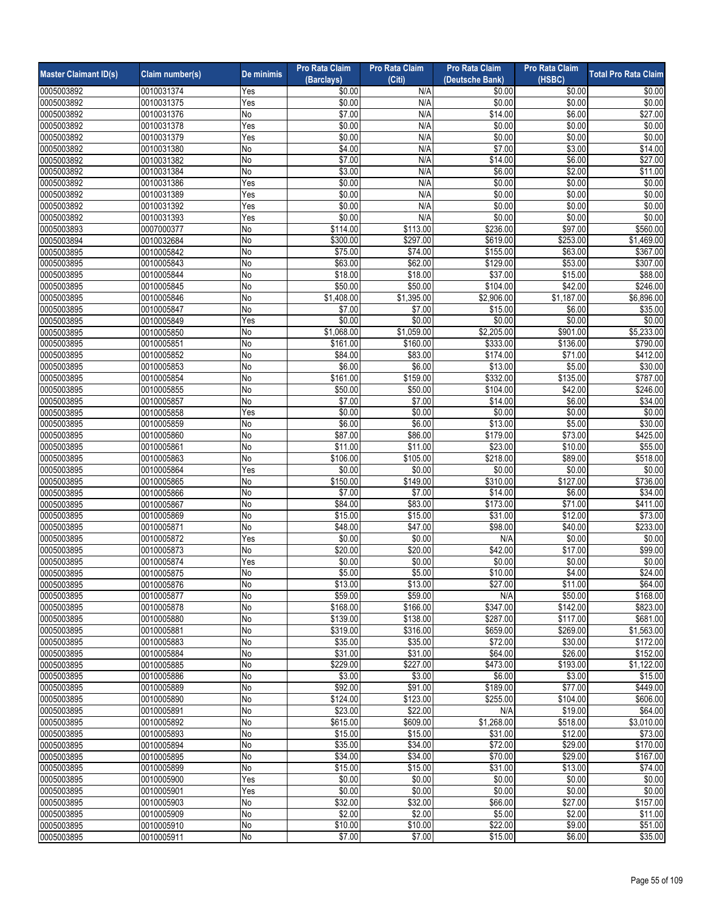| <b>Master Claimant ID(s)</b> | Claim number(s)          | De minimis | Pro Rata Claim<br>(Barclays) | <b>Pro Rata Claim</b><br>(Citi) | Pro Rata Claim<br>(Deutsche Bank) | <b>Pro Rata Claim</b><br>(HSBC) | <b>Total Pro Rata Claim</b> |
|------------------------------|--------------------------|------------|------------------------------|---------------------------------|-----------------------------------|---------------------------------|-----------------------------|
| 0005003892                   | 0010031374               | Yes        | \$0.00                       | N/A                             | \$0.00                            | \$0.00                          | \$0.00                      |
| 0005003892                   | 0010031375               | Yes        | \$0.00                       | N/A                             | \$0.00                            | \$0.00                          | \$0.00                      |
| 0005003892                   | 0010031376               | No         | \$7.00                       | N/A                             | \$14.00                           | \$6.00                          | \$27.00                     |
| 0005003892                   | 0010031378               | Yes        | \$0.00                       | N/A                             | \$0.00                            | \$0.00                          | \$0.00                      |
| 0005003892                   | 0010031379               | Yes        | \$0.00                       | N/A                             | \$0.00                            | \$0.00                          | \$0.00                      |
| 0005003892                   | 0010031380               | No         | \$4.00                       | N/A                             | \$7.00                            | \$3.00                          | \$14.00                     |
| 0005003892                   | 0010031382               | <b>No</b>  | \$7.00                       | N/A                             | \$14.00                           | \$6.00                          |                             |
| 0005003892                   | 0010031384               | No         | \$3.00                       | N/A                             | \$6.00                            | \$2.00                          | \$27.00<br>\$11.00          |
| 0005003892                   |                          |            | \$0.00                       |                                 |                                   |                                 |                             |
|                              | 0010031386               | Yes        |                              | N/A                             | \$0.00                            | \$0.00                          | \$0.00                      |
| 0005003892                   | 0010031389               | Yes        | \$0.00                       | N/A                             | \$0.00                            | \$0.00                          | \$0.00                      |
| 0005003892                   | 0010031392               | Yes        | \$0.00                       | N/A                             | \$0.00                            | \$0.00                          | \$0.00                      |
| 0005003892                   | 0010031393               | Yes        | \$0.00                       | N/A                             | \$0.00                            | \$0.00                          | \$0.00                      |
| 0005003893                   | 0007000377               | No         | \$114.00                     | \$113.00                        | \$236.00                          | \$97.00                         | \$560.00                    |
| 0005003894                   | 0010032684               | No         | \$300.00                     | \$297.00                        | \$619.00                          | \$253.00                        | \$1,469.00                  |
| 0005003895                   | 0010005842               | No         | \$75.00                      | \$74.00                         | \$155.00                          | \$63.00                         | \$367.00                    |
| 0005003895                   | 0010005843               | No         | \$63.00                      | \$62.00                         | \$129.00                          | \$53.00                         | \$307.00                    |
| 0005003895                   | 0010005844               | No         | \$18.00                      | \$18.00                         | \$37.00                           | \$15.00                         | \$88.00                     |
| 0005003895                   | 0010005845               | No         | \$50.00                      | \$50.00                         | \$104.00                          | \$42.00                         | \$246.00                    |
| 0005003895                   | 0010005846               | No         | $\sqrt{$1,408.00}$           | \$1,395.00                      | \$2,906.00                        | \$1,187.00                      | \$6,896.00                  |
| 0005003895                   | 0010005847               | No         | \$7.00                       | \$7.00                          | \$15.00                           | \$6.00                          | \$35.00                     |
| 0005003895                   | 0010005849               | Yes        | \$0.00                       | \$0.00                          | \$0.00                            | \$0.00                          | \$0.00                      |
| 0005003895                   | 0010005850               | No         | $\overline{$1,068.00}$       | \$1,059.00                      | \$2,205.00                        | \$901.00                        | \$5,233.00                  |
| 0005003895                   | 0010005851               | No         | \$161.00                     | \$160.00                        | \$333.00                          | \$136.00                        | \$790.00                    |
| 0005003895                   | 0010005852               | No         | \$84.00                      | \$83.00                         | \$174.00                          | \$71.00                         | \$412.00                    |
| 0005003895                   | 0010005853               | No         | \$6.00                       | \$6.00                          | \$13.00                           | \$5.00                          | \$30.00                     |
| 0005003895                   | 0010005854               | No         | \$161.00                     | \$159.00                        | \$332.00                          | \$135.00                        | \$787.00                    |
| 0005003895                   | 0010005855               | No         | \$50.00                      | \$50.00                         | \$104.00                          | \$42.00                         | \$246.00                    |
| 0005003895                   | 0010005857               | No         | \$7.00                       | \$7.00                          | \$14.00                           | \$6.00                          | \$34.00                     |
| 0005003895                   | 0010005858               | Yes        | \$0.00                       | \$0.00                          | \$0.00                            | \$0.00                          | \$0.00                      |
| 0005003895                   | 0010005859               | No         | \$6.00                       | \$6.00                          | \$13.00                           | \$5.00                          | \$30.00                     |
| 0005003895                   | 0010005860               | No         | \$87.00                      | \$86.00                         | \$179.00                          | \$73.00                         | \$425.00                    |
| 0005003895                   | 0010005861               | <b>No</b>  | \$11.00                      | \$11.00                         | \$23.00                           | \$10.00                         | \$55.00                     |
| 0005003895                   | 0010005863               | No         | \$106.00                     | \$105.00                        | \$218.00                          | \$89.00                         | \$518.00                    |
| 0005003895                   | 0010005864               | Yes        | \$0.00                       | \$0.00                          | \$0.00                            | \$0.00                          | \$0.00                      |
| 0005003895                   | 0010005865               | No         | \$150.00                     | \$149.00                        | \$310.00                          | \$127.00                        | \$736.00                    |
| 0005003895                   | 0010005866               | No         | \$7.00                       | \$7.00                          | \$14.00                           | \$6.00                          | \$34.00                     |
| 0005003895                   | 0010005867               | No         | \$84.00                      | \$83.00                         | \$173.00                          | \$71.00                         | \$411.00                    |
| 0005003895                   | 0010005869               | No         | \$15.00                      | \$15.00                         | \$31.00                           | \$12.00                         | \$73.00                     |
| 0005003895                   | 0010005871               | No         | \$48.00                      | \$47.00                         | \$98.00                           | \$40.00                         | \$233.00                    |
| 0005003895                   | 0010005872               | Yes        | \$0.00                       | \$0.00                          | N/A                               | \$0.00                          | \$0.00                      |
| 0005003895                   | 0010005873               | No         | \$20.00                      | \$20.00                         | \$42.00                           | \$17.00                         | \$99.00                     |
| 0005003895                   | 0010005874               | Yes        | \$0.00                       | \$0.00                          | \$0.00                            | \$0.00                          | \$0.00                      |
| 0005003895                   | 0010005875               | No         | \$5.00                       | \$5.00                          | \$10.00                           | \$4.00                          | \$24.00                     |
| 0005003895                   | 0010005876               | No         | \$13.00                      | \$13.00                         | \$27.00                           | \$11.00                         | \$64.00                     |
| 0005003895                   | 0010005877               | No         | \$59.00                      | \$59.00                         | N/A                               | \$50.00                         | \$168.00                    |
| 0005003895                   | 0010005878               | No         | \$168.00                     | \$166.00                        | \$347.00                          | \$142.00                        | \$823.00                    |
| 0005003895                   | 0010005880               | No         | \$139.00                     | \$138.00                        | \$287.00                          | \$117.00                        | \$681.00                    |
| 0005003895                   | 0010005881               | No         | \$319.00                     | \$316.00                        | \$659.00                          | \$269.00                        | \$1,563.00                  |
| 0005003895                   | 0010005883               | No         | \$35.00                      | \$35.00                         | \$72.00                           | \$30.00                         | \$172.00                    |
| 0005003895                   | 0010005884               | No         | \$31.00                      | \$31.00                         | \$64.00                           | \$26.00                         | \$152.00                    |
| 0005003895                   | 0010005885               | No         | \$229.00                     | \$227.00                        | \$473.00                          | \$193.00                        | \$1,122.00                  |
| 0005003895                   | 0010005886               | No         | \$3.00                       | \$3.00                          | \$6.00                            | \$3.00                          | \$15.00                     |
| 0005003895                   | 0010005889               | No         | \$92.00                      | \$91.00                         | \$189.00                          | \$77.00                         | \$449.00                    |
| 0005003895                   |                          | No         | \$124.00                     | \$123.00                        | \$255.00                          | \$104.00                        | \$606.00                    |
|                              | 0010005890               | No         |                              | \$22.00                         | N/A                               | \$19.00                         | \$64.00                     |
| 0005003895<br>0005003895     | 0010005891<br>0010005892 | No         | \$23.00                      | \$609.00                        |                                   |                                 | \$3,010.00                  |
|                              |                          |            | \$615.00                     |                                 | \$1,268.00                        | \$518.00                        |                             |
| 0005003895                   | 0010005893               | No         | \$15.00                      | \$15.00                         | \$31.00                           | \$12.00                         | \$73.00                     |
| 0005003895                   | 0010005894               | No         | \$35.00                      | \$34.00                         | \$72.00                           | \$29.00                         | \$170.00                    |
| 0005003895                   | 0010005895               | No         | \$34.00                      | \$34.00                         | \$70.00                           | \$29.00                         | \$167.00                    |
| 0005003895                   | 0010005899               | No         | \$15.00                      | \$15.00                         | \$31.00                           | \$13.00                         | \$74.00                     |
| 0005003895                   | 0010005900               | Yes        | \$0.00                       | \$0.00                          | \$0.00                            | \$0.00                          | \$0.00                      |
| 0005003895                   | 0010005901               | Yes        | \$0.00                       | \$0.00                          | \$0.00                            | \$0.00                          | \$0.00                      |
| 0005003895                   | 0010005903               | No         | \$32.00                      | \$32.00                         | \$66.00                           | \$27.00                         | \$157.00                    |
| 0005003895                   | 0010005909               | No         | \$2.00                       | \$2.00                          | \$5.00                            | \$2.00                          | \$11.00                     |
| 0005003895                   | 0010005910               | No         | \$10.00                      | \$10.00                         | \$22.00                           | \$9.00                          | \$51.00                     |
| 0005003895                   | 0010005911               | No         | \$7.00                       | \$7.00                          | \$15.00                           | \$6.00                          | \$35.00                     |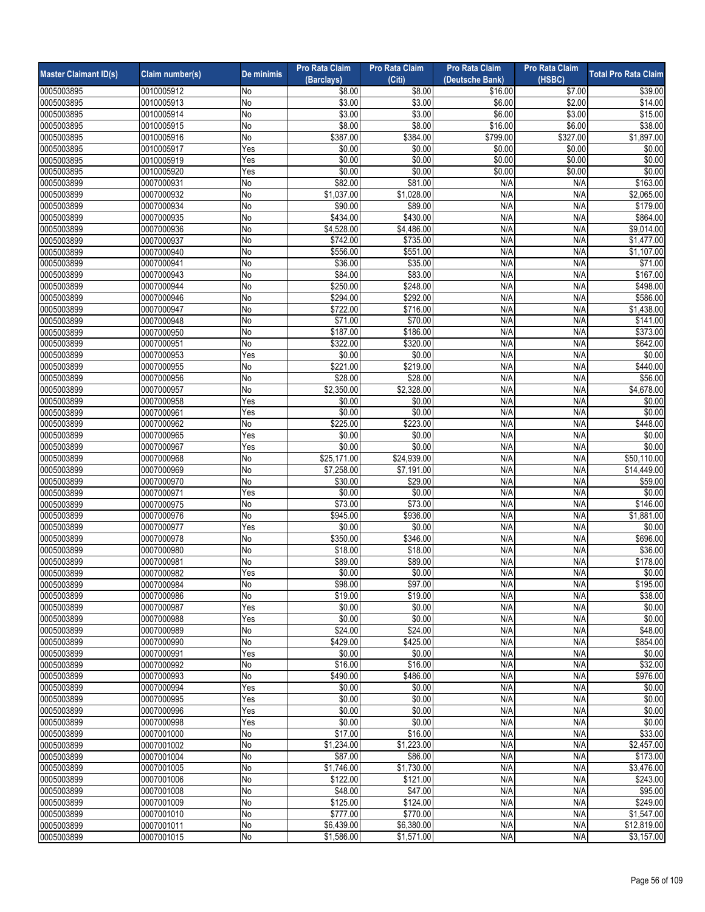| <b>Master Claimant ID(s)</b> | Claim number(s)          | De minimis | <b>Pro Rata Claim</b> | Pro Rata Claim     | Pro Rata Claim      | Pro Rata Claim     | Total Pro Rata Claim  |
|------------------------------|--------------------------|------------|-----------------------|--------------------|---------------------|--------------------|-----------------------|
|                              |                          |            | (Barclays)            | (Citi)             | (Deutsche Bank)     | (HSBC)             |                       |
| 0005003895                   | 0010005912               | No         | \$8.00                | \$8.00             | \$16.00             | \$7.00             | \$39.00               |
| 0005003895                   | 0010005913               | No         | \$3.00                | \$3.00             | \$6.00              | \$2.00             | \$14.00               |
| 0005003895                   | 0010005914               | No         | \$3.00                | \$3.00             | \$6.00              | \$3.00             | \$15.00               |
| 0005003895                   | 0010005915               | No<br>No   | \$8.00<br>\$387.00    | \$8.00             | \$16.00<br>\$799.00 | \$6.00<br>\$327.00 | \$38.00<br>\$1,897.00 |
| 0005003895<br>0005003895     | 0010005916<br>0010005917 |            | \$0.00                | \$384.00<br>\$0.00 |                     | \$0.00             | \$0.00                |
| 0005003895                   | 0010005919               | Yes        | \$0.00                | \$0.00             | \$0.00<br>\$0.00    | \$0.00             | \$0.00                |
| 0005003895                   | 0010005920               | Yes        | \$0.00                | \$0.00             | \$0.00              | \$0.00             | \$0.00                |
| 0005003899                   | 0007000931               | Yes        | \$82.00               | \$81.00            | N/A                 | N/A                | \$163.00              |
| 0005003899                   |                          | No<br>No   | \$1,037.00            | \$1,028.00         | N/A                 | N/A                | \$2,065.00            |
| 0005003899                   | 0007000932<br>0007000934 | No         | \$90.00               | \$89.00            | N/A                 | N/A                | \$179.00              |
| 0005003899                   | 0007000935               | No         | \$434.00              | \$430.00           | N/A                 | N/A                | \$864.00              |
| 0005003899                   | 0007000936               | No         | \$4,528.00            | \$4,486.00         | N/A                 | N/A                | \$9,014.00            |
| 0005003899                   | 0007000937               | No         | \$742.00              | \$735.00           | N/A                 | N/A                | \$1,477.00            |
| 0005003899                   | 0007000940               | No         | \$556.00              | \$551.00           | N/A                 | N/A                | \$1,107.00            |
| 0005003899                   | 0007000941               | No         | \$36.00               | \$35.00            | N/A                 | N/A                | \$71.00               |
| 0005003899                   | 0007000943               | No         | \$84.00               | \$83.00            | N/A                 | N/A                | \$167.00              |
| 0005003899                   | 0007000944               | No         | \$250.00              | \$248.00           | N/A                 | N/A                | \$498.00              |
| 0005003899                   | 0007000946               | No         | \$294.00              | \$292.00           | N/A                 | N/A                | \$586.00              |
| 0005003899                   | 0007000947               | No         | \$722.00              | \$716.00           | N/A                 | N/A                | \$1,438.00            |
| 0005003899                   | 0007000948               | No         | \$71.00               | \$70.00            | N/A                 | N/A                | \$141.00              |
| 0005003899                   | 0007000950               | No         | \$187.00              | \$186.00           | N/A                 | N/A                | \$373.00              |
| 0005003899                   | 0007000951               | No         | \$322.00              | \$320.00           | N/A                 | N/A                | \$642.00              |
| 0005003899                   | 0007000953               | Yes        | \$0.00                | \$0.00             | N/A                 | N/A                | \$0.00                |
| 0005003899                   | 0007000955               | No         | \$221.00              | \$219.00           | N/A                 | N/A                | \$440.00              |
| 0005003899                   | 0007000956               | No         | \$28.00               | \$28.00            | N/A                 | N/A                | \$56.00               |
| 0005003899                   | 0007000957               | No         | \$2,350.00            | \$2,328.00         | N/A                 | N/A                | \$4,678.00            |
| 0005003899                   | 0007000958               | Yes        | \$0.00                | \$0.00             | N/A                 | N/A                | \$0.00                |
| 0005003899                   | 0007000961               | Yes        | \$0.00                | \$0.00             | N/A                 | N/A                | \$0.00                |
| 0005003899                   | 0007000962               | No         | \$225.00              | \$223.00           | N/A                 | N/A                | \$448.00              |
| 0005003899                   | 0007000965               | Yes        | \$0.00                | \$0.00             | N/A                 | N/A                | \$0.00                |
| 0005003899                   | 0007000967               | Yes        | \$0.00                | \$0.00             | N/A                 | N/A                | \$0.00                |
| 0005003899                   | 0007000968               | No         | \$25,171.00           | \$24,939.00        | N/A                 | N/A                | \$50,110.00           |
| 0005003899                   | 0007000969               | No         | \$7,258.00            | \$7,191.00         | N/A                 | N/A                | \$14,449.00           |
| 0005003899                   | 0007000970               | No         | \$30.00               | \$29.00            | N/A                 | N/A                | \$59.00               |
| 0005003899                   | 0007000971               | Yes        | \$0.00                | \$0.00             | N/A                 | N/A                | \$0.00                |
| 0005003899                   | 0007000975               | No         | \$73.00               | \$73.00            | N/A                 | N/A                | \$146.00              |
| 0005003899                   | 0007000976               | No         | \$945.00              | \$936.00           | N/A                 | N/A                | \$1,881.00            |
| 0005003899                   | 0007000977               | Yes        | \$0.00                | \$0.00             | N/A                 | N/A                | \$0.00                |
| 0005003899                   | 0007000978               | No         | \$350.00              | \$346.00           | N/A                 | N/A                | \$696.00              |
| 0005003899                   | 0007000980               | No         | \$18.00               | \$18.00            | N/A                 | N/A                | \$36.00               |
| 0005003899                   | 0007000981               | No         | \$89.00               | \$89.00            | N/A                 | N/A                | \$178.00              |
| 0005003899                   | 0007000982               | Yes        | \$0.00                | \$0.00             | N/A                 | N/A                | \$0.00                |
| 0005003899                   | 0007000984               | No         | \$98.00               | \$97.00            | N/A                 | N/A                | \$195.00              |
| 0005003899                   | 0007000986               | No         | \$19.00               | \$19.00            | N/A                 | N/A                | \$38.00               |
| 0005003899                   | 0007000987               | Yes        | \$0.00                | \$0.00             | N/A                 | N/A                | \$0.00                |
| 0005003899                   | 0007000988               | Yes        | \$0.00                | \$0.00             | N/A                 | N/A                | \$0.00                |
| 0005003899                   | 0007000989               | No         | \$24.00               | \$24.00            | N/A                 | N/A                | \$48.00               |
| 0005003899                   | 0007000990               | No         | \$429.00              | \$425.00           | N/A                 | N/A                | \$854.00              |
| 0005003899                   | 0007000991               | Yes        | \$0.00                | \$0.00             | N/A                 | N/A                | \$0.00                |
| 0005003899                   | 0007000992               | No         | \$16.00               | \$16.00            | N/A                 | N/A                | \$32.00               |
| 0005003899                   | 0007000993               | No         | \$490.00              | \$486.00           | N/A                 | N/A                | \$976.00              |
| 0005003899                   | 0007000994               | Yes        | \$0.00                | \$0.00             | N/A                 | N/A                | \$0.00                |
| 0005003899                   | 0007000995               | Yes        | \$0.00                | \$0.00             | N/A                 | N/A                | \$0.00                |
| 0005003899                   | 0007000996               | Yes        | \$0.00                | \$0.00             | N/A                 | N/A                | \$0.00                |
| 0005003899                   | 0007000998               | Yes        | \$0.00                | \$0.00             | N/A                 | N/A                | \$0.00                |
| 0005003899                   | 0007001000               | No         | \$17.00               | \$16.00            | N/A                 | N/A                | \$33.00               |
| 0005003899                   | 0007001002               | No         | \$1,234.00            | \$1,223.00         | N/A                 | N/A                | \$2,457.00            |
| 0005003899                   | 0007001004               | No         | \$87.00               | \$86.00            | N/A                 | N/A                | \$173.00              |
| 0005003899                   | 0007001005               | <b>No</b>  | \$1,746.00            | \$1,730.00         | N/A                 | N/A                | \$3,476.00            |
| 0005003899                   | 0007001006               | No         | \$122.00              | \$121.00           | N/A                 | N/A                | \$243.00              |
| 0005003899                   | 0007001008               | No         | \$48.00               | \$47.00            | N/A                 | N/A                | \$95.00               |
| 0005003899                   | 0007001009               | No         | \$125.00              | \$124.00           | N/A                 | N/A                | \$249.00              |
| 0005003899                   | 0007001010               | No         | \$777.00              | \$770.00           | N/A                 | N/A                | \$1,547.00            |
| 0005003899                   | 0007001011               | No         | \$6,439.00            | \$6,380.00         | N/A                 | N/A                | \$12,819.00           |
| 0005003899                   | 0007001015               | No         | \$1,586.00            | \$1,571.00         | N/A                 | N/A                | \$3,157.00            |
|                              |                          |            |                       |                    |                     |                    |                       |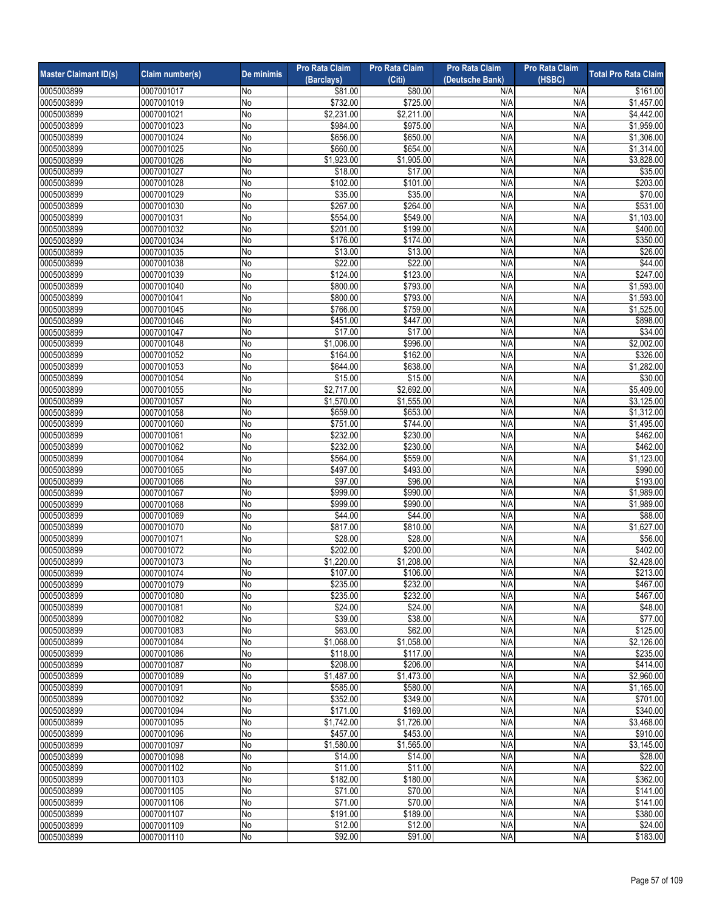| <b>Master Claimant ID(s)</b> | Claim number(s)          | De minimis | <b>Pro Rata Claim</b><br>(Barclays) | Pro Rata Claim<br>(Citi) | Pro Rata Claim<br>(Deutsche Bank) | Pro Rata Claim<br>(HSBC) | Total Pro Rata Claim   |
|------------------------------|--------------------------|------------|-------------------------------------|--------------------------|-----------------------------------|--------------------------|------------------------|
| 0005003899                   | 0007001017               | No         | \$81.00                             | \$80.00                  | N/A                               | N/A                      | \$161.00               |
| 0005003899                   | 0007001019               | No         | \$732.00                            | \$725.00                 | N/A                               | N/A                      | $\overline{$1,457.00}$ |
| 0005003899                   | 0007001021               | No         | \$2,231.00                          | \$2,211.00               | N/A                               | N/A                      | \$4,442.00             |
| 0005003899                   | 0007001023               | No         | \$984.00                            | \$975.00                 | N/A                               | N/A                      | \$1,959.00             |
| 0005003899                   | 0007001024               | No         | \$656.00                            | \$650.00                 | N/A                               | N/A                      | \$1,306.00             |
| 0005003899                   | 0007001025               | No         | \$660.00                            | \$654.00                 | N/A                               | N/A                      | \$1,314.00             |
| 0005003899                   | 0007001026               | No         | \$1,923.00                          | \$1,905.00               | N/A                               | N/A                      | \$3,828.00             |
| 0005003899                   | 0007001027               | No         | \$18.00                             | \$17.00                  | N/A                               | N/A                      | \$35.00                |
| 0005003899                   | 0007001028               | No         | \$102.00                            | \$101.00                 | N/A                               | N/A                      | \$203.00               |
| 0005003899                   | 0007001029               | No         | \$35.00                             | \$35.00                  | N/A                               | N/A                      | \$70.00                |
| 0005003899                   | 0007001030               | No         | \$267.00                            | \$264.00                 | N/A                               | N/A                      | \$531.00               |
| 0005003899                   | 0007001031               | No         | \$554.00                            | \$549.00                 | N/A                               | N/A                      | \$1,103.00             |
| 0005003899                   | 0007001032               | No         | \$201.00                            | \$199.00                 | N/A                               | N/A                      | \$400.00               |
| 0005003899                   | 0007001034               | No         | \$176.00                            | \$174.00                 | N/A                               | N/A                      | \$350.00               |
| 0005003899                   | 0007001035               | No         | \$13.00                             | \$13.00                  | N/A                               | N/A                      | \$26.00                |
| 0005003899                   | 0007001038               | No         | \$22.00                             | \$22.00                  | N/A                               | N/A                      | \$44.00                |
| 0005003899                   | 0007001039               | No         | \$124.00                            | \$123.00                 | N/A                               | N/A                      | \$247.00               |
| 0005003899                   | 0007001040               | No         | \$800.00                            | \$793.00                 | N/A                               | N/A                      | \$1,593.00             |
| 0005003899                   | 0007001041               | No         | \$800.00                            | \$793.00                 | N/A                               | N/A                      | \$1,593.00             |
| 0005003899                   | 0007001045               | No         | \$766.00                            | \$759.00                 | N/A                               | N/A                      | \$1,525.00             |
| 0005003899                   |                          | No         | \$451.00                            | \$447.00                 | N/A                               | N/A                      | \$898.00               |
|                              | 0007001046<br>0007001047 | No         | \$17.00                             | \$17.00                  | N/A                               | N/A                      |                        |
| 0005003899                   |                          |            |                                     |                          |                                   |                          | \$34.00                |
| 0005003899                   | 0007001048               | No         | \$1,006.00                          | \$996.00                 | N/A                               | N/A                      | \$2,002.00             |
| 0005003899                   | 0007001052               | No         | \$164.00                            | \$162.00                 | N/A                               | N/A                      | \$326.00               |
| 0005003899                   | 0007001053               | No         | \$644.00                            | \$638.00                 | N/A                               | N/A                      | \$1,282.00             |
| 0005003899                   | 0007001054               | No         | \$15.00                             | \$15.00                  | N/A                               | N/A                      | \$30.00                |
| 0005003899                   | 0007001055               | No         | \$2,717.00                          | \$2,692.00               | N/A                               | N/A                      | \$5,409.00             |
| 0005003899                   | 0007001057               | No         | \$1,570.00                          | \$1,555.00               | N/A                               | N/A                      | \$3,125.00             |
| 0005003899                   | 0007001058               | <b>No</b>  | \$659.00                            | \$653.00                 | N/A                               | N/A                      | \$1,312.00             |
| 0005003899                   | 0007001060               | No         | \$751.00                            | \$744.00                 | N/A                               | N/A                      | \$1,495.00             |
| 0005003899                   | 0007001061               | No         | \$232.00                            | \$230.00                 | N/A                               | N/A                      | \$462.00               |
| 0005003899                   | 0007001062               | No         | \$232.00                            | \$230.00                 | N/A                               | N/A                      | \$462.00               |
| 0005003899                   | 0007001064               | No         | \$564.00                            | \$559.00                 | N/A                               | N/A                      | \$1,123.00             |
| 0005003899                   | 0007001065               | No         | \$497.00                            | \$493.00                 | N/A                               | N/A                      | \$990.00               |
| 0005003899                   | 0007001066               | No         | \$97.00                             | \$96.00                  | N/A                               | N/A                      | \$193.00               |
| 0005003899                   | 0007001067               | No         | \$999.00                            | \$990.00                 | N/A                               | N/A                      | \$1,989.00             |
| 0005003899                   | 0007001068               | No         | \$999.00                            | \$990.00                 | N/A                               | N/A                      | \$1,989.00             |
| 0005003899                   | 0007001069               | No         | \$44.00                             | \$44.00                  | N/A                               | N/A                      | \$88.00                |
| 0005003899                   | 0007001070               | No         | \$817.00                            | \$810.00                 | N/A                               | N/A                      | \$1,627.00             |
| 0005003899                   | 0007001071               | No         | \$28.00                             | \$28.00                  | N/A                               | N/A                      | \$56.00                |
| 0005003899                   | 0007001072               | No         | \$202.00                            | \$200.00                 | N/A                               | N/A                      | \$402.00               |
| 0005003899                   | 0007001073               | No         | \$1,220.00                          | \$1,208.00               | N/A                               | N/A                      | \$2,428.00             |
| 0005003899                   | 0007001074               | No         | \$107.00                            | \$106.00                 | N/A                               | N/A                      | \$213.00               |
| 0005003899                   | 0007001079               | No         | \$235.00                            | \$232.00                 | N/A                               | N/A                      | \$467.00               |
| 0005003899                   | 0007001080               | No         | \$235.00                            | \$232.00                 | N/A                               | N/A                      | \$467.00               |
| 0005003899                   | 0007001081               | No         | \$24.00                             | \$24.00                  | N/A                               | N/A                      | \$48.00                |
| 0005003899                   | 0007001082               | <b>No</b>  | \$39.00                             | \$38.00                  | N/A                               | N/A                      | \$77.00                |
| 0005003899                   | 0007001083               | No         | \$63.00                             | \$62.00                  | N/A                               | N/A                      | \$125.00               |
| 0005003899                   | 0007001084               | No         | \$1,068.00                          | \$1,058.00               | N/A                               | N/A                      | \$2,126.00             |
| 0005003899                   | 0007001086               | <b>No</b>  | \$118.00                            | \$117.00                 | N/A                               | N/A                      | \$235.00               |
| 0005003899                   | 0007001087               | No         | \$208.00                            | \$206.00                 | N/A                               | N/A                      | \$414.00               |
| 0005003899                   | 0007001089               | No         | \$1,487.00                          | \$1,473.00               | N/A                               | N/A                      | \$2,960.00             |
| 0005003899                   | 0007001091               | No         | \$585.00                            | \$580.00                 | N/A                               | N/A                      | \$1,165.00             |
| 0005003899                   | 0007001092               | No         | \$352.00                            | \$349.00                 | N/A                               | N/A                      | \$701.00               |
| 0005003899                   | 0007001094               | No         | \$171.00                            | \$169.00                 | N/A                               | N/A                      | \$340.00               |
| 0005003899                   | 0007001095               | No         | \$1,742.00                          | \$1,726.00               | N/A                               | N/A                      | \$3,468.00             |
|                              |                          |            |                                     |                          |                                   |                          |                        |
| 0005003899                   | 0007001096               | No         | \$457.00                            | \$453.00                 | N/A                               | N/A                      | \$910.00               |
| 0005003899                   | 0007001097               | No         | \$1,580.00                          | \$1,565.00               | N/A                               | N/A                      | \$3,145.00             |
| 0005003899                   | 0007001098               | No         | \$14.00                             | \$14.00                  | N/A                               | N/A                      | \$28.00                |
| 0005003899                   | 0007001102               | <b>No</b>  | \$11.00                             | \$11.00                  | N/A                               | N/A                      | \$22.00                |
| 0005003899                   | 0007001103               | No         | \$182.00                            | \$180.00                 | N/A                               | N/A                      | \$362.00               |
| 0005003899                   | 0007001105               | No         | \$71.00                             | \$70.00                  | N/A                               | N/A                      | \$141.00               |
| 0005003899                   | 0007001106               | No         | \$71.00                             | \$70.00                  | N/A                               | N/A                      | \$141.00               |
| 0005003899                   | 0007001107               | No         | \$191.00                            | \$189.00                 | N/A                               | N/A                      | \$380.00               |
| 0005003899                   | 0007001109               | No         | \$12.00                             | \$12.00                  | N/A                               | N/A                      | \$24.00                |
| 0005003899                   | 0007001110               | No         | \$92.00                             | \$91.00                  | N/A                               | N/A                      | \$183.00               |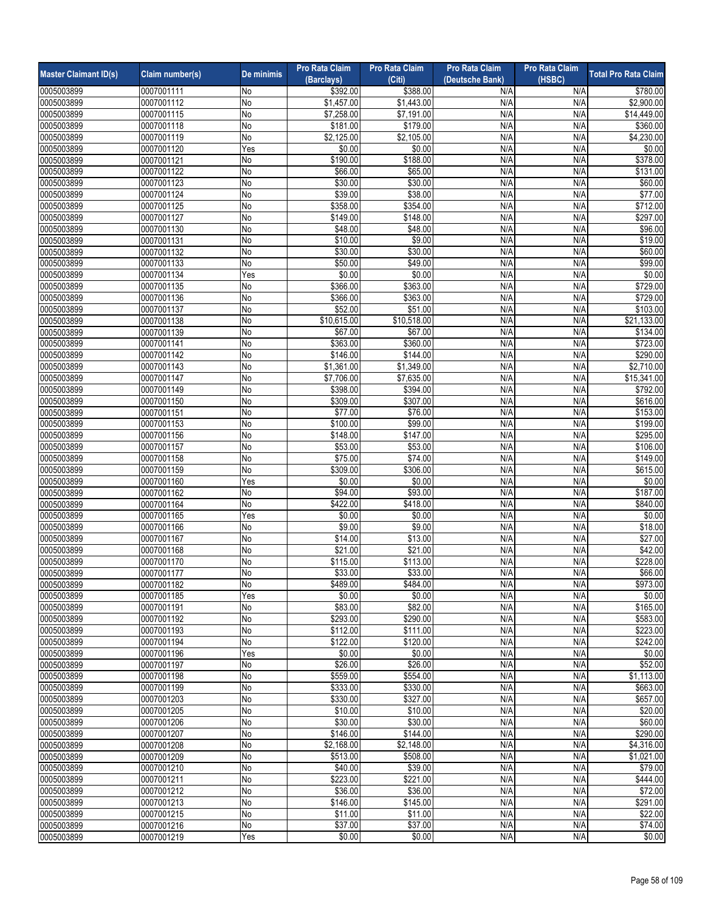| <b>Master Claimant ID(s)</b> | Claim number(s)          | De minimis | <b>Pro Rata Claim</b>    | <b>Pro Rata Claim</b>    | Pro Rata Claim  | <b>Pro Rata Claim</b> | <b>Total Pro Rata Claim</b> |
|------------------------------|--------------------------|------------|--------------------------|--------------------------|-----------------|-----------------------|-----------------------------|
|                              |                          |            | (Barclays)               | (Citi)                   | (Deutsche Bank) | (HSBC)                |                             |
| 0005003899                   | 0007001111               | No         | \$392.00                 | \$388.00                 | N/A             | N/A                   | \$780.00                    |
| 0005003899                   | 0007001112               | No         | \$1,457.00               | \$1,443.00               | N/A             | N/A                   | \$2,900.00                  |
| 0005003899                   | 0007001115               | No         | \$7,258.00               | \$7,191.00               | N/A             | N/A                   | \$14,449.00                 |
| 0005003899                   | 0007001118               | No         | \$181.00                 | \$179.00                 | N/A             | N/A                   | \$360.00                    |
| 0005003899                   | 0007001119               | No         | \$2,125.00               | \$2,105.00               | N/A             | N/A                   | \$4,230.00                  |
| 0005003899                   | 0007001120               | Yes        | \$0.00                   | \$0.00                   | N/A             | N/A                   | \$0.00                      |
| 0005003899                   | 0007001121               | No         | \$190.00                 | \$188.00                 | N/A             | N/A                   | \$378.00                    |
| 0005003899                   | 0007001122               | No         | \$66.00                  | \$65.00                  | N/A             | N/A                   | \$131.00                    |
| 0005003899                   | 0007001123               | No         | \$30.00                  | \$30.00                  | N/A             | N/A                   | \$60.00                     |
| 0005003899                   | 0007001124               | No         | \$39.00                  | \$38.00                  | N/A             | N/A                   | \$77.00                     |
| 0005003899                   | 0007001125               | No         | \$358.00                 | \$354.00                 | N/A             | N/A                   | \$712.00                    |
| 0005003899                   | 0007001127               | No         | \$149.00                 | \$148.00                 | N/A             | N/A                   | \$297.00                    |
| 0005003899                   | 0007001130               | No         | \$48.00                  | \$48.00                  | N/A             | N/A                   | \$96.00                     |
| 0005003899                   | 0007001131               | No         | \$10.00                  | \$9.00                   | N/A             | N/A                   | \$19.00                     |
| 0005003899                   | 0007001132               | No         | \$30.00                  | \$30.00                  | N/A             | N/A                   | \$60.00                     |
| 0005003899                   | 0007001133               | No         | \$50.00                  | \$49.00                  | N/A             | N/A                   | \$99.00                     |
| 0005003899                   | 0007001134               | Yes        | \$0.00                   | \$0.00                   | N/A             | N/A                   | \$0.00                      |
| 0005003899                   | 0007001135               | No         | \$366.00                 | \$363.00                 | N/A             | N/A                   | \$729.00                    |
| 0005003899<br>0005003899     | 0007001136               | No         | \$366.00                 | \$363.00                 | N/A             | N/A                   | \$729.00                    |
|                              | 0007001137<br>0007001138 | No<br>No   | \$52.00<br>\$10,615.00   | \$51.00<br>\$10,518.00   | N/A<br>N/A      | N/A<br>N/A            | \$103.00<br>\$21,133.00     |
| 0005003899<br>0005003899     | 0007001139               | No         | \$67.00                  | \$67.00                  | N/A             |                       |                             |
| 0005003899                   |                          |            |                          | \$360.00                 |                 | N/A                   | \$134.00                    |
| 0005003899                   | 0007001141<br>0007001142 | No<br>No   | \$363.00<br>\$146.00     | \$144.00                 | N/A<br>N/A      | N/A<br>N/A            | \$723.00<br>\$290.00        |
|                              | 0007001143               | No         |                          |                          | N/A             | N/A                   | \$2,710.00                  |
| 0005003899<br>0005003899     | 0007001147               | No         | \$1,361.00<br>\$7,706.00 | \$1,349.00<br>\$7,635.00 | N/A             | N/A                   | \$15,341.00                 |
| 0005003899                   | 0007001149               | No         | \$398.00                 | \$394.00                 | N/A             | N/A                   | \$792.00                    |
| 0005003899                   | 0007001150               | No         | \$309.00                 | \$307.00                 | N/A             | N/A                   | \$616.00                    |
| 0005003899                   | 0007001151               | No         | \$77.00                  | \$76.00                  | N/A             | N/A                   | \$153.00                    |
| 0005003899                   | 0007001153               | No         | \$100.00                 | \$99.00                  | N/A             | N/A                   | \$199.00                    |
| 0005003899                   | 0007001156               | No         | \$148.00                 | \$147.00                 | N/A             | N/A                   | \$295.00                    |
| 0005003899                   | 0007001157               | No         | \$53.00                  | \$53.00                  | N/A             | N/A                   | \$106.00                    |
| 0005003899                   | 0007001158               | No         | \$75.00                  | \$74.00                  | N/A             | N/A                   | \$149.00                    |
| 0005003899                   | 0007001159               | No         | \$309.00                 | \$306.00                 | N/A             | N/A                   | \$615.00                    |
| 0005003899                   | 0007001160               | Yes        | \$0.00                   | \$0.00                   | N/A             | N/A                   | \$0.00                      |
| 0005003899                   | 0007001162               | No         | \$94.00                  | \$93.00                  | N/A             | N/A                   | \$187.00                    |
| 0005003899                   | 0007001164               | No         | \$422.00                 | \$418.00                 | N/A             | N/A                   | \$840.00                    |
| 0005003899                   | 0007001165               | Yes        | \$0.00                   | \$0.00                   | N/A             | N/A                   | \$0.00                      |
| 0005003899                   | 0007001166               | No         | \$9.00                   | \$9.00                   | N/A             | N/A                   | \$18.00                     |
| 0005003899                   | 0007001167               | No         | \$14.00                  | \$13.00                  | N/A             | N/A                   | \$27.00                     |
| 0005003899                   | 0007001168               | No         | \$21.00                  | \$21.00                  | N/A             | N/A                   | \$42.00                     |
| 0005003899                   | 0007001170               | No         | \$115.00                 | \$113.00                 | N/A             | N/A                   | \$228.00                    |
| 0005003899                   | 0007001177               | No         | \$33.00                  | \$33.00                  | N/A             | N/A                   | \$66.00                     |
| 0005003899                   | 0007001182               | No         | \$489.00                 | \$484.00                 | N/A             | N/A                   | \$973.00                    |
| 0005003899                   | 0007001185               | Yes        | \$0.00                   | \$0.00                   | N/A             | N/A                   | \$0.00                      |
| 0005003899                   | 0007001191               | No         | \$83.00                  | \$82.00                  | N/A             | N/A                   | \$165.00                    |
| 0005003899                   | 0007001192               | No         | \$293.00                 | \$290.00                 | N/A             | N/A                   | \$583.00                    |
| 0005003899                   | 0007001193               | No         | \$112.00                 | \$111.00                 | N/A             | N/A                   | \$223.00                    |
| 0005003899                   | 0007001194               | No         | \$122.00                 | \$120.00                 | N/A             | N/A                   | \$242.00                    |
| 0005003899                   | 0007001196               | Yes        | \$0.00                   | \$0.00                   | N/A             | N/A                   | \$0.00                      |
| 0005003899                   | 0007001197               | No         | \$26.00                  | \$26.00                  | N/A             | N/A                   | \$52.00                     |
| 0005003899                   | 0007001198               | No         | \$559.00                 | \$554.00                 | N/A             | N/A                   | \$1,113.00                  |
| 0005003899                   | 0007001199               | No         | \$333.00                 | \$330.00                 | N/A             | N/A                   | \$663.00                    |
| 0005003899                   | 0007001203               | No         | \$330.00                 | \$327.00                 | N/A             | N/A                   | \$657.00                    |
| 0005003899                   | 0007001205               | No         | \$10.00                  | \$10.00                  | N/A             | N/A                   | \$20.00                     |
| 0005003899                   | 0007001206               | <b>No</b>  | \$30.00                  | \$30.00                  | N/A             | N/A                   | \$60.00                     |
| 0005003899                   | 0007001207               | No         | \$146.00                 | \$144.00                 | N/A             | N/A                   | \$290.00                    |
| 0005003899                   | 0007001208               | No         | \$2,168.00               | \$2,148.00               | N/A             | N/A                   | \$4,316.00                  |
| 0005003899                   | 0007001209               | No         | \$513.00                 | \$508.00                 | N/A             | N/A                   | \$1,021.00                  |
| 0005003899                   | 0007001210               | No         | \$40.00                  | \$39.00                  | N/A             | N/A                   | \$79.00                     |
| 0005003899                   | 0007001211               | No         | \$223.00                 | \$221.00                 | N/A             | N/A                   | \$444.00                    |
| 0005003899                   | 0007001212               | No         | \$36.00                  | \$36.00                  | N/A             | N/A                   | \$72.00                     |
| 0005003899                   | 0007001213               | No         | \$146.00                 | \$145.00                 | N/A             | N/A                   | \$291.00                    |
| 0005003899                   | 0007001215               | No         | \$11.00                  | \$11.00                  | N/A             | N/A                   | \$22.00                     |
| 0005003899                   | 0007001216               | No         | \$37.00                  | \$37.00                  | N/A             | N/A                   | \$74.00                     |
| 0005003899                   | 0007001219               | Yes        | \$0.00                   | \$0.00                   | N/A             | N/A                   | \$0.00                      |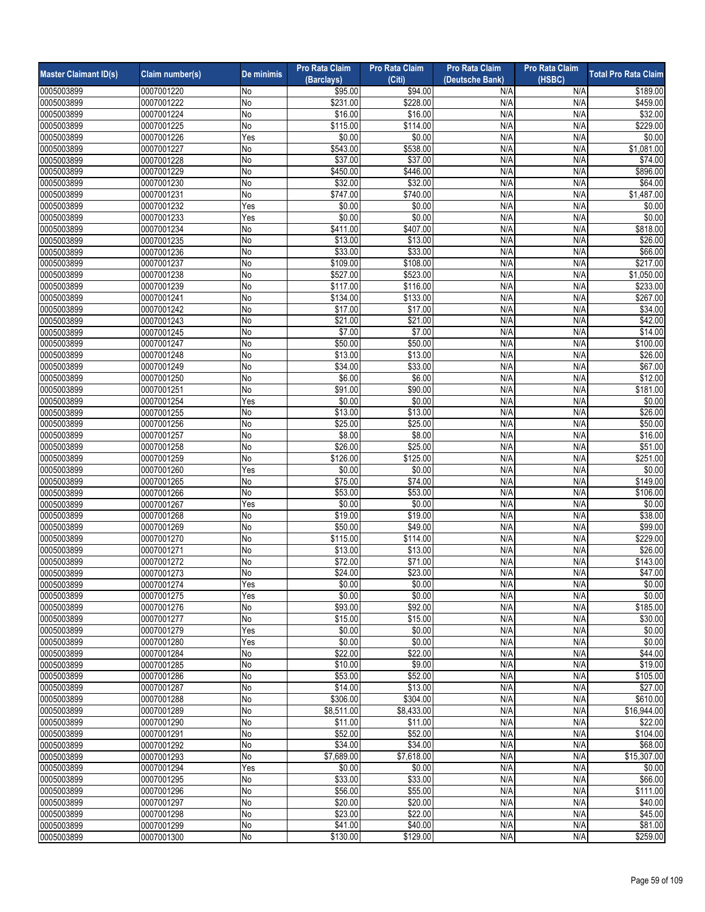| <b>Master Claimant ID(s)</b> | Claim number(s) | De minimis | <b>Pro Rata Claim</b><br>(Barclays) | Pro Rata Claim<br>(Citi) | Pro Rata Claim<br>(Deutsche Bank) | Pro Rata Claim<br>(HSBC) | Total Pro Rata Claim |
|------------------------------|-----------------|------------|-------------------------------------|--------------------------|-----------------------------------|--------------------------|----------------------|
| 0005003899                   | 0007001220      | No         | \$95.00                             | \$94.00                  | N/A                               | N/A                      | \$189.00             |
| 0005003899                   | 0007001222      | No         | \$231.00                            | \$228.00                 | N/A                               | N/A                      | \$459.00             |
| 0005003899                   | 0007001224      | No         | \$16.00                             | \$16.00                  | N/A                               | N/A                      | \$32.00              |
| 0005003899                   | 0007001225      | No         | \$115.00                            | \$114.00                 | N/A                               | N/A                      | \$229.00             |
| 0005003899                   | 0007001226      | Yes        | \$0.00                              | \$0.00                   | N/A                               | N/A                      | \$0.00               |
| 0005003899                   | 0007001227      | No         | \$543.00                            | \$538.00                 | N/A                               | N/A                      | \$1,081.00           |
| 0005003899                   | 0007001228      | No         | \$37.00                             | \$37.00                  | N/A                               | N/A                      | \$74.00              |
| 0005003899                   | 0007001229      | No         | \$450.00                            | \$446.00                 | N/A                               | N/A                      | \$896.00             |
| 0005003899                   | 0007001230      | No         | \$32.00                             | \$32.00                  | N/A                               | N/A                      | \$64.00              |
| 0005003899                   | 0007001231      | No         | \$747.00                            | \$740.00                 | N/A                               | N/A                      | \$1,487.00           |
| 0005003899                   | 0007001232      | Yes        | \$0.00                              | \$0.00                   | N/A                               | N/A                      | \$0.00               |
| 0005003899                   | 0007001233      | Yes        | \$0.00                              | \$0.00                   | N/A                               | N/A                      | \$0.00               |
| 0005003899                   | 0007001234      | No         | \$411.00                            | \$407.00                 | N/A                               | N/A                      | \$818.00             |
| 0005003899                   | 0007001235      | No         | \$13.00                             | \$13.00                  | N/A                               | N/A                      | \$26.00              |
| 0005003899                   | 0007001236      | No         | \$33.00                             | \$33.00                  | N/A                               | N/A                      | \$66.00              |
| 0005003899                   | 0007001237      | No         | \$109.00                            | \$108.00                 | N/A                               | N/A                      | \$217.00             |
| 0005003899                   | 0007001238      | No         | \$527.00                            | \$523.00                 | N/A                               | N/A                      | \$1,050.00           |
| 0005003899                   | 0007001239      | No         | \$117.00                            | \$116.00                 | N/A                               | N/A                      | \$233.00             |
| 0005003899                   | 0007001241      | No         | \$134.00                            | \$133.00                 | N/A                               | N/A                      | \$267.00             |
| 0005003899                   | 0007001242      | No         | \$17.00                             | \$17.00                  | N/A                               | N/A                      | \$34.00              |
| 0005003899                   | 0007001243      | No         | \$21.00                             | \$21.00                  | N/A                               | N/A                      | \$42.00              |
| 0005003899                   | 0007001245      | No         | \$7.00                              | \$7.00                   | N/A                               | N/A                      | \$14.00              |
| 0005003899                   | 0007001247      | No         | \$50.00                             | \$50.00                  | N/A                               | N/A                      | \$100.00             |
| 0005003899                   | 0007001248      | No         | \$13.00                             | \$13.00                  | N/A                               | N/A                      | \$26.00              |
| 0005003899                   | 0007001249      | No         | \$34.00                             | \$33.00                  | N/A                               | N/A                      | \$67.00              |
| 0005003899                   | 0007001250      | No         | \$6.00                              | \$6.00                   | N/A                               | N/A                      | \$12.00              |
| 0005003899                   | 0007001251      | No         | \$91.00                             | \$90.00                  | N/A                               | N/A                      | \$181.00             |
| 0005003899                   | 0007001254      | Yes        | \$0.00                              | \$0.00                   | N/A                               | N/A                      | \$0.00               |
| 0005003899                   | 0007001255      | No         | \$13.00                             | \$13.00                  | N/A                               | N/A                      | \$26.00              |
| 0005003899                   | 0007001256      | No         | \$25.00                             | \$25.00                  | N/A                               | N/A                      | \$50.00              |
| 0005003899                   | 0007001257      | No         | \$8.00                              | \$8.00                   | N/A                               | N/A                      | \$16.00              |
| 0005003899                   | 0007001258      | No         | \$26.00                             | \$25.00                  | N/A                               | N/A                      | \$51.00              |
| 0005003899                   | 0007001259      | No         | \$126.00                            | \$125.00                 | N/A                               | N/A                      | \$251.00             |
| 0005003899                   | 0007001260      | Yes        | \$0.00                              | \$0.00                   | N/A                               | N/A                      | \$0.00               |
| 0005003899                   | 0007001265      | No         | \$75.00                             | \$74.00                  | N/A                               | N/A                      | \$149.00             |
| 0005003899                   | 0007001266      | No         | \$53.00                             | \$53.00                  | N/A                               | N/A                      | \$106.00             |
| 0005003899                   | 0007001267      | Yes        | \$0.00                              | \$0.00                   | N/A                               | N/A                      | \$0.00               |
| 0005003899                   | 0007001268      | No         | \$19.00                             | \$19.00                  | N/A                               | N/A                      | \$38.00              |
| 0005003899                   | 0007001269      | No         | \$50.00                             | \$49.00                  | N/A                               | N/A                      | \$99.00              |
| 0005003899                   | 0007001270      | No         | \$115.00                            | \$114.00                 | N/A                               | N/A                      | \$229.00             |
| 0005003899                   | 0007001271      | No         | \$13.00                             | \$13.00                  | N/A                               | N/A                      | \$26.00              |
| 0005003899                   | 0007001272      | No         | \$72.00                             | \$71.00                  | N/A                               | N/A                      | \$143.00             |
| 0005003899                   | 0007001273      | No         | \$24.00                             | \$23.00                  | N/A                               | N/A                      | \$47.00              |
| 0005003899                   | 0007001274      | Yes        | \$0.00                              | \$0.00                   | N/A                               | N/A                      | \$0.00               |
| 0005003899                   | 0007001275      | Yes        | \$0.00                              | \$0.00                   | N/A                               | N/A                      | \$0.00               |
| 0005003899                   | 0007001276      | No         | \$93.00                             | \$92.00                  | N/A                               | N/A                      | \$185.00             |
| 0005003899                   | 0007001277      | No         | \$15.00                             | \$15.00                  | N/A                               | N/A                      | \$30.00              |
| 0005003899                   | 0007001279      | Yes        | \$0.00                              | \$0.00                   | N/A                               | N/A                      | \$0.00               |
| 0005003899                   | 0007001280      | Yes        | \$0.00                              | \$0.00                   | N/A                               | N/A                      | \$0.00               |
| 0005003899                   | 0007001284      | No         | \$22.00                             | \$22.00                  | N/A                               | N/A                      | \$44.00              |
| 0005003899                   | 0007001285      | No         | \$10.00                             | \$9.00                   | N/A                               | N/A                      | \$19.00              |
| 0005003899                   | 0007001286      | No         | \$53.00                             | \$52.00                  | N/A                               | N/A                      | \$105.00             |
| 0005003899                   | 0007001287      | No         | \$14.00                             | \$13.00                  | N/A                               | N/A                      | \$27.00              |
| 0005003899                   | 0007001288      | No         | \$306.00                            | \$304.00                 | N/A                               | N/A                      | \$610.00             |
| 0005003899                   | 0007001289      | No         | \$8,511.00                          | \$8,433.00               | N/A                               | N/A                      | \$16,944.00          |
| 0005003899                   | 0007001290      | No         | \$11.00                             | \$11.00                  | N/A                               | N/A                      | \$22.00              |
| 0005003899                   | 0007001291      | No         | \$52.00                             | \$52.00                  | N/A                               | N/A                      | \$104.00             |
| 0005003899                   | 0007001292      | No         | \$34.00                             | \$34.00                  | N/A                               | N/A                      | \$68.00              |
| 0005003899                   | 0007001293      | No         | \$7,689.00                          | \$7,618.00               | N/A                               | N/A                      | \$15,307.00          |
| 0005003899                   | 0007001294      | Yes        | \$0.00                              | \$0.00                   | N/A                               | N/A                      | \$0.00               |
| 0005003899                   | 0007001295      | No         | \$33.00                             | \$33.00                  | N/A                               | N/A                      | \$66.00              |
| 0005003899                   | 0007001296      | No         | \$56.00                             | \$55.00                  | N/A                               | N/A                      | \$111.00             |
| 0005003899                   | 0007001297      | No         | \$20.00                             | \$20.00                  | N/A                               | N/A                      | \$40.00              |
| 0005003899                   | 0007001298      | No         | \$23.00                             | \$22.00                  | N/A                               | N/A                      | \$45.00              |
| 0005003899                   | 0007001299      | No         | \$41.00                             | \$40.00                  | N/A                               | N/A                      | \$81.00              |
| 0005003899                   | 0007001300      | No         | \$130.00                            | \$129.00                 | N/A                               | N/A                      | \$259.00             |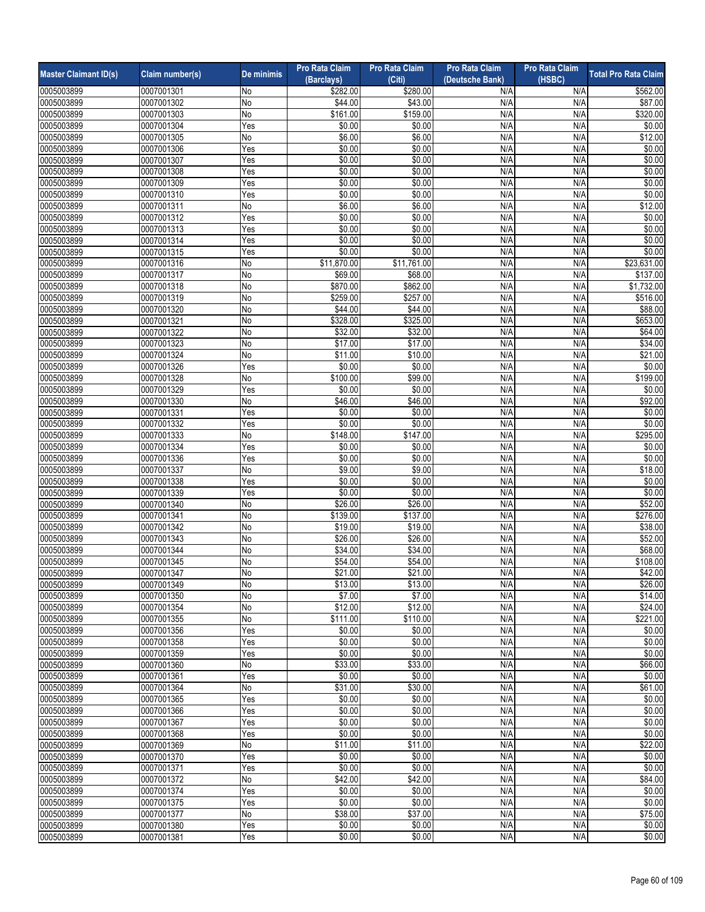| <b>Master Claimant ID(s)</b> | Claim number(s) | De minimis | <b>Pro Rata Claim</b><br>(Barclays) | Pro Rata Claim<br>(Citi) | Pro Rata Claim<br>(Deutsche Bank) | Pro Rata Claim<br>(HSBC) | <b>Total Pro Rata Claim</b> |
|------------------------------|-----------------|------------|-------------------------------------|--------------------------|-----------------------------------|--------------------------|-----------------------------|
| 0005003899                   | 0007001301      | No         | \$282.00                            | \$280.00                 | N/A                               | N/A                      | \$562.00                    |
| 0005003899                   | 0007001302      | No         | \$44.00                             | \$43.00                  | N/A                               | N/A                      | \$87.00                     |
| 0005003899                   | 0007001303      | No         | \$161.00                            | \$159.00                 | N/A                               | N/A                      | \$320.00                    |
| 0005003899                   | 0007001304      | Yes        | \$0.00                              | \$0.00                   | N/A                               | N/A                      | \$0.00                      |
| 0005003899                   | 0007001305      | No         | \$6.00                              | \$6.00                   | N/A                               | N/A                      | \$12.00                     |
| 0005003899                   | 0007001306      | Yes        | \$0.00                              | \$0.00                   | N/A                               | N/A                      | \$0.00                      |
| 0005003899                   | 0007001307      | Yes        | \$0.00                              | \$0.00                   | N/A                               | N/A                      | \$0.00                      |
| 0005003899                   | 0007001308      | Yes        | \$0.00                              | \$0.00                   | N/A                               | N/A                      | \$0.00                      |
| 0005003899                   | 0007001309      | Yes        | \$0.00                              | \$0.00                   | N/A                               | N/A                      | \$0.00                      |
| 0005003899                   | 0007001310      | Yes        | \$0.00                              | \$0.00                   | N/A                               | N/A                      | \$0.00                      |
| 0005003899                   | 0007001311      | No         | \$6.00                              | \$6.00                   | N/A                               | N/A                      | \$12.00                     |
| 0005003899                   | 0007001312      | Yes        | \$0.00                              | \$0.00                   | N/A                               | N/A                      | \$0.00                      |
| 0005003899                   | 0007001313      | Yes        | \$0.00                              | \$0.00                   | N/A                               | N/A                      | \$0.00                      |
| 0005003899                   | 0007001314      | Yes        | \$0.00                              | \$0.00                   | N/A                               | N/A                      | \$0.00                      |
| 0005003899                   | 0007001315      | Yes        | \$0.00                              | \$0.00                   | N/A                               | N/A                      | \$0.00                      |
| 0005003899                   | 0007001316      | No         | \$11,870.00                         | \$11,761.00              | N/A                               | N/A                      | \$23,631.00                 |
| 0005003899                   | 0007001317      | No         | \$69.00                             | \$68.00                  | N/A                               | N/A                      | \$137.00                    |
| 0005003899                   | 0007001318      | No         | \$870.00                            | \$862.00                 | N/A                               | N/A                      | \$1,732.00                  |
| 0005003899                   | 0007001319      | No         | \$259.00                            | \$257.00                 | N/A                               | N/A                      | \$516.00                    |
| 0005003899                   | 0007001320      | No         | \$44.00                             | \$44.00                  | N/A                               | N/A                      | \$88.00                     |
| 0005003899                   | 0007001321      | No         | \$328.00                            | \$325.00                 | N/A                               | N/A                      | \$653.00                    |
| 0005003899                   | 0007001322      | No         | \$32.00                             | \$32.00                  | N/A                               | N/A                      | \$64.00                     |
| 0005003899                   | 0007001323      | No         | \$17.00                             | \$17.00                  | N/A                               | N/A                      | \$34.00                     |
| 0005003899                   | 0007001324      | No         | \$11.00                             | \$10.00                  | N/A                               | N/A                      | \$21.00                     |
| 0005003899                   | 0007001326      | Yes        | \$0.00                              | \$0.00                   | N/A                               | N/A                      | \$0.00                      |
| 0005003899                   | 0007001328      | No         | \$100.00                            | \$99.00                  | N/A                               | N/A                      | \$199.00                    |
| 0005003899                   | 0007001329      | Yes        | \$0.00                              | \$0.00                   | N/A                               | N/A                      | \$0.00                      |
| 0005003899                   | 0007001330      | No         | \$46.00                             | \$46.00                  | N/A                               | N/A                      | \$92.00                     |
| 0005003899                   | 0007001331      | Yes        | \$0.00                              | \$0.00                   | N/A                               | N/A                      | \$0.00                      |
| 0005003899                   | 0007001332      | Yes        | \$0.00                              | \$0.00                   | N/A                               | N/A                      | \$0.00                      |
| 0005003899                   | 0007001333      | No         | \$148.00                            | \$147.00                 | N/A                               | N/A                      | \$295.00                    |
| 0005003899                   | 0007001334      | Yes        | \$0.00                              | \$0.00                   | N/A                               | N/A                      | \$0.00                      |
| 0005003899                   | 0007001336      | Yes        | \$0.00                              | \$0.00                   | N/A                               | N/A                      | \$0.00                      |
| 0005003899                   | 0007001337      | No         | \$9.00                              | \$9.00                   | N/A                               | N/A                      | \$18.00                     |
| 0005003899                   | 0007001338      | Yes        | \$0.00                              | \$0.00                   | N/A                               | N/A                      | \$0.00                      |
| 0005003899                   | 0007001339      | Yes        | \$0.00                              | \$0.00                   | N/A                               | N/A                      | \$0.00                      |
| 0005003899                   | 0007001340      | No         | \$26.00                             | \$26.00                  | N/A                               | N/A                      | \$52.00                     |
| 0005003899                   | 0007001341      | No         | \$139.00                            | \$137.00                 | N/A                               | N/A                      | \$276.00                    |
| 0005003899                   | 0007001342      | No         | \$19.00                             | \$19.00                  | N/A                               | N/A                      | \$38.00                     |
| 0005003899                   | 0007001343      | No         | \$26.00                             | \$26.00                  | N/A                               | N/A                      | \$52.00                     |
| 0005003899                   | 0007001344      | No         | \$34.00                             | \$34.00                  | N/A                               | N/A                      | \$68.00                     |
| 0005003899                   | 0007001345      | No         | \$54.00                             | \$54.00                  | N/A                               | N/A                      | \$108.00                    |
| 0005003899                   | 0007001347      | No         | \$21.00                             | \$21.00                  | N/A                               | N/A                      | \$42.00                     |
| 0005003899                   | 0007001349      | No         | \$13.00                             | \$13.00                  | N/A                               | N/A                      | \$26.00                     |
| 0005003899                   | 0007001350      | No         | \$7.00                              | \$7.00                   | N/A                               | N/A                      | \$14.00                     |
| 0005003899                   | 0007001354      | No         | \$12.00                             | \$12.00                  | N/A                               | N/A                      | \$24.00                     |
| 0005003899                   | 0007001355      | No         | \$111.00                            | \$110.00                 | N/A                               | N/A                      | \$221.00                    |
| 0005003899                   | 0007001356      | Yes        | \$0.00                              | \$0.00                   | N/A                               | N/A                      | \$0.00                      |
| 0005003899                   | 0007001358      | Yes        | \$0.00                              | \$0.00                   | N/A                               | N/A                      | \$0.00                      |
| 0005003899                   | 0007001359      | Yes        | \$0.00                              | \$0.00                   | N/A                               | N/A                      | \$0.00                      |
| 0005003899                   | 0007001360      | No         | \$33.00                             | \$33.00                  | N/A                               | N/A                      | \$66.00                     |
| 0005003899                   | 0007001361      | Yes        | \$0.00                              | \$0.00                   | N/A                               | N/A                      | \$0.00                      |
| 0005003899                   | 0007001364      | No         | \$31.00                             | \$30.00                  | N/A                               | N/A                      | \$61.00                     |
| 0005003899                   | 0007001365      | Yes        | \$0.00                              | \$0.00                   | N/A                               | N/A                      | \$0.00                      |
| 0005003899                   | 0007001366      | Yes        | \$0.00                              | \$0.00                   | N/A                               | N/A                      | \$0.00                      |
| 0005003899                   | 0007001367      | Yes        | \$0.00                              | \$0.00                   | N/A                               | N/A                      | \$0.00                      |
| 0005003899                   | 0007001368      | Yes        | \$0.00                              | \$0.00                   | N/A                               | N/A                      | \$0.00                      |
| 0005003899                   | 0007001369      | No         | \$11.00                             | \$11.00                  | N/A                               | N/A                      | \$22.00                     |
| 0005003899                   | 0007001370      | Yes        | \$0.00                              | \$0.00                   | N/A                               | N/A                      | \$0.00                      |
| 0005003899                   | 0007001371      | Yes        | \$0.00                              | \$0.00                   | N/A                               | N/A                      | \$0.00                      |
| 0005003899                   | 0007001372      | No         | \$42.00                             | \$42.00                  | N/A                               | N/A                      | \$84.00                     |
| 0005003899                   | 0007001374      | Yes        | \$0.00                              | \$0.00                   | N/A                               | N/A                      | \$0.00                      |
| 0005003899                   | 0007001375      | Yes        | \$0.00                              | \$0.00                   | N/A                               | N/A                      | \$0.00                      |
| 0005003899                   | 0007001377      | No         | \$38.00                             | \$37.00                  | N/A                               | N/A                      | \$75.00                     |
| 0005003899                   | 0007001380      | Yes        | \$0.00                              | \$0.00                   | N/A                               | N/A                      | \$0.00                      |
| 0005003899                   | 0007001381      | Yes        | \$0.00                              | \$0.00                   | N/A                               | N/A                      | \$0.00                      |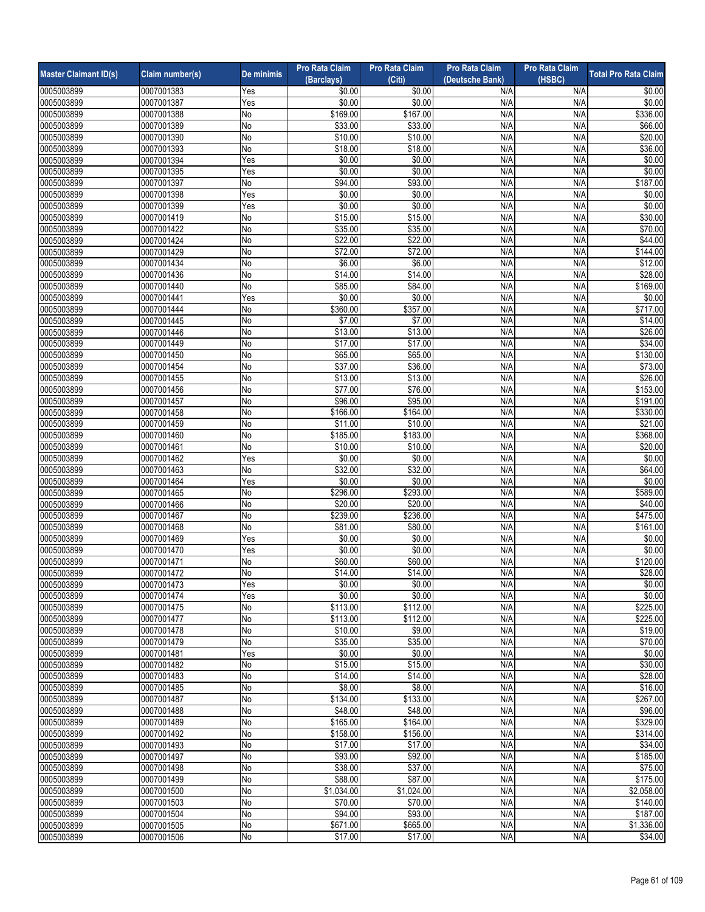| <b>Master Claimant ID(s)</b> | Claim number(s) | De minimis | <b>Pro Rata Claim</b><br>(Barclays) | Pro Rata Claim<br>(Citi) | Pro Rata Claim<br>(Deutsche Bank) | <b>Pro Rata Claim</b><br>(HSBC) | <b>Total Pro Rata Claim</b> |
|------------------------------|-----------------|------------|-------------------------------------|--------------------------|-----------------------------------|---------------------------------|-----------------------------|
| 0005003899                   | 0007001383      | Yes        | \$0.00                              | \$0.00                   | N/A                               | N/A                             | \$0.00                      |
| 0005003899                   | 0007001387      | Yes        | \$0.00                              | \$0.00                   | N/A                               | N/A                             | \$0.00                      |
| 0005003899                   | 0007001388      | No         | \$169.00                            | \$167.00                 | N/A                               | N/A                             | \$336.00                    |
| 0005003899                   | 0007001389      | No         | \$33.00                             | \$33.00                  | N/A                               | N/A                             | \$66.00                     |
| 0005003899                   | 0007001390      | No         | \$10.00                             | \$10.00                  | N/A                               | N/A                             | \$20.00                     |
| 0005003899                   | 0007001393      | No         | \$18.00                             | \$18.00                  | N/A                               | N/A                             | \$36.00                     |
| 0005003899                   | 0007001394      | Yes        | \$0.00                              | \$0.00                   | N/A                               | N/A                             | \$0.00                      |
| 0005003899                   | 0007001395      | Yes        | \$0.00                              | \$0.00                   | N/A                               | N/A                             | \$0.00                      |
| 0005003899                   | 0007001397      | No         | \$94.00                             | \$93.00                  | N/A                               | N/A                             | \$187.00                    |
| 0005003899                   | 0007001398      | Yes        | \$0.00                              | \$0.00                   | N/A                               | N/A                             | \$0.00                      |
| 0005003899                   | 0007001399      | Yes        | \$0.00                              | \$0.00                   | N/A                               | N/A                             | \$0.00                      |
| 0005003899                   | 0007001419      | No         | \$15.00                             | \$15.00                  | N/A                               | N/A                             | \$30.00                     |
| 0005003899                   | 0007001422      | No         | \$35.00                             | \$35.00                  | N/A                               | N/A                             | \$70.00                     |
| 0005003899                   | 0007001424      | No         | \$22.00                             | \$22.00                  | N/A                               | N/A                             | \$44.00                     |
| 0005003899                   | 0007001429      | No         | \$72.00                             | \$72.00                  | N/A                               | N/A                             | \$144.00                    |
| 0005003899                   | 0007001434      | No         | \$6.00                              | \$6.00                   | N/A                               | N/A                             | \$12.00                     |
| 0005003899                   | 0007001436      | No         | \$14.00                             | \$14.00                  | N/A                               | N/A                             | \$28.00                     |
| 0005003899                   | 0007001440      | No         | \$85.00                             | \$84.00                  | N/A                               | N/A                             | \$169.00                    |
| 0005003899                   | 0007001441      | Yes        | \$0.00                              | \$0.00                   | N/A                               | N/A                             | \$0.00                      |
| 0005003899                   | 0007001444      | No         | \$360.00                            | \$357.00                 | N/A                               | N/A                             | \$717.00                    |
| 0005003899                   | 0007001445      | No         | \$7.00                              | \$7.00                   | N/A                               | N/A                             | \$14.00                     |
| 0005003899                   | 0007001446      | No         | \$13.00                             | \$13.00                  | N/A                               | N/A                             | \$26.00                     |
| 0005003899                   | 0007001449      | No         | \$17.00                             | \$17.00                  | N/A                               | N/A                             | \$34.00                     |
| 0005003899                   | 0007001450      | No         | \$65.00                             | \$65.00                  | N/A                               | N/A                             | \$130.00                    |
| 0005003899                   | 0007001454      | No         | \$37.00                             | \$36.00                  | N/A                               | N/A                             | \$73.00                     |
| 0005003899                   | 0007001455      | No         | \$13.00                             | \$13.00                  | N/A                               | N/A                             | \$26.00                     |
| 0005003899                   | 0007001456      | No         | \$77.00                             | \$76.00                  | N/A                               | N/A                             | \$153.00                    |
| 0005003899                   | 0007001457      | No         | \$96.00                             | \$95.00                  | N/A                               | N/A                             | \$191.00                    |
| 0005003899                   | 0007001458      | <b>No</b>  | \$166.00                            | \$164.00                 | N/A                               | N/A                             | \$330.00                    |
| 0005003899                   | 0007001459      | No         | \$11.00                             | \$10.00                  | N/A                               | N/A                             | \$21.00                     |
| 0005003899                   | 0007001460      | No         | \$185.00                            | \$183.00                 | N/A                               | N/A                             | \$368.00                    |
| 0005003899                   | 0007001461      | No         | \$10.00                             | \$10.00                  | N/A                               | N/A                             | \$20.00                     |
| 0005003899                   | 0007001462      | Yes        | \$0.00                              | \$0.00                   | N/A                               | N/A                             | \$0.00                      |
| 0005003899                   | 0007001463      | No         | \$32.00                             | \$32.00                  | N/A                               | N/A                             | \$64.00                     |
| 0005003899                   | 0007001464      | Yes        | \$0.00                              | \$0.00                   | N/A                               | N/A                             | \$0.00                      |
| 0005003899                   | 0007001465      | No         | \$296.00                            | \$293.00                 | N/A                               | N/A                             | \$589.00                    |
| 0005003899                   | 0007001466      | No         | \$20.00                             | \$20.00                  | N/A                               | N/A                             | \$40.00                     |
| 0005003899                   | 0007001467      | No         | \$239.00                            | \$236.00                 | N/A                               | N/A                             | \$475.00                    |
| 0005003899                   | 0007001468      | No         | \$81.00                             | \$80.00                  | N/A                               | N/A                             | \$161.00                    |
| 0005003899                   | 0007001469      | Yes        | \$0.00                              | \$0.00                   | N/A                               | N/A                             | \$0.00                      |
| 0005003899                   | 0007001470      | Yes        | \$0.00                              | \$0.00                   | N/A                               | N/A                             | \$0.00                      |
| 0005003899                   | 0007001471      | No         | \$60.00                             | \$60.00                  | N/A                               | N/A                             | \$120.00                    |
| 0005003899                   | 0007001472      | No         | \$14.00                             | \$14.00                  | N/A                               | N/A                             | \$28.00                     |
| 0005003899                   | 0007001473      | Yes        | \$0.00                              | \$0.00                   | N/A                               | N/A                             | \$0.00                      |
| 0005003899                   | 0007001474      | Yes        | \$0.00                              | \$0.00                   | N/A                               | N/A                             | \$0.00                      |
| 0005003899                   | 0007001475      | No         | \$113.00                            | \$112.00                 | N/A                               | N/A                             | \$225.00                    |
| 0005003899                   | 0007001477      | No         | \$113.00                            | \$112.00                 | N/A                               | N/A                             | \$225.00                    |
| 0005003899                   | 0007001478      | No         | \$10.00                             | \$9.00                   | N/A                               | N/A                             | \$19.00                     |
| 0005003899                   | 0007001479      | No         | \$35.00                             | \$35.00                  | N/A                               | N/A                             | \$70.00                     |
| 0005003899                   | 0007001481      | Yes        | \$0.00                              | \$0.00                   | N/A                               | N/A                             | \$0.00                      |
| 0005003899                   | 0007001482      | No         | \$15.00                             | \$15.00                  | N/A                               | N/A                             | \$30.00                     |
| 0005003899                   | 0007001483      | No         | \$14.00                             | \$14.00                  | N/A                               | N/A                             | \$28.00                     |
| 0005003899                   | 0007001485      | No         | \$8.00                              | \$8.00                   | N/A                               | N/A                             | \$16.00                     |
| 0005003899                   | 0007001487      | No         | \$134.00                            | \$133.00                 | N/A                               | N/A                             | \$267.00                    |
| 0005003899                   | 0007001488      | No         | \$48.00                             | \$48.00                  | N/A                               | N/A                             | \$96.00                     |
| 0005003899                   | 0007001489      | No         | \$165.00                            | \$164.00                 | N/A                               | N/A                             | \$329.00                    |
| 0005003899                   | 0007001492      | No         | \$158.00                            | \$156.00                 | N/A                               | N/A                             | \$314.00                    |
| 0005003899                   | 0007001493      | No         | \$17.00                             | \$17.00                  | N/A                               | N/A                             | \$34.00                     |
| 0005003899                   | 0007001497      | No         | \$93.00                             | \$92.00                  | N/A                               | N/A                             | \$185.00                    |
| 0005003899                   | 0007001498      | <b>No</b>  | \$38.00                             | \$37.00                  | N/A                               | N/A                             | \$75.00                     |
| 0005003899                   | 0007001499      | No         | \$88.00                             | \$87.00                  | N/A                               | N/A                             | \$175.00                    |
| 0005003899                   | 0007001500      | No         | \$1,034.00                          | \$1,024.00               | N/A                               | N/A                             | \$2,058.00                  |
| 0005003899                   | 0007001503      | No         | \$70.00                             | \$70.00                  | N/A                               | N/A                             | \$140.00                    |
| 0005003899                   | 0007001504      | No         | \$94.00                             | \$93.00                  | N/A                               | N/A                             | \$187.00                    |
| 0005003899                   | 0007001505      | No         | \$671.00                            | \$665.00                 | N/A                               | N/A                             | \$1,336.00                  |
| 0005003899                   | 0007001506      | No         | \$17.00                             | \$17.00                  | N/A                               | N/A                             | \$34.00                     |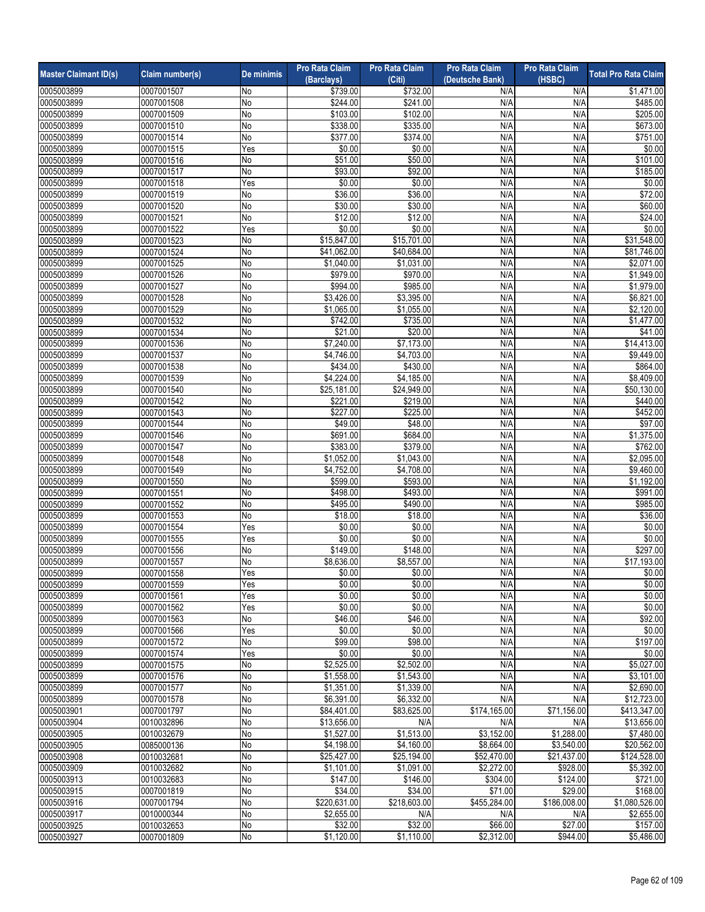| <b>Master Claimant ID(s)</b> | Claim number(s)          | De minimis | <b>Pro Rata Claim</b><br>(Barclays) | Pro Rata Claim<br>(Citi) | Pro Rata Claim<br>(Deutsche Bank) | Pro Rata Claim<br>(HSBC) | Total Pro Rata Claim      |
|------------------------------|--------------------------|------------|-------------------------------------|--------------------------|-----------------------------------|--------------------------|---------------------------|
| 0005003899                   | 0007001507               | No         | \$739.00                            | \$732.00                 | N/A                               | N/A                      | \$1,471.00                |
| 0005003899                   | 0007001508               | No         | \$244.00                            | \$241.00                 | N/A                               | N/A                      | \$485.00                  |
| 0005003899                   | 0007001509               | No         | \$103.00                            | \$102.00                 | N/A                               | N/A                      | \$205.00                  |
| 0005003899                   | 0007001510               | No         | \$338.00                            | \$335.00                 | N/A                               | N/A                      | \$673.00                  |
| 0005003899                   | 0007001514               | No         | \$377.00                            | \$374.00                 | N/A                               | N/A                      | \$751.00                  |
| 0005003899                   | 0007001515               | Yes        | \$0.00                              | \$0.00                   | N/A                               | N/A                      | \$0.00                    |
| 0005003899                   | 0007001516               | No         | \$51.00                             | \$50.00                  | N/A                               | N/A                      | \$101.00                  |
| 0005003899                   | 0007001517               | No         | \$93.00                             | \$92.00                  | N/A                               | N/A                      | \$185.00                  |
| 0005003899                   | 0007001518               | Yes        | \$0.00                              | \$0.00                   | N/A                               | N/A                      | \$0.00                    |
| 0005003899                   | 0007001519               | No         | \$36.00                             | \$36.00                  | N/A                               | N/A                      | \$72.00                   |
| 0005003899                   | 0007001520               | No         | \$30.00                             | \$30.00                  | N/A                               | N/A                      | \$60.00                   |
| 0005003899                   | 0007001521               | No         | \$12.00                             | \$12.00                  | N/A                               | N/A                      | \$24.00                   |
| 0005003899                   | 0007001522               | Yes        | \$0.00                              | \$0.00                   | N/A                               | N/A                      | \$0.00                    |
| 0005003899                   | 0007001523               | No         | \$15,847.00                         | \$15,701.00              | N/A                               | N/A                      | \$31,548.00               |
| 0005003899                   | 0007001524               | No         | \$41,062.00                         | \$40,684.00              | N/A                               | N/A                      | \$81,746.00               |
| 0005003899                   | 0007001525               | No         | \$1,040.00                          | \$1,031.00               | N/A                               | N/A                      | \$2,071.00                |
| 0005003899                   | 0007001526               | No         | \$979.00                            | \$970.00                 | N/A                               | N/A                      | \$1,949.00                |
| 0005003899                   | 0007001527               | No         | \$994.00                            | \$985.00                 | N/A                               | N/A                      | \$1,979.00                |
| 0005003899                   | 0007001528               | No         | \$3,426.00                          | \$3,395.00               | N/A                               | N/A                      | \$6,821.00                |
| 0005003899                   | 0007001529               | No         | \$1,065.00                          | \$1,055.00               | N/A                               | N/A                      | \$2,120.00                |
| 0005003899                   | 0007001532               | No         | \$742.00                            | \$735.00                 | N/A                               | N/A                      | \$1,477.00                |
| 0005003899                   | 0007001534               | No         | \$21.00                             | \$20.00                  | N/A                               | N/A                      | \$41.00                   |
| 0005003899                   | 0007001536               | No         | \$7,240.00                          | \$7,173.00               | N/A                               | N/A                      | \$14,413.00<br>\$9,449.00 |
| 0005003899<br>0005003899     | 0007001537               | No<br>No   | \$4,746.00                          | \$4,703.00<br>\$430.00   | N/A<br>N/A                        | N/A<br>N/A               | \$864.00                  |
| 0005003899                   | 0007001538<br>0007001539 | No         | \$434.00<br>\$4,224.00              | \$4,185.00               | N/A                               | N/A                      | \$8,409.00                |
| 0005003899                   | 0007001540               | No         | \$25,181.00                         | \$24,949.00              | N/A                               | N/A                      | \$50,130.00               |
| 0005003899                   | 0007001542               | No         | \$221.00                            | \$219.00                 | N/A                               | N/A                      | \$440.00                  |
| 0005003899                   | 0007001543               | <b>No</b>  | \$227.00                            | \$225.00                 | N/A                               | N/A                      | \$452.00                  |
| 0005003899                   | 0007001544               | No         | \$49.00                             | \$48.00                  | N/A                               | N/A                      | \$97.00                   |
| 0005003899                   | 0007001546               | No         | \$691.00                            | \$684.00                 | N/A                               | N/A                      | \$1,375.00                |
| 0005003899                   | 0007001547               | No         | \$383.00                            | \$379.00                 | N/A                               | N/A                      | \$762.00                  |
| 0005003899                   | 0007001548               | No         | \$1,052.00                          | \$1,043.00               | N/A                               | N/A                      | \$2,095.00                |
| 0005003899                   | 0007001549               | No         | \$4,752.00                          | \$4,708.00               | N/A                               | N/A                      | \$9,460.00                |
| 0005003899                   | 0007001550               | No         | \$599.00                            | \$593.00                 | N/A                               | N/A                      | \$1,192.00                |
| 0005003899                   | 0007001551               | No         | \$498.00                            | \$493.00                 | N/A                               | N/A                      | \$991.00                  |
| 0005003899                   | 0007001552               | No         | \$495.00                            | \$490.00                 | N/A                               | N/A                      | \$985.00                  |
| 0005003899                   | 0007001553               | No         | \$18.00                             | \$18.00                  | N/A                               | N/A                      | \$36.00                   |
| 0005003899                   | 0007001554               | Yes        | \$0.00                              | \$0.00                   | N/A                               | N/A                      | \$0.00                    |
| 0005003899                   | 0007001555               | Yes        | \$0.00                              | \$0.00                   | N/A                               | N/A                      | \$0.00                    |
| 0005003899                   | 0007001556               | No         | \$149.00                            | \$148.00                 | N/A                               | N/A                      | \$297.00                  |
| 0005003899                   | 0007001557               | No         | \$8,636.00                          | \$8,557.00               | N/A                               | N/A                      | \$17,193.00               |
| 0005003899                   | 0007001558               | Yes        | \$0.00                              | \$0.00                   | N/A                               | N/A                      | \$0.00                    |
| 0005003899                   | 0007001559               | Yes        | \$0.00                              | \$0.00                   | N/A                               | N/A                      | \$0.00                    |
| 0005003899                   | 0007001561               | Yes        | \$0.00                              | \$0.00                   | N/A                               | N/A                      | \$0.00                    |
| 0005003899                   | 0007001562               | Yes        | \$0.00                              | \$0.00                   | N/A                               | N/A                      | \$0.00                    |
| 0005003899                   | 0007001563               | No         | \$46.00                             | \$46.00                  | N/A                               | N/A                      | \$92.00                   |
| 0005003899                   | 0007001566               | Yes        | \$0.00                              | \$0.00                   | N/A                               | N/A                      | \$0.00                    |
| 0005003899                   | 0007001572               | No         | \$99.00                             | \$98.00                  | N/A                               | N/A                      | \$197.00                  |
| 0005003899                   | 0007001574               | Yes        | \$0.00                              | \$0.00                   | N/A                               | N/A                      | \$0.00                    |
| 0005003899<br>0005003899     | 0007001575<br>0007001576 | No<br>No   | \$2,525.00                          | \$2,502.00<br>\$1,543.00 | N/A<br>N/A                        | N/A<br>N/A               | \$5,027.00<br>\$3,101.00  |
| 0005003899                   | 0007001577               | No         | \$1,558.00<br>\$1,351.00            | \$1,339.00               | N/A                               | N/A                      | \$2,690.00                |
| 0005003899                   | 0007001578               | No         | \$6,391.00                          | \$6,332.00               | N/A                               | N/A                      | \$12,723.00               |
| 0005003901                   | 0007001797               | No         | \$84,401.00                         | \$83,625.00              | \$174,165.00                      | \$71,156.00              | \$413,347.00              |
| 0005003904                   | 0010032896               | No         | \$13,656.00                         | N/A                      | N/A                               | N/A                      | \$13,656.00               |
| 0005003905                   | 0010032679               | No         | \$1,527.00                          | \$1,513.00               | \$3,152.00                        | \$1,288.00               | \$7,480.00                |
| 0005003905                   | 0085000136               | No         | \$4,198.00                          | \$4,160.00               | \$8,664.00                        | \$3,540.00               | \$20,562.00               |
| 0005003908                   | 0010032681               | No         | \$25,427.00                         | \$25,194.00              | \$52,470.00                       | \$21,437.00              | \$124,528.00              |
| 0005003909                   | 0010032682               | <b>No</b>  | \$1,101.00                          | \$1,091.00               | \$2,272.00                        | \$928.00                 | $\overline{$5,392.00}$    |
| 0005003913                   | 0010032683               | No         | \$147.00                            | \$146.00                 | \$304.00                          | \$124.00                 | \$721.00                  |
| 0005003915                   | 0007001819               | No         | \$34.00                             | \$34.00                  | \$71.00                           | \$29.00                  | \$168.00                  |
| 0005003916                   | 0007001794               | <b>No</b>  | \$220,631.00                        | \$218,603.00             | \$455,284.00                      | \$186,008.00             | \$1,080,526.00            |
| 0005003917                   | 0010000344               | No         | \$2,655.00                          | N/A                      | N/A                               | N/A                      | \$2,655.00                |
| 0005003925                   | 0010032653               | No         | \$32.00                             | \$32.00                  | \$66.00                           | \$27.00                  | \$157.00                  |
| 0005003927                   | 0007001809               | No         | \$1,120.00                          | \$1,110.00               | $\overline{$2,312.00}$            | \$944.00                 | \$5,486.00                |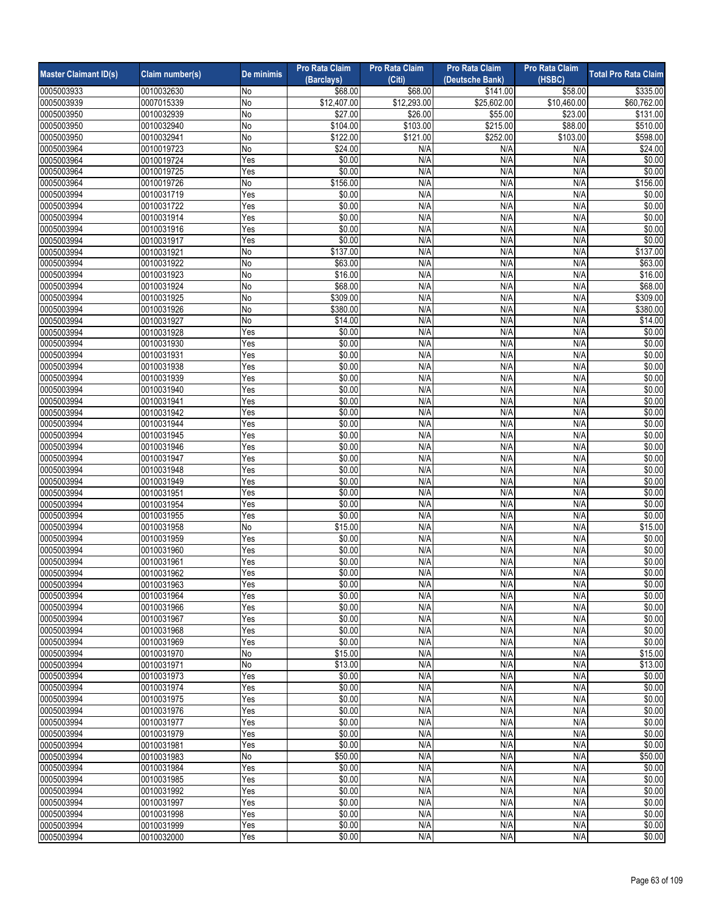| <b>Master Claimant ID(s)</b> | Claim number(s) | De minimis | <b>Pro Rata Claim</b><br>(Barclays) | Pro Rata Claim<br>(Citi) | Pro Rata Claim<br>(Deutsche Bank) | Pro Rata Claim<br>(HSBC) | <b>Total Pro Rata Claim</b> |
|------------------------------|-----------------|------------|-------------------------------------|--------------------------|-----------------------------------|--------------------------|-----------------------------|
| 0005003933                   | 0010032630      | No         | \$68.00                             | \$68.00                  | \$141.00                          | \$58.00                  | \$335.00                    |
| 0005003939                   | 0007015339      | No         | \$12,407.00                         | \$12,293.00              | \$25,602.00                       | \$10,460.00              | \$60,762.00                 |
| 0005003950                   | 0010032939      | No         | \$27.00                             | \$26.00                  | \$55.00                           | \$23.00                  | \$131.00                    |
| 0005003950                   | 0010032940      | No         | \$104.00                            | \$103.00                 | \$215.00                          | \$88.00                  | \$510.00                    |
|                              | 0010032941      | No         | \$122.00                            | \$121.00                 | \$252.00                          | \$103.00                 | \$598.00                    |
| 0005003950                   |                 |            |                                     |                          |                                   |                          |                             |
| 0005003964                   | 0010019723      | No         | \$24.00                             | N/A                      | N/A                               | N/A                      | \$24.00                     |
| 0005003964                   | 0010019724      | Yes        | \$0.00                              | N/A                      | N/A                               | N/A                      | \$0.00                      |
| 0005003964                   | 0010019725      | Yes        | \$0.00                              | N/A                      | N/A                               | N/A                      | \$0.00                      |
| 0005003964                   | 0010019726      | No         | \$156.00                            | N/A                      | N/A                               | N/A                      | \$156.00                    |
| 0005003994                   | 0010031719      | Yes        | \$0.00                              | N/A                      | N/A                               | N/A                      | \$0.00                      |
| 0005003994                   | 0010031722      | Yes        | \$0.00                              | N/A                      | N/A                               | N/A                      | \$0.00                      |
| 0005003994                   | 0010031914      | Yes        | \$0.00                              | N/A                      | N/A                               | N/A                      | \$0.00                      |
| 0005003994                   | 0010031916      | Yes        | \$0.00                              | N/A                      | N/A                               | N/A                      | \$0.00                      |
| 0005003994                   | 0010031917      | Yes        | \$0.00                              | N/A                      | N/A                               | N/A                      | \$0.00                      |
| 0005003994                   | 0010031921      | No         | \$137.00                            | N/A                      | N/A                               | N/A                      | \$137.00                    |
| 0005003994                   | 0010031922      | No         | \$63.00                             | N/A                      | N/A                               | N/A                      | \$63.00                     |
| 0005003994                   | 0010031923      | No         | \$16.00                             | N/A                      | N/A                               | N/A                      | \$16.00                     |
| 0005003994                   | 0010031924      | No         | \$68.00                             | N/A                      | N/A                               | N/A                      | \$68.00                     |
|                              |                 |            |                                     |                          |                                   |                          |                             |
| 0005003994                   | 0010031925      | No         | \$309.00                            | N/A                      | N/A                               | N/A                      | \$309.00                    |
| 0005003994                   | 0010031926      | No         | \$380.00                            | N/A                      | N/A                               | N/A                      | \$380.00                    |
| 0005003994                   | 0010031927      | No         | \$14.00                             | N/A                      | N/A                               | N/A                      | \$14.00                     |
| 0005003994                   | 0010031928      | Yes        | \$0.00                              | N/A                      | N/A                               | N/A                      | \$0.00                      |
| 0005003994                   | 0010031930      | Yes        | \$0.00                              | N/A                      | N/A                               | N/A                      | \$0.00                      |
| 0005003994                   | 0010031931      | Yes        | \$0.00                              | N/A                      | N/A                               | N/A                      | \$0.00                      |
| 0005003994                   | 0010031938      | Yes        | \$0.00                              | N/A                      | N/A                               | N/A                      | \$0.00                      |
| 0005003994                   | 0010031939      | Yes        | \$0.00                              | N/A                      | N/A                               | N/A                      | \$0.00                      |
| 0005003994                   | 0010031940      | Yes        | \$0.00                              | N/A                      | N/A                               | N/A                      | \$0.00                      |
| 0005003994                   | 0010031941      | Yes        | \$0.00                              | N/A                      | N/A                               | N/A                      | \$0.00                      |
| 0005003994                   | 0010031942      | Yes        | \$0.00                              | N/A                      | N/A                               | N/A                      | \$0.00                      |
| 0005003994                   | 0010031944      | Yes        | \$0.00                              | N/A                      | N/A                               | N/A                      | \$0.00                      |
| 0005003994                   | 0010031945      | Yes        | \$0.00                              | N/A                      | N/A                               | N/A                      | \$0.00                      |
| 0005003994                   | 0010031946      | Yes        | \$0.00                              | N/A                      | N/A                               | N/A                      | \$0.00                      |
| 0005003994                   |                 |            | \$0.00                              | N/A                      | N/A                               |                          | \$0.00                      |
|                              | 0010031947      | Yes        |                                     |                          |                                   | N/A                      |                             |
| 0005003994                   | 0010031948      | Yes        | \$0.00                              | N/A                      | N/A                               | N/A                      | \$0.00                      |
| 0005003994                   | 0010031949      | Yes        | \$0.00                              | N/A                      | N/A                               | N/A                      | \$0.00                      |
| 0005003994                   | 0010031951      | Yes        | \$0.00                              | N/A                      | N/A                               | N/A                      | \$0.00                      |
| 0005003994                   | 0010031954      | Yes        | \$0.00                              | N/A                      | N/A                               | N/A                      | \$0.00                      |
| 0005003994                   | 0010031955      | Yes        | \$0.00                              | N/A                      | N/A                               | N/A                      | \$0.00                      |
| 0005003994                   | 0010031958      | No         | \$15.00                             | N/A                      | N/A                               | N/A                      | \$15.00                     |
| 0005003994                   | 0010031959      | Yes        | \$0.00                              | N/A                      | N/A                               | N/A                      | \$0.00                      |
| 0005003994                   | 0010031960      | Yes        | \$0.00                              | N/A                      | N/A                               | N/A                      | \$0.00                      |
| 0005003994                   | 0010031961      | Yes        | \$0.00                              | N/A                      | N/A                               | N/A                      | \$0.00                      |
| 0005003994                   | 0010031962      | Yes        | \$0.00                              | N/A                      | N/A                               | N/A                      | \$0.00                      |
| 0005003994                   | 0010031963      | Yes        | \$0.00                              | N/A                      | N/A                               | N/A                      | \$0.00                      |
| 0005003994                   | 0010031964      | Yes        | \$0.00                              | N/A                      | N/A                               | N/A                      | \$0.00                      |
| 0005003994                   | 0010031966      | Yes        | \$0.00                              | N/A                      | N/A                               | N/A                      | \$0.00                      |
| 0005003994                   | 0010031967      |            | \$0.00                              | N/A                      | N/A                               | N/A                      | \$0.00                      |
|                              |                 | Yes        |                                     |                          |                                   |                          |                             |
| 0005003994                   | 0010031968      | Yes        | \$0.00                              | N/A                      | N/A                               | N/A                      | \$0.00                      |
| 0005003994                   | 0010031969      | Yes        | \$0.00                              | N/A                      | N/A                               | N/A                      | \$0.00                      |
| 0005003994                   | 0010031970      | No         | \$15.00                             | N/A                      | N/A                               | N/A                      | \$15.00                     |
| 0005003994                   | 0010031971      | No         | \$13.00                             | N/A                      | N/A                               | N/A                      | \$13.00                     |
| 0005003994                   | 0010031973      | Yes        | \$0.00                              | N/A                      | N/A                               | N/A                      | \$0.00                      |
| 0005003994                   | 0010031974      | Yes        | \$0.00                              | N/A                      | N/A                               | N/A                      | \$0.00                      |
| 0005003994                   | 0010031975      | Yes        | \$0.00                              | N/A                      | N/A                               | N/A                      | \$0.00                      |
| 0005003994                   | 0010031976      | Yes        | \$0.00                              | N/A                      | N/A                               | N/A                      | \$0.00                      |
| 0005003994                   | 0010031977      | Yes        | \$0.00                              | N/A                      | N/A                               | N/A                      | \$0.00                      |
| 0005003994                   | 0010031979      | Yes        | \$0.00                              | N/A                      | N/A                               | N/A                      | \$0.00                      |
| 0005003994                   | 0010031981      | Yes        | \$0.00                              | N/A                      | N/A                               | N/A                      | \$0.00                      |
| 0005003994                   | 0010031983      | No         | \$50.00                             | N/A                      | N/A                               | N/A                      | \$50.00                     |
| 0005003994                   | 0010031984      | Yes        | \$0.00                              | N/A                      | N/A                               | N/A                      | \$0.00                      |
| 0005003994                   | 0010031985      |            | \$0.00                              | N/A                      | N/A                               | N/A                      | \$0.00                      |
|                              |                 | Yes        |                                     |                          |                                   |                          |                             |
| 0005003994                   | 0010031992      | Yes        | \$0.00                              | N/A                      | N/A                               | N/A                      | \$0.00                      |
| 0005003994                   | 0010031997      | Yes        | \$0.00                              | N/A                      | N/A                               | N/A                      | \$0.00                      |
| 0005003994                   | 0010031998      | Yes        | \$0.00                              | N/A                      | N/A                               | N/A                      | \$0.00                      |
| 0005003994                   | 0010031999      | Yes        | \$0.00                              | N/A                      | N/A                               | N/A                      | \$0.00                      |
| 0005003994                   | 0010032000      | Yes        | \$0.00                              | N/A                      | N/A                               | N/A                      | \$0.00                      |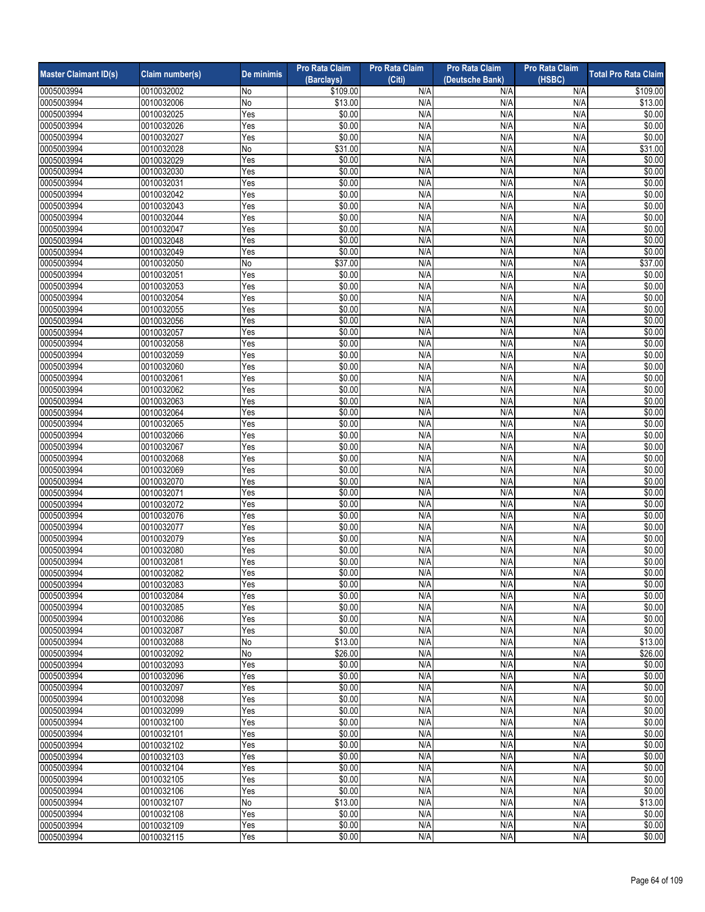| <b>Master Claimant ID(s)</b> | Claim number(s) | De minimis | Pro Rata Claim<br>(Barclays) | <b>Pro Rata Claim</b><br>(C <sub>it</sub> ) | Pro Rata Claim<br>(Deutsche Bank) | <b>Pro Rata Claim</b><br>(HSBC) | <b>Total Pro Rata Claim</b> |
|------------------------------|-----------------|------------|------------------------------|---------------------------------------------|-----------------------------------|---------------------------------|-----------------------------|
| 0005003994                   | 0010032002      | No         | \$109.00                     | N/A                                         | N/A                               | N/A                             | \$109.00                    |
| 0005003994                   | 0010032006      | No         | \$13.00                      | N/A                                         | N/A                               | N/A                             | \$13.00                     |
| 0005003994                   | 0010032025      | Yes        | \$0.00                       | N/A                                         | N/A                               | N/A                             | \$0.00                      |
| 0005003994                   | 0010032026      | Yes        | \$0.00                       | N/A                                         | N/A                               | N/A                             | \$0.00                      |
| 0005003994                   | 0010032027      | Yes        | \$0.00                       | N/A                                         | N/A                               | N/A                             | \$0.00                      |
| 0005003994                   | 0010032028      | No         | \$31.00                      | N/A                                         | N/A                               | N/A                             | \$31.00                     |
| 0005003994                   | 0010032029      | Yes        | \$0.00                       | N/A                                         | N/A                               | N/A                             | \$0.00                      |
| 0005003994                   | 0010032030      | Yes        | \$0.00                       | N/A                                         | N/A                               | N/A                             | \$0.00                      |
| 0005003994                   | 0010032031      | Yes        | \$0.00                       | N/A                                         | N/A                               | N/A                             | \$0.00                      |
| 0005003994                   | 0010032042      | Yes        | \$0.00                       | N/A                                         | N/A                               | N/A                             | \$0.00                      |
| 0005003994                   | 0010032043      | Yes        | \$0.00                       | N/A                                         | N/A                               | N/A                             | \$0.00                      |
| 0005003994                   | 0010032044      | Yes        | \$0.00                       | N/A                                         | N/A                               | N/A                             | \$0.00                      |
| 0005003994                   | 0010032047      | Yes        | \$0.00                       | N/A                                         | N/A                               | N/A                             | \$0.00                      |
| 0005003994                   | 0010032048      | Yes        | \$0.00                       | N/A                                         | N/A                               | N/A                             | \$0.00                      |
| 0005003994                   | 0010032049      | Yes        | \$0.00                       | N/A                                         | N/A                               | N/A                             | \$0.00                      |
| 0005003994                   | 0010032050      | No         | \$37.00                      | N/A                                         | N/A                               | N/A                             | \$37.00                     |
| 0005003994                   | 0010032051      | Yes        | \$0.00                       | N/A                                         | N/A                               | N/A                             | \$0.00                      |
| 0005003994                   | 0010032053      | Yes        | \$0.00                       | N/A                                         | N/A                               | N/A                             | \$0.00                      |
| 0005003994                   | 0010032054      | Yes        | \$0.00                       | N/A                                         | N/A                               | N/A                             | \$0.00                      |
| 0005003994                   | 0010032055      | Yes        | \$0.00                       | N/A                                         | N/A                               | N/A                             | \$0.00                      |
| 0005003994                   | 0010032056      | Yes        | \$0.00                       | N/A                                         | N/A                               | N/A                             | \$0.00                      |
|                              |                 |            | \$0.00                       | N/A                                         | N/A                               |                                 | \$0.00                      |
| 0005003994                   | 0010032057      | Yes        |                              | N/A                                         | N/A                               | N/A                             | \$0.00                      |
| 0005003994<br>0005003994     | 0010032058      | Yes        | \$0.00                       |                                             |                                   | N/A                             |                             |
|                              | 0010032059      | Yes        | \$0.00                       | N/A                                         | N/A                               | N/A                             | \$0.00                      |
| 0005003994                   | 0010032060      | Yes        | \$0.00                       | N/A                                         | N/A                               | N/A                             | \$0.00                      |
| 0005003994                   | 0010032061      | Yes        | \$0.00                       | N/A                                         | N/A                               | N/A                             | \$0.00                      |
| 0005003994                   | 0010032062      | Yes        | \$0.00                       | N/A                                         | N/A                               | N/A                             | \$0.00                      |
| 0005003994                   | 0010032063      | Yes        | \$0.00                       | N/A                                         | N/A                               | N/A                             | \$0.00                      |
| 0005003994                   | 0010032064      | Yes        | \$0.00                       | N/A                                         | N/A                               | N/A                             | \$0.00                      |
| 0005003994                   | 0010032065      | Yes        | \$0.00                       | N/A                                         | N/A                               | N/A                             | \$0.00                      |
| 0005003994                   | 0010032066      | Yes        | \$0.00                       | N/A                                         | N/A                               | N/A                             | \$0.00                      |
| 0005003994                   | 0010032067      | Yes        | \$0.00                       | N/A                                         | N/A                               | N/A                             | \$0.00                      |
| 0005003994                   | 0010032068      | Yes        | \$0.00                       | N/A                                         | N/A                               | N/A                             | \$0.00                      |
| 0005003994                   | 0010032069      | Yes        | \$0.00                       | N/A                                         | N/A                               | N/A                             | \$0.00                      |
| 0005003994                   | 0010032070      | Yes        | \$0.00                       | N/A                                         | N/A                               | N/A                             | \$0.00                      |
| 0005003994                   | 0010032071      | Yes        | \$0.00                       | N/A                                         | N/A                               | N/A                             | \$0.00                      |
| 0005003994                   | 0010032072      | Yes        | \$0.00                       | N/A                                         | N/A                               | N/A                             | \$0.00                      |
| 0005003994                   | 0010032076      | Yes        | \$0.00                       | N/A                                         | N/A                               | N/A                             | \$0.00                      |
| 0005003994                   | 0010032077      | Yes        | \$0.00                       | N/A                                         | N/A                               | N/A                             | \$0.00                      |
| 0005003994                   | 0010032079      | Yes        | \$0.00                       | N/A                                         | N/A                               | N/A                             | \$0.00                      |
| 0005003994                   | 0010032080      | Yes        | \$0.00                       | N/A                                         | N/A                               | N/A                             | \$0.00                      |
| 0005003994                   | 0010032081      | Yes        | \$0.00                       | N/A                                         | N/A                               | N/A                             | \$0.00                      |
| 0005003994                   | 0010032082      | Yes        | \$0.00                       | N/A                                         | N/A                               | N/A                             | \$0.00                      |
| 0005003994                   | 0010032083      | Yes        | \$0.00                       | N/A                                         | N/A                               | N/A                             | \$0.00                      |
| 0005003994                   | 0010032084      | Yes        | \$0.00                       | N/A                                         | N/A                               | N/A                             | \$0.00                      |
| 0005003994                   | 0010032085      | Yes        | \$0.00                       | N/A                                         | N/A                               | N/A                             | \$0.00                      |
| 0005003994                   | 0010032086      | Yes        | \$0.00                       | N/A                                         | N/A                               | N/A                             | \$0.00                      |
| 0005003994                   | 0010032087      | Yes        | \$0.00                       | N/A                                         | N/A                               | N/A                             | \$0.00                      |
| 0005003994                   | 0010032088      | No         | \$13.00                      | N/A                                         | N/A                               | N/A                             | \$13.00                     |
| 0005003994                   | 0010032092      | No         | \$26.00                      | N/A                                         | N/A                               | N/A                             | \$26.00                     |
| 0005003994                   | 0010032093      | Yes        | \$0.00                       | N/A                                         | N/A                               | N/A                             | \$0.00                      |
| 0005003994                   | 0010032096      | Yes        | \$0.00                       | N/A                                         | N/A                               | N/A                             | \$0.00                      |
| 0005003994                   | 0010032097      | Yes        | \$0.00                       | N/A                                         | N/A                               | N/A                             | \$0.00                      |
| 0005003994                   | 0010032098      | Yes        | \$0.00                       | N/A                                         | N/A                               | N/A                             | \$0.00                      |
| 0005003994                   | 0010032099      | Yes        | \$0.00                       | N/A                                         | N/A                               | N/A                             | \$0.00                      |
| 0005003994                   | 0010032100      | Yes        | \$0.00                       | N/A                                         | N/A                               | N/A                             | \$0.00                      |
| 0005003994                   | 0010032101      | Yes        | \$0.00                       | N/A                                         | N/A                               | N/A                             | \$0.00                      |
| 0005003994                   | 0010032102      | Yes        | \$0.00                       | N/A                                         | N/A                               | N/A                             | \$0.00                      |
| 0005003994                   | 0010032103      | Yes        | \$0.00                       | N/A                                         | N/A                               | N/A                             | \$0.00                      |
| 0005003994                   | 0010032104      | Yes        | \$0.00                       | N/A                                         | N/A                               | N/A                             | \$0.00                      |
| 0005003994                   | 0010032105      |            | \$0.00                       | N/A                                         | N/A                               | N/A                             | \$0.00                      |
|                              |                 | Yes        | \$0.00                       | N/A                                         | N/A                               |                                 | \$0.00                      |
| 0005003994                   | 0010032106      | Yes        |                              |                                             |                                   | N/A                             |                             |
| 0005003994                   | 0010032107      | No         | \$13.00                      | N/A                                         | N/A<br>N/A                        | N/A<br>N/A                      | \$13.00                     |
| 0005003994                   | 0010032108      | Yes        | \$0.00                       | N/A                                         |                                   |                                 | \$0.00                      |
| 0005003994                   | 0010032109      | Yes        | \$0.00                       | N/A                                         | N/A                               | N/A                             | \$0.00                      |
| 0005003994                   | 0010032115      | Yes        | \$0.00                       | N/A                                         | N/A                               | N/A                             | \$0.00                      |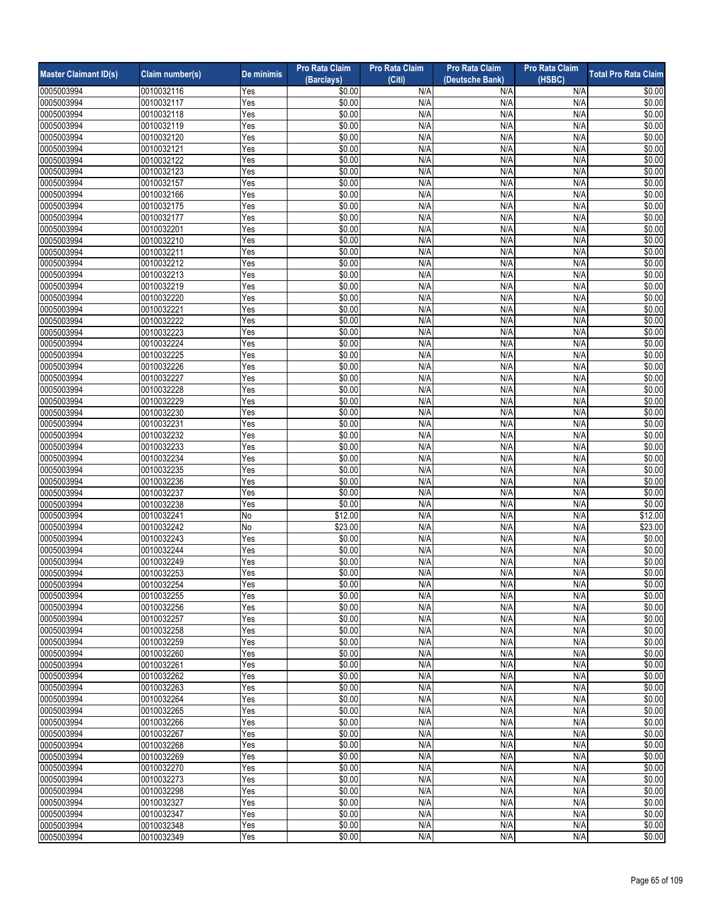| <b>Master Claimant ID(s)</b> | Claim number(s)          | De minimis | Pro Rata Claim<br>(Barclays) | <b>Pro Rata Claim</b><br>(Citi) | <b>Pro Rata Claim</b><br>(Deutsche Bank) | <b>Pro Rata Claim</b><br>(HSBC) | <b>Total Pro Rata Claim</b> |
|------------------------------|--------------------------|------------|------------------------------|---------------------------------|------------------------------------------|---------------------------------|-----------------------------|
| 0005003994                   | 0010032116               | Yes        | \$0.00                       | N/A                             | N/A                                      | N/A                             | \$0.00                      |
| 0005003994                   | 0010032117               | Yes        | \$0.00                       | N/A                             | N/A                                      | N/A                             | \$0.00                      |
| 0005003994                   | 0010032118               | Yes        | \$0.00                       | N/A                             | N/A                                      | N/A                             | \$0.00                      |
| 0005003994                   | 0010032119               | Yes        | \$0.00                       | N/A                             | N/A                                      | N/A                             | \$0.00                      |
| 0005003994                   | 0010032120               | Yes        | \$0.00                       | N/A                             | N/A                                      | N/A                             | \$0.00                      |
| 0005003994                   | 0010032121               | Yes        | \$0.00                       | N/A                             | N/A                                      | N/A                             | \$0.00                      |
| 0005003994                   | 0010032122               | Yes        | \$0.00                       | N/A                             | N/A                                      | N/A                             | \$0.00                      |
| 0005003994                   | 0010032123               | Yes        | \$0.00                       | N/A                             | N/A                                      | N/A                             | \$0.00                      |
| 0005003994                   | 0010032157               | Yes        | \$0.00                       | N/A                             | N/A                                      | N/A                             | \$0.00                      |
| 0005003994                   | 0010032166               | Yes        | \$0.00                       | N/A                             | N/A                                      | N/A                             | \$0.00                      |
| 0005003994                   | 0010032175               | Yes        | \$0.00                       | N/A                             | N/A                                      | N/A                             | \$0.00                      |
| 0005003994                   | 0010032177               | Yes        | \$0.00                       | N/A                             | N/A                                      | N/A                             | \$0.00                      |
| 0005003994                   | 0010032201               | Yes        | \$0.00                       | N/A                             | N/A                                      | N/A                             | \$0.00                      |
| 0005003994                   | 0010032210               | Yes        | \$0.00                       | N/A                             | N/A                                      | N/A                             | \$0.00                      |
| 0005003994                   | 0010032211               | Yes        | \$0.00                       | N/A                             | N/A                                      | N/A                             | \$0.00                      |
|                              |                          |            |                              | N/A                             | N/A                                      |                                 | \$0.00                      |
| 0005003994                   | 0010032212<br>0010032213 | Yes        | \$0.00<br>\$0.00             | N/A                             | N/A                                      | N/A<br>N/A                      | \$0.00                      |
| 0005003994                   |                          | Yes        |                              |                                 |                                          |                                 | \$0.00                      |
| 0005003994                   | 0010032219               | Yes        | \$0.00                       | N/A                             | N/A                                      | N/A                             |                             |
| 0005003994                   | 0010032220               | Yes        | \$0.00                       | N/A                             | N/A                                      | N/A                             | \$0.00                      |
| 0005003994                   | 0010032221               | Yes        | \$0.00                       | N/A                             | N/A                                      | N/A                             | \$0.00                      |
| 0005003994                   | 0010032222               | Yes        | \$0.00                       | N/A                             | N/A                                      | N/A                             | \$0.00                      |
| 0005003994                   | 0010032223               | Yes        | \$0.00                       | N/A                             | N/A                                      | N/A                             | \$0.00                      |
| 0005003994                   | 0010032224               | Yes        | \$0.00                       | N/A                             | N/A                                      | N/A                             | \$0.00                      |
| 0005003994                   | 0010032225               | Yes        | \$0.00                       | N/A                             | N/A                                      | N/A                             | \$0.00                      |
| 0005003994                   | 0010032226               | Yes        | \$0.00                       | N/A                             | N/A                                      | N/A                             | \$0.00                      |
| 0005003994                   | 0010032227               | Yes        | \$0.00                       | N/A                             | N/A                                      | N/A                             | \$0.00                      |
| 0005003994                   | 0010032228               | Yes        | \$0.00                       | N/A                             | N/A                                      | N/A                             | \$0.00                      |
| 0005003994                   | 0010032229               | Yes        | \$0.00                       | N/A                             | N/A                                      | N/A                             | \$0.00                      |
| 0005003994                   | 0010032230               | Yes        | \$0.00                       | N/A                             | N/A                                      | N/A                             | \$0.00                      |
| 0005003994                   | 0010032231               | Yes        | \$0.00                       | N/A                             | N/A                                      | N/A                             | \$0.00                      |
| 0005003994                   | 0010032232               | Yes        | \$0.00                       | N/A                             | N/A                                      | N/A                             | \$0.00                      |
| 0005003994                   | 0010032233               | Yes        | \$0.00                       | N/A                             | N/A                                      | N/A                             | \$0.00                      |
| 0005003994                   | 0010032234               | Yes        | \$0.00                       | N/A                             | N/A                                      | N/A                             | \$0.00                      |
| 0005003994                   | 0010032235               | Yes        | \$0.00                       | N/A                             | N/A                                      | N/A                             | \$0.00                      |
| 0005003994                   | 0010032236               | Yes        | \$0.00                       | N/A                             | N/A                                      | N/A                             | \$0.00                      |
| 0005003994                   | 0010032237               | Yes        | \$0.00                       | N/A                             | N/A                                      | N/A                             | \$0.00                      |
| 0005003994                   | 0010032238               | Yes        | \$0.00                       | N/A                             | N/A                                      | N/A                             | \$0.00                      |
| 0005003994                   | 0010032241               | No         | \$12.00                      | N/A                             | N/A                                      | N/A                             | \$12.00                     |
| 0005003994                   | 0010032242               | No         | \$23.00                      | N/A                             | N/A                                      | N/A                             | \$23.00                     |
| 0005003994                   | 0010032243               | Yes        | \$0.00                       | N/A                             | N/A                                      | N/A                             | \$0.00                      |
| 0005003994                   | 0010032244               | Yes        | \$0.00                       | N/A                             | N/A                                      | N/A                             | \$0.00                      |
| 0005003994                   | 0010032249               | Yes        | \$0.00                       | N/A                             | N/A                                      | N/A                             | \$0.00                      |
| 0005003994                   | 0010032253               | Yes        | \$0.00                       | N/A                             | N/A                                      | N/A                             | \$0.00                      |
| 0005003994                   | 0010032254               | Yes        | \$0.00                       | N/A                             | N/A                                      | N/A                             | \$0.00                      |
| 0005003994                   | 0010032255               | Yes        | \$0.00                       | N/A                             | N/A                                      | N/A                             | \$0.00                      |
| 0005003994                   | 0010032256               | Yes        | \$0.00                       | N/A                             | N/A                                      | N/A                             | \$0.00                      |
| 0005003994                   | 0010032257               | Yes        | \$0.00                       | N/A                             | N/A                                      | N/A                             | \$0.00                      |
| 0005003994                   | 0010032258               | Yes        | \$0.00                       | N/A                             | N/A                                      | N/A                             | \$0.00                      |
| 0005003994                   | 0010032259               | Yes        | \$0.00                       | N/A                             | N/A                                      | N/A                             | \$0.00                      |
| 0005003994                   | 0010032260               |            | \$0.00                       | N/A                             | N/A                                      | N/A                             | \$0.00                      |
|                              |                          | Yes        | \$0.00                       | N/A                             | N/A                                      |                                 | \$0.00                      |
| 0005003994<br>0005003994     | 0010032261               | Yes        |                              |                                 |                                          | N/A                             |                             |
|                              | 0010032262               | Yes        | \$0.00                       | N/A                             | N/A                                      | N/A                             | \$0.00                      |
| 0005003994                   | 0010032263               | Yes        | \$0.00                       | N/A                             | N/A                                      | N/A                             | \$0.00                      |
| 0005003994                   | 0010032264               | Yes        | \$0.00                       | N/A                             | N/A                                      | N/A                             | \$0.00                      |
| 0005003994                   | 0010032265               | Yes        | \$0.00                       | N/A                             | N/A                                      | N/A                             | \$0.00                      |
| 0005003994                   | 0010032266               | Yes        | \$0.00                       | N/A                             | N/A                                      | N/A                             | \$0.00                      |
| 0005003994                   | 0010032267               | Yes        | \$0.00                       | N/A                             | N/A                                      | N/A                             | \$0.00                      |
| 0005003994                   | 0010032268               | Yes        | \$0.00                       | N/A                             | N/A                                      | N/A                             | \$0.00                      |
| 0005003994                   | 0010032269               | Yes        | \$0.00                       | N/A                             | N/A                                      | N/A                             | \$0.00                      |
| 0005003994                   | 0010032270               | Yes        | \$0.00                       | N/A                             | N/A                                      | N/A                             | \$0.00                      |
| 0005003994                   | 0010032273               | Yes        | \$0.00                       | N/A                             | N/A                                      | N/A                             | \$0.00                      |
| 0005003994                   | 0010032298               | Yes        | \$0.00                       | N/A                             | N/A                                      | N/A                             | \$0.00                      |
| 0005003994                   | 0010032327               | Yes        | \$0.00                       | N/A                             | N/A                                      | N/A                             | \$0.00                      |
| 0005003994                   | 0010032347               | Yes        | \$0.00                       | N/A                             | N/A                                      | N/A                             | \$0.00                      |
| 0005003994                   | 0010032348               | Yes        | \$0.00                       | N/A                             | N/A                                      | N/A                             | \$0.00                      |
| 0005003994                   | 0010032349               | Yes        | \$0.00                       | N/A                             | N/A                                      | N/A                             | \$0.00                      |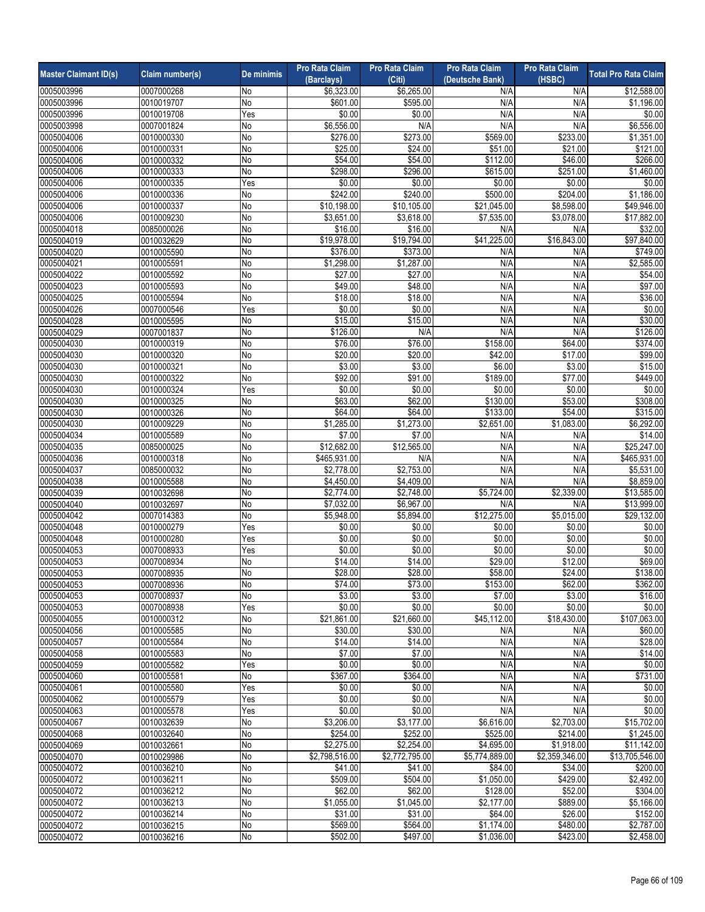| (Citi)<br>(HSBC)<br>(Barclays)<br>(Deutsche Bank)<br>0005003996<br>0007000268<br>No<br>\$6,323.00<br>\$6,265.00<br>N/A<br>\$12,588.00<br>N/A<br>\$595.00<br>0005003996<br>0010019707<br>No<br>\$601.00<br>N/A<br>N/A<br>\$1,196.00<br>\$0.00<br>N/A<br>\$0.00<br>0005003996<br>0010019708<br>\$0.00<br>N/A<br>Yes<br>\$6,556.00<br>\$6,556.00<br>0005003998<br>0007001824<br>N/A<br>N/A<br>N/A<br>No<br>\$273.00<br>No<br>\$276.00<br>\$569.00<br>\$233.00<br>\$1,351.00<br>0005004006<br>0010000330<br>\$25.00<br>\$24.00<br>\$21.00<br>\$121.00<br>0005004006<br>0010000331<br><b>No</b><br>\$51.00<br>\$54.00<br>\$266.00<br>0005004006<br>0010000332<br>No<br>\$54.00<br>\$112.00<br>\$46.00<br>\$298.00<br>\$296.00<br>\$251.00<br>0005004006<br>0010000333<br>No<br>\$615.00<br>\$1,460.00<br>\$0.00<br>\$0.00<br>\$0.00<br>\$0.00<br>0005004006<br>0010000335<br>\$0.00<br>Yes<br>\$242.00<br>\$240.00<br>\$500.00<br>\$204.00<br>\$1,186.00<br>0005004006<br>No<br>0010000336<br>\$10,198.00<br>\$10,105.00<br>\$21,045.00<br>\$8,598.00<br>\$49,946.00<br>0005004006<br>0010000337<br><b>No</b><br>\$3,651.00<br>\$3,618.00<br>\$3,078.00<br>\$17,882.00<br>0005004006<br>No<br>\$7,535.00<br>0010009230<br>0005004018<br><b>No</b><br>\$16.00<br>N/A<br>\$32.00<br>0085000026<br>\$16.00<br>N/A<br>\$19,794.00<br>\$41,225.00<br>\$97,840.00<br><b>No</b><br>\$19,978.00<br>\$16,843.00<br>0005004019<br>0010032629<br>\$376.00<br>\$373.00<br>\$749.00<br>0005004020<br>0010005590<br>No<br>N/A<br>N/A<br>0005004021<br>0010005591<br>No<br>$\overline{$1,298.00}$<br>\$1,287.00<br>N/A<br>\$2,585.00<br>N/A<br>\$27.00<br>N/A<br>0005004022<br>0010005592<br>No<br>\$27.00<br>N/A<br>\$54.00<br>0005004023<br>\$49.00<br>\$48.00<br>N/A<br>\$97.00<br>0010005593<br><b>No</b><br>N/A<br>\$18.00<br>N/A<br>\$36.00<br><b>No</b><br>\$18.00<br>N/A<br>0005004025<br>0010005594<br>\$0.00<br>\$0.00<br>0005004026<br>0007000546<br>\$0.00<br>N/A<br>N/A<br>Yes<br>\$15.00<br>\$30.00<br>\$15.00<br>N/A<br>N/A<br>0005004028<br>0010005595<br>No<br>N/A<br>N/A<br>\$126.00<br>0005004029<br>0007001837<br><b>No</b><br>\$126.00<br>N/A<br>\$76.00<br>0005004030<br>0010000319<br>No<br>\$76.00<br>\$158.00<br>\$64.00<br>\$374.00<br>0005004030<br>\$20.00<br>\$42.00<br>\$99.00<br>0010000320<br><b>No</b><br>\$20.00<br>\$17.00<br>\$3.00<br>\$3.00<br>\$6.00<br>\$15.00<br>0005004030<br>0010000321<br><b>No</b><br>\$3.00<br>\$91.00<br>\$189.00<br>\$77.00<br>\$449.00<br>No<br>\$92.00<br>0005004030<br>0010000322<br>\$0.00<br>\$0.00<br>\$0.00<br>\$0.00<br>0005004030<br>0010000324<br>Yes<br>\$0.00<br>\$62.00<br>\$130.00<br>\$308.00<br>0005004030<br>\$63.00<br>\$53.00<br>0010000325<br>No<br>0005004030<br>0010000326<br>\$64.00<br>\$133.00<br>\$54.00<br>\$315.00<br>No<br>\$64.00<br>\$6,292.00<br>0005004030<br>No<br>\$1,285.00<br>\$1,273.00<br>\$2,651.00<br>\$1,083.00<br>0010009229<br>\$7.00<br>\$7.00<br>0005004034<br>0010005589<br>N/A<br>\$14.00<br>No<br>N/A<br>\$12,565.00<br>\$12,682.00<br>N/A<br>\$25,247.00<br>0005004035<br>0085000025<br>No<br>N/A<br>\$465,931.00<br>0005004036<br>0010000318<br><b>No</b><br>\$465,931.00<br>N/A<br>N/A<br>N/A<br>\$2,778.00<br>\$2,753.00<br>N/A<br>\$5,531.00<br>0005004037<br>0085000032<br>No<br>N/A<br>\$8,859.00<br><b>No</b><br>\$4,450.00<br>\$4,409.00<br>N/A<br>N/A<br>0005004038<br>0010005588<br>\$5,724.00<br>\$2,339.00<br>\$13,585.00<br>0005004039<br>0010032698<br><b>No</b><br>\$2,774.00<br>\$2,748.00<br>N/A<br>\$7,032.00<br>\$6,967.00<br>N/A<br>\$13,999.00<br>0005004040<br>0010032697<br>No<br>\$12,275.00<br>\$5,015.00<br>\$29,132.00<br>0005004042<br><b>No</b><br>\$5,948.00<br>\$5,894.00<br>0007014383<br>\$0.00<br>\$0.00<br>\$0.00<br>\$0.00<br>0005004048<br>0010000279<br>Yes<br>\$0.00<br>\$0.00<br>\$0.00<br>\$0.00<br>\$0.00<br>0005004048<br>0010000280<br>\$0.00<br>Yes<br>\$0.00<br>\$0.00<br>\$0.00<br>\$0.00<br>\$0.00<br>0005004053<br>0007008933<br>Yes<br>0005004053<br>\$14.00<br>\$29.00<br>\$12.00<br>\$69.00<br>0007008934<br>No<br>\$14.00<br>\$28.00<br>\$58.00<br>\$24.00<br>\$138.00<br>0005004053<br>0007008935<br>\$28.00<br>No<br>\$74.00<br>\$73.00<br>\$153.00<br>\$62.00<br>0007008936<br>No<br>\$362.00<br>0005004053<br>0005004053<br>0007008937<br>No<br>\$3.00<br>\$3.00<br>\$3.00<br>\$16.00<br>\$7.00<br>\$0.00<br>\$0.00<br>\$0.00<br>\$0.00<br>\$0.00<br>0005004053<br>0007008938<br>Yes<br>\$107,063.00<br>0005004055<br>0010000312<br>No<br>\$21,861.00<br>\$21,660.00<br>\$45,112.00<br>\$18,430.00<br>0005004056<br>0010005585<br>No<br>\$30.00<br>\$30.00<br>N/A<br>\$60.00<br>N/A<br>\$14.00<br>0005004057<br>0010005584<br>No<br>\$14.00<br>N/A<br>N/A<br>\$28.00<br>0005004058<br>0010005583<br>No<br>\$7.00<br>\$7.00<br>N/A<br>\$14.00<br>N/A<br>\$0.00<br>N/A<br>\$0.00<br>0005004059<br>0010005582<br>Yes<br>\$0.00<br>N/A<br>\$367.00<br>\$364.00<br>N/A<br>\$731.00<br>0005004060<br>0010005581<br>No<br>N/A<br>\$0.00<br>\$0.00<br>N/A<br>\$0.00<br>0005004061<br>0010005580<br>Yes<br>N/A<br>\$0.00<br>0005004062<br>\$0.00<br>N/A<br>\$0.00<br>0010005579<br>N/A<br>Yes<br>N/A<br>\$0.00<br>\$0.00<br>\$0.00<br>N/A<br>0005004063<br>0010005578<br>Yes<br>0005004067<br>0010032639<br>No<br>\$3,206.00<br>\$3,177.00<br>\$6,616.00<br>\$2,703.00<br>\$15,702.00<br>0005004068<br>0010032640<br><b>No</b><br>\$254.00<br>\$252.00<br>\$525.00<br>\$1,245.00<br>\$214.00<br>\$2,275.00<br>0005004069<br>0010032661<br>No<br>\$2,254.00<br>\$4,695.00<br>\$1,918.00<br>\$11,142.00<br>\$2,772,795.00<br>\$13,705,546.00<br>0005004070<br>0010029986<br><b>No</b><br>\$2,798,516.00<br>\$5,774,889.00<br>\$2,359,346.00<br><b>No</b><br>\$41.00<br>\$84.00<br>\$34.00<br>\$200.00<br>0005004072<br>0010036210<br>\$41.00<br>\$1,050.00<br>\$429.00<br>0005004072<br>0010036211<br>No<br>\$509.00<br>\$504.00<br>\$2,492.00<br>\$62.00<br>No<br>\$62.00<br>\$128.00<br>\$52.00<br>\$304.00<br>0005004072<br>0010036212<br><b>No</b><br>\$1,045.00<br>\$2,177.00<br>\$889.00<br>\$5,166.00<br>0005004072<br>0010036213<br>\$1,055.00<br><b>No</b><br>\$31.00<br>\$31.00<br>\$64.00<br>\$26.00<br>\$152.00<br>0005004072<br>0010036214<br>0005004072<br>0010036215<br>No<br>\$569.00<br>\$564.00<br>\$1,174.00<br>\$480.00<br>\$2,787.00<br>No<br>\$502.00<br>\$497.00<br>\$423.00<br>0005004072<br>0010036216<br>\$1,036.00<br>\$2,458.00 | <b>Master Claimant ID(s)</b> | Claim number(s) | De minimis | Pro Rata Claim | <b>Pro Rata Claim</b> | Pro Rata Claim | <b>Pro Rata Claim</b> | Total Pro Rata Claim |
|---------------------------------------------------------------------------------------------------------------------------------------------------------------------------------------------------------------------------------------------------------------------------------------------------------------------------------------------------------------------------------------------------------------------------------------------------------------------------------------------------------------------------------------------------------------------------------------------------------------------------------------------------------------------------------------------------------------------------------------------------------------------------------------------------------------------------------------------------------------------------------------------------------------------------------------------------------------------------------------------------------------------------------------------------------------------------------------------------------------------------------------------------------------------------------------------------------------------------------------------------------------------------------------------------------------------------------------------------------------------------------------------------------------------------------------------------------------------------------------------------------------------------------------------------------------------------------------------------------------------------------------------------------------------------------------------------------------------------------------------------------------------------------------------------------------------------------------------------------------------------------------------------------------------------------------------------------------------------------------------------------------------------------------------------------------------------------------------------------------------------------------------------------------------------------------------------------------------------------------------------------------------------------------------------------------------------------------------------------------------------------------------------------------------------------------------------------------------------------------------------------------------------------------------------------------------------------------------------------------------------------------------------------------------------------------------------------------------------------------------------------------------------------------------------------------------------------------------------------------------------------------------------------------------------------------------------------------------------------------------------------------------------------------------------------------------------------------------------------------------------------------------------------------------------------------------------------------------------------------------------------------------------------------------------------------------------------------------------------------------------------------------------------------------------------------------------------------------------------------------------------------------------------------------------------------------------------------------------------------------------------------------------------------------------------------------------------------------------------------------------------------------------------------------------------------------------------------------------------------------------------------------------------------------------------------------------------------------------------------------------------------------------------------------------------------------------------------------------------------------------------------------------------------------------------------------------------------------------------------------------------------------------------------------------------------------------------------------------------------------------------------------------------------------------------------------------------------------------------------------------------------------------------------------------------------------------------------------------------------------------------------------------------------------------------------------------------------------------------------------------------------------------------------------------------------------------------------------------------------------------------------------------------------------------------------------------------------------------------------------------------------------------------------------------------------------------------------------------------------------------------------------------------------------------------------------------------------------------------------------------------------------------------------------------------------------------------------------------------------------------------------------------------------------------------------------------------------------------------------------------------------------------------------------------------------------------------------------------------------------------------------------------------------------------------------------------------------------------------------------------------------------------------------------------------------------------------------------------------------------------------------------------------------------------------------------------------------------------------------------------------------------------------------------------------------------------------------------------------------------------------------------------------------------------------------------------------------------------------------------------------------------------------------------------------------------------------------------------------------------------------------------------------|------------------------------|-----------------|------------|----------------|-----------------------|----------------|-----------------------|----------------------|
|                                                                                                                                                                                                                                                                                                                                                                                                                                                                                                                                                                                                                                                                                                                                                                                                                                                                                                                                                                                                                                                                                                                                                                                                                                                                                                                                                                                                                                                                                                                                                                                                                                                                                                                                                                                                                                                                                                                                                                                                                                                                                                                                                                                                                                                                                                                                                                                                                                                                                                                                                                                                                                                                                                                                                                                                                                                                                                                                                                                                                                                                                                                                                                                                                                                                                                                                                                                                                                                                                                                                                                                                                                                                                                                                                                                                                                                                                                                                                                                                                                                                                                                                                                                                                                                                                                                                                                                                                                                                                                                                                                                                                                                                                                                                                                                                                                                                                                                                                                                                                                                                                                                                                                                                                                                                                                                                                                                                                                                                                                                                                                                                                                                                                                                                                                                                                                                                                                                                                                                                                                                                                                                                                                                                                                                                                                                                                                                                         |                              |                 |            |                |                       |                |                       |                      |
|                                                                                                                                                                                                                                                                                                                                                                                                                                                                                                                                                                                                                                                                                                                                                                                                                                                                                                                                                                                                                                                                                                                                                                                                                                                                                                                                                                                                                                                                                                                                                                                                                                                                                                                                                                                                                                                                                                                                                                                                                                                                                                                                                                                                                                                                                                                                                                                                                                                                                                                                                                                                                                                                                                                                                                                                                                                                                                                                                                                                                                                                                                                                                                                                                                                                                                                                                                                                                                                                                                                                                                                                                                                                                                                                                                                                                                                                                                                                                                                                                                                                                                                                                                                                                                                                                                                                                                                                                                                                                                                                                                                                                                                                                                                                                                                                                                                                                                                                                                                                                                                                                                                                                                                                                                                                                                                                                                                                                                                                                                                                                                                                                                                                                                                                                                                                                                                                                                                                                                                                                                                                                                                                                                                                                                                                                                                                                                                                         |                              |                 |            |                |                       |                |                       |                      |
|                                                                                                                                                                                                                                                                                                                                                                                                                                                                                                                                                                                                                                                                                                                                                                                                                                                                                                                                                                                                                                                                                                                                                                                                                                                                                                                                                                                                                                                                                                                                                                                                                                                                                                                                                                                                                                                                                                                                                                                                                                                                                                                                                                                                                                                                                                                                                                                                                                                                                                                                                                                                                                                                                                                                                                                                                                                                                                                                                                                                                                                                                                                                                                                                                                                                                                                                                                                                                                                                                                                                                                                                                                                                                                                                                                                                                                                                                                                                                                                                                                                                                                                                                                                                                                                                                                                                                                                                                                                                                                                                                                                                                                                                                                                                                                                                                                                                                                                                                                                                                                                                                                                                                                                                                                                                                                                                                                                                                                                                                                                                                                                                                                                                                                                                                                                                                                                                                                                                                                                                                                                                                                                                                                                                                                                                                                                                                                                                         |                              |                 |            |                |                       |                |                       |                      |
|                                                                                                                                                                                                                                                                                                                                                                                                                                                                                                                                                                                                                                                                                                                                                                                                                                                                                                                                                                                                                                                                                                                                                                                                                                                                                                                                                                                                                                                                                                                                                                                                                                                                                                                                                                                                                                                                                                                                                                                                                                                                                                                                                                                                                                                                                                                                                                                                                                                                                                                                                                                                                                                                                                                                                                                                                                                                                                                                                                                                                                                                                                                                                                                                                                                                                                                                                                                                                                                                                                                                                                                                                                                                                                                                                                                                                                                                                                                                                                                                                                                                                                                                                                                                                                                                                                                                                                                                                                                                                                                                                                                                                                                                                                                                                                                                                                                                                                                                                                                                                                                                                                                                                                                                                                                                                                                                                                                                                                                                                                                                                                                                                                                                                                                                                                                                                                                                                                                                                                                                                                                                                                                                                                                                                                                                                                                                                                                                         |                              |                 |            |                |                       |                |                       |                      |
|                                                                                                                                                                                                                                                                                                                                                                                                                                                                                                                                                                                                                                                                                                                                                                                                                                                                                                                                                                                                                                                                                                                                                                                                                                                                                                                                                                                                                                                                                                                                                                                                                                                                                                                                                                                                                                                                                                                                                                                                                                                                                                                                                                                                                                                                                                                                                                                                                                                                                                                                                                                                                                                                                                                                                                                                                                                                                                                                                                                                                                                                                                                                                                                                                                                                                                                                                                                                                                                                                                                                                                                                                                                                                                                                                                                                                                                                                                                                                                                                                                                                                                                                                                                                                                                                                                                                                                                                                                                                                                                                                                                                                                                                                                                                                                                                                                                                                                                                                                                                                                                                                                                                                                                                                                                                                                                                                                                                                                                                                                                                                                                                                                                                                                                                                                                                                                                                                                                                                                                                                                                                                                                                                                                                                                                                                                                                                                                                         |                              |                 |            |                |                       |                |                       |                      |
|                                                                                                                                                                                                                                                                                                                                                                                                                                                                                                                                                                                                                                                                                                                                                                                                                                                                                                                                                                                                                                                                                                                                                                                                                                                                                                                                                                                                                                                                                                                                                                                                                                                                                                                                                                                                                                                                                                                                                                                                                                                                                                                                                                                                                                                                                                                                                                                                                                                                                                                                                                                                                                                                                                                                                                                                                                                                                                                                                                                                                                                                                                                                                                                                                                                                                                                                                                                                                                                                                                                                                                                                                                                                                                                                                                                                                                                                                                                                                                                                                                                                                                                                                                                                                                                                                                                                                                                                                                                                                                                                                                                                                                                                                                                                                                                                                                                                                                                                                                                                                                                                                                                                                                                                                                                                                                                                                                                                                                                                                                                                                                                                                                                                                                                                                                                                                                                                                                                                                                                                                                                                                                                                                                                                                                                                                                                                                                                                         |                              |                 |            |                |                       |                |                       |                      |
|                                                                                                                                                                                                                                                                                                                                                                                                                                                                                                                                                                                                                                                                                                                                                                                                                                                                                                                                                                                                                                                                                                                                                                                                                                                                                                                                                                                                                                                                                                                                                                                                                                                                                                                                                                                                                                                                                                                                                                                                                                                                                                                                                                                                                                                                                                                                                                                                                                                                                                                                                                                                                                                                                                                                                                                                                                                                                                                                                                                                                                                                                                                                                                                                                                                                                                                                                                                                                                                                                                                                                                                                                                                                                                                                                                                                                                                                                                                                                                                                                                                                                                                                                                                                                                                                                                                                                                                                                                                                                                                                                                                                                                                                                                                                                                                                                                                                                                                                                                                                                                                                                                                                                                                                                                                                                                                                                                                                                                                                                                                                                                                                                                                                                                                                                                                                                                                                                                                                                                                                                                                                                                                                                                                                                                                                                                                                                                                                         |                              |                 |            |                |                       |                |                       |                      |
|                                                                                                                                                                                                                                                                                                                                                                                                                                                                                                                                                                                                                                                                                                                                                                                                                                                                                                                                                                                                                                                                                                                                                                                                                                                                                                                                                                                                                                                                                                                                                                                                                                                                                                                                                                                                                                                                                                                                                                                                                                                                                                                                                                                                                                                                                                                                                                                                                                                                                                                                                                                                                                                                                                                                                                                                                                                                                                                                                                                                                                                                                                                                                                                                                                                                                                                                                                                                                                                                                                                                                                                                                                                                                                                                                                                                                                                                                                                                                                                                                                                                                                                                                                                                                                                                                                                                                                                                                                                                                                                                                                                                                                                                                                                                                                                                                                                                                                                                                                                                                                                                                                                                                                                                                                                                                                                                                                                                                                                                                                                                                                                                                                                                                                                                                                                                                                                                                                                                                                                                                                                                                                                                                                                                                                                                                                                                                                                                         |                              |                 |            |                |                       |                |                       |                      |
|                                                                                                                                                                                                                                                                                                                                                                                                                                                                                                                                                                                                                                                                                                                                                                                                                                                                                                                                                                                                                                                                                                                                                                                                                                                                                                                                                                                                                                                                                                                                                                                                                                                                                                                                                                                                                                                                                                                                                                                                                                                                                                                                                                                                                                                                                                                                                                                                                                                                                                                                                                                                                                                                                                                                                                                                                                                                                                                                                                                                                                                                                                                                                                                                                                                                                                                                                                                                                                                                                                                                                                                                                                                                                                                                                                                                                                                                                                                                                                                                                                                                                                                                                                                                                                                                                                                                                                                                                                                                                                                                                                                                                                                                                                                                                                                                                                                                                                                                                                                                                                                                                                                                                                                                                                                                                                                                                                                                                                                                                                                                                                                                                                                                                                                                                                                                                                                                                                                                                                                                                                                                                                                                                                                                                                                                                                                                                                                                         |                              |                 |            |                |                       |                |                       |                      |
|                                                                                                                                                                                                                                                                                                                                                                                                                                                                                                                                                                                                                                                                                                                                                                                                                                                                                                                                                                                                                                                                                                                                                                                                                                                                                                                                                                                                                                                                                                                                                                                                                                                                                                                                                                                                                                                                                                                                                                                                                                                                                                                                                                                                                                                                                                                                                                                                                                                                                                                                                                                                                                                                                                                                                                                                                                                                                                                                                                                                                                                                                                                                                                                                                                                                                                                                                                                                                                                                                                                                                                                                                                                                                                                                                                                                                                                                                                                                                                                                                                                                                                                                                                                                                                                                                                                                                                                                                                                                                                                                                                                                                                                                                                                                                                                                                                                                                                                                                                                                                                                                                                                                                                                                                                                                                                                                                                                                                                                                                                                                                                                                                                                                                                                                                                                                                                                                                                                                                                                                                                                                                                                                                                                                                                                                                                                                                                                                         |                              |                 |            |                |                       |                |                       |                      |
|                                                                                                                                                                                                                                                                                                                                                                                                                                                                                                                                                                                                                                                                                                                                                                                                                                                                                                                                                                                                                                                                                                                                                                                                                                                                                                                                                                                                                                                                                                                                                                                                                                                                                                                                                                                                                                                                                                                                                                                                                                                                                                                                                                                                                                                                                                                                                                                                                                                                                                                                                                                                                                                                                                                                                                                                                                                                                                                                                                                                                                                                                                                                                                                                                                                                                                                                                                                                                                                                                                                                                                                                                                                                                                                                                                                                                                                                                                                                                                                                                                                                                                                                                                                                                                                                                                                                                                                                                                                                                                                                                                                                                                                                                                                                                                                                                                                                                                                                                                                                                                                                                                                                                                                                                                                                                                                                                                                                                                                                                                                                                                                                                                                                                                                                                                                                                                                                                                                                                                                                                                                                                                                                                                                                                                                                                                                                                                                                         |                              |                 |            |                |                       |                |                       |                      |
|                                                                                                                                                                                                                                                                                                                                                                                                                                                                                                                                                                                                                                                                                                                                                                                                                                                                                                                                                                                                                                                                                                                                                                                                                                                                                                                                                                                                                                                                                                                                                                                                                                                                                                                                                                                                                                                                                                                                                                                                                                                                                                                                                                                                                                                                                                                                                                                                                                                                                                                                                                                                                                                                                                                                                                                                                                                                                                                                                                                                                                                                                                                                                                                                                                                                                                                                                                                                                                                                                                                                                                                                                                                                                                                                                                                                                                                                                                                                                                                                                                                                                                                                                                                                                                                                                                                                                                                                                                                                                                                                                                                                                                                                                                                                                                                                                                                                                                                                                                                                                                                                                                                                                                                                                                                                                                                                                                                                                                                                                                                                                                                                                                                                                                                                                                                                                                                                                                                                                                                                                                                                                                                                                                                                                                                                                                                                                                                                         |                              |                 |            |                |                       |                |                       |                      |
|                                                                                                                                                                                                                                                                                                                                                                                                                                                                                                                                                                                                                                                                                                                                                                                                                                                                                                                                                                                                                                                                                                                                                                                                                                                                                                                                                                                                                                                                                                                                                                                                                                                                                                                                                                                                                                                                                                                                                                                                                                                                                                                                                                                                                                                                                                                                                                                                                                                                                                                                                                                                                                                                                                                                                                                                                                                                                                                                                                                                                                                                                                                                                                                                                                                                                                                                                                                                                                                                                                                                                                                                                                                                                                                                                                                                                                                                                                                                                                                                                                                                                                                                                                                                                                                                                                                                                                                                                                                                                                                                                                                                                                                                                                                                                                                                                                                                                                                                                                                                                                                                                                                                                                                                                                                                                                                                                                                                                                                                                                                                                                                                                                                                                                                                                                                                                                                                                                                                                                                                                                                                                                                                                                                                                                                                                                                                                                                                         |                              |                 |            |                |                       |                |                       |                      |
|                                                                                                                                                                                                                                                                                                                                                                                                                                                                                                                                                                                                                                                                                                                                                                                                                                                                                                                                                                                                                                                                                                                                                                                                                                                                                                                                                                                                                                                                                                                                                                                                                                                                                                                                                                                                                                                                                                                                                                                                                                                                                                                                                                                                                                                                                                                                                                                                                                                                                                                                                                                                                                                                                                                                                                                                                                                                                                                                                                                                                                                                                                                                                                                                                                                                                                                                                                                                                                                                                                                                                                                                                                                                                                                                                                                                                                                                                                                                                                                                                                                                                                                                                                                                                                                                                                                                                                                                                                                                                                                                                                                                                                                                                                                                                                                                                                                                                                                                                                                                                                                                                                                                                                                                                                                                                                                                                                                                                                                                                                                                                                                                                                                                                                                                                                                                                                                                                                                                                                                                                                                                                                                                                                                                                                                                                                                                                                                                         |                              |                 |            |                |                       |                |                       |                      |
|                                                                                                                                                                                                                                                                                                                                                                                                                                                                                                                                                                                                                                                                                                                                                                                                                                                                                                                                                                                                                                                                                                                                                                                                                                                                                                                                                                                                                                                                                                                                                                                                                                                                                                                                                                                                                                                                                                                                                                                                                                                                                                                                                                                                                                                                                                                                                                                                                                                                                                                                                                                                                                                                                                                                                                                                                                                                                                                                                                                                                                                                                                                                                                                                                                                                                                                                                                                                                                                                                                                                                                                                                                                                                                                                                                                                                                                                                                                                                                                                                                                                                                                                                                                                                                                                                                                                                                                                                                                                                                                                                                                                                                                                                                                                                                                                                                                                                                                                                                                                                                                                                                                                                                                                                                                                                                                                                                                                                                                                                                                                                                                                                                                                                                                                                                                                                                                                                                                                                                                                                                                                                                                                                                                                                                                                                                                                                                                                         |                              |                 |            |                |                       |                |                       |                      |
|                                                                                                                                                                                                                                                                                                                                                                                                                                                                                                                                                                                                                                                                                                                                                                                                                                                                                                                                                                                                                                                                                                                                                                                                                                                                                                                                                                                                                                                                                                                                                                                                                                                                                                                                                                                                                                                                                                                                                                                                                                                                                                                                                                                                                                                                                                                                                                                                                                                                                                                                                                                                                                                                                                                                                                                                                                                                                                                                                                                                                                                                                                                                                                                                                                                                                                                                                                                                                                                                                                                                                                                                                                                                                                                                                                                                                                                                                                                                                                                                                                                                                                                                                                                                                                                                                                                                                                                                                                                                                                                                                                                                                                                                                                                                                                                                                                                                                                                                                                                                                                                                                                                                                                                                                                                                                                                                                                                                                                                                                                                                                                                                                                                                                                                                                                                                                                                                                                                                                                                                                                                                                                                                                                                                                                                                                                                                                                                                         |                              |                 |            |                |                       |                |                       |                      |
|                                                                                                                                                                                                                                                                                                                                                                                                                                                                                                                                                                                                                                                                                                                                                                                                                                                                                                                                                                                                                                                                                                                                                                                                                                                                                                                                                                                                                                                                                                                                                                                                                                                                                                                                                                                                                                                                                                                                                                                                                                                                                                                                                                                                                                                                                                                                                                                                                                                                                                                                                                                                                                                                                                                                                                                                                                                                                                                                                                                                                                                                                                                                                                                                                                                                                                                                                                                                                                                                                                                                                                                                                                                                                                                                                                                                                                                                                                                                                                                                                                                                                                                                                                                                                                                                                                                                                                                                                                                                                                                                                                                                                                                                                                                                                                                                                                                                                                                                                                                                                                                                                                                                                                                                                                                                                                                                                                                                                                                                                                                                                                                                                                                                                                                                                                                                                                                                                                                                                                                                                                                                                                                                                                                                                                                                                                                                                                                                         |                              |                 |            |                |                       |                |                       |                      |
|                                                                                                                                                                                                                                                                                                                                                                                                                                                                                                                                                                                                                                                                                                                                                                                                                                                                                                                                                                                                                                                                                                                                                                                                                                                                                                                                                                                                                                                                                                                                                                                                                                                                                                                                                                                                                                                                                                                                                                                                                                                                                                                                                                                                                                                                                                                                                                                                                                                                                                                                                                                                                                                                                                                                                                                                                                                                                                                                                                                                                                                                                                                                                                                                                                                                                                                                                                                                                                                                                                                                                                                                                                                                                                                                                                                                                                                                                                                                                                                                                                                                                                                                                                                                                                                                                                                                                                                                                                                                                                                                                                                                                                                                                                                                                                                                                                                                                                                                                                                                                                                                                                                                                                                                                                                                                                                                                                                                                                                                                                                                                                                                                                                                                                                                                                                                                                                                                                                                                                                                                                                                                                                                                                                                                                                                                                                                                                                                         |                              |                 |            |                |                       |                |                       |                      |
|                                                                                                                                                                                                                                                                                                                                                                                                                                                                                                                                                                                                                                                                                                                                                                                                                                                                                                                                                                                                                                                                                                                                                                                                                                                                                                                                                                                                                                                                                                                                                                                                                                                                                                                                                                                                                                                                                                                                                                                                                                                                                                                                                                                                                                                                                                                                                                                                                                                                                                                                                                                                                                                                                                                                                                                                                                                                                                                                                                                                                                                                                                                                                                                                                                                                                                                                                                                                                                                                                                                                                                                                                                                                                                                                                                                                                                                                                                                                                                                                                                                                                                                                                                                                                                                                                                                                                                                                                                                                                                                                                                                                                                                                                                                                                                                                                                                                                                                                                                                                                                                                                                                                                                                                                                                                                                                                                                                                                                                                                                                                                                                                                                                                                                                                                                                                                                                                                                                                                                                                                                                                                                                                                                                                                                                                                                                                                                                                         |                              |                 |            |                |                       |                |                       |                      |
|                                                                                                                                                                                                                                                                                                                                                                                                                                                                                                                                                                                                                                                                                                                                                                                                                                                                                                                                                                                                                                                                                                                                                                                                                                                                                                                                                                                                                                                                                                                                                                                                                                                                                                                                                                                                                                                                                                                                                                                                                                                                                                                                                                                                                                                                                                                                                                                                                                                                                                                                                                                                                                                                                                                                                                                                                                                                                                                                                                                                                                                                                                                                                                                                                                                                                                                                                                                                                                                                                                                                                                                                                                                                                                                                                                                                                                                                                                                                                                                                                                                                                                                                                                                                                                                                                                                                                                                                                                                                                                                                                                                                                                                                                                                                                                                                                                                                                                                                                                                                                                                                                                                                                                                                                                                                                                                                                                                                                                                                                                                                                                                                                                                                                                                                                                                                                                                                                                                                                                                                                                                                                                                                                                                                                                                                                                                                                                                                         |                              |                 |            |                |                       |                |                       |                      |
|                                                                                                                                                                                                                                                                                                                                                                                                                                                                                                                                                                                                                                                                                                                                                                                                                                                                                                                                                                                                                                                                                                                                                                                                                                                                                                                                                                                                                                                                                                                                                                                                                                                                                                                                                                                                                                                                                                                                                                                                                                                                                                                                                                                                                                                                                                                                                                                                                                                                                                                                                                                                                                                                                                                                                                                                                                                                                                                                                                                                                                                                                                                                                                                                                                                                                                                                                                                                                                                                                                                                                                                                                                                                                                                                                                                                                                                                                                                                                                                                                                                                                                                                                                                                                                                                                                                                                                                                                                                                                                                                                                                                                                                                                                                                                                                                                                                                                                                                                                                                                                                                                                                                                                                                                                                                                                                                                                                                                                                                                                                                                                                                                                                                                                                                                                                                                                                                                                                                                                                                                                                                                                                                                                                                                                                                                                                                                                                                         |                              |                 |            |                |                       |                |                       |                      |
|                                                                                                                                                                                                                                                                                                                                                                                                                                                                                                                                                                                                                                                                                                                                                                                                                                                                                                                                                                                                                                                                                                                                                                                                                                                                                                                                                                                                                                                                                                                                                                                                                                                                                                                                                                                                                                                                                                                                                                                                                                                                                                                                                                                                                                                                                                                                                                                                                                                                                                                                                                                                                                                                                                                                                                                                                                                                                                                                                                                                                                                                                                                                                                                                                                                                                                                                                                                                                                                                                                                                                                                                                                                                                                                                                                                                                                                                                                                                                                                                                                                                                                                                                                                                                                                                                                                                                                                                                                                                                                                                                                                                                                                                                                                                                                                                                                                                                                                                                                                                                                                                                                                                                                                                                                                                                                                                                                                                                                                                                                                                                                                                                                                                                                                                                                                                                                                                                                                                                                                                                                                                                                                                                                                                                                                                                                                                                                                                         |                              |                 |            |                |                       |                |                       |                      |
|                                                                                                                                                                                                                                                                                                                                                                                                                                                                                                                                                                                                                                                                                                                                                                                                                                                                                                                                                                                                                                                                                                                                                                                                                                                                                                                                                                                                                                                                                                                                                                                                                                                                                                                                                                                                                                                                                                                                                                                                                                                                                                                                                                                                                                                                                                                                                                                                                                                                                                                                                                                                                                                                                                                                                                                                                                                                                                                                                                                                                                                                                                                                                                                                                                                                                                                                                                                                                                                                                                                                                                                                                                                                                                                                                                                                                                                                                                                                                                                                                                                                                                                                                                                                                                                                                                                                                                                                                                                                                                                                                                                                                                                                                                                                                                                                                                                                                                                                                                                                                                                                                                                                                                                                                                                                                                                                                                                                                                                                                                                                                                                                                                                                                                                                                                                                                                                                                                                                                                                                                                                                                                                                                                                                                                                                                                                                                                                                         |                              |                 |            |                |                       |                |                       |                      |
|                                                                                                                                                                                                                                                                                                                                                                                                                                                                                                                                                                                                                                                                                                                                                                                                                                                                                                                                                                                                                                                                                                                                                                                                                                                                                                                                                                                                                                                                                                                                                                                                                                                                                                                                                                                                                                                                                                                                                                                                                                                                                                                                                                                                                                                                                                                                                                                                                                                                                                                                                                                                                                                                                                                                                                                                                                                                                                                                                                                                                                                                                                                                                                                                                                                                                                                                                                                                                                                                                                                                                                                                                                                                                                                                                                                                                                                                                                                                                                                                                                                                                                                                                                                                                                                                                                                                                                                                                                                                                                                                                                                                                                                                                                                                                                                                                                                                                                                                                                                                                                                                                                                                                                                                                                                                                                                                                                                                                                                                                                                                                                                                                                                                                                                                                                                                                                                                                                                                                                                                                                                                                                                                                                                                                                                                                                                                                                                                         |                              |                 |            |                |                       |                |                       |                      |
|                                                                                                                                                                                                                                                                                                                                                                                                                                                                                                                                                                                                                                                                                                                                                                                                                                                                                                                                                                                                                                                                                                                                                                                                                                                                                                                                                                                                                                                                                                                                                                                                                                                                                                                                                                                                                                                                                                                                                                                                                                                                                                                                                                                                                                                                                                                                                                                                                                                                                                                                                                                                                                                                                                                                                                                                                                                                                                                                                                                                                                                                                                                                                                                                                                                                                                                                                                                                                                                                                                                                                                                                                                                                                                                                                                                                                                                                                                                                                                                                                                                                                                                                                                                                                                                                                                                                                                                                                                                                                                                                                                                                                                                                                                                                                                                                                                                                                                                                                                                                                                                                                                                                                                                                                                                                                                                                                                                                                                                                                                                                                                                                                                                                                                                                                                                                                                                                                                                                                                                                                                                                                                                                                                                                                                                                                                                                                                                                         |                              |                 |            |                |                       |                |                       |                      |
|                                                                                                                                                                                                                                                                                                                                                                                                                                                                                                                                                                                                                                                                                                                                                                                                                                                                                                                                                                                                                                                                                                                                                                                                                                                                                                                                                                                                                                                                                                                                                                                                                                                                                                                                                                                                                                                                                                                                                                                                                                                                                                                                                                                                                                                                                                                                                                                                                                                                                                                                                                                                                                                                                                                                                                                                                                                                                                                                                                                                                                                                                                                                                                                                                                                                                                                                                                                                                                                                                                                                                                                                                                                                                                                                                                                                                                                                                                                                                                                                                                                                                                                                                                                                                                                                                                                                                                                                                                                                                                                                                                                                                                                                                                                                                                                                                                                                                                                                                                                                                                                                                                                                                                                                                                                                                                                                                                                                                                                                                                                                                                                                                                                                                                                                                                                                                                                                                                                                                                                                                                                                                                                                                                                                                                                                                                                                                                                                         |                              |                 |            |                |                       |                |                       |                      |
|                                                                                                                                                                                                                                                                                                                                                                                                                                                                                                                                                                                                                                                                                                                                                                                                                                                                                                                                                                                                                                                                                                                                                                                                                                                                                                                                                                                                                                                                                                                                                                                                                                                                                                                                                                                                                                                                                                                                                                                                                                                                                                                                                                                                                                                                                                                                                                                                                                                                                                                                                                                                                                                                                                                                                                                                                                                                                                                                                                                                                                                                                                                                                                                                                                                                                                                                                                                                                                                                                                                                                                                                                                                                                                                                                                                                                                                                                                                                                                                                                                                                                                                                                                                                                                                                                                                                                                                                                                                                                                                                                                                                                                                                                                                                                                                                                                                                                                                                                                                                                                                                                                                                                                                                                                                                                                                                                                                                                                                                                                                                                                                                                                                                                                                                                                                                                                                                                                                                                                                                                                                                                                                                                                                                                                                                                                                                                                                                         |                              |                 |            |                |                       |                |                       |                      |
|                                                                                                                                                                                                                                                                                                                                                                                                                                                                                                                                                                                                                                                                                                                                                                                                                                                                                                                                                                                                                                                                                                                                                                                                                                                                                                                                                                                                                                                                                                                                                                                                                                                                                                                                                                                                                                                                                                                                                                                                                                                                                                                                                                                                                                                                                                                                                                                                                                                                                                                                                                                                                                                                                                                                                                                                                                                                                                                                                                                                                                                                                                                                                                                                                                                                                                                                                                                                                                                                                                                                                                                                                                                                                                                                                                                                                                                                                                                                                                                                                                                                                                                                                                                                                                                                                                                                                                                                                                                                                                                                                                                                                                                                                                                                                                                                                                                                                                                                                                                                                                                                                                                                                                                                                                                                                                                                                                                                                                                                                                                                                                                                                                                                                                                                                                                                                                                                                                                                                                                                                                                                                                                                                                                                                                                                                                                                                                                                         |                              |                 |            |                |                       |                |                       |                      |
|                                                                                                                                                                                                                                                                                                                                                                                                                                                                                                                                                                                                                                                                                                                                                                                                                                                                                                                                                                                                                                                                                                                                                                                                                                                                                                                                                                                                                                                                                                                                                                                                                                                                                                                                                                                                                                                                                                                                                                                                                                                                                                                                                                                                                                                                                                                                                                                                                                                                                                                                                                                                                                                                                                                                                                                                                                                                                                                                                                                                                                                                                                                                                                                                                                                                                                                                                                                                                                                                                                                                                                                                                                                                                                                                                                                                                                                                                                                                                                                                                                                                                                                                                                                                                                                                                                                                                                                                                                                                                                                                                                                                                                                                                                                                                                                                                                                                                                                                                                                                                                                                                                                                                                                                                                                                                                                                                                                                                                                                                                                                                                                                                                                                                                                                                                                                                                                                                                                                                                                                                                                                                                                                                                                                                                                                                                                                                                                                         |                              |                 |            |                |                       |                |                       |                      |
|                                                                                                                                                                                                                                                                                                                                                                                                                                                                                                                                                                                                                                                                                                                                                                                                                                                                                                                                                                                                                                                                                                                                                                                                                                                                                                                                                                                                                                                                                                                                                                                                                                                                                                                                                                                                                                                                                                                                                                                                                                                                                                                                                                                                                                                                                                                                                                                                                                                                                                                                                                                                                                                                                                                                                                                                                                                                                                                                                                                                                                                                                                                                                                                                                                                                                                                                                                                                                                                                                                                                                                                                                                                                                                                                                                                                                                                                                                                                                                                                                                                                                                                                                                                                                                                                                                                                                                                                                                                                                                                                                                                                                                                                                                                                                                                                                                                                                                                                                                                                                                                                                                                                                                                                                                                                                                                                                                                                                                                                                                                                                                                                                                                                                                                                                                                                                                                                                                                                                                                                                                                                                                                                                                                                                                                                                                                                                                                                         |                              |                 |            |                |                       |                |                       |                      |
|                                                                                                                                                                                                                                                                                                                                                                                                                                                                                                                                                                                                                                                                                                                                                                                                                                                                                                                                                                                                                                                                                                                                                                                                                                                                                                                                                                                                                                                                                                                                                                                                                                                                                                                                                                                                                                                                                                                                                                                                                                                                                                                                                                                                                                                                                                                                                                                                                                                                                                                                                                                                                                                                                                                                                                                                                                                                                                                                                                                                                                                                                                                                                                                                                                                                                                                                                                                                                                                                                                                                                                                                                                                                                                                                                                                                                                                                                                                                                                                                                                                                                                                                                                                                                                                                                                                                                                                                                                                                                                                                                                                                                                                                                                                                                                                                                                                                                                                                                                                                                                                                                                                                                                                                                                                                                                                                                                                                                                                                                                                                                                                                                                                                                                                                                                                                                                                                                                                                                                                                                                                                                                                                                                                                                                                                                                                                                                                                         |                              |                 |            |                |                       |                |                       |                      |
|                                                                                                                                                                                                                                                                                                                                                                                                                                                                                                                                                                                                                                                                                                                                                                                                                                                                                                                                                                                                                                                                                                                                                                                                                                                                                                                                                                                                                                                                                                                                                                                                                                                                                                                                                                                                                                                                                                                                                                                                                                                                                                                                                                                                                                                                                                                                                                                                                                                                                                                                                                                                                                                                                                                                                                                                                                                                                                                                                                                                                                                                                                                                                                                                                                                                                                                                                                                                                                                                                                                                                                                                                                                                                                                                                                                                                                                                                                                                                                                                                                                                                                                                                                                                                                                                                                                                                                                                                                                                                                                                                                                                                                                                                                                                                                                                                                                                                                                                                                                                                                                                                                                                                                                                                                                                                                                                                                                                                                                                                                                                                                                                                                                                                                                                                                                                                                                                                                                                                                                                                                                                                                                                                                                                                                                                                                                                                                                                         |                              |                 |            |                |                       |                |                       |                      |
|                                                                                                                                                                                                                                                                                                                                                                                                                                                                                                                                                                                                                                                                                                                                                                                                                                                                                                                                                                                                                                                                                                                                                                                                                                                                                                                                                                                                                                                                                                                                                                                                                                                                                                                                                                                                                                                                                                                                                                                                                                                                                                                                                                                                                                                                                                                                                                                                                                                                                                                                                                                                                                                                                                                                                                                                                                                                                                                                                                                                                                                                                                                                                                                                                                                                                                                                                                                                                                                                                                                                                                                                                                                                                                                                                                                                                                                                                                                                                                                                                                                                                                                                                                                                                                                                                                                                                                                                                                                                                                                                                                                                                                                                                                                                                                                                                                                                                                                                                                                                                                                                                                                                                                                                                                                                                                                                                                                                                                                                                                                                                                                                                                                                                                                                                                                                                                                                                                                                                                                                                                                                                                                                                                                                                                                                                                                                                                                                         |                              |                 |            |                |                       |                |                       |                      |
|                                                                                                                                                                                                                                                                                                                                                                                                                                                                                                                                                                                                                                                                                                                                                                                                                                                                                                                                                                                                                                                                                                                                                                                                                                                                                                                                                                                                                                                                                                                                                                                                                                                                                                                                                                                                                                                                                                                                                                                                                                                                                                                                                                                                                                                                                                                                                                                                                                                                                                                                                                                                                                                                                                                                                                                                                                                                                                                                                                                                                                                                                                                                                                                                                                                                                                                                                                                                                                                                                                                                                                                                                                                                                                                                                                                                                                                                                                                                                                                                                                                                                                                                                                                                                                                                                                                                                                                                                                                                                                                                                                                                                                                                                                                                                                                                                                                                                                                                                                                                                                                                                                                                                                                                                                                                                                                                                                                                                                                                                                                                                                                                                                                                                                                                                                                                                                                                                                                                                                                                                                                                                                                                                                                                                                                                                                                                                                                                         |                              |                 |            |                |                       |                |                       |                      |
|                                                                                                                                                                                                                                                                                                                                                                                                                                                                                                                                                                                                                                                                                                                                                                                                                                                                                                                                                                                                                                                                                                                                                                                                                                                                                                                                                                                                                                                                                                                                                                                                                                                                                                                                                                                                                                                                                                                                                                                                                                                                                                                                                                                                                                                                                                                                                                                                                                                                                                                                                                                                                                                                                                                                                                                                                                                                                                                                                                                                                                                                                                                                                                                                                                                                                                                                                                                                                                                                                                                                                                                                                                                                                                                                                                                                                                                                                                                                                                                                                                                                                                                                                                                                                                                                                                                                                                                                                                                                                                                                                                                                                                                                                                                                                                                                                                                                                                                                                                                                                                                                                                                                                                                                                                                                                                                                                                                                                                                                                                                                                                                                                                                                                                                                                                                                                                                                                                                                                                                                                                                                                                                                                                                                                                                                                                                                                                                                         |                              |                 |            |                |                       |                |                       |                      |
|                                                                                                                                                                                                                                                                                                                                                                                                                                                                                                                                                                                                                                                                                                                                                                                                                                                                                                                                                                                                                                                                                                                                                                                                                                                                                                                                                                                                                                                                                                                                                                                                                                                                                                                                                                                                                                                                                                                                                                                                                                                                                                                                                                                                                                                                                                                                                                                                                                                                                                                                                                                                                                                                                                                                                                                                                                                                                                                                                                                                                                                                                                                                                                                                                                                                                                                                                                                                                                                                                                                                                                                                                                                                                                                                                                                                                                                                                                                                                                                                                                                                                                                                                                                                                                                                                                                                                                                                                                                                                                                                                                                                                                                                                                                                                                                                                                                                                                                                                                                                                                                                                                                                                                                                                                                                                                                                                                                                                                                                                                                                                                                                                                                                                                                                                                                                                                                                                                                                                                                                                                                                                                                                                                                                                                                                                                                                                                                                         |                              |                 |            |                |                       |                |                       |                      |
|                                                                                                                                                                                                                                                                                                                                                                                                                                                                                                                                                                                                                                                                                                                                                                                                                                                                                                                                                                                                                                                                                                                                                                                                                                                                                                                                                                                                                                                                                                                                                                                                                                                                                                                                                                                                                                                                                                                                                                                                                                                                                                                                                                                                                                                                                                                                                                                                                                                                                                                                                                                                                                                                                                                                                                                                                                                                                                                                                                                                                                                                                                                                                                                                                                                                                                                                                                                                                                                                                                                                                                                                                                                                                                                                                                                                                                                                                                                                                                                                                                                                                                                                                                                                                                                                                                                                                                                                                                                                                                                                                                                                                                                                                                                                                                                                                                                                                                                                                                                                                                                                                                                                                                                                                                                                                                                                                                                                                                                                                                                                                                                                                                                                                                                                                                                                                                                                                                                                                                                                                                                                                                                                                                                                                                                                                                                                                                                                         |                              |                 |            |                |                       |                |                       |                      |
|                                                                                                                                                                                                                                                                                                                                                                                                                                                                                                                                                                                                                                                                                                                                                                                                                                                                                                                                                                                                                                                                                                                                                                                                                                                                                                                                                                                                                                                                                                                                                                                                                                                                                                                                                                                                                                                                                                                                                                                                                                                                                                                                                                                                                                                                                                                                                                                                                                                                                                                                                                                                                                                                                                                                                                                                                                                                                                                                                                                                                                                                                                                                                                                                                                                                                                                                                                                                                                                                                                                                                                                                                                                                                                                                                                                                                                                                                                                                                                                                                                                                                                                                                                                                                                                                                                                                                                                                                                                                                                                                                                                                                                                                                                                                                                                                                                                                                                                                                                                                                                                                                                                                                                                                                                                                                                                                                                                                                                                                                                                                                                                                                                                                                                                                                                                                                                                                                                                                                                                                                                                                                                                                                                                                                                                                                                                                                                                                         |                              |                 |            |                |                       |                |                       |                      |
|                                                                                                                                                                                                                                                                                                                                                                                                                                                                                                                                                                                                                                                                                                                                                                                                                                                                                                                                                                                                                                                                                                                                                                                                                                                                                                                                                                                                                                                                                                                                                                                                                                                                                                                                                                                                                                                                                                                                                                                                                                                                                                                                                                                                                                                                                                                                                                                                                                                                                                                                                                                                                                                                                                                                                                                                                                                                                                                                                                                                                                                                                                                                                                                                                                                                                                                                                                                                                                                                                                                                                                                                                                                                                                                                                                                                                                                                                                                                                                                                                                                                                                                                                                                                                                                                                                                                                                                                                                                                                                                                                                                                                                                                                                                                                                                                                                                                                                                                                                                                                                                                                                                                                                                                                                                                                                                                                                                                                                                                                                                                                                                                                                                                                                                                                                                                                                                                                                                                                                                                                                                                                                                                                                                                                                                                                                                                                                                                         |                              |                 |            |                |                       |                |                       |                      |
|                                                                                                                                                                                                                                                                                                                                                                                                                                                                                                                                                                                                                                                                                                                                                                                                                                                                                                                                                                                                                                                                                                                                                                                                                                                                                                                                                                                                                                                                                                                                                                                                                                                                                                                                                                                                                                                                                                                                                                                                                                                                                                                                                                                                                                                                                                                                                                                                                                                                                                                                                                                                                                                                                                                                                                                                                                                                                                                                                                                                                                                                                                                                                                                                                                                                                                                                                                                                                                                                                                                                                                                                                                                                                                                                                                                                                                                                                                                                                                                                                                                                                                                                                                                                                                                                                                                                                                                                                                                                                                                                                                                                                                                                                                                                                                                                                                                                                                                                                                                                                                                                                                                                                                                                                                                                                                                                                                                                                                                                                                                                                                                                                                                                                                                                                                                                                                                                                                                                                                                                                                                                                                                                                                                                                                                                                                                                                                                                         |                              |                 |            |                |                       |                |                       |                      |
|                                                                                                                                                                                                                                                                                                                                                                                                                                                                                                                                                                                                                                                                                                                                                                                                                                                                                                                                                                                                                                                                                                                                                                                                                                                                                                                                                                                                                                                                                                                                                                                                                                                                                                                                                                                                                                                                                                                                                                                                                                                                                                                                                                                                                                                                                                                                                                                                                                                                                                                                                                                                                                                                                                                                                                                                                                                                                                                                                                                                                                                                                                                                                                                                                                                                                                                                                                                                                                                                                                                                                                                                                                                                                                                                                                                                                                                                                                                                                                                                                                                                                                                                                                                                                                                                                                                                                                                                                                                                                                                                                                                                                                                                                                                                                                                                                                                                                                                                                                                                                                                                                                                                                                                                                                                                                                                                                                                                                                                                                                                                                                                                                                                                                                                                                                                                                                                                                                                                                                                                                                                                                                                                                                                                                                                                                                                                                                                                         |                              |                 |            |                |                       |                |                       |                      |
|                                                                                                                                                                                                                                                                                                                                                                                                                                                                                                                                                                                                                                                                                                                                                                                                                                                                                                                                                                                                                                                                                                                                                                                                                                                                                                                                                                                                                                                                                                                                                                                                                                                                                                                                                                                                                                                                                                                                                                                                                                                                                                                                                                                                                                                                                                                                                                                                                                                                                                                                                                                                                                                                                                                                                                                                                                                                                                                                                                                                                                                                                                                                                                                                                                                                                                                                                                                                                                                                                                                                                                                                                                                                                                                                                                                                                                                                                                                                                                                                                                                                                                                                                                                                                                                                                                                                                                                                                                                                                                                                                                                                                                                                                                                                                                                                                                                                                                                                                                                                                                                                                                                                                                                                                                                                                                                                                                                                                                                                                                                                                                                                                                                                                                                                                                                                                                                                                                                                                                                                                                                                                                                                                                                                                                                                                                                                                                                                         |                              |                 |            |                |                       |                |                       |                      |
|                                                                                                                                                                                                                                                                                                                                                                                                                                                                                                                                                                                                                                                                                                                                                                                                                                                                                                                                                                                                                                                                                                                                                                                                                                                                                                                                                                                                                                                                                                                                                                                                                                                                                                                                                                                                                                                                                                                                                                                                                                                                                                                                                                                                                                                                                                                                                                                                                                                                                                                                                                                                                                                                                                                                                                                                                                                                                                                                                                                                                                                                                                                                                                                                                                                                                                                                                                                                                                                                                                                                                                                                                                                                                                                                                                                                                                                                                                                                                                                                                                                                                                                                                                                                                                                                                                                                                                                                                                                                                                                                                                                                                                                                                                                                                                                                                                                                                                                                                                                                                                                                                                                                                                                                                                                                                                                                                                                                                                                                                                                                                                                                                                                                                                                                                                                                                                                                                                                                                                                                                                                                                                                                                                                                                                                                                                                                                                                                         |                              |                 |            |                |                       |                |                       |                      |
|                                                                                                                                                                                                                                                                                                                                                                                                                                                                                                                                                                                                                                                                                                                                                                                                                                                                                                                                                                                                                                                                                                                                                                                                                                                                                                                                                                                                                                                                                                                                                                                                                                                                                                                                                                                                                                                                                                                                                                                                                                                                                                                                                                                                                                                                                                                                                                                                                                                                                                                                                                                                                                                                                                                                                                                                                                                                                                                                                                                                                                                                                                                                                                                                                                                                                                                                                                                                                                                                                                                                                                                                                                                                                                                                                                                                                                                                                                                                                                                                                                                                                                                                                                                                                                                                                                                                                                                                                                                                                                                                                                                                                                                                                                                                                                                                                                                                                                                                                                                                                                                                                                                                                                                                                                                                                                                                                                                                                                                                                                                                                                                                                                                                                                                                                                                                                                                                                                                                                                                                                                                                                                                                                                                                                                                                                                                                                                                                         |                              |                 |            |                |                       |                |                       |                      |
|                                                                                                                                                                                                                                                                                                                                                                                                                                                                                                                                                                                                                                                                                                                                                                                                                                                                                                                                                                                                                                                                                                                                                                                                                                                                                                                                                                                                                                                                                                                                                                                                                                                                                                                                                                                                                                                                                                                                                                                                                                                                                                                                                                                                                                                                                                                                                                                                                                                                                                                                                                                                                                                                                                                                                                                                                                                                                                                                                                                                                                                                                                                                                                                                                                                                                                                                                                                                                                                                                                                                                                                                                                                                                                                                                                                                                                                                                                                                                                                                                                                                                                                                                                                                                                                                                                                                                                                                                                                                                                                                                                                                                                                                                                                                                                                                                                                                                                                                                                                                                                                                                                                                                                                                                                                                                                                                                                                                                                                                                                                                                                                                                                                                                                                                                                                                                                                                                                                                                                                                                                                                                                                                                                                                                                                                                                                                                                                                         |                              |                 |            |                |                       |                |                       |                      |
|                                                                                                                                                                                                                                                                                                                                                                                                                                                                                                                                                                                                                                                                                                                                                                                                                                                                                                                                                                                                                                                                                                                                                                                                                                                                                                                                                                                                                                                                                                                                                                                                                                                                                                                                                                                                                                                                                                                                                                                                                                                                                                                                                                                                                                                                                                                                                                                                                                                                                                                                                                                                                                                                                                                                                                                                                                                                                                                                                                                                                                                                                                                                                                                                                                                                                                                                                                                                                                                                                                                                                                                                                                                                                                                                                                                                                                                                                                                                                                                                                                                                                                                                                                                                                                                                                                                                                                                                                                                                                                                                                                                                                                                                                                                                                                                                                                                                                                                                                                                                                                                                                                                                                                                                                                                                                                                                                                                                                                                                                                                                                                                                                                                                                                                                                                                                                                                                                                                                                                                                                                                                                                                                                                                                                                                                                                                                                                                                         |                              |                 |            |                |                       |                |                       |                      |
|                                                                                                                                                                                                                                                                                                                                                                                                                                                                                                                                                                                                                                                                                                                                                                                                                                                                                                                                                                                                                                                                                                                                                                                                                                                                                                                                                                                                                                                                                                                                                                                                                                                                                                                                                                                                                                                                                                                                                                                                                                                                                                                                                                                                                                                                                                                                                                                                                                                                                                                                                                                                                                                                                                                                                                                                                                                                                                                                                                                                                                                                                                                                                                                                                                                                                                                                                                                                                                                                                                                                                                                                                                                                                                                                                                                                                                                                                                                                                                                                                                                                                                                                                                                                                                                                                                                                                                                                                                                                                                                                                                                                                                                                                                                                                                                                                                                                                                                                                                                                                                                                                                                                                                                                                                                                                                                                                                                                                                                                                                                                                                                                                                                                                                                                                                                                                                                                                                                                                                                                                                                                                                                                                                                                                                                                                                                                                                                                         |                              |                 |            |                |                       |                |                       |                      |
|                                                                                                                                                                                                                                                                                                                                                                                                                                                                                                                                                                                                                                                                                                                                                                                                                                                                                                                                                                                                                                                                                                                                                                                                                                                                                                                                                                                                                                                                                                                                                                                                                                                                                                                                                                                                                                                                                                                                                                                                                                                                                                                                                                                                                                                                                                                                                                                                                                                                                                                                                                                                                                                                                                                                                                                                                                                                                                                                                                                                                                                                                                                                                                                                                                                                                                                                                                                                                                                                                                                                                                                                                                                                                                                                                                                                                                                                                                                                                                                                                                                                                                                                                                                                                                                                                                                                                                                                                                                                                                                                                                                                                                                                                                                                                                                                                                                                                                                                                                                                                                                                                                                                                                                                                                                                                                                                                                                                                                                                                                                                                                                                                                                                                                                                                                                                                                                                                                                                                                                                                                                                                                                                                                                                                                                                                                                                                                                                         |                              |                 |            |                |                       |                |                       |                      |
|                                                                                                                                                                                                                                                                                                                                                                                                                                                                                                                                                                                                                                                                                                                                                                                                                                                                                                                                                                                                                                                                                                                                                                                                                                                                                                                                                                                                                                                                                                                                                                                                                                                                                                                                                                                                                                                                                                                                                                                                                                                                                                                                                                                                                                                                                                                                                                                                                                                                                                                                                                                                                                                                                                                                                                                                                                                                                                                                                                                                                                                                                                                                                                                                                                                                                                                                                                                                                                                                                                                                                                                                                                                                                                                                                                                                                                                                                                                                                                                                                                                                                                                                                                                                                                                                                                                                                                                                                                                                                                                                                                                                                                                                                                                                                                                                                                                                                                                                                                                                                                                                                                                                                                                                                                                                                                                                                                                                                                                                                                                                                                                                                                                                                                                                                                                                                                                                                                                                                                                                                                                                                                                                                                                                                                                                                                                                                                                                         |                              |                 |            |                |                       |                |                       |                      |
|                                                                                                                                                                                                                                                                                                                                                                                                                                                                                                                                                                                                                                                                                                                                                                                                                                                                                                                                                                                                                                                                                                                                                                                                                                                                                                                                                                                                                                                                                                                                                                                                                                                                                                                                                                                                                                                                                                                                                                                                                                                                                                                                                                                                                                                                                                                                                                                                                                                                                                                                                                                                                                                                                                                                                                                                                                                                                                                                                                                                                                                                                                                                                                                                                                                                                                                                                                                                                                                                                                                                                                                                                                                                                                                                                                                                                                                                                                                                                                                                                                                                                                                                                                                                                                                                                                                                                                                                                                                                                                                                                                                                                                                                                                                                                                                                                                                                                                                                                                                                                                                                                                                                                                                                                                                                                                                                                                                                                                                                                                                                                                                                                                                                                                                                                                                                                                                                                                                                                                                                                                                                                                                                                                                                                                                                                                                                                                                                         |                              |                 |            |                |                       |                |                       |                      |
|                                                                                                                                                                                                                                                                                                                                                                                                                                                                                                                                                                                                                                                                                                                                                                                                                                                                                                                                                                                                                                                                                                                                                                                                                                                                                                                                                                                                                                                                                                                                                                                                                                                                                                                                                                                                                                                                                                                                                                                                                                                                                                                                                                                                                                                                                                                                                                                                                                                                                                                                                                                                                                                                                                                                                                                                                                                                                                                                                                                                                                                                                                                                                                                                                                                                                                                                                                                                                                                                                                                                                                                                                                                                                                                                                                                                                                                                                                                                                                                                                                                                                                                                                                                                                                                                                                                                                                                                                                                                                                                                                                                                                                                                                                                                                                                                                                                                                                                                                                                                                                                                                                                                                                                                                                                                                                                                                                                                                                                                                                                                                                                                                                                                                                                                                                                                                                                                                                                                                                                                                                                                                                                                                                                                                                                                                                                                                                                                         |                              |                 |            |                |                       |                |                       |                      |
|                                                                                                                                                                                                                                                                                                                                                                                                                                                                                                                                                                                                                                                                                                                                                                                                                                                                                                                                                                                                                                                                                                                                                                                                                                                                                                                                                                                                                                                                                                                                                                                                                                                                                                                                                                                                                                                                                                                                                                                                                                                                                                                                                                                                                                                                                                                                                                                                                                                                                                                                                                                                                                                                                                                                                                                                                                                                                                                                                                                                                                                                                                                                                                                                                                                                                                                                                                                                                                                                                                                                                                                                                                                                                                                                                                                                                                                                                                                                                                                                                                                                                                                                                                                                                                                                                                                                                                                                                                                                                                                                                                                                                                                                                                                                                                                                                                                                                                                                                                                                                                                                                                                                                                                                                                                                                                                                                                                                                                                                                                                                                                                                                                                                                                                                                                                                                                                                                                                                                                                                                                                                                                                                                                                                                                                                                                                                                                                                         |                              |                 |            |                |                       |                |                       |                      |
|                                                                                                                                                                                                                                                                                                                                                                                                                                                                                                                                                                                                                                                                                                                                                                                                                                                                                                                                                                                                                                                                                                                                                                                                                                                                                                                                                                                                                                                                                                                                                                                                                                                                                                                                                                                                                                                                                                                                                                                                                                                                                                                                                                                                                                                                                                                                                                                                                                                                                                                                                                                                                                                                                                                                                                                                                                                                                                                                                                                                                                                                                                                                                                                                                                                                                                                                                                                                                                                                                                                                                                                                                                                                                                                                                                                                                                                                                                                                                                                                                                                                                                                                                                                                                                                                                                                                                                                                                                                                                                                                                                                                                                                                                                                                                                                                                                                                                                                                                                                                                                                                                                                                                                                                                                                                                                                                                                                                                                                                                                                                                                                                                                                                                                                                                                                                                                                                                                                                                                                                                                                                                                                                                                                                                                                                                                                                                                                                         |                              |                 |            |                |                       |                |                       |                      |
|                                                                                                                                                                                                                                                                                                                                                                                                                                                                                                                                                                                                                                                                                                                                                                                                                                                                                                                                                                                                                                                                                                                                                                                                                                                                                                                                                                                                                                                                                                                                                                                                                                                                                                                                                                                                                                                                                                                                                                                                                                                                                                                                                                                                                                                                                                                                                                                                                                                                                                                                                                                                                                                                                                                                                                                                                                                                                                                                                                                                                                                                                                                                                                                                                                                                                                                                                                                                                                                                                                                                                                                                                                                                                                                                                                                                                                                                                                                                                                                                                                                                                                                                                                                                                                                                                                                                                                                                                                                                                                                                                                                                                                                                                                                                                                                                                                                                                                                                                                                                                                                                                                                                                                                                                                                                                                                                                                                                                                                                                                                                                                                                                                                                                                                                                                                                                                                                                                                                                                                                                                                                                                                                                                                                                                                                                                                                                                                                         |                              |                 |            |                |                       |                |                       |                      |
|                                                                                                                                                                                                                                                                                                                                                                                                                                                                                                                                                                                                                                                                                                                                                                                                                                                                                                                                                                                                                                                                                                                                                                                                                                                                                                                                                                                                                                                                                                                                                                                                                                                                                                                                                                                                                                                                                                                                                                                                                                                                                                                                                                                                                                                                                                                                                                                                                                                                                                                                                                                                                                                                                                                                                                                                                                                                                                                                                                                                                                                                                                                                                                                                                                                                                                                                                                                                                                                                                                                                                                                                                                                                                                                                                                                                                                                                                                                                                                                                                                                                                                                                                                                                                                                                                                                                                                                                                                                                                                                                                                                                                                                                                                                                                                                                                                                                                                                                                                                                                                                                                                                                                                                                                                                                                                                                                                                                                                                                                                                                                                                                                                                                                                                                                                                                                                                                                                                                                                                                                                                                                                                                                                                                                                                                                                                                                                                                         |                              |                 |            |                |                       |                |                       |                      |
|                                                                                                                                                                                                                                                                                                                                                                                                                                                                                                                                                                                                                                                                                                                                                                                                                                                                                                                                                                                                                                                                                                                                                                                                                                                                                                                                                                                                                                                                                                                                                                                                                                                                                                                                                                                                                                                                                                                                                                                                                                                                                                                                                                                                                                                                                                                                                                                                                                                                                                                                                                                                                                                                                                                                                                                                                                                                                                                                                                                                                                                                                                                                                                                                                                                                                                                                                                                                                                                                                                                                                                                                                                                                                                                                                                                                                                                                                                                                                                                                                                                                                                                                                                                                                                                                                                                                                                                                                                                                                                                                                                                                                                                                                                                                                                                                                                                                                                                                                                                                                                                                                                                                                                                                                                                                                                                                                                                                                                                                                                                                                                                                                                                                                                                                                                                                                                                                                                                                                                                                                                                                                                                                                                                                                                                                                                                                                                                                         |                              |                 |            |                |                       |                |                       |                      |
|                                                                                                                                                                                                                                                                                                                                                                                                                                                                                                                                                                                                                                                                                                                                                                                                                                                                                                                                                                                                                                                                                                                                                                                                                                                                                                                                                                                                                                                                                                                                                                                                                                                                                                                                                                                                                                                                                                                                                                                                                                                                                                                                                                                                                                                                                                                                                                                                                                                                                                                                                                                                                                                                                                                                                                                                                                                                                                                                                                                                                                                                                                                                                                                                                                                                                                                                                                                                                                                                                                                                                                                                                                                                                                                                                                                                                                                                                                                                                                                                                                                                                                                                                                                                                                                                                                                                                                                                                                                                                                                                                                                                                                                                                                                                                                                                                                                                                                                                                                                                                                                                                                                                                                                                                                                                                                                                                                                                                                                                                                                                                                                                                                                                                                                                                                                                                                                                                                                                                                                                                                                                                                                                                                                                                                                                                                                                                                                                         |                              |                 |            |                |                       |                |                       |                      |
|                                                                                                                                                                                                                                                                                                                                                                                                                                                                                                                                                                                                                                                                                                                                                                                                                                                                                                                                                                                                                                                                                                                                                                                                                                                                                                                                                                                                                                                                                                                                                                                                                                                                                                                                                                                                                                                                                                                                                                                                                                                                                                                                                                                                                                                                                                                                                                                                                                                                                                                                                                                                                                                                                                                                                                                                                                                                                                                                                                                                                                                                                                                                                                                                                                                                                                                                                                                                                                                                                                                                                                                                                                                                                                                                                                                                                                                                                                                                                                                                                                                                                                                                                                                                                                                                                                                                                                                                                                                                                                                                                                                                                                                                                                                                                                                                                                                                                                                                                                                                                                                                                                                                                                                                                                                                                                                                                                                                                                                                                                                                                                                                                                                                                                                                                                                                                                                                                                                                                                                                                                                                                                                                                                                                                                                                                                                                                                                                         |                              |                 |            |                |                       |                |                       |                      |
|                                                                                                                                                                                                                                                                                                                                                                                                                                                                                                                                                                                                                                                                                                                                                                                                                                                                                                                                                                                                                                                                                                                                                                                                                                                                                                                                                                                                                                                                                                                                                                                                                                                                                                                                                                                                                                                                                                                                                                                                                                                                                                                                                                                                                                                                                                                                                                                                                                                                                                                                                                                                                                                                                                                                                                                                                                                                                                                                                                                                                                                                                                                                                                                                                                                                                                                                                                                                                                                                                                                                                                                                                                                                                                                                                                                                                                                                                                                                                                                                                                                                                                                                                                                                                                                                                                                                                                                                                                                                                                                                                                                                                                                                                                                                                                                                                                                                                                                                                                                                                                                                                                                                                                                                                                                                                                                                                                                                                                                                                                                                                                                                                                                                                                                                                                                                                                                                                                                                                                                                                                                                                                                                                                                                                                                                                                                                                                                                         |                              |                 |            |                |                       |                |                       |                      |
|                                                                                                                                                                                                                                                                                                                                                                                                                                                                                                                                                                                                                                                                                                                                                                                                                                                                                                                                                                                                                                                                                                                                                                                                                                                                                                                                                                                                                                                                                                                                                                                                                                                                                                                                                                                                                                                                                                                                                                                                                                                                                                                                                                                                                                                                                                                                                                                                                                                                                                                                                                                                                                                                                                                                                                                                                                                                                                                                                                                                                                                                                                                                                                                                                                                                                                                                                                                                                                                                                                                                                                                                                                                                                                                                                                                                                                                                                                                                                                                                                                                                                                                                                                                                                                                                                                                                                                                                                                                                                                                                                                                                                                                                                                                                                                                                                                                                                                                                                                                                                                                                                                                                                                                                                                                                                                                                                                                                                                                                                                                                                                                                                                                                                                                                                                                                                                                                                                                                                                                                                                                                                                                                                                                                                                                                                                                                                                                                         |                              |                 |            |                |                       |                |                       |                      |
|                                                                                                                                                                                                                                                                                                                                                                                                                                                                                                                                                                                                                                                                                                                                                                                                                                                                                                                                                                                                                                                                                                                                                                                                                                                                                                                                                                                                                                                                                                                                                                                                                                                                                                                                                                                                                                                                                                                                                                                                                                                                                                                                                                                                                                                                                                                                                                                                                                                                                                                                                                                                                                                                                                                                                                                                                                                                                                                                                                                                                                                                                                                                                                                                                                                                                                                                                                                                                                                                                                                                                                                                                                                                                                                                                                                                                                                                                                                                                                                                                                                                                                                                                                                                                                                                                                                                                                                                                                                                                                                                                                                                                                                                                                                                                                                                                                                                                                                                                                                                                                                                                                                                                                                                                                                                                                                                                                                                                                                                                                                                                                                                                                                                                                                                                                                                                                                                                                                                                                                                                                                                                                                                                                                                                                                                                                                                                                                                         |                              |                 |            |                |                       |                |                       |                      |
|                                                                                                                                                                                                                                                                                                                                                                                                                                                                                                                                                                                                                                                                                                                                                                                                                                                                                                                                                                                                                                                                                                                                                                                                                                                                                                                                                                                                                                                                                                                                                                                                                                                                                                                                                                                                                                                                                                                                                                                                                                                                                                                                                                                                                                                                                                                                                                                                                                                                                                                                                                                                                                                                                                                                                                                                                                                                                                                                                                                                                                                                                                                                                                                                                                                                                                                                                                                                                                                                                                                                                                                                                                                                                                                                                                                                                                                                                                                                                                                                                                                                                                                                                                                                                                                                                                                                                                                                                                                                                                                                                                                                                                                                                                                                                                                                                                                                                                                                                                                                                                                                                                                                                                                                                                                                                                                                                                                                                                                                                                                                                                                                                                                                                                                                                                                                                                                                                                                                                                                                                                                                                                                                                                                                                                                                                                                                                                                                         |                              |                 |            |                |                       |                |                       |                      |
|                                                                                                                                                                                                                                                                                                                                                                                                                                                                                                                                                                                                                                                                                                                                                                                                                                                                                                                                                                                                                                                                                                                                                                                                                                                                                                                                                                                                                                                                                                                                                                                                                                                                                                                                                                                                                                                                                                                                                                                                                                                                                                                                                                                                                                                                                                                                                                                                                                                                                                                                                                                                                                                                                                                                                                                                                                                                                                                                                                                                                                                                                                                                                                                                                                                                                                                                                                                                                                                                                                                                                                                                                                                                                                                                                                                                                                                                                                                                                                                                                                                                                                                                                                                                                                                                                                                                                                                                                                                                                                                                                                                                                                                                                                                                                                                                                                                                                                                                                                                                                                                                                                                                                                                                                                                                                                                                                                                                                                                                                                                                                                                                                                                                                                                                                                                                                                                                                                                                                                                                                                                                                                                                                                                                                                                                                                                                                                                                         |                              |                 |            |                |                       |                |                       |                      |
|                                                                                                                                                                                                                                                                                                                                                                                                                                                                                                                                                                                                                                                                                                                                                                                                                                                                                                                                                                                                                                                                                                                                                                                                                                                                                                                                                                                                                                                                                                                                                                                                                                                                                                                                                                                                                                                                                                                                                                                                                                                                                                                                                                                                                                                                                                                                                                                                                                                                                                                                                                                                                                                                                                                                                                                                                                                                                                                                                                                                                                                                                                                                                                                                                                                                                                                                                                                                                                                                                                                                                                                                                                                                                                                                                                                                                                                                                                                                                                                                                                                                                                                                                                                                                                                                                                                                                                                                                                                                                                                                                                                                                                                                                                                                                                                                                                                                                                                                                                                                                                                                                                                                                                                                                                                                                                                                                                                                                                                                                                                                                                                                                                                                                                                                                                                                                                                                                                                                                                                                                                                                                                                                                                                                                                                                                                                                                                                                         |                              |                 |            |                |                       |                |                       |                      |
|                                                                                                                                                                                                                                                                                                                                                                                                                                                                                                                                                                                                                                                                                                                                                                                                                                                                                                                                                                                                                                                                                                                                                                                                                                                                                                                                                                                                                                                                                                                                                                                                                                                                                                                                                                                                                                                                                                                                                                                                                                                                                                                                                                                                                                                                                                                                                                                                                                                                                                                                                                                                                                                                                                                                                                                                                                                                                                                                                                                                                                                                                                                                                                                                                                                                                                                                                                                                                                                                                                                                                                                                                                                                                                                                                                                                                                                                                                                                                                                                                                                                                                                                                                                                                                                                                                                                                                                                                                                                                                                                                                                                                                                                                                                                                                                                                                                                                                                                                                                                                                                                                                                                                                                                                                                                                                                                                                                                                                                                                                                                                                                                                                                                                                                                                                                                                                                                                                                                                                                                                                                                                                                                                                                                                                                                                                                                                                                                         |                              |                 |            |                |                       |                |                       |                      |
|                                                                                                                                                                                                                                                                                                                                                                                                                                                                                                                                                                                                                                                                                                                                                                                                                                                                                                                                                                                                                                                                                                                                                                                                                                                                                                                                                                                                                                                                                                                                                                                                                                                                                                                                                                                                                                                                                                                                                                                                                                                                                                                                                                                                                                                                                                                                                                                                                                                                                                                                                                                                                                                                                                                                                                                                                                                                                                                                                                                                                                                                                                                                                                                                                                                                                                                                                                                                                                                                                                                                                                                                                                                                                                                                                                                                                                                                                                                                                                                                                                                                                                                                                                                                                                                                                                                                                                                                                                                                                                                                                                                                                                                                                                                                                                                                                                                                                                                                                                                                                                                                                                                                                                                                                                                                                                                                                                                                                                                                                                                                                                                                                                                                                                                                                                                                                                                                                                                                                                                                                                                                                                                                                                                                                                                                                                                                                                                                         |                              |                 |            |                |                       |                |                       |                      |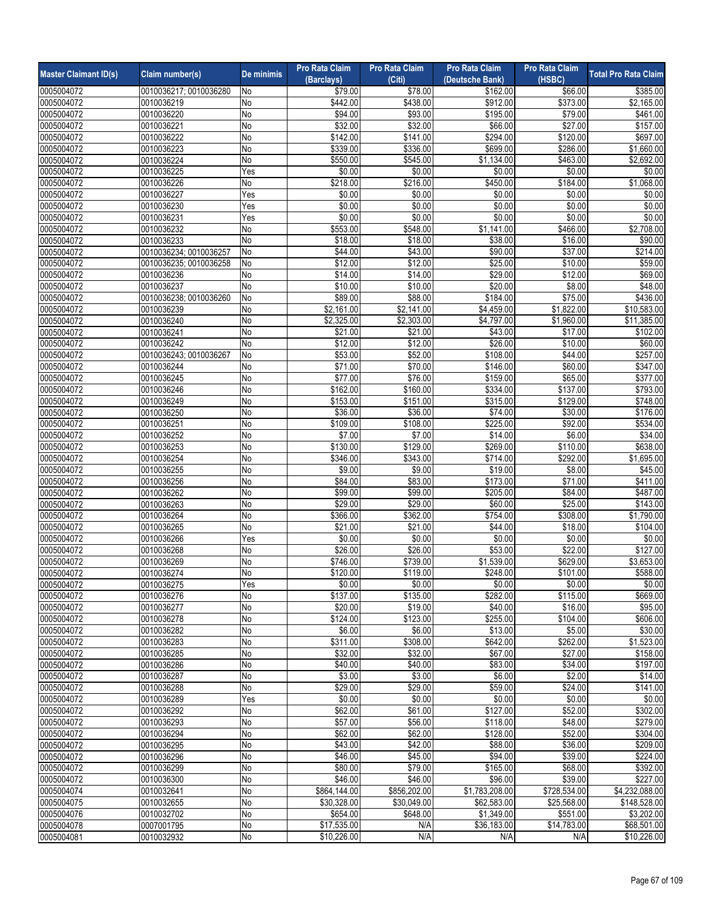| <b>Master Claimant ID(s)</b> | Claim number(s)        | De minimis | <b>Pro Rata Claim</b> | <b>Pro Rata Claim</b> | Pro Rata Claim  | Pro Rata Claim | Total Pro Rata Claim   |
|------------------------------|------------------------|------------|-----------------------|-----------------------|-----------------|----------------|------------------------|
|                              |                        |            | (Barclays)            | (Citi)                | (Deutsche Bank) | (HSBC)         |                        |
| 0005004072                   | 0010036217; 0010036280 | No         | \$79.00               | \$78.00               | \$162.00        | \$66.00        | \$385.00               |
| 0005004072                   | 0010036219             | No         | \$442.00              | \$438.00              | \$912.00        | \$373.00       | $\overline{$2,165.00}$ |
| 0005004072                   | 0010036220             | No         | \$94.00               | \$93.00               | \$195.00        | \$79.00        | \$461.00               |
| 0005004072                   | 0010036221             | No         | \$32.00               | \$32.00               | \$66.00         | \$27.00        | \$157.00               |
| 0005004072                   | 0010036222             | No         | \$142.00              | \$141.00              | \$294.00        | \$120.00       | \$697.00               |
| 0005004072                   | 0010036223             | <b>No</b>  | \$339.00              | \$336.00              | \$699.00        | \$286.00       | \$1,660.00             |
| 0005004072                   | 0010036224             | No         | \$550.00              | \$545.00              | \$1,134.00      | \$463.00       | \$2,692.00             |
| 0005004072                   | 0010036225             | Yes        | \$0.00                | \$0.00                | \$0.00          | \$0.00         | \$0.00                 |
| 0005004072                   | 0010036226             | No         | \$218.00              | \$216.00              | \$450.00        | \$184.00       | \$1,068.00             |
| 0005004072                   | 0010036227             | Yes        | \$0.00                | \$0.00                | \$0.00          | \$0.00         | \$0.00                 |
| 0005004072                   | 0010036230             | Yes        | \$0.00                | \$0.00                | \$0.00          | \$0.00         | \$0.00                 |
| 0005004072                   | 0010036231             | Yes        | \$0.00                | \$0.00                | \$0.00          | \$0.00         | \$0.00                 |
| 0005004072                   | 0010036232             | No         | \$553.00              | \$548.00              | \$1,141.00      | \$466.00       | \$2,708.00             |
| 0005004072                   | 0010036233             | <b>No</b>  | \$18.00               | \$18.00               | \$38.00         | \$16.00        | \$90.00                |
| 0005004072                   | 0010036234; 0010036257 | No         | \$44.00               | \$43.00               | \$90.00         | \$37.00        | \$214.00               |
| 0005004072                   | 0010036235; 0010036258 | No         | \$12.00               | \$12.00               | \$25.00         | \$10.00        | \$59.00                |
| 0005004072                   | 0010036236             | No         | \$14.00               | \$14.00               | \$29.00         | \$12.00        | \$69.00                |
| 0005004072                   | 0010036237             | No         | \$10.00               | \$10.00               | \$20.00         | \$8.00         | \$48.00                |
| 0005004072                   | 0010036238; 0010036260 | <b>No</b>  | \$89.00               | \$88.00               | \$184.00        | \$75.00        | \$436.00               |
| 0005004072                   | 0010036239             | No         | \$2,161.00            | \$2,141.00            | \$4,459.00      | \$1,822.00     | \$10,583.00            |
| 0005004072                   | 0010036240             | No         | \$2,325.00            | \$2,303.00            | \$4,797.00      | \$1,960.00     | \$11,385.00            |
| 0005004072                   | 0010036241             | <b>No</b>  | \$21.00               | \$21.00               | \$43.00         | \$17.00        | \$102.00               |
| 0005004072                   | 0010036242             | No         | \$12.00               | \$12.00               | \$26.00         | \$10.00        | \$60.00                |
| 0005004072                   | 0010036243; 0010036267 | <b>No</b>  | \$53.00               | \$52.00               | \$108.00        | \$44.00        | \$257.00               |
| 0005004072                   | 0010036244             | No         | \$71.00               | \$70.00               | \$146.00        | \$60.00        | \$347.00               |
| 0005004072                   | 0010036245             | No         | \$77.00               | \$76.00               | \$159.00        | \$65.00        | \$377.00               |
| 0005004072                   | 0010036246             | No         | \$162.00              | \$160.00              | \$334.00        | \$137.00       | \$793.00               |
| 0005004072                   | 0010036249             | No         | \$153.00              | \$151.00              | \$315.00        | \$129.00       | \$748.00               |
| 0005004072                   | 0010036250             | No         | \$36.00               | \$36.00               | \$74.00         | \$30.00        | \$176.00               |
| 0005004072                   | 0010036251             | No         | \$109.00              | \$108.00              | \$225.00        | \$92.00        | \$534.00               |
| 0005004072                   | 0010036252             | No         | \$7.00                | \$7.00                | \$14.00         | \$6.00         | \$34.00                |
| 0005004072                   | 0010036253             | No         | \$130.00              | \$129.00              | \$269.00        | \$110.00       | \$638.00               |
| 0005004072                   | 0010036254             | No         | \$346.00              | \$343.00              | \$714.00        | \$292.00       | \$1,695.00             |
| 0005004072                   | 0010036255             | No         | \$9.00                | \$9.00                | \$19.00         | \$8.00         | \$45.00                |
| 0005004072                   | 0010036256             | No         | \$84.00               | \$83.00               | \$173.00        | \$71.00        | \$411.00               |
| 0005004072                   | 0010036262             | No         | \$99.00               | \$99.00               | \$205.00        | \$84.00        | \$487.00               |
| 0005004072                   | 0010036263             | No         | \$29.00               | \$29.00               | \$60.00         | \$25.00        | \$143.00               |
| 0005004072                   | 0010036264             | No         | \$366.00              | \$362.00              | \$754.00        | \$308.00       | \$1,790.00             |
| 0005004072                   | 0010036265             | No         | \$21.00               | \$21.00               | \$44.00         | \$18.00        | \$104.00               |
| 0005004072                   | 0010036266             | Yes        | \$0.00                | \$0.00                | \$0.00          | \$0.00         | \$0.00                 |
| 0005004072                   | 0010036268             | No         | \$26.00               | \$26.00               | \$53.00         | \$22.00        | \$127.00               |
| 0005004072                   | 0010036269             | No         | \$746.00              | \$739.00              | \$1,539.00      | \$629.00       | \$3,653.00             |
| 0005004072                   | 0010036274             | No         | \$120.00              | \$119.00              | \$248.00        | \$101.00       | \$588.00               |
| 0005004072                   | 0010036275             | Yes        | \$0.00                | \$0.00                | \$0.00          | \$0.00         | \$0.00                 |
| 0005004072                   | 0010036276             | No         | \$137.00              | \$135.00              | \$282.00        | \$115.00       | \$669.00               |
| 0005004072                   | 0010036277             | No         | \$20.00               | \$19.00               | \$40.00         | \$16.00        | \$95.00                |
| 0005004072                   | 0010036278             | No         | \$124.00              | \$123.00              | \$255.00        | \$104.00       | \$606.00               |
| 0005004072                   | 0010036282             | No         | \$6.00                | \$6.00                | \$13.00         | \$5.00         | \$30.00                |
| 0005004072                   | 0010036283             | No         | \$311.00              | \$308.00              | \$642.00        | \$262.00       | \$1,523.00             |
| 0005004072                   | 0010036285             | No         | \$32.00               | \$32.00               | \$67.00         | \$27.00        | \$158.00               |
| 0005004072                   | 0010036286             | No         | \$40.00               | \$40.00               | \$83.00         | \$34.00        | \$197.00               |
| 0005004072                   | 0010036287             | No         | \$3.00                | \$3.00                | \$6.00          | \$2.00         | \$14.00                |
| 0005004072                   | 0010036288             | No         | \$29.00               | \$29.00               | \$59.00         | \$24.00        | \$141.00               |
| 0005004072                   | 0010036289             | Yes        | \$0.00                | \$0.00                | \$0.00          | \$0.00         | \$0.00                 |
| 0005004072                   | 0010036292             | No         | \$62.00               | \$61.00               | \$127.00        | \$52.00        | \$302.00               |
| 0005004072                   | 0010036293             | No         | \$57.00               | \$56.00               | \$118.00        | \$48.00        | \$279.00               |
| 0005004072                   | 0010036294             | No         | \$62.00               | \$62.00               | \$128.00        | \$52.00        | \$304.00               |
| 0005004072                   | 0010036295             | No         | \$43.00               | \$42.00               | \$88.00         | \$36.00        | \$209.00               |
| 0005004072                   | 0010036296             | No         | \$46.00               | \$45.00               | \$94.00         | \$39.00        | \$224.00               |
| 0005004072                   | 0010036299             | No         | \$80.00               | \$79.00               | \$165.00        | \$68.00        | \$392.00               |
| 0005004072                   | 0010036300             | No         | \$46.00               | \$46.00               | \$96.00         | \$39.00        | \$227.00               |
| 0005004074                   | 0010032641             | No         | \$864,144.00          | \$856,202.00          | \$1,783,208.00  | \$728,534.00   | \$4,232,088.00         |
| 0005004075                   | 0010032655             | No         | \$30,328.00           | \$30,049.00           | \$62,583.00     | \$25,568.00    | \$148,528.00           |
| 0005004076                   | 0010032702             | No         | \$654.00              | \$648.00              | \$1,349.00      | \$551.00       | \$3,202.00             |
| 0005004078                   | 0007001795             | No         | \$17,535.00           | N/A                   | \$36,183.00     | \$14,783.00    | \$68,501.00            |
| 0005004081                   | 0010032932             | No         | \$10,226.00           | N/A                   | N/A             | N/A            | \$10,226.00            |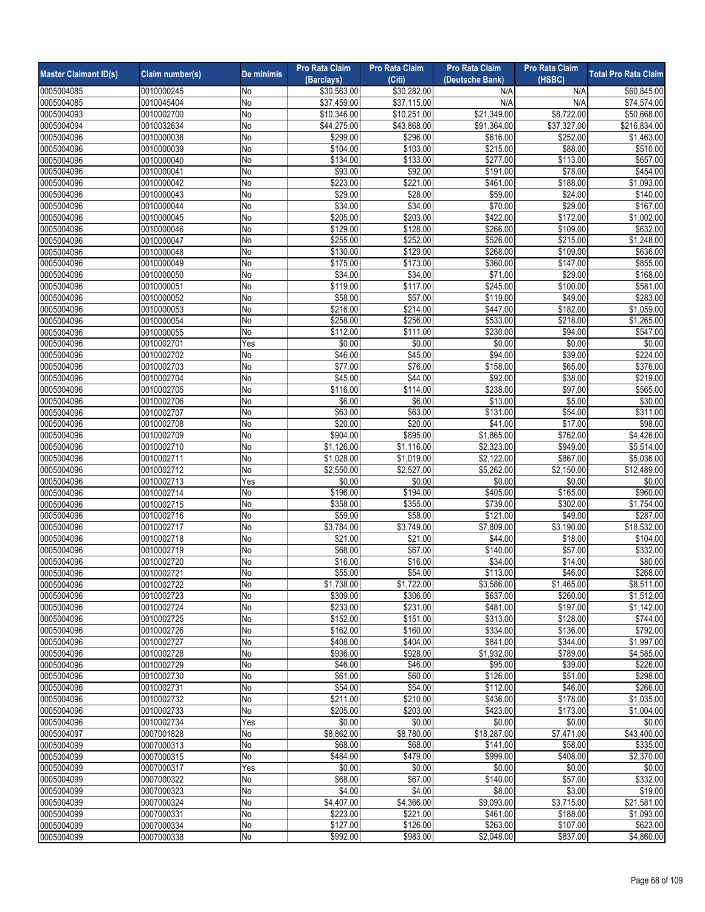| (HSBC)<br>(Barclays)<br>(Deutsche Bank)<br>\$30,282.00<br>0005004085<br>0010000245<br>No<br>\$30,563.00<br>N/A<br>\$60,845.00<br>N/A<br>\$37,115.00<br>N/A<br>0005004085<br>0010045404<br>No<br>\$37,459.00<br>N/A<br>\$74,574.00<br>\$21,349.00<br>\$10,346.00<br>\$10,251.00<br>\$8,722.00<br>\$50,668.00<br>No<br>0005004093<br>0010002700<br>0005004094<br>0010032634<br>No<br>\$44,275.00<br>\$43,868.00<br>\$91,364.00<br>\$37,327.00<br>\$216,834.00<br>No<br>\$299.00<br>\$296.00<br>\$616.00<br>\$252.00<br>\$1,463.00<br>0005004096<br>0010000038<br>\$104.00<br>\$103.00<br>\$215.00<br>\$88.00<br>\$510.00<br>0005004096<br>0010000039<br>No<br>\$133.00<br>\$657.00<br>0005004096<br>0010000040<br>No<br>\$134.00<br>\$277.00<br>\$113.00<br>\$92.00<br>\$191.00<br>\$78.00<br>\$454.00<br>0005004096<br>0010000041<br>No<br>\$93.00<br>\$223.00<br>\$221.00<br>\$188.00<br>\$1,093.00<br>0005004096<br>0010000042<br>No<br>\$461.00<br>\$28.00<br>No<br>\$29.00<br>\$59.00<br>\$24.00<br>\$140.00<br>0005004096<br>0010000043<br>\$34.00<br>\$34.00<br>\$70.00<br>\$29.00<br>\$167.00<br>0005004096<br>0010000044<br>No<br>\$205.00<br>\$203.00<br>\$422.00<br>\$172.00<br>\$1,002.00<br>No<br>0005004096<br>0010000045<br>\$128.00<br>0005004096<br>No<br>\$129.00<br>\$266.00<br>\$109.00<br>\$632.00<br>0010000046<br>\$252.00<br>No<br>\$255.00<br>\$526.00<br>\$215.00<br>\$1,248.00<br>0005004096<br>0010000047<br>\$130.00<br>\$129.00<br>\$268.00<br>\$109.00<br>\$636.00<br>0005004096<br>0010000048<br>No<br>0005004096<br>0010000049<br>No<br>\$173.00<br>\$360.00<br>\$147.00<br>\$855.00<br>\$175.00<br>\$34.00<br>\$71.00<br>\$29.00<br>0005004096<br>0010000050<br>No<br>\$34.00<br>\$168.00<br>0005004096<br>\$119.00<br>\$117.00<br>\$245.00<br>\$100.00<br>\$581.00<br>0010000051<br>No<br>\$57.00<br>\$49.00<br>\$283.00<br>No<br>\$58.00<br>\$119.00<br>0005004096<br>0010000052<br>\$214.00<br>\$182.00<br>\$1,059.00<br>0005004096<br>0010000053<br>No<br>\$216.00<br>\$447.00<br>\$256.00<br>\$218.00<br>\$1,265.00<br>No<br>\$258.00<br>\$533.00<br>0005004096<br>0010000054<br>\$111.00<br>\$230.00<br>\$94.00<br>0005004096<br>No<br>\$112.00<br>\$547.00<br>0010000055<br>\$0.00<br>\$0.00<br>\$0.00<br>\$0.00<br>0005004096<br>0010002701<br>Yes<br>\$0.00<br>\$45.00<br>\$94.00<br>\$39.00<br>\$224.00<br>0005004096<br>0010002702<br>No<br>\$46.00<br>\$77.00<br>\$76.00<br>\$158.00<br>\$65.00<br>\$376.00<br>0005004096<br>0010002703<br>No<br>\$44.00<br>\$92.00<br>\$38.00<br>\$219.00<br>No<br>\$45.00<br>0005004096<br>0010002704<br>\$114.00<br>\$238.00<br>\$97.00<br>\$565.00<br>0005004096<br>0010002705<br>No<br>\$116.00<br>\$6.00<br>\$6.00<br>\$5.00<br>\$30.00<br>\$13.00<br>0005004096<br>0010002706<br>No<br>\$63.00<br>0005004096<br>\$63.00<br>\$131.00<br>\$54.00<br>\$311.00<br>0010002707<br>No<br>\$20.00<br>\$98.00<br>No<br>\$20.00<br>\$41.00<br>\$17.00<br>0005004096<br>0010002708<br>\$895.00<br>\$4,426.00<br>0005004096<br>0010002709<br>\$904.00<br>\$1,865.00<br>\$762.00<br>No<br>\$1,116.00<br>\$2,323.00<br>\$949.00<br>\$5,514.00<br>0005004096<br>0010002710<br>No<br>\$1,126.00<br>0005004096<br>0010002711<br>No<br>\$1,028.00<br>\$1,019.00<br>\$2,122.00<br>\$867.00<br>\$5,036.00<br>\$2,550.00<br>\$2,527.00<br>\$2,150.00<br>\$12,489.00<br>0005004096<br>0010002712<br>No<br>\$5,262.00<br>\$0.00<br>Yes<br>\$0.00<br>\$0.00<br>\$0.00<br>\$0.00<br>0005004096<br>0010002713<br>\$194.00<br>\$165.00<br>\$960.00<br>0005004096<br>0010002714<br>No<br>\$196.00<br>\$405.00<br>\$355.00<br>\$302.00<br>\$1,754.00<br>\$358.00<br>\$739.00<br>0005004096<br>0010002715<br>No<br>\$58.00<br>\$49.00<br>\$287.00<br>0005004096<br>No<br>\$59.00<br>\$121.00<br>0010002716<br>\$3,190.00<br>\$18,532.00<br>\$3,784.00<br>\$3,749.00<br>\$7,809.00<br>0005004096<br>0010002717<br>No<br>\$21.00<br>\$18.00<br>0005004096<br>0010002718<br>\$21.00<br>\$44.00<br>\$104.00<br>No<br>\$67.00<br>\$140.00<br>\$57.00<br>\$332.00<br>0005004096<br>0010002719<br>No<br>\$68.00<br>0005004096<br>No<br>\$16.00<br>\$16.00<br>\$34.00<br>\$14.00<br>\$80.00<br>0010002720<br>\$54.00<br>\$46.00<br>\$268.00<br>0005004096<br>0010002721<br>\$55.00<br>\$113.00<br>No<br>\$1,738.00<br>\$1,722.00<br>\$3,586.00<br>\$1,465.00<br>0010002722<br>No<br>\$8,511.00<br>0005004096<br>No<br>0005004096<br>0010002723<br>\$309.00<br>\$306.00<br>\$637.00<br>\$260.00<br>\$1,512.00<br>\$233.00<br>\$231.00<br>\$197.00<br>\$1,142.00<br>No<br>\$481.00<br>0005004096<br>0010002724<br>\$152.00<br>\$151.00<br>\$313.00<br>\$128.00<br>\$744.00<br>0005004096<br>0010002725<br>No<br>0005004096<br>0010002726<br>No<br>\$162.00<br>\$160.00<br>\$334.00<br>\$136.00<br>\$792.00<br>\$841.00<br>\$344.00<br>0005004096<br>0010002727<br>No<br>\$408.00<br>\$404.00<br>\$1,997.00<br>0005004096<br>0010002728<br>No<br>\$936.00<br>\$928.00<br>\$1,932.00<br>\$789.00<br>\$4,585.00<br>No<br>\$46.00<br>\$226.00<br>0005004096<br>0010002729<br>\$46.00<br>\$95.00<br>\$39.00<br>\$60.00<br>\$126.00<br>0005004096<br>0010002730<br>No<br>\$61.00<br>\$51.00<br>\$298.00<br>\$54.00<br>No<br>\$54.00<br>\$112.00<br>\$46.00<br>\$266.00<br>0005004096<br>0010002731<br>0005004096<br>0010002732<br>No<br>\$211.00<br>\$210.00<br>\$436.00<br>\$178.00<br>\$1.035.00<br>No<br>\$205.00<br>\$203.00<br>\$423.00<br>\$173.00<br>\$1,004.00<br>0005004096<br>0010002733<br>0005004096<br>0010002734<br>\$0.00<br>\$0.00<br>\$0.00<br>\$0.00<br>\$0.00<br>Yes<br>0005004097<br>0007001828<br>\$8,862.00<br>\$8,780.00<br>\$18,287.00<br>\$7,471.00<br>\$43,400.00<br>No<br>0005004099<br>0007000313<br>No<br>\$68.00<br>\$68.00<br>\$141.00<br>\$58.00<br>\$335.00<br>\$479.00<br>0005004099<br>0007000315<br>No<br>\$484.00<br>\$999.00<br>\$408.00<br>\$2,370.00<br>\$0.00<br>\$0.00<br>\$0.00<br>0005004099<br>0007000317<br>Yes<br>\$0.00<br>\$0.00<br>\$67.00<br>\$332.00<br>0005004099<br>0007000322<br>No<br>\$68.00<br>\$140.00<br>\$57.00<br>No<br>\$4.00<br>\$4.00<br>\$8.00<br>\$3.00<br>\$19.00<br>0005004099<br>0007000323<br>0007000324<br>No<br>\$4,366.00<br>\$9,093.00<br>\$21,581.00<br>0005004099<br>\$4,407.00<br>\$3,715.00<br>No<br>\$223.00<br>\$221.00<br>\$461.00<br>\$188.00<br>\$1,093.00<br>0005004099<br>0007000331<br>\$107.00<br>\$623.00<br>0005004099<br>0007000334<br>No<br>\$127.00<br>\$126.00<br>\$263.00<br>No<br>\$992.00<br>\$837.00<br>\$4,860.00<br>0005004099<br>0007000338<br>\$983.00<br>\$2,048.00 | <b>Master Claimant ID(s)</b> | Claim number(s) | De minimis | <b>Pro Rata Claim</b> | <b>Pro Rata Claim</b> | Pro Rata Claim | <b>Pro Rata Claim</b> | Total Pro Rata Claim |
|-----------------------------------------------------------------------------------------------------------------------------------------------------------------------------------------------------------------------------------------------------------------------------------------------------------------------------------------------------------------------------------------------------------------------------------------------------------------------------------------------------------------------------------------------------------------------------------------------------------------------------------------------------------------------------------------------------------------------------------------------------------------------------------------------------------------------------------------------------------------------------------------------------------------------------------------------------------------------------------------------------------------------------------------------------------------------------------------------------------------------------------------------------------------------------------------------------------------------------------------------------------------------------------------------------------------------------------------------------------------------------------------------------------------------------------------------------------------------------------------------------------------------------------------------------------------------------------------------------------------------------------------------------------------------------------------------------------------------------------------------------------------------------------------------------------------------------------------------------------------------------------------------------------------------------------------------------------------------------------------------------------------------------------------------------------------------------------------------------------------------------------------------------------------------------------------------------------------------------------------------------------------------------------------------------------------------------------------------------------------------------------------------------------------------------------------------------------------------------------------------------------------------------------------------------------------------------------------------------------------------------------------------------------------------------------------------------------------------------------------------------------------------------------------------------------------------------------------------------------------------------------------------------------------------------------------------------------------------------------------------------------------------------------------------------------------------------------------------------------------------------------------------------------------------------------------------------------------------------------------------------------------------------------------------------------------------------------------------------------------------------------------------------------------------------------------------------------------------------------------------------------------------------------------------------------------------------------------------------------------------------------------------------------------------------------------------------------------------------------------------------------------------------------------------------------------------------------------------------------------------------------------------------------------------------------------------------------------------------------------------------------------------------------------------------------------------------------------------------------------------------------------------------------------------------------------------------------------------------------------------------------------------------------------------------------------------------------------------------------------------------------------------------------------------------------------------------------------------------------------------------------------------------------------------------------------------------------------------------------------------------------------------------------------------------------------------------------------------------------------------------------------------------------------------------------------------------------------------------------------------------------------------------------------------------------------------------------------------------------------------------------------------------------------------------------------------------------------------------------------------------------------------------------------------------------------------------------------------------------------------------------------------------------------------------------------------------------------------------------------------------------------------------------------------------------------------------------------------------------------------------------------------------------------------------------------------------------------------------------------------------------------------------------------------------------------------------------------------------------------------------------------------------------------------------------------------------------------------------------------------------------------------------------------------------------------------------------------------------------------------------------------------------------------------------------------------------------------------------------------------------------------------------------------------------------------------------------------------------------------------------------------------------------------------------------------------------------------------------------------------------------------------------------------------------------------------------------------------------------------------------------------|------------------------------|-----------------|------------|-----------------------|-----------------------|----------------|-----------------------|----------------------|
|                                                                                                                                                                                                                                                                                                                                                                                                                                                                                                                                                                                                                                                                                                                                                                                                                                                                                                                                                                                                                                                                                                                                                                                                                                                                                                                                                                                                                                                                                                                                                                                                                                                                                                                                                                                                                                                                                                                                                                                                                                                                                                                                                                                                                                                                                                                                                                                                                                                                                                                                                                                                                                                                                                                                                                                                                                                                                                                                                                                                                                                                                                                                                                                                                                                                                                                                                                                                                                                                                                                                                                                                                                                                                                                                                                                                                                                                                                                                                                                                                                                                                                                                                                                                                                                                                                                                                                                                                                                                                                                                                                                                                                                                                                                                                                                                                                                                                                                                                                                                                                                                                                                                                                                                                                                                                                                                                                                                                                                                                                                                                                                                                                                                                                                                                                                                                                                                                                                                                                                                                                                                                                                                                                                                                                                                                                                                                                                                                                                                                                                 |                              |                 |            |                       | (Citi)                |                |                       |                      |
|                                                                                                                                                                                                                                                                                                                                                                                                                                                                                                                                                                                                                                                                                                                                                                                                                                                                                                                                                                                                                                                                                                                                                                                                                                                                                                                                                                                                                                                                                                                                                                                                                                                                                                                                                                                                                                                                                                                                                                                                                                                                                                                                                                                                                                                                                                                                                                                                                                                                                                                                                                                                                                                                                                                                                                                                                                                                                                                                                                                                                                                                                                                                                                                                                                                                                                                                                                                                                                                                                                                                                                                                                                                                                                                                                                                                                                                                                                                                                                                                                                                                                                                                                                                                                                                                                                                                                                                                                                                                                                                                                                                                                                                                                                                                                                                                                                                                                                                                                                                                                                                                                                                                                                                                                                                                                                                                                                                                                                                                                                                                                                                                                                                                                                                                                                                                                                                                                                                                                                                                                                                                                                                                                                                                                                                                                                                                                                                                                                                                                                                 |                              |                 |            |                       |                       |                |                       |                      |
|                                                                                                                                                                                                                                                                                                                                                                                                                                                                                                                                                                                                                                                                                                                                                                                                                                                                                                                                                                                                                                                                                                                                                                                                                                                                                                                                                                                                                                                                                                                                                                                                                                                                                                                                                                                                                                                                                                                                                                                                                                                                                                                                                                                                                                                                                                                                                                                                                                                                                                                                                                                                                                                                                                                                                                                                                                                                                                                                                                                                                                                                                                                                                                                                                                                                                                                                                                                                                                                                                                                                                                                                                                                                                                                                                                                                                                                                                                                                                                                                                                                                                                                                                                                                                                                                                                                                                                                                                                                                                                                                                                                                                                                                                                                                                                                                                                                                                                                                                                                                                                                                                                                                                                                                                                                                                                                                                                                                                                                                                                                                                                                                                                                                                                                                                                                                                                                                                                                                                                                                                                                                                                                                                                                                                                                                                                                                                                                                                                                                                                                 |                              |                 |            |                       |                       |                |                       |                      |
|                                                                                                                                                                                                                                                                                                                                                                                                                                                                                                                                                                                                                                                                                                                                                                                                                                                                                                                                                                                                                                                                                                                                                                                                                                                                                                                                                                                                                                                                                                                                                                                                                                                                                                                                                                                                                                                                                                                                                                                                                                                                                                                                                                                                                                                                                                                                                                                                                                                                                                                                                                                                                                                                                                                                                                                                                                                                                                                                                                                                                                                                                                                                                                                                                                                                                                                                                                                                                                                                                                                                                                                                                                                                                                                                                                                                                                                                                                                                                                                                                                                                                                                                                                                                                                                                                                                                                                                                                                                                                                                                                                                                                                                                                                                                                                                                                                                                                                                                                                                                                                                                                                                                                                                                                                                                                                                                                                                                                                                                                                                                                                                                                                                                                                                                                                                                                                                                                                                                                                                                                                                                                                                                                                                                                                                                                                                                                                                                                                                                                                                 |                              |                 |            |                       |                       |                |                       |                      |
|                                                                                                                                                                                                                                                                                                                                                                                                                                                                                                                                                                                                                                                                                                                                                                                                                                                                                                                                                                                                                                                                                                                                                                                                                                                                                                                                                                                                                                                                                                                                                                                                                                                                                                                                                                                                                                                                                                                                                                                                                                                                                                                                                                                                                                                                                                                                                                                                                                                                                                                                                                                                                                                                                                                                                                                                                                                                                                                                                                                                                                                                                                                                                                                                                                                                                                                                                                                                                                                                                                                                                                                                                                                                                                                                                                                                                                                                                                                                                                                                                                                                                                                                                                                                                                                                                                                                                                                                                                                                                                                                                                                                                                                                                                                                                                                                                                                                                                                                                                                                                                                                                                                                                                                                                                                                                                                                                                                                                                                                                                                                                                                                                                                                                                                                                                                                                                                                                                                                                                                                                                                                                                                                                                                                                                                                                                                                                                                                                                                                                                                 |                              |                 |            |                       |                       |                |                       |                      |
|                                                                                                                                                                                                                                                                                                                                                                                                                                                                                                                                                                                                                                                                                                                                                                                                                                                                                                                                                                                                                                                                                                                                                                                                                                                                                                                                                                                                                                                                                                                                                                                                                                                                                                                                                                                                                                                                                                                                                                                                                                                                                                                                                                                                                                                                                                                                                                                                                                                                                                                                                                                                                                                                                                                                                                                                                                                                                                                                                                                                                                                                                                                                                                                                                                                                                                                                                                                                                                                                                                                                                                                                                                                                                                                                                                                                                                                                                                                                                                                                                                                                                                                                                                                                                                                                                                                                                                                                                                                                                                                                                                                                                                                                                                                                                                                                                                                                                                                                                                                                                                                                                                                                                                                                                                                                                                                                                                                                                                                                                                                                                                                                                                                                                                                                                                                                                                                                                                                                                                                                                                                                                                                                                                                                                                                                                                                                                                                                                                                                                                                 |                              |                 |            |                       |                       |                |                       |                      |
|                                                                                                                                                                                                                                                                                                                                                                                                                                                                                                                                                                                                                                                                                                                                                                                                                                                                                                                                                                                                                                                                                                                                                                                                                                                                                                                                                                                                                                                                                                                                                                                                                                                                                                                                                                                                                                                                                                                                                                                                                                                                                                                                                                                                                                                                                                                                                                                                                                                                                                                                                                                                                                                                                                                                                                                                                                                                                                                                                                                                                                                                                                                                                                                                                                                                                                                                                                                                                                                                                                                                                                                                                                                                                                                                                                                                                                                                                                                                                                                                                                                                                                                                                                                                                                                                                                                                                                                                                                                                                                                                                                                                                                                                                                                                                                                                                                                                                                                                                                                                                                                                                                                                                                                                                                                                                                                                                                                                                                                                                                                                                                                                                                                                                                                                                                                                                                                                                                                                                                                                                                                                                                                                                                                                                                                                                                                                                                                                                                                                                                                 |                              |                 |            |                       |                       |                |                       |                      |
|                                                                                                                                                                                                                                                                                                                                                                                                                                                                                                                                                                                                                                                                                                                                                                                                                                                                                                                                                                                                                                                                                                                                                                                                                                                                                                                                                                                                                                                                                                                                                                                                                                                                                                                                                                                                                                                                                                                                                                                                                                                                                                                                                                                                                                                                                                                                                                                                                                                                                                                                                                                                                                                                                                                                                                                                                                                                                                                                                                                                                                                                                                                                                                                                                                                                                                                                                                                                                                                                                                                                                                                                                                                                                                                                                                                                                                                                                                                                                                                                                                                                                                                                                                                                                                                                                                                                                                                                                                                                                                                                                                                                                                                                                                                                                                                                                                                                                                                                                                                                                                                                                                                                                                                                                                                                                                                                                                                                                                                                                                                                                                                                                                                                                                                                                                                                                                                                                                                                                                                                                                                                                                                                                                                                                                                                                                                                                                                                                                                                                                                 |                              |                 |            |                       |                       |                |                       |                      |
|                                                                                                                                                                                                                                                                                                                                                                                                                                                                                                                                                                                                                                                                                                                                                                                                                                                                                                                                                                                                                                                                                                                                                                                                                                                                                                                                                                                                                                                                                                                                                                                                                                                                                                                                                                                                                                                                                                                                                                                                                                                                                                                                                                                                                                                                                                                                                                                                                                                                                                                                                                                                                                                                                                                                                                                                                                                                                                                                                                                                                                                                                                                                                                                                                                                                                                                                                                                                                                                                                                                                                                                                                                                                                                                                                                                                                                                                                                                                                                                                                                                                                                                                                                                                                                                                                                                                                                                                                                                                                                                                                                                                                                                                                                                                                                                                                                                                                                                                                                                                                                                                                                                                                                                                                                                                                                                                                                                                                                                                                                                                                                                                                                                                                                                                                                                                                                                                                                                                                                                                                                                                                                                                                                                                                                                                                                                                                                                                                                                                                                                 |                              |                 |            |                       |                       |                |                       |                      |
|                                                                                                                                                                                                                                                                                                                                                                                                                                                                                                                                                                                                                                                                                                                                                                                                                                                                                                                                                                                                                                                                                                                                                                                                                                                                                                                                                                                                                                                                                                                                                                                                                                                                                                                                                                                                                                                                                                                                                                                                                                                                                                                                                                                                                                                                                                                                                                                                                                                                                                                                                                                                                                                                                                                                                                                                                                                                                                                                                                                                                                                                                                                                                                                                                                                                                                                                                                                                                                                                                                                                                                                                                                                                                                                                                                                                                                                                                                                                                                                                                                                                                                                                                                                                                                                                                                                                                                                                                                                                                                                                                                                                                                                                                                                                                                                                                                                                                                                                                                                                                                                                                                                                                                                                                                                                                                                                                                                                                                                                                                                                                                                                                                                                                                                                                                                                                                                                                                                                                                                                                                                                                                                                                                                                                                                                                                                                                                                                                                                                                                                 |                              |                 |            |                       |                       |                |                       |                      |
|                                                                                                                                                                                                                                                                                                                                                                                                                                                                                                                                                                                                                                                                                                                                                                                                                                                                                                                                                                                                                                                                                                                                                                                                                                                                                                                                                                                                                                                                                                                                                                                                                                                                                                                                                                                                                                                                                                                                                                                                                                                                                                                                                                                                                                                                                                                                                                                                                                                                                                                                                                                                                                                                                                                                                                                                                                                                                                                                                                                                                                                                                                                                                                                                                                                                                                                                                                                                                                                                                                                                                                                                                                                                                                                                                                                                                                                                                                                                                                                                                                                                                                                                                                                                                                                                                                                                                                                                                                                                                                                                                                                                                                                                                                                                                                                                                                                                                                                                                                                                                                                                                                                                                                                                                                                                                                                                                                                                                                                                                                                                                                                                                                                                                                                                                                                                                                                                                                                                                                                                                                                                                                                                                                                                                                                                                                                                                                                                                                                                                                                 |                              |                 |            |                       |                       |                |                       |                      |
|                                                                                                                                                                                                                                                                                                                                                                                                                                                                                                                                                                                                                                                                                                                                                                                                                                                                                                                                                                                                                                                                                                                                                                                                                                                                                                                                                                                                                                                                                                                                                                                                                                                                                                                                                                                                                                                                                                                                                                                                                                                                                                                                                                                                                                                                                                                                                                                                                                                                                                                                                                                                                                                                                                                                                                                                                                                                                                                                                                                                                                                                                                                                                                                                                                                                                                                                                                                                                                                                                                                                                                                                                                                                                                                                                                                                                                                                                                                                                                                                                                                                                                                                                                                                                                                                                                                                                                                                                                                                                                                                                                                                                                                                                                                                                                                                                                                                                                                                                                                                                                                                                                                                                                                                                                                                                                                                                                                                                                                                                                                                                                                                                                                                                                                                                                                                                                                                                                                                                                                                                                                                                                                                                                                                                                                                                                                                                                                                                                                                                                                 |                              |                 |            |                       |                       |                |                       |                      |
|                                                                                                                                                                                                                                                                                                                                                                                                                                                                                                                                                                                                                                                                                                                                                                                                                                                                                                                                                                                                                                                                                                                                                                                                                                                                                                                                                                                                                                                                                                                                                                                                                                                                                                                                                                                                                                                                                                                                                                                                                                                                                                                                                                                                                                                                                                                                                                                                                                                                                                                                                                                                                                                                                                                                                                                                                                                                                                                                                                                                                                                                                                                                                                                                                                                                                                                                                                                                                                                                                                                                                                                                                                                                                                                                                                                                                                                                                                                                                                                                                                                                                                                                                                                                                                                                                                                                                                                                                                                                                                                                                                                                                                                                                                                                                                                                                                                                                                                                                                                                                                                                                                                                                                                                                                                                                                                                                                                                                                                                                                                                                                                                                                                                                                                                                                                                                                                                                                                                                                                                                                                                                                                                                                                                                                                                                                                                                                                                                                                                                                                 |                              |                 |            |                       |                       |                |                       |                      |
|                                                                                                                                                                                                                                                                                                                                                                                                                                                                                                                                                                                                                                                                                                                                                                                                                                                                                                                                                                                                                                                                                                                                                                                                                                                                                                                                                                                                                                                                                                                                                                                                                                                                                                                                                                                                                                                                                                                                                                                                                                                                                                                                                                                                                                                                                                                                                                                                                                                                                                                                                                                                                                                                                                                                                                                                                                                                                                                                                                                                                                                                                                                                                                                                                                                                                                                                                                                                                                                                                                                                                                                                                                                                                                                                                                                                                                                                                                                                                                                                                                                                                                                                                                                                                                                                                                                                                                                                                                                                                                                                                                                                                                                                                                                                                                                                                                                                                                                                                                                                                                                                                                                                                                                                                                                                                                                                                                                                                                                                                                                                                                                                                                                                                                                                                                                                                                                                                                                                                                                                                                                                                                                                                                                                                                                                                                                                                                                                                                                                                                                 |                              |                 |            |                       |                       |                |                       |                      |
|                                                                                                                                                                                                                                                                                                                                                                                                                                                                                                                                                                                                                                                                                                                                                                                                                                                                                                                                                                                                                                                                                                                                                                                                                                                                                                                                                                                                                                                                                                                                                                                                                                                                                                                                                                                                                                                                                                                                                                                                                                                                                                                                                                                                                                                                                                                                                                                                                                                                                                                                                                                                                                                                                                                                                                                                                                                                                                                                                                                                                                                                                                                                                                                                                                                                                                                                                                                                                                                                                                                                                                                                                                                                                                                                                                                                                                                                                                                                                                                                                                                                                                                                                                                                                                                                                                                                                                                                                                                                                                                                                                                                                                                                                                                                                                                                                                                                                                                                                                                                                                                                                                                                                                                                                                                                                                                                                                                                                                                                                                                                                                                                                                                                                                                                                                                                                                                                                                                                                                                                                                                                                                                                                                                                                                                                                                                                                                                                                                                                                                                 |                              |                 |            |                       |                       |                |                       |                      |
|                                                                                                                                                                                                                                                                                                                                                                                                                                                                                                                                                                                                                                                                                                                                                                                                                                                                                                                                                                                                                                                                                                                                                                                                                                                                                                                                                                                                                                                                                                                                                                                                                                                                                                                                                                                                                                                                                                                                                                                                                                                                                                                                                                                                                                                                                                                                                                                                                                                                                                                                                                                                                                                                                                                                                                                                                                                                                                                                                                                                                                                                                                                                                                                                                                                                                                                                                                                                                                                                                                                                                                                                                                                                                                                                                                                                                                                                                                                                                                                                                                                                                                                                                                                                                                                                                                                                                                                                                                                                                                                                                                                                                                                                                                                                                                                                                                                                                                                                                                                                                                                                                                                                                                                                                                                                                                                                                                                                                                                                                                                                                                                                                                                                                                                                                                                                                                                                                                                                                                                                                                                                                                                                                                                                                                                                                                                                                                                                                                                                                                                 |                              |                 |            |                       |                       |                |                       |                      |
|                                                                                                                                                                                                                                                                                                                                                                                                                                                                                                                                                                                                                                                                                                                                                                                                                                                                                                                                                                                                                                                                                                                                                                                                                                                                                                                                                                                                                                                                                                                                                                                                                                                                                                                                                                                                                                                                                                                                                                                                                                                                                                                                                                                                                                                                                                                                                                                                                                                                                                                                                                                                                                                                                                                                                                                                                                                                                                                                                                                                                                                                                                                                                                                                                                                                                                                                                                                                                                                                                                                                                                                                                                                                                                                                                                                                                                                                                                                                                                                                                                                                                                                                                                                                                                                                                                                                                                                                                                                                                                                                                                                                                                                                                                                                                                                                                                                                                                                                                                                                                                                                                                                                                                                                                                                                                                                                                                                                                                                                                                                                                                                                                                                                                                                                                                                                                                                                                                                                                                                                                                                                                                                                                                                                                                                                                                                                                                                                                                                                                                                 |                              |                 |            |                       |                       |                |                       |                      |
|                                                                                                                                                                                                                                                                                                                                                                                                                                                                                                                                                                                                                                                                                                                                                                                                                                                                                                                                                                                                                                                                                                                                                                                                                                                                                                                                                                                                                                                                                                                                                                                                                                                                                                                                                                                                                                                                                                                                                                                                                                                                                                                                                                                                                                                                                                                                                                                                                                                                                                                                                                                                                                                                                                                                                                                                                                                                                                                                                                                                                                                                                                                                                                                                                                                                                                                                                                                                                                                                                                                                                                                                                                                                                                                                                                                                                                                                                                                                                                                                                                                                                                                                                                                                                                                                                                                                                                                                                                                                                                                                                                                                                                                                                                                                                                                                                                                                                                                                                                                                                                                                                                                                                                                                                                                                                                                                                                                                                                                                                                                                                                                                                                                                                                                                                                                                                                                                                                                                                                                                                                                                                                                                                                                                                                                                                                                                                                                                                                                                                                                 |                              |                 |            |                       |                       |                |                       |                      |
|                                                                                                                                                                                                                                                                                                                                                                                                                                                                                                                                                                                                                                                                                                                                                                                                                                                                                                                                                                                                                                                                                                                                                                                                                                                                                                                                                                                                                                                                                                                                                                                                                                                                                                                                                                                                                                                                                                                                                                                                                                                                                                                                                                                                                                                                                                                                                                                                                                                                                                                                                                                                                                                                                                                                                                                                                                                                                                                                                                                                                                                                                                                                                                                                                                                                                                                                                                                                                                                                                                                                                                                                                                                                                                                                                                                                                                                                                                                                                                                                                                                                                                                                                                                                                                                                                                                                                                                                                                                                                                                                                                                                                                                                                                                                                                                                                                                                                                                                                                                                                                                                                                                                                                                                                                                                                                                                                                                                                                                                                                                                                                                                                                                                                                                                                                                                                                                                                                                                                                                                                                                                                                                                                                                                                                                                                                                                                                                                                                                                                                                 |                              |                 |            |                       |                       |                |                       |                      |
|                                                                                                                                                                                                                                                                                                                                                                                                                                                                                                                                                                                                                                                                                                                                                                                                                                                                                                                                                                                                                                                                                                                                                                                                                                                                                                                                                                                                                                                                                                                                                                                                                                                                                                                                                                                                                                                                                                                                                                                                                                                                                                                                                                                                                                                                                                                                                                                                                                                                                                                                                                                                                                                                                                                                                                                                                                                                                                                                                                                                                                                                                                                                                                                                                                                                                                                                                                                                                                                                                                                                                                                                                                                                                                                                                                                                                                                                                                                                                                                                                                                                                                                                                                                                                                                                                                                                                                                                                                                                                                                                                                                                                                                                                                                                                                                                                                                                                                                                                                                                                                                                                                                                                                                                                                                                                                                                                                                                                                                                                                                                                                                                                                                                                                                                                                                                                                                                                                                                                                                                                                                                                                                                                                                                                                                                                                                                                                                                                                                                                                                 |                              |                 |            |                       |                       |                |                       |                      |
|                                                                                                                                                                                                                                                                                                                                                                                                                                                                                                                                                                                                                                                                                                                                                                                                                                                                                                                                                                                                                                                                                                                                                                                                                                                                                                                                                                                                                                                                                                                                                                                                                                                                                                                                                                                                                                                                                                                                                                                                                                                                                                                                                                                                                                                                                                                                                                                                                                                                                                                                                                                                                                                                                                                                                                                                                                                                                                                                                                                                                                                                                                                                                                                                                                                                                                                                                                                                                                                                                                                                                                                                                                                                                                                                                                                                                                                                                                                                                                                                                                                                                                                                                                                                                                                                                                                                                                                                                                                                                                                                                                                                                                                                                                                                                                                                                                                                                                                                                                                                                                                                                                                                                                                                                                                                                                                                                                                                                                                                                                                                                                                                                                                                                                                                                                                                                                                                                                                                                                                                                                                                                                                                                                                                                                                                                                                                                                                                                                                                                                                 |                              |                 |            |                       |                       |                |                       |                      |
|                                                                                                                                                                                                                                                                                                                                                                                                                                                                                                                                                                                                                                                                                                                                                                                                                                                                                                                                                                                                                                                                                                                                                                                                                                                                                                                                                                                                                                                                                                                                                                                                                                                                                                                                                                                                                                                                                                                                                                                                                                                                                                                                                                                                                                                                                                                                                                                                                                                                                                                                                                                                                                                                                                                                                                                                                                                                                                                                                                                                                                                                                                                                                                                                                                                                                                                                                                                                                                                                                                                                                                                                                                                                                                                                                                                                                                                                                                                                                                                                                                                                                                                                                                                                                                                                                                                                                                                                                                                                                                                                                                                                                                                                                                                                                                                                                                                                                                                                                                                                                                                                                                                                                                                                                                                                                                                                                                                                                                                                                                                                                                                                                                                                                                                                                                                                                                                                                                                                                                                                                                                                                                                                                                                                                                                                                                                                                                                                                                                                                                                 |                              |                 |            |                       |                       |                |                       |                      |
|                                                                                                                                                                                                                                                                                                                                                                                                                                                                                                                                                                                                                                                                                                                                                                                                                                                                                                                                                                                                                                                                                                                                                                                                                                                                                                                                                                                                                                                                                                                                                                                                                                                                                                                                                                                                                                                                                                                                                                                                                                                                                                                                                                                                                                                                                                                                                                                                                                                                                                                                                                                                                                                                                                                                                                                                                                                                                                                                                                                                                                                                                                                                                                                                                                                                                                                                                                                                                                                                                                                                                                                                                                                                                                                                                                                                                                                                                                                                                                                                                                                                                                                                                                                                                                                                                                                                                                                                                                                                                                                                                                                                                                                                                                                                                                                                                                                                                                                                                                                                                                                                                                                                                                                                                                                                                                                                                                                                                                                                                                                                                                                                                                                                                                                                                                                                                                                                                                                                                                                                                                                                                                                                                                                                                                                                                                                                                                                                                                                                                                                 |                              |                 |            |                       |                       |                |                       |                      |
|                                                                                                                                                                                                                                                                                                                                                                                                                                                                                                                                                                                                                                                                                                                                                                                                                                                                                                                                                                                                                                                                                                                                                                                                                                                                                                                                                                                                                                                                                                                                                                                                                                                                                                                                                                                                                                                                                                                                                                                                                                                                                                                                                                                                                                                                                                                                                                                                                                                                                                                                                                                                                                                                                                                                                                                                                                                                                                                                                                                                                                                                                                                                                                                                                                                                                                                                                                                                                                                                                                                                                                                                                                                                                                                                                                                                                                                                                                                                                                                                                                                                                                                                                                                                                                                                                                                                                                                                                                                                                                                                                                                                                                                                                                                                                                                                                                                                                                                                                                                                                                                                                                                                                                                                                                                                                                                                                                                                                                                                                                                                                                                                                                                                                                                                                                                                                                                                                                                                                                                                                                                                                                                                                                                                                                                                                                                                                                                                                                                                                                                 |                              |                 |            |                       |                       |                |                       |                      |
|                                                                                                                                                                                                                                                                                                                                                                                                                                                                                                                                                                                                                                                                                                                                                                                                                                                                                                                                                                                                                                                                                                                                                                                                                                                                                                                                                                                                                                                                                                                                                                                                                                                                                                                                                                                                                                                                                                                                                                                                                                                                                                                                                                                                                                                                                                                                                                                                                                                                                                                                                                                                                                                                                                                                                                                                                                                                                                                                                                                                                                                                                                                                                                                                                                                                                                                                                                                                                                                                                                                                                                                                                                                                                                                                                                                                                                                                                                                                                                                                                                                                                                                                                                                                                                                                                                                                                                                                                                                                                                                                                                                                                                                                                                                                                                                                                                                                                                                                                                                                                                                                                                                                                                                                                                                                                                                                                                                                                                                                                                                                                                                                                                                                                                                                                                                                                                                                                                                                                                                                                                                                                                                                                                                                                                                                                                                                                                                                                                                                                                                 |                              |                 |            |                       |                       |                |                       |                      |
|                                                                                                                                                                                                                                                                                                                                                                                                                                                                                                                                                                                                                                                                                                                                                                                                                                                                                                                                                                                                                                                                                                                                                                                                                                                                                                                                                                                                                                                                                                                                                                                                                                                                                                                                                                                                                                                                                                                                                                                                                                                                                                                                                                                                                                                                                                                                                                                                                                                                                                                                                                                                                                                                                                                                                                                                                                                                                                                                                                                                                                                                                                                                                                                                                                                                                                                                                                                                                                                                                                                                                                                                                                                                                                                                                                                                                                                                                                                                                                                                                                                                                                                                                                                                                                                                                                                                                                                                                                                                                                                                                                                                                                                                                                                                                                                                                                                                                                                                                                                                                                                                                                                                                                                                                                                                                                                                                                                                                                                                                                                                                                                                                                                                                                                                                                                                                                                                                                                                                                                                                                                                                                                                                                                                                                                                                                                                                                                                                                                                                                                 |                              |                 |            |                       |                       |                |                       |                      |
|                                                                                                                                                                                                                                                                                                                                                                                                                                                                                                                                                                                                                                                                                                                                                                                                                                                                                                                                                                                                                                                                                                                                                                                                                                                                                                                                                                                                                                                                                                                                                                                                                                                                                                                                                                                                                                                                                                                                                                                                                                                                                                                                                                                                                                                                                                                                                                                                                                                                                                                                                                                                                                                                                                                                                                                                                                                                                                                                                                                                                                                                                                                                                                                                                                                                                                                                                                                                                                                                                                                                                                                                                                                                                                                                                                                                                                                                                                                                                                                                                                                                                                                                                                                                                                                                                                                                                                                                                                                                                                                                                                                                                                                                                                                                                                                                                                                                                                                                                                                                                                                                                                                                                                                                                                                                                                                                                                                                                                                                                                                                                                                                                                                                                                                                                                                                                                                                                                                                                                                                                                                                                                                                                                                                                                                                                                                                                                                                                                                                                                                 |                              |                 |            |                       |                       |                |                       |                      |
|                                                                                                                                                                                                                                                                                                                                                                                                                                                                                                                                                                                                                                                                                                                                                                                                                                                                                                                                                                                                                                                                                                                                                                                                                                                                                                                                                                                                                                                                                                                                                                                                                                                                                                                                                                                                                                                                                                                                                                                                                                                                                                                                                                                                                                                                                                                                                                                                                                                                                                                                                                                                                                                                                                                                                                                                                                                                                                                                                                                                                                                                                                                                                                                                                                                                                                                                                                                                                                                                                                                                                                                                                                                                                                                                                                                                                                                                                                                                                                                                                                                                                                                                                                                                                                                                                                                                                                                                                                                                                                                                                                                                                                                                                                                                                                                                                                                                                                                                                                                                                                                                                                                                                                                                                                                                                                                                                                                                                                                                                                                                                                                                                                                                                                                                                                                                                                                                                                                                                                                                                                                                                                                                                                                                                                                                                                                                                                                                                                                                                                                 |                              |                 |            |                       |                       |                |                       |                      |
|                                                                                                                                                                                                                                                                                                                                                                                                                                                                                                                                                                                                                                                                                                                                                                                                                                                                                                                                                                                                                                                                                                                                                                                                                                                                                                                                                                                                                                                                                                                                                                                                                                                                                                                                                                                                                                                                                                                                                                                                                                                                                                                                                                                                                                                                                                                                                                                                                                                                                                                                                                                                                                                                                                                                                                                                                                                                                                                                                                                                                                                                                                                                                                                                                                                                                                                                                                                                                                                                                                                                                                                                                                                                                                                                                                                                                                                                                                                                                                                                                                                                                                                                                                                                                                                                                                                                                                                                                                                                                                                                                                                                                                                                                                                                                                                                                                                                                                                                                                                                                                                                                                                                                                                                                                                                                                                                                                                                                                                                                                                                                                                                                                                                                                                                                                                                                                                                                                                                                                                                                                                                                                                                                                                                                                                                                                                                                                                                                                                                                                                 |                              |                 |            |                       |                       |                |                       |                      |
|                                                                                                                                                                                                                                                                                                                                                                                                                                                                                                                                                                                                                                                                                                                                                                                                                                                                                                                                                                                                                                                                                                                                                                                                                                                                                                                                                                                                                                                                                                                                                                                                                                                                                                                                                                                                                                                                                                                                                                                                                                                                                                                                                                                                                                                                                                                                                                                                                                                                                                                                                                                                                                                                                                                                                                                                                                                                                                                                                                                                                                                                                                                                                                                                                                                                                                                                                                                                                                                                                                                                                                                                                                                                                                                                                                                                                                                                                                                                                                                                                                                                                                                                                                                                                                                                                                                                                                                                                                                                                                                                                                                                                                                                                                                                                                                                                                                                                                                                                                                                                                                                                                                                                                                                                                                                                                                                                                                                                                                                                                                                                                                                                                                                                                                                                                                                                                                                                                                                                                                                                                                                                                                                                                                                                                                                                                                                                                                                                                                                                                                 |                              |                 |            |                       |                       |                |                       |                      |
|                                                                                                                                                                                                                                                                                                                                                                                                                                                                                                                                                                                                                                                                                                                                                                                                                                                                                                                                                                                                                                                                                                                                                                                                                                                                                                                                                                                                                                                                                                                                                                                                                                                                                                                                                                                                                                                                                                                                                                                                                                                                                                                                                                                                                                                                                                                                                                                                                                                                                                                                                                                                                                                                                                                                                                                                                                                                                                                                                                                                                                                                                                                                                                                                                                                                                                                                                                                                                                                                                                                                                                                                                                                                                                                                                                                                                                                                                                                                                                                                                                                                                                                                                                                                                                                                                                                                                                                                                                                                                                                                                                                                                                                                                                                                                                                                                                                                                                                                                                                                                                                                                                                                                                                                                                                                                                                                                                                                                                                                                                                                                                                                                                                                                                                                                                                                                                                                                                                                                                                                                                                                                                                                                                                                                                                                                                                                                                                                                                                                                                                 |                              |                 |            |                       |                       |                |                       |                      |
|                                                                                                                                                                                                                                                                                                                                                                                                                                                                                                                                                                                                                                                                                                                                                                                                                                                                                                                                                                                                                                                                                                                                                                                                                                                                                                                                                                                                                                                                                                                                                                                                                                                                                                                                                                                                                                                                                                                                                                                                                                                                                                                                                                                                                                                                                                                                                                                                                                                                                                                                                                                                                                                                                                                                                                                                                                                                                                                                                                                                                                                                                                                                                                                                                                                                                                                                                                                                                                                                                                                                                                                                                                                                                                                                                                                                                                                                                                                                                                                                                                                                                                                                                                                                                                                                                                                                                                                                                                                                                                                                                                                                                                                                                                                                                                                                                                                                                                                                                                                                                                                                                                                                                                                                                                                                                                                                                                                                                                                                                                                                                                                                                                                                                                                                                                                                                                                                                                                                                                                                                                                                                                                                                                                                                                                                                                                                                                                                                                                                                                                 |                              |                 |            |                       |                       |                |                       |                      |
|                                                                                                                                                                                                                                                                                                                                                                                                                                                                                                                                                                                                                                                                                                                                                                                                                                                                                                                                                                                                                                                                                                                                                                                                                                                                                                                                                                                                                                                                                                                                                                                                                                                                                                                                                                                                                                                                                                                                                                                                                                                                                                                                                                                                                                                                                                                                                                                                                                                                                                                                                                                                                                                                                                                                                                                                                                                                                                                                                                                                                                                                                                                                                                                                                                                                                                                                                                                                                                                                                                                                                                                                                                                                                                                                                                                                                                                                                                                                                                                                                                                                                                                                                                                                                                                                                                                                                                                                                                                                                                                                                                                                                                                                                                                                                                                                                                                                                                                                                                                                                                                                                                                                                                                                                                                                                                                                                                                                                                                                                                                                                                                                                                                                                                                                                                                                                                                                                                                                                                                                                                                                                                                                                                                                                                                                                                                                                                                                                                                                                                                 |                              |                 |            |                       |                       |                |                       |                      |
|                                                                                                                                                                                                                                                                                                                                                                                                                                                                                                                                                                                                                                                                                                                                                                                                                                                                                                                                                                                                                                                                                                                                                                                                                                                                                                                                                                                                                                                                                                                                                                                                                                                                                                                                                                                                                                                                                                                                                                                                                                                                                                                                                                                                                                                                                                                                                                                                                                                                                                                                                                                                                                                                                                                                                                                                                                                                                                                                                                                                                                                                                                                                                                                                                                                                                                                                                                                                                                                                                                                                                                                                                                                                                                                                                                                                                                                                                                                                                                                                                                                                                                                                                                                                                                                                                                                                                                                                                                                                                                                                                                                                                                                                                                                                                                                                                                                                                                                                                                                                                                                                                                                                                                                                                                                                                                                                                                                                                                                                                                                                                                                                                                                                                                                                                                                                                                                                                                                                                                                                                                                                                                                                                                                                                                                                                                                                                                                                                                                                                                                 |                              |                 |            |                       |                       |                |                       |                      |
|                                                                                                                                                                                                                                                                                                                                                                                                                                                                                                                                                                                                                                                                                                                                                                                                                                                                                                                                                                                                                                                                                                                                                                                                                                                                                                                                                                                                                                                                                                                                                                                                                                                                                                                                                                                                                                                                                                                                                                                                                                                                                                                                                                                                                                                                                                                                                                                                                                                                                                                                                                                                                                                                                                                                                                                                                                                                                                                                                                                                                                                                                                                                                                                                                                                                                                                                                                                                                                                                                                                                                                                                                                                                                                                                                                                                                                                                                                                                                                                                                                                                                                                                                                                                                                                                                                                                                                                                                                                                                                                                                                                                                                                                                                                                                                                                                                                                                                                                                                                                                                                                                                                                                                                                                                                                                                                                                                                                                                                                                                                                                                                                                                                                                                                                                                                                                                                                                                                                                                                                                                                                                                                                                                                                                                                                                                                                                                                                                                                                                                                 |                              |                 |            |                       |                       |                |                       |                      |
|                                                                                                                                                                                                                                                                                                                                                                                                                                                                                                                                                                                                                                                                                                                                                                                                                                                                                                                                                                                                                                                                                                                                                                                                                                                                                                                                                                                                                                                                                                                                                                                                                                                                                                                                                                                                                                                                                                                                                                                                                                                                                                                                                                                                                                                                                                                                                                                                                                                                                                                                                                                                                                                                                                                                                                                                                                                                                                                                                                                                                                                                                                                                                                                                                                                                                                                                                                                                                                                                                                                                                                                                                                                                                                                                                                                                                                                                                                                                                                                                                                                                                                                                                                                                                                                                                                                                                                                                                                                                                                                                                                                                                                                                                                                                                                                                                                                                                                                                                                                                                                                                                                                                                                                                                                                                                                                                                                                                                                                                                                                                                                                                                                                                                                                                                                                                                                                                                                                                                                                                                                                                                                                                                                                                                                                                                                                                                                                                                                                                                                                 |                              |                 |            |                       |                       |                |                       |                      |
|                                                                                                                                                                                                                                                                                                                                                                                                                                                                                                                                                                                                                                                                                                                                                                                                                                                                                                                                                                                                                                                                                                                                                                                                                                                                                                                                                                                                                                                                                                                                                                                                                                                                                                                                                                                                                                                                                                                                                                                                                                                                                                                                                                                                                                                                                                                                                                                                                                                                                                                                                                                                                                                                                                                                                                                                                                                                                                                                                                                                                                                                                                                                                                                                                                                                                                                                                                                                                                                                                                                                                                                                                                                                                                                                                                                                                                                                                                                                                                                                                                                                                                                                                                                                                                                                                                                                                                                                                                                                                                                                                                                                                                                                                                                                                                                                                                                                                                                                                                                                                                                                                                                                                                                                                                                                                                                                                                                                                                                                                                                                                                                                                                                                                                                                                                                                                                                                                                                                                                                                                                                                                                                                                                                                                                                                                                                                                                                                                                                                                                                 |                              |                 |            |                       |                       |                |                       |                      |
|                                                                                                                                                                                                                                                                                                                                                                                                                                                                                                                                                                                                                                                                                                                                                                                                                                                                                                                                                                                                                                                                                                                                                                                                                                                                                                                                                                                                                                                                                                                                                                                                                                                                                                                                                                                                                                                                                                                                                                                                                                                                                                                                                                                                                                                                                                                                                                                                                                                                                                                                                                                                                                                                                                                                                                                                                                                                                                                                                                                                                                                                                                                                                                                                                                                                                                                                                                                                                                                                                                                                                                                                                                                                                                                                                                                                                                                                                                                                                                                                                                                                                                                                                                                                                                                                                                                                                                                                                                                                                                                                                                                                                                                                                                                                                                                                                                                                                                                                                                                                                                                                                                                                                                                                                                                                                                                                                                                                                                                                                                                                                                                                                                                                                                                                                                                                                                                                                                                                                                                                                                                                                                                                                                                                                                                                                                                                                                                                                                                                                                                 |                              |                 |            |                       |                       |                |                       |                      |
|                                                                                                                                                                                                                                                                                                                                                                                                                                                                                                                                                                                                                                                                                                                                                                                                                                                                                                                                                                                                                                                                                                                                                                                                                                                                                                                                                                                                                                                                                                                                                                                                                                                                                                                                                                                                                                                                                                                                                                                                                                                                                                                                                                                                                                                                                                                                                                                                                                                                                                                                                                                                                                                                                                                                                                                                                                                                                                                                                                                                                                                                                                                                                                                                                                                                                                                                                                                                                                                                                                                                                                                                                                                                                                                                                                                                                                                                                                                                                                                                                                                                                                                                                                                                                                                                                                                                                                                                                                                                                                                                                                                                                                                                                                                                                                                                                                                                                                                                                                                                                                                                                                                                                                                                                                                                                                                                                                                                                                                                                                                                                                                                                                                                                                                                                                                                                                                                                                                                                                                                                                                                                                                                                                                                                                                                                                                                                                                                                                                                                                                 |                              |                 |            |                       |                       |                |                       |                      |
|                                                                                                                                                                                                                                                                                                                                                                                                                                                                                                                                                                                                                                                                                                                                                                                                                                                                                                                                                                                                                                                                                                                                                                                                                                                                                                                                                                                                                                                                                                                                                                                                                                                                                                                                                                                                                                                                                                                                                                                                                                                                                                                                                                                                                                                                                                                                                                                                                                                                                                                                                                                                                                                                                                                                                                                                                                                                                                                                                                                                                                                                                                                                                                                                                                                                                                                                                                                                                                                                                                                                                                                                                                                                                                                                                                                                                                                                                                                                                                                                                                                                                                                                                                                                                                                                                                                                                                                                                                                                                                                                                                                                                                                                                                                                                                                                                                                                                                                                                                                                                                                                                                                                                                                                                                                                                                                                                                                                                                                                                                                                                                                                                                                                                                                                                                                                                                                                                                                                                                                                                                                                                                                                                                                                                                                                                                                                                                                                                                                                                                                 |                              |                 |            |                       |                       |                |                       |                      |
|                                                                                                                                                                                                                                                                                                                                                                                                                                                                                                                                                                                                                                                                                                                                                                                                                                                                                                                                                                                                                                                                                                                                                                                                                                                                                                                                                                                                                                                                                                                                                                                                                                                                                                                                                                                                                                                                                                                                                                                                                                                                                                                                                                                                                                                                                                                                                                                                                                                                                                                                                                                                                                                                                                                                                                                                                                                                                                                                                                                                                                                                                                                                                                                                                                                                                                                                                                                                                                                                                                                                                                                                                                                                                                                                                                                                                                                                                                                                                                                                                                                                                                                                                                                                                                                                                                                                                                                                                                                                                                                                                                                                                                                                                                                                                                                                                                                                                                                                                                                                                                                                                                                                                                                                                                                                                                                                                                                                                                                                                                                                                                                                                                                                                                                                                                                                                                                                                                                                                                                                                                                                                                                                                                                                                                                                                                                                                                                                                                                                                                                 |                              |                 |            |                       |                       |                |                       |                      |
|                                                                                                                                                                                                                                                                                                                                                                                                                                                                                                                                                                                                                                                                                                                                                                                                                                                                                                                                                                                                                                                                                                                                                                                                                                                                                                                                                                                                                                                                                                                                                                                                                                                                                                                                                                                                                                                                                                                                                                                                                                                                                                                                                                                                                                                                                                                                                                                                                                                                                                                                                                                                                                                                                                                                                                                                                                                                                                                                                                                                                                                                                                                                                                                                                                                                                                                                                                                                                                                                                                                                                                                                                                                                                                                                                                                                                                                                                                                                                                                                                                                                                                                                                                                                                                                                                                                                                                                                                                                                                                                                                                                                                                                                                                                                                                                                                                                                                                                                                                                                                                                                                                                                                                                                                                                                                                                                                                                                                                                                                                                                                                                                                                                                                                                                                                                                                                                                                                                                                                                                                                                                                                                                                                                                                                                                                                                                                                                                                                                                                                                 |                              |                 |            |                       |                       |                |                       |                      |
|                                                                                                                                                                                                                                                                                                                                                                                                                                                                                                                                                                                                                                                                                                                                                                                                                                                                                                                                                                                                                                                                                                                                                                                                                                                                                                                                                                                                                                                                                                                                                                                                                                                                                                                                                                                                                                                                                                                                                                                                                                                                                                                                                                                                                                                                                                                                                                                                                                                                                                                                                                                                                                                                                                                                                                                                                                                                                                                                                                                                                                                                                                                                                                                                                                                                                                                                                                                                                                                                                                                                                                                                                                                                                                                                                                                                                                                                                                                                                                                                                                                                                                                                                                                                                                                                                                                                                                                                                                                                                                                                                                                                                                                                                                                                                                                                                                                                                                                                                                                                                                                                                                                                                                                                                                                                                                                                                                                                                                                                                                                                                                                                                                                                                                                                                                                                                                                                                                                                                                                                                                                                                                                                                                                                                                                                                                                                                                                                                                                                                                                 |                              |                 |            |                       |                       |                |                       |                      |
|                                                                                                                                                                                                                                                                                                                                                                                                                                                                                                                                                                                                                                                                                                                                                                                                                                                                                                                                                                                                                                                                                                                                                                                                                                                                                                                                                                                                                                                                                                                                                                                                                                                                                                                                                                                                                                                                                                                                                                                                                                                                                                                                                                                                                                                                                                                                                                                                                                                                                                                                                                                                                                                                                                                                                                                                                                                                                                                                                                                                                                                                                                                                                                                                                                                                                                                                                                                                                                                                                                                                                                                                                                                                                                                                                                                                                                                                                                                                                                                                                                                                                                                                                                                                                                                                                                                                                                                                                                                                                                                                                                                                                                                                                                                                                                                                                                                                                                                                                                                                                                                                                                                                                                                                                                                                                                                                                                                                                                                                                                                                                                                                                                                                                                                                                                                                                                                                                                                                                                                                                                                                                                                                                                                                                                                                                                                                                                                                                                                                                                                 |                              |                 |            |                       |                       |                |                       |                      |
|                                                                                                                                                                                                                                                                                                                                                                                                                                                                                                                                                                                                                                                                                                                                                                                                                                                                                                                                                                                                                                                                                                                                                                                                                                                                                                                                                                                                                                                                                                                                                                                                                                                                                                                                                                                                                                                                                                                                                                                                                                                                                                                                                                                                                                                                                                                                                                                                                                                                                                                                                                                                                                                                                                                                                                                                                                                                                                                                                                                                                                                                                                                                                                                                                                                                                                                                                                                                                                                                                                                                                                                                                                                                                                                                                                                                                                                                                                                                                                                                                                                                                                                                                                                                                                                                                                                                                                                                                                                                                                                                                                                                                                                                                                                                                                                                                                                                                                                                                                                                                                                                                                                                                                                                                                                                                                                                                                                                                                                                                                                                                                                                                                                                                                                                                                                                                                                                                                                                                                                                                                                                                                                                                                                                                                                                                                                                                                                                                                                                                                                 |                              |                 |            |                       |                       |                |                       |                      |
|                                                                                                                                                                                                                                                                                                                                                                                                                                                                                                                                                                                                                                                                                                                                                                                                                                                                                                                                                                                                                                                                                                                                                                                                                                                                                                                                                                                                                                                                                                                                                                                                                                                                                                                                                                                                                                                                                                                                                                                                                                                                                                                                                                                                                                                                                                                                                                                                                                                                                                                                                                                                                                                                                                                                                                                                                                                                                                                                                                                                                                                                                                                                                                                                                                                                                                                                                                                                                                                                                                                                                                                                                                                                                                                                                                                                                                                                                                                                                                                                                                                                                                                                                                                                                                                                                                                                                                                                                                                                                                                                                                                                                                                                                                                                                                                                                                                                                                                                                                                                                                                                                                                                                                                                                                                                                                                                                                                                                                                                                                                                                                                                                                                                                                                                                                                                                                                                                                                                                                                                                                                                                                                                                                                                                                                                                                                                                                                                                                                                                                                 |                              |                 |            |                       |                       |                |                       |                      |
|                                                                                                                                                                                                                                                                                                                                                                                                                                                                                                                                                                                                                                                                                                                                                                                                                                                                                                                                                                                                                                                                                                                                                                                                                                                                                                                                                                                                                                                                                                                                                                                                                                                                                                                                                                                                                                                                                                                                                                                                                                                                                                                                                                                                                                                                                                                                                                                                                                                                                                                                                                                                                                                                                                                                                                                                                                                                                                                                                                                                                                                                                                                                                                                                                                                                                                                                                                                                                                                                                                                                                                                                                                                                                                                                                                                                                                                                                                                                                                                                                                                                                                                                                                                                                                                                                                                                                                                                                                                                                                                                                                                                                                                                                                                                                                                                                                                                                                                                                                                                                                                                                                                                                                                                                                                                                                                                                                                                                                                                                                                                                                                                                                                                                                                                                                                                                                                                                                                                                                                                                                                                                                                                                                                                                                                                                                                                                                                                                                                                                                                 |                              |                 |            |                       |                       |                |                       |                      |
|                                                                                                                                                                                                                                                                                                                                                                                                                                                                                                                                                                                                                                                                                                                                                                                                                                                                                                                                                                                                                                                                                                                                                                                                                                                                                                                                                                                                                                                                                                                                                                                                                                                                                                                                                                                                                                                                                                                                                                                                                                                                                                                                                                                                                                                                                                                                                                                                                                                                                                                                                                                                                                                                                                                                                                                                                                                                                                                                                                                                                                                                                                                                                                                                                                                                                                                                                                                                                                                                                                                                                                                                                                                                                                                                                                                                                                                                                                                                                                                                                                                                                                                                                                                                                                                                                                                                                                                                                                                                                                                                                                                                                                                                                                                                                                                                                                                                                                                                                                                                                                                                                                                                                                                                                                                                                                                                                                                                                                                                                                                                                                                                                                                                                                                                                                                                                                                                                                                                                                                                                                                                                                                                                                                                                                                                                                                                                                                                                                                                                                                 |                              |                 |            |                       |                       |                |                       |                      |
|                                                                                                                                                                                                                                                                                                                                                                                                                                                                                                                                                                                                                                                                                                                                                                                                                                                                                                                                                                                                                                                                                                                                                                                                                                                                                                                                                                                                                                                                                                                                                                                                                                                                                                                                                                                                                                                                                                                                                                                                                                                                                                                                                                                                                                                                                                                                                                                                                                                                                                                                                                                                                                                                                                                                                                                                                                                                                                                                                                                                                                                                                                                                                                                                                                                                                                                                                                                                                                                                                                                                                                                                                                                                                                                                                                                                                                                                                                                                                                                                                                                                                                                                                                                                                                                                                                                                                                                                                                                                                                                                                                                                                                                                                                                                                                                                                                                                                                                                                                                                                                                                                                                                                                                                                                                                                                                                                                                                                                                                                                                                                                                                                                                                                                                                                                                                                                                                                                                                                                                                                                                                                                                                                                                                                                                                                                                                                                                                                                                                                                                 |                              |                 |            |                       |                       |                |                       |                      |
|                                                                                                                                                                                                                                                                                                                                                                                                                                                                                                                                                                                                                                                                                                                                                                                                                                                                                                                                                                                                                                                                                                                                                                                                                                                                                                                                                                                                                                                                                                                                                                                                                                                                                                                                                                                                                                                                                                                                                                                                                                                                                                                                                                                                                                                                                                                                                                                                                                                                                                                                                                                                                                                                                                                                                                                                                                                                                                                                                                                                                                                                                                                                                                                                                                                                                                                                                                                                                                                                                                                                                                                                                                                                                                                                                                                                                                                                                                                                                                                                                                                                                                                                                                                                                                                                                                                                                                                                                                                                                                                                                                                                                                                                                                                                                                                                                                                                                                                                                                                                                                                                                                                                                                                                                                                                                                                                                                                                                                                                                                                                                                                                                                                                                                                                                                                                                                                                                                                                                                                                                                                                                                                                                                                                                                                                                                                                                                                                                                                                                                                 |                              |                 |            |                       |                       |                |                       |                      |
|                                                                                                                                                                                                                                                                                                                                                                                                                                                                                                                                                                                                                                                                                                                                                                                                                                                                                                                                                                                                                                                                                                                                                                                                                                                                                                                                                                                                                                                                                                                                                                                                                                                                                                                                                                                                                                                                                                                                                                                                                                                                                                                                                                                                                                                                                                                                                                                                                                                                                                                                                                                                                                                                                                                                                                                                                                                                                                                                                                                                                                                                                                                                                                                                                                                                                                                                                                                                                                                                                                                                                                                                                                                                                                                                                                                                                                                                                                                                                                                                                                                                                                                                                                                                                                                                                                                                                                                                                                                                                                                                                                                                                                                                                                                                                                                                                                                                                                                                                                                                                                                                                                                                                                                                                                                                                                                                                                                                                                                                                                                                                                                                                                                                                                                                                                                                                                                                                                                                                                                                                                                                                                                                                                                                                                                                                                                                                                                                                                                                                                                 |                              |                 |            |                       |                       |                |                       |                      |
|                                                                                                                                                                                                                                                                                                                                                                                                                                                                                                                                                                                                                                                                                                                                                                                                                                                                                                                                                                                                                                                                                                                                                                                                                                                                                                                                                                                                                                                                                                                                                                                                                                                                                                                                                                                                                                                                                                                                                                                                                                                                                                                                                                                                                                                                                                                                                                                                                                                                                                                                                                                                                                                                                                                                                                                                                                                                                                                                                                                                                                                                                                                                                                                                                                                                                                                                                                                                                                                                                                                                                                                                                                                                                                                                                                                                                                                                                                                                                                                                                                                                                                                                                                                                                                                                                                                                                                                                                                                                                                                                                                                                                                                                                                                                                                                                                                                                                                                                                                                                                                                                                                                                                                                                                                                                                                                                                                                                                                                                                                                                                                                                                                                                                                                                                                                                                                                                                                                                                                                                                                                                                                                                                                                                                                                                                                                                                                                                                                                                                                                 |                              |                 |            |                       |                       |                |                       |                      |
|                                                                                                                                                                                                                                                                                                                                                                                                                                                                                                                                                                                                                                                                                                                                                                                                                                                                                                                                                                                                                                                                                                                                                                                                                                                                                                                                                                                                                                                                                                                                                                                                                                                                                                                                                                                                                                                                                                                                                                                                                                                                                                                                                                                                                                                                                                                                                                                                                                                                                                                                                                                                                                                                                                                                                                                                                                                                                                                                                                                                                                                                                                                                                                                                                                                                                                                                                                                                                                                                                                                                                                                                                                                                                                                                                                                                                                                                                                                                                                                                                                                                                                                                                                                                                                                                                                                                                                                                                                                                                                                                                                                                                                                                                                                                                                                                                                                                                                                                                                                                                                                                                                                                                                                                                                                                                                                                                                                                                                                                                                                                                                                                                                                                                                                                                                                                                                                                                                                                                                                                                                                                                                                                                                                                                                                                                                                                                                                                                                                                                                                 |                              |                 |            |                       |                       |                |                       |                      |
|                                                                                                                                                                                                                                                                                                                                                                                                                                                                                                                                                                                                                                                                                                                                                                                                                                                                                                                                                                                                                                                                                                                                                                                                                                                                                                                                                                                                                                                                                                                                                                                                                                                                                                                                                                                                                                                                                                                                                                                                                                                                                                                                                                                                                                                                                                                                                                                                                                                                                                                                                                                                                                                                                                                                                                                                                                                                                                                                                                                                                                                                                                                                                                                                                                                                                                                                                                                                                                                                                                                                                                                                                                                                                                                                                                                                                                                                                                                                                                                                                                                                                                                                                                                                                                                                                                                                                                                                                                                                                                                                                                                                                                                                                                                                                                                                                                                                                                                                                                                                                                                                                                                                                                                                                                                                                                                                                                                                                                                                                                                                                                                                                                                                                                                                                                                                                                                                                                                                                                                                                                                                                                                                                                                                                                                                                                                                                                                                                                                                                                                 |                              |                 |            |                       |                       |                |                       |                      |
|                                                                                                                                                                                                                                                                                                                                                                                                                                                                                                                                                                                                                                                                                                                                                                                                                                                                                                                                                                                                                                                                                                                                                                                                                                                                                                                                                                                                                                                                                                                                                                                                                                                                                                                                                                                                                                                                                                                                                                                                                                                                                                                                                                                                                                                                                                                                                                                                                                                                                                                                                                                                                                                                                                                                                                                                                                                                                                                                                                                                                                                                                                                                                                                                                                                                                                                                                                                                                                                                                                                                                                                                                                                                                                                                                                                                                                                                                                                                                                                                                                                                                                                                                                                                                                                                                                                                                                                                                                                                                                                                                                                                                                                                                                                                                                                                                                                                                                                                                                                                                                                                                                                                                                                                                                                                                                                                                                                                                                                                                                                                                                                                                                                                                                                                                                                                                                                                                                                                                                                                                                                                                                                                                                                                                                                                                                                                                                                                                                                                                                                 |                              |                 |            |                       |                       |                |                       |                      |
|                                                                                                                                                                                                                                                                                                                                                                                                                                                                                                                                                                                                                                                                                                                                                                                                                                                                                                                                                                                                                                                                                                                                                                                                                                                                                                                                                                                                                                                                                                                                                                                                                                                                                                                                                                                                                                                                                                                                                                                                                                                                                                                                                                                                                                                                                                                                                                                                                                                                                                                                                                                                                                                                                                                                                                                                                                                                                                                                                                                                                                                                                                                                                                                                                                                                                                                                                                                                                                                                                                                                                                                                                                                                                                                                                                                                                                                                                                                                                                                                                                                                                                                                                                                                                                                                                                                                                                                                                                                                                                                                                                                                                                                                                                                                                                                                                                                                                                                                                                                                                                                                                                                                                                                                                                                                                                                                                                                                                                                                                                                                                                                                                                                                                                                                                                                                                                                                                                                                                                                                                                                                                                                                                                                                                                                                                                                                                                                                                                                                                                                 |                              |                 |            |                       |                       |                |                       |                      |
|                                                                                                                                                                                                                                                                                                                                                                                                                                                                                                                                                                                                                                                                                                                                                                                                                                                                                                                                                                                                                                                                                                                                                                                                                                                                                                                                                                                                                                                                                                                                                                                                                                                                                                                                                                                                                                                                                                                                                                                                                                                                                                                                                                                                                                                                                                                                                                                                                                                                                                                                                                                                                                                                                                                                                                                                                                                                                                                                                                                                                                                                                                                                                                                                                                                                                                                                                                                                                                                                                                                                                                                                                                                                                                                                                                                                                                                                                                                                                                                                                                                                                                                                                                                                                                                                                                                                                                                                                                                                                                                                                                                                                                                                                                                                                                                                                                                                                                                                                                                                                                                                                                                                                                                                                                                                                                                                                                                                                                                                                                                                                                                                                                                                                                                                                                                                                                                                                                                                                                                                                                                                                                                                                                                                                                                                                                                                                                                                                                                                                                                 |                              |                 |            |                       |                       |                |                       |                      |
|                                                                                                                                                                                                                                                                                                                                                                                                                                                                                                                                                                                                                                                                                                                                                                                                                                                                                                                                                                                                                                                                                                                                                                                                                                                                                                                                                                                                                                                                                                                                                                                                                                                                                                                                                                                                                                                                                                                                                                                                                                                                                                                                                                                                                                                                                                                                                                                                                                                                                                                                                                                                                                                                                                                                                                                                                                                                                                                                                                                                                                                                                                                                                                                                                                                                                                                                                                                                                                                                                                                                                                                                                                                                                                                                                                                                                                                                                                                                                                                                                                                                                                                                                                                                                                                                                                                                                                                                                                                                                                                                                                                                                                                                                                                                                                                                                                                                                                                                                                                                                                                                                                                                                                                                                                                                                                                                                                                                                                                                                                                                                                                                                                                                                                                                                                                                                                                                                                                                                                                                                                                                                                                                                                                                                                                                                                                                                                                                                                                                                                                 |                              |                 |            |                       |                       |                |                       |                      |
|                                                                                                                                                                                                                                                                                                                                                                                                                                                                                                                                                                                                                                                                                                                                                                                                                                                                                                                                                                                                                                                                                                                                                                                                                                                                                                                                                                                                                                                                                                                                                                                                                                                                                                                                                                                                                                                                                                                                                                                                                                                                                                                                                                                                                                                                                                                                                                                                                                                                                                                                                                                                                                                                                                                                                                                                                                                                                                                                                                                                                                                                                                                                                                                                                                                                                                                                                                                                                                                                                                                                                                                                                                                                                                                                                                                                                                                                                                                                                                                                                                                                                                                                                                                                                                                                                                                                                                                                                                                                                                                                                                                                                                                                                                                                                                                                                                                                                                                                                                                                                                                                                                                                                                                                                                                                                                                                                                                                                                                                                                                                                                                                                                                                                                                                                                                                                                                                                                                                                                                                                                                                                                                                                                                                                                                                                                                                                                                                                                                                                                                 |                              |                 |            |                       |                       |                |                       |                      |
|                                                                                                                                                                                                                                                                                                                                                                                                                                                                                                                                                                                                                                                                                                                                                                                                                                                                                                                                                                                                                                                                                                                                                                                                                                                                                                                                                                                                                                                                                                                                                                                                                                                                                                                                                                                                                                                                                                                                                                                                                                                                                                                                                                                                                                                                                                                                                                                                                                                                                                                                                                                                                                                                                                                                                                                                                                                                                                                                                                                                                                                                                                                                                                                                                                                                                                                                                                                                                                                                                                                                                                                                                                                                                                                                                                                                                                                                                                                                                                                                                                                                                                                                                                                                                                                                                                                                                                                                                                                                                                                                                                                                                                                                                                                                                                                                                                                                                                                                                                                                                                                                                                                                                                                                                                                                                                                                                                                                                                                                                                                                                                                                                                                                                                                                                                                                                                                                                                                                                                                                                                                                                                                                                                                                                                                                                                                                                                                                                                                                                                                 |                              |                 |            |                       |                       |                |                       |                      |
|                                                                                                                                                                                                                                                                                                                                                                                                                                                                                                                                                                                                                                                                                                                                                                                                                                                                                                                                                                                                                                                                                                                                                                                                                                                                                                                                                                                                                                                                                                                                                                                                                                                                                                                                                                                                                                                                                                                                                                                                                                                                                                                                                                                                                                                                                                                                                                                                                                                                                                                                                                                                                                                                                                                                                                                                                                                                                                                                                                                                                                                                                                                                                                                                                                                                                                                                                                                                                                                                                                                                                                                                                                                                                                                                                                                                                                                                                                                                                                                                                                                                                                                                                                                                                                                                                                                                                                                                                                                                                                                                                                                                                                                                                                                                                                                                                                                                                                                                                                                                                                                                                                                                                                                                                                                                                                                                                                                                                                                                                                                                                                                                                                                                                                                                                                                                                                                                                                                                                                                                                                                                                                                                                                                                                                                                                                                                                                                                                                                                                                                 |                              |                 |            |                       |                       |                |                       |                      |
|                                                                                                                                                                                                                                                                                                                                                                                                                                                                                                                                                                                                                                                                                                                                                                                                                                                                                                                                                                                                                                                                                                                                                                                                                                                                                                                                                                                                                                                                                                                                                                                                                                                                                                                                                                                                                                                                                                                                                                                                                                                                                                                                                                                                                                                                                                                                                                                                                                                                                                                                                                                                                                                                                                                                                                                                                                                                                                                                                                                                                                                                                                                                                                                                                                                                                                                                                                                                                                                                                                                                                                                                                                                                                                                                                                                                                                                                                                                                                                                                                                                                                                                                                                                                                                                                                                                                                                                                                                                                                                                                                                                                                                                                                                                                                                                                                                                                                                                                                                                                                                                                                                                                                                                                                                                                                                                                                                                                                                                                                                                                                                                                                                                                                                                                                                                                                                                                                                                                                                                                                                                                                                                                                                                                                                                                                                                                                                                                                                                                                                                 |                              |                 |            |                       |                       |                |                       |                      |
|                                                                                                                                                                                                                                                                                                                                                                                                                                                                                                                                                                                                                                                                                                                                                                                                                                                                                                                                                                                                                                                                                                                                                                                                                                                                                                                                                                                                                                                                                                                                                                                                                                                                                                                                                                                                                                                                                                                                                                                                                                                                                                                                                                                                                                                                                                                                                                                                                                                                                                                                                                                                                                                                                                                                                                                                                                                                                                                                                                                                                                                                                                                                                                                                                                                                                                                                                                                                                                                                                                                                                                                                                                                                                                                                                                                                                                                                                                                                                                                                                                                                                                                                                                                                                                                                                                                                                                                                                                                                                                                                                                                                                                                                                                                                                                                                                                                                                                                                                                                                                                                                                                                                                                                                                                                                                                                                                                                                                                                                                                                                                                                                                                                                                                                                                                                                                                                                                                                                                                                                                                                                                                                                                                                                                                                                                                                                                                                                                                                                                                                 |                              |                 |            |                       |                       |                |                       |                      |
|                                                                                                                                                                                                                                                                                                                                                                                                                                                                                                                                                                                                                                                                                                                                                                                                                                                                                                                                                                                                                                                                                                                                                                                                                                                                                                                                                                                                                                                                                                                                                                                                                                                                                                                                                                                                                                                                                                                                                                                                                                                                                                                                                                                                                                                                                                                                                                                                                                                                                                                                                                                                                                                                                                                                                                                                                                                                                                                                                                                                                                                                                                                                                                                                                                                                                                                                                                                                                                                                                                                                                                                                                                                                                                                                                                                                                                                                                                                                                                                                                                                                                                                                                                                                                                                                                                                                                                                                                                                                                                                                                                                                                                                                                                                                                                                                                                                                                                                                                                                                                                                                                                                                                                                                                                                                                                                                                                                                                                                                                                                                                                                                                                                                                                                                                                                                                                                                                                                                                                                                                                                                                                                                                                                                                                                                                                                                                                                                                                                                                                                 |                              |                 |            |                       |                       |                |                       |                      |
|                                                                                                                                                                                                                                                                                                                                                                                                                                                                                                                                                                                                                                                                                                                                                                                                                                                                                                                                                                                                                                                                                                                                                                                                                                                                                                                                                                                                                                                                                                                                                                                                                                                                                                                                                                                                                                                                                                                                                                                                                                                                                                                                                                                                                                                                                                                                                                                                                                                                                                                                                                                                                                                                                                                                                                                                                                                                                                                                                                                                                                                                                                                                                                                                                                                                                                                                                                                                                                                                                                                                                                                                                                                                                                                                                                                                                                                                                                                                                                                                                                                                                                                                                                                                                                                                                                                                                                                                                                                                                                                                                                                                                                                                                                                                                                                                                                                                                                                                                                                                                                                                                                                                                                                                                                                                                                                                                                                                                                                                                                                                                                                                                                                                                                                                                                                                                                                                                                                                                                                                                                                                                                                                                                                                                                                                                                                                                                                                                                                                                                                 |                              |                 |            |                       |                       |                |                       |                      |
|                                                                                                                                                                                                                                                                                                                                                                                                                                                                                                                                                                                                                                                                                                                                                                                                                                                                                                                                                                                                                                                                                                                                                                                                                                                                                                                                                                                                                                                                                                                                                                                                                                                                                                                                                                                                                                                                                                                                                                                                                                                                                                                                                                                                                                                                                                                                                                                                                                                                                                                                                                                                                                                                                                                                                                                                                                                                                                                                                                                                                                                                                                                                                                                                                                                                                                                                                                                                                                                                                                                                                                                                                                                                                                                                                                                                                                                                                                                                                                                                                                                                                                                                                                                                                                                                                                                                                                                                                                                                                                                                                                                                                                                                                                                                                                                                                                                                                                                                                                                                                                                                                                                                                                                                                                                                                                                                                                                                                                                                                                                                                                                                                                                                                                                                                                                                                                                                                                                                                                                                                                                                                                                                                                                                                                                                                                                                                                                                                                                                                                                 |                              |                 |            |                       |                       |                |                       |                      |
|                                                                                                                                                                                                                                                                                                                                                                                                                                                                                                                                                                                                                                                                                                                                                                                                                                                                                                                                                                                                                                                                                                                                                                                                                                                                                                                                                                                                                                                                                                                                                                                                                                                                                                                                                                                                                                                                                                                                                                                                                                                                                                                                                                                                                                                                                                                                                                                                                                                                                                                                                                                                                                                                                                                                                                                                                                                                                                                                                                                                                                                                                                                                                                                                                                                                                                                                                                                                                                                                                                                                                                                                                                                                                                                                                                                                                                                                                                                                                                                                                                                                                                                                                                                                                                                                                                                                                                                                                                                                                                                                                                                                                                                                                                                                                                                                                                                                                                                                                                                                                                                                                                                                                                                                                                                                                                                                                                                                                                                                                                                                                                                                                                                                                                                                                                                                                                                                                                                                                                                                                                                                                                                                                                                                                                                                                                                                                                                                                                                                                                                 |                              |                 |            |                       |                       |                |                       |                      |
|                                                                                                                                                                                                                                                                                                                                                                                                                                                                                                                                                                                                                                                                                                                                                                                                                                                                                                                                                                                                                                                                                                                                                                                                                                                                                                                                                                                                                                                                                                                                                                                                                                                                                                                                                                                                                                                                                                                                                                                                                                                                                                                                                                                                                                                                                                                                                                                                                                                                                                                                                                                                                                                                                                                                                                                                                                                                                                                                                                                                                                                                                                                                                                                                                                                                                                                                                                                                                                                                                                                                                                                                                                                                                                                                                                                                                                                                                                                                                                                                                                                                                                                                                                                                                                                                                                                                                                                                                                                                                                                                                                                                                                                                                                                                                                                                                                                                                                                                                                                                                                                                                                                                                                                                                                                                                                                                                                                                                                                                                                                                                                                                                                                                                                                                                                                                                                                                                                                                                                                                                                                                                                                                                                                                                                                                                                                                                                                                                                                                                                                 |                              |                 |            |                       |                       |                |                       |                      |
|                                                                                                                                                                                                                                                                                                                                                                                                                                                                                                                                                                                                                                                                                                                                                                                                                                                                                                                                                                                                                                                                                                                                                                                                                                                                                                                                                                                                                                                                                                                                                                                                                                                                                                                                                                                                                                                                                                                                                                                                                                                                                                                                                                                                                                                                                                                                                                                                                                                                                                                                                                                                                                                                                                                                                                                                                                                                                                                                                                                                                                                                                                                                                                                                                                                                                                                                                                                                                                                                                                                                                                                                                                                                                                                                                                                                                                                                                                                                                                                                                                                                                                                                                                                                                                                                                                                                                                                                                                                                                                                                                                                                                                                                                                                                                                                                                                                                                                                                                                                                                                                                                                                                                                                                                                                                                                                                                                                                                                                                                                                                                                                                                                                                                                                                                                                                                                                                                                                                                                                                                                                                                                                                                                                                                                                                                                                                                                                                                                                                                                                 |                              |                 |            |                       |                       |                |                       |                      |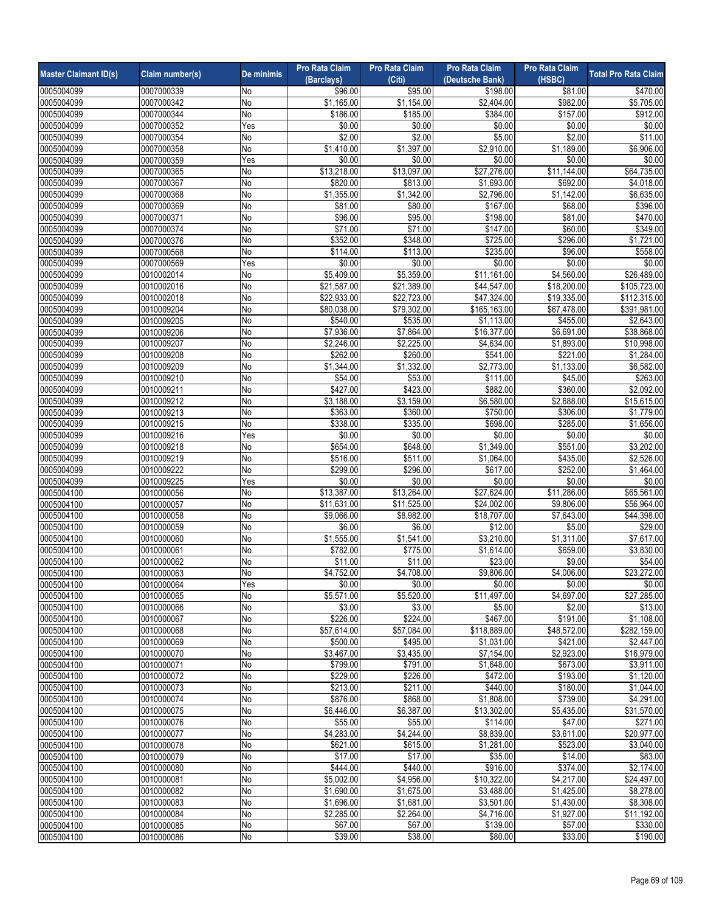| <b>Master Claimant ID(s)</b> | Claim number(s)          | De minimis | <b>Pro Rata Claim</b>               | <b>Pro Rata Claim</b>              | <b>Pro Rata Claim</b>  | <b>Pro Rata Claim</b> | <b>Total Pro Rata Claim</b> |
|------------------------------|--------------------------|------------|-------------------------------------|------------------------------------|------------------------|-----------------------|-----------------------------|
|                              |                          |            | (Barclays)                          | (Citi)                             | (Deutsche Bank)        | (HSBC)                |                             |
| 0005004099                   | 0007000339               | No         | \$96.00                             | \$95.00                            | \$198.00               | \$81.00               | \$470.00                    |
| 0005004099                   | 0007000342               | No         | $\overline{$1,165.00}$              | \$1,154.00                         | \$2.404.00             | \$982.00              | \$5,705.00                  |
| 0005004099                   | 0007000344               | No         | \$186.00                            | \$185.00                           | \$384.00               | \$157.00              | \$912.00                    |
| 0005004099                   | 0007000352               | Yes        | \$0.00                              | \$0.00                             | \$0.00                 | \$0.00                | \$0.00                      |
| 0005004099                   | 0007000354               | No         | \$2.00                              | \$2.00                             | \$5.00                 | \$2.00                | \$11.00                     |
| 0005004099                   | 0007000358               | No         | \$1,410.00                          | \$1,397.00                         | \$2,910.00             | \$1,189.00            | \$6,906.00                  |
| 0005004099                   | 0007000359               | Yes        | \$0.00                              | \$0.00                             | \$0.00                 | \$0.00                | \$0.00                      |
| 0005004099                   | 0007000365               | No         | \$13,218.00                         | \$13,097.00                        | \$27,276.00            | \$11,144.00           | \$64,735.00                 |
| 0005004099                   | 0007000367               | No<br>No   | \$820.00<br>$\overline{\$1,355.00}$ | \$813.00<br>$\overline{$1,342.00}$ | \$1,693.00             | \$692.00              | \$4,018.00<br>\$6,635.00    |
| 0005004099<br>0005004099     | 0007000368<br>0007000369 | No         | \$81.00                             | \$80.00                            | \$2,796.00             | \$1,142.00<br>\$68.00 | \$396.00                    |
| 0005004099                   | 0007000371               | No         | \$96.00                             | \$95.00                            | \$167.00<br>\$198.00   | \$81.00               | \$470.00                    |
| 0005004099                   | 0007000374               | <b>No</b>  | \$71.00                             | \$71.00                            | \$147.00               | \$60.00               | \$349.00                    |
| 0005004099                   | 0007000376               | No         | \$352.00                            | \$348.00                           | \$725.00               | \$296.00              | \$1,721.00                  |
| 0005004099                   | 0007000568               | No         | \$114.00                            | \$113.00                           | \$235.00               | \$96.00               | \$558.00                    |
| 0005004099                   | 0007000569               | Yes        | \$0.00                              | \$0.00                             | \$0.00                 | \$0.00                | \$0.00                      |
| 0005004099                   | 0010002014               | No         | \$5,409.00                          | \$5,359.00                         | \$11,161.00            | \$4,560.00            | \$26,489.00                 |
| 0005004099                   | 0010002016               | No         | \$21,587.00                         | \$21,389.00                        | \$44,547.00            | \$18,200.00           | \$105,723.00                |
| 0005004099                   | 0010002018               | No         | \$22,933.00                         | \$22,723.00                        | \$47,324.00            | \$19,335.00           | \$112,315.00                |
| 0005004099                   | 0010009204               | No         | \$80,038.00                         | \$79,302.00                        | \$165,163.00           | \$67,478.00           | \$391,981.00                |
| 0005004099                   | 0010009205               | No         | \$540.00                            | \$535.00                           | \$1,113.00             | \$455.00              | \$2,643.00                  |
| 0005004099                   | 0010009206               | No         | \$7,936.00                          | \$7,864.00                         | \$16,377.00            | \$6,691.00            | \$38,868.00                 |
| 0005004099                   | 0010009207               | No         | \$2,246.00                          | \$2,225.00                         | \$4,634.00             | \$1,893.00            | \$10,998.00                 |
| 0005004099                   | 0010009208               | No         | \$262.00                            | \$260.00                           | \$541.00               | \$221.00              | \$1,284.00                  |
| 0005004099                   | 0010009209               | No         | \$1,344.00                          | \$1,332.00                         | $\overline{$2,773.00}$ | \$1,133.00            | \$6,582.00                  |
| 0005004099                   | 0010009210               | No         | \$54.00                             | \$53.00                            | \$111.00               | \$45.00               | \$263.00                    |
| 0005004099                   | 0010009211               | No         | \$427.00                            | \$423.00                           | \$882.00               | \$360.00              | \$2,092.00                  |
| 0005004099                   | 0010009212               | No         | \$3,188.00                          | \$3,159.00                         | \$6,580.00             | \$2,688.00            | \$15,615.00                 |
| 0005004099                   | 0010009213               | No         | \$363.00                            | \$360.00                           | \$750.00               | \$306.00              | \$1,779.00                  |
| 0005004099                   | 0010009215               | No         | \$338.00                            | \$335.00                           | \$698.00               | \$285.00              | \$1,656.00                  |
| 0005004099                   | 0010009216               | Yes        | \$0.00                              | \$0.00                             | \$0.00                 | \$0.00                | \$0.00                      |
| 0005004099                   | 0010009218               | No         | \$654.00                            | \$648.00                           | \$1,349.00             | \$551.00              | \$3,202.00                  |
| 0005004099                   | 0010009219               | No         | \$516.00                            | \$511.00                           | \$1,064.00             | \$435.00              | \$2,526.00                  |
| 0005004099                   | 0010009222               | No         | \$299.00                            | \$296.00                           | \$617.00               | \$252.00              | \$1,464.00                  |
| 0005004099                   | 0010009225               | Yes        | \$0.00                              | \$0.00                             | \$0.00                 | \$0.00                | \$0.00                      |
| 0005004100                   | 0010000056               | No         | \$13,387.00                         | \$13,264.00                        | \$27,624.00            | \$11,286.00           | \$65,561.00                 |
| 0005004100                   | 0010000057               | No         | \$11,631.00                         | \$11,525.00                        | \$24,002.00            | \$9,806.00            | \$56,964.00                 |
| 0005004100                   | 0010000058               | <b>No</b>  | \$9,066.00                          | \$8,982.00                         | \$18,707.00            | \$7,643.00            | \$44,398.00                 |
| 0005004100                   | 0010000059               | No         | \$6.00                              | \$6.00                             | \$12.00                | \$5.00                | \$29.00                     |
| 0005004100                   | 0010000060               | No         | \$1,555.00                          | \$1,541.00                         | \$3,210.00             | \$1,311.00            | \$7,617.00                  |
| 0005004100                   | 0010000061               | <b>No</b>  | \$782.00                            | \$775.00                           | \$1,614.00             | \$659.00              | \$3,830.00                  |
| 0005004100                   | 0010000062               | No         | \$11.00                             | \$11.00                            | \$23.00                | \$9.00                | \$54.00                     |
| 0005004100                   | 0010000063               | No         | \$4,752.00                          | \$4,708.00                         | \$9,806.00             | \$4,006.00            | \$23,272.00                 |
| 0005004100                   | 0010000064               | Yes        | \$0.00                              | \$0.00                             | \$0.00                 | \$0.00                | \$0.00                      |
| 0005004100                   | 0010000065               | No         | \$5,571.00<br>\$3.00                | \$5,520.00<br>\$3.00               | \$11,497.00<br>\$5.00  | \$4,697.00<br>\$2.00  | \$27,285.00<br>\$13.00      |
| 0005004100<br>0005004100     | 0010000066<br>0010000067 | No<br>No   | \$226.00                            | \$224.00                           | \$467.00               | \$191.00              | \$1,108.00                  |
| 0005004100                   | 0010000068               | No         | \$57,614.00                         | \$57,084.00                        | \$118,889.00           | \$48,572.00           | \$282.159.00                |
| 0005004100                   | 0010000069               | No         | \$500.00                            | \$495.00                           | \$1,031.00             | \$421.00              | \$2,447.00                  |
| 0005004100                   | 0010000070               | No         | \$3,467.00                          | \$3,435.00                         | \$7,154.00             | \$2,923.00            | \$16,979.00                 |
| 0005004100                   | 0010000071               | No         | \$799.00                            | \$791.00                           | \$1,648.00             | \$673.00              | \$3.911.00                  |
| 0005004100                   | 0010000072               | No         | \$229.00                            | \$226.00                           | \$472.00               | \$193.00              | \$1,120.00                  |
| 0005004100                   | 0010000073               | No         | \$213.00                            | \$211.00                           | \$440.00               | \$180.00              | \$1.044.00                  |
| 0005004100                   | 0010000074               | No         | \$876.00                            | \$868.00                           | \$1,808.00             | \$739.00              | \$4,291.00                  |
| 0005004100                   | 0010000075               | No         | \$6,446.00                          | \$6,387.00                         | \$13,302.00            | \$5,435.00            | \$31,570.00                 |
| 0005004100                   | 0010000076               | No         | \$55.00                             | \$55.00                            | \$114.00               | \$47.00               | \$271.00                    |
| 0005004100                   | 0010000077               | No         | \$4,283.00                          | \$4,244.00                         | \$8,839.00             | \$3,611.00            | \$20,977.00                 |
| 0005004100                   | 0010000078               | No         | \$621.00                            | \$615.00                           | \$1,281.00             | \$523.00              | \$3,040.00                  |
| 0005004100                   | 0010000079               | No         | \$17.00                             | \$17.00                            | \$35.00                | \$14.00               | \$83.00                     |
| 0005004100                   | 0010000080               | No         | \$444.00                            | \$440.00                           | \$916.00               | \$374.00              | \$2,174.00                  |
| 0005004100                   | 0010000081               | No         | \$5,002.00                          | \$4,956.00                         | \$10,322.00            | \$4,217.00            | \$24,497.00                 |
| 0005004100                   | 0010000082               | No         | \$1,690.00                          | \$1,675.00                         | \$3,488.00             | \$1,425.00            | \$8,278.00                  |
| 0005004100                   | 0010000083               | No         | \$1,696.00                          | \$1,681.00                         | \$3,501.00             | \$1,430.00            | \$8,308.00                  |
| 0005004100                   | 0010000084               | No         | \$2,285.00                          | \$2,264.00                         | \$4,716.00             | \$1,927.00            | \$11,192.00                 |
| 0005004100                   | 0010000085               | No         | \$67.00                             | \$67.00                            | \$139.00               | \$57.00               | \$330.00                    |
| 0005004100                   | 0010000086               | No         | \$39.00                             | \$38.00                            | \$80.00                | \$33.00               | \$190.00                    |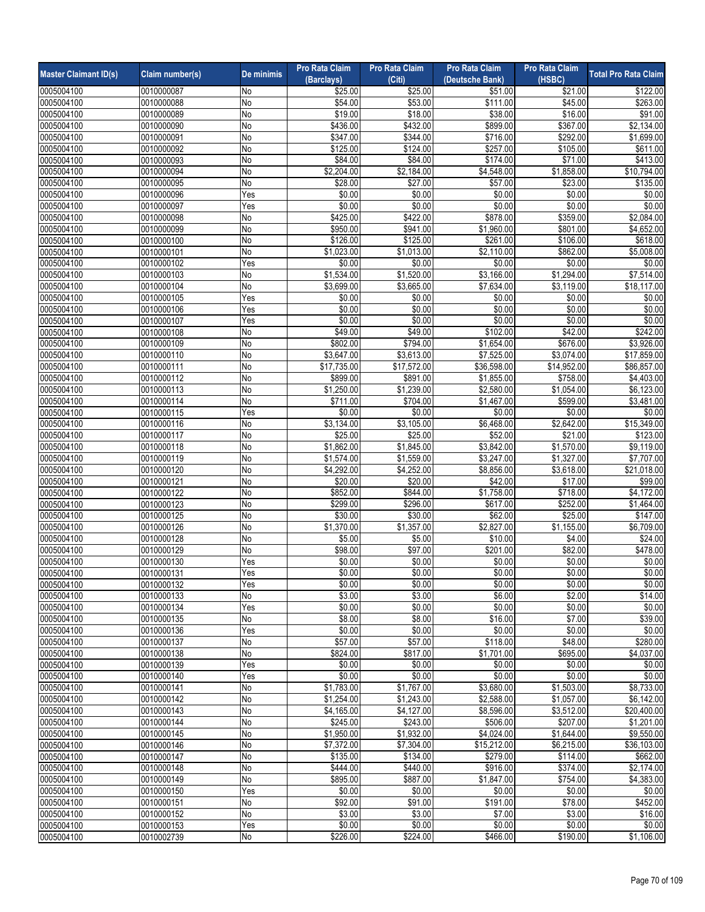| <b>Master Claimant ID(s)</b> | Claim number(s)          | De minimis | <b>Pro Rata Claim</b> | <b>Pro Rata Claim</b> | Pro Rata Claim         | <b>Pro Rata Claim</b> | Total Pro Rata Claim    |
|------------------------------|--------------------------|------------|-----------------------|-----------------------|------------------------|-----------------------|-------------------------|
|                              |                          |            | (Barclays)            | (Citi)                | (Deutsche Bank)        | (HSBC)                |                         |
| 0005004100                   | 0010000087               | No         | \$25.00               | \$25.00               | \$51.00                | \$21.00               | \$122.00                |
| 0005004100                   | 0010000088               | No         | \$54.00               | \$53.00               | \$111.00               | \$45.00               | \$263.00                |
| 0005004100                   | 0010000089               | No         | \$19.00               | \$18.00               | \$38.00                | \$16.00               | \$91.00                 |
| 0005004100                   | 0010000090               | No         | \$436.00              | \$432.00              | \$899.00               | \$367.00              | \$2,134.00              |
| 0005004100                   | 0010000091               | No         | \$347.00              | \$344.00              | \$716.00               | \$292.00              | \$1,699.00              |
| 0005004100                   | 0010000092               | No         | \$125.00              | \$124.00              | \$257.00               | \$105.00              | \$611.00                |
| 0005004100                   | 0010000093<br>0010000094 | No<br>No   | \$84.00               | \$84.00<br>\$2,184.00 | \$174.00<br>\$4,548.00 | \$71.00<br>\$1,858.00 | \$413.00<br>\$10,794.00 |
| 0005004100<br>0005004100     | 0010000095               | No         | \$2,204.00<br>\$28.00 | \$27.00               | \$57.00                | \$23.00               | \$135.00                |
| 0005004100                   | 0010000096               | Yes        | \$0.00                | \$0.00                | \$0.00                 | \$0.00                | \$0.00                  |
| 0005004100                   | 0010000097               | Yes        | \$0.00                | \$0.00                | \$0.00                 | \$0.00                | \$0.00                  |
| 0005004100                   | 0010000098               | No         | \$425.00              | \$422.00              | \$878.00               | \$359.00              | \$2,084.00              |
| 0005004100                   | 0010000099               | No         | \$950.00              | \$941.00              | \$1,960.00             | \$801.00              | \$4,652.00              |
| 0005004100                   | 0010000100               | No         | \$126.00              | \$125.00              | \$261.00               | \$106.00              | \$618.00                |
| 0005004100                   | 0010000101               | No         | \$1,023.00            | \$1,013.00            | \$2,110.00             | \$862.00              | \$5,008.00              |
| 0005004100                   | 0010000102               | Yes        | \$0.00                | \$0.00                | \$0.00                 | \$0.00                | \$0.00                  |
| 0005004100                   | 0010000103               | No         | \$1,534.00            | \$1,520.00            | \$3,166.00             | \$1,294.00            | \$7,514.00              |
| 0005004100                   | 0010000104               | No         | \$3,699.00            | \$3,665.00            | \$7,634.00             | \$3,119.00            | \$18,117.00             |
| 0005004100                   | 0010000105               | Yes        | \$0.00                | \$0.00                | \$0.00                 | \$0.00                | \$0.00                  |
| 0005004100                   | 0010000106               | Yes        | \$0.00                | \$0.00                | \$0.00                 | \$0.00                | \$0.00                  |
| 0005004100                   | 0010000107               | Yes        | \$0.00                | \$0.00                | \$0.00                 | \$0.00                | \$0.00                  |
| 0005004100                   | 0010000108               | No         | \$49.00               | \$49.00               | \$102.00               | \$42.00               | \$242.00                |
| 0005004100                   | 0010000109               | No         | \$802.00              | \$794.00              | \$1,654.00             | \$676.00              | \$3,926.00              |
| 0005004100                   | 0010000110               | No         | \$3,647.00            | \$3,613.00            | \$7,525.00             | \$3,074.00            | \$17,859.00             |
| 0005004100                   | 0010000111               | <b>No</b>  | \$17,735.00           | \$17,572.00           | \$36,598.00            | \$14,952.00           | \$86,857.00             |
| 0005004100                   | 0010000112               | No         | \$899.00              | \$891.00              | \$1,855.00             | \$758.00              | \$4,403.00              |
| 0005004100                   | 0010000113               | <b>No</b>  | \$1,250.00            | \$1,239.00            | \$2,580.00             | \$1,054.00            | \$6,123.00              |
| 0005004100                   | 0010000114               | No         | \$711.00              | \$704.00              | \$1,467.00             | \$599.00              | \$3,481.00              |
| 0005004100                   | 0010000115               | Yes        | \$0.00                | \$0.00                | \$0.00                 | \$0.00                | \$0.00                  |
| 0005004100                   | 0010000116               | No         | \$3,134.00            | \$3,105.00            | \$6,468.00             | \$2,642.00            | \$15,349.00             |
| 0005004100                   | 0010000117               | <b>No</b>  | \$25.00               | \$25.00               | \$52.00                | \$21.00               | \$123.00                |
| 0005004100                   | 0010000118               | No         | \$1,862.00            | \$1,845.00            | \$3,842.00             | \$1,570.00            | \$9,119.00              |
| 0005004100                   | 0010000119               | <b>No</b>  | \$1,574.00            | \$1,559.00            | \$3,247.00             | \$1,327.00            | \$7,707.00              |
| 0005004100                   | 0010000120               | No         | \$4,292.00            | \$4,252.00            | \$8,856.00             | \$3,618.00            | \$21,018.00             |
| 0005004100                   | 0010000121               | <b>No</b>  | \$20.00               | \$20.00               | \$42.00                | \$17.00               | \$99.00                 |
| 0005004100                   | 0010000122               | <b>No</b>  | \$852.00              | \$844.00              | \$1,758.00             | \$718.00              | \$4,172.00              |
| 0005004100                   | 0010000123               | No         | \$299.00              | \$296.00              | \$617.00               | \$252.00              | \$1,464.00              |
| 0005004100                   | 0010000125               | <b>No</b>  | \$30.00               | \$30.00               | \$62.00                | \$25.00               | \$147.00                |
| 0005004100                   | 0010000126               | No         | \$1,370.00            | \$1,357.00            | \$2,827.00             | \$1,155.00            | \$6,709.00              |
| 0005004100                   | 0010000128               | No         | \$5.00                | \$5.00                | \$10.00                | \$4.00                | \$24.00                 |
| 0005004100                   | 0010000129               | No         | \$98.00               | \$97.00               | \$201.00               | \$82.00               | \$478.00                |
| 0005004100                   | 0010000130               | Yes        | \$0.00                | \$0.00                | \$0.00                 | \$0.00                | \$0.00                  |
| 0005004100                   | 0010000131               | Yes        | \$0.00                | \$0.00                | \$0.00                 | \$0.00                | \$0.00                  |
| 0005004100                   | 0010000132               | Yes        | \$0.00                | \$0.00                | \$0.00                 | \$0.00                | \$0.00                  |
| 0005004100                   | 0010000133               | No         | \$3.00                | \$3.00                | \$6.00                 | \$2.00                | \$14.00                 |
| 0005004100                   | 0010000134               | Yes        | \$0.00                | \$0.00                | \$0.00                 | \$0.00                | \$0.00                  |
| 0005004100                   | 0010000135               | No         | \$8.00                | \$8.00                | \$16.00                | \$7.00                | \$39.00                 |
| 0005004100                   | 0010000136               | Yes        | \$0.00                | \$0.00                | \$0.00                 | \$0.00                | \$0.00                  |
| 0005004100                   | 0010000137               | No         | \$57.00               | \$57.00               | \$118.00               | \$48.00               | \$280.00                |
| 0005004100                   | 0010000138               | No         | \$824.00              | \$817.00              | \$1,701.00             | \$695.00              | \$4,037.00              |
| 0005004100                   | 0010000139               | Yes        | \$0.00                | \$0.00                | \$0.00                 | \$0.00                | \$0.00                  |
| 0005004100                   | 0010000140               | Yes        | \$0.00                | \$0.00                | \$0.00                 | \$0.00                | \$0.00                  |
| 0005004100                   | 0010000141               | No         | \$1,783.00            | \$1,767.00            | \$3,680.00             | \$1,503.00            | \$8,733.00              |
| 0005004100                   | 0010000142               | No         | \$1,254.00            | \$1,243.00            | \$2,588.00             | \$1,057.00            | \$6,142.00              |
| 0005004100                   | 0010000143               | No         | \$4,165.00            | \$4,127.00            | \$8,596.00             | \$3,512.00            | \$20,400.00             |
| 0005004100                   | 0010000144               | <b>No</b>  | \$245.00              | \$243.00              | \$506.00               | \$207.00              | \$1.201.00              |
| 0005004100                   | 0010000145               | <b>No</b>  | \$1,950.00            | \$1,932.00            | \$4,024.00             | \$1,644.00            | \$9,550.00              |
| 0005004100                   | 0010000146               | <b>No</b>  | \$7,372.00            | \$7,304.00            | \$15,212.00            | \$6,215.00            | \$36,103.00             |
| 0005004100                   | 0010000147               | <b>No</b>  | \$135.00              | \$134.00              | \$279.00               | \$114.00              | \$662.00                |
| 0005004100                   | 0010000148               | <b>No</b>  | \$444.00              | \$440.00              | \$916.00               | \$374.00              | \$2,174.00              |
| 0005004100                   | 0010000149               | <b>No</b>  | \$895.00              | \$887.00              | \$1,847.00             | \$754.00              | \$4,383.00              |
| 0005004100                   | 0010000150               | Yes        | \$0.00                | \$0.00                | \$0.00                 | \$0.00                | \$0.00                  |
| 0005004100                   | 0010000151               | No         | \$92.00               | \$91.00               | \$191.00               | \$78.00               | \$452.00                |
| 0005004100                   | 0010000152               | <b>No</b>  | \$3.00                | \$3.00                | \$7.00                 | \$3.00                | \$16.00                 |
| 0005004100                   | 0010000153               | Yes        | \$0.00                | \$0.00                | \$0.00                 | \$0.00                | \$0.00                  |
| 0005004100                   | 0010002739               | No         | \$226.00              | \$224.00              | \$466.00               | \$190.00              | \$1,106.00              |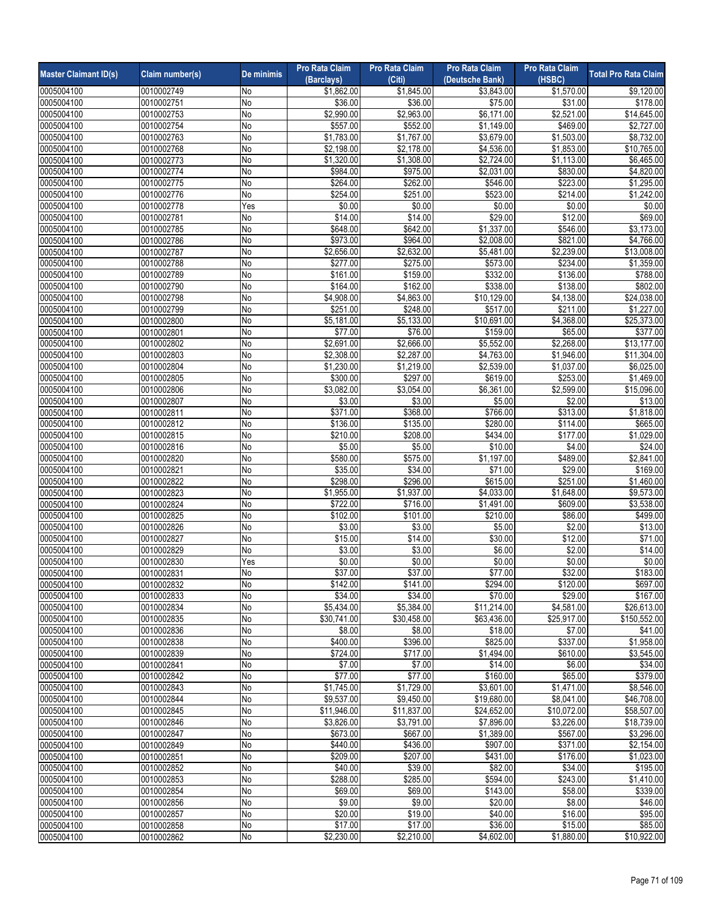| <b>Master Claimant ID(s)</b> | Claim number(s)          | De minimis      | <b>Pro Rata Claim</b> | <b>Pro Rata Claim</b>  | Pro Rata Claim          | Pro Rata Claim         | Total Pro Rata Claim |
|------------------------------|--------------------------|-----------------|-----------------------|------------------------|-------------------------|------------------------|----------------------|
|                              |                          |                 | (Barclays)            | (Citi)                 | (Deutsche Bank)         | (HSBC)                 |                      |
| 0005004100                   | 0010002749               | No              | \$1,862.00            | \$1,845.00             | \$3,843.00              | \$1,570.00             | \$9,120.00           |
| 0005004100                   | 0010002751               | <b>No</b>       | \$36.00               | \$36.00                | \$75.00                 | \$31.00                | \$178.00             |
| 0005004100                   | 0010002753               | No              | \$2,990.00            | \$2,963.00             | \$6,171.00              | \$2,521.00             | \$14,645.00          |
| 0005004100                   | 0010002754               | No              | \$557.00              | \$552.00               | \$1,149.00              | \$469.00               | \$2,727.00           |
| 0005004100                   | 0010002763               | No              | \$1,783.00            | \$1,767.00             | \$3,679.00              | \$1,503.00             | \$8,732.00           |
| 0005004100                   | 0010002768               | <b>No</b>       | \$2,198.00            | \$2,178.00             | \$4,536.00              | \$1,853.00             | \$10,765.00          |
| 0005004100                   | 0010002773               | No              | \$1,320.00            | \$1,308.00             | \$2,724.00              | \$1,113.00             | \$6,465.00           |
| 0005004100                   | 0010002774               | <b>No</b>       | \$984.00              | \$975.00               | \$2,031.00              | \$830.00               | \$4,820.00           |
| 0005004100                   | 0010002775               | No              | \$264.00              | \$262.00               | \$546.00                | \$223.00               | \$1,295.00           |
| 0005004100                   | 0010002776               | <b>No</b>       | \$254.00              | \$251.00               | \$523.00                | \$214.00               | \$1,242.00           |
| 0005004100                   | 0010002778               | Yes             | \$0.00                | \$0.00                 | \$0.00                  | \$0.00                 | \$0.00               |
| 0005004100                   | 0010002781               | No              | \$14.00               | \$14.00                | \$29.00                 | \$12.00                | \$69.00              |
| 0005004100                   | 0010002785               | <b>No</b>       | \$648.00              | \$642.00               | \$1,337.00              | \$546.00               | \$3,173.00           |
| 0005004100                   | 0010002786               | <b>No</b>       | \$973.00              | \$964.00               | \$2,008.00              | \$821.00               | \$4,766.00           |
| 0005004100                   | 0010002787               | No              | \$2,656.00            | \$2,632.00             | \$5,481.00              | \$2,239.00             | \$13,008.00          |
| 0005004100                   | 0010002788               | No              | \$277.00              | \$275.00               | \$573.00                | \$234.00               | \$1,359.00           |
| 0005004100                   | 0010002789               | No              | \$161.00<br>\$164.00  | \$159.00               | \$332.00                | \$136.00               | \$788.00<br>\$802.00 |
| 0005004100                   | 0010002790               | No<br><b>No</b> | \$4,908.00            | \$162.00<br>\$4,863.00 | \$338.00<br>\$10,129.00 | \$138.00<br>\$4,138.00 | \$24,038.00          |
| 0005004100<br>0005004100     | 0010002798<br>0010002799 | No              | \$251.00              | \$248.00               | \$517.00                | \$211.00               | \$1,227.00           |
| 0005004100                   | 0010002800               | No              | \$5,181.00            | \$5,133.00             | \$10,691.00             | \$4,368.00             | \$25,373.00          |
| 0005004100                   | 0010002801               | <b>No</b>       | \$77.00               | \$76.00                | \$159.00                | \$65.00                | \$377.00             |
| 0005004100                   | 0010002802               | No              | \$2,691.00            | \$2,666.00             | \$5,552.00              | \$2,268.00             | \$13,177.00          |
| 0005004100                   | 0010002803               | <b>No</b>       | \$2,308.00            | \$2,287.00             | \$4,763.00              | \$1,946.00             | \$11,304.00          |
| 0005004100                   | 0010002804               | <b>No</b>       | \$1,230.00            | \$1,219.00             | \$2,539.00              | \$1,037.00             | \$6,025.00           |
| 0005004100                   | 0010002805               | No              | \$300.00              | \$297.00               | \$619.00                | \$253.00               | \$1,469.00           |
| 0005004100                   | 0010002806               | <b>No</b>       | \$3,082.00            | \$3,054.00             | \$6,361.00              | \$2,599.00             | \$15,096.00          |
| 0005004100                   | 0010002807               | No              | \$3.00                | \$3.00                 | \$5.00                  | \$2.00                 | \$13.00              |
| 0005004100                   | 0010002811               | No              | \$371.00              | \$368.00               | \$766.00                | \$313.00               | \$1,818.00           |
| 0005004100                   | 0010002812               | No              | \$136.00              | \$135.00               | \$280.00                | \$114.00               | \$665.00             |
| 0005004100                   | 0010002815               | No              | \$210.00              | \$208.00               | \$434.00                | \$177.00               | \$1,029.00           |
| 0005004100                   | 0010002816               | No              | \$5.00                | \$5.00                 | \$10.00                 | \$4.00                 | \$24.00              |
| 0005004100                   | 0010002820               | No              | \$580.00              | \$575.00               | \$1,197.00              | \$489.00               | \$2,841.00           |
| 0005004100                   | 0010002821               | No              | \$35.00               | \$34.00                | \$71.00                 | \$29.00                | \$169.00             |
| 0005004100                   | 0010002822               | No              | \$298.00              | \$296.00               | \$615.00                | \$251.00               | \$1,460.00           |
| 0005004100                   | 0010002823               | No              | \$1,955.00            | \$1,937.00             | \$4,033.00              | \$1,648.00             | \$9,573.00           |
| 0005004100                   | 0010002824               | No              | \$722.00              | \$716.00               | \$1,491.00              | \$609.00               | \$3,538.00           |
| 0005004100                   | 0010002825               | No              | \$102.00              | \$101.00               | \$210.00                | \$86.00                | \$499.00             |
| 0005004100                   | 0010002826               | No              | \$3.00                | \$3.00                 | \$5.00                  | \$2.00                 | \$13.00              |
| 0005004100                   | 0010002827               | No              | \$15.00               | \$14.00                | \$30.00                 | \$12.00                | \$71.00              |
| 0005004100                   | 0010002829               | No              | \$3.00                | \$3.00                 | \$6.00                  | \$2.00                 | \$14.00              |
| 0005004100                   | 0010002830               | Yes             | \$0.00                | \$0.00                 | \$0.00                  | \$0.00                 | \$0.00               |
| 0005004100                   | 0010002831               | No              | \$37.00               | \$37.00                | \$77.00                 | \$32.00                | \$183.00             |
| 0005004100                   | 0010002832               | No              | \$142.00              | \$141.00               | \$294.00                | \$120.00               | \$697.00             |
| 0005004100                   | 0010002833               | No              | \$34.00               | \$34.00                | \$70.00                 | \$29.00                | \$167.00             |
| 0005004100                   | 0010002834               | No              | \$5,434.00            | \$5,384.00             | \$11,214.00             | \$4,581.00             | \$26,613.00          |
| 0005004100                   | 0010002835               | No              | \$30,741.00           | \$30,458.00            | \$63,436.00             | \$25.917.00            | \$150,552.00         |
| 0005004100                   | 0010002836               | No              | \$8.00                | \$8.00                 | \$18.00                 | \$7.00                 | \$41.00              |
| 0005004100                   | 0010002838               | No              | \$400.00              | \$396.00               | \$825.00                | \$337.00               | \$1,958.00           |
| 0005004100                   | 0010002839               | No              | \$724.00              | \$717.00               | \$1,494.00              | \$610.00               | \$3,545.00           |
| 0005004100                   | 0010002841               | No              | \$7.00                | \$7.00                 | \$14.00                 | \$6.00                 | \$34.00              |
| 0005004100                   | 0010002842               | No              | \$77.00               | \$77.00                | \$160.00                | \$65.00                | \$379.00             |
| 0005004100                   | 0010002843               | No              | \$1,745.00            | \$1,729.00             | \$3,601.00              | \$1,471.00             | \$8,546.00           |
| 0005004100                   | 0010002844               | No              | \$9,537.00            | \$9,450.00             | \$19,680.00             | \$8,041.00             | \$46,708.00          |
| 0005004100                   | 0010002845               | No              | \$11,946.00           | \$11,837.00            | \$24,652.00             | \$10,072.00            | \$58,507.00          |
| 0005004100                   | 0010002846               | No              | \$3,826.00            | \$3,791.00             | \$7,896.00              | \$3,226.00             | \$18,739.00          |
| 0005004100                   | 0010002847               | No              | \$673.00              | \$667.00               | \$1,389.00              | \$567.00               | \$3,296.00           |
| 0005004100                   | 0010002849               | <b>No</b>       | \$440.00              | \$436.00               | \$907.00                | \$371.00               | \$2,154.00           |
| 0005004100                   | 0010002851               | No              | \$209.00              | \$207.00               | \$431.00                | \$176.00               | \$1,023.00           |
| 0005004100                   | 0010002852               | No              | \$40.00               | \$39.00                | \$82.00                 | \$34.00                | \$195.00             |
| 0005004100                   | 0010002853               | No              | \$288.00              | \$285.00               | \$594.00                | \$243.00               | \$1,410.00           |
| 0005004100                   | 0010002854               | <b>No</b>       | \$69.00               | \$69.00                | \$143.00                | \$58.00                | \$339.00             |
| 0005004100                   | 0010002856               | No              | \$9.00                | \$9.00                 | \$20.00                 | \$8.00                 | \$46.00              |
| 0005004100                   | 0010002857               | No              | \$20.00               | \$19.00                | \$40.00                 | \$16.00                | \$95.00              |
| 0005004100                   | 0010002858               | <b>No</b>       | \$17.00               | \$17.00                | \$36.00                 | \$15.00                | \$85.00              |
| 0005004100                   | 0010002862               | <b>No</b>       | \$2,230.00            | \$2,210.00             | $\overline{$4,602.00}$  | \$1,880.00             | \$10,922.00          |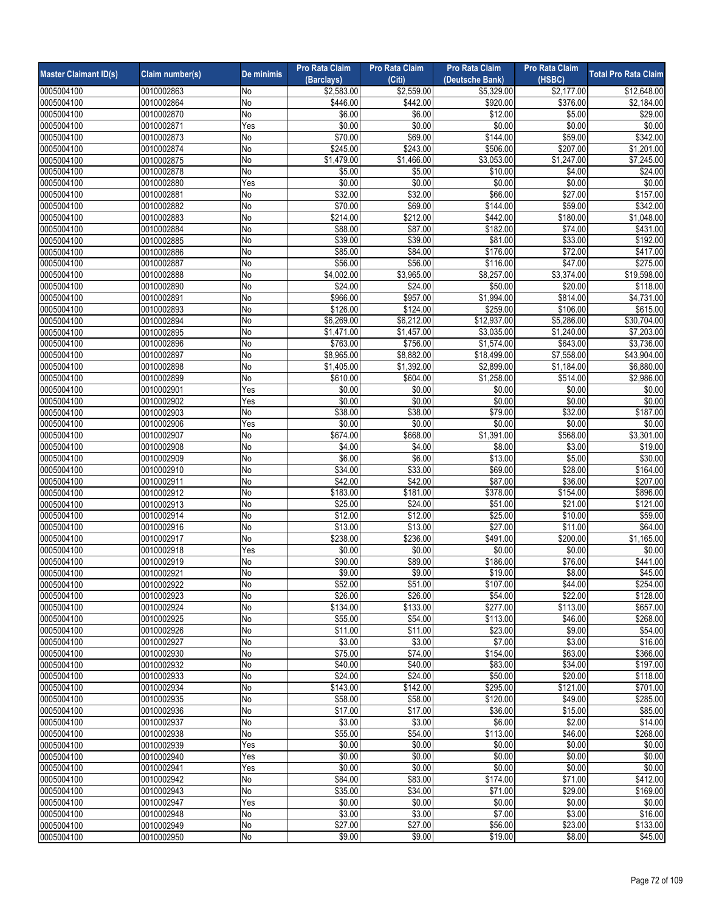| <b>Master Claimant ID(s)</b> | Claim number(s) | De minimis | <b>Pro Rata Claim</b> | <b>Pro Rata Claim</b> | Pro Rata Claim  | <b>Pro Rata Claim</b> | Total Pro Rata Claim   |
|------------------------------|-----------------|------------|-----------------------|-----------------------|-----------------|-----------------------|------------------------|
|                              |                 |            | (Barclays)            | (Citi)                | (Deutsche Bank) | (HSBC)                |                        |
| 0005004100                   | 0010002863      | No         | \$2,583.00            | \$2,559.00            | \$5,329.00      | \$2,177.00            | \$12,648.00            |
| 0005004100                   | 0010002864      | <b>No</b>  | \$446.00              | \$442.00              | \$920.00        | \$376.00              | \$2,184.00             |
| 0005004100                   | 0010002870      | <b>No</b>  | \$6.00                | \$6.00                | \$12.00         | \$5.00                | \$29.00                |
| 0005004100                   | 0010002871      | Yes        | \$0.00                | \$0.00                | \$0.00          | \$0.00                | \$0.00                 |
| 0005004100                   | 0010002873      | No         | \$70.00               | \$69.00               | \$144.00        | \$59.00               | \$342.00               |
| 0005004100                   | 0010002874      | No         | \$245.00              | \$243.00              | \$506.00        | \$207.00              | \$1,201.00             |
| 0005004100                   | 0010002875      | No         | \$1,479.00            | \$1,466.00            | \$3,053.00      | \$1,247.00            | \$7,245.00             |
| 0005004100                   | 0010002878      | No         | \$5.00                | \$5.00                | \$10.00         | \$4.00                | \$24.00                |
| 0005004100                   | 0010002880      | Yes        | \$0.00                | \$0.00                | \$0.00          | \$0.00                | \$0.00                 |
| 0005004100                   | 0010002881      | No         | \$32.00               | \$32.00               | \$66.00         | \$27.00               | \$157.00               |
| 0005004100                   | 0010002882      | No         | \$70.00               | \$69.00               | \$144.00        | \$59.00               | \$342.00               |
| 0005004100                   | 0010002883      | No         | \$214.00              | \$212.00              | \$442.00        | \$180.00              | \$1,048.00             |
| 0005004100                   | 0010002884      | No         | \$88.00               | \$87.00               | \$182.00        | \$74.00               | \$431.00               |
| 0005004100                   | 0010002885      | No         | \$39.00               | \$39.00               | \$81.00         | \$33.00               | \$192.00               |
| 0005004100                   | 0010002886      | No         | \$85.00               | \$84.00               | \$176.00        | \$72.00               | \$417.00               |
| 0005004100                   | 0010002887      | No         | \$56.00               | \$56.00               | \$116.00        | \$47.00               | \$275.00               |
| 0005004100                   | 0010002888      | No         | \$4,002.00            | \$3,965.00            | \$8,257.00      | \$3,374.00            | \$19,598.00            |
| 0005004100                   | 0010002890      | No         | \$24.00               | \$24.00               | \$50.00         | \$20.00               | \$118.00               |
| 0005004100                   | 0010002891      | No         | \$966.00              | \$957.00              | \$1,994.00      | \$814.00              | \$4,731.00             |
| 0005004100                   | 0010002893      | No         | \$126.00              | \$124.00              | \$259.00        | \$106.00              | \$615.00               |
| 0005004100                   | 0010002894      | No         | \$6,269.00            | \$6,212.00            | \$12,937.00     | \$5,286.00            | \$30,704.00            |
| 0005004100                   | 0010002895      | No         | \$1,471.00            | \$1,457.00            | \$3,035.00      | \$1,240.00            | \$7,203.00             |
| 0005004100                   | 0010002896      | No         | \$763.00              | \$756.00              | \$1,574.00      | \$643.00              | \$3,736.00             |
| 0005004100                   | 0010002897      | No         | \$8,965.00            | \$8,882.00            | \$18,499.00     | \$7,558.00            | \$43,904.00            |
| 0005004100                   | 0010002898      | No         | \$1,405.00            | \$1,392.00            | \$2,899.00      | \$1,184.00            | \$6,880.00             |
| 0005004100                   | 0010002899      | No         | \$610.00              | \$604.00              | \$1,258.00      | \$514.00              | \$2,986.00             |
| 0005004100                   | 0010002901      | Yes        | \$0.00                | \$0.00                | \$0.00          | \$0.00                | \$0.00                 |
| 0005004100                   | 0010002902      | Yes        | \$0.00                | \$0.00                | \$0.00          | \$0.00                | \$0.00                 |
| 0005004100                   | 0010002903      | No         | \$38.00               | \$38.00               | \$79.00         | \$32.00               | \$187.00               |
| 0005004100                   | 0010002906      | Yes        | \$0.00                | \$0.00                | \$0.00          | \$0.00                | \$0.00                 |
| 0005004100                   | 0010002907      | No         | \$674.00              | \$668.00              | \$1,391.00      | \$568.00              | \$3,301.00             |
| 0005004100                   | 0010002908      | No         | \$4.00                | \$4.00                | \$8.00          | \$3.00                | \$19.00                |
| 0005004100                   | 0010002909      | No         | \$6.00                | \$6.00                | \$13.00         | \$5.00                | \$30.00                |
| 0005004100                   | 0010002910      | No         | \$34.00               | \$33.00               | \$69.00         | \$28.00               | \$164.00               |
| 0005004100                   | 0010002911      | No         | \$42.00               | \$42.00               | \$87.00         | \$36.00               | \$207.00               |
| 0005004100                   | 0010002912      | No         | \$183.00              | \$181.00              | \$378.00        | \$154.00              | \$896.00               |
| 0005004100                   | 0010002913      | No         | \$25.00               | \$24.00               | \$51.00         | \$21.00               | \$121.00               |
| 0005004100                   | 0010002914      | No         | \$12.00               | \$12.00               | \$25.00         | \$10.00               | \$59.00                |
| 0005004100                   | 0010002916      | No         | \$13.00               | \$13.00               | \$27.00         | \$11.00               | \$64.00                |
| 0005004100                   | 0010002917      | No         | \$238.00              | \$236.00              | \$491.00        | \$200.00              | $\overline{$1,165.00}$ |
| 0005004100                   | 0010002918      | Yes        | \$0.00                | \$0.00                | \$0.00          | \$0.00                | \$0.00                 |
| 0005004100                   | 0010002919      | No         | \$90.00               | \$89.00               | \$186.00        | \$76.00               | \$441.00               |
| 0005004100                   | 0010002921      | No         | \$9.00                | \$9.00                | \$19.00         | \$8.00                | \$45.00                |
| 0005004100                   | 0010002922      | No         | \$52.00               | \$51.00               | \$107.00        | \$44.00               | \$254.00               |
| 0005004100                   | 0010002923      | No         | \$26.00               | \$26.00               | \$54.00         | \$22.00               | \$128.00               |
| 0005004100                   | 0010002924      | No         | \$134.00              | \$133.00              | \$277.00        | \$113.00              | \$657.00               |
| 0005004100                   | 0010002925      | <b>No</b>  | \$55.00               | \$54.00               | \$113.00        | \$46.00               | \$268.00               |
| 0005004100                   | 0010002926      | No         | \$11.00               | \$11.00               | \$23.00         | \$9.00                | \$54.00                |
| 0005004100                   | 0010002927      | No         | \$3.00                | \$3.00                | \$7.00          | \$3.00                | \$16.00                |
| 0005004100                   | 0010002930      | No         | \$75.00               | \$74.00               | \$154.00        | \$63.00               | \$366.00               |
| 0005004100                   | 0010002932      | No         | \$40.00               | \$40.00               | \$83.00         | \$34.00               | \$197.00               |
| 0005004100                   | 0010002933      | No         | \$24.00               | \$24.00               | \$50.00         | \$20.00               | \$118.00               |
| 0005004100                   | 0010002934      | <b>No</b>  | \$143.00              | \$142.00              | \$295.00        | \$121.00              | \$701.00               |
| 0005004100                   | 0010002935      | No         | \$58.00               | \$58.00               | \$120.00        | \$49.00               | \$285.00               |
| 0005004100                   | 0010002936      | No         | \$17.00               | \$17.00               | \$36.00         | \$15.00               | \$85.00                |
| 0005004100                   | 0010002937      | No         | \$3.00                | \$3.00                | \$6.00          | \$2.00                | \$14.00                |
| 0005004100                   | 0010002938      | No         | \$55.00               | \$54.00               | \$113.00        | \$46.00               | \$268.00               |
| 0005004100                   | 0010002939      | Yes        | \$0.00                | \$0.00                | \$0.00          | \$0.00                | \$0.00                 |
| 0005004100                   | 0010002940      | Yes        | \$0.00                | \$0.00                | \$0.00          | \$0.00                | \$0.00                 |
| 0005004100                   | 0010002941      | Yes        | \$0.00                | \$0.00                | \$0.00          | \$0.00                | \$0.00                 |
| 0005004100                   | 0010002942      | <b>No</b>  | \$84.00               | \$83.00               | \$174.00        | \$71.00               | \$412.00               |
| 0005004100                   | 0010002943      | <b>No</b>  | \$35.00               | \$34.00               | \$71.00         | \$29.00               | \$169.00               |
| 0005004100                   | 0010002947      | Yes        | \$0.00                | \$0.00                | \$0.00          | \$0.00                | \$0.00                 |
| 0005004100                   | 0010002948      | No         | \$3.00                | \$3.00                | \$7.00          | \$3.00                | \$16.00                |
| 0005004100                   | 0010002949      | <b>No</b>  | \$27.00               | \$27.00               | \$56.00         | \$23.00               | \$133.00               |
| 0005004100                   | 0010002950      | <b>No</b>  | \$9.00                | \$9.00                | \$19.00         | \$8.00                | \$45.00                |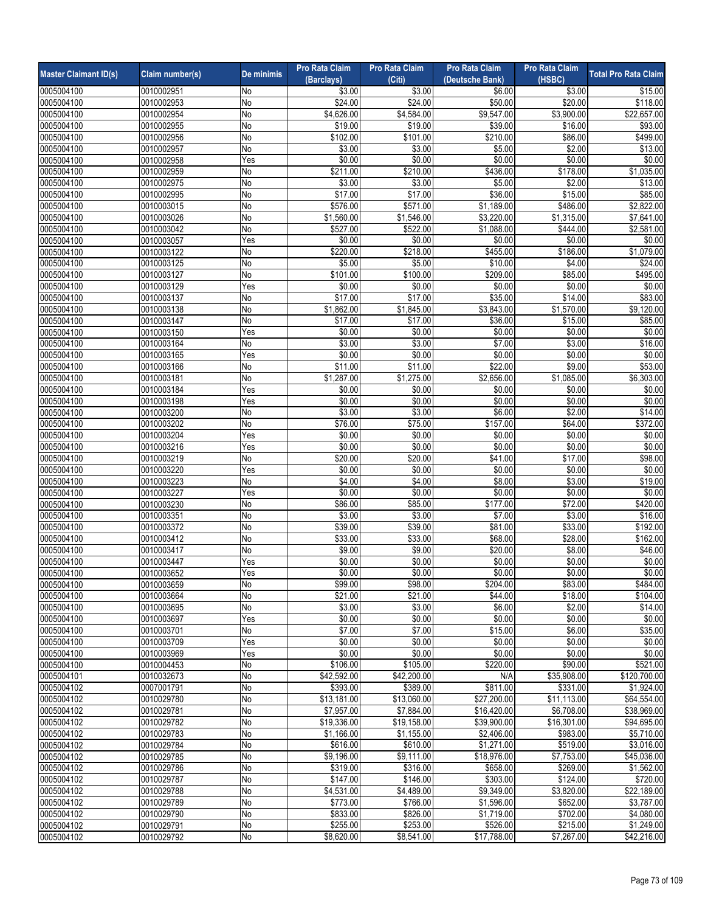| <b>Master Claimant ID(s)</b> | Claim number(s) | De minimis | Pro Rata Claim<br>(Barclays) | <b>Pro Rata Claim</b><br>(Citi) | Pro Rata Claim<br>(Deutsche Bank) | Pro Rata Claim<br>(HSBC) | <b>Total Pro Rata Claim</b> |
|------------------------------|-----------------|------------|------------------------------|---------------------------------|-----------------------------------|--------------------------|-----------------------------|
| 0005004100                   | 0010002951      | No         | \$3.00                       | \$3.00                          | \$6.00                            | \$3.00                   | \$15.00                     |
| 0005004100                   | 0010002953      | No         | \$24.00                      | \$24.00                         | \$50.00                           | \$20.00                  | \$118.00                    |
| 0005004100                   | 0010002954      | No         | \$4,626.00                   | \$4,584.00                      | \$9,547.00                        | \$3,900.00               | \$22,657.00                 |
| 0005004100                   | 0010002955      | No         | \$19.00                      | \$19.00                         | \$39.00                           | \$16.00                  | \$93.00                     |
| 0005004100                   | 0010002956      | No         | \$102.00                     | \$101.00                        | \$210.00                          | \$86.00                  | \$499.00                    |
| 0005004100                   | 0010002957      | No         | \$3.00                       | \$3.00                          | \$5.00                            | \$2.00                   | \$13.00                     |
| 0005004100                   | 0010002958      | Yes        | \$0.00                       | \$0.00                          | \$0.00                            | \$0.00                   | \$0.00                      |
| 0005004100                   | 0010002959      | No         | \$211.00                     | \$210.00                        | \$436.00                          | \$178.00                 | \$1,035.00                  |
| 0005004100                   | 0010002975      | No         | \$3.00                       | \$3.00                          | \$5.00                            | \$2.00                   | \$13.00                     |
| 0005004100                   | 0010002995      | No         | \$17.00                      | \$17.00                         | \$36.00                           | \$15.00                  | \$85.00                     |
| 0005004100                   | 0010003015      | No         | \$576.00                     | \$571.00                        | \$1,189.00                        | \$486.00                 | \$2,822.00                  |
| 0005004100                   | 0010003026      | No         | \$1.560.00                   | \$1,546.00                      | \$3,220.00                        | \$1,315.00               | \$7,641.00                  |
| 0005004100                   | 0010003042      | No         | \$527.00                     | \$522.00                        | \$1,088.00                        | \$444.00                 | \$2,581.00                  |
| 0005004100                   | 0010003057      | Yes        | \$0.00                       | \$0.00                          | \$0.00                            | \$0.00                   | \$0.00                      |
| 0005004100                   | 0010003122      | No         | \$220.00                     | \$218.00                        | \$455.00                          | \$186.00                 | \$1,079.00                  |
| 0005004100                   | 0010003125      | No         | \$5.00                       | \$5.00                          | \$10.00                           | \$4.00                   | \$24.00                     |
| 0005004100                   | 0010003127      | No         | \$101.00                     | \$100.00                        | \$209.00                          | \$85.00                  | \$495.00                    |
| 0005004100                   | 0010003129      | Yes        | \$0.00                       | \$0.00                          | \$0.00                            | \$0.00                   | \$0.00                      |
| 0005004100                   | 0010003137      | No         | \$17.00                      | \$17.00                         | \$35.00                           | \$14.00                  | \$83.00                     |
| 0005004100                   | 0010003138      | No         | \$1,862.00                   | \$1,845.00                      | \$3,843.00                        | \$1,570.00               | \$9,120.00                  |
| 0005004100                   | 0010003147      | No         | \$17.00                      | \$17.00                         | \$36.00                           | \$15.00                  | \$85.00                     |
| 0005004100                   | 0010003150      | Yes        | \$0.00                       | \$0.00                          | \$0.00                            | \$0.00                   | \$0.00                      |
| 0005004100                   | 0010003164      | No         | \$3.00                       | \$3.00                          | \$7.00                            | \$3.00                   | \$16.00                     |
| 0005004100                   | 0010003165      | Yes        | \$0.00                       | \$0.00                          | \$0.00                            | \$0.00                   | \$0.00                      |
| 0005004100                   | 0010003166      | No         | \$11.00                      | \$11.00                         | \$22.00                           | \$9.00                   | \$53.00                     |
| 0005004100                   | 0010003181      | No         | \$1,287.00                   | \$1,275.00                      | \$2,656.00                        | \$1,085.00               | \$6,303.00                  |
| 0005004100                   | 0010003184      | Yes        | \$0.00                       | \$0.00                          | \$0.00                            | \$0.00                   | \$0.00                      |
| 0005004100                   | 0010003198      | Yes        | \$0.00                       | \$0.00                          | \$0.00                            | \$0.00                   | \$0.00                      |
| 0005004100                   | 0010003200      | No         | \$3.00                       | \$3.00                          | \$6.00                            | \$2.00                   | \$14.00                     |
| 0005004100                   | 0010003202      | No         | \$76.00                      | \$75.00                         | \$157.00                          | \$64.00                  | \$372.00                    |
| 0005004100                   | 0010003204      | Yes        | \$0.00                       | \$0.00                          | \$0.00                            | \$0.00                   | \$0.00                      |
| 0005004100                   | 0010003216      | Yes        | \$0.00                       | \$0.00                          | \$0.00                            | \$0.00                   | \$0.00                      |
| 0005004100                   | 0010003219      | No         | \$20.00                      | \$20.00                         | \$41.00                           | \$17.00                  | \$98.00                     |
| 0005004100                   | 0010003220      | Yes        | \$0.00                       | \$0.00                          | \$0.00                            | \$0.00                   | \$0.00                      |
| 0005004100                   | 0010003223      | No         | \$4.00                       | \$4.00                          | \$8.00                            | \$3.00                   | \$19.00                     |
| 0005004100                   | 0010003227      | Yes        | \$0.00                       | \$0.00                          | \$0.00                            | \$0.00                   | \$0.00                      |
| 0005004100                   | 0010003230      | No         | \$86.00                      | \$85.00                         | \$177.00                          | \$72.00                  | \$420.00                    |
| 0005004100                   | 0010003351      | No         | \$3.00                       | \$3.00                          | \$7.00                            | \$3.00                   | \$16.00                     |
| 0005004100                   | 0010003372      | No         | \$39.00                      | \$39.00                         | \$81.00                           | \$33.00                  | \$192.00                    |
| 0005004100                   | 0010003412      | No         | \$33.00                      | \$33.00                         | \$68.00                           | \$28.00                  | \$162.00                    |
| 0005004100                   | 0010003417      | No         | \$9.00                       | \$9.00                          | \$20.00                           | \$8.00                   | \$46.00                     |
| 0005004100                   | 0010003447      | Yes        | \$0.00                       | \$0.00                          | \$0.00                            | \$0.00                   | \$0.00                      |
| 0005004100                   | 0010003652      | Yes        | \$0.00                       | \$0.00                          | \$0.00                            | \$0.00                   | \$0.00                      |
| 0005004100                   | 0010003659      | No         | \$99.00                      | \$98.00                         | \$204.00                          | \$83.00                  | \$484.00                    |
| 0005004100                   | 0010003664      | No         | \$21.00                      | \$21.00                         | \$44.00                           | \$18.00                  | \$104.00                    |
| 0005004100                   | 0010003695      | No         | \$3.00                       | \$3.00                          | \$6.00                            | \$2.00                   | \$14.00                     |
| 0005004100                   | 0010003697      | Yes        | \$0.00                       | \$0.00                          | \$0.00                            | \$0.00                   | \$0.00                      |
| 0005004100                   | 0010003701      | No         | \$7.00                       | \$7.00                          | \$15.00                           | \$6.00                   | \$35.00                     |
| 0005004100                   | 0010003709      | Yes        | \$0.00                       | \$0.00                          | \$0.00                            | \$0.00                   | \$0.00                      |
| 0005004100                   | 0010003969      | Yes        | \$0.00                       | \$0.00                          | \$0.00                            | \$0.00                   | \$0.00                      |
| 0005004100                   | 0010004453      | No         | \$106.00                     | \$105.00                        | \$220.00                          | \$90.00                  | \$521.00                    |
| 0005004101                   | 0010032673      | No         | \$42,592.00                  | \$42,200.00                     | N/A                               | \$35,908.00              | \$120,700.00                |
| 0005004102                   | 0007001791      | No         | \$393.00                     | \$389.00                        | \$811.00                          | \$331.00                 | \$1,924.00                  |
| 0005004102                   | 0010029780      | No         | \$13,181.00                  | \$13,060.00                     | \$27,200.00                       | \$11,113.00              | \$64.554.00                 |
| 0005004102                   | 0010029781      | No         | \$7,957.00                   | \$7,884.00                      | \$16,420.00                       | \$6,708.00               | \$38,969.00                 |
| 0005004102                   | 0010029782      | No         | \$19.336.00                  | \$19,158.00                     | \$39,900.00                       | \$16,301.00              | \$94,695.00                 |
| 0005004102                   | 0010029783      | No         | \$1,166.00                   | \$1,155.00                      | \$2,406.00                        | \$983.00                 | \$5,710.00                  |
| 0005004102                   | 0010029784      | No         | \$616.00                     | \$610.00                        | \$1,271.00                        | \$519.00                 | \$3,016.00                  |
| 0005004102                   | 0010029785      | No         | \$9,196.00                   | \$9,111.00                      | \$18,976.00                       | \$7,753.00               | \$45,036.00                 |
| 0005004102                   | 0010029786      | No         | \$319.00                     | \$316.00                        | \$658.00                          | \$269.00                 | \$1,562.00                  |
| 0005004102                   | 0010029787      | No         | \$147.00                     | \$146.00                        | \$303.00                          | \$124.00                 | \$720.00                    |
| 0005004102                   | 0010029788      | No         | \$4,531.00                   | \$4,489.00                      | \$9,349.00                        | \$3,820.00               | \$22,189.00                 |
| 0005004102                   | 0010029789      | No         | \$773.00                     | \$766.00                        | \$1,596.00                        | \$652.00                 | \$3,787.00                  |
| 0005004102                   | 0010029790      | No         | \$833.00                     | \$826.00                        | \$1,719.00                        | \$702.00                 | \$4,080.00                  |
| 0005004102                   | 0010029791      | No         | \$255.00                     | \$253.00                        | \$526.00                          | \$215.00                 | \$1,249.00                  |
| 0005004102                   | 0010029792      | No         | \$8,620.00                   | \$8,541.00                      | \$17,788.00                       | \$7,267.00               | \$42,216.00                 |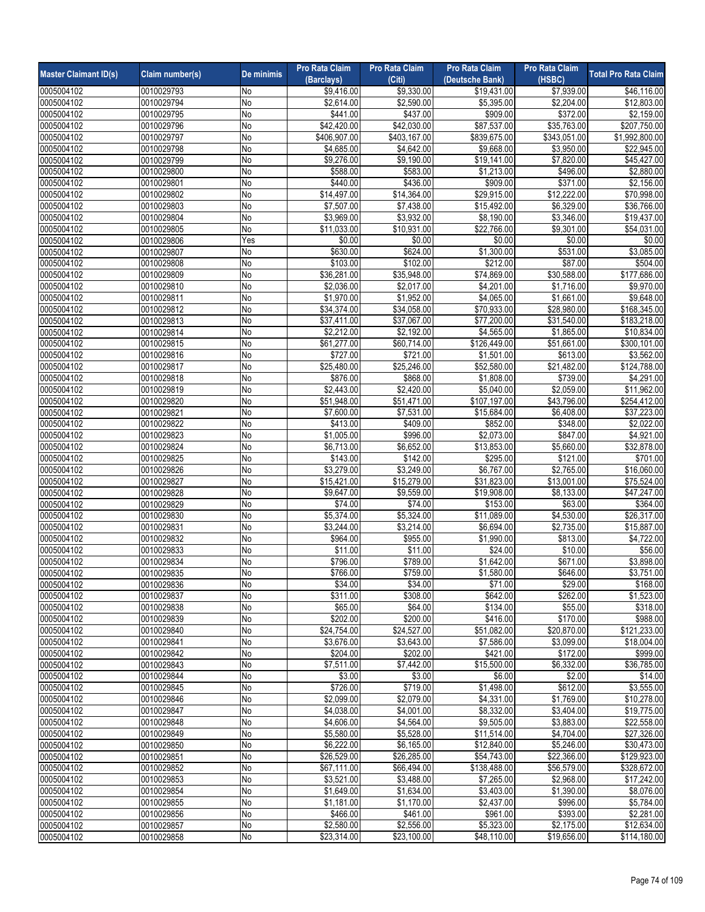| <b>Master Claimant ID(s)</b> | Claim number(s)          | De minimis | <b>Pro Rata Claim</b>   | <b>Pro Rata Claim</b> | Pro Rata Claim  | <b>Pro Rata Claim</b>   | Total Pro Rata Claim    |
|------------------------------|--------------------------|------------|-------------------------|-----------------------|-----------------|-------------------------|-------------------------|
|                              |                          |            | (Barclays)              | (Citi)                | (Deutsche Bank) | (HSBC)                  |                         |
| 0005004102                   | 0010029793               | No         | \$9,416.00              | \$9,330.00            | \$19,431.00     | \$7,939.00              | $\overline{$46,116.00}$ |
| 0005004102                   | 0010029794               | No         | \$2,614.00              | \$2,590.00            | \$5,395.00      | \$2,204.00              | \$12,803.00             |
| 0005004102                   | 0010029795               | No         | \$441.00                | \$437.00              | \$909.00        | \$372.00                | \$2,159.00              |
| 0005004102                   | 0010029796               | No         | \$42,420.00             | \$42,030.00           | \$87,537.00     | \$35,763.00             | \$207,750.00            |
| 0005004102                   | 0010029797               | No         | \$406,907.00            | \$403,167.00          | \$839,675.00    | \$343,051.00            | \$1,992,800.00          |
| 0005004102                   | 0010029798               | No         | \$4,685.00              | \$4,642.00            | \$9,668.00      | \$3,950.00              | \$22,945.00             |
| 0005004102                   | 0010029799               | No         | \$9,276.00              | \$9,190.00            | \$19,141.00     | \$7,820.00              | \$45,427.00             |
| 0005004102                   | 0010029800               | <b>No</b>  | \$588.00                | \$583.00              | \$1,213.00      | \$496.00                | \$2,880.00              |
| 0005004102                   | 0010029801               | <b>No</b>  | \$440.00                | \$436.00              | \$909.00        | \$371.00                | \$2,156.00              |
| 0005004102                   | 0010029802               | No         | $\overline{$}14,497.00$ | \$14,364.00           | \$29,915.00     | \$12,222.00             | \$70,998.00             |
| 0005004102                   | 0010029803               | No         | \$7,507.00              | \$7,438.00            | \$15,492.00     | \$6,329.00              | \$36,766.00             |
| 0005004102                   | 0010029804               | No         | \$3,969.00              | \$3,932.00            | \$8,190.00      | \$3,346.00              | \$19,437.00             |
| 0005004102                   | 0010029805               | No         | \$11,033.00             | \$10,931.00           | \$22,766.00     | \$9,301.00              | \$54,031.00             |
| 0005004102                   | 0010029806               | Yes        | \$0.00                  | \$0.00                | \$0.00          | \$0.00                  | \$0.00                  |
| 0005004102                   | 0010029807               | No         | \$630.00                | \$624.00              | \$1,300.00      | \$531.00                | \$3,085.00              |
| 0005004102                   | 0010029808               | No         | \$103.00                | \$102.00              | \$212.00        | \$87.00                 | \$504.00                |
| 0005004102                   | 0010029809               | <b>No</b>  | \$36,281.00             | \$35,948.00           | \$74,869.00     | \$30,588.00             | \$177,686.00            |
| 0005004102                   | 0010029810               | No         | \$2,036.00              | \$2,017.00            | \$4,201.00      | \$1,716.00              | \$9,970.00              |
| 0005004102                   | 0010029811               | <b>No</b>  | \$1,970.00              | \$1,952.00            | \$4,065.00      | \$1,661.00              | \$9,648.00              |
| 0005004102                   | 0010029812               | <b>No</b>  | \$34,374.00             | \$34,058.00           | \$70,933.00     | \$28,980.00             | \$168,345.00            |
| 0005004102                   | 0010029813               | No         | \$37,411.00             | \$37,067.00           | \$77,200.00     | \$31,540.00             | \$183,218.00            |
| 0005004102                   | 0010029814               | <b>No</b>  | \$2,212.00              | \$2,192.00            | \$4,565.00      | \$1,865.00              | \$10,834.00             |
| 0005004102                   | 0010029815               | <b>No</b>  | \$61,277.00             | \$60,714.00           | \$126,449.00    | \$51,661.00             | \$300,101.00            |
| 0005004102                   | 0010029816               | No         | \$727.00                | \$721.00              | \$1,501.00      | \$613.00                | \$3,562.00              |
| 0005004102                   | 0010029817               | No         | \$25,480.00             | \$25,246.00           | \$52,580.00     | \$21,482.00             | \$124,788.00            |
| 0005004102                   | 0010029818               | No         | \$876.00                | \$868.00              | \$1.808.00      | \$739.00                | \$4,291.00              |
| 0005004102                   | 0010029819               | No         | \$2,443.00              | \$2,420.00            | \$5,040.00      | \$2,059.00              | \$11,962.00             |
| 0005004102                   |                          | No         | \$51,948.00             | \$51,471.00           | \$107,197.00    | \$43,796.00             | \$254,412.00            |
| 0005004102                   | 0010029820<br>0010029821 | No         | \$7,600.00              | \$7,531.00            | \$15,684.00     | \$6,408.00              | \$37,223.00             |
|                              |                          | <b>No</b>  | \$413.00                | \$409.00              | \$852.00        | \$348.00                | \$2,022.00              |
| 0005004102                   | 0010029822               |            |                         |                       |                 |                         |                         |
| 0005004102                   | 0010029823               | <b>No</b>  | \$1,005.00              | \$996.00              | \$2,073.00      | \$847.00                | \$4,921.00              |
| 0005004102                   | 0010029824               | No         | \$6,713.00              | \$6,652.00            | \$13,853.00     | \$5,660.00              | \$32,878.00             |
| 0005004102                   | 0010029825               | <b>No</b>  | \$143.00                | \$142.00              | \$295.00        | \$121.00                | \$701.00                |
| 0005004102                   | 0010029826               | <b>No</b>  | \$3,279.00              | \$3,249.00            | \$6,767.00      | \$2,765.00              | \$16,060.00             |
| 0005004102                   | 0010029827               | <b>No</b>  | \$15,421.00             | \$15,279.00           | \$31,823.00     | \$13,001.00             | \$75,524.00             |
| 0005004102                   | 0010029828               | <b>No</b>  | \$9,647.00              | \$9,559.00            | \$19,908.00     | \$8,133.00              | \$47,247.00             |
| 0005004102                   | 0010029829               | No         | \$74.00                 | \$74.00               | \$153.00        | \$63.00                 | \$364.00                |
| 0005004102                   | 0010029830               | No         | \$5,374.00              | \$5,324.00            | \$11,089.00     | \$4,530.00              | \$26,317.00             |
| 0005004102                   | 0010029831               | No         | \$3,244.00              | \$3,214.00            | \$6,694.00      | \$2,735.00              | \$15,887.00             |
| 0005004102                   | 0010029832               | No         | \$964.00                | \$955.00              | \$1,990.00      | \$813.00                | \$4,722.00              |
| 0005004102                   | 0010029833               | No         | \$11.00                 | \$11.00               | \$24.00         | \$10.00                 | \$56.00                 |
| 0005004102                   | 0010029834               | No         | \$796.00                | \$789.00              | \$1,642.00      | \$671.00                | \$3,898.00              |
| 0005004102                   | 0010029835               | No         | \$766.00                | \$759.00              | \$1.580.00      | \$646.00                | \$3,751.00              |
| 0005004102                   | 0010029836               | No         | \$34.00                 | \$34.00               | \$71.00         | \$29.00                 | \$168.00                |
| 0005004102                   | 0010029837               | <b>No</b>  | \$311.00                | \$308.00              | \$642.00        | \$262.00                | \$1,523.00              |
| 0005004102                   | 0010029838               | <b>No</b>  | \$65.00                 | \$64.00               | \$134.00        | \$55.00                 | \$318.00                |
| 0005004102                   | 0010029839               | <b>No</b>  | \$202.00                | \$200.00              | \$416.00        | \$170.00                | \$988.00                |
| 0005004102                   | 0010029840               | <b>No</b>  | \$24,754.00             | \$24.527.00           | \$51,082.00     | \$20,870.00             | \$121,233.00            |
| 0005004102                   | 0010029841               | <b>No</b>  | \$3,676.00              | \$3,643.00            | \$7,586.00      | \$3,099.00              | \$18,004.00             |
| 0005004102                   | 0010029842               | <b>No</b>  | \$204.00                | \$202.00              | \$421.00        | \$172.00                | \$999.00                |
| 0005004102                   | 0010029843               | <b>No</b>  | \$7,511.00              | \$7,442.00            | \$15,500.00     | \$6,332.00              | \$36,785.00             |
| 0005004102                   | 0010029844               | <b>No</b>  | \$3.00                  | \$3.00                | \$6.00          | \$2.00                  | \$14.00                 |
| 0005004102                   | 0010029845               | <b>No</b>  | \$726.00                | \$719.00              | \$1,498.00      | \$612.00                | \$3,555.00              |
| 0005004102                   | 0010029846               | <b>No</b>  | \$2,099.00              | \$2,079.00            | \$4,331.00      | \$1,769.00              | \$10,278.00             |
| 0005004102                   | 0010029847               | No         | \$4,038.00              | \$4,001.00            | \$8,332.00      | \$3,404.00              | \$19,775.00             |
| 0005004102                   | 0010029848               | <b>No</b>  | \$4,606.00              | \$4,564.00            | \$9,505.00      | \$3,883.00              | \$22,558.00             |
| 0005004102                   | 0010029849               | No         | \$5,580.00              | \$5,528.00            | \$11,514.00     | \$4,704.00              | \$27,326.00             |
| 0005004102                   | 0010029850               | No         | \$6,222.00              | \$6,165.00            | \$12,840.00     | \$5,246.00              | \$30,473.00             |
| 0005004102                   | 0010029851               | <b>No</b>  | \$26,529.00             | \$26,285.00           | \$54,743.00     | \$22,366.00             | \$129,923.00            |
| 0005004102                   | 0010029852               | No         | \$67,111.00             | \$66,494.00           | \$138,488.00    | \$56,579.00             | \$328,672.00            |
| 0005004102                   | 0010029853               | No         | \$3,521.00              | \$3,488.00            | \$7,265.00      | \$2,968.00              | \$17,242.00             |
| 0005004102                   | 0010029854               | <b>No</b>  | \$1,649.00              | \$1,634.00            | \$3,403.00      | \$1,390.00              | \$8,076.00              |
| 0005004102                   | 0010029855               | No         | \$1,181.00              | \$1,170.00            | \$2,437.00      | \$996.00                | \$5,784.00              |
| 0005004102                   | 0010029856               | No         | \$466.00                | \$461.00              | \$961.00        | \$393.00                | \$2,281.00              |
| 0005004102                   | 0010029857               | <b>No</b>  | \$2,580.00              | \$2,556.00            | \$5,323.00      | \$2,175.00              | \$12,634.00             |
| 0005004102                   | 0010029858               | <b>No</b>  | \$23,314.00             | \$23,100.00           | \$48,110.00     | $\overline{$19,656.00}$ | \$114,180.00            |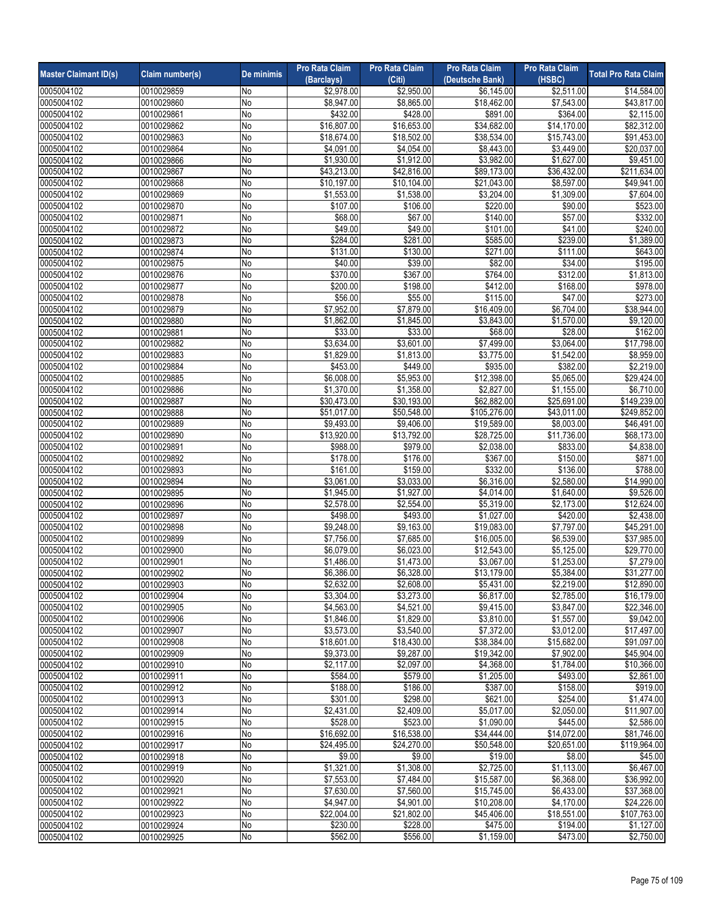| <b>Master Claimant ID(s)</b> | Claim number(s) | De minimis | <b>Pro Rata Claim</b> | <b>Pro Rata Claim</b> | <b>Pro Rata Claim</b> | Pro Rata Claim     | Total Pro Rata Claim |
|------------------------------|-----------------|------------|-----------------------|-----------------------|-----------------------|--------------------|----------------------|
|                              |                 |            | (Barclays)            | (Citi)                | (Deutsche Bank)       | (HSBC)             |                      |
| 0005004102                   | 0010029859      | No         | \$2,978.00            | \$2,950.00            | \$6,145.00            | \$2,511.00         | \$14,584.00          |
| 0005004102                   | 0010029860      | No         | \$8,947.00            | \$8,865.00            | \$18,462.00           | \$7,543.00         | \$43,817.00          |
| 0005004102                   | 0010029861      | No         | \$432.00              | \$428.00              | \$891.00              | \$364.00           | \$2,115.00           |
| 0005004102                   | 0010029862      | No         | \$16.807.00           | \$16,653.00           | \$34,682.00           | \$14,170.00        | \$82,312.00          |
| 0005004102                   | 0010029863      | No         | \$18,674.00           | \$18,502.00           | \$38,534.00           | \$15,743.00        | \$91,453.00          |
| 0005004102                   | 0010029864      | No         | \$4,091.00            | \$4,054.00            | \$8,443.00            | \$3,449.00         | \$20,037.00          |
| 0005004102                   | 0010029866      | No         | \$1,930.00            | \$1,912.00            | \$3,982.00            | \$1,627.00         | \$9,451.00           |
| 0005004102                   | 0010029867      | No         | \$43,213.00           | \$42,816.00           | \$89,173.00           | \$36,432.00        | \$211,634.00         |
| 0005004102                   | 0010029868      | No         | \$10,197.00           | \$10,104.00           | \$21,043.00           | \$8,597.00         | \$49,941.00          |
| 0005004102                   | 0010029869      | No         | \$1,553.00            | \$1,538.00            | \$3,204.00            | \$1,309.00         | \$7,604.00           |
| 0005004102                   | 0010029870      | No         | \$107.00              | \$106.00              | \$220.00              | \$90.00            | \$523.00             |
| 0005004102                   | 0010029871      | No         | \$68.00               | \$67.00               | \$140.00              | \$57.00            | \$332.00             |
| 0005004102                   | 0010029872      | No         | \$49.00               | \$49.00               | \$101.00              | \$41.00            | \$240.00             |
| 0005004102                   | 0010029873      | No         | \$284.00              | \$281.00              | \$585.00              | \$239.00           | \$1,389.00           |
| 0005004102                   | 0010029874      | No         | \$131.00              | \$130.00              | \$271.00              | \$111.00           | \$643.00             |
|                              |                 |            |                       |                       |                       |                    |                      |
| 0005004102                   | 0010029875      | No         | \$40.00               | \$39.00               | \$82.00               | \$34.00            | \$195.00             |
| 0005004102                   | 0010029876      | No         | \$370.00              | \$367.00              | \$764.00              | \$312.00           | \$1,813.00           |
| 0005004102                   | 0010029877      | No         | \$200.00              | \$198.00              | \$412.00              | \$168.00           | \$978.00             |
| 0005004102                   | 0010029878      | No         | \$56.00               | \$55.00               | \$115.00              | \$47.00            | \$273.00             |
| 0005004102                   | 0010029879      | No         | \$7,952.00            | \$7,879.00            | \$16,409.00           | $\sqrt{$6,704.00}$ | \$38,944.00          |
| 0005004102                   | 0010029880      | No         | \$1,862.00            | \$1,845.00            | \$3,843.00            | \$1,570.00         | \$9,120.00           |
| 0005004102                   | 0010029881      | No         | \$33.00               | \$33.00               | \$68.00               | \$28.00            | \$162.00             |
| 0005004102                   | 0010029882      | No         | \$3,634.00            | \$3,601.00            | \$7,499.00            | \$3,064.00         | \$17,798.00          |
| 0005004102                   | 0010029883      | No         | \$1,829.00            | \$1,813.00            | \$3,775.00            | \$1,542.00         | \$8,959.00           |
| 0005004102                   | 0010029884      | No         | \$453.00              | \$449.00              | \$935.00              | \$382.00           | \$2,219.00           |
| 0005004102                   | 0010029885      | No         | \$6,008.00            | \$5,953.00            | \$12,398.00           | \$5,065.00         | \$29,424.00          |
| 0005004102                   | 0010029886      | No         | \$1,370.00            | \$1,358.00            | \$2.827.00            | \$1,155.00         | \$6,710.00           |
| 0005004102                   | 0010029887      | No         | \$30,473.00           | \$30,193.00           | \$62,882.00           | \$25,691.00        | \$149,239.00         |
| 0005004102                   | 0010029888      | No         | \$51,017.00           | \$50,548.00           | \$105,276.00          | \$43,011.00        | \$249,852.00         |
| 0005004102                   | 0010029889      | No         | \$9,493.00            | \$9,406.00            | \$19,589.00           | \$8,003.00         | \$46,491.00          |
| 0005004102                   | 0010029890      | No         | \$13,920.00           | \$13,792.00           | \$28,725.00           | \$11,736.00        | \$68,173.00          |
| 0005004102                   | 0010029891      | No         | \$988.00              | \$979.00              | \$2,038.00            | \$833.00           | \$4,838.00           |
| 0005004102                   | 0010029892      | No         | \$178.00              | \$176.00              | \$367.00              | \$150.00           | \$871.00             |
| 0005004102                   | 0010029893      | No         | \$161.00              | \$159.00              | \$332.00              | \$136.00           | \$788.00             |
| 0005004102                   | 0010029894      | No         | \$3,061.00            | \$3,033.00            | \$6,316.00            | \$2,580.00         | \$14,990.00          |
|                              |                 |            |                       |                       |                       |                    |                      |
| 0005004102                   | 0010029895      | No         | \$1,945.00            | \$1,927.00            | \$4,014.00            | \$1,640.00         | \$9,526.00           |
| 0005004102                   | 0010029896      | No         | \$2,578.00            | \$2,554.00            | \$5,319.00            | \$2,173.00         | \$12,624.00          |
| 0005004102                   | 0010029897      | No         | \$498.00              | \$493.00              | \$1,027.00            | \$420.00           | \$2,438.00           |
| 0005004102                   | 0010029898      | No         | \$9,248.00            | \$9,163.00            | \$19,083.00           | \$7,797.00         | \$45,291.00          |
| 0005004102                   | 0010029899      | No         | \$7,756.00            | \$7,685.00            | \$16,005.00           | \$6,539.00         | \$37,985.00          |
| 0005004102                   | 0010029900      | No         | \$6,079.00            | \$6,023.00            | \$12,543.00           | \$5,125.00         | \$29,770.00          |
| 0005004102                   | 0010029901      | No         | \$1,486.00            | \$1,473.00            | \$3,067.00            | \$1,253.00         | \$7,279.00           |
| 0005004102                   | 0010029902      | No         | \$6,386.00            | \$6,328.00            | \$13,179.00           | \$5,384.00         | \$31.277.00          |
| 0005004102                   | 0010029903      | No         | \$2,632.00            | \$2,608.00            | \$5,431.00            | \$2,219.00         | \$12,890.00          |
| 0005004102                   | 0010029904      | No         | \$3.304.00            | \$3,273.00            | \$6,817.00            | \$2,785.00         | \$16,179.00          |
| 0005004102                   | 0010029905      | No         | \$4,563.00            | \$4,521.00            | \$9,415.00            | \$3,847.00         | \$22,346.00          |
| 0005004102                   | 0010029906      | No         | \$1,846.00            | \$1,829.00            | \$3,810.00            | \$1,557.00         | \$9,042.00           |
| 0005004102                   | 0010029907      | No         | \$3,573.00            | \$3,540.00            | \$7,372.00            | \$3,012.00         | \$17,497.00          |
| 0005004102                   | 0010029908      | No         | \$18,601.00           | \$18,430.00           | \$38,384.00           | \$15,682.00        | \$91,097.00          |
| 0005004102                   | 0010029909      | No         | \$9,373.00            | \$9,287.00            | \$19,342.00           | \$7,902.00         | \$45,904.00          |
| 0005004102                   | 0010029910      | No         | \$2,117.00            | \$2.097.00            | \$4,368.00            | \$1,784.00         | \$10,366.00          |
| 0005004102                   | 0010029911      | No         | \$584.00              | \$579.00              | \$1,205.00            | \$493.00           | \$2,861.00           |
| 0005004102                   | 0010029912      | No         | \$188.00              | \$186.00              | \$387.00              | \$158.00           | \$919.00             |
| 0005004102                   | 0010029913      | No         | \$301.00              | \$298.00              | \$621.00              | \$254.00           | \$1,474.00           |
| 0005004102                   | 0010029914      | No         | \$2,431.00            | \$2,409.00            | \$5,017.00            | \$2,050.00         | \$11,907.00          |
| 0005004102                   | 0010029915      | No         | \$528.00              | \$523.00              | \$1,090.00            | \$445.00           | \$2,586.00           |
| 0005004102                   | 0010029916      | No         | \$16,692.00           | \$16,538.00           | \$34,444.00           | \$14,072.00        | \$81,746.00          |
| 0005004102                   | 0010029917      | No         |                       |                       | \$50,548.00           | \$20,651.00        |                      |
|                              |                 |            | \$24,495.00           | \$24,270.00           |                       |                    | \$119,964.00         |
| 0005004102                   | 0010029918      | No         | \$9.00                | \$9.00                | \$19.00               | \$8.00             | \$45.00              |
| 0005004102                   | 0010029919      | No         | \$1,321.00            | \$1,308.00            | \$2,725.00            | \$1,113.00         | \$6,467.00           |
| 0005004102                   | 0010029920      | No         | \$7,553.00            | \$7,484.00            | \$15,587.00           | \$6,368.00         | \$36,992.00          |
| 0005004102                   | 0010029921      | No         | \$7,630.00            | \$7,560.00            | \$15,745.00           | \$6,433.00         | \$37,368.00          |
| 0005004102                   | 0010029922      | No         | \$4,947.00            | \$4,901.00            | \$10,208.00           | \$4,170.00         | \$24,226.00          |
| 0005004102                   | 0010029923      | No         | \$22,004.00           | \$21,802.00           | \$45,406.00           | \$18,551.00        | \$107,763.00         |
| 0005004102                   | 0010029924      | No         | \$230.00              | \$228.00              | \$475.00              | \$194.00           | \$1,127.00           |
| 0005004102                   | 0010029925      | No         | \$562.00              | \$556.00              | \$1,159.00            | \$473.00           | \$2,750.00           |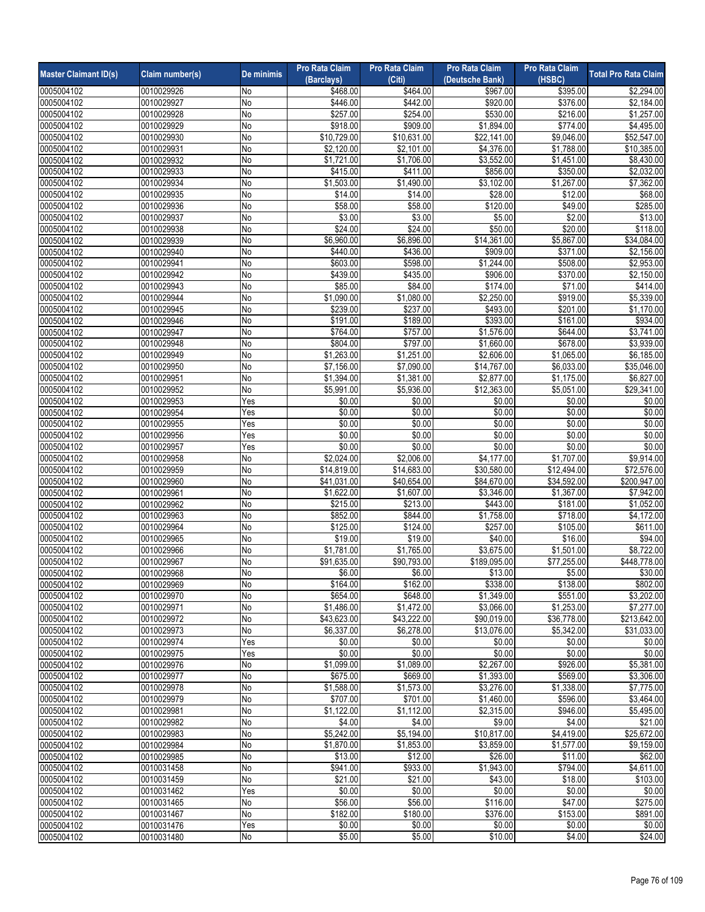| <b>Master Claimant ID(s)</b> | Claim number(s)          | De minimis      | <b>Pro Rata Claim</b>    | <b>Pro Rata Claim</b>  | Pro Rata Claim            | <b>Pro Rata Claim</b>  | Total Pro Rata Claim     |
|------------------------------|--------------------------|-----------------|--------------------------|------------------------|---------------------------|------------------------|--------------------------|
|                              |                          |                 | (Barclays)               | (Citi)                 | (Deutsche Bank)           | (HSBC)                 |                          |
| 0005004102                   | 0010029926               | No              | \$468.00                 | \$464.00               | \$967.00                  | \$395.00               | \$2,294.00               |
| 0005004102                   | 0010029927               | <b>No</b>       | \$446.00                 | \$442.00               | \$920.00                  | \$376.00               | \$2,184.00               |
| 0005004102                   | 0010029928               | No              | \$257.00                 | \$254.00               | \$530.00                  | \$216.00               | \$1,257.00               |
| 0005004102                   | 0010029929               | No              | \$918.00                 | \$909.00               | \$1,894.00                | \$774.00               | \$4,495.00               |
| 0005004102                   | 0010029930               | No              | \$10,729.00              | \$10,631.00            | \$22,141.00               | \$9,046.00             | \$52,547.00              |
| 0005004102                   | 0010029931               | <b>No</b>       | \$2,120.00               | \$2,101.00             | \$4,376.00                | \$1,788.00             | \$10,385.00              |
| 0005004102                   | 0010029932               | No              | \$1,721.00               | \$1,706.00             | \$3,552.00                | \$1,451.00             | \$8,430.00               |
| 0005004102                   | 0010029933               | <b>No</b>       | \$415.00                 | \$411.00               | \$856.00                  | \$350.00               | \$2,032.00               |
| 0005004102                   | 0010029934               | No              | \$1.503.00               | $\sqrt{$1,490.00}$     | \$3.102.00                | \$1,267.00             | \$7,362.00               |
| 0005004102                   | 0010029935               | <b>No</b>       | \$14.00                  | \$14.00                | \$28.00                   | \$12.00                | \$68.00                  |
| 0005004102                   | 0010029936               | <b>No</b>       | \$58.00                  | \$58.00                | \$120.00                  | \$49.00                | \$285.00                 |
| 0005004102                   | 0010029937               | No              | \$3.00                   | \$3.00                 | \$5.00                    | \$2.00                 | \$13.00                  |
| 0005004102                   | 0010029938               | <b>No</b>       | \$24.00                  | \$24.00                | \$50.00                   | \$20.00                | \$118.00                 |
| 0005004102                   | 0010029939               | <b>No</b>       | \$6,960.00               | \$6,896.00             | \$14,361.00               | \$5,867.00             | \$34,084.00              |
| 0005004102                   | 0010029940               | No              | \$440.00                 | \$436.00               | \$909.00                  | \$371.00               | \$2,156.00               |
| 0005004102                   | 0010029941               | No              | \$603.00                 | \$598.00<br>\$435.00   | \$1,244.00                | \$508.00               | \$2,953.00               |
| 0005004102<br>0005004102     | 0010029942<br>0010029943 | No<br>No        | \$439.00<br>\$85.00      | \$84.00                | \$906.00<br>\$174.00      | \$370.00<br>\$71.00    | \$2,150.00<br>\$414.00   |
|                              |                          | <b>No</b>       | \$1,090.00               | \$1,080.00             | \$2,250.00                | \$919.00               | \$5,339.00               |
| 0005004102<br>0005004102     | 0010029944<br>0010029945 | No              | \$239.00                 | \$237.00               | \$493.00                  | \$201.00               | \$1,170.00               |
| 0005004102                   |                          |                 | \$191.00                 | \$189.00               | \$393.00                  | \$161.00               | \$934.00                 |
|                              | 0010029946               | No<br><b>No</b> | \$764.00                 | \$757.00               |                           | \$644.00               |                          |
| 0005004102                   | 0010029947               |                 | \$804.00                 |                        | \$1,576.00                |                        | \$3,741.00<br>\$3,939.00 |
| 0005004102<br>0005004102     | 0010029948<br>0010029949 | No<br><b>No</b> |                          | \$797.00<br>\$1,251.00 | \$1,660.00                | \$678.00<br>\$1,065.00 | \$6,185.00               |
|                              |                          | <b>No</b>       | \$1,263.00               |                        | \$2,606.00                | \$6,033.00             | \$35,046.00              |
| 0005004102<br>0005004102     | 0010029950               | No              | \$7,156.00               | \$7,090.00             | \$14,767.00<br>\$2,877.00 | \$1,175.00             | \$6,827.00               |
|                              | 0010029951<br>0010029952 | <b>No</b>       | \$1,394.00<br>\$5,991.00 | \$1,381.00             |                           | \$5,051.00             |                          |
| 0005004102                   |                          |                 |                          | \$5,936.00             | \$12,363.00               |                        | \$29,341.00<br>\$0.00    |
| 0005004102<br>0005004102     | 0010029953<br>0010029954 | Yes             | \$0.00<br>\$0.00         | \$0.00<br>\$0.00       | \$0.00<br>\$0.00          | \$0.00<br>\$0.00       | \$0.00                   |
|                              |                          | Yes<br>Yes      | \$0.00                   | \$0.00                 | \$0.00                    | \$0.00                 | \$0.00                   |
| 0005004102                   | 0010029955               |                 | \$0.00                   | \$0.00                 | \$0.00                    | \$0.00                 | \$0.00                   |
| 0005004102<br>0005004102     | 0010029956<br>0010029957 | Yes<br>Yes      | \$0.00                   | \$0.00                 | \$0.00                    | \$0.00                 | \$0.00                   |
| 0005004102                   | 0010029958               | No              | $\sqrt{$2,024.00}$       | \$2,006.00             | $\sqrt{4,177.00}$         | \$1,707.00             | \$9,914.00               |
| 0005004102                   | 0010029959               | No              | \$14,819.00              | \$14,683.00            | \$30,580.00               | \$12,494.00            | \$72,576.00              |
| 0005004102                   | 0010029960               | <b>No</b>       | \$41,031.00              | \$40,654.00            | \$84,670.00               | \$34,592.00            | \$200,947.00             |
| 0005004102                   | 0010029961               | <b>No</b>       | \$1,622.00               | \$1,607.00             | \$3,346.00                | \$1,367.00             | \$7,942.00               |
| 0005004102                   | 0010029962               | No              | \$215.00                 | \$213.00               | \$443.00                  | \$181.00               | \$1,052.00               |
| 0005004102                   | 0010029963               | <b>No</b>       | \$852.00                 | \$844.00               | \$1,758.00                | \$718.00               | \$4,172.00               |
| 0005004102                   | 0010029964               | No              | \$125.00                 | \$124.00               | \$257.00                  | \$105.00               | \$611.00                 |
| 0005004102                   | 0010029965               | No              | \$19.00                  | \$19.00                | \$40.00                   | \$16.00                | \$94.00                  |
| 0005004102                   | 0010029966               | No              | \$1,781.00               | \$1,765.00             | \$3,675.00                | $\overline{$1,501.00}$ | \$8,722.00               |
| 0005004102                   | 0010029967               | No              | \$91,635.00              | \$90,793.00            | \$189,095.00              | \$77,255.00            | \$448,778.00             |
| 0005004102                   | 0010029968               | No              | \$6.00                   | \$6.00                 | \$13.00                   | \$5.00                 | \$30.00                  |
| 0005004102                   | 0010029969               | No              | \$164.00                 | \$162.00               | \$338.00                  | \$138.00               | \$802.00                 |
| 0005004102                   | 0010029970               | No              | \$654.00                 | \$648.00               | \$1,349.00                | \$551.00               | \$3,202.00               |
| 0005004102                   | 0010029971               | <b>No</b>       | \$1,486.00               | \$1,472.00             | \$3,066.00                | \$1,253.00             | \$7,277.00               |
| 0005004102                   | 0010029972               | <b>No</b>       | \$43,623.00              | \$43,222.00            | \$90,019.00               | \$36,778.00            | \$213,642.00             |
| 0005004102                   | 0010029973               | No              | \$6.337.00               | \$6,278.00             | \$13,076.00               | \$5,342.00             | \$31,033.00              |
| 0005004102                   | 0010029974               | Yes             | \$0.00                   | \$0.00                 | \$0.00                    | \$0.00                 | \$0.00                   |
| 0005004102                   | 0010029975               | Yes             | \$0.00                   | \$0.00                 | \$0.00                    | \$0.00                 | \$0.00                   |
| 0005004102                   | 0010029976               | No              | \$1,099.00               | \$1,089.00             | \$2,267.00                | \$926.00               | \$5.381.00               |
| 0005004102                   | 0010029977               | <b>No</b>       | \$675.00                 | \$669.00               | \$1,393.00                | \$569.00               | \$3,306.00               |
| 0005004102                   | 0010029978               | <b>No</b>       | \$1,588.00               | \$1,573.00             | \$3,276.00                | \$1,338.00             | \$7,775.00               |
| 0005004102                   | 0010029979               | No              | \$707.00                 | \$701.00               | \$1,460.00                | \$596.00               | \$3,464.00               |
| 0005004102                   | 0010029981               | <b>No</b>       | \$1,122.00               | \$1,112.00             | \$2,315.00                | \$946.00               | \$5,495.00               |
| 0005004102                   | 0010029982               | <b>No</b>       | \$4.00                   | \$4.00                 | \$9.00                    | \$4.00                 | \$21.00                  |
| 0005004102                   | 0010029983               | <b>No</b>       | \$5,242.00               | \$5,194.00             | \$10,817.00               | \$4,419.00             | \$25,672.00              |
| 0005004102                   | 0010029984               | <b>No</b>       | \$1,870.00               | \$1,853.00             | \$3,859.00                | \$1,577.00             | \$9,159.00               |
| 0005004102                   | 0010029985               | <b>No</b>       | \$13.00                  | \$12.00                | \$26.00                   | \$11.00                | \$62.00                  |
| 0005004102                   | 0010031458               | <b>No</b>       | \$941.00                 | \$933.00               | \$1,943.00                | \$794.00               | \$4,611.00               |
| 0005004102                   | 0010031459               | <b>No</b>       | \$21.00                  | \$21.00                | \$43.00                   | \$18.00                | \$103.00                 |
| 0005004102                   | 0010031462               | Yes             | \$0.00                   | \$0.00                 | \$0.00                    | \$0.00                 | \$0.00                   |
| 0005004102                   | 0010031465               | No              | \$56.00                  | \$56.00                | \$116.00                  | \$47.00                | \$275.00                 |
| 0005004102                   | 0010031467               | <b>No</b>       | \$182.00                 | \$180.00               | \$376.00                  | \$153.00               | \$891.00                 |
| 0005004102                   | 0010031476               | Yes             | \$0.00                   | \$0.00                 | \$0.00                    | \$0.00                 | \$0.00                   |
| 0005004102                   | 0010031480               | No              | \$5.00                   | \$5.00                 | \$10.00                   | \$4.00                 | \$24.00                  |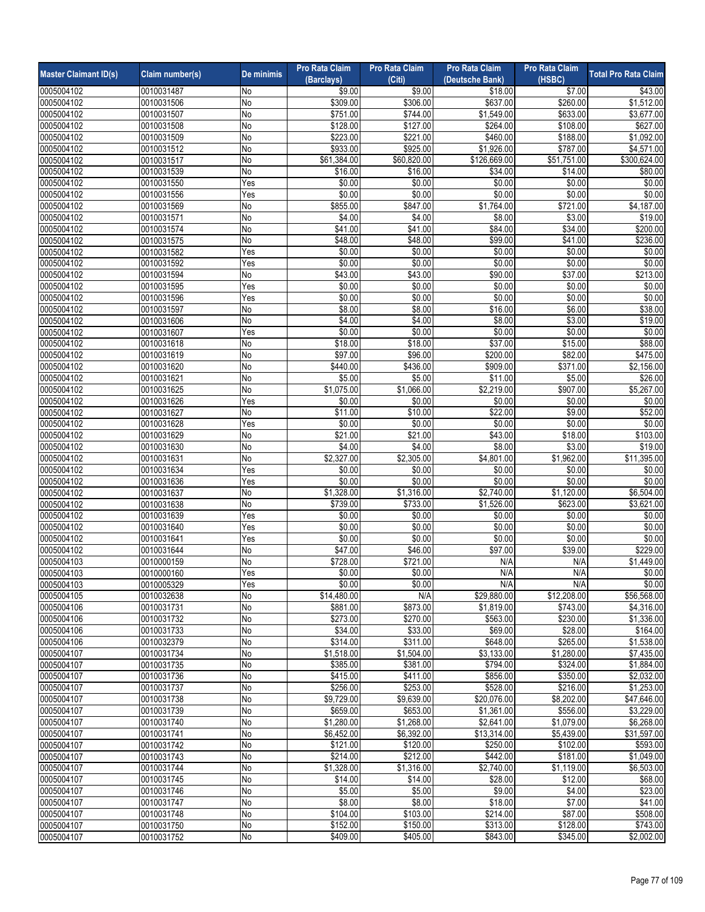| <b>Master Claimant ID(s)</b> | Claim number(s)          | De minimis | Pro Rata Claim       | Pro Rata Claim         | Pro Rata Claim      | <b>Pro Rata Claim</b> | <b>Total Pro Rata Claim</b> |
|------------------------------|--------------------------|------------|----------------------|------------------------|---------------------|-----------------------|-----------------------------|
|                              |                          |            | (Barclays)           | (Citi)                 | (Deutsche Bank)     | (HSBC)                |                             |
| 0005004102                   | 0010031487               | No         | \$9.00               | \$9.00                 | \$18.00             | \$7.00                | \$43.00                     |
| 0005004102                   | 0010031506               | No         | \$309.00             | \$306.00               | \$637.00            | \$260.00              | \$1,512.00                  |
| 0005004102                   | 0010031507               | No         | \$751.00             | \$744.00               | \$1,549.00          | \$633.00              | \$3,677.00                  |
| 0005004102                   | 0010031508               | No         | \$128.00             | \$127.00               | \$264.00            | \$108.00              | \$627.00                    |
| 0005004102                   | 0010031509               | No         | \$223.00             | \$221.00               | \$460.00            | \$188.00              | \$1,092.00                  |
| 0005004102                   | 0010031512               | No         | \$933.00             | \$925.00               | \$1,926.00          | \$787.00              | \$4,571.00                  |
| 0005004102                   | 0010031517               | No         | \$61,384.00          | \$60,820.00            | \$126,669.00        | \$51,751.00           | \$300,624.00                |
| 0005004102                   | 0010031539               | No         | \$16.00              | \$16.00                | \$34.00             | \$14.00               | \$80.00                     |
| 0005004102                   | 0010031550               | Yes        | \$0.00               | \$0.00                 | \$0.00              | \$0.00                | \$0.00                      |
| 0005004102                   | 0010031556               | Yes        | \$0.00               | \$0.00                 | \$0.00              | \$0.00                | \$0.00                      |
| 0005004102                   | 0010031569               | No         | \$855.00             | \$847.00               | \$1,764.00          | \$721.00              | \$4,187.00                  |
| 0005004102                   | 0010031571               | No         | \$4.00               | \$4.00                 | \$8.00              | \$3.00                | \$19.00                     |
| 0005004102                   | 0010031574               | No         | \$41.00              | \$41.00                | \$84.00             | \$34.00               | \$200.00                    |
| 0005004102                   | 0010031575               | No         | \$48.00              | \$48.00                | \$99.00             | \$41.00               | \$236.00                    |
| 0005004102<br>0005004102     | 0010031582               | Yes        | \$0.00               | \$0.00                 | \$0.00              | \$0.00                | \$0.00                      |
| 0005004102                   | 0010031592<br>0010031594 | Yes        | \$0.00               | \$0.00                 | \$0.00              | \$0.00                | \$0.00<br>\$213.00          |
| 0005004102                   | 0010031595               | No         | \$43.00<br>\$0.00    | \$43.00<br>\$0.00      | \$90.00<br>\$0.00   | \$37.00<br>\$0.00     | \$0.00                      |
|                              |                          | Yes        | \$0.00               | \$0.00                 | \$0.00              | \$0.00                | \$0.00                      |
| 0005004102<br>0005004102     | 0010031596<br>0010031597 | Yes        | \$8.00               | \$8.00                 | \$16.00             |                       | \$38.00                     |
|                              | 0010031606               | No         | \$4.00               | \$4.00                 | \$8.00              | \$6.00<br>\$3.00      |                             |
| 0005004102                   |                          | No         | \$0.00               | \$0.00                 | \$0.00              | \$0.00                | \$19.00<br>\$0.00           |
| 0005004102                   | 0010031607               | Yes        |                      |                        |                     |                       |                             |
| 0005004102<br>0005004102     | 0010031618               | No         | \$18.00<br>\$97.00   | \$18.00<br>\$96.00     | \$37.00<br>\$200.00 | \$15.00<br>\$82.00    | \$88.00                     |
|                              | 0010031619               | No<br>No   | \$440.00             | \$436.00               | \$909.00            |                       | \$475.00<br>\$2,156.00      |
| 0005004102                   | 0010031620               | No         |                      | \$5.00                 | \$11.00             | \$371.00<br>\$5.00    | \$26.00                     |
| 0005004102                   | 0010031621<br>0010031625 |            | \$5.00<br>\$1,075.00 |                        |                     |                       | \$5.267.00                  |
| 0005004102                   |                          | No         |                      | \$1,066.00             | \$2,219.00          | \$907.00<br>\$0.00    |                             |
| 0005004102<br>0005004102     | 0010031626<br>0010031627 | Yes        | \$0.00<br>\$11.00    | \$0.00<br>\$10.00      | \$0.00<br>\$22.00   | \$9.00                | \$0.00<br>\$52.00           |
| 0005004102                   |                          | No<br>Yes  | \$0.00               | \$0.00                 | \$0.00              | \$0.00                | \$0.00                      |
|                              | 0010031628<br>0010031629 |            |                      | \$21.00                | \$43.00             |                       |                             |
| 0005004102<br>0005004102     | 0010031630               | No<br>No   | \$21.00              | \$4.00                 | \$8.00              | \$18.00<br>\$3.00     | \$103.00<br>\$19.00         |
| 0005004102                   | 0010031631               | No         | \$4.00<br>\$2,327.00 | \$2,305.00             | \$4,801.00          | \$1,962.00            | \$11,395.00                 |
| 0005004102                   | 0010031634               | Yes        | \$0.00               | \$0.00                 | \$0.00              | \$0.00                | \$0.00                      |
| 0005004102                   | 0010031636               | Yes        | \$0.00               | \$0.00                 | \$0.00              | \$0.00                | \$0.00                      |
| 0005004102                   | 0010031637               | No         | \$1,328.00           | $\overline{$1,316.00}$ | \$2,740.00          | \$1,120.00            | \$6,504.00                  |
| 0005004102                   | 0010031638               | No         | \$739.00             | \$733.00               | \$1,526.00          | \$623.00              | \$3,621.00                  |
| 0005004102                   | 0010031639               | Yes        | \$0.00               | \$0.00                 | \$0.00              | \$0.00                | \$0.00                      |
| 0005004102                   | 0010031640               | Yes        | \$0.00               | \$0.00                 | \$0.00              | \$0.00                | \$0.00                      |
| 0005004102                   | 0010031641               | Yes        | \$0.00               | \$0.00                 | \$0.00              | \$0.00                | \$0.00                      |
| 0005004102                   | 0010031644               | No         | \$47.00              | \$46.00                | \$97.00             | \$39.00               | \$229.00                    |
| 0005004103                   | 0010000159               | No         | \$728.00             | \$721.00               | N/A                 | N/A                   | \$1,449.00                  |
| 0005004103                   | 0010000160               | Yes        | \$0.00               | \$0.00                 | N/A                 | N/A                   | \$0.00                      |
| 0005004103                   | 0010005329               | Yes        | \$0.00               | \$0.00                 | N/AI                | N/A                   | \$0.00                      |
| 0005004105                   | 0010032638               | No         | \$14,480.00          | N/A                    | \$29,880.00         | \$12,208.00           | \$56,568.00                 |
| 0005004106                   | 0010031731               | No         | \$881.00             | \$873.00               | \$1.819.00          | \$743.00              | \$4,316.00                  |
| 0005004106                   | 0010031732               | No         | \$273.00             | \$270.00               | \$563.00            | \$230.00              | \$1.336.00                  |
| 0005004106                   | 0010031733               | No         | \$34.00              | \$33.00                | \$69.00             | \$28.00               | \$164.00                    |
| 0005004106                   | 0010032379               | No         | \$314.00             | \$311.00               | \$648.00            | \$265.00              | \$1.538.00                  |
| 0005004107                   | 0010031734               | No         | \$1,518.00           | \$1,504.00             | \$3,133.00          | \$1,280.00            | \$7,435.00                  |
| 0005004107                   | 0010031735               | No         | \$385.00             | \$381.00               | \$794.00            | \$324.00              | \$1,884.00                  |
| 0005004107                   | 0010031736               | No         | \$415.00             | \$411.00               | \$856.00            | \$350.00              | \$2.032.00                  |
| 0005004107                   | 0010031737               | No         | \$256.00             | \$253.00               | \$528.00            | \$216.00              | \$1,253.00                  |
| 0005004107                   | 0010031738               | No         | \$9,729.00           | \$9,639.00             | \$20,076.00         | \$8,202.00            | \$47.646.00                 |
| 0005004107                   | 0010031739               | No         | \$659.00             | \$653.00               | \$1,361.00          | \$556.00              | \$3,229.00                  |
| 0005004107                   | 0010031740               | No         | \$1,280.00           | \$1,268.00             | \$2,641.00          | \$1,079.00            | \$6,268.00                  |
| 0005004107                   | 0010031741               | No         | \$6,452.00           | \$6,392.00             | \$13,314.00         | \$5,439.00            | \$31,597.00                 |
| 0005004107                   | 0010031742               | No         | \$121.00             | \$120.00               | \$250.00            | \$102.00              | \$593.00                    |
| 0005004107                   | 0010031743               | No         | \$214.00             | \$212.00               | \$442.00            | \$181.00              | \$1,049.00                  |
| 0005004107                   | 0010031744               | No         | \$1,328.00           | \$1,316.00             | \$2,740.00          | \$1,119.00            | \$6,503.00                  |
| 0005004107                   | 0010031745               | No         | \$14.00              | \$14.00                | \$28.00             | \$12.00               | \$68.00                     |
| 0005004107                   | 0010031746               | No         | \$5.00               | \$5.00                 | \$9.00              | \$4.00                | \$23.00                     |
| 0005004107                   | 0010031747               | No         | \$8.00               | \$8.00                 | \$18.00             | \$7.00                | \$41.00                     |
| 0005004107                   | 0010031748               | No         | \$104.00             | \$103.00               | \$214.00            | \$87.00               | \$508.00                    |
| 0005004107                   | 0010031750               | No         | \$152.00             | \$150.00               | \$313.00            | \$128.00              | \$743.00                    |
| 0005004107                   | 0010031752               | No         | \$409.00             | \$405.00               | \$843.00            | \$345.00              | \$2,002.00                  |
|                              |                          |            |                      |                        |                     |                       |                             |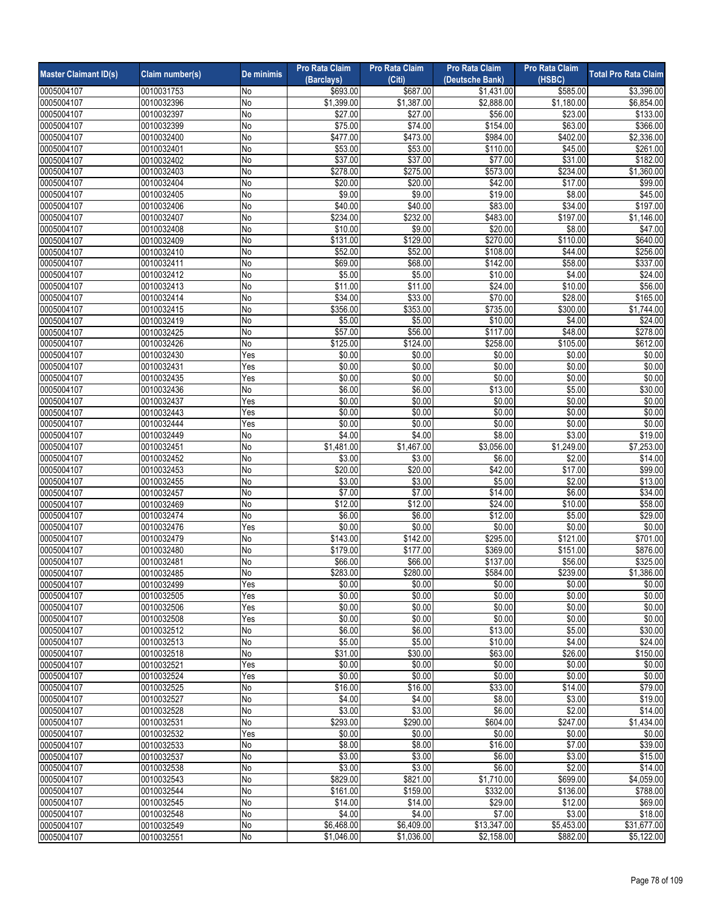| <b>Master Claimant ID(s)</b> | Claim number(s)          | De minimis | Pro Rata Claim       | Pro Rata Claim       | <b>Pro Rata Claim</b>  | <b>Pro Rata Claim</b> | <b>Total Pro Rata Claim</b> |
|------------------------------|--------------------------|------------|----------------------|----------------------|------------------------|-----------------------|-----------------------------|
|                              |                          |            | (Barclays)           | (Citi)               | (Deutsche Bank)        | (HSBC)                |                             |
| 0005004107                   | 0010031753               | No         | \$693.00             | \$687.00             | \$1,431.00             | \$585.00              | \$3,396.00                  |
| 0005004107                   | 0010032396               | No         | \$1,399.00           | \$1,387.00           | \$2,888.00             | \$1,180.00            | \$6,854.00                  |
| 0005004107                   | 0010032397               | No         | \$27.00              | \$27.00              | \$56.00                | \$23.00               | \$133.00                    |
| 0005004107                   | 0010032399               | No         | \$75.00              | \$74.00              | \$154.00               | \$63.00               | \$366.00                    |
| 0005004107                   | 0010032400               | No         | \$477.00             | \$473.00             | \$984.00               | \$402.00              | \$2,336.00                  |
| 0005004107                   | 0010032401               | No         | \$53.00              | \$53.00              | \$110.00               | \$45.00               | \$261.00                    |
| 0005004107                   | 0010032402               | No         | \$37.00              | \$37.00              | \$77.00                | \$31.00               | \$182.00                    |
| 0005004107                   | 0010032403               | No         | \$278.00             | \$275.00             | \$573.00               | \$234.00              | \$1,360.00                  |
| 0005004107                   | 0010032404               | No         | \$20.00              | \$20.00              | \$42.00                | \$17.00               | \$99.00                     |
| 0005004107                   | 0010032405               | No         | \$9.00               | \$9.00               | \$19.00                | \$8.00                | \$45.00                     |
| 0005004107                   | 0010032406               | No         | \$40.00              | \$40.00              | \$83.00                | \$34.00               | \$197.00                    |
| 0005004107                   | 0010032407               | No         | \$234.00             | \$232.00             | \$483.00               | \$197.00              | \$1,146.00                  |
| 0005004107                   | 0010032408               | No         | \$10.00              | \$9.00               | \$20.00                | \$8.00                | \$47.00                     |
| 0005004107                   | 0010032409               | No         | \$131.00             | \$129.00             | \$270.00               | \$110.00              | \$640.00                    |
| 0005004107                   | 0010032410               | No         | \$52.00              | \$52.00              | \$108.00               | \$44.00               | \$256.00                    |
| 0005004107                   | 0010032411               | No         | \$69.00              | \$68.00              | \$142.00               | \$58.00               | \$337.00                    |
| 0005004107                   | 0010032412               | No         | \$5.00               | \$5.00               | \$10.00                | \$4.00                | \$24.00                     |
| 0005004107                   | 0010032413               | No         | \$11.00              | \$11.00              | \$24.00                | \$10.00               | \$56.00                     |
| 0005004107                   | 0010032414               | No         | \$34.00              | \$33.00              | \$70.00                | \$28.00               | \$165.00                    |
| 0005004107                   | 0010032415               | No         | \$356.00             | \$353.00             | \$735.00               | \$300.00              | \$1,744.00                  |
| 0005004107                   | 0010032419               | No         | \$5.00               | \$5.00               | \$10.00                | \$4.00                | \$24.00                     |
| 0005004107                   | 0010032425               | No         | \$57.00              | \$56.00              | \$117.00               | \$48.00               | \$278.00                    |
| 0005004107                   | 0010032426               | No         | \$125.00             | \$124.00             | \$258.00               | \$105.00              | \$612.00                    |
| 0005004107                   | 0010032430               | Yes        | \$0.00               | \$0.00               | \$0.00                 | \$0.00                | \$0.00                      |
| 0005004107                   | 0010032431               | Yes        | \$0.00               | \$0.00               | \$0.00                 | \$0.00                | \$0.00                      |
| 0005004107                   | 0010032435               | Yes        | \$0.00               | \$0.00               | \$0.00                 | \$0.00                | \$0.00                      |
| 0005004107                   | 0010032436               | No         | \$6.00               | \$6.00               | \$13.00                | \$5.00                | \$30.00                     |
| 0005004107                   | 0010032437               | Yes        | \$0.00               | \$0.00               | \$0.00                 | \$0.00                | \$0.00                      |
| 0005004107                   | 0010032443               | Yes        | \$0.00               | \$0.00               | \$0.00                 | \$0.00                | \$0.00                      |
| 0005004107                   | 0010032444               | Yes        | \$0.00               | \$0.00               | \$0.00                 | \$0.00                | \$0.00                      |
| 0005004107                   | 0010032449               | No         | \$4.00               | \$4.00               | \$8.00                 | \$3.00                | \$19.00                     |
| 0005004107                   | 0010032451               | No         | \$1,481.00           | \$1,467.00           | \$3,056.00             | \$1,249.00            | \$7,253.00                  |
| 0005004107                   | 0010032452               | No         | \$3.00               | \$3.00               | \$6.00                 | \$2.00                | \$14.00                     |
| 0005004107                   | 0010032453               | No         | \$20.00              | \$20.00              | \$42.00                | \$17.00               | \$99.00                     |
| 0005004107                   | 0010032455               | No         | \$3.00               | \$3.00               | \$5.00                 | \$2.00                | \$13.00                     |
| 0005004107                   | 0010032457               | No         | \$7.00               | \$7.00               | \$14.00                | \$6.00                | \$34.00                     |
| 0005004107                   | 0010032469               | No         | \$12.00              | \$12.00              | \$24.00                | \$10.00               | \$58.00                     |
| 0005004107                   | 0010032474               | No         | \$6.00               | \$6.00               | \$12.00                | \$5.00                | \$29.00                     |
| 0005004107                   | 0010032476<br>0010032479 | Yes        | \$0.00               | \$0.00               | \$0.00                 | \$0.00                | \$0.00                      |
| 0005004107                   |                          | No         | \$143.00             | \$142.00             | \$295.00               | \$121.00              | \$701.00                    |
| 0005004107                   | 0010032480               | No         | \$179.00             | \$177.00             | \$369.00               | \$151.00              | \$876.00                    |
| 0005004107<br>0005004107     | 0010032481<br>0010032485 | No         | \$66.00              | \$66.00              | \$137.00               | \$56.00               | \$325.00                    |
|                              |                          | No         | \$283.00             | \$280.00             | \$584.00               | \$239.00              | \$1,386.00                  |
| 0005004107<br>0005004107     | 0010032499               | Yes        | \$0.00               | \$0.00               | \$0.00                 | \$0.00                | \$0.00                      |
|                              | 0010032505               | Yes        | \$0.00               | \$0.00               | \$0.00                 | \$0.00                | \$0.00                      |
| 0005004107                   | 0010032506               | Yes        | \$0.00               | \$0.00<br>\$0.00     | \$0.00                 | \$0.00                | \$0.00                      |
| 0005004107                   | 0010032508               | Yes        | \$0.00               |                      | \$0.00                 | \$0.00                | \$0.00                      |
| 0005004107                   | 0010032512<br>0010032513 | No         | \$6.00               | \$6.00               | \$13.00                | \$5.00                | \$30.00                     |
| 0005004107                   | 0010032518               | No         | \$5.00               | \$5.00               | \$10.00                | \$4.00                | \$24.00                     |
| 0005004107                   |                          | No         | \$31.00              | \$30.00              | \$63.00                | \$26.00               | \$150.00                    |
| 0005004107                   | 0010032521               | Yes        | \$0.00               | \$0.00               | \$0.00                 | \$0.00                | \$0.00                      |
| 0005004107                   | 0010032524               | Yes        | \$0.00               | \$0.00               | \$0.00                 | \$0.00                | \$0.00                      |
| 0005004107                   | 0010032525               | No         | \$16.00              | \$16.00              | \$33.00                | \$14.00               | \$79.00                     |
| 0005004107                   | 0010032527               | No         | \$4.00               | \$4.00               | \$8.00                 | \$3.00                | \$19.00                     |
| 0005004107                   | 0010032528               | No         | \$3.00               | \$3.00               | \$6.00                 | \$2.00                | \$14.00<br>\$1.434.00       |
| 0005004107                   | 0010032531               | No         | \$293.00             | \$290.00             | \$604.00               | \$247.00              |                             |
| 0005004107                   | 0010032532               | Yes        | \$0.00               | \$0.00               | \$0.00                 | \$0.00                | \$0.00                      |
| 0005004107                   | 0010032533               | No         | \$8.00               | \$8.00               | \$16.00                | \$7.00                | \$39.00                     |
| 0005004107                   | 0010032537               | No         | \$3.00               | \$3.00               | \$6.00                 | \$3.00                | \$15.00                     |
| 0005004107                   | 0010032538               | No         | \$3.00               | \$3.00               | \$6.00                 | \$2.00                | \$14.00                     |
| 0005004107                   | 0010032543               | No<br>No   | \$829.00<br>\$161.00 | \$821.00<br>\$159.00 | \$1,710.00<br>\$332.00 | \$699.00<br>\$136.00  | \$4,059.00<br>\$788.00      |
| 0005004107                   | 0010032544               |            |                      |                      |                        |                       |                             |
| 0005004107                   | 0010032545               | No         | \$14.00              | \$14.00              | \$29.00                | \$12.00               | \$69.00                     |
| 0005004107                   | 0010032548               | No         | \$4.00               | \$4.00               | \$7.00                 | \$3.00                | \$18.00                     |
| 0005004107                   | 0010032549               | No         | \$6,468.00           | \$6,409.00           | \$13,347.00            | \$5,453.00            | \$31,677.00                 |
| 0005004107                   | 0010032551               | No         | \$1,046.00           | \$1,036.00           | \$2,158.00             | \$882.00              | \$5,122.00                  |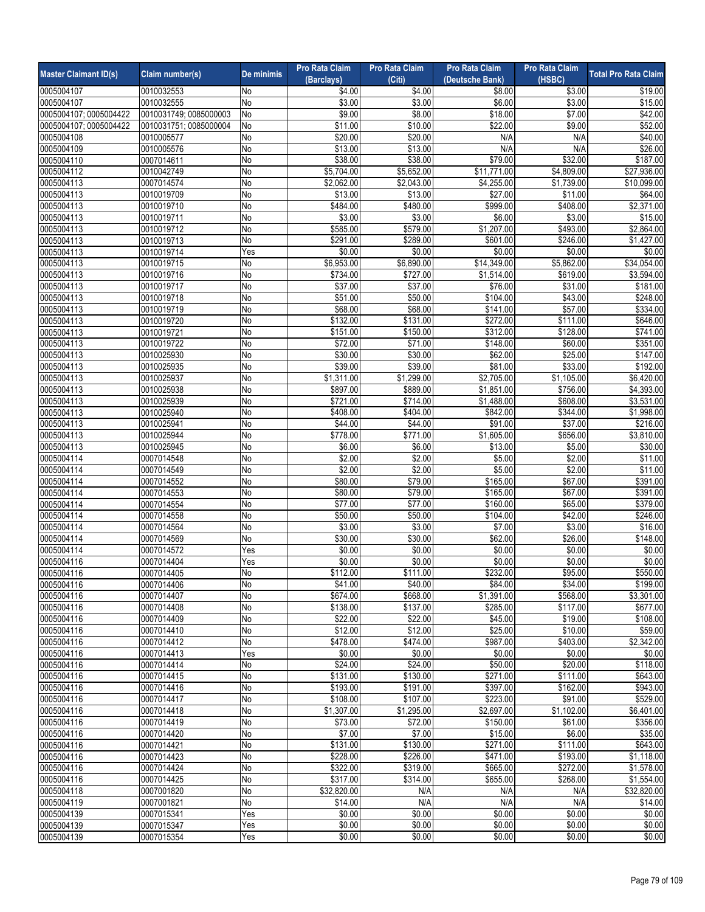| <b>Master Claimant ID(s)</b> | Claim number(s)        | De minimis | Pro Rata Claim<br>(Barclays) | Pro Rata Claim<br>(Citi) | Pro Rata Claim<br>(Deutsche Bank) | Pro Rata Claim<br>(HSBC) | <b>Total Pro Rata Claim</b> |
|------------------------------|------------------------|------------|------------------------------|--------------------------|-----------------------------------|--------------------------|-----------------------------|
| 0005004107                   | 0010032553             | No         | \$4.00                       | \$4.00                   | \$8.00                            | \$3.00                   | \$19.00                     |
| 0005004107                   | 0010032555             | <b>No</b>  | \$3.00                       | \$3.00                   | \$6.00                            | \$3.00                   | \$15.00                     |
| 0005004107; 0005004422       | 0010031749; 0085000003 | No         | \$9.00                       | \$8.00                   | \$18.00                           | \$7.00                   | \$42.00                     |
| 0005004107; 0005004422       | 0010031751; 0085000004 | No         | \$11.00                      | \$10.00                  | \$22.00                           | \$9.00                   | \$52.00                     |
| 0005004108                   | 0010005577             | <b>No</b>  | \$20.00                      | \$20.00                  | N/A                               | N/A                      | \$40.00                     |
| 0005004109                   | 0010005576             | No         | \$13.00                      | \$13.00                  | N/A                               | N/A                      | \$26.00                     |
| 0005004110                   | 0007014611             | No         | \$38.00                      | \$38.00                  | \$79.00                           | \$32.00                  | \$187.00                    |
| 0005004112                   | 0010042749             | No         | \$5,704.00                   | \$5,652.00               | \$11,771.00                       | \$4,809.00               | \$27,936.00                 |
| 0005004113                   | 0007014574             | No         | \$2,062.00                   | \$2,043.00               | \$4,255.00                        | \$1,739.00               | \$10,099.00                 |
| 0005004113                   | 0010019709             | No         | \$13.00                      | \$13.00                  | \$27.00                           | \$11.00                  | \$64.00                     |
| 0005004113                   | 0010019710             | No         | \$484.00                     | \$480.00                 | \$999.00                          | \$408.00                 | \$2,371.00                  |
| 0005004113                   | 0010019711             | <b>No</b>  | \$3.00                       | \$3.00                   | \$6.00                            | \$3.00                   | \$15.00                     |
| 0005004113                   | 0010019712             | <b>No</b>  | \$585.00                     | \$579.00                 | \$1,207.00                        | \$493.00                 | \$2,864.00                  |
| 0005004113                   | 0010019713             | No         | \$291.00                     | \$289.00                 | \$601.00                          | \$246.00                 | \$1,427.00                  |
| 0005004113                   | 0010019714             | Yes        | \$0.00                       | \$0.00                   | \$0.00                            | \$0.00                   | \$0.00                      |
| 0005004113                   | 0010019715             | No         | \$6,953.00                   | \$6,890.00               | \$14,349.00                       | \$5,862.00               | \$34,054.00                 |
| 0005004113                   | 0010019716             | No         | \$734.00                     | \$727.00                 | \$1,514.00                        | \$619.00                 | \$3,594.00                  |
|                              |                        | <b>No</b>  | \$37.00                      | \$37.00                  | \$76.00                           | \$31.00                  | \$181.00                    |
| 0005004113                   | 0010019717             |            |                              |                          |                                   |                          |                             |
| 0005004113                   | 0010019718             | No         | \$51.00                      | \$50.00                  | \$104.00                          | \$43.00                  | \$248.00                    |
| 0005004113                   | 0010019719             | No         | \$68.00                      | \$68.00                  | \$141.00                          | \$57.00                  | \$334.00                    |
| 0005004113                   | 0010019720             | No         | \$132.00                     | \$131.00                 | \$272.00                          | \$111.00                 | \$646.00                    |
| 0005004113                   | 0010019721             | <b>No</b>  | \$151.00                     | \$150.00                 | \$312.00                          | \$128.00                 | \$741.00                    |
| 0005004113                   | 0010019722             | <b>No</b>  | \$72.00                      | \$71.00                  | \$148.00                          | \$60.00                  | \$351.00                    |
| 0005004113                   | 0010025930             | <b>No</b>  | \$30.00                      | \$30.00                  | \$62.00                           | \$25.00                  | \$147.00                    |
| 0005004113                   | 0010025935             | No         | \$39.00                      | \$39.00                  | \$81.00                           | \$33.00                  | \$192.00                    |
| 0005004113                   | 0010025937             | <b>No</b>  | \$1,311.00                   | \$1,299.00               | \$2,705.00                        | $\overline{$1,105.00}$   | \$6,420.00                  |
| 0005004113                   | 0010025938             | <b>No</b>  | \$897.00                     | \$889.00                 | \$1,851.00                        | \$756.00                 | \$4,393.00                  |
| 0005004113                   | 0010025939             | No         | \$721.00                     | \$714.00                 | \$1,488.00                        | \$608.00                 | \$3,531.00                  |
| 0005004113                   | 0010025940             | <b>No</b>  | \$408.00                     | \$404.00                 | \$842.00                          | \$344.00                 | \$1,998.00                  |
| 0005004113                   | 0010025941             | <b>No</b>  | \$44.00                      | \$44.00                  | \$91.00                           | \$37.00                  | \$216.00                    |
| 0005004113                   | 0010025944             | No         | \$778.00                     | \$771.00                 | \$1,605.00                        | \$656.00                 | \$3,810.00                  |
| 0005004113                   | 0010025945             | No         | \$6.00                       | \$6.00                   | \$13.00                           | \$5.00                   | \$30.00                     |
| 0005004114                   | 0007014548             | <b>No</b>  | \$2.00                       | \$2.00                   | \$5.00                            | \$2.00                   | \$11.00                     |
| 0005004114                   | 0007014549             | No         | \$2.00                       | \$2.00                   | \$5.00                            | \$2.00                   | \$11.00                     |
| 0005004114                   | 0007014552             | No         | \$80.00                      | \$79.00                  | \$165.00                          | \$67.00                  | \$391.00                    |
| 0005004114                   | 0007014553             | No         | \$80.00                      | \$79.00                  | \$165.00                          | \$67.00                  | \$391.00                    |
| 0005004114                   | 0007014554             | No         | \$77.00                      | \$77.00                  | \$160.00                          | \$65.00                  | \$379.00                    |
| 0005004114                   | 0007014558             | No         | \$50.00                      | \$50.00                  | \$104.00                          | \$42.00                  | \$246.00                    |
| 0005004114                   | 0007014564             | No         | \$3.00                       | \$3.00                   | \$7.00                            | \$3.00                   | \$16.00                     |
| 0005004114                   | 0007014569             | No         | \$30.00                      | \$30.00                  | \$62.00                           | \$26.00                  | \$148.00                    |
| 0005004114                   | 0007014572             | Yes        | \$0.00                       | \$0.00                   | \$0.00                            | \$0.00                   | \$0.00                      |
| 0005004116                   | 0007014404             | Yes        | \$0.00                       | \$0.00                   | \$0.00                            | \$0.00                   | \$0.00                      |
| 0005004116                   | 0007014405             | No         | \$112.00                     | \$111.00                 | \$232.00                          | \$95.00                  | \$550.00                    |
| 0005004116                   | 0007014406             | No         | \$41.00                      | \$40.00                  | \$84.00                           | \$34.00                  | \$199.00                    |
| 0005004116                   | 0007014407             | <b>No</b>  | \$674.00                     | \$668.00                 | \$1,391.00                        | \$568.00                 | \$3,301.00                  |
| 0005004116                   | 0007014408             | No         | \$138.00                     | \$137.00                 | \$285.00                          | \$117.00                 | \$677.00                    |
| 0005004116                   | 0007014409             | No         | \$22.00                      | \$22.00                  | \$45.00                           | \$19.00                  | \$108.00                    |
| 0005004116                   | 0007014410             | No         | \$12.00                      | \$12.00                  | \$25.00                           | \$10.00                  | \$59.00                     |
| 0005004116                   | 0007014412             | No         | \$478.00                     | \$474.00                 | \$987.00                          | \$403.00                 | \$2,342.00                  |
| 0005004116                   | 0007014413             | Yes        | \$0.00                       | \$0.00                   | \$0.00                            | \$0.00                   | \$0.00                      |
| 0005004116                   | 0007014414             | <b>No</b>  | \$24.00                      | \$24.00                  | \$50.00                           | \$20.00                  | \$118.00                    |
| 0005004116                   | 0007014415             | No         | \$131.00                     | \$130.00                 | \$271.00                          | \$111.00                 | \$643.00                    |
| 0005004116                   | 0007014416             | No         | \$193.00                     | \$191.00                 | \$397.00                          | \$162.00                 | \$943.00                    |
| 0005004116                   | 0007014417             | <b>No</b>  |                              |                          | \$223.00                          | \$91.00                  | \$529.00                    |
|                              | 0007014418             | <b>No</b>  | \$108.00                     | \$107.00                 | \$2,697.00                        |                          |                             |
| 0005004116                   |                        |            | \$1,307.00                   | \$1,295.00               |                                   | \$1,102.00               | \$6,401.00                  |
| 0005004116                   | 0007014419             | No         | \$73.00                      | \$72.00                  | \$150.00                          | \$61.00                  | \$356.00                    |
| 0005004116                   | 0007014420             | <b>No</b>  | \$7.00                       | \$7.00                   | \$15.00                           | \$6.00                   | \$35.00                     |
| 0005004116                   | 0007014421             | No         | \$131.00                     | \$130.00                 | \$271.00                          | \$111.00                 | \$643.00                    |
| 0005004116                   | 0007014423             | <b>No</b>  | \$228.00                     | \$226.00                 | \$471.00                          | \$193.00                 | \$1,118.00                  |
| 0005004116                   | 0007014424             | <b>No</b>  | \$322.00                     | \$319.00                 | \$665.00                          | \$272.00                 | \$1,578.00                  |
| 0005004116                   | 0007014425             | No         | \$317.00                     | \$314.00                 | \$655.00                          | \$268.00                 | \$1,554.00                  |
| 0005004118                   | 0007001820             | No         | \$32,820.00                  | N/A                      | N/A                               | N/A                      | \$32,820.00                 |
| 0005004119                   | 0007001821             | No         | \$14.00                      | N/A                      | N/A                               | N/A                      | \$14.00                     |
| 0005004139                   | 0007015341             | Yes        | \$0.00                       | \$0.00                   | \$0.00                            | \$0.00                   | \$0.00                      |
| 0005004139                   | 0007015347             | Yes        | \$0.00                       | \$0.00                   | \$0.00                            | \$0.00                   | \$0.00                      |
| 0005004139                   | 0007015354             | Yes        | \$0.00                       | \$0.00                   | \$0.00                            | \$0.00                   | \$0.00                      |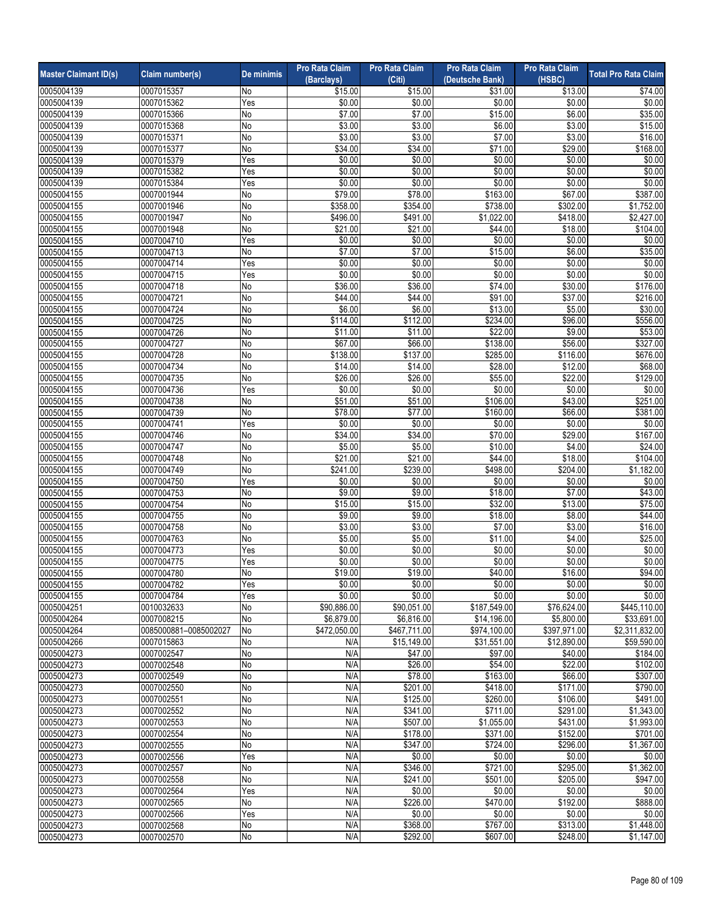| <b>Master Claimant ID(s)</b> | Claim number(s)          | De minimis | Pro Rata Claim        | <b>Pro Rata Claim</b> | Pro Rata Claim             | <b>Pro Rata Claim</b> | <b>Total Pro Rata Claim</b> |
|------------------------------|--------------------------|------------|-----------------------|-----------------------|----------------------------|-----------------------|-----------------------------|
| 0005004139                   |                          | No         | (Barclays)<br>\$15.00 | (Citi)<br>\$15.00     | (Deutsche Bank)<br>\$31.00 | (HSBC)<br>\$13.00     |                             |
| 0005004139                   | 0007015357<br>0007015362 | Yes        | \$0.00                | \$0.00                | \$0.00                     | \$0.00                | \$74.00<br>\$0.00           |
| 0005004139                   | 0007015366               | No         | \$7.00                | \$7.00                | \$15.00                    | \$6.00                | \$35.00                     |
| 0005004139                   | 0007015368               | No         | \$3.00                | \$3.00                | \$6.00                     | \$3.00                | \$15.00                     |
| 0005004139                   | 0007015371               | No         | \$3.00                | \$3.00                | \$7.00                     | \$3.00                | \$16.00                     |
| 0005004139                   | 0007015377               | No         | \$34.00               | \$34.00               | \$71.00                    | \$29.00               | \$168.00                    |
| 0005004139                   | 0007015379               | Yes        | \$0.00                | \$0.00                | \$0.00                     | \$0.00                | \$0.00                      |
| 0005004139                   | 0007015382               | Yes        | \$0.00                | \$0.00                | \$0.00                     | \$0.00                | \$0.00                      |
| 0005004139                   | 0007015384               | Yes        | \$0.00                | \$0.00                | \$0.00                     | \$0.00                | \$0.00                      |
| 0005004155                   | 0007001944               | No         | $\frac{1}{1579.00}$   | \$78.00               | \$163.00                   | \$67.00               | \$387.00                    |
| 0005004155                   | 0007001946               | <b>No</b>  | \$358.00              | \$354.00              | \$738.00                   | \$302.00              | \$1,752.00                  |
| 0005004155                   | 0007001947               | No         | \$496.00              | \$491.00              | \$1,022.00                 | \$418.00              | \$2,427.00                  |
| 0005004155                   | 0007001948               | <b>No</b>  | \$21.00               | \$21.00               | \$44.00                    | \$18.00               | \$104.00                    |
| 0005004155                   | 0007004710               | Yes        | \$0.00                | \$0.00                | \$0.00                     | \$0.00                | \$0.00                      |
| 0005004155                   | 0007004713               | No         | \$7.00                | \$7.00                | \$15.00                    | \$6.00                | \$35.00                     |
| 0005004155                   | 0007004714               | Yes        | \$0.00                | \$0.00                | \$0.00                     | \$0.00                | \$0.00                      |
| 0005004155                   | 0007004715               | Yes        | \$0.00                | \$0.00                | \$0.00                     | \$0.00                | \$0.00                      |
| 0005004155                   | 0007004718               | <b>No</b>  | \$36.00               | \$36.00               | \$74.00                    | \$30.00               | \$176.00                    |
| 0005004155                   | 0007004721               | <b>No</b>  | \$44.00               | \$44.00               | \$91.00                    | \$37.00               | \$216.00                    |
| 0005004155                   | 0007004724               | No         | \$6.00                | \$6.00                | \$13.00                    | \$5.00                | \$30.00                     |
| 0005004155                   | 0007004725               | No         | \$114.00              | \$112.00              | \$234.00                   | \$96.00               | \$556.00                    |
| 0005004155                   | 0007004726               | <b>No</b>  | \$11.00               | \$11.00               | \$22.00                    | \$9.00                | \$53.00                     |
| 0005004155                   | 0007004727               | No         | \$67.00               | \$66.00               | \$138.00                   | \$56.00               | \$327.00                    |
| 0005004155                   | 0007004728               | <b>No</b>  | \$138.00              | \$137.00              | \$285.00                   | \$116.00              | \$676.00                    |
| 0005004155                   | 0007004734               | <b>No</b>  | \$14.00               | \$14.00               | \$28.00                    | \$12.00               | \$68.00                     |
| 0005004155                   | 0007004735               | No         | \$26.00               | \$26.00               | \$55.00                    | \$22.00               | \$129.00                    |
| 0005004155                   | 0007004736               | Yes        | \$0.00                | \$0.00                | \$0.00                     | \$0.00                | \$0.00                      |
| 0005004155                   | 0007004738               | No         | \$51.00               | \$51.00               | \$106.00                   | \$43.00               | \$251.00                    |
| 0005004155                   | 0007004739               | <b>No</b>  | \$78.00               | \$77.00               | \$160.00                   | \$66.00               | \$381.00                    |
| 0005004155                   | 0007004741               | Yes        | \$0.00                | \$0.00                | \$0.00                     | \$0.00                | \$0.00                      |
| 0005004155                   | 0007004746               | No         | \$34.00               | \$34.00               | \$70.00                    | \$29.00               | \$167.00                    |
| 0005004155                   | 0007004747               | No         | \$5.00                | \$5.00                | \$10.00                    | \$4.00                | \$24.00                     |
| 0005004155                   | 0007004748               | <b>No</b>  | \$21.00               | \$21.00               | \$44.00                    | \$18.00               | \$104.00                    |
| 0005004155                   | 0007004749               | No         | \$241.00              | \$239.00              | \$498.00                   | \$204.00              | \$1,182.00                  |
| 0005004155                   | 0007004750               | Yes        | \$0.00                | \$0.00                | \$0.00                     | \$0.00                | \$0.00                      |
| 0005004155                   | 0007004753               | <b>No</b>  | \$9.00                | \$9.00                | \$18.00                    | \$7.00                | \$43.00                     |
| 0005004155                   | 0007004754               | No         | \$15.00               | \$15.00               | \$32.00                    | \$13.00               | \$75.00                     |
| 0005004155                   | 0007004755               | <b>No</b>  | \$9.00                | \$9.00                | \$18.00                    | \$8.00                | \$44.00                     |
| 0005004155                   | 0007004758               | No         | \$3.00                | \$3.00                | \$7.00                     | \$3.00                | \$16.00                     |
| 0005004155                   | 0007004763               | No         | \$5.00                | \$5.00                | \$11.00                    | \$4.00                | \$25.00                     |
| 0005004155                   | 0007004773               | Yes        | \$0.00                | \$0.00                | \$0.00                     | \$0.00                | \$0.00                      |
| 0005004155                   | 0007004775               | Yes        | \$0.00                | \$0.00                | \$0.00                     | \$0.00                | \$0.00                      |
| 0005004155                   | 0007004780               | No         | \$19.00               | \$19.00               | \$40.00                    | \$16.00               | \$94.00                     |
| 0005004155                   | 0007004782               | Yes        | \$0.00                | \$0.00                | \$0.00                     | \$0.00                | \$0.00                      |
| 0005004155                   | 0007004784               | Yes        | \$0.00                | \$0.00                | \$0.00                     | \$0.00                | \$0.00                      |
| 0005004251                   | 0010032633               | No         | \$90.886.00           | \$90,051.00           | \$187,549.00               | \$76,624.00           | \$445,110.00                |
| 0005004264                   | 0007008215               | No         | \$6,879.00            | \$6,816.00            | \$14,196.00                | \$5,800.00            | \$33,691.00                 |
| 0005004264                   | 0085000881-0085002027    | No         | \$472,050.00          | \$467,711.00          | \$974,100.00               | \$397,971.00          | \$2,311,832.00              |
| 0005004266                   | 0007015863               | No         | N/A                   | \$15,149.00           | \$31,551.00                | \$12,890.00           | \$59,590.00                 |
| 0005004273                   | 0007002547               | No         | N/A                   | \$47.00               | \$97.00                    | \$40.00               | \$184.00                    |
| 0005004273                   | 0007002548               | No         | N/A                   | \$26.00               | \$54.00                    | \$22.00               | \$102.00                    |
| 0005004273                   | 0007002549               | No         | N/A                   | \$78.00               | \$163.00                   | \$66.00               | \$307.00                    |
| 0005004273                   | 0007002550               | No         | N/A                   | \$201.00              | \$418.00                   | \$171.00              | \$790.00                    |
| 0005004273                   | 0007002551               | No         | N/A                   | \$125.00              | \$260.00                   | \$106.00              | \$491.00                    |
| 0005004273                   | 0007002552               | No         | N/A                   | \$341.00              | \$711.00                   | \$291.00              | \$1,343.00                  |
| 0005004273                   | 0007002553               | No         | N/A                   | \$507.00              | \$1,055.00                 | \$431.00              | \$1,993.00                  |
| 0005004273                   | 0007002554               | No         | N/A                   | \$178.00              | \$371.00                   | \$152.00              | \$701.00                    |
| 0005004273                   | 0007002555               | No         | N/A                   | \$347.00              | \$724.00                   | \$296.00              | \$1,367.00                  |
| 0005004273                   | 0007002556               | Yes        | N/A                   | \$0.00                | \$0.00                     | \$0.00                | \$0.00                      |
| 0005004273                   | 0007002557               | No         | N/A                   | \$346.00              | \$721.00                   | \$295.00              | \$1,362.00                  |
| 0005004273                   | 0007002558               | No         | N/A                   | \$241.00              | \$501.00                   | \$205.00              | \$947.00                    |
| 0005004273                   | 0007002564               | Yes        | N/A                   | \$0.00                | \$0.00                     | \$0.00                | \$0.00                      |
|                              |                          |            |                       | \$226.00              | \$470.00                   | \$192.00              | \$888.00                    |
| 0005004273<br>0005004273     | 0007002565<br>0007002566 | No<br>Yes  | N/A<br>N/A            | \$0.00                | \$0.00                     | \$0.00                | \$0.00                      |
| 0005004273                   | 0007002568               |            | N/A                   | \$368.00              | \$767.00                   | \$313.00              |                             |
|                              |                          | No         |                       |                       |                            |                       | \$1,448.00                  |
| 0005004273                   | 0007002570               | No         | N/A                   | \$292.00              | \$607.00                   | \$248.00              | \$1,147.00                  |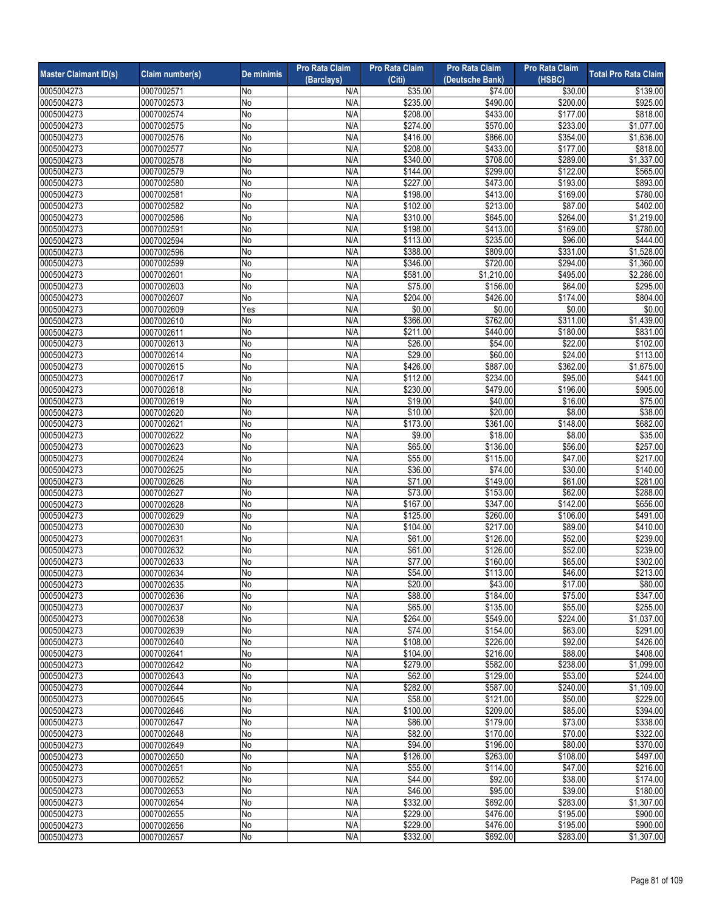| \$35.00<br>0005004273<br>0007002571<br>No<br>N/A<br>\$74.00<br>\$30.00<br>\$139.00<br>0005004273<br>0007002573<br>N/A<br>\$235.00<br>\$490.00<br>\$200.00<br>\$925.00<br><b>No</b><br>\$208.00<br>\$177.00<br>\$433.00<br>\$818.00<br>0005004273<br>0007002574<br>No<br>N/A<br>\$233.00<br>\$1,077.00<br>0005004273<br>0007002575<br>No<br>N/A<br>\$274.00<br>\$570.00<br>\$416.00<br>\$866.00<br>\$354.00<br>\$1,636.00<br>No<br>N/A<br>0005004273<br>0007002576<br>\$177.00<br>\$208.00<br>\$433.00<br>\$818.00<br>0005004273<br>0007002577<br><b>No</b><br>N/A<br>\$289.00<br>\$1,337.00<br>0005004273<br>0007002578<br>No<br>N/A<br>\$340.00<br>\$708.00<br>N/A<br>\$144.00<br>\$299.00<br>\$122.00<br>\$565.00<br>0005004273<br>0007002579<br><b>No</b><br>\$193.00<br>\$227.00<br>\$473.00<br>\$893.00<br>0005004273<br>0007002580<br>No<br>N/A<br>\$198.00<br><b>No</b><br>\$413.00<br>\$169.00<br>\$780.00<br>0005004273<br>0007002581<br>N/A<br>0005004273<br>0007002582<br>N/A<br>\$102.00<br>\$213.00<br>\$87.00<br>\$402.00<br><b>No</b><br>\$264.00<br>\$1,219.00<br>\$310.00<br>\$645.00<br>0005004273<br>0007002586<br>No<br>N/A<br>\$198.00<br>\$169.00<br>0005004273<br>0007002591<br><b>No</b><br>\$413.00<br>\$780.00<br>N/A<br>\$113.00<br>\$235.00<br>\$96.00<br>\$444.00<br>0007002594<br><b>No</b><br>N/A<br>0005004273<br>\$331.00<br>0005004273<br>0007002596<br>\$388.00<br>\$809.00<br>\$1,528.00<br>No<br>N/A<br>\$346.00<br>\$294.00<br>0005004273<br>0007002599<br>No<br>\$720.00<br>\$1,360.00<br>N/A<br>\$2,286.00<br>N/A<br>\$581.00<br>\$1,210.00<br>\$495.00<br>0005004273<br>0007002601<br>No<br>\$75.00<br>\$295.00<br>0005004273<br>0007002603<br>N/A<br>\$156.00<br>\$64.00<br><b>No</b><br>\$204.00<br>\$174.00<br>\$804.00<br>No<br>N/A<br>\$426.00<br>0005004273<br>0007002607<br>N/A<br>\$0.00<br>\$0.00<br>\$0.00<br>\$0.00<br>0005004273<br>0007002609<br>Yes<br>\$366.00<br>\$762.00<br>\$311.00<br>0005004273<br>N/A<br>0007002610<br>No<br>\$211.00<br>\$180.00<br>0005004273<br>0007002611<br><b>No</b><br>N/A<br>\$440.00<br>\$831.00<br>0005004273<br>0007002613<br>N/A<br>\$26.00<br>\$54.00<br>\$22.00<br>\$102.00<br>No<br>0005004273<br>0007002614<br>\$29.00<br>\$60.00<br>\$24.00<br>\$113.00<br><b>No</b><br>N/A<br>0005004273<br>\$426.00<br>\$887.00<br>\$362.00<br>\$1,675.00<br>0007002615<br><b>No</b><br>N/A<br>N/A<br>\$112.00<br>\$234.00<br>\$95.00<br>No<br>0005004273<br>0007002617<br>\$230.00<br>\$479.00<br>\$196.00<br>\$905.00<br>0005004273<br>0007002618<br><b>No</b><br>N/A<br>\$19.00<br>\$16.00<br>0005004273<br>N/A<br>\$40.00<br>0007002619<br>No<br>0005004273<br>0007002620<br>N/A<br>\$10.00<br>\$20.00<br>\$8.00<br>No<br>\$173.00<br>\$148.00<br>\$682.00<br>No<br>N/A<br>\$361.00<br>0005004273<br>0007002621<br>\$9.00<br>\$8.00<br>\$35.00<br>0005004273<br>0007002622<br><b>No</b><br>N/A<br>\$18.00<br>\$65.00<br>N/A<br>\$136.00<br>\$56.00<br>\$257.00<br>0005004273<br>0007002623<br>No<br>0005004273<br>\$55.00<br>\$115.00<br>\$217.00<br>0007002624<br><b>No</b><br>N/A<br>\$47.00<br>\$36.00<br>\$74.00<br>\$30.00<br>0005004273<br>0007002625<br>No<br>N/A<br>\$71.00<br>\$149.00<br>\$61.00<br><b>No</b><br>N/A<br>0005004273<br>0007002626<br>\$73.00<br>\$153.00<br>\$62.00<br>\$288.00<br>0005004273<br>0007002627<br><b>No</b><br>N/A<br>\$167.00<br>\$142.00<br>\$656.00<br>N/A<br>\$347.00<br>0005004273<br>0007002628<br>No<br>\$125.00<br>\$260.00<br>\$106.00<br>\$491.00<br>0005004273<br>0007002629<br><b>No</b><br>N/A<br>\$104.00<br>\$217.00<br>\$89.00<br>\$410.00<br>0005004273<br>0007002630<br>No<br>N/A<br>N/A<br>\$61.00<br>\$126.00<br>\$52.00<br>\$239.00<br>0005004273<br>0007002631<br>No<br>N/A<br>\$61.00<br>\$126.00<br>\$52.00<br>0005004273<br>0007002632<br>No<br>0005004273<br>0007002633<br>No<br>N/A<br>\$77.00<br>\$160.00<br>\$65.00<br>\$302.00<br>N/A<br>\$54.00<br>\$46.00<br>0005004273<br>0007002634<br>\$113.00<br>No<br>\$20.00<br>\$43.00<br>\$17.00<br>No<br>N/A<br>0005004273<br>0007002635<br>No<br>0005004273<br>0007002636<br>N/A<br>\$88.00<br>\$184.00<br>\$75.00<br>\$65.00<br>\$135.00<br>\$55.00<br>0005004273<br>No<br>N/A<br>0007002637<br>\$264.00<br>\$549.00<br>\$224.00<br>0005004273<br>0007002638<br>No<br>N/A<br>0005004273<br>0007002639<br>No<br>\$74.00<br>\$154.00<br>\$63.00<br>N/A<br>\$108.00<br>\$226.00<br>\$92.00<br>0005004273<br>0007002640<br>No<br>N/A<br>0005004273<br>0007002641<br>No<br>\$104.00<br>\$216.00<br>\$88.00<br>N/A<br>No<br>\$279.00<br>\$582.00<br>\$238.00<br>0005004273<br>0007002642<br>N/A<br>N/A<br>\$62.00<br>\$129.00<br>\$53.00<br>0005004273<br>0007002643<br>No<br>\$282.00<br>\$587.00<br>\$240.00<br>0007002644<br>No<br>N/A<br>0005004273<br>\$58.00<br>0005004273<br>0007002645<br>No<br>\$121.00<br>\$50.00<br>N/A<br>No<br>N/A<br>\$100.00<br>\$209.00<br>\$85.00<br>0005004273<br>0007002646<br>No<br>\$86.00<br>\$179.00<br>0005004273<br>0007002647<br>N/A<br>\$73.00<br>0005004273<br>0007002648<br>No<br>\$82.00<br>\$170.00<br>\$70.00<br>N/A<br>\$196.00<br>0005004273<br>0007002649<br>No<br>N/A<br>\$94.00<br>\$80.00<br>\$126.00<br>\$263.00<br>0005004273<br>0007002650<br>No<br>N/A<br>\$108.00<br>No<br>\$55.00<br>\$114.00<br>\$47.00<br>0005004273<br>0007002651<br>N/A<br>N/A<br>\$44.00<br>\$92.00<br>\$38.00<br>0005004273<br>0007002652<br>No<br>\$46.00<br>No<br>N/A<br>\$95.00<br>\$39.00<br>0005004273<br>0007002653<br>\$332.00<br>0007002654<br>No<br>\$692.00<br>\$283.00<br>0005004273<br>N/A<br>N/A<br>\$229.00<br>No<br>\$476.00<br>\$195.00<br>0005004273<br>0007002655<br>\$229.00<br>\$195.00<br>0005004273<br>0007002656<br>No<br>N/A<br>\$476.00<br>0007002657<br>No<br>\$332.00<br>\$692.00<br>\$283.00<br>0005004273<br>N/A | <b>Master Claimant ID(s)</b> | <b>Claim number(s)</b> | De minimis | <b>Pro Rata Claim</b><br>(Barclays) | <b>Pro Rata Claim</b><br>(Citi) | Pro Rata Claim<br>(Deutsche Bank) | <b>Pro Rata Claim</b><br>(HSBC) | <b>Total Pro Rata Claim</b> |
|---------------------------------------------------------------------------------------------------------------------------------------------------------------------------------------------------------------------------------------------------------------------------------------------------------------------------------------------------------------------------------------------------------------------------------------------------------------------------------------------------------------------------------------------------------------------------------------------------------------------------------------------------------------------------------------------------------------------------------------------------------------------------------------------------------------------------------------------------------------------------------------------------------------------------------------------------------------------------------------------------------------------------------------------------------------------------------------------------------------------------------------------------------------------------------------------------------------------------------------------------------------------------------------------------------------------------------------------------------------------------------------------------------------------------------------------------------------------------------------------------------------------------------------------------------------------------------------------------------------------------------------------------------------------------------------------------------------------------------------------------------------------------------------------------------------------------------------------------------------------------------------------------------------------------------------------------------------------------------------------------------------------------------------------------------------------------------------------------------------------------------------------------------------------------------------------------------------------------------------------------------------------------------------------------------------------------------------------------------------------------------------------------------------------------------------------------------------------------------------------------------------------------------------------------------------------------------------------------------------------------------------------------------------------------------------------------------------------------------------------------------------------------------------------------------------------------------------------------------------------------------------------------------------------------------------------------------------------------------------------------------------------------------------------------------------------------------------------------------------------------------------------------------------------------------------------------------------------------------------------------------------------------------------------------------------------------------------------------------------------------------------------------------------------------------------------------------------------------------------------------------------------------------------------------------------------------------------------------------------------------------------------------------------------------------------------------------------------------------------------------------------------------------------------------------------------------------------------------------------------------------------------------------------------------------------------------------------------------------------------------------------------------------------------------------------------------------------------------------------------------------------------------------------------------------------------------------------------------------------------------------------------------------------------------------------------------------------------------------------------------------------------------------------------------------------------------------------------------------------------------------------------------------------------------------------------------------------------------------------------------------------------------------------------------------------------------------------------------------------------------------------------------------------------------------------------------------------------------------------------------------------------------------------------------------------------------------------------------------------------------------------------------------------------------------------------------------------------------------------------------------------------------------------------------------------------------------------------------------------------------------------------------------------------------------------------------------------------------------------------------------------------------------------------------------------------------------------------------------------------------------------------------------------------------------------------------------------------------------------------------------------------------------------------------------------------------------------------------------------------------------------------------------|------------------------------|------------------------|------------|-------------------------------------|---------------------------------|-----------------------------------|---------------------------------|-----------------------------|
|                                                                                                                                                                                                                                                                                                                                                                                                                                                                                                                                                                                                                                                                                                                                                                                                                                                                                                                                                                                                                                                                                                                                                                                                                                                                                                                                                                                                                                                                                                                                                                                                                                                                                                                                                                                                                                                                                                                                                                                                                                                                                                                                                                                                                                                                                                                                                                                                                                                                                                                                                                                                                                                                                                                                                                                                                                                                                                                                                                                                                                                                                                                                                                                                                                                                                                                                                                                                                                                                                                                                                                                                                                                                                                                                                                                                                                                                                                                                                                                                                                                                                                                                                                                                                                                                                                                                                                                                                                                                                                                                                                                                                                                                                                                                                                                                                                                                                                                                                                                                                                                                                                                                                                                                                                                                                                                                                                                                                                                                                                                                                                                                                                                                                                                                                                                 |                              |                        |            |                                     |                                 |                                   |                                 |                             |
|                                                                                                                                                                                                                                                                                                                                                                                                                                                                                                                                                                                                                                                                                                                                                                                                                                                                                                                                                                                                                                                                                                                                                                                                                                                                                                                                                                                                                                                                                                                                                                                                                                                                                                                                                                                                                                                                                                                                                                                                                                                                                                                                                                                                                                                                                                                                                                                                                                                                                                                                                                                                                                                                                                                                                                                                                                                                                                                                                                                                                                                                                                                                                                                                                                                                                                                                                                                                                                                                                                                                                                                                                                                                                                                                                                                                                                                                                                                                                                                                                                                                                                                                                                                                                                                                                                                                                                                                                                                                                                                                                                                                                                                                                                                                                                                                                                                                                                                                                                                                                                                                                                                                                                                                                                                                                                                                                                                                                                                                                                                                                                                                                                                                                                                                                                                 |                              |                        |            |                                     |                                 |                                   |                                 |                             |
|                                                                                                                                                                                                                                                                                                                                                                                                                                                                                                                                                                                                                                                                                                                                                                                                                                                                                                                                                                                                                                                                                                                                                                                                                                                                                                                                                                                                                                                                                                                                                                                                                                                                                                                                                                                                                                                                                                                                                                                                                                                                                                                                                                                                                                                                                                                                                                                                                                                                                                                                                                                                                                                                                                                                                                                                                                                                                                                                                                                                                                                                                                                                                                                                                                                                                                                                                                                                                                                                                                                                                                                                                                                                                                                                                                                                                                                                                                                                                                                                                                                                                                                                                                                                                                                                                                                                                                                                                                                                                                                                                                                                                                                                                                                                                                                                                                                                                                                                                                                                                                                                                                                                                                                                                                                                                                                                                                                                                                                                                                                                                                                                                                                                                                                                                                                 |                              |                        |            |                                     |                                 |                                   |                                 |                             |
|                                                                                                                                                                                                                                                                                                                                                                                                                                                                                                                                                                                                                                                                                                                                                                                                                                                                                                                                                                                                                                                                                                                                                                                                                                                                                                                                                                                                                                                                                                                                                                                                                                                                                                                                                                                                                                                                                                                                                                                                                                                                                                                                                                                                                                                                                                                                                                                                                                                                                                                                                                                                                                                                                                                                                                                                                                                                                                                                                                                                                                                                                                                                                                                                                                                                                                                                                                                                                                                                                                                                                                                                                                                                                                                                                                                                                                                                                                                                                                                                                                                                                                                                                                                                                                                                                                                                                                                                                                                                                                                                                                                                                                                                                                                                                                                                                                                                                                                                                                                                                                                                                                                                                                                                                                                                                                                                                                                                                                                                                                                                                                                                                                                                                                                                                                                 |                              |                        |            |                                     |                                 |                                   |                                 |                             |
|                                                                                                                                                                                                                                                                                                                                                                                                                                                                                                                                                                                                                                                                                                                                                                                                                                                                                                                                                                                                                                                                                                                                                                                                                                                                                                                                                                                                                                                                                                                                                                                                                                                                                                                                                                                                                                                                                                                                                                                                                                                                                                                                                                                                                                                                                                                                                                                                                                                                                                                                                                                                                                                                                                                                                                                                                                                                                                                                                                                                                                                                                                                                                                                                                                                                                                                                                                                                                                                                                                                                                                                                                                                                                                                                                                                                                                                                                                                                                                                                                                                                                                                                                                                                                                                                                                                                                                                                                                                                                                                                                                                                                                                                                                                                                                                                                                                                                                                                                                                                                                                                                                                                                                                                                                                                                                                                                                                                                                                                                                                                                                                                                                                                                                                                                                                 |                              |                        |            |                                     |                                 |                                   |                                 |                             |
|                                                                                                                                                                                                                                                                                                                                                                                                                                                                                                                                                                                                                                                                                                                                                                                                                                                                                                                                                                                                                                                                                                                                                                                                                                                                                                                                                                                                                                                                                                                                                                                                                                                                                                                                                                                                                                                                                                                                                                                                                                                                                                                                                                                                                                                                                                                                                                                                                                                                                                                                                                                                                                                                                                                                                                                                                                                                                                                                                                                                                                                                                                                                                                                                                                                                                                                                                                                                                                                                                                                                                                                                                                                                                                                                                                                                                                                                                                                                                                                                                                                                                                                                                                                                                                                                                                                                                                                                                                                                                                                                                                                                                                                                                                                                                                                                                                                                                                                                                                                                                                                                                                                                                                                                                                                                                                                                                                                                                                                                                                                                                                                                                                                                                                                                                                                 |                              |                        |            |                                     |                                 |                                   |                                 |                             |
|                                                                                                                                                                                                                                                                                                                                                                                                                                                                                                                                                                                                                                                                                                                                                                                                                                                                                                                                                                                                                                                                                                                                                                                                                                                                                                                                                                                                                                                                                                                                                                                                                                                                                                                                                                                                                                                                                                                                                                                                                                                                                                                                                                                                                                                                                                                                                                                                                                                                                                                                                                                                                                                                                                                                                                                                                                                                                                                                                                                                                                                                                                                                                                                                                                                                                                                                                                                                                                                                                                                                                                                                                                                                                                                                                                                                                                                                                                                                                                                                                                                                                                                                                                                                                                                                                                                                                                                                                                                                                                                                                                                                                                                                                                                                                                                                                                                                                                                                                                                                                                                                                                                                                                                                                                                                                                                                                                                                                                                                                                                                                                                                                                                                                                                                                                                 |                              |                        |            |                                     |                                 |                                   |                                 |                             |
|                                                                                                                                                                                                                                                                                                                                                                                                                                                                                                                                                                                                                                                                                                                                                                                                                                                                                                                                                                                                                                                                                                                                                                                                                                                                                                                                                                                                                                                                                                                                                                                                                                                                                                                                                                                                                                                                                                                                                                                                                                                                                                                                                                                                                                                                                                                                                                                                                                                                                                                                                                                                                                                                                                                                                                                                                                                                                                                                                                                                                                                                                                                                                                                                                                                                                                                                                                                                                                                                                                                                                                                                                                                                                                                                                                                                                                                                                                                                                                                                                                                                                                                                                                                                                                                                                                                                                                                                                                                                                                                                                                                                                                                                                                                                                                                                                                                                                                                                                                                                                                                                                                                                                                                                                                                                                                                                                                                                                                                                                                                                                                                                                                                                                                                                                                                 |                              |                        |            |                                     |                                 |                                   |                                 |                             |
|                                                                                                                                                                                                                                                                                                                                                                                                                                                                                                                                                                                                                                                                                                                                                                                                                                                                                                                                                                                                                                                                                                                                                                                                                                                                                                                                                                                                                                                                                                                                                                                                                                                                                                                                                                                                                                                                                                                                                                                                                                                                                                                                                                                                                                                                                                                                                                                                                                                                                                                                                                                                                                                                                                                                                                                                                                                                                                                                                                                                                                                                                                                                                                                                                                                                                                                                                                                                                                                                                                                                                                                                                                                                                                                                                                                                                                                                                                                                                                                                                                                                                                                                                                                                                                                                                                                                                                                                                                                                                                                                                                                                                                                                                                                                                                                                                                                                                                                                                                                                                                                                                                                                                                                                                                                                                                                                                                                                                                                                                                                                                                                                                                                                                                                                                                                 |                              |                        |            |                                     |                                 |                                   |                                 |                             |
|                                                                                                                                                                                                                                                                                                                                                                                                                                                                                                                                                                                                                                                                                                                                                                                                                                                                                                                                                                                                                                                                                                                                                                                                                                                                                                                                                                                                                                                                                                                                                                                                                                                                                                                                                                                                                                                                                                                                                                                                                                                                                                                                                                                                                                                                                                                                                                                                                                                                                                                                                                                                                                                                                                                                                                                                                                                                                                                                                                                                                                                                                                                                                                                                                                                                                                                                                                                                                                                                                                                                                                                                                                                                                                                                                                                                                                                                                                                                                                                                                                                                                                                                                                                                                                                                                                                                                                                                                                                                                                                                                                                                                                                                                                                                                                                                                                                                                                                                                                                                                                                                                                                                                                                                                                                                                                                                                                                                                                                                                                                                                                                                                                                                                                                                                                                 |                              |                        |            |                                     |                                 |                                   |                                 |                             |
|                                                                                                                                                                                                                                                                                                                                                                                                                                                                                                                                                                                                                                                                                                                                                                                                                                                                                                                                                                                                                                                                                                                                                                                                                                                                                                                                                                                                                                                                                                                                                                                                                                                                                                                                                                                                                                                                                                                                                                                                                                                                                                                                                                                                                                                                                                                                                                                                                                                                                                                                                                                                                                                                                                                                                                                                                                                                                                                                                                                                                                                                                                                                                                                                                                                                                                                                                                                                                                                                                                                                                                                                                                                                                                                                                                                                                                                                                                                                                                                                                                                                                                                                                                                                                                                                                                                                                                                                                                                                                                                                                                                                                                                                                                                                                                                                                                                                                                                                                                                                                                                                                                                                                                                                                                                                                                                                                                                                                                                                                                                                                                                                                                                                                                                                                                                 |                              |                        |            |                                     |                                 |                                   |                                 |                             |
|                                                                                                                                                                                                                                                                                                                                                                                                                                                                                                                                                                                                                                                                                                                                                                                                                                                                                                                                                                                                                                                                                                                                                                                                                                                                                                                                                                                                                                                                                                                                                                                                                                                                                                                                                                                                                                                                                                                                                                                                                                                                                                                                                                                                                                                                                                                                                                                                                                                                                                                                                                                                                                                                                                                                                                                                                                                                                                                                                                                                                                                                                                                                                                                                                                                                                                                                                                                                                                                                                                                                                                                                                                                                                                                                                                                                                                                                                                                                                                                                                                                                                                                                                                                                                                                                                                                                                                                                                                                                                                                                                                                                                                                                                                                                                                                                                                                                                                                                                                                                                                                                                                                                                                                                                                                                                                                                                                                                                                                                                                                                                                                                                                                                                                                                                                                 |                              |                        |            |                                     |                                 |                                   |                                 |                             |
|                                                                                                                                                                                                                                                                                                                                                                                                                                                                                                                                                                                                                                                                                                                                                                                                                                                                                                                                                                                                                                                                                                                                                                                                                                                                                                                                                                                                                                                                                                                                                                                                                                                                                                                                                                                                                                                                                                                                                                                                                                                                                                                                                                                                                                                                                                                                                                                                                                                                                                                                                                                                                                                                                                                                                                                                                                                                                                                                                                                                                                                                                                                                                                                                                                                                                                                                                                                                                                                                                                                                                                                                                                                                                                                                                                                                                                                                                                                                                                                                                                                                                                                                                                                                                                                                                                                                                                                                                                                                                                                                                                                                                                                                                                                                                                                                                                                                                                                                                                                                                                                                                                                                                                                                                                                                                                                                                                                                                                                                                                                                                                                                                                                                                                                                                                                 |                              |                        |            |                                     |                                 |                                   |                                 |                             |
|                                                                                                                                                                                                                                                                                                                                                                                                                                                                                                                                                                                                                                                                                                                                                                                                                                                                                                                                                                                                                                                                                                                                                                                                                                                                                                                                                                                                                                                                                                                                                                                                                                                                                                                                                                                                                                                                                                                                                                                                                                                                                                                                                                                                                                                                                                                                                                                                                                                                                                                                                                                                                                                                                                                                                                                                                                                                                                                                                                                                                                                                                                                                                                                                                                                                                                                                                                                                                                                                                                                                                                                                                                                                                                                                                                                                                                                                                                                                                                                                                                                                                                                                                                                                                                                                                                                                                                                                                                                                                                                                                                                                                                                                                                                                                                                                                                                                                                                                                                                                                                                                                                                                                                                                                                                                                                                                                                                                                                                                                                                                                                                                                                                                                                                                                                                 |                              |                        |            |                                     |                                 |                                   |                                 |                             |
|                                                                                                                                                                                                                                                                                                                                                                                                                                                                                                                                                                                                                                                                                                                                                                                                                                                                                                                                                                                                                                                                                                                                                                                                                                                                                                                                                                                                                                                                                                                                                                                                                                                                                                                                                                                                                                                                                                                                                                                                                                                                                                                                                                                                                                                                                                                                                                                                                                                                                                                                                                                                                                                                                                                                                                                                                                                                                                                                                                                                                                                                                                                                                                                                                                                                                                                                                                                                                                                                                                                                                                                                                                                                                                                                                                                                                                                                                                                                                                                                                                                                                                                                                                                                                                                                                                                                                                                                                                                                                                                                                                                                                                                                                                                                                                                                                                                                                                                                                                                                                                                                                                                                                                                                                                                                                                                                                                                                                                                                                                                                                                                                                                                                                                                                                                                 |                              |                        |            |                                     |                                 |                                   |                                 |                             |
|                                                                                                                                                                                                                                                                                                                                                                                                                                                                                                                                                                                                                                                                                                                                                                                                                                                                                                                                                                                                                                                                                                                                                                                                                                                                                                                                                                                                                                                                                                                                                                                                                                                                                                                                                                                                                                                                                                                                                                                                                                                                                                                                                                                                                                                                                                                                                                                                                                                                                                                                                                                                                                                                                                                                                                                                                                                                                                                                                                                                                                                                                                                                                                                                                                                                                                                                                                                                                                                                                                                                                                                                                                                                                                                                                                                                                                                                                                                                                                                                                                                                                                                                                                                                                                                                                                                                                                                                                                                                                                                                                                                                                                                                                                                                                                                                                                                                                                                                                                                                                                                                                                                                                                                                                                                                                                                                                                                                                                                                                                                                                                                                                                                                                                                                                                                 |                              |                        |            |                                     |                                 |                                   |                                 |                             |
|                                                                                                                                                                                                                                                                                                                                                                                                                                                                                                                                                                                                                                                                                                                                                                                                                                                                                                                                                                                                                                                                                                                                                                                                                                                                                                                                                                                                                                                                                                                                                                                                                                                                                                                                                                                                                                                                                                                                                                                                                                                                                                                                                                                                                                                                                                                                                                                                                                                                                                                                                                                                                                                                                                                                                                                                                                                                                                                                                                                                                                                                                                                                                                                                                                                                                                                                                                                                                                                                                                                                                                                                                                                                                                                                                                                                                                                                                                                                                                                                                                                                                                                                                                                                                                                                                                                                                                                                                                                                                                                                                                                                                                                                                                                                                                                                                                                                                                                                                                                                                                                                                                                                                                                                                                                                                                                                                                                                                                                                                                                                                                                                                                                                                                                                                                                 |                              |                        |            |                                     |                                 |                                   |                                 |                             |
|                                                                                                                                                                                                                                                                                                                                                                                                                                                                                                                                                                                                                                                                                                                                                                                                                                                                                                                                                                                                                                                                                                                                                                                                                                                                                                                                                                                                                                                                                                                                                                                                                                                                                                                                                                                                                                                                                                                                                                                                                                                                                                                                                                                                                                                                                                                                                                                                                                                                                                                                                                                                                                                                                                                                                                                                                                                                                                                                                                                                                                                                                                                                                                                                                                                                                                                                                                                                                                                                                                                                                                                                                                                                                                                                                                                                                                                                                                                                                                                                                                                                                                                                                                                                                                                                                                                                                                                                                                                                                                                                                                                                                                                                                                                                                                                                                                                                                                                                                                                                                                                                                                                                                                                                                                                                                                                                                                                                                                                                                                                                                                                                                                                                                                                                                                                 |                              |                        |            |                                     |                                 |                                   |                                 |                             |
| \$1,439.00<br>\$441.00<br>\$75.00<br>\$38.00<br>\$140.00<br>\$281.00<br>\$239.00<br>\$213.00<br>\$80.00<br>\$347.00<br>\$255.00<br>\$1,037.00<br>\$291.00<br>\$426.00<br>\$408.00<br>\$1,099.00<br>\$244.00<br>\$1,109.00<br>\$229.00<br>\$394.00<br>\$338.00<br>\$322.00<br>\$370.00<br>\$497.00<br>\$216.00<br>\$174.00<br>\$180.00<br>\$1,307.00<br>\$900.00<br>\$900.00<br>\$1,307.00                                                                                                                                                                                                                                                                                                                                                                                                                                                                                                                                                                                                                                                                                                                                                                                                                                                                                                                                                                                                                                                                                                                                                                                                                                                                                                                                                                                                                                                                                                                                                                                                                                                                                                                                                                                                                                                                                                                                                                                                                                                                                                                                                                                                                                                                                                                                                                                                                                                                                                                                                                                                                                                                                                                                                                                                                                                                                                                                                                                                                                                                                                                                                                                                                                                                                                                                                                                                                                                                                                                                                                                                                                                                                                                                                                                                                                                                                                                                                                                                                                                                                                                                                                                                                                                                                                                                                                                                                                                                                                                                                                                                                                                                                                                                                                                                                                                                                                                                                                                                                                                                                                                                                                                                                                                                                                                                                                                       |                              |                        |            |                                     |                                 |                                   |                                 |                             |
|                                                                                                                                                                                                                                                                                                                                                                                                                                                                                                                                                                                                                                                                                                                                                                                                                                                                                                                                                                                                                                                                                                                                                                                                                                                                                                                                                                                                                                                                                                                                                                                                                                                                                                                                                                                                                                                                                                                                                                                                                                                                                                                                                                                                                                                                                                                                                                                                                                                                                                                                                                                                                                                                                                                                                                                                                                                                                                                                                                                                                                                                                                                                                                                                                                                                                                                                                                                                                                                                                                                                                                                                                                                                                                                                                                                                                                                                                                                                                                                                                                                                                                                                                                                                                                                                                                                                                                                                                                                                                                                                                                                                                                                                                                                                                                                                                                                                                                                                                                                                                                                                                                                                                                                                                                                                                                                                                                                                                                                                                                                                                                                                                                                                                                                                                                                 |                              |                        |            |                                     |                                 |                                   |                                 |                             |
|                                                                                                                                                                                                                                                                                                                                                                                                                                                                                                                                                                                                                                                                                                                                                                                                                                                                                                                                                                                                                                                                                                                                                                                                                                                                                                                                                                                                                                                                                                                                                                                                                                                                                                                                                                                                                                                                                                                                                                                                                                                                                                                                                                                                                                                                                                                                                                                                                                                                                                                                                                                                                                                                                                                                                                                                                                                                                                                                                                                                                                                                                                                                                                                                                                                                                                                                                                                                                                                                                                                                                                                                                                                                                                                                                                                                                                                                                                                                                                                                                                                                                                                                                                                                                                                                                                                                                                                                                                                                                                                                                                                                                                                                                                                                                                                                                                                                                                                                                                                                                                                                                                                                                                                                                                                                                                                                                                                                                                                                                                                                                                                                                                                                                                                                                                                 |                              |                        |            |                                     |                                 |                                   |                                 |                             |
|                                                                                                                                                                                                                                                                                                                                                                                                                                                                                                                                                                                                                                                                                                                                                                                                                                                                                                                                                                                                                                                                                                                                                                                                                                                                                                                                                                                                                                                                                                                                                                                                                                                                                                                                                                                                                                                                                                                                                                                                                                                                                                                                                                                                                                                                                                                                                                                                                                                                                                                                                                                                                                                                                                                                                                                                                                                                                                                                                                                                                                                                                                                                                                                                                                                                                                                                                                                                                                                                                                                                                                                                                                                                                                                                                                                                                                                                                                                                                                                                                                                                                                                                                                                                                                                                                                                                                                                                                                                                                                                                                                                                                                                                                                                                                                                                                                                                                                                                                                                                                                                                                                                                                                                                                                                                                                                                                                                                                                                                                                                                                                                                                                                                                                                                                                                 |                              |                        |            |                                     |                                 |                                   |                                 |                             |
|                                                                                                                                                                                                                                                                                                                                                                                                                                                                                                                                                                                                                                                                                                                                                                                                                                                                                                                                                                                                                                                                                                                                                                                                                                                                                                                                                                                                                                                                                                                                                                                                                                                                                                                                                                                                                                                                                                                                                                                                                                                                                                                                                                                                                                                                                                                                                                                                                                                                                                                                                                                                                                                                                                                                                                                                                                                                                                                                                                                                                                                                                                                                                                                                                                                                                                                                                                                                                                                                                                                                                                                                                                                                                                                                                                                                                                                                                                                                                                                                                                                                                                                                                                                                                                                                                                                                                                                                                                                                                                                                                                                                                                                                                                                                                                                                                                                                                                                                                                                                                                                                                                                                                                                                                                                                                                                                                                                                                                                                                                                                                                                                                                                                                                                                                                                 |                              |                        |            |                                     |                                 |                                   |                                 |                             |
|                                                                                                                                                                                                                                                                                                                                                                                                                                                                                                                                                                                                                                                                                                                                                                                                                                                                                                                                                                                                                                                                                                                                                                                                                                                                                                                                                                                                                                                                                                                                                                                                                                                                                                                                                                                                                                                                                                                                                                                                                                                                                                                                                                                                                                                                                                                                                                                                                                                                                                                                                                                                                                                                                                                                                                                                                                                                                                                                                                                                                                                                                                                                                                                                                                                                                                                                                                                                                                                                                                                                                                                                                                                                                                                                                                                                                                                                                                                                                                                                                                                                                                                                                                                                                                                                                                                                                                                                                                                                                                                                                                                                                                                                                                                                                                                                                                                                                                                                                                                                                                                                                                                                                                                                                                                                                                                                                                                                                                                                                                                                                                                                                                                                                                                                                                                 |                              |                        |            |                                     |                                 |                                   |                                 |                             |
|                                                                                                                                                                                                                                                                                                                                                                                                                                                                                                                                                                                                                                                                                                                                                                                                                                                                                                                                                                                                                                                                                                                                                                                                                                                                                                                                                                                                                                                                                                                                                                                                                                                                                                                                                                                                                                                                                                                                                                                                                                                                                                                                                                                                                                                                                                                                                                                                                                                                                                                                                                                                                                                                                                                                                                                                                                                                                                                                                                                                                                                                                                                                                                                                                                                                                                                                                                                                                                                                                                                                                                                                                                                                                                                                                                                                                                                                                                                                                                                                                                                                                                                                                                                                                                                                                                                                                                                                                                                                                                                                                                                                                                                                                                                                                                                                                                                                                                                                                                                                                                                                                                                                                                                                                                                                                                                                                                                                                                                                                                                                                                                                                                                                                                                                                                                 |                              |                        |            |                                     |                                 |                                   |                                 |                             |
|                                                                                                                                                                                                                                                                                                                                                                                                                                                                                                                                                                                                                                                                                                                                                                                                                                                                                                                                                                                                                                                                                                                                                                                                                                                                                                                                                                                                                                                                                                                                                                                                                                                                                                                                                                                                                                                                                                                                                                                                                                                                                                                                                                                                                                                                                                                                                                                                                                                                                                                                                                                                                                                                                                                                                                                                                                                                                                                                                                                                                                                                                                                                                                                                                                                                                                                                                                                                                                                                                                                                                                                                                                                                                                                                                                                                                                                                                                                                                                                                                                                                                                                                                                                                                                                                                                                                                                                                                                                                                                                                                                                                                                                                                                                                                                                                                                                                                                                                                                                                                                                                                                                                                                                                                                                                                                                                                                                                                                                                                                                                                                                                                                                                                                                                                                                 |                              |                        |            |                                     |                                 |                                   |                                 |                             |
|                                                                                                                                                                                                                                                                                                                                                                                                                                                                                                                                                                                                                                                                                                                                                                                                                                                                                                                                                                                                                                                                                                                                                                                                                                                                                                                                                                                                                                                                                                                                                                                                                                                                                                                                                                                                                                                                                                                                                                                                                                                                                                                                                                                                                                                                                                                                                                                                                                                                                                                                                                                                                                                                                                                                                                                                                                                                                                                                                                                                                                                                                                                                                                                                                                                                                                                                                                                                                                                                                                                                                                                                                                                                                                                                                                                                                                                                                                                                                                                                                                                                                                                                                                                                                                                                                                                                                                                                                                                                                                                                                                                                                                                                                                                                                                                                                                                                                                                                                                                                                                                                                                                                                                                                                                                                                                                                                                                                                                                                                                                                                                                                                                                                                                                                                                                 |                              |                        |            |                                     |                                 |                                   |                                 |                             |
|                                                                                                                                                                                                                                                                                                                                                                                                                                                                                                                                                                                                                                                                                                                                                                                                                                                                                                                                                                                                                                                                                                                                                                                                                                                                                                                                                                                                                                                                                                                                                                                                                                                                                                                                                                                                                                                                                                                                                                                                                                                                                                                                                                                                                                                                                                                                                                                                                                                                                                                                                                                                                                                                                                                                                                                                                                                                                                                                                                                                                                                                                                                                                                                                                                                                                                                                                                                                                                                                                                                                                                                                                                                                                                                                                                                                                                                                                                                                                                                                                                                                                                                                                                                                                                                                                                                                                                                                                                                                                                                                                                                                                                                                                                                                                                                                                                                                                                                                                                                                                                                                                                                                                                                                                                                                                                                                                                                                                                                                                                                                                                                                                                                                                                                                                                                 |                              |                        |            |                                     |                                 |                                   |                                 |                             |
|                                                                                                                                                                                                                                                                                                                                                                                                                                                                                                                                                                                                                                                                                                                                                                                                                                                                                                                                                                                                                                                                                                                                                                                                                                                                                                                                                                                                                                                                                                                                                                                                                                                                                                                                                                                                                                                                                                                                                                                                                                                                                                                                                                                                                                                                                                                                                                                                                                                                                                                                                                                                                                                                                                                                                                                                                                                                                                                                                                                                                                                                                                                                                                                                                                                                                                                                                                                                                                                                                                                                                                                                                                                                                                                                                                                                                                                                                                                                                                                                                                                                                                                                                                                                                                                                                                                                                                                                                                                                                                                                                                                                                                                                                                                                                                                                                                                                                                                                                                                                                                                                                                                                                                                                                                                                                                                                                                                                                                                                                                                                                                                                                                                                                                                                                                                 |                              |                        |            |                                     |                                 |                                   |                                 |                             |
|                                                                                                                                                                                                                                                                                                                                                                                                                                                                                                                                                                                                                                                                                                                                                                                                                                                                                                                                                                                                                                                                                                                                                                                                                                                                                                                                                                                                                                                                                                                                                                                                                                                                                                                                                                                                                                                                                                                                                                                                                                                                                                                                                                                                                                                                                                                                                                                                                                                                                                                                                                                                                                                                                                                                                                                                                                                                                                                                                                                                                                                                                                                                                                                                                                                                                                                                                                                                                                                                                                                                                                                                                                                                                                                                                                                                                                                                                                                                                                                                                                                                                                                                                                                                                                                                                                                                                                                                                                                                                                                                                                                                                                                                                                                                                                                                                                                                                                                                                                                                                                                                                                                                                                                                                                                                                                                                                                                                                                                                                                                                                                                                                                                                                                                                                                                 |                              |                        |            |                                     |                                 |                                   |                                 |                             |
|                                                                                                                                                                                                                                                                                                                                                                                                                                                                                                                                                                                                                                                                                                                                                                                                                                                                                                                                                                                                                                                                                                                                                                                                                                                                                                                                                                                                                                                                                                                                                                                                                                                                                                                                                                                                                                                                                                                                                                                                                                                                                                                                                                                                                                                                                                                                                                                                                                                                                                                                                                                                                                                                                                                                                                                                                                                                                                                                                                                                                                                                                                                                                                                                                                                                                                                                                                                                                                                                                                                                                                                                                                                                                                                                                                                                                                                                                                                                                                                                                                                                                                                                                                                                                                                                                                                                                                                                                                                                                                                                                                                                                                                                                                                                                                                                                                                                                                                                                                                                                                                                                                                                                                                                                                                                                                                                                                                                                                                                                                                                                                                                                                                                                                                                                                                 |                              |                        |            |                                     |                                 |                                   |                                 |                             |
|                                                                                                                                                                                                                                                                                                                                                                                                                                                                                                                                                                                                                                                                                                                                                                                                                                                                                                                                                                                                                                                                                                                                                                                                                                                                                                                                                                                                                                                                                                                                                                                                                                                                                                                                                                                                                                                                                                                                                                                                                                                                                                                                                                                                                                                                                                                                                                                                                                                                                                                                                                                                                                                                                                                                                                                                                                                                                                                                                                                                                                                                                                                                                                                                                                                                                                                                                                                                                                                                                                                                                                                                                                                                                                                                                                                                                                                                                                                                                                                                                                                                                                                                                                                                                                                                                                                                                                                                                                                                                                                                                                                                                                                                                                                                                                                                                                                                                                                                                                                                                                                                                                                                                                                                                                                                                                                                                                                                                                                                                                                                                                                                                                                                                                                                                                                 |                              |                        |            |                                     |                                 |                                   |                                 |                             |
|                                                                                                                                                                                                                                                                                                                                                                                                                                                                                                                                                                                                                                                                                                                                                                                                                                                                                                                                                                                                                                                                                                                                                                                                                                                                                                                                                                                                                                                                                                                                                                                                                                                                                                                                                                                                                                                                                                                                                                                                                                                                                                                                                                                                                                                                                                                                                                                                                                                                                                                                                                                                                                                                                                                                                                                                                                                                                                                                                                                                                                                                                                                                                                                                                                                                                                                                                                                                                                                                                                                                                                                                                                                                                                                                                                                                                                                                                                                                                                                                                                                                                                                                                                                                                                                                                                                                                                                                                                                                                                                                                                                                                                                                                                                                                                                                                                                                                                                                                                                                                                                                                                                                                                                                                                                                                                                                                                                                                                                                                                                                                                                                                                                                                                                                                                                 |                              |                        |            |                                     |                                 |                                   |                                 |                             |
|                                                                                                                                                                                                                                                                                                                                                                                                                                                                                                                                                                                                                                                                                                                                                                                                                                                                                                                                                                                                                                                                                                                                                                                                                                                                                                                                                                                                                                                                                                                                                                                                                                                                                                                                                                                                                                                                                                                                                                                                                                                                                                                                                                                                                                                                                                                                                                                                                                                                                                                                                                                                                                                                                                                                                                                                                                                                                                                                                                                                                                                                                                                                                                                                                                                                                                                                                                                                                                                                                                                                                                                                                                                                                                                                                                                                                                                                                                                                                                                                                                                                                                                                                                                                                                                                                                                                                                                                                                                                                                                                                                                                                                                                                                                                                                                                                                                                                                                                                                                                                                                                                                                                                                                                                                                                                                                                                                                                                                                                                                                                                                                                                                                                                                                                                                                 |                              |                        |            |                                     |                                 |                                   |                                 |                             |
|                                                                                                                                                                                                                                                                                                                                                                                                                                                                                                                                                                                                                                                                                                                                                                                                                                                                                                                                                                                                                                                                                                                                                                                                                                                                                                                                                                                                                                                                                                                                                                                                                                                                                                                                                                                                                                                                                                                                                                                                                                                                                                                                                                                                                                                                                                                                                                                                                                                                                                                                                                                                                                                                                                                                                                                                                                                                                                                                                                                                                                                                                                                                                                                                                                                                                                                                                                                                                                                                                                                                                                                                                                                                                                                                                                                                                                                                                                                                                                                                                                                                                                                                                                                                                                                                                                                                                                                                                                                                                                                                                                                                                                                                                                                                                                                                                                                                                                                                                                                                                                                                                                                                                                                                                                                                                                                                                                                                                                                                                                                                                                                                                                                                                                                                                                                 |                              |                        |            |                                     |                                 |                                   |                                 |                             |
|                                                                                                                                                                                                                                                                                                                                                                                                                                                                                                                                                                                                                                                                                                                                                                                                                                                                                                                                                                                                                                                                                                                                                                                                                                                                                                                                                                                                                                                                                                                                                                                                                                                                                                                                                                                                                                                                                                                                                                                                                                                                                                                                                                                                                                                                                                                                                                                                                                                                                                                                                                                                                                                                                                                                                                                                                                                                                                                                                                                                                                                                                                                                                                                                                                                                                                                                                                                                                                                                                                                                                                                                                                                                                                                                                                                                                                                                                                                                                                                                                                                                                                                                                                                                                                                                                                                                                                                                                                                                                                                                                                                                                                                                                                                                                                                                                                                                                                                                                                                                                                                                                                                                                                                                                                                                                                                                                                                                                                                                                                                                                                                                                                                                                                                                                                                 |                              |                        |            |                                     |                                 |                                   |                                 |                             |
|                                                                                                                                                                                                                                                                                                                                                                                                                                                                                                                                                                                                                                                                                                                                                                                                                                                                                                                                                                                                                                                                                                                                                                                                                                                                                                                                                                                                                                                                                                                                                                                                                                                                                                                                                                                                                                                                                                                                                                                                                                                                                                                                                                                                                                                                                                                                                                                                                                                                                                                                                                                                                                                                                                                                                                                                                                                                                                                                                                                                                                                                                                                                                                                                                                                                                                                                                                                                                                                                                                                                                                                                                                                                                                                                                                                                                                                                                                                                                                                                                                                                                                                                                                                                                                                                                                                                                                                                                                                                                                                                                                                                                                                                                                                                                                                                                                                                                                                                                                                                                                                                                                                                                                                                                                                                                                                                                                                                                                                                                                                                                                                                                                                                                                                                                                                 |                              |                        |            |                                     |                                 |                                   |                                 |                             |
|                                                                                                                                                                                                                                                                                                                                                                                                                                                                                                                                                                                                                                                                                                                                                                                                                                                                                                                                                                                                                                                                                                                                                                                                                                                                                                                                                                                                                                                                                                                                                                                                                                                                                                                                                                                                                                                                                                                                                                                                                                                                                                                                                                                                                                                                                                                                                                                                                                                                                                                                                                                                                                                                                                                                                                                                                                                                                                                                                                                                                                                                                                                                                                                                                                                                                                                                                                                                                                                                                                                                                                                                                                                                                                                                                                                                                                                                                                                                                                                                                                                                                                                                                                                                                                                                                                                                                                                                                                                                                                                                                                                                                                                                                                                                                                                                                                                                                                                                                                                                                                                                                                                                                                                                                                                                                                                                                                                                                                                                                                                                                                                                                                                                                                                                                                                 |                              |                        |            |                                     |                                 |                                   |                                 |                             |
|                                                                                                                                                                                                                                                                                                                                                                                                                                                                                                                                                                                                                                                                                                                                                                                                                                                                                                                                                                                                                                                                                                                                                                                                                                                                                                                                                                                                                                                                                                                                                                                                                                                                                                                                                                                                                                                                                                                                                                                                                                                                                                                                                                                                                                                                                                                                                                                                                                                                                                                                                                                                                                                                                                                                                                                                                                                                                                                                                                                                                                                                                                                                                                                                                                                                                                                                                                                                                                                                                                                                                                                                                                                                                                                                                                                                                                                                                                                                                                                                                                                                                                                                                                                                                                                                                                                                                                                                                                                                                                                                                                                                                                                                                                                                                                                                                                                                                                                                                                                                                                                                                                                                                                                                                                                                                                                                                                                                                                                                                                                                                                                                                                                                                                                                                                                 |                              |                        |            |                                     |                                 |                                   |                                 |                             |
|                                                                                                                                                                                                                                                                                                                                                                                                                                                                                                                                                                                                                                                                                                                                                                                                                                                                                                                                                                                                                                                                                                                                                                                                                                                                                                                                                                                                                                                                                                                                                                                                                                                                                                                                                                                                                                                                                                                                                                                                                                                                                                                                                                                                                                                                                                                                                                                                                                                                                                                                                                                                                                                                                                                                                                                                                                                                                                                                                                                                                                                                                                                                                                                                                                                                                                                                                                                                                                                                                                                                                                                                                                                                                                                                                                                                                                                                                                                                                                                                                                                                                                                                                                                                                                                                                                                                                                                                                                                                                                                                                                                                                                                                                                                                                                                                                                                                                                                                                                                                                                                                                                                                                                                                                                                                                                                                                                                                                                                                                                                                                                                                                                                                                                                                                                                 |                              |                        |            |                                     |                                 |                                   |                                 |                             |
|                                                                                                                                                                                                                                                                                                                                                                                                                                                                                                                                                                                                                                                                                                                                                                                                                                                                                                                                                                                                                                                                                                                                                                                                                                                                                                                                                                                                                                                                                                                                                                                                                                                                                                                                                                                                                                                                                                                                                                                                                                                                                                                                                                                                                                                                                                                                                                                                                                                                                                                                                                                                                                                                                                                                                                                                                                                                                                                                                                                                                                                                                                                                                                                                                                                                                                                                                                                                                                                                                                                                                                                                                                                                                                                                                                                                                                                                                                                                                                                                                                                                                                                                                                                                                                                                                                                                                                                                                                                                                                                                                                                                                                                                                                                                                                                                                                                                                                                                                                                                                                                                                                                                                                                                                                                                                                                                                                                                                                                                                                                                                                                                                                                                                                                                                                                 |                              |                        |            |                                     |                                 |                                   |                                 |                             |
|                                                                                                                                                                                                                                                                                                                                                                                                                                                                                                                                                                                                                                                                                                                                                                                                                                                                                                                                                                                                                                                                                                                                                                                                                                                                                                                                                                                                                                                                                                                                                                                                                                                                                                                                                                                                                                                                                                                                                                                                                                                                                                                                                                                                                                                                                                                                                                                                                                                                                                                                                                                                                                                                                                                                                                                                                                                                                                                                                                                                                                                                                                                                                                                                                                                                                                                                                                                                                                                                                                                                                                                                                                                                                                                                                                                                                                                                                                                                                                                                                                                                                                                                                                                                                                                                                                                                                                                                                                                                                                                                                                                                                                                                                                                                                                                                                                                                                                                                                                                                                                                                                                                                                                                                                                                                                                                                                                                                                                                                                                                                                                                                                                                                                                                                                                                 |                              |                        |            |                                     |                                 |                                   |                                 |                             |
|                                                                                                                                                                                                                                                                                                                                                                                                                                                                                                                                                                                                                                                                                                                                                                                                                                                                                                                                                                                                                                                                                                                                                                                                                                                                                                                                                                                                                                                                                                                                                                                                                                                                                                                                                                                                                                                                                                                                                                                                                                                                                                                                                                                                                                                                                                                                                                                                                                                                                                                                                                                                                                                                                                                                                                                                                                                                                                                                                                                                                                                                                                                                                                                                                                                                                                                                                                                                                                                                                                                                                                                                                                                                                                                                                                                                                                                                                                                                                                                                                                                                                                                                                                                                                                                                                                                                                                                                                                                                                                                                                                                                                                                                                                                                                                                                                                                                                                                                                                                                                                                                                                                                                                                                                                                                                                                                                                                                                                                                                                                                                                                                                                                                                                                                                                                 |                              |                        |            |                                     |                                 |                                   |                                 |                             |
|                                                                                                                                                                                                                                                                                                                                                                                                                                                                                                                                                                                                                                                                                                                                                                                                                                                                                                                                                                                                                                                                                                                                                                                                                                                                                                                                                                                                                                                                                                                                                                                                                                                                                                                                                                                                                                                                                                                                                                                                                                                                                                                                                                                                                                                                                                                                                                                                                                                                                                                                                                                                                                                                                                                                                                                                                                                                                                                                                                                                                                                                                                                                                                                                                                                                                                                                                                                                                                                                                                                                                                                                                                                                                                                                                                                                                                                                                                                                                                                                                                                                                                                                                                                                                                                                                                                                                                                                                                                                                                                                                                                                                                                                                                                                                                                                                                                                                                                                                                                                                                                                                                                                                                                                                                                                                                                                                                                                                                                                                                                                                                                                                                                                                                                                                                                 |                              |                        |            |                                     |                                 |                                   |                                 |                             |
|                                                                                                                                                                                                                                                                                                                                                                                                                                                                                                                                                                                                                                                                                                                                                                                                                                                                                                                                                                                                                                                                                                                                                                                                                                                                                                                                                                                                                                                                                                                                                                                                                                                                                                                                                                                                                                                                                                                                                                                                                                                                                                                                                                                                                                                                                                                                                                                                                                                                                                                                                                                                                                                                                                                                                                                                                                                                                                                                                                                                                                                                                                                                                                                                                                                                                                                                                                                                                                                                                                                                                                                                                                                                                                                                                                                                                                                                                                                                                                                                                                                                                                                                                                                                                                                                                                                                                                                                                                                                                                                                                                                                                                                                                                                                                                                                                                                                                                                                                                                                                                                                                                                                                                                                                                                                                                                                                                                                                                                                                                                                                                                                                                                                                                                                                                                 |                              |                        |            |                                     |                                 |                                   |                                 |                             |
|                                                                                                                                                                                                                                                                                                                                                                                                                                                                                                                                                                                                                                                                                                                                                                                                                                                                                                                                                                                                                                                                                                                                                                                                                                                                                                                                                                                                                                                                                                                                                                                                                                                                                                                                                                                                                                                                                                                                                                                                                                                                                                                                                                                                                                                                                                                                                                                                                                                                                                                                                                                                                                                                                                                                                                                                                                                                                                                                                                                                                                                                                                                                                                                                                                                                                                                                                                                                                                                                                                                                                                                                                                                                                                                                                                                                                                                                                                                                                                                                                                                                                                                                                                                                                                                                                                                                                                                                                                                                                                                                                                                                                                                                                                                                                                                                                                                                                                                                                                                                                                                                                                                                                                                                                                                                                                                                                                                                                                                                                                                                                                                                                                                                                                                                                                                 |                              |                        |            |                                     |                                 |                                   |                                 |                             |
|                                                                                                                                                                                                                                                                                                                                                                                                                                                                                                                                                                                                                                                                                                                                                                                                                                                                                                                                                                                                                                                                                                                                                                                                                                                                                                                                                                                                                                                                                                                                                                                                                                                                                                                                                                                                                                                                                                                                                                                                                                                                                                                                                                                                                                                                                                                                                                                                                                                                                                                                                                                                                                                                                                                                                                                                                                                                                                                                                                                                                                                                                                                                                                                                                                                                                                                                                                                                                                                                                                                                                                                                                                                                                                                                                                                                                                                                                                                                                                                                                                                                                                                                                                                                                                                                                                                                                                                                                                                                                                                                                                                                                                                                                                                                                                                                                                                                                                                                                                                                                                                                                                                                                                                                                                                                                                                                                                                                                                                                                                                                                                                                                                                                                                                                                                                 |                              |                        |            |                                     |                                 |                                   |                                 |                             |
|                                                                                                                                                                                                                                                                                                                                                                                                                                                                                                                                                                                                                                                                                                                                                                                                                                                                                                                                                                                                                                                                                                                                                                                                                                                                                                                                                                                                                                                                                                                                                                                                                                                                                                                                                                                                                                                                                                                                                                                                                                                                                                                                                                                                                                                                                                                                                                                                                                                                                                                                                                                                                                                                                                                                                                                                                                                                                                                                                                                                                                                                                                                                                                                                                                                                                                                                                                                                                                                                                                                                                                                                                                                                                                                                                                                                                                                                                                                                                                                                                                                                                                                                                                                                                                                                                                                                                                                                                                                                                                                                                                                                                                                                                                                                                                                                                                                                                                                                                                                                                                                                                                                                                                                                                                                                                                                                                                                                                                                                                                                                                                                                                                                                                                                                                                                 |                              |                        |            |                                     |                                 |                                   |                                 |                             |
|                                                                                                                                                                                                                                                                                                                                                                                                                                                                                                                                                                                                                                                                                                                                                                                                                                                                                                                                                                                                                                                                                                                                                                                                                                                                                                                                                                                                                                                                                                                                                                                                                                                                                                                                                                                                                                                                                                                                                                                                                                                                                                                                                                                                                                                                                                                                                                                                                                                                                                                                                                                                                                                                                                                                                                                                                                                                                                                                                                                                                                                                                                                                                                                                                                                                                                                                                                                                                                                                                                                                                                                                                                                                                                                                                                                                                                                                                                                                                                                                                                                                                                                                                                                                                                                                                                                                                                                                                                                                                                                                                                                                                                                                                                                                                                                                                                                                                                                                                                                                                                                                                                                                                                                                                                                                                                                                                                                                                                                                                                                                                                                                                                                                                                                                                                                 |                              |                        |            |                                     |                                 |                                   |                                 |                             |
|                                                                                                                                                                                                                                                                                                                                                                                                                                                                                                                                                                                                                                                                                                                                                                                                                                                                                                                                                                                                                                                                                                                                                                                                                                                                                                                                                                                                                                                                                                                                                                                                                                                                                                                                                                                                                                                                                                                                                                                                                                                                                                                                                                                                                                                                                                                                                                                                                                                                                                                                                                                                                                                                                                                                                                                                                                                                                                                                                                                                                                                                                                                                                                                                                                                                                                                                                                                                                                                                                                                                                                                                                                                                                                                                                                                                                                                                                                                                                                                                                                                                                                                                                                                                                                                                                                                                                                                                                                                                                                                                                                                                                                                                                                                                                                                                                                                                                                                                                                                                                                                                                                                                                                                                                                                                                                                                                                                                                                                                                                                                                                                                                                                                                                                                                                                 |                              |                        |            |                                     |                                 |                                   |                                 |                             |
|                                                                                                                                                                                                                                                                                                                                                                                                                                                                                                                                                                                                                                                                                                                                                                                                                                                                                                                                                                                                                                                                                                                                                                                                                                                                                                                                                                                                                                                                                                                                                                                                                                                                                                                                                                                                                                                                                                                                                                                                                                                                                                                                                                                                                                                                                                                                                                                                                                                                                                                                                                                                                                                                                                                                                                                                                                                                                                                                                                                                                                                                                                                                                                                                                                                                                                                                                                                                                                                                                                                                                                                                                                                                                                                                                                                                                                                                                                                                                                                                                                                                                                                                                                                                                                                                                                                                                                                                                                                                                                                                                                                                                                                                                                                                                                                                                                                                                                                                                                                                                                                                                                                                                                                                                                                                                                                                                                                                                                                                                                                                                                                                                                                                                                                                                                                 |                              |                        |            |                                     |                                 |                                   |                                 |                             |
|                                                                                                                                                                                                                                                                                                                                                                                                                                                                                                                                                                                                                                                                                                                                                                                                                                                                                                                                                                                                                                                                                                                                                                                                                                                                                                                                                                                                                                                                                                                                                                                                                                                                                                                                                                                                                                                                                                                                                                                                                                                                                                                                                                                                                                                                                                                                                                                                                                                                                                                                                                                                                                                                                                                                                                                                                                                                                                                                                                                                                                                                                                                                                                                                                                                                                                                                                                                                                                                                                                                                                                                                                                                                                                                                                                                                                                                                                                                                                                                                                                                                                                                                                                                                                                                                                                                                                                                                                                                                                                                                                                                                                                                                                                                                                                                                                                                                                                                                                                                                                                                                                                                                                                                                                                                                                                                                                                                                                                                                                                                                                                                                                                                                                                                                                                                 |                              |                        |            |                                     |                                 |                                   |                                 |                             |
|                                                                                                                                                                                                                                                                                                                                                                                                                                                                                                                                                                                                                                                                                                                                                                                                                                                                                                                                                                                                                                                                                                                                                                                                                                                                                                                                                                                                                                                                                                                                                                                                                                                                                                                                                                                                                                                                                                                                                                                                                                                                                                                                                                                                                                                                                                                                                                                                                                                                                                                                                                                                                                                                                                                                                                                                                                                                                                                                                                                                                                                                                                                                                                                                                                                                                                                                                                                                                                                                                                                                                                                                                                                                                                                                                                                                                                                                                                                                                                                                                                                                                                                                                                                                                                                                                                                                                                                                                                                                                                                                                                                                                                                                                                                                                                                                                                                                                                                                                                                                                                                                                                                                                                                                                                                                                                                                                                                                                                                                                                                                                                                                                                                                                                                                                                                 |                              |                        |            |                                     |                                 |                                   |                                 |                             |
|                                                                                                                                                                                                                                                                                                                                                                                                                                                                                                                                                                                                                                                                                                                                                                                                                                                                                                                                                                                                                                                                                                                                                                                                                                                                                                                                                                                                                                                                                                                                                                                                                                                                                                                                                                                                                                                                                                                                                                                                                                                                                                                                                                                                                                                                                                                                                                                                                                                                                                                                                                                                                                                                                                                                                                                                                                                                                                                                                                                                                                                                                                                                                                                                                                                                                                                                                                                                                                                                                                                                                                                                                                                                                                                                                                                                                                                                                                                                                                                                                                                                                                                                                                                                                                                                                                                                                                                                                                                                                                                                                                                                                                                                                                                                                                                                                                                                                                                                                                                                                                                                                                                                                                                                                                                                                                                                                                                                                                                                                                                                                                                                                                                                                                                                                                                 |                              |                        |            |                                     |                                 |                                   |                                 |                             |
|                                                                                                                                                                                                                                                                                                                                                                                                                                                                                                                                                                                                                                                                                                                                                                                                                                                                                                                                                                                                                                                                                                                                                                                                                                                                                                                                                                                                                                                                                                                                                                                                                                                                                                                                                                                                                                                                                                                                                                                                                                                                                                                                                                                                                                                                                                                                                                                                                                                                                                                                                                                                                                                                                                                                                                                                                                                                                                                                                                                                                                                                                                                                                                                                                                                                                                                                                                                                                                                                                                                                                                                                                                                                                                                                                                                                                                                                                                                                                                                                                                                                                                                                                                                                                                                                                                                                                                                                                                                                                                                                                                                                                                                                                                                                                                                                                                                                                                                                                                                                                                                                                                                                                                                                                                                                                                                                                                                                                                                                                                                                                                                                                                                                                                                                                                                 |                              |                        |            |                                     |                                 |                                   |                                 |                             |
|                                                                                                                                                                                                                                                                                                                                                                                                                                                                                                                                                                                                                                                                                                                                                                                                                                                                                                                                                                                                                                                                                                                                                                                                                                                                                                                                                                                                                                                                                                                                                                                                                                                                                                                                                                                                                                                                                                                                                                                                                                                                                                                                                                                                                                                                                                                                                                                                                                                                                                                                                                                                                                                                                                                                                                                                                                                                                                                                                                                                                                                                                                                                                                                                                                                                                                                                                                                                                                                                                                                                                                                                                                                                                                                                                                                                                                                                                                                                                                                                                                                                                                                                                                                                                                                                                                                                                                                                                                                                                                                                                                                                                                                                                                                                                                                                                                                                                                                                                                                                                                                                                                                                                                                                                                                                                                                                                                                                                                                                                                                                                                                                                                                                                                                                                                                 |                              |                        |            |                                     |                                 |                                   |                                 |                             |
|                                                                                                                                                                                                                                                                                                                                                                                                                                                                                                                                                                                                                                                                                                                                                                                                                                                                                                                                                                                                                                                                                                                                                                                                                                                                                                                                                                                                                                                                                                                                                                                                                                                                                                                                                                                                                                                                                                                                                                                                                                                                                                                                                                                                                                                                                                                                                                                                                                                                                                                                                                                                                                                                                                                                                                                                                                                                                                                                                                                                                                                                                                                                                                                                                                                                                                                                                                                                                                                                                                                                                                                                                                                                                                                                                                                                                                                                                                                                                                                                                                                                                                                                                                                                                                                                                                                                                                                                                                                                                                                                                                                                                                                                                                                                                                                                                                                                                                                                                                                                                                                                                                                                                                                                                                                                                                                                                                                                                                                                                                                                                                                                                                                                                                                                                                                 |                              |                        |            |                                     |                                 |                                   |                                 |                             |
|                                                                                                                                                                                                                                                                                                                                                                                                                                                                                                                                                                                                                                                                                                                                                                                                                                                                                                                                                                                                                                                                                                                                                                                                                                                                                                                                                                                                                                                                                                                                                                                                                                                                                                                                                                                                                                                                                                                                                                                                                                                                                                                                                                                                                                                                                                                                                                                                                                                                                                                                                                                                                                                                                                                                                                                                                                                                                                                                                                                                                                                                                                                                                                                                                                                                                                                                                                                                                                                                                                                                                                                                                                                                                                                                                                                                                                                                                                                                                                                                                                                                                                                                                                                                                                                                                                                                                                                                                                                                                                                                                                                                                                                                                                                                                                                                                                                                                                                                                                                                                                                                                                                                                                                                                                                                                                                                                                                                                                                                                                                                                                                                                                                                                                                                                                                 |                              |                        |            |                                     |                                 |                                   |                                 |                             |
|                                                                                                                                                                                                                                                                                                                                                                                                                                                                                                                                                                                                                                                                                                                                                                                                                                                                                                                                                                                                                                                                                                                                                                                                                                                                                                                                                                                                                                                                                                                                                                                                                                                                                                                                                                                                                                                                                                                                                                                                                                                                                                                                                                                                                                                                                                                                                                                                                                                                                                                                                                                                                                                                                                                                                                                                                                                                                                                                                                                                                                                                                                                                                                                                                                                                                                                                                                                                                                                                                                                                                                                                                                                                                                                                                                                                                                                                                                                                                                                                                                                                                                                                                                                                                                                                                                                                                                                                                                                                                                                                                                                                                                                                                                                                                                                                                                                                                                                                                                                                                                                                                                                                                                                                                                                                                                                                                                                                                                                                                                                                                                                                                                                                                                                                                                                 |                              |                        |            |                                     |                                 |                                   |                                 |                             |
|                                                                                                                                                                                                                                                                                                                                                                                                                                                                                                                                                                                                                                                                                                                                                                                                                                                                                                                                                                                                                                                                                                                                                                                                                                                                                                                                                                                                                                                                                                                                                                                                                                                                                                                                                                                                                                                                                                                                                                                                                                                                                                                                                                                                                                                                                                                                                                                                                                                                                                                                                                                                                                                                                                                                                                                                                                                                                                                                                                                                                                                                                                                                                                                                                                                                                                                                                                                                                                                                                                                                                                                                                                                                                                                                                                                                                                                                                                                                                                                                                                                                                                                                                                                                                                                                                                                                                                                                                                                                                                                                                                                                                                                                                                                                                                                                                                                                                                                                                                                                                                                                                                                                                                                                                                                                                                                                                                                                                                                                                                                                                                                                                                                                                                                                                                                 |                              |                        |            |                                     |                                 |                                   |                                 |                             |
|                                                                                                                                                                                                                                                                                                                                                                                                                                                                                                                                                                                                                                                                                                                                                                                                                                                                                                                                                                                                                                                                                                                                                                                                                                                                                                                                                                                                                                                                                                                                                                                                                                                                                                                                                                                                                                                                                                                                                                                                                                                                                                                                                                                                                                                                                                                                                                                                                                                                                                                                                                                                                                                                                                                                                                                                                                                                                                                                                                                                                                                                                                                                                                                                                                                                                                                                                                                                                                                                                                                                                                                                                                                                                                                                                                                                                                                                                                                                                                                                                                                                                                                                                                                                                                                                                                                                                                                                                                                                                                                                                                                                                                                                                                                                                                                                                                                                                                                                                                                                                                                                                                                                                                                                                                                                                                                                                                                                                                                                                                                                                                                                                                                                                                                                                                                 |                              |                        |            |                                     |                                 |                                   |                                 |                             |
|                                                                                                                                                                                                                                                                                                                                                                                                                                                                                                                                                                                                                                                                                                                                                                                                                                                                                                                                                                                                                                                                                                                                                                                                                                                                                                                                                                                                                                                                                                                                                                                                                                                                                                                                                                                                                                                                                                                                                                                                                                                                                                                                                                                                                                                                                                                                                                                                                                                                                                                                                                                                                                                                                                                                                                                                                                                                                                                                                                                                                                                                                                                                                                                                                                                                                                                                                                                                                                                                                                                                                                                                                                                                                                                                                                                                                                                                                                                                                                                                                                                                                                                                                                                                                                                                                                                                                                                                                                                                                                                                                                                                                                                                                                                                                                                                                                                                                                                                                                                                                                                                                                                                                                                                                                                                                                                                                                                                                                                                                                                                                                                                                                                                                                                                                                                 |                              |                        |            |                                     |                                 |                                   |                                 |                             |
|                                                                                                                                                                                                                                                                                                                                                                                                                                                                                                                                                                                                                                                                                                                                                                                                                                                                                                                                                                                                                                                                                                                                                                                                                                                                                                                                                                                                                                                                                                                                                                                                                                                                                                                                                                                                                                                                                                                                                                                                                                                                                                                                                                                                                                                                                                                                                                                                                                                                                                                                                                                                                                                                                                                                                                                                                                                                                                                                                                                                                                                                                                                                                                                                                                                                                                                                                                                                                                                                                                                                                                                                                                                                                                                                                                                                                                                                                                                                                                                                                                                                                                                                                                                                                                                                                                                                                                                                                                                                                                                                                                                                                                                                                                                                                                                                                                                                                                                                                                                                                                                                                                                                                                                                                                                                                                                                                                                                                                                                                                                                                                                                                                                                                                                                                                                 |                              |                        |            |                                     |                                 |                                   |                                 |                             |
|                                                                                                                                                                                                                                                                                                                                                                                                                                                                                                                                                                                                                                                                                                                                                                                                                                                                                                                                                                                                                                                                                                                                                                                                                                                                                                                                                                                                                                                                                                                                                                                                                                                                                                                                                                                                                                                                                                                                                                                                                                                                                                                                                                                                                                                                                                                                                                                                                                                                                                                                                                                                                                                                                                                                                                                                                                                                                                                                                                                                                                                                                                                                                                                                                                                                                                                                                                                                                                                                                                                                                                                                                                                                                                                                                                                                                                                                                                                                                                                                                                                                                                                                                                                                                                                                                                                                                                                                                                                                                                                                                                                                                                                                                                                                                                                                                                                                                                                                                                                                                                                                                                                                                                                                                                                                                                                                                                                                                                                                                                                                                                                                                                                                                                                                                                                 |                              |                        |            |                                     |                                 |                                   |                                 |                             |
|                                                                                                                                                                                                                                                                                                                                                                                                                                                                                                                                                                                                                                                                                                                                                                                                                                                                                                                                                                                                                                                                                                                                                                                                                                                                                                                                                                                                                                                                                                                                                                                                                                                                                                                                                                                                                                                                                                                                                                                                                                                                                                                                                                                                                                                                                                                                                                                                                                                                                                                                                                                                                                                                                                                                                                                                                                                                                                                                                                                                                                                                                                                                                                                                                                                                                                                                                                                                                                                                                                                                                                                                                                                                                                                                                                                                                                                                                                                                                                                                                                                                                                                                                                                                                                                                                                                                                                                                                                                                                                                                                                                                                                                                                                                                                                                                                                                                                                                                                                                                                                                                                                                                                                                                                                                                                                                                                                                                                                                                                                                                                                                                                                                                                                                                                                                 |                              |                        |            |                                     |                                 |                                   |                                 |                             |
|                                                                                                                                                                                                                                                                                                                                                                                                                                                                                                                                                                                                                                                                                                                                                                                                                                                                                                                                                                                                                                                                                                                                                                                                                                                                                                                                                                                                                                                                                                                                                                                                                                                                                                                                                                                                                                                                                                                                                                                                                                                                                                                                                                                                                                                                                                                                                                                                                                                                                                                                                                                                                                                                                                                                                                                                                                                                                                                                                                                                                                                                                                                                                                                                                                                                                                                                                                                                                                                                                                                                                                                                                                                                                                                                                                                                                                                                                                                                                                                                                                                                                                                                                                                                                                                                                                                                                                                                                                                                                                                                                                                                                                                                                                                                                                                                                                                                                                                                                                                                                                                                                                                                                                                                                                                                                                                                                                                                                                                                                                                                                                                                                                                                                                                                                                                 |                              |                        |            |                                     |                                 |                                   |                                 |                             |
|                                                                                                                                                                                                                                                                                                                                                                                                                                                                                                                                                                                                                                                                                                                                                                                                                                                                                                                                                                                                                                                                                                                                                                                                                                                                                                                                                                                                                                                                                                                                                                                                                                                                                                                                                                                                                                                                                                                                                                                                                                                                                                                                                                                                                                                                                                                                                                                                                                                                                                                                                                                                                                                                                                                                                                                                                                                                                                                                                                                                                                                                                                                                                                                                                                                                                                                                                                                                                                                                                                                                                                                                                                                                                                                                                                                                                                                                                                                                                                                                                                                                                                                                                                                                                                                                                                                                                                                                                                                                                                                                                                                                                                                                                                                                                                                                                                                                                                                                                                                                                                                                                                                                                                                                                                                                                                                                                                                                                                                                                                                                                                                                                                                                                                                                                                                 |                              |                        |            |                                     |                                 |                                   |                                 |                             |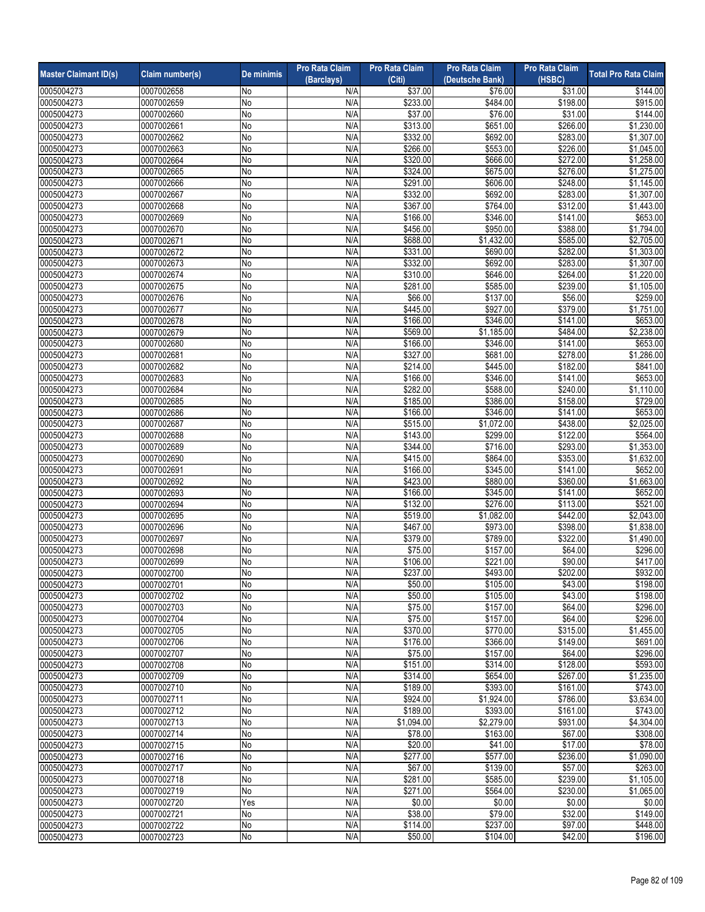| 0005004273<br>0007002658<br>No<br>N/A<br>\$37.00<br>\$76.00<br>\$31.00<br>\$144.00<br>0005004273<br>\$233.00<br>\$484.00<br>\$198.00<br>\$915.00<br>0007002659<br>No<br>N/A<br>\$37.00<br>\$31.00<br>\$76.00<br>\$144.00<br>0007002660<br>No<br>N/A<br>0005004273<br>\$313.00<br>\$266.00<br>\$1,230.00<br>0005004273<br>0007002661<br>No<br>\$651.00<br>N/A<br>\$332.00<br>\$692.00<br>\$283.00<br>\$1,307.00<br>No<br>N/A<br>0005004273<br>0007002662<br>\$266.00<br>\$226.00<br>\$1,045.00<br>\$553.00<br>0005004273<br>0007002663<br>No<br>N/A<br>\$272.00<br>\$1,258.00<br>0005004273<br>0007002664<br>No<br>N/A<br>\$320.00<br>\$666.00<br>N/A<br>\$324.00<br>\$675.00<br>\$276.00<br>\$1,275.00<br>0005004273<br>0007002665<br>No<br>\$1,145.00<br>\$291.00<br>\$606.00<br>\$248.00<br>0005004273<br>0007002666<br>No<br>N/A<br>\$332.00<br>\$283.00<br>No<br>\$692.00<br>0005004273<br>0007002667<br>N/A<br>\$312.00<br>\$1,443.00<br>N/A<br>\$367.00<br>\$764.00<br>0005004273<br>0007002668<br>No<br>\$653.00<br>\$166.00<br>\$346.00<br>\$141.00<br>0005004273<br>0007002669<br>No<br>N/A<br>\$388.00<br>\$1,794.00<br>0005004273<br>0007002670<br>No<br>\$456.00<br>\$950.00<br>N/A<br>\$688.00<br>\$1,432.00<br>\$585.00<br>\$2,705.00<br>0007002671<br>No<br>N/A<br>0005004273<br>\$282.00<br>0007002672<br>\$331.00<br>\$690.00<br>\$1,303.00<br>0005004273<br>No<br>N/A<br>\$332.00<br>\$692.00<br>\$283.00<br>0005004273<br>0007002673<br>No<br>N/A<br>\$1,220.00<br>N/A<br>\$310.00<br>\$264.00<br>0005004273<br>0007002674<br>No<br>\$646.00<br>\$239.00<br>\$1,105.00<br>0005004273<br>0007002675<br>N/A<br>\$281.00<br>\$585.00<br>No<br>\$66.00<br>\$56.00<br>\$259.00<br>No<br>N/A<br>\$137.00<br>0005004273<br>0007002676<br>N/A<br>\$445.00<br>\$927.00<br>\$379.00<br>\$1,751.00<br>0005004273<br>0007002677<br>No<br>\$166.00<br>\$141.00<br>\$653.00<br>N/A<br>\$346.00<br>0005004273<br>0007002678<br>No<br>\$2,238.00<br>\$569.00<br>\$484.00<br>0005004273<br>0007002679<br>No<br>N/A<br>\$1,185.00<br>\$653.00<br>0007002680<br>N/A<br>\$166.00<br>\$346.00<br>\$141.00<br>0005004273<br>No<br>0005004273<br>\$327.00<br>\$681.00<br>\$278.00<br>\$1,286.00<br>0007002681<br>No<br>N/A<br>\$214.00<br>\$445.00<br>\$182.00<br>\$841.00<br>0005004273<br>0007002682<br>No<br>N/A<br>N/A<br>\$166.00<br>\$346.00<br>\$141.00<br>No<br>0005004273<br>0007002683<br>0007002684<br>\$282.00<br>\$588.00<br>\$240.00<br>\$1,110.00<br>0005004273<br>No<br>N/A<br>\$185.00<br>\$158.00<br>\$729.00<br>0005004273<br>N/A<br>\$386.00<br>0007002685<br>No<br>0005004273<br>0007002686<br>N/A<br>\$166.00<br>\$346.00<br>\$141.00<br>\$653.00<br>No<br>\$1,072.00<br>\$438.00<br>\$2,025.00<br>No<br>N/A<br>\$515.00<br>0005004273<br>0007002687<br>\$122.00<br>\$143.00<br>\$299.00<br>\$564.00<br>0005004273<br>0007002688<br>No<br>N/A<br>\$293.00<br>\$1,353.00<br>0007002689<br>N/A<br>\$344.00<br>\$716.00<br>0005004273<br>No<br>0005004273<br>\$415.00<br>\$353.00<br>\$1,632.00<br>0007002690<br>No<br>N/A<br>\$864.00<br>\$166.00<br>\$345.00<br>\$141.00<br>\$652.00<br>0005004273<br>0007002691<br>No<br>N/A<br>\$423.00<br>\$880.00<br>\$360.00<br>\$1,663.00<br>No<br>N/A<br>0005004273<br>0007002692<br>\$166.00<br>\$345.00<br>\$652.00<br>0005004273<br>0007002693<br>No<br>N/A<br>\$141.00<br>\$132.00<br>\$276.00<br>\$113.00<br>\$521.00<br>N/A<br>0005004273<br>0007002694<br>No<br>\$519.00<br>\$1,082.00<br>\$442.00<br>\$2,043.00<br>0005004273<br>0007002695<br>No<br>N/A<br>\$398.00<br>\$467.00<br>\$973.00<br>\$1,838.00<br>0005004273<br>0007002696<br>No<br>N/A<br>N/A<br>\$379.00<br>\$789.00<br>\$322.00<br>\$1,490.00<br>0005004273<br>0007002697<br>No<br>N/A<br>\$75.00<br>\$64.00<br>0005004273<br>0007002698<br>No<br>\$157.00<br>0005004273<br>0007002699<br>No<br>N/A<br>\$106.00<br>\$221.00<br>\$90.00<br>\$417.00<br>N/A<br>\$237.00<br>\$202.00<br>0005004273<br>0007002700<br>\$493.00<br>No<br>\$50.00<br>\$105.00<br>\$43.00<br>0007002701<br>No<br>N/A<br>0005004273<br>No<br>0005004273<br>0007002702<br>N/A<br>\$50.00<br>\$105.00<br>\$43.00<br>\$75.00<br>\$157.00<br>\$64.00<br>0005004273<br>No<br>N/A<br>0007002703<br>No<br>\$75.00<br>\$157.00<br>\$64.00<br>0005004273<br>0007002704<br>N/A<br>0005004273<br>0007002705<br>No<br>N/A<br>\$370.00<br>\$770.00<br>\$315.00<br>\$176.00<br>\$366.00<br>\$149.00<br>0005004273<br>0007002706<br>No<br>N/A<br>\$75.00<br>0005004273<br>0007002707<br>No<br>\$157.00<br>\$64.00<br>N/A<br>No<br>\$151.00<br>\$314.00<br>\$128.00<br>0005004273<br>0007002708<br>N/A<br>N/A<br>\$314.00<br>\$654.00<br>\$267.00<br>0005004273<br>0007002709<br>No<br>\$189.00<br>\$161.00<br>0007002710<br>No<br>N/A<br>\$393.00<br>0005004273<br>0005004273<br>0007002711<br>No<br>\$924.00<br>\$1,924.00<br>\$786.00<br>N/A<br>\$189.00<br>\$393.00<br>\$161.00<br>No<br>N/A<br>0005004273<br>0007002712<br>No<br>\$2,279.00<br>0005004273<br>0007002713<br>N/A<br>\$1,094.00<br>\$931.00<br>0005004273<br>0007002714<br>No<br>\$78.00<br>\$163.00<br>\$67.00<br>N/A<br>\$20.00<br>\$41.00<br>\$17.00<br>0005004273<br>0007002715<br>No<br>N/A<br>\$277.00<br>\$577.00<br>0005004273<br>0007002716<br>No<br>N/A<br>\$236.00<br>No<br>\$67.00<br>\$139.00<br>\$57.00<br>0005004273<br>0007002717<br>N/A<br>No<br>N/A<br>\$281.00<br>\$585.00<br>\$239.00<br>0005004273<br>0007002718<br>\$230.00<br>No<br>N/A<br>\$271.00<br>\$564.00<br>0005004273<br>0007002719<br>0007002720<br>\$0.00<br>\$0.00<br>\$0.00<br>0005004273<br>Yes<br>N/A<br>N/A<br>\$38.00<br>\$79.00<br>\$32.00<br>0005004273<br>0007002721<br>No<br>\$114.00<br>0005004273<br>0007002722<br>No<br>N/A<br>\$237.00<br>\$97.00<br>No<br>N/A<br>\$50.00<br>\$42.00<br>0005004273<br>0007002723<br>\$104.00 | <b>Master Claimant ID(s)</b> | Claim number(s) | De minimis | <b>Pro Rata Claim</b><br>(Barclays) | <b>Pro Rata Claim</b><br>(Citi) | Pro Rata Claim<br>(Deutsche Bank) | <b>Pro Rata Claim</b><br>(HSBC) | <b>Total Pro Rata Claim</b> |
|-------------------------------------------------------------------------------------------------------------------------------------------------------------------------------------------------------------------------------------------------------------------------------------------------------------------------------------------------------------------------------------------------------------------------------------------------------------------------------------------------------------------------------------------------------------------------------------------------------------------------------------------------------------------------------------------------------------------------------------------------------------------------------------------------------------------------------------------------------------------------------------------------------------------------------------------------------------------------------------------------------------------------------------------------------------------------------------------------------------------------------------------------------------------------------------------------------------------------------------------------------------------------------------------------------------------------------------------------------------------------------------------------------------------------------------------------------------------------------------------------------------------------------------------------------------------------------------------------------------------------------------------------------------------------------------------------------------------------------------------------------------------------------------------------------------------------------------------------------------------------------------------------------------------------------------------------------------------------------------------------------------------------------------------------------------------------------------------------------------------------------------------------------------------------------------------------------------------------------------------------------------------------------------------------------------------------------------------------------------------------------------------------------------------------------------------------------------------------------------------------------------------------------------------------------------------------------------------------------------------------------------------------------------------------------------------------------------------------------------------------------------------------------------------------------------------------------------------------------------------------------------------------------------------------------------------------------------------------------------------------------------------------------------------------------------------------------------------------------------------------------------------------------------------------------------------------------------------------------------------------------------------------------------------------------------------------------------------------------------------------------------------------------------------------------------------------------------------------------------------------------------------------------------------------------------------------------------------------------------------------------------------------------------------------------------------------------------------------------------------------------------------------------------------------------------------------------------------------------------------------------------------------------------------------------------------------------------------------------------------------------------------------------------------------------------------------------------------------------------------------------------------------------------------------------------------------------------------------------------------------------------------------------------------------------------------------------------------------------------------------------------------------------------------------------------------------------------------------------------------------------------------------------------------------------------------------------------------------------------------------------------------------------------------------------------------------------------------------------------------------------------------------------------------------------------------------------------------------------------------------------------------------------------------------------------------------------------------------------------------------------------------------------------------------------------------------------------------------------------------------------------------------------------------------------------------------------------------------------------------------------------------------------------------------------------------------------------------------------------------------------------------------------------------------------------------------------------------------------------------------------------------------------------------------------------------------------------------------------------------------------------------------------------------------------------------------------------------------------------------------------------------------------------|------------------------------|-----------------|------------|-------------------------------------|---------------------------------|-----------------------------------|---------------------------------|-----------------------------|
|                                                                                                                                                                                                                                                                                                                                                                                                                                                                                                                                                                                                                                                                                                                                                                                                                                                                                                                                                                                                                                                                                                                                                                                                                                                                                                                                                                                                                                                                                                                                                                                                                                                                                                                                                                                                                                                                                                                                                                                                                                                                                                                                                                                                                                                                                                                                                                                                                                                                                                                                                                                                                                                                                                                                                                                                                                                                                                                                                                                                                                                                                                                                                                                                                                                                                                                                                                                                                                                                                                                                                                                                                                                                                                                                                                                                                                                                                                                                                                                                                                                                                                                                                                                                                                                                                                                                                                                                                                                                                                                                                                                                                                                                                                                                                                                                                                                                                                                                                                                                                                                                                                                                                                                                                                                                                                                                                                                                                                                                                                                                                                                                                                                                                                                                                                                     |                              |                 |            |                                     |                                 |                                   |                                 |                             |
|                                                                                                                                                                                                                                                                                                                                                                                                                                                                                                                                                                                                                                                                                                                                                                                                                                                                                                                                                                                                                                                                                                                                                                                                                                                                                                                                                                                                                                                                                                                                                                                                                                                                                                                                                                                                                                                                                                                                                                                                                                                                                                                                                                                                                                                                                                                                                                                                                                                                                                                                                                                                                                                                                                                                                                                                                                                                                                                                                                                                                                                                                                                                                                                                                                                                                                                                                                                                                                                                                                                                                                                                                                                                                                                                                                                                                                                                                                                                                                                                                                                                                                                                                                                                                                                                                                                                                                                                                                                                                                                                                                                                                                                                                                                                                                                                                                                                                                                                                                                                                                                                                                                                                                                                                                                                                                                                                                                                                                                                                                                                                                                                                                                                                                                                                                                     |                              |                 |            |                                     |                                 |                                   |                                 |                             |
|                                                                                                                                                                                                                                                                                                                                                                                                                                                                                                                                                                                                                                                                                                                                                                                                                                                                                                                                                                                                                                                                                                                                                                                                                                                                                                                                                                                                                                                                                                                                                                                                                                                                                                                                                                                                                                                                                                                                                                                                                                                                                                                                                                                                                                                                                                                                                                                                                                                                                                                                                                                                                                                                                                                                                                                                                                                                                                                                                                                                                                                                                                                                                                                                                                                                                                                                                                                                                                                                                                                                                                                                                                                                                                                                                                                                                                                                                                                                                                                                                                                                                                                                                                                                                                                                                                                                                                                                                                                                                                                                                                                                                                                                                                                                                                                                                                                                                                                                                                                                                                                                                                                                                                                                                                                                                                                                                                                                                                                                                                                                                                                                                                                                                                                                                                                     |                              |                 |            |                                     |                                 |                                   |                                 |                             |
|                                                                                                                                                                                                                                                                                                                                                                                                                                                                                                                                                                                                                                                                                                                                                                                                                                                                                                                                                                                                                                                                                                                                                                                                                                                                                                                                                                                                                                                                                                                                                                                                                                                                                                                                                                                                                                                                                                                                                                                                                                                                                                                                                                                                                                                                                                                                                                                                                                                                                                                                                                                                                                                                                                                                                                                                                                                                                                                                                                                                                                                                                                                                                                                                                                                                                                                                                                                                                                                                                                                                                                                                                                                                                                                                                                                                                                                                                                                                                                                                                                                                                                                                                                                                                                                                                                                                                                                                                                                                                                                                                                                                                                                                                                                                                                                                                                                                                                                                                                                                                                                                                                                                                                                                                                                                                                                                                                                                                                                                                                                                                                                                                                                                                                                                                                                     |                              |                 |            |                                     |                                 |                                   |                                 |                             |
|                                                                                                                                                                                                                                                                                                                                                                                                                                                                                                                                                                                                                                                                                                                                                                                                                                                                                                                                                                                                                                                                                                                                                                                                                                                                                                                                                                                                                                                                                                                                                                                                                                                                                                                                                                                                                                                                                                                                                                                                                                                                                                                                                                                                                                                                                                                                                                                                                                                                                                                                                                                                                                                                                                                                                                                                                                                                                                                                                                                                                                                                                                                                                                                                                                                                                                                                                                                                                                                                                                                                                                                                                                                                                                                                                                                                                                                                                                                                                                                                                                                                                                                                                                                                                                                                                                                                                                                                                                                                                                                                                                                                                                                                                                                                                                                                                                                                                                                                                                                                                                                                                                                                                                                                                                                                                                                                                                                                                                                                                                                                                                                                                                                                                                                                                                                     |                              |                 |            |                                     |                                 |                                   |                                 |                             |
| \$1,307.00<br>\$1,307.00<br>\$653.00<br>\$296.00<br>\$932.00<br>\$198.00<br>\$198.00<br>\$296.00<br>\$296.00<br>\$1,455.00<br>\$691.00<br>\$296.00<br>\$593.00<br>\$1,235.00<br>\$743.00<br>\$3,634.00<br>\$743.00<br>\$4,304.00<br>\$308.00<br>\$78.00<br>\$1,090.00<br>\$263.00<br>\$1,105.00<br>\$1,065.00<br>\$0.00<br>\$149.00<br>\$448.00<br>\$196.00                                                                                                                                                                                                                                                                                                                                                                                                                                                                                                                                                                                                                                                                                                                                                                                                                                                                                                                                                                                                                                                                                                                                                                                                                                                                                                                                                                                                                                                                                                                                                                                                                                                                                                                                                                                                                                                                                                                                                                                                                                                                                                                                                                                                                                                                                                                                                                                                                                                                                                                                                                                                                                                                                                                                                                                                                                                                                                                                                                                                                                                                                                                                                                                                                                                                                                                                                                                                                                                                                                                                                                                                                                                                                                                                                                                                                                                                                                                                                                                                                                                                                                                                                                                                                                                                                                                                                                                                                                                                                                                                                                                                                                                                                                                                                                                                                                                                                                                                                                                                                                                                                                                                                                                                                                                                                                                                                                                                                         |                              |                 |            |                                     |                                 |                                   |                                 |                             |
|                                                                                                                                                                                                                                                                                                                                                                                                                                                                                                                                                                                                                                                                                                                                                                                                                                                                                                                                                                                                                                                                                                                                                                                                                                                                                                                                                                                                                                                                                                                                                                                                                                                                                                                                                                                                                                                                                                                                                                                                                                                                                                                                                                                                                                                                                                                                                                                                                                                                                                                                                                                                                                                                                                                                                                                                                                                                                                                                                                                                                                                                                                                                                                                                                                                                                                                                                                                                                                                                                                                                                                                                                                                                                                                                                                                                                                                                                                                                                                                                                                                                                                                                                                                                                                                                                                                                                                                                                                                                                                                                                                                                                                                                                                                                                                                                                                                                                                                                                                                                                                                                                                                                                                                                                                                                                                                                                                                                                                                                                                                                                                                                                                                                                                                                                                                     |                              |                 |            |                                     |                                 |                                   |                                 |                             |
|                                                                                                                                                                                                                                                                                                                                                                                                                                                                                                                                                                                                                                                                                                                                                                                                                                                                                                                                                                                                                                                                                                                                                                                                                                                                                                                                                                                                                                                                                                                                                                                                                                                                                                                                                                                                                                                                                                                                                                                                                                                                                                                                                                                                                                                                                                                                                                                                                                                                                                                                                                                                                                                                                                                                                                                                                                                                                                                                                                                                                                                                                                                                                                                                                                                                                                                                                                                                                                                                                                                                                                                                                                                                                                                                                                                                                                                                                                                                                                                                                                                                                                                                                                                                                                                                                                                                                                                                                                                                                                                                                                                                                                                                                                                                                                                                                                                                                                                                                                                                                                                                                                                                                                                                                                                                                                                                                                                                                                                                                                                                                                                                                                                                                                                                                                                     |                              |                 |            |                                     |                                 |                                   |                                 |                             |
|                                                                                                                                                                                                                                                                                                                                                                                                                                                                                                                                                                                                                                                                                                                                                                                                                                                                                                                                                                                                                                                                                                                                                                                                                                                                                                                                                                                                                                                                                                                                                                                                                                                                                                                                                                                                                                                                                                                                                                                                                                                                                                                                                                                                                                                                                                                                                                                                                                                                                                                                                                                                                                                                                                                                                                                                                                                                                                                                                                                                                                                                                                                                                                                                                                                                                                                                                                                                                                                                                                                                                                                                                                                                                                                                                                                                                                                                                                                                                                                                                                                                                                                                                                                                                                                                                                                                                                                                                                                                                                                                                                                                                                                                                                                                                                                                                                                                                                                                                                                                                                                                                                                                                                                                                                                                                                                                                                                                                                                                                                                                                                                                                                                                                                                                                                                     |                              |                 |            |                                     |                                 |                                   |                                 |                             |
|                                                                                                                                                                                                                                                                                                                                                                                                                                                                                                                                                                                                                                                                                                                                                                                                                                                                                                                                                                                                                                                                                                                                                                                                                                                                                                                                                                                                                                                                                                                                                                                                                                                                                                                                                                                                                                                                                                                                                                                                                                                                                                                                                                                                                                                                                                                                                                                                                                                                                                                                                                                                                                                                                                                                                                                                                                                                                                                                                                                                                                                                                                                                                                                                                                                                                                                                                                                                                                                                                                                                                                                                                                                                                                                                                                                                                                                                                                                                                                                                                                                                                                                                                                                                                                                                                                                                                                                                                                                                                                                                                                                                                                                                                                                                                                                                                                                                                                                                                                                                                                                                                                                                                                                                                                                                                                                                                                                                                                                                                                                                                                                                                                                                                                                                                                                     |                              |                 |            |                                     |                                 |                                   |                                 |                             |
|                                                                                                                                                                                                                                                                                                                                                                                                                                                                                                                                                                                                                                                                                                                                                                                                                                                                                                                                                                                                                                                                                                                                                                                                                                                                                                                                                                                                                                                                                                                                                                                                                                                                                                                                                                                                                                                                                                                                                                                                                                                                                                                                                                                                                                                                                                                                                                                                                                                                                                                                                                                                                                                                                                                                                                                                                                                                                                                                                                                                                                                                                                                                                                                                                                                                                                                                                                                                                                                                                                                                                                                                                                                                                                                                                                                                                                                                                                                                                                                                                                                                                                                                                                                                                                                                                                                                                                                                                                                                                                                                                                                                                                                                                                                                                                                                                                                                                                                                                                                                                                                                                                                                                                                                                                                                                                                                                                                                                                                                                                                                                                                                                                                                                                                                                                                     |                              |                 |            |                                     |                                 |                                   |                                 |                             |
|                                                                                                                                                                                                                                                                                                                                                                                                                                                                                                                                                                                                                                                                                                                                                                                                                                                                                                                                                                                                                                                                                                                                                                                                                                                                                                                                                                                                                                                                                                                                                                                                                                                                                                                                                                                                                                                                                                                                                                                                                                                                                                                                                                                                                                                                                                                                                                                                                                                                                                                                                                                                                                                                                                                                                                                                                                                                                                                                                                                                                                                                                                                                                                                                                                                                                                                                                                                                                                                                                                                                                                                                                                                                                                                                                                                                                                                                                                                                                                                                                                                                                                                                                                                                                                                                                                                                                                                                                                                                                                                                                                                                                                                                                                                                                                                                                                                                                                                                                                                                                                                                                                                                                                                                                                                                                                                                                                                                                                                                                                                                                                                                                                                                                                                                                                                     |                              |                 |            |                                     |                                 |                                   |                                 |                             |
|                                                                                                                                                                                                                                                                                                                                                                                                                                                                                                                                                                                                                                                                                                                                                                                                                                                                                                                                                                                                                                                                                                                                                                                                                                                                                                                                                                                                                                                                                                                                                                                                                                                                                                                                                                                                                                                                                                                                                                                                                                                                                                                                                                                                                                                                                                                                                                                                                                                                                                                                                                                                                                                                                                                                                                                                                                                                                                                                                                                                                                                                                                                                                                                                                                                                                                                                                                                                                                                                                                                                                                                                                                                                                                                                                                                                                                                                                                                                                                                                                                                                                                                                                                                                                                                                                                                                                                                                                                                                                                                                                                                                                                                                                                                                                                                                                                                                                                                                                                                                                                                                                                                                                                                                                                                                                                                                                                                                                                                                                                                                                                                                                                                                                                                                                                                     |                              |                 |            |                                     |                                 |                                   |                                 |                             |
|                                                                                                                                                                                                                                                                                                                                                                                                                                                                                                                                                                                                                                                                                                                                                                                                                                                                                                                                                                                                                                                                                                                                                                                                                                                                                                                                                                                                                                                                                                                                                                                                                                                                                                                                                                                                                                                                                                                                                                                                                                                                                                                                                                                                                                                                                                                                                                                                                                                                                                                                                                                                                                                                                                                                                                                                                                                                                                                                                                                                                                                                                                                                                                                                                                                                                                                                                                                                                                                                                                                                                                                                                                                                                                                                                                                                                                                                                                                                                                                                                                                                                                                                                                                                                                                                                                                                                                                                                                                                                                                                                                                                                                                                                                                                                                                                                                                                                                                                                                                                                                                                                                                                                                                                                                                                                                                                                                                                                                                                                                                                                                                                                                                                                                                                                                                     |                              |                 |            |                                     |                                 |                                   |                                 |                             |
|                                                                                                                                                                                                                                                                                                                                                                                                                                                                                                                                                                                                                                                                                                                                                                                                                                                                                                                                                                                                                                                                                                                                                                                                                                                                                                                                                                                                                                                                                                                                                                                                                                                                                                                                                                                                                                                                                                                                                                                                                                                                                                                                                                                                                                                                                                                                                                                                                                                                                                                                                                                                                                                                                                                                                                                                                                                                                                                                                                                                                                                                                                                                                                                                                                                                                                                                                                                                                                                                                                                                                                                                                                                                                                                                                                                                                                                                                                                                                                                                                                                                                                                                                                                                                                                                                                                                                                                                                                                                                                                                                                                                                                                                                                                                                                                                                                                                                                                                                                                                                                                                                                                                                                                                                                                                                                                                                                                                                                                                                                                                                                                                                                                                                                                                                                                     |                              |                 |            |                                     |                                 |                                   |                                 |                             |
|                                                                                                                                                                                                                                                                                                                                                                                                                                                                                                                                                                                                                                                                                                                                                                                                                                                                                                                                                                                                                                                                                                                                                                                                                                                                                                                                                                                                                                                                                                                                                                                                                                                                                                                                                                                                                                                                                                                                                                                                                                                                                                                                                                                                                                                                                                                                                                                                                                                                                                                                                                                                                                                                                                                                                                                                                                                                                                                                                                                                                                                                                                                                                                                                                                                                                                                                                                                                                                                                                                                                                                                                                                                                                                                                                                                                                                                                                                                                                                                                                                                                                                                                                                                                                                                                                                                                                                                                                                                                                                                                                                                                                                                                                                                                                                                                                                                                                                                                                                                                                                                                                                                                                                                                                                                                                                                                                                                                                                                                                                                                                                                                                                                                                                                                                                                     |                              |                 |            |                                     |                                 |                                   |                                 |                             |
|                                                                                                                                                                                                                                                                                                                                                                                                                                                                                                                                                                                                                                                                                                                                                                                                                                                                                                                                                                                                                                                                                                                                                                                                                                                                                                                                                                                                                                                                                                                                                                                                                                                                                                                                                                                                                                                                                                                                                                                                                                                                                                                                                                                                                                                                                                                                                                                                                                                                                                                                                                                                                                                                                                                                                                                                                                                                                                                                                                                                                                                                                                                                                                                                                                                                                                                                                                                                                                                                                                                                                                                                                                                                                                                                                                                                                                                                                                                                                                                                                                                                                                                                                                                                                                                                                                                                                                                                                                                                                                                                                                                                                                                                                                                                                                                                                                                                                                                                                                                                                                                                                                                                                                                                                                                                                                                                                                                                                                                                                                                                                                                                                                                                                                                                                                                     |                              |                 |            |                                     |                                 |                                   |                                 |                             |
|                                                                                                                                                                                                                                                                                                                                                                                                                                                                                                                                                                                                                                                                                                                                                                                                                                                                                                                                                                                                                                                                                                                                                                                                                                                                                                                                                                                                                                                                                                                                                                                                                                                                                                                                                                                                                                                                                                                                                                                                                                                                                                                                                                                                                                                                                                                                                                                                                                                                                                                                                                                                                                                                                                                                                                                                                                                                                                                                                                                                                                                                                                                                                                                                                                                                                                                                                                                                                                                                                                                                                                                                                                                                                                                                                                                                                                                                                                                                                                                                                                                                                                                                                                                                                                                                                                                                                                                                                                                                                                                                                                                                                                                                                                                                                                                                                                                                                                                                                                                                                                                                                                                                                                                                                                                                                                                                                                                                                                                                                                                                                                                                                                                                                                                                                                                     |                              |                 |            |                                     |                                 |                                   |                                 |                             |
|                                                                                                                                                                                                                                                                                                                                                                                                                                                                                                                                                                                                                                                                                                                                                                                                                                                                                                                                                                                                                                                                                                                                                                                                                                                                                                                                                                                                                                                                                                                                                                                                                                                                                                                                                                                                                                                                                                                                                                                                                                                                                                                                                                                                                                                                                                                                                                                                                                                                                                                                                                                                                                                                                                                                                                                                                                                                                                                                                                                                                                                                                                                                                                                                                                                                                                                                                                                                                                                                                                                                                                                                                                                                                                                                                                                                                                                                                                                                                                                                                                                                                                                                                                                                                                                                                                                                                                                                                                                                                                                                                                                                                                                                                                                                                                                                                                                                                                                                                                                                                                                                                                                                                                                                                                                                                                                                                                                                                                                                                                                                                                                                                                                                                                                                                                                     |                              |                 |            |                                     |                                 |                                   |                                 |                             |
|                                                                                                                                                                                                                                                                                                                                                                                                                                                                                                                                                                                                                                                                                                                                                                                                                                                                                                                                                                                                                                                                                                                                                                                                                                                                                                                                                                                                                                                                                                                                                                                                                                                                                                                                                                                                                                                                                                                                                                                                                                                                                                                                                                                                                                                                                                                                                                                                                                                                                                                                                                                                                                                                                                                                                                                                                                                                                                                                                                                                                                                                                                                                                                                                                                                                                                                                                                                                                                                                                                                                                                                                                                                                                                                                                                                                                                                                                                                                                                                                                                                                                                                                                                                                                                                                                                                                                                                                                                                                                                                                                                                                                                                                                                                                                                                                                                                                                                                                                                                                                                                                                                                                                                                                                                                                                                                                                                                                                                                                                                                                                                                                                                                                                                                                                                                     |                              |                 |            |                                     |                                 |                                   |                                 |                             |
|                                                                                                                                                                                                                                                                                                                                                                                                                                                                                                                                                                                                                                                                                                                                                                                                                                                                                                                                                                                                                                                                                                                                                                                                                                                                                                                                                                                                                                                                                                                                                                                                                                                                                                                                                                                                                                                                                                                                                                                                                                                                                                                                                                                                                                                                                                                                                                                                                                                                                                                                                                                                                                                                                                                                                                                                                                                                                                                                                                                                                                                                                                                                                                                                                                                                                                                                                                                                                                                                                                                                                                                                                                                                                                                                                                                                                                                                                                                                                                                                                                                                                                                                                                                                                                                                                                                                                                                                                                                                                                                                                                                                                                                                                                                                                                                                                                                                                                                                                                                                                                                                                                                                                                                                                                                                                                                                                                                                                                                                                                                                                                                                                                                                                                                                                                                     |                              |                 |            |                                     |                                 |                                   |                                 |                             |
|                                                                                                                                                                                                                                                                                                                                                                                                                                                                                                                                                                                                                                                                                                                                                                                                                                                                                                                                                                                                                                                                                                                                                                                                                                                                                                                                                                                                                                                                                                                                                                                                                                                                                                                                                                                                                                                                                                                                                                                                                                                                                                                                                                                                                                                                                                                                                                                                                                                                                                                                                                                                                                                                                                                                                                                                                                                                                                                                                                                                                                                                                                                                                                                                                                                                                                                                                                                                                                                                                                                                                                                                                                                                                                                                                                                                                                                                                                                                                                                                                                                                                                                                                                                                                                                                                                                                                                                                                                                                                                                                                                                                                                                                                                                                                                                                                                                                                                                                                                                                                                                                                                                                                                                                                                                                                                                                                                                                                                                                                                                                                                                                                                                                                                                                                                                     |                              |                 |            |                                     |                                 |                                   |                                 |                             |
|                                                                                                                                                                                                                                                                                                                                                                                                                                                                                                                                                                                                                                                                                                                                                                                                                                                                                                                                                                                                                                                                                                                                                                                                                                                                                                                                                                                                                                                                                                                                                                                                                                                                                                                                                                                                                                                                                                                                                                                                                                                                                                                                                                                                                                                                                                                                                                                                                                                                                                                                                                                                                                                                                                                                                                                                                                                                                                                                                                                                                                                                                                                                                                                                                                                                                                                                                                                                                                                                                                                                                                                                                                                                                                                                                                                                                                                                                                                                                                                                                                                                                                                                                                                                                                                                                                                                                                                                                                                                                                                                                                                                                                                                                                                                                                                                                                                                                                                                                                                                                                                                                                                                                                                                                                                                                                                                                                                                                                                                                                                                                                                                                                                                                                                                                                                     |                              |                 |            |                                     |                                 |                                   |                                 |                             |
|                                                                                                                                                                                                                                                                                                                                                                                                                                                                                                                                                                                                                                                                                                                                                                                                                                                                                                                                                                                                                                                                                                                                                                                                                                                                                                                                                                                                                                                                                                                                                                                                                                                                                                                                                                                                                                                                                                                                                                                                                                                                                                                                                                                                                                                                                                                                                                                                                                                                                                                                                                                                                                                                                                                                                                                                                                                                                                                                                                                                                                                                                                                                                                                                                                                                                                                                                                                                                                                                                                                                                                                                                                                                                                                                                                                                                                                                                                                                                                                                                                                                                                                                                                                                                                                                                                                                                                                                                                                                                                                                                                                                                                                                                                                                                                                                                                                                                                                                                                                                                                                                                                                                                                                                                                                                                                                                                                                                                                                                                                                                                                                                                                                                                                                                                                                     |                              |                 |            |                                     |                                 |                                   |                                 |                             |
|                                                                                                                                                                                                                                                                                                                                                                                                                                                                                                                                                                                                                                                                                                                                                                                                                                                                                                                                                                                                                                                                                                                                                                                                                                                                                                                                                                                                                                                                                                                                                                                                                                                                                                                                                                                                                                                                                                                                                                                                                                                                                                                                                                                                                                                                                                                                                                                                                                                                                                                                                                                                                                                                                                                                                                                                                                                                                                                                                                                                                                                                                                                                                                                                                                                                                                                                                                                                                                                                                                                                                                                                                                                                                                                                                                                                                                                                                                                                                                                                                                                                                                                                                                                                                                                                                                                                                                                                                                                                                                                                                                                                                                                                                                                                                                                                                                                                                                                                                                                                                                                                                                                                                                                                                                                                                                                                                                                                                                                                                                                                                                                                                                                                                                                                                                                     |                              |                 |            |                                     |                                 |                                   |                                 |                             |
|                                                                                                                                                                                                                                                                                                                                                                                                                                                                                                                                                                                                                                                                                                                                                                                                                                                                                                                                                                                                                                                                                                                                                                                                                                                                                                                                                                                                                                                                                                                                                                                                                                                                                                                                                                                                                                                                                                                                                                                                                                                                                                                                                                                                                                                                                                                                                                                                                                                                                                                                                                                                                                                                                                                                                                                                                                                                                                                                                                                                                                                                                                                                                                                                                                                                                                                                                                                                                                                                                                                                                                                                                                                                                                                                                                                                                                                                                                                                                                                                                                                                                                                                                                                                                                                                                                                                                                                                                                                                                                                                                                                                                                                                                                                                                                                                                                                                                                                                                                                                                                                                                                                                                                                                                                                                                                                                                                                                                                                                                                                                                                                                                                                                                                                                                                                     |                              |                 |            |                                     |                                 |                                   |                                 |                             |
|                                                                                                                                                                                                                                                                                                                                                                                                                                                                                                                                                                                                                                                                                                                                                                                                                                                                                                                                                                                                                                                                                                                                                                                                                                                                                                                                                                                                                                                                                                                                                                                                                                                                                                                                                                                                                                                                                                                                                                                                                                                                                                                                                                                                                                                                                                                                                                                                                                                                                                                                                                                                                                                                                                                                                                                                                                                                                                                                                                                                                                                                                                                                                                                                                                                                                                                                                                                                                                                                                                                                                                                                                                                                                                                                                                                                                                                                                                                                                                                                                                                                                                                                                                                                                                                                                                                                                                                                                                                                                                                                                                                                                                                                                                                                                                                                                                                                                                                                                                                                                                                                                                                                                                                                                                                                                                                                                                                                                                                                                                                                                                                                                                                                                                                                                                                     |                              |                 |            |                                     |                                 |                                   |                                 |                             |
|                                                                                                                                                                                                                                                                                                                                                                                                                                                                                                                                                                                                                                                                                                                                                                                                                                                                                                                                                                                                                                                                                                                                                                                                                                                                                                                                                                                                                                                                                                                                                                                                                                                                                                                                                                                                                                                                                                                                                                                                                                                                                                                                                                                                                                                                                                                                                                                                                                                                                                                                                                                                                                                                                                                                                                                                                                                                                                                                                                                                                                                                                                                                                                                                                                                                                                                                                                                                                                                                                                                                                                                                                                                                                                                                                                                                                                                                                                                                                                                                                                                                                                                                                                                                                                                                                                                                                                                                                                                                                                                                                                                                                                                                                                                                                                                                                                                                                                                                                                                                                                                                                                                                                                                                                                                                                                                                                                                                                                                                                                                                                                                                                                                                                                                                                                                     |                              |                 |            |                                     |                                 |                                   |                                 |                             |
|                                                                                                                                                                                                                                                                                                                                                                                                                                                                                                                                                                                                                                                                                                                                                                                                                                                                                                                                                                                                                                                                                                                                                                                                                                                                                                                                                                                                                                                                                                                                                                                                                                                                                                                                                                                                                                                                                                                                                                                                                                                                                                                                                                                                                                                                                                                                                                                                                                                                                                                                                                                                                                                                                                                                                                                                                                                                                                                                                                                                                                                                                                                                                                                                                                                                                                                                                                                                                                                                                                                                                                                                                                                                                                                                                                                                                                                                                                                                                                                                                                                                                                                                                                                                                                                                                                                                                                                                                                                                                                                                                                                                                                                                                                                                                                                                                                                                                                                                                                                                                                                                                                                                                                                                                                                                                                                                                                                                                                                                                                                                                                                                                                                                                                                                                                                     |                              |                 |            |                                     |                                 |                                   |                                 |                             |
|                                                                                                                                                                                                                                                                                                                                                                                                                                                                                                                                                                                                                                                                                                                                                                                                                                                                                                                                                                                                                                                                                                                                                                                                                                                                                                                                                                                                                                                                                                                                                                                                                                                                                                                                                                                                                                                                                                                                                                                                                                                                                                                                                                                                                                                                                                                                                                                                                                                                                                                                                                                                                                                                                                                                                                                                                                                                                                                                                                                                                                                                                                                                                                                                                                                                                                                                                                                                                                                                                                                                                                                                                                                                                                                                                                                                                                                                                                                                                                                                                                                                                                                                                                                                                                                                                                                                                                                                                                                                                                                                                                                                                                                                                                                                                                                                                                                                                                                                                                                                                                                                                                                                                                                                                                                                                                                                                                                                                                                                                                                                                                                                                                                                                                                                                                                     |                              |                 |            |                                     |                                 |                                   |                                 |                             |
|                                                                                                                                                                                                                                                                                                                                                                                                                                                                                                                                                                                                                                                                                                                                                                                                                                                                                                                                                                                                                                                                                                                                                                                                                                                                                                                                                                                                                                                                                                                                                                                                                                                                                                                                                                                                                                                                                                                                                                                                                                                                                                                                                                                                                                                                                                                                                                                                                                                                                                                                                                                                                                                                                                                                                                                                                                                                                                                                                                                                                                                                                                                                                                                                                                                                                                                                                                                                                                                                                                                                                                                                                                                                                                                                                                                                                                                                                                                                                                                                                                                                                                                                                                                                                                                                                                                                                                                                                                                                                                                                                                                                                                                                                                                                                                                                                                                                                                                                                                                                                                                                                                                                                                                                                                                                                                                                                                                                                                                                                                                                                                                                                                                                                                                                                                                     |                              |                 |            |                                     |                                 |                                   |                                 |                             |
|                                                                                                                                                                                                                                                                                                                                                                                                                                                                                                                                                                                                                                                                                                                                                                                                                                                                                                                                                                                                                                                                                                                                                                                                                                                                                                                                                                                                                                                                                                                                                                                                                                                                                                                                                                                                                                                                                                                                                                                                                                                                                                                                                                                                                                                                                                                                                                                                                                                                                                                                                                                                                                                                                                                                                                                                                                                                                                                                                                                                                                                                                                                                                                                                                                                                                                                                                                                                                                                                                                                                                                                                                                                                                                                                                                                                                                                                                                                                                                                                                                                                                                                                                                                                                                                                                                                                                                                                                                                                                                                                                                                                                                                                                                                                                                                                                                                                                                                                                                                                                                                                                                                                                                                                                                                                                                                                                                                                                                                                                                                                                                                                                                                                                                                                                                                     |                              |                 |            |                                     |                                 |                                   |                                 |                             |
|                                                                                                                                                                                                                                                                                                                                                                                                                                                                                                                                                                                                                                                                                                                                                                                                                                                                                                                                                                                                                                                                                                                                                                                                                                                                                                                                                                                                                                                                                                                                                                                                                                                                                                                                                                                                                                                                                                                                                                                                                                                                                                                                                                                                                                                                                                                                                                                                                                                                                                                                                                                                                                                                                                                                                                                                                                                                                                                                                                                                                                                                                                                                                                                                                                                                                                                                                                                                                                                                                                                                                                                                                                                                                                                                                                                                                                                                                                                                                                                                                                                                                                                                                                                                                                                                                                                                                                                                                                                                                                                                                                                                                                                                                                                                                                                                                                                                                                                                                                                                                                                                                                                                                                                                                                                                                                                                                                                                                                                                                                                                                                                                                                                                                                                                                                                     |                              |                 |            |                                     |                                 |                                   |                                 |                             |
|                                                                                                                                                                                                                                                                                                                                                                                                                                                                                                                                                                                                                                                                                                                                                                                                                                                                                                                                                                                                                                                                                                                                                                                                                                                                                                                                                                                                                                                                                                                                                                                                                                                                                                                                                                                                                                                                                                                                                                                                                                                                                                                                                                                                                                                                                                                                                                                                                                                                                                                                                                                                                                                                                                                                                                                                                                                                                                                                                                                                                                                                                                                                                                                                                                                                                                                                                                                                                                                                                                                                                                                                                                                                                                                                                                                                                                                                                                                                                                                                                                                                                                                                                                                                                                                                                                                                                                                                                                                                                                                                                                                                                                                                                                                                                                                                                                                                                                                                                                                                                                                                                                                                                                                                                                                                                                                                                                                                                                                                                                                                                                                                                                                                                                                                                                                     |                              |                 |            |                                     |                                 |                                   |                                 |                             |
|                                                                                                                                                                                                                                                                                                                                                                                                                                                                                                                                                                                                                                                                                                                                                                                                                                                                                                                                                                                                                                                                                                                                                                                                                                                                                                                                                                                                                                                                                                                                                                                                                                                                                                                                                                                                                                                                                                                                                                                                                                                                                                                                                                                                                                                                                                                                                                                                                                                                                                                                                                                                                                                                                                                                                                                                                                                                                                                                                                                                                                                                                                                                                                                                                                                                                                                                                                                                                                                                                                                                                                                                                                                                                                                                                                                                                                                                                                                                                                                                                                                                                                                                                                                                                                                                                                                                                                                                                                                                                                                                                                                                                                                                                                                                                                                                                                                                                                                                                                                                                                                                                                                                                                                                                                                                                                                                                                                                                                                                                                                                                                                                                                                                                                                                                                                     |                              |                 |            |                                     |                                 |                                   |                                 |                             |
|                                                                                                                                                                                                                                                                                                                                                                                                                                                                                                                                                                                                                                                                                                                                                                                                                                                                                                                                                                                                                                                                                                                                                                                                                                                                                                                                                                                                                                                                                                                                                                                                                                                                                                                                                                                                                                                                                                                                                                                                                                                                                                                                                                                                                                                                                                                                                                                                                                                                                                                                                                                                                                                                                                                                                                                                                                                                                                                                                                                                                                                                                                                                                                                                                                                                                                                                                                                                                                                                                                                                                                                                                                                                                                                                                                                                                                                                                                                                                                                                                                                                                                                                                                                                                                                                                                                                                                                                                                                                                                                                                                                                                                                                                                                                                                                                                                                                                                                                                                                                                                                                                                                                                                                                                                                                                                                                                                                                                                                                                                                                                                                                                                                                                                                                                                                     |                              |                 |            |                                     |                                 |                                   |                                 |                             |
|                                                                                                                                                                                                                                                                                                                                                                                                                                                                                                                                                                                                                                                                                                                                                                                                                                                                                                                                                                                                                                                                                                                                                                                                                                                                                                                                                                                                                                                                                                                                                                                                                                                                                                                                                                                                                                                                                                                                                                                                                                                                                                                                                                                                                                                                                                                                                                                                                                                                                                                                                                                                                                                                                                                                                                                                                                                                                                                                                                                                                                                                                                                                                                                                                                                                                                                                                                                                                                                                                                                                                                                                                                                                                                                                                                                                                                                                                                                                                                                                                                                                                                                                                                                                                                                                                                                                                                                                                                                                                                                                                                                                                                                                                                                                                                                                                                                                                                                                                                                                                                                                                                                                                                                                                                                                                                                                                                                                                                                                                                                                                                                                                                                                                                                                                                                     |                              |                 |            |                                     |                                 |                                   |                                 |                             |
|                                                                                                                                                                                                                                                                                                                                                                                                                                                                                                                                                                                                                                                                                                                                                                                                                                                                                                                                                                                                                                                                                                                                                                                                                                                                                                                                                                                                                                                                                                                                                                                                                                                                                                                                                                                                                                                                                                                                                                                                                                                                                                                                                                                                                                                                                                                                                                                                                                                                                                                                                                                                                                                                                                                                                                                                                                                                                                                                                                                                                                                                                                                                                                                                                                                                                                                                                                                                                                                                                                                                                                                                                                                                                                                                                                                                                                                                                                                                                                                                                                                                                                                                                                                                                                                                                                                                                                                                                                                                                                                                                                                                                                                                                                                                                                                                                                                                                                                                                                                                                                                                                                                                                                                                                                                                                                                                                                                                                                                                                                                                                                                                                                                                                                                                                                                     |                              |                 |            |                                     |                                 |                                   |                                 |                             |
|                                                                                                                                                                                                                                                                                                                                                                                                                                                                                                                                                                                                                                                                                                                                                                                                                                                                                                                                                                                                                                                                                                                                                                                                                                                                                                                                                                                                                                                                                                                                                                                                                                                                                                                                                                                                                                                                                                                                                                                                                                                                                                                                                                                                                                                                                                                                                                                                                                                                                                                                                                                                                                                                                                                                                                                                                                                                                                                                                                                                                                                                                                                                                                                                                                                                                                                                                                                                                                                                                                                                                                                                                                                                                                                                                                                                                                                                                                                                                                                                                                                                                                                                                                                                                                                                                                                                                                                                                                                                                                                                                                                                                                                                                                                                                                                                                                                                                                                                                                                                                                                                                                                                                                                                                                                                                                                                                                                                                                                                                                                                                                                                                                                                                                                                                                                     |                              |                 |            |                                     |                                 |                                   |                                 |                             |
|                                                                                                                                                                                                                                                                                                                                                                                                                                                                                                                                                                                                                                                                                                                                                                                                                                                                                                                                                                                                                                                                                                                                                                                                                                                                                                                                                                                                                                                                                                                                                                                                                                                                                                                                                                                                                                                                                                                                                                                                                                                                                                                                                                                                                                                                                                                                                                                                                                                                                                                                                                                                                                                                                                                                                                                                                                                                                                                                                                                                                                                                                                                                                                                                                                                                                                                                                                                                                                                                                                                                                                                                                                                                                                                                                                                                                                                                                                                                                                                                                                                                                                                                                                                                                                                                                                                                                                                                                                                                                                                                                                                                                                                                                                                                                                                                                                                                                                                                                                                                                                                                                                                                                                                                                                                                                                                                                                                                                                                                                                                                                                                                                                                                                                                                                                                     |                              |                 |            |                                     |                                 |                                   |                                 |                             |
|                                                                                                                                                                                                                                                                                                                                                                                                                                                                                                                                                                                                                                                                                                                                                                                                                                                                                                                                                                                                                                                                                                                                                                                                                                                                                                                                                                                                                                                                                                                                                                                                                                                                                                                                                                                                                                                                                                                                                                                                                                                                                                                                                                                                                                                                                                                                                                                                                                                                                                                                                                                                                                                                                                                                                                                                                                                                                                                                                                                                                                                                                                                                                                                                                                                                                                                                                                                                                                                                                                                                                                                                                                                                                                                                                                                                                                                                                                                                                                                                                                                                                                                                                                                                                                                                                                                                                                                                                                                                                                                                                                                                                                                                                                                                                                                                                                                                                                                                                                                                                                                                                                                                                                                                                                                                                                                                                                                                                                                                                                                                                                                                                                                                                                                                                                                     |                              |                 |            |                                     |                                 |                                   |                                 |                             |
|                                                                                                                                                                                                                                                                                                                                                                                                                                                                                                                                                                                                                                                                                                                                                                                                                                                                                                                                                                                                                                                                                                                                                                                                                                                                                                                                                                                                                                                                                                                                                                                                                                                                                                                                                                                                                                                                                                                                                                                                                                                                                                                                                                                                                                                                                                                                                                                                                                                                                                                                                                                                                                                                                                                                                                                                                                                                                                                                                                                                                                                                                                                                                                                                                                                                                                                                                                                                                                                                                                                                                                                                                                                                                                                                                                                                                                                                                                                                                                                                                                                                                                                                                                                                                                                                                                                                                                                                                                                                                                                                                                                                                                                                                                                                                                                                                                                                                                                                                                                                                                                                                                                                                                                                                                                                                                                                                                                                                                                                                                                                                                                                                                                                                                                                                                                     |                              |                 |            |                                     |                                 |                                   |                                 |                             |
|                                                                                                                                                                                                                                                                                                                                                                                                                                                                                                                                                                                                                                                                                                                                                                                                                                                                                                                                                                                                                                                                                                                                                                                                                                                                                                                                                                                                                                                                                                                                                                                                                                                                                                                                                                                                                                                                                                                                                                                                                                                                                                                                                                                                                                                                                                                                                                                                                                                                                                                                                                                                                                                                                                                                                                                                                                                                                                                                                                                                                                                                                                                                                                                                                                                                                                                                                                                                                                                                                                                                                                                                                                                                                                                                                                                                                                                                                                                                                                                                                                                                                                                                                                                                                                                                                                                                                                                                                                                                                                                                                                                                                                                                                                                                                                                                                                                                                                                                                                                                                                                                                                                                                                                                                                                                                                                                                                                                                                                                                                                                                                                                                                                                                                                                                                                     |                              |                 |            |                                     |                                 |                                   |                                 |                             |
|                                                                                                                                                                                                                                                                                                                                                                                                                                                                                                                                                                                                                                                                                                                                                                                                                                                                                                                                                                                                                                                                                                                                                                                                                                                                                                                                                                                                                                                                                                                                                                                                                                                                                                                                                                                                                                                                                                                                                                                                                                                                                                                                                                                                                                                                                                                                                                                                                                                                                                                                                                                                                                                                                                                                                                                                                                                                                                                                                                                                                                                                                                                                                                                                                                                                                                                                                                                                                                                                                                                                                                                                                                                                                                                                                                                                                                                                                                                                                                                                                                                                                                                                                                                                                                                                                                                                                                                                                                                                                                                                                                                                                                                                                                                                                                                                                                                                                                                                                                                                                                                                                                                                                                                                                                                                                                                                                                                                                                                                                                                                                                                                                                                                                                                                                                                     |                              |                 |            |                                     |                                 |                                   |                                 |                             |
|                                                                                                                                                                                                                                                                                                                                                                                                                                                                                                                                                                                                                                                                                                                                                                                                                                                                                                                                                                                                                                                                                                                                                                                                                                                                                                                                                                                                                                                                                                                                                                                                                                                                                                                                                                                                                                                                                                                                                                                                                                                                                                                                                                                                                                                                                                                                                                                                                                                                                                                                                                                                                                                                                                                                                                                                                                                                                                                                                                                                                                                                                                                                                                                                                                                                                                                                                                                                                                                                                                                                                                                                                                                                                                                                                                                                                                                                                                                                                                                                                                                                                                                                                                                                                                                                                                                                                                                                                                                                                                                                                                                                                                                                                                                                                                                                                                                                                                                                                                                                                                                                                                                                                                                                                                                                                                                                                                                                                                                                                                                                                                                                                                                                                                                                                                                     |                              |                 |            |                                     |                                 |                                   |                                 |                             |
|                                                                                                                                                                                                                                                                                                                                                                                                                                                                                                                                                                                                                                                                                                                                                                                                                                                                                                                                                                                                                                                                                                                                                                                                                                                                                                                                                                                                                                                                                                                                                                                                                                                                                                                                                                                                                                                                                                                                                                                                                                                                                                                                                                                                                                                                                                                                                                                                                                                                                                                                                                                                                                                                                                                                                                                                                                                                                                                                                                                                                                                                                                                                                                                                                                                                                                                                                                                                                                                                                                                                                                                                                                                                                                                                                                                                                                                                                                                                                                                                                                                                                                                                                                                                                                                                                                                                                                                                                                                                                                                                                                                                                                                                                                                                                                                                                                                                                                                                                                                                                                                                                                                                                                                                                                                                                                                                                                                                                                                                                                                                                                                                                                                                                                                                                                                     |                              |                 |            |                                     |                                 |                                   |                                 |                             |
|                                                                                                                                                                                                                                                                                                                                                                                                                                                                                                                                                                                                                                                                                                                                                                                                                                                                                                                                                                                                                                                                                                                                                                                                                                                                                                                                                                                                                                                                                                                                                                                                                                                                                                                                                                                                                                                                                                                                                                                                                                                                                                                                                                                                                                                                                                                                                                                                                                                                                                                                                                                                                                                                                                                                                                                                                                                                                                                                                                                                                                                                                                                                                                                                                                                                                                                                                                                                                                                                                                                                                                                                                                                                                                                                                                                                                                                                                                                                                                                                                                                                                                                                                                                                                                                                                                                                                                                                                                                                                                                                                                                                                                                                                                                                                                                                                                                                                                                                                                                                                                                                                                                                                                                                                                                                                                                                                                                                                                                                                                                                                                                                                                                                                                                                                                                     |                              |                 |            |                                     |                                 |                                   |                                 |                             |
|                                                                                                                                                                                                                                                                                                                                                                                                                                                                                                                                                                                                                                                                                                                                                                                                                                                                                                                                                                                                                                                                                                                                                                                                                                                                                                                                                                                                                                                                                                                                                                                                                                                                                                                                                                                                                                                                                                                                                                                                                                                                                                                                                                                                                                                                                                                                                                                                                                                                                                                                                                                                                                                                                                                                                                                                                                                                                                                                                                                                                                                                                                                                                                                                                                                                                                                                                                                                                                                                                                                                                                                                                                                                                                                                                                                                                                                                                                                                                                                                                                                                                                                                                                                                                                                                                                                                                                                                                                                                                                                                                                                                                                                                                                                                                                                                                                                                                                                                                                                                                                                                                                                                                                                                                                                                                                                                                                                                                                                                                                                                                                                                                                                                                                                                                                                     |                              |                 |            |                                     |                                 |                                   |                                 |                             |
|                                                                                                                                                                                                                                                                                                                                                                                                                                                                                                                                                                                                                                                                                                                                                                                                                                                                                                                                                                                                                                                                                                                                                                                                                                                                                                                                                                                                                                                                                                                                                                                                                                                                                                                                                                                                                                                                                                                                                                                                                                                                                                                                                                                                                                                                                                                                                                                                                                                                                                                                                                                                                                                                                                                                                                                                                                                                                                                                                                                                                                                                                                                                                                                                                                                                                                                                                                                                                                                                                                                                                                                                                                                                                                                                                                                                                                                                                                                                                                                                                                                                                                                                                                                                                                                                                                                                                                                                                                                                                                                                                                                                                                                                                                                                                                                                                                                                                                                                                                                                                                                                                                                                                                                                                                                                                                                                                                                                                                                                                                                                                                                                                                                                                                                                                                                     |                              |                 |            |                                     |                                 |                                   |                                 |                             |
|                                                                                                                                                                                                                                                                                                                                                                                                                                                                                                                                                                                                                                                                                                                                                                                                                                                                                                                                                                                                                                                                                                                                                                                                                                                                                                                                                                                                                                                                                                                                                                                                                                                                                                                                                                                                                                                                                                                                                                                                                                                                                                                                                                                                                                                                                                                                                                                                                                                                                                                                                                                                                                                                                                                                                                                                                                                                                                                                                                                                                                                                                                                                                                                                                                                                                                                                                                                                                                                                                                                                                                                                                                                                                                                                                                                                                                                                                                                                                                                                                                                                                                                                                                                                                                                                                                                                                                                                                                                                                                                                                                                                                                                                                                                                                                                                                                                                                                                                                                                                                                                                                                                                                                                                                                                                                                                                                                                                                                                                                                                                                                                                                                                                                                                                                                                     |                              |                 |            |                                     |                                 |                                   |                                 |                             |
|                                                                                                                                                                                                                                                                                                                                                                                                                                                                                                                                                                                                                                                                                                                                                                                                                                                                                                                                                                                                                                                                                                                                                                                                                                                                                                                                                                                                                                                                                                                                                                                                                                                                                                                                                                                                                                                                                                                                                                                                                                                                                                                                                                                                                                                                                                                                                                                                                                                                                                                                                                                                                                                                                                                                                                                                                                                                                                                                                                                                                                                                                                                                                                                                                                                                                                                                                                                                                                                                                                                                                                                                                                                                                                                                                                                                                                                                                                                                                                                                                                                                                                                                                                                                                                                                                                                                                                                                                                                                                                                                                                                                                                                                                                                                                                                                                                                                                                                                                                                                                                                                                                                                                                                                                                                                                                                                                                                                                                                                                                                                                                                                                                                                                                                                                                                     |                              |                 |            |                                     |                                 |                                   |                                 |                             |
|                                                                                                                                                                                                                                                                                                                                                                                                                                                                                                                                                                                                                                                                                                                                                                                                                                                                                                                                                                                                                                                                                                                                                                                                                                                                                                                                                                                                                                                                                                                                                                                                                                                                                                                                                                                                                                                                                                                                                                                                                                                                                                                                                                                                                                                                                                                                                                                                                                                                                                                                                                                                                                                                                                                                                                                                                                                                                                                                                                                                                                                                                                                                                                                                                                                                                                                                                                                                                                                                                                                                                                                                                                                                                                                                                                                                                                                                                                                                                                                                                                                                                                                                                                                                                                                                                                                                                                                                                                                                                                                                                                                                                                                                                                                                                                                                                                                                                                                                                                                                                                                                                                                                                                                                                                                                                                                                                                                                                                                                                                                                                                                                                                                                                                                                                                                     |                              |                 |            |                                     |                                 |                                   |                                 |                             |
|                                                                                                                                                                                                                                                                                                                                                                                                                                                                                                                                                                                                                                                                                                                                                                                                                                                                                                                                                                                                                                                                                                                                                                                                                                                                                                                                                                                                                                                                                                                                                                                                                                                                                                                                                                                                                                                                                                                                                                                                                                                                                                                                                                                                                                                                                                                                                                                                                                                                                                                                                                                                                                                                                                                                                                                                                                                                                                                                                                                                                                                                                                                                                                                                                                                                                                                                                                                                                                                                                                                                                                                                                                                                                                                                                                                                                                                                                                                                                                                                                                                                                                                                                                                                                                                                                                                                                                                                                                                                                                                                                                                                                                                                                                                                                                                                                                                                                                                                                                                                                                                                                                                                                                                                                                                                                                                                                                                                                                                                                                                                                                                                                                                                                                                                                                                     |                              |                 |            |                                     |                                 |                                   |                                 |                             |
|                                                                                                                                                                                                                                                                                                                                                                                                                                                                                                                                                                                                                                                                                                                                                                                                                                                                                                                                                                                                                                                                                                                                                                                                                                                                                                                                                                                                                                                                                                                                                                                                                                                                                                                                                                                                                                                                                                                                                                                                                                                                                                                                                                                                                                                                                                                                                                                                                                                                                                                                                                                                                                                                                                                                                                                                                                                                                                                                                                                                                                                                                                                                                                                                                                                                                                                                                                                                                                                                                                                                                                                                                                                                                                                                                                                                                                                                                                                                                                                                                                                                                                                                                                                                                                                                                                                                                                                                                                                                                                                                                                                                                                                                                                                                                                                                                                                                                                                                                                                                                                                                                                                                                                                                                                                                                                                                                                                                                                                                                                                                                                                                                                                                                                                                                                                     |                              |                 |            |                                     |                                 |                                   |                                 |                             |
|                                                                                                                                                                                                                                                                                                                                                                                                                                                                                                                                                                                                                                                                                                                                                                                                                                                                                                                                                                                                                                                                                                                                                                                                                                                                                                                                                                                                                                                                                                                                                                                                                                                                                                                                                                                                                                                                                                                                                                                                                                                                                                                                                                                                                                                                                                                                                                                                                                                                                                                                                                                                                                                                                                                                                                                                                                                                                                                                                                                                                                                                                                                                                                                                                                                                                                                                                                                                                                                                                                                                                                                                                                                                                                                                                                                                                                                                                                                                                                                                                                                                                                                                                                                                                                                                                                                                                                                                                                                                                                                                                                                                                                                                                                                                                                                                                                                                                                                                                                                                                                                                                                                                                                                                                                                                                                                                                                                                                                                                                                                                                                                                                                                                                                                                                                                     |                              |                 |            |                                     |                                 |                                   |                                 |                             |
|                                                                                                                                                                                                                                                                                                                                                                                                                                                                                                                                                                                                                                                                                                                                                                                                                                                                                                                                                                                                                                                                                                                                                                                                                                                                                                                                                                                                                                                                                                                                                                                                                                                                                                                                                                                                                                                                                                                                                                                                                                                                                                                                                                                                                                                                                                                                                                                                                                                                                                                                                                                                                                                                                                                                                                                                                                                                                                                                                                                                                                                                                                                                                                                                                                                                                                                                                                                                                                                                                                                                                                                                                                                                                                                                                                                                                                                                                                                                                                                                                                                                                                                                                                                                                                                                                                                                                                                                                                                                                                                                                                                                                                                                                                                                                                                                                                                                                                                                                                                                                                                                                                                                                                                                                                                                                                                                                                                                                                                                                                                                                                                                                                                                                                                                                                                     |                              |                 |            |                                     |                                 |                                   |                                 |                             |
|                                                                                                                                                                                                                                                                                                                                                                                                                                                                                                                                                                                                                                                                                                                                                                                                                                                                                                                                                                                                                                                                                                                                                                                                                                                                                                                                                                                                                                                                                                                                                                                                                                                                                                                                                                                                                                                                                                                                                                                                                                                                                                                                                                                                                                                                                                                                                                                                                                                                                                                                                                                                                                                                                                                                                                                                                                                                                                                                                                                                                                                                                                                                                                                                                                                                                                                                                                                                                                                                                                                                                                                                                                                                                                                                                                                                                                                                                                                                                                                                                                                                                                                                                                                                                                                                                                                                                                                                                                                                                                                                                                                                                                                                                                                                                                                                                                                                                                                                                                                                                                                                                                                                                                                                                                                                                                                                                                                                                                                                                                                                                                                                                                                                                                                                                                                     |                              |                 |            |                                     |                                 |                                   |                                 |                             |
|                                                                                                                                                                                                                                                                                                                                                                                                                                                                                                                                                                                                                                                                                                                                                                                                                                                                                                                                                                                                                                                                                                                                                                                                                                                                                                                                                                                                                                                                                                                                                                                                                                                                                                                                                                                                                                                                                                                                                                                                                                                                                                                                                                                                                                                                                                                                                                                                                                                                                                                                                                                                                                                                                                                                                                                                                                                                                                                                                                                                                                                                                                                                                                                                                                                                                                                                                                                                                                                                                                                                                                                                                                                                                                                                                                                                                                                                                                                                                                                                                                                                                                                                                                                                                                                                                                                                                                                                                                                                                                                                                                                                                                                                                                                                                                                                                                                                                                                                                                                                                                                                                                                                                                                                                                                                                                                                                                                                                                                                                                                                                                                                                                                                                                                                                                                     |                              |                 |            |                                     |                                 |                                   |                                 |                             |
|                                                                                                                                                                                                                                                                                                                                                                                                                                                                                                                                                                                                                                                                                                                                                                                                                                                                                                                                                                                                                                                                                                                                                                                                                                                                                                                                                                                                                                                                                                                                                                                                                                                                                                                                                                                                                                                                                                                                                                                                                                                                                                                                                                                                                                                                                                                                                                                                                                                                                                                                                                                                                                                                                                                                                                                                                                                                                                                                                                                                                                                                                                                                                                                                                                                                                                                                                                                                                                                                                                                                                                                                                                                                                                                                                                                                                                                                                                                                                                                                                                                                                                                                                                                                                                                                                                                                                                                                                                                                                                                                                                                                                                                                                                                                                                                                                                                                                                                                                                                                                                                                                                                                                                                                                                                                                                                                                                                                                                                                                                                                                                                                                                                                                                                                                                                     |                              |                 |            |                                     |                                 |                                   |                                 |                             |
|                                                                                                                                                                                                                                                                                                                                                                                                                                                                                                                                                                                                                                                                                                                                                                                                                                                                                                                                                                                                                                                                                                                                                                                                                                                                                                                                                                                                                                                                                                                                                                                                                                                                                                                                                                                                                                                                                                                                                                                                                                                                                                                                                                                                                                                                                                                                                                                                                                                                                                                                                                                                                                                                                                                                                                                                                                                                                                                                                                                                                                                                                                                                                                                                                                                                                                                                                                                                                                                                                                                                                                                                                                                                                                                                                                                                                                                                                                                                                                                                                                                                                                                                                                                                                                                                                                                                                                                                                                                                                                                                                                                                                                                                                                                                                                                                                                                                                                                                                                                                                                                                                                                                                                                                                                                                                                                                                                                                                                                                                                                                                                                                                                                                                                                                                                                     |                              |                 |            |                                     |                                 |                                   |                                 |                             |
|                                                                                                                                                                                                                                                                                                                                                                                                                                                                                                                                                                                                                                                                                                                                                                                                                                                                                                                                                                                                                                                                                                                                                                                                                                                                                                                                                                                                                                                                                                                                                                                                                                                                                                                                                                                                                                                                                                                                                                                                                                                                                                                                                                                                                                                                                                                                                                                                                                                                                                                                                                                                                                                                                                                                                                                                                                                                                                                                                                                                                                                                                                                                                                                                                                                                                                                                                                                                                                                                                                                                                                                                                                                                                                                                                                                                                                                                                                                                                                                                                                                                                                                                                                                                                                                                                                                                                                                                                                                                                                                                                                                                                                                                                                                                                                                                                                                                                                                                                                                                                                                                                                                                                                                                                                                                                                                                                                                                                                                                                                                                                                                                                                                                                                                                                                                     |                              |                 |            |                                     |                                 |                                   |                                 |                             |
|                                                                                                                                                                                                                                                                                                                                                                                                                                                                                                                                                                                                                                                                                                                                                                                                                                                                                                                                                                                                                                                                                                                                                                                                                                                                                                                                                                                                                                                                                                                                                                                                                                                                                                                                                                                                                                                                                                                                                                                                                                                                                                                                                                                                                                                                                                                                                                                                                                                                                                                                                                                                                                                                                                                                                                                                                                                                                                                                                                                                                                                                                                                                                                                                                                                                                                                                                                                                                                                                                                                                                                                                                                                                                                                                                                                                                                                                                                                                                                                                                                                                                                                                                                                                                                                                                                                                                                                                                                                                                                                                                                                                                                                                                                                                                                                                                                                                                                                                                                                                                                                                                                                                                                                                                                                                                                                                                                                                                                                                                                                                                                                                                                                                                                                                                                                     |                              |                 |            |                                     |                                 |                                   |                                 |                             |
|                                                                                                                                                                                                                                                                                                                                                                                                                                                                                                                                                                                                                                                                                                                                                                                                                                                                                                                                                                                                                                                                                                                                                                                                                                                                                                                                                                                                                                                                                                                                                                                                                                                                                                                                                                                                                                                                                                                                                                                                                                                                                                                                                                                                                                                                                                                                                                                                                                                                                                                                                                                                                                                                                                                                                                                                                                                                                                                                                                                                                                                                                                                                                                                                                                                                                                                                                                                                                                                                                                                                                                                                                                                                                                                                                                                                                                                                                                                                                                                                                                                                                                                                                                                                                                                                                                                                                                                                                                                                                                                                                                                                                                                                                                                                                                                                                                                                                                                                                                                                                                                                                                                                                                                                                                                                                                                                                                                                                                                                                                                                                                                                                                                                                                                                                                                     |                              |                 |            |                                     |                                 |                                   |                                 |                             |
|                                                                                                                                                                                                                                                                                                                                                                                                                                                                                                                                                                                                                                                                                                                                                                                                                                                                                                                                                                                                                                                                                                                                                                                                                                                                                                                                                                                                                                                                                                                                                                                                                                                                                                                                                                                                                                                                                                                                                                                                                                                                                                                                                                                                                                                                                                                                                                                                                                                                                                                                                                                                                                                                                                                                                                                                                                                                                                                                                                                                                                                                                                                                                                                                                                                                                                                                                                                                                                                                                                                                                                                                                                                                                                                                                                                                                                                                                                                                                                                                                                                                                                                                                                                                                                                                                                                                                                                                                                                                                                                                                                                                                                                                                                                                                                                                                                                                                                                                                                                                                                                                                                                                                                                                                                                                                                                                                                                                                                                                                                                                                                                                                                                                                                                                                                                     |                              |                 |            |                                     |                                 |                                   |                                 |                             |
|                                                                                                                                                                                                                                                                                                                                                                                                                                                                                                                                                                                                                                                                                                                                                                                                                                                                                                                                                                                                                                                                                                                                                                                                                                                                                                                                                                                                                                                                                                                                                                                                                                                                                                                                                                                                                                                                                                                                                                                                                                                                                                                                                                                                                                                                                                                                                                                                                                                                                                                                                                                                                                                                                                                                                                                                                                                                                                                                                                                                                                                                                                                                                                                                                                                                                                                                                                                                                                                                                                                                                                                                                                                                                                                                                                                                                                                                                                                                                                                                                                                                                                                                                                                                                                                                                                                                                                                                                                                                                                                                                                                                                                                                                                                                                                                                                                                                                                                                                                                                                                                                                                                                                                                                                                                                                                                                                                                                                                                                                                                                                                                                                                                                                                                                                                                     |                              |                 |            |                                     |                                 |                                   |                                 |                             |
|                                                                                                                                                                                                                                                                                                                                                                                                                                                                                                                                                                                                                                                                                                                                                                                                                                                                                                                                                                                                                                                                                                                                                                                                                                                                                                                                                                                                                                                                                                                                                                                                                                                                                                                                                                                                                                                                                                                                                                                                                                                                                                                                                                                                                                                                                                                                                                                                                                                                                                                                                                                                                                                                                                                                                                                                                                                                                                                                                                                                                                                                                                                                                                                                                                                                                                                                                                                                                                                                                                                                                                                                                                                                                                                                                                                                                                                                                                                                                                                                                                                                                                                                                                                                                                                                                                                                                                                                                                                                                                                                                                                                                                                                                                                                                                                                                                                                                                                                                                                                                                                                                                                                                                                                                                                                                                                                                                                                                                                                                                                                                                                                                                                                                                                                                                                     |                              |                 |            |                                     |                                 |                                   |                                 |                             |
|                                                                                                                                                                                                                                                                                                                                                                                                                                                                                                                                                                                                                                                                                                                                                                                                                                                                                                                                                                                                                                                                                                                                                                                                                                                                                                                                                                                                                                                                                                                                                                                                                                                                                                                                                                                                                                                                                                                                                                                                                                                                                                                                                                                                                                                                                                                                                                                                                                                                                                                                                                                                                                                                                                                                                                                                                                                                                                                                                                                                                                                                                                                                                                                                                                                                                                                                                                                                                                                                                                                                                                                                                                                                                                                                                                                                                                                                                                                                                                                                                                                                                                                                                                                                                                                                                                                                                                                                                                                                                                                                                                                                                                                                                                                                                                                                                                                                                                                                                                                                                                                                                                                                                                                                                                                                                                                                                                                                                                                                                                                                                                                                                                                                                                                                                                                     |                              |                 |            |                                     |                                 |                                   |                                 |                             |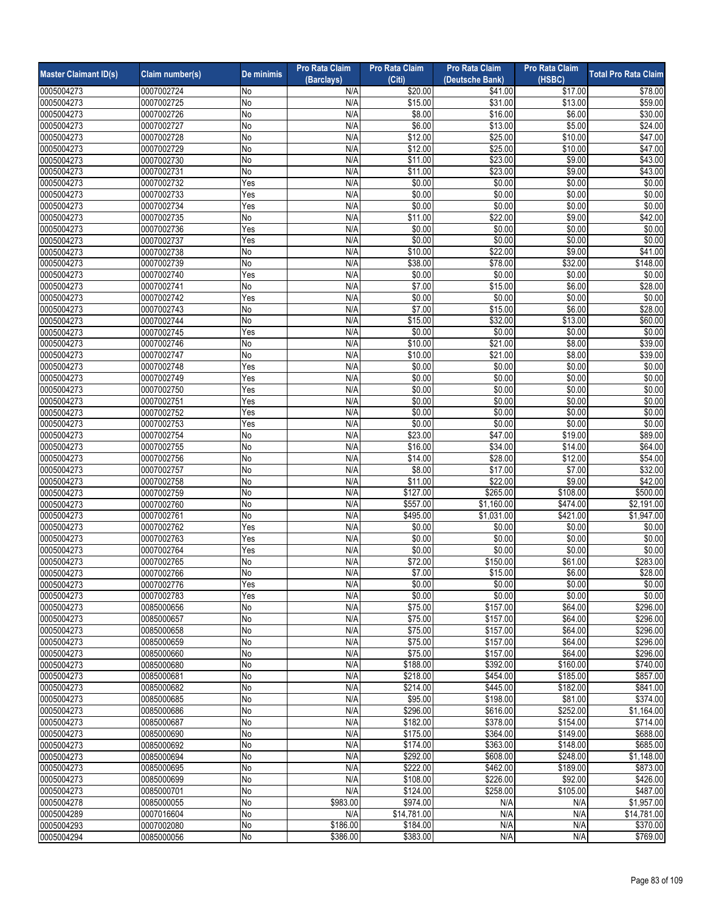| <b>Master Claimant ID(s)</b> | Claim number(s)          | De minimis | <b>Pro Rata Claim</b> | <b>Pro Rata Claim</b> | Pro Rata Claim   | <b>Pro Rata Claim</b> | <b>Total Pro Rata Claim</b> |
|------------------------------|--------------------------|------------|-----------------------|-----------------------|------------------|-----------------------|-----------------------------|
|                              |                          |            | (Barclays)            | (Citi)                | (Deutsche Bank)  | (HSBC)                |                             |
| 0005004273                   | 0007002724               | No         | N/A                   | \$20.00               | \$41.00          | \$17.00               | \$78.00                     |
| 0005004273                   | 0007002725               | No         | N/A                   | \$15.00               | \$31.00          | \$13.00               | \$59.00                     |
| 0005004273                   | 0007002726               | No         | N/A                   | \$8.00                | \$16.00          | \$6.00                | \$30.00                     |
| 0005004273                   | 0007002727               | No         | N/A                   | \$6.00                | \$13.00          | \$5.00                | \$24.00                     |
| 0005004273                   | 0007002728               | No         | N/A                   | \$12.00               | \$25.00          | \$10.00               | \$47.00                     |
| 0005004273                   | 0007002729               | No         | N/A                   | \$12.00               | \$25.00          | \$10.00               | \$47.00                     |
| 0005004273                   | 0007002730               | No         | N/A                   | \$11.00               | \$23.00          | \$9.00                | \$43.00                     |
| 0005004273                   | 0007002731               | No         | N/A                   | \$11.00               | \$23.00          | \$9.00                | \$43.00                     |
| 0005004273                   | 0007002732               | Yes        | N/A                   | \$0.00                | \$0.00           | \$0.00                | \$0.00                      |
| 0005004273                   | 0007002733               | Yes        | N/A                   | \$0.00                | \$0.00           | \$0.00                | \$0.00                      |
| 0005004273                   | 0007002734               | Yes        | N/A                   | \$0.00                | \$0.00           | \$0.00                | \$0.00                      |
| 0005004273                   | 0007002735               | No         | N/A                   | \$11.00               | \$22.00          | \$9.00                | \$42.00                     |
| 0005004273                   | 0007002736               | Yes        | N/A                   | \$0.00                | \$0.00           | \$0.00                | \$0.00                      |
| 0005004273                   | 0007002737               | Yes        | N/A                   | \$0.00                | \$0.00           | \$0.00                | \$0.00                      |
| 0005004273                   | 0007002738               | No         | N/A                   | \$10.00               | \$22.00          | \$9.00                | \$41.00                     |
| 0005004273                   | 0007002739               | No         | N/A                   | \$38.00               | \$78.00          | \$32.00               | \$148.00                    |
| 0005004273                   | 0007002740               | Yes        | N/A                   | \$0.00                | \$0.00           | \$0.00                | \$0.00                      |
| 0005004273                   | 0007002741               | No         | N/A                   | \$7.00                | \$15.00          | \$6.00                | \$28.00                     |
| 0005004273                   | 0007002742               | Yes        | N/A                   | \$0.00                | \$0.00           | \$0.00                | \$0.00                      |
| 0005004273                   | 0007002743               | No         | N/A                   | \$7.00                | \$15.00          | \$6.00                | \$28.00                     |
| 0005004273                   | 0007002744               | No         | N/A                   | \$15.00               | \$32.00          | \$13.00               | \$60.00                     |
| 0005004273                   | 0007002745               | Yes        | N/A                   | \$0.00                | \$0.00           | \$0.00                | \$0.00                      |
| 0005004273                   | 0007002746               | No         | N/A                   | \$10.00               | \$21.00          | \$8.00                | \$39.00                     |
| 0005004273                   | 0007002747               | No         | N/A                   | \$10.00               | \$21.00          | \$8.00                | \$39.00                     |
| 0005004273                   | 0007002748               | Yes        | N/A                   | \$0.00                | \$0.00           | \$0.00                | \$0.00                      |
| 0005004273                   | 0007002749               | Yes        | N/A                   | \$0.00                | \$0.00           | \$0.00                | \$0.00                      |
| 0005004273                   | 0007002750               | Yes        | N/A                   | \$0.00                | \$0.00           | \$0.00                | \$0.00                      |
| 0005004273                   | 0007002751               | Yes        | N/A                   | \$0.00                | \$0.00           | \$0.00                | \$0.00                      |
| 0005004273                   | 0007002752               | Yes        | N/A                   | \$0.00                | \$0.00           | \$0.00                | \$0.00                      |
| 0005004273                   | 0007002753               | Yes        | N/A                   | \$0.00                | \$0.00           | \$0.00                | \$0.00                      |
| 0005004273                   | 0007002754               | No         | N/A                   | \$23.00               | \$47.00          | \$19.00               | \$89.00                     |
| 0005004273                   | 0007002755               | No         | N/A                   | \$16.00               | \$34.00          | \$14.00               | \$64.00                     |
| 0005004273                   | 0007002756               | No         | N/A                   | \$14.00               | \$28.00          | \$12.00               | \$54.00                     |
| 0005004273                   | 0007002757               | No         | N/A                   | \$8.00                | \$17.00          | \$7.00                | \$32.00                     |
| 0005004273                   | 0007002758               | No         | N/A                   | \$11.00               | \$22.00          | \$9.00                | \$42.00                     |
| 0005004273                   | 0007002759               | No         | N/A                   | \$127.00              | \$265.00         | \$108.00              | \$500.00                    |
| 0005004273                   | 0007002760               | No         | N/A                   | \$557.00              | \$1,160.00       | \$474.00              | \$2,191.00                  |
| 0005004273                   | 0007002761               | No         | N/A                   | \$495.00              | \$1,031.00       | \$421.00              | \$1,947.00                  |
| 0005004273                   | 0007002762               | Yes        | N/A                   | \$0.00                | \$0.00           | \$0.00                | \$0.00                      |
| 0005004273                   | 0007002763               | Yes        | N/A                   | \$0.00                | \$0.00           | \$0.00                | \$0.00                      |
| 0005004273                   | 0007002764               | Yes        | N/A                   | \$0.00                | \$0.00           | \$0.00                | \$0.00                      |
| 0005004273                   | 0007002765               | No         | N/A                   | \$72.00               | \$150.00         | \$61.00               | \$283.00                    |
| 0005004273                   | 0007002766               | No         | N/A                   | \$7.00                | \$15.00          | \$6.00                | \$28.00                     |
|                              |                          |            |                       | \$0.00                |                  | \$0.00                |                             |
| 0005004273<br>0005004273     | 0007002776<br>0007002783 | Yes        | N/A<br>N/A            | \$0.00                | \$0.00<br>\$0.00 |                       | \$0.00<br>\$0.00            |
|                              | 0085000656               | Yes<br>No  | N/A                   | \$75.00               | \$157.00         | \$0.00<br>\$64.00     | \$296.00                    |
| 0005004273                   |                          |            |                       |                       |                  |                       |                             |
| 0005004273                   | 0085000657               | No         | N/A                   | \$75.00               | \$157.00         | \$64.00               | \$296.00                    |
| 0005004273                   | 0085000658               | No         | N/A                   | \$75.00               | \$157.00         | \$64.00               | \$296.00                    |
| 0005004273                   | 0085000659               | No         | N/A                   | \$75.00               | \$157.00         | \$64.00               | \$296.00                    |
| 0005004273                   | 0085000660               | No         | N/A                   | \$75.00               | \$157.00         | \$64.00               | \$296.00                    |
| 0005004273                   | 0085000680               | No         | N/A                   | \$188.00              | \$392.00         | \$160.00              | \$740.00                    |
| 0005004273                   | 0085000681               | No         | N/A                   | \$218.00              | \$454.00         | \$185.00              | \$857.00                    |
| 0005004273                   | 0085000682               | No         | N/A                   | \$214.00              | \$445.00         | \$182.00              | \$841.00                    |
| 0005004273                   | 0085000685               | No         | N/A                   | \$95.00               | \$198.00         | \$81.00               | \$374.00                    |
| 0005004273                   | 0085000686               | No         | N/A                   | \$296.00              | \$616.00         | \$252.00              | \$1,164.00                  |
| 0005004273                   | 0085000687               | No         | N/A                   | \$182.00              | \$378.00         | \$154.00              | \$714.00                    |
| 0005004273                   | 0085000690               | No         | N/A                   | \$175.00              | \$364.00         | \$149.00              | \$688.00                    |
| 0005004273                   | 0085000692               | No         | N/A                   | \$174.00              | \$363.00         | \$148.00              | \$685.00                    |
| 0005004273                   | 0085000694               | No         | N/A                   | \$292.00              | \$608.00         | \$248.00              | \$1,148.00                  |
| 0005004273                   | 0085000695               | No         | N/A                   | \$222.00              | \$462.00         | \$189.00              | \$873.00                    |
| 0005004273                   | 0085000699               | No         | N/A                   | \$108.00              | \$226.00         | \$92.00               | \$426.00                    |
| 0005004273                   | 0085000701               | No         | N/A                   | \$124.00              | \$258.00         | \$105.00              | \$487.00                    |
| 0005004278                   | 0085000055               | No         | \$983.00              | \$974.00              | N/A              | N/A                   | \$1,957.00                  |
| 0005004289                   | 0007016604               | No         | N/A                   | \$14,781.00           | N/A              | N/A                   | \$14,781.00                 |
| 0005004293                   | 0007002080               | No         | \$186.00              | \$184.00              | N/A              | N/A                   | \$370.00                    |
| 0005004294                   | 0085000056               | No         | \$386.00              | \$383.00              | N/A              | N/A                   | \$769.00                    |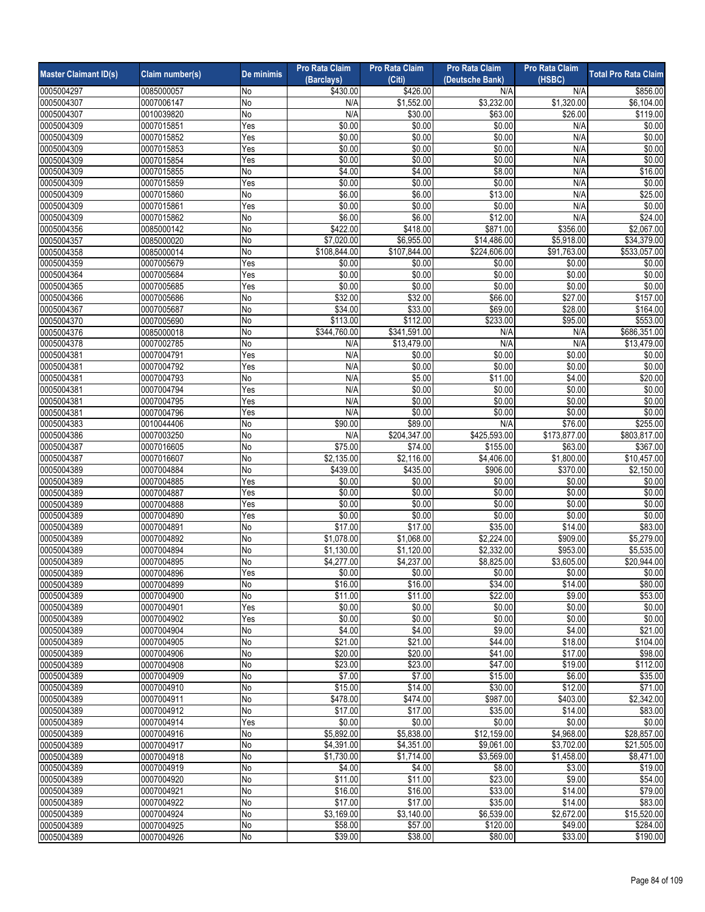| <b>Master Claimant ID(s)</b> | Claim number(s) | De minimis     | <b>Pro Rata Claim</b><br>(Barclays) | Pro Rata Claim<br>(Citi) | Pro Rata Claim<br>(Deutsche Bank) | <b>Pro Rata Claim</b><br>(HSBC) | <b>Total Pro Rata Claim</b> |
|------------------------------|-----------------|----------------|-------------------------------------|--------------------------|-----------------------------------|---------------------------------|-----------------------------|
| 0005004297                   | 0085000057      | No             | \$430.00                            | \$426.00                 | N/A                               | N/A                             | \$856.00                    |
| 0005004307                   | 0007006147      | No             | N/A                                 | \$1,552.00               | \$3,232.00                        | \$1,320.00                      | \$6,104.00                  |
| 0005004307                   | 0010039820      | No             | N/A                                 | \$30.00                  | \$63.00                           | \$26.00                         | \$119.00                    |
| 0005004309                   | 0007015851      | Yes            | \$0.00                              | \$0.00                   | \$0.00                            | N/A                             | \$0.00                      |
| 0005004309                   | 0007015852      | Yes            | \$0.00                              | \$0.00                   | \$0.00                            | N/A                             | \$0.00                      |
| 0005004309                   | 0007015853      | Yes            | \$0.00                              | \$0.00                   | \$0.00                            | N/A                             | \$0.00                      |
| 0005004309                   | 0007015854      | Yes            | \$0.00                              | \$0.00                   | \$0.00                            | N/A                             | \$0.00                      |
| 0005004309                   | 0007015855      | No             | \$4.00                              | \$4.00                   | \$8.00                            | N/A                             | \$16.00                     |
| 0005004309                   | 0007015859      | Yes            | \$0.00                              | \$0.00                   | \$0.00                            | N/A                             | \$0.00                      |
| 0005004309                   | 0007015860      | No             | \$6.00                              | \$6.00                   | \$13.00                           | N/A                             | \$25.00                     |
| 0005004309                   | 0007015861      | Yes            | \$0.00                              | \$0.00                   | \$0.00                            | N/A                             | \$0.00                      |
| 0005004309                   | 0007015862      | No             | \$6.00                              | \$6.00                   | \$12.00                           | N/A                             | \$24.00                     |
| 0005004356                   | 0085000142      | No             | \$422.00                            | \$418.00                 | \$871.00                          | \$356.00                        | \$2,067.00                  |
| 0005004357                   | 0085000020      | No             | \$7,020.00                          | \$6,955.00               | \$14,486.00                       | \$5,918.00                      | \$34,379.00                 |
| 0005004358                   | 0085000014      | No             | \$108,844.00                        | \$107,844.00             | \$224,606.00                      | \$91,763.00                     | \$533,057.00                |
| 0005004359                   | 0007005679      | Yes            | \$0.00                              | \$0.00                   | \$0.00                            | \$0.00                          | \$0.00                      |
| 0005004364                   | 0007005684      | Yes            | \$0.00                              | \$0.00                   | \$0.00                            | \$0.00                          | \$0.00                      |
| 0005004365                   | 0007005685      | Yes            | \$0.00                              | \$0.00                   | \$0.00                            | \$0.00                          | \$0.00                      |
| 0005004366                   | 0007005686      | No             | \$32.00                             | \$32.00                  | \$66.00                           | \$27.00                         | \$157.00                    |
| 0005004367                   | 0007005687      | No             | \$34.00                             | \$33.00                  | \$69.00                           | \$28.00                         | \$164.00                    |
| 0005004370                   | 0007005690      | No             | \$113.00                            | \$112.00                 | \$233.00                          | \$95.00                         | \$553.00                    |
| 0005004376                   | 0085000018      | No             | \$344,760.00                        | \$341,591.00             | N/A                               | N/A                             | \$686,351.00                |
| 0005004378                   | 0007002785      | No             | N/A                                 | \$13,479.00              | N/A                               | N/A                             | \$13,479.00                 |
| 0005004381                   |                 | Yes            | N/A                                 | \$0.00                   | \$0.00                            | \$0.00                          | \$0.00                      |
|                              | 0007004791      |                |                                     |                          |                                   |                                 |                             |
| 0005004381                   | 0007004792      | Yes            | N/A                                 | \$0.00                   | \$0.00                            | \$0.00                          | \$0.00                      |
| 0005004381                   | 0007004793      | No             | N/A                                 | \$5.00                   | \$11.00                           | \$4.00                          | \$20.00                     |
| 0005004381                   | 0007004794      | Yes            | N/A                                 | \$0.00                   | \$0.00                            | \$0.00                          | \$0.00                      |
| 0005004381                   | 0007004795      | Yes            | N/A                                 | \$0.00                   | \$0.00                            | \$0.00                          | \$0.00                      |
| 0005004381                   | 0007004796      | Yes            | N/A                                 | \$0.00                   | \$0.00                            | \$0.00                          | \$0.00                      |
| 0005004383                   | 0010044406      | No             | \$90.00                             | \$89.00                  | N/A                               | \$76.00                         | \$255.00                    |
| 0005004386                   | 0007003250      | No             | N/A                                 | \$204,347.00             | \$425,593.00                      | \$173,877.00                    | \$803,817.00                |
| 0005004387                   | 0007016605      | No             | \$75.00                             | \$74.00                  | \$155.00                          | \$63.00                         | \$367.00                    |
| 0005004387                   | 0007016607      | No             | \$2,135.00                          | \$2,116.00               | \$4,406.00                        | $\overline{$1,800.00}$          | \$10,457.00                 |
| 0005004389                   | 0007004884      | No             | \$439.00                            | \$435.00                 | \$906.00                          | \$370.00                        | \$2,150.00                  |
| 0005004389                   | 0007004885      | Yes            | \$0.00                              | \$0.00                   | \$0.00                            | \$0.00                          | \$0.00                      |
| 0005004389                   | 0007004887      | Yes            | \$0.00                              | \$0.00                   | \$0.00                            | \$0.00                          | \$0.00                      |
| 0005004389                   | 0007004888      | Yes            | \$0.00                              | \$0.00                   | \$0.00                            | \$0.00                          | \$0.00                      |
| 0005004389                   | 0007004890      | Yes            | \$0.00                              | \$0.00                   | \$0.00                            | \$0.00                          | \$0.00                      |
| 0005004389                   | 0007004891      | No             | \$17.00                             | \$17.00                  | \$35.00                           | \$14.00                         | \$83.00                     |
| 0005004389                   | 0007004892      | No             | \$1,078.00                          | \$1,068.00               | \$2,224.00                        | \$909.00                        | \$5,279.00                  |
| 0005004389                   | 0007004894      | No             | \$1,130.00                          | \$1,120.00               | \$2,332.00                        | \$953.00                        | \$5,535.00                  |
| 0005004389                   | 0007004895      | No             | \$4,277.00                          | \$4,237.00               | \$8,825.00                        | \$3,605.00                      | \$20,944.00                 |
| 0005004389                   | 0007004896      | Yes            | \$0.00                              | \$0.00                   | \$0.00                            | \$0.00                          | \$0.00                      |
| 0005004389                   | 0007004899      | No             | \$16.00                             | \$16.00                  | \$34.00                           | \$14.00                         | \$80.00                     |
| 0005004389                   | 0007004900      | N <sub>o</sub> | \$11.00                             | \$11.00                  | \$22.00                           | \$9.00                          | \$53.00                     |
| 0005004389                   | 0007004901      | Yes            | \$0.00                              | \$0.00                   | \$0.00                            | \$0.00                          | \$0.00                      |
| 0005004389                   | 0007004902      | Yes            | \$0.00                              | \$0.00                   | \$0.00                            | \$0.00                          | \$0.00                      |
| 0005004389                   | 0007004904      | No             | \$4.00                              | \$4.00                   | \$9.00                            | \$4.00                          | \$21.00                     |
| 0005004389                   | 0007004905      | No             | \$21.00                             | \$21.00                  | \$44.00                           | \$18.00                         | \$104.00                    |
| 0005004389                   | 0007004906      | No             | \$20.00                             | \$20.00                  | \$41.00                           | \$17.00                         | \$98.00                     |
| 0005004389                   | 0007004908      | No             | \$23.00                             | \$23.00                  | \$47.00                           | \$19.00                         | \$112.00                    |
| 0005004389                   | 0007004909      | No             | \$7.00                              | \$7.00                   | \$15.00                           | \$6.00                          | \$35.00                     |
| 0005004389                   | 0007004910      | No             | \$15.00                             | \$14.00                  | \$30.00                           | \$12.00                         | \$71.00                     |
| 0005004389                   | 0007004911      | No             | \$478.00                            | \$474.00                 | \$987.00                          | \$403.00                        | \$2,342.00                  |
| 0005004389                   | 0007004912      | No             | \$17.00                             | \$17.00                  | \$35.00                           | \$14.00                         | \$83.00                     |
| 0005004389                   | 0007004914      | Yes            | \$0.00                              | \$0.00                   | \$0.00                            | \$0.00                          | \$0.00                      |
| 0005004389                   | 0007004916      | No             | \$5,892.00                          | \$5,838.00               | \$12,159.00                       | \$4,968.00                      | \$28,857.00                 |
| 0005004389                   | 0007004917      | No             | \$4,391.00                          | \$4,351.00               | \$9,061.00                        | \$3,702.00                      | \$21,505.00                 |
| 0005004389                   | 0007004918      | No             | \$1,730.00                          | \$1,714.00               | \$3,569.00                        | \$1,458.00                      | \$8,471.00                  |
| 0005004389                   | 0007004919      | No             | \$4.00                              | \$4.00                   | \$8.00                            | \$3.00                          | \$19.00                     |
| 0005004389                   | 0007004920      | No             | \$11.00                             | \$11.00                  | \$23.00                           | \$9.00                          | \$54.00                     |
| 0005004389                   | 0007004921      | No             | \$16.00                             | \$16.00                  | \$33.00                           | \$14.00                         | \$79.00                     |
| 0005004389                   | 0007004922      | No             | \$17.00                             | \$17.00                  | \$35.00                           | \$14.00                         | \$83.00                     |
| 0005004389                   | 0007004924      | No             | \$3,169.00                          | \$3,140.00               | \$6,539.00                        | \$2,672.00                      | \$15,520.00                 |
| 0005004389                   | 0007004925      | No             | \$58.00                             | \$57.00                  | \$120.00                          | \$49.00                         | \$284.00                    |
|                              |                 |                | \$39.00                             |                          |                                   |                                 |                             |
| 0005004389                   | 0007004926      | No             |                                     | \$38.00                  | \$80.00                           | \$33.00                         | \$190.00                    |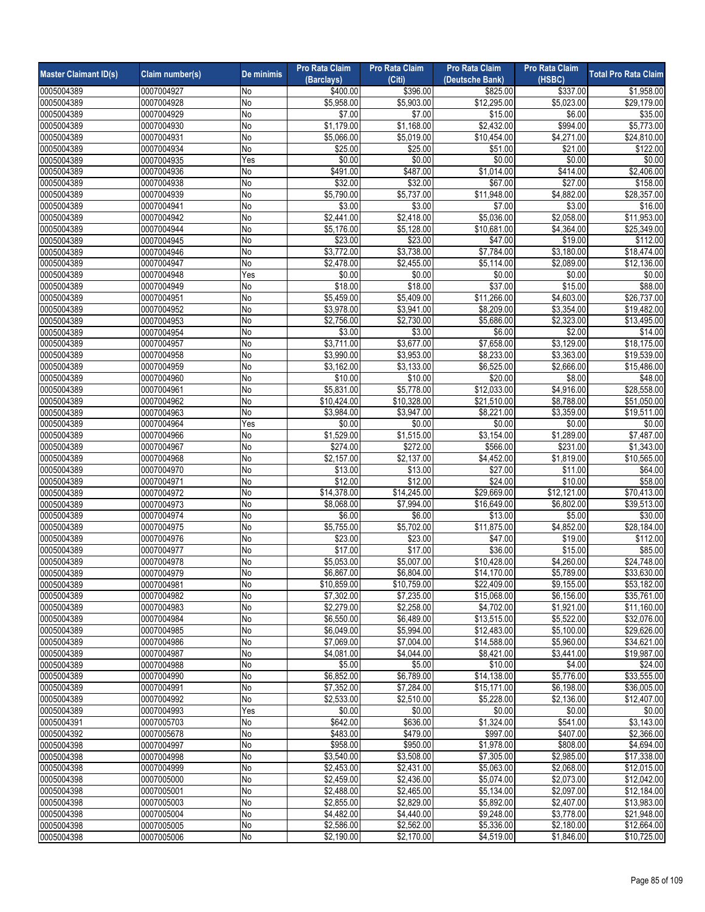| <b>Master Claimant ID(s)</b> | Claim number(s) | De minimis | <b>Pro Rata Claim</b>  | <b>Pro Rata Claim</b> | Pro Rata Claim         | Pro Rata Claim | <b>Total Pro Rata Claim</b> |
|------------------------------|-----------------|------------|------------------------|-----------------------|------------------------|----------------|-----------------------------|
|                              |                 |            | (Barclays)             | (Citi)                | (Deutsche Bank)        | (HSBC)         |                             |
| 0005004389                   | 0007004927      | No         | \$400.00               | \$396.00              | \$825.00               | \$337.00       | \$1,958.00                  |
| 0005004389                   | 0007004928      | No         | \$5,958.00             | \$5,903.00            | \$12,295.00            | \$5,023.00     | \$29,179.00                 |
| 0005004389                   | 0007004929      | No         | \$7.00                 | \$7.00                | \$15.00                | \$6.00         | \$35.00                     |
| 0005004389                   | 0007004930      | No         | $\overline{$1,179.00}$ | \$1,168.00            | $\overline{$2,432.00}$ | \$994.00       | \$5,773.00                  |
| 0005004389                   | 0007004931      | No         | \$5,066.00             | \$5,019.00            | \$10,454.00            | \$4.271.00     | \$24,810.00                 |
| 0005004389                   | 0007004934      | No         | \$25.00                | \$25.00               | \$51.00                | \$21.00        | \$122.00                    |
| 0005004389                   | 0007004935      | Yes        | \$0.00                 | \$0.00                | \$0.00                 | \$0.00         | \$0.00                      |
| 0005004389                   | 0007004936      | No         | \$491.00               | \$487.00              | \$1,014.00             | \$414.00       | \$2,406.00                  |
| 0005004389                   | 0007004938      | No         | \$32.00                | \$32.00               | \$67.00                | \$27.00        | \$158.00                    |
| 0005004389                   | 0007004939      | No         | \$5,790.00             | \$5,737.00            | \$11,948.00            | \$4,882.00     | \$28,357.00                 |
| 0005004389                   | 0007004941      | No         | \$3.00                 | \$3.00                | \$7.00                 | \$3.00         | \$16.00                     |
| 0005004389                   | 0007004942      | No         | \$2,441.00             | \$2,418.00            | \$5,036.00             | \$2,058.00     | \$11,953.00                 |
| 0005004389                   | 0007004944      | No         | \$5,176.00             | \$5,128.00            | \$10,681.00            | \$4,364.00     | \$25,349.00                 |
| 0005004389                   | 0007004945      | No         | \$23.00                | \$23.00               | \$47.00                | \$19.00        | \$112.00                    |
| 0005004389                   | 0007004946      | No         | \$3,772.00             | \$3,738.00            | \$7,784.00             | \$3,180.00     | \$18,474.00                 |
| 0005004389                   | 0007004947      | No         | \$2,478.00             | \$2,455.00            | \$5,114.00             | \$2,089.00     | \$12,136.00                 |
| 0005004389                   | 0007004948      | Yes        | \$0.00                 | \$0.00                | \$0.00                 | \$0.00         | \$0.00                      |
| 0005004389                   | 0007004949      | No         | \$18.00                | \$18.00               | \$37.00                | \$15.00        | \$88.00                     |
| 0005004389                   | 0007004951      | No         | \$5,459.00             | \$5,409.00            | \$11,266.00            | \$4,603.00     | \$26,737.00                 |
| 0005004389                   | 0007004952      | No         | \$3,978.00             | \$3,941.00            | \$8,209.00             | \$3,354.00     | \$19,482.00                 |
| 0005004389                   | 0007004953      | No         | \$2,756.00             | \$2,730.00            | \$5,686.00             | \$2,323.00     | \$13,495.00                 |
| 0005004389                   | 0007004954      | No         | \$3.00                 | \$3.00                | \$6.00                 | \$2.00         | \$14.00                     |
| 0005004389                   | 0007004957      | No         | \$3,711.00             | \$3,677.00            | \$7,658.00             | \$3,129.00     | \$18,175.00                 |
| 0005004389                   | 0007004958      | No         | \$3,990.00             | \$3,953.00            | \$8,233.00             | \$3,363.00     | \$19,539.00                 |
| 0005004389                   | 0007004959      | No         | \$3,162.00             | \$3,133.00            | \$6,525.00             | \$2,666.00     | \$15,486.00                 |
| 0005004389                   | 0007004960      | No         | \$10.00                | \$10.00               | \$20.00                | \$8.00         | \$48.00                     |
| 0005004389                   | 0007004961      | No         | \$5,831.00             | \$5,778.00            | \$12,033.00            | \$4,916.00     | \$28,558.00                 |
| 0005004389                   | 0007004962      | No         | \$10,424.00            | \$10,328.00           | \$21,510.00            | \$8,788.00     | \$51,050.00                 |
| 0005004389                   | 0007004963      | No         | \$3,984.00             | \$3,947.00            | \$8,221.00             | \$3,359.00     | \$19,511.00                 |
| 0005004389                   | 0007004964      | Yes        | \$0.00                 | \$0.00                | \$0.00                 | \$0.00         | \$0.00                      |
| 0005004389                   | 0007004966      | No         | \$1,529.00             | \$1,515.00            | $\overline{$3,154.00}$ | \$1,289.00     | \$7,487.00                  |
| 0005004389                   | 0007004967      | No         | \$274.00               | \$272.00              | \$566.00               | \$231.00       | \$1,343.00                  |
| 0005004389                   | 0007004968      | <b>No</b>  | \$2,157.00             | \$2,137.00            | \$4,452.00             | \$1,819.00     | \$10,565.00                 |
| 0005004389                   | 0007004970      | No         | \$13.00                | \$13.00               | \$27.00                | \$11.00        | \$64.00                     |
| 0005004389                   | 0007004971      | <b>No</b>  | \$12.00                | \$12.00               | \$24.00                | \$10.00        | \$58.00                     |
| 0005004389                   | 0007004972      | <b>No</b>  | \$14,378.00            | \$14,245.00           | \$29,669.00            | \$12,121.00    | \$70,413.00                 |
| 0005004389                   | 0007004973      | No         | \$8,068.00             | \$7,994.00            | \$16,649.00            | \$6,802.00     | \$39,513.00                 |
| 0005004389                   | 0007004974      | <b>No</b>  | \$6.00                 | \$6.00                | \$13.00                | \$5.00         | \$30.00                     |
| 0005004389                   | 0007004975      | No         | \$5,755.00             | \$5,702.00            | \$11,875.00            | \$4,852.00     | \$28,184.00                 |
| 0005004389                   | 0007004976      | No         | \$23.00                | \$23.00               | \$47.00                | \$19.00        | \$112.00                    |
| 0005004389                   | 0007004977      | No         | \$17.00                | \$17.00               | \$36.00                | \$15.00        | \$85.00                     |
| 0005004389                   | 0007004978      | No         | \$5,053.00             | \$5,007.00            | \$10,428.00            | \$4,260.00     | \$24.748.00                 |
| 0005004389                   | 0007004979      | No         | \$6,867.00             | \$6.804.00            | \$14,170.00            | \$5,789.00     | \$33.630.00                 |
| 0005004389                   | 0007004981      | No         | \$10,859.00            | \$10,759.00           | \$22,409.00            | \$9,155.00     | \$53,182.00                 |
| 0005004389                   | 0007004982      | No         | \$7,302.00             | \$7,235.00            | \$15,068.00            | \$6,156.00     | \$35,761.00                 |
| 0005004389                   | 0007004983      | No         | \$2,279.00             | \$2,258.00            | \$4,702.00             | \$1,921.00     | \$11,160.00                 |
| 0005004389                   | 0007004984      | No         | \$6,550.00             | \$6.489.00            | \$13,515.00            | \$5,522.00     | \$32,076.00                 |
| 0005004389                   | 0007004985      | No         | \$6,049.00             | \$5,994.00            | \$12,483.00            | \$5,100.00     | \$29,626.00                 |
| 0005004389                   | 0007004986      | No         | \$7,069.00             | \$7,004.00            | \$14,588.00            | \$5,960.00     | \$34,621.00                 |
| 0005004389                   | 0007004987      | No         | \$4,081.00             | \$4,044.00            | \$8,421.00             | \$3,441.00     | \$19,987.00                 |
| 0005004389                   | 0007004988      | No         | \$5.00                 | \$5.00                | \$10.00                | \$4.00         | \$24.00                     |
| 0005004389                   | 0007004990      | No         | \$6,852.00             | \$6,789.00            | \$14,138.00            | \$5,776.00     | \$33,555.00                 |
| 0005004389                   | 0007004991      | No         | \$7,352.00             | \$7,284.00            | \$15,171.00            | \$6,198.00     | \$36,005.00                 |
| 0005004389                   | 0007004992      | No         | \$2,533.00             | \$2,510.00            | \$5,228.00             | \$2,136.00     | \$12,407.00                 |
| 0005004389                   | 0007004993      | Yes        | \$0.00                 | \$0.00                | \$0.00                 | \$0.00         | \$0.00                      |
| 0005004391                   | 0007005703      | No         | \$642.00               | \$636.00              | \$1,324.00             | \$541.00       | \$3,143.00                  |
| 0005004392                   | 0007005678      | No         | \$483.00               | \$479.00              | \$997.00               | \$407.00       | \$2,366.00                  |
| 0005004398                   | 0007004997      | No         | \$958.00               | \$950.00              | \$1,978.00             | \$808.00       | \$4,694.00                  |
| 0005004398                   | 0007004998      | No         | \$3,540.00             | \$3,508.00            | \$7,305.00             | \$2,985.00     | \$17,338.00                 |
| 0005004398                   | 0007004999      | <b>No</b>  | \$2,453.00             | \$2,431.00            | \$5,063.00             | \$2,068.00     | \$12,015.00                 |
| 0005004398                   | 0007005000      | No         | \$2,459.00             | \$2,436.00            | \$5,074.00             | \$2,073.00     | \$12,042.00                 |
| 0005004398                   | 0007005001      | No         | \$2,488.00             | \$2,465.00            | \$5,134.00             | \$2,097.00     | \$12,184.00                 |
| 0005004398                   | 0007005003      | <b>No</b>  | \$2,855.00             | \$2,829.00            | \$5,892.00             | \$2,407.00     | \$13,983.00                 |
| 0005004398                   | 0007005004      | No         | \$4,482.00             | \$4,440.00            | \$9,248.00             | \$3,778.00     | \$21,948.00                 |
| 0005004398                   | 0007005005      | No         | \$2,586.00             | \$2,562.00            | \$5,336.00             | \$2,180.00     | \$12,664.00                 |
| 0005004398                   | 0007005006      | No         | \$2,190.00             | \$2,170.00            | \$4,519.00             | \$1,846.00     | \$10,725.00                 |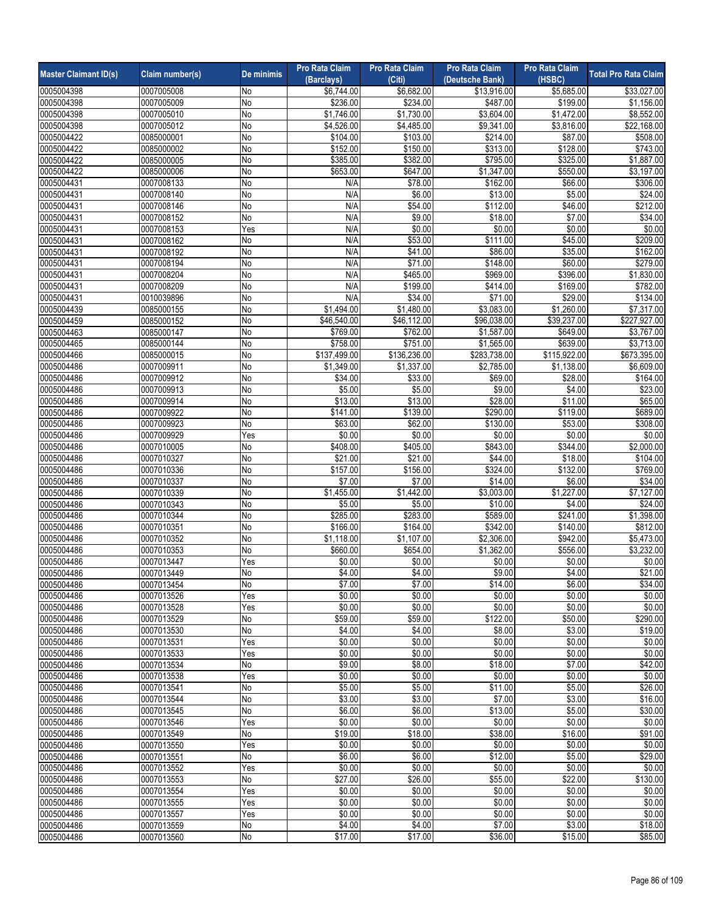| <b>Master Claimant ID(s)</b> |                 |            | <b>Pro Rata Claim</b> | <b>Pro Rata Claim</b> | Pro Rata Claim  | <b>Pro Rata Claim</b> |                      |
|------------------------------|-----------------|------------|-----------------------|-----------------------|-----------------|-----------------------|----------------------|
|                              | Claim number(s) | De minimis | (Barclays)            | (Citi)                | (Deutsche Bank) | (HSBC)                | Total Pro Rata Claim |
| 0005004398                   | 0007005008      | <b>No</b>  | \$6,744.00            | \$6,682.00            | \$13,916.00     | \$5,685.00            | \$33,027.00          |
| 0005004398                   | 0007005009      | No         | \$236.00              | \$234.00              | \$487.00        | \$199.00              | \$1,156.00           |
| 0005004398                   | 0007005010      | No         | \$1,746.00            | \$1,730.00            | \$3,604.00      | \$1,472.00            | \$8,552.00           |
| 0005004398                   | 0007005012      | No         | \$4.526.00            | \$4,485.00            | \$9,341.00      | \$3,816.00            | \$22,168.00          |
| 0005004422                   | 0085000001      | No         | \$104.00              | \$103.00              | \$214.00        | \$87.00               | \$508.00             |
| 0005004422                   | 0085000002      | No         | \$152.00              | \$150.00              | \$313.00        | \$128.00              | \$743.00             |
| 0005004422                   | 0085000005      | No         | \$385.00              | \$382.00              | \$795.00        | \$325.00              | \$1,887.00           |
| 0005004422                   | 0085000006      | <b>No</b>  | \$653.00              | \$647.00              | \$1,347.00      | \$550.00              | \$3,197.00           |
| 0005004431                   | 0007008133      | <b>No</b>  | N/A                   | \$78.00               | \$162.00        | \$66.00               | \$306.00             |
| 0005004431                   | 0007008140      | No         | N/A                   | \$6.00                | \$13.00         | \$5.00                | \$24.00              |
| 0005004431                   | 0007008146      | No         | N/A                   | \$54.00               | \$112.00        | \$46.00               | \$212.00             |
| 0005004431                   | 0007008152      | <b>No</b>  | N/A                   | \$9.00                | \$18.00         | \$7.00                | \$34.00              |
| 0005004431                   | 0007008153      | Yes        | N/A                   | \$0.00                | \$0.00          | \$0.00                | \$0.00               |
| 0005004431                   | 0007008162      | No         | N/A                   | \$53.00               | \$111.00        | \$45.00               | \$209.00             |
|                              |                 |            |                       |                       |                 |                       |                      |
| 0005004431                   | 0007008192      | No         | N/A                   | \$41.00               | \$86.00         | \$35.00               | \$162.00             |
| 0005004431                   | 0007008194      | No         | N/A                   | \$71.00               | \$148.00        | \$60.00               | \$279.00             |
| 0005004431                   | 0007008204      | <b>No</b>  | N/A                   | \$465.00              | \$969.00        | \$396.00              | \$1,830.00           |
| 0005004431                   | 0007008209      | No         | N/A                   | \$199.00              | \$414.00        | \$169.00              | \$782.00             |
| 0005004431                   | 0010039896      | <b>No</b>  | N/A                   | \$34.00               | \$71.00         | \$29.00               | \$134.00             |
| 0005004439                   | 0085000155      | <b>No</b>  | \$1,494.00            | \$1,480.00            | \$3,083.00      | \$1,260.00            | \$7,317.00           |
| 0005004459                   | 0085000152      | No         | \$46,540.00           | \$46,112.00           | \$96.038.00     | \$39,237.00           | \$227,927.00         |
| 0005004463                   | 0085000147      | <b>No</b>  | \$769.00              | \$762.00              | \$1,587.00      | \$649.00              | \$3,767.00           |
| 0005004465                   | 0085000144      | <b>No</b>  | \$758.00              | \$751.00              | \$1,565.00      | \$639.00              | \$3,713.00           |
| 0005004466                   | 0085000015      | No         | \$137,499.00          | \$136,236.00          | \$283,738.00    | \$115,922.00          | \$673,395.00         |
| 0005004486                   | 0007009911      | No         | \$1,349.00            | \$1,337.00            | \$2,785.00      | \$1,138.00            | \$6,609.00           |
| 0005004486                   | 0007009912      | No         | \$34.00               | \$33.00               | \$69.00         | \$28.00               | \$164.00             |
| 0005004486                   | 0007009913      | No         | \$5.00                | \$5.00                | \$9.00          | \$4.00                | \$23.00              |
| 0005004486                   | 0007009914      | No         | \$13.00               | \$13.00               | \$28.00         | \$11.00               | \$65.00              |
| 0005004486                   | 0007009922      | No         | \$141.00              | \$139.00              | \$290.00        | \$119.00              | \$689.00             |
| 0005004486                   | 0007009923      | <b>No</b>  | \$63.00               | \$62.00               | \$130.00        | \$53.00               | \$308.00             |
| 0005004486                   | 0007009929      | Yes        | \$0.00                | \$0.00                | \$0.00          | \$0.00                | \$0.00               |
| 0005004486                   | 0007010005      | No         | \$408.00              | \$405.00              | \$843.00        | \$344.00              | \$2,000.00           |
| 0005004486                   | 0007010327      | <b>No</b>  | \$21.00               | \$21.00               | \$44.00         | \$18.00               | \$104.00             |
| 0005004486                   | 0007010336      | <b>No</b>  | \$157.00              | \$156.00              | \$324.00        | \$132.00              | \$769.00             |
| 0005004486                   | 0007010337      | <b>No</b>  | \$7.00                | \$7.00                | \$14.00         | \$6.00                | \$34.00              |
| 0005004486                   | 0007010339      | <b>No</b>  | \$1,455.00            | \$1,442.00            | \$3,003.00      | \$1,227.00            | \$7,127.00           |
| 0005004486                   | 0007010343      | No         | \$5.00                | \$5.00                | \$10.00         | \$4.00                | \$24.00              |
| 0005004486                   | 0007010344      | No         | \$285.00              | \$283.00              | \$589.00        | \$241.00              | \$1,398.00           |
|                              |                 | No         |                       |                       | \$342.00        | \$140.00              | \$812.00             |
| 0005004486                   | 0007010351      |            | \$166.00              | \$164.00              |                 |                       |                      |
| 0005004486                   | 0007010352      | No         | \$1,118.00            | \$1,107.00            | \$2,306.00      | \$942.00              | \$5,473.00           |
| 0005004486                   | 0007010353      | <b>No</b>  | \$660.00              | \$654.00              | \$1,362.00      | \$556.00              | \$3,232.00           |
| 0005004486                   | 0007013447      | Yes        | \$0.00                | \$0.00                | \$0.00          | \$0.00                | \$0.00               |
| 0005004486                   | 0007013449      | No         | \$4.00                | \$4.00                | \$9.00          | \$4.00                | \$21.00              |
| 0005004486                   | 0007013454      | No         | \$7.00                | \$7.00                | \$14.00         | \$6.00                | \$34.00              |
| 0005004486                   | 0007013526      | Yes        | \$0.00                | \$0.00                | \$0.00          | \$0.00                | \$0.00               |
| 0005004486                   | 0007013528      | Yes        | \$0.00                | \$0.00                | \$0.00          | \$0.00                | \$0.00               |
| 0005004486                   | 0007013529      | No         | \$59.00               | \$59.00               | \$122.00        | \$50.00               | \$290.00             |
| 0005004486                   | 0007013530      | No         | \$4.00                | \$4.00                | \$8.00          | \$3.00                | \$19.00              |
| 0005004486                   | 0007013531      | Yes        | \$0.00                | \$0.00                | \$0.00          | \$0.00                | \$0.00               |
| 0005004486                   | 0007013533      | Yes        | \$0.00                | \$0.00                | \$0.00          | \$0.00                | \$0.00               |
| 0005004486                   | 0007013534      | No         | \$9.00                | \$8.00                | \$18.00         | \$7.00                | \$42.00              |
| 0005004486                   | 0007013538      | Yes        | \$0.00                | \$0.00                | \$0.00          | \$0.00                | \$0.00               |
| 0005004486                   | 0007013541      | No         | \$5.00                | \$5.00                | \$11.00         | \$5.00                | \$26.00              |
| 0005004486                   | 0007013544      | No         | \$3.00                | \$3.00                | \$7.00          | \$3.00                | \$16.00              |
| 0005004486                   | 0007013545      | No         | \$6.00                | \$6.00                | \$13.00         | \$5.00                | \$30.00              |
| 0005004486                   | 0007013546      | Yes        | \$0.00                | \$0.00                | \$0.00          | \$0.00                | \$0.00               |
| 0005004486                   | 0007013549      | No         | \$19.00               | \$18.00               | \$38.00         | \$16.00               | \$91.00              |
| 0005004486                   | 0007013550      | Yes        | \$0.00                | \$0.00                | \$0.00          | \$0.00                | \$0.00               |
| 0005004486                   | 0007013551      | No         | \$6.00                | \$6.00                | \$12.00         | \$5.00                | \$29.00              |
| 0005004486                   | 0007013552      | Yes        | \$0.00                | \$0.00                | \$0.00          | \$0.00                | \$0.00               |
| 0005004486                   | 0007013553      | No         | \$27.00               | \$26.00               | \$55.00         | \$22.00               | \$130.00             |
| 0005004486                   | 0007013554      | Yes        | \$0.00                | \$0.00                | \$0.00          | \$0.00                | \$0.00               |
| 0005004486                   | 0007013555      | Yes        | \$0.00                | \$0.00                | \$0.00          | \$0.00                | \$0.00               |
| 0005004486                   | 0007013557      | Yes        | \$0.00                | \$0.00                | \$0.00          | \$0.00                | \$0.00               |
|                              |                 |            |                       |                       |                 |                       |                      |
| 0005004486                   | 0007013559      | No         | \$4.00                | \$4.00                | \$7.00          | \$3.00                | \$18.00              |
| 0005004486                   | 0007013560      | No         | \$17.00               | \$17.00               | \$36.00         | \$15.00               | \$85.00              |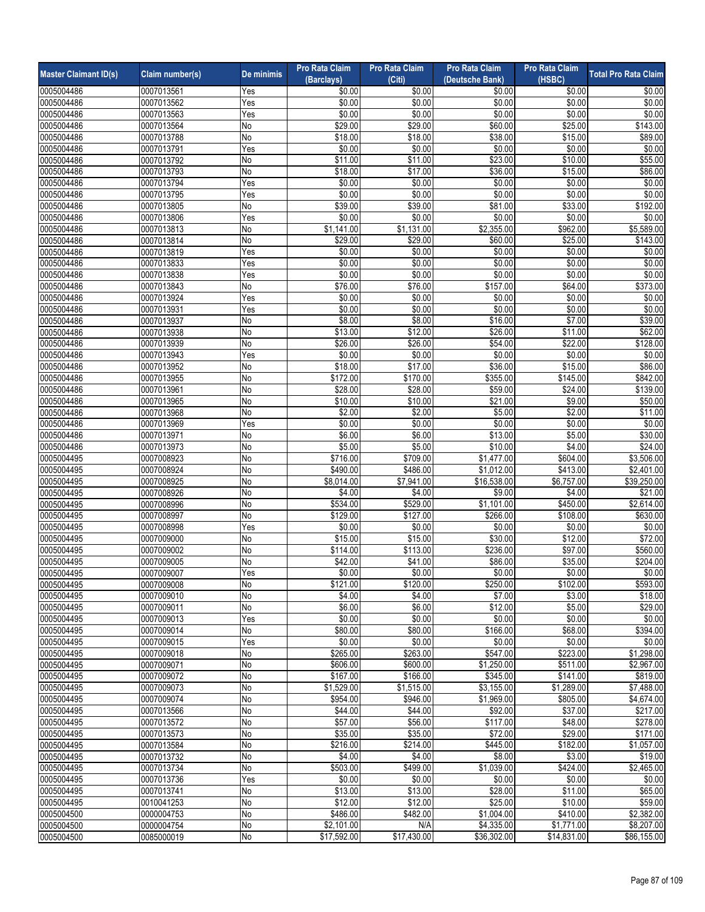| <b>Master Claimant ID(s)</b> | Claim number(s)          | De minimis | Pro Rata Claim          | <b>Pro Rata Claim</b> | Pro Rata Claim         | <b>Pro Rata Claim</b> | <b>Total Pro Rata Claim</b> |
|------------------------------|--------------------------|------------|-------------------------|-----------------------|------------------------|-----------------------|-----------------------------|
|                              |                          |            | (Barclays)              | (Citi)                | (Deutsche Bank)        | (HSBC)                |                             |
| 0005004486                   | 0007013561               | Yes        | \$0.00                  | \$0.00                | \$0.00                 | \$0.00                | \$0.00                      |
| 0005004486                   | 0007013562               | Yes        | \$0.00                  | \$0.00                | \$0.00                 | \$0.00                | \$0.00<br>\$0.00            |
| 0005004486                   | 0007013563               | Yes        | \$0.00                  | \$0.00                | \$0.00                 | \$0.00                |                             |
| 0005004486                   | 0007013564               | No<br>No   | \$29.00<br>\$18.00      | \$29.00<br>\$18.00    | \$60.00<br>\$38.00     | \$25.00               | \$143.00<br>\$89.00         |
| 0005004486<br>0005004486     | 0007013788               |            | \$0.00                  | \$0.00                | \$0.00                 | \$15.00<br>\$0.00     | \$0.00                      |
| 0005004486                   | 0007013791               | Yes        | \$11.00                 | \$11.00               |                        | \$10.00               | \$55.00                     |
|                              | 0007013792<br>0007013793 | No<br>No   | \$18.00                 | \$17.00               | \$23.00<br>\$36.00     | \$15.00               | \$86.00                     |
| 0005004486<br>0005004486     | 0007013794               | Yes        | \$0.00                  | \$0.00                | \$0.00                 | \$0.00                | \$0.00                      |
| 0005004486                   | 0007013795               | Yes        | \$0.00                  | \$0.00                | \$0.00                 | \$0.00                | \$0.00                      |
| 0005004486                   | 0007013805               | No         | \$39.00                 | \$39.00               | \$81.00                | \$33.00               | \$192.00                    |
| 0005004486                   | 0007013806               | Yes        | \$0.00                  | \$0.00                | \$0.00                 | \$0.00                | \$0.00                      |
| 0005004486                   | 0007013813               | No         | $\overline{\$1,141.00}$ | \$1,131.00            | $\overline{$2,355.00}$ | \$962.00              | \$5,589.00                  |
| 0005004486                   | 0007013814               | No         | \$29.00                 | \$29.00               | \$60.00                | \$25.00               | \$143.00                    |
| 0005004486                   | 0007013819               | Yes        | \$0.00                  | \$0.00                | \$0.00                 | \$0.00                | \$0.00                      |
| 0005004486                   | 0007013833               | Yes        | \$0.00                  | \$0.00                | \$0.00                 | \$0.00                | \$0.00                      |
| 0005004486                   | 0007013838               | Yes        | \$0.00                  | \$0.00                | \$0.00                 | \$0.00                | \$0.00                      |
| 0005004486                   | 0007013843               | No         | \$76.00                 | \$76.00               | \$157.00               | \$64.00               | \$373.00                    |
| 0005004486                   | 0007013924               | Yes        | \$0.00                  | \$0.00                | \$0.00                 | \$0.00                | \$0.00                      |
| 0005004486                   | 0007013931               | Yes        | \$0.00                  | \$0.00                | \$0.00                 | \$0.00                | \$0.00                      |
| 0005004486                   | 0007013937               | No         | \$8.00                  | \$8.00                | \$16.00                | \$7.00                | \$39.00                     |
| 0005004486                   | 0007013938               | No         | \$13.00                 | \$12.00               | \$26.00                | \$11.00               | \$62.00                     |
| 0005004486                   | 0007013939               | No         | \$26.00                 | \$26.00               | \$54.00                | \$22.00               | \$128.00                    |
| 0005004486                   | 0007013943               | Yes        | \$0.00                  | \$0.00                | \$0.00                 | \$0.00                | \$0.00                      |
| 0005004486                   | 0007013952               | No         | \$18.00                 | \$17.00               | \$36.00                | \$15.00               | \$86.00                     |
| 0005004486                   | 0007013955               | No         | \$172.00                | \$170.00              | \$355.00               | \$145.00              | \$842.00                    |
| 0005004486                   | 0007013961               | <b>No</b>  | \$28.00                 | \$28.00               | \$59.00                | \$24.00               | \$139.00                    |
| 0005004486                   | 0007013965               | No         | \$10.00                 | \$10.00               | \$21.00                | \$9.00                | \$50.00                     |
| 0005004486                   | 0007013968               | No         | \$2.00                  | \$2.00                | \$5.00                 | \$2.00                | \$11.00                     |
| 0005004486                   | 0007013969               | Yes        | \$0.00                  | \$0.00                | \$0.00                 | \$0.00                | \$0.00                      |
| 0005004486                   | 0007013971               | No         | \$6.00                  | \$6.00                | \$13.00                | \$5.00                | \$30.00                     |
| 0005004486                   | 0007013973               | No         | \$5.00                  | \$5.00                | \$10.00                | \$4.00                | \$24.00                     |
| 0005004495                   | 0007008923               | <b>No</b>  | \$716.00                | \$709.00              | \$1,477.00             | \$604.00              | \$3,506.00                  |
| 0005004495                   | 0007008924               | No         | \$490.00                | \$486.00              | \$1,012.00             | \$413.00              | \$2,401.00                  |
| 0005004495                   | 0007008925               | <b>No</b>  | $\overline{$8,014.00}$  | \$7,941.00            | \$16,538.00            | \$6,757.00            | \$39,250.00                 |
| 0005004495                   | 0007008926               | <b>No</b>  | \$4.00                  | \$4.00                | \$9.00                 | \$4.00                | \$21.00                     |
| 0005004495                   | 0007008996               | No         | \$534.00                | \$529.00              | \$1,101.00             | \$450.00              | \$2,614.00                  |
| 0005004495                   | 0007008997               | <b>No</b>  | \$129.00                | \$127.00              | \$266.00               | \$108.00              | \$630.00                    |
| 0005004495                   | 0007008998               | Yes        | \$0.00                  | \$0.00                | \$0.00                 | \$0.00                | \$0.00                      |
| 0005004495                   | 0007009000               | No         | \$15.00                 | \$15.00               | \$30.00                | \$12.00               | \$72.00                     |
| 0005004495                   | 0007009002               | No         | \$114.00                | \$113.00              | \$236.00               | \$97.00               | \$560.00                    |
| 0005004495                   | 0007009005               | No         | \$42.00                 | \$41.00               | \$86.00                | \$35.00               | \$204.00                    |
| 0005004495                   | 0007009007               | Yes        | \$0.00                  | \$0.00                | \$0.00                 | \$0.00                | \$0.00                      |
| 0005004495                   | 0007009008               | No         | \$121.00                | \$120.00              | \$250.00               | \$102.00              | \$593.00                    |
| 0005004495                   | 0007009010               | No         | \$4.00                  | \$4.00                | \$7.00                 | \$3.00                | \$18.00                     |
| 0005004495                   | 0007009011               | No         | \$6.00                  | \$6.00                | \$12.00                | \$5.00                | \$29.00                     |
| 0005004495                   | 0007009013               | Yes        | \$0.00                  | \$0.00                | \$0.00                 | \$0.00                | \$0.00                      |
| 0005004495                   | 0007009014               | No         | \$80.00                 | \$80.00               | \$166.00               | \$68.00               | \$394.00                    |
| 0005004495                   | 0007009015               | Yes        | \$0.00                  | \$0.00                | \$0.00                 | \$0.00                | \$0.00                      |
| 0005004495                   | 0007009018               | No         | \$265.00                | \$263.00              | \$547.00               | \$223.00              | \$1,298.00                  |
| 0005004495                   | 0007009071               | No         | \$606.00                | \$600.00              | \$1,250.00             | \$511.00              | \$2.967.00                  |
| 0005004495                   | 0007009072               | No         | \$167.00                | \$166.00              | \$345.00               | \$141.00              | \$819.00                    |
| 0005004495                   | 0007009073               | No         | \$1,529.00              | \$1,515.00            | \$3,155.00             | \$1,289.00            | \$7,488.00                  |
| 0005004495                   | 0007009074               | No         | \$954.00                | \$946.00              | \$1,969.00             | \$805.00              | \$4,674.00                  |
| 0005004495                   | 0007013566               | No         | \$44.00                 | \$44.00               | \$92.00                | \$37.00               | \$217.00                    |
| 0005004495                   | 0007013572               | No         | \$57.00                 | \$56.00               | \$117.00               | \$48.00               | \$278.00                    |
| 0005004495                   | 0007013573               | No         | \$35.00                 | \$35.00               | \$72.00                | \$29.00               | \$171.00                    |
| 0005004495                   | 0007013584               | No         | \$216.00                | \$214.00              | \$445.00               | \$182.00              | \$1,057.00                  |
| 0005004495                   | 0007013732               | No         | \$4.00                  | \$4.00                | \$8.00                 | \$3.00                | \$19.00                     |
| 0005004495                   | 0007013734               | No         | \$503.00                | \$499.00              | \$1,039.00             | \$424.00              | \$2,465.00                  |
| 0005004495                   | 0007013736               | Yes        | \$0.00                  | \$0.00                | \$0.00                 | \$0.00                | \$0.00                      |
| 0005004495                   | 0007013741               | No         | \$13.00                 | \$13.00               | \$28.00                | \$11.00               | \$65.00                     |
| 0005004495                   | 0010041253               | <b>No</b>  | $\sqrt{$12.00}$         | \$12.00               | \$25.00                | \$10.00               | \$59.00                     |
| 0005004500                   | 0000004753               | No         | \$486.00                | \$482.00              | \$1,004.00             | \$410.00              | \$2,382.00                  |
| 0005004500                   | 0000004754               | No         | \$2,101.00              | N/A                   | \$4,335.00             | \$1,771.00            | \$8,207.00                  |
| 0005004500                   | 0085000019               | No         | \$17,592.00             | \$17,430.00           | \$36,302.00            | \$14,831.00           | \$86,155.00                 |
|                              |                          |            |                         |                       |                        |                       |                             |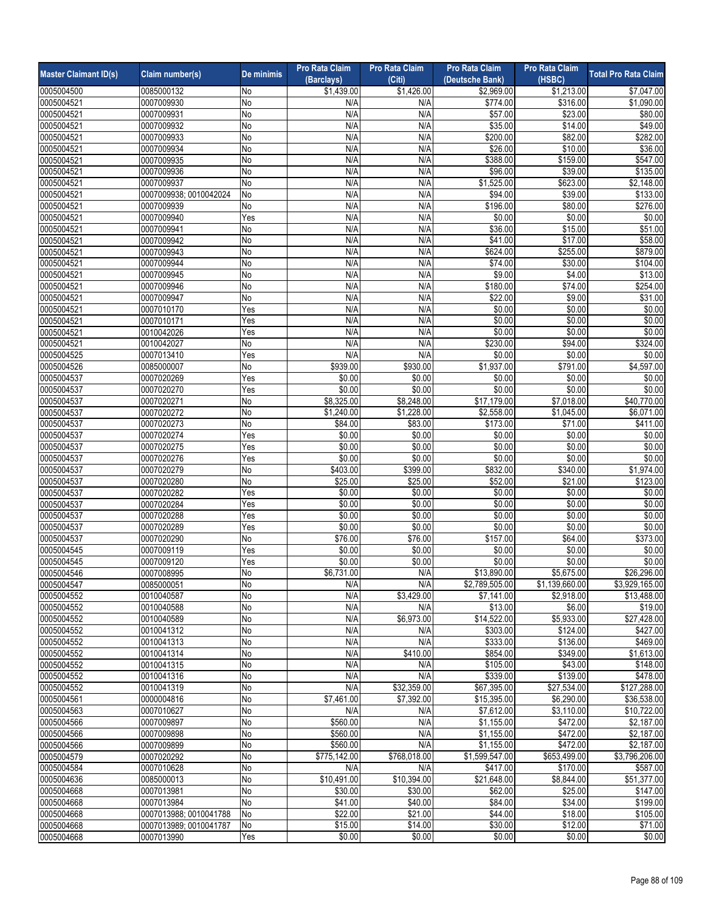| <b>Master Claimant ID(s)</b> | Claim number(s)        | De minimis | Pro Rata Claim | <b>Pro Rata Claim</b> | Pro Rata Claim         | Pro Rata Claim | <b>Total Pro Rata Claim</b> |
|------------------------------|------------------------|------------|----------------|-----------------------|------------------------|----------------|-----------------------------|
|                              |                        |            | (Barclays)     | (Citi)                | (Deutsche Bank)        | (HSBC)         |                             |
| 0005004500                   | 0085000132             | No         | \$1,439.00     | \$1,426.00            | \$2,969.00             | \$1,213.00     | \$7,047.00                  |
| 0005004521                   | 0007009930             | <b>No</b>  | N/A            | N/A                   | \$774.00               | \$316.00       | \$1,090.00                  |
| 0005004521                   | 0007009931             | No         | N/A            | N/A                   | \$57.00                | \$23.00        | \$80.00                     |
| 0005004521                   | 0007009932             | No         | N/A            | N/A                   | \$35.00                | \$14.00        | \$49.00                     |
| 0005004521                   | 0007009933             | No         | N/A            | N/A                   | \$200.00               | \$82.00        | \$282.00                    |
| 0005004521                   | 0007009934             | <b>No</b>  | N/A            | N/A                   | \$26.00                | \$10.00        | \$36.00                     |
| 0005004521                   | 0007009935             | No         | N/A            | N/A                   | \$388.00               | \$159.00       | \$547.00                    |
| 0005004521                   | 0007009936             | No         | N/A            | N/A                   | \$96.00                | \$39.00        | \$135.00                    |
| 0005004521                   | 0007009937             | No         | N/A            | N/A                   | $\overline{$1,525.00}$ | \$623.00       | \$2,148.00                  |
| 0005004521                   | 0007009938; 0010042024 | No         | N/A            | N/A                   | \$94.00                | \$39.00        | \$133.00                    |
| 0005004521                   | 0007009939             | No         | N/A            | N/A                   | \$196.00               | \$80.00        | \$276.00                    |
| 0005004521                   | 0007009940             | Yes        | N/A            | N/A                   | \$0.00                 | \$0.00         | \$0.00                      |
| 0005004521                   | 0007009941             | No         | N/A            | N/A                   | \$36.00                | \$15.00        | \$51.00                     |
| 0005004521                   | 0007009942             | <b>No</b>  | N/A            | N/A                   | \$41.00                | \$17.00        | \$58.00                     |
| 0005004521                   | 0007009943             | No         | N/A            | N/A                   | \$624.00               | \$255.00       | \$879.00                    |
| 0005004521                   | 0007009944             | No         | N/A            | N/A                   | \$74.00                | \$30.00        | \$104.00                    |
| 0005004521                   | 0007009945             | No         | N/A            | N/A                   | \$9.00                 | \$4.00         | \$13.00                     |
| 0005004521                   | 0007009946             | <b>No</b>  | N/A            | N/A                   | \$180.00               | \$74.00        | \$254.00                    |
| 0005004521                   | 0007009947             | No         | N/A            | N/A                   | \$22.00                | \$9.00         | \$31.00                     |
| 0005004521                   | 0007010170             | Yes        | N/A            | N/A                   | \$0.00                 | \$0.00         | \$0.00                      |
| 0005004521                   | 0007010171             | Yes        | N/A            | N/A                   | \$0.00                 | \$0.00         | \$0.00                      |
| 0005004521                   | 0010042026             | Yes        | N/A            | N/A                   | \$0.00                 | \$0.00         | \$0.00                      |
| 0005004521                   | 0010042027             | No         | N/A            | N/A                   | \$230.00               | \$94.00        | \$324.00                    |
| 0005004525                   | 0007013410             | Yes        | N/A            | N/A                   | \$0.00                 | \$0.00         | \$0.00                      |
| 0005004526                   | 0085000007             | No         | \$939.00       | \$930.00              | \$1,937.00             | \$791.00       | \$4,597.00                  |
| 0005004537                   | 0007020269             | Yes        | \$0.00         | \$0.00                | \$0.00                 | \$0.00         | \$0.00                      |
| 0005004537                   | 0007020270             | Yes        | \$0.00         | \$0.00                | \$0.00                 | \$0.00         | \$0.00                      |
| 0005004537                   | 0007020271             | No         | \$8,325.00     | \$8,248.00            | \$17,179.00            | \$7,018.00     | \$40,770.00                 |
| 0005004537                   | 0007020272             | No         | \$1,240.00     | \$1,228.00            | \$2,558.00             | \$1,045.00     | \$6,071.00                  |
| 0005004537                   | 0007020273             | No         | \$84.00        | \$83.00               | \$173.00               | \$71.00        | \$411.00                    |
| 0005004537                   | 0007020274             | Yes        | \$0.00         | \$0.00                | \$0.00                 | \$0.00         | \$0.00                      |
| 0005004537                   | 0007020275             | Yes        | \$0.00         | \$0.00                | \$0.00                 | \$0.00         | \$0.00                      |
| 0005004537                   | 0007020276             | Yes        | \$0.00         | \$0.00                | \$0.00                 | \$0.00         | \$0.00                      |
| 0005004537                   | 0007020279             | No         | \$403.00       | \$399.00              | \$832.00               | \$340.00       | \$1,974.00                  |
| 0005004537                   | 0007020280             | <b>No</b>  | \$25.00        | \$25.00               | \$52.00                | \$21.00        | \$123.00                    |
| 0005004537                   | 0007020282             | Yes        | \$0.00         | \$0.00                | \$0.00                 | \$0.00         | \$0.00                      |
| 0005004537                   | 0007020284             | Yes        | \$0.00         | \$0.00                | \$0.00                 | \$0.00         | \$0.00                      |
| 0005004537                   | 0007020288             | Yes        | \$0.00         | \$0.00                | \$0.00                 | \$0.00         | \$0.00                      |
| 0005004537                   | 0007020289             | Yes        | \$0.00         | \$0.00                | \$0.00                 | \$0.00         | \$0.00                      |
| 0005004537                   | 0007020290             | No         | \$76.00        | \$76.00               | \$157.00               | \$64.00        | \$373.00                    |
| 0005004545                   | 0007009119             | Yes        | \$0.00         | \$0.00                | \$0.00                 | \$0.00         | \$0.00                      |
| 0005004545                   | 0007009120             | Yes        | \$0.00         | \$0.00                | \$0.00                 | \$0.00         | \$0.00                      |
| 0005004546                   | 0007008995             | No         | \$6,731.00     | N/A                   | \$13,890.00            | \$5,675.00     | \$26,296.00                 |
| 0005004547                   | 0085000051             | No         | N/A            | N/A                   | \$2,789,505.00         | \$1,139,660.00 | \$3,929,165.00              |
| 0005004552                   | 0010040587             | No         | N/A            | \$3,429.00            | \$7,141.00             | \$2,918.00     | \$13,488.00                 |
| 0005004552                   | 0010040588             | No         | N/A            | N/A                   | \$13.00                | \$6.00         | \$19.00                     |
| 0005004552                   | 0010040589             | No         | N/A            | \$6,973.00            | \$14,522.00            | \$5,933.00     | \$27,428.00                 |
| 0005004552                   | 0010041312             | No         | N/A            | N/A                   | \$303.00               | \$124.00       | \$427.00                    |
| 0005004552                   | 0010041313             | No         | N/A            | N/A                   | \$333.00               | \$136.00       | \$469.00                    |
| 0005004552                   | 0010041314             | No         | N/A            | \$410.00              | \$854.00               | \$349.00       | \$1,613.00                  |
| 0005004552                   | 0010041315             | No         | N/A            | N/A                   | \$105.00               | \$43.00        | \$148.00                    |
| 0005004552                   | 0010041316             | No         | N/A            | N/A                   | \$339.00               | \$139.00       | \$478.00                    |
| 0005004552                   | 0010041319             | No         | N/A            | \$32,359.00           | \$67,395.00            | \$27,534.00    | \$127,288.00                |
| 0005004561                   | 0000004816             | No         | \$7,461.00     | \$7,392.00            | \$15,395.00            | \$6,290.00     | \$36,538.00                 |
| 0005004563                   | 0007010627             | No         | N/A            | N/A                   | \$7,612.00             | \$3,110.00     | \$10,722.00                 |
| 0005004566                   | 0007009897             | No         | \$560.00       | N/A                   | \$1,155.00             | \$472.00       | \$2.187.00                  |
| 0005004566                   | 0007009898             | No         | \$560.00       | N/A                   | \$1,155.00             | \$472.00       | \$2,187.00                  |
| 0005004566                   | 0007009899             | No         | \$560.00       | N/A                   | \$1,155.00             | \$472.00       | \$2,187.00                  |
| 0005004579                   | 0007020292             | No         | \$775,142.00   | \$768,018.00          | \$1,599,547.00         | \$653,499.00   | \$3,796,206.00              |
| 0005004584                   | 0007010628             | <b>No</b>  | N/A            | N/A                   | \$417.00               | \$170.00       | \$587.00                    |
| 0005004636                   | 0085000013             | No         | \$10,491.00    | \$10,394.00           | \$21,648.00            | \$8,844.00     | \$51,377.00                 |
| 0005004668                   | 0007013981             | No         | \$30.00        | \$30.00               | \$62.00                | \$25.00        | \$147.00                    |
| 0005004668                   | 0007013984             | <b>No</b>  | \$41.00        | \$40.00               | \$84.00                | \$34.00        | \$199.00                    |
| 0005004668                   | 0007013988; 0010041788 | No         | \$22.00        | \$21.00               | \$44.00                | \$18.00        | \$105.00                    |
| 0005004668                   | 0007013989; 0010041787 | No         | \$15.00        | \$14.00               | \$30.00                | \$12.00        | \$71.00                     |
| 0005004668                   | 0007013990             | Yes        | \$0.00         | \$0.00                | \$0.00                 | \$0.00         | \$0.00                      |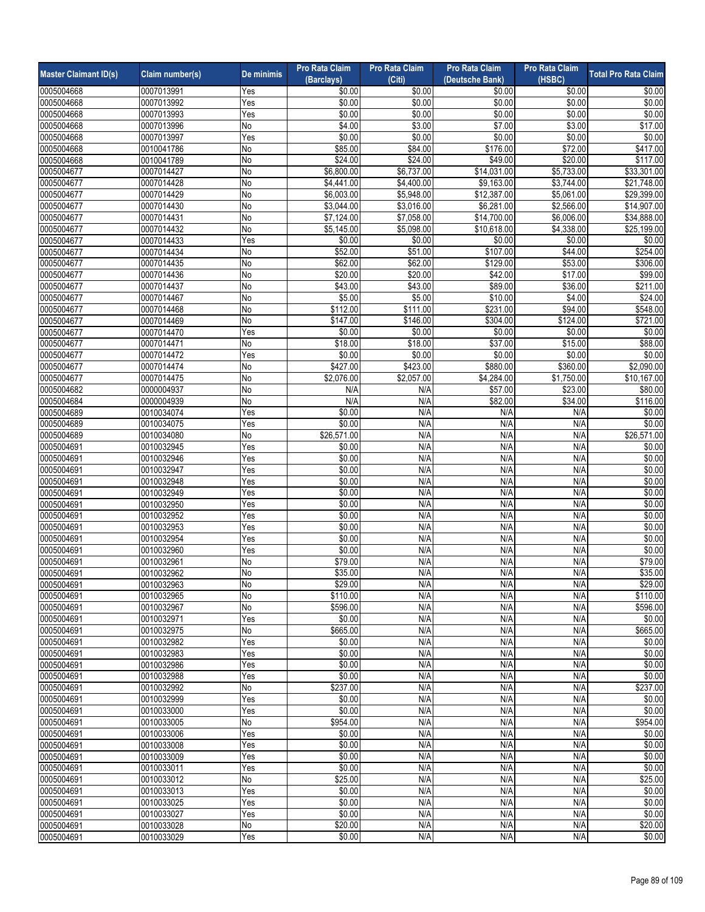| <b>Master Claimant ID(s)</b> | Claim number(s)          | De minimis | <b>Pro Rata Claim</b>    | <b>Pro Rata Claim</b> | Pro Rata Claim            | <b>Pro Rata Claim</b>    | <b>Total Pro Rata Claim</b> |
|------------------------------|--------------------------|------------|--------------------------|-----------------------|---------------------------|--------------------------|-----------------------------|
|                              |                          |            | (Barclays)               | (Citi)                | (Deutsche Bank)           | (HSBC)                   |                             |
| 0005004668                   | 0007013991               | Yes        | \$0.00                   | \$0.00                | \$0.00                    | \$0.00                   | \$0.00                      |
| 0005004668                   | 0007013992               | Yes        | \$0.00                   | \$0.00                | \$0.00                    | \$0.00                   | \$0.00                      |
| 0005004668                   | 0007013993               | Yes        | \$0.00                   | \$0.00                | \$0.00                    | \$0.00                   | \$0.00                      |
| 0005004668                   | 0007013996               | No         | \$4.00<br>\$0.00         | \$3.00<br>\$0.00      | \$7.00<br>\$0.00          | \$3.00<br>\$0.00         | \$17.00<br>\$0.00           |
| 0005004668<br>0005004668     | 0007013997<br>0010041786 | Yes<br>No  | \$85.00                  | \$84.00               | \$176.00                  | \$72.00                  | \$417.00                    |
| 0005004668                   | 0010041789               | No         | \$24.00                  | \$24.00               | \$49.00                   | \$20.00                  | \$117.00                    |
| 0005004677                   | 0007014427               | No         |                          | \$6,737.00            | \$14,031.00               |                          |                             |
| 0005004677                   | 0007014428               | No         | \$6,800.00<br>\$4,441.00 | \$4,400.00            |                           | \$5,733.00<br>\$3,744.00 | \$33,301.00<br>\$21,748.00  |
| 0005004677                   | 0007014429               | <b>No</b>  | \$6,003.00               | \$5,948.00            | \$9,163.00<br>\$12,387.00 | \$5,061.00               | \$29,399.00                 |
| 0005004677                   |                          | No         | \$3,044.00               | \$3,016.00            | \$6,281.00                | \$2,566.00               | \$14,907.00                 |
| 0005004677                   | 0007014430<br>0007014431 | No         | \$7,124.00               | \$7,058.00            | \$14,700.00               | \$6,006.00               | \$34,888.00                 |
| 0005004677                   | 0007014432               | No         | \$5,145.00               |                       |                           | \$4,338.00               | \$25,199.00                 |
| 0005004677                   |                          | Yes        | \$0.00                   | \$5,098.00<br>\$0.00  | \$10,618.00<br>\$0.00     | \$0.00                   | \$0.00                      |
| 0005004677                   | 0007014433<br>0007014434 | No         | \$52.00                  | \$51.00               | \$107.00                  | \$44.00                  | \$254.00                    |
|                              | 0007014435               |            |                          |                       |                           |                          |                             |
| 0005004677<br>0005004677     | 0007014436               | No<br>No   | \$62.00<br>\$20.00       | \$62.00<br>\$20.00    | \$129.00<br>\$42.00       | \$53.00<br>\$17.00       | \$306.00<br>\$99.00         |
| 0005004677                   | 0007014437               |            |                          | \$43.00               |                           |                          |                             |
|                              |                          | No<br>No   | \$43.00                  | \$5.00                | \$89.00<br>\$10.00        | \$36.00<br>\$4.00        | \$211.00<br>\$24.00         |
| 0005004677<br>0005004677     | 0007014467<br>0007014468 |            | \$5.00                   |                       |                           |                          |                             |
|                              |                          | No<br>No   | \$112.00<br>\$147.00     | \$111.00<br>\$146.00  | \$231.00                  | \$94.00<br>\$124.00      | \$548.00                    |
| 0005004677                   | 0007014469<br>0007014470 |            | \$0.00                   | \$0.00                | \$304.00<br>\$0.00        | \$0.00                   | \$721.00<br>\$0.00          |
| 0005004677                   |                          | Yes        |                          |                       |                           |                          |                             |
| 0005004677                   | 0007014471               | No         | \$18.00<br>\$0.00        | \$18.00<br>\$0.00     | \$37.00<br>\$0.00         | \$15.00<br>\$0.00        | \$88.00<br>\$0.00           |
| 0005004677<br>0005004677     | 0007014472               | Yes        | \$427.00                 | \$423.00              |                           | \$360.00                 | \$2,090.00                  |
| 0005004677                   | 0007014474<br>0007014475 | No<br>No   | \$2,076.00               | \$2,057.00            | \$880.00<br>\$4,284.00    | \$1,750.00               | \$10,167.00                 |
|                              | 0000004937               | No         |                          | N/A                   | \$57.00                   | \$23.00                  | \$80.00                     |
| 0005004682<br>0005004684     |                          | No         | N/A<br>N/A               | N/A                   | \$82.00                   | \$34.00                  | \$116.00                    |
| 0005004689                   | 0000004939<br>0010034074 | Yes        | \$0.00                   | N/A                   | N/A                       | N/A                      | \$0.00                      |
| 0005004689                   |                          | Yes        | \$0.00                   | N/A                   | N/A                       | N/A                      | \$0.00                      |
|                              | 0010034075<br>0010034080 |            |                          | N/A                   | N/A                       | N/A                      |                             |
| 0005004689<br>0005004691     | 0010032945               | No         | \$26,571.00<br>\$0.00    | N/A                   | N/A                       | N/A                      | \$26,571.00                 |
| 0005004691                   | 0010032946               | Yes<br>Yes | \$0.00                   | N/A                   | N/A                       | N/A                      | \$0.00<br>\$0.00            |
| 0005004691                   | 0010032947               | Yes        | \$0.00                   | N/A                   | N/A                       | N/A                      | \$0.00                      |
| 0005004691                   | 0010032948               | Yes        | \$0.00                   | N/A                   | N/A                       | N/A                      | \$0.00                      |
| 0005004691                   | 0010032949               | Yes        | \$0.00                   | N/A                   | N/A                       | N/A                      | \$0.00                      |
|                              |                          | Yes        | \$0.00                   | N/A                   | N/A                       | N/A                      | \$0.00                      |
| 0005004691<br>0005004691     | 0010032950<br>0010032952 | Yes        | \$0.00                   | N/A                   | N/A                       | N/A                      | \$0.00                      |
|                              |                          | Yes        | \$0.00                   | N/A                   | N/A                       | N/A                      | \$0.00                      |
| 0005004691<br>0005004691     | 0010032953<br>0010032954 | Yes        | \$0.00                   | N/A                   | N/A                       | N/A                      | \$0.00                      |
| 0005004691                   | 0010032960               | Yes        | \$0.00                   | N/A                   | N/A                       | N/A                      | \$0.00                      |
| 0005004691                   | 0010032961               | No         | \$79.00                  | N/A                   | N/A                       | N/A                      | \$79.00                     |
| 0005004691                   | 0010032962               | No         | \$35.00                  | N/A                   | N/A                       | N/A                      | \$35.00                     |
|                              | 0010032963               | No         | \$29.00                  | N/A                   | N/A                       | N/A                      | \$29.00                     |
| 0005004691<br>0005004691     | 0010032965               | <b>No</b>  | \$110.00                 | N/A                   | N/A                       | N/A                      | \$110.00                    |
| 0005004691                   | 0010032967               | No         | \$596.00                 | N/A                   | N/A                       | N/A                      | \$596.00                    |
| 0005004691                   | 0010032971               | Yes        | \$0.00                   | N/A                   | N/A                       | N/A                      | \$0.00                      |
| 0005004691                   | 0010032975               | No         | \$665.00                 | N/A                   | N/A                       | N/A                      | \$665.00                    |
| 0005004691                   | 0010032982               | Yes        | \$0.00                   | N/A                   | N/A                       | N/A                      | \$0.00                      |
| 0005004691                   | 0010032983               | Yes        | \$0.00                   | N/A                   | N/A                       | N/A                      | \$0.00                      |
| 0005004691                   | 0010032986               | Yes        | \$0.00                   | N/A                   | N/A                       | N/A                      | \$0.00                      |
| 0005004691                   | 0010032988               | Yes        | \$0.00                   | N/A                   | N/A                       | N/A                      | \$0.00                      |
| 0005004691                   | 0010032992               | No         | \$237.00                 | N/A                   | N/A                       | N/A                      | \$237.00                    |
| 0005004691                   | 0010032999               | Yes        | \$0.00                   | N/A                   | N/A                       | N/A                      | \$0.00                      |
| 0005004691                   | 0010033000               | Yes        | \$0.00                   | N/A                   | N/A                       | N/A                      | \$0.00                      |
| 0005004691                   | 0010033005               | No         | \$954.00                 | N/A                   | N/A                       | N/A                      | \$954.00                    |
| 0005004691                   | 0010033006               |            | \$0.00                   | N/A                   | N/A                       | N/A                      | \$0.00                      |
| 0005004691                   | 0010033008               | Yes<br>Yes | \$0.00                   | N/A                   | N/A                       | N/A                      | \$0.00                      |
| 0005004691                   | 0010033009               | Yes        | \$0.00                   | N/A                   | N/A                       | N/A                      | \$0.00                      |
| 0005004691                   |                          | Yes        | \$0.00                   | N/A                   | N/A                       | N/A                      | \$0.00                      |
| 0005004691                   | 0010033011<br>0010033012 | No         | \$25.00                  | N/A                   | N/A                       | N/A                      | \$25.00                     |
| 0005004691                   | 0010033013               | Yes        | \$0.00                   | N/A                   | N/A                       | N/A                      | \$0.00                      |
| 0005004691                   | 0010033025               | Yes        | \$0.00                   | N/A                   | N/A                       | N/A                      | \$0.00                      |
| 0005004691                   | 0010033027               | Yes        | \$0.00                   | N/A                   | N/A                       | N/A                      | \$0.00                      |
| 0005004691                   | 0010033028               | No         | \$20.00                  | N/A                   | N/A                       | N/A                      | \$20.00                     |
| 0005004691                   | 0010033029               | Yes        | \$0.00                   | N/A                   | N/A                       | N/A                      | \$0.00                      |
|                              |                          |            |                          |                       |                           |                          |                             |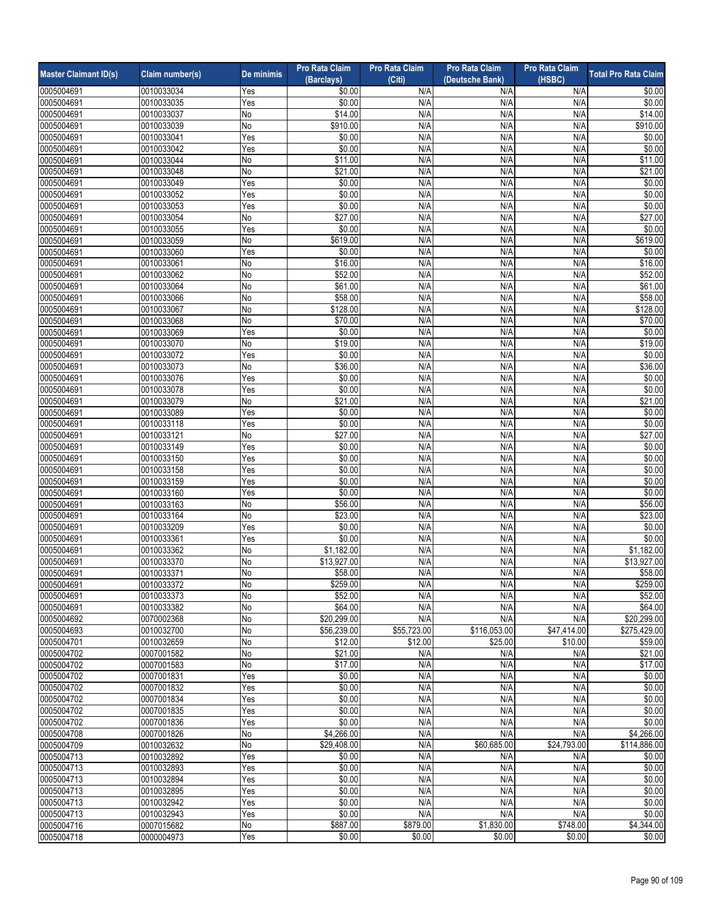| <b>Master Claimant ID(s)</b> | Claim number(s) | De minimis | <b>Pro Rata Claim</b><br>(Barclays) | Pro Rata Claim<br>(C <sub>it</sub> ) | Pro Rata Claim<br>(Deutsche Bank) | Pro Rata Claim<br>(HSBC) | <b>Total Pro Rata Claim</b> |
|------------------------------|-----------------|------------|-------------------------------------|--------------------------------------|-----------------------------------|--------------------------|-----------------------------|
| 0005004691                   | 0010033034      | Yes        | \$0.00                              | N/A                                  | N/A                               | N/A                      | \$0.00                      |
| 0005004691                   | 0010033035      | Yes        | \$0.00                              | N/A                                  | N/A                               | N/A                      | \$0.00                      |
| 0005004691                   | 0010033037      | No         | \$14.00                             | N/A                                  | N/A                               | N/A                      | \$14.00                     |
| 0005004691                   | 0010033039      | No         | \$910.00                            | N/A                                  | N/A                               | N/A                      | \$910.00                    |
| 0005004691                   | 0010033041      | Yes        | \$0.00                              | N/A                                  | N/A                               | N/A                      | \$0.00                      |
| 0005004691                   | 0010033042      | Yes        | \$0.00                              | N/A                                  | N/A                               | N/A                      | \$0.00                      |
| 0005004691                   | 0010033044      | No         | \$11.00                             | N/A                                  | N/A                               | N/A                      | \$11.00                     |
| 0005004691                   | 0010033048      | No         | \$21.00                             | N/A                                  | N/A                               | N/A                      | \$21.00                     |
| 0005004691                   | 0010033049      | Yes        | \$0.00                              | N/A                                  | N/A                               | N/A                      | \$0.00                      |
| 0005004691                   | 0010033052      | Yes        | \$0.00                              | N/A                                  | N/A                               | N/A                      | \$0.00                      |
| 0005004691                   | 0010033053      | Yes        | \$0.00                              | N/A                                  | N/A                               | N/A                      | \$0.00                      |
| 0005004691                   | 0010033054      | No         | \$27.00                             | N/A                                  | N/A                               | N/A                      | \$27.00                     |
| 0005004691                   | 0010033055      | Yes        | \$0.00                              | N/A                                  | N/A                               | N/A                      | \$0.00                      |
| 0005004691                   | 0010033059      | No         | \$619.00                            | N/A                                  | N/A                               | N/A                      | \$619.00                    |
| 0005004691                   | 0010033060      | Yes        | \$0.00                              | N/A                                  | N/A                               | N/A                      | \$0.00                      |
| 0005004691                   | 0010033061      | No         | \$16.00                             | N/A                                  | N/A                               | N/A                      | \$16.00                     |
| 0005004691                   | 0010033062      | No         | \$52.00                             | N/A                                  | N/A                               | N/A                      | \$52.00                     |
| 0005004691                   | 0010033064      | No         | \$61.00                             | N/A                                  | N/A                               | N/A                      | \$61.00                     |
| 0005004691                   | 0010033066      | No         | \$58.00                             | N/A                                  | N/A                               | N/A                      | \$58.00                     |
| 0005004691                   | 0010033067      | No         | \$128.00                            | N/A                                  | N/A                               | N/A                      | \$128.00                    |
| 0005004691                   | 0010033068      | No         | \$70.00                             | N/A                                  | N/A                               | N/A                      | \$70.00                     |
| 0005004691                   | 0010033069      | Yes        | \$0.00                              | N/A                                  | N/A                               | N/A                      | \$0.00                      |
| 0005004691                   | 0010033070      | No         | \$19.00                             | N/A                                  | N/A                               | N/A                      | \$19.00                     |
| 0005004691                   | 0010033072      | Yes        | \$0.00                              | N/A                                  | N/A                               | N/A                      | \$0.00                      |
| 0005004691                   | 0010033073      | No         | \$36.00                             | N/A                                  | N/A                               | N/A                      | \$36.00                     |
| 0005004691                   | 0010033076      | Yes        | \$0.00                              | N/A                                  | N/A                               | N/A                      | \$0.00                      |
| 0005004691                   | 0010033078      | Yes        | \$0.00                              | N/A                                  | N/A                               | N/A                      | \$0.00                      |
| 0005004691                   | 0010033079      | No         | \$21.00                             | N/A                                  | N/A                               | N/A                      | \$21.00                     |
| 0005004691                   | 0010033089      | Yes        | \$0.00                              | N/A                                  | N/A                               | N/A                      | \$0.00                      |
| 0005004691                   | 0010033118      | Yes        | \$0.00                              | N/A                                  | N/A                               | N/A                      | \$0.00                      |
| 0005004691                   | 0010033121      | No         | \$27.00                             | N/A                                  | N/A                               | N/A                      | \$27.00                     |
| 0005004691                   | 0010033149      | Yes        | \$0.00                              | N/A                                  | N/A                               | N/A                      | \$0.00                      |
| 0005004691                   | 0010033150      | Yes        | \$0.00                              | N/A                                  | N/A                               | N/A                      | \$0.00                      |
| 0005004691                   | 0010033158      | Yes        | \$0.00                              | N/A                                  | N/A                               | N/A                      | \$0.00                      |
| 0005004691                   | 0010033159      | Yes        | \$0.00                              | N/A                                  | N/A                               | N/A                      | \$0.00                      |
| 0005004691                   | 0010033160      | Yes        | \$0.00                              | N/A                                  | N/A                               | N/A                      | \$0.00                      |
| 0005004691                   | 0010033163      | No         | \$56.00                             | N/A                                  | N/A                               | N/A                      | \$56.00                     |
| 0005004691                   | 0010033164      | No         | \$23.00                             | N/A                                  | N/A                               | N/A                      | \$23.00                     |
| 0005004691                   | 0010033209      | Yes        | \$0.00                              | N/A                                  | N/A                               | N/A                      | \$0.00                      |
| 0005004691                   | 0010033361      | Yes        | \$0.00                              | N/A                                  | N/A                               | N/A                      | \$0.00                      |
| 0005004691                   | 0010033362      | No         | \$1,182.00                          | N/A                                  | N/A                               | N/A                      | \$1,182.00                  |
| 0005004691                   | 0010033370      | No         | \$13,927.00                         | N/A                                  | N/A                               | N/A                      | \$13,927.00                 |
| 0005004691                   | 0010033371      | No         | \$58.00                             | N/A                                  | N/A                               | N/A                      | \$58.00                     |
| 0005004691                   | 0010033372      | No         | \$259.00                            | N/A                                  | N/A                               | N/A                      | \$259.00                    |
| 0005004691                   | 0010033373      | <b>No</b>  | \$52.00                             | N/A                                  | N/A                               | N/A                      | \$52.00                     |
| 0005004691                   | 0010033382      | No         | \$64.00                             | N/A                                  | N/A                               | N/A                      | \$64.00                     |
| 0005004692                   | 0070002368      | No         | \$20,299.00                         | N/A                                  | N/A                               | N/A                      | \$20,299.00                 |
| 0005004693                   | 0010032700      | No         | \$56,239.00                         | \$55,723.00                          | \$116,053.00                      | \$47,414.00              | \$275,429.00                |
| 0005004701                   | 0010032659      | No         | \$12.00                             | \$12.00                              | \$25.00                           | \$10.00                  | \$59.00                     |
| 0005004702                   | 0007001582      | No         | \$21.00                             | N/A                                  | N/A                               | N/A                      | \$21.00                     |
| 0005004702                   | 0007001583      | No         | $\sqrt{$17.00}$                     | N/A                                  | N/A                               | N/A                      | \$17.00                     |
| 0005004702                   | 0007001831      | Yes        | \$0.00                              | N/A                                  | N/A                               | N/A                      | \$0.00                      |
| 0005004702                   | 0007001832      | Yes        | \$0.00                              | N/A                                  | N/A                               | N/A                      | \$0.00                      |
| 0005004702                   | 0007001834      | Yes        | \$0.00                              | N/A                                  | N/A                               | N/A                      | \$0.00                      |
| 0005004702                   | 0007001835      | Yes        | \$0.00                              | N/A                                  | N/A                               | N/A                      | \$0.00                      |
| 0005004702                   | 0007001836      | Yes        | \$0.00                              | N/A                                  | N/A                               | N/A                      | \$0.00                      |
| 0005004708                   | 0007001826      | No         | \$4,266.00                          | N/A                                  | N/A                               | N/A                      | \$4,266.00                  |
| 0005004709                   | 0010032632      | No         | \$29,408.00                         | N/A                                  | \$60,685.00                       | \$24,793.00              | \$114,886.00                |
| 0005004713                   | 0010032892      | Yes        | \$0.00                              | N/A                                  | N/A                               | N/A                      | \$0.00                      |
| 0005004713                   | 0010032893      | Yes        | \$0.00                              | N/A                                  | N/A                               | N/A                      | \$0.00                      |
| 0005004713                   | 0010032894      | Yes        | \$0.00                              | N/A                                  | N/A                               | N/A                      | \$0.00                      |
| 0005004713                   | 0010032895      | Yes        | \$0.00                              | N/A                                  | N/A                               | N/A                      | \$0.00                      |
| 0005004713                   | 0010032942      | Yes        | \$0.00                              | N/A<br>N/A                           | N/A<br>N/A                        | N/A                      | \$0.00<br>\$0.00            |
| 0005004713                   | 0010032943      | Yes        | \$0.00                              |                                      |                                   | N/A                      |                             |
| 0005004716                   | 0007015682      | No         | \$887.00                            | \$879.00                             | \$1,830.00                        | \$748.00                 | \$4,344.00                  |
| 0005004718                   | 0000004973      | Yes        | \$0.00                              | \$0.00                               | \$0.00                            | \$0.00                   | \$0.00                      |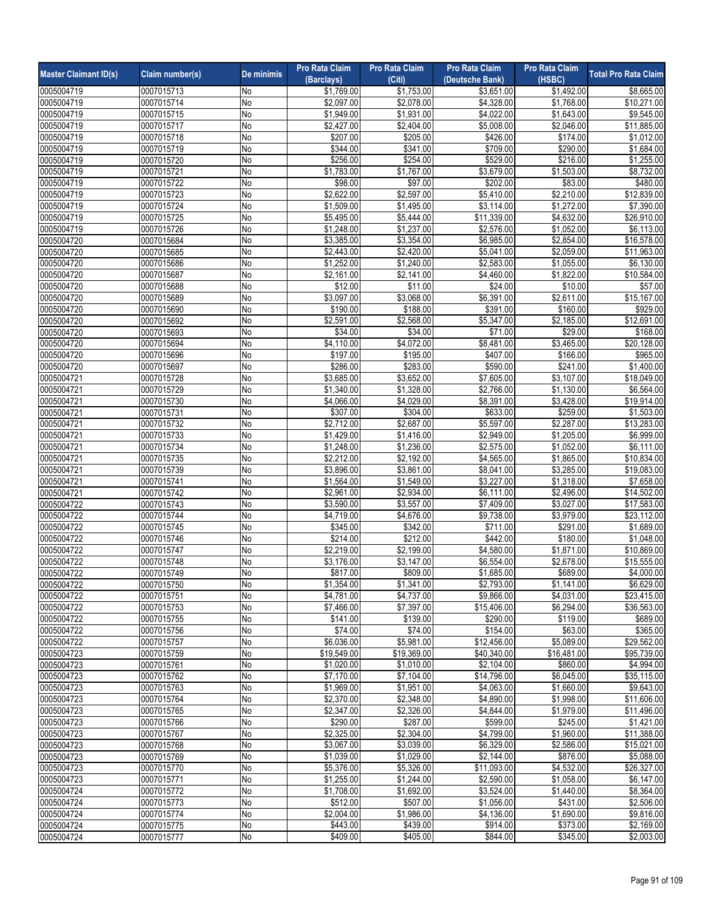| <b>Master Claimant ID(s)</b> | Claim number(s) | De minimis | <b>Pro Rata Claim</b> | <b>Pro Rata Claim</b> | Pro Rata Claim  | <b>Pro Rata Claim</b> | Total Pro Rata Claim |
|------------------------------|-----------------|------------|-----------------------|-----------------------|-----------------|-----------------------|----------------------|
|                              |                 |            | (Barclays)            | (Citi)                | (Deutsche Bank) | (HSBC)                |                      |
| 0005004719                   | 0007015713      | No         | \$1,769.00            | \$1,753.00            | \$3,651.00      | \$1,492.00            | \$8,665.00           |
| 0005004719                   | 0007015714      | No         | \$2,097.00            | \$2,078.00            | \$4,328.00      | \$1,768.00            | \$10,271.00          |
| 0005004719                   | 0007015715      | No         | \$1,949.00            | \$1,931.00            | \$4,022.00      | \$1,643.00            | \$9,545.00           |
| 0005004719                   | 0007015717      | No         | \$2,427.00            | \$2,404.00            | \$5,008.00      | \$2,046.00            | \$11,885.00          |
| 0005004719                   | 0007015718      | No         | \$207.00              | \$205.00              | \$426.00        | \$174.00              | \$1,012.00           |
| 0005004719                   | 0007015719      | No         | \$344.00              | \$341.00              | \$709.00        | \$290.00              | \$1,684.00           |
| 0005004719                   | 0007015720      | No         | \$256.00              | \$254.00              | \$529.00        | \$216.00              | \$1,255.00           |
| 0005004719                   | 0007015721      | No         | \$1,783.00            | \$1,767.00            | \$3,679.00      | \$1,503.00            | \$8,732.00           |
| 0005004719                   | 0007015722      | No         | \$98.00               | \$97.00               | \$202.00        | \$83.00               | \$480.00             |
| 0005004719                   | 0007015723      | No         | \$2,622.00            | \$2,597.00            | \$5,410.00      | \$2,210.00            | \$12,839.00          |
| 0005004719                   | 0007015724      | No         | \$1,509.00            | \$1,495.00            | \$3,114.00      | \$1,272.00            | \$7,390.00           |
| 0005004719                   |                 | No         | \$5,495.00            | \$5,444.00            | \$11,339.00     | \$4,632.00            | \$26,910.00          |
|                              | 0007015725      |            |                       |                       |                 |                       |                      |
| 0005004719                   | 0007015726      | No         | \$1,248.00            | \$1,237.00            | \$2,576.00      | \$1,052.00            | \$6,113.00           |
| 0005004720                   | 0007015684      | No         | \$3,385.00            | \$3,354.00            | \$6,985.00      | \$2,854.00            | \$16,578.00          |
| 0005004720                   | 0007015685      | No         | \$2,443.00            | \$2,420.00            | \$5,041.00      | \$2,059.00            | \$11,963.00          |
| 0005004720                   | 0007015686      | No         | \$1,252.00            | \$1,240.00            | \$2,583.00      | \$1,055.00            | \$6,130.00           |
| 0005004720                   | 0007015687      | No         | \$2,161.00            | \$2,141.00            | \$4,460.00      | \$1,822.00            | \$10,584.00          |
| 0005004720                   | 0007015688      | No         | \$12.00               | \$11.00               | \$24.00         | \$10.00               | \$57.00              |
| 0005004720                   | 0007015689      | No         | \$3,097.00            | \$3,068.00            | \$6,391.00      | \$2,611.00            | \$15,167.00          |
| 0005004720                   | 0007015690      | No         | \$190.00              | \$188.00              | \$391.00        | \$160.00              | \$929.00             |
| 0005004720                   | 0007015692      | No         | \$2,591.00            | \$2,568.00            | \$5,347.00      | \$2,185.00            | \$12,691.00          |
| 0005004720                   | 0007015693      | No         | \$34.00               | \$34.00               | \$71.00         | \$29.00               | \$168.00             |
| 0005004720                   | 0007015694      | No         | \$4,110.00            | \$4,072.00            | \$8,481.00      | \$3,465.00            | \$20,128.00          |
| 0005004720                   | 0007015696      | No         | \$197.00              | \$195.00              | \$407.00        | \$166.00              | \$965.00             |
| 0005004720                   | 0007015697      | No         | \$286.00              | \$283.00              | \$590.00        | \$241.00              | \$1,400.00           |
| 0005004721                   | 0007015728      | No         | \$3,685.00            | \$3,652.00            | \$7,605.00      | \$3,107.00            | \$18,049.00          |
| 0005004721                   |                 | No         | \$1,340.00            | \$1,328.00            |                 | \$1,130.00            | \$6,564.00           |
|                              | 0007015729      |            |                       |                       | \$2,766.00      |                       |                      |
| 0005004721                   | 0007015730      | No         | \$4,066.00            | \$4,029.00            | \$8,391.00      | \$3,428.00            | \$19,914.00          |
| 0005004721                   | 0007015731      | No         | \$307.00              | \$304.00              | \$633.00        | \$259.00              | \$1,503.00           |
| 0005004721                   | 0007015732      | No         | \$2,712.00            | \$2,687.00            | \$5,597.00      | \$2,287.00            | \$13,283.00          |
| 0005004721                   | 0007015733      | No         | \$1,429.00            | \$1,416.00            | \$2,949.00      | \$1,205.00            | \$6,999.00           |
| 0005004721                   | 0007015734      | No         | \$1,248.00            | \$1,236.00            | \$2,575.00      | \$1,052.00            | \$6,111.00           |
| 0005004721                   | 0007015735      | No         | \$2,212.00            | \$2,192.00            | \$4,565.00      | \$1,865.00            | \$10,834.00          |
| 0005004721                   | 0007015739      | No         | \$3,896.00            | \$3,861.00            | \$8,041.00      | \$3,285.00            | \$19,083.00          |
| 0005004721                   | 0007015741      | No         | \$1,564.00            | \$1,549.00            | \$3,227.00      | \$1,318.00            | \$7,658.00           |
| 0005004721                   | 0007015742      | No         | \$2,961.00            | \$2,934.00            | \$6,111.00      | \$2,496.00            | \$14,502.00          |
| 0005004722                   | 0007015743      | No         | \$3,590.00            | \$3,557.00            | \$7,409.00      | \$3,027.00            | \$17,583.00          |
| 0005004722                   | 0007015744      | No         | \$4,719.00            | \$4,676.00            | \$9,738.00      | \$3,979.00            | \$23,112.00          |
| 0005004722                   | 0007015745      | No         | \$345.00              | \$342.00              | \$711.00        | \$291.00              | \$1,689.00           |
| 0005004722                   | 0007015746      | No         | \$214.00              | \$212.00              | \$442.00        | \$180.00              | \$1,048.00           |
| 0005004722                   | 0007015747      | No         | \$2,219.00            | \$2,199.00            | \$4,580.00      | \$1,871.00            | \$10,869.00          |
| 0005004722                   | 0007015748      | No         | \$3.176.00            | \$3,147.00            | \$6,554.00      | \$2,678.00            | \$15,555.00          |
| 0005004722                   | 0007015749      | No         | \$817.00              | \$809.00              | \$1,685.00      | \$689.00              | \$4,000.00           |
|                              |                 |            |                       |                       |                 |                       |                      |
| 0005004722                   | 0007015750      | No         | \$1,354.00            | \$1,341.00            | \$2,793.00      | \$1,141.00            | \$6,629.00           |
| 0005004722                   | 0007015751      | No         | \$4,781.00            | \$4,737.00            | \$9.866.00      | \$4,031.00            | \$23,415.00          |
| 0005004722                   | 0007015753      | No         | \$7,466.00            | \$7,397.00            | \$15,406.00     | \$6,294.00            | \$36,563.00          |
| 0005004722                   | 0007015755      | No         | \$141.00              | \$139.00              | \$290.00        | \$119.00              | \$689.00             |
| 0005004722                   | 0007015756      | No         | \$74.00               | \$74.00               | \$154.00        | \$63.00               | \$365.00             |
| 0005004722                   | 0007015757      | No         | \$6,036.00            | \$5,981.00            | \$12,456.00     | \$5,089.00            | \$29,562.00          |
| 0005004723                   | 0007015759      | No         | \$19,549.00           | \$19,369.00           | \$40,340.00     | \$16.481.00           | \$95,739.00          |
| 0005004723                   | 0007015761      | No         | \$1.020.00            | \$1,010.00            | \$2,104.00      | \$860.00              | \$4,994.00           |
| 0005004723                   | 0007015762      | No         | \$7,170.00            | \$7,104.00            | \$14,796.00     | \$6,045.00            | \$35,115.00          |
| 0005004723                   | 0007015763      | No         | \$1,969.00            | \$1,951.00            | \$4,063.00      | \$1,660.00            | \$9,643.00           |
| 0005004723                   | 0007015764      | No         | \$2,370.00            | \$2,348.00            | \$4,890.00      | \$1,998.00            | \$11,606.00          |
| 0005004723                   | 0007015765      | No         | \$2,347.00            | \$2,326.00            | \$4,844.00      | \$1,979.00            | \$11,496.00          |
| 0005004723                   | 0007015766      | No         | \$290.00              | \$287.00              | \$599.00        | \$245.00              | \$1,421.00           |
| 0005004723                   | 0007015767      | No         | \$2,325.00            | \$2,304.00            | \$4,799.00      | \$1,960.00            | \$11,388.00          |
| 0005004723                   | 0007015768      | No         | \$3,067.00            | \$3,039.00            | \$6,329.00      | \$2,586.00            | \$15,021.00          |
| 0005004723                   | 0007015769      | No         | \$1,039.00            | \$1,029.00            | \$2,144.00      | \$876.00              | \$5,088.00           |
|                              |                 |            |                       |                       |                 |                       |                      |
| 0005004723                   | 0007015770      | No         | \$5,376.00            | \$5,326.00            | \$11,093.00     | \$4,532.00            | \$26,327.00          |
| 0005004723                   | 0007015771      | No         | \$1,255.00            | \$1,244.00            | \$2,590.00      | \$1,058.00            | \$6,147.00           |
| 0005004724                   | 0007015772      | No         | \$1,708.00            | \$1,692.00            | \$3,524.00      | \$1,440.00            | \$8,364.00           |
| 0005004724                   | 0007015773      | No         | \$512.00              | \$507.00              | \$1,056.00      | \$431.00              | \$2,506.00           |
| 0005004724                   | 0007015774      | No         | \$2,004.00            | \$1,986.00            | \$4,136.00      | \$1,690.00            | \$9,816.00           |
| 0005004724                   | 0007015775      | No         | \$443.00              | \$439.00              | \$914.00        | \$373.00              | \$2,169.00           |
| 0005004724                   | 0007015777      | No         | \$409.00              | \$405.00              | \$844.00        | \$345.00              | \$2,003.00           |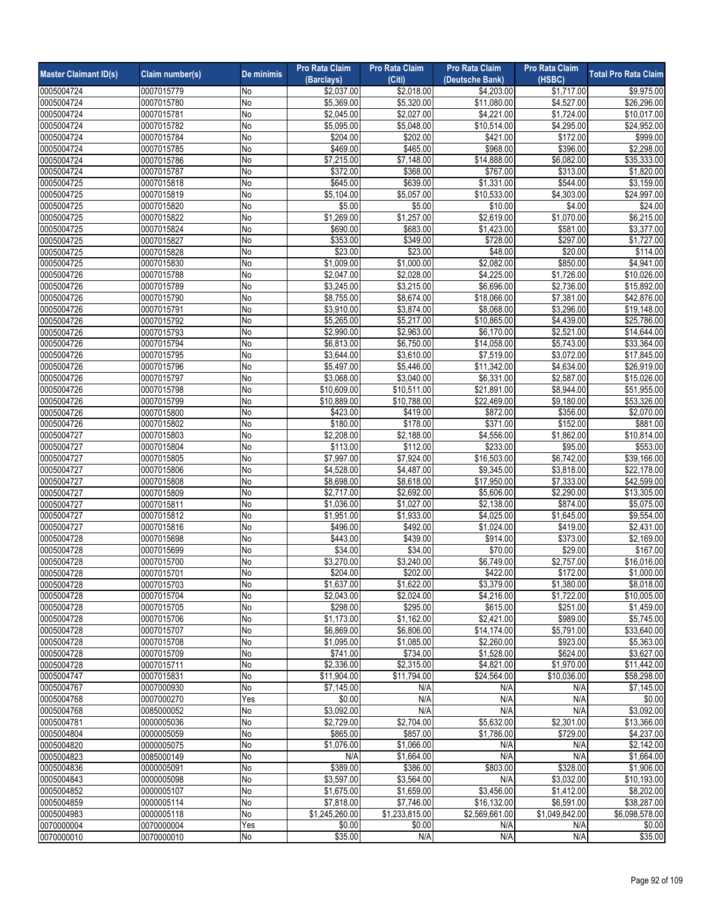| <b>Master Claimant ID(s)</b> | Claim number(s) | De minimis | <b>Pro Rata Claim</b> | <b>Pro Rata Claim</b> | Pro Rata Claim         | <b>Pro Rata Claim</b> | Total Pro Rata Claim |
|------------------------------|-----------------|------------|-----------------------|-----------------------|------------------------|-----------------------|----------------------|
|                              |                 |            | (Barclays)            | (Citi)                | (Deutsche Bank)        | (HSBC)                |                      |
| 0005004724                   | 0007015779      | No         | \$2,037.00            | \$2,018.00            | \$4,203.00             | \$1,717.00            | \$9,975.00           |
| 0005004724                   | 0007015780      | No         | \$5,369.00            | \$5,320.00            | \$11,080.00            | \$4,527.00            | \$26,296.00          |
| 0005004724                   | 0007015781      | No         | \$2,045.00            | \$2,027.00            | \$4,221.00             | \$1,724.00            | \$10,017.00          |
| 0005004724                   | 0007015782      | No         | \$5,095.00            | \$5,048.00            | \$10,514.00            | \$4,295.00            | \$24,952.00          |
| 0005004724                   | 0007015784      | No         | \$204.00              | \$202.00              | \$421.00               | \$172.00              | \$999.00             |
| 0005004724                   | 0007015785      | No         | \$469.00              | \$465.00              | \$968.00               | \$396.00              | \$2,298.00           |
| 0005004724                   | 0007015786      | No         | \$7,215.00            | \$7,148.00            | \$14,888.00            | \$6,082.00            | \$35,333.00          |
| 0005004724                   | 0007015787      | No         | \$372.00              | \$368.00              | \$767.00               | \$313.00              | \$1,820.00           |
| 0005004725                   | 0007015818      | No         | \$645.00              | \$639.00              | \$1,331.00             | \$544.00              | \$3,159.00           |
| 0005004725                   | 0007015819      | No         | \$5,104.00            | \$5,057.00            | \$10,533.00            | \$4,303.00            | \$24,997.00          |
| 0005004725                   | 0007015820      | No         | \$5.00                | \$5.00                | \$10.00                | \$4.00                | \$24.00              |
| 0005004725                   | 0007015822      | No         | \$1,269.00            | \$1,257.00            | \$2,619.00             | \$1,070.00            | \$6,215.00           |
| 0005004725                   | 0007015824      | No         | \$690.00              | \$683.00              | \$1,423.00             | \$581.00              | \$3,377.00           |
| 0005004725                   | 0007015827      | No         | \$353.00              | \$349.00              | \$728.00               | \$297.00              | \$1,727.00           |
| 0005004725                   | 0007015828      | No         | \$23.00               | \$23.00               | \$48.00                | \$20.00               | \$114.00             |
| 0005004725                   | 0007015830      | No         | \$1,009.00            | \$1,000.00            | $\overline{$2,082.00}$ | \$850.00              | \$4,941.00           |
| 0005004726                   | 0007015788      | No         | \$2,047.00            | \$2,028.00            | \$4,225.00             | \$1,726.00            | \$10,026.00          |
| 0005004726                   | 0007015789      | No         | \$3,245.00            | \$3,215.00            | \$6,696.00             | \$2,736.00            | \$15,892.00          |
| 0005004726                   | 0007015790      | No         | \$8,755.00            | \$8,674.00            | \$18,066.00            | \$7,381.00            | \$42,876.00          |
| 0005004726                   | 0007015791      | No         | \$3,910.00            | \$3,874.00            | \$8.068.00             | \$3,296.00            | \$19,148.00          |
| 0005004726                   | 0007015792      | No         | \$5,265.00            | \$5,217.00            | \$10,865.00            | \$4,439.00            | \$25,786.00          |
| 0005004726                   | 0007015793      | No         | \$2,990.00            | \$2,963.00            | \$6,170.00             | \$2,521.00            | \$14,644.00          |
| 0005004726                   | 0007015794      | No         | \$6.813.00            | \$6,750.00            | \$14,058.00            | \$5,743.00            | \$33,364.00          |
| 0005004726                   | 0007015795      | No         | \$3,644.00            | \$3,610.00            | \$7,519.00             | \$3,072.00            | \$17,845.00          |
| 0005004726                   | 0007015796      | No         | \$5,497.00            | \$5,446.00            | \$11,342.00            | \$4,634.00            | \$26,919.00          |
| 0005004726                   | 0007015797      | No         | \$3,068.00            | \$3,040.00            | \$6,331.00             | \$2,587.00            | \$15,026.00          |
| 0005004726                   | 0007015798      | No         | \$10,609.00           | \$10,511.00           | \$21,891.00            | \$8,944.00            | \$51,955.00          |
| 0005004726                   | 0007015799      | No         | \$10,889.00           | \$10,788.00           | \$22,469.00            | \$9,180.00            | \$53,326.00          |
| 0005004726                   | 0007015800      | No         | \$423.00              | \$419.00              | \$872.00               | \$356.00              | \$2,070.00           |
| 0005004726                   | 0007015802      | No         | \$180.00              | \$178.00              | \$371.00               | \$152.00              | \$881.00             |
| 0005004727                   | 0007015803      | No         | \$2,208.00            | \$2,188.00            | \$4,556.00             | \$1,862.00            | \$10,814.00          |
| 0005004727                   | 0007015804      | No         | \$113.00              | \$112.00              | \$233.00               | \$95.00               | \$553.00             |
| 0005004727                   | 0007015805      | No         | \$7,997.00            | \$7,924.00            | \$16,503.00            | \$6,742.00            | \$39,166.00          |
| 0005004727                   | 0007015806      | No         | \$4,528.00            | \$4,487.00            | \$9,345.00             | \$3,818.00            | \$22,178.00          |
| 0005004727                   | 0007015808      | No         | \$8,698.00            | \$8,618.00            | \$17,950.00            | \$7,333.00            | \$42,599.00          |
| 0005004727                   | 0007015809      | No         | \$2,717.00            | \$2,692.00            | \$5,606.00             | \$2,290.00            | \$13,305.00          |
| 0005004727                   | 0007015811      | No         | \$1,036.00            | \$1,027.00            | \$2,138.00             | \$874.00              | \$5,075.00           |
| 0005004727                   | 0007015812      | No         | \$1,951.00            | \$1,933.00            | \$4,025.00             | \$1,645.00            | \$9,554.00           |
| 0005004727                   | 0007015816      | No         | \$496.00              | \$492.00              | \$1,024.00             | \$419.00              | \$2,431.00           |
| 0005004728                   | 0007015698      | No         | \$443.00              | \$439.00              | \$914.00               | \$373.00              | \$2,169.00           |
| 0005004728                   | 0007015699      | No         | \$34.00               | \$34.00               | \$70.00                | \$29.00               | \$167.00             |
| 0005004728                   | 0007015700      | No         | \$3.270.00            | \$3,240.00            | \$6,749.00             | \$2,757.00            | \$16,016.00          |
| 0005004728                   | 0007015701      | No         | \$204.00              | \$202.00              | \$422.00               | \$172.00              | \$1,000.00           |
| 0005004728                   | 0007015703      | No         | \$1,637.00            | \$1,622.00            | \$3,379.00             | \$1,380.00            | \$8,018.00           |
| 0005004728                   | 0007015704      | No         | \$2,043.00            | \$2,024.00            | \$4,216.00             | \$1,722.00            | \$10,005.00          |
| 0005004728                   | 0007015705      | No         | \$298.00              | \$295.00              | \$615.00               | \$251.00              | \$1,459.00           |
| 0005004728                   | 0007015706      | No         | \$1,173.00            | \$1,162.00            | \$2,421.00             | \$989.00              | \$5,745.00           |
| 0005004728                   | 0007015707      | No         | \$6,869.00            | \$6,806.00            | \$14,174.00            | \$5,791.00            | \$33,640.00          |
| 0005004728                   | 0007015708      | No         | \$1.095.00            | \$1,085.00            | \$2,260.00             | \$923.00              | \$5.363.00           |
| 0005004728                   | 0007015709      | No         | \$741.00              | \$734.00              | \$1,528.00             | \$624.00              | \$3,627.00           |
| 0005004728                   | 0007015711      | No         | \$2,336.00            | \$2,315.00            | \$4,821.00             | \$1,970.00            | \$11,442.00          |
| 0005004747                   | 0007015831      | No         | \$11,904.00           | \$11,794.00           | \$24,564.00            | \$10,036.00           | \$58,298.00          |
| 0005004767                   | 0007000930      | No         | \$7,145.00            | N/A                   | N/A                    | N/A                   | \$7,145.00           |
| 0005004768                   | 0007000270      | Yes        | \$0.00                | N/A                   | N/A                    | N/A                   | \$0.00               |
| 0005004768                   | 0085000052      | No         | \$3,092.00            | N/A                   | N/A                    | N/A                   | \$3,092.00           |
| 0005004781                   | 0000005036      | No         | \$2,729.00            | \$2,704.00            | \$5,632.00             | \$2.301.00            | \$13,366.00          |
| 0005004804                   | 0000005059      | No         | \$865.00              | \$857.00              | \$1,786.00             | \$729.00              | \$4,237.00           |
| 0005004820                   | 0000005075      | No         | \$1,076.00            | \$1,066.00            | N/A                    | N/A                   | \$2,142.00           |
| 0005004823                   | 0085000149      | No         | N/A                   | \$1,664.00            | N/A                    | N/A                   | \$1,664.00           |
| 0005004836                   | 0000005091      | No         | \$389.00              | \$386.00              | \$803.00               | \$328.00              | \$1,906.00           |
| 0005004843                   | 0000005098      | No         | \$3,597.00            | \$3,564.00            | N/A                    | \$3,032.00            | \$10,193.00          |
| 0005004852                   | 0000005107      | No         | \$1,675.00            | \$1,659.00            | \$3,456.00             | \$1,412.00            | \$8,202.00           |
| 0005004859                   | 0000005114      | No         | \$7,818.00            | \$7,746.00            | \$16,132.00            | \$6,591.00            | \$38,287.00          |
| 0005004983                   | 0000005118      | No         | \$1,245,260.00        | \$1,233,815.00        | \$2,569,661.00         | \$1,049,842.00        | \$6,098,578.00       |
| 0070000004                   | 0070000004      | Yes        | \$0.00                | \$0.00                | N/A                    | N/A                   | \$0.00               |
| 0070000010                   | 0070000010      | No         | \$35.00               | N/A                   | N/A                    | N/A                   | \$35.00              |
|                              |                 |            |                       |                       |                        |                       |                      |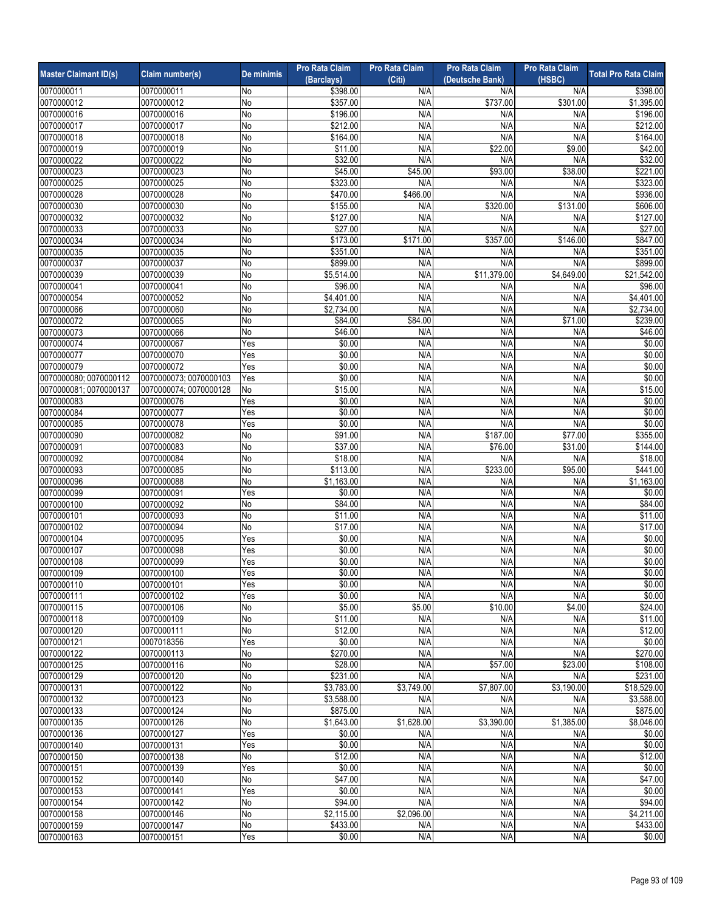| <b>Master Claimant ID(s)</b> | Claim number(s)        | De minimis | Pro Rata Claim<br>(Barclays) | Pro Rata Claim<br>(Citi) | Pro Rata Claim<br>(Deutsche Bank) | <b>Pro Rata Claim</b><br>(HSBC) | <b>Total Pro Rata Claim</b> |
|------------------------------|------------------------|------------|------------------------------|--------------------------|-----------------------------------|---------------------------------|-----------------------------|
| 0070000011                   | 0070000011             | No         | \$398.00                     | N/A                      | N/AI                              | N/A                             | \$398.00                    |
| 0070000012                   | 0070000012             | No         | \$357.00                     | N/A                      | \$737.00                          | \$301.00                        | \$1,395.00                  |
| 0070000016                   | 0070000016             | No         | \$196.00                     | N/A                      | N/A                               | N/A                             | \$196.00                    |
| 0070000017                   | 0070000017             | No         | \$212.00                     | N/A                      | N/A                               | N/A                             | \$212.00                    |
| 0070000018                   | 0070000018             | No         | \$164.00                     | N/A                      | N/A                               | N/A                             | \$164.00                    |
| 0070000019                   | 0070000019             | No         | \$11.00                      | N/A                      | \$22.00                           | \$9.00                          | \$42.00                     |
| 0070000022                   | 0070000022             | No         | \$32.00                      | N/A                      | N/A                               | N/A                             | \$32.00                     |
| 0070000023                   | 0070000023             | No         | \$45.00                      | \$45.00                  | \$93.00                           | \$38.00                         | \$221.00                    |
| 0070000025                   | 0070000025             | No         | \$323.00                     | N/A                      | N/A                               | N/A                             | \$323.00                    |
| 0070000028                   | 0070000028             | No         | \$470.00                     | \$466.00                 | N/A                               | N/A                             | \$936.00                    |
| 0070000030                   | 0070000030             | No         | \$155.00                     | N/A                      | \$320.00                          | \$131.00                        | \$606.00                    |
| 0070000032                   | 0070000032             | No         | \$127.00                     | N/A                      | N/A                               | N/A                             | \$127.00                    |
| 0070000033                   | 0070000033             | No         | \$27.00                      | N/A                      | N/A                               | N/A                             | \$27.00                     |
| 0070000034                   | 0070000034             | No         | \$173.00                     | \$171.00                 | \$357.00                          | \$146.00                        | \$847.00                    |
| 0070000035                   | 0070000035             | No         | \$351.00                     | N/A                      | N/A                               | N/A                             | \$351.00                    |
| 0070000037                   | 0070000037             | No         | \$899.00                     | N/A                      | N/A                               | N/A                             | \$899.00                    |
| 0070000039                   | 0070000039             | No         | \$5,514.00                   | N/A                      | \$11,379.00                       | \$4,649.00                      | \$21,542.00                 |
| 0070000041                   | 0070000041             | No         | \$96.00                      | N/A                      | N/A                               | N/A                             | \$96.00                     |
| 0070000054                   | 0070000052             | No         | \$4,401.00                   | N/A                      | N/A                               | N/A                             | \$4,401.00                  |
| 0070000066                   | 0070000060             | No         | \$2,734.00                   | N/A                      | N/A                               | N/A                             | \$2,734.00                  |
| 0070000072                   | 0070000065             | No         | \$84.00                      | \$84.00                  | N/A                               | \$71.00                         | \$239.00                    |
| 0070000073                   | 0070000066             | No         | \$46.00                      | N/A                      | N/A                               | N/A                             | \$46.00                     |
| 0070000074                   | 0070000067             | Yes        | \$0.00                       | N/A                      | N/A                               | N/A                             | \$0.00                      |
| 0070000077                   | 0070000070             | Yes        | \$0.00                       | N/A                      | N/A                               | N/A                             | \$0.00                      |
| 0070000079                   | 0070000072             | Yes        | \$0.00                       | N/A                      | N/A                               | N/A                             | \$0.00                      |
| 0070000080; 0070000112       | 0070000073; 0070000103 | Yes        | \$0.00                       | N/A                      | N/A                               | N/A                             | \$0.00                      |
| 0070000081; 0070000137       | 0070000074; 0070000128 | No         | \$15.00                      | N/A                      | N/A                               | N/A                             | \$15.00                     |
| 0070000083                   | 0070000076             | Yes        | \$0.00                       | N/A                      | N/A                               | N/A                             | \$0.00                      |
| 0070000084                   | 0070000077             | Yes        | \$0.00                       | N/A                      | N/A                               | N/A                             | \$0.00                      |
| 0070000085                   | 0070000078             | Yes        | \$0.00                       | N/A                      | N/A                               | N/A                             | \$0.00                      |
| 0070000090                   | 0070000082             | No         | \$91.00                      | N/A                      | \$187.00                          | \$77.00                         | \$355.00                    |
| 0070000091                   | 0070000083             | No         | \$37.00                      | N/A                      | \$76.00                           | \$31.00                         | \$144.00                    |
| 0070000092                   | 0070000084             | No         | \$18.00                      | N/A                      | N/A                               | N/A                             | \$18.00                     |
| 0070000093                   | 0070000085             | No         | \$113.00                     | N/A                      | \$233.00                          | \$95.00                         | \$441.00                    |
| 0070000096                   | 0070000088             | No         | \$1,163.00                   | N/A                      | N/A                               | N/A                             | \$1,163.00                  |
| 0070000099                   | 0070000091             | Yes        | \$0.00                       | N/A                      | N/A                               | N/A                             | \$0.00                      |
| 0070000100                   | 0070000092             | No         | \$84.00                      | N/A                      | N/A                               | N/A                             | \$84.00                     |
| 0070000101                   | 0070000093             | No         | \$11.00                      | N/A                      | N/A                               | N/A                             | \$11.00                     |
| 0070000102                   | 0070000094             | No         | \$17.00                      | N/A                      | N/A                               | N/A                             | \$17.00                     |
| 0070000104                   | 0070000095             | Yes        | \$0.00                       | N/A                      | N/A                               | N/A                             | \$0.00                      |
| 0070000107                   | 0070000098             | Yes        | \$0.00                       | N/A                      | N/A                               | N/A                             | \$0.00                      |
| 0070000108                   | 0070000099             | Yes        | \$0.00                       | N/A                      | N/A                               | N/A                             | \$0.00                      |
| 0070000109                   | 0070000100             | Yes        | \$0.00                       | N/A                      | N/A                               | N/A                             | \$0.00                      |
| 0070000110                   | 0070000101             | Yes        | \$0.00                       | N/A                      | N/A                               | N/A                             | \$0.00                      |
| 0070000111                   | 0070000102             | Yes        | \$0.00                       | N/A                      | N/A                               | N/A                             | \$0.00                      |
| 0070000115                   | 0070000106             | No         | \$5.00                       | \$5.00                   | \$10.00                           | \$4.00                          | \$24.00                     |
| 0070000118                   | 0070000109             | No         | \$11.00                      | N/A                      | N/A                               | N/A                             | \$11.00                     |
| 0070000120                   | 0070000111             | No         | \$12.00                      | N/A                      | N/A                               | N/A                             | \$12.00                     |
| 0070000121                   | 0007018356             | Yes        | \$0.00                       | N/A                      | N/A                               | N/A                             | \$0.00                      |
| 0070000122                   | 0070000113             | No         | \$270.00                     | N/A                      | N/A                               | N/A                             | \$270.00                    |
| 0070000125                   | 0070000116             | No         | \$28.00                      | N/A                      | \$57.00                           | \$23.00                         | \$108.00                    |
| 0070000129                   | 0070000120             | No         | \$231.00                     | N/A                      | N/A                               | N/A                             | \$231.00                    |
| 0070000131                   | 0070000122             | No         | \$3,783.00                   | \$3.749.00               | \$7,807.00                        | \$3,190.00                      | \$18,529.00                 |
| 0070000132                   | 0070000123             | No         | \$3,588.00                   | N/A                      | N/A                               | N/A                             | \$3,588.00                  |
| 0070000133                   | 0070000124             | No         | \$875.00                     | N/A                      | N/A                               | N/A                             | \$875.00                    |
| 0070000135                   | 0070000126             | No         | \$1,643.00                   | \$1,628.00               | \$3,390.00                        | \$1,385.00                      | \$8,046.00                  |
| 0070000136                   | 0070000127             | Yes        | \$0.00                       | N/A                      | N/A                               | N/A                             | \$0.00                      |
| 0070000140                   | 0070000131             | Yes        | \$0.00                       | N/A                      | N/A                               | N/A                             | \$0.00                      |
| 0070000150                   | 0070000138             | No         | \$12.00                      | N/A                      | N/A                               | N/A                             | \$12.00                     |
| 0070000151                   | 0070000139             | Yes        | \$0.00                       | N/A                      | N/A                               | N/A                             | \$0.00                      |
| 0070000152                   | 0070000140             | No         | \$47.00                      | N/A                      | N/A                               | N/A                             | \$47.00                     |
| 0070000153                   | 0070000141             | Yes        | \$0.00                       | N/A                      | N/A                               | N/A                             | \$0.00                      |
| 0070000154                   | 0070000142             | No         | \$94.00                      | N/A                      | N/A                               | N/A                             | \$94.00                     |
| 0070000158                   | 0070000146             | No         | \$2,115.00                   | \$2,096.00               | N/A                               | N/A                             | \$4,211.00                  |
| 0070000159                   | 0070000147             | No         | \$433.00                     | N/A                      | N/A                               | N/A                             | \$433.00                    |
| 0070000163                   | 0070000151             | Yes        | \$0.00                       | N/A                      | N/A                               | N/A                             | \$0.00                      |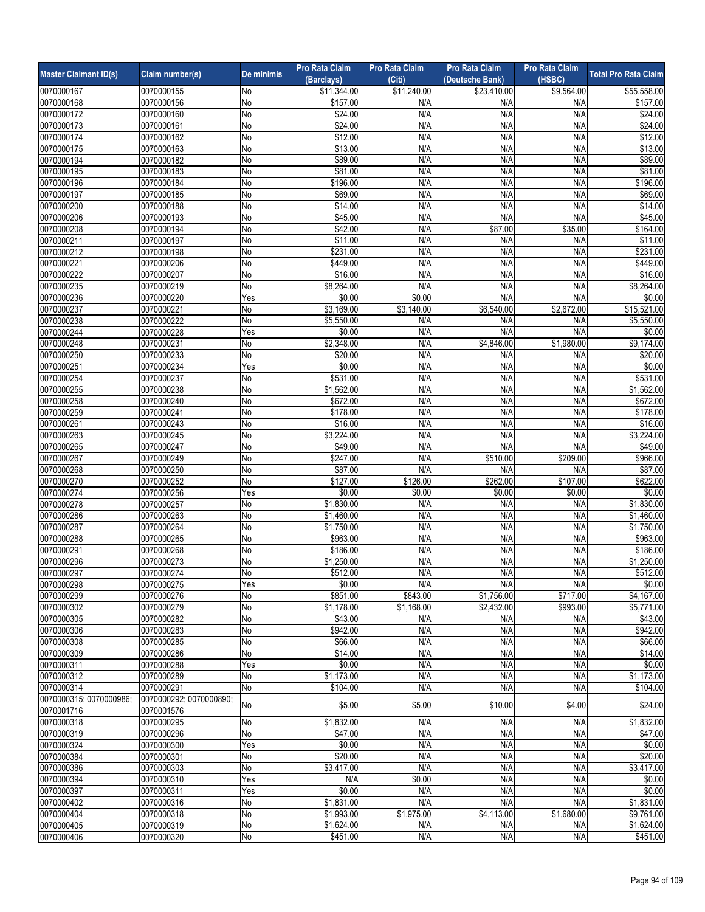| <b>Master Claimant ID(s)</b> | Claim number(s)         | De minimis | Pro Rata Claim<br>(Barclays) | <b>Pro Rata Claim</b><br>(Citi) | <b>Pro Rata Claim</b><br>(Deutsche Bank) | <b>Pro Rata Claim</b><br>(HSBC) | <b>Total Pro Rata Claim</b> |
|------------------------------|-------------------------|------------|------------------------------|---------------------------------|------------------------------------------|---------------------------------|-----------------------------|
| 0070000167                   | 0070000155              | No         | \$11,344.00                  | \$11,240.00                     | \$23,410.00                              | \$9,564.00                      | \$55,558.00                 |
| 0070000168                   | 0070000156              | No         | \$157.00                     | N/A                             | N/A                                      | N/A                             | \$157.00                    |
| 0070000172                   | 0070000160              | No         | \$24.00                      | N/A                             | N/A                                      | N/A                             | \$24.00                     |
| 0070000173                   | 0070000161              | No         | \$24.00                      | N/A                             | N/A                                      | N/A                             | \$24.00                     |
| 0070000174                   | 0070000162              | No         | \$12.00                      | N/A                             | N/A                                      | N/A                             | \$12.00                     |
| 0070000175                   | 0070000163              | No         | \$13.00                      | N/A                             | N/A                                      | N/A                             | \$13.00                     |
| 0070000194                   | 0070000182              | No         | \$89.00                      | N/A                             | N/A                                      | N/A                             | \$89.00                     |
| 0070000195                   | 0070000183              | No         | \$81.00                      | N/A                             | N/A                                      | N/A                             | \$81.00                     |
| 0070000196                   | 0070000184              | No         | \$196.00                     | N/A                             | N/A                                      | N/A                             | \$196.00                    |
| 0070000197                   | 0070000185              | No         | \$69.00                      | N/A                             | N/A                                      | N/A                             | \$69.00                     |
| 0070000200                   | 0070000188              | No         | \$14.00                      | N/A                             | N/A                                      | N/A                             | \$14.00                     |
| 0070000206                   | 0070000193              | No         | \$45.00                      | N/A                             | N/A                                      | N/A                             | \$45.00                     |
| 0070000208                   | 0070000194              | No         | \$42.00                      | N/A                             | \$87.00                                  | \$35.00                         | \$164.00                    |
| 0070000211                   | 0070000197              | No         | \$11.00                      | N/A                             | N/A                                      | N/A                             | \$11.00                     |
| 0070000212                   | 0070000198              | No         | \$231.00                     | N/A                             | N/A                                      | N/A                             | \$231.00                    |
| 0070000221                   | 0070000206              | No         | \$449.00                     | N/A                             | N/A                                      | N/A                             | \$449.00                    |
| 0070000222                   | 0070000207              | No         | \$16.00                      | N/A                             | N/A                                      | N/A                             | \$16.00                     |
| 0070000235                   | 0070000219              | No         | \$8,264.00                   | N/A                             | N/A                                      | N/A                             | \$8,264.00                  |
| 0070000236                   | 0070000220              | Yes        | \$0.00                       | \$0.00                          | N/A                                      | N/A                             | \$0.00                      |
| 0070000237                   | 0070000221              | No         | \$3,169.00                   | \$3,140.00                      | \$6,540.00                               | \$2,672.00                      | \$15,521.00                 |
| 0070000238                   | 0070000222              | No         | \$5,550.00                   | N/A                             | N/A                                      | N/A                             | \$5,550.00                  |
| 0070000244                   | 0070000228              | Yes        | \$0.00                       | N/A                             | N/A                                      | N/A                             | \$0.00                      |
| 0070000248                   | 0070000231              | No         | \$2,348.00                   | N/A                             | \$4,846.00                               | \$1,980.00                      | \$9,174.00                  |
| 0070000250                   | 0070000233              | No         | \$20.00                      | N/A                             | N/A                                      | N/A                             | \$20.00                     |
| 0070000251                   | 0070000234              | Yes        | \$0.00                       | N/A                             | N/A                                      | N/A                             | \$0.00                      |
| 0070000254                   | 0070000237              | No         | \$531.00                     | N/A                             | N/A                                      | N/A                             | \$531.00                    |
| 0070000255                   | 0070000238              | No         | \$1,562.00                   | N/A                             | N/A                                      | N/A                             | \$1,562.00                  |
| 0070000258                   | 0070000240              | No         | \$672.00                     | N/A                             | N/A                                      | N/A                             | \$672.00                    |
| 0070000259                   | 0070000241              | No         | \$178.00                     | N/A                             | N/A                                      | N/A                             | \$178.00                    |
| 0070000261                   | 0070000243              | No         | \$16.00                      | N/A                             | N/A                                      | N/A                             | \$16.00                     |
| 0070000263                   | 0070000245              | No         | \$3,224.00                   | N/A                             | N/A                                      | N/A                             | \$3,224.00                  |
| 0070000265                   | 0070000247              | No         | \$49.00                      | N/A                             | N/A                                      | N/A                             | \$49.00                     |
| 0070000267                   | 0070000249              | No         | \$247.00                     | N/A                             | \$510.00                                 | \$209.00                        | \$966.00                    |
| 0070000268                   | 0070000250              | No         | \$87.00                      | N/A                             | N/A                                      | N/A                             | \$87.00                     |
| 0070000270                   | 0070000252              | No         | \$127.00                     | \$126.00                        | \$262.00                                 | \$107.00                        | \$622.00                    |
| 0070000274                   | 0070000256              | Yes        | \$0.00                       | \$0.00                          | \$0.00                                   | \$0.00                          | \$0.00                      |
| 0070000278                   | 0070000257              | No         | \$1,830.00                   | N/A                             | N/A                                      | N/A                             | \$1,830.00                  |
| 0070000286                   | 0070000263              | No         | \$1,460.00                   | N/A                             | N/A                                      | N/A                             | \$1,460.00                  |
| 0070000287                   | 0070000264              | No         | \$1,750.00                   | N/A                             | N/A                                      | N/A                             | \$1,750.00                  |
| 0070000288                   | 0070000265              | No         | \$963.00                     | N/A                             | N/A                                      | N/A                             | \$963.00                    |
| 0070000291                   | 0070000268              | No         | \$186.00                     | N/A                             | N/A                                      | N/A                             | \$186.00                    |
| 0070000296                   | 0070000273              | No         | \$1,250.00                   | N/A                             | N/A                                      | N/A                             | \$1,250.00                  |
| 0070000297                   | 0070000274              | No         | \$512.00                     | N/A                             | N/A                                      | N/A                             | \$512.00                    |
| 0070000298                   | 0070000275              | Yes        | \$0.00                       | N/A                             | N/A                                      | N/A                             | \$0.00                      |
| 0070000299                   | 0070000276              | No         | \$851.00                     | \$843.00                        | \$1,756.00                               | \$717.00                        | \$4,167.00                  |
| 0070000302                   | 0070000279              | No         | \$1,178.00                   | \$1,168.00                      | \$2,432.00                               | \$993.00                        | \$5,771.00                  |
| 0070000305                   | 0070000282              | No         | \$43.00                      | N/A                             | N/A                                      | N/A                             | \$43.00                     |
| 0070000306                   | 0070000283              | No         | \$942.00                     | N/A                             | N/A                                      | N/A                             | \$942.00                    |
| 0070000308                   | 0070000285              | No         | \$66.00                      | N/A                             | N/A                                      | N/A                             | \$66.00                     |
| 0070000309                   | 0070000286              | No         | \$14.00                      | N/A                             | N/A                                      | N/A                             | \$14.00                     |
| 0070000311                   | 0070000288              | Yes        | \$0.00                       | N/A                             | N/A                                      | N/A                             | \$0.00                      |
| 0070000312                   | 0070000289              | No         | \$1,173.00                   | N/A                             | N/A                                      | N/A                             | \$1,173.00                  |
| 0070000314                   | 0070000291              | No         | \$104.00                     | N/A                             | N/A                                      | N/A                             | \$104.00                    |
| 0070000315; 0070000986;      | 0070000292; 0070000890; |            |                              |                                 |                                          |                                 |                             |
| 0070001716                   | 0070001576              | No         | \$5.00                       | \$5.00                          | \$10.00                                  | \$4.00                          | \$24.00                     |
| 0070000318                   | 0070000295              | No         | \$1,832.00                   | N/A                             | N/A                                      | N/A                             | \$1,832.00                  |
| 0070000319                   | 0070000296              | No         | \$47.00                      | N/A                             | N/A                                      | N/A                             | \$47.00                     |
| 0070000324                   | 0070000300              | Yes        | \$0.00                       | N/A                             | N/A                                      | N/A                             | \$0.00                      |
| 0070000384                   | 0070000301              | No         | \$20.00                      | N/A                             | N/A                                      | N/A                             | \$20.00                     |
| 0070000386                   | 0070000303              | No         | \$3,417.00                   | N/A                             | N/A                                      | N/A                             | \$3,417.00                  |
| 0070000394                   | 0070000310              | Yes        | N/A                          | \$0.00                          | N/A                                      | N/A                             | \$0.00                      |
| 0070000397                   | 0070000311              | Yes        | \$0.00                       | N/A                             | N/A                                      | N/A                             | \$0.00                      |
| 0070000402                   | 0070000316              | No         | \$1,831.00                   | N/A                             | N/A                                      | N/A                             | \$1,831.00                  |
| 0070000404                   | 0070000318              | No         | \$1,993.00                   | \$1,975.00                      | \$4,113.00                               | \$1,680.00                      | \$9,761.00                  |
| 0070000405                   | 0070000319              | No         | \$1,624.00                   | N/A                             | N/A                                      | N/A                             | \$1,624.00                  |
| 0070000406                   | 0070000320              | No         | \$451.00                     | N/A                             | N/A                                      | N/A                             | \$451.00                    |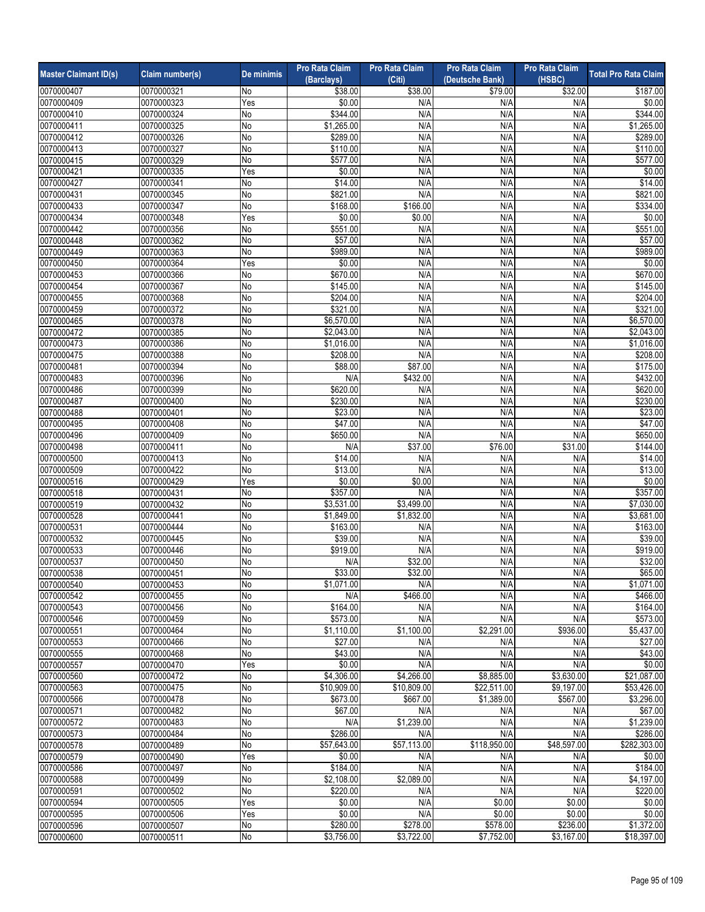| <b>Master Claimant ID(s)</b> | Claim number(s) | De minimis | <b>Pro Rata Claim</b><br>(Barclays) | <b>Pro Rata Claim</b><br>(Citi) | <b>Pro Rata Claim</b><br>(Deutsche Bank) | <b>Pro Rata Claim</b><br>(HSBC) | <b>Total Pro Rata Claim</b> |
|------------------------------|-----------------|------------|-------------------------------------|---------------------------------|------------------------------------------|---------------------------------|-----------------------------|
| 0070000407                   | 0070000321      | No         | \$38.00                             | \$38.00                         | \$79.00                                  | \$32.00                         | \$187.00                    |
| 0070000409                   | 0070000323      | Yes        | \$0.00                              | N/A                             | N/A                                      | N/A                             | \$0.00                      |
| 0070000410                   | 0070000324      | No         | \$344.00                            | N/A                             | N/A                                      | N/A                             | \$344.00                    |
| 0070000411                   | 0070000325      | No         | \$1,265.00                          | N/A                             | N/A                                      | N/A                             | \$1,265.00                  |
| 0070000412                   | 0070000326      | No         | \$289.00                            | N/A                             | N/A                                      | N/A                             | \$289.00                    |
| 0070000413                   | 0070000327      | No         | \$110.00                            | N/A                             | N/A                                      | N/A                             | \$110.00                    |
| 0070000415                   | 0070000329      | No         | \$577.00                            | N/A                             | N/A                                      | N/A                             | \$577.00                    |
| 0070000421                   | 0070000335      | Yes        | \$0.00                              | N/A                             | N/A                                      | N/A                             | \$0.00                      |
| 0070000427                   | 0070000341      | No         | \$14.00                             | N/A                             | N/A                                      | N/A                             | \$14.00                     |
| 0070000431                   | 0070000345      | No         | \$821.00                            | N/A                             | N/A                                      | N/A                             | \$821.00                    |
| 0070000433                   | 0070000347      | No         | \$168.00                            | \$166.00                        | N/A                                      | N/A                             | \$334.00                    |
| 0070000434                   | 0070000348      | Yes        | \$0.00                              | \$0.00                          | N/A                                      | N/A                             | \$0.00                      |
| 0070000442                   | 0070000356      | No         | \$551.00                            | N/A                             | N/A                                      | N/A                             | \$551.00                    |
| 0070000448                   | 0070000362      | No         | \$57.00                             | N/A                             | N/A                                      | N/A                             | \$57.00                     |
| 0070000449                   | 0070000363      | No         | \$989.00                            | N/A                             | N/A                                      | N/A                             | \$989.00                    |
| 0070000450                   | 0070000364      | Yes        | \$0.00                              | N/A                             | N/A                                      | N/A                             | \$0.00                      |
| 0070000453                   | 0070000366      | No         | \$670.00                            | N/A                             | N/A                                      | N/A                             | \$670.00                    |
| 0070000454                   | 0070000367      | No         | \$145.00                            | N/A                             | N/A                                      | N/A                             | \$145.00                    |
| 0070000455                   | 0070000368      | No         | \$204.00                            | N/A                             | N/A                                      | N/A                             | \$204.00                    |
| 0070000459                   | 0070000372      | No         | \$321.00                            | N/A                             | N/A                                      | N/A                             | \$321.00                    |
| 0070000465                   | 0070000378      | No         | \$6,570.00                          | N/A                             | N/A                                      | N/A                             | \$6,570.00                  |
| 0070000472                   | 0070000385      | No         | \$2,043.00                          | N/A                             | N/A                                      | N/A                             | \$2,043.00                  |
| 0070000473                   | 0070000386      | No         | \$1,016.00                          | N/A                             | N/A                                      | N/A                             | \$1,016.00                  |
| 0070000475                   | 0070000388      | No         | \$208.00                            | N/A                             | N/A                                      | N/A                             | \$208.00                    |
| 0070000481                   | 0070000394      | No         | \$88.00                             | \$87.00                         | N/A                                      | N/A                             | \$175.00                    |
| 0070000483                   | 0070000396      | No         | N/A                                 | \$432.00                        | N/A                                      | N/A                             | \$432.00                    |
| 0070000486                   | 0070000399      | No         | \$620.00                            | N/A                             | N/A                                      | N/A                             | \$620.00                    |
| 0070000487                   | 0070000400      | No         | \$230.00                            | N/A                             | N/A                                      | N/A                             | \$230.00                    |
| 0070000488                   | 0070000401      | No         | \$23.00                             | N/A                             | N/A                                      | N/A                             | \$23.00                     |
| 0070000495                   | 0070000408      | No         | \$47.00                             | N/A                             | N/A                                      | N/A                             | \$47.00                     |
| 0070000496                   | 0070000409      | No         | \$650.00                            | N/A                             | N/A                                      | N/A                             | \$650.00                    |
| 0070000498                   | 0070000411      | No         | N/A                                 | \$37.00                         | \$76.00                                  | \$31.00                         | \$144.00                    |
| 0070000500                   | 0070000413      | No         | \$14.00                             | N/A                             | N/A                                      | N/A                             | \$14.00                     |
| 0070000509                   | 0070000422      | No         | \$13.00                             | N/A                             | N/A                                      | N/A                             | \$13.00                     |
| 0070000516                   | 0070000429      | Yes        | \$0.00                              | \$0.00                          | N/A                                      | N/A                             | \$0.00                      |
|                              | 0070000431      |            |                                     | N/A                             | N/A                                      |                                 | \$357.00                    |
| 0070000518<br>0070000519     | 0070000432      | No<br>No   | \$357.00<br>\$3,531.00              | \$3,499.00                      | N/A                                      | N/A<br>N/A                      | \$7,030.00                  |
| 0070000528                   | 0070000441      | No         | \$1,849.00                          | \$1,832.00                      | N/A                                      | N/A                             | \$3,681.00                  |
| 0070000531                   | 0070000444      | No         | \$163.00                            | N/A                             | N/A                                      | N/A                             | \$163.00                    |
| 0070000532                   | 0070000445      | No         | \$39.00                             | N/A                             | N/A                                      | N/A                             | \$39.00                     |
| 0070000533                   | 0070000446      | No         | \$919.00                            | N/A                             | N/A                                      | N/A                             | \$919.00                    |
| 0070000537                   | 0070000450      | No         | N/A                                 | \$32.00                         | N/A                                      | N/A                             | \$32.00                     |
|                              | 0070000451      | No         | \$33.00                             | \$32.00                         | N/A                                      | N/A                             | \$65.00                     |
| 0070000538<br>0070000540     | 0070000453      | No         | \$1,071.00                          | N/A                             | N/A                                      |                                 | \$1,071.00                  |
| 0070000542                   | 0070000455      | No         | N/A                                 | \$466.00                        | N/A                                      | N/A<br>N/A                      | \$466.00                    |
| 0070000543                   | 0070000456      | No         | \$164.00                            | N/A                             | N/A                                      | N/A                             | \$164.00                    |
| 0070000546                   | 0070000459      | No         | \$573.00                            | N/A                             | N/A                                      | N/A                             | \$573.00                    |
| 0070000551                   | 0070000464      |            |                                     | \$1,100.00                      |                                          | \$936.00                        | \$5,437.00                  |
| 0070000553                   | 0070000466      | No<br>No   | \$1,110.00<br>\$27.00               | N/A                             | \$2,291.00<br>N/A                        | N/A                             | \$27.00                     |
| 0070000555                   | 0070000468      | No         | \$43.00                             | N/A                             | N/A                                      | N/A                             | \$43.00                     |
|                              |                 |            |                                     |                                 | N/A                                      |                                 |                             |
| 0070000557<br>0070000560     | 0070000470      | Yes        | \$0.00                              | N/A                             |                                          | N/A                             | \$0.00                      |
|                              | 0070000472      | No         | \$4,306.00                          | \$4,266.00                      | \$8,885.00                               | \$3,630.00                      | \$21,087.00                 |
| 0070000563                   | 0070000475      | No         | \$10,909.00                         | \$10,809.00                     | \$22,511.00                              | \$9,197.00                      | \$53,426.00                 |
| 0070000566                   | 0070000478      | No         | \$673.00                            | \$667.00                        | \$1,389.00                               | \$567.00                        | \$3,296.00                  |
| 0070000571                   | 0070000482      | No         | \$67.00                             | N/A                             | N/A                                      | N/A                             | \$67.00                     |
| 0070000572                   | 0070000483      | No         | N/A                                 | \$1,239.00                      | N/A                                      | N/A                             | \$1,239.00                  |
| 0070000573                   | 0070000484      | No         | \$286.00                            | N/A                             | N/A                                      | N/A                             | \$286.00                    |
| 0070000578                   | 0070000489      | No         | \$57,643.00                         | \$57,113.00                     | \$118,950.00                             | \$48,597.00                     | \$282,303.00                |
| 0070000579                   | 0070000490      | Yes        | \$0.00                              | N/A                             | N/A                                      | N/A                             | \$0.00                      |
| 0070000586                   | 0070000497      | No         | \$184.00                            | N/A                             | N/A                                      | N/A                             | \$184.00                    |
| 0070000588                   | 0070000499      | No         | \$2,108.00                          | \$2,089.00                      | N/A                                      | N/A                             | \$4,197.00                  |
| 0070000591                   | 0070000502      | No         | \$220.00                            | N/A                             | N/A                                      | N/A                             | \$220.00                    |
| 0070000594                   | 0070000505      | Yes        | \$0.00                              | N/A                             | \$0.00                                   | \$0.00                          | \$0.00                      |
| 0070000595                   | 0070000506      | Yes        | \$0.00                              | N/A                             | \$0.00                                   | \$0.00                          | \$0.00                      |
| 0070000596                   | 0070000507      | No         | \$280.00                            | \$278.00                        | \$578.00                                 | \$236.00                        | \$1,372.00                  |
| 0070000600                   | 0070000511      | No         | \$3,756.00                          | \$3,722.00                      | \$7,752.00                               | \$3,167.00                      | \$18,397.00                 |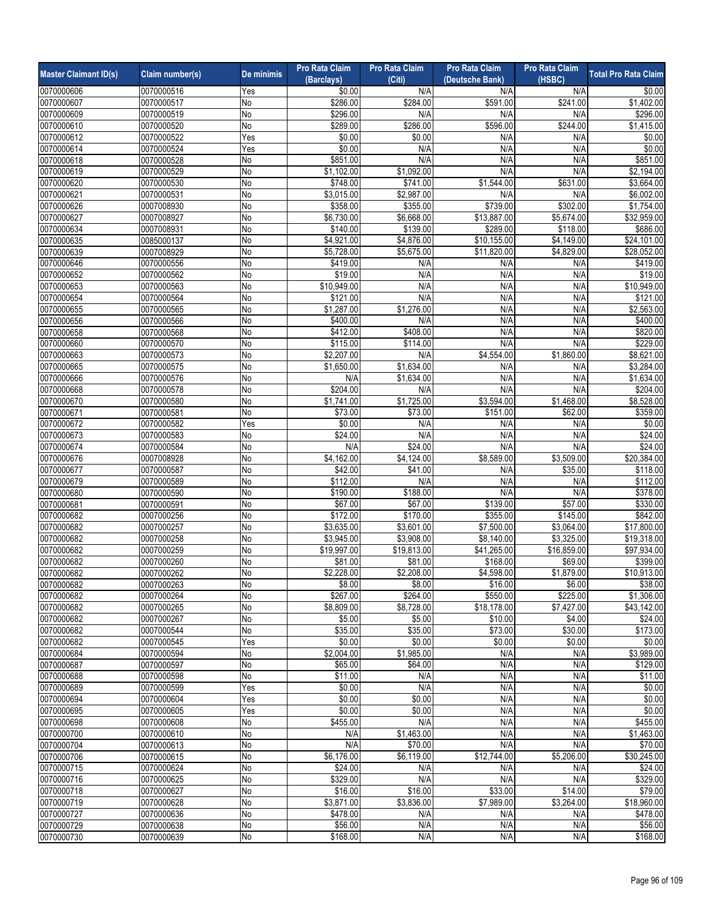| <b>Master Claimant ID(s)</b> | Claim number(s) | De minimis | Pro Rata Claim<br>(Barclays) | <b>Pro Rata Claim</b><br>(Citi) | Pro Rata Claim<br>(Deutsche Bank) | <b>Pro Rata Claim</b><br>(HSBC) | <b>Total Pro Rata Claim</b> |
|------------------------------|-----------------|------------|------------------------------|---------------------------------|-----------------------------------|---------------------------------|-----------------------------|
| 0070000606                   | 0070000516      | Yes        | \$0.00                       | N/A                             | N/A                               | N/A                             | \$0.00                      |
| 0070000607                   | 0070000517      | No         | \$286.00                     | \$284.00                        | \$591.00                          | \$241.00                        | \$1,402.00                  |
| 0070000609                   | 0070000519      | No         | \$296.00                     | N/A                             | N/A                               | N/A                             | \$296.00                    |
| 0070000610                   | 0070000520      | No         | \$289.00                     | \$286.00                        | \$596.00                          | $\sqrt{$244.00}$                | \$1,415.00                  |
| 0070000612                   | 0070000522      | Yes        | \$0.00                       | \$0.00                          | N/A                               | N/A                             | \$0.00                      |
| 0070000614                   | 0070000524      | Yes        | \$0.00                       | N/A                             | N/A                               | N/A                             | \$0.00                      |
| 0070000618                   | 0070000528      | No         | \$851.00                     | N/A                             | N/A                               | N/A                             | \$851.00                    |
| 0070000619                   | 0070000529      | <b>No</b>  | \$1,102.00                   | \$1,092.00                      | N/A                               | N/A                             | \$2,194.00                  |
| 0070000620                   | 0070000530      | No         | \$748.00                     | \$741.00                        | \$1,544.00                        | \$631.00                        | \$3,664.00                  |
| 0070000621                   | 0070000531      | No         | \$3,015.00                   | \$2,987.00                      | N/A                               | N/A                             | \$6,002.00                  |
| 0070000626                   | 0007008930      | <b>No</b>  | \$358.00                     | \$355.00                        | \$739.00                          | \$302.00                        | \$1,754.00                  |
| 0070000627                   | 0007008927      | No         | \$6,730.00                   | \$6,668.00                      | \$13,887.00                       | \$5,674.00                      | \$32,959.00                 |
| 0070000634                   | 0007008931      | <b>No</b>  | \$140.00                     | \$139.00                        | \$289.00                          | \$118.00                        | \$686.00                    |
| 0070000635                   | 0085000137      | <b>No</b>  | \$4,921.00                   | \$4,876.00                      | \$10,155.00                       | \$4,149.00                      | \$24,101.00                 |
| 0070000639                   | 0007008929      | No         | \$5,728.00                   | \$5,675.00                      | \$11,820.00                       | \$4,829.00                      | \$28,052.00                 |
| 0070000646                   | 0070000556      | No         | \$419.00                     | N/A                             | N/A                               | N/A                             | \$419.00                    |
| 0070000652                   | 0070000562      | No         | \$19.00                      | N/A                             | N/A                               | N/A                             | \$19.00                     |
| 0070000653                   | 0070000563      | No         | \$10,949.00                  | N/A                             | N/A                               | N/A                             | \$10,949.00                 |
| 0070000654                   | 0070000564      | <b>No</b>  | \$121.00                     | N/A                             | N/A                               | N/A                             | \$121.00                    |
| 0070000655                   | 0070000565      | No         | \$1,287.00                   | \$1,276.00                      | N/A                               | N/A                             | \$2,563.00                  |
| 0070000656                   | 0070000566      | No         | \$400.00                     | N/A                             | N/A                               | N/A                             | \$400.00                    |
| 0070000658                   | 0070000568      | <b>No</b>  | \$412.00                     | \$408.00                        | N/A                               | N/A                             | \$820.00                    |
| 0070000660                   | 0070000570      | No         | \$115.00                     | \$114.00                        | N/A                               | N/A                             | \$229.00                    |
| 0070000663                   | 0070000573      | <b>No</b>  | \$2,207.00                   | N/A                             | \$4.554.00                        | \$1,860.00                      | \$8,621.00                  |
| 0070000665                   | 0070000575      | <b>No</b>  | \$1,650.00                   | \$1,634.00                      | N/A                               | N/A                             | \$3,284.00                  |
| 0070000666                   | 0070000576      | No         | N/A                          | \$1,634.00                      | N/A                               | N/A                             | \$1,634.00                  |
| 0070000668                   | 0070000578      | <b>No</b>  | \$204.00                     | N/A                             | N/A                               | N/A                             | \$204.00                    |
| 0070000670                   | 0070000580      | No         | \$1,741.00                   | \$1,725.00                      | \$3,594.00                        | \$1,468.00                      | \$8,528.00                  |
| 0070000671                   | 0070000581      | No         | \$73.00                      | \$73.00                         | \$151.00                          | \$62.00                         | \$359.00                    |
| 0070000672                   | 0070000582      | Yes        | \$0.00                       | N/A                             | N/A                               | N/A                             | \$0.00                      |
| 0070000673                   | 0070000583      | No         | \$24.00                      | N/A                             | N/A                               | N/A                             | \$24.00                     |
| 0070000674                   | 0070000584      | No         | N/A                          | \$24.00                         | N/A                               | N/A                             | \$24.00                     |
| 0070000676                   | 0007008928      | <b>No</b>  | \$4,162.00                   | \$4,124.00                      | \$8,589.00                        | \$3,509.00                      | \$20,384.00                 |
| 0070000677                   | 0070000587      | No         | \$42.00                      | \$41.00                         | N/A                               | \$35.00                         | \$118.00                    |
| 0070000679                   | 0070000589      | <b>No</b>  | \$112.00                     | N/A                             | N/A                               | N/A                             | \$112.00                    |
| 0070000680                   | 0070000590      | <b>No</b>  | \$190.00                     | \$188.00                        | N/A                               | N/A                             | \$378.00                    |
| 0070000681                   | 0070000591      | No         | \$67.00                      | \$67.00                         | \$139.00                          | \$57.00                         | \$330.00                    |
| 0070000682                   | 0007000256      | <b>No</b>  | \$172.00                     | \$170.00                        | \$355.00                          | \$145.00                        | \$842.00                    |
| 0070000682                   | 0007000257      | No         | \$3,635.00                   | \$3,601.00                      | \$7,500.00                        | \$3,064.00                      | \$17,800.00                 |
| 0070000682                   | 0007000258      | No         | \$3,945.00                   | \$3,908.00                      | \$8,140.00                        | \$3,325.00                      | \$19,318.00                 |
| 0070000682                   | 0007000259      | No         | \$19,997.00                  | \$19,813.00                     | \$41,265.00                       | \$16,859.00                     | \$97,934.00                 |
| 0070000682                   | 0007000260      | No         | \$81.00                      | \$81.00                         | \$168.00                          | \$69.00                         | \$399.00                    |
| 0070000682                   | 0007000262      | No         | \$2,228.00                   | \$2,208.00                      | \$4,598.00                        | \$1,879.00                      | \$10,913.00                 |
| 0070000682                   | 0007000263      | No         | \$8.00                       | \$8.00                          | \$16.00                           | \$6.00                          | \$38.00                     |
| 0070000682                   | 0007000264      | <b>No</b>  | \$267.00                     | \$264.00                        | \$550.00                          | \$225.00                        | \$1,306.00                  |
| 0070000682                   | 0007000265      | No         | \$8,809.00                   | \$8,728.00                      | \$18,178.00                       | \$7,427.00                      | \$43,142.00                 |
| 0070000682                   | 0007000267      | No         | \$5.00                       | \$5.00                          | \$10.00                           | \$4.00                          | \$24.00                     |
| 0070000682                   | 0007000544      | No         | \$35.00                      | \$35.00                         | \$73.00                           | \$30.00                         | \$173.00                    |
| 0070000682                   | 0007000545      | Yes        | \$0.00                       | \$0.00                          | \$0.00                            | \$0.00                          | \$0.00                      |
| 0070000684                   | 0070000594      | No         | \$2,004.00                   | \$1,985.00                      | N/A                               | N/A                             | \$3,989.00                  |
| 0070000687                   | 0070000597      | No         | \$65.00                      | \$64.00                         | N/A                               | N/A                             | \$129.00                    |
| 0070000688                   | 0070000598      | No         | \$11.00                      | N/A                             | N/A                               | N/A                             | \$11.00                     |
| 0070000689                   | 0070000599      | Yes        | \$0.00                       | N/A                             | N/A                               | N/A                             | \$0.00                      |
| 0070000694                   | 0070000604      | Yes        | \$0.00                       | \$0.00                          | N/A                               | N/A                             | \$0.00                      |
| 0070000695                   | 0070000605      | Yes        | \$0.00                       | \$0.00                          | N/A                               | N/A                             | \$0.00                      |
| 0070000698                   | 0070000608      | No         | \$455.00                     | N/A                             | N/A                               | N/A                             | \$455.00                    |
| 0070000700                   | 0070000610      | No         | N/A                          | \$1,463.00                      | N/A                               | N/A                             | \$1,463.00                  |
| 0070000704                   | 0070000613      | No         | N/A                          | \$70.00                         | N/A                               | N/A                             | \$70.00                     |
| 0070000706                   | 0070000615      | <b>No</b>  | \$6,176.00                   | \$6,119.00                      | \$12,744.00                       | \$5,206.00                      | \$30,245.00                 |
| 0070000715                   | 0070000624      | <b>No</b>  | \$24.00                      | N/A                             | N/A                               | N/A                             | \$24.00                     |
| 0070000716                   | 0070000625      | No         | \$329.00                     | N/A                             | N/A                               | N/A                             | \$329.00                    |
| 0070000718                   | 0070000627      | No         | \$16.00                      | \$16.00                         | \$33.00                           | \$14.00                         | \$79.00                     |
| 0070000719                   | 0070000628      | <b>No</b>  | \$3,871.00                   | \$3,836.00                      | \$7,989.00                        | \$3,264.00                      | \$18,960.00                 |
| 0070000727                   | 0070000636      | <b>No</b>  | \$478.00                     | N/A                             | N/A                               | N/A                             | \$478.00                    |
| 0070000729                   | 0070000638      | No         | \$56.00                      | N/A                             | N/A                               | N/A                             | \$56.00                     |
| 0070000730                   | 0070000639      | No         | \$168.00                     | N/A                             | N/A                               | N/A                             | \$168.00                    |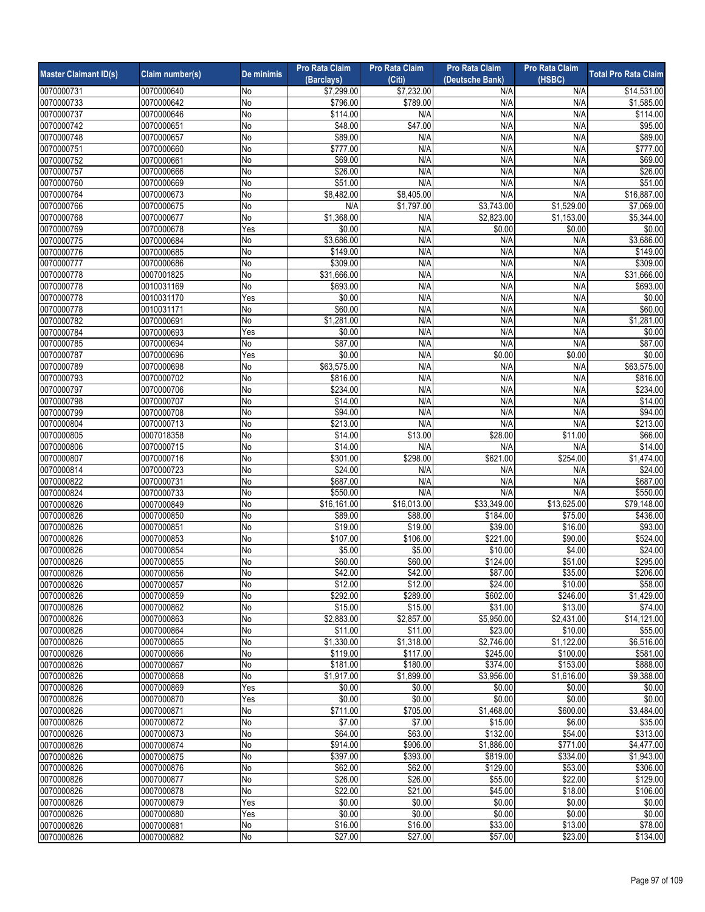| 0070000731<br>0070000640<br>No<br>\$7,299.00<br>\$7,232.00<br>N/A<br>\$14,531.00<br>N/A<br>\$796.00<br>\$789.00<br>N/A<br>\$1,585.00<br>0070000733<br>0070000642<br>No<br>N/A<br>\$114.00<br>0070000737<br>0070000646<br><b>No</b><br>\$114.00<br>N/A<br>N/A<br>N/A<br>\$47.00<br>\$95.00<br>0070000742<br>0070000651<br>No<br>\$48.00<br>N/A<br>N/A<br>\$89.00<br>No<br>\$89.00<br>N/A<br>N/f<br>N/A<br>0070000748<br>0070000657<br>\$777.00<br>N/A<br>0070000751<br>0070000660<br><b>No</b><br>\$777.00<br>N/A<br>N/A<br>\$69.00<br>0070000752<br>0070000661<br>No<br>\$69.00<br>N/A<br>N/A<br>N/A<br>\$26.00<br>N/A<br>N/A<br>\$26.00<br>0070000757<br>0070000666<br>No<br>N/A<br>\$51.00<br>N/A<br>\$51.00<br>0070000760<br>0070000669<br><b>No</b><br>N/A<br>N/A<br><b>No</b><br>$\overline{$8,482.00}$<br>\$8,405.00<br>N/A<br>\$16,887.00<br>0070000764<br>0070000673<br>N/A<br>0070000766<br>\$1,797.00<br>\$3,743.00<br>\$1,529.00<br>\$7,069.00<br>0070000675<br>No<br>N/A<br>\$1,368.00<br>\$2,823.00<br>\$1,153.00<br>\$5,344.00<br>0070000768<br>No<br>N/A<br>0070000677<br>0070000769<br>0070000678<br>Yes<br>\$0.00<br>N/A<br>\$0.00<br>\$0.00<br>\$0.00<br>N/A<br>\$3,686.00<br>\$3,686.00<br>N/A<br>N/A<br>0070000775<br>0070000684<br>No<br>0070000776<br>\$149.00<br>N/A<br>N/A<br>N/A<br>\$149.00<br>0070000685<br>No<br>0070000777<br>0070000686<br><b>No</b><br>\$309.00<br>N/A<br>N/A<br>\$309.00<br>N/A<br>N/A<br>N/A<br>\$31,666.00<br>0070000778<br>0007001825<br>No<br>\$31,666.00<br>N/A<br>0070000778<br>0010031169<br>No<br>\$693.00<br>N/A<br>N/A<br>\$693.00<br>N/A<br>\$0.00<br>\$0.00<br>N/A<br>N/A<br>N/A<br>0070000778<br>0010031170<br>Yes<br>\$60.00<br>\$60.00<br>0070000778<br>0010031171<br>N/A<br>N/A<br>N/A<br>No<br>\$1,281.00<br>\$1,281.00<br>0070000691<br>No<br>N/A<br>N/A<br>N/A<br>\$0.00<br>0070000784<br>0070000693<br>\$0.00<br>N/A<br>N/A<br>N/A<br>Yes<br>N/A<br>\$87.00<br>0070000785<br>0070000694<br>No<br>\$87.00<br>N/A<br>N/A<br>0070000787<br>0070000696<br>\$0.00<br>\$0.00<br>\$0.00<br>Yes<br>N/A<br>\$0.00<br>0070000789<br>\$63,575.00<br>\$63,575.00<br>0070000698<br>N/A<br>N/A<br>No<br>N/A<br>N/A<br>N/A<br>\$816.00<br>No<br>\$816.00<br>N/A<br>0070000793<br>0070000702<br>0070000797<br>\$234.00<br>\$234.00<br>0070000706<br>No<br>N/A<br>N/A<br>N/A<br>0070000798<br>No<br>\$14.00<br>N/A<br>N/A<br>N/A<br>\$14.00<br>0070000707<br>\$94.00<br>N/A<br>N/A<br>N/A<br>\$94.00<br>0070000799<br>0070000708<br>No<br>\$213.00<br>0070000804<br>0070000713<br>No<br>\$213.00<br>N/A<br>N/A<br>N/A<br>\$28.00<br>\$11.00<br>\$66.00<br>0070000805<br>0007018358<br>\$14.00<br>\$13.00<br>No<br>\$14.00<br>N/A<br>\$14.00<br>0070000806<br>0070000715<br>No<br>N/A<br>N/A<br>0070000807<br>\$298.00<br>\$621.00<br>\$254.00<br>\$1,474.00<br>0070000716<br>No<br>\$301.00<br>\$24.00<br>\$24.00<br>0070000814<br>0070000723<br>No<br>N/A<br>N/A<br>N/A<br>\$687.00<br>No<br>\$687.00<br>N/A<br>N/A<br>N/A<br>0070000822<br>0070000731<br>0070000824<br>\$550.00<br>0070000733<br>No<br>\$550.00<br>N/A<br>N/A<br>N/A<br>\$16,161.00<br>\$13,625.00<br>\$79,148.00<br>\$16,013.00<br>\$33,349.00<br>0070000826<br>0007000849<br>No<br>\$88.00<br>\$436.00<br>0070000826<br>0007000850<br>No<br>\$89.00<br>\$184.00<br>\$75.00<br>\$93.00<br>0070000826<br>\$19.00<br>\$19.00<br>\$39.00<br>\$16.00<br>0007000851<br>No<br>\$106.00<br>\$90.00<br>\$524.00<br>0070000826<br>0007000853<br>No<br>\$107.00<br>\$221.00<br>\$5.00<br>\$10.00<br>\$4.00<br>0070000826<br>0007000854<br>No<br>\$5.00<br>\$24.00<br>0070000826<br>No<br>\$60.00<br>\$60.00<br>\$124.00<br>\$51.00<br>\$295.00<br>0007000855<br>0070000826<br>\$42.00<br>\$42.00<br>\$87.00<br>\$35.00<br>\$206.00<br>0007000856<br>No<br>\$24.00<br>\$12.00<br>\$12.00<br>No<br>\$10.00<br>\$58.00<br>0070000826<br>0007000857<br>0070000826<br>0007000859<br>No<br>\$292.00<br>\$289.00<br>\$602.00<br>\$246.00<br>\$1,429.00<br>\$15.00<br>\$15.00<br>\$31.00<br>\$13.00<br>No<br>\$74.00<br>0070000826<br>0007000862<br>\$5,950.00<br>0070000826<br>0007000863<br>No<br>\$2,883.00<br>\$2,857.00<br>\$2,431.00<br>\$14,121.00<br>0070000826<br>0007000864<br>No<br>\$11.00<br>\$11.00<br>\$23.00<br>\$10.00<br>\$55.00<br>0070000826<br>0007000865<br>No<br>\$1,330.00<br>\$1,318.00<br>\$2,746.00<br>\$1,122.00<br>\$6,516.00<br>0070000826<br>0007000866<br>\$119.00<br>\$117.00<br>\$245.00<br>\$100.00<br>\$581.00<br>No<br>No<br>\$180.00<br>\$374.00<br>\$153.00<br>\$888.00<br>0070000826<br>0007000867<br>\$181.00<br>\$1,899.00<br>0070000826<br>0007000868<br>No<br>\$1,917.00<br>\$3,956.00<br>\$1,616.00<br>\$9,388.00<br>0070000826<br>0007000869<br>\$0.00<br>\$0.00<br>\$0.00<br>\$0.00<br>\$0.00<br>Yes<br>0007000870<br>\$0.00<br>\$0.00<br>\$0.00<br>\$0.00<br>\$0.00<br>Yes<br>\$711.00<br>\$705.00<br>\$1,468.00<br>\$600.00<br>\$3,484.00<br>0007000871<br>No<br>0007000872<br>No<br>\$7.00<br>\$7.00<br>\$15.00<br>\$6.00<br>\$35.00<br>0007000873<br>No<br>\$64.00<br>\$63.00<br>\$132.00<br>\$54.00<br>\$313.00<br>0007000874<br>No<br>\$914.00<br>\$906.00<br>\$1,886.00<br>\$771.00<br>\$4,477.00<br>\$393.00<br>\$334.00<br>0007000875<br>No<br>\$397.00<br>\$819.00<br>\$1,943.00<br>No<br>\$62.00<br>\$129.00<br>\$53.00<br>0007000876<br>\$62.00<br>\$306.00<br>\$26.00<br>\$26.00<br>\$55.00<br>\$22.00<br>\$129.00<br>0007000877<br>No<br>No<br>\$22.00<br>\$21.00<br>\$45.00<br>\$18.00<br>\$106.00<br>0007000878<br>\$0.00<br>\$0.00<br>0007000879<br>Yes<br>\$0.00<br>\$0.00<br>\$0.00<br>\$0.00<br>\$0.00<br>\$0.00<br>\$0.00<br>\$0.00<br>0007000880<br>Yes<br>\$33.00<br>0007000881<br>No<br>\$16.00<br>\$16.00<br>\$13.00<br>\$78.00<br>0007000882<br>No<br>\$134.00 | <b>Master Claimant ID(s)</b> | Claim number(s) | De minimis | Pro Rata Claim | Pro Rata Claim | Pro Rata Claim  | <b>Pro Rata Claim</b> | Total Pro Rata Claim |
|---------------------------------------------------------------------------------------------------------------------------------------------------------------------------------------------------------------------------------------------------------------------------------------------------------------------------------------------------------------------------------------------------------------------------------------------------------------------------------------------------------------------------------------------------------------------------------------------------------------------------------------------------------------------------------------------------------------------------------------------------------------------------------------------------------------------------------------------------------------------------------------------------------------------------------------------------------------------------------------------------------------------------------------------------------------------------------------------------------------------------------------------------------------------------------------------------------------------------------------------------------------------------------------------------------------------------------------------------------------------------------------------------------------------------------------------------------------------------------------------------------------------------------------------------------------------------------------------------------------------------------------------------------------------------------------------------------------------------------------------------------------------------------------------------------------------------------------------------------------------------------------------------------------------------------------------------------------------------------------------------------------------------------------------------------------------------------------------------------------------------------------------------------------------------------------------------------------------------------------------------------------------------------------------------------------------------------------------------------------------------------------------------------------------------------------------------------------------------------------------------------------------------------------------------------------------------------------------------------------------------------------------------------------------------------------------------------------------------------------------------------------------------------------------------------------------------------------------------------------------------------------------------------------------------------------------------------------------------------------------------------------------------------------------------------------------------------------------------------------------------------------------------------------------------------------------------------------------------------------------------------------------------------------------------------------------------------------------------------------------------------------------------------------------------------------------------------------------------------------------------------------------------------------------------------------------------------------------------------------------------------------------------------------------------------------------------------------------------------------------------------------------------------------------------------------------------------------------------------------------------------------------------------------------------------------------------------------------------------------------------------------------------------------------------------------------------------------------------------------------------------------------------------------------------------------------------------------------------------------------------------------------------------------------------------------------------------------------------------------------------------------------------------------------------------------------------------------------------------------------------------------------------------------------------------------------------------------------------------------------------------------------------------------------------------------------------------------------------------------------------------------------------------------------------------------------------------------------------------------------------------------------------------------------------------------------------------------------------------------------------------------------------------------------------------------------------------------------------------------------------------------------------------------------------------------------------------------------------------------------------------------------------------------------------------------------------------------------------------------------------------------------------------------------------------------------------------------------------------------------------------------------------------------------------------------------------------------------------------------------------------------------------------------------------------------------------------------------------------------------|------------------------------|-----------------|------------|----------------|----------------|-----------------|-----------------------|----------------------|
|                                                                                                                                                                                                                                                                                                                                                                                                                                                                                                                                                                                                                                                                                                                                                                                                                                                                                                                                                                                                                                                                                                                                                                                                                                                                                                                                                                                                                                                                                                                                                                                                                                                                                                                                                                                                                                                                                                                                                                                                                                                                                                                                                                                                                                                                                                                                                                                                                                                                                                                                                                                                                                                                                                                                                                                                                                                                                                                                                                                                                                                                                                                                                                                                                                                                                                                                                                                                                                                                                                                                                                                                                                                                                                                                                                                                                                                                                                                                                                                                                                                                                                                                                                                                                                                                                                                                                                                                                                                                                                                                                                                                                                                                                                                                                                                                                                                                                                                                                                                                                                                                                                                                                                                                                                                                                                                                                                                                                                                                                                                                                                                                                                                                                                                                             |                              |                 |            | (Barclays)     | (Citi)         | (Deutsche Bank) | (HSBC)                |                      |
|                                                                                                                                                                                                                                                                                                                                                                                                                                                                                                                                                                                                                                                                                                                                                                                                                                                                                                                                                                                                                                                                                                                                                                                                                                                                                                                                                                                                                                                                                                                                                                                                                                                                                                                                                                                                                                                                                                                                                                                                                                                                                                                                                                                                                                                                                                                                                                                                                                                                                                                                                                                                                                                                                                                                                                                                                                                                                                                                                                                                                                                                                                                                                                                                                                                                                                                                                                                                                                                                                                                                                                                                                                                                                                                                                                                                                                                                                                                                                                                                                                                                                                                                                                                                                                                                                                                                                                                                                                                                                                                                                                                                                                                                                                                                                                                                                                                                                                                                                                                                                                                                                                                                                                                                                                                                                                                                                                                                                                                                                                                                                                                                                                                                                                                                             |                              |                 |            |                |                |                 |                       |                      |
|                                                                                                                                                                                                                                                                                                                                                                                                                                                                                                                                                                                                                                                                                                                                                                                                                                                                                                                                                                                                                                                                                                                                                                                                                                                                                                                                                                                                                                                                                                                                                                                                                                                                                                                                                                                                                                                                                                                                                                                                                                                                                                                                                                                                                                                                                                                                                                                                                                                                                                                                                                                                                                                                                                                                                                                                                                                                                                                                                                                                                                                                                                                                                                                                                                                                                                                                                                                                                                                                                                                                                                                                                                                                                                                                                                                                                                                                                                                                                                                                                                                                                                                                                                                                                                                                                                                                                                                                                                                                                                                                                                                                                                                                                                                                                                                                                                                                                                                                                                                                                                                                                                                                                                                                                                                                                                                                                                                                                                                                                                                                                                                                                                                                                                                                             |                              |                 |            |                |                |                 |                       |                      |
|                                                                                                                                                                                                                                                                                                                                                                                                                                                                                                                                                                                                                                                                                                                                                                                                                                                                                                                                                                                                                                                                                                                                                                                                                                                                                                                                                                                                                                                                                                                                                                                                                                                                                                                                                                                                                                                                                                                                                                                                                                                                                                                                                                                                                                                                                                                                                                                                                                                                                                                                                                                                                                                                                                                                                                                                                                                                                                                                                                                                                                                                                                                                                                                                                                                                                                                                                                                                                                                                                                                                                                                                                                                                                                                                                                                                                                                                                                                                                                                                                                                                                                                                                                                                                                                                                                                                                                                                                                                                                                                                                                                                                                                                                                                                                                                                                                                                                                                                                                                                                                                                                                                                                                                                                                                                                                                                                                                                                                                                                                                                                                                                                                                                                                                                             |                              |                 |            |                |                |                 |                       |                      |
|                                                                                                                                                                                                                                                                                                                                                                                                                                                                                                                                                                                                                                                                                                                                                                                                                                                                                                                                                                                                                                                                                                                                                                                                                                                                                                                                                                                                                                                                                                                                                                                                                                                                                                                                                                                                                                                                                                                                                                                                                                                                                                                                                                                                                                                                                                                                                                                                                                                                                                                                                                                                                                                                                                                                                                                                                                                                                                                                                                                                                                                                                                                                                                                                                                                                                                                                                                                                                                                                                                                                                                                                                                                                                                                                                                                                                                                                                                                                                                                                                                                                                                                                                                                                                                                                                                                                                                                                                                                                                                                                                                                                                                                                                                                                                                                                                                                                                                                                                                                                                                                                                                                                                                                                                                                                                                                                                                                                                                                                                                                                                                                                                                                                                                                                             |                              |                 |            |                |                |                 |                       |                      |
|                                                                                                                                                                                                                                                                                                                                                                                                                                                                                                                                                                                                                                                                                                                                                                                                                                                                                                                                                                                                                                                                                                                                                                                                                                                                                                                                                                                                                                                                                                                                                                                                                                                                                                                                                                                                                                                                                                                                                                                                                                                                                                                                                                                                                                                                                                                                                                                                                                                                                                                                                                                                                                                                                                                                                                                                                                                                                                                                                                                                                                                                                                                                                                                                                                                                                                                                                                                                                                                                                                                                                                                                                                                                                                                                                                                                                                                                                                                                                                                                                                                                                                                                                                                                                                                                                                                                                                                                                                                                                                                                                                                                                                                                                                                                                                                                                                                                                                                                                                                                                                                                                                                                                                                                                                                                                                                                                                                                                                                                                                                                                                                                                                                                                                                                             |                              |                 |            |                |                |                 |                       |                      |
|                                                                                                                                                                                                                                                                                                                                                                                                                                                                                                                                                                                                                                                                                                                                                                                                                                                                                                                                                                                                                                                                                                                                                                                                                                                                                                                                                                                                                                                                                                                                                                                                                                                                                                                                                                                                                                                                                                                                                                                                                                                                                                                                                                                                                                                                                                                                                                                                                                                                                                                                                                                                                                                                                                                                                                                                                                                                                                                                                                                                                                                                                                                                                                                                                                                                                                                                                                                                                                                                                                                                                                                                                                                                                                                                                                                                                                                                                                                                                                                                                                                                                                                                                                                                                                                                                                                                                                                                                                                                                                                                                                                                                                                                                                                                                                                                                                                                                                                                                                                                                                                                                                                                                                                                                                                                                                                                                                                                                                                                                                                                                                                                                                                                                                                                             |                              |                 |            |                |                |                 |                       |                      |
|                                                                                                                                                                                                                                                                                                                                                                                                                                                                                                                                                                                                                                                                                                                                                                                                                                                                                                                                                                                                                                                                                                                                                                                                                                                                                                                                                                                                                                                                                                                                                                                                                                                                                                                                                                                                                                                                                                                                                                                                                                                                                                                                                                                                                                                                                                                                                                                                                                                                                                                                                                                                                                                                                                                                                                                                                                                                                                                                                                                                                                                                                                                                                                                                                                                                                                                                                                                                                                                                                                                                                                                                                                                                                                                                                                                                                                                                                                                                                                                                                                                                                                                                                                                                                                                                                                                                                                                                                                                                                                                                                                                                                                                                                                                                                                                                                                                                                                                                                                                                                                                                                                                                                                                                                                                                                                                                                                                                                                                                                                                                                                                                                                                                                                                                             |                              |                 |            |                |                |                 |                       |                      |
|                                                                                                                                                                                                                                                                                                                                                                                                                                                                                                                                                                                                                                                                                                                                                                                                                                                                                                                                                                                                                                                                                                                                                                                                                                                                                                                                                                                                                                                                                                                                                                                                                                                                                                                                                                                                                                                                                                                                                                                                                                                                                                                                                                                                                                                                                                                                                                                                                                                                                                                                                                                                                                                                                                                                                                                                                                                                                                                                                                                                                                                                                                                                                                                                                                                                                                                                                                                                                                                                                                                                                                                                                                                                                                                                                                                                                                                                                                                                                                                                                                                                                                                                                                                                                                                                                                                                                                                                                                                                                                                                                                                                                                                                                                                                                                                                                                                                                                                                                                                                                                                                                                                                                                                                                                                                                                                                                                                                                                                                                                                                                                                                                                                                                                                                             |                              |                 |            |                |                |                 |                       |                      |
|                                                                                                                                                                                                                                                                                                                                                                                                                                                                                                                                                                                                                                                                                                                                                                                                                                                                                                                                                                                                                                                                                                                                                                                                                                                                                                                                                                                                                                                                                                                                                                                                                                                                                                                                                                                                                                                                                                                                                                                                                                                                                                                                                                                                                                                                                                                                                                                                                                                                                                                                                                                                                                                                                                                                                                                                                                                                                                                                                                                                                                                                                                                                                                                                                                                                                                                                                                                                                                                                                                                                                                                                                                                                                                                                                                                                                                                                                                                                                                                                                                                                                                                                                                                                                                                                                                                                                                                                                                                                                                                                                                                                                                                                                                                                                                                                                                                                                                                                                                                                                                                                                                                                                                                                                                                                                                                                                                                                                                                                                                                                                                                                                                                                                                                                             |                              |                 |            |                |                |                 |                       |                      |
|                                                                                                                                                                                                                                                                                                                                                                                                                                                                                                                                                                                                                                                                                                                                                                                                                                                                                                                                                                                                                                                                                                                                                                                                                                                                                                                                                                                                                                                                                                                                                                                                                                                                                                                                                                                                                                                                                                                                                                                                                                                                                                                                                                                                                                                                                                                                                                                                                                                                                                                                                                                                                                                                                                                                                                                                                                                                                                                                                                                                                                                                                                                                                                                                                                                                                                                                                                                                                                                                                                                                                                                                                                                                                                                                                                                                                                                                                                                                                                                                                                                                                                                                                                                                                                                                                                                                                                                                                                                                                                                                                                                                                                                                                                                                                                                                                                                                                                                                                                                                                                                                                                                                                                                                                                                                                                                                                                                                                                                                                                                                                                                                                                                                                                                                             |                              |                 |            |                |                |                 |                       |                      |
|                                                                                                                                                                                                                                                                                                                                                                                                                                                                                                                                                                                                                                                                                                                                                                                                                                                                                                                                                                                                                                                                                                                                                                                                                                                                                                                                                                                                                                                                                                                                                                                                                                                                                                                                                                                                                                                                                                                                                                                                                                                                                                                                                                                                                                                                                                                                                                                                                                                                                                                                                                                                                                                                                                                                                                                                                                                                                                                                                                                                                                                                                                                                                                                                                                                                                                                                                                                                                                                                                                                                                                                                                                                                                                                                                                                                                                                                                                                                                                                                                                                                                                                                                                                                                                                                                                                                                                                                                                                                                                                                                                                                                                                                                                                                                                                                                                                                                                                                                                                                                                                                                                                                                                                                                                                                                                                                                                                                                                                                                                                                                                                                                                                                                                                                             |                              |                 |            |                |                |                 |                       |                      |
|                                                                                                                                                                                                                                                                                                                                                                                                                                                                                                                                                                                                                                                                                                                                                                                                                                                                                                                                                                                                                                                                                                                                                                                                                                                                                                                                                                                                                                                                                                                                                                                                                                                                                                                                                                                                                                                                                                                                                                                                                                                                                                                                                                                                                                                                                                                                                                                                                                                                                                                                                                                                                                                                                                                                                                                                                                                                                                                                                                                                                                                                                                                                                                                                                                                                                                                                                                                                                                                                                                                                                                                                                                                                                                                                                                                                                                                                                                                                                                                                                                                                                                                                                                                                                                                                                                                                                                                                                                                                                                                                                                                                                                                                                                                                                                                                                                                                                                                                                                                                                                                                                                                                                                                                                                                                                                                                                                                                                                                                                                                                                                                                                                                                                                                                             |                              |                 |            |                |                |                 |                       |                      |
|                                                                                                                                                                                                                                                                                                                                                                                                                                                                                                                                                                                                                                                                                                                                                                                                                                                                                                                                                                                                                                                                                                                                                                                                                                                                                                                                                                                                                                                                                                                                                                                                                                                                                                                                                                                                                                                                                                                                                                                                                                                                                                                                                                                                                                                                                                                                                                                                                                                                                                                                                                                                                                                                                                                                                                                                                                                                                                                                                                                                                                                                                                                                                                                                                                                                                                                                                                                                                                                                                                                                                                                                                                                                                                                                                                                                                                                                                                                                                                                                                                                                                                                                                                                                                                                                                                                                                                                                                                                                                                                                                                                                                                                                                                                                                                                                                                                                                                                                                                                                                                                                                                                                                                                                                                                                                                                                                                                                                                                                                                                                                                                                                                                                                                                                             |                              |                 |            |                |                |                 |                       |                      |
|                                                                                                                                                                                                                                                                                                                                                                                                                                                                                                                                                                                                                                                                                                                                                                                                                                                                                                                                                                                                                                                                                                                                                                                                                                                                                                                                                                                                                                                                                                                                                                                                                                                                                                                                                                                                                                                                                                                                                                                                                                                                                                                                                                                                                                                                                                                                                                                                                                                                                                                                                                                                                                                                                                                                                                                                                                                                                                                                                                                                                                                                                                                                                                                                                                                                                                                                                                                                                                                                                                                                                                                                                                                                                                                                                                                                                                                                                                                                                                                                                                                                                                                                                                                                                                                                                                                                                                                                                                                                                                                                                                                                                                                                                                                                                                                                                                                                                                                                                                                                                                                                                                                                                                                                                                                                                                                                                                                                                                                                                                                                                                                                                                                                                                                                             |                              |                 |            |                |                |                 |                       |                      |
|                                                                                                                                                                                                                                                                                                                                                                                                                                                                                                                                                                                                                                                                                                                                                                                                                                                                                                                                                                                                                                                                                                                                                                                                                                                                                                                                                                                                                                                                                                                                                                                                                                                                                                                                                                                                                                                                                                                                                                                                                                                                                                                                                                                                                                                                                                                                                                                                                                                                                                                                                                                                                                                                                                                                                                                                                                                                                                                                                                                                                                                                                                                                                                                                                                                                                                                                                                                                                                                                                                                                                                                                                                                                                                                                                                                                                                                                                                                                                                                                                                                                                                                                                                                                                                                                                                                                                                                                                                                                                                                                                                                                                                                                                                                                                                                                                                                                                                                                                                                                                                                                                                                                                                                                                                                                                                                                                                                                                                                                                                                                                                                                                                                                                                                                             |                              |                 |            |                |                |                 |                       |                      |
|                                                                                                                                                                                                                                                                                                                                                                                                                                                                                                                                                                                                                                                                                                                                                                                                                                                                                                                                                                                                                                                                                                                                                                                                                                                                                                                                                                                                                                                                                                                                                                                                                                                                                                                                                                                                                                                                                                                                                                                                                                                                                                                                                                                                                                                                                                                                                                                                                                                                                                                                                                                                                                                                                                                                                                                                                                                                                                                                                                                                                                                                                                                                                                                                                                                                                                                                                                                                                                                                                                                                                                                                                                                                                                                                                                                                                                                                                                                                                                                                                                                                                                                                                                                                                                                                                                                                                                                                                                                                                                                                                                                                                                                                                                                                                                                                                                                                                                                                                                                                                                                                                                                                                                                                                                                                                                                                                                                                                                                                                                                                                                                                                                                                                                                                             |                              |                 |            |                |                |                 |                       |                      |
|                                                                                                                                                                                                                                                                                                                                                                                                                                                                                                                                                                                                                                                                                                                                                                                                                                                                                                                                                                                                                                                                                                                                                                                                                                                                                                                                                                                                                                                                                                                                                                                                                                                                                                                                                                                                                                                                                                                                                                                                                                                                                                                                                                                                                                                                                                                                                                                                                                                                                                                                                                                                                                                                                                                                                                                                                                                                                                                                                                                                                                                                                                                                                                                                                                                                                                                                                                                                                                                                                                                                                                                                                                                                                                                                                                                                                                                                                                                                                                                                                                                                                                                                                                                                                                                                                                                                                                                                                                                                                                                                                                                                                                                                                                                                                                                                                                                                                                                                                                                                                                                                                                                                                                                                                                                                                                                                                                                                                                                                                                                                                                                                                                                                                                                                             |                              |                 |            |                |                |                 |                       |                      |
|                                                                                                                                                                                                                                                                                                                                                                                                                                                                                                                                                                                                                                                                                                                                                                                                                                                                                                                                                                                                                                                                                                                                                                                                                                                                                                                                                                                                                                                                                                                                                                                                                                                                                                                                                                                                                                                                                                                                                                                                                                                                                                                                                                                                                                                                                                                                                                                                                                                                                                                                                                                                                                                                                                                                                                                                                                                                                                                                                                                                                                                                                                                                                                                                                                                                                                                                                                                                                                                                                                                                                                                                                                                                                                                                                                                                                                                                                                                                                                                                                                                                                                                                                                                                                                                                                                                                                                                                                                                                                                                                                                                                                                                                                                                                                                                                                                                                                                                                                                                                                                                                                                                                                                                                                                                                                                                                                                                                                                                                                                                                                                                                                                                                                                                                             |                              |                 |            |                |                |                 |                       |                      |
|                                                                                                                                                                                                                                                                                                                                                                                                                                                                                                                                                                                                                                                                                                                                                                                                                                                                                                                                                                                                                                                                                                                                                                                                                                                                                                                                                                                                                                                                                                                                                                                                                                                                                                                                                                                                                                                                                                                                                                                                                                                                                                                                                                                                                                                                                                                                                                                                                                                                                                                                                                                                                                                                                                                                                                                                                                                                                                                                                                                                                                                                                                                                                                                                                                                                                                                                                                                                                                                                                                                                                                                                                                                                                                                                                                                                                                                                                                                                                                                                                                                                                                                                                                                                                                                                                                                                                                                                                                                                                                                                                                                                                                                                                                                                                                                                                                                                                                                                                                                                                                                                                                                                                                                                                                                                                                                                                                                                                                                                                                                                                                                                                                                                                                                                             |                              |                 |            |                |                |                 |                       |                      |
|                                                                                                                                                                                                                                                                                                                                                                                                                                                                                                                                                                                                                                                                                                                                                                                                                                                                                                                                                                                                                                                                                                                                                                                                                                                                                                                                                                                                                                                                                                                                                                                                                                                                                                                                                                                                                                                                                                                                                                                                                                                                                                                                                                                                                                                                                                                                                                                                                                                                                                                                                                                                                                                                                                                                                                                                                                                                                                                                                                                                                                                                                                                                                                                                                                                                                                                                                                                                                                                                                                                                                                                                                                                                                                                                                                                                                                                                                                                                                                                                                                                                                                                                                                                                                                                                                                                                                                                                                                                                                                                                                                                                                                                                                                                                                                                                                                                                                                                                                                                                                                                                                                                                                                                                                                                                                                                                                                                                                                                                                                                                                                                                                                                                                                                                             |                              |                 |            |                |                |                 |                       |                      |
|                                                                                                                                                                                                                                                                                                                                                                                                                                                                                                                                                                                                                                                                                                                                                                                                                                                                                                                                                                                                                                                                                                                                                                                                                                                                                                                                                                                                                                                                                                                                                                                                                                                                                                                                                                                                                                                                                                                                                                                                                                                                                                                                                                                                                                                                                                                                                                                                                                                                                                                                                                                                                                                                                                                                                                                                                                                                                                                                                                                                                                                                                                                                                                                                                                                                                                                                                                                                                                                                                                                                                                                                                                                                                                                                                                                                                                                                                                                                                                                                                                                                                                                                                                                                                                                                                                                                                                                                                                                                                                                                                                                                                                                                                                                                                                                                                                                                                                                                                                                                                                                                                                                                                                                                                                                                                                                                                                                                                                                                                                                                                                                                                                                                                                                                             | 0070000782                   |                 |            |                |                |                 |                       |                      |
|                                                                                                                                                                                                                                                                                                                                                                                                                                                                                                                                                                                                                                                                                                                                                                                                                                                                                                                                                                                                                                                                                                                                                                                                                                                                                                                                                                                                                                                                                                                                                                                                                                                                                                                                                                                                                                                                                                                                                                                                                                                                                                                                                                                                                                                                                                                                                                                                                                                                                                                                                                                                                                                                                                                                                                                                                                                                                                                                                                                                                                                                                                                                                                                                                                                                                                                                                                                                                                                                                                                                                                                                                                                                                                                                                                                                                                                                                                                                                                                                                                                                                                                                                                                                                                                                                                                                                                                                                                                                                                                                                                                                                                                                                                                                                                                                                                                                                                                                                                                                                                                                                                                                                                                                                                                                                                                                                                                                                                                                                                                                                                                                                                                                                                                                             |                              |                 |            |                |                |                 |                       |                      |
|                                                                                                                                                                                                                                                                                                                                                                                                                                                                                                                                                                                                                                                                                                                                                                                                                                                                                                                                                                                                                                                                                                                                                                                                                                                                                                                                                                                                                                                                                                                                                                                                                                                                                                                                                                                                                                                                                                                                                                                                                                                                                                                                                                                                                                                                                                                                                                                                                                                                                                                                                                                                                                                                                                                                                                                                                                                                                                                                                                                                                                                                                                                                                                                                                                                                                                                                                                                                                                                                                                                                                                                                                                                                                                                                                                                                                                                                                                                                                                                                                                                                                                                                                                                                                                                                                                                                                                                                                                                                                                                                                                                                                                                                                                                                                                                                                                                                                                                                                                                                                                                                                                                                                                                                                                                                                                                                                                                                                                                                                                                                                                                                                                                                                                                                             |                              |                 |            |                |                |                 |                       |                      |
|                                                                                                                                                                                                                                                                                                                                                                                                                                                                                                                                                                                                                                                                                                                                                                                                                                                                                                                                                                                                                                                                                                                                                                                                                                                                                                                                                                                                                                                                                                                                                                                                                                                                                                                                                                                                                                                                                                                                                                                                                                                                                                                                                                                                                                                                                                                                                                                                                                                                                                                                                                                                                                                                                                                                                                                                                                                                                                                                                                                                                                                                                                                                                                                                                                                                                                                                                                                                                                                                                                                                                                                                                                                                                                                                                                                                                                                                                                                                                                                                                                                                                                                                                                                                                                                                                                                                                                                                                                                                                                                                                                                                                                                                                                                                                                                                                                                                                                                                                                                                                                                                                                                                                                                                                                                                                                                                                                                                                                                                                                                                                                                                                                                                                                                                             |                              |                 |            |                |                |                 |                       |                      |
|                                                                                                                                                                                                                                                                                                                                                                                                                                                                                                                                                                                                                                                                                                                                                                                                                                                                                                                                                                                                                                                                                                                                                                                                                                                                                                                                                                                                                                                                                                                                                                                                                                                                                                                                                                                                                                                                                                                                                                                                                                                                                                                                                                                                                                                                                                                                                                                                                                                                                                                                                                                                                                                                                                                                                                                                                                                                                                                                                                                                                                                                                                                                                                                                                                                                                                                                                                                                                                                                                                                                                                                                                                                                                                                                                                                                                                                                                                                                                                                                                                                                                                                                                                                                                                                                                                                                                                                                                                                                                                                                                                                                                                                                                                                                                                                                                                                                                                                                                                                                                                                                                                                                                                                                                                                                                                                                                                                                                                                                                                                                                                                                                                                                                                                                             |                              |                 |            |                |                |                 |                       |                      |
|                                                                                                                                                                                                                                                                                                                                                                                                                                                                                                                                                                                                                                                                                                                                                                                                                                                                                                                                                                                                                                                                                                                                                                                                                                                                                                                                                                                                                                                                                                                                                                                                                                                                                                                                                                                                                                                                                                                                                                                                                                                                                                                                                                                                                                                                                                                                                                                                                                                                                                                                                                                                                                                                                                                                                                                                                                                                                                                                                                                                                                                                                                                                                                                                                                                                                                                                                                                                                                                                                                                                                                                                                                                                                                                                                                                                                                                                                                                                                                                                                                                                                                                                                                                                                                                                                                                                                                                                                                                                                                                                                                                                                                                                                                                                                                                                                                                                                                                                                                                                                                                                                                                                                                                                                                                                                                                                                                                                                                                                                                                                                                                                                                                                                                                                             |                              |                 |            |                |                |                 |                       |                      |
|                                                                                                                                                                                                                                                                                                                                                                                                                                                                                                                                                                                                                                                                                                                                                                                                                                                                                                                                                                                                                                                                                                                                                                                                                                                                                                                                                                                                                                                                                                                                                                                                                                                                                                                                                                                                                                                                                                                                                                                                                                                                                                                                                                                                                                                                                                                                                                                                                                                                                                                                                                                                                                                                                                                                                                                                                                                                                                                                                                                                                                                                                                                                                                                                                                                                                                                                                                                                                                                                                                                                                                                                                                                                                                                                                                                                                                                                                                                                                                                                                                                                                                                                                                                                                                                                                                                                                                                                                                                                                                                                                                                                                                                                                                                                                                                                                                                                                                                                                                                                                                                                                                                                                                                                                                                                                                                                                                                                                                                                                                                                                                                                                                                                                                                                             |                              |                 |            |                |                |                 |                       |                      |
|                                                                                                                                                                                                                                                                                                                                                                                                                                                                                                                                                                                                                                                                                                                                                                                                                                                                                                                                                                                                                                                                                                                                                                                                                                                                                                                                                                                                                                                                                                                                                                                                                                                                                                                                                                                                                                                                                                                                                                                                                                                                                                                                                                                                                                                                                                                                                                                                                                                                                                                                                                                                                                                                                                                                                                                                                                                                                                                                                                                                                                                                                                                                                                                                                                                                                                                                                                                                                                                                                                                                                                                                                                                                                                                                                                                                                                                                                                                                                                                                                                                                                                                                                                                                                                                                                                                                                                                                                                                                                                                                                                                                                                                                                                                                                                                                                                                                                                                                                                                                                                                                                                                                                                                                                                                                                                                                                                                                                                                                                                                                                                                                                                                                                                                                             |                              |                 |            |                |                |                 |                       |                      |
|                                                                                                                                                                                                                                                                                                                                                                                                                                                                                                                                                                                                                                                                                                                                                                                                                                                                                                                                                                                                                                                                                                                                                                                                                                                                                                                                                                                                                                                                                                                                                                                                                                                                                                                                                                                                                                                                                                                                                                                                                                                                                                                                                                                                                                                                                                                                                                                                                                                                                                                                                                                                                                                                                                                                                                                                                                                                                                                                                                                                                                                                                                                                                                                                                                                                                                                                                                                                                                                                                                                                                                                                                                                                                                                                                                                                                                                                                                                                                                                                                                                                                                                                                                                                                                                                                                                                                                                                                                                                                                                                                                                                                                                                                                                                                                                                                                                                                                                                                                                                                                                                                                                                                                                                                                                                                                                                                                                                                                                                                                                                                                                                                                                                                                                                             |                              |                 |            |                |                |                 |                       |                      |
|                                                                                                                                                                                                                                                                                                                                                                                                                                                                                                                                                                                                                                                                                                                                                                                                                                                                                                                                                                                                                                                                                                                                                                                                                                                                                                                                                                                                                                                                                                                                                                                                                                                                                                                                                                                                                                                                                                                                                                                                                                                                                                                                                                                                                                                                                                                                                                                                                                                                                                                                                                                                                                                                                                                                                                                                                                                                                                                                                                                                                                                                                                                                                                                                                                                                                                                                                                                                                                                                                                                                                                                                                                                                                                                                                                                                                                                                                                                                                                                                                                                                                                                                                                                                                                                                                                                                                                                                                                                                                                                                                                                                                                                                                                                                                                                                                                                                                                                                                                                                                                                                                                                                                                                                                                                                                                                                                                                                                                                                                                                                                                                                                                                                                                                                             |                              |                 |            |                |                |                 |                       |                      |
|                                                                                                                                                                                                                                                                                                                                                                                                                                                                                                                                                                                                                                                                                                                                                                                                                                                                                                                                                                                                                                                                                                                                                                                                                                                                                                                                                                                                                                                                                                                                                                                                                                                                                                                                                                                                                                                                                                                                                                                                                                                                                                                                                                                                                                                                                                                                                                                                                                                                                                                                                                                                                                                                                                                                                                                                                                                                                                                                                                                                                                                                                                                                                                                                                                                                                                                                                                                                                                                                                                                                                                                                                                                                                                                                                                                                                                                                                                                                                                                                                                                                                                                                                                                                                                                                                                                                                                                                                                                                                                                                                                                                                                                                                                                                                                                                                                                                                                                                                                                                                                                                                                                                                                                                                                                                                                                                                                                                                                                                                                                                                                                                                                                                                                                                             |                              |                 |            |                |                |                 |                       |                      |
|                                                                                                                                                                                                                                                                                                                                                                                                                                                                                                                                                                                                                                                                                                                                                                                                                                                                                                                                                                                                                                                                                                                                                                                                                                                                                                                                                                                                                                                                                                                                                                                                                                                                                                                                                                                                                                                                                                                                                                                                                                                                                                                                                                                                                                                                                                                                                                                                                                                                                                                                                                                                                                                                                                                                                                                                                                                                                                                                                                                                                                                                                                                                                                                                                                                                                                                                                                                                                                                                                                                                                                                                                                                                                                                                                                                                                                                                                                                                                                                                                                                                                                                                                                                                                                                                                                                                                                                                                                                                                                                                                                                                                                                                                                                                                                                                                                                                                                                                                                                                                                                                                                                                                                                                                                                                                                                                                                                                                                                                                                                                                                                                                                                                                                                                             |                              |                 |            |                |                |                 |                       |                      |
|                                                                                                                                                                                                                                                                                                                                                                                                                                                                                                                                                                                                                                                                                                                                                                                                                                                                                                                                                                                                                                                                                                                                                                                                                                                                                                                                                                                                                                                                                                                                                                                                                                                                                                                                                                                                                                                                                                                                                                                                                                                                                                                                                                                                                                                                                                                                                                                                                                                                                                                                                                                                                                                                                                                                                                                                                                                                                                                                                                                                                                                                                                                                                                                                                                                                                                                                                                                                                                                                                                                                                                                                                                                                                                                                                                                                                                                                                                                                                                                                                                                                                                                                                                                                                                                                                                                                                                                                                                                                                                                                                                                                                                                                                                                                                                                                                                                                                                                                                                                                                                                                                                                                                                                                                                                                                                                                                                                                                                                                                                                                                                                                                                                                                                                                             |                              |                 |            |                |                |                 |                       |                      |
|                                                                                                                                                                                                                                                                                                                                                                                                                                                                                                                                                                                                                                                                                                                                                                                                                                                                                                                                                                                                                                                                                                                                                                                                                                                                                                                                                                                                                                                                                                                                                                                                                                                                                                                                                                                                                                                                                                                                                                                                                                                                                                                                                                                                                                                                                                                                                                                                                                                                                                                                                                                                                                                                                                                                                                                                                                                                                                                                                                                                                                                                                                                                                                                                                                                                                                                                                                                                                                                                                                                                                                                                                                                                                                                                                                                                                                                                                                                                                                                                                                                                                                                                                                                                                                                                                                                                                                                                                                                                                                                                                                                                                                                                                                                                                                                                                                                                                                                                                                                                                                                                                                                                                                                                                                                                                                                                                                                                                                                                                                                                                                                                                                                                                                                                             |                              |                 |            |                |                |                 |                       |                      |
|                                                                                                                                                                                                                                                                                                                                                                                                                                                                                                                                                                                                                                                                                                                                                                                                                                                                                                                                                                                                                                                                                                                                                                                                                                                                                                                                                                                                                                                                                                                                                                                                                                                                                                                                                                                                                                                                                                                                                                                                                                                                                                                                                                                                                                                                                                                                                                                                                                                                                                                                                                                                                                                                                                                                                                                                                                                                                                                                                                                                                                                                                                                                                                                                                                                                                                                                                                                                                                                                                                                                                                                                                                                                                                                                                                                                                                                                                                                                                                                                                                                                                                                                                                                                                                                                                                                                                                                                                                                                                                                                                                                                                                                                                                                                                                                                                                                                                                                                                                                                                                                                                                                                                                                                                                                                                                                                                                                                                                                                                                                                                                                                                                                                                                                                             |                              |                 |            |                |                |                 |                       |                      |
|                                                                                                                                                                                                                                                                                                                                                                                                                                                                                                                                                                                                                                                                                                                                                                                                                                                                                                                                                                                                                                                                                                                                                                                                                                                                                                                                                                                                                                                                                                                                                                                                                                                                                                                                                                                                                                                                                                                                                                                                                                                                                                                                                                                                                                                                                                                                                                                                                                                                                                                                                                                                                                                                                                                                                                                                                                                                                                                                                                                                                                                                                                                                                                                                                                                                                                                                                                                                                                                                                                                                                                                                                                                                                                                                                                                                                                                                                                                                                                                                                                                                                                                                                                                                                                                                                                                                                                                                                                                                                                                                                                                                                                                                                                                                                                                                                                                                                                                                                                                                                                                                                                                                                                                                                                                                                                                                                                                                                                                                                                                                                                                                                                                                                                                                             |                              |                 |            |                |                |                 |                       |                      |
|                                                                                                                                                                                                                                                                                                                                                                                                                                                                                                                                                                                                                                                                                                                                                                                                                                                                                                                                                                                                                                                                                                                                                                                                                                                                                                                                                                                                                                                                                                                                                                                                                                                                                                                                                                                                                                                                                                                                                                                                                                                                                                                                                                                                                                                                                                                                                                                                                                                                                                                                                                                                                                                                                                                                                                                                                                                                                                                                                                                                                                                                                                                                                                                                                                                                                                                                                                                                                                                                                                                                                                                                                                                                                                                                                                                                                                                                                                                                                                                                                                                                                                                                                                                                                                                                                                                                                                                                                                                                                                                                                                                                                                                                                                                                                                                                                                                                                                                                                                                                                                                                                                                                                                                                                                                                                                                                                                                                                                                                                                                                                                                                                                                                                                                                             |                              |                 |            |                |                |                 |                       |                      |
|                                                                                                                                                                                                                                                                                                                                                                                                                                                                                                                                                                                                                                                                                                                                                                                                                                                                                                                                                                                                                                                                                                                                                                                                                                                                                                                                                                                                                                                                                                                                                                                                                                                                                                                                                                                                                                                                                                                                                                                                                                                                                                                                                                                                                                                                                                                                                                                                                                                                                                                                                                                                                                                                                                                                                                                                                                                                                                                                                                                                                                                                                                                                                                                                                                                                                                                                                                                                                                                                                                                                                                                                                                                                                                                                                                                                                                                                                                                                                                                                                                                                                                                                                                                                                                                                                                                                                                                                                                                                                                                                                                                                                                                                                                                                                                                                                                                                                                                                                                                                                                                                                                                                                                                                                                                                                                                                                                                                                                                                                                                                                                                                                                                                                                                                             |                              |                 |            |                |                |                 |                       |                      |
|                                                                                                                                                                                                                                                                                                                                                                                                                                                                                                                                                                                                                                                                                                                                                                                                                                                                                                                                                                                                                                                                                                                                                                                                                                                                                                                                                                                                                                                                                                                                                                                                                                                                                                                                                                                                                                                                                                                                                                                                                                                                                                                                                                                                                                                                                                                                                                                                                                                                                                                                                                                                                                                                                                                                                                                                                                                                                                                                                                                                                                                                                                                                                                                                                                                                                                                                                                                                                                                                                                                                                                                                                                                                                                                                                                                                                                                                                                                                                                                                                                                                                                                                                                                                                                                                                                                                                                                                                                                                                                                                                                                                                                                                                                                                                                                                                                                                                                                                                                                                                                                                                                                                                                                                                                                                                                                                                                                                                                                                                                                                                                                                                                                                                                                                             |                              |                 |            |                |                |                 |                       |                      |
|                                                                                                                                                                                                                                                                                                                                                                                                                                                                                                                                                                                                                                                                                                                                                                                                                                                                                                                                                                                                                                                                                                                                                                                                                                                                                                                                                                                                                                                                                                                                                                                                                                                                                                                                                                                                                                                                                                                                                                                                                                                                                                                                                                                                                                                                                                                                                                                                                                                                                                                                                                                                                                                                                                                                                                                                                                                                                                                                                                                                                                                                                                                                                                                                                                                                                                                                                                                                                                                                                                                                                                                                                                                                                                                                                                                                                                                                                                                                                                                                                                                                                                                                                                                                                                                                                                                                                                                                                                                                                                                                                                                                                                                                                                                                                                                                                                                                                                                                                                                                                                                                                                                                                                                                                                                                                                                                                                                                                                                                                                                                                                                                                                                                                                                                             |                              |                 |            |                |                |                 |                       |                      |
|                                                                                                                                                                                                                                                                                                                                                                                                                                                                                                                                                                                                                                                                                                                                                                                                                                                                                                                                                                                                                                                                                                                                                                                                                                                                                                                                                                                                                                                                                                                                                                                                                                                                                                                                                                                                                                                                                                                                                                                                                                                                                                                                                                                                                                                                                                                                                                                                                                                                                                                                                                                                                                                                                                                                                                                                                                                                                                                                                                                                                                                                                                                                                                                                                                                                                                                                                                                                                                                                                                                                                                                                                                                                                                                                                                                                                                                                                                                                                                                                                                                                                                                                                                                                                                                                                                                                                                                                                                                                                                                                                                                                                                                                                                                                                                                                                                                                                                                                                                                                                                                                                                                                                                                                                                                                                                                                                                                                                                                                                                                                                                                                                                                                                                                                             |                              |                 |            |                |                |                 |                       |                      |
|                                                                                                                                                                                                                                                                                                                                                                                                                                                                                                                                                                                                                                                                                                                                                                                                                                                                                                                                                                                                                                                                                                                                                                                                                                                                                                                                                                                                                                                                                                                                                                                                                                                                                                                                                                                                                                                                                                                                                                                                                                                                                                                                                                                                                                                                                                                                                                                                                                                                                                                                                                                                                                                                                                                                                                                                                                                                                                                                                                                                                                                                                                                                                                                                                                                                                                                                                                                                                                                                                                                                                                                                                                                                                                                                                                                                                                                                                                                                                                                                                                                                                                                                                                                                                                                                                                                                                                                                                                                                                                                                                                                                                                                                                                                                                                                                                                                                                                                                                                                                                                                                                                                                                                                                                                                                                                                                                                                                                                                                                                                                                                                                                                                                                                                                             |                              |                 |            |                |                |                 |                       |                      |
|                                                                                                                                                                                                                                                                                                                                                                                                                                                                                                                                                                                                                                                                                                                                                                                                                                                                                                                                                                                                                                                                                                                                                                                                                                                                                                                                                                                                                                                                                                                                                                                                                                                                                                                                                                                                                                                                                                                                                                                                                                                                                                                                                                                                                                                                                                                                                                                                                                                                                                                                                                                                                                                                                                                                                                                                                                                                                                                                                                                                                                                                                                                                                                                                                                                                                                                                                                                                                                                                                                                                                                                                                                                                                                                                                                                                                                                                                                                                                                                                                                                                                                                                                                                                                                                                                                                                                                                                                                                                                                                                                                                                                                                                                                                                                                                                                                                                                                                                                                                                                                                                                                                                                                                                                                                                                                                                                                                                                                                                                                                                                                                                                                                                                                                                             |                              |                 |            |                |                |                 |                       |                      |
|                                                                                                                                                                                                                                                                                                                                                                                                                                                                                                                                                                                                                                                                                                                                                                                                                                                                                                                                                                                                                                                                                                                                                                                                                                                                                                                                                                                                                                                                                                                                                                                                                                                                                                                                                                                                                                                                                                                                                                                                                                                                                                                                                                                                                                                                                                                                                                                                                                                                                                                                                                                                                                                                                                                                                                                                                                                                                                                                                                                                                                                                                                                                                                                                                                                                                                                                                                                                                                                                                                                                                                                                                                                                                                                                                                                                                                                                                                                                                                                                                                                                                                                                                                                                                                                                                                                                                                                                                                                                                                                                                                                                                                                                                                                                                                                                                                                                                                                                                                                                                                                                                                                                                                                                                                                                                                                                                                                                                                                                                                                                                                                                                                                                                                                                             |                              |                 |            |                |                |                 |                       |                      |
|                                                                                                                                                                                                                                                                                                                                                                                                                                                                                                                                                                                                                                                                                                                                                                                                                                                                                                                                                                                                                                                                                                                                                                                                                                                                                                                                                                                                                                                                                                                                                                                                                                                                                                                                                                                                                                                                                                                                                                                                                                                                                                                                                                                                                                                                                                                                                                                                                                                                                                                                                                                                                                                                                                                                                                                                                                                                                                                                                                                                                                                                                                                                                                                                                                                                                                                                                                                                                                                                                                                                                                                                                                                                                                                                                                                                                                                                                                                                                                                                                                                                                                                                                                                                                                                                                                                                                                                                                                                                                                                                                                                                                                                                                                                                                                                                                                                                                                                                                                                                                                                                                                                                                                                                                                                                                                                                                                                                                                                                                                                                                                                                                                                                                                                                             |                              |                 |            |                |                |                 |                       |                      |
|                                                                                                                                                                                                                                                                                                                                                                                                                                                                                                                                                                                                                                                                                                                                                                                                                                                                                                                                                                                                                                                                                                                                                                                                                                                                                                                                                                                                                                                                                                                                                                                                                                                                                                                                                                                                                                                                                                                                                                                                                                                                                                                                                                                                                                                                                                                                                                                                                                                                                                                                                                                                                                                                                                                                                                                                                                                                                                                                                                                                                                                                                                                                                                                                                                                                                                                                                                                                                                                                                                                                                                                                                                                                                                                                                                                                                                                                                                                                                                                                                                                                                                                                                                                                                                                                                                                                                                                                                                                                                                                                                                                                                                                                                                                                                                                                                                                                                                                                                                                                                                                                                                                                                                                                                                                                                                                                                                                                                                                                                                                                                                                                                                                                                                                                             |                              |                 |            |                |                |                 |                       |                      |
|                                                                                                                                                                                                                                                                                                                                                                                                                                                                                                                                                                                                                                                                                                                                                                                                                                                                                                                                                                                                                                                                                                                                                                                                                                                                                                                                                                                                                                                                                                                                                                                                                                                                                                                                                                                                                                                                                                                                                                                                                                                                                                                                                                                                                                                                                                                                                                                                                                                                                                                                                                                                                                                                                                                                                                                                                                                                                                                                                                                                                                                                                                                                                                                                                                                                                                                                                                                                                                                                                                                                                                                                                                                                                                                                                                                                                                                                                                                                                                                                                                                                                                                                                                                                                                                                                                                                                                                                                                                                                                                                                                                                                                                                                                                                                                                                                                                                                                                                                                                                                                                                                                                                                                                                                                                                                                                                                                                                                                                                                                                                                                                                                                                                                                                                             |                              |                 |            |                |                |                 |                       |                      |
|                                                                                                                                                                                                                                                                                                                                                                                                                                                                                                                                                                                                                                                                                                                                                                                                                                                                                                                                                                                                                                                                                                                                                                                                                                                                                                                                                                                                                                                                                                                                                                                                                                                                                                                                                                                                                                                                                                                                                                                                                                                                                                                                                                                                                                                                                                                                                                                                                                                                                                                                                                                                                                                                                                                                                                                                                                                                                                                                                                                                                                                                                                                                                                                                                                                                                                                                                                                                                                                                                                                                                                                                                                                                                                                                                                                                                                                                                                                                                                                                                                                                                                                                                                                                                                                                                                                                                                                                                                                                                                                                                                                                                                                                                                                                                                                                                                                                                                                                                                                                                                                                                                                                                                                                                                                                                                                                                                                                                                                                                                                                                                                                                                                                                                                                             |                              |                 |            |                |                |                 |                       |                      |
|                                                                                                                                                                                                                                                                                                                                                                                                                                                                                                                                                                                                                                                                                                                                                                                                                                                                                                                                                                                                                                                                                                                                                                                                                                                                                                                                                                                                                                                                                                                                                                                                                                                                                                                                                                                                                                                                                                                                                                                                                                                                                                                                                                                                                                                                                                                                                                                                                                                                                                                                                                                                                                                                                                                                                                                                                                                                                                                                                                                                                                                                                                                                                                                                                                                                                                                                                                                                                                                                                                                                                                                                                                                                                                                                                                                                                                                                                                                                                                                                                                                                                                                                                                                                                                                                                                                                                                                                                                                                                                                                                                                                                                                                                                                                                                                                                                                                                                                                                                                                                                                                                                                                                                                                                                                                                                                                                                                                                                                                                                                                                                                                                                                                                                                                             |                              |                 |            |                |                |                 |                       |                      |
|                                                                                                                                                                                                                                                                                                                                                                                                                                                                                                                                                                                                                                                                                                                                                                                                                                                                                                                                                                                                                                                                                                                                                                                                                                                                                                                                                                                                                                                                                                                                                                                                                                                                                                                                                                                                                                                                                                                                                                                                                                                                                                                                                                                                                                                                                                                                                                                                                                                                                                                                                                                                                                                                                                                                                                                                                                                                                                                                                                                                                                                                                                                                                                                                                                                                                                                                                                                                                                                                                                                                                                                                                                                                                                                                                                                                                                                                                                                                                                                                                                                                                                                                                                                                                                                                                                                                                                                                                                                                                                                                                                                                                                                                                                                                                                                                                                                                                                                                                                                                                                                                                                                                                                                                                                                                                                                                                                                                                                                                                                                                                                                                                                                                                                                                             |                              |                 |            |                |                |                 |                       |                      |
|                                                                                                                                                                                                                                                                                                                                                                                                                                                                                                                                                                                                                                                                                                                                                                                                                                                                                                                                                                                                                                                                                                                                                                                                                                                                                                                                                                                                                                                                                                                                                                                                                                                                                                                                                                                                                                                                                                                                                                                                                                                                                                                                                                                                                                                                                                                                                                                                                                                                                                                                                                                                                                                                                                                                                                                                                                                                                                                                                                                                                                                                                                                                                                                                                                                                                                                                                                                                                                                                                                                                                                                                                                                                                                                                                                                                                                                                                                                                                                                                                                                                                                                                                                                                                                                                                                                                                                                                                                                                                                                                                                                                                                                                                                                                                                                                                                                                                                                                                                                                                                                                                                                                                                                                                                                                                                                                                                                                                                                                                                                                                                                                                                                                                                                                             |                              |                 |            |                |                |                 |                       |                      |
|                                                                                                                                                                                                                                                                                                                                                                                                                                                                                                                                                                                                                                                                                                                                                                                                                                                                                                                                                                                                                                                                                                                                                                                                                                                                                                                                                                                                                                                                                                                                                                                                                                                                                                                                                                                                                                                                                                                                                                                                                                                                                                                                                                                                                                                                                                                                                                                                                                                                                                                                                                                                                                                                                                                                                                                                                                                                                                                                                                                                                                                                                                                                                                                                                                                                                                                                                                                                                                                                                                                                                                                                                                                                                                                                                                                                                                                                                                                                                                                                                                                                                                                                                                                                                                                                                                                                                                                                                                                                                                                                                                                                                                                                                                                                                                                                                                                                                                                                                                                                                                                                                                                                                                                                                                                                                                                                                                                                                                                                                                                                                                                                                                                                                                                                             |                              |                 |            |                |                |                 |                       |                      |
|                                                                                                                                                                                                                                                                                                                                                                                                                                                                                                                                                                                                                                                                                                                                                                                                                                                                                                                                                                                                                                                                                                                                                                                                                                                                                                                                                                                                                                                                                                                                                                                                                                                                                                                                                                                                                                                                                                                                                                                                                                                                                                                                                                                                                                                                                                                                                                                                                                                                                                                                                                                                                                                                                                                                                                                                                                                                                                                                                                                                                                                                                                                                                                                                                                                                                                                                                                                                                                                                                                                                                                                                                                                                                                                                                                                                                                                                                                                                                                                                                                                                                                                                                                                                                                                                                                                                                                                                                                                                                                                                                                                                                                                                                                                                                                                                                                                                                                                                                                                                                                                                                                                                                                                                                                                                                                                                                                                                                                                                                                                                                                                                                                                                                                                                             |                              |                 |            |                |                |                 |                       |                      |
|                                                                                                                                                                                                                                                                                                                                                                                                                                                                                                                                                                                                                                                                                                                                                                                                                                                                                                                                                                                                                                                                                                                                                                                                                                                                                                                                                                                                                                                                                                                                                                                                                                                                                                                                                                                                                                                                                                                                                                                                                                                                                                                                                                                                                                                                                                                                                                                                                                                                                                                                                                                                                                                                                                                                                                                                                                                                                                                                                                                                                                                                                                                                                                                                                                                                                                                                                                                                                                                                                                                                                                                                                                                                                                                                                                                                                                                                                                                                                                                                                                                                                                                                                                                                                                                                                                                                                                                                                                                                                                                                                                                                                                                                                                                                                                                                                                                                                                                                                                                                                                                                                                                                                                                                                                                                                                                                                                                                                                                                                                                                                                                                                                                                                                                                             |                              |                 |            |                |                |                 |                       |                      |
|                                                                                                                                                                                                                                                                                                                                                                                                                                                                                                                                                                                                                                                                                                                                                                                                                                                                                                                                                                                                                                                                                                                                                                                                                                                                                                                                                                                                                                                                                                                                                                                                                                                                                                                                                                                                                                                                                                                                                                                                                                                                                                                                                                                                                                                                                                                                                                                                                                                                                                                                                                                                                                                                                                                                                                                                                                                                                                                                                                                                                                                                                                                                                                                                                                                                                                                                                                                                                                                                                                                                                                                                                                                                                                                                                                                                                                                                                                                                                                                                                                                                                                                                                                                                                                                                                                                                                                                                                                                                                                                                                                                                                                                                                                                                                                                                                                                                                                                                                                                                                                                                                                                                                                                                                                                                                                                                                                                                                                                                                                                                                                                                                                                                                                                                             | 0070000826                   |                 |            |                |                |                 |                       |                      |
|                                                                                                                                                                                                                                                                                                                                                                                                                                                                                                                                                                                                                                                                                                                                                                                                                                                                                                                                                                                                                                                                                                                                                                                                                                                                                                                                                                                                                                                                                                                                                                                                                                                                                                                                                                                                                                                                                                                                                                                                                                                                                                                                                                                                                                                                                                                                                                                                                                                                                                                                                                                                                                                                                                                                                                                                                                                                                                                                                                                                                                                                                                                                                                                                                                                                                                                                                                                                                                                                                                                                                                                                                                                                                                                                                                                                                                                                                                                                                                                                                                                                                                                                                                                                                                                                                                                                                                                                                                                                                                                                                                                                                                                                                                                                                                                                                                                                                                                                                                                                                                                                                                                                                                                                                                                                                                                                                                                                                                                                                                                                                                                                                                                                                                                                             | 0070000826                   |                 |            |                |                |                 |                       |                      |
|                                                                                                                                                                                                                                                                                                                                                                                                                                                                                                                                                                                                                                                                                                                                                                                                                                                                                                                                                                                                                                                                                                                                                                                                                                                                                                                                                                                                                                                                                                                                                                                                                                                                                                                                                                                                                                                                                                                                                                                                                                                                                                                                                                                                                                                                                                                                                                                                                                                                                                                                                                                                                                                                                                                                                                                                                                                                                                                                                                                                                                                                                                                                                                                                                                                                                                                                                                                                                                                                                                                                                                                                                                                                                                                                                                                                                                                                                                                                                                                                                                                                                                                                                                                                                                                                                                                                                                                                                                                                                                                                                                                                                                                                                                                                                                                                                                                                                                                                                                                                                                                                                                                                                                                                                                                                                                                                                                                                                                                                                                                                                                                                                                                                                                                                             | 0070000826                   |                 |            |                |                |                 |                       |                      |
|                                                                                                                                                                                                                                                                                                                                                                                                                                                                                                                                                                                                                                                                                                                                                                                                                                                                                                                                                                                                                                                                                                                                                                                                                                                                                                                                                                                                                                                                                                                                                                                                                                                                                                                                                                                                                                                                                                                                                                                                                                                                                                                                                                                                                                                                                                                                                                                                                                                                                                                                                                                                                                                                                                                                                                                                                                                                                                                                                                                                                                                                                                                                                                                                                                                                                                                                                                                                                                                                                                                                                                                                                                                                                                                                                                                                                                                                                                                                                                                                                                                                                                                                                                                                                                                                                                                                                                                                                                                                                                                                                                                                                                                                                                                                                                                                                                                                                                                                                                                                                                                                                                                                                                                                                                                                                                                                                                                                                                                                                                                                                                                                                                                                                                                                             | 0070000826                   |                 |            |                |                |                 |                       |                      |
|                                                                                                                                                                                                                                                                                                                                                                                                                                                                                                                                                                                                                                                                                                                                                                                                                                                                                                                                                                                                                                                                                                                                                                                                                                                                                                                                                                                                                                                                                                                                                                                                                                                                                                                                                                                                                                                                                                                                                                                                                                                                                                                                                                                                                                                                                                                                                                                                                                                                                                                                                                                                                                                                                                                                                                                                                                                                                                                                                                                                                                                                                                                                                                                                                                                                                                                                                                                                                                                                                                                                                                                                                                                                                                                                                                                                                                                                                                                                                                                                                                                                                                                                                                                                                                                                                                                                                                                                                                                                                                                                                                                                                                                                                                                                                                                                                                                                                                                                                                                                                                                                                                                                                                                                                                                                                                                                                                                                                                                                                                                                                                                                                                                                                                                                             | 0070000826                   |                 |            |                |                |                 |                       |                      |
|                                                                                                                                                                                                                                                                                                                                                                                                                                                                                                                                                                                                                                                                                                                                                                                                                                                                                                                                                                                                                                                                                                                                                                                                                                                                                                                                                                                                                                                                                                                                                                                                                                                                                                                                                                                                                                                                                                                                                                                                                                                                                                                                                                                                                                                                                                                                                                                                                                                                                                                                                                                                                                                                                                                                                                                                                                                                                                                                                                                                                                                                                                                                                                                                                                                                                                                                                                                                                                                                                                                                                                                                                                                                                                                                                                                                                                                                                                                                                                                                                                                                                                                                                                                                                                                                                                                                                                                                                                                                                                                                                                                                                                                                                                                                                                                                                                                                                                                                                                                                                                                                                                                                                                                                                                                                                                                                                                                                                                                                                                                                                                                                                                                                                                                                             | 0070000826                   |                 |            |                |                |                 |                       |                      |
|                                                                                                                                                                                                                                                                                                                                                                                                                                                                                                                                                                                                                                                                                                                                                                                                                                                                                                                                                                                                                                                                                                                                                                                                                                                                                                                                                                                                                                                                                                                                                                                                                                                                                                                                                                                                                                                                                                                                                                                                                                                                                                                                                                                                                                                                                                                                                                                                                                                                                                                                                                                                                                                                                                                                                                                                                                                                                                                                                                                                                                                                                                                                                                                                                                                                                                                                                                                                                                                                                                                                                                                                                                                                                                                                                                                                                                                                                                                                                                                                                                                                                                                                                                                                                                                                                                                                                                                                                                                                                                                                                                                                                                                                                                                                                                                                                                                                                                                                                                                                                                                                                                                                                                                                                                                                                                                                                                                                                                                                                                                                                                                                                                                                                                                                             | 0070000826                   |                 |            |                |                |                 |                       |                      |
|                                                                                                                                                                                                                                                                                                                                                                                                                                                                                                                                                                                                                                                                                                                                                                                                                                                                                                                                                                                                                                                                                                                                                                                                                                                                                                                                                                                                                                                                                                                                                                                                                                                                                                                                                                                                                                                                                                                                                                                                                                                                                                                                                                                                                                                                                                                                                                                                                                                                                                                                                                                                                                                                                                                                                                                                                                                                                                                                                                                                                                                                                                                                                                                                                                                                                                                                                                                                                                                                                                                                                                                                                                                                                                                                                                                                                                                                                                                                                                                                                                                                                                                                                                                                                                                                                                                                                                                                                                                                                                                                                                                                                                                                                                                                                                                                                                                                                                                                                                                                                                                                                                                                                                                                                                                                                                                                                                                                                                                                                                                                                                                                                                                                                                                                             | 0070000826                   |                 |            |                |                |                 |                       |                      |
|                                                                                                                                                                                                                                                                                                                                                                                                                                                                                                                                                                                                                                                                                                                                                                                                                                                                                                                                                                                                                                                                                                                                                                                                                                                                                                                                                                                                                                                                                                                                                                                                                                                                                                                                                                                                                                                                                                                                                                                                                                                                                                                                                                                                                                                                                                                                                                                                                                                                                                                                                                                                                                                                                                                                                                                                                                                                                                                                                                                                                                                                                                                                                                                                                                                                                                                                                                                                                                                                                                                                                                                                                                                                                                                                                                                                                                                                                                                                                                                                                                                                                                                                                                                                                                                                                                                                                                                                                                                                                                                                                                                                                                                                                                                                                                                                                                                                                                                                                                                                                                                                                                                                                                                                                                                                                                                                                                                                                                                                                                                                                                                                                                                                                                                                             | 0070000826                   |                 |            |                |                |                 |                       |                      |
|                                                                                                                                                                                                                                                                                                                                                                                                                                                                                                                                                                                                                                                                                                                                                                                                                                                                                                                                                                                                                                                                                                                                                                                                                                                                                                                                                                                                                                                                                                                                                                                                                                                                                                                                                                                                                                                                                                                                                                                                                                                                                                                                                                                                                                                                                                                                                                                                                                                                                                                                                                                                                                                                                                                                                                                                                                                                                                                                                                                                                                                                                                                                                                                                                                                                                                                                                                                                                                                                                                                                                                                                                                                                                                                                                                                                                                                                                                                                                                                                                                                                                                                                                                                                                                                                                                                                                                                                                                                                                                                                                                                                                                                                                                                                                                                                                                                                                                                                                                                                                                                                                                                                                                                                                                                                                                                                                                                                                                                                                                                                                                                                                                                                                                                                             | 0070000826                   |                 |            |                |                |                 |                       |                      |
|                                                                                                                                                                                                                                                                                                                                                                                                                                                                                                                                                                                                                                                                                                                                                                                                                                                                                                                                                                                                                                                                                                                                                                                                                                                                                                                                                                                                                                                                                                                                                                                                                                                                                                                                                                                                                                                                                                                                                                                                                                                                                                                                                                                                                                                                                                                                                                                                                                                                                                                                                                                                                                                                                                                                                                                                                                                                                                                                                                                                                                                                                                                                                                                                                                                                                                                                                                                                                                                                                                                                                                                                                                                                                                                                                                                                                                                                                                                                                                                                                                                                                                                                                                                                                                                                                                                                                                                                                                                                                                                                                                                                                                                                                                                                                                                                                                                                                                                                                                                                                                                                                                                                                                                                                                                                                                                                                                                                                                                                                                                                                                                                                                                                                                                                             | 0070000826                   |                 |            |                |                |                 |                       |                      |
|                                                                                                                                                                                                                                                                                                                                                                                                                                                                                                                                                                                                                                                                                                                                                                                                                                                                                                                                                                                                                                                                                                                                                                                                                                                                                                                                                                                                                                                                                                                                                                                                                                                                                                                                                                                                                                                                                                                                                                                                                                                                                                                                                                                                                                                                                                                                                                                                                                                                                                                                                                                                                                                                                                                                                                                                                                                                                                                                                                                                                                                                                                                                                                                                                                                                                                                                                                                                                                                                                                                                                                                                                                                                                                                                                                                                                                                                                                                                                                                                                                                                                                                                                                                                                                                                                                                                                                                                                                                                                                                                                                                                                                                                                                                                                                                                                                                                                                                                                                                                                                                                                                                                                                                                                                                                                                                                                                                                                                                                                                                                                                                                                                                                                                                                             | 0070000826                   |                 |            |                |                |                 |                       |                      |
|                                                                                                                                                                                                                                                                                                                                                                                                                                                                                                                                                                                                                                                                                                                                                                                                                                                                                                                                                                                                                                                                                                                                                                                                                                                                                                                                                                                                                                                                                                                                                                                                                                                                                                                                                                                                                                                                                                                                                                                                                                                                                                                                                                                                                                                                                                                                                                                                                                                                                                                                                                                                                                                                                                                                                                                                                                                                                                                                                                                                                                                                                                                                                                                                                                                                                                                                                                                                                                                                                                                                                                                                                                                                                                                                                                                                                                                                                                                                                                                                                                                                                                                                                                                                                                                                                                                                                                                                                                                                                                                                                                                                                                                                                                                                                                                                                                                                                                                                                                                                                                                                                                                                                                                                                                                                                                                                                                                                                                                                                                                                                                                                                                                                                                                                             | 0070000826                   |                 |            | \$27.00        | \$27.00        | \$57.00         | \$23.00               |                      |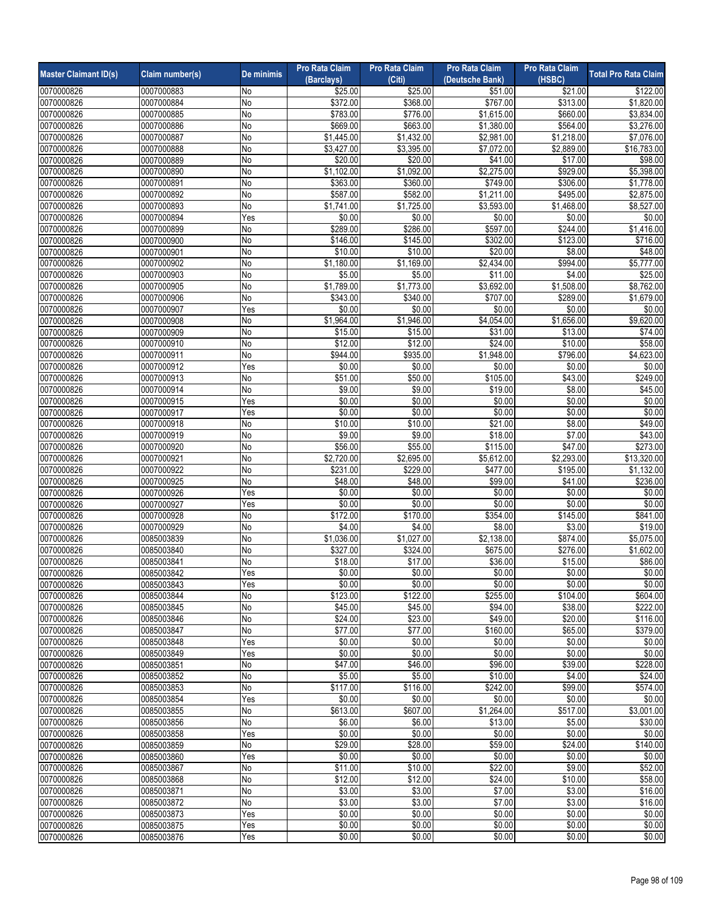| <b>Master Claimant ID(s)</b> | Claim number(s)          | De minimis | Pro Rata Claim<br>(Barclays) | <b>Pro Rata Claim</b> | Pro Rata Claim      | Pro Rata Claim    | <b>Total Pro Rata Claim</b> |
|------------------------------|--------------------------|------------|------------------------------|-----------------------|---------------------|-------------------|-----------------------------|
|                              |                          | No         |                              | (Citi)                | (Deutsche Bank)     | (HSBC)<br>\$21.00 |                             |
| 0070000826<br>0070000826     | 0007000883<br>0007000884 | No         | \$25.00<br>\$372.00          | \$25.00<br>\$368.00   | \$51.00<br>\$767.00 | \$313.00          | \$122.00                    |
|                              |                          | No         | \$783.00                     | \$776.00              | \$1,615.00          | \$660.00          | \$1,820.00<br>\$3,834.00    |
| 0070000826<br>0070000826     | 0007000885<br>0007000886 | No         | \$669.00                     | \$663.00              | \$1,380.00          | \$564.00          | \$3,276.00                  |
| 0070000826                   | 0007000887               | No         | \$1,445.00                   | \$1,432.00            | \$2,981.00          | \$1,218.00        | \$7,076.00                  |
| 0070000826                   | 0007000888               | No         | \$3,427.00                   | \$3,395.00            | \$7,072.00          | \$2,889.00        | \$16,783.00                 |
| 0070000826                   | 0007000889               | No         | \$20.00                      | \$20.00               | \$41.00             | \$17.00           | \$98.00                     |
| 0070000826                   | 0007000890               | No         | \$1,102.00                   | \$1,092.00            | \$2,275.00          | \$929.00          | \$5,398.00                  |
| 0070000826                   | 0007000891               | No         | \$363.00                     | \$360.00              | \$749.00            | \$306.00          | \$1,778.00                  |
| 0070000826                   | 0007000892               | No         | \$587.00                     | \$582.00              | \$1,211.00          | \$495.00          | \$2,875.00                  |
| 0070000826                   | 0007000893               | No         | \$1,741.00                   | \$1,725.00            | \$3,593.00          | \$1,468.00        | \$8,527.00                  |
| 0070000826                   | 0007000894               | Yes        | \$0.00                       | \$0.00                | \$0.00              | \$0.00            | \$0.00                      |
| 0070000826                   | 0007000899               | No         | \$289.00                     | \$286.00              | \$597.00            | \$244.00          | \$1,416.00                  |
| 0070000826                   | 0007000900               | No         | \$146.00                     | \$145.00              | \$302.00            | \$123.00          | \$716.00                    |
| 0070000826                   | 0007000901               | No         | \$10.00                      | \$10.00               | \$20.00             | \$8.00            | \$48.00                     |
| 0070000826                   | 0007000902               | No         | \$1,180.00                   | \$1,169.00            | \$2,434.00          | \$994.00          | \$5,777.00                  |
| 0070000826                   | 0007000903               | No         | \$5.00                       | \$5.00                | \$11.00             | \$4.00            | \$25.00                     |
| 0070000826                   | 0007000905               | No         | \$1,789.00                   | \$1,773.00            | \$3,692.00          | \$1,508.00        | \$8,762.00                  |
| 0070000826                   | 0007000906               | No         | \$343.00                     | \$340.00              | \$707.00            | \$289.00          | \$1,679.00                  |
| 0070000826                   | 0007000907               | Yes        | \$0.00                       | \$0.00                | \$0.00              | \$0.00            | \$0.00                      |
| 0070000826                   | 0007000908               | No         | \$1,964.00                   | \$1,946.00            | \$4,054.00          | \$1,656.00        | \$9,620.00                  |
| 0070000826                   | 0007000909               | No         | \$15.00                      | \$15.00               | \$31.00             | \$13.00           | \$74.00                     |
| 0070000826                   | 0007000910               | No         | \$12.00                      | \$12.00               | \$24.00             | \$10.00           | \$58.00                     |
| 0070000826                   | 0007000911               | No         | \$944.00                     | \$935.00              | \$1,948.00          | \$796.00          | \$4,623.00                  |
| 0070000826                   | 0007000912               | Yes        | \$0.00                       | \$0.00                | \$0.00              | \$0.00            | \$0.00                      |
| 0070000826                   | 0007000913               | No         | \$51.00                      | \$50.00               | \$105.00            | \$43.00           | \$249.00                    |
| 0070000826                   | 0007000914               | No         | \$9.00                       | \$9.00                | \$19.00             | \$8.00            | \$45.00                     |
| 0070000826                   | 0007000915               | Yes        | \$0.00                       | \$0.00                | \$0.00              | \$0.00            | \$0.00                      |
| 0070000826                   | 0007000917               | Yes        | \$0.00                       | \$0.00                | \$0.00              | \$0.00            | \$0.00                      |
| 0070000826                   | 0007000918               | No         | \$10.00                      | \$10.00               | \$21.00             | \$8.00            | \$49.00                     |
| 0070000826                   | 0007000919               | No         | \$9.00                       | \$9.00                | \$18.00             | \$7.00            | \$43.00                     |
| 0070000826                   | 0007000920               | <b>No</b>  | \$56.00                      | \$55.00               | \$115.00            | \$47.00           | \$273.00                    |
| 0070000826                   | 0007000921               | No         | \$2,720.00                   | \$2,695.00            | \$5,612.00          | \$2,293.00        | \$13,320.00                 |
| 0070000826                   | 0007000922               | No         | \$231.00                     | \$229.00              | \$477.00            | \$195.00          | \$1,132.00                  |
| 0070000826                   | 0007000925               | No         | \$48.00                      | \$48.00               | \$99.00             | \$41.00           | \$236.00                    |
| 0070000826                   | 0007000926               | Yes        | \$0.00                       | \$0.00                | \$0.00              | \$0.00            | \$0.00                      |
| 0070000826                   | 0007000927               | Yes        | \$0.00                       | \$0.00                | \$0.00              | \$0.00            | \$0.00                      |
| 0070000826                   | 0007000928               | No         | \$172.00                     | \$170.00              | \$354.00            | \$145.00          | \$841.00                    |
| 0070000826                   | 0007000929               | No         | \$4.00                       | \$4.00                | \$8.00              | \$3.00            | \$19.00                     |
| 0070000826                   | 0085003839               | No         | \$1,036.00                   | \$1,027.00            | \$2,138.00          | \$874.00          | \$5,075.00                  |
| 0070000826                   | 0085003840               | No         | \$327.00                     | \$324.00              | \$675.00            | \$276.00          | \$1,602.00                  |
| 0070000826                   | 0085003841               | No         | \$18.00                      | \$17.00               | \$36.00             | \$15.00           | \$86.00                     |
| 0070000826                   | 0085003842               | Yes        | \$0.00                       | \$0.00                | \$0.00              | \$0.00            | \$0.00                      |
| 0070000826                   | 0085003843               | Yes        | \$0.00                       | \$0.00                | \$0.00              | \$0.00            | \$0.00                      |
| 0070000826                   | 0085003844               | No         | \$123.00                     | \$122.00              | \$255.00            | \$104.00          | \$604.00                    |
| 0070000826                   | 0085003845               | No         | \$45.00                      | \$45.00               | \$94.00             | \$38.00           | \$222.00                    |
| 0070000826                   | 0085003846               | No         | \$24.00                      | \$23.00               | \$49.00             | \$20.00           | \$116.00                    |
| 0070000826                   | 0085003847               | No         | \$77.00                      | \$77.00               | \$160.00            | \$65.00           | \$379.00                    |
| 0070000826                   | 0085003848               | Yes        | \$0.00                       | \$0.00                | \$0.00              | \$0.00            | \$0.00                      |
| 0070000826                   | 0085003849               | Yes        | \$0.00                       | \$0.00                | \$0.00              | \$0.00            | \$0.00                      |
| 0070000826                   | 0085003851               | No         | \$47.00                      | \$46.00               | \$96.00             | \$39.00           | \$228.00                    |
| 0070000826                   | 0085003852               | No         | \$5.00                       | \$5.00                | \$10.00             | \$4.00            | \$24.00                     |
| 0070000826                   | 0085003853               | No         | \$117.00                     | \$116.00              | \$242.00            | \$99.00           | \$574.00                    |
| 0070000826                   | 0085003854               | Yes        | \$0.00                       | \$0.00                | \$0.00              | \$0.00            | \$0.00                      |
| 0070000826                   | 0085003855               | No         | \$613.00                     | \$607.00              | \$1,264.00          | \$517.00          | \$3,001.00                  |
| 0070000826                   | 0085003856               | No         | \$6.00                       | \$6.00                | \$13.00             | \$5.00            | \$30.00                     |
| 0070000826                   | 0085003858               | Yes        | \$0.00                       | \$0.00                | \$0.00              | \$0.00            | \$0.00                      |
| 0070000826                   | 0085003859               | No         | \$29.00                      | \$28.00               | \$59.00             | \$24.00           | \$140.00                    |
| 0070000826                   | 0085003860               | Yes        | \$0.00                       | \$0.00                | \$0.00              | \$0.00            | \$0.00                      |
| 0070000826                   | 0085003867               | No         | \$11.00                      | \$10.00               | \$22.00             | \$9.00            | \$52.00                     |
| 0070000826                   | 0085003868               | No         | \$12.00                      | \$12.00               | \$24.00             | \$10.00           | \$58.00                     |
| 0070000826                   | 0085003871               | No         | \$3.00                       | \$3.00                | \$7.00              | \$3.00            | \$16.00                     |
| 0070000826                   | 0085003872               | No         | \$3.00                       | \$3.00                | \$7.00              | \$3.00            | \$16.00                     |
| 0070000826                   | 0085003873               | Yes        | \$0.00                       | \$0.00                | \$0.00              | \$0.00            | \$0.00                      |
| 0070000826                   | 0085003875               | Yes        | \$0.00                       | \$0.00                | \$0.00              | \$0.00            | \$0.00                      |
| 0070000826                   | 0085003876               | Yes        | \$0.00                       | \$0.00                | \$0.00              | \$0.00            | \$0.00                      |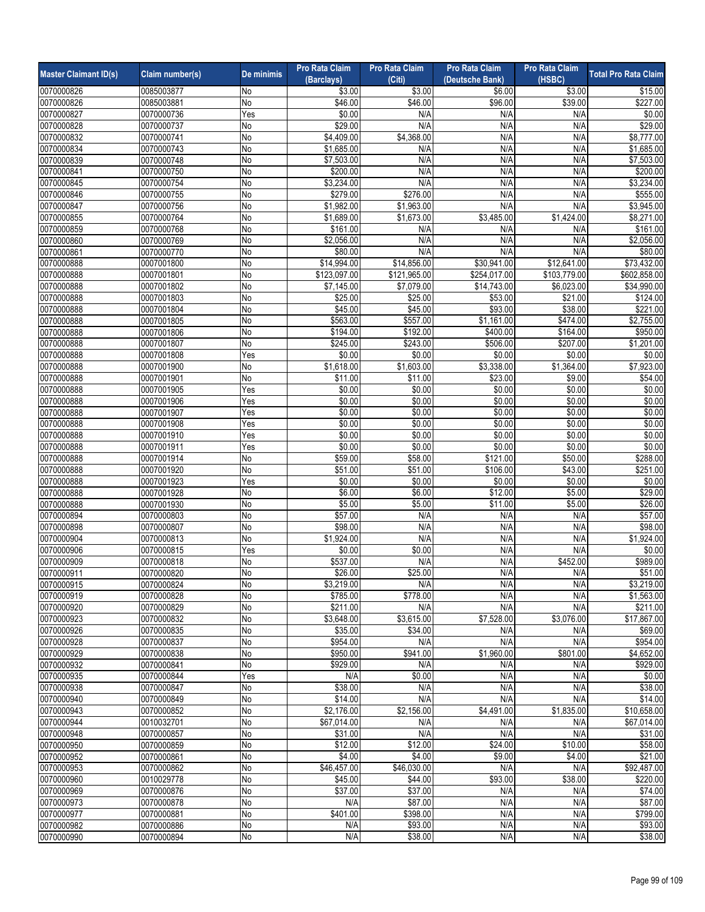| \$3.00<br>0070000826<br>0085003877<br>No<br>\$3.00<br>\$6.00<br>\$3.00<br>\$15.00<br>\$46.00<br>\$46.00<br>\$96.00<br>\$39.00<br>\$227.00<br>0070000826<br>0085003881<br>No<br>\$0.00<br>\$0.00<br>0070000827<br>0070000736<br>N/A<br>N/A<br>N/A<br>Yes<br>\$29.00<br>0070000828<br>0070000737<br>\$29.00<br>N/A<br>N/A<br>N/A<br>No<br>\$4,368.00<br>No<br>\$4,409.00<br>N/A<br>N/A<br>\$8,777.00<br>0070000832<br>0070000741<br>N/A<br>\$1,685.00<br>0070000834<br>0070000743<br>No<br>\$1,685.00<br>N/A<br>N/A<br>0070000839<br>\$7,503.00<br>0070000748<br>No<br>\$7,503.00<br>N/A<br>N/A<br>N/A<br>N/A<br>\$200.00<br>0070000841<br>0070000750<br>No<br>\$200.00<br>N/A<br>N/A<br>\$3,234.00<br>\$3,234.00<br>N/A<br>N/A<br>0070000845<br>0070000754<br>No<br>N/A<br>\$555.00<br>No<br>\$279.00<br>\$276.00<br>N/A<br>0070000846<br>0070000755<br>N/A<br>\$1,982.00<br>\$1,963.00<br>N/A<br>N/A<br>\$3,945.00<br>0070000847<br>0070000756<br>No<br>\$1,689.00<br>\$3,485.00<br>\$8,271.00<br>0070000855<br>No<br>\$1.673.00<br>\$1.424.00<br>0070000764<br>0070000859<br>0070000768<br>No<br>\$161.00<br>\$161.00<br>N/A<br>N/A<br>N/A<br>\$2,056.00<br>No<br>\$2,056.00<br>N/A<br>N/A<br>N/A<br>0070000860<br>0070000769<br>0070000770<br>\$80.00<br>N/A<br>N/A<br>\$80.00<br>0070000861<br>No<br>N/A<br>0070000888<br>0007001800<br>No<br>\$14,994.00<br>\$14,856.00<br>\$30,941.00<br>\$12,641.00<br>\$73,432.00<br>\$602,858.00<br>\$121,965.00<br>0070000888<br>0007001801<br>No<br>\$123,097.00<br>\$254,017.00<br>\$103,779.00<br>0070000888<br>0007001802<br>\$7,145.00<br>\$7,079.00<br>\$14,743.00<br>\$6,023.00<br>\$34,990.00<br>No<br>\$25.00<br>\$25.00<br>\$21.00<br>No<br>\$53.00<br>\$124.00<br>0070000888<br>0007001803<br>\$221.00<br>\$45.00<br>\$45.00<br>\$93.00<br>\$38.00<br>0070000888<br>0007001804<br>No<br>\$563.00<br>\$557.00<br>\$1,161.00<br>\$474.00<br>\$2,755.00<br>0070000888<br>No<br>0007001805<br>\$192.00<br>\$164.00<br>\$950.00<br>0070000888<br>0007001806<br>No<br>\$194.00<br>\$400.00<br>0070000888<br>No<br>\$243.00<br>\$1,201.00<br>0007001807<br>\$245.00<br>\$506.00<br>\$207.00<br>0070000888<br>\$0.00<br>\$0.00<br>\$0.00<br>0007001808<br>Yes<br>\$0.00<br>\$0.00<br>\$7,923.00<br>0070000888<br>\$1,618.00<br>\$1,603.00<br>\$3,338.00<br>\$1,364.00<br>0007001900<br>No<br><b>No</b><br>\$11.00<br>\$23.00<br>\$9.00<br>\$54.00<br>\$11.00<br>0070000888<br>0007001901<br>\$0.00<br>\$0.00<br>\$0.00<br>\$0.00<br>\$0.00<br>0070000888<br>0007001905<br>Yes<br>\$0.00<br>\$0.00<br>\$0.00<br>\$0.00<br>\$0.00<br>0070000888<br>0007001906<br>Yes<br>\$0.00<br>\$0.00<br>0070000888<br>0007001907<br>\$0.00<br>\$0.00<br>\$0.00<br>Yes<br>\$0.00<br>\$0.00<br>0070000888<br>0007001908<br>\$0.00<br>\$0.00<br>\$0.00<br>Yes<br>\$0.00<br>\$0.00<br>\$0.00<br>\$0.00<br>\$0.00<br>0070000888<br>0007001910<br>Yes<br>\$0.00<br>\$0.00<br>\$0.00<br>\$0.00<br>\$0.00<br>0070000888<br>0007001911<br>Yes<br>0070000888<br>\$58.00<br>\$288.00<br>0007001914<br>No<br>\$59.00<br>\$121.00<br>\$50.00<br>\$51.00<br>\$251.00<br>0070000888<br>0007001920<br>No<br>\$51.00<br>\$106.00<br>\$43.00<br>\$0.00<br>\$0.00<br>Yes<br>\$0.00<br>\$0.00<br>\$0.00<br>0070000888<br>0007001923<br>\$6.00<br>\$5.00<br>\$29.00<br>0070000888<br>0007001928<br><b>No</b><br>\$6.00<br>\$12.00<br>\$5.00<br>\$5.00<br>\$5.00<br>\$26.00<br>\$11.00<br>0070000888<br>0007001930<br>No<br>N/A<br>\$57.00<br>0070000894<br>0070000803<br><b>No</b><br>\$57.00<br>N/A<br>N/A<br>\$98.00<br>\$98.00<br>0070000898<br>0070000807<br>No<br>N/A<br>N/A<br>N/A<br>\$1,924.00<br>N/A<br>N/A<br>\$1,924.00<br>0070000904<br>0070000813<br>No<br>N/A<br>\$0.00<br>N/A<br>0070000906<br>0070000815<br>Yes<br>\$0.00<br>N/A<br>\$0.00<br>\$989.00<br>0070000909<br>No<br>\$537.00<br>N/A<br>\$452.00<br>0070000818<br>N/A<br>0070000911<br>\$26.00<br>\$25.00<br>N/A<br>\$51.00<br>0070000820<br>N/A<br>No<br>\$3,219.00<br>0070000824<br>No<br>N/A<br>N/A<br>N/A<br>\$3,219.00<br>0070000915<br>No<br>0070000919<br>0070000828<br>\$785.00<br>\$778.00<br>N/A<br>N/A<br>\$1.563.00<br>\$211.00<br>N/A<br>N/A<br>N/A<br>\$211.00<br>0070000920<br>0070000829<br>No<br>0070000923<br>0070000832<br>No<br>\$3,648.00<br>\$3.615.00<br>\$7,528.00<br>\$3,076.00<br>\$17,867.00<br>0070000926<br>0070000835<br>No<br>\$35.00<br>\$34.00<br>\$69.00<br>N/A<br>N/A<br>0070000928<br>0070000837<br>No<br>\$954.00<br>N/A<br>N/A<br>N/A<br>\$954.00<br>0070000929<br>0070000838<br>No<br>\$950.00<br>\$941.00<br>\$1,960.00<br>\$4,652.00<br>\$801.00<br>No<br>\$929.00<br>\$929.00<br>0070000932<br>0070000841<br>N/A<br>N/A<br>N/A<br>\$0.00<br>N/A<br>0070000844<br>Yes<br>N/A<br>N/A<br>\$0.00<br>0070000935<br>\$38.00<br>N/A<br>N/A<br>\$38.00<br>0070000938<br>0070000847<br>No<br>N/A<br>0070000940<br>0070000849<br>No<br>N/A<br>\$14.00<br>N/A<br>N/A<br>\$14.00<br>No<br>\$2,176.00<br>\$2,156.00<br>\$4,491.00<br>\$1,835.00<br>\$10,658.00<br>0070000943<br>0070000852<br>0070000944<br>0010032701<br>No<br>\$67,014.00<br>N/A<br>N/A<br>\$67,014.00<br>N/A<br>0070000948<br>0070000857<br><b>No</b><br>N/A<br>N/A<br>N/A<br>\$31.00<br>\$31.00<br>\$12.00<br>0070000950<br>0070000859<br>No<br>\$12.00<br>\$24.00<br>\$10.00<br>\$58.00<br>0070000952<br>0070000861<br>No<br>\$4.00<br>\$4.00<br>\$9.00<br>\$4.00<br>\$21.00<br><b>No</b><br>N/A<br>\$92,487.00<br>0070000953<br>0070000862<br>\$46,457.00<br>\$46,030.00<br>N/A<br>\$44.00<br>\$93.00<br>\$220.00<br>0070000960<br>0010029778<br>No<br>\$45.00<br>\$38.00<br>\$37.00<br>No<br>\$37.00<br>N/A<br>\$74.00<br>0070000969<br>0070000876<br>N/A<br><b>No</b><br>\$87.00<br>N/A<br>\$87.00<br>0070000973<br>0070000878<br>N/A<br>N/A<br>No<br>\$401.00<br>\$398.00<br>N/A<br>N/A<br>\$799.00<br>0070000977<br>0070000881<br>0070000982<br>0070000886<br>No<br>\$93.00<br>N/A<br>\$93.00<br>N/A<br>N/A<br>0070000990<br><b>No</b><br>N/A<br>\$38.00<br>N/A<br>\$38.00<br>0070000894<br>N/A | <b>Master Claimant ID(s)</b> | Claim number(s) | De minimis | <b>Pro Rata Claim</b><br>(Barclays) | <b>Pro Rata Claim</b><br>(Citi) | Pro Rata Claim<br>(Deutsche Bank) | <b>Pro Rata Claim</b><br>(HSBC) | Total Pro Rata Claim |
|------------------------------------------------------------------------------------------------------------------------------------------------------------------------------------------------------------------------------------------------------------------------------------------------------------------------------------------------------------------------------------------------------------------------------------------------------------------------------------------------------------------------------------------------------------------------------------------------------------------------------------------------------------------------------------------------------------------------------------------------------------------------------------------------------------------------------------------------------------------------------------------------------------------------------------------------------------------------------------------------------------------------------------------------------------------------------------------------------------------------------------------------------------------------------------------------------------------------------------------------------------------------------------------------------------------------------------------------------------------------------------------------------------------------------------------------------------------------------------------------------------------------------------------------------------------------------------------------------------------------------------------------------------------------------------------------------------------------------------------------------------------------------------------------------------------------------------------------------------------------------------------------------------------------------------------------------------------------------------------------------------------------------------------------------------------------------------------------------------------------------------------------------------------------------------------------------------------------------------------------------------------------------------------------------------------------------------------------------------------------------------------------------------------------------------------------------------------------------------------------------------------------------------------------------------------------------------------------------------------------------------------------------------------------------------------------------------------------------------------------------------------------------------------------------------------------------------------------------------------------------------------------------------------------------------------------------------------------------------------------------------------------------------------------------------------------------------------------------------------------------------------------------------------------------------------------------------------------------------------------------------------------------------------------------------------------------------------------------------------------------------------------------------------------------------------------------------------------------------------------------------------------------------------------------------------------------------------------------------------------------------------------------------------------------------------------------------------------------------------------------------------------------------------------------------------------------------------------------------------------------------------------------------------------------------------------------------------------------------------------------------------------------------------------------------------------------------------------------------------------------------------------------------------------------------------------------------------------------------------------------------------------------------------------------------------------------------------------------------------------------------------------------------------------------------------------------------------------------------------------------------------------------------------------------------------------------------------------------------------------------------------------------------------------------------------------------------------------------------------------------------------------------------------------------------------------------------------------------------------------------------------------------------------------------------------------------------------------------------------------------------------------------------------------------------------------------------------------------------------------------------------------------------------------------------------------------------------------------------------------------------------------------------------------------------------------------------------------------------------------------------------------------------------------------------------------------------------------------------------------------------------------------------------------------------------------------------------------------------------------------------------------------------------------------------------------------------------------------------------------------------------------------------------------------------------------------------------------------------------------------------------------------------------------------------------------------------------------------------------|------------------------------|-----------------|------------|-------------------------------------|---------------------------------|-----------------------------------|---------------------------------|----------------------|
|                                                                                                                                                                                                                                                                                                                                                                                                                                                                                                                                                                                                                                                                                                                                                                                                                                                                                                                                                                                                                                                                                                                                                                                                                                                                                                                                                                                                                                                                                                                                                                                                                                                                                                                                                                                                                                                                                                                                                                                                                                                                                                                                                                                                                                                                                                                                                                                                                                                                                                                                                                                                                                                                                                                                                                                                                                                                                                                                                                                                                                                                                                                                                                                                                                                                                                                                                                                                                                                                                                                                                                                                                                                                                                                                                                                                                                                                                                                                                                                                                                                                                                                                                                                                                                                                                                                                                                                                                                                                                                                                                                                                                                                                                                                                                                                                                                                                                                                                                                                                                                                                                                                                                                                                                                                                                                                                                                                                                                                                                                                                                                                                                                                                                                                                                                                                                                                                                                                                                                                          |                              |                 |            |                                     |                                 |                                   |                                 |                      |
|                                                                                                                                                                                                                                                                                                                                                                                                                                                                                                                                                                                                                                                                                                                                                                                                                                                                                                                                                                                                                                                                                                                                                                                                                                                                                                                                                                                                                                                                                                                                                                                                                                                                                                                                                                                                                                                                                                                                                                                                                                                                                                                                                                                                                                                                                                                                                                                                                                                                                                                                                                                                                                                                                                                                                                                                                                                                                                                                                                                                                                                                                                                                                                                                                                                                                                                                                                                                                                                                                                                                                                                                                                                                                                                                                                                                                                                                                                                                                                                                                                                                                                                                                                                                                                                                                                                                                                                                                                                                                                                                                                                                                                                                                                                                                                                                                                                                                                                                                                                                                                                                                                                                                                                                                                                                                                                                                                                                                                                                                                                                                                                                                                                                                                                                                                                                                                                                                                                                                                                          |                              |                 |            |                                     |                                 |                                   |                                 |                      |
|                                                                                                                                                                                                                                                                                                                                                                                                                                                                                                                                                                                                                                                                                                                                                                                                                                                                                                                                                                                                                                                                                                                                                                                                                                                                                                                                                                                                                                                                                                                                                                                                                                                                                                                                                                                                                                                                                                                                                                                                                                                                                                                                                                                                                                                                                                                                                                                                                                                                                                                                                                                                                                                                                                                                                                                                                                                                                                                                                                                                                                                                                                                                                                                                                                                                                                                                                                                                                                                                                                                                                                                                                                                                                                                                                                                                                                                                                                                                                                                                                                                                                                                                                                                                                                                                                                                                                                                                                                                                                                                                                                                                                                                                                                                                                                                                                                                                                                                                                                                                                                                                                                                                                                                                                                                                                                                                                                                                                                                                                                                                                                                                                                                                                                                                                                                                                                                                                                                                                                                          |                              |                 |            |                                     |                                 |                                   |                                 |                      |
|                                                                                                                                                                                                                                                                                                                                                                                                                                                                                                                                                                                                                                                                                                                                                                                                                                                                                                                                                                                                                                                                                                                                                                                                                                                                                                                                                                                                                                                                                                                                                                                                                                                                                                                                                                                                                                                                                                                                                                                                                                                                                                                                                                                                                                                                                                                                                                                                                                                                                                                                                                                                                                                                                                                                                                                                                                                                                                                                                                                                                                                                                                                                                                                                                                                                                                                                                                                                                                                                                                                                                                                                                                                                                                                                                                                                                                                                                                                                                                                                                                                                                                                                                                                                                                                                                                                                                                                                                                                                                                                                                                                                                                                                                                                                                                                                                                                                                                                                                                                                                                                                                                                                                                                                                                                                                                                                                                                                                                                                                                                                                                                                                                                                                                                                                                                                                                                                                                                                                                                          |                              |                 |            |                                     |                                 |                                   |                                 |                      |
|                                                                                                                                                                                                                                                                                                                                                                                                                                                                                                                                                                                                                                                                                                                                                                                                                                                                                                                                                                                                                                                                                                                                                                                                                                                                                                                                                                                                                                                                                                                                                                                                                                                                                                                                                                                                                                                                                                                                                                                                                                                                                                                                                                                                                                                                                                                                                                                                                                                                                                                                                                                                                                                                                                                                                                                                                                                                                                                                                                                                                                                                                                                                                                                                                                                                                                                                                                                                                                                                                                                                                                                                                                                                                                                                                                                                                                                                                                                                                                                                                                                                                                                                                                                                                                                                                                                                                                                                                                                                                                                                                                                                                                                                                                                                                                                                                                                                                                                                                                                                                                                                                                                                                                                                                                                                                                                                                                                                                                                                                                                                                                                                                                                                                                                                                                                                                                                                                                                                                                                          |                              |                 |            |                                     |                                 |                                   |                                 |                      |
|                                                                                                                                                                                                                                                                                                                                                                                                                                                                                                                                                                                                                                                                                                                                                                                                                                                                                                                                                                                                                                                                                                                                                                                                                                                                                                                                                                                                                                                                                                                                                                                                                                                                                                                                                                                                                                                                                                                                                                                                                                                                                                                                                                                                                                                                                                                                                                                                                                                                                                                                                                                                                                                                                                                                                                                                                                                                                                                                                                                                                                                                                                                                                                                                                                                                                                                                                                                                                                                                                                                                                                                                                                                                                                                                                                                                                                                                                                                                                                                                                                                                                                                                                                                                                                                                                                                                                                                                                                                                                                                                                                                                                                                                                                                                                                                                                                                                                                                                                                                                                                                                                                                                                                                                                                                                                                                                                                                                                                                                                                                                                                                                                                                                                                                                                                                                                                                                                                                                                                                          |                              |                 |            |                                     |                                 |                                   |                                 |                      |
|                                                                                                                                                                                                                                                                                                                                                                                                                                                                                                                                                                                                                                                                                                                                                                                                                                                                                                                                                                                                                                                                                                                                                                                                                                                                                                                                                                                                                                                                                                                                                                                                                                                                                                                                                                                                                                                                                                                                                                                                                                                                                                                                                                                                                                                                                                                                                                                                                                                                                                                                                                                                                                                                                                                                                                                                                                                                                                                                                                                                                                                                                                                                                                                                                                                                                                                                                                                                                                                                                                                                                                                                                                                                                                                                                                                                                                                                                                                                                                                                                                                                                                                                                                                                                                                                                                                                                                                                                                                                                                                                                                                                                                                                                                                                                                                                                                                                                                                                                                                                                                                                                                                                                                                                                                                                                                                                                                                                                                                                                                                                                                                                                                                                                                                                                                                                                                                                                                                                                                                          |                              |                 |            |                                     |                                 |                                   |                                 |                      |
|                                                                                                                                                                                                                                                                                                                                                                                                                                                                                                                                                                                                                                                                                                                                                                                                                                                                                                                                                                                                                                                                                                                                                                                                                                                                                                                                                                                                                                                                                                                                                                                                                                                                                                                                                                                                                                                                                                                                                                                                                                                                                                                                                                                                                                                                                                                                                                                                                                                                                                                                                                                                                                                                                                                                                                                                                                                                                                                                                                                                                                                                                                                                                                                                                                                                                                                                                                                                                                                                                                                                                                                                                                                                                                                                                                                                                                                                                                                                                                                                                                                                                                                                                                                                                                                                                                                                                                                                                                                                                                                                                                                                                                                                                                                                                                                                                                                                                                                                                                                                                                                                                                                                                                                                                                                                                                                                                                                                                                                                                                                                                                                                                                                                                                                                                                                                                                                                                                                                                                                          |                              |                 |            |                                     |                                 |                                   |                                 |                      |
|                                                                                                                                                                                                                                                                                                                                                                                                                                                                                                                                                                                                                                                                                                                                                                                                                                                                                                                                                                                                                                                                                                                                                                                                                                                                                                                                                                                                                                                                                                                                                                                                                                                                                                                                                                                                                                                                                                                                                                                                                                                                                                                                                                                                                                                                                                                                                                                                                                                                                                                                                                                                                                                                                                                                                                                                                                                                                                                                                                                                                                                                                                                                                                                                                                                                                                                                                                                                                                                                                                                                                                                                                                                                                                                                                                                                                                                                                                                                                                                                                                                                                                                                                                                                                                                                                                                                                                                                                                                                                                                                                                                                                                                                                                                                                                                                                                                                                                                                                                                                                                                                                                                                                                                                                                                                                                                                                                                                                                                                                                                                                                                                                                                                                                                                                                                                                                                                                                                                                                                          |                              |                 |            |                                     |                                 |                                   |                                 |                      |
|                                                                                                                                                                                                                                                                                                                                                                                                                                                                                                                                                                                                                                                                                                                                                                                                                                                                                                                                                                                                                                                                                                                                                                                                                                                                                                                                                                                                                                                                                                                                                                                                                                                                                                                                                                                                                                                                                                                                                                                                                                                                                                                                                                                                                                                                                                                                                                                                                                                                                                                                                                                                                                                                                                                                                                                                                                                                                                                                                                                                                                                                                                                                                                                                                                                                                                                                                                                                                                                                                                                                                                                                                                                                                                                                                                                                                                                                                                                                                                                                                                                                                                                                                                                                                                                                                                                                                                                                                                                                                                                                                                                                                                                                                                                                                                                                                                                                                                                                                                                                                                                                                                                                                                                                                                                                                                                                                                                                                                                                                                                                                                                                                                                                                                                                                                                                                                                                                                                                                                                          |                              |                 |            |                                     |                                 |                                   |                                 |                      |
|                                                                                                                                                                                                                                                                                                                                                                                                                                                                                                                                                                                                                                                                                                                                                                                                                                                                                                                                                                                                                                                                                                                                                                                                                                                                                                                                                                                                                                                                                                                                                                                                                                                                                                                                                                                                                                                                                                                                                                                                                                                                                                                                                                                                                                                                                                                                                                                                                                                                                                                                                                                                                                                                                                                                                                                                                                                                                                                                                                                                                                                                                                                                                                                                                                                                                                                                                                                                                                                                                                                                                                                                                                                                                                                                                                                                                                                                                                                                                                                                                                                                                                                                                                                                                                                                                                                                                                                                                                                                                                                                                                                                                                                                                                                                                                                                                                                                                                                                                                                                                                                                                                                                                                                                                                                                                                                                                                                                                                                                                                                                                                                                                                                                                                                                                                                                                                                                                                                                                                                          |                              |                 |            |                                     |                                 |                                   |                                 |                      |
|                                                                                                                                                                                                                                                                                                                                                                                                                                                                                                                                                                                                                                                                                                                                                                                                                                                                                                                                                                                                                                                                                                                                                                                                                                                                                                                                                                                                                                                                                                                                                                                                                                                                                                                                                                                                                                                                                                                                                                                                                                                                                                                                                                                                                                                                                                                                                                                                                                                                                                                                                                                                                                                                                                                                                                                                                                                                                                                                                                                                                                                                                                                                                                                                                                                                                                                                                                                                                                                                                                                                                                                                                                                                                                                                                                                                                                                                                                                                                                                                                                                                                                                                                                                                                                                                                                                                                                                                                                                                                                                                                                                                                                                                                                                                                                                                                                                                                                                                                                                                                                                                                                                                                                                                                                                                                                                                                                                                                                                                                                                                                                                                                                                                                                                                                                                                                                                                                                                                                                                          |                              |                 |            |                                     |                                 |                                   |                                 |                      |
|                                                                                                                                                                                                                                                                                                                                                                                                                                                                                                                                                                                                                                                                                                                                                                                                                                                                                                                                                                                                                                                                                                                                                                                                                                                                                                                                                                                                                                                                                                                                                                                                                                                                                                                                                                                                                                                                                                                                                                                                                                                                                                                                                                                                                                                                                                                                                                                                                                                                                                                                                                                                                                                                                                                                                                                                                                                                                                                                                                                                                                                                                                                                                                                                                                                                                                                                                                                                                                                                                                                                                                                                                                                                                                                                                                                                                                                                                                                                                                                                                                                                                                                                                                                                                                                                                                                                                                                                                                                                                                                                                                                                                                                                                                                                                                                                                                                                                                                                                                                                                                                                                                                                                                                                                                                                                                                                                                                                                                                                                                                                                                                                                                                                                                                                                                                                                                                                                                                                                                                          |                              |                 |            |                                     |                                 |                                   |                                 |                      |
|                                                                                                                                                                                                                                                                                                                                                                                                                                                                                                                                                                                                                                                                                                                                                                                                                                                                                                                                                                                                                                                                                                                                                                                                                                                                                                                                                                                                                                                                                                                                                                                                                                                                                                                                                                                                                                                                                                                                                                                                                                                                                                                                                                                                                                                                                                                                                                                                                                                                                                                                                                                                                                                                                                                                                                                                                                                                                                                                                                                                                                                                                                                                                                                                                                                                                                                                                                                                                                                                                                                                                                                                                                                                                                                                                                                                                                                                                                                                                                                                                                                                                                                                                                                                                                                                                                                                                                                                                                                                                                                                                                                                                                                                                                                                                                                                                                                                                                                                                                                                                                                                                                                                                                                                                                                                                                                                                                                                                                                                                                                                                                                                                                                                                                                                                                                                                                                                                                                                                                                          |                              |                 |            |                                     |                                 |                                   |                                 |                      |
|                                                                                                                                                                                                                                                                                                                                                                                                                                                                                                                                                                                                                                                                                                                                                                                                                                                                                                                                                                                                                                                                                                                                                                                                                                                                                                                                                                                                                                                                                                                                                                                                                                                                                                                                                                                                                                                                                                                                                                                                                                                                                                                                                                                                                                                                                                                                                                                                                                                                                                                                                                                                                                                                                                                                                                                                                                                                                                                                                                                                                                                                                                                                                                                                                                                                                                                                                                                                                                                                                                                                                                                                                                                                                                                                                                                                                                                                                                                                                                                                                                                                                                                                                                                                                                                                                                                                                                                                                                                                                                                                                                                                                                                                                                                                                                                                                                                                                                                                                                                                                                                                                                                                                                                                                                                                                                                                                                                                                                                                                                                                                                                                                                                                                                                                                                                                                                                                                                                                                                                          |                              |                 |            |                                     |                                 |                                   |                                 |                      |
|                                                                                                                                                                                                                                                                                                                                                                                                                                                                                                                                                                                                                                                                                                                                                                                                                                                                                                                                                                                                                                                                                                                                                                                                                                                                                                                                                                                                                                                                                                                                                                                                                                                                                                                                                                                                                                                                                                                                                                                                                                                                                                                                                                                                                                                                                                                                                                                                                                                                                                                                                                                                                                                                                                                                                                                                                                                                                                                                                                                                                                                                                                                                                                                                                                                                                                                                                                                                                                                                                                                                                                                                                                                                                                                                                                                                                                                                                                                                                                                                                                                                                                                                                                                                                                                                                                                                                                                                                                                                                                                                                                                                                                                                                                                                                                                                                                                                                                                                                                                                                                                                                                                                                                                                                                                                                                                                                                                                                                                                                                                                                                                                                                                                                                                                                                                                                                                                                                                                                                                          |                              |                 |            |                                     |                                 |                                   |                                 |                      |
|                                                                                                                                                                                                                                                                                                                                                                                                                                                                                                                                                                                                                                                                                                                                                                                                                                                                                                                                                                                                                                                                                                                                                                                                                                                                                                                                                                                                                                                                                                                                                                                                                                                                                                                                                                                                                                                                                                                                                                                                                                                                                                                                                                                                                                                                                                                                                                                                                                                                                                                                                                                                                                                                                                                                                                                                                                                                                                                                                                                                                                                                                                                                                                                                                                                                                                                                                                                                                                                                                                                                                                                                                                                                                                                                                                                                                                                                                                                                                                                                                                                                                                                                                                                                                                                                                                                                                                                                                                                                                                                                                                                                                                                                                                                                                                                                                                                                                                                                                                                                                                                                                                                                                                                                                                                                                                                                                                                                                                                                                                                                                                                                                                                                                                                                                                                                                                                                                                                                                                                          |                              |                 |            |                                     |                                 |                                   |                                 |                      |
|                                                                                                                                                                                                                                                                                                                                                                                                                                                                                                                                                                                                                                                                                                                                                                                                                                                                                                                                                                                                                                                                                                                                                                                                                                                                                                                                                                                                                                                                                                                                                                                                                                                                                                                                                                                                                                                                                                                                                                                                                                                                                                                                                                                                                                                                                                                                                                                                                                                                                                                                                                                                                                                                                                                                                                                                                                                                                                                                                                                                                                                                                                                                                                                                                                                                                                                                                                                                                                                                                                                                                                                                                                                                                                                                                                                                                                                                                                                                                                                                                                                                                                                                                                                                                                                                                                                                                                                                                                                                                                                                                                                                                                                                                                                                                                                                                                                                                                                                                                                                                                                                                                                                                                                                                                                                                                                                                                                                                                                                                                                                                                                                                                                                                                                                                                                                                                                                                                                                                                                          |                              |                 |            |                                     |                                 |                                   |                                 |                      |
|                                                                                                                                                                                                                                                                                                                                                                                                                                                                                                                                                                                                                                                                                                                                                                                                                                                                                                                                                                                                                                                                                                                                                                                                                                                                                                                                                                                                                                                                                                                                                                                                                                                                                                                                                                                                                                                                                                                                                                                                                                                                                                                                                                                                                                                                                                                                                                                                                                                                                                                                                                                                                                                                                                                                                                                                                                                                                                                                                                                                                                                                                                                                                                                                                                                                                                                                                                                                                                                                                                                                                                                                                                                                                                                                                                                                                                                                                                                                                                                                                                                                                                                                                                                                                                                                                                                                                                                                                                                                                                                                                                                                                                                                                                                                                                                                                                                                                                                                                                                                                                                                                                                                                                                                                                                                                                                                                                                                                                                                                                                                                                                                                                                                                                                                                                                                                                                                                                                                                                                          |                              |                 |            |                                     |                                 |                                   |                                 |                      |
|                                                                                                                                                                                                                                                                                                                                                                                                                                                                                                                                                                                                                                                                                                                                                                                                                                                                                                                                                                                                                                                                                                                                                                                                                                                                                                                                                                                                                                                                                                                                                                                                                                                                                                                                                                                                                                                                                                                                                                                                                                                                                                                                                                                                                                                                                                                                                                                                                                                                                                                                                                                                                                                                                                                                                                                                                                                                                                                                                                                                                                                                                                                                                                                                                                                                                                                                                                                                                                                                                                                                                                                                                                                                                                                                                                                                                                                                                                                                                                                                                                                                                                                                                                                                                                                                                                                                                                                                                                                                                                                                                                                                                                                                                                                                                                                                                                                                                                                                                                                                                                                                                                                                                                                                                                                                                                                                                                                                                                                                                                                                                                                                                                                                                                                                                                                                                                                                                                                                                                                          |                              |                 |            |                                     |                                 |                                   |                                 |                      |
|                                                                                                                                                                                                                                                                                                                                                                                                                                                                                                                                                                                                                                                                                                                                                                                                                                                                                                                                                                                                                                                                                                                                                                                                                                                                                                                                                                                                                                                                                                                                                                                                                                                                                                                                                                                                                                                                                                                                                                                                                                                                                                                                                                                                                                                                                                                                                                                                                                                                                                                                                                                                                                                                                                                                                                                                                                                                                                                                                                                                                                                                                                                                                                                                                                                                                                                                                                                                                                                                                                                                                                                                                                                                                                                                                                                                                                                                                                                                                                                                                                                                                                                                                                                                                                                                                                                                                                                                                                                                                                                                                                                                                                                                                                                                                                                                                                                                                                                                                                                                                                                                                                                                                                                                                                                                                                                                                                                                                                                                                                                                                                                                                                                                                                                                                                                                                                                                                                                                                                                          |                              |                 |            |                                     |                                 |                                   |                                 |                      |
|                                                                                                                                                                                                                                                                                                                                                                                                                                                                                                                                                                                                                                                                                                                                                                                                                                                                                                                                                                                                                                                                                                                                                                                                                                                                                                                                                                                                                                                                                                                                                                                                                                                                                                                                                                                                                                                                                                                                                                                                                                                                                                                                                                                                                                                                                                                                                                                                                                                                                                                                                                                                                                                                                                                                                                                                                                                                                                                                                                                                                                                                                                                                                                                                                                                                                                                                                                                                                                                                                                                                                                                                                                                                                                                                                                                                                                                                                                                                                                                                                                                                                                                                                                                                                                                                                                                                                                                                                                                                                                                                                                                                                                                                                                                                                                                                                                                                                                                                                                                                                                                                                                                                                                                                                                                                                                                                                                                                                                                                                                                                                                                                                                                                                                                                                                                                                                                                                                                                                                                          |                              |                 |            |                                     |                                 |                                   |                                 |                      |
|                                                                                                                                                                                                                                                                                                                                                                                                                                                                                                                                                                                                                                                                                                                                                                                                                                                                                                                                                                                                                                                                                                                                                                                                                                                                                                                                                                                                                                                                                                                                                                                                                                                                                                                                                                                                                                                                                                                                                                                                                                                                                                                                                                                                                                                                                                                                                                                                                                                                                                                                                                                                                                                                                                                                                                                                                                                                                                                                                                                                                                                                                                                                                                                                                                                                                                                                                                                                                                                                                                                                                                                                                                                                                                                                                                                                                                                                                                                                                                                                                                                                                                                                                                                                                                                                                                                                                                                                                                                                                                                                                                                                                                                                                                                                                                                                                                                                                                                                                                                                                                                                                                                                                                                                                                                                                                                                                                                                                                                                                                                                                                                                                                                                                                                                                                                                                                                                                                                                                                                          |                              |                 |            |                                     |                                 |                                   |                                 |                      |
|                                                                                                                                                                                                                                                                                                                                                                                                                                                                                                                                                                                                                                                                                                                                                                                                                                                                                                                                                                                                                                                                                                                                                                                                                                                                                                                                                                                                                                                                                                                                                                                                                                                                                                                                                                                                                                                                                                                                                                                                                                                                                                                                                                                                                                                                                                                                                                                                                                                                                                                                                                                                                                                                                                                                                                                                                                                                                                                                                                                                                                                                                                                                                                                                                                                                                                                                                                                                                                                                                                                                                                                                                                                                                                                                                                                                                                                                                                                                                                                                                                                                                                                                                                                                                                                                                                                                                                                                                                                                                                                                                                                                                                                                                                                                                                                                                                                                                                                                                                                                                                                                                                                                                                                                                                                                                                                                                                                                                                                                                                                                                                                                                                                                                                                                                                                                                                                                                                                                                                                          |                              |                 |            |                                     |                                 |                                   |                                 |                      |
|                                                                                                                                                                                                                                                                                                                                                                                                                                                                                                                                                                                                                                                                                                                                                                                                                                                                                                                                                                                                                                                                                                                                                                                                                                                                                                                                                                                                                                                                                                                                                                                                                                                                                                                                                                                                                                                                                                                                                                                                                                                                                                                                                                                                                                                                                                                                                                                                                                                                                                                                                                                                                                                                                                                                                                                                                                                                                                                                                                                                                                                                                                                                                                                                                                                                                                                                                                                                                                                                                                                                                                                                                                                                                                                                                                                                                                                                                                                                                                                                                                                                                                                                                                                                                                                                                                                                                                                                                                                                                                                                                                                                                                                                                                                                                                                                                                                                                                                                                                                                                                                                                                                                                                                                                                                                                                                                                                                                                                                                                                                                                                                                                                                                                                                                                                                                                                                                                                                                                                                          |                              |                 |            |                                     |                                 |                                   |                                 |                      |
|                                                                                                                                                                                                                                                                                                                                                                                                                                                                                                                                                                                                                                                                                                                                                                                                                                                                                                                                                                                                                                                                                                                                                                                                                                                                                                                                                                                                                                                                                                                                                                                                                                                                                                                                                                                                                                                                                                                                                                                                                                                                                                                                                                                                                                                                                                                                                                                                                                                                                                                                                                                                                                                                                                                                                                                                                                                                                                                                                                                                                                                                                                                                                                                                                                                                                                                                                                                                                                                                                                                                                                                                                                                                                                                                                                                                                                                                                                                                                                                                                                                                                                                                                                                                                                                                                                                                                                                                                                                                                                                                                                                                                                                                                                                                                                                                                                                                                                                                                                                                                                                                                                                                                                                                                                                                                                                                                                                                                                                                                                                                                                                                                                                                                                                                                                                                                                                                                                                                                                                          |                              |                 |            |                                     |                                 |                                   |                                 |                      |
|                                                                                                                                                                                                                                                                                                                                                                                                                                                                                                                                                                                                                                                                                                                                                                                                                                                                                                                                                                                                                                                                                                                                                                                                                                                                                                                                                                                                                                                                                                                                                                                                                                                                                                                                                                                                                                                                                                                                                                                                                                                                                                                                                                                                                                                                                                                                                                                                                                                                                                                                                                                                                                                                                                                                                                                                                                                                                                                                                                                                                                                                                                                                                                                                                                                                                                                                                                                                                                                                                                                                                                                                                                                                                                                                                                                                                                                                                                                                                                                                                                                                                                                                                                                                                                                                                                                                                                                                                                                                                                                                                                                                                                                                                                                                                                                                                                                                                                                                                                                                                                                                                                                                                                                                                                                                                                                                                                                                                                                                                                                                                                                                                                                                                                                                                                                                                                                                                                                                                                                          |                              |                 |            |                                     |                                 |                                   |                                 |                      |
|                                                                                                                                                                                                                                                                                                                                                                                                                                                                                                                                                                                                                                                                                                                                                                                                                                                                                                                                                                                                                                                                                                                                                                                                                                                                                                                                                                                                                                                                                                                                                                                                                                                                                                                                                                                                                                                                                                                                                                                                                                                                                                                                                                                                                                                                                                                                                                                                                                                                                                                                                                                                                                                                                                                                                                                                                                                                                                                                                                                                                                                                                                                                                                                                                                                                                                                                                                                                                                                                                                                                                                                                                                                                                                                                                                                                                                                                                                                                                                                                                                                                                                                                                                                                                                                                                                                                                                                                                                                                                                                                                                                                                                                                                                                                                                                                                                                                                                                                                                                                                                                                                                                                                                                                                                                                                                                                                                                                                                                                                                                                                                                                                                                                                                                                                                                                                                                                                                                                                                                          |                              |                 |            |                                     |                                 |                                   |                                 |                      |
|                                                                                                                                                                                                                                                                                                                                                                                                                                                                                                                                                                                                                                                                                                                                                                                                                                                                                                                                                                                                                                                                                                                                                                                                                                                                                                                                                                                                                                                                                                                                                                                                                                                                                                                                                                                                                                                                                                                                                                                                                                                                                                                                                                                                                                                                                                                                                                                                                                                                                                                                                                                                                                                                                                                                                                                                                                                                                                                                                                                                                                                                                                                                                                                                                                                                                                                                                                                                                                                                                                                                                                                                                                                                                                                                                                                                                                                                                                                                                                                                                                                                                                                                                                                                                                                                                                                                                                                                                                                                                                                                                                                                                                                                                                                                                                                                                                                                                                                                                                                                                                                                                                                                                                                                                                                                                                                                                                                                                                                                                                                                                                                                                                                                                                                                                                                                                                                                                                                                                                                          |                              |                 |            |                                     |                                 |                                   |                                 |                      |
|                                                                                                                                                                                                                                                                                                                                                                                                                                                                                                                                                                                                                                                                                                                                                                                                                                                                                                                                                                                                                                                                                                                                                                                                                                                                                                                                                                                                                                                                                                                                                                                                                                                                                                                                                                                                                                                                                                                                                                                                                                                                                                                                                                                                                                                                                                                                                                                                                                                                                                                                                                                                                                                                                                                                                                                                                                                                                                                                                                                                                                                                                                                                                                                                                                                                                                                                                                                                                                                                                                                                                                                                                                                                                                                                                                                                                                                                                                                                                                                                                                                                                                                                                                                                                                                                                                                                                                                                                                                                                                                                                                                                                                                                                                                                                                                                                                                                                                                                                                                                                                                                                                                                                                                                                                                                                                                                                                                                                                                                                                                                                                                                                                                                                                                                                                                                                                                                                                                                                                                          |                              |                 |            |                                     |                                 |                                   |                                 |                      |
|                                                                                                                                                                                                                                                                                                                                                                                                                                                                                                                                                                                                                                                                                                                                                                                                                                                                                                                                                                                                                                                                                                                                                                                                                                                                                                                                                                                                                                                                                                                                                                                                                                                                                                                                                                                                                                                                                                                                                                                                                                                                                                                                                                                                                                                                                                                                                                                                                                                                                                                                                                                                                                                                                                                                                                                                                                                                                                                                                                                                                                                                                                                                                                                                                                                                                                                                                                                                                                                                                                                                                                                                                                                                                                                                                                                                                                                                                                                                                                                                                                                                                                                                                                                                                                                                                                                                                                                                                                                                                                                                                                                                                                                                                                                                                                                                                                                                                                                                                                                                                                                                                                                                                                                                                                                                                                                                                                                                                                                                                                                                                                                                                                                                                                                                                                                                                                                                                                                                                                                          |                              |                 |            |                                     |                                 |                                   |                                 |                      |
|                                                                                                                                                                                                                                                                                                                                                                                                                                                                                                                                                                                                                                                                                                                                                                                                                                                                                                                                                                                                                                                                                                                                                                                                                                                                                                                                                                                                                                                                                                                                                                                                                                                                                                                                                                                                                                                                                                                                                                                                                                                                                                                                                                                                                                                                                                                                                                                                                                                                                                                                                                                                                                                                                                                                                                                                                                                                                                                                                                                                                                                                                                                                                                                                                                                                                                                                                                                                                                                                                                                                                                                                                                                                                                                                                                                                                                                                                                                                                                                                                                                                                                                                                                                                                                                                                                                                                                                                                                                                                                                                                                                                                                                                                                                                                                                                                                                                                                                                                                                                                                                                                                                                                                                                                                                                                                                                                                                                                                                                                                                                                                                                                                                                                                                                                                                                                                                                                                                                                                                          |                              |                 |            |                                     |                                 |                                   |                                 |                      |
|                                                                                                                                                                                                                                                                                                                                                                                                                                                                                                                                                                                                                                                                                                                                                                                                                                                                                                                                                                                                                                                                                                                                                                                                                                                                                                                                                                                                                                                                                                                                                                                                                                                                                                                                                                                                                                                                                                                                                                                                                                                                                                                                                                                                                                                                                                                                                                                                                                                                                                                                                                                                                                                                                                                                                                                                                                                                                                                                                                                                                                                                                                                                                                                                                                                                                                                                                                                                                                                                                                                                                                                                                                                                                                                                                                                                                                                                                                                                                                                                                                                                                                                                                                                                                                                                                                                                                                                                                                                                                                                                                                                                                                                                                                                                                                                                                                                                                                                                                                                                                                                                                                                                                                                                                                                                                                                                                                                                                                                                                                                                                                                                                                                                                                                                                                                                                                                                                                                                                                                          |                              |                 |            |                                     |                                 |                                   |                                 |                      |
|                                                                                                                                                                                                                                                                                                                                                                                                                                                                                                                                                                                                                                                                                                                                                                                                                                                                                                                                                                                                                                                                                                                                                                                                                                                                                                                                                                                                                                                                                                                                                                                                                                                                                                                                                                                                                                                                                                                                                                                                                                                                                                                                                                                                                                                                                                                                                                                                                                                                                                                                                                                                                                                                                                                                                                                                                                                                                                                                                                                                                                                                                                                                                                                                                                                                                                                                                                                                                                                                                                                                                                                                                                                                                                                                                                                                                                                                                                                                                                                                                                                                                                                                                                                                                                                                                                                                                                                                                                                                                                                                                                                                                                                                                                                                                                                                                                                                                                                                                                                                                                                                                                                                                                                                                                                                                                                                                                                                                                                                                                                                                                                                                                                                                                                                                                                                                                                                                                                                                                                          |                              |                 |            |                                     |                                 |                                   |                                 |                      |
|                                                                                                                                                                                                                                                                                                                                                                                                                                                                                                                                                                                                                                                                                                                                                                                                                                                                                                                                                                                                                                                                                                                                                                                                                                                                                                                                                                                                                                                                                                                                                                                                                                                                                                                                                                                                                                                                                                                                                                                                                                                                                                                                                                                                                                                                                                                                                                                                                                                                                                                                                                                                                                                                                                                                                                                                                                                                                                                                                                                                                                                                                                                                                                                                                                                                                                                                                                                                                                                                                                                                                                                                                                                                                                                                                                                                                                                                                                                                                                                                                                                                                                                                                                                                                                                                                                                                                                                                                                                                                                                                                                                                                                                                                                                                                                                                                                                                                                                                                                                                                                                                                                                                                                                                                                                                                                                                                                                                                                                                                                                                                                                                                                                                                                                                                                                                                                                                                                                                                                                          |                              |                 |            |                                     |                                 |                                   |                                 |                      |
|                                                                                                                                                                                                                                                                                                                                                                                                                                                                                                                                                                                                                                                                                                                                                                                                                                                                                                                                                                                                                                                                                                                                                                                                                                                                                                                                                                                                                                                                                                                                                                                                                                                                                                                                                                                                                                                                                                                                                                                                                                                                                                                                                                                                                                                                                                                                                                                                                                                                                                                                                                                                                                                                                                                                                                                                                                                                                                                                                                                                                                                                                                                                                                                                                                                                                                                                                                                                                                                                                                                                                                                                                                                                                                                                                                                                                                                                                                                                                                                                                                                                                                                                                                                                                                                                                                                                                                                                                                                                                                                                                                                                                                                                                                                                                                                                                                                                                                                                                                                                                                                                                                                                                                                                                                                                                                                                                                                                                                                                                                                                                                                                                                                                                                                                                                                                                                                                                                                                                                                          |                              |                 |            |                                     |                                 |                                   |                                 |                      |
|                                                                                                                                                                                                                                                                                                                                                                                                                                                                                                                                                                                                                                                                                                                                                                                                                                                                                                                                                                                                                                                                                                                                                                                                                                                                                                                                                                                                                                                                                                                                                                                                                                                                                                                                                                                                                                                                                                                                                                                                                                                                                                                                                                                                                                                                                                                                                                                                                                                                                                                                                                                                                                                                                                                                                                                                                                                                                                                                                                                                                                                                                                                                                                                                                                                                                                                                                                                                                                                                                                                                                                                                                                                                                                                                                                                                                                                                                                                                                                                                                                                                                                                                                                                                                                                                                                                                                                                                                                                                                                                                                                                                                                                                                                                                                                                                                                                                                                                                                                                                                                                                                                                                                                                                                                                                                                                                                                                                                                                                                                                                                                                                                                                                                                                                                                                                                                                                                                                                                                                          |                              |                 |            |                                     |                                 |                                   |                                 |                      |
|                                                                                                                                                                                                                                                                                                                                                                                                                                                                                                                                                                                                                                                                                                                                                                                                                                                                                                                                                                                                                                                                                                                                                                                                                                                                                                                                                                                                                                                                                                                                                                                                                                                                                                                                                                                                                                                                                                                                                                                                                                                                                                                                                                                                                                                                                                                                                                                                                                                                                                                                                                                                                                                                                                                                                                                                                                                                                                                                                                                                                                                                                                                                                                                                                                                                                                                                                                                                                                                                                                                                                                                                                                                                                                                                                                                                                                                                                                                                                                                                                                                                                                                                                                                                                                                                                                                                                                                                                                                                                                                                                                                                                                                                                                                                                                                                                                                                                                                                                                                                                                                                                                                                                                                                                                                                                                                                                                                                                                                                                                                                                                                                                                                                                                                                                                                                                                                                                                                                                                                          |                              |                 |            |                                     |                                 |                                   |                                 |                      |
|                                                                                                                                                                                                                                                                                                                                                                                                                                                                                                                                                                                                                                                                                                                                                                                                                                                                                                                                                                                                                                                                                                                                                                                                                                                                                                                                                                                                                                                                                                                                                                                                                                                                                                                                                                                                                                                                                                                                                                                                                                                                                                                                                                                                                                                                                                                                                                                                                                                                                                                                                                                                                                                                                                                                                                                                                                                                                                                                                                                                                                                                                                                                                                                                                                                                                                                                                                                                                                                                                                                                                                                                                                                                                                                                                                                                                                                                                                                                                                                                                                                                                                                                                                                                                                                                                                                                                                                                                                                                                                                                                                                                                                                                                                                                                                                                                                                                                                                                                                                                                                                                                                                                                                                                                                                                                                                                                                                                                                                                                                                                                                                                                                                                                                                                                                                                                                                                                                                                                                                          |                              |                 |            |                                     |                                 |                                   |                                 |                      |
|                                                                                                                                                                                                                                                                                                                                                                                                                                                                                                                                                                                                                                                                                                                                                                                                                                                                                                                                                                                                                                                                                                                                                                                                                                                                                                                                                                                                                                                                                                                                                                                                                                                                                                                                                                                                                                                                                                                                                                                                                                                                                                                                                                                                                                                                                                                                                                                                                                                                                                                                                                                                                                                                                                                                                                                                                                                                                                                                                                                                                                                                                                                                                                                                                                                                                                                                                                                                                                                                                                                                                                                                                                                                                                                                                                                                                                                                                                                                                                                                                                                                                                                                                                                                                                                                                                                                                                                                                                                                                                                                                                                                                                                                                                                                                                                                                                                                                                                                                                                                                                                                                                                                                                                                                                                                                                                                                                                                                                                                                                                                                                                                                                                                                                                                                                                                                                                                                                                                                                                          |                              |                 |            |                                     |                                 |                                   |                                 |                      |
|                                                                                                                                                                                                                                                                                                                                                                                                                                                                                                                                                                                                                                                                                                                                                                                                                                                                                                                                                                                                                                                                                                                                                                                                                                                                                                                                                                                                                                                                                                                                                                                                                                                                                                                                                                                                                                                                                                                                                                                                                                                                                                                                                                                                                                                                                                                                                                                                                                                                                                                                                                                                                                                                                                                                                                                                                                                                                                                                                                                                                                                                                                                                                                                                                                                                                                                                                                                                                                                                                                                                                                                                                                                                                                                                                                                                                                                                                                                                                                                                                                                                                                                                                                                                                                                                                                                                                                                                                                                                                                                                                                                                                                                                                                                                                                                                                                                                                                                                                                                                                                                                                                                                                                                                                                                                                                                                                                                                                                                                                                                                                                                                                                                                                                                                                                                                                                                                                                                                                                                          |                              |                 |            |                                     |                                 |                                   |                                 |                      |
|                                                                                                                                                                                                                                                                                                                                                                                                                                                                                                                                                                                                                                                                                                                                                                                                                                                                                                                                                                                                                                                                                                                                                                                                                                                                                                                                                                                                                                                                                                                                                                                                                                                                                                                                                                                                                                                                                                                                                                                                                                                                                                                                                                                                                                                                                                                                                                                                                                                                                                                                                                                                                                                                                                                                                                                                                                                                                                                                                                                                                                                                                                                                                                                                                                                                                                                                                                                                                                                                                                                                                                                                                                                                                                                                                                                                                                                                                                                                                                                                                                                                                                                                                                                                                                                                                                                                                                                                                                                                                                                                                                                                                                                                                                                                                                                                                                                                                                                                                                                                                                                                                                                                                                                                                                                                                                                                                                                                                                                                                                                                                                                                                                                                                                                                                                                                                                                                                                                                                                                          |                              |                 |            |                                     |                                 |                                   |                                 |                      |
|                                                                                                                                                                                                                                                                                                                                                                                                                                                                                                                                                                                                                                                                                                                                                                                                                                                                                                                                                                                                                                                                                                                                                                                                                                                                                                                                                                                                                                                                                                                                                                                                                                                                                                                                                                                                                                                                                                                                                                                                                                                                                                                                                                                                                                                                                                                                                                                                                                                                                                                                                                                                                                                                                                                                                                                                                                                                                                                                                                                                                                                                                                                                                                                                                                                                                                                                                                                                                                                                                                                                                                                                                                                                                                                                                                                                                                                                                                                                                                                                                                                                                                                                                                                                                                                                                                                                                                                                                                                                                                                                                                                                                                                                                                                                                                                                                                                                                                                                                                                                                                                                                                                                                                                                                                                                                                                                                                                                                                                                                                                                                                                                                                                                                                                                                                                                                                                                                                                                                                                          |                              |                 |            |                                     |                                 |                                   |                                 |                      |
|                                                                                                                                                                                                                                                                                                                                                                                                                                                                                                                                                                                                                                                                                                                                                                                                                                                                                                                                                                                                                                                                                                                                                                                                                                                                                                                                                                                                                                                                                                                                                                                                                                                                                                                                                                                                                                                                                                                                                                                                                                                                                                                                                                                                                                                                                                                                                                                                                                                                                                                                                                                                                                                                                                                                                                                                                                                                                                                                                                                                                                                                                                                                                                                                                                                                                                                                                                                                                                                                                                                                                                                                                                                                                                                                                                                                                                                                                                                                                                                                                                                                                                                                                                                                                                                                                                                                                                                                                                                                                                                                                                                                                                                                                                                                                                                                                                                                                                                                                                                                                                                                                                                                                                                                                                                                                                                                                                                                                                                                                                                                                                                                                                                                                                                                                                                                                                                                                                                                                                                          |                              |                 |            |                                     |                                 |                                   |                                 |                      |
|                                                                                                                                                                                                                                                                                                                                                                                                                                                                                                                                                                                                                                                                                                                                                                                                                                                                                                                                                                                                                                                                                                                                                                                                                                                                                                                                                                                                                                                                                                                                                                                                                                                                                                                                                                                                                                                                                                                                                                                                                                                                                                                                                                                                                                                                                                                                                                                                                                                                                                                                                                                                                                                                                                                                                                                                                                                                                                                                                                                                                                                                                                                                                                                                                                                                                                                                                                                                                                                                                                                                                                                                                                                                                                                                                                                                                                                                                                                                                                                                                                                                                                                                                                                                                                                                                                                                                                                                                                                                                                                                                                                                                                                                                                                                                                                                                                                                                                                                                                                                                                                                                                                                                                                                                                                                                                                                                                                                                                                                                                                                                                                                                                                                                                                                                                                                                                                                                                                                                                                          |                              |                 |            |                                     |                                 |                                   |                                 |                      |
|                                                                                                                                                                                                                                                                                                                                                                                                                                                                                                                                                                                                                                                                                                                                                                                                                                                                                                                                                                                                                                                                                                                                                                                                                                                                                                                                                                                                                                                                                                                                                                                                                                                                                                                                                                                                                                                                                                                                                                                                                                                                                                                                                                                                                                                                                                                                                                                                                                                                                                                                                                                                                                                                                                                                                                                                                                                                                                                                                                                                                                                                                                                                                                                                                                                                                                                                                                                                                                                                                                                                                                                                                                                                                                                                                                                                                                                                                                                                                                                                                                                                                                                                                                                                                                                                                                                                                                                                                                                                                                                                                                                                                                                                                                                                                                                                                                                                                                                                                                                                                                                                                                                                                                                                                                                                                                                                                                                                                                                                                                                                                                                                                                                                                                                                                                                                                                                                                                                                                                                          |                              |                 |            |                                     |                                 |                                   |                                 |                      |
|                                                                                                                                                                                                                                                                                                                                                                                                                                                                                                                                                                                                                                                                                                                                                                                                                                                                                                                                                                                                                                                                                                                                                                                                                                                                                                                                                                                                                                                                                                                                                                                                                                                                                                                                                                                                                                                                                                                                                                                                                                                                                                                                                                                                                                                                                                                                                                                                                                                                                                                                                                                                                                                                                                                                                                                                                                                                                                                                                                                                                                                                                                                                                                                                                                                                                                                                                                                                                                                                                                                                                                                                                                                                                                                                                                                                                                                                                                                                                                                                                                                                                                                                                                                                                                                                                                                                                                                                                                                                                                                                                                                                                                                                                                                                                                                                                                                                                                                                                                                                                                                                                                                                                                                                                                                                                                                                                                                                                                                                                                                                                                                                                                                                                                                                                                                                                                                                                                                                                                                          |                              |                 |            |                                     |                                 |                                   |                                 |                      |
|                                                                                                                                                                                                                                                                                                                                                                                                                                                                                                                                                                                                                                                                                                                                                                                                                                                                                                                                                                                                                                                                                                                                                                                                                                                                                                                                                                                                                                                                                                                                                                                                                                                                                                                                                                                                                                                                                                                                                                                                                                                                                                                                                                                                                                                                                                                                                                                                                                                                                                                                                                                                                                                                                                                                                                                                                                                                                                                                                                                                                                                                                                                                                                                                                                                                                                                                                                                                                                                                                                                                                                                                                                                                                                                                                                                                                                                                                                                                                                                                                                                                                                                                                                                                                                                                                                                                                                                                                                                                                                                                                                                                                                                                                                                                                                                                                                                                                                                                                                                                                                                                                                                                                                                                                                                                                                                                                                                                                                                                                                                                                                                                                                                                                                                                                                                                                                                                                                                                                                                          |                              |                 |            |                                     |                                 |                                   |                                 |                      |
|                                                                                                                                                                                                                                                                                                                                                                                                                                                                                                                                                                                                                                                                                                                                                                                                                                                                                                                                                                                                                                                                                                                                                                                                                                                                                                                                                                                                                                                                                                                                                                                                                                                                                                                                                                                                                                                                                                                                                                                                                                                                                                                                                                                                                                                                                                                                                                                                                                                                                                                                                                                                                                                                                                                                                                                                                                                                                                                                                                                                                                                                                                                                                                                                                                                                                                                                                                                                                                                                                                                                                                                                                                                                                                                                                                                                                                                                                                                                                                                                                                                                                                                                                                                                                                                                                                                                                                                                                                                                                                                                                                                                                                                                                                                                                                                                                                                                                                                                                                                                                                                                                                                                                                                                                                                                                                                                                                                                                                                                                                                                                                                                                                                                                                                                                                                                                                                                                                                                                                                          |                              |                 |            |                                     |                                 |                                   |                                 |                      |
|                                                                                                                                                                                                                                                                                                                                                                                                                                                                                                                                                                                                                                                                                                                                                                                                                                                                                                                                                                                                                                                                                                                                                                                                                                                                                                                                                                                                                                                                                                                                                                                                                                                                                                                                                                                                                                                                                                                                                                                                                                                                                                                                                                                                                                                                                                                                                                                                                                                                                                                                                                                                                                                                                                                                                                                                                                                                                                                                                                                                                                                                                                                                                                                                                                                                                                                                                                                                                                                                                                                                                                                                                                                                                                                                                                                                                                                                                                                                                                                                                                                                                                                                                                                                                                                                                                                                                                                                                                                                                                                                                                                                                                                                                                                                                                                                                                                                                                                                                                                                                                                                                                                                                                                                                                                                                                                                                                                                                                                                                                                                                                                                                                                                                                                                                                                                                                                                                                                                                                                          |                              |                 |            |                                     |                                 |                                   |                                 |                      |
|                                                                                                                                                                                                                                                                                                                                                                                                                                                                                                                                                                                                                                                                                                                                                                                                                                                                                                                                                                                                                                                                                                                                                                                                                                                                                                                                                                                                                                                                                                                                                                                                                                                                                                                                                                                                                                                                                                                                                                                                                                                                                                                                                                                                                                                                                                                                                                                                                                                                                                                                                                                                                                                                                                                                                                                                                                                                                                                                                                                                                                                                                                                                                                                                                                                                                                                                                                                                                                                                                                                                                                                                                                                                                                                                                                                                                                                                                                                                                                                                                                                                                                                                                                                                                                                                                                                                                                                                                                                                                                                                                                                                                                                                                                                                                                                                                                                                                                                                                                                                                                                                                                                                                                                                                                                                                                                                                                                                                                                                                                                                                                                                                                                                                                                                                                                                                                                                                                                                                                                          |                              |                 |            |                                     |                                 |                                   |                                 |                      |
|                                                                                                                                                                                                                                                                                                                                                                                                                                                                                                                                                                                                                                                                                                                                                                                                                                                                                                                                                                                                                                                                                                                                                                                                                                                                                                                                                                                                                                                                                                                                                                                                                                                                                                                                                                                                                                                                                                                                                                                                                                                                                                                                                                                                                                                                                                                                                                                                                                                                                                                                                                                                                                                                                                                                                                                                                                                                                                                                                                                                                                                                                                                                                                                                                                                                                                                                                                                                                                                                                                                                                                                                                                                                                                                                                                                                                                                                                                                                                                                                                                                                                                                                                                                                                                                                                                                                                                                                                                                                                                                                                                                                                                                                                                                                                                                                                                                                                                                                                                                                                                                                                                                                                                                                                                                                                                                                                                                                                                                                                                                                                                                                                                                                                                                                                                                                                                                                                                                                                                                          |                              |                 |            |                                     |                                 |                                   |                                 |                      |
|                                                                                                                                                                                                                                                                                                                                                                                                                                                                                                                                                                                                                                                                                                                                                                                                                                                                                                                                                                                                                                                                                                                                                                                                                                                                                                                                                                                                                                                                                                                                                                                                                                                                                                                                                                                                                                                                                                                                                                                                                                                                                                                                                                                                                                                                                                                                                                                                                                                                                                                                                                                                                                                                                                                                                                                                                                                                                                                                                                                                                                                                                                                                                                                                                                                                                                                                                                                                                                                                                                                                                                                                                                                                                                                                                                                                                                                                                                                                                                                                                                                                                                                                                                                                                                                                                                                                                                                                                                                                                                                                                                                                                                                                                                                                                                                                                                                                                                                                                                                                                                                                                                                                                                                                                                                                                                                                                                                                                                                                                                                                                                                                                                                                                                                                                                                                                                                                                                                                                                                          |                              |                 |            |                                     |                                 |                                   |                                 |                      |
|                                                                                                                                                                                                                                                                                                                                                                                                                                                                                                                                                                                                                                                                                                                                                                                                                                                                                                                                                                                                                                                                                                                                                                                                                                                                                                                                                                                                                                                                                                                                                                                                                                                                                                                                                                                                                                                                                                                                                                                                                                                                                                                                                                                                                                                                                                                                                                                                                                                                                                                                                                                                                                                                                                                                                                                                                                                                                                                                                                                                                                                                                                                                                                                                                                                                                                                                                                                                                                                                                                                                                                                                                                                                                                                                                                                                                                                                                                                                                                                                                                                                                                                                                                                                                                                                                                                                                                                                                                                                                                                                                                                                                                                                                                                                                                                                                                                                                                                                                                                                                                                                                                                                                                                                                                                                                                                                                                                                                                                                                                                                                                                                                                                                                                                                                                                                                                                                                                                                                                                          |                              |                 |            |                                     |                                 |                                   |                                 |                      |
|                                                                                                                                                                                                                                                                                                                                                                                                                                                                                                                                                                                                                                                                                                                                                                                                                                                                                                                                                                                                                                                                                                                                                                                                                                                                                                                                                                                                                                                                                                                                                                                                                                                                                                                                                                                                                                                                                                                                                                                                                                                                                                                                                                                                                                                                                                                                                                                                                                                                                                                                                                                                                                                                                                                                                                                                                                                                                                                                                                                                                                                                                                                                                                                                                                                                                                                                                                                                                                                                                                                                                                                                                                                                                                                                                                                                                                                                                                                                                                                                                                                                                                                                                                                                                                                                                                                                                                                                                                                                                                                                                                                                                                                                                                                                                                                                                                                                                                                                                                                                                                                                                                                                                                                                                                                                                                                                                                                                                                                                                                                                                                                                                                                                                                                                                                                                                                                                                                                                                                                          |                              |                 |            |                                     |                                 |                                   |                                 |                      |
|                                                                                                                                                                                                                                                                                                                                                                                                                                                                                                                                                                                                                                                                                                                                                                                                                                                                                                                                                                                                                                                                                                                                                                                                                                                                                                                                                                                                                                                                                                                                                                                                                                                                                                                                                                                                                                                                                                                                                                                                                                                                                                                                                                                                                                                                                                                                                                                                                                                                                                                                                                                                                                                                                                                                                                                                                                                                                                                                                                                                                                                                                                                                                                                                                                                                                                                                                                                                                                                                                                                                                                                                                                                                                                                                                                                                                                                                                                                                                                                                                                                                                                                                                                                                                                                                                                                                                                                                                                                                                                                                                                                                                                                                                                                                                                                                                                                                                                                                                                                                                                                                                                                                                                                                                                                                                                                                                                                                                                                                                                                                                                                                                                                                                                                                                                                                                                                                                                                                                                                          |                              |                 |            |                                     |                                 |                                   |                                 |                      |
|                                                                                                                                                                                                                                                                                                                                                                                                                                                                                                                                                                                                                                                                                                                                                                                                                                                                                                                                                                                                                                                                                                                                                                                                                                                                                                                                                                                                                                                                                                                                                                                                                                                                                                                                                                                                                                                                                                                                                                                                                                                                                                                                                                                                                                                                                                                                                                                                                                                                                                                                                                                                                                                                                                                                                                                                                                                                                                                                                                                                                                                                                                                                                                                                                                                                                                                                                                                                                                                                                                                                                                                                                                                                                                                                                                                                                                                                                                                                                                                                                                                                                                                                                                                                                                                                                                                                                                                                                                                                                                                                                                                                                                                                                                                                                                                                                                                                                                                                                                                                                                                                                                                                                                                                                                                                                                                                                                                                                                                                                                                                                                                                                                                                                                                                                                                                                                                                                                                                                                                          |                              |                 |            |                                     |                                 |                                   |                                 |                      |
|                                                                                                                                                                                                                                                                                                                                                                                                                                                                                                                                                                                                                                                                                                                                                                                                                                                                                                                                                                                                                                                                                                                                                                                                                                                                                                                                                                                                                                                                                                                                                                                                                                                                                                                                                                                                                                                                                                                                                                                                                                                                                                                                                                                                                                                                                                                                                                                                                                                                                                                                                                                                                                                                                                                                                                                                                                                                                                                                                                                                                                                                                                                                                                                                                                                                                                                                                                                                                                                                                                                                                                                                                                                                                                                                                                                                                                                                                                                                                                                                                                                                                                                                                                                                                                                                                                                                                                                                                                                                                                                                                                                                                                                                                                                                                                                                                                                                                                                                                                                                                                                                                                                                                                                                                                                                                                                                                                                                                                                                                                                                                                                                                                                                                                                                                                                                                                                                                                                                                                                          |                              |                 |            |                                     |                                 |                                   |                                 |                      |
|                                                                                                                                                                                                                                                                                                                                                                                                                                                                                                                                                                                                                                                                                                                                                                                                                                                                                                                                                                                                                                                                                                                                                                                                                                                                                                                                                                                                                                                                                                                                                                                                                                                                                                                                                                                                                                                                                                                                                                                                                                                                                                                                                                                                                                                                                                                                                                                                                                                                                                                                                                                                                                                                                                                                                                                                                                                                                                                                                                                                                                                                                                                                                                                                                                                                                                                                                                                                                                                                                                                                                                                                                                                                                                                                                                                                                                                                                                                                                                                                                                                                                                                                                                                                                                                                                                                                                                                                                                                                                                                                                                                                                                                                                                                                                                                                                                                                                                                                                                                                                                                                                                                                                                                                                                                                                                                                                                                                                                                                                                                                                                                                                                                                                                                                                                                                                                                                                                                                                                                          |                              |                 |            |                                     |                                 |                                   |                                 |                      |
|                                                                                                                                                                                                                                                                                                                                                                                                                                                                                                                                                                                                                                                                                                                                                                                                                                                                                                                                                                                                                                                                                                                                                                                                                                                                                                                                                                                                                                                                                                                                                                                                                                                                                                                                                                                                                                                                                                                                                                                                                                                                                                                                                                                                                                                                                                                                                                                                                                                                                                                                                                                                                                                                                                                                                                                                                                                                                                                                                                                                                                                                                                                                                                                                                                                                                                                                                                                                                                                                                                                                                                                                                                                                                                                                                                                                                                                                                                                                                                                                                                                                                                                                                                                                                                                                                                                                                                                                                                                                                                                                                                                                                                                                                                                                                                                                                                                                                                                                                                                                                                                                                                                                                                                                                                                                                                                                                                                                                                                                                                                                                                                                                                                                                                                                                                                                                                                                                                                                                                                          |                              |                 |            |                                     |                                 |                                   |                                 |                      |
|                                                                                                                                                                                                                                                                                                                                                                                                                                                                                                                                                                                                                                                                                                                                                                                                                                                                                                                                                                                                                                                                                                                                                                                                                                                                                                                                                                                                                                                                                                                                                                                                                                                                                                                                                                                                                                                                                                                                                                                                                                                                                                                                                                                                                                                                                                                                                                                                                                                                                                                                                                                                                                                                                                                                                                                                                                                                                                                                                                                                                                                                                                                                                                                                                                                                                                                                                                                                                                                                                                                                                                                                                                                                                                                                                                                                                                                                                                                                                                                                                                                                                                                                                                                                                                                                                                                                                                                                                                                                                                                                                                                                                                                                                                                                                                                                                                                                                                                                                                                                                                                                                                                                                                                                                                                                                                                                                                                                                                                                                                                                                                                                                                                                                                                                                                                                                                                                                                                                                                                          |                              |                 |            |                                     |                                 |                                   |                                 |                      |
|                                                                                                                                                                                                                                                                                                                                                                                                                                                                                                                                                                                                                                                                                                                                                                                                                                                                                                                                                                                                                                                                                                                                                                                                                                                                                                                                                                                                                                                                                                                                                                                                                                                                                                                                                                                                                                                                                                                                                                                                                                                                                                                                                                                                                                                                                                                                                                                                                                                                                                                                                                                                                                                                                                                                                                                                                                                                                                                                                                                                                                                                                                                                                                                                                                                                                                                                                                                                                                                                                                                                                                                                                                                                                                                                                                                                                                                                                                                                                                                                                                                                                                                                                                                                                                                                                                                                                                                                                                                                                                                                                                                                                                                                                                                                                                                                                                                                                                                                                                                                                                                                                                                                                                                                                                                                                                                                                                                                                                                                                                                                                                                                                                                                                                                                                                                                                                                                                                                                                                                          |                              |                 |            |                                     |                                 |                                   |                                 |                      |
|                                                                                                                                                                                                                                                                                                                                                                                                                                                                                                                                                                                                                                                                                                                                                                                                                                                                                                                                                                                                                                                                                                                                                                                                                                                                                                                                                                                                                                                                                                                                                                                                                                                                                                                                                                                                                                                                                                                                                                                                                                                                                                                                                                                                                                                                                                                                                                                                                                                                                                                                                                                                                                                                                                                                                                                                                                                                                                                                                                                                                                                                                                                                                                                                                                                                                                                                                                                                                                                                                                                                                                                                                                                                                                                                                                                                                                                                                                                                                                                                                                                                                                                                                                                                                                                                                                                                                                                                                                                                                                                                                                                                                                                                                                                                                                                                                                                                                                                                                                                                                                                                                                                                                                                                                                                                                                                                                                                                                                                                                                                                                                                                                                                                                                                                                                                                                                                                                                                                                                                          |                              |                 |            |                                     |                                 |                                   |                                 |                      |
|                                                                                                                                                                                                                                                                                                                                                                                                                                                                                                                                                                                                                                                                                                                                                                                                                                                                                                                                                                                                                                                                                                                                                                                                                                                                                                                                                                                                                                                                                                                                                                                                                                                                                                                                                                                                                                                                                                                                                                                                                                                                                                                                                                                                                                                                                                                                                                                                                                                                                                                                                                                                                                                                                                                                                                                                                                                                                                                                                                                                                                                                                                                                                                                                                                                                                                                                                                                                                                                                                                                                                                                                                                                                                                                                                                                                                                                                                                                                                                                                                                                                                                                                                                                                                                                                                                                                                                                                                                                                                                                                                                                                                                                                                                                                                                                                                                                                                                                                                                                                                                                                                                                                                                                                                                                                                                                                                                                                                                                                                                                                                                                                                                                                                                                                                                                                                                                                                                                                                                                          |                              |                 |            |                                     |                                 |                                   |                                 |                      |
|                                                                                                                                                                                                                                                                                                                                                                                                                                                                                                                                                                                                                                                                                                                                                                                                                                                                                                                                                                                                                                                                                                                                                                                                                                                                                                                                                                                                                                                                                                                                                                                                                                                                                                                                                                                                                                                                                                                                                                                                                                                                                                                                                                                                                                                                                                                                                                                                                                                                                                                                                                                                                                                                                                                                                                                                                                                                                                                                                                                                                                                                                                                                                                                                                                                                                                                                                                                                                                                                                                                                                                                                                                                                                                                                                                                                                                                                                                                                                                                                                                                                                                                                                                                                                                                                                                                                                                                                                                                                                                                                                                                                                                                                                                                                                                                                                                                                                                                                                                                                                                                                                                                                                                                                                                                                                                                                                                                                                                                                                                                                                                                                                                                                                                                                                                                                                                                                                                                                                                                          |                              |                 |            |                                     |                                 |                                   |                                 |                      |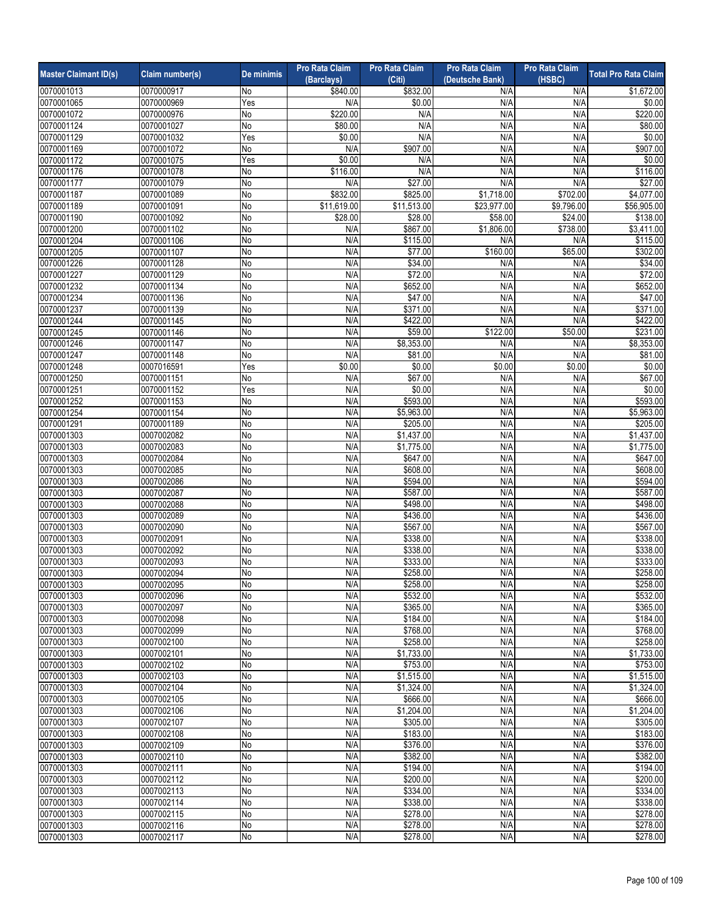| Pro Rata Claim<br><b>Pro Rata Claim</b><br><b>Master Claimant ID(s)</b><br>Claim number(s)<br>De minimis<br>(Citi)<br>(Barclays) | Pro Rata Claim<br>(Deutsche Bank)  | Pro Rata Claim<br>(HSBC) | <b>Total Pro Rata Claim</b> |
|----------------------------------------------------------------------------------------------------------------------------------|------------------------------------|--------------------------|-----------------------------|
| 0070001013<br>0070000917<br>No<br>\$840.00                                                                                       | \$832.00<br>N/A                    | N/A                      | $\overline{$}1,672.00$      |
| 0070001065<br>0070000969<br>Yes<br>N/A                                                                                           | \$0.00<br>N/A                      | N/A                      | \$0.00                      |
| \$220.00<br>0070001072<br>0070000976<br>No                                                                                       | N/A<br>N/A                         | N/A                      | \$220.00                    |
| 0070001124<br>0070001027<br>\$80.00<br>No                                                                                        | N/A<br>N/A                         | N/A                      | \$80.00                     |
| 0070001129<br>0070001032<br>\$0.00<br>Yes                                                                                        | N/A<br>N/A                         | N/A                      | \$0.00                      |
| 0070001169<br>0070001072<br>N/A<br>No                                                                                            | \$907.00<br>N/A                    | N/A                      | \$907.00                    |
| 0070001172<br>0070001075<br>\$0.00<br>Yes                                                                                        | N/A<br>N/A                         | N/A                      | \$0.00                      |
| 0070001176<br>0070001078<br>\$116.00<br>No                                                                                       | N/A<br>N/A                         | N/A                      | \$116.00                    |
| 0070001177<br>0070001079<br>No<br>N/A                                                                                            | \$27.00<br>N/A                     | N/A                      | \$27.00                     |
| \$832.00<br>No<br>0070001187<br>0070001089                                                                                       | \$825.00<br>\$1,718.00             | \$702.00                 | \$4,077.00                  |
| 0070001189<br>0070001091<br>No<br>\$11,619.00                                                                                    | \$11,513.00<br>\$23,977.00         | \$9,796.00               | \$56,905.00                 |
| \$28.00<br>0070001190<br>0070001092<br>No                                                                                        | \$28.00<br>\$58.00                 | \$24.00                  | \$138.00                    |
| 0070001200<br>0070001102<br>No<br>N/A                                                                                            | \$867.00<br>\$1,806.00             | \$738.00                 | \$3,411.00                  |
| N/A<br>0070001106<br>0070001204<br>No                                                                                            | \$115.00<br>N/A                    | N/A                      | \$115.00                    |
| 0070001205<br>0070001107<br>No<br>N/A                                                                                            | \$77.00<br>\$160.00                | \$65.00                  | \$302.00                    |
| 0070001226<br>0070001128<br>No<br>N/A                                                                                            | \$34.00<br>N/A                     | N/A                      | \$34.00                     |
| 0070001227<br>0070001129<br>N/A<br>No                                                                                            | \$72.00<br>N/A                     | N/A                      | \$72.00                     |
| 0070001232<br>0070001134<br>No<br>N/A                                                                                            | \$652.00<br>N/A                    | N/A                      | \$652.00                    |
| N/A<br>0070001234<br>0070001136<br>No                                                                                            | \$47.00<br>N/A                     | N/A                      | \$47.00                     |
| 0070001237<br>N/A<br>0070001139<br>No                                                                                            | \$371.00<br>N/A                    | N/A                      | \$371.00                    |
| 0070001244<br>0070001145<br>N/A<br>No                                                                                            | \$422.00<br>N/A                    | N/A                      | \$422.00                    |
| 0070001245<br>0070001146<br>N/A<br>No                                                                                            | \$59.00<br>\$122.00                | \$50.00                  | \$231.00                    |
| 0070001246<br>0070001147<br>N/A<br>No                                                                                            | \$8,353.00<br>N/A                  | N/A                      | \$8,353.00                  |
| 0070001247<br>0070001148<br>No<br>N/A                                                                                            | \$81.00<br>N/A                     | N/A                      | \$81.00                     |
| 0070001248<br>0007016591<br>\$0.00<br>Yes                                                                                        | \$0.00<br>\$0.00                   | \$0.00                   | \$0.00                      |
| N/A<br>0070001250<br>0070001151<br>No                                                                                            | \$67.00<br>N/A                     | N/A                      | \$67.00                     |
| 0070001251<br>0070001152<br>N/A<br>Yes                                                                                           | \$0.00<br>N/A                      | N/A                      | \$0.00                      |
| N/A<br>0070001252<br>0070001153<br>No                                                                                            | \$593.00<br>N/A                    | N/A                      | \$593.00                    |
| N/A<br>0070001254<br>0070001154<br>No                                                                                            | \$5,963.00<br>N/A                  | N/A                      | \$5,963.00                  |
| 0070001291<br>0070001189<br>N/A<br>No                                                                                            | \$205.00<br>N/A                    | N/A                      | \$205.00                    |
| N/A<br>0070001303<br>0007002082<br>No                                                                                            | \$1,437.00<br>N/A                  | N/A                      | \$1,437.00                  |
| N/A<br>0070001303<br>0007002083<br>No                                                                                            | N/A<br>\$1,775.00                  | N/A                      | \$1,775.00                  |
| 0070001303<br>0007002084<br>N/A<br>No                                                                                            | \$647.00<br>N/A                    | N/A                      | \$647.00                    |
| 0070001303<br>0007002085<br>N/A<br>No                                                                                            | \$608.00<br>N/A                    | N/A                      | \$608.00                    |
| N/A<br>0070001303<br>0007002086<br>No                                                                                            | \$594.00<br>N/A                    | N/A                      | \$594.00                    |
| 0070001303<br>0007002087<br>No<br>N/A                                                                                            | \$587.00<br>N/A                    | N/A                      | \$587.00                    |
| 0070001303<br>N/A<br>0007002088<br>No                                                                                            | \$498.00<br>N/A                    | N/A                      | \$498.00                    |
| N/A<br>0070001303<br>0007002089<br>No                                                                                            | \$436.00<br>N/A                    | N/A                      | \$436.00                    |
| 0070001303<br>0007002090<br>No<br>N/A                                                                                            | \$567.00<br>N/A                    | N/A                      | \$567.00                    |
| N/A<br>0070001303<br>0007002091<br>No                                                                                            | \$338.00<br>N/A                    | N/A                      | \$338.00                    |
| 0070001303<br>0007002092<br>N/A<br>No                                                                                            | \$338.00<br>N/A                    | N/A                      | \$338.00                    |
| 0070001303<br>No<br>N/A<br>0007002093                                                                                            | \$333.00<br>N/A                    | N/A                      | \$333.00                    |
| N/A<br>0070001303<br>0007002094<br>No                                                                                            | \$258.00<br>N/A                    | N/A                      | \$258.00                    |
| 0007002095<br>No<br>N/A<br>0070001303                                                                                            | \$258.00<br>N/A                    | N/A                      | \$258.00                    |
| 0070001303<br>0007002096<br>No<br>N/A                                                                                            | N/A<br>\$532.00                    | N/A                      | \$532.00                    |
| No<br>N/A<br>0070001303<br>0007002097                                                                                            | \$365.00<br>N/A                    | N/A                      | \$365.00                    |
| 0070001303<br>0007002098<br>No<br>N/A                                                                                            | \$184.00<br>N/A                    | N/A                      | \$184.00                    |
| 0070001303<br>0007002099<br>No<br>N/A<br>0070001303<br>N/A<br>0007002100<br>No                                                   | N/A<br>\$768.00<br>\$258.00<br>N/A | N/A<br>N/A               | \$768.00<br>\$258.00        |
| 0070001303<br>0007002101<br>No<br>N/A                                                                                            | \$1,733.00<br>N/A                  | N/A                      | \$1,733.00                  |
| No<br>N/A<br>0070001303<br>0007002102                                                                                            | \$753.00<br>N/A                    | N/A                      | \$753.00                    |
| 0070001303<br>N/A<br>0007002103<br>No                                                                                            | \$1,515.00<br>N/A                  | N/A                      | \$1,515.00                  |
| 0070001303<br>No<br>N/A<br>0007002104                                                                                            | \$1,324.00<br>N/A                  | N/A                      | \$1,324.00                  |
| 0070001303<br>0007002105<br>No<br>N/A                                                                                            | \$666.00<br>N/A                    | N/A                      | \$666.00                    |
| 0070001303<br>0007002106<br>No<br>N/A                                                                                            | N/A<br>\$1,204.00                  | N/A                      | \$1,204.00                  |
| 0070001303<br>No<br>N/A<br>0007002107                                                                                            | \$305.00<br>N/A                    | N/A                      | \$305.00                    |
| 0070001303<br>0007002108<br>No<br>N/A                                                                                            | \$183.00<br>N/A                    | N/A                      | \$183.00                    |
| N/A<br>0070001303<br>0007002109<br>No                                                                                            | \$376.00<br>N/A                    | N/A                      | \$376.00                    |
| 0070001303<br>0007002110<br>No<br>N/A                                                                                            | \$382.00<br>N/A                    | N/A                      | \$382.00                    |
| No<br>N/A<br>0070001303<br>0007002111                                                                                            | \$194.00<br>N/A                    | N/A                      | \$194.00                    |
| N/A<br>0070001303<br>0007002112<br>No                                                                                            | \$200.00<br>N/A                    | N/A                      | \$200.00                    |
| 0070001303<br>0007002113<br>No<br>N/A                                                                                            | \$334.00<br>N/A                    | N/A                      | \$334.00                    |
| 0070001303<br>0007002114<br>No<br>N/A                                                                                            | \$338.00<br>N/A                    | N/A                      | \$338.00                    |
| N/A<br>0070001303<br>0007002115<br>No                                                                                            | \$278.00<br>N/A                    | N/A                      | \$278.00                    |
| 0070001303<br>0007002116<br>No<br>N/A                                                                                            | \$278.00<br>N/A                    | N/A                      | \$278.00                    |
| 0070001303<br>0007002117<br>No<br>N/A                                                                                            | \$278.00<br>N/A                    | N/A                      | \$278.00                    |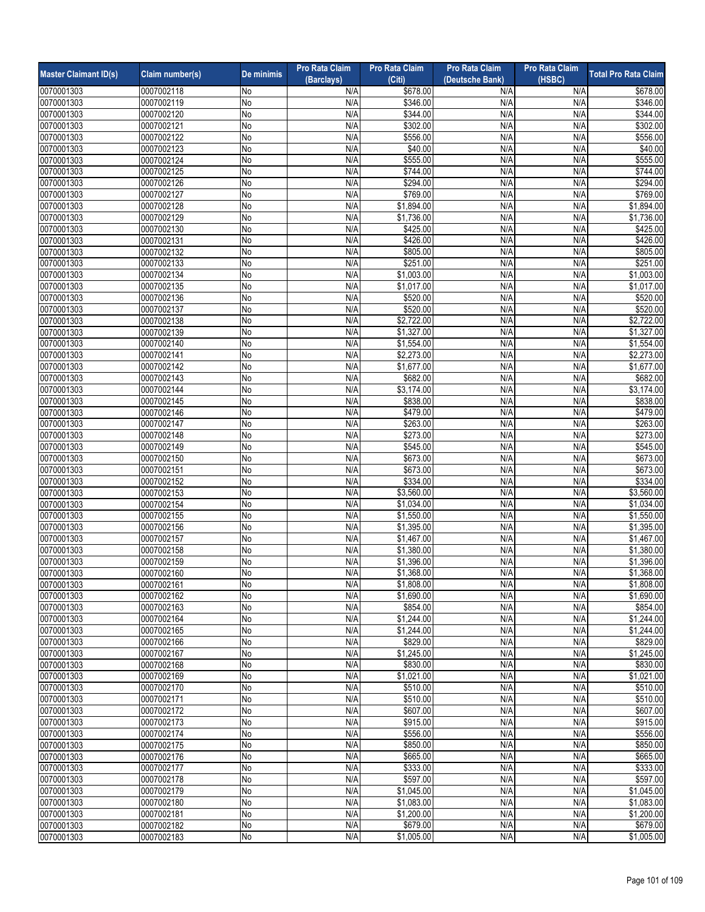| <b>Master Claimant ID(s)</b> | Claim number(s) | De minimis | <b>Pro Rata Claim</b><br>(Barclays) | <b>Pro Rata Claim</b><br>(Citi) | Pro Rata Claim<br>(Deutsche Bank) | Pro Rata Claim<br>(HSBC) | <b>Total Pro Rata Claim</b> |
|------------------------------|-----------------|------------|-------------------------------------|---------------------------------|-----------------------------------|--------------------------|-----------------------------|
| 0070001303                   | 0007002118      | No         | N/A                                 | \$678.00                        | N/A                               | N/A                      | \$678.00                    |
| 0070001303                   | 0007002119      | No         | N/A                                 | \$346.00                        | N/A                               | N/A                      | \$346.00                    |
| 0070001303                   | 0007002120      | No         | N/A                                 | \$344.00                        | N/A                               | N/A                      | \$344.00                    |
| 0070001303                   | 0007002121      | No         | N/A                                 | \$302.00                        | N/A                               | N/A                      | \$302.00                    |
| 0070001303                   | 0007002122      | No         | N/A                                 | \$556.00                        | N/A                               | N/A                      | \$556.00                    |
| 0070001303                   | 0007002123      | No         | N/A                                 | \$40.00                         | N/A                               | N/A                      | \$40.00                     |
| 0070001303                   | 0007002124      | No         | N/A                                 | \$555.00                        | N/A                               | N/A                      | \$555.00                    |
| 0070001303                   | 0007002125      | No         | N/A                                 | \$744.00                        | N/A                               | N/A                      | \$744.00                    |
| 0070001303                   | 0007002126      | No         | N/A                                 | \$294.00                        | N/A                               | N/A                      | \$294.00                    |
| 0070001303                   | 0007002127      | No         | N/A                                 | \$769.00                        | N/A                               | N/A                      | \$769.00                    |
| 0070001303                   | 0007002128      | No         | N/A                                 | \$1,894.00                      | N/A                               | N/A                      | \$1,894.00                  |
| 0070001303                   | 0007002129      | No         | N/A                                 | \$1,736.00                      | N/A                               | N/A                      | \$1,736.00                  |
| 0070001303                   | 0007002130      | No         | N/A                                 | \$425.00                        | N/A                               | N/A                      | \$425.00                    |
| 0070001303                   | 0007002131      | No         | N/A                                 | \$426.00                        | N/A                               | N/A                      | \$426.00                    |
| 0070001303                   | 0007002132      | No         | N/A                                 | \$805.00                        | N/A                               | N/A                      | \$805.00                    |
| 0070001303                   | 0007002133      | No         | N/A                                 | \$251.00                        | N/A                               | N/A                      | \$251.00                    |
| 0070001303                   | 0007002134      | No         | N/A                                 | \$1,003.00                      | N/A                               | N/A                      | \$1,003.00                  |
| 0070001303                   | 0007002135      | No         | N/A                                 | \$1,017.00                      | N/A                               | N/A                      | \$1,017.00                  |
| 0070001303                   | 0007002136      | No         | N/A                                 | \$520.00                        | N/A                               | N/A                      | \$520.00                    |
| 0070001303                   | 0007002137      | No         | N/A                                 | \$520.00                        | N/A                               | N/A                      | \$520.00                    |
| 0070001303                   | 0007002138      | No         | N/A                                 | \$2,722.00                      | N/A                               | N/A                      | \$2,722.00                  |
| 0070001303                   | 0007002139      | No         | N/A                                 | \$1,327.00                      | N/A                               | N/A                      | \$1,327.00                  |
| 0070001303                   | 0007002140      | No         | N/A                                 | \$1,554.00                      | N/A                               | N/A                      | \$1,554.00                  |
| 0070001303                   |                 | No         | N/A                                 | \$2,273.00                      | N/A                               | N/A                      | \$2,273.00                  |
|                              | 0007002141      |            |                                     |                                 |                                   |                          |                             |
| 0070001303                   | 0007002142      | No         | N/A                                 | \$1,677.00                      | N/A                               | N/A                      | \$1,677.00                  |
| 0070001303                   | 0007002143      | No         | N/A                                 | \$682.00                        | N/A                               | N/A                      | \$682.00                    |
| 0070001303                   | 0007002144      | No         | N/A                                 | \$3,174.00                      | N/A                               | N/A                      | \$3,174.00                  |
| 0070001303                   | 0007002145      | No         | N/A                                 | \$838.00                        | N/A                               | N/A                      | \$838.00                    |
| 0070001303                   | 0007002146      | No         | N/A                                 | \$479.00                        | N/A                               | N/A                      | \$479.00                    |
| 0070001303                   | 0007002147      | No         | N/A                                 | \$263.00                        | N/A                               | N/A                      | \$263.00                    |
| 0070001303                   | 0007002148      | No         | N/A                                 | \$273.00                        | N/A                               | N/A                      | \$273.00                    |
| 0070001303                   | 0007002149      | No         | N/A                                 | \$545.00                        | N/A                               | N/A                      | \$545.00                    |
| 0070001303                   | 0007002150      | No         | N/A                                 | \$673.00                        | N/A                               | N/A                      | \$673.00                    |
| 0070001303                   | 0007002151      | No         | N/A                                 | \$673.00                        | N/A                               | N/A                      | \$673.00                    |
| 0070001303                   | 0007002152      | No         | N/A                                 | \$334.00                        | N/A                               | N/A                      | \$334.00                    |
| 0070001303                   | 0007002153      | <b>No</b>  | N/A                                 | \$3,560.00                      | N/A                               | N/A                      | \$3,560.00                  |
| 0070001303                   | 0007002154      | No         | N/A                                 | \$1,034.00                      | N/A                               | N/A                      | \$1,034.00                  |
| 0070001303                   | 0007002155      | <b>No</b>  | N/A                                 | \$1,550.00                      | N/A                               | N/A                      | \$1,550.00                  |
| 0070001303                   | 0007002156      | No         | N/A                                 | \$1,395.00                      | N/A                               | N/A                      | \$1,395.00                  |
| 0070001303                   | 0007002157      | No         | N/A                                 | \$1,467.00                      | N/A                               | N/A                      | \$1,467.00                  |
| 0070001303                   | 0007002158      | <b>No</b>  | N/A                                 | \$1,380.00                      | N/A                               | N/A                      | \$1,380.00                  |
| 0070001303                   | 0007002159      | No         | N/A                                 | \$1,396.00                      | N/A                               | N/A                      | \$1,396.00                  |
| 0070001303                   | 0007002160      | No         | N/A                                 | \$1,368.00                      | N/A                               | N/A                      | \$1,368.00                  |
| 0070001303                   | 0007002161      | No         | N/A                                 | \$1,808.00                      | N/A                               | N/A                      | \$1,808.00                  |
| 0070001303                   | 0007002162      | No         | N/A                                 | \$1,690.00                      | N/A                               | N/A                      | \$1,690.00                  |
| 0070001303                   | 0007002163      | No         | N/A                                 | \$854.00                        | N/A                               | N/A                      | \$854.00                    |
| 0070001303                   | 0007002164      | Ю          | N/A                                 | \$1,244.00                      | N/A                               | N/A                      | \$1,244.00                  |
| 0070001303                   | 0007002165      | No         | N/A                                 | \$1,244.00                      | N/A                               | N/A                      | \$1,244.00                  |
| 0070001303                   | 0007002166      | No         | N/A                                 | \$829.00                        | N/A                               | N/A                      | \$829.00                    |
| 0070001303                   | 0007002167      | No         | N/A                                 | \$1,245.00                      | N/A                               | N/A                      | \$1,245.00                  |
| 0070001303                   | 0007002168      | No         | N/A                                 | \$830.00                        | N/A                               | N/A                      | \$830.00                    |
| 0070001303                   | 0007002169      | No         | N/A                                 | \$1,021.00                      | N/A                               | N/A                      | \$1,021.00                  |
| 0070001303                   | 0007002170      | No         | N/A                                 | \$510.00                        | N/A                               | N/A                      | \$510.00                    |
| 0070001303                   | 0007002171      | No         | N/A                                 | \$510.00                        | N/A                               | N/A                      | \$510.00                    |
| 0070001303                   | 0007002172      | No         | N/A                                 | \$607.00                        | N/A                               | N/A                      | \$607.00                    |
| 0070001303                   | 0007002173      | No         | N/A                                 | \$915.00                        | N/A                               | N/A                      | \$915.00                    |
| 0070001303                   | 0007002174      | No         | N/A                                 | \$556.00                        | N/A                               | N/A                      | \$556.00                    |
| 0070001303                   | 0007002175      | No         | N/A                                 | \$850.00                        | N/A                               | N/A                      | \$850.00                    |
| 0070001303                   | 0007002176      | No         | N/A                                 | \$665.00                        | N/A                               | N/A                      | \$665.00                    |
| 0070001303                   | 0007002177      | No         | N/A                                 | \$333.00                        | N/A                               | N/A                      | \$333.00                    |
| 0070001303                   | 0007002178      | No         | N/A                                 | \$597.00                        | N/A                               | N/A                      | \$597.00                    |
| 0070001303                   | 0007002179      | No         | N/A                                 | \$1,045.00                      | N/A                               | N/A                      | \$1,045.00                  |
| 0070001303                   | 0007002180      | No         | N/A                                 | \$1,083.00                      | N/A                               | N/A                      | \$1,083.00                  |
| 0070001303                   | 0007002181      | No         | N/A                                 | \$1,200.00                      | N/A                               | N/A                      | \$1,200.00                  |
| 0070001303                   | 0007002182      | No         | N/A                                 | \$679.00                        | N/A                               | N/A                      | \$679.00                    |
|                              |                 |            |                                     |                                 |                                   |                          |                             |
| 0070001303                   | 0007002183      | No         | N/A                                 | \$1,005.00                      | N/A                               | N/A                      | \$1,005.00                  |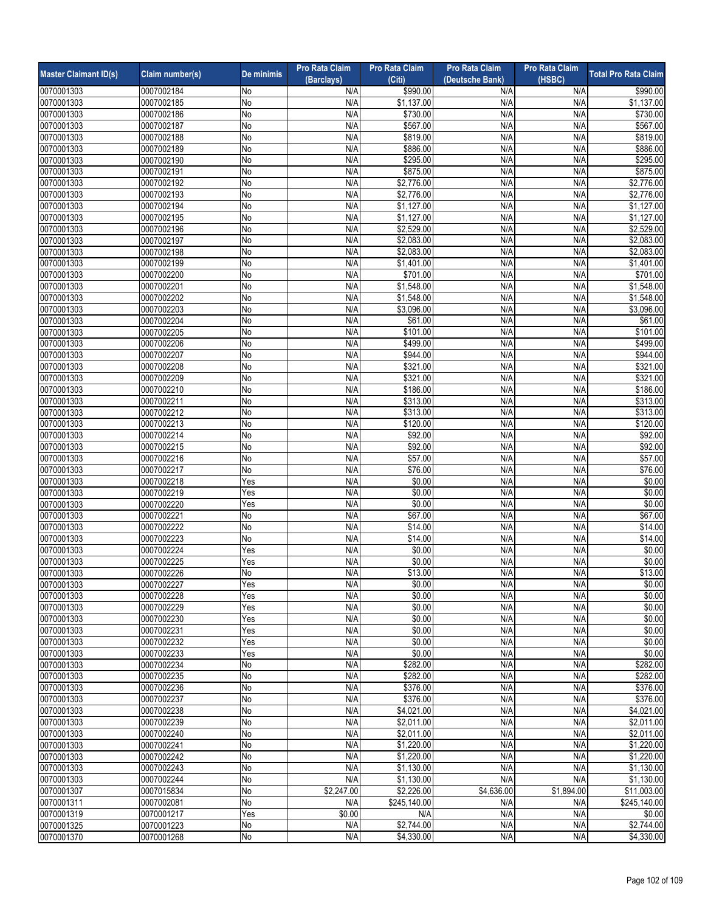| <b>Master Claimant ID(s)</b> | Claim number(s) | De minimis | <b>Pro Rata Claim</b><br>(Barclays) | <b>Pro Rata Claim</b><br>(Citi) | <b>Pro Rata Claim</b><br>(Deutsche Bank) | Pro Rata Claim<br>(HSBC) | <b>Total Pro Rata Claim</b> |
|------------------------------|-----------------|------------|-------------------------------------|---------------------------------|------------------------------------------|--------------------------|-----------------------------|
| 0070001303                   | 0007002184      | No         | N/A                                 | \$990.00                        | N/A                                      | N/A                      | \$990.00                    |
| 0070001303                   | 0007002185      | No         | N/A                                 | \$1,137.00                      | N/A                                      | N/A                      | \$1,137.00                  |
| 0070001303                   | 0007002186      | No         | N/A                                 | \$730.00                        | N/A                                      | N/A                      | \$730.00                    |
| 0070001303                   | 0007002187      | No         | N/A                                 | \$567.00                        | N/A                                      | N/A                      | \$567.00                    |
| 0070001303                   | 0007002188      | No         | N/A                                 | \$819.00                        | N/A                                      | N/A                      | \$819.00                    |
| 0070001303                   | 0007002189      | No         | N/A                                 | \$886.00                        | N/A                                      | N/A                      | \$886.00                    |
| 0070001303                   | 0007002190      | No         | N/A                                 | \$295.00                        | N/A                                      | N/A                      | \$295.00                    |
| 0070001303                   | 0007002191      | No         | N/A                                 | \$875.00                        | N/A                                      | N/A                      | \$875.00                    |
| 0070001303                   | 0007002192      | No         | N/A                                 | \$2,776.00                      | N/A                                      | N/A                      | \$2,776.00                  |
| 0070001303                   | 0007002193      | No         | N/A                                 | \$2,776.00                      | N/A                                      | N/A                      | \$2,776.00                  |
| 0070001303                   | 0007002194      | No         | N/A                                 | \$1,127.00                      | N/A                                      | N/A                      | \$1,127.00                  |
| 0070001303                   | 0007002195      | No         | N/A                                 | \$1,127.00                      | N/A                                      | N/A                      | \$1,127.00                  |
| 0070001303                   | 0007002196      | No         | N/A                                 | \$2,529.00                      | N/A                                      | N/A                      | \$2,529.00                  |
| 0070001303                   | 0007002197      | No         | N/A                                 | \$2,083.00                      | N/A                                      | N/A                      | \$2,083.00                  |
| 0070001303                   | 0007002198      | No         | N/A                                 | \$2,083.00                      | N/A                                      | N/A                      | \$2,083.00                  |
| 0070001303                   | 0007002199      | No         | N/A                                 | \$1,401.00                      | N/A                                      | N/A                      | \$1,401.00                  |
| 0070001303                   | 0007002200      | No         | N/A                                 | \$701.00                        | N/A                                      | N/A                      | \$701.00                    |
| 0070001303                   | 0007002201      | No         | N/A                                 | \$1,548.00                      | N/A                                      | N/A                      | \$1,548.00                  |
| 0070001303                   | 0007002202      | No         | N/A                                 | \$1,548.00                      | N/A                                      | N/A                      | \$1,548.00                  |
| 0070001303                   | 0007002203      | No         | N/A                                 | \$3,096.00                      | N/A                                      | N/A                      | \$3,096.00                  |
| 0070001303                   | 0007002204      | No         | N/A                                 | \$61.00                         | N/A                                      | N/A                      | \$61.00                     |
| 0070001303                   | 0007002205      | No         | N/A                                 | \$101.00                        | N/A                                      | N/A                      | \$101.00                    |
| 0070001303                   | 0007002206      | No         | N/A                                 | \$499.00                        | N/A                                      | N/A                      | \$499.00                    |
| 0070001303                   | 0007002207      | No         | N/A                                 | \$944.00                        | N/A                                      | N/A                      | \$944.00                    |
| 0070001303                   | 0007002208      | No         | N/A                                 | \$321.00                        | N/A                                      | N/A                      | \$321.00                    |
| 0070001303                   | 0007002209      | No         | N/A                                 | \$321.00                        | N/A                                      | N/A                      | \$321.00                    |
| 0070001303                   | 0007002210      | No         | N/A                                 | \$186.00                        | N/A                                      | N/A                      | \$186.00                    |
| 0070001303                   | 0007002211      | No         | N/A                                 | \$313.00                        | N/A                                      | N/A                      | \$313.00                    |
| 0070001303                   | 0007002212      | No         | N/A                                 | \$313.00                        | N/A                                      | N/A                      | \$313.00                    |
| 0070001303                   | 0007002213      | No         | N/A                                 | \$120.00                        | N/A                                      | N/A                      | \$120.00                    |
| 0070001303                   | 0007002214      | No         | N/A                                 | \$92.00                         | N/A                                      | N/A                      | \$92.00                     |
| 0070001303                   | 0007002215      | No         | N/A                                 | \$92.00                         | N/A                                      | N/A                      | \$92.00                     |
| 0070001303                   | 0007002216      | No         | N/A                                 | \$57.00                         | N/A                                      | N/A                      | \$57.00                     |
| 0070001303                   | 0007002217      | No         | N/A                                 | \$76.00                         | N/A                                      | N/A                      | \$76.00                     |
| 0070001303                   | 0007002218      | Yes        | N/A                                 | \$0.00                          | N/A                                      | N/A                      | \$0.00                      |
| 0070001303                   | 0007002219      | Yes        | N/A                                 | \$0.00                          | N/A                                      | N/A                      | \$0.00                      |
| 0070001303                   | 0007002220      | Yes        | N/A                                 | \$0.00                          | N/A                                      | N/A                      | \$0.00                      |
| 0070001303                   | 0007002221      | No         | N/A                                 | \$67.00                         | N/A                                      | N/A                      | \$67.00                     |
| 0070001303                   | 0007002222      | No         | N/A                                 | \$14.00                         | N/A                                      | N/A                      | \$14.00                     |
| 0070001303                   | 0007002223      | No         | N/A                                 | \$14.00                         | N/A                                      | N/A                      | \$14.00                     |
| 0070001303                   | 0007002224      | Yes        | N/A                                 | \$0.00                          | N/A                                      | N/A                      | \$0.00                      |
| 0070001303                   | 0007002225      | Yes        | N/A                                 | \$0.00                          | N/A                                      | N/A                      | \$0.00                      |
| 0070001303                   | 0007002226      | No         | N/A                                 | \$13.00                         | N/A                                      | N/A                      | \$13.00                     |
| 0070001303                   | 0007002227      | Yes        | N/A                                 | \$0.00                          | N/A                                      | N/A                      | \$0.00                      |
| 0070001303                   | 0007002228      | Yes        | N/A                                 | \$0.00                          | N/A                                      | N/A                      | \$0.00                      |
| 0070001303                   | 0007002229      | Yes        | N/A                                 | \$0.00                          | N/A                                      | N/A                      | \$0.00                      |
| 0070001303                   | 0007002230      | Yes        | N/A                                 | \$0.00                          | N/A                                      | N/A                      | \$0.00                      |
| 0070001303                   | 0007002231      | Yes        | N/A                                 | \$0.00                          | N/A                                      | N/A                      | \$0.00                      |
| 0070001303                   | 0007002232      | Yes        | N/A                                 | \$0.00                          | N/A                                      | N/A                      | \$0.00                      |
| 0070001303                   | 0007002233      | Yes        | N/A                                 | \$0.00                          | N/A                                      | N/A                      | \$0.00                      |
| 0070001303                   | 0007002234      | No         | N/A                                 | \$282.00                        | N/A                                      | N/A                      | \$282.00                    |
| 0070001303                   | 0007002235      | No         | N/A                                 | \$282.00                        | N/A                                      | N/A                      | \$282.00                    |
| 0070001303                   | 0007002236      | No         | N/A                                 | \$376.00                        | N/A                                      | N/A                      | \$376.00                    |
| 0070001303                   | 0007002237      | No         | N/A                                 | \$376.00                        | N/A                                      | N/A                      | \$376.00                    |
| 0070001303                   | 0007002238      | No         | N/A                                 | \$4,021.00                      | N/A                                      | N/A                      | \$4,021.00                  |
| 0070001303                   | 0007002239      | No         | N/A                                 | \$2,011.00                      | N/A                                      | N/A                      | \$2,011.00                  |
| 0070001303                   | 0007002240      | No         | N/A                                 | \$2,011.00                      | N/A                                      | N/A                      | \$2,011.00                  |
| 0070001303                   | 0007002241      | No         | N/A                                 | \$1,220.00                      | N/A                                      | N/A                      | \$1,220.00                  |
| 0070001303                   | 0007002242      | No         | N/A                                 | \$1,220.00                      | N/A                                      | N/A                      | \$1,220.00                  |
| 0070001303                   | 0007002243      | No         | N/A                                 | \$1,130.00                      | N/A                                      | N/A                      | \$1,130.00                  |
| 0070001303                   | 0007002244      | No         | N/A                                 | \$1,130.00                      | N/A                                      | N/A                      | \$1,130.00                  |
| 0070001307                   | 0007015834      | No         | \$2,247.00                          | \$2,226.00                      | \$4,636.00                               | \$1,894.00               | \$11,003.00                 |
| 0070001311                   | 0007002081      | No         | N/A                                 | \$245,140.00                    | N/A                                      | N/A                      | \$245,140.00                |
| 0070001319                   | 0070001217      | Yes        | \$0.00                              | N/A                             | N/A                                      | N/A                      | \$0.00                      |
| 0070001325                   | 0070001223      | No         | N/A                                 | \$2,744.00                      | N/A                                      | N/A                      | \$2,744.00                  |
| 0070001370                   | 0070001268      | No         | N/A                                 | \$4,330.00                      | N/A                                      | N/A                      | \$4,330.00                  |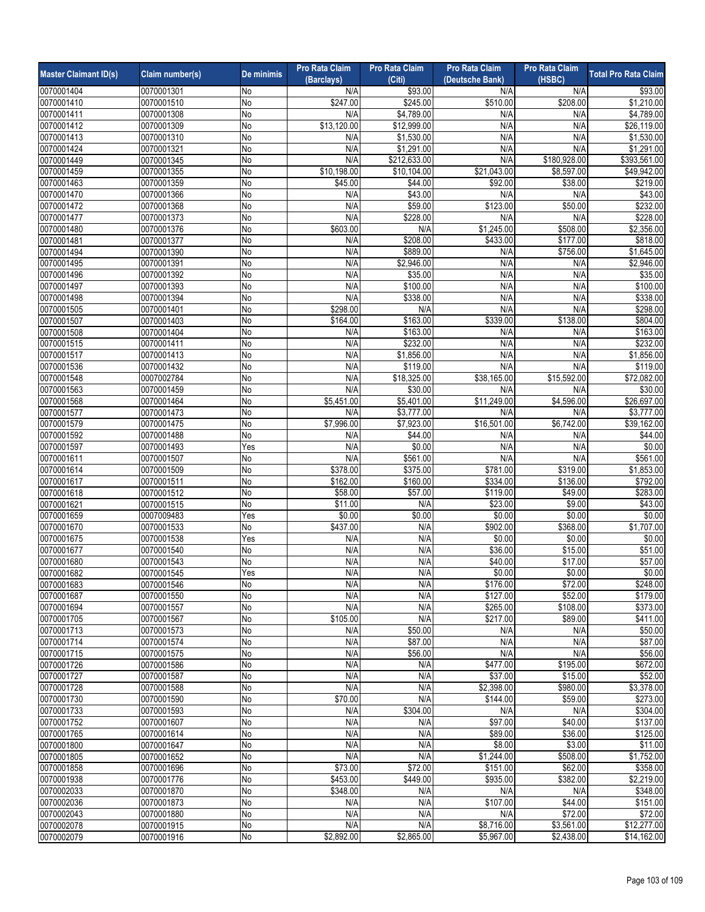| <b>Master Claimant ID(s)</b> | Claim number(s) | De minimis | <b>Pro Rata Claim</b><br>(Barclays) | <b>Pro Rata Claim</b><br>(Citi) | Pro Rata Claim<br>(Deutsche Bank) | <b>Pro Rata Claim</b><br>(HSBC) | <b>Total Pro Rata Claim</b> |
|------------------------------|-----------------|------------|-------------------------------------|---------------------------------|-----------------------------------|---------------------------------|-----------------------------|
| 0070001404                   | 0070001301      | No         | N/A                                 | \$93.00                         | N/A                               | N/A                             | \$93.00                     |
| 0070001410                   | 0070001510      | No         | \$247.00                            | \$245.00                        | \$510.00                          | \$208.00                        | \$1,210.00                  |
| 0070001411                   | 0070001308      | No         | N/A                                 | \$4,789.00                      | N/A                               | N/A                             | \$4,789.00                  |
| 0070001412                   | 0070001309      | No         | \$13,120.00                         | \$12,999.00                     | N/A                               | N/A                             | \$26,119.00                 |
| 0070001413                   | 0070001310      | No         | N/A                                 | \$1,530.00                      | N/A                               | N/A                             | \$1,530.00                  |
| 0070001424                   | 0070001321      | No         | N/A                                 | \$1,291.00                      | N/A                               | N/A                             | \$1,291.00                  |
| 0070001449                   | 0070001345      | No         | N/A                                 | \$212,633.00                    | N/A                               | \$180,928.00                    | \$393,561.00                |
| 0070001459                   | 0070001355      | No         | \$10,198.00                         | \$10,104.00                     | \$21,043.00                       | \$8,597.00                      | \$49,942.00                 |
| 0070001463                   | 0070001359      | No         | \$45.00                             | \$44.00                         | \$92.00                           | \$38.00                         | \$219.00                    |
| 0070001470                   | 0070001366      | No         | N/A                                 | \$43.00                         | N/A                               | N/A                             | \$43.00                     |
| 0070001472                   | 0070001368      | No         | N/A                                 | \$59.00                         | \$123.00                          | \$50.00                         | \$232.00                    |
| 0070001477                   | 0070001373      | No         | N/A                                 | \$228.00                        | N/A                               | N/A                             | \$228.00                    |
| 0070001480                   | 0070001376      | No         | \$603.00                            | N/A                             | \$1,245.00                        | \$508.00                        | \$2,356.00                  |
| 0070001481                   | 0070001377      | No         | N/A                                 | \$208.00                        | \$433.00                          | \$177.00                        | \$818.00                    |
| 0070001494                   | 0070001390      | No         | N/A                                 | \$889.00                        | N/A                               | \$756.00                        | \$1,645.00                  |
| 0070001495                   | 0070001391      | No         | N/A                                 | \$2,946.00                      | N/A                               | N/A                             | \$2,946.00                  |
| 0070001496                   | 0070001392      | No         | N/A                                 | \$35.00                         | N/A                               | N/A                             | \$35.00                     |
| 0070001497                   | 0070001393      | No         | N/A                                 | \$100.00                        | N/A                               | N/A                             | \$100.00                    |
| 0070001498                   | 0070001394      | No         | N/A                                 | \$338.00                        | N/A                               | N/A                             | \$338.00                    |
| 0070001505                   | 0070001401      | No         | \$298.00                            | N/A                             | N/A                               | N/A                             | \$298.00                    |
| 0070001507                   | 0070001403      | No         | \$164.00                            | \$163.00                        | \$339.00                          | \$138.00                        | \$804.00                    |
| 0070001508                   | 0070001404      | No         | N/A                                 | \$163.00                        | N/A                               | N/A                             | \$163.00                    |
| 0070001515                   | 0070001411      | No         | N/A                                 | \$232.00                        | N/A                               | N/A                             | \$232.00                    |
| 0070001517                   | 0070001413      | No         | N/A                                 | \$1,856.00                      | N/A                               | N/A                             | \$1,856.00                  |
| 0070001536                   | 0070001432      | No         | N/A                                 | \$119.00                        | N/A                               | N/A                             | \$119.00                    |
| 0070001548                   | 0007002784      | No         | N/A                                 | \$18,325.00                     | \$38,165.00                       | \$15,592.00                     | \$72,082.00                 |
| 0070001563                   | 0070001459      | No         | N/A                                 | \$30.00                         | N/A                               | N/A                             | \$30.00                     |
| 0070001568                   | 0070001464      | No         | \$5,451.00                          | \$5,401.00                      | \$11,249.00                       | \$4,596.00                      | \$26,697.00                 |
| 0070001577                   | 0070001473      | No         | N/A                                 | \$3,777.00                      | N/A                               | N/A                             | \$3,777.00                  |
| 0070001579                   | 0070001475      | No         | \$7,996.00                          | \$7,923.00                      | \$16,501.00                       | \$6,742.00                      | \$39,162.00                 |
| 0070001592                   | 0070001488      | No         | N/A                                 | \$44.00                         | N/A                               | N/A                             | \$44.00                     |
| 0070001597                   | 0070001493      | Yes        | N/A                                 | \$0.00                          | N/A                               | N/A                             | \$0.00                      |
| 0070001611                   | 0070001507      | No         | N/A                                 | \$561.00                        | N/A                               | N/A                             | \$561.00                    |
| 0070001614                   | 0070001509      | No         | \$378.00                            | \$375.00                        | \$781.00                          | \$319.00                        | \$1,853.00                  |
| 0070001617                   | 0070001511      | No         | \$162.00                            | \$160.00                        | \$334.00                          | \$136.00                        | \$792.00                    |
| 0070001618                   | 0070001512      | No         | \$58.00                             | \$57.00                         | \$119.00                          | \$49.00                         | \$283.00                    |
| 0070001621                   | 0070001515      | No         | \$11.00                             | N/A                             | \$23.00                           | \$9.00                          | \$43.00                     |
| 0070001659                   | 0007009483      | Yes        | \$0.00                              | \$0.00                          | \$0.00                            | \$0.00                          | \$0.00                      |
| 0070001670                   | 0070001533      | No         | \$437.00                            | N/A                             | \$902.00                          | \$368.00                        | \$1,707.00                  |
| 0070001675                   | 0070001538      | Yes        | N/A                                 | N/A                             | \$0.00                            | \$0.00                          | \$0.00                      |
| 0070001677                   | 0070001540      | No         | N/A                                 | N/A                             | \$36.00                           | \$15.00                         | \$51.00                     |
| 0070001680                   | 0070001543      | No         | N/A                                 | N/A                             | \$40.00                           | \$17.00                         | \$57.00                     |
| 0070001682                   | 0070001545      | Yes        | N/A                                 | N/A                             | \$0.00                            | \$0.00                          | \$0.00                      |
| 0070001683                   | 0070001546      | No         | N/A                                 | N/A                             | \$176.00                          | \$72.00                         | \$248.00                    |
| 0070001687                   | 0070001550      | No         | N/A                                 | N/A                             | \$127.00                          | \$52.00                         | \$179.00                    |
| 0070001694                   | 0070001557      | No         | N/A                                 | N/A                             | \$265.00                          | \$108.00                        | \$373.00                    |
| 0070001705                   | 0070001567      | No         | \$105.00                            | N/A                             | \$217.00                          | \$89.00                         | \$411.00                    |
| 0070001713                   | 0070001573      | No         | N/A                                 | \$50.00                         | N/A                               | N/A                             | \$50.00                     |
| 0070001714                   | 0070001574      | No         | N/A                                 | \$87.00                         | N/A                               | N/A                             | \$87.00                     |
| 0070001715                   | 0070001575      | No         | N/A                                 | \$56.00                         | N/A                               | N/A                             | \$56.00                     |
| 0070001726                   | 0070001586      | No         | N/A                                 | N/A                             | \$477.00                          | \$195.00                        | \$672.00                    |
| 0070001727                   | 0070001587      | No         | N/A                                 | N/A                             | \$37.00                           | \$15.00                         | \$52.00                     |
| 0070001728                   | 0070001588      | No         | N/A                                 | N/A                             | \$2,398.00                        | \$980.00                        | \$3,378.00                  |
| 0070001730                   | 0070001590      | No         | \$70.00                             | N/A                             | \$144.00                          | \$59.00                         | \$273.00                    |
| 0070001733                   | 0070001593      | No         | N/A                                 | \$304.00                        | N/A                               | N/A                             | \$304.00                    |
| 0070001752                   | 0070001607      | No         | N/A                                 | N/A                             | \$97.00                           | \$40.00                         | \$137.00                    |
| 0070001765                   | 0070001614      | No         | N/A                                 | N/A                             | \$89.00                           | \$36.00                         | \$125.00                    |
| 0070001800                   | 0070001647      | No         | N/A                                 | N/A                             | \$8.00                            | \$3.00                          | \$11.00                     |
| 0070001805                   | 0070001652      | No         | N/A                                 | N/A                             | \$1,244.00                        | \$508.00                        | \$1,752.00                  |
| 0070001858                   | 0070001696      | No         | \$73.00                             | \$72.00                         | \$151.00                          | \$62.00                         | \$358.00                    |
| 0070001938                   | 0070001776      | No         | \$453.00                            | \$449.00                        | \$935.00                          | \$382.00                        | \$2,219.00                  |
| 0070002033                   | 0070001870      | No         | \$348.00                            | N/A                             | N/A                               | N/A                             | \$348.00                    |
| 0070002036                   | 0070001873      | No         | N/A                                 | N/A                             | \$107.00                          | \$44.00                         | \$151.00                    |
| 0070002043                   | 0070001880      | No         | N/A                                 | N/A                             | N/A                               | \$72.00                         | \$72.00                     |
| 0070002078                   | 0070001915      | No         | N/A                                 | N/A                             | \$8,716.00                        | \$3,561.00                      | \$12,277.00                 |
| 0070002079                   | 0070001916      | No         | \$2,892.00                          | \$2,865.00                      | \$5,967.00                        | \$2,438.00                      | \$14,162.00                 |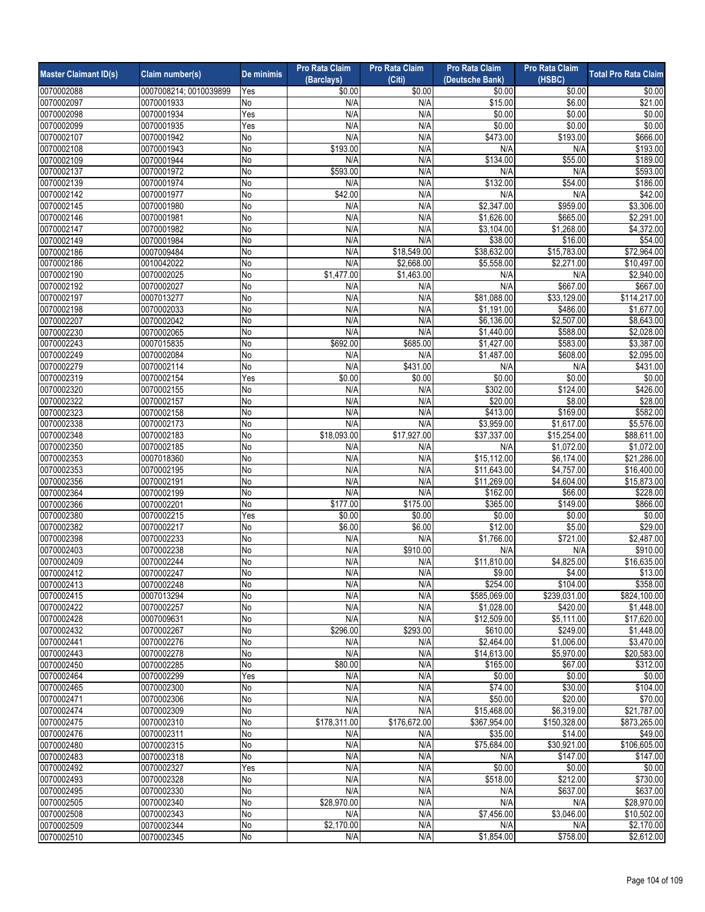| <b>Master Claimant ID(s)</b> | Claim number(s)        | De minimis | <b>Pro Rata Claim</b><br>(Barclays) | <b>Pro Rata Claim</b><br>(Citi) | Pro Rata Claim<br>(Deutsche Bank) | <b>Pro Rata Claim</b><br>(HSBC) | <b>Total Pro Rata Claim</b> |
|------------------------------|------------------------|------------|-------------------------------------|---------------------------------|-----------------------------------|---------------------------------|-----------------------------|
| 0070002088                   | 0007008214; 0010039899 | Yes        | \$0.00                              | \$0.00                          | \$0.00                            | \$0.00                          | \$0.00                      |
| 0070002097                   | 0070001933             | No         | N/A                                 | N/A                             | \$15.00                           | \$6.00                          | \$21.00                     |
| 0070002098                   | 0070001934             | Yes        | N/A                                 | N/A                             | \$0.00                            | \$0.00                          | \$0.00                      |
| 0070002099                   | 0070001935             | Yes        | N/A                                 | N/A                             | \$0.00                            | \$0.00                          | \$0.00                      |
| 0070002107                   | 0070001942             | No         | N/A                                 | N/A                             | \$473.00                          | \$193.00                        | \$666.00                    |
| 0070002108                   | 0070001943             | No         | \$193.00                            | N/A                             | N/A                               | N/A                             | \$193.00                    |
|                              |                        |            |                                     |                                 | \$134.00                          |                                 |                             |
| 0070002109                   | 0070001944             | No         | N/A                                 | N/A                             |                                   | \$55.00                         | \$189.00                    |
| 0070002137                   | 0070001972             | No         | \$593.00                            | N/A                             | N/A                               | N/A<br>\$54.00                  | \$593.00                    |
| 0070002139                   | 0070001974             | No         | N/A                                 | N/A                             | \$132.00                          |                                 | \$186.00                    |
| 0070002142                   | 0070001977             | No         | \$42.00                             | N/A                             | N/A<br>\$2,347.00                 | N/A                             | \$42.00<br>\$3,306.00       |
| 0070002145                   | 0070001980             | No         | N/A                                 | N/A<br>N/A                      |                                   | \$959.00                        |                             |
| 0070002146                   | 0070001981             | No         | N/A                                 |                                 | \$1,626.00                        | \$665.00                        | \$2,291.00                  |
| 0070002147                   | 0070001982             | No         | N/A<br>N/A                          | N/A<br>N/A                      | \$3,104.00<br>\$38.00             | \$1,268.00<br>\$16.00           | \$4,372.00<br>\$54.00       |
| 0070002149                   | 0070001984             | No         |                                     |                                 |                                   |                                 |                             |
| 0070002186                   | 0007009484             | No         | N/A                                 | \$18,549.00                     | \$38,632.00                       | \$15,783.00                     | \$72,964.00                 |
| 0070002186                   | 0010042022             | No         | N/A                                 | \$2,668.00                      | \$5,558.00                        | \$2,271.00                      | \$10,497.00                 |
| 0070002190                   | 0070002025             | No         | \$1,477.00                          | \$1,463.00                      | N/A                               | N/A                             | \$2,940.00                  |
| 0070002192                   | 0070002027             | No         | N/A                                 | N/A                             | N/A                               | \$667.00                        | \$667.00                    |
| 0070002197                   | 0007013277             | No         | N/A                                 | N/A                             | \$81,088.00                       | \$33,129.00                     | \$114,217.00                |
| 0070002198                   | 0070002033             | No         | N/A                                 | N/A                             | \$1,191.00                        | \$486.00                        | \$1,677.00                  |
| 0070002207                   | 0070002042             | No         | N/A                                 | N/A                             | \$6,136.00                        | \$2,507.00                      | \$8,643.00                  |
| 0070002230                   | 0070002065             | No         | N/A                                 | N/A                             | \$1,440.00                        | \$588.00                        | \$2,028.00                  |
| 0070002243                   | 0007015835             | No         | \$692.00                            | \$685.00                        | \$1,427.00                        | \$583.00                        | \$3,387.00                  |
| 0070002249                   | 0070002084             | No         | N/A                                 | N/A                             | \$1,487.00                        | \$608.00                        | \$2,095.00                  |
| 0070002279                   | 0070002114             | No         | N/A                                 | \$431.00                        | N/A                               | N/A                             | \$431.00                    |
| 0070002319                   | 0070002154             | Yes        | \$0.00                              | \$0.00                          | \$0.00                            | \$0.00                          | \$0.00                      |
| 0070002320                   | 0070002155             | No         | N/A                                 | N/A                             | \$302.00                          | \$124.00                        | \$426.00                    |
| 0070002322                   | 0070002157             | No         | N/A                                 | N/A                             | \$20.00                           | \$8.00                          | \$28.00                     |
| 0070002323                   | 0070002158             | No         | N/A                                 | N/A                             | \$413.00                          | \$169.00                        | \$582.00                    |
| 0070002338                   | 0070002173             | No         | N/A                                 | N/A                             | \$3,959.00                        | \$1,617.00                      | \$5,576.00                  |
| 0070002348                   | 0070002183             | No         | \$18,093.00                         | \$17,927.00                     | \$37,337.00                       | \$15,254.00                     | \$88,611.00                 |
| 0070002350                   | 0070002185             | No         | N/A                                 | N/A                             | N/A                               | \$1,072.00                      | \$1,072.00                  |
| 0070002353                   | 0007018360             | No         | N/A                                 | N/A                             | \$15,112.00                       | \$6,174.00                      | \$21,286.00                 |
| 0070002353                   | 0070002195             | No         | N/A                                 | N/A                             | \$11,643.00                       | \$4,757.00                      | \$16,400.00                 |
| 0070002356                   | 0070002191             | No         | N/A                                 | N/A                             | \$11,269.00                       | \$4,604.00                      | \$15,873.00                 |
| 0070002364                   | 0070002199             | No         | N/A                                 | N/A                             | \$162.00                          | \$66.00                         | \$228.00                    |
| 0070002366                   | 0070002201             | No         | \$177.00                            | \$175.00                        | \$365.00                          | \$149.00                        | \$866.00                    |
| 0070002380                   | 0070002215             | Yes        | \$0.00                              | \$0.00                          | \$0.00                            | \$0.00                          | \$0.00                      |
| 0070002382                   | 0070002217             | No         | \$6.00                              | \$6.00                          | \$12.00                           | \$5.00                          | \$29.00                     |
| 0070002398                   | 0070002233             | No         | N/A                                 | N/A                             | \$1,766.00                        | \$721.00                        | \$2,487.00                  |
| 0070002403                   | 0070002238             | No         | N/A                                 | \$910.00                        | N/A                               | N/A                             | \$910.00                    |
| 0070002409                   | 0070002244             | No         | N/A                                 | N/A                             | \$11,810.00                       | \$4,825.00                      | \$16,635.00                 |
| 0070002412                   | 0070002247             | No         | N/A                                 | N/A                             | \$9.00                            | \$4.00                          | \$13.00                     |
| 0070002413                   | 0070002248             | No         | N/A                                 | N/A                             | \$254.00                          | \$104.00                        | \$358.00                    |
| 0070002415                   | 0007013294             | No         | N/A                                 | N/A                             | \$585,069.00                      | \$239,031.00                    | \$824,100.00                |
| 0070002422                   | 0070002257             | No         | N/A                                 | N/A                             | \$1,028.00                        | \$420.00                        | \$1,448.00                  |
| 0070002428                   | 0007009631             | No         | N/A                                 | N/A                             | \$12,509.00                       | \$5,111.00                      | \$17,620.00                 |
| 0070002432                   | 0070002267             | No         | \$296.00                            | \$293.00                        | \$610.00                          | \$249.00                        | \$1,448.00                  |
| 0070002441                   | 0070002276             | No         | N/A                                 | N/A                             | \$2,464.00                        | \$1,006.00                      | \$3,470.00                  |
| 0070002443                   | 0070002278             | No         | N/A                                 | N/A                             | \$14,613.00                       | \$5,970.00                      | \$20,583.00                 |
| 0070002450                   | 0070002285             | No         | \$80.00                             | N/A                             | \$165.00                          | \$67.00                         | \$312.00                    |
| 0070002464                   | 0070002299             | Yes        | N/A                                 | N/A                             | \$0.00                            | \$0.00                          | \$0.00                      |
| 0070002465                   | 0070002300             | No         | N/A                                 | N/A                             | \$74.00                           | \$30.00                         | \$104.00                    |
| 0070002471                   | 0070002306             | No         | N/A                                 | N/A                             | \$50.00                           | \$20.00                         | \$70.00                     |
| 0070002474                   | 0070002309             | No         | N/A                                 | N/A                             | \$15,468.00                       | \$6,319.00                      | \$21,787.00                 |
| 0070002475                   | 0070002310             | No         | \$178,311.00                        | \$176,672.00                    | \$367,954.00                      | \$150,328.00                    | \$873,265.00                |
| 0070002476                   | 0070002311             | No         | N/A                                 | N/A                             | \$35.00                           | \$14.00                         | \$49.00                     |
| 0070002480                   | 0070002315             | No         | N/A                                 | N/A                             | \$75,684.00                       | \$30,921.00                     | \$106,605.00                |
| 0070002483                   | 0070002318             | No         | N/A                                 | N/A                             | N/A                               | \$147.00                        | \$147.00                    |
| 0070002492                   | 0070002327             | Yes        | N/A                                 | N/A                             | \$0.00                            | \$0.00                          | \$0.00                      |
| 0070002493                   | 0070002328             | No         | N/A                                 | N/A                             | \$518.00                          | \$212.00                        | \$730.00                    |
| 0070002495                   | 0070002330             | No         | N/A                                 | N/A                             | N/A                               | \$637.00                        | \$637.00                    |
| 0070002505                   | 0070002340             | No         | \$28,970.00                         | N/A                             | N/A                               | N/A                             | \$28,970.00                 |
| 0070002508                   | 0070002343             | No         | N/A                                 | N/A                             | \$7,456.00                        | \$3,046.00                      | \$10,502.00                 |
| 0070002509                   | 0070002344             | No         | \$2,170.00                          | N/A                             | N/A                               | N/A                             | \$2,170.00                  |
| 0070002510                   | 0070002345             | No         | N/A                                 | N/A                             | \$1,854.00                        | \$758.00                        | \$2,612.00                  |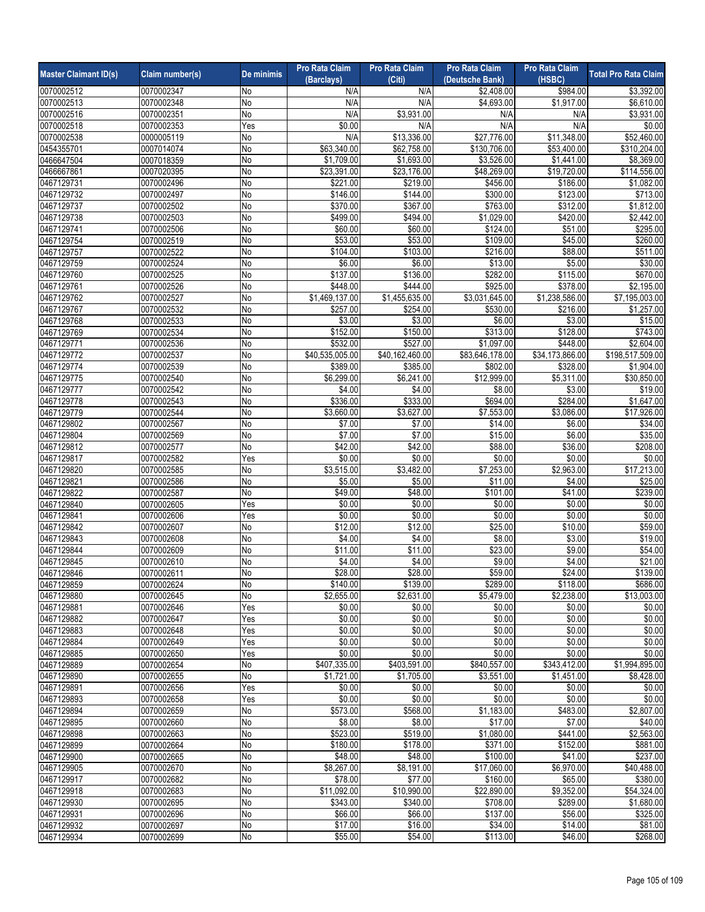| <b>Master Claimant ID(s)</b> | Claim number(s) | De minimis | Pro Rata Claim<br>(Barclays) | <b>Pro Rata Claim</b><br>(Citi) | <b>Pro Rata Claim</b><br>(Deutsche Bank) | <b>Pro Rata Claim</b><br>(HSBC) | Total Pro Rata Claim |
|------------------------------|-----------------|------------|------------------------------|---------------------------------|------------------------------------------|---------------------------------|----------------------|
| 0070002512                   | 0070002347      | No         | N/A                          | N/A                             | \$2,408.00                               | \$984.00                        | \$3,392.00           |
| 0070002513                   | 0070002348      | No         | N/A                          | N/A                             | \$4.693.00                               | \$1,917.00                      | \$6,610.00           |
| 0070002516                   | 0070002351      | No         | N/A                          | \$3,931.00                      | N/A                                      | N/A                             | \$3,931.00           |
| 0070002518                   | 0070002353      | Yes        | \$0.00                       | N/A                             | N/A                                      | N/A                             | \$0.00               |
| 0070002538                   | 0000005119      | No         | N/A                          | \$13,336.00                     | \$27,776.00                              | \$11,348.00                     | \$52,460.00          |
| 0454355701                   | 0007014074      | No         | \$63,340.00                  | \$62,758.00                     | \$130,706.00                             | \$53,400.00                     | \$310,204.00         |
| 0466647504                   | 0007018359      | No         |                              |                                 |                                          |                                 | \$8,369.00           |
| 0466667861                   | 0007020395      | No         | \$1,709.00<br>\$23,391.00    | \$1,693.00                      | \$3,526.00                               | \$1,441.00<br>\$19,720.00       | \$114,556.00         |
|                              |                 |            | \$221.00                     | \$23,176.00                     | \$48,269.00                              |                                 |                      |
| 0467129731                   | 0070002496      | No         |                              | \$219.00                        | \$456.00                                 | \$186.00                        | \$1,082.00           |
| 0467129732                   | 0070002497      | No         | \$146.00                     | \$144.00                        | \$300.00                                 | \$123.00                        | \$713.00             |
| 0467129737                   | 0070002502      | No         | \$370.00                     | \$367.00                        | \$763.00                                 | \$312.00                        | \$1,812.00           |
| 0467129738                   | 0070002503      | No         | \$499.00                     | \$494.00                        | \$1,029.00                               | \$420.00                        | \$2,442.00           |
| 0467129741                   | 0070002506      | No         | \$60.00                      | \$60.00                         | \$124.00                                 | \$51.00                         | \$295.00             |
| 0467129754                   | 0070002519      | No         | \$53.00                      | \$53.00                         | \$109.00                                 | \$45.00                         | \$260.00             |
| 0467129757                   | 0070002522      | No         | \$104.00                     | \$103.00                        | \$216.00                                 | \$88.00                         | \$511.00             |
| 0467129759                   | 0070002524      | No         | \$6.00                       | \$6.00                          | \$13.00                                  | \$5.00                          | \$30.00              |
| 0467129760                   | 0070002525      | No         | \$137.00                     | \$136.00                        | \$282.00                                 | \$115.00                        | \$670.00             |
| 0467129761                   | 0070002526      | No         | \$448.00                     | \$444.00                        | \$925.00                                 | \$378.00                        | \$2,195.00           |
| 0467129762                   | 0070002527      | No         | \$1,469,137.00               | \$1,455,635.00                  | \$3,031,645.00                           | \$1,238,586.00                  | \$7,195,003.00       |
| 0467129767                   | 0070002532      | No         | \$257.00                     | \$254.00                        | \$530.00                                 | \$216.00                        | \$1,257.00           |
| 0467129768                   | 0070002533      | No         | \$3.00                       | \$3.00                          | \$6.00                                   | \$3.00                          | \$15.00              |
| 0467129769                   | 0070002534      | No         | \$152.00                     | \$150.00                        | \$313.00                                 | \$128.00                        | \$743.00             |
| 0467129771                   | 0070002536      | No         | \$532.00                     | \$527.00                        | \$1.097.00                               | \$448.00                        | \$2,604.00           |
| 0467129772                   | 0070002537      | No         | \$40,535,005.00              | \$40,162,460.00                 | \$83,646,178.00                          | \$34,173,866.00                 | \$198,517,509.00     |
| 0467129774                   | 0070002539      | No         | \$389.00                     | \$385.00                        | \$802.00                                 | \$328.00                        | \$1,904.00           |
| 0467129775                   | 0070002540      | No         | \$6,299.00                   | \$6,241.00                      | \$12,999.00                              | 55,311.00                       | \$30,850.00          |
| 0467129777                   | 0070002542      | No         | \$4.00                       | \$4.00                          | \$8.00                                   | \$3.00                          | \$19.00              |
| 0467129778                   | 0070002543      | No         | \$336.00                     | \$333.00                        | \$694.00                                 | \$284.00                        | \$1,647.00           |
| 0467129779                   | 0070002544      | No         | \$3,660.00                   | \$3,627.00                      | \$7,553.00                               | \$3,086.00                      | \$17,926.00          |
| 0467129802                   | 0070002567      | No         | \$7.00                       | \$7.00                          | \$14.00                                  | \$6.00                          | \$34.00              |
| 0467129804                   | 0070002569      | No         | \$7.00                       | \$7.00                          | \$15.00                                  | \$6.00                          | \$35.00              |
| 0467129812                   | 0070002577      | No         | \$42.00                      | \$42.00                         | \$88.00                                  | \$36.00                         | \$208.00             |
| 0467129817                   | 0070002582      | Yes        | \$0.00                       | \$0.00                          | \$0.00                                   | \$0.00                          | \$0.00               |
| 0467129820                   | 0070002585      | No         | \$3,515.00                   | \$3,482.00                      | \$7,253.00                               | \$2,963.00                      | \$17,213.00          |
| 0467129821                   | 0070002586      | No         | \$5.00                       | \$5.00                          | \$11.00                                  | \$4.00                          | \$25.00              |
| 0467129822                   | 0070002587      | No         | \$49.00                      | \$48.00                         | \$101.00                                 | \$41.00                         | \$239.00             |
| 0467129840                   | 0070002605      | Yes        | \$0.00                       | \$0.00                          | \$0.00                                   | \$0.00                          | \$0.00               |
| 0467129841                   | 0070002606      | Yes        | \$0.00                       | \$0.00                          | \$0.00                                   | \$0.00                          | \$0.00               |
| 0467129842                   | 0070002607      | No         | \$12.00                      | \$12.00                         | \$25.00                                  | \$10.00                         | \$59.00              |
| 0467129843                   | 0070002608      | No         | \$4.00                       | \$4.00                          | \$8.00                                   | \$3.00                          | \$19.00              |
| 0467129844                   | 0070002609      | No         | \$11.00                      | \$11.00                         | \$23.00                                  | \$9.00                          | \$54.00              |
| 0467129845                   | 0070002610      | No         | \$4.00                       | \$4.00                          | \$9.00                                   | \$4.00                          | \$21.00              |
| 0467129846                   | 0070002611      |            | \$28.00                      | \$28.00                         |                                          | \$24.00                         | \$139.00             |
|                              |                 | No         |                              | \$139.00                        | \$59.00                                  |                                 |                      |
| 0467129859                   | 0070002624      | No         | \$140.00                     |                                 | \$289.00                                 | \$118.00                        | \$686.00             |
| 0467129880                   | 0070002645      | No         | \$2,655.00                   | \$2,631.00                      | \$5,479.00                               | \$2,238.00                      | \$13,003.00          |
| 0467129881                   | 0070002646      | Yes        | \$0.00                       | \$0.00                          | \$0.00                                   | \$0.00                          | \$0.00               |
| 0467129882                   | 0070002647      | Yes        | \$0.00                       | \$0.00                          | \$0.00                                   | \$0.00                          | \$0.00               |
| 0467129883                   | 0070002648      | Yes        | \$0.00                       | \$0.00                          | \$0.00                                   | \$0.00                          | \$0.00               |
| 0467129884                   | 0070002649      | Yes        | \$0.00                       | \$0.00                          | \$0.00                                   | \$0.00                          | \$0.00               |
| 0467129885                   | 0070002650      | Yes        | \$0.00                       | \$0.00                          | \$0.00                                   | \$0.00                          | \$0.00               |
| 0467129889                   | 0070002654      | No         | \$407,335.00                 | \$403,591.00                    | \$840,557.00                             | \$343,412.00                    | \$1,994,895.00       |
| 0467129890                   | 0070002655      | No         | \$1,721.00                   | \$1,705.00                      | \$3,551.00                               | \$1,451.00                      | \$8,428.00           |
| 0467129891                   | 0070002656      | Yes        | \$0.00                       | \$0.00                          | \$0.00                                   | \$0.00                          | \$0.00               |
| 0467129893                   | 0070002658      | Yes        | \$0.00                       | \$0.00                          | \$0.00                                   | \$0.00                          | \$0.00               |
| 0467129894                   | 0070002659      | No         | \$573.00                     | \$568.00                        | \$1,183.00                               | \$483.00                        | \$2,807.00           |
| 0467129895                   | 0070002660      | No         | \$8.00                       | \$8.00                          | \$17.00                                  | \$7.00                          | \$40.00              |
| 0467129898                   | 0070002663      | No         | \$523.00                     | \$519.00                        | \$1,080.00                               | \$441.00                        | \$2,563.00           |
| 0467129899                   | 0070002664      | No         | \$180.00                     | \$178.00                        | \$371.00                                 | \$152.00                        | \$881.00             |
| 0467129900                   | 0070002665      | No         | \$48.00                      | \$48.00                         | \$100.00                                 | \$41.00                         | \$237.00             |
| 0467129905                   | 0070002670      | No         | \$8,267.00                   | \$8,191.00                      | \$17,060.00                              | \$6,970.00                      | \$40,488.00          |
| 0467129917                   | 0070002682      | No         | \$78.00                      | \$77.00                         | \$160.00                                 | \$65.00                         | \$380.00             |
| 0467129918                   | 0070002683      | No         | \$11,092.00                  | \$10,990.00                     | \$22,890.00                              | \$9,352.00                      | \$54,324.00          |
| 0467129930                   | 0070002695      | No         | \$343.00                     | \$340.00                        | \$708.00                                 | \$289.00                        | \$1,680.00           |
| 0467129931                   | 0070002696      | No         | \$66.00                      | \$66.00                         | \$137.00                                 | \$56.00                         | \$325.00             |
| 0467129932                   | 0070002697      | No         | \$17.00                      | \$16.00                         | \$34.00                                  | \$14.00                         | \$81.00              |
| 0467129934                   | 0070002699      | No         | \$55.00                      | \$54.00                         | \$113.00                                 | \$46.00                         | \$268.00             |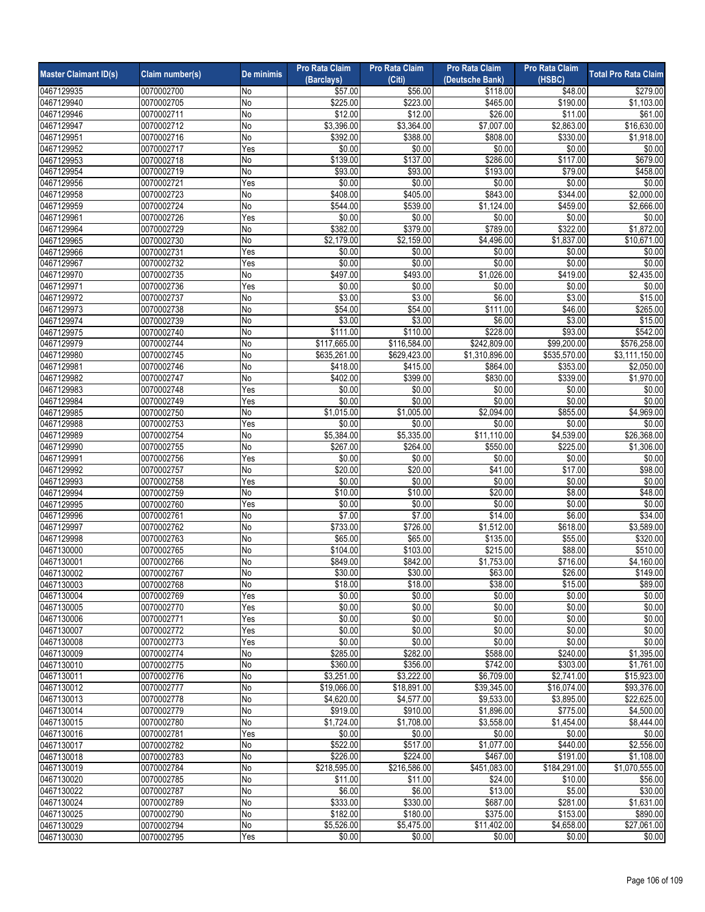| <b>Master Claimant ID(s)</b> | Claim number(s) | De minimis | <b>Pro Rata Claim</b><br>(Barclays) | <b>Pro Rata Claim</b><br>(Citi) | Pro Rata Claim<br>(Deutsche Bank) | <b>Pro Rata Claim</b><br>(HSBC) | <b>Total Pro Rata Claim</b> |
|------------------------------|-----------------|------------|-------------------------------------|---------------------------------|-----------------------------------|---------------------------------|-----------------------------|
| 0467129935                   | 0070002700      | No         | \$57.00                             | \$56.00                         | \$118.00                          | \$48.00                         | \$279.00                    |
| 0467129940                   | 0070002705      | No         | \$225.00                            | \$223.00                        | \$465.00                          | \$190.00                        | \$1,103.00                  |
| 0467129946                   | 0070002711      | No         | \$12.00                             | \$12.00                         | \$26.00                           | \$11.00                         | \$61.00                     |
|                              |                 | No         |                                     |                                 |                                   | \$2,863.00                      |                             |
| 0467129947                   | 0070002712      |            | \$3,396.00                          | \$3,364.00                      | \$7,007.00                        |                                 | \$16,630.00                 |
| 0467129951                   | 0070002716      | No         | \$392.00                            | \$388.00                        | \$808.00                          | \$330.00                        | \$1,918.00                  |
| 0467129952                   | 0070002717      | Yes        | \$0.00                              | \$0.00                          | \$0.00                            | \$0.00                          | \$0.00                      |
| 0467129953                   | 0070002718      | No         | \$139.00                            | \$137.00                        | \$286.00                          | \$117.00                        | \$679.00                    |
| 0467129954                   | 0070002719      | No         | \$93.00                             | \$93.00                         | \$193.00                          | \$79.00                         | \$458.00                    |
| 0467129956                   | 0070002721      | Yes        | \$0.00                              | \$0.00                          | \$0.00                            | \$0.00                          | \$0.00                      |
| 0467129958                   | 0070002723      | No         | \$408.00                            | \$405.00                        | \$843.00                          | \$344.00                        | \$2,000.00                  |
| 0467129959                   | 0070002724      | No         | \$544.00                            | \$539.00                        | \$1,124.00                        | \$459.00                        | \$2,666.00                  |
| 0467129961                   | 0070002726      | Yes        | \$0.00                              | \$0.00                          | \$0.00                            | \$0.00                          | \$0.00                      |
| 0467129964                   | 0070002729      | No         | \$382.00                            | \$379.00                        | \$789.00                          | \$322.00                        | \$1,872.00                  |
| 0467129965                   | 0070002730      | No         | \$2,179.00                          | \$2,159.00                      | \$4,496.00                        | \$1,837.00                      | \$10,671.00                 |
| 0467129966                   | 0070002731      | Yes        | \$0.00                              | \$0.00                          | \$0.00                            | \$0.00                          | \$0.00                      |
| 0467129967                   | 0070002732      | Yes        | \$0.00                              | \$0.00                          | \$0.00                            | \$0.00                          | \$0.00                      |
| 0467129970                   | 0070002735      | No         | \$497.00                            | \$493.00                        | \$1,026.00                        | \$419.00                        | \$2,435.00                  |
| 0467129971                   | 0070002736      | Yes        | \$0.00                              | \$0.00                          | \$0.00                            | \$0.00                          | \$0.00                      |
| 0467129972                   | 0070002737      | No         | \$3.00                              | \$3.00                          | \$6.00                            | \$3.00                          | \$15.00                     |
| 0467129973                   | 0070002738      | No         | \$54.00                             | \$54.00                         | \$111.00                          | \$46.00                         | \$265.00                    |
| 0467129974                   | 0070002739      | No         | \$3.00                              | \$3.00                          | \$6.00                            | \$3.00                          | \$15.00                     |
| 0467129975                   | 0070002740      | No         | \$111.00                            | \$110.00                        | \$228.00                          | \$93.00                         | \$542.00                    |
| 0467129979                   | 0070002744      | No         | \$117,665.00                        | \$116,584.00                    | \$242,809.00                      | \$99,200.00                     | \$576,258.00                |
| 0467129980                   | 0070002745      | No         | \$635,261.00                        | \$629,423.00                    | \$1,310,896.00                    | \$535,570.00                    | \$3,111,150.00              |
| 0467129981                   | 0070002746      | No         | \$418.00                            | \$415.00                        | \$864.00                          | \$353.00                        | \$2,050.00                  |
| 0467129982                   | 0070002747      | No         | \$402.00                            | \$399.00                        | \$830.00                          | \$339.00                        | \$1,970.00                  |
| 0467129983                   | 0070002748      | Yes        | \$0.00                              | \$0.00                          | \$0.00                            | \$0.00                          | \$0.00                      |
| 0467129984                   | 0070002749      | Yes        | \$0.00                              | \$0.00                          | \$0.00                            | \$0.00                          | \$0.00                      |
| 0467129985                   | 0070002750      | No         | \$1,015.00                          | \$1,005.00                      | \$2,094.00                        | \$855.00                        | \$4,969.00                  |
| 0467129988                   | 0070002753      | Yes        | \$0.00                              | \$0.00                          | \$0.00                            | \$0.00                          | \$0.00                      |
|                              | 0070002754      |            | \$5,384.00                          | \$5,335.00                      |                                   | \$4,539.00                      | \$26,368.00                 |
| 0467129989                   |                 | No         |                                     |                                 | \$11,110.00                       |                                 |                             |
| 0467129990                   | 0070002755      | No         | \$267.00                            | \$264.00                        | \$550.00                          | \$225.00                        | \$1,306.00                  |
| 0467129991                   | 0070002756      | Yes        | \$0.00                              | \$0.00                          | \$0.00                            | \$0.00                          | \$0.00                      |
| 0467129992                   | 0070002757      | No         | \$20.00                             | \$20.00                         | \$41.00                           | \$17.00                         | \$98.00                     |
| 0467129993                   | 0070002758      | Yes        | \$0.00                              | \$0.00                          | \$0.00                            | \$0.00                          | \$0.00                      |
| 0467129994                   | 0070002759      | No         | \$10.00                             | \$10.00                         | \$20.00                           | \$8.00                          | \$48.00                     |
| 0467129995                   | 0070002760      | Yes        | \$0.00                              | \$0.00                          | \$0.00                            | \$0.00                          | \$0.00                      |
| 0467129996                   | 0070002761      | No         | \$7.00                              | \$7.00                          | \$14.00                           | \$6.00                          | \$34.00                     |
| 0467129997                   | 0070002762      | No         | \$733.00                            | \$726.00                        | \$1,512.00                        | \$618.00                        | \$3,589.00                  |
| 0467129998                   | 0070002763      | No         | \$65.00                             | \$65.00                         | \$135.00                          | \$55.00                         | \$320.00                    |
| 0467130000                   | 0070002765      | No         | \$104.00                            | \$103.00                        | \$215.00                          | \$88.00                         | \$510.00                    |
| 0467130001                   | 0070002766      | No         | \$849.00                            | \$842.00                        | \$1,753.00                        | \$716.00                        | \$4,160.00                  |
| 0467130002                   | 0070002767      | No         | \$30.00                             | \$30.00                         | \$63.00                           | \$26.00                         | \$149.00                    |
| 0467130003                   | 0070002768      | No         | \$18.00                             | \$18.00                         | \$38.00                           | \$15.00                         | \$89.00                     |
| 0467130004                   | 0070002769      | Yes        | \$0.00                              | \$0.00                          | \$0.00                            | \$0.00                          | \$0.00                      |
| 0467130005                   | 0070002770      | Yes        | \$0.00                              | \$0.00                          | \$0.00                            | \$0.00                          | \$0.00                      |
| 0467130006                   | 0070002771      | Yes        | \$0.00                              | \$0.00                          | \$0.00                            | \$0.00                          | \$0.00                      |
| 0467130007                   | 0070002772      | Yes        | \$0.00                              | \$0.00                          | \$0.00                            | \$0.00                          | \$0.00                      |
| 0467130008                   | 0070002773      | Yes        | \$0.00                              | \$0.00                          | \$0.00                            | \$0.00                          | \$0.00                      |
| 0467130009                   | 0070002774      | No         | \$285.00                            | \$282.00                        | \$588.00                          | \$240.00                        | \$1,395.00                  |
| 0467130010                   | 0070002775      | No         | \$360.00                            | \$356.00                        | \$742.00                          | \$303.00                        | \$1,761.00                  |
| 0467130011                   | 0070002776      | No         | \$3,251.00                          | \$3,222.00                      | \$6,709.00                        | \$2,741.00                      | \$15,923.00                 |
| 0467130012                   | 0070002777      | No         | \$19,066.00                         | \$18,891.00                     | \$39,345.00                       | \$16,074.00                     | \$93,376.00                 |
| 0467130013                   | 0070002778      | No         | \$4,620.00                          | \$4,577.00                      | \$9,533.00                        | \$3,895.00                      | \$22,625.00                 |
| 0467130014                   | 0070002779      | No         | \$919.00                            | \$910.00                        | \$1,896.00                        | \$775.00                        | \$4,500.00                  |
| 0467130015                   | 0070002780      | No         | \$1,724.00                          | \$1.708.00                      | \$3,558.00                        | \$1,454.00                      | \$8,444.00                  |
| 0467130016                   | 0070002781      | Yes        | \$0.00                              | \$0.00                          | \$0.00                            | \$0.00                          | \$0.00                      |
| 0467130017                   | 0070002782      | No         | \$522.00                            | \$517.00                        | \$1,077.00                        | \$440.00                        | \$2,556.00                  |
| 0467130018                   | 0070002783      | No         | \$226.00                            | \$224.00                        | \$467.00                          | \$191.00                        | \$1,108.00                  |
| 0467130019                   | 0070002784      | No         | \$218,595.00                        | \$216,586.00                    | \$451,083.00                      | \$184,291.00                    | \$1,070,555.00              |
| 0467130020                   | 0070002785      | No         |                                     |                                 |                                   |                                 |                             |
|                              |                 |            | \$11.00                             | \$11.00                         | \$24.00                           | \$10.00                         | \$56.00                     |
| 0467130022                   | 0070002787      | No         | \$6.00                              | \$6.00                          | \$13.00                           | \$5.00                          | \$30.00                     |
| 0467130024                   | 0070002789      | No         | \$333.00                            | \$330.00                        | \$687.00                          | \$281.00                        | \$1,631.00                  |
| 0467130025                   | 0070002790      | No         | \$182.00                            | \$180.00                        | \$375.00                          | \$153.00                        | \$890.00                    |
| 0467130029                   | 0070002794      | No         | \$5,526.00                          | \$5,475.00                      | \$11,402.00                       | \$4,658.00                      | \$27,061.00                 |
| 0467130030                   | 0070002795      | Yes        | \$0.00                              | \$0.00                          | \$0.00                            | \$0.00                          | \$0.00                      |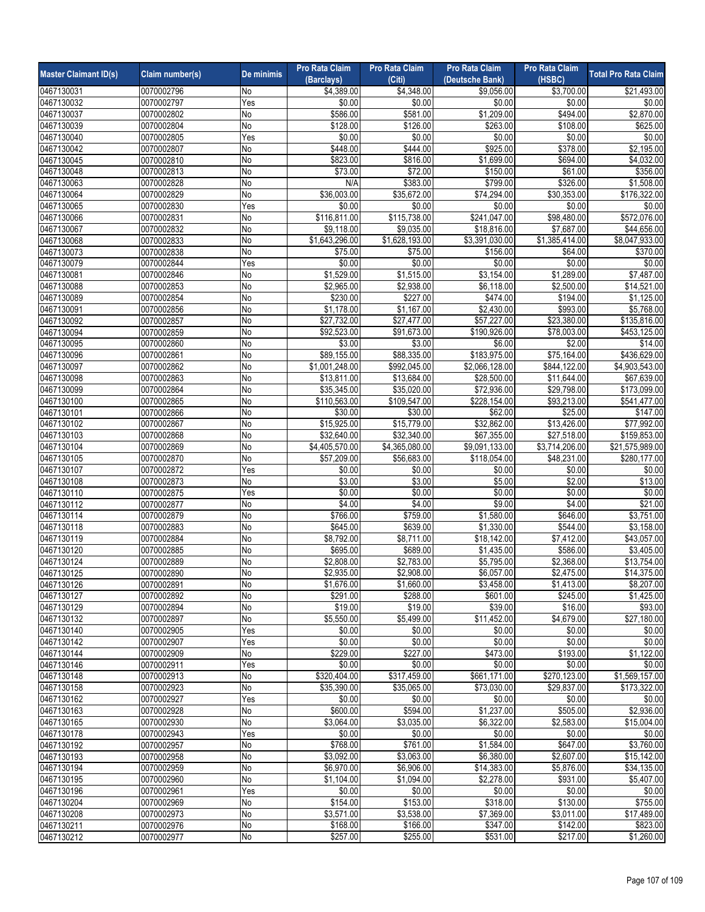| <b>Master Claimant ID(s)</b> | Claim number(s)          | De minimis | Pro Rata Claim     | <b>Pro Rata Claim</b> | <b>Pro Rata Claim</b> | <b>Pro Rata Claim</b> | <b>Total Pro Rata Claim</b> |
|------------------------------|--------------------------|------------|--------------------|-----------------------|-----------------------|-----------------------|-----------------------------|
|                              |                          |            | (Barclays)         | (Citi)                | (Deutsche Bank)       | (HSBC)                |                             |
| 0467130031                   | 0070002796               | No         | \$4,389.00         | \$4,348.00            | \$9,056.00            | \$3,700.00            | \$21,493.00                 |
| 0467130032                   | 0070002797               | Yes        | \$0.00<br>\$586.00 | \$0.00<br>\$581.00    | \$0.00<br>\$1,209.00  | \$0.00<br>\$494.00    | \$0.00<br>\$2,870.00        |
| 0467130037                   | 0070002802               | No         |                    |                       |                       |                       |                             |
| 0467130039<br>0467130040     | 0070002804<br>0070002805 | No<br>Yes  | \$128.00<br>\$0.00 | \$126.00<br>\$0.00    | \$263.00<br>\$0.00    | \$108.00<br>\$0.00    | \$625.00<br>\$0.00          |
| 0467130042                   | 0070002807               | No         | \$448.00           | \$444.00              | \$925.00              | \$378.00              | \$2,195.00                  |
| 0467130045                   | 0070002810               | No         | \$823.00           | \$816.00              | \$1,699.00            | \$694.00              | \$4,032.00                  |
| 0467130048                   | 0070002813               | No         | \$73.00            | \$72.00               | \$150.00              | \$61.00               | \$356.00                    |
| 0467130063                   | 0070002828               | No         | N/A                | \$383.00              | \$799.00              | \$326.00              | \$1,508.00                  |
| 0467130064                   | 0070002829               | No         | \$36,003.00        | \$35,672.00           | \$74,294.00           | \$30,353.00           | \$176,322.00                |
| 0467130065                   | 0070002830               | Yes        | \$0.00             | \$0.00                | \$0.00                | \$0.00                | \$0.00                      |
| 0467130066                   | 0070002831               | No         | \$116,811.00       | \$115,738.00          | \$241,047.00          | \$98,480.00           | \$572,076.00                |
| 0467130067                   | 0070002832               | No         | \$9,118.00         | \$9,035.00            | \$18,816.00           | \$7,687.00            | \$44,656.00                 |
| 0467130068                   | 0070002833               | No         | \$1,643,296.00     | \$1,628,193.00        | \$3,391,030.00        | \$1,385,414.00        | \$8,047,933.00              |
| 0467130073                   | 0070002838               | <b>No</b>  | \$75.00            | \$75.00               | \$156.00              | \$64.00               | \$370.00                    |
| 0467130079                   | 0070002844               | Yes        | \$0.00             | \$0.00                | \$0.00                | \$0.00                | \$0.00                      |
| 0467130081                   | 0070002846               | No         | \$1,529.00         | \$1,515.00            | \$3,154.00            | \$1,289.00            | \$7,487.00                  |
| 0467130088                   | 0070002853               | <b>No</b>  | \$2,965.00         | \$2,938.00            | \$6,118.00            | \$2,500.00            | \$14,521.00                 |
| 0467130089                   | 0070002854               | No         | \$230.00           | \$227.00              | \$474.00              | \$194.00              | \$1,125.00                  |
| 0467130091                   | 0070002856               | No         | \$1,178.00         | \$1,167.00            | \$2,430.00            | \$993.00              | \$5,768.00                  |
| 0467130092                   | 0070002857               | No         | \$27,732.00        | \$27,477.00           | \$57,227.00           | \$23,380.00           | \$135,816.00                |
| 0467130094                   | 0070002859               | No         | \$92,523.00        | \$91,673.00           | \$190,926.00          | \$78,003.00           | \$453,125.00                |
| 0467130095                   | 0070002860               | No         | \$3.00             | \$3.00                | \$6.00                | \$2.00                | \$14.00                     |
| 0467130096                   | 0070002861               | No         | \$89,155.00        | \$88,335.00           | \$183,975.00          | \$75,164.00           | \$436,629.00                |
| 0467130097                   | 0070002862               | No         | \$1,001,248.00     | \$992,045.00          | \$2,066,128.00        | \$844,122.00          | \$4,903,543.00              |
| 0467130098                   | 0070002863               | No         | \$13,811.00        | \$13,684.00           | \$28,500.00           | \$11,644.00           | \$67,639.00                 |
| 0467130099                   | 0070002864               | No         | \$35,345.00        | \$35,020.00           | \$72,936.00           | \$29,798.00           | \$173,099.00                |
| 0467130100                   | 0070002865               | No         | \$110,563.00       | \$109,547.00          | \$228,154.00          | \$93,213.00           | \$541,477.00                |
| 0467130101                   | 0070002866               | No         | \$30.00            | \$30.00               | \$62.00               | \$25.00               | $\frac{1}{147.00}$          |
| 0467130102                   | 0070002867               | No         | \$15,925.00        | \$15,779.00           | \$32,862.00           | \$13,426.00           | \$77,992.00                 |
| 0467130103                   | 0070002868               | No         | \$32,640.00        | \$32,340.00           | \$67,355.00           | \$27,518.00           | \$159,853.00                |
| 0467130104                   | 0070002869               | No         | \$4,405,570.00     | \$4,365,080.00        | \$9,091,133.00        | \$3,714,206.00        | \$21,575,989.00             |
| 0467130105                   | 0070002870               | No         | \$57,209.00        | \$56,683.00           | \$118,054.00          | \$48,231.00           | \$280,177.00                |
| 0467130107                   | 0070002872               | Yes        | \$0.00             | \$0.00                | \$0.00                | \$0.00                | \$0.00                      |
| 0467130108                   | 0070002873               | <b>No</b>  | \$3.00             | \$3.00                | \$5.00                | \$2.00                | \$13.00                     |
| 0467130110                   | 0070002875               | Yes        | \$0.00             | \$0.00                | \$0.00                | \$0.00                | \$0.00                      |
| 0467130112                   | 0070002877               | No         | \$4.00             | \$4.00                | \$9.00                | \$4.00                | \$21.00                     |
| 0467130114                   | 0070002879               | No         | \$766.00           | \$759.00              | \$1,580.00            | \$646.00              | \$3,751.00                  |
| 0467130118                   | 0070002883               | No         | \$645.00           | \$639.00              | \$1,330.00            | \$544.00              | \$3,158.00                  |
| 0467130119                   | 0070002884               | No         | \$8,792.00         | \$8,711.00            | \$18,142.00           | \$7,412.00            | \$43,057.00                 |
| 0467130120                   | 0070002885               | No         | \$695.00           | \$689.00              | \$1,435.00            | \$586.00              | \$3,405.00                  |
| 0467130124                   | 0070002889               | No         | \$2.808.00         | \$2,783.00            | \$5,795.00            | \$2,368.00            | \$13,754.00                 |
| 0467130125                   | 0070002890               | <b>No</b>  | \$2,935.00         | \$2,908.00            | \$6,057.00            | \$2,475.00            | \$14,375.00                 |
| 0467130126                   | 0070002891               | No         | \$1,676.00         | \$1,660.00            | \$3,458.00            | \$1,413.00            | \$8,207.00                  |
| 0467130127                   | 0070002892               | No         | \$291.00           | \$288.00              | \$601.00              | \$245.00              | \$1,425.00                  |
| 0467130129                   | 0070002894               | No         | \$19.00            | \$19.00               | \$39.00               | \$16.00               | \$93.00                     |
| 0467130132                   | 0070002897               | <b>No</b>  | \$5,550.00         | \$5,499.00            | \$11,452.00           | \$4,679.00            | \$27,180.00                 |
| 0467130140                   | 0070002905               | Yes        | \$0.00             | \$0.00                | \$0.00                | \$0.00                | \$0.00                      |
| 0467130142                   | 0070002907               | Yes        | \$0.00             | \$0.00                | \$0.00                | \$0.00                | \$0.00                      |
| 0467130144                   | 0070002909               | <b>No</b>  | \$229.00           | \$227.00              | \$473.00              | \$193.00              | \$1,122.00                  |
| 0467130146                   | 0070002911               | Yes        | \$0.00             | \$0.00                | \$0.00                | \$0.00                | \$0.00                      |
| 0467130148                   | 0070002913               | <b>No</b>  | \$320.404.00       | \$317,459.00          | \$661,171.00          | \$270,123.00          | \$1,569,157.00              |
| 0467130158                   | 0070002923               | No         | \$35,390.00        | \$35,065.00           | \$73,030.00           | \$29.837.00           | \$173,322.00                |
| 0467130162                   | 0070002927               | Yes        | \$0.00             | \$0.00                | \$0.00                | \$0.00                | \$0.00                      |
| 0467130163                   | 0070002928               | No         | \$600.00           | \$594.00              | \$1,237.00            | \$505.00              | \$2.936.00                  |
| 0467130165                   | 0070002930               | <b>No</b>  | \$3,064.00         | \$3,035.00            | \$6,322.00            | \$2,583.00            | \$15,004.00                 |
| 0467130178                   | 0070002943               | Yes        | \$0.00             | \$0.00                | \$0.00                | \$0.00                | \$0.00                      |
| 0467130192                   | 0070002957               | No         | \$768.00           | \$761.00              | \$1,584.00            | \$647.00              | \$3,760.00                  |
| 0467130193                   | 0070002958               | <b>No</b>  | \$3,092.00         | \$3,063.00            | \$6,380.00            | \$2,607.00            | \$15,142.00                 |
| 0467130194                   | 0070002959               | No         | \$6,970.00         | \$6,906.00            | \$14,383.00           | \$5,876.00            | \$34,135.00                 |
| 0467130195                   | 0070002960               | No         | \$1,104.00         | \$1,094.00            | \$2,278.00            | \$931.00              | \$5,407.00                  |
| 0467130196                   | 0070002961               | Yes        | \$0.00             | \$0.00                | \$0.00                | \$0.00                | \$0.00                      |
| 0467130204                   | 0070002969               | No         | \$154.00           | \$153.00              | \$318.00              | \$130.00              | \$755.00                    |
| 0467130208                   | 0070002973               | No         | \$3,571.00         | \$3,538.00            | \$7,369.00            | \$3,011.00            | \$17,489.00                 |
| 0467130211                   | 0070002976               | No         | \$168.00           | \$166.00              | \$347.00              | \$142.00              | \$823.00                    |
| 0467130212                   | 0070002977               | No         | \$257.00           | \$255.00              | \$531.00              | \$217.00              | \$1,260.00                  |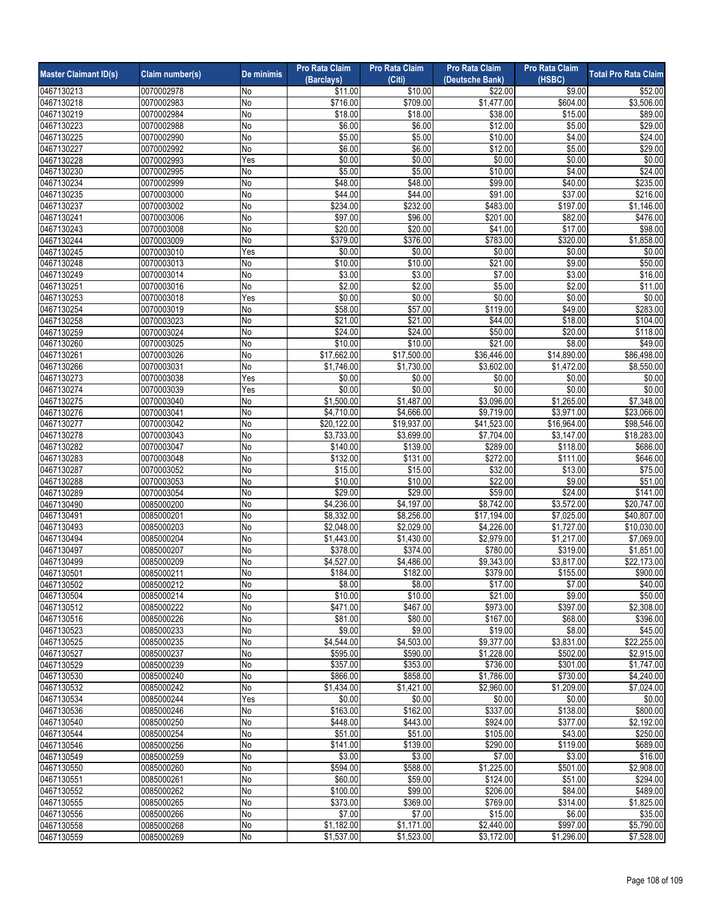| <b>Master Claimant ID(s)</b> | Claim number(s)          | De minimis | Pro Rata Claim<br>(Barclays) | <b>Pro Rata Claim</b><br>(Citi) | Pro Rata Claim<br>(Deutsche Bank) | <b>Pro Rata Claim</b><br>(HSBC) | <b>Total Pro Rata Claim</b> |
|------------------------------|--------------------------|------------|------------------------------|---------------------------------|-----------------------------------|---------------------------------|-----------------------------|
| 0467130213                   | 0070002978               | No         | \$11.00                      | \$10.00                         | \$22.00                           | \$9.00                          | \$52.00                     |
| 0467130218                   | 0070002983               | No         | \$716.00                     | \$709.00                        | \$1,477.00                        | \$604.00                        | \$3,506.00                  |
| 0467130219                   | 0070002984               | No         | \$18.00                      | \$18.00                         | \$38.00                           | \$15.00                         | \$89.00                     |
| 0467130223                   | 0070002988               | No         | \$6.00                       | \$6.00                          | \$12.00                           | \$5.00                          | \$29.00                     |
| 0467130225                   | 0070002990               | No         | \$5.00                       | \$5.00                          | \$10.00                           | \$4.00                          | \$24.00                     |
| 0467130227                   | 0070002992               | No         | \$6.00                       | \$6.00                          | \$12.00                           | \$5.00                          | \$29.00                     |
|                              |                          |            |                              |                                 |                                   |                                 |                             |
| 0467130228                   | 0070002993               | Yes        | \$0.00                       | \$0.00                          | \$0.00                            | \$0.00                          | \$0.00                      |
| 0467130230                   | 0070002995               | No         | \$5.00                       | \$5.00                          | \$10.00                           | \$4.00                          | \$24.00                     |
| 0467130234                   | 0070002999               | No         | \$48.00                      | \$48.00                         | \$99.00                           | \$40.00                         | \$235.00                    |
| 0467130235                   | 0070003000               | No         | \$44.00                      | \$44.00                         | \$91.00                           | \$37.00                         | \$216.00                    |
| 0467130237                   | 0070003002               | No         | \$234.00                     | \$232.00                        | \$483.00                          | \$197.00                        | \$1,146.00                  |
| 0467130241                   | 0070003006               | No         | \$97.00                      | \$96.00                         | \$201.00                          | \$82.00                         | \$476.00                    |
| 0467130243                   | 0070003008               | No         | \$20.00                      | \$20.00                         | \$41.00                           | \$17.00                         | \$98.00                     |
| 0467130244                   | 0070003009               | No         | \$379.00                     | \$376.00                        | \$783.00                          | \$320.00                        | \$1,858.00                  |
| 0467130245                   | 0070003010               | Yes        | \$0.00                       | \$0.00                          | \$0.00                            | \$0.00                          | \$0.00                      |
| 0467130248                   | 0070003013               | No         | \$10.00                      | \$10.00                         | \$21.00                           | \$9.00                          | \$50.00                     |
| 0467130249                   | 0070003014               | No         | \$3.00                       | \$3.00                          | \$7.00                            | \$3.00                          | \$16.00                     |
| 0467130251                   | 0070003016               | No         | \$2.00                       | \$2.00                          | \$5.00                            | \$2.00                          | \$11.00                     |
| 0467130253                   | 0070003018               | Yes        | \$0.00                       | \$0.00                          | \$0.00                            | \$0.00                          | \$0.00                      |
| 0467130254                   | 0070003019               | No         | \$58.00                      | \$57.00                         | \$119.00                          | \$49.00                         | \$283.00                    |
| 0467130258                   | 0070003023               | No         | \$21.00                      | \$21.00                         | \$44.00                           | \$18.00                         | \$104.00                    |
| 0467130259                   | 0070003024               | No         | \$24.00                      | \$24.00                         | \$50.00                           | \$20.00                         | \$118.00                    |
| 0467130260                   | 0070003025               | No         | \$10.00                      | \$10.00                         | \$21.00                           | \$8.00                          | \$49.00                     |
| 0467130261                   | 0070003026               | No         | \$17,662.00                  | \$17,500.00                     | \$36,446.00                       | \$14,890.00                     | \$86,498.00                 |
|                              |                          |            |                              |                                 |                                   |                                 |                             |
| 0467130266                   | 0070003031               | No         | \$1,746.00                   | \$1,730.00                      | \$3,602.00                        | \$1,472.00                      | \$8,550.00                  |
| 0467130273                   | 0070003038               | Yes        | \$0.00                       | \$0.00                          | \$0.00                            | \$0.00                          | \$0.00                      |
| 0467130274                   | 0070003039               | Yes        | \$0.00                       | \$0.00                          | \$0.00                            | \$0.00                          | \$0.00                      |
| 0467130275                   | 0070003040               | No         | \$1,500.00                   | \$1,487.00                      | \$3,096.00                        | \$1,265.00                      | \$7,348.00                  |
| 0467130276                   | 0070003041               | No         | \$4,710.00                   | \$4,666.00                      | \$9,719.00                        | \$3,971.00                      | \$23,066.00                 |
| 0467130277                   | 0070003042               | No         | \$20,122.00                  | \$19,937.00                     | \$41,523.00                       | \$16,964.00                     | \$98,546.00                 |
| 0467130278                   | 0070003043               | No         | \$3,733.00                   | \$3,699.00                      | \$7,704.00                        | \$3,147.00                      | \$18,283.00                 |
| 0467130282                   | 0070003047               | No         | \$140.00                     | \$139.00                        | \$289.00                          | \$118.00                        | \$686.00                    |
| 0467130283                   | 0070003048               | No         | \$132.00                     | \$131.00                        | \$272.00                          | \$111.00                        | \$646.00                    |
| 0467130287                   | 0070003052               | No         | \$15.00                      | \$15.00                         | \$32.00                           | \$13.00                         | \$75.00                     |
| 0467130288                   | 0070003053               | No         | \$10.00                      | \$10.00                         | \$22.00                           | \$9.00                          | \$51.00                     |
| 0467130289                   | 0070003054               | No         | \$29.00                      | \$29.00                         | \$59.00                           | \$24.00                         | \$141.00                    |
| 0467130490                   | 0085000200               | No         | \$4,236.00                   | \$4,197.00                      | \$8,742.00                        | \$3,572.00                      | \$20,747.00                 |
| 0467130491                   | 0085000201               | No         | \$8,332.00                   | \$8,256.00                      | \$17,194.00                       | \$7,025.00                      | \$40,807.00                 |
| 0467130493                   | 0085000203               | No         | \$2,048.00                   | \$2,029.00                      | \$4,226.00                        | \$1,727.00                      | \$10,030.00                 |
| 0467130494                   | 0085000204               | No         | \$1,443.00                   | \$1,430.00                      | \$2,979.00                        | \$1,217.00                      | \$7,069.00                  |
| 0467130497                   | 0085000207               | No         | \$378.00                     | \$374.00                        | \$780.00                          | \$319.00                        | \$1,851.00                  |
| 0467130499                   | 0085000209               | No         | \$4,527.00                   | \$4,486.00                      | \$9,343.00                        | \$3,817.00                      | \$22,173.00                 |
|                              | 0085000211               | No         |                              | \$182.00                        | \$379.00                          |                                 |                             |
| 0467130501                   |                          |            | \$184.00                     |                                 |                                   | \$155.00                        | \$900.00                    |
| 0467130502                   | 0085000212               | No         | \$8.00                       | \$8.00                          | \$17.00                           | \$7.00                          | \$40.00                     |
| 0467130504                   | 0085000214               | No         | \$10.00                      | \$10.00                         | \$21.00                           | \$9.00                          | \$50.00                     |
| 0467130512                   | 0085000222               | No         | \$471.00                     | \$467.00                        | \$973.00                          | \$397.00                        | \$2,308.00                  |
| 0467130516                   | 0085000226               | No         | \$81.00                      | \$80.00                         | \$167.00                          | \$68.00                         | \$396.00                    |
| 0467130523                   | 0085000233               | No         | \$9.00                       | \$9.00                          | \$19.00                           | \$8.00                          | \$45.00                     |
| 0467130525                   | 0085000235               | No         | \$4,544.00                   | \$4,503.00                      | \$9,377.00                        | \$3,831.00                      | \$22,255.00                 |
| 0467130527                   | 0085000237               | No         | \$595.00                     | \$590.00                        | \$1,228.00                        | \$502.00                        | \$2,915.00                  |
| 0467130529                   | 0085000239               | No         | \$357.00                     | \$353.00                        | \$736.00                          | \$301.00                        | \$1,747.00                  |
| 0467130530                   | 0085000240               | No         | \$866.00                     | \$858.00                        | \$1,786.00                        | \$730.00                        | \$4,240.00                  |
| 0467130532                   | 0085000242               | No         | \$1,434.00                   | \$1.421.00                      | \$2,960.00                        | \$1,209.00                      | \$7,024.00                  |
| 0467130534                   | 0085000244               | Yes        | \$0.00                       | \$0.00                          | \$0.00                            | \$0.00                          | \$0.00                      |
| 0467130536                   | 0085000246               | No         | \$163.00                     | \$162.00                        | \$337.00                          | \$138.00                        | \$800.00                    |
| 0467130540                   | 0085000250               | No         | \$448.00                     | \$443.00                        | \$924.00                          | \$377.00                        | \$2,192.00                  |
| 0467130544                   | 0085000254               | No         | \$51.00                      | \$51.00                         | \$105.00                          | \$43.00                         | \$250.00                    |
| 0467130546                   | 0085000256               | No         | \$141.00                     | \$139.00                        | \$290.00                          | \$119.00                        | \$689.00                    |
| 0467130549                   | 0085000259               | No         | \$3.00                       | \$3.00                          | \$7.00                            | \$3.00                          | \$16.00                     |
| 0467130550                   |                          | No         | \$594.00                     | \$588.00                        | \$1,225.00                        | \$501.00                        | \$2,908.00                  |
| 0467130551                   | 0085000260<br>0085000261 | No         | \$60.00                      | \$59.00                         |                                   | \$51.00                         | \$294.00                    |
|                              |                          |            |                              |                                 | \$124.00                          |                                 |                             |
| 0467130552                   | 0085000262               | No         | \$100.00                     | \$99.00                         | \$206.00                          | \$84.00                         | \$489.00                    |
| 0467130555                   | 0085000265               | No         | \$373.00                     | \$369.00                        | \$769.00                          | \$314.00                        | \$1,825.00                  |
| 0467130556                   | 0085000266               | No         | \$7.00                       | \$7.00                          | \$15.00                           | \$6.00                          | \$35.00                     |
| 0467130558                   | 0085000268               | No         | \$1,182.00                   | \$1,171.00                      | \$2,440.00                        | \$997.00                        | \$5,790.00                  |
| 0467130559                   | 0085000269               | No         | \$1,537.00                   | \$1,523.00                      | \$3,172.00                        | \$1,296.00                      | \$7,528.00                  |